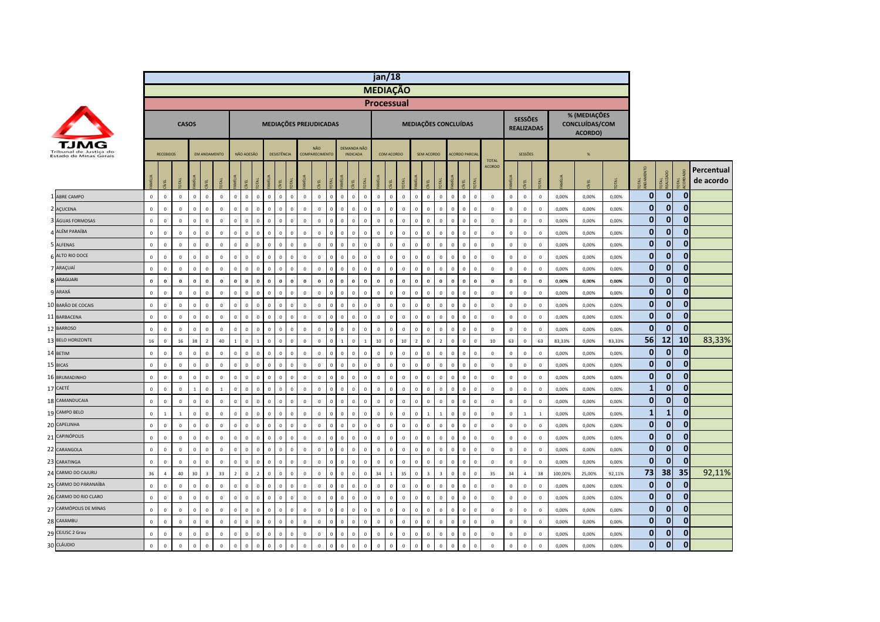|                                                  |              |                  |                |              |                         |                |                |                         |                |                                        |                |              |                        |              |              |                                |              | jan/18          |              |                              |                         |                         |                      |                      |                |                |                |                                     |              |              |                                           |        |                         |                  |              |                         |
|--------------------------------------------------|--------------|------------------|----------------|--------------|-------------------------|----------------|----------------|-------------------------|----------------|----------------------------------------|----------------|--------------|------------------------|--------------|--------------|--------------------------------|--------------|-----------------|--------------|------------------------------|-------------------------|-------------------------|----------------------|----------------------|----------------|----------------|----------------|-------------------------------------|--------------|--------------|-------------------------------------------|--------|-------------------------|------------------|--------------|-------------------------|
|                                                  |              |                  |                |              |                         |                |                |                         |                |                                        |                |              |                        |              |              |                                |              | <b>MEDIAÇÃO</b> |              |                              |                         |                         |                      |                      |                |                |                |                                     |              |              |                                           |        |                         |                  |              |                         |
|                                                  |              |                  |                |              |                         |                |                |                         |                |                                        |                |              |                        |              |              |                                |              | Processual      |              |                              |                         |                         |                      |                      |                |                |                |                                     |              |              |                                           |        |                         |                  |              |                         |
|                                                  |              |                  |                | <b>CASOS</b> |                         |                |                |                         |                | MEDIAÇÕES PREJUDICADAS                 |                |              |                        |              |              |                                |              |                 |              |                              |                         |                         | MEDIAÇÕES CONCLUÍDAS |                      |                |                |                | <b>SESSÕES</b><br><b>REALIZADAS</b> |              |              | % (MEDIAÇÕES<br>CONCLUÍDAS/COM<br>ACORDO) |        |                         |                  |              |                         |
| Tribunal de Justica do<br>Estado de Minas Gerais |              | <b>RECEBIDOS</b> |                |              | EM ANDAMENTO            |                |                | NÃO ADESÃO              |                | DESISTÊNCIA                            |                |              | NÃO.<br>COMPARECIMENTO |              |              | DEMANDA NÃO<br><b>INDICADA</b> |              | COM ACORDO      |              |                              | SEM ACORDO              |                         |                      | <b>ACORDO PARCIA</b> |                | <b>TOTAL</b>   |                | SESSÕES                             |              |              | $\%$                                      |        |                         |                  |              |                         |
|                                                  | Ī            | ξĒ.              | OTAL           | AMÍLIA       | ξ                       | <b>DATO</b>    | š              | g                       |                |                                        |                |              | g                      |              |              | OTAL                           |              |                 | ĺЯ<br>ΣÃ     | <b>SIN</b>                   | λĒ                      | $\overline{5}$          | AMÍLIA               | iveL                 | <b>OTAL</b>    | <b>ACORDO</b>  |                | ί                                   |              | <b>MILIA</b> | ξ                                         | OTAL   | <b>D</b><br><b>OTAL</b> | OTAL<br>EALIZADO |              | Percentual<br>de acordo |
| 1 ABRE CAMPO                                     | $\mathbf 0$  | $\mathbf 0$      | $\mathbf 0$    | $\mathbf 0$  | $\mathbf 0$             | $\mathsf 0$    | $\mathbf{0}$   | $\overline{\mathbf{0}}$ | $\mathsf 0$    | $\mathbf 0$<br>$\mathbf 0$             | $\mathbf 0$    | $\mathbf 0$  | $\mathbf 0$            | $\mathbf 0$  | $\mathbf 0$  | $\mathbf 0$                    | $\mathsf 0$  | $\mathbf 0$     | $\mathbf 0$  | $\mathsf 0$<br>$\mathbf 0$   | $\mathbf 0$             | $\mathbf 0$             | $\mathbf 0$          | $\mathbf{0}$         | $\mathbf 0$    | $\mathbf 0$    | $\mathsf 0$    | $\mathbf 0$                         | $\mathbb O$  | 0,00%        | 0,00%                                     | 0,00%  | $\mathbf{0}$            | $\overline{0}$   | $\mathbf{0}$ |                         |
| 2 AÇUCENA                                        | $\mathbf{0}$ | $\Omega$         | $\overline{0}$ | $\Omega$     | $\Omega$                | $\mathsf 0$    | $\mathbf 0$    | $\Omega$                | $\mathbf 0$    | $\mathbf 0$<br>$\Omega$                | $\Omega$       | $\Omega$     | $\mathbf 0$            | $\Omega$     | $\Omega$     | $\overline{0}$<br>$\Omega$     |              | $\Omega$        | $\mathbf 0$  | $\mathsf 0$<br>$\Omega$      | $\Omega$                | $\mathbf 0$             | $\Omega$             | $\mathbf 0$          | $\overline{0}$ | $\mathbf{0}$   | $\mathsf 0$    | $\,$ 0                              | $\mathbf{0}$ | 0,00%        | 0,00%                                     | 0,00%  | $\mathbf{0}$            | 0                | $\mathbf{0}$ |                         |
| 3 ÁGUAS FORMOSAS                                 | $\mathbf 0$  | $\mathbf 0$      | $\mathbf 0$    | $\mathbf{0}$ | $\Omega$                | $\mathsf 0$    | $\Omega$       | $\Omega$                | $\mathbf 0$    | $\mathbf 0$<br>$\Omega$                | $\mathbf 0$    | $\mathbf{0}$ | $\mathbf 0$            | $\mathbf 0$  | $\mathbf{0}$ | $\mathbf{0}$<br>$\mathbf 0$    |              | $\mathbf{0}$    | $\mathbf 0$  | $\,0\,$<br>$\mathbf{0}$      | $\mathbf 0$             | $\mathbf 0$             | $\mathbf 0$          | $\mathsf 0$          | $\Omega$       | $\mathbb O$    | $\mathsf 0$    | $\mathbf 0$                         | $\mathbf 0$  | 0,00%        | 0,00%                                     | 0,00%  | $\mathbf{0}$            | $\Omega$         | $\mathbf{0}$ |                         |
| 4 ALÉM PARAÍBA                                   | $\mathbf{0}$ | $\mathbf{0}$     | $\mathbf 0$    | $\mathbf{0}$ | $\mathbf{0}$            | $\mathsf 0$    | $\Omega$       | $\overline{0}$          | $\circ$        | $\mathbf 0$<br>$\Omega$                | $\mathbf 0$    | $\mathbf{0}$ | $\mathbf 0$            | $\mathbf{0}$ | $\mathbf{0}$ | $\mathbf 0$<br>$\mathbf{0}$    |              | $\mathbf 0$     | $\mathbf 0$  | $\,0\,$<br>$\mathbf{0}$      | $\mathbf 0$             | $\mathbf 0$             | $\circ$              | $\mathbf{0}$         | $\overline{0}$ | $\Omega$       | $\mathsf 0$    | $\mathbf 0$                         | $\Omega$     | 0,00%        | 0,00%                                     | 0,00%  | $\mathbf{0}$            | $\mathbf{0}$     | $\mathbf{0}$ |                         |
| 5 ALFENAS                                        | $\circ$      | $\mathbf 0$      | $\mathbf 0$    | $\mathbf 0$  | $\mathbf 0$             | $\mathsf 0$    | $\mathbf 0$    | $\overline{\mathbf{0}}$ | $\mathbf{0}$   | $\,0\,$<br>$\mathbf 0$                 | $\mathbf 0$    | $\mathbf 0$  | $\,0\,$                | $\mathbf 0$  | $\mathbf 0$  | $\circ$                        | $\,0\,$      | $\mathbf 0$     | $\mathbf 0$  | $\,0\,$<br>$\mathbf{0}$      | $\circ$                 | $\mathbf 0$             | $\mathbf{0}$         | 0                    | $\mathbf 0$    | $\mathbf 0$    | $\mathbf 0$    | $\,$ 0                              | $\mathbf 0$  | 0,00%        | 0,00%                                     | 0,00%  | $\mathbf{0}$            | $\mathbf{0}$     | $\mathbf{0}$ |                         |
| 6 ALTO RIO DOCE                                  | $\mathbf{0}$ | $\Omega$         | $\mathbf 0$    | $\Omega$     | $\Omega$                | $\mathsf 0$    | $\mathbf 0$    | $\overline{\mathbf{0}}$ | $\mathsf 0$    | $\,$ 0<br>$\Omega$                     | $\Omega$       | $\Omega$     | $\mathbf 0$            | $\Omega$     | $\Omega$     | $\overline{0}$<br>$\Omega$     |              | $\Omega$        | $\mathbf{0}$ | $\mathsf 0$<br>$\Omega$      | $\mathbf 0$             | $\mathbf 0$             | $\mathbf 0$          | $\mathsf 0$          | $\mathbf 0$    | $\mathbb O$    | $\mathsf 0$    | $\,$ 0                              | $\mathbf 0$  | 0,00%        | 0,00%                                     | 0,00%  | $\bf{0}$                | $\bf{0}$         | $\mathbf{0}$ |                         |
| 7 ARAÇUAÍ                                        | $\mathbf 0$  | $\mathbf 0$      | $\mathbf 0$    | $\mathbf 0$  | $\mathbf{0}$            | $\mathsf 0$    | $\mathbf 0$    | $\overline{0}$          | $\mathbf 0$    | $\mathbf 0$<br>$\Omega$                | $\mathbf 0$    | $\mathbf 0$  | $\mathbf 0$            | $\mathbf 0$  | $\mathbf{0}$ | $\mathbf{0}$                   | $\mathsf 0$  | $\mathbf 0$     | $\mathbf 0$  | $\,0\,$<br>$\mathbf 0$       | $\mathbf 0$             | $\mathbf 0$             | $\mathbf 0$          | $\mathsf 0$          | $\mathbf 0$    | $\mathbb O$    | $\mathsf 0$    | $\mathbf 0$                         | $\mathbf 0$  | 0,00%        | 0,00%                                     | 0,00%  | $\mathbf{0}$            | $\mathbf{0}$     | $\mathbf{0}$ |                         |
| 8 ARAGUARI                                       | $\mathbf{0}$ | $\mathbf{0}$     | $\mathbf 0$    | $\bf{0}$     | $\bf{0}$                | $\mathbf{0}$   | $\Omega$       | $\overline{\mathbf{0}}$ | $\mathbf{0}$   | $\mathbf{0}$<br>$\Omega$               | $\mathbf{0}$   | $\mathbf{0}$ | $\mathbf{0}$           | $\Omega$     | $\mathbf{0}$ | $\mathbf{0}$<br>$\mathbf{0}$   |              | $\bf{0}$        | $\mathbf{0}$ | $\mathbf{0}$<br>$\mathbf{0}$ | $\mathbf{0}$            | $\mathbf{0}$            | $\mathbf{0}$         | $\mathbf{0}$         | $\overline{0}$ | $\Omega$       | $\mathbf{0}$   | $\mathbf 0$                         | $\mathbf{0}$ | 0,00%        | 0,00%                                     | 0,00%  | $\mathbf{0}$            | $\mathbf{0}$     | $\mathbf{0}$ |                         |
| 9 ARAXÁ                                          | $\mathbf 0$  | $\mathbf 0$      | $\mathbf 0$    | $\mathbf 0$  | $\Omega$                | $\mathbf 0$    | $\mathbf 0$    | $\overline{\mathbf{0}}$ | $\mathbf 0$    | $\mathbf 0$<br>$\mathbf 0$             | $\mathbf 0$    | $\mathbf 0$  | $\mathbf 0$            | $\mathbf{0}$ | $\,0\,$      | $\Omega$                       | $\mathsf 0$  | $\mathbf 0$     | $\mathsf 0$  | $\mathsf 0$<br>$\mathbf 0$   | $\mathbf 0$             | $\mathbf 0$             | $\circ$              | 0                    | $\,$ 0         | $\mathbf 0$    | $\mathsf 0$    | $\mathbf 0$                         | $\mathbf 0$  | 0,00%        | 0,00%                                     | 0,00%  | $\bf{0}$                | 0                | $\mathbf{0}$ |                         |
| 10 BARÃO DE COCAIS                               | $\mathbf{0}$ | $\Omega$         | $\mathbf 0$    | $\Omega$     | $\Omega$                | $\mathbf 0$    | $\mathbf 0$    | $\Omega$                | $\mathbf 0$    | $\mathbf 0$<br>$\Omega$                | $\Omega$       | $\Omega$     | $\mathbf{0}$           | $\Omega$     | $\Omega$     | $\overline{0}$<br>$\Omega$     |              | $\Omega$        | $\Omega$     | $\mathsf 0$<br>$\Omega$      | $\Omega$                | $\mathbf 0$             | $\Omega$             | $\Omega$             | $\Omega$       | $\mathbb O$    | $\mathsf 0$    | $\mathbf 0$                         | $\Omega$     | 0,00%        | 0,00%                                     | 0,00%  | $\mathbf{0}$            | $\bf{0}$         | $\mathbf{0}$ |                         |
| 11 BARBACENA                                     | $\mathbb O$  | $\mathbf 0$      | $\mathbf 0$    | $\mathbf 0$  | $\Omega$                | $\mathbf 0$    | $\mathbf 0$    | $\Omega$                | $\mathbf 0$    | $\,0\,$<br>$\Omega$                    | $\mathbf 0$    | $\mathbf 0$  | $\,$ 0                 | $\mathbf 0$  | $\sqrt{ }$   | $\,0\,$<br>$\Omega$            |              | $\mathbf 0$     | $\mathbf 0$  | $\mathbf 0$<br>$\mathbf 0$   | $\mathbf 0$             | $\mathbf 0$             | $\Omega$             | $\mathsf 0$          | $\Omega$       | $\mathbb O$    | $\mathbf 0$    | $\mathbf 0$                         | $\,0\,$      | 0,00%        | 0,00%                                     | 0,00%  | $\mathbf{0}$            | $\Omega$         | $\mathbf{0}$ |                         |
| 12 BARROSO                                       | $\mathbf{0}$ | $\mathbf{0}$     | $\mathbf 0$    | $\mathbf{0}$ | $\mathbf 0$             | $\mathsf 0$    | $\Omega$       | $\overline{0}$          | $\circ$        | $\mathbf 0$<br>$\Omega$                | $\mathbf 0$    | $\mathbf{0}$ | $\mathbf 0$            | $\mathbf{0}$ | $\mathbf{0}$ | $\mathbf{0}$                   | $\mathsf 0$  | $\mathbf{0}$    | $\mathbf{0}$ | $\,0\,$<br>$\mathbf{0}$      | $\mathbf{0}$            | $\mathbf 0$             | $\mathbf{0}$         | $\mathbf{0}$         | $\overline{0}$ | $\mathbf 0$    | $\mathbf{0}$   | $\mathbf 0$                         | $\mathbf 0$  | 0,00%        | 0,00%                                     | 0,00%  | $\mathbf{0}$            | $\overline{0}$   | $\mathbf{0}$ |                         |
| 13 BELO HORIZONTE                                | 16           | $\mathbf 0$      | 16             | 38           | $\overline{z}$          | 40             | $\mathbf{1}$   | $\overline{0}$          | 1              | $\mathbf 0$<br>$\mathbf 0$             | $\mathbf 0$    | $\mathbf 0$  | $\mathbf 0$            | $\mathbf 0$  |              | $\circ$<br>$\overline{1}$      |              | 10              | $\mathsf 0$  | $10\,$<br>$\overline{2}$     | $\circ$                 | $\overline{2}$          | $\circ$              | $\mathsf 0$          | $\mathbf 0$    | 10             | 63             | $\,$ 0                              | 63           | 83,33%       | 0,00%                                     | 83,33% | 56                      | 12               | 10           | 83,33%                  |
| 14 BETIM                                         | $\mathbf 0$  | $\mathsf 0$      | $\mathbf 0$    | $\mathbf 0$  | $\mathbf 0$             | $\mathsf 0$    | $\mathbf 0$    | $\overline{\mathbf{0}}$ | $\mathsf 0$    | $\mathbf 0$<br>$\mathbf 0$             | $\mathbf 0$    | $\mathbf 0$  | $\mathbf 0$            | $\mathbf 0$  | $\mathbf 0$  | $\mathbf 0$<br>$\mathbf 0$     |              | $\mathbf 0$     | $\mathbf 0$  | $\mathsf 0$<br>$\mathbf 0$   | $\mathbf 0$             | $\mathbf 0$             | $\mathbf 0$          | $\mathbf 0$          | $\mathbf 0$    | $\mathbf 0$    | $\mathsf 0$    | $\mathbf 0$                         | $\circ$      | 0,00%        | 0,00%                                     | 0,00%  | $\bf{0}$                | $\mathbf{0}$     | $\mathbf 0$  |                         |
| 15 BICAS                                         | $\mathbf 0$  | $\mathbf 0$      | $\mathbf 0$    | $\mathbf 0$  | $\mathbf 0$             | $\mathbf 0$    | $\mathbf 0$    | $\overline{0}$          | $\mathbf 0$    | $\,$ 0<br>$\mathbf 0$                  | $\mathbf 0$    | $\mathbf 0$  | $\,$ 0                 | $\mathbf 0$  | $\mathbf 0$  | $\mathbf 0$                    | $\mathsf 0$  | $\mathbf 0$     | $\mathbf 0$  | $\mathbf 0$<br>$\mathbf 0$   | $\mathbf 0$             | $\mathbf 0$             | $\mathbf 0$          | $\mathsf 0$          | $\,0\,$        | $\mathbb O$    | $\mathbf 0$    | $\mathbf 0$                         | $\,0\,$      | 0,00%        | 0,00%                                     | 0,00%  | $\mathbf{0}$            | $\mathbf{0}$     | $\mathbf{0}$ |                         |
| 16 BRUMADINHO                                    | $\mathbf{0}$ | $\mathbf{0}$     | $\overline{0}$ | $\mathbf{0}$ | $\mathbf 0$             | $\mathbf 0$    | $\Omega$       | $\overline{0}$          | $\circ$        | $\mathbf{0}$<br>$\Omega$               | $\mathbf 0$    | $\mathbf{0}$ | $\mathbf{0}$           | $\Omega$     | $\mathbf{0}$ | $\mathbf{0}$<br>$\mathbf 0$    |              | $\mathbf 0$     | $\mathbf{0}$ | $\mathbf 0$<br>$\mathbf 0$   | $\mathbf 0$             | $\mathbf{0}$            | $\mathbf{0}$         | $\mathbf{0}$         | $\overline{0}$ | $\mathbf 0$    | $\mathbf{0}$   | $\mathbf{0}$                        | $\mathbf 0$  | 0.00%        | 0.00%                                     | 0,00%  | $\mathbf{0}$            | $\mathbf{0}$     | $\mathbf{0}$ |                         |
| 17 CAETÉ                                         | $\mathbf 0$  | $\mathbf 0$      | $\mathbf 0$    | $\mathbf{1}$ | $\mathbf 0$             | $\overline{1}$ | $\mathbf 0$    | $\overline{\mathbf{0}}$ | $\mathsf 0$    | $\mathbf 0$<br>$\mathbf 0$             | $\mathbf 0$    | $\mathbf{0}$ | $\mathbf 0$            | $\mathbf 0$  | $\mathbf 0$  | $\mathbf{0}$                   | $\mathsf 0$  | $\mathbf 0$     | $\mathsf 0$  | $\mathsf 0$<br>$\mathbf{0}$  | $\mathbf 0$             | $\mathbf 0$             | $\mathbf 0$          | $\mathsf 0$          | $\mathbf 0$    | $\mathbf 0$    | $\mathsf 0$    | $\mathbf 0$                         | $\mathbf 0$  | 0,00%        | 0,00%                                     | 0,00%  | $\mathbf{1}$            | 0                | $\mathbf{0}$ |                         |
| 18 CAMANDUCAIA                                   | $\mathbf 0$  | $\mathsf 0$      | $\mathbf 0$    | $\mathbf 0$  | $\,0\,$                 | $\mathsf 0$    | $\mathbf 0$    | $\overline{0}$          | $\mathbf 0$    | $\mathbf 0$<br>$\mathbf 0$             | $\overline{0}$ | $\mathbf 0$  | $\mathbf 0$            | $\mathbf 0$  | $\Omega$     | $\Omega$<br>$\mathbf 0$        |              | $\mathbf 0$     | $\mathbf 0$  | $\mathsf 0$<br>$\mathbf 0$   | $\mathbf 0$             | $\mathbf 0$             | $\mathbf 0$          | $\mathbf 0$          | $\overline{0}$ | $\mathbf 0$    | $\mathsf 0$    | $\mathbf 0$                         | $\circ$      | 0,00%        | 0,00%                                     | 0,00%  | $\bf{0}$                | 0                | $\mathbf{0}$ |                         |
| 19 CAMPO BELO                                    | $\mathbf 0$  | $\overline{1}$   | $\overline{1}$ | $\mathbf 0$  | $\Omega$                | $\mathbf 0$    | $\mathbf 0$    | $\Omega$                | $\mathbf 0$    | $\,0\,$<br>$\Omega$                    | $\mathbf 0$    | $\mathbf 0$  | $\,$ 0                 | $\mathbf 0$  | $\Omega$     | $\mathbf{0}$                   | $\mathbf 0$  | $\mathbf 0$     | $\mathbf 0$  | $\,0\,$<br>$\mathbf 0$       | $\overline{1}$          | $\mathbf{1}$            | $\mathbf 0$          | $\mathsf 0$          | $\overline{0}$ | $\overline{0}$ | $\mathbf 0$    | $\mathbf 1$                         | 1            | 0,00%        | 0,00%                                     | 0,00%  | $\mathbf{1}$            | $\mathbf{1}$     | $\mathbf{0}$ |                         |
| 20 CAPELINHA                                     | $\mathbf{0}$ | $\mathbf{0}$     | $\mathbf 0$    | $\mathbf{0}$ | $\mathbf 0$             | $\mathbf{0}$   | $\Omega$       | $\overline{0}$          | $\mathbf{0}$   | $\overline{0}$<br>$\Omega$             | $\mathbf 0$    | $\mathbf{0}$ | $\mathbf{0}$           | $\mathbf{0}$ | $\mathbf{0}$ | $\mathbf{0}$                   | $\mathbf{0}$ | $\mathbf{0}$    | $\mathbf{0}$ | $\overline{0}$<br>$\circ$    | $\mathbf{0}$            | $\mathbf{0}$            | $\mathbf{0}$         | $\mathbf{0}$         | $\overline{0}$ | $\mathbf 0$    | $\overline{0}$ | $\mathbf{0}$                        | $\mathbf 0$  | 0.00%        | 0.00%                                     | 0.00%  | $\mathbf{0}$            | $\mathbf{0}$     | $\mathbf{0}$ |                         |
| 21 CAPINÓPOLIS                                   | $\mathbf 0$  | $\mathbf 0$      | $\mathbf 0$    | $\mathbf 0$  | $\mathbf 0$             | $\mathsf 0$    | $\mathbf 0$    | $\mathbf 0$             | $\mathsf 0$    | $\mathbf 0$<br>$\,0\,$                 | $\mathbf 0$    | $\mathbf 0$  | $\mathbf 0$            | $\mathbf 0$  | $\mathbf 0$  | $\mathbf 0$                    | $\mathsf 0$  | $\mathbf 0$     | $\mathbf 0$  | $\mathbf 0$<br>$\circ$       | $\mathbf 0$             | $\circ$                 | $\circ$              | $\mathsf 0$          | $\mathbf{0}$   | $\mathbf 0$    | $\mathsf 0$    | $\,$ 0                              | $\mathbb O$  | 0,00%        | 0,00%                                     | 0,00%  | $\mathbf{0}$            | $\mathbf{0}$     | $\mathbf{0}$ |                         |
| 22 CARANGOLA                                     | $\mathbf 0$  | $\mathbf 0$      | $\mathbf 0$    | $\mathbf 0$  | $\mathbf 0$             | $\mathsf 0$    | $\mathbf 0$    | $\overline{\mathbf{0}}$ | $\mathsf 0$    | $\mathbf 0$<br>$\mathbf 0$             | $\mathbf 0$    | $\mathbf 0$  | $\mathbf 0$            | $\mathbf{0}$ | $\mathbf{0}$ | $\mathbf 0$<br>$\mathbf 0$     |              | $\mathbf 0$     | $\mathbf 0$  | $\mathsf 0$<br>$\mathbf 0$   | $\mathbf 0$             | $\mathbf 0$             | $\mathbf 0$          | $\mathsf 0$          | $\mathbf 0$    | $\mathbb O$    | $\mathsf 0$    | $\mathbf 0$                         | $\circ$      | 0,00%        | 0,00%                                     | 0,00%  | $\bf{0}$                | $\mathbf{0}$     | $\mathbf{0}$ |                         |
| 23 CARATINGA                                     | $\circ$      | $\mathbf 0$      | $\mathbf 0$    | $\mathbf 0$  | $\mathbf{0}$            | $\mathbf 0$    | $\mathbf 0$    | $\overline{\mathbf{0}}$ | $\mathbf 0$    | $\,0\,$<br>$\mathbf 0$                 | $\mathbf 0$    | $\mathbf 0$  | $\mathbf 0$            | $\mathbf{0}$ | $\mathbf{0}$ | $\mathbf{0}$                   | $\mathsf 0$  | $\mathbf 0$     | $\mathbf 0$  | $\mathbf 0$<br>$\mathbf 0$   | $\mathbf 0$             | $\mathbf 0$             | $\circ$              | $\mathsf 0$          | $\mathbb O$    | $\mathbb O$    | $\mathbf 0$    | $\mathbf 0$                         | $\,0\,$      | 0,00%        | 0,00%                                     | 0,00%  | $\mathbf{0}$            | $\mathbf{0}$     | $\mathbf{0}$ |                         |
| 24 CARMO DO CAJURU                               | 36           | $\overline{4}$   | 40             | 30           | $\overline{\mathbf{3}}$ | 33             | $\overline{2}$ | $\overline{\mathbf{0}}$ | $\overline{2}$ | $\mathbf 0$<br>$\mathbf 0$             | $\mathbf 0$    | $\mathbf 0$  | $\mathbf 0$            | $\mathbf 0$  | $\mathbf 0$  | $\mathbf 0$<br>$\mathbf 0$     |              | 34              | $\mathbf{1}$ | 35<br>$\mathbb O$            | $\overline{\mathbf{3}}$ | $\overline{\mathbf{3}}$ | $\mathbf 0$          | $\mathsf 0$          | $\mathbf 0$    | 35             | 34             | $\overline{4}$                      | 38           | 100,00%      | 25,00%                                    | 92,11% | 73                      | 38               | 35           | 92,11%                  |
| 25 CARMO DO PARANAÍBA                            | $\mathbf{0}$ | $\mathbf{0}$     | $\mathbf 0$    | $\Omega$     | $\Omega$                | $\mathbf 0$    | $\mathbf{0}$   | $\overline{0}$          | $\mathsf 0$    | $\mathbf 0$<br>$\Omega$                | $\mathbf 0$    | $\mathbf{0}$ | $\mathbf{0}$           | $\mathbf{0}$ | $\Omega$     | $\mathbf{0}$                   | $\mathsf 0$  | $\mathbf 0$     | $\Omega$     | $\mathsf 0$<br>$\Omega$      | $\Omega$                | $\circ$                 | $\Omega$             | 0                    | $\,$ 0         | $\mathbf 0$    | $\mathsf 0$    | $\,$ 0                              | $\circ$      | 0,00%        | 0,00%                                     | 0,00%  | $\bf{0}$                | 0                | $\mathbf{0}$ |                         |
| 26 CARMO DO RIO CLARO                            | $\mathbf 0$  | $\mathsf 0$      | $\overline{0}$ | $\mathbf 0$  | $\Omega$                | $\mathbf 0$    | $\mathbf 0$    | $\Omega$                | $\mathbf 0$    | $\mathbf 0$<br>$\Omega$                | $\Omega$       | $\mathbf 0$  | $\mathbf 0$            | $\mathbf 0$  | $\Omega$     | $\Omega$<br>$\overline{0}$     |              | $\mathbf 0$     | $\mathbf 0$  | $\mathsf 0$<br>$\mathbf 0$   | $\mathbf 0$             | $\mathbf 0$             | $\overline{0}$       | $\mathbf 0$          | $\overline{0}$ | $\mathbf 0$    | $\mathsf 0$    | $\mathbf 0$                         | $\mathbf 0$  | 0,00%        | 0,00%                                     | 0,00%  | $\bf{0}$                | $\Omega$         | $\mathbf{0}$ |                         |
| 27 CARMÓPOLIS DE MINAS                           | $\mathbf 0$  | $\mathbf 0$      | $\mathbf 0$    | $\mathbf 0$  | $\mathbf 0$             | $\mathbf 0$    | $\mathbf 0$    | $\Omega$                | $\mathbf 0$    | $\,$ 0<br>$\Omega$                     | $\mathbf 0$    | $\mathbf 0$  | $\,0\,$                | $\mathbf 0$  | $\Omega$     | $\,$ 0<br>$\mathbf{0}$         |              | $\mathbf 0$     | $\mathsf 0$  | $\mathbf 0$<br>$\mathbf 0$   | $\mathbf 0$             | $\mathbf 0$             | $\mathbf 0$          | $\mathsf 0$          | $\overline{0}$ | $\overline{0}$ | $\mathbf 0$    | $\,0\,$                             | $\mathbf 0$  | 0,00%        | 0,00%                                     | 0,00%  | $\mathbf{0}$            | $\mathbf{0}$     | $\mathbf{0}$ |                         |
| 28 CAXAMBU                                       | $\mathbb O$  | $\mathbf 0$      | $\mathbf 0$    | $\mathbf 0$  | $\mathbf 0$             | $\mathsf 0$    | $\mathbf{0}$   | $\overline{\mathbf{0}}$ | $\mathbf 0$    | $\overline{\mathbf{0}}$<br>$\mathbf 0$ | $\mathbf 0$    | $\mathbf 0$  | $\mathbf 0$            | $\mathbf 0$  | $\mathbf 0$  | $\mathbf 0$                    | $\mathsf 0$  | $\mathbf 0$     | $\mathbf 0$  | $\mathsf 0$<br>$\mathbf 0$   | $\mathbf 0$             | $\mathbf 0$             | $\mathbf 0$          | $\mathsf 0$          | $\mathbf 0$    | $\mathbb O$    | $\mathsf 0$    | $\mathbf 0$                         | $\mathbf 0$  | 0,00%        | 0,00%                                     | 0,00%  | $\mathbf{0}$            | $\bf{0}$         | $\mathbf{0}$ |                         |
| 29 CEJUSC 2 Grau                                 | $\circ$      | $\mathbf{0}$     | $\mathbf 0$    | $\mathbf 0$  | $\Omega$                | $\mathbf 0$    | $\circ$        | $\overline{\mathbf{0}}$ | $\,$ 0 $\,$    | $\,$ 0<br>$\,0\,$                      | $\mathbf 0$    | $\mathbf 0$  | $\mathbf 0$            | $\mathbf 0$  | $\mathbf{0}$ | $\mathbf 0$                    | $\mathsf 0$  | $\mathbf 0$     | $\mathbf 0$  | $\mathbf 0$<br>$\mathbf 0$   | $\mathbb O$             | $\mathbf 0$             | $\circ$              | 0                    | $\mathbf 0$    | $\mathbf 0$    | $\mathsf 0$    | $\,$ 0                              | $\Omega$     | 0,00%        | 0,00%                                     | 0,00%  | $\bf{0}$                | $\bf{0}$         | $\mathbf{0}$ |                         |
| 30 CLÁUDIO                                       | $\mathbf 0$  | $\mathsf 0$      | $\mathbf 0$    | $\mathbf 0$  | $\mathbf 0$             | $\mathsf 0$    | $\mathbf 0$    | $\overline{0}$          | $\mathbf 0$    | $\mathbf 0$<br>$\mathbf 0$             | $\mathbf 0$    | $\mathbf 0$  | $\mathbf 0$            | $\mathbf 0$  | $\mathbf 0$  | $\mathbf 0$                    | $\mathsf 0$  | $\mathbf 0$     | $\mathbf 0$  | $\mathbf 0$<br>$\mathbf 0$   | $\mathbf 0$             | $\circ$                 | $\mathbf 0$          | $\mathsf 0$          | $\overline{0}$ | $\mathbf 0$    | $\mathsf 0$    | $\mathbf 0$                         | $\mathbf 0$  | 0,00%        | 0,00%                                     | 0,00%  | $\mathbf{0}$            | $\bf{0}$         | $\bf{0}$     |                         |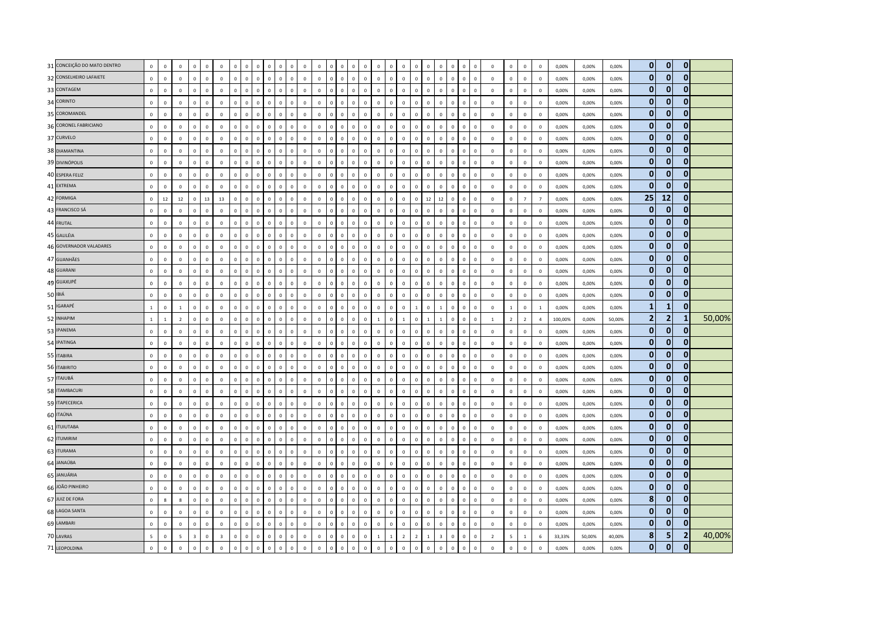| 31 CONCEIÇÃO DO MATO DENTRO | $\mathbf 0$              | $\mathbf 0$  | $\mathbf 0$    | $\mathbf 0$    | $\Omega$    | $\mathsf 0$    | $\mathbf 0$    | $\Omega$     | $\Omega$     | $\Omega$     | $\Omega$     | $\Omega$       | $\mathbf 0$    | $\mathbf 0$  | $\Omega$       | $\mathbf 0$<br>$\mathsf 0$ | $\Omega$                     | $\mathbf 0$    | $\Omega$     | $\mathbf{0}$   | $\Omega$                 | $\overline{0}$ | $\Omega$                | $\Omega$     | $\Omega$     | $\Omega$       | $\mathbf 0$    | $\mathbf 0$              | $\mathbf 0$    | $\mathbb O$    | 0,00%   | 0,00%  | 0,00%  | $\overline{0}$ | $\mathbf{0}$   | $\mathbf 0$    |        |
|-----------------------------|--------------------------|--------------|----------------|----------------|-------------|----------------|----------------|--------------|--------------|--------------|--------------|----------------|----------------|--------------|----------------|----------------------------|------------------------------|----------------|--------------|----------------|--------------------------|----------------|-------------------------|--------------|--------------|----------------|----------------|--------------------------|----------------|----------------|---------|--------|--------|----------------|----------------|----------------|--------|
| 32 CONSELHEIRO LAFAIETE     | $\mathbf 0$              | $\mathsf 0$  | $\mathbf 0$    | $\mathbf 0$    | $\mathbf 0$ | $\mathsf 0$    | $\mathbf 0$    | $\mathbf 0$  | $\mathbf 0$  | $\mathbf 0$  | $\mathbf 0$  | $\mathbf 0$    | $\mathbf 0$    | $\mathbf 0$  | $\mathbb O$    | $\mathbf 0$                | $\mathbf 0$<br>$\mathbf 0$   | $\mathbf 0$    | $\mathbf 0$  | $\mathbf 0$    | $\mathbf 0$              | $\mathbf 0$    | $\mathbf 0$             | $\mathbf 0$  | $\mathbf 0$  | $\mathbf 0$    | $\,$ 0         | $\mathbf 0$              | $\mathbf 0$    | $\mathbf{0}$   | 0,00%   | 0,00%  | 0,00%  | $\mathbf{0}$   | $\bf{0}$       | $\mathbf 0$    |        |
| 33 CONTAGEM                 | $\mathbf 0$              | $\pmb{0}$    | $\mathbf 0$    | $\mathbf 0$    | $\mathbf 0$ | $\Omega$       | $\Omega$       | $\Omega$     | $\Omega$     | $\Omega$     | $\mathbf 0$  | $\Omega$       | $\mathbf 0$    | $\mathbf 0$  | $\mathbf 0$    | $\mathbf 0$                | $\mathbf 0$<br>$\mathbf 0$   | $\mathbf 0$    | $\Omega$     | $\mathbf 0$    | $\Omega$                 | $\overline{0}$ | $\Omega$                | $\Omega$     | $\mathbf 0$  | $\Omega$       | $\mathbf 0$    | $\,0\,$                  | $\,$ 0         | $\mathbb O$    | 0,00%   | 0,00%  | 0,00%  | $\mathbf{0}$   | $\bf{0}$       | $\mathbf{0}$   |        |
| 34 CORINTO                  | $\mathbf{0}$             | $\mathbf{0}$ | $\mathbf 0$    | $\mathbf 0$    | $\Omega$    | $\mathbf 0$    | $\mathbf 0$    | $\mathbf{0}$ | $\mathbf{0}$ | $\Omega$     | $\mathbf 0$  | $\circ$        | $\mathbf{0}$   | $\mathbf{0}$ | $\mathbf 0$    | $\mathbf{0}$               | $\mathbf 0$<br>$\mathbf{0}$  | $\overline{0}$ | $\mathbf{0}$ | $\mathbf{0}$   | $\Omega$                 | $\,$ 0         | $\Omega$                | $\circ$      | $\circ$      | $\mathbf 0$    | $\mathbf 0$    | $\mathbf 0$              | $\mathbf 0$    | $\Omega$       | 0,00%   | 0,00%  | 0,00%  | $\mathbf{0}$   | $\bf{0}$       | $\mathbf{0}$   |        |
| 35 COROMANDEL               | $\mathbf 0$              | $\mathbf 0$  | $\mathbf 0$    | $\mathbf 0$    | $\mathbf 0$ | $\mathsf 0$    | $\mathbf 0$    | $\mathbf 0$  | $\mathbf{0}$ | $\Omega$     | $\mathbf 0$  | $\mathbf 0$    | $\mathbf 0$    | $\mathbf 0$  | $\mathbf 0$    | $\mathbf 0$                | $\mathbf 0$<br>$\mathbf 0$   | $\mathbf 0$    | $\mathbf{0}$ | $\mathbf 0$    |                          | $\mathbf 0$    | $\mathbf 0$             | $\Omega$     | $\mathbf 0$  | $\overline{0}$ | $\mathbf 0$    | $\mathbf 0$              | $\mathbf 0$    | $\mathbb O$    | 0,00%   | 0,00%  | 0,00%  | $\mathbf{0}$   | 0              | $\mathbf 0$    |        |
| 36 CORONEL FABRICIANO       | $\mathbf 0$              | $\mathsf 0$  | $\mathbf 0$    | $\mathbf 0$    | $\mathbf 0$ | $\mathsf 0$    | $\mathbf 0$    | $\mathbf 0$  | $\mathbf 0$  | $\Omega$     | $\mathbf 0$  | $\mathbf 0$    | $\mathbf 0$    | $\mathbf 0$  | $\mathbb O$    | $\,0\,$                    | $\mathbf 0$<br>$\mathbf 0$   | $\,0\,$        | $\mathbf{0}$ | $\mathbf 0$    | $\Omega$                 | $\,$ 0         | $\mathbf 0$             | $\Omega$     | $\mathbf 0$  | $\mathbf 0$    | $\,0\,$        | $\,$ 0                   | $\,$ 0         | $\mathbb O$    | 0,00%   | 0,00%  | 0,00%  | $\mathbf{0}$   | $\bf{0}$       | $\mathbf 0$    |        |
| 37 CURVELO                  | $\mathbf 0$              | $\mathbf 0$  | $\mathbf 0$    | $\mathbf 0$    | $\mathbf 0$ | $\mathsf 0$    | $\mathbf 0$    | $\mathbf{0}$ | $\mathsf 0$  | $\mathbf 0$  | $\mathbf 0$  | $\mathbf 0$    | $\mathbf 0$    | $\mathbf 0$  | $\mathbb O$    | $\mathbf{0}$               | $\mathbf 0$<br>$\mathbf 0$   | $\mathbb O$    | $\mathsf 0$  | $\mathsf 0$    | $\Omega$                 | $\mathbf 0$    | $\mathbf 0$             | $\circ$      | $\mathsf 0$  | $\mathbf 0$    | $\mathbf 0$    | $\mathbf 0$              | $\mathbf 0$    | $\mathbb O$    | 0,00%   | 0,00%  | 0,00%  | $\mathbf{0}$   | $\mathbf{0}$   | $\mathbf 0$    |        |
| 38 DIAMANTINA               | $\Omega$                 | $\Omega$     | $\Omega$       | $\mathbf 0$    | $\Omega$    | $\Omega$       | $\mathbf 0$    | $\Omega$     | $\Omega$     | $\Omega$     | $\mathbf{0}$ | $\Omega$       | $\mathbf{0}$   | $\Omega$     | $\mathbf{0}$   | $\mathbf{0}$               | $\mathbf 0$<br>$\Omega$      | $\mathbf{0}$   | $\Omega$     | $\mathbf{0}$   | $\Omega$                 | $\mathbf{0}$   | $\Omega$                | $\Omega$     | $\mathbf{0}$ | $\Omega$       | $\Omega$       | $\mathbf 0$              | $\mathbf 0$    | $\Omega$       | 0.00%   | 0.00%  | 0.00%  | $\mathbf{0}$   | $\bf{0}$       | $\mathbf{0}$   |        |
| 39 DIVINÓPOLIS              | $\,$ 0                   | $\mathbf 0$  | $\mathbf 0$    | $\mathbf 0$    | $\mathbf 0$ | $\mathsf 0$    | $\mathbf 0$    | $\mathbf 0$  | $\mathbf{0}$ | $\Omega$     | $\mathbf 0$  | $\mathbf 0$    | $\mathbf 0$    | $\mathbf 0$  | $\mathbf 0$    | $\mathbf 0$                | $\mathbf 0$<br>$\mathbf 0$   | $\mathbf 0$    | $\mathbf{0}$ | $\mathbf 0$    | $\Omega$                 | $\,$ 0         | $\mathbf 0$             | $\Omega$     | $\mathbf 0$  | $\mathbf 0$    | $\,0\,$        | $\mathbf 0$              | $\mathbf 0$    | $\,0\,$        | 0,00%   | 0,00%  | 0,00%  | $\mathbf{0}$   | 0              | $\mathbf 0$    |        |
| 40 ESPERA FELIZ             | $\mathbf 0$              | $\mathbf 0$  | $\mathbf 0$    | $\mathbf 0$    | $\mathbf 0$ | $\mathsf 0$    | $\mathbf 0$    | $\mathbf 0$  | $\mathbf 0$  | $\Omega$     | $\mathbf 0$  | $\mathbf 0$    | $\mathbf 0$    | $\mathbf 0$  | $\mathbf 0$    | $\,0\,$                    | $\mathbf 0$<br>$\mathbf 0$   | $\mathbf 0$    | $\mathbf 0$  | $\mathbf 0$    | $\Omega$                 | $\mathbf 0$    | $\mathbf 0$             | $\mathbf 0$  | $\mathbf 0$  | $\,0\,$        | $\,0\,$        | $\,$ 0                   | $\,$ 0         | $\mathbb O$    | 0,00%   | 0,00%  | 0,00%  | $\mathbf{0}$   | 0              | $\mathbf 0$    |        |
| 41 EXTREMA                  | $\mathbf 0$              | $\mathbf 0$  | $\mathbf 0$    | $\mathbf 0$    | $\mathbf 0$ | $\Omega$       | $\Omega$       | $\Omega$     | $\Omega$     | $\Omega$     | $\mathbf 0$  | $\overline{0}$ | $\overline{0}$ | $\mathbf 0$  | $\mathbf 0$    | $\mathbf 0$                | $\mathbf 0$<br>$\mathbf 0$   | $\mathbf 0$    | $\Omega$     | $\mathbf 0$    |                          | $\mathbf 0$    | $\mathbf 0$             | $\Omega$     | $\mathbf 0$  | $\Omega$       | $\mathbf 0$    | $\mathbf 0$              | $\mathbf 0$    | $\mathbf 0$    | 0,00%   | 0,00%  | 0,00%  | $\mathbf{0}$   | $\bf{0}$       | $\mathbf{0}$   |        |
| 42 FORMIGA                  | $\mathbf{0}$             | $12\,$       | $12\,$         | $\mathbf 0$    | 13          | 13             | $\mathbf 0$    | $\Omega$     | $\mathbf{0}$ | $\Omega$     | $\mathbf{0}$ | $\mathbf{0}$   | $\mathbf{0}$   | $\Omega$     | $\mathbf{0}$   | $\overline{0}$             | $\Omega$<br>$\mathbf{0}$     | $\mathbf{0}$   | $\mathbf{0}$ | $\mathbf{0}$   | $\Omega$                 | 12             | 12                      | $\Omega$     | $\mathbf{0}$ | $\Omega$       | $\Omega$       | $\mathbf 0$              | $\overline{7}$ | $\overline{7}$ | 0.00%   | 0,00%  | 0,00%  | 25             | 12             | $\mathbf 0$    |        |
| 43 FRANCISCO SÁ             | $\mathbf 0$              | $\mathsf 0$  | $\mathbf 0$    | $\mathbf 0$    | $\mathbf 0$ | $\mathbf 0$    | $\mathbf 0$    | $\mathbf{0}$ | $\mathbf 0$  | $\mathbf{0}$ | $\mathbf 0$  | $\mathbf 0$    | $\mathbf 0$    | $\mathbf 0$  | $\mathbf 0$    | $\mathbf{0}$               | $\mathbf 0$<br>$\mathbf{0}$  | $\mathbf{0}$   | $\mathsf 0$  | $\mathbf 0$    | $\mathbf 0$              | $\,0\,$        | $\mathbf 0$             | $\mathbf{0}$ | $\mathbf 0$  | $\mathbf 0$    | $\,0\,$        | $\,$ 0                   | $\,0\,$        | $\mathbf{0}$   | 0,00%   | 0,00%  | 0,00%  | $\mathbf{0}$   | 0              | $\mathbf 0$    |        |
| 44 FRUTAL                   | $\mathbf 0$              | $\,0\,$      | $\mathbf 0$    | $\mathbf 0$    | $\mathbf 0$ | $\mathsf 0$    | $\mathbf 0$    | $\mathbf 0$  | $\mathbf{0}$ | $\Omega$     | $\mathbf 0$  | $\mathbf 0$    | $\mathbf 0$    | $\mathbf 0$  | $\mathbf 0$    | $\mathbf{0}$               | $\mathbf 0$<br>$\mathbf 0$   | $\mathbf 0$    | $\mathbf 0$  | $\mathbf 0$    | $\Omega$                 | $\mathbf 0$    | $\mathbf 0$             | $\Omega$     | $\mathbf 0$  | $\mathbf 0$    | $\,$ 0         | $\mathbf 0$              | $\mathbf 0$    | $\mathbf 0$    | 0,00%   | 0,00%  | 0,00%  | $\mathbf{0}$   | $\Omega$       | $\mathbf 0$    |        |
| 45 GALILÉIA                 | $\mathbf 0$              | $\mathbf{0}$ | $\mathbf 0$    | $\mathbf 0$    | $\mathbf 0$ | $\mathbf{0}$   | $\mathbf 0$    | $\mathbb O$  | $\mathbf 0$  | $\Omega$     | $\mathbf 0$  | $\mathbb O$    | $\mathbf 0$    | $\mathbf 0$  | $\mathbf 0$    | $\mathbf 0$                | $\mathbf 0$<br>$\mathbf{0}$  | $\mathbb O$    | $\mathbf 0$  | $\mathbf{0}$   | $\Omega$                 | $\mathbf 0$    | $\mathbf 0$             | $\circ$      | $\mathbf 0$  | $\mathbf 0$    | $\mathbf 0$    | $\mathbf 0$              | $\mathbf 0$    | $\mathbf 0$    | 0,00%   | 0,00%  | 0,00%  | $\mathbf{0}$   | 0              | $\mathbf 0$    |        |
| 46 GOVERNADOR VALADARES     | $\mathbf 0$              | $\Omega$     | $\mathbb O$    | $\mathbf 0$    | $\Omega$    | $\Omega$       | $\mathbf 0$    | $\Omega$     | $\mathbf{0}$ | $\Omega$     | $\mathbf 0$  | $\Omega$       | $\mathbf 0$    | $\Omega$     | $\mathbf{0}$   | $\Omega$                   | $\mathbf 0$<br>$\Omega$      | $\mathbf{0}$   | $\Omega$     | $\mathbf{0}$   | $\Omega$                 | $\mathbf 0$    | $\Omega$                | $\mathbf{0}$ | $\mathbf 0$  | $\Omega$       | $\Omega$       | $\mathbf 0$              | $\mathbf 0$    | $\Omega$       | 0,00%   | 0.00%  | 0,00%  | $\mathbf{0}$   | 0              | $\mathbf 0$    |        |
| 47 GUANHÃES                 | $\mathbf 0$              | $\Omega$     | $\mathbf 0$    | $\mathbf 0$    | $\Omega$    | $\Omega$       | $\mathbf 0$    | $\Omega$     | $\mathbf 0$  | $\Omega$     | $\mathbf 0$  | $\mathbf 0$    | $\mathbf 0$    | $\mathbf 0$  | $\mathbb O$    | $\mathbf 0$                | $\mathbf 0$<br>$\mathbf 0$   | $\mathbf 0$    | $\mathsf 0$  | $\,0\,$        | $\Omega$                 | $\mathbf 0$    | $\Omega$                | $\Omega$     | $\Omega$     | $\Omega$       | $\,0\,$        | $\,$ 0                   | $\,$ 0         | $\Omega$       | 0,00%   | 0,00%  | 0,00%  | $\mathbf{0}$   | $\mathbf{0}$   | $\mathbf 0$    |        |
| 48 GUARANI                  | $\mathbf 0$              | $\mathsf 0$  | $\mathbf 0$    | $\mathbf 0$    | $\mathbf 0$ | $\mathsf 0$    | $\mathbf 0$    | $\mathbf 0$  | $\mathbf 0$  | $\mathsf 0$  | $\mathbf 0$  | $\mathbb O$    | $\mathbf 0$    | $\mathbf 0$  | $\mathbf 0$    | $\overline{0}$             | $\mathbf 0$<br>$\mathbf 0$   | $\mathbf 0$    | $\mathsf 0$  | $\mathbf 0$    | $\Omega$                 | $\mathbf 0$    | $\mathbf 0$             | $\circ$      | $\mathbf 0$  | $\mathbf 0$    | $\mathbf 0$    | $\mathbf 0$              | $\mathbf 0$    | $\mathbb O$    | 0,00%   | 0,00%  | 0,00%  | $\mathbf{0}$   | $\mathbf{0}$   | $\mathbf{0}$   |        |
| 49 GUAXUPÉ                  | $\mathbf 0$              | $\mathbf 0$  | $\mathbf 0$    | $\mathbf 0$    | $\mathbf 0$ | $\mathsf 0$    | $\Omega$       | $\Omega$     | $\mathbf{0}$ | $\Omega$     | $\mathbf 0$  | $\mathbf 0$    | $\mathbf 0$    | $\mathbf 0$  | $\mathbf{0}$   | $\mathbf{0}$               | $\mathbf{0}$<br>$\mathbf{0}$ | $\mathbb O$    | $\mathbf{0}$ | $\mathbf{0}$   | $\Omega$                 | $\overline{0}$ | $\mathbf 0$             | $\Omega$     | $\mathsf 0$  | $\mathbf{0}$   | $\mathbf 0$    | $\mathbf 0$              | $\mathbf 0$    | $\mathbb O$    | 0,00%   | 0,00%  | 0,00%  | $\mathbf{0}$   | $\mathbf{0}$   | $\mathbf 0$    |        |
| 50 IBIÁ                     | $\mathbf 0$              | $\mathbf 0$  | $\mathbf 0$    | $\mathbf 0$    | $\Omega$    | $\Omega$       | $\mathbf 0$    | $\Omega$     | $\mathbf{0}$ | $\Omega$     | $\mathbf 0$  | $\Omega$       | $\mathbf 0$    | $\Omega$     | $\mathbf{0}$   | $\mathbf 0$                | $\mathbf 0$<br>$\mathbf 0$   | $\mathbf 0$    | $\mathbf{0}$ | $\mathbf 0$    | $\Omega$                 | $\mathbf 0$    | $\Omega$                | $\Omega$     | $\mathbf{0}$ | $\Omega$       | $\mathbf 0$    | $\,$ 0                   | $\,$ 0         | $\overline{0}$ | 0,00%   | 0,00%  | 0,00%  | $\mathbf{0}$   | 0              | $\mathbf 0$    |        |
| 51 IGARAPÉ                  | $\overline{1}$           | $\mathbf 0$  | $\mathbf{1}$   | $\mathbf 0$    | $\Omega$    | $\mathsf 0$    | $\mathbf 0$    | $\Omega$     | $\mathbf{0}$ | $\Omega$     | $\mathbf 0$  | $\mathbf{0}$   | $\mathbf 0$    | $\mathbf{0}$ | $\mathbf{0}$   | $\mathbf 0$                | $\mathbf 0$<br>$\Omega$      | $\circ$        | $\mathbf 0$  | $\mathbf 0$    |                          | $\mathbf 0$    | $\mathbf{1}$            | $\Omega$     | $\mathbf 0$  | $\mathbf 0$    | $\mathbb O$    | $\,$ 1 $\,$              | $\,0\,$        | $\mathbf{1}$   | 0,00%   | 0,00%  | 0,00%  | $\mathbf{1}$   | 1              | $\mathbf 0$    |        |
| 52 INHAPIM                  | $\mathbf{1}$             | $\mathbf{1}$ | $\overline{2}$ | $\mathbf 0$    | $\mathbf 0$ | $\mathsf 0$    | $\overline{0}$ | $\Omega$     | $\mathbf{0}$ | $\Omega$     | $\mathbf 0$  | $\overline{0}$ | $\mathbf 0$    | $\mathbf 0$  | $\mathbf{0}$   | $\mathbf 0$                | $\mathbf 0$<br>$\mathsf 0$   | $\mathbf{1}$   | $\mathbf{0}$ | $\mathbf{1}$   |                          | $\overline{1}$ | $\overline{1}$          | $\Omega$     | $\mathbf 0$  | $\mathbf 0$    | $\overline{1}$ | $\overline{2}$           | $\overline{2}$ | $\overline{4}$ | 100,00% | 0,00%  | 50,00% | $\overline{2}$ | $\overline{2}$ | $\mathbf{1}$   | 50,00% |
| 53 IPANEMA                  | $\mathbf 0$              | $\mathbf 0$  | $\mathbf 0$    | $\mathbf 0$    | $\mathbf 0$ | $\mathbf{0}$   | $\mathbf 0$    | $\Omega$     | $\mathbf 0$  | $\Omega$     | $\mathbf 0$  | $\mathbf 0$    | $\mathbf 0$    | $\mathbf 0$  | $\mathbf 0$    | $\circ$                    | $\mathbf 0$<br>$\mathbf 0$   | $\mathbf 0$    | $\mathbf 0$  | $\mathbf{0}$   | $\Omega$                 | $\mathbf 0$    | $\mathbf 0$             | $\mathbf 0$  | $\mathbf 0$  | $\mathbf 0$    | $\mathbf 0$    | $\mathbf 0$              | $\mathbf 0$    | $\mathbf 0$    | 0,00%   | 0,00%  | 0,00%  | $\mathbf{0}$   | $\mathbf{0}$   | $\mathbf 0$    |        |
| 54 IPATINGA                 | $\mathbf 0$              | $\mathbf 0$  | $\mathbb O$    | $\mathbf 0$    | $\mathbf 0$ | $\mathsf 0$    | $\overline{0}$ | $\mathbf 0$  | $\mathbf 0$  | $\mathsf 0$  | $\mathbf 0$  | $\mathbf 0$    | $\mathbf 0$    | $\mathbf 0$  | $\mathbf 0$    | $\mathbf{0}$               | $\mathbf 0$<br>$\mathbf{0}$  | $\mathbf{0}$   | $\mathbf 0$  | $\mathbf 0$    | $\Omega$                 | $\mathbf 0$    | $\mathbf 0$             | $\mathbf{0}$ | $\mathbf 0$  | $\mathbf 0$    | $\mathbf 0$    | $\mathbf 0$              | $\mathbf 0$    | $\mathbf{0}$   | 0,00%   | 0,00%  | 0,00%  | $\mathbf{0}$   | $\overline{0}$ | $\mathbf 0$    |        |
| 55 ITABIRA                  | $\mathbf 0$              | $\mathbf 0$  | $\mathbf 0$    | $\mathbf 0$    | $\mathbf 0$ | $\mathsf 0$    | $\mathbf 0$    | $\mathbf{0}$ | $\mathbf{0}$ | $\Omega$     | $\mathbf 0$  | $\mathbf{0}$   | $\mathbf 0$    | $\circ$      | $\mathbb O$    | $\mathbf{0}$               | $\mathbf 0$<br>$\mathbf{0}$  | $\mathbf{0}$   | $\mathbf 0$  | $\mathbf 0$    | $\Omega$                 | $\mathbf 0$    | $\mathbf 0$             | $\Omega$     | $\mathbf 0$  | $\mathbb O$    | $\mathbb O$    | $\,0\,$                  | $\,$ 0         | $\mathbf 0$    | 0,00%   | 0,00%  | 0,00%  | $\mathbf{0}$   | $\bf{0}$       | $\mathbf 0$    |        |
| 56 ITABIRITO                | $\mathbf 0$              | $\mathbf{0}$ | $\mathbf 0$    | $\mathbf 0$    | $\mathbf 0$ | $\mathsf 0$    | $\mathbf 0$    | $\mathbf 0$  | $\mathbf{0}$ | $\mathsf 0$  | $\mathbf 0$  | $\mathbb O$    | $\mathbf 0$    | $\mathbf 0$  | $\mathbf 0$    | $\circ$                    | $\mathbf 0$<br>$\mathbf 0$   | $\mathbf 0$    | $\mathbf 0$  | $\mathbf{0}$   | $\mathbf 0$              | $\mathbf 0$    | $\mathbf 0$             | $\mathbf 0$  | $\mathsf 0$  | $\mathbf 0$    | $\mathbf 0$    | $\mathbf 0$              | $\mathbf 0$    | $\mathbb O$    | 0,00%   | 0,00%  | 0,00%  | $\mathbf{0}$   | 0              | $\mathbf 0$    |        |
| 57 ITAJUBÁ                  | $\mathbf 0$              | $\mathbf 0$  | $\mathbb O$    | $\mathbf 0$    | $\mathbf 0$ | $\mathsf 0$    | $\Omega$       | $\Omega$     | $\mathbf{0}$ | $\Omega$     | $\mathbf 0$  | $\mathbf 0$    | $\mathbb O$    | $\mathbf 0$  | $\overline{0}$ | $\mathbf 0$                | $\mathbf 0$<br>$\mathbf{0}$  | $\mathbf 0$    | $\mathbf{0}$ | $\mathbf{0}$   | $\Omega$                 | $\mathbf 0$    | $\mathbf 0$             | $\Omega$     | $\mathbf 0$  | $\mathbf 0$    | $\mathbf 0$    | $\mathbf 0$              | $\mathbf 0$    | $\mathbb O$    | 0,00%   | 0,00%  | 0,00%  | $\mathbf{0}$   | $\bf{0}$       | $\mathbf 0$    |        |
| 58 ITAMBACURI               | $\mathbf 0$              | $\Omega$     | $\mathbf 0$    | $\mathbf{0}$   | $\Omega$    | $\mathbf 0$    | $\mathbf 0$    | $\mathbf{0}$ | $\mathbf{0}$ | $\mathbf 0$  | $\mathbf 0$  | $\mathbf{0}$   | $\mathbf{0}$   | $\mathbf{0}$ | $\mathbf 0$    | $\mathbf{0}$               | $\mathbf{0}$<br>$\mathbf{0}$ | $\mathbf 0$    | $\mathbf{0}$ | $\Omega$       | $\Omega$                 | $\mathbf{0}$   | $\Omega$                | $\circ$      | $\mathbf{0}$ | $\Omega$       | $\mathbf 0$    | $\mathbf{0}$             | $\overline{0}$ | $\Omega$       | 0.00%   | 0.00%  | 0.00%  | $\mathbf{0}$   | $\mathbf{0}$   | $\mathbf{0}$   |        |
| 59 ITAPECERICA              | $\mathbf 0$              | $\mathsf 0$  | $\mathbb O$    | $\mathbf 0$    | $\mathbf 0$ | $\mathsf 0$    | $\mathbf 0$    | $\mathbf 0$  | $\mathbf 0$  | $\Omega$     | $\mathbf 0$  | $\mathbf 0$    | $\mathbf 0$    | $\mathbf 0$  | $\mathbb O$    | $\mathbf 0$                | $\mathbf 0$<br>$\mathbf{0}$  | $\mathbb O$    | $\mathbf 0$  | $\mathbf 0$    | $^{\circ}$               | $\,$ 0         | $\mathbf 0$             | $\circ$      | $\mathsf 0$  | $\mathbb O$    | $\mathbf 0$    | $\mathbf 0$              | $\mathbf 0$    | $\mathbf 0$    | 0,00%   | 0,00%  | 0,00%  | $\mathbf{0}$   | $\bf{0}$       | $\mathbf 0$    |        |
| 60 ITAÚNA                   | $\mathbf 0$              | $\mathbf 0$  | $\mathbf 0$    | $\mathbf 0$    | $\mathbf 0$ | $\mathsf 0$    | $\overline{0}$ | $\mathbf 0$  | $\mathbf{0}$ | $\mathbf 0$  | $\mathbf 0$  | $\overline{0}$ | $\mathbf 0$    | $\mathbf 0$  | $\mathbf{0}$   | $\mathbf 0$                | $\mathbf 0$<br>$\mathbf 0$   | $\mathbf{0}$   | $\mathbf{0}$ | $\mathbf{0}$   |                          | $\overline{0}$ | $\mathbf 0$             | $\Omega$     | $\mathsf 0$  | $\mathbf 0$    | $\overline{0}$ | $\mathbf 0$              | $\mathbf 0$    | $\mathbb O$    | 0,00%   | 0,00%  | 0,00%  | $\mathbf{0}$   | $\bf{0}$       | $\mathbf 0$    |        |
| 61 <b>ITUIUTABA</b>         | $\mathbf 0$              | $\mathbf 0$  | $\mathbf 0$    | $\mathbf 0$    | $\mathbf 0$ | $\mathsf 0$    | $\mathbf 0$    | $\mathbf 0$  | $\mathbf 0$  | $\mathsf 0$  | $\mathbf 0$  | $\mathbb O$    | $\mathbf 0$    | $\mathbf 0$  | $\mathbb O$    | $\mathbf 0$                | $\mathbf 0$<br>$\mathsf 0$   | $\mathbf 0$    | $\mathbf 0$  | $\mathbf{0}$   | $\mathbf 0$              | $\,$ 0 $\,$    | $\mathbf 0$             | $\mathbf 0$  | $\mathbf 0$  | $\overline{0}$ | $\mathbf 0$    | $\mathbf 0$              | $\mathbf 0$    | $\mathbf 0$    | 0,00%   | 0,00%  | 0,00%  | $\mathbf{0}$   | 0              | $\mathbf 0$    |        |
| 62 ITUMIRIM                 | $\Omega$                 | $\Omega$     | $\mathbf 0$    | $\mathbf{0}$   | $\Omega$    | $\Omega$       | $\Omega$       | $\Omega$     | $\Omega$     | $\Omega$     | $\mathbf 0$  | $\mathbf{0}$   | $\mathbf 0$    | $\mathbf{0}$ | $\Omega$       | $\Omega$<br>$\Omega$       | $\Omega$                     | $\Omega$       | $\Omega$     | $\Omega$       |                          | $\mathbf 0$    | $\Omega$                | $\Omega$     | $\Omega$     | $\Omega$       | $\mathbf 0$    | $\mathbf{0}$             | $\mathbf 0$    | $\Omega$       | 0.00%   | 0.00%  | 0.00%  | $\mathbf{0}$   | $\Omega$       | $\mathbf 0$    |        |
| 63 ITURAMA                  | $\mathbf 0$              | $\mathbf 0$  | $\mathbf 0$    | $\mathbf 0$    | $\mathbf 0$ | $\mathsf 0$    | $\mathbf 0$    | $\Omega$     | $\mathbf 0$  | $\Omega$     | $\mathbf 0$  | $\mathbf 0$    | $\mathbf 0$    | $\mathbf 0$  | $\mathbf 0$    | $\mathsf 0$                | $\mathbf 0$<br>$\mathsf 0$   | $\mathbf 0$    | $\mathbf 0$  | $\mathbf 0$    | $\Omega$                 | $\mathbf 0$    | $\mathbf 0$             | $\Omega$     | $\mathbf 0$  | $\mathbf 0$    | $\mathbf 0$    | $\mathbf 0$              | $\mathbf 0$    | $\mathbf 0$    | 0,00%   | 0,00%  | 0,00%  | $\mathbf{0}$   | $\mathbf{0}$   | $\mathbf 0$    |        |
| 64 JANAÚBA                  | $\mathbf 0$              | $\mathbf 0$  | $\mathbf 0$    | $\mathbf 0$    | $\mathbf 0$ | $\mathsf 0$    | $\mathbf 0$    | $\mathbf 0$  | $\mathbf 0$  | $\mathbf 0$  | $\mathbf 0$  | $\mathbf 0$    | $\mathbf 0$    | $\mathbf 0$  | $\mathbf 0$    | $\mathbf{0}$               | $\mathbf 0$<br>$\mathsf 0$   | $\mathbf 0$    | $\mathsf 0$  | $\mathsf 0$    | $\mathbf 0$              | $\,$ 0         | $\mathbf 0$             | $\mathbf 0$  | $\mathbf 0$  | $\mathbf 0$    | $\mathbf 0$    | $\,$ 0                   | $\,$ 0         | $\overline{0}$ | 0,00%   | 0,00%  | 0,00%  | $\mathbf{0}$   | $\bf{0}$       | $\mathbf 0$    |        |
| 65 JANUÁRIA                 | $\mathbf 0$              | $\mathbf 0$  | $\mathbf 0$    | $\mathbf 0$    | $\mathbf 0$ | $\Omega$       | $\Omega$       | $\Omega$     | $\Omega$     | $\Omega$     | $\mathbf 0$  | $\Omega$       | $\mathbf{0}$   | $\mathbf{0}$ | $\mathbf{0}$   | $\mathsf 0$                | $\mathbf 0$<br>$\mathbf{0}$  | $\mathbf 0$    | $\Omega$     | $\mathbf 0$    | $\Omega$                 | $\Omega$       | $\Omega$                | $\Omega$     | $\mathbf 0$  | $\Omega$       | $\mathbf 0$    | $\mathbf 0$              | $\mathbf 0$    | $\mathbf 0$    | 0,00%   | 0,00%  | 0,00%  | $\mathbf{0}$   | $\mathbf{0}$   | $\mathbf 0$    |        |
| 66 JOÃO PINHEIRO            | $\Omega$                 | $\Omega$     | $\mathbf 0$    | $\mathbf 0$    | $\Omega$    | $\mathbf 0$    | $\mathbf 0$    | $\Omega$     | $\mathbf{0}$ | $\Omega$     | $\mathbf 0$  | $\mathbf 0$    | $\mathbf 0$    | $\mathbf{0}$ | $\mathbf{0}$   | $\overline{0}$             | $\mathbf 0$<br>$\mathbf{0}$  | $\mathbf 0$    | $\Omega$     | $\mathbf 0$    | $\Omega$                 | $\mathbf{0}$   | $\Omega$                | $\Omega$     | $\mathbf{0}$ | $\Omega$       | $\Omega$       | $\mathbf 0$              | $\mathbf 0$    | $\Omega$       | 0,00%   | 0,00%  | 0,00%  | $\mathbf{0}$   | $\bf{0}$       | $\mathbf 0$    |        |
| 67 JUIZ DE FORA             | $\mathbf 0$              | 8            | $\bf8$         | $\mathbf 0$    | $\mathbf 0$ | $\mathsf 0$    | $\mathbf 0$    | $\mathbf 0$  | $\mathbf 0$  | $\mathsf 0$  | $\mathbf 0$  | $\mathbf 0$    | $\mathbf 0$    | $\mathbf 0$  | $\mathbb O$    | $\mathbf{0}$               | $\mathbf 0$<br>$\mathbf{0}$  | $\mathbf 0$    | $\mathbf 0$  | $\mathbf 0$    | $\mathbf 0$              | $\,$ 0         | $\mathbf 0$             | $\mathbf 0$  | $\mathbf 0$  | $\mathbf 0$    | $\mathbf 0$    | $\mathbf 0$              | $\mathbf 0$    | $\mathbb O$    | 0,00%   | 0,00%  | 0,00%  | 8              | 0              | $\mathbf 0$    |        |
| 68 LAGOA SANTA              | $\mathbf 0$              | $\mathbf 0$  | $\mathbf 0$    | $\mathbf 0$    | $\mathbf 0$ | $\mathbf 0$    | $\overline{0}$ | $\mathbf 0$  | $\mathbf 0$  | $\mathbf 0$  | $\pmb{0}$    | $\overline{0}$ | $\overline{0}$ | $\mathbf 0$  | $\mathbf 0$    | $\mathbf 0$                | $\mathbf 0$<br>$\mathsf 0$   | $\mathbf 0$    | $\mathbf 0$  | $\mathbf 0$    |                          | $\overline{0}$ | $\mathbf 0$             | $\Omega$     | $\mathbf 0$  | $\overline{0}$ | $\mathbf 0$    | $\mathbf 0$              | $\,$ 0         | $\mathbf 0$    | 0,00%   | 0,00%  | 0,00%  | $\mathbf{0}$   | $\mathbf{0}$   | $\mathbf 0$    |        |
| 69 LAMBARI                  | $\mathbf 0$              | $\mathbf 0$  | $\mathbf 0$    | $\mathbf 0$    | $\mathbf 0$ | $\mathsf 0$    | $\mathbf 0$    | $\mathbf{0}$ | $\mathsf 0$  | $\mathbf{0}$ | $\mathbf 0$  | $\mathbf 0$    | $\mathbf 0$    | $\mathbf 0$  | $\mathbb O$    | $\mathbf{0}$               | $\mathbf 0$<br>$\mathbf{0}$  | $\mathbb O$    | $\mathsf 0$  | $\mathsf 0$    | $\Omega$                 | $\mathbf 0$    | $\mathbf 0$             | $\circ$      | $\mathsf 0$  | $\mathbf 0$    | $\mathbf 0$    | $\mathbf 0$              | $\mathbf 0$    | $\Omega$       | 0,00%   | 0,00%  | 0,00%  | $\mathbf{0}$   | $\mathbf{0}$   | $\mathbf{0}$   |        |
| 70 LAVRAS                   | $\overline{\phantom{a}}$ | $\Omega$     | $\overline{5}$ | $\overline{3}$ | $\Omega$    | $\overline{3}$ | $\mathbf 0$    | $\Omega$     | $\mathbf 0$  | $\Omega$     | $\mathbf 0$  | $\mathbf 0$    | $\mathbf 0$    | $\mathbf 0$  | $\mathbf 0$    | $\mathbf 0$                | $\mathbf 0$<br>$\mathbf{0}$  | $\mathbf{1}$   | $\mathbf{1}$ | $\overline{2}$ | $\overline{\phantom{0}}$ | $\overline{1}$ | $\overline{\mathbf{3}}$ | $\Omega$     | $\mathbf 0$  | $\Omega$       | $\overline{2}$ | $\overline{\phantom{a}}$ | $\mathbf{1}$   | 6              | 33,33%  | 50.00% | 40,00% | 8              | 5              | $\overline{2}$ | 40,00% |
| 71 LEOPOLDINA               | $\mathbf 0$              | $\mathbf 0$  | $\mathbf 0$    | $\mathbf 0$    | $\mathbf 0$ | $\mathbf 0$    | $\overline{0}$ | $\mathbf 0$  | $\mathbf{0}$ | $\Omega$     | $\mathbf 0$  | $\mathbf 0$    | $\mathbf 0$    | $\mathbf 0$  | $\mathbf 0$    | $\mathbf 0$                | $\mathbf 0$<br>$\mathsf 0$   | $\mathbf 0$    | $\mathbf 0$  | $\mathbf 0$    |                          | $\,$ 0         | $\mathbf 0$             | $\Omega$     | $\mathbf 0$  | $\mathbf 0$    | $\overline{0}$ | $\overline{0}$           | $\,$ 0         | $\mathbf 0$    | 0,00%   | 0,00%  | 0,00%  | $\mathbf{0}$   | 0              | $\mathbf{0}$   |        |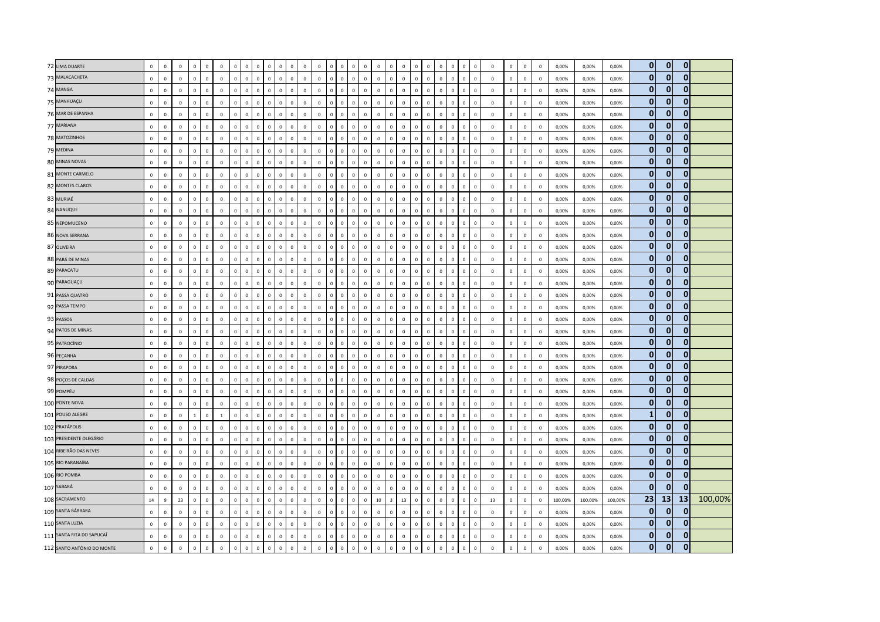| 72 LIMA DUARTE             | $\mathbf 0$  | $\mathsf 0$  | $\mathbf 0$  | $\mathbf{0}$   | $\,0\,$      | $\mathbf 0$  | $\mathbf 0$  | $\mathbf 0$    | $\mathsf 0$    | $\mathbf 0$  | $\mathbf 0$                 |                      |                | $\mathbf 0$  |                |              | $\mathbf 0$                  | $\mathbf 0$  | $\mathsf 0$             | $\mathbf 0$  | $\mathbf 0$    | $\mathbf 0$    |                            | $\mathbf 0$                 | $\mathbf 0$                | $\mathbf 0$    | $\mathbf 0$    | $\circ$        | $\,$ 0       | 0,00%   | 0,00%   | 0,00%   | $\mathbf{0}$ | $\Omega$       | $\mathbf 0$  |         |
|----------------------------|--------------|--------------|--------------|----------------|--------------|--------------|--------------|----------------|----------------|--------------|-----------------------------|----------------------|----------------|--------------|----------------|--------------|------------------------------|--------------|-------------------------|--------------|----------------|----------------|----------------------------|-----------------------------|----------------------------|----------------|----------------|----------------|--------------|---------|---------|---------|--------------|----------------|--------------|---------|
| 73 MALACACHETA             | $\mathbf 0$  | $\mathsf 0$  | $\mathbf 0$  | $\circ$        | $\mathbf 0$  | $\mathbf 0$  | $\mathbf 0$  | $\mathbf{0}$   | $\mathsf 0$    | $\mathbf{0}$ | $\mathbf 0$                 | $\mathbf 0$          | $\mathbf 0$    | $\mathbf 0$  | $\mathbf 0$    | $\mathsf 0$  | $\mathbf 0$<br>$\mathsf 0$   | $\mathbf 0$  | $\mathsf 0$             | $\mathbf 0$  | $\mathbf 0$    | $\mathbf 0$    | $\mathbf 0$                | $\mathbf 0$                 | $\mathbf 0$<br>$\mathbf 0$ | $\mathbf 0$    | $\circ$        | $\mathbf 0$    | $\mathbf 0$  | 0,00%   | 0,00%   | 0,00%   | $\mathbf{0}$ | $\mathbf{0}$   | $\mathbf{0}$ |         |
| 74 MANGA                   | $\mathbf 0$  | $\mathbf 0$  | $\mathbf 0$  | $\mathbf{0}$   | $\mathbf 0$  | $\mathbf 0$  | $\mathbf 0$  | $\circ$        | $\mathsf 0$    | $\mathbf{0}$ | $\mathbf 0$                 | $\mathbf 0$          | $\mathbf 0$    | $\mathbf 0$  | $\overline{0}$ | $\mathbf{0}$ | $\mathbf 0$<br>$\mathbf 0$   | $\mathbf 0$  | $\mathsf 0$             | $\mathbf 0$  | $\mathbf{0}$   | $\mathbf 0$    | $\mathbf 0$<br>$\mathbf 0$ | $\mathbf 0$                 | $\mathbf 0$                | $\mathbf 0$    | $\overline{0}$ | $\mathbf{0}$   | $\mathbf 0$  | 0,00%   | 0,00%   | 0,00%   | $\mathbf{0}$ | $\mathbf 0$    | $\mathbf 0$  |         |
| 75 MANHUAÇU                | $\mathbf 0$  | $\mathbf 0$  | $\mathbf 0$  | $\overline{0}$ | $\mathbf 0$  | $\,0\,$      | $\mathbf 0$  | $\overline{0}$ | $\mathbf 0$    | $\mathbf{0}$ | $\mathbf 0$                 | $\circ$              | $\overline{0}$ | $\mathbf 0$  | $\mathbf{0}$   | $\Omega$     | $\mathbf 0$<br>$\mathbf{0}$  | $\circ$      | $\mathsf 0$             | $\mathsf 0$  | $\circ$        | $\mathbf 0$    | $\Omega$                   | $\mathbf 0$<br>$\Omega$     | $\mathbf 0$                | $\,$ 0         | $\mathbf{0}$   | $\overline{0}$ | $\,$ 0       | 0,00%   | 0,00%   | 0,00%   | $\mathbf{0}$ | $\mathbf{0}$   | $\mathbf{0}$ |         |
| 76 MAR DE ESPANHA          | $\mathbf 0$  | $\mathsf 0$  | $\mathbf 0$  | $\mathbf{0}$   | $\mathbf 0$  | $\mathbf{0}$ | $\mathbf 0$  | $\circ$        | $\mathsf 0$    | $\mathbf{0}$ | $\mathbf 0$                 | $\mathbf{0}$         | $\mathbb O$    | $\mathbf 0$  | $\,$ 0 $\,$    | $\mathsf 0$  | $\mathbf 0$<br>$\mathbf 0$   | $\mathbf 0$  | $\mathsf 0$             | $\mathsf 0$  | $\mathbf 0$    | $\mathbf 0$    | $\mathbf 0$                | $\mathbf 0$                 | $\mathbf 0$<br>$\mathbf 0$ | $\mathbf 0$    | $\mathbf 0$    | $\mathbf 0$    | $\mathbf 0$  | 0,00%   | 0,00%   | 0,00%   | $\mathbf{0}$ | $\mathbf 0$    | $\mathbf 0$  |         |
| 77 MARIANA                 | $\mathbf 0$  | $\mathbf 0$  | $\mathbf 0$  | $\mathbf 0$    | $\mathbf 0$  | $\mathbf 0$  | $\mathbf 0$  | $\mathbf 0$    | $\mathsf 0$    | $\mathsf 0$  | $\mathbf 0$                 | $\mathbf 0$          | $\overline{0}$ | $\mathbf 0$  | $\overline{0}$ | $\mathbf 0$  | $\mathbf 0$<br>$\mathbf 0$   | $\mathbf 0$  | $\mathsf 0$             | $\mathbf 0$  | $\mathbf 0$    | $\mathbf 0$    | $\mathbf 0$                | $\mathbf{0}$                | $\overline{0}$             | $\mathbf 0$    | $\,0\,$        | $\mathbf 0$    | $\mathbf 0$  | 0,00%   | 0,00%   | 0,00%   | $\mathbf{0}$ | $\bf{0}$       | $\mathbf 0$  |         |
| 78 MATOZINHOS              | $\mathbf{0}$ | $\mathbf{0}$ | $\mathbf 0$  | $\overline{0}$ | $\mathbf 0$  | $\mathbf{0}$ | $\mathbf{0}$ | $\overline{0}$ | $\overline{0}$ | $\mathbf{0}$ | $\mathbf{0}$                | $\circ$              | $\mathbf{0}$   | $\mathbf{0}$ | $\mathbf 0$    | $\circ$      | $\mathbf 0$<br>$\mathbf{0}$  | $\mathbf{0}$ | $\mathbf 0$             | $\mathbf{0}$ | $\circ$        | $\mathbf{0}$   | $\mathbf 0$                | $\mathbf{0}$<br>$\Omega$    | $\mathbf 0$                | $\mathbf{0}$   | $\overline{0}$ | $\mathbf{0}$   | $\Omega$     | 0.00%   | 0.00%   | 0.00%   | $\mathbf{0}$ | $\mathbf{0}$   | $\mathbf{0}$ |         |
| 79 MEDINA                  | $\mathbf 0$  | $\mathsf 0$  | $\mathbf 0$  | $\overline{0}$ | $\,0\,$      | $\mathbf 0$  | $\mathbf 0$  | $\mathbf{0}$   | $\,0\,$        | $\mathbf{0}$ | $\mathbf 0$                 | $\circ$              | $\overline{0}$ | $\mathbf 0$  | $\,0\,$        | $\circ$      | $\,0\,$<br>$\mathbf 0$       | $\circ$      | $\mathsf 0$             | $\mathsf 0$  | $\circ$        | $\,0\,$        | $\mathbf{0}$<br>$^{\circ}$ | $\mathsf 0$                 | $\,0\,$                    | $\mathbf 0$    | $\mathbf 0$    | $\mathbf 0$    | $\circ$      | 0,00%   | 0,00%   | 0,00%   | $\mathbf{0}$ | $\mathbf{0}$   | $\mathbf 0$  |         |
| 80 MINAS NOVAS             | $\mathbf 0$  | $\mathbf 0$  | $\mathbf 0$  | $\mathbb O$    | $\mathbf 0$  | $\mathbf 0$  | $\mathbf 0$  | $\mathbf 0$    | $\mathsf 0$    | $\mathsf 0$  | $\mathbf{0}$                | $\mathbf 0$          | $\mathbf 0$    | $\mathbf 0$  | $\overline{0}$ | $\mathsf 0$  | $\mathbf 0$<br>$\mathbf 0$   | $\mathbf 0$  | $\mathsf 0$             | $\mathbf 0$  | $\mathbf 0$    | $\mathbf 0$    | $\mathbf 0$<br>$\mathbf 0$ | $\mathbf{0}$                | $\mathbf 0$                | $\mathbf 0$    | $\mathsf 0$    | $\mathbf 0$    | $\mathbf 0$  | 0,00%   | 0,00%   | 0,00%   | $\mathbf{0}$ | $\mathbf{0}$   | $\mathbf 0$  |         |
| 81 MONTE CARMELO           | $\mathbf 0$  | $\mathbf 0$  | $\mathbf 0$  | $\mathbf{0}$   | $\mathbf 0$  | $\mathbf 0$  | $\mathbf 0$  | $\mathbf{0}$   | $\mathsf 0$    | $\mathbf{0}$ | $\mathbf 0$                 | $\mathbf 0$          | $\mathbf 0$    | $\mathbf 0$  | $\mathbf 0$    | $\mathsf 0$  | $\mathbf 0$<br>$\mathbf 0$   | $\mathbf 0$  | $\mathbf 0$             | $\mathbf 0$  | $\mathbf{0}$   | $\mathbf 0$    | $\mathbf 0$                | $\mathbf 0$<br>$\mathbf{0}$ | $\mathbf 0$                | $\,$ 0         | $\mathbf 0$    | $\mathbf 0$    | $\mathbf 0$  | 0,00%   | 0,00%   | 0,00%   | 0            | $\mathbf{0}$   | $\mathbf 0$  |         |
| 82 MONTES CLAROS           | $\mathbf{0}$ | $\Omega$     | $\mathbf{0}$ | $\mathbf 0$    | $\mathbf 0$  | $\mathbf{0}$ | $\mathbf 0$  | $\circ$        | $\mathbf 0$    | $\Omega$     | $\Omega$<br>$\Omega$        |                      | $\mathbf{0}$   | $\mathbf{0}$ | $\Omega$       | $\Omega$     | $\Omega$<br>$\Omega$         | $\Omega$     | $\mathbf 0$             | $\Omega$     | $\Omega$       | $\overline{0}$ | $\Omega$<br>$\Omega$       | $\Omega$                    | $\Omega$                   | $\overline{0}$ | $\mathbf{0}$   | $\mathbf{0}$   | $\Omega$     | 0.00%   | 0.00%   | 0.00%   | $\mathbf{0}$ | 0              | $\mathbf 0$  |         |
| 83 MURIAÉ                  | $\mathbf 0$  | $\mathbf 0$  | $\mathbf 0$  | $\Omega$       | $\mathbf 0$  | $\mathbf 0$  | $\mathbf 0$  | $\mathbf 0$    | $\mathsf 0$    | $\Omega$     | $\mathbf{0}$                | $\mathbf 0$          | $\mathbf{0}$   | $\mathbf 0$  | $\Omega$       | $\Omega$     | $\mathbf 0$<br>$\Omega$      | $\mathbf 0$  | $\mathsf 0$             | $\mathsf 0$  | $\Omega$       | $\mathbf 0$    | $\mathbf 0$<br>$\Omega$    | $\mathsf 0$                 | $\mathbf 0$                | $\,$ 0         | $\,0\,$        | $\mathbf 0$    | $\mathbf 0$  | 0,00%   | 0,00%   | 0,00%   | $\mathbf{0}$ | $\mathbf{0}$   | $\mathbf{0}$ |         |
| 84 NANUQUE                 | $\mathbf 0$  | $\mathbf 0$  | $\,0\,$      | $\overline{0}$ | $\mathbf 0$  | $\mathbf 0$  | $\,$ 0       | $\mathbf{0}$   | $\,0\,$        | $\mathbf 0$  | $\mathbf 0$                 | $\mathbf 0$          | $\mathbb O$    | $\mathbf 0$  | $\,0\,$        | $\mathbf{0}$ | $\mathbf 0$<br>$\mathbf{0}$  | $\mathbf 0$  | $\mathbf 0$             | $\mathbf 0$  | $\circ$        | $\mathbf 0$    | $\mathbf 0$                | $\mathbf 0$<br>$\mathbf{0}$ | $\mathbf 0$                | $\,0\,$        | $\mathbf 0$    | $\mathbf 0$    | $\,0\,$      | 0,00%   | 0,00%   | 0,00%   | $\mathbf{0}$ | $\mathbf{0}$   | $\mathbf 0$  |         |
| 85 NEPOMUCENO              | $\mathbf 0$  | $\mathbf 0$  | $\mathbf 0$  | $\mathbf 0$    | $\mathbf 0$  | $\mathbf{0}$ | $\mathbf{0}$ | $\mathbf 0$    | $\mathbf 0$    | $\mathbf 0$  | $\Omega$                    | $\circ$              | $\overline{0}$ | $\mathbf 0$  | $\Omega$       | $\mathbf 0$  | $\mathbf 0$<br>$\Omega$      | $\mathbf{0}$ | $\mathbf{0}$            | $\mathbf 0$  | $\mathbf{0}$   | $\,0\,$        | $\Omega$<br>$\Omega$       | $\Omega$                    | $\Omega$                   | $\,0\,$        | $\,0\,$        | $\mathbf 0$    | $\mathbf 0$  | 0,00%   | 0,00%   | 0,00%   | $\mathbf{0}$ | $\bf{0}$       | $\mathbf 0$  |         |
| 86 NOVA SERRANA            | $\mathbf{0}$ | $\mathbf 0$  | $\mathbf 0$  | $\overline{0}$ | $\mathbf{0}$ | $\mathbf{0}$ | $\mathbf 0$  | $\overline{0}$ | $\overline{0}$ | $\Omega$     | $\mathbf{0}$                | $\circ$              | $\overline{0}$ | $\mathbf{0}$ | $\mathbf{0}$   | $\mathbf{0}$ | $\mathbf{0}$<br>$\mathbf{0}$ | $\mathbf{0}$ | $\overline{0}$          | $\mathsf 0$  | $\mathbf{0}$   | $\mathbf 0$    | $\Omega$                   | $\mathbf{0}$<br>$\Omega$    | $\Omega$                   | $\mathbf 0$    | $\mathbf 0$    | $\mathbf{0}$   | $\,$ 0       | 0,00%   | 0,00%   | 0,00%   | $\mathbf{0}$ | $\mathbf{0}$   | $\mathbf{0}$ |         |
| 87 OLIVEIRA                | $\mathbf 0$  | $\mathsf 0$  | $\mathbf 0$  | $\circ$        | $\mathbf 0$  | $\mathbf 0$  | $\mathbf 0$  | $\mathbf{0}$   | $\mathsf 0$    | $\mathbf{0}$ | $\mathbf 0$                 | $\mathbf 0$          | $\mathbb O$    | $\mathbf{0}$ | $\mathbf 0$    | $\mathsf 0$  | $\mathbf 0$<br>$\Omega$      | $\mathbf 0$  | $\mathsf 0$             | $\mathsf 0$  | $\mathbf 0$    | $\mathbf 0$    | $\mathbf 0$<br>$\Omega$    | $\mathsf 0$                 | $\mathbf 0$                | $\mathbf 0$    | $\mathbf 0$    | $\mathbf 0$    | $\mathbf 0$  | 0,00%   | 0,00%   | 0,00%   | $\mathbf{0}$ | 0              | $\mathbf 0$  |         |
| 88 PARÁ DE MINAS           | $\mathbf 0$  | $\mathbf 0$  | $\,0\,$      | $\mathbf 0$    | $\mathbf 0$  | $\,0\,$      | $\mathbf 0$  | $\mathbf 0$    | $\mathsf 0$    | $\mathbf{0}$ | $\mathbf 0$<br>$\mathbf{0}$ |                      | $\mathbf 0$    | $\mathbf 0$  | $\Omega$       | $^{\circ}$   | $\mathbf 0$<br>$\Omega$      | $\mathbf 0$  | $\mathbf 0$             | $\mathbf 0$  | $\mathbf 0$    | $\mathbf 0$    | $\mathbf 0$<br>$\mathbf 0$ | $\mathsf 0$                 | $\mathbf 0$                | $\,$ 0         | $\,0\,$        | $\mathbf 0$    | $\,0\,$      | 0,00%   | 0,00%   | 0,00%   | $\mathbf{0}$ | $\Omega$       | $\mathbf 0$  |         |
| 89 PARACATU                | $\mathbf 0$  | $\mathsf 0$  | $\mathbf 0$  | $\mathbf{0}$   | $\mathbf 0$  | $\mathbf 0$  | $\mathbf 0$  | $\circ$        | $\mathbf 0$    | $\mathbf{0}$ | $\mathbf 0$                 | $\mathbf{0}$         | $\mathbf 0$    | $\mathbf 0$  | $\mathbf 0$    | $\mathbf{0}$ | $\mathbf 0$<br>$\mathbf{0}$  | $\mathbf 0$  | $\mathsf 0$             | $\mathsf 0$  | $\mathbf{0}$   | $\mathbb O$    | $\mathbf 0$                | $\mathbf{0}$<br>$\mathbf 0$ | $\mathbf{0}$               | $\mathbf 0$    | $\mathbf 0$    | $\mathbf 0$    | $\mathbf 0$  | 0,00%   | 0,00%   | 0,00%   | $\mathbf{0}$ | $\mathbf{0}$   | $\mathbf 0$  |         |
| 90 PARAGUAÇU               | $\Omega$     | $\Omega$     | $\mathbf 0$  | $\Omega$       | $\Omega$     | $\Omega$     | $\Omega$     | $\circ$        | $\mathsf 0$    | $\Omega$     | $\Omega$<br>$\Omega$        |                      | $\Omega$       | $\mathbf 0$  | $\Omega$       | $\Omega$     | $\Omega$<br>$\Omega$         | $\Omega$     | $\Omega$                | $\mathsf 0$  | $\Omega$       | $\mathbf 0$    | $\Omega$<br>$\Omega$       | $\Omega$                    | $\Omega$                   | $\mathbf 0$    | $\circ$        | $\mathsf{O}$   | $\Omega$     | 0,00%   | 0,00%   | 0,00%   | $\mathbf{0}$ | $\bf{0}$       | $\mathbf 0$  |         |
| 91 PASSA QUATRO            | $\mathbf 0$  | $\mathbf 0$  | $\mathbf 0$  | $\overline{0}$ | $\mathbf 0$  | $\,0\,$      | $\mathbf 0$  | $\overline{0}$ | $\,0\,$        | $\mathbf{0}$ | $\mathbf{0}$                | $\mathbf 0$          | $\mathbf 0$    | $\mathbf 0$  | $\overline{0}$ | $\mathbf 0$  | $\mathbf 0$<br>$\mathbf 0$   | $\mathbf 0$  | $\mathbf 0$             | $\mathbf 0$  | $\mathbf 0$    | $\mathbf 0$    | $\mathbf 0$<br>$\mathbf 0$ | $\mathsf 0$                 | $\mathbf 0$                | $\mathbf 0$    | $\mathbf 0$    | $\mathbf 0$    | $\,0\,$      | 0,00%   | 0,00%   | 0,00%   | $\mathbf{0}$ | $\mathbf{0}$   | $\mathbf 0$  |         |
| 92 PASSA TEMPO             | $\mathbf 0$  | $\mathbf 0$  | $\mathbf 0$  | $\overline{0}$ | $\mathbf 0$  | $\mathbf{0}$ | $\mathbf 0$  | $\overline{0}$ | $\,0\,$        | $\mathbf{0}$ | $\mathbf 0$                 | $\circ$              | $\circ$        | $\mathbf{0}$ | $\,0\,$        | $\Omega$     | $\mathbf 0$<br>$\Omega$      | $\mathbf 0$  | $\,0\,$                 | $\mathbf 0$  | $\mathbf 0$    | $\,0\,$        | $\Omega$                   | $\,0\,$<br>$\Omega$         | $\Omega$                   | $\,0\,$        | $\mathsf 0$    | $\mathbf 0$    | $\,0\,$      | 0,00%   | 0,00%   | 0,00%   | $\mathbf{0}$ | 0              | $\mathbf{0}$ |         |
| 93 PASSOS                  | $\mathbf 0$  | $\mathsf 0$  | $\mathbf 0$  | $\mathbf 0$    | $\mathbf 0$  | $\,0\,$      | $\mathbf 0$  | $\mathbf 0$    | $\mathsf 0$    | $\Omega$     | $\Omega$                    | $\Omega$             | $\mathbf 0$    | $\mathsf 0$  | $\Omega$       | $\Omega$     | $\mathbf 0$<br>$\Omega$      | $\mathbf 0$  | $\mathbf 0$             | $\mathsf 0$  | $\Omega$       | $\mathbf 0$    | $\Omega$<br>$\Omega$       | $\Omega$                    | $\Omega$                   | $\mathbf 0$    | $\mathbf{0}$   | $\mathbf{0}$   | $\mathbf 0$  | 0,00%   | 0,00%   | 0,00%   | $\mathbf{0}$ | $\bf{0}$       | $\mathbf{0}$ |         |
| 94 PATOS DE MINAS          | $\mathbf 0$  | $\mathbf 0$  | $\mathbf 0$  | $\Omega$       | $\Omega$     | $\mathbf 0$  | $\mathbf 0$  | $\Omega$       | $\,0\,$        | $\Omega$     | $\Omega$                    | $\Omega$<br>$\Omega$ |                | $\Omega$     | $\Omega$       | $\Omega$     | $\Omega$<br>$\Omega$         | $\Omega$     | $\mathsf 0$             | $\mathsf 0$  | $\Omega$       | $\,0\,$        | $\Omega$                   | $\mathbf{0}$<br>$\Omega$    | $\Omega$                   | $\mathbf 0$    | $\mathsf 0$    | $\mathbb O$    | $\mathbf 0$  | 0,00%   | 0,00%   | 0.00%   | $\mathbf{0}$ | $\mathbf{0}$   | $\mathbf{0}$ |         |
| 95 PATROCÍNIO              | $\mathbf 0$  | $\mathbf 0$  | $\,0\,$      | $\mathbf{0}$   | $\mathbf 0$  | $\mathbf 0$  | $\mathbf 0$  | $\mathbf 0$    | $\,0\,$        | $\mathbf{0}$ | $\mathbf 0$                 | $\mathbf 0$          | $\mathbf 0$    | $\mathbf{0}$ | $\,0\,$        | $\mathbf{0}$ | $\mathbf 0$<br>$\mathbf{0}$  | $\circ$      | $\mathsf 0$             | $\mathbf 0$  | $\circ$        | $\,0\,$        | $\mathbf 0$                | $\mathsf 0$<br>$\mathbf{0}$ | $\mathbf 0$                | $\,0\,$        | $\mathbf 0$    | $\overline{0}$ | $\mathbf 0$  | 0,00%   | 0,00%   | 0,00%   | $\bf{0}$     | 0              | 0            |         |
| 96 PEÇANHA                 | $\mathbf 0$  | $\mathbf 0$  | $\mathbf 0$  | $\mathbf 0$    | $\mathbf 0$  | $\mathbf 0$  | $\mathbf 0$  | $\mathbf{0}$   | $\,0\,$        | $\mathbf{0}$ | $\mathbf{0}$                | $\circ$              | $\mathbf{0}$   | $\mathbf 0$  | $\Omega$       | $\Omega$     | $\mathbf 0$<br>$\Omega$      | $\circ$      | $\mathsf 0$             | $\mathsf 0$  | $\mathbf 0$    | $\mathbf 0$    | $\,0\,$<br>$\Omega$        | $\mathsf 0$                 | $\Omega$                   | $\,$ 0         | $\mathsf 0$    | $\mathbf 0$    | $\,$ 0       | 0,00%   | 0,00%   | 0,00%   | $\mathbf{0}$ | $\Omega$       | $\mathbf{0}$ |         |
| 97 PIRAPORA                | $\mathbf 0$  | $\mathbf 0$  | $\mathbf 0$  | $\circ$        | $\mathbf 0$  | $\mathbf{0}$ | $\mathbf 0$  | $\circ$        | $\,0\,$        | $\mathbf{0}$ | $\mathbf 0$                 | $\mathbf{0}$         | $\mathbf 0$    | $\mathbf{0}$ | $\mathbf{0}$   | $\mathbf 0$  | $\mathbf 0$<br>$\mathbf{0}$  | $\mathbf 0$  | $\mathsf 0$             | $\mathbf 0$  | $\mathbf{0}$   | $\mathbf 0$    | $\Omega$                   | $\mathbf 0$<br>$\Omega$     | $\mathbf 0$                | $\mathbf 0$    | $\mathsf 0$    | $\mathbf 0$    | $\mathbf 0$  | 0,00%   | 0,00%   | 0,00%   | $\mathbf{0}$ | $\overline{0}$ | $\mathbf 0$  |         |
| 98 POÇOS DE CALDAS         | $\mathbf 0$  | $\mathbf 0$  | $\mathbb O$  | $\mathbf 0$    | $\mathbf 0$  | $\mathbf 0$  | $\mathbf 0$  | $\mathbf{0}$   | $\mathbf 0$    | $\mathbf{0}$ | $\Omega$<br>$\Omega$        |                      | $\Omega$       | $\mathbf{0}$ | $\Omega$       | $\Omega$     | $\mathbf 0$<br>$\Omega$      | $\Omega$     | $\mathsf 0$             | $\mathbf 0$  | $\mathbf{0}$   | $\mathbf 0$    | $\Omega$<br>$\Omega$       | $\Omega$                    | $\Omega$                   | $\mathbf 0$    | $\circ$        | $\circ$        | $\mathbf 0$  | 0,00%   | 0,00%   | 0,00%   | $\bf{0}$     | $\bf{0}$       | $\mathbf 0$  |         |
| 99 POMPÉU                  | $\mathbf{0}$ | $\Omega$     | $\mathbf 0$  | $\Omega$       | $\mathbf{0}$ | $\Omega$     | $\mathbf 0$  | $\mathbf{0}$   | $\overline{0}$ | $\Omega$     | $\Omega$                    | $\Omega$             | $\sqrt{2}$     | $\mathbf{0}$ | $\Omega$       | $\Omega$     | $\Omega$<br>$\Omega$         | $\mathbf{0}$ | $\overline{0}$          | $\mathbf 0$  | $\Omega$       | $\,0\,$        | $\Omega$                   | $\mathbf{0}$<br>$\Omega$    | $\Omega$                   | $\,$ 0         | $\mathbf 0$    | $\mathbf 0$    | $\,0\,$      | 0,00%   | 0,00%   | 0,00%   | $\mathbf{0}$ | $\mathbf{0}$   | $\mathbf{0}$ |         |
| 100 PONTE NOVA             | $\mathbf 0$  | $\mathsf 0$  | $\mathbf 0$  | $\mathbf{0}$   | $\mathbf 0$  | $\mathbf 0$  | $\mathbf 0$  | $\circ$        | $\mathbf 0$    | $\mathbf{0}$ | $\mathbf 0$                 | $\mathbf{0}$         | $\mathbf 0$    | $\mathbf 0$  | $\mathbf 0$    | $\circ$      | $\mathbf 0$<br>$\Omega$      | $\circ$      | $\mathbf 0$             | $\mathsf 0$  | $\circ$        | $\mathbf 0$    | $\mathbf 0$                | $\mathsf 0$<br>$\mathbf 0$  | $\mathbf 0$                | $\mathbf 0$    | $\mathsf 0$    | $\mathbf 0$    | $\mathbf 0$  | 0,00%   | 0,00%   | 0,00%   | $\mathbf{0}$ | $\bf{0}$       | $\mathbf{0}$ |         |
| 101 POUSO ALEGRE           | $\mathbf 0$  | $\mathsf 0$  | $\mathbf 0$  | $\mathbf{1}$   | $\mathbf 0$  | <sup>1</sup> | $\mathbf 0$  | $\mathbf{0}$   | $\mathsf 0$    | $\mathbf{0}$ | $\mathbf{0}$                | $\mathbf 0$          | $\mathbb O$    | $\mathbf 0$  | $\Omega$       | $\mathsf 0$  | $\mathbf 0$<br>$\mathsf 0$   | $\mathbf 0$  | $\mathsf 0$             | $\mathsf 0$  | $\mathbf 0$    | $\mathbf 0$    | $\mathbf 0$<br>$\Omega$    | $\mathbf{0}$                | $\mathbf 0$                | $\mathbf 0$    | $\circ$        | $\mathbb O$    | $\mathbf 0$  | 0,00%   | 0,00%   | 0,00%   | $\mathbf{1}$ | $\mathbf{0}$   | $\mathbf 0$  |         |
| 102 PRATÁPOLIS             | $\mathbf 0$  | $\mathbf 0$  | $\,0\,$      | $\overline{0}$ | $\mathbf 0$  | $\mathbf 0$  | $\mathbf 0$  | $\mathbf{0}$   | $\mathbf 0$    | $\mathbf{0}$ | $\mathbf 0$<br>$\Omega$     |                      | $\Omega$       | $\mathbf 0$  | $\Omega$       | $\Omega$     | $\mathbf 0$<br>$\Omega$      | $\mathbf 0$  | $\mathbf 0$             | $\mathbf 0$  | $\mathbf{0}$   | $\,0\,$        | $\Omega$                   | $\mathsf 0$<br>$\Omega$     | $\Omega$                   | $\,$ 0         | $\,0\,$        | $\mathbf{0}$   | $\,0\,$      | 0,00%   | 0,00%   | 0,00%   | $\mathbf{0}$ | $\mathbf 0$    | $\mathbf 0$  |         |
| 103 PRESIDENTE OLEGÁRIO    | $\mathbf 0$  | $\mathsf 0$  | $\mathbb O$  | $\overline{0}$ | $\,0\,$      | $\mathbf{0}$ | $\mathbf 0$  | $\circ$        | $\mathbf 0$    | $\Omega$     | $\mathbf{0}$                | $\circ$              | $\mathbf{0}$   | $\mathbf{0}$ | $\Omega$       | $\Omega$     | $\,0\,$<br>$\Omega$          | $\mathbf{0}$ | $\mathsf 0$             | $\Omega$     | $\circ$        | $\mathbb O$    | $\Omega$                   | $\mathbf 0$<br>$\Omega$     | $\,0\,$                    | $\mathbf 0$    | $\circ$        | $\mathbf{0}$   | $\mathbf 0$  | 0,00%   | 0,00%   | 0,00%   | $\bf{0}$     | 0              | 0            |         |
| 104 RIBEIRÃO DAS NEVES     | $\mathbf 0$  | $\mathbf 0$  | $\mathbf 0$  | $\mathbf 0$    | $\mathbf 0$  | $\mathbf 0$  | $\mathbf 0$  | $\mathbf 0$    | $\mathsf 0$    | $\Omega$     | $\mathbf{0}$                | $\Omega$             | $\overline{0}$ | $\mathbf 0$  |                | $\Omega$     | $\mathbf 0$<br>$\Omega$      | $\mathbf 0$  | $\mathsf 0$             | $\mathsf 0$  | $\mathbf 0$    | $\mathbf 0$    | $\mathbf 0$                | $\mathbf{0}$                | $\overline{0}$             | $\mathbf 0$    | $\mathsf 0$    | $\mathbf 0$    | $\mathbf 0$  | 0,00%   | 0,00%   | 0,00%   | $\mathbf{0}$ | $\Omega$       | $\mathbf{0}$ |         |
| 105 RIO PARANAÍBA          | $\mathbf 0$  | $\mathbf 0$  | $\mathbf 0$  | $\circ$        | $\mathbf 0$  | $\mathbf 0$  | $\mathbf 0$  | $\mathbf 0$    | $\,0\,$        | $\Omega$     | $\mathbf 0$                 | $\mathbf 0$          | $\mathbf 0$    | $\mathbf 0$  | $\mathbf{0}$   | $\mathsf 0$  | $\mathbf 0$<br>$\Omega$      | $\mathbf 0$  | $\mathsf 0$             | $\mathsf 0$  | $\mathbf{0}$   | $\mathbf 0$    | $\mathbf 0$<br>$\Omega$    | $\mathsf 0$                 | $\mathbf 0$                | $\mathbf 0$    | $\mathsf 0$    | $\mathbf 0$    | $\mathbf 0$  | 0,00%   | 0,00%   | 0,00%   | $\mathbf{0}$ | $\mathbf{0}$   | $\mathbf 0$  |         |
| 106 RIO POMBA              | $\mathbf{0}$ | $\Omega$     | $\mathbf 0$  | $\mathbf{0}$   | $\mathbf 0$  | $\mathbf{0}$ | $\mathbf 0$  | $\mathbf{0}$   | $\mathbf{0}$   | $\Omega$     | $\mathbf{0}$                | $\circ$              | $\mathbf{0}$   | $\mathbf{0}$ | $\mathbf 0$    | $\mathbf{0}$ | $\mathbf 0$<br>$\mathbf{0}$  | $\mathbf{0}$ | $\mathbf 0$             | $\mathbf{0}$ | $\circ$        | $\mathbf{0}$   | $\Omega$                   | $\mathbf{0}$<br>$\Omega$    | $\Omega$                   | $\overline{0}$ | $\mathbf{0}$   | $\mathbf{0}$   | $\Omega$     | 0.00%   | 0.00%   | 0.00%   | $\mathbf{0}$ | $\mathbf{0}$   | $\mathbf 0$  |         |
| 107 SABARÁ                 | $\mathbf 0$  | $\mathbf 0$  | $\mathbf 0$  | $\mathbf 0$    | $\mathbf 0$  | $\mathbf 0$  | $\mathbf 0$  | $\overline{0}$ | $\mathbf 0$    | $\mathbf{0}$ | $\mathbf 0$                 | $\circ$              | $\overline{0}$ | $\mathbf 0$  | $\Omega$       | $\Omega$     | $\mathbf 0$<br>$\mathbf{0}$  | $\circ$      | $\,0\,$                 | $\mathsf 0$  | $\circ$        | $\mathbf 0$    | $\Omega$                   | $\mathbf{0}$<br>$\Omega$    | $\,0\,$                    | $\,$ 0         | $\circ$        | $\mathbf{0}$   | $\,$ 0       | 0,00%   | 0,00%   | 0,00%   | $\mathbf{0}$ | $\mathbf{0}$   | $\Omega$     |         |
| 108 SACRAMENTO             | $14\,$       | 9            | 23           | $\circ$        | $\mathbf 0$  | $\mathbf{0}$ | $\mathbf 0$  | $\circ$        | $\,0\,$        | $\mathbf{0}$ | $\mathbf 0$                 | $\mathbf{0}$         | $\mathbb O$    | $\mathbf 0$  | $\mathbf 0$    | $\mathsf 0$  | $\mathbf 0$<br>$\mathbf 0$   | 10           | $\overline{\mathbf{3}}$ | 13           | $\mathbf 0$    | $\mathbf 0$    | $\mathbf 0$                | $\mathsf 0$<br>$\mathbf 0$  | $\mathbf 0$                | 13             | $\mathbf 0$    | $\mathbf 0$    | $\mathbf 0$  | 100,00% | 100,00% | 100,00% | 23           | 13             | 13           | 100,00% |
| 109 SANTA BÁRBARA          | $\mathbf 0$  | $\mathsf 0$  | $\mathbb O$  | $\mathbf 0$    | $\mathbf 0$  | $\mathbf 0$  | $\mathbf 0$  | $\mathbf 0$    | $\mathsf 0$    | $\mathsf 0$  | $\mathbf 0$                 | $\mathbf 0$          | $\mathbf 0$    | $\mathbf 0$  | $\Omega$       | $\mathbf 0$  | $\mathbf 0$<br>$\mathsf 0$   | $\mathbf 0$  | $\mathsf 0$             | $\mathsf 0$  | $\mathbf 0$    | $\mathbf 0$    | $\mathbf 0$<br>$\Omega$    | $\mathbf{0}$                | $\mathbf 0$                | $\mathbf 0$    | $\circ$        | $\circ$        | $\mathbf 0$  | 0,00%   | 0,00%   | 0,00%   | $\bf{0}$     | $\mathbf 0$    | $\mathbf 0$  |         |
| 110 SANTA LUZIA            | $\mathbf{0}$ | $\mathbf{0}$ | $\mathbf 0$  | $\overline{0}$ | $\mathbf 0$  | $\mathbf{0}$ | $\mathbf{0}$ | $\mathbf{0}$   | $\overline{0}$ | $\mathbf{0}$ | $\mathbf{0}$                | $\circ$              | $\overline{0}$ | $\mathbf{0}$ | $\mathbf 0$    | $\mathbf{0}$ | $\mathbf 0$<br>$\mathbf{0}$  | $\mathbf{0}$ | $\overline{0}$          | $\mathbf{0}$ | $\circ$        | $\mathbf{0}$   | $\mathbf 0$                | $\mathbf{0}$<br>$\Omega$    | $\overline{0}$             | $\mathbf{0}$   | $\overline{0}$ | $\mathbf{0}$   | $\Omega$     | 0.00%   | 0.00%   | 0,00%   | $\mathbf{0}$ | $\mathbf{0}$   | $\mathbf{0}$ |         |
| 111 SANTA RITA DO SAPUCAÍ  | $\mathbf 0$  | $^{\circ}$   | $\mathbf 0$  | $\circ$        | $\mathbf 0$  | $\mathbf 0$  | $\mathbf 0$  | $\mathbf{0}$   | $\,0\,$        | $\mathbf{0}$ | $\mathbf 0$                 | $\mathbf 0$          | $\circ$        | $\mathbf 0$  | $\,0\,$        | $\mathbf 0$  | $\mathbf 0$<br>$\mathbf{0}$  | $\mathbf 0$  | $\,0\,$                 | $\mathbf 0$  | $\overline{0}$ | $\mathbb O$    | $\mathbf 0$                | $\mathsf 0$<br>$\mathbf{0}$ | $\mathbf 0$                | $\,$ 0         | $\mathbf 0$    | $\mathbb O$    | $\mathbf{0}$ | 0,00%   | 0,00%   | 0,00%   | $\mathbf{0}$ | $\bf{0}$       | $\mathbf 0$  |         |
| 112 SANTO ANTÔNIO DO MONTE | $\mathbf 0$  | $\mathbf 0$  | $\mathbf 0$  | $\mathbf 0$    | $\pmb{0}$    | $\mathbf 0$  | $\pmb{0}$    | $\mathbf 0$    | $\mathbf 0$    | $\mathbf 0$  | $\mathbf{0}$                | $\mathbf 0$          | $\mathbf 0$    | $\mathbf 0$  | $\mathbf 0$    | $\mathbf 0$  | $\mathbf 0$<br>$\mathsf 0$   | $\mathbf 0$  | $\mathbf 0$             | $\mathbf 0$  | $\mathbf 0$    | $\overline{0}$ | $\mathbf 0$<br>$\mathbf 0$ | $\mathbf{0}$                | $\mathbf 0$                | $\overline{0}$ | $\mathbf 0$    | $\mathbf 0$    | $\,0\,$      | 0,00%   | 0,00%   | 0,00%   | $\mathbf{0}$ | $\bf{0}$       | $\mathbf 0$  |         |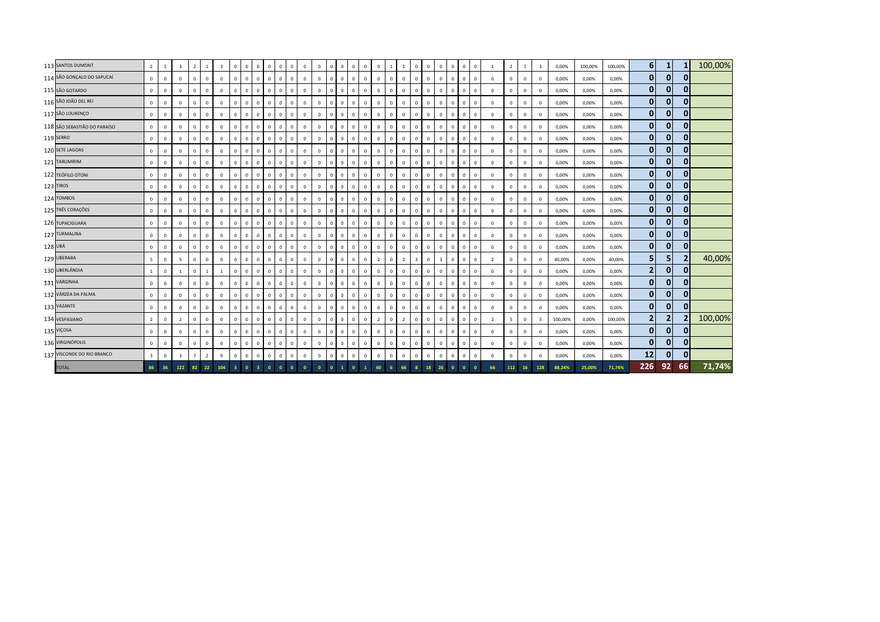|         | 113 SANTOS DUMONT            | $\overline{2}$          | <sup>1</sup>   | $\overline{\mathbf{3}}$ | $\overline{2}$ | $\overline{1}$ | $\overline{\mathbf{3}}$ | $\mathbf{0}$   | $\mathbf{0}$ | $\overline{0}$ | $\mathbf{0}$<br>$\overline{0}$         | $\mathbf{0}$                   | $\mathbf{0}$   | $\mathbf{0}$   | $\mathbf{0}$            | $\mathbf{0}$   | $\mathbf{0}$<br>$\mathbf{0}$ | $\mathbf{0}$   |              | $\mathbf{1}$   | $\mathbf{0}$            | $\mathbf{0}$   | $\mathbf{0}$            | $\Omega$     | $\mathbf{0}$ | $\mathbf{0}$   | -1             | $\overline{2}$ | <sup>1</sup> | $\overline{\mathbf{3}}$ | 0,00%   | 100,00% | 100,00% | 6 <sup>1</sup> | 1              | 1              | 100,00% |
|---------|------------------------------|-------------------------|----------------|-------------------------|----------------|----------------|-------------------------|----------------|--------------|----------------|----------------------------------------|--------------------------------|----------------|----------------|-------------------------|----------------|------------------------------|----------------|--------------|----------------|-------------------------|----------------|-------------------------|--------------|--------------|----------------|----------------|----------------|--------------|-------------------------|---------|---------|---------|----------------|----------------|----------------|---------|
|         | 114 SÃO GONÇALO DO SAPUCAÍ   | $\overline{\mathbf{0}}$ | $\mathbf 0$    | $\mathbf 0$             | $^{\circ}$     | $\mathbf{0}$   | $\mathbf 0$             | $\mathbf{0}$   | $\mathbf 0$  | $\circ$        | $\mathbf 0$<br>$\overline{\mathbf{0}}$ | $\mathbf{0}$                   | $\mathbf 0$    | $\mathbf 0$    | $\overline{0}$          | $\mathbf{0}$   | $\mathbf{0}$<br>$\mathbf 0$  | $\mathbf 0$    | $\,0\,$      | $\mathbf 0$    | $\mathbf{0}$            | $\circ$        | $\mathbf{0}$            | $^{\circ}$   | $\mathsf 0$  | $\mathbf{0}$   | $\mathbf{0}$   | $\mathbf{0}$   | $\mathbb O$  | $^{\circ}$              | 0,00%   | 0,00%   | 0,00%   | $\mathbf{0}$   | $\mathbf{0}$   | $\mathbf{0}$   |         |
|         | 115 SÃO GOTARDO              | $\mathbb O$             | $\mathbf 0$    | $\mathbf 0$             | $\Omega$       | $\mathbf 0$    | $\mathsf 0$             | $\mathbf{0}$   | $\mathbf 0$  | $\mathbf{0}$   | $\mathsf 0$<br>$\overline{0}$          | $\mathbf{0}$                   | $\circ$        | $\circ$        | $\overline{\mathbf{0}}$ | $\mathbf{0}$   | $\mathbf{0}$<br>$\mathbb O$  | $\mathbf 0$    | $\mathbf 0$  | $\circ$        | $\mathbf{0}$            | $\overline{0}$ | $\,0\,$                 |              | $\mathbf 0$  | $\mathbf 0$    | $\mathbf 0$    | $\mathbf 0$    | $\mathbf 0$  | $^{\circ}$              | 0,00%   | 0,00%   | 0,00%   | $\bf{0}$       | 0              | 0              |         |
|         | 116 SÃO JOÃO DEL REI         | $\mathbf{0}$            | $\,0\,$        | $\mathbf 0$             | $\mathbf{0}$   | $\circ$        | $\mathsf 0$             | $\mathbf{0}$   | $\circ$      | $\mathbf{0}$   | $\mathbf 0$<br>$\overline{0}$          | $\mathbf{0}$                   | $\circ$        | $\mathbf 0$    | $\Omega$                | $\mathbf{0}$   | $\mathbf{0}$<br>$\mathbb O$  | $\mathbf 0$    | $\mathbf 0$  | $\mathbf 0$    | $\mathbf{0}$            | $\overline{0}$ | $\,0\,$                 | $\Omega$     | $\mathbf 0$  | $\Omega$       | $\mathbb O$    | $\mathbf{0}$   | $\mathbf 0$  | $^{\circ}$              | 0,00%   | 0,00%   | 0,00%   | $\mathbf 0$    | $\mathbf 0$    | 0              |         |
|         | 117 SÃO LOURENÇO             | $\mathbf{0}$            | $\mathbf{0}$   | $\mathbf{0}$            | $\Omega$       | $\mathbf{0}$   | $\mathbf{0}$            | $\mathbf{0}$   | $\mathbf{0}$ | $\overline{0}$ | $\circ$<br>$\overline{0}$              | $\mathbf{0}$                   | $\circ$        | $\mathbf{0}$   | $\overline{0}$          | $\overline{0}$ | $\mathbf{0}$<br>$\mathbf{0}$ | $\mathbf{0}$   | $\mathbf{0}$ | $\mathbf{0}$   | $\mathbf{0}$            | $\mathbf{0}$   | $\mathbf{0}$            | $\mathbf{0}$ | $\mathbf{0}$ | $\mathbf{0}$   | $\mathbf{0}$   | $\mathbf{0}$   | $\mathbf 0$  | $\Omega$                | 0,00%   | 0,00%   | 0,00%   | $\bf{0}$       | $\mathbf 0$    | $\mathbf{0}$   |         |
|         | 118 SÃO SEBASTIÃO DO PARAÍSO | $\circ$                 | $\,$ 0         | $\mathbf 0$             | $\Omega$       | $\Omega$       | $\mathbf{0}$            | $^{\circ}$     | $\mathbf 0$  | $\mathbf{0}$   | $\mathbf 0$<br>$\overline{0}$          | $\mathbf{0}$                   | $\circ$        | $\mathbf 0$    | $\mathbf{0}$            | $\mathbf{0}$   | $\mathbf{0}$<br>$\Omega$     | $\mathbf 0$    | $\,0\,$      | $\mathbf{0}$   | $\mathbf{0}$            | $\mathbf{0}$   | $\mathbf{0}$            |              | $\mathbf{0}$ | $\mathbf{0}$   | $\mathbf{0}$   | $\mathbf{0}$   | $\mathbf 0$  | $^{\circ}$              | 0,00%   | 0,00%   | 0,00%   | $\mathbf{0}$   | $\mathbf 0$    | $\mathbf{0}$   |         |
|         | 119 SERRO                    | $\circ$                 | $\overline{0}$ | $\mathbf 0$             | $\mathbf{0}$   | $\Omega$       | $\mathbf 0$             | $\Omega$       | $\circ$      | $^{\circ}$     | $\circ$<br>$\overline{0}$              | $\mathbf 0$                    | $\mathbf 0$    | $\mathbf 0$    | $\overline{0}$          | $\mathbf{0}$   | $\mathbf{0}$<br>$\mathbf{0}$ | $\mathbf 0$    | $\,0\,$      | $\mathbf 0$    | $\mathbf 0$             | $\mathbf{0}$   | $\mathbf{0}$            | $\Omega$     | $\mathbf 0$  | $\Omega$       | $\mathbf{0}$   | $\mathbf{0}$   | $\mathbf 0$  | $^{\circ}$              | 0,00%   | 0,00%   | 0,00%   | $\mathbf{0}$   | $\mathbf 0$    | $\mathbf{0}$   |         |
|         | 120 SETE LAGOAS              | $\circ$                 | $^{\circ}$     | $\mathbf 0$             | $\mathbf{0}$   | $\mathbf{0}$   | $\mathsf 0$             | $\mathbf{0}$   | $\circ$      | $\circ$        | $\mathbf 0$<br>$\mathbf{0}$            | $\mathbf{0}$                   | $\circ$        | $\circ$        | $\mathbf{0}$            | $\mathbf{0}$   | $\mathbf{0}$<br>$\mathbf 0$  | $\mathbf 0$    | $\,0\,$      | $\mathbf 0$    | $\mathbf 0$             | $\mathbf{0}$   | $\mathbf 0$             | $\mathbf{0}$ | $\mathsf 0$  | $\mathbf{0}$   | $\mathbf 0$    | $\mathbf 0$    | $\mathbf 0$  | $\mathbf 0$             | 0,00%   | 0,00%   | 0,00%   | $\mathbf{0}$   | $\mathbf 0$    | $\mathbf{0}$   |         |
|         | 121 TARUMIRIM                | $\overline{0}$          | $\mathbf 0$    | $\circ$                 | $\mathbf{0}$   | $\mathbf{0}$   | $\mathbf 0$             | $\mathbf{0}$   | $\mathbf 0$  | $\overline{0}$ | $\mathbf 0$<br>$\overline{\mathbf{0}}$ | $\mathbf{0}$                   | $\circ$        | $\overline{0}$ | $\overline{0}$          | $\mathbf{0}$   | $\mathbf{0}$<br>$\mathbb O$  | $\mathbf 0$    | $\mathbf 0$  | $\mathbf 0$    | $\mathbf{0}$            | $\circ$        | $\,0\,$                 | $^{\circ}$   | $\mathsf 0$  | $\mathbf{0}$   | $\mathbf{0}$   | $\,0\,$        | $\mathbb O$  | $\mathbf 0$             | 0,00%   | 0,00%   | 0,00%   | $\mathbf{0}$   | $\mathbf 0$    | $\mathbf{0}$   |         |
|         | 122 TEÓFILO OTONI            | $\mathbf 0$             | $\,0\,$        | $\circ$                 | $\Omega$       | $\mathbf 0$    | $\mathbf 0$             | $\mathbf{0}$   | $\mathbf 0$  | $\overline{0}$ | $\mathbf{0}$                           | $\mathbf{0}$<br>$\mathbf{0}$   | $\circ$        | $\circ$        | $\overline{0}$          | $\mathbf{0}$   | $\mathbf{0}$<br>$\mathbf{0}$ | $\mathbf{0}$   | $\mathbf 0$  | $\mathbf 0$    | $\mathbf{0}$            | $\overline{0}$ | $\mathbf{0}$            |              | $\mathbf{0}$ | $\Omega$       | $\mathbf{0}$   | $\mathbf{0}$   | $\mathbf 0$  | $\Omega$                | 0,00%   | 0,00%   | 0,00%   | $\bf{0}$       | $\mathbf 0$    | 0              |         |
|         | 123 TIROS                    | $\Omega$                | $\,0\,$        | $\mathbf 0$             | $\mathbf{0}$   | $\mathbf 0$    | $\mathsf 0$             | $\mathbf{0}$   | $\mathbf 0$  | $\overline{0}$ | $\mathbf{0}$<br>$\overline{0}$         | $\mathbf 0$                    | $\mathbf 0$    | $\circ$        | $\Omega$                | $\mathbf{0}$   | $\mathbf{0}$<br>$\mathbb O$  | $\mathbf 0$    | $\mathbf 0$  | $\mathbf 0$    | $\mathbf{0}$            | $\mathbf{0}$   | $\mathbf{0}$            | $\Omega$     | $\mathbf 0$  | $\Omega$       | $\mathbf{0}$   | $\Omega$       | $\mathbf 0$  | $^{\circ}$              | 0,00%   | 0,00%   | 0,00%   | $\bf{0}$       | $\mathbf 0$    | $\mathbf{0}$   |         |
|         | 124 TOMBOS                   | $\mathbf{0}$            | $\mathbf{0}$   | $\mathbf{0}$            | $\Omega$       | $\mathbf{0}$   | $\mathbf{0}$            | $\mathbf{0}$   | $\mathbf 0$  | $\overline{0}$ | $\mathsf 0$<br>$\overline{0}$          | $\mathbf{0}$                   | $\circ$        | $\mathbf 0$    | $\Omega$                | $\mathbf{0}$   | $\mathbf{0}$<br>$\Omega$     | $\mathbf{0}$   | $\mathbf 0$  | $\mathbf{0}$   | $\mathbf{0}$            | $\mathbf{0}$   | $\mathbf{0}$            | $\Omega$     | $\mathbf 0$  | $\mathbf{0}$   | $\mathbf{0}$   | $\mathbf{0}$   | $\mathbf 0$  | $\Omega$                | 0,00%   | 0,00%   | 0,00%   | $\bf{0}$       | $\mathbf 0$    | $\bf{0}$       |         |
|         | 125 TRÊS CORAÇÕES            | $\circ$                 | $\,$ 0         | $\mathbf 0$             | $\mathbf 0$    | $\mathbf 0$    | $\mathbf{0}$            | $^{\circ}$     | $\circ$      | $\mathbf{0}$   | $\mathbf{0}$<br>$\overline{0}$         | $\mathbf{0}$                   | $\mathbf{0}$   | $\mathbf 0$    | $\mathbf{0}$            | $\mathbf{0}$   | $\mathbf{0}$<br>$\mathbf{0}$ | $\mathbf{0}$   | $\,0\,$      | $\mathbf{0}$   | $\mathbf{0}$            | $\overline{0}$ | $\mathbf{0}$            |              | $\mathbf{0}$ | $\mathbf{0}$   | $\mathbf{0}$   | $\mathbf{0}$   | $\mathbb O$  | $^{\circ}$              | 0,00%   | 0,00%   | 0,00%   | $\mathbf{0}$   | $\mathbf 0$    | $\mathbf{0}$   |         |
|         | 126 TUPACIGUARA              | $\mathbf 0$             | $\mathbf 0$    | $\mathbf 0$             | $\mathbf{0}$   | $\mathbf 0$    | $^{\circ}$              | $\mathbf{0}$   | $\circ$      | $^{\circ}$     | $\mathbf 0$<br>$\overline{0}$          | $\mathbf 0$                    | $\mathbf 0$    | $\mathbf 0$    | $\mathbf{0}$            | $\mathbf{0}$   | $\mathbf{0}$<br>$\mathbf{0}$ | $\mathbf 0$    | $\,0\,$      | $\mathbf 0$    | $\mathbf 0$             | $\mathbf 0$    | $\mathbf{0}$            | $^{\circ}$   | $\mathsf 0$  | $^{\circ}$     | $\mathbf{0}$   | $\mathbf{0}$   | $\mathbb O$  | $^{\circ}$              | 0,00%   | 0,00%   | 0,00%   | $\mathbf{0}$   | $\mathbf 0$    | $\mathbf{0}$   |         |
|         | 127 TURMALINA                | $\mathbf{0}$            | $\,0\,$        | $\mathbf 0$             | $\mathbf{0}$   | $\mathbf{0}$   | $\mathsf 0$             | $\mathbf{0}$   | $\circ$      | $\overline{0}$ | $\mathbf 0$<br>$\overline{0}$          | $\mathbf{0}$                   | $\mathbf{0}$   | $\mathbf 0$    | $\mathbf{0}$            | $\mathbf{0}$   | $\mathbf{0}$<br>$\mathbf{0}$ | $\mathbf 0$    | $\,0\,$      | $\mathbf 0$    | $\overline{0}$          | $\mathbf{0}$   | $\mathbf{0}$            | $\Omega$     | $\mathsf 0$  | $\mathbf{0}$   | $\mathbf{0}$   | $\mathbf{0}$   | $\mathbf 0$  | $^{\circ}$              | 0,00%   | 0,00%   | 0,00%   | $\mathbf{0}$   | $\mathbf 0$    | $\mathbf{0}$   |         |
| 128 UBÁ |                              | $\mathbf{0}$            | $\mathbf 0$    | $\mathbf 0$             | $\overline{0}$ | $\mathbf{0}$   | $\mathbf 0$             | $\mathbf{0}$   | $\mathbf 0$  | $\overline{0}$ | $\mathbf 0$<br>$\overline{\mathbf{0}}$ | $\mathbf{0}$                   | $\circ$        | $\mathbf 0$    | $\mathbf 0$             | $\mathbf{0}$   | $\mathbf{0}$<br>$\mathbf{0}$ | $\mathbf 0$    | $\mathsf 0$  | $\mathbf 0$    | $\mathbf{0}$            | $\overline{0}$ | $\mathbf 0$             | $\mathbf{0}$ | $\mathsf 0$  | $\mathbf{0}$   | $\mathbf{0}$   | $\mathbf{0}$   | $\mathbf 0$  | $^{\circ}$              | 0,00%   | 0,00%   | 0,00%   | $\bf{0}$       | $\mathbf 0$    | $\mathbf{0}$   |         |
|         | 129 UBERABA                  | 5                       | $\,$ 0         | 5                       | $\mathbf{0}$   | $\overline{0}$ | $\overline{0}$          | $\mathbf{0}$   | $\mathbf 0$  | $\overline{0}$ | $\mathbf{0}$                           | $\mathbf{0}$<br>$\overline{0}$ | $\mathbf{0}$   | $\circ$        | $\overline{0}$          | $\overline{0}$ | $\mathbf{0}$<br>$\mathbf{0}$ | $\overline{2}$ | $\,0\,$      | $\overline{2}$ | $\overline{\mathbf{3}}$ | $\overline{0}$ | $\overline{\mathbf{3}}$ |              | $\mathbf{0}$ | $^{\circ}$     | $\overline{2}$ | $\mathbf{0}$   | $\mathbb O$  | $\Omega$                | 40,00%  | 0,00%   | 40,00%  | 5              | 5              | $\overline{2}$ | 40,00%  |
|         | 130 UBERLÂNDIA               | $\overline{1}$          | $\,0\,$        | $\mathbf{1}$            | $\mathbf{0}$   | $\overline{1}$ | $\mathbf{1}$            | $\mathbf{0}$   | $\circ$      | $\overline{0}$ | $\mathbf{0}$                           | $\mathbf{0}$<br>$\overline{0}$ | $\overline{0}$ | $\mathbf 0$    | $\mathbf{0}$            | $\overline{0}$ | $\mathbf{0}$<br>$\mathbf{0}$ | $\mathbf 0$    | $\,0\,$      | $\mathbf 0$    | $\mathbf{0}$            | $\overline{0}$ | $\mathbf{0}$            | $\mathbf{0}$ | $\mathbf 0$  | $\mathbf{0}$   | $\mathbf{0}$   | $\overline{0}$ | $\mathbf 0$  | $^{\circ}$              | 0,00%   | 0,00%   | 0,00%   | 2              | $\mathbf 0$    | $\mathbf{0}$   |         |
|         | 131 VARGINHA                 | $\mathbf{0}$            | $\circ$        | $^{\circ}$              | $\mathbf{0}$   | $\mathbf{0}$   | $^{\circ}$              | $^{\circ}$     | $\circ$      | $\overline{0}$ | $\mathsf{O}\xspace$<br>$\overline{0}$  | $\mathbf{0}$                   | $\circ$        | $\mathbf{0}$   | $\mathbf{0}$            | $\mathbf{0}$   | $\mathsf 0$<br>$\mathbf{0}$  | $\mathbf{0}$   | $\mathbf 0$  | $\mathbf{0}$   | $\mathbf{0}$            | $\mathbf{0}$   | $\mathbf{0}$            | $\mathbf{0}$ | $\mathbf{0}$ | $^{\circ}$     | $\mathbf{0}$   | $\mathbf{0}$   | $\mathbf{0}$ | $^{\circ}$              | 0,00%   | 0,00%   | 0,00%   | $\mathbf{0}$   | $\mathbf 0$    | $\bf{0}$       |         |
|         | 132 VÁRZEA DA PALMA          | $\overline{0}$          | $\,$ 0         | $\circ$                 | $\Omega$       | $\overline{0}$ | $\mathsf 0$             | $\mathbf{0}$   | $\mathbf 0$  | $\overline{0}$ | $\mathbf{0}$<br>$\mathbf 0$            | $\mathbf 0$                    | $\overline{0}$ | $\mathbf 0$    | $\mathbf{0}$            | $\mathbf{0}$   | $\mathbf{0}$<br>$\mathbf{0}$ | $\mathbf 0$    | $\mathbf 0$  | $\Omega$       | $\circ$                 | $\mathbf 0$    | $\mathbf{0}$            | $\mathbf{0}$ | $\mathsf 0$  | $\mathbf{0}$   | $\mathbf{0}$   | $\mathbf{0}$   | $\mathbf 0$  | $^{\circ}$              | 0,00%   | 0,00%   | 0,00%   | $\mathbf{0}$   | $\mathbf{0}$   | $\mathbf{0}$   |         |
|         | 133 VAZANTE                  | $\mathbf{0}$            | $\overline{0}$ | $\mathbf 0$             | $\Omega$       | $\mathbf 0$    | $\mathbf{0}$            | $\mathbf{0}$   | $\circ$      | $^{\circ}$     | $\mathbf{0}$<br>$\overline{0}$         | $\mathbf{0}$                   | $\mathbf{0}$   | $\mathbf 0$    | $\mathbf{0}$            | $\overline{0}$ | $\mathbf{0}$<br>$\mathbf{0}$ | $\mathbf 0$    | $\mathbf{0}$ | $\mathbf 0$    | $\overline{0}$          | $\mathbf{0}$   | $\mathbf{0}$            | $^{\circ}$   | $\mathbf{0}$ | $^{\circ}$     | $\mathbf{0}$   | $\mathbf{0}$   | $\mathbb O$  | $^{\circ}$              | 0,00%   | 0,00%   | 0,00%   | $\mathbf{0}$   | $\mathbf 0$    | $\overline{0}$ |         |
|         | 134 VESPASIANO               | $\overline{2}$          | $\mathbf 0$    | $\overline{2}$          | $\overline{0}$ | $\mathbf{0}$   | $\mathbf{0}$            | $\mathbf{0}$   | $\circ$      | $\overline{0}$ | $\mathbf{0}$<br>$\overline{0}$         | $\mathbf{0}$                   | $\mathbf{0}$   | $\mathbf 0$    | $\mathbf{0}$            | $\mathbf{0}$   | $\mathbf{0}$<br>$\mathbf{0}$ | $\overline{2}$ | $\mathbf{0}$ | $\overline{2}$ | $\mathbf{0}$            | $\mathbf{0}$   | $\mathbf{0}$            | $\mathbf{0}$ | $\mathbf{0}$ | $\mathbf{0}$   | $\overline{2}$ | -5             | $\mathbb O$  | 5                       | 100,00% | 0,00%   | 100,00% | 2              | $\overline{2}$ | $\overline{2}$ | 100,00% |
|         | 135 VIÇOSA                   | $\mathbf{0}$            | $\mathbf 0$    | $\mathbf{0}$            | $\mathbf{0}$   | $\mathbf{0}$   | $\mathbf{0}$            | $\mathbf{0}$   | $\circ$      | $\circ$        | $\mathbf{0}$<br>$\overline{0}$         | $\mathbf{0}$                   | $\mathbf{0}$   | $\mathbf 0$    | $\mathbf{0}$            | $\mathbf{0}$   | $\mathbf{0}$<br>$\mathbf{0}$ | $\mathbf 0$    | $\mathbf 0$  | $^{\circ}$     | $\mathbf{0}$            | $\overline{0}$ | $\mathbf{0}$            | $^{\circ}$   | $\mathbf{0}$ | $\mathbf{0}$   | $\mathbf{0}$   | $\mathbf{0}$   | $\mathbb O$  | $^{\circ}$              | 0,00%   | 0,00%   | 0,00%   | $\bf{0}$       | $\mathbf 0$    | $\mathbf{0}$   |         |
|         | 136 VIRGINÓPOLIS             | $\mathbf{0}$            | $\,0\,$        | $\mathbf 0$             | $\Omega$       | $\mathbf 0$    | $\mathbf 0$             | $\mathbf{0}$   | $\mathbf 0$  | $\mathbf{0}$   | $\mathsf 0$<br>$\overline{\mathbf{0}}$ | $\mathbf{0}$                   | $\circ$        | $\mathbf 0$    | $\Omega$                | $\mathbf{0}$   | $\mathbf{0}$<br>$\mathbb O$  | $\mathbf 0$    | $\,0\,$      | $\mathbf 0$    | $\mathbf{0}$            | $\overline{0}$ | $\,0\,$                 |              | $\mathbf 0$  | $\overline{0}$ | $\mathbf{0}$   | $\Omega$       | $\mathbb O$  | $\Omega$                | 0,00%   | 0,00%   | 0,00%   | $\bf{0}$       | $\mathbf 0$    | $\mathbf{0}$   |         |
|         | 137 VISCONDE DO RIO BRANCO   | $\overline{\mathbf{3}}$ | $\mathbf{0}$   | $\overline{\mathbf{3}}$ | $\overline{7}$ | $\overline{2}$ | 9                       | $\mathbf{0}$   | $\circ$      | $\mathbf{0}$   | $\mathbf{0}$<br>$\Omega$               | $\mathbf{0}$                   | $\mathbf{0}$   | $\mathbb O$    | $\Omega$                | $\mathbf{0}$   | $\mathbf 0$<br>$\mathbf{0}$  | $\mathbf{0}$   | $\mathbf{0}$ | $\mathbf 0$    | $\overline{0}$          | $\mathbf{0}$   | $\mathbf{0}$            | $^{\circ}$   | $\mathsf 0$  | $\Omega$       | $\mathbf{0}$   | $\Omega$       | $\mathbf 0$  | $\Omega$                | 0,00%   | 0,00%   | 0,00%   | 12             | $\mathbf 0$    | 0              |         |
|         | <b>TOTAL</b>                 | 86                      | 36             | 122                     | 82             | 22             | 104                     | 3 <sup>°</sup> | $\bullet$    | -3-            | $\bullet$<br>$\Omega$                  | $\Omega$                       | $\bullet$      | $\bullet$      | $\bullet$               |                | $\mathbf{0}$<br>$\mathbf{1}$ | 60             |              | 66             |                         | 18             | 26                      |              | $\mathbf{0}$ | $\Omega$       | 66             | 112            | 16           | 128                     | 88,24%  | 25,00%  | 71,74%  | 226            | 92             | 66             | 71,74%  |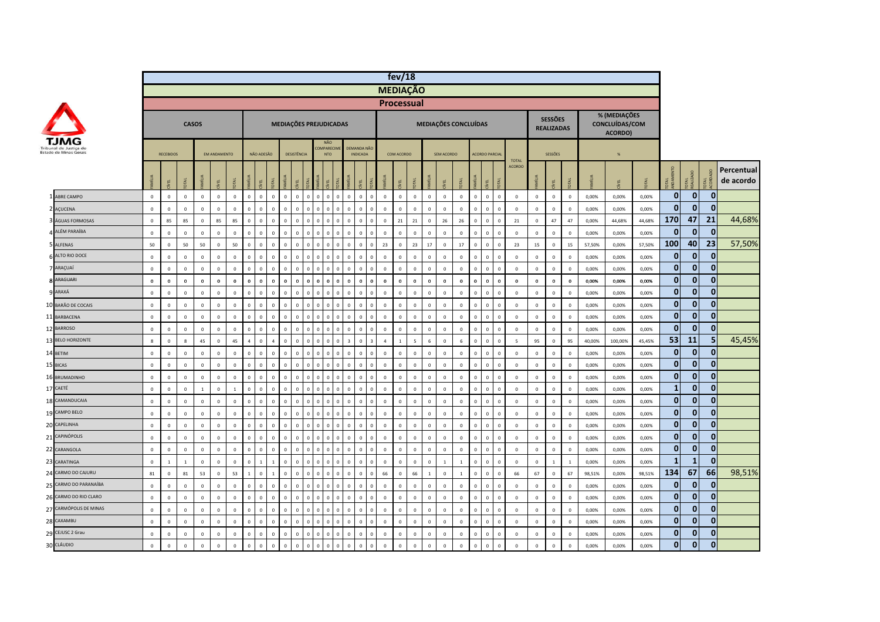|                 |                        |              |                         |                |                |                     |              |                |                |                |                                  |          |                |                                               |             |                                |                         | fev/18                        |    |                |                |                |                      |                |                      |              |                               |              |                                     |                  |        |                                           |        |              |              |              |                         |
|-----------------|------------------------|--------------|-------------------------|----------------|----------------|---------------------|--------------|----------------|----------------|----------------|----------------------------------|----------|----------------|-----------------------------------------------|-------------|--------------------------------|-------------------------|-------------------------------|----|----------------|----------------|----------------|----------------------|----------------|----------------------|--------------|-------------------------------|--------------|-------------------------------------|------------------|--------|-------------------------------------------|--------|--------------|--------------|--------------|-------------------------|
|                 |                        |              |                         |                |                |                     |              |                |                |                |                                  |          |                |                                               |             |                                |                         | <b>MEDIAÇÃO</b>               |    |                |                |                |                      |                |                      |              |                               |              |                                     |                  |        |                                           |        |              |              |              |                         |
|                 |                        |              |                         |                |                |                     |              |                |                |                |                                  |          |                |                                               |             |                                |                         | <b>Processual</b>             |    |                |                |                |                      |                |                      |              |                               |              |                                     |                  |        |                                           |        |              |              |              |                         |
|                 |                        |              |                         | <b>CASOS</b>   |                |                     |              |                |                |                | MEDIAÇÕES PREJUDICADAS           |          |                |                                               |             |                                |                         |                               |    |                |                |                | MEDIAÇÕES CONCLUÍDAS |                |                      |              |                               |              | <b>SESSÕES</b><br><b>REALIZADAS</b> |                  |        | % (MEDIAÇÕES<br>CONCLUÍDAS/COM<br>ACORDO) |        |              |              |              |                         |
|                 | Estado de Minas Gerais |              | <b>RECEBIDOS</b>        |                |                | <b>EM ANDAMENTO</b> |              |                | NÃO ADESÃO     |                | DESISTÊNCIA                      |          |                | <b>NÃO</b><br><b>COMPARECIM</b><br><b>NTO</b> |             | DEMANDA NÃO<br><b>INDICADA</b> |                         | COM ACORDO                    |    |                |                | SEM ACORDO     |                      |                | <b>ACORDO PARCIA</b> |              |                               |              | SESSÕES                             |                  |        | %                                         |        |              |              |              |                         |
|                 |                        |              | ÆL                      | DTAL           |                | E                   | <b>TAL</b>   | <b>MILIA</b>   | ξL.            | <b>TAL</b>     | ΨĖ                               |          |                | EL                                            |             |                                |                         | EL                            | ΣÃ |                |                | EL             | JК                   |                | ίvει                 |              | <b>TOTAL</b><br><b>ACORDO</b> |              | EL                                  |                  |        | <b>JBV</b>                                |        | <b>OTAL</b>  | <b>DTAL</b>  | <b>DTAL</b>  | Percentual<br>de acordo |
|                 | 1 ABRE CAMPO           | $\mathbf 0$  | $\mathbb O$             | $\,0\,$        | $\mathbf 0$    | $\mathbf 0$         | $\mathbf 0$  | $\mathbf 0$    | $\mathbf 0$    | $\mathbf 0$    | $\mathbf 0$<br>$\mathbf 0$       | $\Omega$ | $\,$ 0         | $\,$ 0<br>$\Omega$                            | $\Omega$    | $\mathbf 0$                    | $\mathbf 0$             | $\,$ 0<br>$\mathbb O$         |    | $\mathbb O$    | $\,$ 0         | $\,0\,$        | $\mathbf 0$          | $\mathbf 0$    | $\mathbf 0$          | $\mathbf 0$  | $\,$ 0                        | $\mathbf 0$  | $\,0\,$                             | $\mathbf 0$      | 0,00%  | 0,00%                                     | 0,00%  | $\bf{0}$     | $\mathbf 0$  | $\mathbf{0}$ |                         |
|                 | 2 AÇUCENA              | $\mathbf 0$  | $\mathbf 0$             | $\mathsf 0$    | $\Omega$       | $\mathbf 0$         | $\Omega$     | $\mathbf 0$    | $\Omega$       | $\Omega$       | $\Omega$<br>$\mathbf 0$          | $\Omega$ | $\mathbf 0$    | $\,$ 0<br>$\Omega$                            |             | $\Omega$                       | $\Omega$                | $\mathsf 0$<br>$\Omega$       |    | $\,$ 0         | $\,$ 0         | $\mathbb O$    | $\Omega$             | $\Omega$       | $\,$ 0               | $\Omega$     | $\,$ 0                        | $\mathbf 0$  | $\mathbf 0$                         | $\mathbf 0$      | 0,00%  | 0,00%                                     | 0,00%  | $\bf{0}$     | $\bf{0}$     | $\mathbf{0}$ |                         |
|                 | 3 ÁGUAS FORMOSAS       | $\mathbf{0}$ | 85                      | 85             | $\mathbf{0}$   | 85                  | 85           | $\mathbf{0}$   | $\Omega$       | $\Omega$       | $\Omega$<br>$\Omega$             |          | $\Omega$       | $\,0\,$<br>$\Omega$                           |             | $\Omega$                       | $\Omega$                | 21<br>$\Omega$                |    | 21             | $\mathbf{0}$   | 26             | 26                   | $\Omega$       | $\mathbf{0}$         | $\Omega$     | 21                            | $\mathbf{0}$ | 47                                  | 47               | 0.00%  | 44.68%                                    | 44.68% | 170          | 47           | 21           | 44,68%                  |
|                 | <b>4 ALÉM PARAÍBA</b>  | $\mathbf 0$  | $\mathbf 0$             | $\mathbf 0$    | $\mathbf 0$    | $\mathbf 0$         | $\mathbf 0$  | $\mathbf 0$    | $\overline{0}$ | $\mathbf{0}$   | $\mathbf 0$<br>$\overline{0}$    |          | $\Omega$       | $\,0\,$<br>$\sqrt{2}$                         |             | $\mathbf{0}$                   | $\overline{0}$          | $\mathsf 0$<br>$\mathbf 0$    |    | $\,$ 0 $\,$    | $\,$ 0 $\,$    | $\mathbf 0$    | $\mathbf{0}$         | $\Omega$       | $\,$ 0 $\,$          | $\Omega$     | $\,0\,$                       | $\mathbf 0$  | $\mathbf 0$                         | $\mathbb O$      | 0,00%  | 0,00%                                     | 0,00%  | $\bf{0}$     | $\mathbf 0$  | $\mathbf{0}$ |                         |
|                 | 5 ALFENAS              | 50           | $\overline{\mathbf{0}}$ | 50             | 50             | $\mathbf 0$         | 50           | $\mathbf{0}$   | $\mathbf 0$    | $\mathbf{0}$   | $\mathbf{0}$<br>$\mathbf{0}$     | $\Omega$ | $\mathbf{0}$   | $\overline{0}$<br>$\Omega$                    |             | $\mathbf{0}$                   | $\Omega$                | 23<br>$\overline{\mathbf{0}}$ |    | 23             | 17             | $\circ$        | 17                   | $\overline{0}$ | $\mathbf 0$          | $\mathbf{0}$ | 23                            | 15           | $\mathbf 0$                         | 15               | 57,50% | 0,00%                                     | 57,50% | 100          | 40           | 23           | 57,50%                  |
|                 | ALTO RIO DOCE          | $\mathbf 0$  | $\,0\,$                 | $\mathbf 0$    | $\mathbf 0$    | $\mathbb O$         | $\mathbf 0$  | $\mathbf 0$    | $\mathbf 0$    | $\mathbf{0}$   | $\mathbf 0$<br>$\mathbf 0$       |          | $\,$ 0         | $\,0\,$<br>$\overline{0}$                     |             | $\mathbf 0$                    | $\overline{0}$          | $\,0\,$<br>$\mathbf 0$        |    | $\mathbf 0$    | $\mathbf 0$    | $\circ$        | $\mathbf{0}$         | $\overline{0}$ | $\,$ 0               | $\mathbf 0$  | $\,0\,$                       | $\mathbf 0$  | $\mathbf 0$                         | $\mathbb O$      | 0,00%  | 0,00%                                     | 0,00%  | $\mathbf{0}$ | $\mathbf{0}$ | $\bf{0}$     |                         |
|                 | 7 ARAÇUAÍ              | $\mathbf 0$  | $\mathbf 0$             | $\mathbf{0}$   | $\mathbf 0$    | $\mathbb O$         | $\mathbf 0$  | $\mathbf 0$    | $\mathbb O$    | $\overline{0}$ | $\mathbf{0}$<br>$\mathbf{0}$     |          | $\overline{0}$ | $\,$ 0<br>$\overline{0}$                      | $\Omega$    | $\mathbf{0}$                   | $\overline{0}$          | $\mathsf 0$<br>$\mathbf{0}$   |    | $\mathbb O$    | $\mathbf 0$    | $\mathbf 0$    | $\mathbf 0$          | $\mathbf 0$    | $\mathbf 0$          | $\mathbf 0$  | $\,$ 0                        | $\mathbf 0$  | $\mathsf 0$                         | $\mathbb O$      | 0,00%  | 0,00%                                     | 0,00%  | $\mathbf 0$  | $\mathbf{0}$ | $\mathbf{0}$ |                         |
|                 | <b>8 ARAGUARI</b>      | $\mathbf 0$  | $\mathbf 0$             | $\mathbf 0$    | $\mathbf 0$    | $\mathbf 0$         | $\mathbf 0$  | $\mathbf 0$    | $\bf{0}$       | $\mathbf{o}$   | $\mathbf 0$<br>$\mathbf{0}$      |          | $\Omega$       | $\mathbf 0$<br>$\Omega$                       | $\Omega$    | $\mathbf 0$                    | $\mathbf{0}$            | $\mathbf 0$<br>$\bf{0}$       |    | $\mathbf 0$    | $\mathbf 0$    | $\mathbf 0$    | $\mathbf 0$          | $\bf{0}$       | $\mathbf 0$          | $\mathbf 0$  | $\mathbf 0$                   | $\mathbf 0$  | $\mathbf 0$                         | $\boldsymbol{0}$ | 0,00%  | 0,00%                                     | 0,00%  | $\mathbf{0}$ | $\mathbf{0}$ | $\mathbf{0}$ |                         |
|                 | <b>9 ARAXÁ</b>         | $\mathbf{0}$ | $\overline{0}$          | $\Omega$       | $\Omega$       | $\mathbf{0}$        | $\mathbf{0}$ | $\mathbf{0}$   | $\Omega$       | $\Omega$       | $\mathbf{0}$<br>$\mathbf{0}$     | $\Omega$ | $\mathbf{0}$   | $\overline{0}$<br>$\Omega$                    | $\Omega$    | $\mathbf{0}$                   | $\mathbf{0}$            | $\mathsf 0$<br>$\Omega$       |    | $\mathbf{0}$   | $\mathbf{0}$   | $\mathbf{0}$   | $\mathbf{0}$         | $\overline{0}$ | $\mathbf 0$          | $\mathbf{0}$ | $\mathbf{0}$                  | $\mathbf{0}$ | $\mathbf{0}$                        | $\mathbf{0}$     | 0.00%  | 0,00%                                     | 0.00%  | $\mathbf{0}$ | $\bf{0}$     | 0            |                         |
|                 | 10 BARÃO DE COCAIS     | $\mathbf 0$  | $\mathbf 0$             | $\mathbf 0$    | $\mathbf 0$    | $\mathbf 0$         | $\mathbf 0$  | $\mathbf 0$    | $\circ$        | $\mathbf 0$    | $\mathbf 0$<br>$\mathbf 0$       | $\Omega$ | $\mathbf 0$    | $\,$ 0<br>$\overline{0}$                      | $\Omega$    | $\mathbf 0$                    | $\mathbf 0$             | $\mathsf 0$<br>$\mathbf 0$    |    | $\mathbb O$    | $\mathbb O$    | $\mathbb O$    | $\mathbf 0$          | $\mathbf 0$    | $\,$ 0               | $\mathsf 0$  | $\,0\,$                       | $\mathbf 0$  | $\mathsf 0$                         | $\mathbb O$      | 0,00%  | 0,00%                                     | 0,00%  | $\mathbf{0}$ | $\mathbf 0$  | 0            |                         |
|                 | 11 BARBACENA           | $\mathbf 0$  | $\mathbf 0$             | $\mathbf 0$    | $\mathbf 0$    | $\mathbb O$         | $\mathbf 0$  | $\mathbf 0$    | $\mathbf 0$    | $\mathbf 0$    | $\mathbf 0$<br>$\overline{0}$    |          | $\Omega$       | $\,$ 0<br>$\Omega$                            |             | $\mathbf 0$                    | $\overline{0}$          | $\mathsf 0$<br>$\mathbf 0$    |    | $\mathbf 0$    | $\mathbf 0$    | $\mathbb O$    | $\mathbf 0$          | $\Omega$       | $\mathbf 0$          | $\mathbf 0$  | $\,0\,$                       | $\mathbf 0$  | $\mathsf 0$                         | $\mathbf 0$      | 0,00%  | 0,00%                                     | 0,00%  | $\mathbf{0}$ | $\mathbf 0$  | 0            |                         |
|                 | 12 BARROSO             | $\mathbf 0$  | $\,$ 0                  | $\,0\,$        | $\mathbf 0$    | $\mathbf 0$         | $\mathbf 0$  | $\mathbf 0$    | $\overline{0}$ | $\mathbf{0}$   | $\Omega$<br>$\mathbf 0$          | $\Omega$ | $\,$ 0         | $\,$ 0<br>$\Omega$                            |             | $\mathbf 0$                    | $\overline{0}$          | $\,0\,$<br>$\mathbf 0$        |    | $\mathbf 0$    | $\mathbf 0$    | $\,0\,$        | $\mathbf 0$          | $\mathbf 0$    | $\mathbf 0$          | $\mathbf 0$  | $\,0\,$                       | $\mathbf 0$  | $\mathbf 0$                         | $\mathbb O$      | 0,00%  | 0,00%                                     | 0,00%  | $\mathbf{0}$ | $\mathbf{0}$ | $\mathbf{0}$ |                         |
|                 | 13 BELO HORIZONTE      | $\mathbf{8}$ | $\,$ 0                  | 8              | 45             | $\mathbb O$         | 45           | $\overline{4}$ | $\mathbb O$    | $\overline{a}$ | $\mathbf{0}$<br>$\overline{0}$   | $\Omega$ | $\,$ 0         | $\,$ 0<br>$\Omega$                            |             | $\mathbf 0$                    | $\overline{\mathbf{3}}$ | $\,$ 1 $\,$<br>$\overline{a}$ |    | $\overline{5}$ | $6\phantom{1}$ | $\mathbf 0$    | 6                    | $\mathbf 0$    | $\mathbf 0$          | $\mathbf 0$  | $\overline{5}$                | 95           | $\mathbf 0$                         | 95               | 40,00% | 100,00%                                   | 45,45% | 53           | 11           | 5            | 45,45%                  |
|                 | 14 BETIM               | $\mathbf 0$  | $\,0\,$                 | $\mathsf 0$    | $\mathbf 0$    | $\mathbf 0$         | $\mathbf 0$  | $\mathbf 0$    | $\mathbb O$    | $\mathbf{0}$   | $\mathbf 0$<br>$\mathbf{0}$      | $\Omega$ | $\overline{0}$ | $\,$ 0<br>$\overline{0}$                      | $\Omega$    | $\mathbf 0$                    | $\mathbf 0$             | $\mathbf 0$<br>$\mathbf{0}$   |    | $\mathbf 0$    | $\mathbf 0$    | $\circ$        | $\mathbf 0$          | $\mathbf 0$    | $\mathbf 0$          | $\mathbf 0$  | $\,$ 0                        | $\mathbf 0$  | $\mathbf 0$                         | $\mathbb O$      | 0,00%  | 0,00%                                     | 0,00%  | $\mathbf{0}$ | $\mathbf{0}$ | 0            |                         |
|                 | 15 BICAS               | $\mathbf 0$  | $\mathbf 0$             | $\mathbf 0$    | $\mathbf 0$    | $\mathbf 0$         | $\mathbf 0$  | $\mathbf 0$    | $\mathbf 0$    | $\Omega$       | $\mathbf{0}$<br>$\Omega$         |          | $\Omega$       | $\,$ 0<br>$\Omega$                            |             | $\mathbf{0}$                   | $\overline{0}$          | $\mathsf 0$<br>$\mathbf 0$    |    | $\,$ 0         | $\mathbf 0$    | $\mathbf 0$    | $\mathbf 0$          | $\mathbf{0}$   | $\,$ 0               | $\mathbf{0}$ | $\,$ 0                        | $\mathbf 0$  | $\mathbf 0$                         | $\mathbf 0$      | 0,00%  | 0,00%                                     | 0,00%  | $\mathbf{0}$ | $\mathbf{0}$ | 0            |                         |
|                 | 16 BRUMADINHO          | $\mathbf 0$  | $\,$ 0                  | $\,0\,$        | $\mathbf 0$    | $\mathbf 0$         | $\mathbf 0$  | $\mathbf{0}$   | $\overline{0}$ | $\Omega$       | $\mathbf{0}$<br>$\Omega$         | $\Omega$ | $\mathbf{0}$   | $\,0\,$<br>$\Omega$                           | $\Omega$    | $\mathbf 0$                    | $\Omega$                | $\mathbf 0$<br>$\mathbf 0$    |    | $\mathbf 0$    | $\mathbf 0$    | $\mathbf 0$    | $\mathbf 0$          | $\overline{0}$ | $\,$ 0               | $\mathbf 0$  | $\,0\,$                       | $\mathbf 0$  | $\mathbf 0$                         | $\overline{0}$   | 0,00%  | 0,00%                                     | 0,00%  | $\mathbf{0}$ | $\bf{0}$     | 0            |                         |
|                 | 17 CAETÉ               | $\mathbf 0$  | $\mathbf 0$             | $\mathbf 0$    | $\overline{1}$ | $\mathbb O$         | $\mathbf{1}$ | $\mathbf 0$    | $\overline{0}$ | $\mathbf{0}$   | $\mathbf{0}$<br>$\mathbf 0$      | $\Omega$ | $\mathbf 0$    | $\mathbf 0$<br>$\Omega$                       | $\Omega$    | $\mathbf 0$                    | $\overline{0}$          | $\mathsf 0$<br>$\mathbf 0$    |    | $\mathbf 0$    | $\mathbf 0$    | $\mathbb O$    | $\mathbf 0$          | $\mathbf{0}$   | $\mathbf 0$          | $\Omega$     | $\,0\,$                       | $\mathbf 0$  | $\mathsf 0$                         | $\mathbb O$      | 0,00%  | 0,00%                                     | 0,00%  | $\mathbf{1}$ | $\bf{0}$     | 0            |                         |
|                 | 18 CAMANDUCAIA         | $\mathbf 0$  | $\mathbf 0$             | $\Omega$       | $\mathbf{0}$   | $\mathbf 0$         | $\mathbf{0}$ | $\mathbf{0}$   | $\Omega$       | $\Omega$       | $\Omega$<br>$\Omega$             |          | $\Omega$       | $\,0\,$<br>$\Omega$                           | $\Omega$    | $\Omega$                       | $\Omega$                | $\Omega$<br>$\mathsf 0$       |    | $\mathbf 0$    | $\mathbf{0}$   | $\mathbf 0$    | $\Omega$             | $\Omega$       | $\mathbf 0$          | $\mathbf{0}$ | $\overline{0}$                | $\mathbf{0}$ | $\mathsf 0$                         | $\mathbf 0$      | 0,00%  | 0,00%                                     | 0,00%  | $\mathbf{0}$ | $\mathbf 0$  | 0            |                         |
|                 | 19 CAMPO BELO          | $\mathbf 0$  | $\,0\,$                 | $\mathbf 0$    | $\mathbf 0$    | $\mathbf 0$         | $\mathbf 0$  | $\mathbf 0$    | $\mathbf 0$    | $\mathbf{0}$   | $\overline{0}$<br>$\overline{0}$ |          | $\Omega$       | $\,0\,$<br>$\Omega$                           |             | $\mathbf{0}$                   | $\overline{0}$          | $\mathsf 0$<br>$\mathbf 0$    |    | $\mathbf 0$    | $\mathbf 0$    | $\mathbf 0$    | $\mathbf{0}$         | $\mathbf{0}$   | $\mathbf 0$          | $\mathbf 0$  | $\,$ 0                        | $\mathbf 0$  | $\mathbf 0$                         | $\mathbb O$      | 0,00%  | 0,00%                                     | 0,00%  | $\mathbf 0$  | $\mathbf{0}$ | $\mathbf{0}$ |                         |
| 20              | CAPELINHA              | $\mathbf 0$  | $\,$ 0                  | $\mathsf 0$    | $\mathbf{0}$   | $\mathbf 0$         | $\Omega$     | $\mathbf{0}$   | $\Omega$       | $\Omega$       | $\Omega$<br>$\Omega$             |          | $\Omega$       | $\mathbf{0}$<br>$\Omega$                      |             | $\Omega$                       | $\Omega$                | $\mathbf 0$<br>$\Omega$       |    | $\mathbf 0$    | $\mathbf 0$    | $\mathbf 0$    | $\mathbf{0}$         | $\overline{0}$ | $\mathbf 0$          | $\Omega$     | $\,0\,$                       | $\mathbf 0$  | $\mathsf 0$                         | $\mathbb O$      | 0,00%  | 0,00%                                     | 0,00%  | $\mathbf{0}$ | $\mathbf{0}$ | $\mathbf{0}$ |                         |
|                 | 21 CAPINÓPOLIS         | $\mathbf 0$  | $\,0\,$                 | $\mathsf 0$    | $\mathbf 0$    | $\mathbb O$         | $\mathbf 0$  | $\mathbf 0$    | $\circ$        | $\mathbf{0}$   | $\mathbf 0$<br>$\mathbf 0$       |          | $\mathbf 0$    | $\,$ 0<br>$\overline{0}$                      |             | $\mathbf 0$                    | $\overline{0}$          | $\mathbf 0$<br>$\mathbf 0$    |    | $\mathbb O$    | $\mathbf 0$    | $\mathbf 0$    | $\mathbf 0$          | $\mathbf 0$    | $\mathbf 0$          | $\mathbf 0$  | $\,$ 0                        | $\mathbf 0$  | $\mathbf 0$                         | $\mathbf 0$      | 0,00%  | 0,00%                                     | 0,00%  | $\mathbf{0}$ | $\mathbf{0}$ | $\bf{0}$     |                         |
|                 | 22 CARANGOLA           | $\mathbf{0}$ | $\mathbf{0}$            | $\Omega$       | $\mathbf{0}$   | $\mathbf 0$         | $\mathbf{0}$ | $\mathbf{0}$   | $\Omega$       | $\Omega$       | $\Omega$<br>$\Omega$             |          | $\Omega$       | $\mathbf{0}$<br>$\Omega$                      | $\Omega$    | $\Omega$                       | $\Omega$                | $\mathbf{0}$<br>$\mathbf{0}$  |    | $\mathbf{0}$   | $\mathbf{0}$   | $\mathbf{0}$   | $\Omega$             | $\mathbf{0}$   | $\mathbf{0}$         | $\mathbf{0}$ | $\mathbf{0}$                  | $\mathbf{0}$ | $\mathbf{0}$                        | $\mathbf{0}$     | 0.00%  | 0.00%                                     | 0.00%  | $\mathbf{0}$ | $\mathbf{0}$ | $\mathbf{0}$ |                         |
|                 | 23 CARATINGA           | $\mathbf 0$  | $\overline{1}$          | $\overline{1}$ | $\mathbf 0$    | $\mathbf 0$         | $\mathbf 0$  | $\mathbf 0$    | $\overline{1}$ | $\overline{1}$ | $\mathbf 0$<br>$\Omega$          |          | $\Omega$       | $\,$ 0<br>$\Omega$                            |             | $\mathbf 0$                    | $\overline{0}$          | $\mathsf 0$<br>$\mathbf 0$    |    | $\mathbf 0$    | $\mathbf 0$    | $\mathbf{1}$   | $\mathbf{1}$         | $\mathsf 0$    | $\mathbf 0$          | $\mathsf 0$  | $\,0\,$                       | $\mathbf 0$  | $\mathbf{1}$                        | $\mathbf{1}$     | 0,00%  | 0,00%                                     | 0,00%  | $\mathbf{1}$ | $\mathbf{1}$ | $\mathbf{0}$ |                         |
| 24              | CARMO DO CAJURU        | 81           | $\,$ 0                  | 81             | 53             | $\mathbf 0$         | 53           | $\mathbf{1}$   | $\Omega$       | $\overline{1}$ | $\mathbf{0}$<br>$\mathbf{0}$     | $\Omega$ | $\mathbf{0}$   | $\overline{0}$<br>$\Omega$                    | $\Omega$    | $\mathbf{0}$                   | $\mathbf{0}$            | 66<br>$\mathsf 0$             |    | 66             | $\mathbf{1}$   | $\overline{0}$ | $\mathbf 1$          | $\overline{0}$ | $\mathbf 0$          | $\mathbf{0}$ | 66                            | 67           | $\mathbf 0$                         | 67               | 98,51% | 0,00%                                     | 98,51% | 134          | 67           | 66           | 98,51%                  |
| 25 <sub>1</sub> | CARMO DO PARANAÍBA     | $\mathbf 0$  | $\mathbf 0$             | $\mathsf 0$    | $\mathbf 0$    | $\mathbf 0$         | $\mathbf 0$  | $\mathbf 0$    | $\circ$        | $\mathbf{0}$   | $\mathbf 0$<br>$\mathbf 0$       | $\Omega$ | $\,$ 0         | $\,$ 0<br>$\overline{0}$                      | $^{\circ}$  | $\mathbf 0$                    | $\mathbf 0$             | $\,0\,$<br>$\mathbf 0$        |    | $\mathbb O$    | $\mathbb O$    | $\circ$        | $\mathbf 0$          | $\mathbf 0$    | $\,$ 0               | $\mathbf 0$  | $\,0\,$                       | $\mathbf 0$  | $\mathbf 0$                         | $\mathbb O$      | 0,00%  | 0,00%                                     | 0,00%  | $\bf{0}$     | 0            | 0            |                         |
| 26              | CARMO DO RIO CLARO     | $\mathbf 0$  | $\mathbf 0$             | $\mathbf 0$    | $\mathbf 0$    | $\mathbb O$         | $\mathbf 0$  | $\mathbf 0$    | $\mathbf 0$    | $\overline{0}$ | $\mathbf{0}$<br>$\overline{0}$   |          | $\Omega$       | $\,$ 0<br>$\Omega$                            |             | $\mathbf{0}$                   | $\overline{0}$          | $\mathsf 0$<br>$\mathbf 0$    |    | $\mathbf 0$    | $\mathbf 0$    | $\mathbf 0$    | $\mathbf 0$          | $\mathbf 0$    | $\mathbf 0$          | $\mathbf 0$  | $\,$ 0                        | $\mathbf 0$  | $\mathsf 0$                         | $\mathbf 0$      | 0,00%  | 0,00%                                     | 0,00%  | $\mathbf{0}$ | $\mathbf{0}$ | 0            |                         |
| 27              | CARMÓPOLIS DE MINAS    | $\mathbf 0$  | $\,0\,$                 | $\,0\,$        | $\pmb{0}$      | $\mathbb O$         | $\mathbf 0$  | $\mathbf 0$    | $\mathbf 0$    | $\mathbf{0}$   | $\overline{0}$<br>$\overline{0}$ |          | $\Omega$       | $\,$ 0<br>$\Omega$                            |             | $\mathbf{0}$                   | $\overline{0}$          | $\mathbf 0$<br>$\mathbf 0$    |    | $\,$ 0         | $\mathbf 0$    | $\,0\,$        | $\mathbf 0$          | $\mathbf 0$    | $\,$ 0               | $\mathbf 0$  | $\,$ 0                        | $\mathbf 0$  | $\mathbf 0$                         | $\mathbb O$      | 0,00%  | 0,00%                                     | 0,00%  | $\mathbf{0}$ | $\mathbf 0$  | $\mathbf{0}$ |                         |
|                 | 28 CAXAMBU             | $\mathbf 0$  | $\,$ 0 $\,$             | $\mathbf 0$    | $\mathbf 0$    | $\mathbb O$         | $\mathbf 0$  | $\mathbf 0$    | $\mathbb O$    | $\mathbf 0$    | $\mathbf 0$<br>$\mathbf 0$       | $\Omega$ | $\mathbf 0$    | $\overline{\mathbf{0}}$<br>$\Omega$           | $\Omega$    | $\mathbf 0$                    | $\mathbf 0$             | $\mathbf 0$<br>$\mathbf 0$    |    | $\mathbb O$    | $\mathbf 0$    | $\mathbf 0$    | $\mathbf 0$          | $\mathbf 0$    | $\mathbf 0$          | $\mathbf 0$  | $\,0\,$                       | $\mathbf 0$  | $\mathbf 0$                         | $\mathbb O$      | 0,00%  | 0,00%                                     | 0,00%  | $\mathbf{0}$ | $\mathbf{0}$ | 0            |                         |
|                 | 29 CEJUSC 2 Grau       | $\mathbf 0$  | $\mathbf 0$             | $\mathbf 0$    | $\mathbf 0$    | $\mathbb O$         | $\mathbf 0$  | $\mathbf 0$    | $\mathbf{0}$   | $\Omega$       | $\mathbf 0$<br>$\Omega$          | $\Omega$ | $\,$ 0         | $\,$ 0<br>$\overline{0}$                      | $\Omega$    | $\mathbf 0$                    | $\mathbf 0$             | $\mathsf 0$<br>$\mathbf{0}$   |    | $\mathbb O$    | $\mathbf 0$    | $\circ$        | $\mathbf{0}$         | $\mathbf{0}$   | $\mathbf 0$          | $\mathbf 0$  | $\,0\,$                       | $\mathbf 0$  | $\mathsf 0$                         | $\mathbf 0$      | 0,00%  | 0,00%                                     | 0,00%  | $\mathbf 0$  | $\mathbf{0}$ | 0            |                         |
|                 | 30 CLÁUDIO             | $\mathbf 0$  | $\mathbf 0$             | $\mathbf 0$    | $\mathbf 0$    | $\mathbb O$         | $\mathbf 0$  | $\mathbf 0$    | $\mathbf 0$    | $\mathbf{0}$   | $\mathbf 0$<br>$\mathbf{0}$      | $\Omega$ | $\mathbf 0$    | $\,$ 0<br>$\overline{0}$                      | $\mathbf 0$ | $\mathbf{0}$                   | $\overline{0}$          | $\mathsf 0$<br>$\mathbf 0$    |    | $\mathbf 0$    | $\mathbf 0$    | $\mathbf 0$    | $\mathbf 0$          | $\mathbf 0$    | $\mathbf 0$          | $\mathbf 0$  | $\mathbf{0}$                  | $\mathbf 0$  | $\mathbf 0$                         | $\Omega$         | 0,00%  | 0,00%                                     | 0,00%  | $\mathbf{0}$ | $\mathbf{0}$ | $\mathbf{0}$ |                         |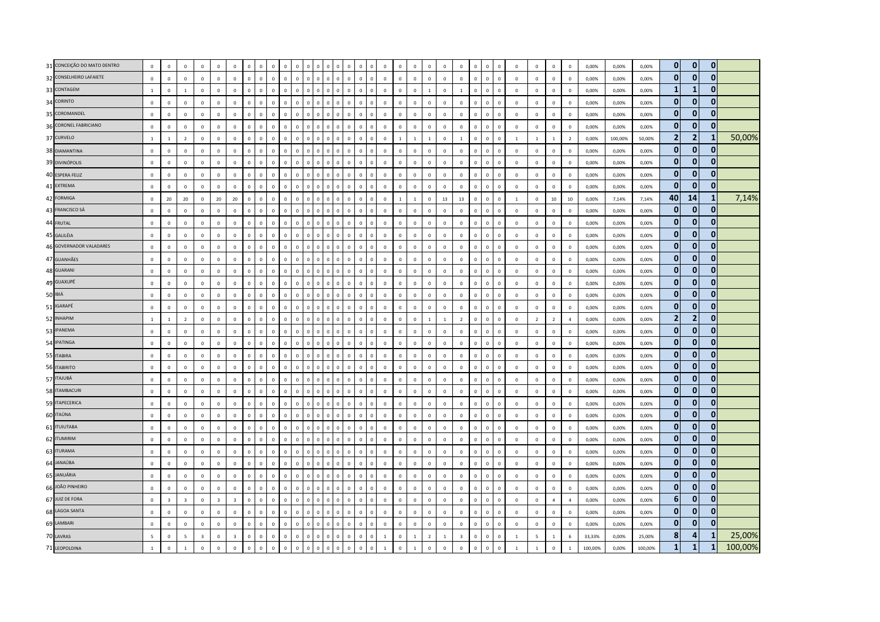| 31 CONCEIÇÃO DO MATO DENTRO | $\mathbf 0$              | $\mathbf 0$             | $\overline{0}$          | $\mathbf 0$             | $\mathbf 0$             | $\mathbf{0}$   | $\Omega$     | $\Omega$<br>$\Omega$       | $\Omega$                      | $\Omega$    |              |             |                                | $\Omega$     | $\Omega$     |                | $\mathbb O$  | $\mathsf 0$    | $\mathbf 0$    | $\overline{0}$ | $\mathbf 0$    | $\mathbf 0$             | $\mathbf 0$  | $\overline{0}$ | $\mathbf 0$   | $\mathbf 0$  | $\mathbf 0$    | $\mathbf{0}$   | $\mathbf 0$    | 0,00%   | 0,00%   | 0,00%   | $\overline{0}$ | $\mathbf{0}$   | $\mathbf{0}$ |         |
|-----------------------------|--------------------------|-------------------------|-------------------------|-------------------------|-------------------------|----------------|--------------|----------------------------|-------------------------------|-------------|--------------|-------------|--------------------------------|--------------|--------------|----------------|--------------|----------------|----------------|----------------|----------------|-------------------------|--------------|----------------|---------------|--------------|----------------|----------------|----------------|---------|---------|---------|----------------|----------------|--------------|---------|
| 32 CONSELHEIRO LAFAIETE     | $\mathbf 0$              | $\mathbf 0$             | $\,0\,$                 | $\mathbb O$             | $\mathbf 0$             | $\mathbf 0$    | $\Omega$     | $\mathbf 0$                | $\mathsf 0$<br>$\mathbf 0$    | $\mathbb O$ | $\mathbf 0$  | $\mathbb O$ | $\mathbf{0}$<br>$\overline{0}$ | $\mathsf 0$  | $\mathbf 0$  | $\mathbf 0$    | $\mathbb O$  | $\mathsf 0$    | $\mathbf 0$    | $\mathbf 0$    | $\mathbf 0$    | $\mathbf 0$             | $\mathbf 0$  | $\mathbb O$    | $\mathbf{0}$  | $\mathbf 0$  | $\overline{0}$ | $\mathbf 0$    | $\mathbf 0$    | 0,00%   | 0,00%   | 0,00%   | $\mathbf{0}$   | $\mathbf{0}$   | $\mathbf{0}$ |         |
| 33 CONTAGEM                 | $\mathbf{1}$             | $\mathbf 0$             | $\overline{1}$          | $\mathbf 0$             | $\Omega$                | $\mathbf 0$    | $\Omega$     | $\Omega$                   | $\mathbf 0$<br>$\Omega$       | $\Omega$    | $\Omega$     | $\Omega$    |                                | $\Omega$     | $\mathbf 0$  | $\Omega$       | $\mathbb O$  | $\mathbf{0}$   | $\,0\,$        | $\overline{1}$ | $\mathbf 0$    | $\mathbf{1}$            | $\mathbf 0$  | $\mathbf 0$    | $\mathbf 0$   | $\mathbf 0$  | $\mathbf 0$    | $\mathbf 0$    | $\mathbf 0$    | 0,00%   | 0,00%   | 0,00%   | $\mathbf{1}$   | $\mathbf{1}$   | $\Omega$     |         |
| 34 CORINTO                  | $\mathbf 0$              | $\circ$                 | $\overline{0}$          | $\mathbf{0}$            | $\mathbf{0}$            | $\Omega$       | $\Omega$     | $\mathbf{0}$               | $\circ$<br>$\mathbf{0}$       | $\Omega$    | $\mathbf{0}$ | $\Omega$    | $\Omega$<br>$\Omega$           | $\Omega$     | $\mathbf{0}$ | $\mathbf 0$    | $\mathbf 0$  | $\mathsf 0$    | $\mathbf 0$    | $\mathbf 0$    | $\overline{0}$ | $\mathbf 0$             | $\circ$      | $\mathbf{0}$   | $\Omega$      | $\mathbf{0}$ | $\mathbf{0}$   | $\mathbf{0}$   | $\mathbf 0$    | 0.00%   | 0,00%   | 0,00%   | $\mathbf{0}$   | $\mathbf{0}$   | $\bf{0}$     |         |
| 35 COROMANDEL               | $\mathbb O$              | $\mathbf 0$             | $\overline{0}$          | $\mathbf 0$             | $\mathbf{0}$            | $\mathbf 0$    | $\mathbf{0}$ | $\mathbf 0$                | $\mathbf 0$<br>$\Omega$       | $\Omega$    | $\mathbf 0$  | $\mathbf 0$ | $\Omega$<br>$\Omega$           | $\mathsf 0$  | $\mathbf 0$  | $\overline{0}$ | $\mathbb O$  | $\mathsf 0$    | $\mathbf 0$    | $\mathbb O$    | $\mathbf 0$    | $\mathbf 0$             | $\mathbf 0$  | $\mathbb O$    | $\mathbf{0}$  | $\mathbf 0$  | $\mathbf 0$    | $\mathbf 0$    | $\mathbf 0$    | 0,00%   | 0,00%   | 0,00%   | $\mathbf{0}$   | $\mathbf{0}$   | $\mathbf{0}$ |         |
| 36 CORONEL FABRICIANO       | $\mathbb O$              | $\mathbf 0$             | $\,$ 0                  | $\mathbf 0$             | $\,0\,$                 | $\mathbf 0$    | $\Omega$     | $\mathbb O$                | $\mathbf 0$<br>$\sqrt{2}$     | $\Omega$    | $\Omega$     | $\Omega$    | $\sqrt{2}$<br>$\Omega$         | $\Omega$     | $\mathbf 0$  | $\Omega$       | $\mathbb O$  | $\,0\,$        | $\,0\,$        | $\mathbf 0$    | $\,0\,$        | $\mathbf 0$             | $\mathbf 0$  | $\mathbf 0$    | $\mathbf 0$   | $\mathbf 0$  | $\,0\,$        | $\,0\,$        | $\mathbf 0$    | 0,00%   | 0,00%   | 0,00%   | $\mathbf{0}$   | $\mathbf{0}$   | $\mathbf{0}$ |         |
| 37 CURVELO                  | $\overline{1}$           | $\mathbf{1}$            | $\overline{2}$          | $\mathbf 0$             | $\mathbf 0$             | $\mathbf{0}$   | $\Omega$     | $\mathbf 0$                | $\mathsf 0$<br>$\mathbf{0}$   | $\Omega$    | $\Omega$     | $\Omega$    | $\mathbf{0}$<br>$\mathbf 0$    | $\mathsf 0$  | $\mathbf 0$  | $\mathbf 0$    | $\mathbb O$  | $\mathbf{1}$   | $\mathbf{1}$   | $\overline{1}$ | $\mathbf 0$    | $\mathbf{1}$            | $\mathbf{0}$ | $\mathbf{0}$   | $\mathsf 0$   | $\mathbf{1}$ | <sup>1</sup>   | $\mathbf{1}$   | $\overline{2}$ | 0,00%   | 100,00% | 50,00%  | $\overline{2}$ | $\overline{2}$ | -1           | 50,00%  |
| 38 DIAMANTINA               | $\mathbf{0}$             | $\Omega$                | $\mathbf 0$             | $\mathbf 0$             | $\mathbf{0}$            | $\mathbf 0$    | $\Omega$     | $\mathbb O$                | $\mathsf 0$<br>$\Omega$       | $\Omega$    | $\Omega$     | $\Omega$    | $\Omega$<br>$\Omega$           | $\Omega$     | $\Omega$     | $\Omega$       | $\Omega$     | $\mathbf{0}$   | $\mathbf 0$    | $\mathbb O$    | $\Omega$       | $\mathbf 0$             | $\mathbf 0$  | $\mathbb O$    | $\mathbf{0}$  | $\Omega$     | $\Omega$       | $\Omega$       | $\mathbf 0$    | 0,00%   | 0,00%   | 0,00%   | $\mathbf{0}$   | $\mathbf{0}$   | $\bf{0}$     |         |
| 39 DIVINÓPOLIS              | $\mathbb O$              | $\mathbb O$             | $\,$ 0                  | $\mathbf 0$             | $\,0\,$                 | $\mathbf 0$    | $\mathbf 0$  | $\mathbf 0$                | $\mathbf 0$<br>$\overline{0}$ | $\mathbf 0$ | $\Omega$     | $\Omega$    |                                | $\mathbf 0$  | $\mathbf 0$  | $\Omega$       | $\mathbb O$  | $\mathbf 0$    | $\,$ 0         | $\mathbf 0$    | $\,0\,$        | $\mathbf 0$             | $\mathbf 0$  | $\mathbf 0$    | $\mathsf 0$   | $\mathbf 0$  | $\,0\,$        | $\,0\,$        | $\mathbf 0$    | 0,00%   | 0,00%   | 0,00%   | $\mathbf{0}$   | $\mathbf{0}$   | $\mathbf{0}$ |         |
| 40 ESPERA FELIZ             | $\mathbb O$              | $\mathbf 0$             | $\,0\,$                 | $\mathbf 0$             | $\mathbf 0$             | $\mathbf 0$    | $\Omega$     | $\mathbf 0$                | $\mathsf 0$<br>$\mathbf{0}$   | $\Omega$    | $\Omega$     | $\mathbf 0$ | $\Omega$<br>$\Omega$           | $\mathsf 0$  | $\mathbf 0$  | $\mathbf 0$    | $\mathbb O$  | $\mathsf 0$    | $\mathbf 0$    | $\mathbb O$    | $\mathbf 0$    | $\mathbf 0$             | $\mathbf 0$  | $\mathbf{0}$   | $\mathbf 0$   | $\mathbf 0$  | $\mathbf 0$    | $\mathbf 0$    | $\mathbf 0$    | 0,00%   | 0,00%   | 0,00%   | $\mathbf{0}$   | $\mathbf{0}$   | $\mathbf{0}$ |         |
| 41 EXTREMA                  | $\mathbb O$              | $\mathbf 0$             | $\mathsf 0$             | $\mathbf 0$             | $\mathbf{0}$            | $\mathbf 0$    | $\Omega$     | $\mathbf{0}$               | $\mathbf 0$<br>$\Omega$       |             |              |             |                                | $\mathbf 0$  | $\mathbf 0$  | $\Omega$       | $\mathbb O$  | $\mathsf 0$    | $\mathbf 0$    | $\overline{0}$ | $\mathbf 0$    | $\mathbf 0$             | $\mathbf 0$  | $\mathbf 0$    | $\mathbf 0$   | $\mathbf 0$  | $\mathbf 0$    | $\mathbf 0$    | $\mathbf 0$    | 0,00%   | 0,00%   | 0,00%   | $\mathbf{0}$   | $\mathbf{0}$   | $\bf{0}$     |         |
| 42 FORMIGA                  | $\mathbb O$              | 20                      | 20                      | $\mathbf 0$             | 20                      | 20             | $\Omega$     | $\mathbf{0}$<br>$\Omega$   | $\Omega$                      |             | $\Omega$     | $\Omega$    | $\Omega$                       | $\Omega$     | $\Omega$     | $\Omega$       | $\mathbb O$  | $\overline{1}$ | $\overline{1}$ | $\,0\,$        | 13             | 13                      | $\mathbf 0$  | $\mathbf 0$    | $\mathbf 0$   | $1\,$        | $\mathbf 0$    | $10\,$         | 10             | 0.00%   | 7,14%   | 7,14%   | 40             | 14             | -1           | 7,14%   |
| 43 FRANCISCO SÁ             | $\mathbf 0$              | $\mathbf 0$             | $\mathbf 0$             | $\mathbf{0}$            | $\mathbf 0$             | $\mathbf 0$    | $\Omega$     | $\mathbf 0$                | $\circ$<br>$\Omega$           | $\Omega$    | $\Omega$     | $\Omega$    | $\Omega$<br>$\Omega$           | $\Omega$     | $\Omega$     | $\Omega$       | $\mathbf 0$  | $\mathsf 0$    | $\mathbf 0$    | $\mathbf 0$    | $\circ$        | $\mathbf 0$             | $\mathbf 0$  | $\mathbf{0}$   | $\mathbf 0$   | $\mathbf 0$  | $\,$ 0         | $\mathbf{0}$   | $\mathbf 0$    | 0.00%   | 0,00%   | 0,00%   | $\mathbf{0}$   | $\mathbf{0}$   | $\mathbf{0}$ |         |
| 44 FRUTAL                   | $\mathbb O$              | $\mathbf 0$             | $\,$ 0                  | $\mathbf 0$             | $\,$ 0 $\,$             | $\mathbf 0$    |              | $\mathbf 0$                | $\mathbf 0$<br>$\overline{0}$ | $\mathbf 0$ | $\Omega$     | $\Omega$    | $\sqrt{2}$                     | $\mathbf 0$  | $\mathbf 0$  | $\Omega$       | $\mathbb O$  | $\mathsf 0$    | $\mathbf 0$    | $\overline{0}$ | $\mathbf 0$    | $\mathbf 0$             | $\mathbf 0$  | $\mathbb O$    | $\mathbf 0$   | $\mathbf 0$  | $\,$ 0 $\,$    | $\mathbf{0}$   | $\mathbf 0$    | 0,00%   | 0,00%   | 0,00%   | $\overline{0}$ | $\mathbf{0}$   | $\mathbf{0}$ |         |
| 45 GALILÉIA                 | $\mathbb O$              | $\mathbf 0$             | $\,$ 0                  | $\mathbb O$             | $\,$ 0 $\,$             | $\mathbf 0$    | $\mathbf{0}$ | $\mathbf 0$                | $\mathbf 0$<br>$\mathsf 0$    | $\mathbf 0$ | $\mathbf 0$  | $\mathbb O$ | $\mathbf{0}$<br>$\Omega$       | $\mathsf 0$  | $\mathbf 0$  | $\mathbf 0$    | $\mathbb O$  | $\mathsf 0$    | $\,$ 0 $\,$    | $\mathbf 0$    | $\mathbf 0$    | $\mathbf 0$             | $\mathbf 0$  | $\circ$        | $\mathbf 0$   | $\mathbf 0$  | $\mathbf 0$    | $\mathbf 0$    | $\mathbf 0$    | 0,00%   | 0,00%   | 0,00%   | $\mathbf{0}$   | $\mathbf{0}$   | $\mathbf{0}$ |         |
| 46 GOVERNADOR VALADARES     | $\Omega$                 | $\Omega$                | $\overline{0}$          | $\Omega$                | $\Omega$                | $\mathbf 0$    | $\Omega$     | $\mathbb O$                | $\mathbf 0$<br>$\Omega$       | $\Omega$    | $\Omega$     | $\Omega$    | $\Omega$                       | $\Omega$     | $\mathbf 0$  | $\Omega$       | $\mathbb O$  | $\mathsf 0$    | $\mathbf 0$    | $\mathbf 0$    | $\Omega$       | $\mathbf 0$             | $\mathsf 0$  | $\mathbf 0$    | $\Omega$      | $\Omega$     | $\Omega$       | $\mathbf 0$    | $\mathbf 0$    | 0.00%   | 0,00%   | 0,00%   | $\mathbf{0}$   | 0              | ŋ            |         |
| 47 GUANHÃES                 | $\mathbf 0$              | $\mathbb O$             | $\mathbf 0$             | $\mathbf 0$             | $\mathbf 0$             | $\mathbf 0$    | $\Omega$     | $\mathbf{0}$               | $\mathbf 0$<br>$\mathbf{0}$   | $\Omega$    | $\Omega$     | $\Omega$    | $\Omega$<br>$\Omega$           | $\Omega$     | $\mathbf 0$  | $\Omega$       | $\mathbb O$  | $\mathsf 0$    | $\mathbf 0$    | $\mathbf 0$    | $\circ$        | $\mathbf 0$             | $\mathsf 0$  | $\mathbf 0$    | $\mathbf 0$   | $\mathbf 0$  | $\mathbf 0$    | $\,0\,$        | $\,0\,$        | 0,00%   | 0,00%   | 0,00%   | $\overline{0}$ | $\mathbf{0}$   | $\mathbf{0}$ |         |
| 48 GUARANI                  | $\mathbb O$              | $\mathbf 0$             | $\overline{0}$          | $\mathbf 0$             | $\mathbf 0$             | $\mathbf 0$    | $\mathbf 0$  | $\mathbf 0$                | $\mathbf 0$<br>$\mathsf 0$    | $\Omega$    | $\mathbf 0$  | $\mathbf 0$ | $\mathbf{0}$<br>$\mathbf 0$    | $\mathbf 0$  | $\mathbf 0$  | $\mathbf 0$    | $\mathbb O$  | $\mathsf 0$    | $\mathbf 0$    | $\mathbf 0$    | $\mathbf 0$    | $\mathbf 0$             | $\mathbf 0$  | $\mathbf 0$    | $\mathbf 0$   | $\mathbf 0$  | $\overline{0}$ | $\mathbf{0}$   | $\mathbf 0$    | 0,00%   | 0,00%   | 0,00%   | $\overline{0}$ | $\mathbf{0}$   | $\mathbf{0}$ |         |
| 49 GUAXUPÉ                  | $\mathbf 0$              | $\mathbf 0$             | $\mathbf 0$             | $\mathbf 0$             | $\mathbf{0}$            | $\mathbf 0$    | $\Omega$     | $\mathbb O$                | $\mathsf 0$<br>$\overline{0}$ | $\mathbf 0$ | $\Omega$     | $\Omega$    | $\Omega$                       | $\mathbf 0$  | $\mathbf 0$  | $\mathbf{0}$   | $\mathbb O$  | $\mathsf 0$    | $\mathbf 0$    | $\mathbb O$    | $\mathbf 0$    | $\mathbf 0$             | $\mathsf 0$  | $\mathbb O$    | $\mathbf{0}$  | $\mathbf 0$  | $\mathbf 0$    | $\mathbf 0$    | $\mathbf 0$    | 0,00%   | 0,00%   | 0,00%   | $\overline{0}$ | $\mathbf{0}$   | $\mathbf{0}$ |         |
| 50 IBIÁ                     | $\mathbb O$              | $\circ$                 | $\,0\,$                 | $\mathbf 0$             | $\mathbf 0$             | $\mathbf 0$    | $\Omega$     | $\mathbf 0$                | $\mathbf 0$<br>$\Omega$       | $\Omega$    | $\Omega$     | $\Omega$    | $\Omega$                       | $\Omega$     | $\Omega$     | $\Omega$       | $\mathbb O$  | $\mathsf 0$    | $\,$ 0 $\,$    | $\mathbf 0$    | $\circ$        | $\mathbf 0$             | $\mathbf 0$  | $\mathbf 0$    | $\mathsf 0$   | $\mathbf 0$  | $\mathbf 0$    | $\mathsf 0$    | $\mathbf 0$    | 0,00%   | 0,00%   | 0,00%   | $\mathbf{0}$   | $\mathbf{0}$   | $\mathbf{0}$ |         |
| 51 IGARAPÉ                  | $\mathbb O$              | $\mathbf 0$             | $\,$ 0                  | $\mathbf 0$             | $\,$ 0 $\,$             | $\mathbf 0$    | $\mathbf{0}$ | $\mathbf 0$                | $\mathbf 0$<br>$\mathsf 0$    | $\Omega$    | $\mathbf 0$  | $\mathbf 0$ | $\Omega$<br>$\Omega$           | $\mathbf 0$  | $\mathbf 0$  | $\mathbf 0$    | $\mathbb O$  | $\mathsf 0$    | $\mathbf 0$    | $\mathbf 0$    | $\mathbf 0$    | $\mathbf 0$             | $\mathbf 0$  | $\mathbb O$    | $\mathbf 0$   | $\mathbf 0$  | $\,$ 0 $\,$    | $\mathbf 0$    | $\mathbf 0$    | 0,00%   | 0,00%   | 0,00%   | $\mathbf{0}$   | $\mathbf{0}$   | $\mathbf{0}$ |         |
| 52 INHAPIM                  | $\mathbf{1}$             | $\,$ 1 $\,$             | $\overline{2}$          | $\mathbf 0$             | $\mathbf 0$             | $\mathbf 0$    |              | $\mathbf 0$<br>$\mathbf 0$ | $\mathbf 0$                   |             |              |             |                                | $\mathbf 0$  | $\mathbf 0$  |                | $\mathbb O$  | $\mathbf 0$    | $\,$ 0 $\,$    | $\mathbf{1}$   | $\mathbf{1}$   | $\overline{2}$          | $\mathbf 0$  | $\pmb{0}$      | $\mathbf{0}$  | $\mathbf 0$  | $\overline{2}$ | $\overline{2}$ | $\sqrt{4}$     | 0,00%   | 0,00%   | 0,00%   | $\overline{2}$ | $\overline{2}$ | $\mathbf{0}$ |         |
| 53 IPANEMA                  | $\mathbf 0$              | $\Omega$                | $\overline{0}$          | $\mathbf{0}$            | $\mathbf{0}$            | $\mathbf{0}$   | $\Omega$     | $\mathbf{0}$               | $\circ$<br>$\Omega$           |             | $\Omega$     | $\Omega$    | $\Omega$<br>$\Omega$           | $\Omega$     | $\mathbf{0}$ | $\mathbf 0$    | $\mathbf 0$  | $\mathbf{0}$   | $\mathbf{0}$   | $\mathbf{0}$   | $\overline{0}$ | $\mathbf{0}$            | $\mathbf{0}$ | $\mathbf{0}$   | $\Omega$      | $\mathbf{0}$ | $\mathbf{0}$   | $\mathbf{0}$   | $\Omega$       | 0.00%   | 0,00%   | 0.00%   | $\mathbf{0}$   | $\mathbf{0}$   | $\mathbf{0}$ |         |
| 54 IPATINGA                 | $\mathbf{0}$             | $\Omega$                | $\mathbf{0}$            | $\Omega$                | $\mathbf{0}$            | $\Omega$       | $\Omega$     | $\mathbf{0}$               | $\mathsf 0$<br>$\Omega$       | $\Omega$    | $\Omega$     | $\Omega$    | $\Omega$<br>$\Omega$           | $\Omega$     | $\mathbf{0}$ | $\Omega$       | $\Omega$     | $\mathbf{0}$   | $\mathbf{0}$   | $\mathbf 0$    | $\Omega$       | $\Omega$                | $\mathbf{0}$ | $\mathbf{0}$   | $\Omega$      | $\Omega$     | $\Omega$       | $\Omega$       | $\Omega$       | 0.00%   | 0,00%   | 0,00%   | $\mathbf{0}$   | $\mathbf{0}$   | $\mathbf{0}$ |         |
| 55 ITABIRA                  | $\mathbb O$              | $\mathbb O$             | $\,$ 0                  | $\mathbf 0$             | $\mathbf 0$             | $\mathbf 0$    | $\mathbf 0$  | $\mathbf 0$                | $\mathbf 0$<br>$\mathsf 0$    | $\Omega$    | $\Omega$     | $\mathbf 0$ | $\Omega$<br>$\Omega$           | $\mathbf 0$  | $\mathbf 0$  | $\Omega$       | $\mathbb O$  | $\mathbf 0$    | $\mathbf 0$    | $\,$ 0         | $\,0\,$        | $\mathbf 0$             | $\mathbf 0$  | $\,0\,$        | $\mathbf 0$   | $\mathbf 0$  | $\,0\,$        | $\,0\,$        | $\mathbf 0$    | 0,00%   | 0,00%   | 0,00%   | $\mathbf{0}$   | $\mathbf{0}$   | $\bf{0}$     |         |
| 56 ITABIRITO                | $\overline{0}$           | $\mathbf 0$             | $\,0\,$                 | $\mathbf 0$             | $\mathbf 0$             | $\mathbf{0}$   | $\Omega$     | $\mathbf 0$                | $\circ$<br>$\mathbf{0}$       | $\Omega$    | $\Omega$     | $\Omega$    | $\mathbf{0}$<br>$\mathbf 0$    | $\mathsf 0$  | $\mathbf 0$  | $\mathbf 0$    | $\mathbb O$  | $\mathsf 0$    | $\mathbf 0$    | $\mathbf 0$    | $\mathbf 0$    | $\mathbf 0$             | $\mathbf 0$  | $\mathbf{0}$   | $\mathbf 0$   | $\mathbf 0$  | $\mathbf 0$    | $\mathbf 0$    | $\mathbf 0$    | 0,00%   | 0,00%   | 0,00%   | $\mathbf{0}$   | $\mathbf{0}$   | $\mathbf{0}$ |         |
| 57 ITAJUBÁ                  | $\mathbf 0$              | $\Omega$                | $\mathbf{0}$            | $\Omega$                | $\mathbf{0}$            | $\mathbf{0}$   | $\Omega$     | $\mathbf 0$                | $\Omega$<br>$\Omega$          | $\Omega$    | $\Omega$     | $\Omega$    | $\Omega$<br>$\Omega$           | $\Omega$     | $\mathbf{0}$ | $\Omega$       | $\mathbf{0}$ | $\mathbf{0}$   | $\mathbf{0}$   | $\mathbb O$    | $\mathbf{0}$   | $\Omega$                | $\mathbf{0}$ | $\mathbf{0}$   | $\Omega$      | $\Omega$     | $\Omega$       | $\mathbf{0}$   | $\mathbf 0$    | 0.00%   | 0,00%   | 0.00%   | $\mathbf{0}$   | $\mathbf{0}$   | 0            |         |
| 58 ITAMBACURI               | $\mathbb O$              | $\mathbb O$             | $\,0\,$                 | $\mathbf 0$             | $\mathbf 0$             | $\mathbf{0}$   | $\Omega$     | $\mathbf 0$                | $\mathbf 0$<br>$\Omega$       | $\Omega$    | $\Omega$     | $\Omega$    | $\Omega$                       | $\Omega$     | $\Omega$     | $\Omega$       | $\mathbb O$  | $\mathsf 0$    | $\,$ 0         | $\overline{0}$ | $\mathbf 0$    | $\mathbf 0$             | $\mathbf 0$  | $\mathbf 0$    | $\mathbf{0}$  | $\mathbf 0$  | $\mathbf 0$    | $\mathsf 0$    | $\mathbf 0$    | 0,00%   | 0,00%   | 0,00%   | $\mathbf{0}$   | $\mathbf{0}$   | $\mathbf{0}$ |         |
| 59 ITAPECERICA              | $\mathbf 0$              | $\mathbf 0$             | $\,$ 0                  | $\mathbf 0$             | $\mathbf 0$             | $\mathbf 0$    | $\Omega$     | $\mathbf 0$                | $\mathbf 0$<br>$\mathsf 0$    | $\Omega$    | $\Omega$     | $\Omega$    | $\Omega$<br>$\Omega$           | $\mathsf 0$  | $\mathbf 0$  | $\mathbf 0$    | $\mathbb O$  | $\mathbf 0$    | $\mathbf 0$    | $\,0\,$        | $\mathbf 0$    | $\mathbf 0$             | $\mathbf 0$  | $\,0\,$        | $\mathbf 0$   | $\mathbf 0$  | $\mathbf 0$    | $\,0\,$        | $\mathbf 0$    | 0,00%   | 0,00%   | 0,00%   | $\mathbf{0}$   | $\mathbf{0}$   | $\mathbf{0}$ |         |
| 60 ITAÚNA                   | $\mathbf 0$              | $\mathbf 0$             | $\mathsf 0$             | $\mathbf 0$             | $\mathbf 0$             | $\mathbf 0$    | $\Omega$     | $\mathbf 0$                | $\mathbf 0$<br>$\Omega$       | $\Omega$    |              | $\Omega$    |                                | $\Omega$     | $\mathbf 0$  | $\Omega$       | $\mathbf 0$  | $\mathsf 0$    | $\mathbf 0$    | $\overline{0}$ | $\,0\,$        | $\mathbf 0$             | $\mathbf 0$  | $\mathbb O$    | $\mathbf 0$   | $\circ$      | $\mathbf 0$    | $\mathbf 0$    | $\mathbf 0$    | 0,00%   | 0,00%   | 0,00%   | $\mathbf{0}$   | $\mathbf{0}$   | $\mathbf{0}$ |         |
| 61 <b>ITUIUTABA</b>         | $\Omega$                 | $\mathbb O$             | $\,0\,$                 | $\mathbf 0$             | $\mathbf 0$             | $\Omega$       | $\Omega$     | $\mathbf{0}$               | $\Omega$<br>$\Omega$          | $\Omega$    | $\Omega$     | $\Omega$    | $\Omega$<br>$\Omega$           | $\Omega$     | $\mathbf{0}$ | $\Omega$       | $\mathbb O$  | $\mathsf 0$    | $\,$ 0 $\,$    | $\mathbf 0$    | $\Omega$       | $\mathbf 0$             | $\mathbf{0}$ | $\mathbb O$    | $\Omega$      | $\mathbf 0$  | $\mathbf 0$    | $\mathbf 0$    | $\mathbf 0$    | 0,00%   | 0,00%   | 0,00%   | $\mathbf{0}$   | $\mathbf{0}$   | $\mathbf{0}$ |         |
| 62 ITUMIRIM                 | $\mathbb O$              | $\mathbf{0}$            | $\,0\,$                 | $\mathbf{0}$            | $\mathbf 0$             | $\mathbf 0$    | $\Omega$     | $\mathbb O$                | $\mathbf 0$<br>$\Omega$       | $\Omega$    | $\mathbf 0$  | $\mathbf 0$ | $\Omega$<br>$\Omega$           | $\Omega$     | $\mathbf 0$  | $\Omega$       | $\mathbb O$  | $\mathsf 0$    | $\,0\,$        | $\mathbf 0$    | $\mathbf 0$    | $\mathbf 0$             | $\mathbf 0$  | $\mathbf 0$    | $\mathsf 0$   | $\mathbf 0$  | $\mathbf 0$    | $\mathsf 0$    | $\mathbf 0$    | 0,00%   | 0,00%   | 0,00%   | $\mathbf{0}$   | 0              | $\mathbf 0$  |         |
| 63 ITURAMA                  | $\mathbb O$              | $\mathbf 0$             | $\overline{0}$          | $\mathbf 0$             | $\mathbf 0$             | $\mathbf 0$    |              | $\mathbf 0$                | $\mathbf 0$<br>$\Omega$       |             |              |             |                                | $\Omega$     | $\mathbf 0$  | $\Omega$       | $\mathbb O$  | $\mathsf 0$    | $\mathbf 0$    | $\overline{0}$ | $\mathbf 0$    | $\mathbf 0$             | $\mathbf 0$  | $\mathbb O$    | $\mathbf{0}$  | $\mathbf 0$  | $\,$ 0         | $\mathbf 0$    | $\mathbf 0$    | 0,00%   | 0,00%   | 0,00%   | $\mathbf{0}$   | $\mathbf{0}$   | $\mathbf{0}$ |         |
| 64 JANAÚBA                  | $\mathbb O$              | $\mathbf{0}$            | $\,$ 0                  | $\mathbf 0$             | $\,$ 0 $\,$             | $\mathbf{0}$   | $\Omega$     | $\mathbf 0$                | $\mathbf{0}$<br>$\Omega$      |             |              |             |                                | $\Omega$     | $\mathbf 0$  | $\mathbf{0}$   | $\mathbb O$  | $\mathsf 0$    | $\mathbf 0$    | $\mathbf 0$    | $\mathbf 0$    | $\mathbf 0$             | $\mathbf 0$  | $\mathbb O$    | $\mathbf 0$   | $\mathbf 0$  | $\overline{0}$ | $\mathsf 0$    | $\overline{0}$ | 0,00%   | 0,00%   | 0,00%   | $\overline{0}$ | $\mathbf{0}$   | $\mathbf{0}$ |         |
| 65 JANUÁRIA                 | $\mathbb O$              | $\mathbf 0$             | $\mathsf 0$             | $\mathbf 0$             | $\mathbf 0$             | $\mathbf 0$    | $\Omega$     | $\mathbf{0}$               | $\mathsf 0$<br>$\Omega$       | $\Omega$    | $\Omega$     | $\mathbf 0$ | $\Omega$                       | $\mathbf 0$  | $\mathbf 0$  | $\overline{0}$ | $\mathbb O$  | $\mathsf 0$    | $\mathbf 0$    | $\mathbf 0$    | $\mathbf 0$    | $\mathbf{0}$            | $\mathbf 0$  | $\mathbb O$    | $\mathbf 0$   | $\mathbf 0$  | $\mathbf 0$    | $\mathbf 0$    | $\mathbf 0$    | 0,00%   | 0,00%   | 0,00%   | $\mathbf{0}$   | $\mathbf{0}$   | $\bf{0}$     |         |
| 66 JOÃO PINHEIRO            | $\mathbf 0$              | $\mathbf 0$             | $\,$ 0                  | $\mathbf 0$             | $\mathbf 0$             | $\mathbf 0$    | $\Omega$     | $\mathbf{0}$               | $\mathsf 0$<br>$\mathbf{0}$   | $\Omega$    | $\Omega$     | $\Omega$    | $\Omega$<br>$\Omega$           | $\Omega$     | $\mathbf 0$  | $\Omega$       | $\mathbb O$  | $\mathsf 0$    | $\mathbb O$    | $\mathbf 0$    | $\circ$        | $\mathbf 0$             | $\mathbf 0$  | $\mathbf{0}$   | $\mathbf 0$   | $\mathbf 0$  | $\,$ 0         | $\mathbf 0$    | $\mathbf 0$    | 0,00%   | 0,00%   | 0,00%   | $\mathbf{0}$   | $\mathbf{0}$   | $\mathbf{0}$ |         |
| 67 JUIZ DE FORA             | $\mathbb O$              | $\overline{\mathbf{3}}$ | $\overline{\mathbf{3}}$ | $\mathbf 0$             | $\overline{\mathbf{3}}$ | $\overline{3}$ | $\mathbf 0$  | $\mathbf 0$                | $\mathbf 0$<br>$\mathsf 0$    | $\mathbf 0$ | $\mathbf 0$  | $\mathbf 0$ | $\mathbf{0}$<br>$\mathbf 0$    | $\mathsf 0$  | $\mathbf 0$  | $\mathbf 0$    | $\mathbb O$  | $\mathsf 0$    | $\mathbf 0$    | $\mathbf 0$    | $\mathbf 0$    | $\mathsf 0$             | $\mathbf 0$  | $\circ$        | $\mathsf 0$   | $\mathbf 0$  | $\overline{0}$ | $\overline{4}$ | $\overline{4}$ | 0,00%   | 0,00%   | 0,00%   | $6\phantom{1}$ | $\mathbf{0}$   | $\mathbf{0}$ |         |
| 68 LAGOA SANTA              | $\mathbf 0$              | $\mathbf 0$             | $\mathsf 0$             | $\mathbf 0$             | $\mathbf 0$             | $\mathbf 0$    | $\Omega$     | $\mathbf{0}$               | $\mathsf 0$<br>$\Omega$       | $\Omega$    | $\Omega$     | $\Omega$    |                                | $\Omega$     | $\mathbf 0$  | $\Omega$       | $\mathbb O$  | $\mathsf 0$    | $\mathbf 0$    | $\mathbb O$    | $\mathbf 0$    | $\mathbf 0$             | $\mathbf 0$  | $\mathbf 0$    | $\mathbf 0$   | $\mathbf 0$  | $\mathbf 0$    | $\mathbf 0$    | $\mathbf 0$    | 0,00%   | 0,00%   | 0,00%   | $\mathbf{0}$   | $\mathbf{0}$   | 0            |         |
| 69 LAMBARI                  | $\overline{0}$           | $\Omega$                | $\overline{0}$          | $\mathbf{0}$            | $\mathbf{0}$            | $\mathbf{0}$   | $\Omega$     | $\mathbf{0}$               | $\circ$<br>$\mathbf{0}$       | $\Omega$    | $\Omega$     | $\mathbf 0$ | $\mathbf{0}$<br>$\mathbf 0$    | $\mathbf{0}$ | $\mathbf{0}$ | $\mathbf 0$    | $\mathbf 0$  | $\mathbf{0}$   | $\mathbf{0}$   | $\overline{0}$ | $\overline{0}$ | $\mathbf{0}$            | $\mathbf{0}$ | $\mathbf{0}$   | $\Omega$      | $\mathbf{0}$ | $\mathbf{0}$   | $\mathbf{0}$   | $\Omega$       | 0.00%   | 0,00%   | 0.00%   | $\overline{0}$ | $\mathbf{0}$   | 0            |         |
| 70 LAVRAS                   | $\overline{\phantom{a}}$ | $\mathbf 0$             | 5                       | $\overline{\mathbf{3}}$ | $\mathbf{0}$            | $\overline{3}$ | $\Omega$     | $\mathbf 0$                | $\mathbf 0$<br>$\mathsf 0$    | $\mathbf 0$ | $\mathbf 0$  | $\mathbf 0$ | $\mathbf{0}$<br>$\overline{0}$ | $\mathsf 0$  | $\mathbf 0$  | $\mathbf 0$    | $\mathbf{1}$ | $\mathsf 0$    | $\,$ 1 $\,$    | $\overline{2}$ | $\mathbf{1}$   | $\overline{\mathbf{3}}$ | $\mathsf 0$  | $\mathbf 0$    | $\mathsf 0$   | $\mathbf{1}$ | 5              | $\mathbf{1}$   | 6              | 33,33%  | 0,00%   | 25,00%  | 8              | 4              | -1           | 25,00%  |
| 71 LEOPOLDINA               | $\mathbf{1}$             | $\mathbf 0$             | $\mathbf{1}$            | $\mathbf 0$             | $\mathbf{0}$            | $\mathbf{0}$   |              | $\mathbf{0}$               | $\mathbf 0$<br>$\overline{0}$ | $\mathbf 0$ | $\mathbf 0$  |             |                                | $\mathbf 0$  | $\mathbf{0}$ | $\Omega$       |              | $\mathbf 0$    | $\overline{1}$ | $\mathbf 0$    | $\mathbf 0$    | $\mathbf{0}$            | $\mathbf 0$  | $\pmb{0}$      | $\mathfrak o$ |              |                | $\mathbf 0$    |                | 100,00% | 0,00%   | 100,00% | $\mathbf{1}$   | $\mathbf{1}$   |              | 100,00% |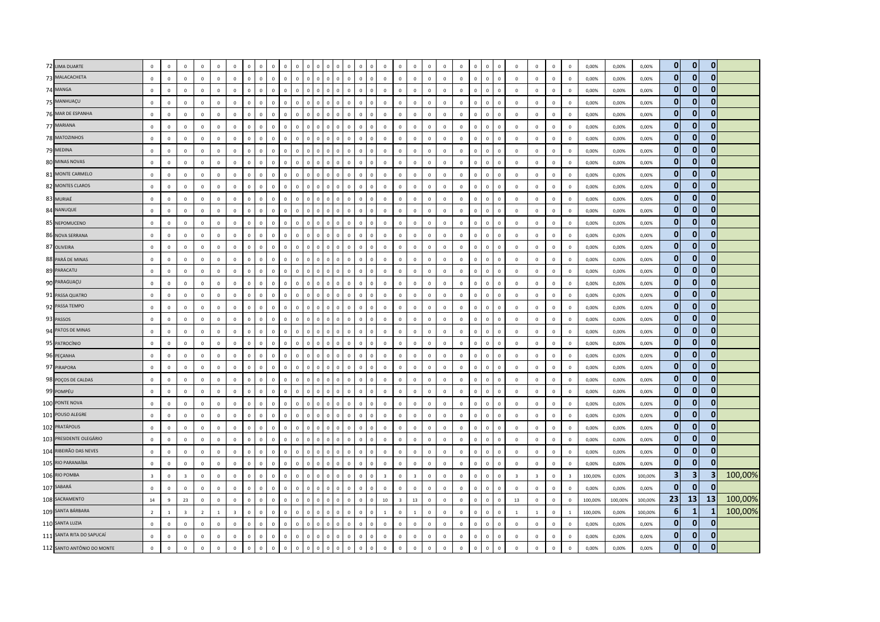| 72 LIMA DUARTE             | $\mathbb O$             | $\Omega$       | $\mathsf 0$             | $\overline{0}$ | $\mathbb O$    | $\mathbf 0$    | $\Omega$     | $\sqrt{2}$     | $\Omega$     | $\Omega$<br>$\Omega$         |                |                         |                |                |                               |                               | $\overline{0}$          | $\Omega$                | $\Omega$       | $\Omega$     | $\mathbf 0$  | $\mathsf 0$  | $\Omega$       | $\mathbf 0$  | $\Omega$       | $\mathbf 0$             | $\mathbf 0$             | $\mathbf 0$ | $\overline{0}$ | 0,00%   | 0,00%   | 0,00%   | $\mathbf{0}$            | $\mathbf{0}$ | $\overline{0}$ |         |
|----------------------------|-------------------------|----------------|-------------------------|----------------|----------------|----------------|--------------|----------------|--------------|------------------------------|----------------|-------------------------|----------------|----------------|-------------------------------|-------------------------------|-------------------------|-------------------------|----------------|--------------|--------------|--------------|----------------|--------------|----------------|-------------------------|-------------------------|-------------|----------------|---------|---------|---------|-------------------------|--------------|----------------|---------|
| 73 MALACACHETA             | $\mathbb O$             | $\mathbf 0$    | $\mathbf 0$             | $\mathbb O$    | $\circ$        | $\mathsf 0$    | $\mathbf 0$  | $\mathbf{0}$   | $\mathsf 0$  | $\mathbf{0}$<br>$\mathbf 0$  | $\mathbf 0$    | $\,$ 0                  | $\mathbf{0}$   | $\overline{0}$ | $\mathbf 0$                   | $\mathbf 0$<br>$\overline{0}$ | $\mathbf 0$             | $\mathsf 0$             | $\circ$        | $\mathbf 0$  | $\mathbf 0$  | $\mathsf 0$  | $\mathbf 0$    | $\mathbf 0$  | $\mathsf 0$    | $\overline{\mathbf{0}}$ | $\mathbf 0$             | $\mathsf 0$ | $\mathbf 0$    | 0,00%   | 0,00%   | 0,00%   | $\mathbf{0}$            | $\mathbf{0}$ | $\mathbf{0}$   |         |
| 74 MANGA                   | $\mathbf 0$             | $\Omega$       | $\mathbf 0$             | $\Omega$       | $\circ$        | $\mathbf 0$    | $\mathbf 0$  | $\mathbf 0$    | $\mathbf 0$  | $\mathbf 0$<br>$\Omega$      | $\Omega$       | $\overline{0}$          | $\Omega$       |                | $\Omega$<br>$\Omega$          |                               | $\overline{0}$          | $\mathbf 0$             | $\mathbf 0$    | $\mathbf 0$  | $\mathbf 0$  | $\mathbf 0$  | $\mathbf{0}$   | $\circ$      | $\Omega$       | $\mathbf 0$             | $\mathbf 0$             | $\circ$     | $\mathbf 0$    | 0,00%   | 0,00%   | 0,00%   | $\mathbf{0}$            | $\mathbf{0}$ | $\Omega$       |         |
| 75 MANHUAÇU                | $\Omega$                | $\Omega$       | $\Omega$                | $\Omega$       | $\Omega$       | $\Omega$       | $\mathbf{0}$ | $\overline{0}$ | $\Omega$     | $\mathbf{0}$<br>$\Omega$     | $\mathbf{0}$   | $\overline{0}$          | $\Omega$       | $\Omega$       | $\Omega$                      | $\mathbf{0}$<br>$\Omega$      | $\mathbf 0$             | $\Omega$                | $\mathbf{0}$   | $\mathbf{0}$ | $\mathbb O$  | $\mathsf 0$  | $\Omega$       | $\circ$      | $\Omega$       | $\mathbf 0$             | $\mathbf 0$             | $\Omega$    | $\overline{0}$ | 0,00%   | 0,00%   | 0,00%   | $\mathbf{0}$            | $\mathbf{0}$ | $\overline{0}$ |         |
| 76 MAR DE ESPANHA          | $\mathbb O$             | $\mathbf 0$    | $\mathbf 0$             | $\mathbb O$    | $\circ$        | $\Omega$       | $\mathbf 0$  | $\circ$        | $\mathbf 0$  | $\mathbf 0$<br>$\mathbf 0$   | $\mathbf 0$    | $\,$ 0                  | $\overline{0}$ | $\overline{0}$ | $\mathbf 0$                   | $\,$ 0<br>$\Omega$            | $\mathbf 0$             | $\mathbf 0$             | $\mathbf 0$    | $\mathbf 0$  | $\mathbb O$  | $\mathsf 0$  | $\mathsf 0$    | $\mathbf 0$  | $\,$ 0         | $\,$ 0                  | $\mathbf 0$             | $\mathbf 0$ | $\mathbb O$    | 0,00%   | 0,00%   | 0,00%   | $\bf{0}$                | $\mathbf 0$  | $\mathbf 0$    |         |
| 77 MARIANA                 | $\mathbf 0$             | $\,0\,$        | $\mathbf 0$             | $\mathbf 0$    | $\circ$        | $\mathbf 0$    | $\mathbf 0$  | $\mathbf{0}$   | $\mathbf 0$  | $\mathbf 0$<br>$\Omega$      | $\Omega$       | $\mathbf 0$             | $\Omega$       |                | $\Omega$                      | $\mathbf 0$                   | $\mathbf 0$             | $\mathbf 0$             | $\mathbb O$    | $\Omega$     | $\mathbf 0$  | $\mathsf 0$  | $\mathbf 0$    | $\mathbf 0$  | $\,0\,$        | $\overline{0}$          | $\mathbf 0$             | $\mathsf 0$ | $\mathbf 0$    | 0,00%   | 0,00%   | 0,00%   | $\mathbf{0}$            | $\mathbf{0}$ | $\mathbf{0}$   |         |
| 78 MATOZINHOS              | $\mathbb O$             | $\mathbf{0}$   | $\mathbf 0$             | $\mathbb O$    | $\mathbf 0$    | $\mathbf 0$    | $\mathbf 0$  | $\mathbf{0}$   | $\mathbf 0$  | $\mathbf 0$<br>$\mathbf 0$   | $\mathbf 0$    | $\overline{\mathbf{0}}$ | $\Omega$       | $\Omega$       | $\Omega$                      | $\mathbf 0$<br>$\Omega$       | $\mathbf 0$             | $\mathbf 0$             | $\mathbb O$    | $\mathbf 0$  | $\mathbb O$  | $\mathsf 0$  | $\mathsf 0$    | $\mathbb O$  | $\mathsf 0$    | $\mathbf 0$             | $\mathbf 0$             | $\mathsf 0$ | $\mathbb O$    | 0,00%   | 0,00%   | 0,00%   | $\bf{0}$                | $\mathbf{0}$ | $\overline{0}$ |         |
| 79 MEDINA                  | $\mathbf 0$             | $\mathbf 0$    | $\mathbf{0}$            | $\mathbf 0$    | $\circ$        | $\mathsf 0$    | $\mathbf 0$  | $\Omega$       | $\mathbf 0$  | $\Omega$<br>$\Omega$         | $\overline{0}$ | $\mathbf 0$             | $\Omega$       | $\epsilon$     | $\mathbf 0$                   | $\mathbf 0$<br>$\Omega$       | $\mathbf 0$             | $\Omega$                | $\circ$        | $\mathbf 0$  | $\mathbf 0$  | $\mathsf 0$  | $\mathbf 0$    | $\mathbf{0}$ | $\mathbf 0$    | $\mathbf 0$             | $\mathbf 0$             | $\mathsf 0$ | $\mathbf 0$    | 0,00%   | 0,00%   | 0,00%   | $\bf{0}$                | $\mathbf{0}$ | $\mathbf{0}$   |         |
| 80 MINAS NOVAS             | $\,0\,$                 | $\mathbf 0$    | $\mathbf 0$             | $\mathbb O$    | $\mathbf 0$    | $\mathbf 0$    | $\mathbf 0$  | $\overline{0}$ | $\mathbf 0$  | $\mathbf 0$<br>$\mathbf 0$   | $\mathbf 0$    | $\,$ 0                  | $\Omega$       |                | $\mathbf 0$                   | $\mathbf 0$                   | $\,$ 0                  | $\mathbf 0$             | $\mathbb O$    | $\mathbf 0$  | $\,0\,$      | $\,0\,$      | $\mathbf 0$    | $\mathbf 0$  | $\,0\,$        | $\,$ 0                  | $\mathbf 0$             | $\mathbf 0$ | $\mathbf 0$    | 0,00%   | 0,00%   | 0,00%   | $\pmb{0}$               | $\mathbf{0}$ | $\mathbf{0}$   |         |
| 81 MONTE CARMELO           | $\mathbb O$             | $\mathbf 0$    | $\mathbf 0$             | $\mathbb O$    | $\mathbf 0$    | $\mathsf 0$    | $\mathbf 0$  | $\mathbf{0}$   | $\mathbf 0$  | $\mathbf 0$<br>$\mathbf{0}$  | $\mathbf 0$    | $\mathbf 0$             | $\mathbf 0$    | $\overline{0}$ | $\mathbf 0$                   | $\mathbf 0$                   | $\mathbf 0$             | $\mathbf 0$             | $\mathbf 0$    | $\mathbf 0$  | $\mathbb O$  | $\mathsf 0$  | $\mathsf 0$    | $\mathbb O$  | $\mathsf 0$    | $\mathbf 0$             | $\mathbf 0$             | $\mathbf 0$ | $\mathbb O$    | 0,00%   | 0,00%   | 0,00%   | $\bf{0}$                | $\mathbf{0}$ | $\mathbf{0}$   |         |
| 82 MONTES CLAROS           | $\circ$                 | $\mathbf 0$    | $\mathbf 0$             | $\mathbf 0$    | $\circ$        | $\mathbf 0$    | $\mathbf 0$  | $\mathbf 0$    | $\mathbf 0$  | $\mathbf 0$<br>$\mathbf 0$   | $\Omega$       | $\overline{0}$          |                |                | 0                             | $\mathbf{0}$                  | $\mathbb O$             | $\mathbf 0$             | $\circ$        | $\mathbf 0$  | $\mathbf 0$  | $\mathsf 0$  | $\mathbf{0}$   | $\mathbf 0$  | $\mathbf{0}$   | $\mathbf 0$             | $\mathbf 0$             | $\mathsf 0$ | $\overline{0}$ | 0,00%   | 0,00%   | 0,00%   | $\bf{0}$                | $\mathbf 0$  | $\mathbf 0$    |         |
| 83 MURIAÉ                  | $\mathbf{0}$            | $\Omega$       | $\Omega$                | $\Omega$       | $\Omega$       | $\Omega$       | $\Omega$     | $\Omega$       | $\Omega$     | $\Omega$<br>$\Omega$         |                | $\Omega$                |                |                | $\Omega$                      |                               | $\overline{0}$          | $\Omega$                | $\Omega$       | $\Omega$     | $\,0\,$      | $\,0\,$      | $\Omega$       | $\mathbf{0}$ | $\Omega$       | $\,0\,$                 | $\Omega$                | $\Omega$    | $\Omega$       | 0,00%   | 0,00%   | 0,00%   | $\mathbf{0}$            | $\bf{0}$     | $\mathbf{0}$   |         |
| 84 NANUQUE                 | $\mathbf 0$             | $\mathbf 0$    | $\mathbf 0$             | $\mathbf 0$    | $\circ$        | $\mathbf 0$    | $\mathbf 0$  | $\mathbf{0}$   | $\mathbf 0$  | $\Omega$<br>$\Omega$         | $\overline{0}$ | $\overline{0}$          | $\Omega$       | $\Omega$       | $\Omega$                      | $\mathbf 0$<br>$\Omega$       | $\mathbf 0$             | $\mathbf 0$             | $\circ$        | $\mathbf 0$  | $\mathbb O$  | $\mathsf 0$  | $\,0\,$        | $\mathbf 0$  | $\,0\,$        | $\mathbf 0$             | $^{\circ}$              | $\mathsf 0$ | $\overline{0}$ | 0,00%   | 0,00%   | 0,00%   | $\mathbf{0}$            | $\mathbf{0}$ | $\mathbf{0}$   |         |
| 85 NEPOMUCENO              | $\mathbf 0$             | $\mathbf 0$    | $\mathbf 0$             | $\overline{0}$ | $\circ$        | $\mathbf 0$    | $\mathbf 0$  | $\mathbb O$    | $\mathbf 0$  | $\mathbf{0}$<br>$\mathbf 0$  | $\overline{0}$ | $\overline{0}$          |                |                | $\overline{0}$<br>0           |                               | $\overline{0}$          | $\mathbf 0$             | $\circ$        | $\mathbf 0$  | $\mathbb O$  | $\mathsf 0$  | $\mathbf 0$    | $\mathbf 0$  | $\mathbf{0}$   | $\mathbf 0$             | $\mathbf 0$             | $\mathsf 0$ | $\mathbb O$    | 0,00%   | 0,00%   | 0,00%   | $\bf{0}$                | $\mathbf{0}$ | $\mathbf{0}$   |         |
| 86 NOVA SERRANA            | $\mathbf{0}$            | $\mathbf{0}$   | $\mathbf{0}$            | $\overline{0}$ | $\mathbf{0}$   | $\circ$        | $\mathbf{0}$ | $\mathbf{0}$   | $\mathbf{0}$ | $\mathbf{0}$<br>$\mathbf{0}$ | $\mathbf{0}$   | $\overline{0}$          | $\Omega$       | $\Omega$       | $\mathbf{0}$                  | $\mathbf{0}$<br>$\Omega$      | $\mathbf{0}$            | $\mathbf{0}$            | $\mathbf{0}$   | $\mathbf{0}$ | $\mathbf{0}$ | $\mathbf{0}$ | $\overline{0}$ | $\mathbf{0}$ | $\overline{0}$ | $\overline{0}$          | $\mathbf{0}$            | $\circ$     | $\Omega$       | 0.00%   | 0.00%   | 0.00%   | $\mathbf{0}$            | $\mathbf{0}$ | $\mathbf{0}$   |         |
| 87 OLIVEIRA                | $\mathbb O$             | $\mathbf{0}$   | $\mathbf 0$             | $\mathbb O$    | $\Omega$       | $\Omega$       | $\mathbf 0$  | $\mathbf{0}$   | $\mathbf 0$  | $\Omega$<br>$\Omega$         | $\mathbf 0$    | $\mathbf 0$             | $\Omega$       | $\Omega$       | $\mathbf{0}$                  | $\mathbf 0$                   | $\mathbf 0$             | $\Omega$                | $\mathbf 0$    | $\circ$      | $\mathbf 0$  | $\mathsf 0$  | $\mathsf 0$    | $\mathbf 0$  | $\,$ 0         | $\mathbf 0$             | $\mathbf 0$             | $\mathbf 0$ | $\mathbf 0$    | 0,00%   | 0,00%   | 0.00%   | $\mathbf{0}$            | $\bf{0}$     | 0              |         |
| 88 PARÁ DE MINAS           | $\mathbb O$             | $\mathbf 0$    | $\mathbf 0$             | $\mathbb O$    | $\mathbf 0$    | $\mathbf 0$    | $\mathbf 0$  | $\mathbf{0}$   | $\mathbf 0$  | $\mathsf 0$<br>$\mathbf 0$   | $\Omega$       | $\mathbf 0$             | $\Omega$       |                | $\overline{0}$<br>$\mathbf 0$ |                               | $\mathbf 0$             | $\mathbf 0$             | $\mathbb O$    | $\mathbf 0$  | $\,0\,$      | $\mathbf 0$  | $\mathsf 0$    | $\mathbf 0$  | $\mathsf 0$    | $\,$ 0                  | $\mathbf 0$             | $\mathbf 0$ | $\,0\,$        | 0,00%   | 0,00%   | 0,00%   | $\bf{0}$                | $\mathbf{0}$ | $\mathbf{0}$   |         |
| 89 PARACATU                | $\mathbf{0}$            | $\mathbf{0}$   | $\mathbf{0}$            | $\mathbb O$    | $\mathbf 0$    | $\mathbf{0}$   | $\mathbf 0$  | $\overline{0}$ | $\mathbf 0$  | $\mathbf{0}$<br>$\mathbf 0$  | $\mathbf 0$    | $\overline{0}$          | $\Omega$       | $\Omega$       | $\Omega$                      | $\mathbf 0$                   | $\,$ 0                  | $\mathbf 0$             | $\mathbb O$    | $\mathbf{0}$ | $\,0\,$      | $\,0\,$      | $\,0\,$        | $\mathbf 0$  | $\,0\,$        | $\,0\,$                 | $\mathbf 0$             | $\mathbf 0$ | $\mathbb O$    | 0,00%   | 0,00%   | 0,00%   | $\mathbf{0}$            | $\mathbf{0}$ | $\mathbf{0}$   |         |
| 90 PARAGUAÇU               | $\Omega$                | $\Omega$       | $\Omega$                | $\Omega$       | $\mathbf{0}$   | $\Omega$       | $\Omega$     | $\mathbf{0}$   | $\Omega$     | $\Omega$<br>$\Omega$         | $\Omega$       | $\mathbf{0}$            | $\Omega$       | -C             | $\Omega$                      | $\mathbf{0}$<br>n             | $\mathbf 0$             | $\Omega$                | $\Omega$       | $\Omega$     | $\mathbf{0}$ | $\mathbf{0}$ | $\mathbf{0}$   | $\circ$      | $\mathbf{0}$   | $\Omega$                | $\Omega$                | $\Omega$    | $\Omega$       | 0,00%   | 0,00%   | 0,00%   | $\mathbf{0}$            | $\mathbf{0}$ | $\mathbf{0}$   |         |
| 91 PASSA QUATRO            | $\,0\,$                 | $\mathbf 0$    | $\mathbf 0$             | $\,0\,$        | $\circ$        | $\mathsf 0$    | $\mathbf 0$  | $\overline{0}$ | $\mathbf 0$  | $\mathbf 0$<br>$\mathbf 0$   | $\Omega$       | $\mathbf 0$             | $\Omega$       |                | $\mathbf 0$                   | $\mathbf 0$                   | $\mathbf 0$             | $\mathbf 0$             | $\mathbb O$    | $\mathbf 0$  | $\,0\,$      | $\mathbf 0$  | $\mathsf 0$    | $\mathbf 0$  | $\mathsf 0$    | $\,$ 0                  | $\mathbf 0$             | $\mathbf 0$ | $\,0\,$        | 0,00%   | 0,00%   | 0,00%   | $\mathbf{0}$            | $\mathbf{0}$ | $\overline{0}$ |         |
| 92 PASSA TEMPO             | $\,0\,$                 | $\mathbf{0}$   | $\mathbf 0$             | $\mathbb O$    | $\mathbf 0$    | $\circ$        | $\mathbf 0$  | $\mathbf{0}$   | $\mathbf 0$  | $\mathbf 0$<br>$\Omega$      | $\,0\,$        | $\,$ 0                  | $\Omega$       | $\Omega$       | $\Omega$                      | $\mathbf 0$<br>$\Omega$       | $\mathbf 0$             | $\mathbf 0$             | $\mathbf 0$    | $\mathbf 0$  | $\,0\,$      | $\mathbf 0$  | $\,0\,$        | $\mathbf 0$  | $\,0\,$        | $\,0\,$                 | $\mathbf 0$             | $\mathbf 0$ | $\mathbb O$    | 0,00%   | 0,00%   | 0,00%   | $\mathbf{0}$            | $\mathbf{0}$ | $\mathbf 0$    |         |
| 93 PASSOS                  | $\mathbf 0$             | $\,0\,$        | $\mathbf 0$             | $\mathbf 0$    | $\mathbf 0$    | $\circ$        | $\mathbf 0$  | $\,$ 0 $\,$    | $\mathbf{0}$ | $\mathbf{0}$<br>$\Omega$     | $\Omega$       | $\overline{0}$          |                |                | $\Omega$<br>$\Omega$          |                               | $\mathbb O$             | $\mathbf 0$             | $\mathbf 0$    | $\mathbf 0$  | $\mathbb O$  | $\mathsf 0$  | $\Omega$       | $\mathbf 0$  | $\mathbf{0}$   | $\mathbf 0$             | $\mathbf 0$             | $\circ$     | $\overline{0}$ | 0,00%   | 0,00%   | 0,00%   | $\mathbf{0}$            | $\bf{0}$     | $\mathbf{0}$   |         |
| 94 PATOS DE MINAS          | $\mathbf 0$             | $\Omega$       | $\Omega$                | $\mathbf 0$    | $\Omega$       | $\Omega$       | $\Omega$     | $\overline{0}$ | $\Omega$     | $\Omega$<br>$\Omega$         | $\Omega$       | $\Omega$                |                |                | $\Omega$<br>$\Omega$          |                               | $\mathbf 0$             | $\Omega$                | $\Omega$       | $\Omega$     | $\mathbb O$  | $\mathsf 0$  | $\Omega$       | $\Omega$     | $\mathbf 0$    | $\overline{\mathbf{0}}$ | $\mathbf 0$             | $\Omega$    | $\overline{0}$ | 0,00%   | 0,00%   | 0,00%   | $\bf{0}$                | $\mathbf{0}$ | $\overline{0}$ |         |
| 95 PATROCÍNIO              | $\,0\,$                 | $\Omega$       | $\mathbf 0$             | $\,0\,$        | $\mathbf{0}$   | $\mathbf{0}$   | $\mathbf 0$  | $\mathbf{0}$   | $\mathbf 0$  | $\Omega$<br>$\Omega$         | $\Omega$       | $\,$ 0                  | $\Omega$       | $\Omega$       | $\Omega$                      | $\,0\,$<br>$\sqrt{ }$         | $\,0\,$                 | $\Omega$                | $\mathbf{0}$   | $\mathbf 0$  | $\,0\,$      | $\,0\,$      | $\,0\,$        | $\mathbf 0$  | $\,0\,$        | $\,0\,$                 | $\mathbf 0$             | $\mathbf 0$ | $\mathbf{0}$   | 0,00%   | 0,00%   | 0,00%   | $\mathbf{0}$            | $\mathbf{0}$ | $\bf{0}$       |         |
| 96 PEÇANHA                 | $\mathbb O$             | $\,0\,$        | $\mathbf 0$             | $\mathbf 0$    | $\mathbf 0$    | $\circ$        | $\mathbf 0$  | $\mathbf{0}$   | $\mathbf 0$  | $\mathbf{0}$<br>$\mathbf 0$  | $\Omega$       | $\mathbf 0$             | $\Omega$       |                | $\mathbf 0$                   | $\mathbf 0$                   | $\mathbf 0$             | $\mathbf 0$             | $\circ$        | $\circ$      | $\mathbf 0$  | $\mathsf 0$  | $\mathbf 0$    | $\mathbf 0$  | $\mathbf 0$    | $\overline{\mathbf{0}}$ | $\mathbf 0$             | $\mathbf 0$ | $\mathbf 0$    | 0,00%   | 0,00%   | 0,00%   | $\mathbf{0}$            | $\mathbf{0}$ | $\mathbf{0}$   |         |
| 97 PIRAPORA                | $\mathbb O$             | $\mathbf 0$    | $\mathbf 0$             | $\mathbf 0$    | $\circ$        | $\mathsf 0$    | $\mathbf 0$  | $\mathbf{0}$   | $\mathsf 0$  | $\mathbf 0$<br>$\mathbf{0}$  | $\mathbf 0$    | $\mathbf 0$             | $\Omega$       | $\Omega$       | $\mathbf 0$                   | $\,$ 0 $\,$<br>$\Omega$       | $\mathbf 0$             | $\mathsf 0$             | $\mathbf 0$    | $\mathbf 0$  | $\mathbb O$  | $\mathsf 0$  | $\mathsf 0$    | $\mathbb O$  | $\mathsf 0$    | $\overline{\mathbf{0}}$ | $\mathbf 0$             | $\mathsf 0$ | $\mathbf 0$    | 0,00%   | 0,00%   | 0,00%   | $\bf{0}$                | $\mathbf{0}$ | $\mathbf{0}$   |         |
| 98 POÇOS DE CALDAS         | $\mathbf{0}$            | $\Omega$       | $\Omega$                | $\mathbb O$    | $\Omega$       | $\Omega$       | $\mathbf 0$  | $\mathbf{0}$   | $\Omega$     | $\Omega$<br>$\Omega$         | $\Omega$       | $\mathbf 0$             | $\Omega$       | $\Omega$       | $\Omega$                      | $\,$ 0 $\,$                   | $\mathbf 0$             | $\Omega$                | $\mathbb O$    | $\Omega$     | $\mathbf 0$  | $\mathsf 0$  | $\mathbf 0$    | $\mathbf{0}$ | $\,0\,$        | $\,0\,$                 | $\mathbf 0$             | $\Omega$    | $\Omega$       | 0,00%   | 0,00%   | 0,00%   | $\mathbf{0}$            | $\bf{0}$     | 0              |         |
| 99 POMPÉU                  | $\mathbf 0$             | $\mathbf 0$    | $\mathbf 0$             | $\mathbf 0$    | $\mathbf 0$    | $\mathbf 0$    | $\mathbf 0$  | $\mathbf{0}$   | $\mathbf 0$  | $\Omega$<br>$\Omega$         | $\sqrt{2}$     | $\overline{0}$          |                |                | $\Omega$<br>$\Omega$          |                               | $\mathbf 0$             | $\Omega$                | $\mathbb O$    | $\mathbf{0}$ | $\,0\,$      | $\mathsf 0$  | $\mathsf 0$    | $\mathbf 0$  | $\mathbf 0$    | $\overline{\mathbf{0}}$ | $\mathbf 0$             | $\circ$     | $\mathbf 0$    | 0,00%   | 0,00%   | 0,00%   | $\mathbf{0}$            | $\mathbf{0}$ | $\mathbf{0}$   |         |
| 100 PONTE NOVA             | $\mathbf 0$             | $\mathbf 0$    | $\mathbf 0$             | $\mathbb O$    | $\mathbf 0$    | $\mathbf 0$    | $\mathbf 0$  | $\mathbf{0}$   | $\mathbf 0$  | $\mathbf 0$<br>$\mathbf 0$   | $\mathbf 0$    | $\mathbf 0$             |                | $\Omega$       | $\mathbf{0}$                  | $\mathbf 0$                   | $\mathbf 0$             | $\mathbf 0$             | $\mathbb O$    | $\mathbf 0$  | $\mathbb O$  | $\mathsf 0$  | $\mathbf 0$    | $\mathbf 0$  | $\mathsf 0$    | $\mathbf 0$             | $\mathbf 0$             | $\mathbf 0$ | $\mathbf 0$    | 0,00%   | 0,00%   | 0,00%   | $\bf{0}$                | $\mathbf{0}$ | $\mathbf{0}$   |         |
| 101 POUSO ALEGRE           | $\mathbf 0$             | $\mathbf 0$    | $\mathbf 0$             | $\mathbf 0$    | $\circ$        | $\mathsf 0$    | $\mathbf 0$  | $\mathbf 0$    | $\mathbf 0$  | $\mathbf 0$<br>$\Omega$      | $\Omega$       | $\Omega$                | $\Omega$       | -C             | $\Omega$                      | $\mathbf 0$                   | $\mathbb O$             | $\mathbf 0$             | $\circ$        | $\mathbf 0$  | $\mathbf 0$  | $\mathsf 0$  | $\mathbf 0$    | $\mathbf{0}$ | $\,0\,$        | $\mathbf 0$             | $\mathbf 0$             | $\mathsf 0$ | $\Omega$       | 0,00%   | 0,00%   | 0,00%   | $\bf{0}$                | $\mathbf{0}$ | $\mathbf{0}$   |         |
| 102 PRATÁPOLIS             | $\mathbf 0$             | $\Omega$       | $\mathbf 0$             | $\mathbf 0$    | $\Omega$       | $\circ$        | $\mathbf 0$  | $\Omega$       | $\Omega$     | $\Omega$<br>$\Omega$         | $\Omega$       | $\Omega$                | $\Omega$       |                | $\Omega$                      | $\mathbf{0}$                  | $\mathbf 0$             | $\Omega$                | $\Omega$       | $\circ$      | $\mathbf 0$  | $\mathsf 0$  | $\overline{0}$ | $\mathbf{0}$ | $\,0\,$        | $\overline{\mathbf{0}}$ | $\mathbf 0$             | $\circ$     | $\mathbf 0$    | 0,00%   | 0,00%   | 0,00%   | $\mathbf{0}$            | $\mathbf{0}$ | $\mathbf{0}$   |         |
| 103 PRESIDENTE OLEGÁRIO    | $\mathbb O$             | $\mathbf 0$    | $\mathbf 0$             | $\mathbf 0$    | $\circ$        | $\mathbf{0}$   | $\mathbf 0$  | $\mathbf{0}$   | $\mathbf 0$  | $\mathbf{0}$<br>$\mathbf 0$  | $\mathbf 0$    | $\,$ 0                  | $\overline{0}$ | $\overline{0}$ | $\mathbf 0$                   | $\,$ 0<br>$\Omega$            | $\mathbf 0$             | $\mathbf 0$             | $\mathbf 0$    | $\mathbf 0$  | $\mathbb O$  | $\mathsf 0$  | $\,0\,$        | $\mathbf 0$  | $\,0\,$        | $\,$ 0                  | $\mathbf 0$             | $\mathbf 0$ | $\mathbb O$    | 0,00%   | 0,00%   | 0,00%   | $\bf{0}$                | $\mathbf 0$  | $\mathbf 0$    |         |
| 104 RIBEIRÃO DAS NEVES     | $\,0\,$                 | $\Omega$       | $\mathbf 0$             | $\mathbb O$    | $\mathbf 0$    | $\Omega$       | $\mathbf 0$  | $\mathbf 0$    | $\mathsf 0$  | $\Omega$<br>$\Omega$         |                | $\Omega$                |                |                | $\Omega$<br>$\Omega$          |                               | $\mathbf 0$             | $\Omega$                | $\mathbb O$    | $\Omega$     | $\,0\,$      | $\mathsf 0$  | $\mathbf 0$    | $\mathbf 0$  | $\Omega$       | $\,0\,$                 | $\mathbf 0$             | $\mathbf 0$ | $\pmb{0}$      | 0,00%   | 0,00%   | 0,00%   | $\bf{0}$                | $\bf{0}$     | $\Omega$       |         |
| 105 RIO PARANAÍBA          | $\mathbf{0}$            | $\Omega$       | $\Omega$                | $\overline{0}$ | $\mathbf{0}$   | $\Omega$       | $\mathbf{0}$ | $\mathbf{0}$   | $\mathbf{0}$ | $\mathbf{0}$<br>$\Omega$     | $\mathbf 0$    | $\overline{0}$          |                | $\Omega$       | $\Omega$                      | $\mathbf{0}$                  | $\mathbf 0$             | $\Omega$                | $\mathbf 0$    | $\mathbf{0}$ | $\mathbf 0$  | $\mathbf{0}$ | $\overline{0}$ | $\mathbf{0}$ | $\overline{0}$ | $\overline{0}$          | $\Omega$                | $\Omega$    | $\Omega$       | 0,00%   | 0,00%   | 0,00%   | $\mathbf{0}$            | $\mathbf{0}$ | $\mathbf{0}$   |         |
| 106 RIO POMBA              | $\overline{\mathbf{3}}$ | $\Omega$       | $\overline{3}$          | $\mathbf 0$    | $\Omega$       | $\Omega$       | $\mathbf 0$  | $\Omega$       | $\mathbf 0$  | $\Omega$<br>$\Omega$         | $\Omega$       | $\mathbf 0$             | $\Omega$       | $\epsilon$     | $\Omega$                      | $\mathbf 0$<br>$\Omega$       | $\overline{\mathbf{3}}$ | $\Omega$                | $\overline{3}$ | $\mathbf 0$  | $\mathbf 0$  | $\mathsf 0$  | $\mathbf 0$    | $\mathbb O$  | $\mathbf 0$    | $\overline{\mathbf{3}}$ | $\overline{\mathbf{3}}$ | $\mathsf 0$ | $\overline{3}$ | 100,00% | 0,00%   | 100,00% | $\overline{\mathbf{3}}$ | 3            | 3              | 100,00% |
| 107 SABARÁ                 | $\,0\,$                 | $\mathbf 0$    | $\mathbf 0$             | $\mathbb O$    | $\circ$        | $\mathbf 0$    | $\mathbf 0$  | $\overline{0}$ | $\mathbf 0$  | $\mathbf 0$<br>$\Omega$      | $\mathbf 0$    | $\mathbf 0$             | $\Omega$       |                | $\Omega$                      | $\mathbf 0$                   | $\,$ 0                  | $\mathbf 0$             | $\mathbf 0$    | $\mathbf 0$  | $\,0\,$      | $\,0\,$      | $\,0\,$        | $\mathbf 0$  | $\,$ 0         | $\,$ 0                  | $\mathbf 0$             | $\mathbf 0$ | $\mathbf 0$    | 0,00%   | 0,00%   | 0,00%   | $\pmb{0}$               | $\mathbf{0}$ | $\Omega$       |         |
| 108 SACRAMENTO             | 14                      | $\overline{9}$ | 23                      | $\mathbb O$    | $\circ$        | $\mathsf 0$    | $\mathbf{0}$ | $\mathbf{0}$   | $\mathbf 0$  | $\mathbf{0}$<br>$\mathbf 0$  | $\mathbf 0$    | $\overline{\mathbf{0}}$ | $\Omega$       | $\Omega$       | $\mathbf 0$                   | $\mathbf 0$<br>$\Omega$       | 10                      | $\overline{\mathbf{3}}$ | 13             | $\mathbf 0$  | $\mathbf 0$  | $\mathsf 0$  | $\mathbf 0$    | $\mathbf{0}$ | $\mathbf 0$    | 13                      | $\mathbf 0$             | $\mathsf 0$ | $\mathbf 0$    | 100,00% | 100,00% | 100,00% | 23                      | 13           | 13             | 100,00% |
| 109 SANTA BÁRBARA          | $\overline{2}$          | $\mathbf{1}$   | $\overline{\mathbf{3}}$ | $\overline{2}$ | $\overline{1}$ | $\overline{3}$ | $\Omega$     | $\mathbf{0}$   | $\Omega$     | $\Omega$<br>$\Omega$         | $\Omega$       | $\overline{0}$          | $\Omega$       | $\Omega$       | $\mathbf 0$                   | $\mathbf 0$                   | $\mathbf{1}$            | $\Omega$                | $\overline{1}$ | $\mathbf 0$  | $\mathbb O$  | $\mathbf 0$  | $\overline{0}$ | $\mathbb O$  | $\,0\,$        | $\mathbf{1}$            | $\mathbf{1}$            | $\mathsf 0$ | $\overline{1}$ | 100,00% | 0.00%   | 100,00% | 6                       | 1            | 1              | 100,00% |
| 110 SANTA LUZIA            | $\,0\,$                 | $\Omega$       | $\Omega$                | $\mathbf 0$    | $\Omega$       | $\mathbf 0$    | $\mathbf 0$  | $\overline{0}$ | $\Omega$     | $\Omega$<br>$\Omega$         | $\sqrt{2}$     | $\Omega$                |                |                | $\Omega$<br>$\Omega$          |                               | $\,$ 0                  | $\Omega$                | $\mathbb O$    | $\mathbf 0$  | $\,0\,$      | $\,0\,$      | $\mathbf 0$    | $\mathbf 0$  | $\mathbf 0$    | $\,$ 0                  | $\mathbf 0$             | $\Omega$    | $\overline{0}$ | 0,00%   | 0,00%   | 0,00%   | $\bf{0}$                | $\mathbf{0}$ | 0              |         |
| 111 SANTA RITA DO SAPUCAÍ  | $\mathbf 0$             | $\mathbf{0}$   | $\mathbf 0$             | $\mathbb O$    | $\mathbb O$    | $\mathsf 0$    | $\mathbf 0$  | $\mathbf{0}$   | $\mathbf 0$  | $\mathbf{0}$<br>$\mathbf 0$  | $\mathbf 0$    | $\mathbf 0$             | $\mathbf 0$    | $\overline{0}$ | $\mathbf 0$                   | $\mathbf 0$<br>$\Omega$       | $\mathbf 0$             | $\mathbf 0$             | $\circ$        | $\circ$      | $\mathbf 0$  | $\mathsf 0$  | $\mathbf 0$    | $\circ$      | $\mathbf 0$    | $\mathbf 0$             | $\mathbf 0$             | $\mathbf 0$ | $\mathbf 0$    | 0,00%   | 0,00%   | 0,00%   | $\mathbf{0}$            | $\mathbf{0}$ | $\bf{0}$       |         |
| 112 SANTO ANTÔNIO DO MONTE | $\mathbf 0$             | $\mathbf 0$    | $\mathbf 0$             | $\overline{0}$ | $\mathbf 0$    | $\mathbf 0$    | $\mathbf 0$  | $\mathbf{0}$   | $\mathbf 0$  | $\mathbf{0}$<br>$\mathbf 0$  | $\Omega$       | $\overline{0}$          |                |                | $\mathbf{0}$<br>$\Omega$      |                               | $\mathbf 0$             | $\Omega$                | $\mathbf 0$    | $\mathbf 0$  | $\mathbf 0$  | $\mathbf{0}$ | $\mathbf{0}$   | $\mathbf{0}$ | $\mathbf{0}$   | $\mathbf{0}$            | $\mathbf 0$             | $\mathbf 0$ | $\mathbf 0$    | 0,00%   | 0,00%   | 0,00%   | $\mathbf{0}$            | $\mathbf{0}$ | 0              |         |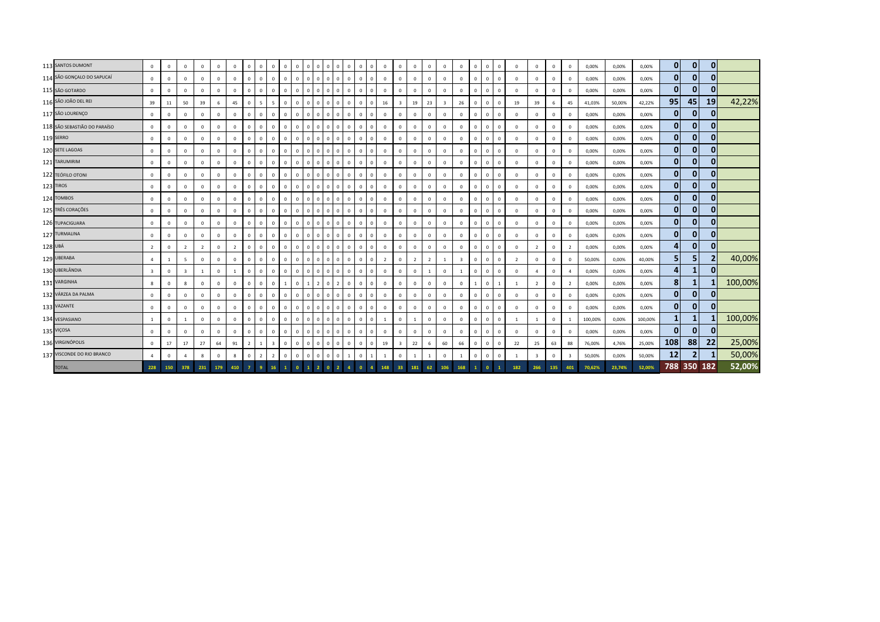|         | 113 SANTOS DUMONT            | $\circ$                 | $\mathbf 0$  | $\mathbf{0}$            | $\mathbf{0}$   | $\overline{0}$          | $\mathbf{0}$   | $\mathbf{0}$   | $\mathbf{0}$ | $\overline{0}$          | $\mathbf{0}$ | $\mathbf{0}$   | $\overline{0}$<br>l O               | $\circ$        | $\circ$        | $\mathbf{0}$ | $\overline{0}$<br>$^{\circ}$      | $\overline{0}$ | $^{\circ}$              | $\mathbf{0}$   | $\overline{0}$ | $\mathbf{0}$            | $\mathbf{0}$            | $^{\circ}$   | $\mathbf{0}$ | $\mathbf{0}$   | $\mathbf{0}$   | $\mathbf 0$             | $\mathbf{0}$ | $\mathbf{0}$            | 0,00%   | 0,00%  | 0,00%   | $\mathbf{0}$   | $\mathbf{0}$   | $\mathbf{0}$ |         |
|---------|------------------------------|-------------------------|--------------|-------------------------|----------------|-------------------------|----------------|----------------|--------------|-------------------------|--------------|----------------|-------------------------------------|----------------|----------------|--------------|-----------------------------------|----------------|-------------------------|----------------|----------------|-------------------------|-------------------------|--------------|--------------|----------------|----------------|-------------------------|--------------|-------------------------|---------|--------|---------|----------------|----------------|--------------|---------|
|         | 114 SÃO GONÇALO DO SAPUCAÍ   | $\mathbf{0}$            | $\mathbf 0$  | $\Omega$                | $\Omega$       | $^{\circ}$              | $\mathbf 0$    | $\mathbf{0}$   | $\mathbf{0}$ | $\mathsf 0$             | $\mathbf{0}$ | $\mathbf{0}$   | $\Omega$<br>$\overline{0}$          | $\Omega$       | $\mathbf 0$    | $\mathbf{0}$ | $\,$ 0<br>$\Omega$                | $\overline{0}$ | $\Omega$                | $\Omega$       | $\mathbf{0}$   | $\mathbf 0$             | $^{\circ}$              | $\Omega$     | $\Omega$     | $\mathbf{0}$   | $\mathbf 0$    | $\mathbf 0$             | $\mathbf 0$  | $\mathbf 0$             | 0,00%   | 0,00%  | 0,00%   | $\mathbf{0}$   | $\mathbf{0}$   |              |         |
|         | 115 SÃO GOTARDO              | $\mathbf{0}$            | $\mathbf{0}$ | $\mathbf{0}$            | $\mathbf 0$    | $\mathbf{0}$            | $\mathbf 0$    | $\mathbf{0}$   | $\mathbf{0}$ | $\overline{0}$          | $\mathbf{0}$ | $\mathbf 0$    | $\Omega$<br>$\overline{0}$          | $\overline{0}$ | $\overline{0}$ | $\mathbf{0}$ | $\overline{0}$<br>$\mathbf{0}$    | $\overline{0}$ | $\mathbf{0}$            | $\mathbf{0}$   | $\mathbf{0}$   | $\overline{0}$          | $\mathbf{0}$            | $\mathbf{0}$ | $\mathbf{0}$ | $\mathbf{0}$   | $\mathbf{0}$   | $\mathbf{0}$            | $\mathbf{0}$ | $\mathbf 0$             | 0,00%   | 0,00%  | 0,00%   | 0              | $\mathbf{0}$   |              |         |
|         | 116 SÃO JOÃO DEL REI         | 39                      | 11           | 50                      | 39             | 6                       | 45             | $\mathbf{0}$   | $5 -$        | 5                       | $\mathbf{0}$ | $\mathbf 0$    | $\Omega$<br>$\overline{0}$          | $\Omega$       | $\mathbf{0}$   | $\mathbf{0}$ | $\overline{0}$<br>$\mathbf{0}$    | 16             | $\overline{\mathbf{3}}$ | 19             | 23             | $\overline{\mathbf{3}}$ | 26                      | $\mathbf{0}$ | $\mathbf{0}$ | $\mathbf{0}$   | 19             | 39                      | 6            | 45                      | 41,03%  | 50,00% | 42,22%  | 95             | 45             | 19           | 42,22%  |
|         | 117 SÃO LOURENÇO             | $\mathbf 0$             | $\mathbf 0$  | $\mathbf{0}$            | $\mathbf 0$    | $\mathbf 0$             | $\mathbf 0$    | $\overline{0}$ | $\mathbf{0}$ | $\mathbf{0}$            | $\Omega$     | $\Omega$       | $\Omega$<br>$\overline{0}$          | $\overline{0}$ | $\mathbf{0}$   | $\mathbf 0$  | $\overline{0}$<br>$\mathbf{0}$    | $\overline{0}$ | $\mathbf{0}$            | $\mathbf{0}$   | $\mathbf{0}$   | $\mathbf 0$             | $\mathbf 0$             | $^{\circ}$   | $\Omega$     | $\mathbf{0}$   | $\,0\,$        | $\mathbf 0$             | $\mathbf 0$  | $\mathbf 0$             | 0,00%   | 0,00%  | 0,00%   | $\mathbf{0}$   | $\mathbf{0}$   | 0            |         |
|         | 118 SÃO SEBASTIÃO DO PARAÍSO | $\mathbf 0$             | 0            | $\mathbf 0$             | $\mathbf 0$    | $\overline{\mathbf{0}}$ | $\mathsf 0$    | $\mathbf 0$    | $\mathbf{0}$ | $\mathbf 0$             | $\mathbf{0}$ | $\Omega$       | $\Omega$<br>$\overline{0}$          | $\circ$        | $\mathbf{0}$   | $\mathbf{0}$ | $\overline{0}$<br>$\Omega$        | $\overline{0}$ | $\Omega$                | $\mathbf 0$    | $\mathbf 0$    | $\mathbf 0$             | $\mathbf 0$             | $\mathbf 0$  | $\mathbf 0$  | $\mathsf 0$    | $\,0\,$        | $\mathbf 0$             | $\mathbf 0$  | 0                       | 0,00%   | 0,00%  | 0,00%   | $\mathbf{0}$   | $\mathbf{0}$   | 0            |         |
|         | 119 SERRO                    | $\mathbf 0$             | $\mathbf{0}$ | $\mathbf{0}$            | $\mathbf 0$    | $\overline{0}$          | $\mathbf 0$    | $\mathbf{0}$   | $\mathbf{0}$ | $\overline{0}$          | $\mathbf{0}$ | $\Omega$       | $\Omega$<br>$\overline{0}$          |                | $\overline{0}$ | $\mathbf{0}$ | $\overline{0}$<br>$\Omega$        | $\overline{0}$ | $\Omega$                | $\mathbf{0}$   | $\mathbf{0}$   | $\mathbf 0$             | $\mathbf{0}$            | $\Omega$     | $\mathbf{0}$ | $\overline{0}$ | $\,0\,$        | $\mathbf{0}$            | $\mathbf{0}$ | $\mathbf 0$             | 0,00%   | 0,00%  | 0,00%   | $\mathbf{0}$   | $\mathbf{0}$   | 0            |         |
|         | 120 SETE LAGOAS              | $\mathbf 0$             | $\mathbf{0}$ | $\mathbf{0}$            | $\mathbf 0$    | $\overline{0}$          | $\mathbf 0$    | $\mathbf{0}$   | $\mathbf{0}$ | $\mathbf{0}$            | $\mathbf{0}$ | $\Omega$       | $\Omega$<br>$\overline{0}$          | $\overline{0}$ | $\circ$        | $\mathbf 0$  | $\overline{0}$<br>$\mathbf{0}$    | $\overline{0}$ | $\mathbf{0}$            | $\mathbf{0}$   | $\mathbf{0}$   | $\mathbf 0$             | $\mathbf{0}$            | $\mathbf{0}$ | $\mathbf{0}$ | $\mathbf{0}$   | $\mathbf{0}$   | $\mathbf{0}$            | $\mathbf 0$  | $\mathbf 0$             | 0,00%   | 0,00%  | 0,00%   | $\mathbf{0}$   | $\mathbf{0}$   | 0            |         |
|         | 121 TARUMIRIM                | $\mathbf{0}$            | $\mathbf{0}$ | $\mathbf{0}$            | $\mathbf 0$    | $\overline{0}$          | $\mathbf{0}$   | $\mathbf{0}$   | $\mathbf{0}$ | $\mathbf{0}$            | $\Omega$     | $\Omega$       | $\Omega$<br>$\overline{0}$          | $^{\circ}$     | $\mathbf{0}$   | $\mathbf 0$  | $\overline{0}$<br>$\mathbf 0$     | $\overline{0}$ | $\mathbf{0}$            | $\Omega$       | $\mathbf{0}$   | $\mathbf 0$             | $\mathbf{0}$            | $\Omega$     | $\Omega$     | $\mathbf{0}$   | $\mathbf{0}$   | $\mathbf{0}$            | $\mathbf 0$  | $\mathbf 0$             | 0,00%   | 0,00%  | 0,00%   | $\mathbf{0}$   | $\mathbf{0}$   |              |         |
|         | 122 TEÓFILO OTONI            | $\mathbf{0}$            | $\mathbf{0}$ | $\mathbf{0}$            | $\mathbf 0$    | $\mathbf{0}$            | $\mathbf 0$    | $\overline{0}$ | $\mathbf{0}$ | $\overline{0}$          | $\mathbf{0}$ | $\mathbf 0$    | $\Omega$<br>$\overline{0}$          | $\circ$        | $\overline{0}$ | $\circ$      | $\cdot$ 0 $\cdot$<br>$\mathbf{0}$ | $\overline{0}$ | $\mathbf{0}$            | $\mathbf{0}$   | $\mathbf{0}$   | $\overline{0}$          | $\mathbf{0}$            | $\mathbf{0}$ | $\mathbf{0}$ | $\mathbf{0}$   | $\mathbf 0$    | $\mathbf{0}$            | $\mathbf{0}$ | $\mathbf 0$             | 0,00%   | 0,00%  | 0,00%   | $\mathbf{0}$   | $\mathbf{0}$   |              |         |
|         | 123 TIROS                    | $\mathbf{0}$            | $\mathbf{0}$ | $\mathbf{0}$            | $\mathbf{0}$   | $\overline{0}$          | $\mathbf 0$    | $\mathbf{0}$   | $\mathbf{0}$ | $\mathbf{0}$            | $\mathbf{0}$ | $\mathbf 0$    | $\Omega$<br>$\overline{0}$          | $\overline{0}$ | $\mathbf{0}$   | $\mathbf 0$  | $\overline{0}$<br>$\mathbf{0}$    | $\overline{0}$ | $\mathbf{0}$            | $\mathbf{0}$   | $\mathbf{0}$   | $\mathbf{0}$            | $\mathbf{0}$            | $\mathbf{0}$ | $\mathbf{0}$ | $\overline{0}$ | $\mathbf{0}$   | $\mathbf{0}$            | $\mathbf{0}$ | $\mathbf 0$             | 0,00%   | 0,00%  | 0,00%   | $\mathbf{0}$   | $\mathbf{0}$   | $\Omega$     |         |
|         | 124 TOMBOS                   | $\mathbf 0$             | $\mathbf 0$  | $\mathbf{0}$            | $\mathbf 0$    | $\overline{0}$          | $\mathbf 0$    | $\overline{0}$ | $\mathbf{0}$ | $\mathsf 0$             | $\mathbf{0}$ | $\Omega$       | $\Omega$<br>$\overline{0}$          | $\overline{0}$ | $\mathbf{0}$   | $\mathbf 0$  | $\overline{0}$<br>$\mathbf{0}$    | $\overline{0}$ | $\mathbf{0}$            | $\mathbf{0}$   | $\mathbf 0$    | $\mathbf 0$             | $\mathbf 0$             | $^{\circ}$   | $\Omega$     | $\mathbf{0}$   | $\,0\,$        | $\mathbf 0$             | $\mathbf 0$  | $\mathbf 0$             | 0,00%   | 0,00%  | 0,00%   | $\mathbf{0}$   | $\mathbf{0}$   | 0            |         |
|         | 125 TRÊS CORAÇÕES            | $\mathbf 0$             | $\mathbf 0$  | $\mathbf 0$             | $\mathbf 0$    | $\overline{\mathbf{0}}$ | $\mathbf 0$    | $\mathbf{0}$   | $\mathbf{0}$ | $\mathbf{0}$            | $\Omega$     | $\Omega$       | $\Omega$<br>$\overline{0}$          | $\circ$        | $\mathbf{0}$   | $\mathbf{0}$ | $\overline{0}$<br>$\Omega$        | $\overline{0}$ | $\Omega$                | $\mathbf{0}$   | $\mathbf{0}$   | $^{\circ}$              | $\mathbf{0}$            | $\mathbf{0}$ | $\mathbf{0}$ | $\mathbf{0}$   | $\,0\,$        | $\mathbf 0$             | $\mathbf 0$  | $\mathbf 0$             | 0,00%   | 0,00%  | 0,00%   | $\mathbf{0}$   | $\mathbf{0}$   | 0            |         |
|         | 126 TUPACIGUARA              | $\mathbf 0$             | $\mathbf{0}$ | $\mathbf{0}$            | $\mathbf 0$    | $\overline{0}$          | $\mathbf 0$    | $\mathbf{0}$   | $\mathbf{0}$ | $\overline{0}$          | $\Omega$     | $\Omega$       | $\Omega$<br>$\overline{\mathbf{0}}$ |                | $\overline{0}$ | $\mathbf{0}$ | $\overline{0}$<br>$\Omega$        | $\overline{0}$ | $\Omega$                | $\mathbf{0}$   | $\mathbf{0}$   | $\mathbf 0$             | $\mathbf{0}$            | $\Omega$     | $\mathbf{0}$ | $\overline{0}$ | $\,0\,$        | $\mathbf 0$             | $\mathbf{0}$ | $\mathbf 0$             | 0,00%   | 0,00%  | 0,00%   | 0              | $\mathbf{0}$   | 0            |         |
|         | 127 TURMALINA                | $\mathbf 0$             | $\mathbf{0}$ | $\mathbf{0}$            | $\mathbf{0}$   | $\overline{0}$          | $\mathbf 0$    | $\mathbf 0$    | $\mathbf{0}$ | $\mathbf{0}$            | $\mathbf{0}$ | $\overline{0}$ | $\Omega$<br>$\overline{0}$          | $\overline{0}$ | $\circ$        | $\mathbf 0$  | $\mathbf{0}$<br>$\mathbf{0}$      | $\overline{0}$ | $\mathbf{0}$            | $\mathbf{0}$   | $\mathbf{0}$   | $\mathbf 0$             | $\mathbf{0}$            | $\mathbf{0}$ | $\mathbf{0}$ | $\mathbf{0}$   | $\mathbf{0}$   | $\mathbf{0}$            | $\mathbf{0}$ | $\mathbf 0$             | 0,00%   | 0,00%  | 0,00%   | $\mathbf{0}$   | $\mathbf{0}$   | $\Omega$     |         |
| 128 UBÁ |                              | $\overline{2}$          | $\mathbf 0$  | $\overline{2}$          | $\overline{2}$ | $\overline{0}$          | $\overline{2}$ | $\Omega$       | $\mathbf{0}$ | $\mathbf{0}$            | $\Omega$     | $\Omega$       | $\Omega$<br>$\overline{0}$          | $\Omega$       | $\mathbf 0$    | $\mathbf 0$  | $\overline{0}$<br>$\Omega$        | $\overline{0}$ | $\mathbf{0}$            | $\Omega$       | $\mathbf{0}$   | $\mathbf 0$             | $\mathbf{0}$            | $\Omega$     | $\Omega$     | $\mathbf{0}$   | $\,0\,$        | $\overline{2}$          | $\mathbf 0$  | $\overline{2}$          | 0,00%   | 0,00%  | 0,00%   | 4              | $\mathbf{0}$   | 0            |         |
|         | 129 UBERABA                  | $\overline{a}$          | $\mathbf{1}$ | 5                       | $\mathbf 0$    | $\mathbf{0}$            | $\mathbf 0$    | $\mathbf{0}$   | $\mathbf{0}$ | $\mathbf 0$             | $\mathbf{0}$ | $\mathbf{0}$   | $\Omega$<br>$\overline{0}$          | $\overline{0}$ | $\overline{0}$ | $\circ$      | $\cdot$ 0<br>$\mathbf{0}$         | $\overline{2}$ | $\mathbf{0}$            | $\overline{2}$ | $\overline{2}$ | 1                       | $\overline{\mathbf{3}}$ | $\mathbf{0}$ | $\mathbf{0}$ | $\mathbf{0}$   | $\overline{2}$ | $\mathbf{0}$            | $\mathbf{0}$ | $\mathbf 0$             | 50,00%  | 0,00%  | 40,00%  | 5 <sub>1</sub> | 5              |              | 40,00%  |
|         | 130 UBERLÂNDIA               | $\overline{\mathbf{3}}$ | $\mathbf{0}$ | $\overline{\mathbf{3}}$ | $\overline{1}$ | $\overline{0}$          | $\mathbf{1}$   | $\overline{0}$ | $\mathbf{0}$ | $\overline{0}$          | $\mathbf{0}$ | $\mathbf 0$    | $\Omega$<br>$\overline{0}$          | $\overline{0}$ | $\mathbf{0}$   | $\mathbf 0$  | $\overline{0}$<br>$\mathbf{0}$    | $\overline{0}$ | $\mathbf{0}$            | $\mathbf{0}$   | $\mathbf{1}$   | $\mathbf{0}$            | 1                       | $\mathbf{0}$ | $\mathbf{0}$ | $\overline{0}$ | $\mathbf{0}$   | $\overline{4}$          | $\mathbf{0}$ | $\overline{4}$          | 0,00%   | 0,00%  | 0,00%   | 4              | 1              | $\mathbf{0}$ |         |
|         | 131 VARGINHA                 | 8                       | $\mathbf 0$  | 8                       | $\Omega$       | $\mathbf 0$             | $\mathbf 0$    | $\Omega$       | $\mathbf{0}$ | $\mathsf 0$             | $\mathbf{1}$ | $\Omega$       |                                     | $\Omega$       | $\overline{2}$ | $\mathsf 0$  | $\overline{0}$<br>$\mathbf{0}$    | $\overline{0}$ | $\mathbf{0}$            | $\mathbf{0}$   | $\mathbf{0}$   | $\mathbf 0$             | $\mathbf{0}$            |              | $\Omega$     |                | $\overline{1}$ | $\overline{2}$          | $\mathbf 0$  | $\overline{2}$          | 0,00%   | 0,00%  | 0,00%   | 8 <sup>1</sup> |                |              | 100,00% |
|         | 132 VÁRZEA DA PALMA          | $\mathbf 0$             | $\mathbf 0$  | $\mathbf 0$             | $\mathbf 0$    | $\overline{0}$          | $\mathbf 0$    | $\mathbf{0}$   | $\mathbf{0}$ | $\mathbf 0$             | $\Omega$     | $\Omega$       | $\Omega$<br>$\overline{0}$          | $\Omega$       | $\mathbf{0}$   | $\mathsf 0$  | $\overline{0}$                    | $\overline{0}$ | $\Omega$                | $\Omega$       | $\mathbf{0}$   | $\mathbf 0$             | $\mathbf{0}$            | $\mathbf{0}$ | $\Omega$     | $\mathbf{0}$   | $\,0\,$        | $\mathbf 0$             | $\mathbf 0$  | $\mathbf 0$             | 0,00%   | 0,00%  | 0,00%   | $\mathbf{0}$   | $\mathbf{0}$   | 0            |         |
|         | 133 VAZANTE                  | $\mathbf 0$             | $\mathbf{0}$ | $\mathbf{0}$            | $\mathbf 0$    | $\overline{0}$          | $\mathbf 0$    | $\mathbf{0}$   | $\mathbf{0}$ | $\overline{0}$          | $\mathbf{0}$ | $\Omega$       | $\Omega$<br>$^{\circ}$              |                | $\overline{0}$ | $\mathbf{0}$ | $\overline{0}$<br>$\Omega$        | $\overline{0}$ | $\Omega$                | $\mathbf{0}$   | $\mathbf{0}$   | $\mathbf 0$             | $\mathbf{0}$            | $\Omega$     | $\mathbf{0}$ | $\overline{0}$ | $\,0\,$        | $\mathbf 0$             | $\mathbf{0}$ | $\mathbf 0$             | 0,00%   | 0,00%  | 0,00%   | $\mathbf{0}$   | $\mathbf{0}$   | $\mathbf{0}$ |         |
|         | 134 VESPASIANO               | $\mathbf{1}$            | $\mathbf{0}$ | $\mathbf{1}$            | $\mathbf{0}$   | $\overline{0}$          | $\mathbf{0}$   | $\mathbf 0$    | $\mathbf{0}$ | $\mathbf{0}$            | $\mathbf{0}$ | $\Omega$       | $\Omega$<br>$\overline{0}$          | $\Omega$       | $\circ$        | $\circ$      | $\overline{0}$<br>$\mathbf{0}$    | 1              | $\mathbf{0}$            | <sup>1</sup>   | $\mathbf{0}$   | $\Omega$                | $\mathbf{0}$            | $\mathbf{0}$ | $\mathbf{0}$ | $\mathbf{0}$   | <sup>1</sup>   | 1                       | $\mathbf 0$  | $\overline{1}$          | 100,00% | 0,00%  | 100,00% | $\mathbf{1}$   |                |              | 100,00% |
|         | 135 VIÇOSA                   | $\mathbf{0}$            | $\mathbf 0$  | $\mathbf{0}$            | $\mathbf 0$    | $\overline{0}$          | $\mathbf{0}$   | $\Omega$       | $\mathbf{0}$ | $\mathbf{0}$            | $\Omega$     | $\Omega$       | $\Omega$<br>$\overline{0}$          | $\Omega$       | $\mathbf 0$    | $\mathbf 0$  | $\overline{0}$<br>$\Omega$        | $\overline{0}$ | $\mathbf{0}$            | $\Omega$       | $\mathbf{0}$   | $\mathbf 0$             | $\mathbf 0$             | $\Omega$     | $\Omega$     | $\Omega$       | $\,0\,$        | $\mathbf{0}$            | $\mathbf 0$  | $\mathbf 0$             | 0,00%   | 0,00%  | 0,00%   | $\mathbf{0}$   | $\mathbf{0}$   |              |         |
|         | 136 VIRGINÓPOLIS             | $\mathbf{0}$            | 17           | 17                      | 27             | 64                      | 91             | $\overline{2}$ | 1            | $\overline{\mathbf{3}}$ | $\mathbf{0}$ | $\mathbf{0}$   | $\Omega$<br>$\overline{0}$          | $\overline{0}$ | $\overline{0}$ | $\circ$      | $\overline{0}$<br>$\mathbf{0}$    | 19             | $\overline{\mathbf{3}}$ | 22             | 6              | 60                      | 66                      | $\Omega$     | $\mathbf 0$  | $\mathbf{0}$   | 22             | 25                      | 63           | 88                      | 76,00%  | 4,76%  | 25,00%  | 108            | 88             | 22           | 25,00%  |
|         | 137 VISCONDE DO RIO BRANCO   | $\overline{4}$          | $\mathbf{0}$ | $\overline{a}$          | 8              | $\mathbf 0$             | 8              | $\mathbf 0$    | $2^{\circ}$  | $\overline{2}$          | $\mathbf{0}$ | $\Omega$       | $\Omega$<br>$^{\circ}$              | $^{\circ}$     | $^{\circ}$     | $\,1\,$      | $\mathbf 0$                       | <sup>1</sup>   | $\mathbf 0$             | $\mathbf{1}$   | $\mathbf{1}$   | $\mathbb O$             | 1                       | $\mathbf{0}$ | $\mathbf{0}$ | $\mathbf 0$    | <sup>1</sup>   | $\overline{\mathbf{3}}$ | $\mathbf{0}$ | $\overline{\mathbf{3}}$ | 50,00%  | 0,00%  | 50,00%  | 12             | $\overline{2}$ |              | 50,00%  |
|         | <b>TOTAL</b>                 | 228                     | 150          | 378                     | 231            | 179                     | 410            | $\overline{7}$ | -9           | 16                      |              | $\overline{0}$ |                                     |                |                | $\mathbf{A}$ |                                   | 148            | 33                      | 181            | 62             | 106                     | 168                     |              | $\bullet$    | -1             | 182            | 266                     | 135          | 401                     | 70.62%  | 23.74% | 52.00%  | 788 350 182    |                |              | 52,00%  |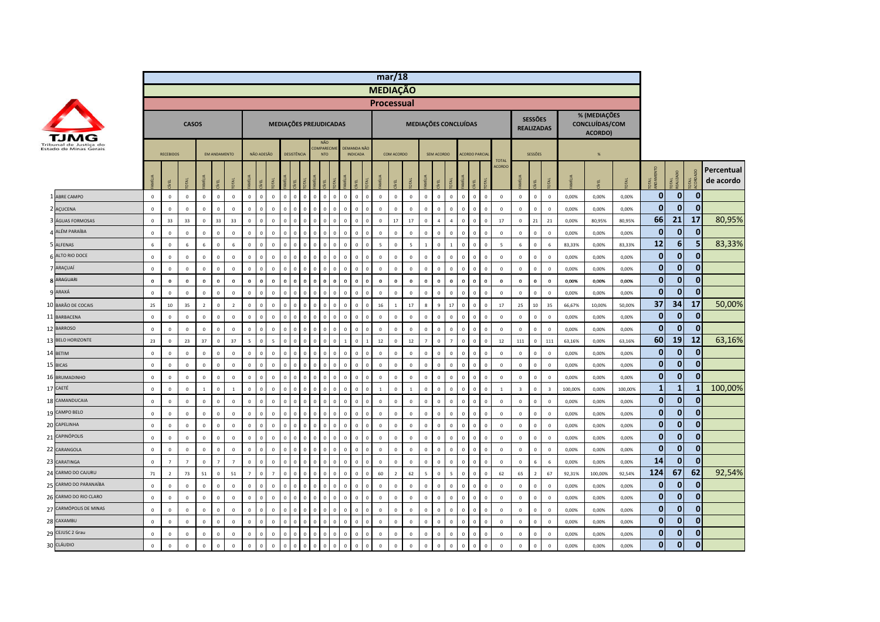|                                                  |              |                  |                |                |                     |                |                |              |                |                               |             |            |                                               |              |                                        |          |                         | mar/18         |                 |                          |                |                |              |                                  |                |                         |                               |         |                                           |          |              |                       |                |                         |
|--------------------------------------------------|--------------|------------------|----------------|----------------|---------------------|----------------|----------------|--------------|----------------|-------------------------------|-------------|------------|-----------------------------------------------|--------------|----------------------------------------|----------|-------------------------|----------------|-----------------|--------------------------|----------------|----------------|--------------|----------------------------------|----------------|-------------------------|-------------------------------|---------|-------------------------------------------|----------|--------------|-----------------------|----------------|-------------------------|
|                                                  |              |                  |                |                |                     |                |                |              |                |                               |             |            |                                               |              |                                        |          | <b>MEDIAÇÃO</b>         |                |                 |                          |                |                |              |                                  |                |                         |                               |         |                                           |          |              |                       |                |                         |
|                                                  |              |                  |                |                |                     |                |                |              |                |                               |             |            |                                               |              |                                        |          | <b>Processual</b>       |                |                 |                          |                |                |              |                                  |                |                         |                               |         |                                           |          |              |                       |                |                         |
|                                                  |              |                  | <b>CASOS</b>   |                |                     |                |                |              |                |                               |             |            | MEDIAÇÕES PREJUDICADAS                        |              |                                        |          |                         |                |                 | MEDIAÇÕES CONCLUÍDAS     |                |                |              |                                  |                | <b>SESSÕES</b>          | <b>REALIZADAS</b>             |         | % (MEDIAÇÕES<br>CONCLUÍDAS/COM<br>ACORDO) |          |              |                       |                |                         |
| Tribunal de Justiça do<br>Estado de Minas Gerais |              | <b>RECEBIDOS</b> |                |                | <b>EM ANDAMENTO</b> |                |                | NÃO ADESÃO   |                |                               | DESISTÊNCIA |            | <b>NÃO</b><br><b>COMPARECIN</b><br><b>NTO</b> |              | DEMANDA NÃO<br><b>INDICADA</b>         |          |                         | COM ACORDO     |                 |                          | SEM ACORDO     |                |              | <b>ACORDO PARCIA</b>             | <b>TOTAL</b>   |                         | SESSÕES                       |         | %                                         |          |              |                       |                |                         |
|                                                  |              | EL               |                |                | <b>LEL</b>          |                | vilius         |              |                |                               |             |            |                                               |              | /EL                                    |          | MÍLIA                   | EL             | DTAL            |                          | EL             | DTAL           | <b>MILIA</b> | ξĒ                               | <b>ACORDO</b>  |                         | ğ                             |         |                                           | <b>E</b> | <b>TAL</b>   | <b>DTAL</b><br>EALIZA | DTAL<br>CORD   | Percentual<br>de acordo |
| 1 ABRE CAMPO                                     | $\mathbf 0$  | $\mathbb O$      | $\mathbf 0$    | $\mathbf 0$    | $\mathsf 0$         | $\,$ 0         | $\mathbf{0}$   | $\mathbf{0}$ | $\mathsf 0$    | $\mathbf{0}$<br>$\mathbf{0}$  | $\Omega$    | $\Omega$   | $\mathbf{0}$                                  | $\Omega$     | $\mathbf 0$<br>$\overline{\mathbf{0}}$ | $\Omega$ | $\mathbf 0$             | $\mathbf 0$    | $\,0\,$         | $\Omega$                 | $\mathbf 0$    | $\mathbf{0}$   | $\mathsf 0$  | $\mathbf 0$<br>$\mathbb O$       | $\mathbf 0$    | $\mathbf 0$             | $\mathbf 0$<br>$\mathbf 0$    | 0,00%   | 0,00%                                     | 0,00%    | $\mathbf{0}$ | $\overline{0}$        | $\mathbf{0}$   |                         |
| 2 AÇUCENA                                        | $\Omega$     | $\mathbf 0$      | $\Omega$       | $\mathbf 0$    | $\mathbf 0$         | $\mathbf 0$    | $\mathbf 0$    | $\Omega$     | $\mathbf 0$    | $\Omega$<br>$\Omega$          |             |            |                                               |              | $\Omega$<br>$\Omega$                   |          | $\Omega$                | $\mathbf 0$    | $\mathbf 0$     | $\Omega$                 | $\Omega$       | $\Omega$       | $\mathbf 0$  | $\,$ 0<br>$\mathbb O$            | $\Omega$       | $\mathbf 0$             | $\mathbf 0$<br>$\Omega$       | 0,00%   | 0,00%                                     | 0,00%    | $\mathbf 0$  | $\mathbf{0}$          | $\mathbf{0}$   |                         |
| 3 ÁGUAS FORMOSAS                                 | $\circ$      | 33               | 33             | $\mathbf{0}$   | 33                  | 33             | $\Omega$       | $\Omega$     | $\mathbf{0}$   | $\Omega$<br>$\Omega$          | $\Omega$    |            |                                               |              | $\,0\,$<br>$\Omega$                    | $\Omega$ | $\Omega$                | 17             | 17              | $\Omega$                 | $\overline{4}$ | $\overline{A}$ | $\mathbf{0}$ | $\Omega$<br>$\Omega$             | 17             | $\mathbf{0}$            | 21<br>21                      | 0.00%   | 80,95%                                    | 80.95%   | 66           | 21                    | 17             | 80,95%                  |
| 4 ALÉM PARAÍBA                                   | $\mathbf 0$  | $\mathbf 0$      | $\mathbf 0$    | $\mathbf 0$    | $\mathbf 0$         | $\mathbf 0$    | $\Omega$       | $\Omega$     | $\mathbf{0}$   | $\Omega$                      |             |            |                                               |              | $\Omega$<br>$\Omega$                   |          | $\mathbf 0$             | $\mathbf 0$    | $\mathbf 0$     | $\Omega$                 | $\mathbf 0$    | $\Omega$       | $\mathbf 0$  | $\overline{0}$<br>$\Omega$       | $\mathbf 0$    | $\mathbf 0$             | $\,$ 0<br>$\mathbf 0$         | 0,00%   | 0,00%                                     | 0,00%    | $\mathbf{0}$ | 0                     | $\bf{0}$       |                         |
| 5 ALFENAS                                        | 6            | $\mathbf 0$      | 6              | $6\phantom{1}$ | $\mathsf 0$         | $\sqrt{6}$     | $\mathbf{0}$   | $\Omega$     | $\mathbf{0}$   | $\Omega$<br>$\Omega$          |             |            |                                               | <sub>n</sub> | $\Omega$<br>$\Omega$                   | $\Omega$ | $\overline{\mathbf{5}}$ | $\mathbf{0}$   | $5\overline{5}$ | $\mathbf{1}$             | $\mathbf{0}$   | $\overline{1}$ | $\mathbf 0$  | $\,$ 0<br>$\mathbf 0$            | $\overline{5}$ | $6\phantom{1}$          | $\,$ 0<br>6                   | 83,33%  | 0,00%                                     | 83,33%   | 12           | $6 \mid$              | 5 <sub>l</sub> | 83,33%                  |
| 6 ALTO RIO DOCE                                  | $\circ$      | $\mathbf 0$      | $\mathbf 0$    | $\mathbf 0$    | $\mathbf 0$         | $\mathbf 0$    | $\Omega$       | $\Omega$     | $\mathbf 0$    | $\mathbf 0$<br>$\Omega$       |             |            |                                               |              | $\mathbf 0$<br>$\overline{0}$          |          | $\mathbf 0$             | $\,0\,$        | $\mathbf 0$     | $\mathbf 0$              | $\mathbf 0$    | $\mathbf 0$    | $\mathbf 0$  | $\,$ 0<br>$\overline{0}$         | $\mathbf 0$    | $\mathbf 0$             | $\mathbb O$<br>$\overline{0}$ | 0,00%   | 0,00%                                     | 0,00%    | $\mathbf{0}$ | $\mathbf{0}$          | $\mathbf{0}$   |                         |
| 7 ARAÇUAÍ                                        | $\mathsf 0$  | $\mathbf 0$      | $\mathbf 0$    | $\mathbf 0$    | $\mathbf 0$         | $\mathbf 0$    | $\mathbf 0$    | $\Omega$     | $\mathbf 0$    | $\overline{0}$<br>$\Omega$    | $\Omega$    |            |                                               |              | $\mathbf 0$<br>$\overline{0}$          | $\Omega$ | $\mathbf 0$             | $\mathbf 0$    | $\mathbf 0$     | $\mathbf 0$              | $\mathbf 0$    | $\mathbf 0$    | $\mathbf 0$  | $\overline{0}$<br>$\mathbb O$    | $\mathbf 0$    | $\mathbf 0$             | $\,$ 0 $\,$<br>$\mathbf 0$    | 0,00%   | 0,00%                                     | 0,00%    | $\mathbf 0$  | $\mathbf{0}$          | $\mathbf{0}$   |                         |
| 8 ARAGUARI                                       | $\mathbf 0$  | $\mathbf 0$      | $\mathbf 0$    | $\mathbf 0$    | $\mathbf 0$         | $\mathbf 0$    | $\Omega$       | $\sqrt{2}$   | $\mathbf 0$    | $\Omega$<br>$\Omega$          |             |            |                                               |              | $\mathbf{0}$<br>$\mathbf{0}$           |          | $\mathbf 0$             | $\mathbf 0$    | $\mathbf 0$     | $\bf{0}$                 | $\mathbf 0$    | $\Omega$       | $\mathbf 0$  | $\mathbf 0$<br>$\boldsymbol{0}$  | $\bf{0}$       | $\mathbf 0$             | $\mathbf 0$<br>$\mathbf 0$    | 0,00%   | 0,00%                                     | 0,00%    | $\mathbf 0$  | $\mathbf{0}$          | $\mathbf{0}$   |                         |
| g ARAXÁ                                          | $\circ$      | $\mathbf 0$      | $\mathbf{0}$   | $\mathbf{0}$   | $\mathbf{0}$        | $\mathbf{0}$   | $\mathbf{0}$   | $\Omega$     | $\mathbf{0}$   | $\mathbf 0$<br>$\mathbf{0}$   | $\Omega$    | $\Omega$   | $\Omega$                                      | $\Omega$     | $\mathbf{0}$<br>$\Omega$               | $\Omega$ | $\mathbf{0}$            | $\mathbf{0}$   | $\mathbf{0}$    | $\Omega$                 | $\mathbf{0}$   | $\mathbf{0}$   | $\mathbf{0}$ | $\mathbf{0}$<br>$\mathbf 0$      | $\Omega$       | $\mathbf{0}$            | $\mathbf 0$<br>$\Omega$       | 0,00%   | 0.00%                                     | 0.00%    | $\mathbf{0}$ | $\mathbf{0}$          | $\mathbf{0}$   |                         |
| 10 BARÃO DE COCAIS                               | 25           | 10               | 35             | $\overline{2}$ | $\mathbf 0$         | $\overline{2}$ | $\Omega$       | $\Omega$     | $\mathbf 0$    | $\overline{0}$<br>$\,$ 0      | $\Omega$    | $\Omega$   | $\Omega$                                      | $\Omega$     | $\overline{0}$<br>$\mathbf 0$          |          | 16                      | $\mathbf{1}$   | 17              | $\mathbf{R}$             | $\overline{9}$ | 17             | $\mathsf 0$  | $\,0\,$<br>$\mathbf 0$           | 17             | 25                      | $10\,$<br>35                  | 66,67%  | 10,00%                                    | 50,00%   | 37           | 34                    | 17             | 50,00%                  |
| 11 BARBACENA                                     | $\circ$      | $\mathbf 0$      | $\mathbf 0$    | $\mathbf 0$    | $\mathbf 0$         | $\mathbf 0$    | $\Omega$       | $\Omega$     | $\mathbf{0}$   | $\Omega$                      |             |            |                                               |              | $\mathbf 0$<br>$\Omega$                |          | $\mathbf 0$             | $\mathbf 0$    | $\mathbf 0$     | $\Omega$                 | $\mathbf 0$    | $\overline{0}$ | $\mathbf 0$  | $\overline{0}$<br>$\mathbf 0$    | $\mathbf 0$    | $\mathbf 0$             | $\,0\,$<br>$\mathbf 0$        | 0,00%   | 0,00%                                     | 0,00%    | $\bf{0}$     | 0                     | $\bf{0}$       |                         |
| 12 BARROSO                                       | $\mathbf 0$  | $\mathbf 0$      | $\mathbf 0$    | $\mathbf 0$    | $\mathbf 0$         | $\,0\,$        | $\Omega$       | $\Omega$     | $\mathbf 0$    | $\Omega$<br>$\Omega$          |             |            |                                               |              | $\Omega$<br>$\Omega$                   |          | $\mathbf 0$             | $\,0\,$        | $\mathbf 0$     | $\Omega$                 | $\mathbf 0$    | $\Omega$       | $\mathbf 0$  | $\overline{0}$<br>$\mathbf 0$    | $\mathbf 0$    | $\mathbf 0$             | $\mathbf 0$<br>$\overline{0}$ | 0,00%   | 0,00%                                     | 0,00%    | $\mathbf{0}$ | $\mathbf{0}$          | $\mathbf{0}$   |                         |
| 13 BELO HORIZONTE                                | 23           | $\mathbf 0$      | 23             | 37             | $\mathbf 0$         | 37             | $\overline{5}$ | $\Omega$     | -5.            | $\Omega$<br>$\Omega$          |             |            |                                               |              | $\overline{0}$<br>$\mathbf{1}$         |          | 12                      | $\mathbf 0$    | 12              | $\overline{7}$           | $\mathbf 0$    | $\overline{7}$ | $\mathbf 0$  | $\,0\,$<br>$\mathbb O$           | $12$           | 111                     | $\,$ 0<br>111                 | 63,16%  | 0,00%                                     | 63,16%   | 60           | 19                    | 12             | 63,16%                  |
| 14 BETIM                                         | $\mathbf{0}$ | $\mathbf 0$      | $\mathbf 0$    | $\mathbf 0$    | $\mathbf 0$         | $\,0\,$        | $\mathbf 0$    | $\Omega$     | $^{\circ}$     | $\mathbf 0$<br>$\Omega$       | $\Omega$    |            | $\Omega$                                      | $\Omega$     | $\mathbf 0$<br>$\overline{0}$          | $\Omega$ | $\mathbf 0$             | $\mathbf 0$    | $\mathbf 0$     | $\Omega$                 | $\mathbf 0$    | $\mathbf 0$    | $\mathbf 0$  | $\,$ 0<br>$\,$ 0                 | $\mathbf 0$    | $\mathbf 0$             | $\mathbf 0$<br>$\mathbf 0$    | 0,00%   | 0,00%                                     | 0,00%    | $\mathbf{0}$ | $\mathbf{0}$          | $\mathbf 0$    |                         |
| 15 BICAS                                         | $\mathbf 0$  | $\mathbf 0$      | $\,0\,$        | $\mathbf 0$    | $\mathbf 0$         | $\,0\,$        | $\mathbf{0}$   | $\Omega$     | $\mathbf{0}$   | $\Omega$                      | $\Omega$    |            |                                               |              | $\Omega$<br>$\Omega$                   |          | $\mathbf 0$             | $\mathbf 0$    | $\mathbf 0$     | $\Omega$                 | $\mathbf 0$    | $\Omega$       | $\mathbf 0$  | $\overline{0}$<br>$\mathbb O$    | $\Omega$       | $\mathbf 0$             | $\mathbf 0$<br>$\overline{0}$ | 0,00%   | 0,00%                                     | 0,00%    | $\mathbf{0}$ | $\mathbf{0}$          | $\mathbf{0}$   |                         |
| 16 BRUMADINHO                                    | $\mathbf 0$  | $\mathbf 0$      | $\mathbf 0$    | $\mathbf 0$    | $\mathbf 0$         | $\mathbf 0$    | $\Omega$       | $\Omega$     | $\overline{0}$ | $\Omega$<br>$\Omega$          | $\Omega$    |            | $\Omega$                                      | $\Omega$     | $\mathbf{0}$<br>$\Omega$               | $\Omega$ | $\mathbb O$             | $\mathbf{0}$   | $\mathbf 0$     | $\Omega$                 | $\mathbf 0$    | $\mathbf 0$    | $\mathbf 0$  | $\,0\,$<br>$\mathbf 0$           | $\mathbf 0$    | $\mathbf 0$             | $\,$ 0<br>$\,$ 0              | 0,00%   | 0,00%                                     | 0,00%    | $\mathbf{0}$ | $\mathbf{0}$          | $\mathbf{0}$   |                         |
| 17 CAETÉ                                         | $\mathbf 0$  | $\mathbf 0$      | $\mathbf 0$    | $\overline{1}$ | $\mathbf 0$         | $\overline{1}$ | $\mathbf{0}$   | $\Omega$     | $\mathbf{0}$   | $\Omega$<br>$\Omega$          |             |            |                                               |              | $\Omega$<br>$\Omega$                   |          | $\overline{1}$          | $\mathbf 0$    | $\overline{1}$  | $\Omega$                 | $\mathbf 0$    | $\Omega$       | $\mathsf 0$  | $\,0\,$<br>$\overline{0}$        | $\overline{1}$ | $\overline{\mathbf{3}}$ | $\mathbf 0$<br>$\overline{3}$ | 100,00% | 0,00%                                     | 100,00%  | $\mathbf{1}$ | 1                     |                | 100,00%                 |
| 18 CAMANDUCAIA                                   | $\circ$      | $\mathbf 0$      | $\mathbf{0}$   | $\mathbf 0$    | $\mathbf{0}$        | $\mathbf 0$    | $\Omega$       | $\Omega$     | $\Omega$       | $\Omega$                      |             |            | $\Omega$                                      |              | $\Omega$<br>$\Omega$                   | $\Omega$ | $\Omega$                | $\Omega$       | $\mathbf 0$     | $\Omega$                 | $\mathbf 0$    | $\Omega$       | $\mathbf 0$  | $\overline{0}$<br>$\Omega$       | $\Omega$       | $\mathbf 0$             | $\mathbf 0$<br>$\mathbf 0$    | 0,00%   | 0,00%                                     | 0,00%    | $\mathbf{0}$ | 0                     | $\mathbf{0}$   |                         |
| 19 CAMPO BELO                                    | $\mathbf 0$  | $\mathbf 0$      | $\mathbf 0$    | $\mathbf 0$    | $\mathbf 0$         | $\mathbf 0$    | $\mathbf 0$    | $\Omega$     | $\mathbf 0$    |                               |             |            |                                               |              | $\mathbf 0$<br>$\Omega$                |          | $\mathbf 0$             | $\mathbf 0$    | $\mathsf 0$     | $\mathbf 0$              | $\mathbf 0$    | $\overline{0}$ | $\mathbf 0$  | $\overline{0}$<br>$\mathbf 0$    | $\mathbf 0$    | $\mathbf 0$             | $\mathbf 0$<br>$\overline{0}$ | 0,00%   | 0,00%                                     | 0,00%    | $\mathbf{0}$ | $\mathbf{0}$          | $\mathbf{0}$   |                         |
| 20 CAPELINHA                                     | $\mathsf 0$  | $\mathbf 0$      | $\Omega$       | $\mathbf 0$    | $\mathbf 0$         | $\mathbf 0$    | $\Omega$       | $\Omega$     | $\Omega$       | $\Omega$<br>$\Omega$          |             |            |                                               |              | $\Omega$<br>$\Omega$                   | $\Omega$ | $\mathbf 0$             | $\mathbf 0$    | $\mathbf 0$     | $\Omega$                 | $\mathbf 0$    | $\Omega$       | $\mathsf 0$  | $\overline{0}$<br>$\Omega$       | $\Omega$       | $\mathbf{0}$            | $\mathbf 0$<br>$\overline{0}$ | 0,00%   | 0,00%                                     | 0,00%    | $\mathbf{0}$ | $\mathbf{0}$          | $\mathbf{0}$   |                         |
| 21 CAPINÓPOLIS                                   | $\mathsf 0$  | $\mathbf 0$      | $\mathbf 0$    | $\mathbf 0$    | $\mathbf 0$         | $\,0\,$        | $\mathbf 0$    | $\mathbf 0$  | $\mathbf 0$    | $\mathbf 0$<br>$\overline{0}$ |             |            |                                               |              | $\mathbf 0$<br>$\overline{0}$          |          | $\pmb{0}$               | $\mathbf 0$    | $\mathbf 0$     | $\mathbf 0$              | $\pmb{0}$      | $\mathbf 0$    | $\mathbf 0$  | $\,0\,$<br>$\mathbb O$           | $\mathbf 0$    | $\mathbf 0$             | $\,0\,$<br>$\mathbf 0$        | 0,00%   | 0,00%                                     | 0,00%    | $\mathbf{0}$ | 0                     | $\mathbf 0$    |                         |
| 22 CARANGOLA                                     | $\circ$      | $\circ$          | $\Omega$       | $\mathbf{0}$   | $\mathbf{0}$        | $\mathbf 0$    | $\mathbf{0}$   | $\Omega$     | $\mathbf{0}$   | $\Omega$<br>$\Omega$          | $\Omega$    |            | $\Omega$                                      |              | $\Omega$<br>$\Omega$                   | $\Omega$ | $\mathbf{0}$            | $\mathbf{0}$   | $\Omega$        | $\Omega$                 | $\mathbf{0}$   | $\Omega$       | $\mathbf{0}$ | $\Omega$<br>$\Omega$             | $\Omega$       | $\mathbf{0}$            | $\mathbf 0$<br>$\mathbf 0$    | 0,00%   | 0.00%                                     | 0.00%    | $\mathbf{0}$ | $\bf{0}$              | $\mathbf{0}$   |                         |
| 23 CARATINGA                                     | $\mathbf 0$  | $\overline{7}$   | $\overline{7}$ | $\mathbf 0$    | $\overline{7}$      | $\overline{7}$ | $\mathbf{0}$   | $\Omega$     | $\mathbf 0$    | $\Omega$<br>$\Omega$          |             |            |                                               |              | $\mathbf{0}$<br>$\Omega$               |          | $\mathbf 0$             | $\mathbf 0$    | $\mathbf 0$     | $\Omega$                 | $\mathbf 0$    | $\Omega$       | $\mathbf 0$  | $\,0\,$<br>$\mathbb O$           | $\mathbf 0$    | $\mathbf 0$             | $6\phantom{1}6$<br>6          | 0,00%   | 0,00%                                     | 0,00%    | 14           | $\mathbf{0}$          | $\Omega$       |                         |
| 24 CARMO DO CAJURU                               | 71           | $\overline{2}$   | 73             | 51             | $\mathbf 0$         | 51             | $\overline{7}$ | $\Omega$     | $\overline{7}$ | $\mathbf 0$<br>$\mathbf{0}$   | $\Omega$    | $\Omega$   | $\Omega$                                      | $\Omega$     | $\mathbf{0}$<br>$\Omega$               | $\Omega$ | 60                      | $\overline{2}$ | 62              | $\overline{\phantom{a}}$ | $\mathbf 0$    | $\overline{5}$ | $\mathbf 0$  | $\,0\,$<br>$\overline{0}$        | 62             | 65                      | $\overline{2}$<br>67          | 92,31%  | 100,00%                                   | 92,54%   | 124          | 67                    | 62             | 92,54%                  |
| 25 CARMO DO PARANAÍBA                            | $\circ$      | $\mathbf 0$      | $\mathbf 0$    | $\mathbf 0$    | $\mathbf 0$         | $\,$ 0         | $\mathbf 0$    | $\Omega$     | $\mathbf 0$    | $\overline{0}$<br>$\,$ 0      | $\Omega$    | $\sqrt{ }$ | $\Omega$                                      | $\Omega$     | $\overline{0}$<br>$\mathbf 0$          | $\Omega$ | $\mathbf 0$             | $\mathbf 0$    | $\mathsf 0$     | $\Omega$                 | $\mathbf 0$    | $\mathbf 0$    | $\mathbf 0$  | $\,$ 0<br>$\mathbf 0$            | $\mathbf 0$    | $\mathbf 0$             | $\mathbf 0$<br>$\mathbf 0$    | 0,00%   | 0,00%                                     | 0,00%    | 0            | 0                     | $\bf{0}$       |                         |
| 26 CARMO DO RIO CLARO                            | $\circ$      | $\circ$          | $\mathbf 0$    | $\mathbf 0$    | $\mathbf 0$         | $\mathbf 0$    | $\mathbf 0$    | $\Omega$     | $\mathbf 0$    |                               | $\Omega$    |            |                                               |              | $\mathbf 0$<br>$\Omega$                |          | $\mathbf 0$             | $\,0\,$        | $\mathbf 0$     | $\Omega$                 | $\mathbf 0$    | $\mathbf 0$    | $\mathbf 0$  | $\overline{0}$<br>$\mathbf 0$    | $\mathbf 0$    | $\mathbf 0$             | $\mathbf 0$<br>$\mathbf 0$    | 0,00%   | 0,00%                                     | 0,00%    | 0            | $\mathbf{0}$          | $\mathbf{0}$   |                         |
| 27 CARMÓPOLIS DE MINAS                           | $\mathbf 0$  | $\mathbf 0$      | $\,0\,$        | $\mathbf 0$    | $\mathbf 0$         | $\,$ 0         | $\Omega$       | $\Omega$     | $\mathbf 0$    |                               |             |            |                                               |              | $\mathbf 0$<br>$\Omega$                |          | $\mathbf 0$             | $\mathbf 0$    | $\mathbf 0$     | $\mathbf 0$              | $\mathbf 0$    | $\Omega$       | $\mathsf 0$  | $\overline{0}$<br>$\overline{0}$ | $\mathbf 0$    | $\mathbf 0$             | $\,$ 0<br>$\mathbf 0$         | 0,00%   | 0,00%                                     | 0,00%    | $\mathbf{0}$ | $\mathbf{0}$          | $\mathbf{0}$   |                         |
| 28 CAXAMBU                                       | $\mathbf 0$  | $\mathbf 0$      | $\mathbf 0$    | $\mathbf 0$    | $\mathbf 0$         | $\mathbf 0$    | $\mathbf 0$    | $\Omega$     | $\mathbf 0$    | $\Omega$<br>$\Omega$          |             |            | $\Omega$                                      | <sup>n</sup> | $\mathbf 0$<br>$\Omega$                | $\Omega$ | $\mathbb O$             | $\mathbf 0$    | $\mathbf 0$     | $\Omega$                 | $\mathbf 0$    | $\Omega$       | $\mathbf 0$  | $\,0\,$<br>$\mathbf 0$           | $\Omega$       | $\mathbf 0$             | $\mathbf 0$<br>$\Omega$       | 0,00%   | 0,00%                                     | 0,00%    | $\mathbf 0$  | $\bf{0}$              | $\mathbf{0}$   |                         |
| 29 CEJUSC 2 Grau                                 | $^{\circ}$   | $\mathbf 0$      | $\mathbf 0$    | $\mathbf 0$    | $\mathbf 0$         | $\mathbf 0$    | $\mathbf 0$    | $\Omega$     | $\overline{0}$ | $\mathbf 0$<br>$\mathbf 0$    | $\Omega$    | $\Omega$   | $\Omega$                                      | $^{\circ}$   | $\mathbf 0$<br>$\overline{0}$          | $\Omega$ | $\mathbf 0$             | $\,0\,$        | $\mathsf 0$     | $\Omega$                 | $\mathbf 0$    | $\Omega$       | $\mathbf 0$  | $\,$ 0<br>$\mathbb O$            | $\mathbf 0$    | $\mathbf 0$             | $\mathbf 0$<br>$\mathbf 0$    | 0,00%   | 0,00%                                     | 0,00%    | $\bf{0}$     | 0                     | $\mathbf{0}$   |                         |
| 30 CLÁUDIO                                       | $\mathbf 0$  | $\mathbf 0$      | $\mathbf 0$    | $\mathbf 0$    | $\mathbf 0$         | $\mathbf 0$    | $\mathbf 0$    | $\Omega$     | $\mathbf 0$    | $\mathbf 0$<br>$\mathbf 0$    | $\Omega$    |            | $\Omega$                                      | $\Omega$     | $\mathbf 0$<br>$\Omega$                |          | $\mathbf 0$             | $\mathbf 0$    | $\mathbf 0$     | $\Omega$                 | $\mathbf{0}$   | $\overline{0}$ | $\mathbf 0$  | $\overline{0}$<br>$\mathbf 0$    | $\Omega$       | $\mathbf 0$             | $\mathbf 0$<br>$\Omega$       | 0,00%   | 0,00%                                     | 0,00%    | $\mathbf{0}$ | $\mathbf{0}$          | $\mathbf{0}$   |                         |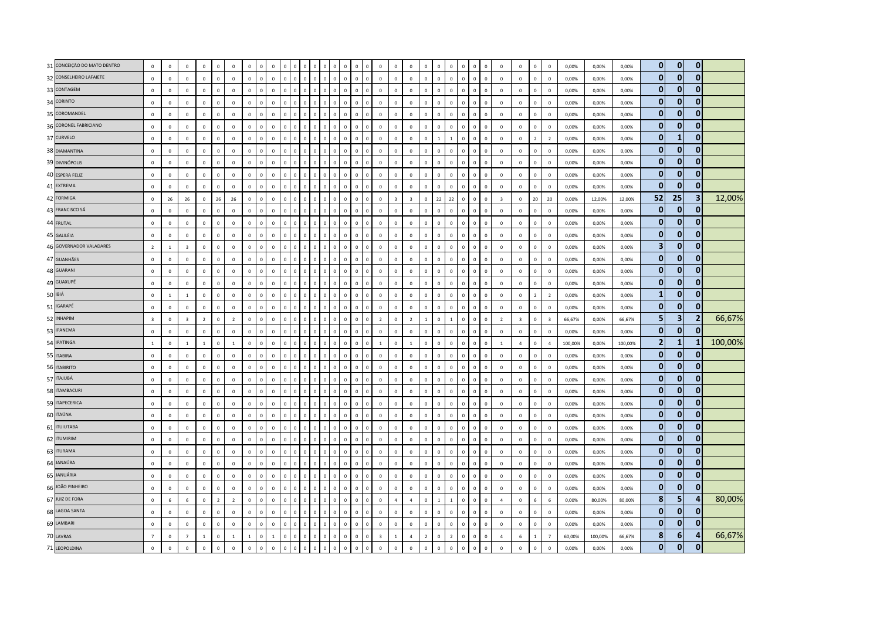|         | 31 CONCEIÇÃO DO MATO DENTRO | $\mathbf 0$    | $\mathbf 0$    | $\mathbf 0$             | $\mathbf 0$    | $\mathbf 0$    | $\mathbf 0$    | $\mathbf 0$  | $\Omega$     | $\mathsf 0$  | $\Omega$       | $\Omega$       | $\Omega$       | $\Omega$                     | $\Omega$     | $\mathbf 0$  | $\Omega$<br>$\Omega$          | $\mathbf 0$             | $\mathbf 0$    | $\mathbf 0$    | $\mathbf 0$    | $\mathbf{0}$ | $\mathbf 0$    | $\mathbf{0}$   | $\Omega$       | $\mathbf 0$  | $\mathbf 0$    | $\mathbf 0$             | $\mathbb O$    | $\,0\,$                 | 0,00%   | 0,00%   | 0,00%   | $\mathbf{0}$   | $\overline{0}$          | $\mathbf{0}$   |         |
|---------|-----------------------------|----------------|----------------|-------------------------|----------------|----------------|----------------|--------------|--------------|--------------|----------------|----------------|----------------|------------------------------|--------------|--------------|-------------------------------|-------------------------|----------------|----------------|----------------|--------------|----------------|----------------|----------------|--------------|----------------|-------------------------|----------------|-------------------------|---------|---------|---------|----------------|-------------------------|----------------|---------|
|         | 32 CONSELHEIRO LAFAIETE     | $\mathbf 0$    | $\mathbf 0$    | $\mathbf 0$             | $\mathbf 0$    | $\mathsf 0$    | $\mathbf 0$    | $\mathbf{0}$ | $\mathbf 0$  | $\mathsf 0$  | $\,$ 0         | $\mathbf 0$    | $\overline{0}$ | $\Omega$<br>$\mathbf 0$      | $\mathbf 0$  | $\mathbf 0$  | $\mathsf 0$<br>$\mathbf 0$    | $\mathbf 0$             | $\mathbf 0$    | $\mathbf 0$    | $\mathbf 0$    | $\mathbf 0$  | $\mathbf 0$    | $\,$ 0         | $\mathsf 0$    | $\mathbb O$  | $\mathbf 0$    | $\mathbf 0$             | $\mathbf 0$    | $\mathbf 0$             | 0,00%   | 0,00%   | 0,00%   | $\mathbf{0}$   | $\mathbf{0}$            | $\mathbf{0}$   |         |
|         | 33 CONTAGEM                 | $\mathbf 0$    | $\mathbf 0$    | $\mathbf 0$             | $\mathbf 0$    | $\mathbf 0$    | $\mathbf 0$    | $\mathbf 0$  |              | $\Omega$     | $\Omega$       | $\Omega$       | $\Omega$       | $\mathbf{0}$<br>$\Omega$     | $\mathbf 0$  | $\Omega$     | $\Omega$<br>$\Omega$          | $\mathbf 0$             | $\mathbf 0$    | $\mathbf 0$    | $\mathbb O$    | $\mathbf 0$  | $\Omega$       | $\Omega$       | $\mathbf{0}$   | $\Omega$     | $\mathbf 0$    | $\mathbf 0$             | $\mathbf 0$    | $\mathbf 0$             | 0,00%   | 0,00%   | 0,00%   | $\bf{0}$       | $\mathbf{0}$            | $\mathbf{0}$   |         |
|         | 34 CORINTO                  | $\mathsf 0$    | $\mathbf 0$    | $\Omega$                | $\mathbf 0$    | $\mathsf 0$    | $\mathbf 0$    | $\mathbf{0}$ | $\Omega$     | $\mathbf{0}$ | $\mathbf{0}$   | $\Omega$       | $\Omega$       | $\Omega$<br>$\Omega$         | $\Omega$     | $\Omega$     | $\circ$<br>$\Omega$           | $\Omega$                | $\mathbf 0$    | $\mathbf{0}$   | $\mathbf 0$    | $\mathbf 0$  | $\mathbf{0}$   | $\overline{0}$ | $\mathbf{0}$   | $\Omega$     | $\mathbf 0$    | $\mathbf 0$             | $\mathbf 0$    | $\mathbf 0$             | 0,00%   | 0,00%   | 0,00%   | $\bf{0}$       | $\mathbf{0}$            | $\mathbf{0}$   |         |
|         | 35 COROMANDEL               | $\mathbf 0$    | $\mathbf 0$    | $\mathbf 0$             | $\mathbf 0$    | $\mathbf 0$    | $\mathbf 0$    | $\mathbf{0}$ | $\Omega$     | $\mathsf 0$  | $\,$ 0 $\,$    | $\mathbf 0$    | $\overline{0}$ | $\Omega$<br>$\mathbf 0$      | $\mathbf 0$  | $\mathbf 0$  | $\mathsf 0$<br>$\mathbf 0$    | $\mathbf 0$             | $\mathbf 0$    | $\mathbf 0$    | $\mathbf 0$    | $\mathbf{0}$ | $\mathbf 0$    | $\,$ 0         | $\mathbf 0$    | $\mathbf 0$  | $\mathbf 0$    | $\mathbf 0$             | $\mathbf 0$    | $\mathbf 0$             | 0,00%   | 0,00%   | 0,00%   | $\bf{0}$       | $\bf{0}$                | $\mathbf 0$    |         |
|         | 36 CORONEL FABRICIANO       | $\mathbf 0$    | $\mathbf 0$    | $\mathbf 0$             | $\mathbf 0$    | $\mathbf 0$    | $\,0\,$        | $\mathbf 0$  | $\sqrt{2}$   | $\mathbf 0$  | $\Omega$       | $\Omega$       | $\Omega$       | $\Omega$                     | $\mathsf 0$  | $\Omega$     | $\Omega$<br>$\Omega$          | $\,0\,$                 | $\bf 0$        | $\mathbf 0$    | $\,$ 0         | $\mathbf 0$  | $\mathbf 0$    | $\,0\,$        | $\Omega$       | $\Omega$     | $\mathbf 0$    | $\mathbf 0$             | $\mathbb O$    | $\mathbf 0$             | 0,00%   | 0,00%   | 0,00%   | $\Omega$       | $\mathbf{0}$            | $\mathbf{0}$   |         |
|         | 37 CURVELO                  | $\mathbf 0$    | $\mathbf 0$    | $\mathbf 0$             | $\mathbf 0$    | $\mathsf 0$    | $\mathbf 0$    | $\mathbf{0}$ | $\mathbf{0}$ | $\mathsf 0$  | $\mathbf 0$    | $\mathbf 0$    | $\Omega$       | $\mathbf{0}$<br>$\Omega$     | $\mathbf 0$  | $\mathbf 0$  | $\mathsf 0$<br>$\mathbf 0$    | $\mathbf 0$             | $\mathbf 0$    | $\mathbf 0$    | $\mathbf 0$    | $\mathbf 1$  | $\mathbf{1}$   | $\,0\,$        | $\mathbf 0$    | $\mathbf 0$  | $\mathbf 0$    | $\mathbf 0$             | $\overline{2}$ | $\overline{z}$          | 0,00%   | 0,00%   | 0,00%   | 0              | $\mathbf{1}$            | $\mathbf{0}$   |         |
|         | 38 DIAMANTINA               | $\mathbf 0$    | $\overline{0}$ | $\mathbf 0$             | $\mathbf 0$    | $\mathsf 0$    | $\mathbf 0$    | $\mathbf 0$  | $\Omega$     | $\mathbf{0}$ | $\Omega$       | $\Omega$       | $\Omega$       | $\Omega$<br>$\Omega$         | $\Omega$     | $\Omega$     | $\Omega$<br>$\Omega$          | $\mathbf 0$             | $\mathbf 0$    | $\mathbf 0$    | $\overline{0}$ | $\Omega$     | $\mathbf 0$    | $\Omega$       | $\Omega$       | $\Omega$     | $\Omega$       | $\Omega$                | $\mathsf 0$    | $\overline{0}$          | 0,00%   | 0,00%   | 0,00%   | $\bf{0}$       | $\mathbf{0}$            | $\mathbf 0$    |         |
|         | 39 DIVINÓPOLIS              | $\mathbf 0$    | $\,0\,$        | $\mathbf 0$             | $\mathbf 0$    | $\mathbf 0$    | $\,0\,$        | $\mathbf 0$  | $\sqrt{2}$   | $\mathbf 0$  | $\Omega$       | $\overline{0}$ | $\Omega$       | $\Omega$<br>$\Omega$         | $\mathsf 0$  | $\mathbf 0$  | $\mathsf 0$<br>$\mathbf 0$    | $\,0\,$                 | $\mathbf 0$    | $\mathbf 0$    | $\mathbf 0$    | $\mathbf 0$  | $\mathbf 0$    | $\,$ 0         | $\mathbf 0$    | $\mathbf 0$  | $\mathbf 0$    | $\mathbf 0$             | $\mathbf 0$    | $\,0\,$                 | 0,00%   | 0,00%   | 0,00%   | $\mathbf{0}$   | $\mathbf{0}$            | $\mathbf{0}$   |         |
|         | 40 ESPERA FELIZ             | $\mathsf 0$    | $\mathbf 0$    | $\mathbf 0$             | $\mathbf 0$    | $\mathsf 0$    | $\mathbf 0$    | $\mathbf 0$  | $\Omega$     | $\mathsf 0$  | $\mathbf 0$    | $\mathbf 0$    | $\,$ 0         | $\Omega$<br>$\Omega$         | $\mathbf 0$  | $\Omega$     | $\mathbf 0$<br>$\circ$        | $\mathbf 0$             | $\mathbf 0$    | $\mathbf 0$    | $\mathbf 0$    | $\mathbf 0$  | $\mathbf 0$    | $\,$ 0         | $\mathbf 0$    | $\mathbf 0$  | $\mathbf 0$    | $\mathbf 0$             | $\mathbb O$    | $\mathbf 0$             | 0,00%   | 0,00%   | 0,00%   | $\mathbf{0}$   | $\mathbf{0}$            | $\mathbf{0}$   |         |
|         | 41 EXTREMA                  | $\mathbf 0$    | $\mathbf 0$    | $\mathbf 0$             | $\mathbf 0$    | $\mathsf 0$    | $\mathbf 0$    | $\mathbf 0$  |              | $\mathbf{0}$ | $\Omega$       | $\Omega$       | $\mathbf{C}$   |                              | $\mathbf 0$  | $\Omega$     | $\mathsf 0$<br>$\mathbf 0$    | $\mathbf 0$             | $\mathbf 0$    | $\mathbf 0$    | $\mathbb O$    | $\Omega$     | $\mathbf 0$    | $\overline{0}$ | $\Omega$       | $\Omega$     | $\mathbf 0$    | $\mathbf 0$             | $\mathbb O$    | $\mathbf 0$             | 0,00%   | 0,00%   | 0,00%   | $\mathbf{0}$   | $\mathbf{0}$            | $\mathbf{0}$   |         |
|         | 42 FORMIGA                  | $\mathbf 0$    | 26             | 26                      | $\mathbf 0$    | 26             | 26             | $\Omega$     | $\Omega$     | $\mathsf 0$  | $\Omega$       | $\Omega$       | $\Omega$       | $\Omega$                     | $\Omega$     | $\Omega$     | $\Omega$<br>$\Omega$          | $\mathbf 0$             | $\overline{3}$ | $\overline{3}$ | $\mathbf 0$    | 22           | 22             | $\,0\,$        | $\Omega$       | $\Omega$     | $\overline{3}$ | $\mathbf 0$             | $20\,$         | 20                      | 0,00%   | 12,00%  | 12,00%  | 52             | 25                      | 3              | 12,00%  |
|         | 43 FRANCISCO SÁ             | $\mathbf 0$    | $\mathbf 0$    | $\mathbf 0$             | $\circ$        | $\mathsf 0$    | $\mathbf 0$    | $\mathbf{0}$ | $\circ$      | $\mathsf 0$  | $\mathbf 0$    | $\mathbf 0$    | $\Omega$       | $\Omega$<br>$\Omega$         | $\mathbf 0$  | $\mathbf 0$  | $\circ$<br>$\Omega$           | $\circ$                 | $\,0\,$        | $\mathbf 0$    | $\mathbf 0$    | $\Omega$     | $\circ$        | $\,0\,$        | $\mathbf{0}$   | $\mathbf 0$  | $\circ$        | $\mathbf 0$             | $\mathbf 0$    | $\mathbf 0$             | 0,00%   | 0,00%   | 0,00%   | $\bf{0}$       | $\mathbf{0}$            | $\mathbf 0$    |         |
|         | 44 FRUTAL                   | $\mathbf{0}$   | $\mathbf 0$    | $\overline{0}$          | $\mathbf 0$    | $\mathbf 0$    | $\mathbf 0$    | $\mathbf 0$  | $\Omega$     | $\mathsf{o}$ | $\mathbf 0$    | $\overline{0}$ | $\overline{0}$ | $\mathbf{0}$<br>$\Omega$     | $\mathbf 0$  | $\mathbf{0}$ | $\mathsf 0$<br>$\mathbf{0}$   | $\mathbf 0$             | $\mathbf 0$    | $\mathbf 0$    | $\mathbf 0$    | $\mathbf 0$  | $\mathbf 0$    | $\mathbf 0$    | $\mathbf 0$    | $\mathbf 0$  | $\mathbf 0$    | $\mathbf 0$             | $\mathbf 0$    | $\mathbf 0$             | 0,00%   | 0,00%   | 0,00%   | $\mathbf{0}$   | $\mathbf{0}$            | $\mathbf{0}$   |         |
|         | 45 GALILÉIA                 | $\mathsf 0$    | $\mathbf 0$    | $\mathbf 0$             | $\mathbf 0$    | $\mathbf 0$    | $\mathbf 0$    | $\mathbf 0$  | $\Omega$     | $\mathsf 0$  | $\mathbf 0$    | $\mathbf 0$    | $\overline{0}$ | $\mathbf{0}$<br>$\Omega$     | $\mathsf 0$  | $\mathbf{0}$ | $\mathbf 0$<br>$\mathbf 0$    | $\mathbf 0$             | $\mathbf 0$    | $\mathbf 0$    | $\mathbb O$    | $\mathbf 0$  | $\mathbf 0$    | $\,$ 0         | $\mathsf 0$    | $\mathbf 0$  | $\mathbf 0$    | $\mathbf 0$             | $\mathbf 0$    | $\mathbf 0$             | 0,00%   | 0,00%   | 0,00%   | $\bf{0}$       | $\mathbf{0}$            | $\mathbf{0}$   |         |
|         | 46 GOVERNADOR VALADARES     | $\overline{2}$ | $\overline{1}$ | $\overline{3}$          | $\Omega$       | $\mathsf 0$    | $\mathbf 0$    | $\mathbf{0}$ | $\Omega$     | $\mathsf 0$  | $\mathbf 0$    | $\Omega$       | $\Omega$       | $\Omega$<br>$\Omega$         | $\mathbf 0$  | $\Omega$     | $\Omega$<br>$\Omega$          | $\Omega$                | $\Omega$       | $\mathbf 0$    | $\mathbf 0$    | $\Omega$     | $\mathbf 0$    | $\,0\,$        | $\mathbf 0$    | $\Omega$     | $\Omega$       | $\Omega$                | $\mathbf 0$    | $\Omega$                | 0,00%   | 0,00%   | 0,00%   | 3              | $\mathbf{0}$            | $\bf{0}$       |         |
|         | 47 GUANHÃES                 | $\mathbf 0$    | $\mathbf 0$    | $\mathbf 0$             | $\circ$        | $\mathsf 0$    | $\mathbf 0$    | $\mathbf 0$  | $\Omega$     | $\mathsf 0$  | $\mathbf{0}$   | $\mathbf 0$    | $\sqrt{ }$     | $\Omega$<br>$\Omega$         | $\mathbf 0$  | $\mathbf 0$  | $\mathbf{0}$<br>$\Omega$      | $\mathbb O$             | $\mathbf 0$    | $\,0\,$        | $\mathbf 0$    | $\mathbf 0$  | $\mathbf 0$    | $\overline{0}$ | $\mathbf{0}$   | $\mathbf 0$  | $\mathbf 0$    | $\mathbf 0$             | $\mathbf 0$    | $\mathbf 0$             | 0,00%   | 0,00%   | 0,00%   | $\mathbf{0}$   | $\mathbf{0}$            | $\mathbf{0}$   |         |
|         | 48 GUARANI                  | $\mathbf 0$    | $\mathbf 0$    | $\mathbf 0$             | $\mathbf 0$    | $\mathsf 0$    | $\mathbf 0$    | $\mathbf 0$  | $\mathbf 0$  | $\mathsf 0$  | $\mathbf 0$    | $\mathbf{0}$   | $\,0\,$        | $\mathbf{0}$<br>$\mathbf 0$  | $\mathbf 0$  | $\mathbf 0$  | $\mathsf 0$<br>$\mathbf 0$    | $\mathbf 0$             | $\mathbf 0$    | $\mathbf 0$    | $\mathbb O$    | $\mathbf 0$  | $\mathbf 0$    | $\,$ 0         | $\mathsf 0$    | $\mathbf 0$  | $\mathbf 0$    | $\mathbf 0$             | $\mathbb O$    | $\mathbf 0$             | 0,00%   | 0,00%   | 0,00%   | $\bf{0}$       | $\mathbf{0}$            | $\mathbf{0}$   |         |
|         | 49 GUAXUPÉ                  | $\mathbf 0$    | $\mathbf 0$    | $\mathbf 0$             | $\mathbf 0$    | $\mathsf 0$    | $\mathbf 0$    | $\mathbf 0$  | $\Omega$     | $\mathsf 0$  | $\mathbf 0$    | $\mathbf 0$    | $\circ$        | $\Omega$<br>$\Omega$         | $\mathbf{0}$ | $\Omega$     | $\mathsf 0$<br>$\mathbf 0$    | $\mathbf 0$             | $\mathbf 0$    | $\mathbf 0$    | $\mathbb O$    | $\mathbf 0$  | $\mathbf 0$    | $\mathbf 0$    | $\mathsf{O}^-$ | $\mathbf 0$  | $\mathbf 0$    | $\mathbf 0$             | $\mathbf 0$    | $\mathbf 0$             | 0,00%   | 0,00%   | 0,00%   | $\mathbf{0}$   | $\mathbf{0}$            | $\mathbf{0}$   |         |
| 50 IBIÁ |                             | $\mathsf 0$    | $\overline{1}$ | $\overline{1}$          | $\mathbf 0$    | $\mathsf 0$    | $\mathbf 0$    | $\mathbf{0}$ |              | $\mathbf{0}$ | $\Omega$       | $\Omega$       | $\Omega$       | $\Omega$                     | $\mathbf 0$  | $\Omega$     | $\Omega$<br>$\Omega$          | $\mathbb O$             | $\mathbf 0$    | $\mathbf 0$    | $\mathbf 0$    | $\mathbf{0}$ | $\mathbf 0$    | $\overline{0}$ | $\mathbf{0}$   | $\Omega$     | $\mathbf 0$    | $\mathbf 0$             | $\overline{2}$ | $\overline{2}$          | 0,00%   | 0,00%   | 0,00%   | $\mathbf{1}$   | $\mathbf{0}$            | $\mathbf{0}$   |         |
|         | 51 IGARAPÉ                  | $\mathbf 0$    | $\,0\,$        | $\mathbf 0$             | $\mathbf{0}$   | $\mathbf 0$    | $\mathbf 0$    | $\mathbf 0$  | $\Omega$     | $\mathsf 0$  | $\mathbf 0$    | $\mathbf 0$    | $\overline{0}$ | $\Omega$<br>$\mathbf 0$      | $\mathbf 0$  | $\mathbf 0$  | $\mathsf 0$<br>$\mathsf 0$    | $\mathbf 0$             | $\mathbf 0$    | $\mathbf 0$    | $\mathbb O$    | $\mathbf 0$  | $\mathbf 0$    | $\,$ 0         | $\mathsf 0$    | $\mathbf 0$  | $\mathbf 0$    | $\mathbf 0$             | $\mathbf 0$    | $\mathbf 0$             | 0,00%   | 0,00%   | 0,00%   | $\bf{0}$       | $\mathbf{0}$            | $\mathbf 0$    |         |
|         | 52 INHAPIM                  | $\mathbf{3}$   | $\mathbf 0$    | $\overline{\mathbf{3}}$ | $\overline{2}$ | $\mathbf 0$    | $\overline{2}$ | $\mathbf 0$  |              | $\mathbf{0}$ | $\Omega$       | $\mathbf 0$    |                |                              | $\pmb{0}$    | $\mathbf 0$  | $\mathbf 0$<br>$\mathbf 0$    | $\overline{2}$          | $\bf 0$        | $\overline{2}$ | $\mathbf{1}$   | $\mathbf 0$  | $\mathbf{1}$   | $\overline{0}$ | 0              | $\mathbf 0$  | $\overline{2}$ | $\overline{\mathbf{3}}$ | $\mathbf 0$    | $\overline{\mathbf{3}}$ | 66,67%  | 0,00%   | 66,67%  | 5              | $\overline{\mathbf{3}}$ | $\overline{2}$ | 66,67%  |
|         | 53 IPANEMA                  | $\mathbf 0$    | $\mathbf{0}$   | $\mathbf 0$             | $\mathbf{0}$   | $\mathbf{0}$   | $\mathbf{0}$   | $\mathbf{0}$ | $\Omega$     | $\mathbf{0}$ | $\mathbf{0}$   | $\Omega$       | $\overline{0}$ | $\Omega$<br>$\Omega$         | $\Omega$     | $\Omega$     | $\mathbf 0$<br>$\Omega$       | $\mathbf 0$             | $\Omega$       | $\mathbf{0}$   | $\mathbf{0}$   | $\mathbf 0$  | $\mathbf{0}$   | $\overline{0}$ | $\mathbf{0}$   | $\Omega$     | $\mathbf 0$    | $\mathbf{0}$            | $\mathbf{0}$   | $\Omega$                | 0.00%   | 0.00%   | 0,00%   | $\mathbf{0}$   | $\mathbf{0}$            | $\mathbf{0}$   |         |
|         | 54 IPATINGA                 | $\mathbf{1}$   | $\overline{0}$ | $\overline{1}$          | $\overline{1}$ | $\mathsf 0$    | $\mathbf 1$    | $\mathbf{0}$ | $\Omega$     | $\mathbf{0}$ | $\Omega$       | $\Omega$       | $\Omega$       | $\Omega$<br>$\Omega$         | $\mathbf 0$  | $\Omega$     | $\Omega$<br>$\Omega$          | $\mathbf{1}$            | $\mathbf 0$    | $\overline{1}$ | $\mathbf{0}$   | $\Omega$     | $\mathbf 0$    | $\Omega$       | $\Omega$       | $\Omega$     | $\overline{1}$ | $\overline{4}$          | $\mathbf 0$    | $\overline{a}$          | 100,00% | 0,00%   | 100,00% | $\overline{2}$ | $\mathbf{1}$            | -1             | 100,00% |
|         | 55 ITABIRA                  | $\mathbf 0$    | $\,0\,$        | $\mathbf 0$             | $\mathbf 0$    | $\mathbf 0$    | $\,$ 0         | $\mathbf 0$  | $\Omega$     | $\mathbf 0$  | $\mathbf 0$    | $\mathbf 0$    | $\Omega$       | $\Omega$<br>$\mathbf 0$      | $\mathbf 0$  | $\mathbf 0$  | $\mathbf 0$<br>$\mathsf 0$    | $\mathbf 0$             | $\mathbf 0$    | $\mathbf 0$    | $\,0\,$        | $\mathbf 0$  | $\,0\,$        | $\,$ 0         | $\mathsf 0$    | $\mathbf 0$  | $\mathbf 0$    | $\mathbf 0$             | $\mathbf 0$    | $\,0\,$                 | 0,00%   | 0,00%   | 0,00%   | $\bf{0}$       | $\mathbf{0}$            | $\mathbf{0}$   |         |
|         | 56 ITABIRITO                | $\mathsf 0$    | $\mathbf 0$    | $\mathbf 0$             | $\mathbf 0$    | $\mathsf 0$    | $\Omega$       | $\mathbf{0}$ | $\Omega$     | $\mathbf{0}$ | $\mathbf{0}$   | $\mathbf{0}$   | $\Omega$       | $\mathbf{0}$<br>$\mathbf{0}$ | $\mathbf 0$  | $\Omega$     | $\mathbf{0}$<br>$\mathsf 0$   | $\mathbf 0$             | $\mathbf 0$    | $\mathbf{0}$   | $\circ$        | $\mathbf{0}$ | $\mathbf{0}$   | $\,0\,$        | $\mathbf{0}$   | $\mathbf{0}$ | $\mathbf 0$    | $\mathbf 0$             | $\mathbf 0$    | $\mathbf 0$             | 0,00%   | 0,00%   | 0,00%   | 0              | $\mathbf{0}$            | $\mathbf{0}$   |         |
|         | 57 ITAJUBÁ                  | $\Omega$       | $\mathbf 0$    | $\Omega$                | $\Omega$       | $\mathbf{0}$   | $\mathbf{0}$   | $\Omega$     | $\Omega$     | $\mathbf{0}$ | $\Omega$       | $\Omega$       | $\Omega$       | $\Omega$<br>$\Omega$         | $\Omega$     | $\Omega$     | $\Omega$<br>$\Omega$          | $\Omega$                | $\Omega$       | $\Omega$       | $\mathbf{0}$   | $\mathbf{0}$ | $\Omega$       | $\mathbf{0}$   | $\Omega$       | $\Omega$     | $\Omega$       | $\Omega$                | $\mathbf 0$    | $\Omega$                | 0,00%   | 0.00%   | 0,00%   | $\bf{0}$       | $\bf{0}$                | $\mathbf{0}$   |         |
|         | 58 ITAMBACURI               | $\mathsf 0$    | $\overline{0}$ | $\mathbf 0$             | $\mathbf 0$    | $\mathsf 0$    | $\mathbf 0$    | $\Omega$     | $\Omega$     | $\mathsf 0$  | $\mathbf{0}$   | $\Omega$       | $\Omega$       | $\Omega$<br>$\Omega$         | $\Omega$     | $\Omega$     | $\Omega$<br>$\Omega$          | $\mathbf 0$             | $\mathbf 0$    | $\mathbf 0$    | $\mathbf 0$    | $\mathbf{0}$ | $\mathbf{0}$   | $\mathbf{0}$   | $\Omega$       | $\Omega$     | $\mathbf 0$    | $\mathbf 0$             | $\mathbf 0$    | $\overline{0}$          | 0,00%   | 0,00%   | 0,00%   | 0              | $\mathbf{0}$            | $\mathbf{0}$   |         |
|         | 59 ITAPECERICA              | $\mathsf 0$    | $\mathbf 0$    | $\mathbf 0$             | $\mathbf 0$    | $\mathbf 0$    | $\,$ 0         | $\mathbf 0$  | $\mathbf 0$  | $\mathsf 0$  | $\,0\,$        | $\mathbf 0$    | $\,0\,$        | $\Omega$<br>$\Omega$         | $\mathsf 0$  | $\mathbf 0$  | $\Omega$<br>$\mathbf 0$       | $\mathbf 0$             | $\mathbf 0$    | $\mathbf 0$    | $\mathbf 0$    | $\,0\,$      | $\mathbf 0$    | $\,$ 0         | $\mathbf 0$    | $\mathbf 0$  | $\mathbf 0$    | $\mathbf 0$             | $\mathbb O$    | $\Omega$                | 0,00%   | 0,00%   | 0,00%   | $\bf{0}$       | $\mathbf{0}$            | $\mathbf 0$    |         |
|         | 60 ITAÚNA                   | $\mathbf 0$    | $\mathbf 0$    | $\circ$                 | $\mathbf 0$    | $\mathsf 0$    | $\mathbf 0$    | $\mathbf 0$  | $\Omega$     | $\mathbf 0$  | $\Omega$       | $\mathbf 0$    | $\Omega$       |                              | $\mathbf 0$  | $\Omega$     | $\Omega$<br>$\mathsf 0$       | $\mathbf 0$             | $\mathbf 0$    | $\,0\,$        | $\mathbb O$    | $\Omega$     | $\mathbf 0$    | $\overline{0}$ | $\mathbf{0}$   | $\mathbf 0$  | $\mathbf 0$    | $\mathbf 0$             | $\mathbf 0$    | $\mathbf 0$             | 0,00%   | 0,00%   | 0,00%   | $\bf{0}$       | $\mathbf{0}$            | $\mathbf{0}$   |         |
|         | 61 ITUIUTABA                | $\mathsf 0$    | $\mathbf 0$    | $\Omega$                | $\mathbf 0$    | $\mathbf 0$    | $\mathbf 0$    | $\mathbf{0}$ | $\Omega$     | $\mathsf 0$  | $\mathbf{0}$   | $\Omega$       | $\Omega$       | $\Omega$<br>$\Omega$         | $\Omega$     | $\Omega$     | $\mathbf{0}$<br>$\mathbf{0}$  | $\mathbf 0$             | $\overline{0}$ | $\Omega$       | $\mathbb O$    | $\mathbf{0}$ | $\mathbf 0$    | $\mathbf{0}$   | $\mathbf{0}$   | $\Omega$     | $\mathbf 0$    | $\mathbf 0$             | $\mathbf 0$    | $\mathbf 0$             | 0,00%   | 0,00%   | 0,00%   | $\bf{0}$       | $\mathbf{0}$            | $\mathbf{0}$   |         |
|         | 62 ITUMIRIM                 | $\mathbf 0$    | $\mathbf 0$    | $\mathbf 0$             | $\mathbf 0$    | $\mathbf 0$    | $\mathbf 0$    | $\mathbf{0}$ | $\Omega$     | $\mathsf 0$  | $\mathbf 0$    | $\overline{0}$ | $\sqrt{ }$     | $\Omega$<br>$\mathbf 0$      | $\mathbf 0$  | $\mathbf 0$  | 0<br>$\mathbf{0}$             | $\mathbf 0$             | $\bf 0$        | $\,0\,$        | $\mathbf 0$    | $\mathbf 0$  | $\mathbf 0$    | $\,0\,$        | $\mathbf 0$    | $\mathbf 0$  | $\mathbf 0$    | $\mathbf 0$             | $\mathbf 0$    | $\mathbf 0$             | 0,00%   | 0,00%   | 0,00%   | $\bf{0}$       | $\bf{0}$                | $\bf{0}$       |         |
|         | 63 ITURAMA                  | $\mathsf 0$    | $\mathbf 0$    | $\mathbf 0$             | $\mathbf 0$    | $\mathsf 0$    | $\mathbf 0$    | $\mathbf 0$  | $\Omega$     | $\mathsf 0$  | $\Omega$       | $\overline{0}$ | $\Omega$       |                              | $\mathbf 0$  | $\mathbf 0$  | $\overline{0}$<br>$\mathbf 0$ | $\mathbf 0$             | $\mathbf 0$    | $\,0\,$        | $\mathbf 0$    | $\mathbf 0$  | $\overline{0}$ | $\mathbf{0}$   | $\Omega$       | $\mathbf 0$  | $\mathbf 0$    | $\mathbf 0$             | $\mathbb O$    | $\mathbf 0$             | 0,00%   | 0,00%   | 0,00%   | $\mathbf{0}$   | $\Omega$                | $\mathbf{0}$   |         |
|         | 64 JANAÚBA                  | $\mathbf 0$    | $\mathbf 0$    | $\mathbf 0$             | $\mathbf 0$    | $\mathbf 0$    | $\mathbf 0$    | $\mathbf{0}$ | $\Omega$     | $\mathbf{0}$ | $\Omega$       | $\Omega$       | $\Omega$       | $\Omega$<br>$\Omega$         | $\Omega$     | $\Omega$     | $\mathsf 0$<br>$\Omega$       | $\mathbf 0$             | $\mathbf 0$    | $\mathbf{0}$   | $\mathbf 0$    | $\mathbf 0$  | $\mathbf 0$    | $\Omega$       | $\mathbf{0}$   | $\Omega$     | $\mathbf 0$    | $\mathbf 0$             | $\mathbb O$    | $\Omega$                | 0,00%   | 0,00%   | 0,00%   | $\mathbf{0}$   | $\mathbf{0}$            | $\mathbf{0}$   |         |
|         | 65 JANUÁRIA                 | $\mathbf 0$    | $\mathbf 0$    | $\mathbf 0$             | $\mathbf 0$    | $\mathsf 0$    | $\mathbf 0$    | $\mathbf 0$  | $\Omega$     | $\mathsf 0$  | $\overline{0}$ | $\overline{0}$ | $\overline{0}$ | $\Omega$<br>$\Omega$         | $\mathbf 0$  | $\mathbf 0$  | $\mathsf 0$<br>$\mathbf 0$    | $\mathbf 0$             | $\mathbf 0$    | $\mathbf 0$    | $\mathbb O$    | $\mathbf 0$  | $\mathbf 0$    | $\,0\,$        | $\mathbf 0$    | $\mathbf 0$  | $\mathbf 0$    | $\mathbf 0$             | $\mathbb O$    | $\mathbf 0$             | 0,00%   | 0,00%   | 0,00%   | $\bf{0}$       | $\overline{0}$          | $\mathbf{0}$   |         |
|         | 66 JOÃO PINHEIRO            | $\mathsf 0$    | $\mathbf 0$    | $\mathbf 0$             | $\circ$        | $\mathsf 0$    | $\mathbf 0$    | $\mathbf 0$  | $\Omega$     | $\mathsf 0$  | $\mathbf{0}$   | $\mathbf 0$    | $\Omega$       | $\Omega$<br>$\mathbf{0}$     | $\mathbf 0$  | $\Omega$     | $\mathbf{0}$<br>$\mathsf 0$   | $\mathbb O$             | $\mathbf 0$    | $\mathbf 0$    | $\mathbb O$    | $\mathbf{0}$ | $\circ$        | $\overline{0}$ | $\mathbf{0}$   | $\mathbf 0$  | $\mathbf 0$    | $\mathbf 0$             | $\mathbf 0$    | $\mathbf 0$             | 0,00%   | 0,00%   | 0,00%   | $\mathbf{0}$   | $\overline{0}$          | $\mathbf{0}$   |         |
|         | 67 JUIZ DE FORA             | $\mathsf 0$    | $\,$ 6 $\,$    | $6\phantom{a}$          | $\mathbf 0$    | $\overline{2}$ | $\overline{2}$ | $\mathbf 0$  | $\mathbf 0$  | $\mathsf 0$  | $\mathbf 0$    | $\mathbf 0$    | $\overline{0}$ | $\Omega$<br>$\mathbf 0$      | $\mathbf 0$  | $\mathbf 0$  | $\mathbf 0$<br>$\mathbf{0}$   | $\mathbf 0$             | $\overline{4}$ | $\overline{4}$ | $\mathbf 0$    | $\,$ 1 $\,$  | $\mathbf{1}$   | $\mathbf 0$    | $\mathsf 0$    | $\mathbf 0$  | $\overline{4}$ | $\mathbf 0$             | $6\phantom{1}$ | 6                       | 0,00%   | 80,00%  | 80,00%  | 8              | 5                       | $\overline{a}$ | 80,00%  |
|         | 68 LAGOA SANTA              | $\mathsf 0$    | $\mathbf 0$    | $\mathbf 0$             | $\mathbf 0$    | $\mathsf 0$    | $\mathbf 0$    | $\mathbf 0$  |              | $\mathsf 0$  | $\Omega$       | $\mathbf 0$    | $\Omega$       | $\Omega$                     | $\mathbf 0$  | $\mathbf 0$  | $\mathsf 0$<br>$\mathbf 0$    | $\mathbf 0$             | $\mathbf 0$    | $\mathbf 0$    | $\mathbf 0$    | $\mathbf 0$  | $\mathbf 0$    | $\overline{0}$ | $\mathbf 0$    | $\Omega$     | $\mathbf 0$    | $\mathbf 0$             | $\mathbf 0$    | $\mathbf 0$             | 0,00%   | 0,00%   | 0,00%   | $\bf{0}$       | $\mathbf{0}$            | $\mathbf 0$    |         |
|         | 69 LAMBARI                  | $\mathbf 0$    | $\Omega$       | $\mathbf 0$             | $\mathbf{0}$   | $\mathbf{0}$   | $\mathbf 0$    | $\mathbf{0}$ | $\Omega$     | $\mathbf{0}$ | $\mathbf{0}$   | $\mathbf{0}$   | $\overline{0}$ | $\Omega$<br>$\mathbf{0}$     | $\Omega$     | $\Omega$     | $\circ$<br>$\Omega$           | $\mathbf 0$             | $\mathbf 0$    | $\mathbf 0$    | $\mathbf{0}$   | $\mathbf 0$  | $\mathbf 0$    | $\mathbf{0}$   | $\mathbf{0}$   | $\Omega$     | $\mathbf 0$    | $\mathbf{0}$            | $\mathbf{0}$   | $\mathbf 0$             | 0.00%   | 0.00%   | 0,00%   | $\mathbf{0}$   | $\mathbf{0}$            | $\mathbf{0}$   |         |
|         | 70 LAVRAS                   | $\overline{7}$ | $\mathbf 0$    | $\overline{7}$          | $\mathbf{1}$   | $\mathsf 0$    | $\mathbf{1}$   | $\mathbf{1}$ | $\mathbf 0$  | $\,$ 1 $\,$  | $\mathbf 0$    | $\mathbf 0$    | $\overline{0}$ | $\mathbf{0}$<br>$\mathbf 0$  | $\mathbf 0$  | $\mathbf{0}$ | $\circ$<br>$\mathbf 0$        | $\overline{\mathbf{3}}$ | $\mathbf{1}$   | $\overline{a}$ | $\overline{2}$ | $\mathbf 0$  | $\overline{2}$ | $\,$ 0         | $\mathsf 0$    | $\mathbf 0$  | $\overline{a}$ | 6                       | 1              | $\overline{7}$          | 60,00%  | 100,00% | 66,67%  | 8              | 6                       | 4              | 66,67%  |
|         | 71 LEOPOLDINA               | $\mathbf 0$    | $\mathbf 0$    | $\overline{0}$          | $\mathbf 0$    | $\mathbf 0$    | $\mathbf 0$    | $\mathbf 0$  | $\Omega$     | $\mathsf 0$  | $\overline{0}$ | $\mathbf 0$    |                |                              | $\mathsf 0$  | $\mathbf 0$  | $\mathbf 0$<br>$\mathbf 0$    | $\mathbf 0$             | $\mathbf 0$    | $\mathbf 0$    | $\overline{0}$ | $\mathbf 0$  | $\mathbf 0$    | $\overline{0}$ | $\mathbf 0$    | $\mathbf 0$  | $\mathbf 0$    | $\mathbf 0$             | $\mathbf 0$    | $\mathbf 0$             | 0,00%   | 0,00%   | 0,00%   | $\mathbf{0}$   | $\overline{0}$          | $\mathbf{0}$   |         |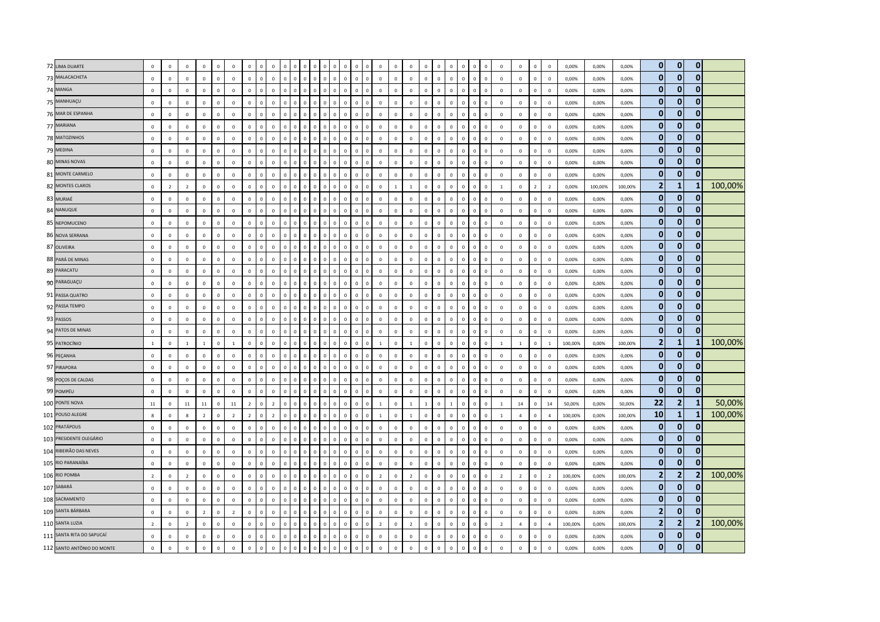| 72 LIMA DUARTE<br>$\mathbf{0}$<br>$\Omega$<br>$\mathbf{0}$<br>$\mathbf{0}$<br>$\Omega$<br>73 MALACACHETA<br>$\circ$<br>$\mathbf 0$<br>$\mathbf 0$<br>$\mathbf 0$<br>$\mathbf 0$<br>$\mathbf 0$<br>$\mathsf 0$<br>$\mathbf 0$<br>$\mathbb O$<br>$\mathbb O$<br>$\mathbf 0$<br>$\mathbf 0$<br>$\mathsf 0$<br>$\,$ 0<br>$\mathbf 0$<br>$\mathbf 0$<br>$\mathbf{0}$<br>$\mathbf 0$<br>$\mathbf 0$<br>$\mathbf 0$<br>$\mathbf 0$<br>$\mathsf 0$<br>$\mathbf 0$<br>$\mathbf 0$<br>$\mathbf 0$<br>$\mathsf 0$<br>$\mathbf 0$<br>$\mathbf 0$<br>$\mathbf 0$<br>$\overline{0}$<br>$\mathbf{0}$<br>0,00%<br>0,00%<br>0,00%<br>$\mathbf{0}$<br>$\Omega$<br>$\mathbf{0}$<br>74 MANGA<br>$\mathsf 0$<br>$\mathbf{0}$<br>$\mathbf{0}$<br>$\mathbf 0$<br>$\mathbf 0$<br>$\Omega$<br>$\mathbf 0$<br>$\mathbf 0$<br>$\mathbf 0$<br>$\mathbf 0$<br>$\Omega$<br>$\mathbf 0$<br>$\Omega$<br>$\mathbf 0$<br>0,00%<br>$\Omega$<br>$\overline{0}$<br>$\mathbf 0$<br>$\mathbf 0$<br>$\Omega$<br>$\Omega$<br>$\Omega$<br>$\mathbf 0$<br>$\Omega$<br>$\Omega$<br>$\Omega$<br>$\Omega$<br>$\mathbf 0$<br>$\mathbf 0$<br>0,00%<br>0,00%<br>$\mathbf{0}$<br>$\overline{0}$<br>$\bf{0}$<br>75 MANHUAÇU<br>$\mathbf 0$<br>$\mathbf 0$<br>$\mathbf{0}$<br>$\mathbf 0$<br>$\mathbf 0$<br>$\mathsf 0$<br>$\mathbf{0}$<br>$\mathbf 0$<br>$\,$ 0<br>$\mathbf 0$<br>$\mathbf{0}$<br>$\mathbf 0$<br>$\Omega$<br>$\mathbf 0$<br>0,00%<br>$\Omega$<br>$\circ$<br>$\Omega$<br>$\Omega$<br>$\Omega$<br>$\Omega$<br>$\Omega$<br>$\Omega$<br>$\Omega$<br>$\Omega$<br>$\Omega$<br>$\Omega$<br>$\Omega$<br>$\Omega$<br>$\Omega$<br>$\Omega$<br>$\Omega$<br>0,00%<br>0,00%<br>$\mathbf{0}$<br>$\bf{0}$<br>76 MAR DE ESPANHA<br>0<br>$\mathsf 0$<br>$\mathsf 0$<br>$\mathbf 0$<br>$\mathbf{0}$<br>$\mathbf{0}$<br>$\mathbf 0$<br>$\mathbf 0$<br>$\mathbf 0$<br>$\mathbf 0$<br>$\mathbb O$<br>$\mathbf 0$<br>$\,0\,$<br>$\mathbf 0$<br>$\,$ 0<br>$\mathbf 0$<br>$\mathbf 0$<br>$\mathbf 0$<br>$\mathbf 0$<br>$\Omega$<br>$\mathbf 0$<br>$\mathbf{0}$<br>$\mathsf 0$<br>$\mathbf 0$<br>$\mathbf 0$<br>$\mathbf 0$<br>$\mathbf 0$<br>0,00%<br>$\sqrt{2}$<br>$^{\circ}$<br>$\Omega$<br>$\mathbf 0$<br>$\mathbf{0}$<br>0,00%<br>0,00%<br>$\Omega$<br>$\Omega$<br>$\mathbf{0}$<br>77 MARIANA<br>$\mathbf 0$<br>$\mathsf 0$<br>$\mathbf 0$<br>$\Omega$<br>$\,$ 0<br>$\mathbf 0$<br>$\mathbf 0$<br>$\,0\,$<br>$\mathbf 0$<br>$\mathbf 0$<br>$\,0\,$<br>$\,0\,$<br>$\mathbb O$<br>$\mathbb O$<br>$\Omega$<br>$\Omega$<br>$\,0\,$<br>$\overline{0}$<br>$\mathbf 0$<br>$\Omega$<br>$\Omega$<br>$\Omega$<br>$\Omega$<br>$\mathbf 0$<br>$\Omega$<br>$\mathbf 0$<br>$\mathbf 0$<br>$\overline{\mathbf{0}}$<br>0,00%<br>0,00%<br>0,00%<br>$\overline{0}$<br>$\overline{0}$<br>$\mathbf{0}$<br>78 MATOZINHOS<br>$\mathsf 0$<br>$\mathbf 0$<br>$\circ$<br>$\mathbf 0$<br>$\mathbf 0$<br>$\mathbf 0$<br>$\mathbf 0$<br>$\mathbf 0$<br>$\mathbf 0$<br>$\mathbf 0$<br>$\mathbf 0$<br>$\mathbf 0$<br>$\mathbf 0$<br>$\mathbf 0$<br>$\mathbb O$<br>$\mathbf 0$<br>$\mathsf 0$<br>$\mathsf 0$<br>$\mathbf 0$<br>$\mathbf 0$<br>$\mathbf 0$<br>$\mathbf 0$<br>$\mathbf 0$<br>0,00%<br>$\Omega$<br>$\circ$<br>$\Omega$<br>$\Omega$<br>$\Omega$<br>$\Omega$<br>$\mathsf 0$<br>$\Omega$<br>0,00%<br>0,00%<br>$\mathbf{0}$<br>$\mathbf{0}$<br>$\mathbf{0}$<br>79 MEDINA<br>$\mathbf{0}$<br>$\mathbf 0$<br>$\mathbf 0$<br>$\mathbf 0$<br>$\mathbf 0$<br>$\mathbf 0$<br>$\Omega$<br>$\Omega$<br>$\mathbf 0$<br>$\mathbf 0$<br>$\mathbf 0$<br>$\mathbf 0$<br>$\Omega$<br>$\Omega$<br>$\Omega$<br>0,00%<br>0,00%<br>0,00%<br>$\Omega$<br>$\mathbf{0}$<br>$\Omega$<br>$\mathbf 0$<br>$\Omega$<br>$\Omega$<br>$\Omega$<br>$\Omega$<br>$\Omega$<br>$\Omega$<br>$\Omega$<br>$\Omega$<br>$\mathsf{C}$<br>$\Omega$<br>$\Omega$<br>$\overline{0}$<br>$\mathbf{0}$<br>$\mathbf{0}$<br>80 MINAS NOVAS<br>$\mathsf 0$<br>$\mathbf 0$<br>$\mathbf 0$<br>$\mathbf 0$<br>$\mathbf 0$<br>$\mathbf 0$<br>$\mathbf 0$<br>$\,$ 0<br>$\mathbf 0$<br>$\mathbf 0$<br>$\mathbf 0$<br>$\,0\,$<br>$\,0\,$<br>$\mathbf 0$<br>$\mathbf 0$<br>$\,0\,$<br>$\mathbf 0$<br>$\mathbb O$<br>$\overline{0}$<br>$\mathsf 0$<br>$\mathbf 0$<br>$\mathbf 0$<br>$\mathbf 0$<br>$\overline{0}$<br>$\mathbf 0$<br><b>C</b><br>$\Omega$<br>$\mathbf 0$<br>$\mathbf 0$<br>$\mathbf 0$<br>0,00%<br>0,00%<br>0,00%<br>$\mathbf{0}$<br>$\mathbf{0}$<br>$\Omega$<br>81 MONTE CARMELO<br>$\mathbf 0$<br>$\mathbf 0$<br>$\mathbf{0}$<br>$\overline{0}$<br>$\mathbf 0$<br>$\mathbf 0$<br>$\mathbb O$<br>$\mathbf 0$<br>$\overline{0}$<br>$\mathsf 0$<br>$\mathbf 0$<br>$\mathbf 0$<br>$\mathbf 0$<br>$\mathbf 0$<br>$\mathbf 0$<br>$\mathbf 0$<br>$\mathbf 0$<br>$\,$ 0<br>$\mathbf 0$<br>$\mathbf 0$<br>$\mathbf{0}$<br>$\mathbf 0$<br>$\mathbf 0$<br>$\mathbf 0$<br>$\mathbf 0$<br>$\mathbf 0$<br>$\Omega$<br>$\mathbf{0}$<br>$\Omega$<br>$\mathsf 0$<br>$\circ$<br>0,00%<br>0,00%<br>0,00%<br>100,00%<br>$\overline{2}$<br>$\mathbf{1}$<br>MONTES CLAROS<br>$\overline{0}$<br>-1<br>$\mathbf{0}$<br>$\mathbf 0$<br>$\mathbf 0$<br>$\mathbf{0}$<br>$\mathbf 0$<br>$\mathbf{0}$<br>$\mathbb O$<br>$\mathbf 0$<br>$\overline{2}$<br>$\mathbf 0$<br>$\overline{2}$<br>$\overline{2}$<br>$\mathbf 0$<br>$\overline{0}$<br>$\mathbf 0$<br>$\mathbf{1}$<br>$\mathbf{1}$<br>$\mathbf 0$<br>$\overline{0}$<br>$\mathbf 0$<br>$\overline{0}$<br>$\mathbf{1}$<br>$\mathbf 0$<br>$\overline{2}$<br>0,00%<br>100,00%<br>100,00%<br>$\Omega$<br>$\mathbf 0$<br>$\Omega$<br>$\mathbf{0}$<br>$\mathbf{0}$<br>$\mathbf{0}$<br>83 MURIAÉ<br>$\mathbf{0}$<br>$\mathbf 0$<br>$\mathbb O$<br>$\mathbf 0$<br>$\mathsf 0$<br>$\,$ 0<br>$\mathbf 0$<br>$\Omega$<br>$\Omega$<br>$\Omega$<br>$\mathbb O$<br>$\Omega$<br>$\mathsf 0$<br>$\Omega$<br>$\mathbf 0$<br>$\mathbf 0$<br>$\mathbf 0$<br>$\Omega$<br>$\Omega$<br>$\mathbf 0$<br>$\mathbf 0$<br>0,00%<br>$\Omega$<br>$\Omega$<br>$\Omega$<br>$\Omega$<br>$\Omega$<br>$\overline{0}$<br>0.00%<br>0,00%<br>$\Omega$<br>$\sqrt{2}$<br>$\mathbf{0}$<br>$\overline{0}$<br>84 NANUQUE<br>0<br>$\mathbf 0$<br>$\circ$<br>$\mathbf{0}$<br>$\mathbf 0$<br>$\mathbf 0$<br>$\mathbf 0$<br>$\mathbf 0$<br>$\mathbb O$<br>$\mathbf 0$<br>$\mathbf 0$<br>$\mathbf 0$<br>$\mathbf{0}$<br>$\circ$<br>$\mathbf 0$<br>$\circ$<br>$\Omega$<br>$\circ$<br>$\Omega$<br>$\mathbf 0$<br>$\mathbf 0$<br>$\mathbf{0}$<br>$\Omega$<br>$\Omega$<br>$\circ$<br>$\mathbf 0$<br>0,00%<br>0,00%<br>0,00%<br>$\Omega$<br>$\Omega$<br>$\Omega$<br>$^{\circ}$<br>$\Omega$<br>$\Omega$<br>$\overline{0}$<br>$\mathbf{0}$<br>$\Omega$<br>$\mathbf 0$<br>$\mathsf{o}\,$<br>$\mathbf 0$<br>$\mathbf 0$<br>$\mathbf 0$<br>$\mathbf 0$<br>$\mathbf 0$<br>$\mathbf 0$<br>$\mathbf 0$<br>$\mathbf 0$<br>85 NEPOMUCENO<br>$\mathbf 0$<br>$\mathbf 0$<br>$\mathbf 0$<br>$\mathsf 0$<br>$\mathbf 0$<br>$\mathbf 0$<br>$\mathbb O$<br>$\overline{0}$<br>$\mathbf 0$<br>$\mathbf 0$<br>$\mathbf 0$<br>$\mathsf 0$<br>$\mathbf 0$<br>$\mathbf 0$<br>$\mathsf 0$<br>$\mathsf 0$<br>$\mathbf 0$<br>$\overline{0}$<br>0,00%<br>0,00%<br>0,00%<br>$\mathbf{0}$<br>$\overline{0}$<br>$\bf{0}$<br>$\mathsf 0$<br>$\mathbf 0$<br>$\mathbf 0$<br>$\mathbf 0$<br>$\mathsf 0$<br>$\mathbf 0$<br>$\mathbf 0$<br>$\mathbf 0$<br>$\mathbf 0$<br>$\mathbf 0$<br>$\circ$<br>$\mathbb O$<br>$\mathbf 0$<br>$\,$ 0<br>$\mathbf 0$<br>86 NOVA SERRANA<br>$\mathbf 0$<br>$\mathbf 0$<br>$\mathbf 0$<br>$\mathbf 0$<br>$\Omega$<br>$\Omega$<br>$\mathbf{0}$<br>$\mathbf 0$<br>$\mathsf 0$<br>$\mathbf{0}$<br>$\mathbf 0$<br>$\mathbf 0$<br>$\mathbf 0$<br>$\mathbf 0$<br>$\mathbf 0$<br>$\mathbf 0$<br>0,00%<br>0,00%<br>0,00%<br>$\bf{0}$<br>$\bf{0}$<br>0<br>87 OLIVEIRA<br>$\mathbf 0$<br>$\mathbf 0$<br>$\mathbf 0$<br>$\mathbf 0$<br>$\mathbf 0$<br>$\mathbf 0$<br>$\Omega$<br>$\mathbf 0$<br>$\mathbf 0$<br>$\mathbf 0$<br>$\mathbf 0$<br>$\mathbb O$<br>$\Omega$<br>$\mathbf 0$<br>$\Omega$<br>$\Omega$<br>$\Omega$<br>$\Omega$<br>$\Omega$<br>$\mathbf 0$<br>$\Omega$<br>$\Omega$<br>$\Omega$<br>$\Omega$<br>$\Omega$<br>$\Omega$<br>$\Omega$<br>$\Omega$<br>0,00%<br>0,00%<br>0,00%<br>$\sqrt{2}$<br>$\Omega$<br>$\Omega$<br>$\mathbf{0}$<br>$\mathbf{0}$<br>$\mathbf{0}$<br>$\mathbf 0$<br>$\mathbf 0$<br>$\mathbf 0$<br>88 PARÁ DE MINAS<br>$\mathbf 0$<br>$\mathbf 0$<br>$\,0\,$<br>$\mathsf 0$<br>$\mathbf 0$<br>$\,0\,$<br>$\mathbf 0$<br>$\mathbb O$<br>$\mathbf 0$<br>$\mathbf{0}$<br>$\mathbf 0$<br>$\mathbf 0$<br>$\mathbf 0$<br>$\mathbf 0$<br>$\mathbf 0$<br>$\Omega$<br>$\mathsf 0$<br>$\Omega$<br>$\,0\,$<br>$\circ$<br>$\Omega$<br>$\mathbf 0$<br>$\circ$<br>$\mathbf 0$<br>$\Omega$<br>$\Omega$<br>0,00%<br>0,00%<br>0,00%<br>$\overline{0}$<br>$\mathbf{0}$<br>$\mathbf{0}$<br>89 PARACATU<br>$\overline{0}$<br>$\mathsf 0$<br>$\mathbf 0$<br>$\mathbf 0$<br>$\mathbf 0$<br>$\mathbf 0$<br>$\mathbf{0}$<br>$\mathbf 0$<br>$\mathbf 0$<br>$\mathbf 0$<br>$\mathbb O$<br>$\mathbf 0$<br>$\mathbf 0$<br>$\mathbf 0$<br>$\mathbf 0$<br>$\mathbf 0$<br>$\mathbf 0$<br>$\mathbf 0$<br>$\mathbf 0$<br>$\mathbf 0$<br>$\mathbf{0}$<br>$\mathbf 0$<br>$\mathsf 0$<br>$\mathsf 0$<br>$\mathbf 0$<br>$\mathbf 0$<br>$\mathbf 0$<br>$\mathbf 0$<br>$\mathbf 0$<br>$\mathbf 0$<br>$\mathbf 0$<br>0,00%<br>0,00%<br>0,00%<br>$\mathbf{0}$<br>$\overline{0}$<br>$\mathbf{0}$<br>90 PARAGUAÇU<br>$\mathbf 0$<br>$\mathbf 0$<br>$\mathbf{0}$<br>$\mathbf 0$<br>$\mathbf 0$<br>$\mathsf 0$<br>$\mathbf 0$<br>$\mathbf{0}$<br>$\mathbf 0$<br>$\mathbf{0}$<br>$\mathbf 0$<br>$\mathbf{0}$<br>$\mathbf 0$<br>$\mathbf 0$<br>$\mathbf 0$<br>$\mathbf 0$<br>$\mathbf 0$<br>$\mathbb O$<br>$\mathbf 0$<br>$\mathsf 0$<br>$\mathbf 0$<br>$\mathbf 0$<br>$\mathbf 0$<br>0,00%<br>0,00%<br>0,00%<br>$\Omega$<br>0<br>$\mathbf 0$<br>$^{\circ}$<br>$\mathbf{0}$<br>$\mathbf 0$<br>$\sqrt{ }$<br>$\Omega$<br>$\mathbf{0}$<br>$\mathbf{0}$<br>$\mathbf{0}$<br>$\mathbf 0$<br>$\mathbf 0$<br>91 PASSA QUATRO<br>$\,$ 0<br>$\mathbf{0}$<br>$\mathbf 0$<br>$\mathbf 0$<br>$\mathsf 0$<br>$\mathbf{0}$<br>$\mathbf 0$<br>$\mathbf 0$<br>$\mathbf 0$<br>$\Omega$<br>$\Omega$<br>$\mathbf 0$<br>$\Omega$<br>$\circ$<br>$\Omega$<br>$\Omega$<br>$\Omega$<br>$\Omega$<br>$\Omega$<br>$\Omega$<br>$\Omega$<br>$\overline{0}$<br>0,00%<br>0,00%<br>0,00%<br>$\Omega$<br>$\Omega$<br>$\Omega$<br>$\Omega$<br>$\Omega$<br>$\Omega$<br>$\mathbf{0}$<br>$\bf{0}$<br>$\bf{0}$<br>92 PASSA TEMPO<br>$\mathsf 0$<br>$\mathbf 0$<br>$\mathsf 0$<br>$\mathbf 0$<br>$\mathsf 0$<br>$\mathbf 0$<br>$\mathbf 0$<br>$\mathbf{0}$<br>$\mathbf{0}$<br>$\mathbf 0$<br>$\mathbf 0$<br>$\mathbb O$<br>$\mathbb O$<br>$\mathbf 0$<br>$\,0\,$<br>$\mathbf 0$<br>$\mathbf 0$<br>$\mathbf 0$<br>$\mathbf 0$<br>$\mathbf 0$<br>$\Omega$<br>$\mathbf 0$<br>$\mathbf 0$<br>$\mathbf 0$<br>$\mathbf 0$<br>$\mathbf 0$<br>0,00%<br>$\Omega$<br>$\mathbf{0}$<br>$\mathbf 0$<br>$\mathbf 0$<br>$\mathbf{0}$<br>0,00%<br>0,00%<br>$\bf{0}$<br>$\mathbf 0$<br>$\bf{0}$<br>$\mathbf 0$<br>93 PASSOS<br>$\mathbf{0}$<br>$\mathbf 0$<br>$\mathsf 0$<br>$\mathbb O$<br>$\mathbf 0$<br>$\mathbf 0$<br>$\mathbf{0}$<br>$\mathbf 0$<br>$\mathbf 0$<br>$\overline{0}$<br>$\mathbf 0$<br>$\overline{0}$<br>$\,0\,$<br>$\mathbf 0$<br>$\mathbf 0$<br>$\mathbf 0$<br>$\overline{0}$<br>$\mathbf 0$<br>$\overline{0}$<br>$\mathbf 0$<br>$\overline{0}$<br>$\mathbf 0$<br>$\mathbf 0$<br>$\mathbf 0$<br>0,00%<br>$\mathbf 0$<br>$\mathbf 0$<br>0,00%<br>0,00%<br>$\overline{0}$<br>$\mathbf{0}$<br>$\Omega$<br>94 PATOS DE MINAS<br>$\mathbf{0}$<br>$\mathbf{0}$<br>$\mathbf{0}$<br>$\mathbf{0}$<br>$\mathbf 0$<br>$\overline{0}$<br>$\mathbf 0$<br>$\mathbf{0}$<br>$\mathbf 0$<br>$\circ$<br>$\overline{0}$<br>$\mathbf{0}$<br>$\mathbf{0}$<br>$\mathbf 0$<br>$\mathbf 0$<br>$\mathbf{0}$<br>$\overline{0}$<br>$\mathbf{0}$<br>$\Omega$<br>$\Omega$<br>$\mathbf{0}$<br>$\mathbf 0$<br>$\mathbf 0$<br>$\mathbf{0}$<br>$\Omega$<br>0,00%<br>$\Omega$<br>$\Omega$<br>$\Omega$<br>$\Omega$<br>$\Omega$<br>$\mathbf 0$<br>0.00%<br>0,00%<br>100,00%<br>$\overline{2}$<br>1<br>95 PATROCÍNIO<br>$\mathbf 0$<br>$\mathbf 0$<br>$\mathbf 0$<br>$\mathbf 0$<br>$\mathbf 0$<br>$\mathbf{1}$<br>$\mathbf 0$<br>$\mathbf{1}$<br>$\circ$<br>$\mathbf 0$<br>$\mathbf 0$<br>$\Omega$<br>$\Omega$<br>$\Omega$<br>$\Omega$<br>100,00%<br>100,00%<br>$\mathbf{1}$<br>$\overline{1}$<br>$\Omega$<br>$\mathbf 0$<br>$\Omega$<br>1<br>$\Omega$<br>$\overline{1}$<br>$\Omega$<br>$\Omega$<br>$\overline{1}$<br>$\overline{1}$<br>0.00%<br>$\mathsf{C}$<br>$\Omega$<br>$\Omega$<br>$\overline{1}$<br>$\overline{0}$<br>$\mathbf{0}$<br>$\Omega$<br>$\overline{0}$<br>$\mathsf 0$<br>$\mathbf 0$<br>96 PEÇANHA<br>$\mathbf 0$<br>$\mathbf 0$<br>$\mathbf 0$<br>$\mathbf 0$<br>$\mathbf 0$<br>$\mathbf 0$<br>$\mathbf 0$<br>$\mathbb O$<br>$\mathbf 0$<br>$\,0\,$<br>$\,$ 0<br>$\mathbf 0$<br>$\mathbf 0$<br>$\mathsf 0$<br>$\mathsf 0$<br>$\mathbf 0$<br>$\mathbf 0$<br>$\mathbf 0$<br>$\mathbf 0$<br>$\mathbf 0$<br>$\mathbf 0$<br>$\mathbf 0$<br>0,00%<br>$\overline{0}$<br>$\Omega$<br>$\sqrt{2}$<br>$\Omega$<br>$\Omega$<br>$\mathbf 0$<br>0,00%<br>0,00%<br>$\mathbf{0}$<br>$\mathbf{0}$<br>0<br>$\mathsf 0$<br>$\mathbf{0}$<br>97 PIRAPORA<br>$\mathbf 0$<br>$\mathbf 0$<br>$\mathbf 0$<br>$\mathbf{0}$<br>$\mathbf 0$<br>$\mathbf 0$<br>$\circ$<br>$\mathbf 0$<br>$\mathsf 0$<br>$\Omega$<br>$\mathbf{0}$<br>$\mathbf{0}$<br>$\mathsf 0$<br>$\overline{0}$<br>$\mathsf 0$<br>$\mathbf 0$<br>$\mathbf 0$<br>$\mathbf 0$<br>$\mathbf{0}$<br>$\mathbf 0$<br>$\mathbf 0$<br>$\mathbf{0}$<br>$\mathbf 0$<br>$\mathbf 0$<br>$\mathbf 0$<br>$\mathbf{0}$<br>$\Omega$<br>0,00%<br>0,00%<br>0,00%<br>$\Omega$<br>$\Omega$<br>$\mathbf{0}$<br>$\mathbf{0}$<br>0<br>$\mathbf 0$<br>98 POÇOS DE CALDAS<br>$\mathbf{0}$<br>$\mathbf 0$<br>$\Omega$<br>$\mathbf{0}$<br>$\mathbf{0}$<br>$\mathbf{0}$<br>$\mathbf{0}$<br>$\mathbf 0$<br>$\Omega$<br>$\mathbf 0$<br>$\Omega$<br>$\overline{0}$<br>$\Omega$<br>$\Omega$<br>$\Omega$<br>$\Omega$<br>$\Omega$<br>$\Omega$<br>$\Omega$<br>$\Omega$<br>$\Omega$<br>$\Omega$<br>$\Omega$<br>$\Omega$<br>$\Omega$<br>0,00%<br>0,00%<br>0,00%<br>$\Omega$<br>$\Omega$<br>$\Omega$<br>- C<br>$\Omega$<br>$\mathbf{0}$<br>$\overline{0}$<br>$\mathbf{0}$<br>99 POMPÉU<br>$\mathbf{0}$<br>$\mathbf 0$<br>$\mathbf 0$<br>$\,$ 0<br>$\mathbb O$<br>$\mathbf 0$<br>$\mathsf 0$<br>$\,$ 0<br>$\mathbf 0$<br>$\Omega$<br>$\mathbf 0$<br>$\,0\,$<br>$\Omega$<br>$\mathbf 0$<br>$\mathbf 0$<br>$\mathbf 0$<br>$\Omega$<br>$\Omega$<br>$\Omega$<br>$\Omega$<br>$\Omega$<br>$\mathbf 0$<br>$\mathbf 0$<br>0,00%<br>$\Omega$<br>$\Omega$<br>$\Omega$<br>$\overline{0}$<br>0,00%<br>0,00%<br>$\Omega$<br>22<br>$\overline{2}$<br>50,00%<br>100 PONTE NOVA<br>-1<br>$\mathsf 0$<br>$\mathbf{0}$<br>$\mathbf 0$<br>11<br>$11\,$<br>$\mathbf 0$<br>$11\,$<br>$\overline{2}$<br>$\,$ 0<br>$\overline{2}$<br>$\,$ 0<br>$\overline{1}$<br>$\mathbb O$<br>$\mathbf 0$<br>$\,0\,$<br>14<br>14<br>$\mathbf 0$<br>11<br>$\Omega$<br>$\Omega$<br>$\Omega$<br>$\Omega$<br>$\mathbf 0$<br>$\mathbf 0$<br>$\overline{1}$<br>$\mathbf 0$<br>$\overline{1}$<br>$\mathbf{1}$<br>$\Omega$<br>$\overline{1}$<br>50,00%<br>0,00%<br>50,00%<br>100,00%<br>10<br>$\mathbf{1}$<br>101 POUSO ALEGRE<br>$\mathbf 0$<br>-1<br>$\mathbf{0}$<br>$\mathbf{0}$<br>$\overline{2}$<br>$\overline{2}$<br>$\overline{0}$<br>$\overline{2}$<br>$\mathbf 0$<br>$\Omega$<br>$\mathbf 0$<br>$\mathbf 0$<br>$\mathbf{g}$<br>$\mathbf 0$<br>8<br>$\overline{2}$<br>$\Omega$<br>$\mathsf 0$<br>$\Omega$<br>$\mathbf{1}$<br>$\,0\,$<br><sup>1</sup><br>$\mathbf 0$<br>$\Omega$<br>$\mathbf 0$<br>$\mathbb O$<br>$\mathbf{1}$<br>$\overline{4}$<br>$\overline{4}$<br>100,00%<br>0,00%<br>100,00%<br>0<br>$\Omega$<br>$\overline{0}$<br>102 PRATÁPOLIS<br>$\mathbf{0}$<br>$\bf{0}$<br>$\mathbf 0$<br>$\mathbf{0}$<br>$\mathbf 0$<br>$\mathbb O$<br>$\mathbf 0$<br>$\mathbf{0}$<br>$\mathbf 0$<br>$\mathbf 0$<br>$\,$ 0<br>$\mathbf 0$<br>$\mathbb O$<br>$\mathbf{0}$<br>$\mathbf 0$<br>0,00%<br>$\Omega$<br>$\mathbf 0$<br>$\Omega$<br>$\Omega$<br>$\Omega$<br>$\Omega$<br>$\mathbf 0$<br>$\Omega$<br>$\Omega$<br>$\Omega$<br>$\Omega$<br>$\mathbf 0$<br>$\mathbf 0$<br>$\Omega$<br>0,00%<br>0,00%<br>$\Omega$<br>$\Omega$<br>$\Omega$<br>$\overline{0}$<br>$\bf{0}$<br>$\bf{0}$<br>103 PRESIDENTE OLEGÁRIO<br>0<br>$\mathbf 0$<br>$\mathbf 0$<br>$\mathbf 0$<br>$\,0\,$<br>$\mathbf 0$<br>$\mathbf 0$<br>$\mathbf 0$<br>$\mathbf 0$<br>$\mathbf 0$<br>$\mathbf 0$<br>$\,0\,$<br>$\mathbf 0$<br>$\mathbf{0}$<br>$\mathbb O$<br>$\mathbf 0$<br>$\,0\,$<br>$\mathbf 0$<br>$\mathbf{0}$<br>$\mathbf{0}$<br>$\mathbf 0$<br>$\Omega$<br>$\mathbf 0$<br>$\mathbf{0}$<br>$\mathbf 0$<br>$\mathbf 0$<br>$\mathbf 0$<br>$\mathbf 0$<br>$\mathbf 0$<br>0,00%<br>0,00%<br>0,00%<br>$\sqrt{2}$<br>$\mathbf{0}$<br>$\Omega$<br>$\Omega$<br>$\mathbf{0}$<br>104 RIBEIRÃO DAS NEVES<br>$\mathbf{0}$<br>$\mathbf{0}$<br>$\mathbf 0$<br>$\mathbf 0$<br>$\mathbf 0$<br>$\mathbb O$<br>$\mathbf 0$<br>$\mathbf{0}$<br>$\mathbf 0$<br>$\mathbf 0$<br>$\Omega$<br>$\mathbf 0$<br>$\mathbf 0$<br>$\mathbf 0$<br>$\mathbb O$<br>$\overline{0}$<br>$\overline{0}$<br>$\mathbf 0$<br>$\mathbf 0$<br>$\mathbf 0$<br>$\mathbf 0$<br>$\mathbf 0$<br>$\mathbf 0$<br>$\Omega$<br>$\,0\,$<br>$\Omega$<br>$\mathbf 0$<br>$\overline{0}$<br>0,00%<br>0,00%<br>0,00%<br>$\overline{0}$<br>$\overline{0}$<br>105 RIO PARANAÍBA<br>$\mathbf{0}$<br>$\mathbf 0$<br>$\mathbf 0$<br>$\mathbf 0$<br>$\mathbf 0$<br>$\mathbf{0}$<br>$\mathbf 0$<br>$\mathbf 0$<br>$\mathbf 0$<br>$\mathbf 0$<br>$\,$ 0 $\,$<br>$\mathbb O$<br>$\mathbf 0$<br>$\mathsf 0$<br>$\mathbf{0}$<br>$\mathbf{0}$<br>$\mathbf 0$<br>$\mathsf 0$<br>$\mathbf 0$<br>$\mathbf 0$<br>$\Omega$<br>$\Omega$<br>$\Omega$<br>$\Omega$<br>$\Omega$<br>$\Omega$<br>$\mathbf 0$<br>$\mathbb O$<br>$\mathbf 0$<br>$\mathbf 0$<br>$\Omega$<br>0,00%<br>0,00%<br>0,00%<br>$\Omega$<br>$\overline{2}$<br>100,00%<br>$\overline{2}$<br>$\overline{2}$<br>106 RIO POMBA<br>$\mathbf 0$<br>$\mathbf 0$<br>$\mathbf 0$<br>$\mathbf 0$<br>$\mathbf 0$<br>$\overline{2}$<br>$\mathbf 0$<br>$\overline{2}$<br>$\mathbf 0$<br>$\mathbf 0$<br>$\mathbf 0$<br>$\mathbf 0$<br>$\mathbf 0$<br>$\overline{2}$<br>$\overline{2}$<br>$\mathbf 0$<br>$\mathbb O$<br>$\mathbf 0$<br>$\mathsf 0$<br>$\mathbf 0$<br>$\overline{2}$<br>$\overline{2}$<br>100,00%<br>0,00%<br>100,00%<br>$\Omega$<br>$\Omega$<br>$\mathbf 0$<br>$\mathbf{0}$<br>$\mathbf 0$<br>$\overline{0}$<br>$\overline{2}$<br>$\mathsf{C}$<br>$^{\circ}$<br>$\mathbf{0}$<br>$\mathbf{0}$<br>$\Omega$<br>107 SABARÁ<br>$\overline{0}$<br>$\mathsf 0$<br>$\mathbf{0}$<br>$\mathbf 0$<br>$\,0\,$<br>$\mathbf 0$<br>$\,$ 0<br>$\mathbf{0}$<br>$\mathbf 0$<br>$\mathbf 0$<br>$\,$ 0<br>$\mathbf 0$<br>$\mathbf 0$<br>$\mathbf{0}$<br>$\Omega$<br>$\mathbf 0$<br>$\circ$<br>$\Omega$<br>$\Omega$<br>$\Omega$<br>$\Omega$<br>$\mathsf 0$<br>$\Omega$<br>$\mathbf 0$<br>$\Omega$<br>$\Omega$<br>$\Omega$<br>$\mathbf 0$<br>$\circ$<br>$\overline{0}$<br>0,00%<br>0,00%<br>0,00%<br>$\Omega$<br>108 SACRAMENTO<br>$\mathbf{0}$<br>$\mathbf 0$<br>$\mathbf 0$<br>0<br>$\mathbf 0$<br>$\mathbf 0$<br>$\overline{0}$<br>$\mathbf 0$<br>$\mathbf 0$<br>$\mathbf 0$<br>$\mathsf 0$<br>$\mathbf 0$<br>$\mathbf 0$<br>$\mathbf 0$<br>$\mathbf{0}$<br>$\mathbf{0}$<br>$\mathbf 0$<br>$\mathbf 0$<br>$\mathbf 0$<br>$\circ$<br>$\mathbb O$<br>$\mathbf 0$<br>$\mathbf 0$<br>$\mathbf 0$<br>$\mathbf 0$<br>$\mathbf 0$<br>$\mathsf 0$<br>$\mathbf 0$<br>$\mathsf 0$<br>$\mathsf 0$<br>$\mathbf 0$<br>$\mathbf 0$<br>$\mathbf 0$<br>$\mathbf 0$<br>0,00%<br>0,00%<br>0,00%<br>$\overline{2}$<br>$\overline{0}$<br>109 SANTA BÁRBARA<br>$\bf{0}$<br>$\mathbf 0$<br>$\mathbf 0$<br>$\overline{2}$<br>$\mathbf 0$<br>$\mathbf 0$<br>$\mathbf 0$<br>$\mathbb O$<br>$\mathbf 0$<br>$\mathbf 0$<br>$\mathbf 0$<br>$\mathbf 0$<br>$\mathbf 0$<br>$\overline{2}$<br>$\mathbf{0}$<br>$\mathbf 0$<br>$\overline{0}$<br>$\mathbf 0$<br>$\Omega$<br>$\mathsf 0$<br>$\mathbf 0$<br>$\mathbf 0$<br>$\overline{0}$<br>$\mathbf 0$<br>$\mathbf 0$<br>$\mathbf 0$<br>$\mathbf 0$<br>$\overline{0}$<br>0,00%<br>0,00%<br>0,00%<br>$\Omega$<br>$\Omega$<br>$\overline{2}$<br>$\overline{2}$<br>100,00%<br>$\overline{2}$<br>110 SANTA LUZIA<br>$\mathbf{0}$<br>$\overline{0}$<br>$\mathbf{0}$<br>$\mathbf{0}$<br>$\overline{2}$<br>$\overline{0}$<br>$\overline{2}$<br>$\Omega$<br>$\mathbf{0}$<br>$\mathbf{0}$<br>$\circ$<br>$\overline{0}$<br>$\mathbf{0}$<br>$\Omega$<br>$\mathbf 0$<br>$\Omega$<br>$\mathbf{0}$<br>$\circ$<br>$\overline{2}$<br>$\mathbf 0$<br>$\overline{2}$<br>$\mathbf{0}$<br>$\mathbf 0$<br>$\Omega$<br>$\Omega$<br>$\mathbf{0}$<br>$\mathbf 0$<br>$\overline{2}$<br>$\Delta$<br>100,00%<br>100,00%<br>$\Omega$<br>$\Delta$<br>0.00%<br>$\mathbf{0}$<br>$\overline{0}$<br>$\bf{0}$<br>111 SANTA RITA DO SAPUCAÍ<br>$\circ$<br>$\mathsf 0$<br>$\mathbf 0$<br>$\mathbf 0$<br>$\mathbf 0$<br>$\mathbf 0$<br>$\mathbf 0$<br>$\mathbf 0$<br>$\mathbf 0$<br>$\,0\,$<br>$\circ$<br>$\mathbf{0}$<br>$\mathbf 0$<br>$\,$ 0<br>$\mathbf 0$<br>$\mathbf 0$<br>$\circ$<br>$\mathbf 0$<br>$\circ$<br>$\mathbf 0$<br>$\mathbf 0$<br>$\overline{0}$<br>$\mathbf 0$<br>$\mathbb O$<br>$\mathbf 0$<br>$\mathbf 0$<br>$\mathbf 0$<br>$\overline{0}$<br>$\mathbf{0}$<br>$^{\circ}$<br>$\overline{0}$<br>0,00%<br>0,00%<br>0,00%<br>$\mathbf{0}$<br>$\mathbf{0}$<br>$\mathbf 0$<br>$\overline{0}$<br>$\mathbf 0$<br>$\mathbf{0}$<br>$\overline{0}$<br>$\mathbf 0$<br>$\mathbf 0$<br>$\mathbf 0$<br>$\mathbf 0$<br>$\mathbf 0$<br>$\mathbf{0}$<br>$\overline{0}$<br>$\mathbf 0$<br>$\overline{0}$<br>$\mathbf 0$<br>$\mathbf 0$<br>$\mathbf 0$<br>$\overline{0}$<br>$\mathbf 0$<br>$\overline{0}$<br>$\mathbf 0$<br>$\mathbf 0$ |    |                            |             |             |             |          |             |             |             |          |              |  |  |          |             |          |             |             |             |             |          |          |          |          |          |          |             |             |             |       |       |       |                |                |              |  |
|--------------------------------------------------------------------------------------------------------------------------------------------------------------------------------------------------------------------------------------------------------------------------------------------------------------------------------------------------------------------------------------------------------------------------------------------------------------------------------------------------------------------------------------------------------------------------------------------------------------------------------------------------------------------------------------------------------------------------------------------------------------------------------------------------------------------------------------------------------------------------------------------------------------------------------------------------------------------------------------------------------------------------------------------------------------------------------------------------------------------------------------------------------------------------------------------------------------------------------------------------------------------------------------------------------------------------------------------------------------------------------------------------------------------------------------------------------------------------------------------------------------------------------------------------------------------------------------------------------------------------------------------------------------------------------------------------------------------------------------------------------------------------------------------------------------------------------------------------------------------------------------------------------------------------------------------------------------------------------------------------------------------------------------------------------------------------------------------------------------------------------------------------------------------------------------------------------------------------------------------------------------------------------------------------------------------------------------------------------------------------------------------------------------------------------------------------------------------------------------------------------------------------------------------------------------------------------------------------------------------------------------------------------------------------------------------------------------------------------------------------------------------------------------------------------------------------------------------------------------------------------------------------------------------------------------------------------------------------------------------------------------------------------------------------------------------------------------------------------------------------------------------------------------------------------------------------------------------------------------------------------------------------------------------------------------------------------------------------------------------------------------------------------------------------------------------------------------------------------------------------------------------------------------------------------------------------------------------------------------------------------------------------------------------------------------------------------------------------------------------------------------------------------------------------------------------------------------------------------------------------------------------------------------------------------------------------------------------------------------------------------------------------------------------------------------------------------------------------------------------------------------------------------------------------------------------------------------------------------------------------------------------------------------------------------------------------------------------------------------------------------------------------------------------------------------------------------------------------------------------------------------------------------------------------------------------------------------------------------------------------------------------------------------------------------------------------------------------------------------------------------------------------------------------------------------------------------------------------------------------------------------------------------------------------------------------------------------------------------------------------------------------------------------------------------------------------------------------------------------------------------------------------------------------------------------------------------------------------------------------------------------------------------------------------------------------------------------------------------------------------------------------------------------------------------------------------------------------------------------------------------------------------------------------------------------------------------------------------------------------------------------------------------------------------------------------------------------------------------------------------------------------------------------------------------------------------------------------------------------------------------------------------------------------------------------------------------------------------------------------------------------------------------------------------------------------------------------------------------------------------------------------------------------------------------------------------------------------------------------------------------------------------------------------------------------------------------------------------------------------------------------------------------------------------------------------------------------------------------------------------------------------------------------------------------------------------------------------------------------------------------------------------------------------------------------------------------------------------------------------------------------------------------------------------------------------------------------------------------------------------------------------------------------------------------------------------------------------------------------------------------------------------------------------------------------------------------------------------------------------------------------------------------------------------------------------------------------------------------------------------------------------------------------------------------------------------------------------------------------------------------------------------------------------------------------------------------------------------------------------------------------------------------------------------------------------------------------------------------------------------------------------------------------------------------------------------------------------------------------------------------------------------------------------------------------------------------------------------------------------------------------------------------------------------------------------------------------------------------------------------------------------------------------------------------------------------------------------------------------------------------------------------------------------------------------------------------------------------------------------------------------------------------------------------------------------------------------------------------------------------------------------------------------------------------------------------------------------------------------------------------------------------------------------------------------------------------------------------------------------------------------------------------------------------------------------------------------------------------------------------------------------------------------------------------------------------------------------------------------------------------------------------------------------------------------------------------------------------------------------------------------------------------------------------------------------------------------------------------------------------------------------------------------------------------------------------------------------------------------------------------------------------------------------------------------------------------------------------------------------------------------------------------------------------------------------------------------------------------------------------------------------------------------------------------------------------------------------------------------------------------------------------------------------------------------------------------------------------------------------------------------------------------------------------------------------------------------------------------------------------------------------------------------------------------------------------------------------------------------------------------------------------------------------------------------------------------------------------------------------------------------------------------------------------------------------------------------------------------------------------------------------------------------------------------------------------------------------------------------------------------------------------------------------------------------------------------------------------------------------------------------------------------------------------------------------------------------------------------------------------------------------------------------------------------------------------------------------------------------------------------------------------------------------------------------------------------------------------------------------------------------------------------------------------------------------------------------------------------------------------------------------------------------------------------------------------------------------------------------------------------------------------------------------------------------------------------------------------------------------------------------------------------------------------------------------------------------------------------------------------------------------------------------------------------------------------------------------------------------------------------------------------------------------------------------------------------------------------------------------------------------------------------------------------------------------------------------------------------------------------------------------------------------------------------------------------------------------------------------------------------------------------------------------------------------------------------------------------------------------------------------------------------------------------------------------------------------------------------------------------------------------------------------------------------------------------------------------------------------------------------------------------------------------------------------------------------------------------------------------------------------------------------------------------------------------------------------------------------------------------------------------------------------------------------------------------------------------------------------------------------------------------------------------------------------------------------------------------------------------------------------------------------------------------------------------------------------------------------------------------------------------------------------------------------------------------------------------------------------------------------------------------------------------------------------------------------------------------------------------------------------------------------------------------------------------------------------------------------------------------------------------------------------------------------------------------------------------------------------------------------------------------------------------------------------------------------------------------------------------------------------------------------------------------------------------------------------------------------------------------------------------------------------------------------------------------------------------------------------------------------------------------------------------------------------------------------------------------------------------------------------------------------------------------------------------------------------------------------------------------------------------------------------------------------------------------------------------------------------------------------------------------------------------------------------------------------------------------------------------------------------------------------------------------------------------------------------------------------------------------------------------------------------------------------------------------------------------------------------------------------------------------------------------------------------------------------------------------------------------------------------------------------------------------------------------------------------------------------------------------------------------------------------------------------------------------------------------------------------------------------------------------------------------------------------------------------------------------------------------------------------------------------------------------------------------------------------------------------------------------------------------------------------------------------------------------------------------------------------------------------------------------------------------------------------------------------------------------------------------------------------------------------------------------------------------------------------------------------------------------------------------------------------------------------------------------------------------------------------------------------------------------------------------------------------------------------------------------------------------------------------------------------------------------------------------------------------------------------------------------------------------------------------------------------------------------------------------------------------------------------------------------------------------------------------------------------------------------------------------------------------------------------------------------------------------------------------------------------------------------------------------------------------------------------------------------------------------------------------------------------------------------------------------------------------------------------------------------------------------------------------------------------------------------------------------------------------------------------------------------------------------------------------------------------------------------------------------------------------------------------------------------------------------------------------------------------------------------------------------------------------------------------------------------------------------------------------------------------------------------------------------------------------------------------------------------------------------------------------------------------------------------------------------------------------------------------------------------------------------------------------------------------------------------------------------------------------------------------------------------------------------------------------------------------------------------------------------------------------------------------------------------------------------------------------------------------------------------------------------------------------------------------------------------------------------------------------------------------------------------------------------------------------------------------------------------------------------------------------------------------------------------------------------------------------------------------------------------------------------------------------------------------------------------------------------------------------------------------------------------------------------------------------------------------------------------------------------------------------------------------------------------------------------------------------------------------------------------------------------------------------------------------------------------------------------------------------------------------------------------------------------------------------------------------------------------------------------------------------------------------------------------------------------------------------------------------------------------------------------------------------------------------------------------------------------------------------------------------------------------------------------------------------------------------------------------------------------------------------------------------------------------------------------------------------------------------------------------------------------------------------------------------------------------------------------------------------------------------------------------------------------------------------------------------------------------------------------------------------------------------------------------------------------------------------------------------------------------------------------------------------------------------------------------------------------------------------------------------------------------------------------------------------------------------------------------------------------------------------------------------------------------------------------------------------------------------------------------------------------------------------------------------------------------------------------------------------------------------------------------------------------------------------------------------------------------------------------------------------------------------------------------------------------------------------------------------------------------------------------------------------------------------------------------------------------------------------------------------------------------------------------------------------------------------------------------------------------------------------------------------------------------------------------------------------------------------------------------------------------------------------------------------------------------------------------------------------------------------------------------------------------------------------------------------------------------------------------------------------------------------------------------------------------------------------------------------------------------------------------------------------------------------------------------------------------------------------------------------------------------------------------------------------------------------------------------------------------------------------------------------------------------------------------------------------------------------------------------------------------------------------------------------------------------------------------------------------------------------------------------------------------------------------------------------------------------------------------------------------------------------------------------------------------------|----|----------------------------|-------------|-------------|-------------|----------|-------------|-------------|-------------|----------|--------------|--|--|----------|-------------|----------|-------------|-------------|-------------|-------------|----------|----------|----------|----------|----------|----------|-------------|-------------|-------------|-------|-------|-------|----------------|----------------|--------------|--|
|                                                                                                                                                                                                                                                                                                                                                                                                                                                                                                                                                                                                                                                                                                                                                                                                                                                                                                                                                                                                                                                                                                                                                                                                                                                                                                                                                                                                                                                                                                                                                                                                                                                                                                                                                                                                                                                                                                                                                                                                                                                                                                                                                                                                                                                                                                                                                                                                                                                                                                                                                                                                                                                                                                                                                                                                                                                                                                                                                                                                                                                                                                                                                                                                                                                                                                                                                                                                                                                                                                                                                                                                                                                                                                                                                                                                                                                                                                                                                                                                                                                                                                                                                                                                                                                                                                                                                                                                                                                                                                                                                                                                                                                                                                                                                                                                                                                                                                                                                                                                                                                                                                                                                                                                                                                                                                                                                                                                                                                                                                                                                                                                                                                                                                                                                                                                                                                                                                                                                                                                                                                                                                                                                                                                                                                                                                                                                                                                                                                                                                                                                                                                                                                                                                                                                                                                                                                                                                                                                                                                                                                                                                                                                                                                                                                                                                                                                                                                                                                                                                                                                                                                                                                                                                                                                                                                                                                                                                                                                                                                                                                                                                                                                                                                                                                                                                                                                                                                                                                                                                                                                                                                                                                                                                                                                                                                                                                                                                                                                                                                                                                                                                                                                                                                                                                                                                                                                                                                                                                                                                                                                                                                                                                                                                                                                                                                                                                                                                                                                                                                                                                                                                                                                                                                                                                                                                                                                                                                                                                                                                                                                                                                                                                                                                                                                                                                                                                                                                                                                                                                                                                                                                                                                                                                                                                                                                                                                                                                                                                                                                                                                                                                                                                                                                                                                                                                                                                                                                                                                                                                                                                                                                                                                                                                                                                                                                                                                                                                                                                                                                                                                                                                                                                                                                                                                                                                                                                                                                                                                                                                                                                                                                                                                                                                                                                                                                                                                                                                                                                                                                                                                                                                                                                                                                                                                                                                                                                                                                                                                                                                                                                                                                                                                                                                                                                                                                                                                                                                                                                                                                                                                                                                                                                                                                                                                                                                                                                                                                                                                                                                                                                                                                                                                                                                                                                                                                                                                                                                                                                                                                                                                                                                                                                                                                                                                                                                                                                                                                                                                                                                                                                                                                                                                                                                                                                                                                                                                                                                                                                                                                                                                                                                                                                                                                                                                                                                                                                                                                                                                                                                                                                                                                                                                                                                                                                                                                                                                                                                                                                                                                                                                                                                                                                                                                                                                                                                                                                                                                                                                                                                                                                                                                                                                                                                                                                                                                                                                                                                                                                                                                                                                                                                                                                                                                                                                                                                                                                                                                                                                                                                                                                                                                                                                                                                                                                                                                                                                                                                                                                                                                                                                                                                                                                                                                                                                                                                                                                                                                                                                                                                                                                                                                                                                                                                                                                                                                                                                                                                                                                                                                                                                                                                                                                                                                                                                                                                                                                                                                                                                                                                                                                                                                                                                                                                                                                                                                                                                                                                                                                                                                                                                                                                                                                                          |    |                            | $\mathsf 0$ | $\mathbf 0$ | $\mathbf 0$ | $\Omega$ | $\mathbf 0$ | $\mathbf 0$ | $\mathbb O$ | $\Omega$ | $\mathbf{0}$ |  |  | $\Omega$ | $\mathbf 0$ | $\Omega$ | $\mathbf 0$ | $\mathbf 0$ | $\mathbf 0$ | $\mathbf 0$ | $\Omega$ | $\Omega$ | $\Omega$ | $\Omega$ | $\Omega$ | $\Omega$ | $\mathbf 0$ | $\mathbf 0$ | $\mathbf 0$ | 0,00% | 0,00% | 0,00% | $\overline{0}$ | $\overline{0}$ | $\mathbf{0}$ |  |
|                                                                                                                                                                                                                                                                                                                                                                                                                                                                                                                                                                                                                                                                                                                                                                                                                                                                                                                                                                                                                                                                                                                                                                                                                                                                                                                                                                                                                                                                                                                                                                                                                                                                                                                                                                                                                                                                                                                                                                                                                                                                                                                                                                                                                                                                                                                                                                                                                                                                                                                                                                                                                                                                                                                                                                                                                                                                                                                                                                                                                                                                                                                                                                                                                                                                                                                                                                                                                                                                                                                                                                                                                                                                                                                                                                                                                                                                                                                                                                                                                                                                                                                                                                                                                                                                                                                                                                                                                                                                                                                                                                                                                                                                                                                                                                                                                                                                                                                                                                                                                                                                                                                                                                                                                                                                                                                                                                                                                                                                                                                                                                                                                                                                                                                                                                                                                                                                                                                                                                                                                                                                                                                                                                                                                                                                                                                                                                                                                                                                                                                                                                                                                                                                                                                                                                                                                                                                                                                                                                                                                                                                                                                                                                                                                                                                                                                                                                                                                                                                                                                                                                                                                                                                                                                                                                                                                                                                                                                                                                                                                                                                                                                                                                                                                                                                                                                                                                                                                                                                                                                                                                                                                                                                                                                                                                                                                                                                                                                                                                                                                                                                                                                                                                                                                                                                                                                                                                                                                                                                                                                                                                                                                                                                                                                                                                                                                                                                                                                                                                                                                                                                                                                                                                                                                                                                                                                                                                                                                                                                                                                                                                                                                                                                                                                                                                                                                                                                                                                                                                                                                                                                                                                                                                                                                                                                                                                                                                                                                                                                                                                                                                                                                                                                                                                                                                                                                                                                                                                                                                                                                                                                                                                                                                                                                                                                                                                                                                                                                                                                                                                                                                                                                                                                                                                                                                                                                                                                                                                                                                                                                                                                                                                                                                                                                                                                                                                                                                                                                                                                                                                                                                                                                                                                                                                                                                                                                                                                                                                                                                                                                                                                                                                                                                                                                                                                                                                                                                                                                                                                                                                                                                                                                                                                                                                                                                                                                                                                                                                                                                                                                                                                                                                                                                                                                                                                                                                                                                                                                                                                                                                                                                                                                                                                                                                                                                                                                                                                                                                                                                                                                                                                                                                                                                                                                                                                                                                                                                                                                                                                                                                                                                                                                                                                                                                                                                                                                                                                                                                                                                                                                                                                                                                                                                                                                                                                                                                                                                                                                                                                                                                                                                                                                                                                                                                                                                                                                                                                                                                                                                                                                                                                                                                                                                                                                                                                                                                                                                                                                                                                                                                                                                                                                                                                                                                                                                                                                                                                                                                                                                                                                                                                                                                                                                                                                                                                                                                                                                                                                                                                                                                                                                                                                                                                                                                                                                                                                                                                                                                                                                                                                                                                                                                                                                                                                                                                                                                                                                                                                                                                                                                                                                                                                                                                                                                                                                                                                                                                                                                                                                                                                                                                                                                                                                                                                                                                                                                                                                                                                                                                                                                                                                                                                                                                          |    |                            |             |             |             |          |             |             |             |          |              |  |  |          |             |          |             |             |             |             |          |          |          |          |          |          |             |             |             |       |       |       |                |                |              |  |
|                                                                                                                                                                                                                                                                                                                                                                                                                                                                                                                                                                                                                                                                                                                                                                                                                                                                                                                                                                                                                                                                                                                                                                                                                                                                                                                                                                                                                                                                                                                                                                                                                                                                                                                                                                                                                                                                                                                                                                                                                                                                                                                                                                                                                                                                                                                                                                                                                                                                                                                                                                                                                                                                                                                                                                                                                                                                                                                                                                                                                                                                                                                                                                                                                                                                                                                                                                                                                                                                                                                                                                                                                                                                                                                                                                                                                                                                                                                                                                                                                                                                                                                                                                                                                                                                                                                                                                                                                                                                                                                                                                                                                                                                                                                                                                                                                                                                                                                                                                                                                                                                                                                                                                                                                                                                                                                                                                                                                                                                                                                                                                                                                                                                                                                                                                                                                                                                                                                                                                                                                                                                                                                                                                                                                                                                                                                                                                                                                                                                                                                                                                                                                                                                                                                                                                                                                                                                                                                                                                                                                                                                                                                                                                                                                                                                                                                                                                                                                                                                                                                                                                                                                                                                                                                                                                                                                                                                                                                                                                                                                                                                                                                                                                                                                                                                                                                                                                                                                                                                                                                                                                                                                                                                                                                                                                                                                                                                                                                                                                                                                                                                                                                                                                                                                                                                                                                                                                                                                                                                                                                                                                                                                                                                                                                                                                                                                                                                                                                                                                                                                                                                                                                                                                                                                                                                                                                                                                                                                                                                                                                                                                                                                                                                                                                                                                                                                                                                                                                                                                                                                                                                                                                                                                                                                                                                                                                                                                                                                                                                                                                                                                                                                                                                                                                                                                                                                                                                                                                                                                                                                                                                                                                                                                                                                                                                                                                                                                                                                                                                                                                                                                                                                                                                                                                                                                                                                                                                                                                                                                                                                                                                                                                                                                                                                                                                                                                                                                                                                                                                                                                                                                                                                                                                                                                                                                                                                                                                                                                                                                                                                                                                                                                                                                                                                                                                                                                                                                                                                                                                                                                                                                                                                                                                                                                                                                                                                                                                                                                                                                                                                                                                                                                                                                                                                                                                                                                                                                                                                                                                                                                                                                                                                                                                                                                                                                                                                                                                                                                                                                                                                                                                                                                                                                                                                                                                                                                                                                                                                                                                                                                                                                                                                                                                                                                                                                                                                                                                                                                                                                                                                                                                                                                                                                                                                                                                                                                                                                                                                                                                                                                                                                                                                                                                                                                                                                                                                                                                                                                                                                                                                                                                                                                                                                                                                                                                                                                                                                                                                                                                                                                                                                                                                                                                                                                                                                                                                                                                                                                                                                                                                                                                                                                                                                                                                                                                                                                                                                                                                                                                                                                                                                                                                                                                                                                                                                                                                                                                                                                                                                                                                                                                                                                                                                                                                                                                                                                                                                                                                                                                                                                                                                                                                                                                                                                                                                                                                                                                                                                                                                                                                                                                                                                                                                                                                                                                                                                                                                                                                                                                                                                                                                                                                                                                          |    |                            |             |             |             |          |             |             |             |          |              |  |  |          |             |          |             |             |             |             |          |          |          |          |          |          |             |             |             |       |       |       |                |                |              |  |
|                                                                                                                                                                                                                                                                                                                                                                                                                                                                                                                                                                                                                                                                                                                                                                                                                                                                                                                                                                                                                                                                                                                                                                                                                                                                                                                                                                                                                                                                                                                                                                                                                                                                                                                                                                                                                                                                                                                                                                                                                                                                                                                                                                                                                                                                                                                                                                                                                                                                                                                                                                                                                                                                                                                                                                                                                                                                                                                                                                                                                                                                                                                                                                                                                                                                                                                                                                                                                                                                                                                                                                                                                                                                                                                                                                                                                                                                                                                                                                                                                                                                                                                                                                                                                                                                                                                                                                                                                                                                                                                                                                                                                                                                                                                                                                                                                                                                                                                                                                                                                                                                                                                                                                                                                                                                                                                                                                                                                                                                                                                                                                                                                                                                                                                                                                                                                                                                                                                                                                                                                                                                                                                                                                                                                                                                                                                                                                                                                                                                                                                                                                                                                                                                                                                                                                                                                                                                                                                                                                                                                                                                                                                                                                                                                                                                                                                                                                                                                                                                                                                                                                                                                                                                                                                                                                                                                                                                                                                                                                                                                                                                                                                                                                                                                                                                                                                                                                                                                                                                                                                                                                                                                                                                                                                                                                                                                                                                                                                                                                                                                                                                                                                                                                                                                                                                                                                                                                                                                                                                                                                                                                                                                                                                                                                                                                                                                                                                                                                                                                                                                                                                                                                                                                                                                                                                                                                                                                                                                                                                                                                                                                                                                                                                                                                                                                                                                                                                                                                                                                                                                                                                                                                                                                                                                                                                                                                                                                                                                                                                                                                                                                                                                                                                                                                                                                                                                                                                                                                                                                                                                                                                                                                                                                                                                                                                                                                                                                                                                                                                                                                                                                                                                                                                                                                                                                                                                                                                                                                                                                                                                                                                                                                                                                                                                                                                                                                                                                                                                                                                                                                                                                                                                                                                                                                                                                                                                                                                                                                                                                                                                                                                                                                                                                                                                                                                                                                                                                                                                                                                                                                                                                                                                                                                                                                                                                                                                                                                                                                                                                                                                                                                                                                                                                                                                                                                                                                                                                                                                                                                                                                                                                                                                                                                                                                                                                                                                                                                                                                                                                                                                                                                                                                                                                                                                                                                                                                                                                                                                                                                                                                                                                                                                                                                                                                                                                                                                                                                                                                                                                                                                                                                                                                                                                                                                                                                                                                                                                                                                                                                                                                                                                                                                                                                                                                                                                                                                                                                                                                                                                                                                                                                                                                                                                                                                                                                                                                                                                                                                                                                                                                                                                                                                                                                                                                                                                                                                                                                                                                                                                                                                                                                                                                                                                                                                                                                                                                                                                                                                                                                                                                                                                                                                                                                                                                                                                                                                                                                                                                                                                                                                                                                                                                                                                                                                                                                                                                                                                                                                                                                                                                                                                                                                                                                                                                                                                                                                                                                                                                                                                                                                                                                                                                                                                                                                                                                                                                                                                                                                                                                                                                                                                                                                                                                          |    |                            |             |             |             |          |             |             |             |          |              |  |  |          |             |          |             |             |             |             |          |          |          |          |          |          |             |             |             |       |       |       |                |                |              |  |
|                                                                                                                                                                                                                                                                                                                                                                                                                                                                                                                                                                                                                                                                                                                                                                                                                                                                                                                                                                                                                                                                                                                                                                                                                                                                                                                                                                                                                                                                                                                                                                                                                                                                                                                                                                                                                                                                                                                                                                                                                                                                                                                                                                                                                                                                                                                                                                                                                                                                                                                                                                                                                                                                                                                                                                                                                                                                                                                                                                                                                                                                                                                                                                                                                                                                                                                                                                                                                                                                                                                                                                                                                                                                                                                                                                                                                                                                                                                                                                                                                                                                                                                                                                                                                                                                                                                                                                                                                                                                                                                                                                                                                                                                                                                                                                                                                                                                                                                                                                                                                                                                                                                                                                                                                                                                                                                                                                                                                                                                                                                                                                                                                                                                                                                                                                                                                                                                                                                                                                                                                                                                                                                                                                                                                                                                                                                                                                                                                                                                                                                                                                                                                                                                                                                                                                                                                                                                                                                                                                                                                                                                                                                                                                                                                                                                                                                                                                                                                                                                                                                                                                                                                                                                                                                                                                                                                                                                                                                                                                                                                                                                                                                                                                                                                                                                                                                                                                                                                                                                                                                                                                                                                                                                                                                                                                                                                                                                                                                                                                                                                                                                                                                                                                                                                                                                                                                                                                                                                                                                                                                                                                                                                                                                                                                                                                                                                                                                                                                                                                                                                                                                                                                                                                                                                                                                                                                                                                                                                                                                                                                                                                                                                                                                                                                                                                                                                                                                                                                                                                                                                                                                                                                                                                                                                                                                                                                                                                                                                                                                                                                                                                                                                                                                                                                                                                                                                                                                                                                                                                                                                                                                                                                                                                                                                                                                                                                                                                                                                                                                                                                                                                                                                                                                                                                                                                                                                                                                                                                                                                                                                                                                                                                                                                                                                                                                                                                                                                                                                                                                                                                                                                                                                                                                                                                                                                                                                                                                                                                                                                                                                                                                                                                                                                                                                                                                                                                                                                                                                                                                                                                                                                                                                                                                                                                                                                                                                                                                                                                                                                                                                                                                                                                                                                                                                                                                                                                                                                                                                                                                                                                                                                                                                                                                                                                                                                                                                                                                                                                                                                                                                                                                                                                                                                                                                                                                                                                                                                                                                                                                                                                                                                                                                                                                                                                                                                                                                                                                                                                                                                                                                                                                                                                                                                                                                                                                                                                                                                                                                                                                                                                                                                                                                                                                                                                                                                                                                                                                                                                                                                                                                                                                                                                                                                                                                                                                                                                                                                                                                                                                                                                                                                                                                                                                                                                                                                                                                                                                                                                                                                                                                                                                                                                                                                                                                                                                                                                                                                                                                                                                                                                                                                                                                                                                                                                                                                                                                                                                                                                                                                                                                                                                                                                                                                                                                                                                                                                                                                                                                                                                                                                                                                                                                                                                                                                                                                                                                                                                                                                                                                                                                                                                                                                                                                                                                                                                                                                                                                                                                                                                                                                                                                                                                                                                          |    |                            |             |             |             |          |             |             |             |          |              |  |  |          |             |          |             |             |             |             |          |          |          |          |          |          |             |             |             |       |       |       |                |                |              |  |
|                                                                                                                                                                                                                                                                                                                                                                                                                                                                                                                                                                                                                                                                                                                                                                                                                                                                                                                                                                                                                                                                                                                                                                                                                                                                                                                                                                                                                                                                                                                                                                                                                                                                                                                                                                                                                                                                                                                                                                                                                                                                                                                                                                                                                                                                                                                                                                                                                                                                                                                                                                                                                                                                                                                                                                                                                                                                                                                                                                                                                                                                                                                                                                                                                                                                                                                                                                                                                                                                                                                                                                                                                                                                                                                                                                                                                                                                                                                                                                                                                                                                                                                                                                                                                                                                                                                                                                                                                                                                                                                                                                                                                                                                                                                                                                                                                                                                                                                                                                                                                                                                                                                                                                                                                                                                                                                                                                                                                                                                                                                                                                                                                                                                                                                                                                                                                                                                                                                                                                                                                                                                                                                                                                                                                                                                                                                                                                                                                                                                                                                                                                                                                                                                                                                                                                                                                                                                                                                                                                                                                                                                                                                                                                                                                                                                                                                                                                                                                                                                                                                                                                                                                                                                                                                                                                                                                                                                                                                                                                                                                                                                                                                                                                                                                                                                                                                                                                                                                                                                                                                                                                                                                                                                                                                                                                                                                                                                                                                                                                                                                                                                                                                                                                                                                                                                                                                                                                                                                                                                                                                                                                                                                                                                                                                                                                                                                                                                                                                                                                                                                                                                                                                                                                                                                                                                                                                                                                                                                                                                                                                                                                                                                                                                                                                                                                                                                                                                                                                                                                                                                                                                                                                                                                                                                                                                                                                                                                                                                                                                                                                                                                                                                                                                                                                                                                                                                                                                                                                                                                                                                                                                                                                                                                                                                                                                                                                                                                                                                                                                                                                                                                                                                                                                                                                                                                                                                                                                                                                                                                                                                                                                                                                                                                                                                                                                                                                                                                                                                                                                                                                                                                                                                                                                                                                                                                                                                                                                                                                                                                                                                                                                                                                                                                                                                                                                                                                                                                                                                                                                                                                                                                                                                                                                                                                                                                                                                                                                                                                                                                                                                                                                                                                                                                                                                                                                                                                                                                                                                                                                                                                                                                                                                                                                                                                                                                                                                                                                                                                                                                                                                                                                                                                                                                                                                                                                                                                                                                                                                                                                                                                                                                                                                                                                                                                                                                                                                                                                                                                                                                                                                                                                                                                                                                                                                                                                                                                                                                                                                                                                                                                                                                                                                                                                                                                                                                                                                                                                                                                                                                                                                                                                                                                                                                                                                                                                                                                                                                                                                                                                                                                                                                                                                                                                                                                                                                                                                                                                                                                                                                                                                                                                                                                                                                                                                                                                                                                                                                                                                                                                                                                                                                                                                                                                                                                                                                                                                                                                                                                                                                                                                                                                                                                                                                                                                                                                                                                                                                                                                                                                                                                                                                                                                                                                                                                                                                                                                                                                                                                                                                                                                                                                                                                                                                                                                                                                                                                                                                                                                                                                                                                                                                                                                                                                          |    |                            |             |             |             |          |             |             |             |          |              |  |  |          |             |          |             |             |             |             |          |          |          |          |          |          |             |             |             |       |       |       |                |                |              |  |
|                                                                                                                                                                                                                                                                                                                                                                                                                                                                                                                                                                                                                                                                                                                                                                                                                                                                                                                                                                                                                                                                                                                                                                                                                                                                                                                                                                                                                                                                                                                                                                                                                                                                                                                                                                                                                                                                                                                                                                                                                                                                                                                                                                                                                                                                                                                                                                                                                                                                                                                                                                                                                                                                                                                                                                                                                                                                                                                                                                                                                                                                                                                                                                                                                                                                                                                                                                                                                                                                                                                                                                                                                                                                                                                                                                                                                                                                                                                                                                                                                                                                                                                                                                                                                                                                                                                                                                                                                                                                                                                                                                                                                                                                                                                                                                                                                                                                                                                                                                                                                                                                                                                                                                                                                                                                                                                                                                                                                                                                                                                                                                                                                                                                                                                                                                                                                                                                                                                                                                                                                                                                                                                                                                                                                                                                                                                                                                                                                                                                                                                                                                                                                                                                                                                                                                                                                                                                                                                                                                                                                                                                                                                                                                                                                                                                                                                                                                                                                                                                                                                                                                                                                                                                                                                                                                                                                                                                                                                                                                                                                                                                                                                                                                                                                                                                                                                                                                                                                                                                                                                                                                                                                                                                                                                                                                                                                                                                                                                                                                                                                                                                                                                                                                                                                                                                                                                                                                                                                                                                                                                                                                                                                                                                                                                                                                                                                                                                                                                                                                                                                                                                                                                                                                                                                                                                                                                                                                                                                                                                                                                                                                                                                                                                                                                                                                                                                                                                                                                                                                                                                                                                                                                                                                                                                                                                                                                                                                                                                                                                                                                                                                                                                                                                                                                                                                                                                                                                                                                                                                                                                                                                                                                                                                                                                                                                                                                                                                                                                                                                                                                                                                                                                                                                                                                                                                                                                                                                                                                                                                                                                                                                                                                                                                                                                                                                                                                                                                                                                                                                                                                                                                                                                                                                                                                                                                                                                                                                                                                                                                                                                                                                                                                                                                                                                                                                                                                                                                                                                                                                                                                                                                                                                                                                                                                                                                                                                                                                                                                                                                                                                                                                                                                                                                                                                                                                                                                                                                                                                                                                                                                                                                                                                                                                                                                                                                                                                                                                                                                                                                                                                                                                                                                                                                                                                                                                                                                                                                                                                                                                                                                                                                                                                                                                                                                                                                                                                                                                                                                                                                                                                                                                                                                                                                                                                                                                                                                                                                                                                                                                                                                                                                                                                                                                                                                                                                                                                                                                                                                                                                                                                                                                                                                                                                                                                                                                                                                                                                                                                                                                                                                                                                                                                                                                                                                                                                                                                                                                                                                                                                                                                                                                                                                                                                                                                                                                                                                                                                                                                                                                                                                                                                                                                                                                                                                                                                                                                                                                                                                                                                                                                                                                                                                                                                                                                                                                                                                                                                                                                                                                                                                                                                                                                                                                                                                                                                                                                                                                                                                                                                                                                                                                                                                                                                                                                                                                                                                                                                                                                                                                                                                                                                                                                                                                          |    |                            |             |             |             |          |             |             |             |          |              |  |  |          |             |          |             |             |             |             |          |          |          |          |          |          |             |             |             |       |       |       |                |                |              |  |
|                                                                                                                                                                                                                                                                                                                                                                                                                                                                                                                                                                                                                                                                                                                                                                                                                                                                                                                                                                                                                                                                                                                                                                                                                                                                                                                                                                                                                                                                                                                                                                                                                                                                                                                                                                                                                                                                                                                                                                                                                                                                                                                                                                                                                                                                                                                                                                                                                                                                                                                                                                                                                                                                                                                                                                                                                                                                                                                                                                                                                                                                                                                                                                                                                                                                                                                                                                                                                                                                                                                                                                                                                                                                                                                                                                                                                                                                                                                                                                                                                                                                                                                                                                                                                                                                                                                                                                                                                                                                                                                                                                                                                                                                                                                                                                                                                                                                                                                                                                                                                                                                                                                                                                                                                                                                                                                                                                                                                                                                                                                                                                                                                                                                                                                                                                                                                                                                                                                                                                                                                                                                                                                                                                                                                                                                                                                                                                                                                                                                                                                                                                                                                                                                                                                                                                                                                                                                                                                                                                                                                                                                                                                                                                                                                                                                                                                                                                                                                                                                                                                                                                                                                                                                                                                                                                                                                                                                                                                                                                                                                                                                                                                                                                                                                                                                                                                                                                                                                                                                                                                                                                                                                                                                                                                                                                                                                                                                                                                                                                                                                                                                                                                                                                                                                                                                                                                                                                                                                                                                                                                                                                                                                                                                                                                                                                                                                                                                                                                                                                                                                                                                                                                                                                                                                                                                                                                                                                                                                                                                                                                                                                                                                                                                                                                                                                                                                                                                                                                                                                                                                                                                                                                                                                                                                                                                                                                                                                                                                                                                                                                                                                                                                                                                                                                                                                                                                                                                                                                                                                                                                                                                                                                                                                                                                                                                                                                                                                                                                                                                                                                                                                                                                                                                                                                                                                                                                                                                                                                                                                                                                                                                                                                                                                                                                                                                                                                                                                                                                                                                                                                                                                                                                                                                                                                                                                                                                                                                                                                                                                                                                                                                                                                                                                                                                                                                                                                                                                                                                                                                                                                                                                                                                                                                                                                                                                                                                                                                                                                                                                                                                                                                                                                                                                                                                                                                                                                                                                                                                                                                                                                                                                                                                                                                                                                                                                                                                                                                                                                                                                                                                                                                                                                                                                                                                                                                                                                                                                                                                                                                                                                                                                                                                                                                                                                                                                                                                                                                                                                                                                                                                                                                                                                                                                                                                                                                                                                                                                                                                                                                                                                                                                                                                                                                                                                                                                                                                                                                                                                                                                                                                                                                                                                                                                                                                                                                                                                                                                                                                                                                                                                                                                                                                                                                                                                                                                                                                                                                                                                                                                                                                                                                                                                                                                                                                                                                                                                                                                                                                                                                                                                                                                                                                                                                                                                                                                                                                                                                                                                                                                                                                                                                                                                                                                                                                                                                                                                                                                                                                                                                                                                                                                                                                                                                                                                                                                                                                                                                                                                                                                                                                                                                                                                                                                                                                                                                                                                                                                                                                                                                                                                                                                                                                                                                          |    |                            |             |             |             |          |             |             |             |          |              |  |  |          |             |          |             |             |             |             |          |          |          |          |          |          |             |             |             |       |       |       |                |                |              |  |
|                                                                                                                                                                                                                                                                                                                                                                                                                                                                                                                                                                                                                                                                                                                                                                                                                                                                                                                                                                                                                                                                                                                                                                                                                                                                                                                                                                                                                                                                                                                                                                                                                                                                                                                                                                                                                                                                                                                                                                                                                                                                                                                                                                                                                                                                                                                                                                                                                                                                                                                                                                                                                                                                                                                                                                                                                                                                                                                                                                                                                                                                                                                                                                                                                                                                                                                                                                                                                                                                                                                                                                                                                                                                                                                                                                                                                                                                                                                                                                                                                                                                                                                                                                                                                                                                                                                                                                                                                                                                                                                                                                                                                                                                                                                                                                                                                                                                                                                                                                                                                                                                                                                                                                                                                                                                                                                                                                                                                                                                                                                                                                                                                                                                                                                                                                                                                                                                                                                                                                                                                                                                                                                                                                                                                                                                                                                                                                                                                                                                                                                                                                                                                                                                                                                                                                                                                                                                                                                                                                                                                                                                                                                                                                                                                                                                                                                                                                                                                                                                                                                                                                                                                                                                                                                                                                                                                                                                                                                                                                                                                                                                                                                                                                                                                                                                                                                                                                                                                                                                                                                                                                                                                                                                                                                                                                                                                                                                                                                                                                                                                                                                                                                                                                                                                                                                                                                                                                                                                                                                                                                                                                                                                                                                                                                                                                                                                                                                                                                                                                                                                                                                                                                                                                                                                                                                                                                                                                                                                                                                                                                                                                                                                                                                                                                                                                                                                                                                                                                                                                                                                                                                                                                                                                                                                                                                                                                                                                                                                                                                                                                                                                                                                                                                                                                                                                                                                                                                                                                                                                                                                                                                                                                                                                                                                                                                                                                                                                                                                                                                                                                                                                                                                                                                                                                                                                                                                                                                                                                                                                                                                                                                                                                                                                                                                                                                                                                                                                                                                                                                                                                                                                                                                                                                                                                                                                                                                                                                                                                                                                                                                                                                                                                                                                                                                                                                                                                                                                                                                                                                                                                                                                                                                                                                                                                                                                                                                                                                                                                                                                                                                                                                                                                                                                                                                                                                                                                                                                                                                                                                                                                                                                                                                                                                                                                                                                                                                                                                                                                                                                                                                                                                                                                                                                                                                                                                                                                                                                                                                                                                                                                                                                                                                                                                                                                                                                                                                                                                                                                                                                                                                                                                                                                                                                                                                                                                                                                                                                                                                                                                                                                                                                                                                                                                                                                                                                                                                                                                                                                                                                                                                                                                                                                                                                                                                                                                                                                                                                                                                                                                                                                                                                                                                                                                                                                                                                                                                                                                                                                                                                                                                                                                                                                                                                                                                                                                                                                                                                                                                                                                                                                                                                                                                                                                                                                                                                                                                                                                                                                                                                                                                                                                                                                                                                                                                                                                                                                                                                                                                                                                                                                                                                                                                                                                                                                                                                                                                                                                                                                                                                                                                                                                                                                                                                                                                                                                                                                                                                                                                                                                                                                                                                                                                                                                          |    |                            |             |             |             |          |             |             |             |          |              |  |  |          |             |          |             |             |             |             |          |          |          |          |          |          |             |             |             |       |       |       |                |                |              |  |
|                                                                                                                                                                                                                                                                                                                                                                                                                                                                                                                                                                                                                                                                                                                                                                                                                                                                                                                                                                                                                                                                                                                                                                                                                                                                                                                                                                                                                                                                                                                                                                                                                                                                                                                                                                                                                                                                                                                                                                                                                                                                                                                                                                                                                                                                                                                                                                                                                                                                                                                                                                                                                                                                                                                                                                                                                                                                                                                                                                                                                                                                                                                                                                                                                                                                                                                                                                                                                                                                                                                                                                                                                                                                                                                                                                                                                                                                                                                                                                                                                                                                                                                                                                                                                                                                                                                                                                                                                                                                                                                                                                                                                                                                                                                                                                                                                                                                                                                                                                                                                                                                                                                                                                                                                                                                                                                                                                                                                                                                                                                                                                                                                                                                                                                                                                                                                                                                                                                                                                                                                                                                                                                                                                                                                                                                                                                                                                                                                                                                                                                                                                                                                                                                                                                                                                                                                                                                                                                                                                                                                                                                                                                                                                                                                                                                                                                                                                                                                                                                                                                                                                                                                                                                                                                                                                                                                                                                                                                                                                                                                                                                                                                                                                                                                                                                                                                                                                                                                                                                                                                                                                                                                                                                                                                                                                                                                                                                                                                                                                                                                                                                                                                                                                                                                                                                                                                                                                                                                                                                                                                                                                                                                                                                                                                                                                                                                                                                                                                                                                                                                                                                                                                                                                                                                                                                                                                                                                                                                                                                                                                                                                                                                                                                                                                                                                                                                                                                                                                                                                                                                                                                                                                                                                                                                                                                                                                                                                                                                                                                                                                                                                                                                                                                                                                                                                                                                                                                                                                                                                                                                                                                                                                                                                                                                                                                                                                                                                                                                                                                                                                                                                                                                                                                                                                                                                                                                                                                                                                                                                                                                                                                                                                                                                                                                                                                                                                                                                                                                                                                                                                                                                                                                                                                                                                                                                                                                                                                                                                                                                                                                                                                                                                                                                                                                                                                                                                                                                                                                                                                                                                                                                                                                                                                                                                                                                                                                                                                                                                                                                                                                                                                                                                                                                                                                                                                                                                                                                                                                                                                                                                                                                                                                                                                                                                                                                                                                                                                                                                                                                                                                                                                                                                                                                                                                                                                                                                                                                                                                                                                                                                                                                                                                                                                                                                                                                                                                                                                                                                                                                                                                                                                                                                                                                                                                                                                                                                                                                                                                                                                                                                                                                                                                                                                                                                                                                                                                                                                                                                                                                                                                                                                                                                                                                                                                                                                                                                                                                                                                                                                                                                                                                                                                                                                                                                                                                                                                                                                                                                                                                                                                                                                                                                                                                                                                                                                                                                                                                                                                                                                                                                                                                                                                                                                                                                                                                                                                                                                                                                                                                                                                                                                                                                                                                                                                                                                                                                                                                                                                                                                                                                                                                                                                                                                                                                                                                                                                                                                                                                                                                                                                                                                                                                                                                                                                                                                                                                                                                                                                                                                                                                                                                                                                                                                          |    |                            |             |             |             |          |             |             |             |          |              |  |  |          |             |          |             |             |             |             |          |          |          |          |          |          |             |             |             |       |       |       |                |                |              |  |
|                                                                                                                                                                                                                                                                                                                                                                                                                                                                                                                                                                                                                                                                                                                                                                                                                                                                                                                                                                                                                                                                                                                                                                                                                                                                                                                                                                                                                                                                                                                                                                                                                                                                                                                                                                                                                                                                                                                                                                                                                                                                                                                                                                                                                                                                                                                                                                                                                                                                                                                                                                                                                                                                                                                                                                                                                                                                                                                                                                                                                                                                                                                                                                                                                                                                                                                                                                                                                                                                                                                                                                                                                                                                                                                                                                                                                                                                                                                                                                                                                                                                                                                                                                                                                                                                                                                                                                                                                                                                                                                                                                                                                                                                                                                                                                                                                                                                                                                                                                                                                                                                                                                                                                                                                                                                                                                                                                                                                                                                                                                                                                                                                                                                                                                                                                                                                                                                                                                                                                                                                                                                                                                                                                                                                                                                                                                                                                                                                                                                                                                                                                                                                                                                                                                                                                                                                                                                                                                                                                                                                                                                                                                                                                                                                                                                                                                                                                                                                                                                                                                                                                                                                                                                                                                                                                                                                                                                                                                                                                                                                                                                                                                                                                                                                                                                                                                                                                                                                                                                                                                                                                                                                                                                                                                                                                                                                                                                                                                                                                                                                                                                                                                                                                                                                                                                                                                                                                                                                                                                                                                                                                                                                                                                                                                                                                                                                                                                                                                                                                                                                                                                                                                                                                                                                                                                                                                                                                                                                                                                                                                                                                                                                                                                                                                                                                                                                                                                                                                                                                                                                                                                                                                                                                                                                                                                                                                                                                                                                                                                                                                                                                                                                                                                                                                                                                                                                                                                                                                                                                                                                                                                                                                                                                                                                                                                                                                                                                                                                                                                                                                                                                                                                                                                                                                                                                                                                                                                                                                                                                                                                                                                                                                                                                                                                                                                                                                                                                                                                                                                                                                                                                                                                                                                                                                                                                                                                                                                                                                                                                                                                                                                                                                                                                                                                                                                                                                                                                                                                                                                                                                                                                                                                                                                                                                                                                                                                                                                                                                                                                                                                                                                                                                                                                                                                                                                                                                                                                                                                                                                                                                                                                                                                                                                                                                                                                                                                                                                                                                                                                                                                                                                                                                                                                                                                                                                                                                                                                                                                                                                                                                                                                                                                                                                                                                                                                                                                                                                                                                                                                                                                                                                                                                                                                                                                                                                                                                                                                                                                                                                                                                                                                                                                                                                                                                                                                                                                                                                                                                                                                                                                                                                                                                                                                                                                                                                                                                                                                                                                                                                                                                                                                                                                                                                                                                                                                                                                                                                                                                                                                                                                                                                                                                                                                                                                                                                                                                                                                                                                                                                                                                                                                                                                                                                                                                                                                                                                                                                                                                                                                                                                                                                                                                                                                                                                                                                                                                                                                                                                                                                                                                                                                                                                                                                                                                                                                                                                                                                                                                                                                                                                                                                                                                                                                                                                                                                                                                                                                                                                                                                                                                                                                                                                                                                          | 82 |                            |             |             |             |          |             |             |             |          |              |  |  |          |             |          |             |             |             |             |          |          |          |          |          |          |             |             |             |       |       |       |                |                |              |  |
|                                                                                                                                                                                                                                                                                                                                                                                                                                                                                                                                                                                                                                                                                                                                                                                                                                                                                                                                                                                                                                                                                                                                                                                                                                                                                                                                                                                                                                                                                                                                                                                                                                                                                                                                                                                                                                                                                                                                                                                                                                                                                                                                                                                                                                                                                                                                                                                                                                                                                                                                                                                                                                                                                                                                                                                                                                                                                                                                                                                                                                                                                                                                                                                                                                                                                                                                                                                                                                                                                                                                                                                                                                                                                                                                                                                                                                                                                                                                                                                                                                                                                                                                                                                                                                                                                                                                                                                                                                                                                                                                                                                                                                                                                                                                                                                                                                                                                                                                                                                                                                                                                                                                                                                                                                                                                                                                                                                                                                                                                                                                                                                                                                                                                                                                                                                                                                                                                                                                                                                                                                                                                                                                                                                                                                                                                                                                                                                                                                                                                                                                                                                                                                                                                                                                                                                                                                                                                                                                                                                                                                                                                                                                                                                                                                                                                                                                                                                                                                                                                                                                                                                                                                                                                                                                                                                                                                                                                                                                                                                                                                                                                                                                                                                                                                                                                                                                                                                                                                                                                                                                                                                                                                                                                                                                                                                                                                                                                                                                                                                                                                                                                                                                                                                                                                                                                                                                                                                                                                                                                                                                                                                                                                                                                                                                                                                                                                                                                                                                                                                                                                                                                                                                                                                                                                                                                                                                                                                                                                                                                                                                                                                                                                                                                                                                                                                                                                                                                                                                                                                                                                                                                                                                                                                                                                                                                                                                                                                                                                                                                                                                                                                                                                                                                                                                                                                                                                                                                                                                                                                                                                                                                                                                                                                                                                                                                                                                                                                                                                                                                                                                                                                                                                                                                                                                                                                                                                                                                                                                                                                                                                                                                                                                                                                                                                                                                                                                                                                                                                                                                                                                                                                                                                                                                                                                                                                                                                                                                                                                                                                                                                                                                                                                                                                                                                                                                                                                                                                                                                                                                                                                                                                                                                                                                                                                                                                                                                                                                                                                                                                                                                                                                                                                                                                                                                                                                                                                                                                                                                                                                                                                                                                                                                                                                                                                                                                                                                                                                                                                                                                                                                                                                                                                                                                                                                                                                                                                                                                                                                                                                                                                                                                                                                                                                                                                                                                                                                                                                                                                                                                                                                                                                                                                                                                                                                                                                                                                                                                                                                                                                                                                                                                                                                                                                                                                                                                                                                                                                                                                                                                                                                                                                                                                                                                                                                                                                                                                                                                                                                                                                                                                                                                                                                                                                                                                                                                                                                                                                                                                                                                                                                                                                                                                                                                                                                                                                                                                                                                                                                                                                                                                                                                                                                                                                                                                                                                                                                                                                                                                                                                                                                                                                                                                                                                                                                                                                                                                                                                                                                                                                                                                                                                                                                                                                                                                                                                                                                                                                                                                                                                                                                                                                                                                                                                                                                                                                                                                                                                                                                                                                                                                                                                                                                                                          |    |                            |             |             |             |          |             |             |             |          |              |  |  |          |             |          |             |             |             |             |          |          |          |          |          |          |             |             |             |       |       |       |                |                |              |  |
|                                                                                                                                                                                                                                                                                                                                                                                                                                                                                                                                                                                                                                                                                                                                                                                                                                                                                                                                                                                                                                                                                                                                                                                                                                                                                                                                                                                                                                                                                                                                                                                                                                                                                                                                                                                                                                                                                                                                                                                                                                                                                                                                                                                                                                                                                                                                                                                                                                                                                                                                                                                                                                                                                                                                                                                                                                                                                                                                                                                                                                                                                                                                                                                                                                                                                                                                                                                                                                                                                                                                                                                                                                                                                                                                                                                                                                                                                                                                                                                                                                                                                                                                                                                                                                                                                                                                                                                                                                                                                                                                                                                                                                                                                                                                                                                                                                                                                                                                                                                                                                                                                                                                                                                                                                                                                                                                                                                                                                                                                                                                                                                                                                                                                                                                                                                                                                                                                                                                                                                                                                                                                                                                                                                                                                                                                                                                                                                                                                                                                                                                                                                                                                                                                                                                                                                                                                                                                                                                                                                                                                                                                                                                                                                                                                                                                                                                                                                                                                                                                                                                                                                                                                                                                                                                                                                                                                                                                                                                                                                                                                                                                                                                                                                                                                                                                                                                                                                                                                                                                                                                                                                                                                                                                                                                                                                                                                                                                                                                                                                                                                                                                                                                                                                                                                                                                                                                                                                                                                                                                                                                                                                                                                                                                                                                                                                                                                                                                                                                                                                                                                                                                                                                                                                                                                                                                                                                                                                                                                                                                                                                                                                                                                                                                                                                                                                                                                                                                                                                                                                                                                                                                                                                                                                                                                                                                                                                                                                                                                                                                                                                                                                                                                                                                                                                                                                                                                                                                                                                                                                                                                                                                                                                                                                                                                                                                                                                                                                                                                                                                                                                                                                                                                                                                                                                                                                                                                                                                                                                                                                                                                                                                                                                                                                                                                                                                                                                                                                                                                                                                                                                                                                                                                                                                                                                                                                                                                                                                                                                                                                                                                                                                                                                                                                                                                                                                                                                                                                                                                                                                                                                                                                                                                                                                                                                                                                                                                                                                                                                                                                                                                                                                                                                                                                                                                                                                                                                                                                                                                                                                                                                                                                                                                                                                                                                                                                                                                                                                                                                                                                                                                                                                                                                                                                                                                                                                                                                                                                                                                                                                                                                                                                                                                                                                                                                                                                                                                                                                                                                                                                                                                                                                                                                                                                                                                                                                                                                                                                                                                                                                                                                                                                                                                                                                                                                                                                                                                                                                                                                                                                                                                                                                                                                                                                                                                                                                                                                                                                                                                                                                                                                                                                                                                                                                                                                                                                                                                                                                                                                                                                                                                                                                                                                                                                                                                                                                                                                                                                                                                                                                                                                                                                                                                                                                                                                                                                                                                                                                                                                                                                                                                                                                                                                                                                                                                                                                                                                                                                                                                                                                                                                                                                                                                                                                                                                                                                                                                                                                                                                                                                                                                                                                                                                                                                                                                                                                                                                                                                                                                                                                                                                                                                                                                                                          |    |                            |             |             |             |          |             |             |             |          |              |  |  |          |             |          |             |             |             |             |          |          |          |          |          |          |             |             |             |       |       |       |                |                |              |  |
|                                                                                                                                                                                                                                                                                                                                                                                                                                                                                                                                                                                                                                                                                                                                                                                                                                                                                                                                                                                                                                                                                                                                                                                                                                                                                                                                                                                                                                                                                                                                                                                                                                                                                                                                                                                                                                                                                                                                                                                                                                                                                                                                                                                                                                                                                                                                                                                                                                                                                                                                                                                                                                                                                                                                                                                                                                                                                                                                                                                                                                                                                                                                                                                                                                                                                                                                                                                                                                                                                                                                                                                                                                                                                                                                                                                                                                                                                                                                                                                                                                                                                                                                                                                                                                                                                                                                                                                                                                                                                                                                                                                                                                                                                                                                                                                                                                                                                                                                                                                                                                                                                                                                                                                                                                                                                                                                                                                                                                                                                                                                                                                                                                                                                                                                                                                                                                                                                                                                                                                                                                                                                                                                                                                                                                                                                                                                                                                                                                                                                                                                                                                                                                                                                                                                                                                                                                                                                                                                                                                                                                                                                                                                                                                                                                                                                                                                                                                                                                                                                                                                                                                                                                                                                                                                                                                                                                                                                                                                                                                                                                                                                                                                                                                                                                                                                                                                                                                                                                                                                                                                                                                                                                                                                                                                                                                                                                                                                                                                                                                                                                                                                                                                                                                                                                                                                                                                                                                                                                                                                                                                                                                                                                                                                                                                                                                                                                                                                                                                                                                                                                                                                                                                                                                                                                                                                                                                                                                                                                                                                                                                                                                                                                                                                                                                                                                                                                                                                                                                                                                                                                                                                                                                                                                                                                                                                                                                                                                                                                                                                                                                                                                                                                                                                                                                                                                                                                                                                                                                                                                                                                                                                                                                                                                                                                                                                                                                                                                                                                                                                                                                                                                                                                                                                                                                                                                                                                                                                                                                                                                                                                                                                                                                                                                                                                                                                                                                                                                                                                                                                                                                                                                                                                                                                                                                                                                                                                                                                                                                                                                                                                                                                                                                                                                                                                                                                                                                                                                                                                                                                                                                                                                                                                                                                                                                                                                                                                                                                                                                                                                                                                                                                                                                                                                                                                                                                                                                                                                                                                                                                                                                                                                                                                                                                                                                                                                                                                                                                                                                                                                                                                                                                                                                                                                                                                                                                                                                                                                                                                                                                                                                                                                                                                                                                                                                                                                                                                                                                                                                                                                                                                                                                                                                                                                                                                                                                                                                                                                                                                                                                                                                                                                                                                                                                                                                                                                                                                                                                                                                                                                                                                                                                                                                                                                                                                                                                                                                                                                                                                                                                                                                                                                                                                                                                                                                                                                                                                                                                                                                                                                                                                                                                                                                                                                                                                                                                                                                                                                                                                                                                                                                                                                                                                                                                                                                                                                                                                                                                                                                                                                                                                                                                                                                                                                                                                                                                                                                                                                                                                                                                                                                                                                                                                                                                                                                                                                                                                                                                                                                                                                                                                                                                                                                                                                                                                                                                                                                                                                                                                                                                                                                                                                                                                                                          |    |                            |             |             |             |          |             |             |             |          |              |  |  |          |             |          |             |             |             |             |          |          |          |          |          |          |             |             |             |       |       |       |                |                |              |  |
|                                                                                                                                                                                                                                                                                                                                                                                                                                                                                                                                                                                                                                                                                                                                                                                                                                                                                                                                                                                                                                                                                                                                                                                                                                                                                                                                                                                                                                                                                                                                                                                                                                                                                                                                                                                                                                                                                                                                                                                                                                                                                                                                                                                                                                                                                                                                                                                                                                                                                                                                                                                                                                                                                                                                                                                                                                                                                                                                                                                                                                                                                                                                                                                                                                                                                                                                                                                                                                                                                                                                                                                                                                                                                                                                                                                                                                                                                                                                                                                                                                                                                                                                                                                                                                                                                                                                                                                                                                                                                                                                                                                                                                                                                                                                                                                                                                                                                                                                                                                                                                                                                                                                                                                                                                                                                                                                                                                                                                                                                                                                                                                                                                                                                                                                                                                                                                                                                                                                                                                                                                                                                                                                                                                                                                                                                                                                                                                                                                                                                                                                                                                                                                                                                                                                                                                                                                                                                                                                                                                                                                                                                                                                                                                                                                                                                                                                                                                                                                                                                                                                                                                                                                                                                                                                                                                                                                                                                                                                                                                                                                                                                                                                                                                                                                                                                                                                                                                                                                                                                                                                                                                                                                                                                                                                                                                                                                                                                                                                                                                                                                                                                                                                                                                                                                                                                                                                                                                                                                                                                                                                                                                                                                                                                                                                                                                                                                                                                                                                                                                                                                                                                                                                                                                                                                                                                                                                                                                                                                                                                                                                                                                                                                                                                                                                                                                                                                                                                                                                                                                                                                                                                                                                                                                                                                                                                                                                                                                                                                                                                                                                                                                                                                                                                                                                                                                                                                                                                                                                                                                                                                                                                                                                                                                                                                                                                                                                                                                                                                                                                                                                                                                                                                                                                                                                                                                                                                                                                                                                                                                                                                                                                                                                                                                                                                                                                                                                                                                                                                                                                                                                                                                                                                                                                                                                                                                                                                                                                                                                                                                                                                                                                                                                                                                                                                                                                                                                                                                                                                                                                                                                                                                                                                                                                                                                                                                                                                                                                                                                                                                                                                                                                                                                                                                                                                                                                                                                                                                                                                                                                                                                                                                                                                                                                                                                                                                                                                                                                                                                                                                                                                                                                                                                                                                                                                                                                                                                                                                                                                                                                                                                                                                                                                                                                                                                                                                                                                                                                                                                                                                                                                                                                                                                                                                                                                                                                                                                                                                                                                                                                                                                                                                                                                                                                                                                                                                                                                                                                                                                                                                                                                                                                                                                                                                                                                                                                                                                                                                                                                                                                                                                                                                                                                                                                                                                                                                                                                                                                                                                                                                                                                                                                                                                                                                                                                                                                                                                                                                                                                                                                                                                                                                                                                                                                                                                                                                                                                                                                                                                                                                                                                                                                                                                                                                                                                                                                                                                                                                                                                                                                                                                                                                                                                                                                                                                                                                                                                                                                                                                                                                                                                                                                                                                                                                                                                                                                                                                                                                                                                                                                                                                                                                                                                                                          |    |                            |             |             |             |          |             |             |             |          |              |  |  |          |             |          |             |             |             |             |          |          |          |          |          |          |             |             |             |       |       |       |                |                |              |  |
|                                                                                                                                                                                                                                                                                                                                                                                                                                                                                                                                                                                                                                                                                                                                                                                                                                                                                                                                                                                                                                                                                                                                                                                                                                                                                                                                                                                                                                                                                                                                                                                                                                                                                                                                                                                                                                                                                                                                                                                                                                                                                                                                                                                                                                                                                                                                                                                                                                                                                                                                                                                                                                                                                                                                                                                                                                                                                                                                                                                                                                                                                                                                                                                                                                                                                                                                                                                                                                                                                                                                                                                                                                                                                                                                                                                                                                                                                                                                                                                                                                                                                                                                                                                                                                                                                                                                                                                                                                                                                                                                                                                                                                                                                                                                                                                                                                                                                                                                                                                                                                                                                                                                                                                                                                                                                                                                                                                                                                                                                                                                                                                                                                                                                                                                                                                                                                                                                                                                                                                                                                                                                                                                                                                                                                                                                                                                                                                                                                                                                                                                                                                                                                                                                                                                                                                                                                                                                                                                                                                                                                                                                                                                                                                                                                                                                                                                                                                                                                                                                                                                                                                                                                                                                                                                                                                                                                                                                                                                                                                                                                                                                                                                                                                                                                                                                                                                                                                                                                                                                                                                                                                                                                                                                                                                                                                                                                                                                                                                                                                                                                                                                                                                                                                                                                                                                                                                                                                                                                                                                                                                                                                                                                                                                                                                                                                                                                                                                                                                                                                                                                                                                                                                                                                                                                                                                                                                                                                                                                                                                                                                                                                                                                                                                                                                                                                                                                                                                                                                                                                                                                                                                                                                                                                                                                                                                                                                                                                                                                                                                                                                                                                                                                                                                                                                                                                                                                                                                                                                                                                                                                                                                                                                                                                                                                                                                                                                                                                                                                                                                                                                                                                                                                                                                                                                                                                                                                                                                                                                                                                                                                                                                                                                                                                                                                                                                                                                                                                                                                                                                                                                                                                                                                                                                                                                                                                                                                                                                                                                                                                                                                                                                                                                                                                                                                                                                                                                                                                                                                                                                                                                                                                                                                                                                                                                                                                                                                                                                                                                                                                                                                                                                                                                                                                                                                                                                                                                                                                                                                                                                                                                                                                                                                                                                                                                                                                                                                                                                                                                                                                                                                                                                                                                                                                                                                                                                                                                                                                                                                                                                                                                                                                                                                                                                                                                                                                                                                                                                                                                                                                                                                                                                                                                                                                                                                                                                                                                                                                                                                                                                                                                                                                                                                                                                                                                                                                                                                                                                                                                                                                                                                                                                                                                                                                                                                                                                                                                                                                                                                                                                                                                                                                                                                                                                                                                                                                                                                                                                                                                                                                                                                                                                                                                                                                                                                                                                                                                                                                                                                                                                                                                                                                                                                                                                                                                                                                                                                                                                                                                                                                                                                                                                                                                                                                                                                                                                                                                                                                                                                                                                                                                                                                                                                                                                                                                                                                                                                                                                                                                                                                                                                                                                                                                                                                                                                                                                                                                                                                                                                                                                                                                                                                                                                                                          |    |                            |             |             |             |          |             |             |             |          |              |  |  |          |             |          |             |             |             |             |          |          |          |          |          |          |             |             |             |       |       |       |                |                |              |  |
|                                                                                                                                                                                                                                                                                                                                                                                                                                                                                                                                                                                                                                                                                                                                                                                                                                                                                                                                                                                                                                                                                                                                                                                                                                                                                                                                                                                                                                                                                                                                                                                                                                                                                                                                                                                                                                                                                                                                                                                                                                                                                                                                                                                                                                                                                                                                                                                                                                                                                                                                                                                                                                                                                                                                                                                                                                                                                                                                                                                                                                                                                                                                                                                                                                                                                                                                                                                                                                                                                                                                                                                                                                                                                                                                                                                                                                                                                                                                                                                                                                                                                                                                                                                                                                                                                                                                                                                                                                                                                                                                                                                                                                                                                                                                                                                                                                                                                                                                                                                                                                                                                                                                                                                                                                                                                                                                                                                                                                                                                                                                                                                                                                                                                                                                                                                                                                                                                                                                                                                                                                                                                                                                                                                                                                                                                                                                                                                                                                                                                                                                                                                                                                                                                                                                                                                                                                                                                                                                                                                                                                                                                                                                                                                                                                                                                                                                                                                                                                                                                                                                                                                                                                                                                                                                                                                                                                                                                                                                                                                                                                                                                                                                                                                                                                                                                                                                                                                                                                                                                                                                                                                                                                                                                                                                                                                                                                                                                                                                                                                                                                                                                                                                                                                                                                                                                                                                                                                                                                                                                                                                                                                                                                                                                                                                                                                                                                                                                                                                                                                                                                                                                                                                                                                                                                                                                                                                                                                                                                                                                                                                                                                                                                                                                                                                                                                                                                                                                                                                                                                                                                                                                                                                                                                                                                                                                                                                                                                                                                                                                                                                                                                                                                                                                                                                                                                                                                                                                                                                                                                                                                                                                                                                                                                                                                                                                                                                                                                                                                                                                                                                                                                                                                                                                                                                                                                                                                                                                                                                                                                                                                                                                                                                                                                                                                                                                                                                                                                                                                                                                                                                                                                                                                                                                                                                                                                                                                                                                                                                                                                                                                                                                                                                                                                                                                                                                                                                                                                                                                                                                                                                                                                                                                                                                                                                                                                                                                                                                                                                                                                                                                                                                                                                                                                                                                                                                                                                                                                                                                                                                                                                                                                                                                                                                                                                                                                                                                                                                                                                                                                                                                                                                                                                                                                                                                                                                                                                                                                                                                                                                                                                                                                                                                                                                                                                                                                                                                                                                                                                                                                                                                                                                                                                                                                                                                                                                                                                                                                                                                                                                                                                                                                                                                                                                                                                                                                                                                                                                                                                                                                                                                                                                                                                                                                                                                                                                                                                                                                                                                                                                                                                                                                                                                                                                                                                                                                                                                                                                                                                                                                                                                                                                                                                                                                                                                                                                                                                                                                                                                                                                                                                                                                                                                                                                                                                                                                                                                                                                                                                                                                                                                                                                                                                                                                                                                                                                                                                                                                                                                                                                                                                                                                                                                                                                                                                                                                                                                                                                                                                                                                                                                                                                                                                                                                                                                                                                                                                                                                                                                                                                                                                                                                                                                                                          |    |                            |             |             |             |          |             |             |             |          |              |  |  |          |             |          |             |             |             |             |          |          |          |          |          |          |             |             |             |       |       |       |                |                |              |  |
|                                                                                                                                                                                                                                                                                                                                                                                                                                                                                                                                                                                                                                                                                                                                                                                                                                                                                                                                                                                                                                                                                                                                                                                                                                                                                                                                                                                                                                                                                                                                                                                                                                                                                                                                                                                                                                                                                                                                                                                                                                                                                                                                                                                                                                                                                                                                                                                                                                                                                                                                                                                                                                                                                                                                                                                                                                                                                                                                                                                                                                                                                                                                                                                                                                                                                                                                                                                                                                                                                                                                                                                                                                                                                                                                                                                                                                                                                                                                                                                                                                                                                                                                                                                                                                                                                                                                                                                                                                                                                                                                                                                                                                                                                                                                                                                                                                                                                                                                                                                                                                                                                                                                                                                                                                                                                                                                                                                                                                                                                                                                                                                                                                                                                                                                                                                                                                                                                                                                                                                                                                                                                                                                                                                                                                                                                                                                                                                                                                                                                                                                                                                                                                                                                                                                                                                                                                                                                                                                                                                                                                                                                                                                                                                                                                                                                                                                                                                                                                                                                                                                                                                                                                                                                                                                                                                                                                                                                                                                                                                                                                                                                                                                                                                                                                                                                                                                                                                                                                                                                                                                                                                                                                                                                                                                                                                                                                                                                                                                                                                                                                                                                                                                                                                                                                                                                                                                                                                                                                                                                                                                                                                                                                                                                                                                                                                                                                                                                                                                                                                                                                                                                                                                                                                                                                                                                                                                                                                                                                                                                                                                                                                                                                                                                                                                                                                                                                                                                                                                                                                                                                                                                                                                                                                                                                                                                                                                                                                                                                                                                                                                                                                                                                                                                                                                                                                                                                                                                                                                                                                                                                                                                                                                                                                                                                                                                                                                                                                                                                                                                                                                                                                                                                                                                                                                                                                                                                                                                                                                                                                                                                                                                                                                                                                                                                                                                                                                                                                                                                                                                                                                                                                                                                                                                                                                                                                                                                                                                                                                                                                                                                                                                                                                                                                                                                                                                                                                                                                                                                                                                                                                                                                                                                                                                                                                                                                                                                                                                                                                                                                                                                                                                                                                                                                                                                                                                                                                                                                                                                                                                                                                                                                                                                                                                                                                                                                                                                                                                                                                                                                                                                                                                                                                                                                                                                                                                                                                                                                                                                                                                                                                                                                                                                                                                                                                                                                                                                                                                                                                                                                                                                                                                                                                                                                                                                                                                                                                                                                                                                                                                                                                                                                                                                                                                                                                                                                                                                                                                                                                                                                                                                                                                                                                                                                                                                                                                                                                                                                                                                                                                                                                                                                                                                                                                                                                                                                                                                                                                                                                                                                                                                                                                                                                                                                                                                                                                                                                                                                                                                                                                                                                                                                                                                                                                                                                                                                                                                                                                                                                                                                                                                                                                                                                                                                                                                                                                                                                                                                                                                                                                                                                                                                                                                                                                                                                                                                                                                                                                                                                                                                                                                                                                                                                                                                                                                                                                                                                                                                                                                                                                                                                                                                                                                                                          |    |                            |             |             |             |          |             |             |             |          |              |  |  |          |             |          |             |             |             |             |          |          |          |          |          |          |             |             |             |       |       |       |                |                |              |  |
|                                                                                                                                                                                                                                                                                                                                                                                                                                                                                                                                                                                                                                                                                                                                                                                                                                                                                                                                                                                                                                                                                                                                                                                                                                                                                                                                                                                                                                                                                                                                                                                                                                                                                                                                                                                                                                                                                                                                                                                                                                                                                                                                                                                                                                                                                                                                                                                                                                                                                                                                                                                                                                                                                                                                                                                                                                                                                                                                                                                                                                                                                                                                                                                                                                                                                                                                                                                                                                                                                                                                                                                                                                                                                                                                                                                                                                                                                                                                                                                                                                                                                                                                                                                                                                                                                                                                                                                                                                                                                                                                                                                                                                                                                                                                                                                                                                                                                                                                                                                                                                                                                                                                                                                                                                                                                                                                                                                                                                                                                                                                                                                                                                                                                                                                                                                                                                                                                                                                                                                                                                                                                                                                                                                                                                                                                                                                                                                                                                                                                                                                                                                                                                                                                                                                                                                                                                                                                                                                                                                                                                                                                                                                                                                                                                                                                                                                                                                                                                                                                                                                                                                                                                                                                                                                                                                                                                                                                                                                                                                                                                                                                                                                                                                                                                                                                                                                                                                                                                                                                                                                                                                                                                                                                                                                                                                                                                                                                                                                                                                                                                                                                                                                                                                                                                                                                                                                                                                                                                                                                                                                                                                                                                                                                                                                                                                                                                                                                                                                                                                                                                                                                                                                                                                                                                                                                                                                                                                                                                                                                                                                                                                                                                                                                                                                                                                                                                                                                                                                                                                                                                                                                                                                                                                                                                                                                                                                                                                                                                                                                                                                                                                                                                                                                                                                                                                                                                                                                                                                                                                                                                                                                                                                                                                                                                                                                                                                                                                                                                                                                                                                                                                                                                                                                                                                                                                                                                                                                                                                                                                                                                                                                                                                                                                                                                                                                                                                                                                                                                                                                                                                                                                                                                                                                                                                                                                                                                                                                                                                                                                                                                                                                                                                                                                                                                                                                                                                                                                                                                                                                                                                                                                                                                                                                                                                                                                                                                                                                                                                                                                                                                                                                                                                                                                                                                                                                                                                                                                                                                                                                                                                                                                                                                                                                                                                                                                                                                                                                                                                                                                                                                                                                                                                                                                                                                                                                                                                                                                                                                                                                                                                                                                                                                                                                                                                                                                                                                                                                                                                                                                                                                                                                                                                                                                                                                                                                                                                                                                                                                                                                                                                                                                                                                                                                                                                                                                                                                                                                                                                                                                                                                                                                                                                                                                                                                                                                                                                                                                                                                                                                                                                                                                                                                                                                                                                                                                                                                                                                                                                                                                                                                                                                                                                                                                                                                                                                                                                                                                                                                                                                                                                                                                                                                                                                                                                                                                                                                                                                                                                                                                                                                                                                                                                                                                                                                                                                                                                                                                                                                                                                                                                                                                                                                                                                                                                                                                                                                                                                                                                                                                                                                                                                                                                                                                                                                                                                                                                                                                                                                                                                                                                                                                                                                                                          |    |                            |             |             |             |          |             |             |             |          |              |  |  |          |             |          |             |             |             |             |          |          |          |          |          |          |             |             |             |       |       |       |                |                |              |  |
|                                                                                                                                                                                                                                                                                                                                                                                                                                                                                                                                                                                                                                                                                                                                                                                                                                                                                                                                                                                                                                                                                                                                                                                                                                                                                                                                                                                                                                                                                                                                                                                                                                                                                                                                                                                                                                                                                                                                                                                                                                                                                                                                                                                                                                                                                                                                                                                                                                                                                                                                                                                                                                                                                                                                                                                                                                                                                                                                                                                                                                                                                                                                                                                                                                                                                                                                                                                                                                                                                                                                                                                                                                                                                                                                                                                                                                                                                                                                                                                                                                                                                                                                                                                                                                                                                                                                                                                                                                                                                                                                                                                                                                                                                                                                                                                                                                                                                                                                                                                                                                                                                                                                                                                                                                                                                                                                                                                                                                                                                                                                                                                                                                                                                                                                                                                                                                                                                                                                                                                                                                                                                                                                                                                                                                                                                                                                                                                                                                                                                                                                                                                                                                                                                                                                                                                                                                                                                                                                                                                                                                                                                                                                                                                                                                                                                                                                                                                                                                                                                                                                                                                                                                                                                                                                                                                                                                                                                                                                                                                                                                                                                                                                                                                                                                                                                                                                                                                                                                                                                                                                                                                                                                                                                                                                                                                                                                                                                                                                                                                                                                                                                                                                                                                                                                                                                                                                                                                                                                                                                                                                                                                                                                                                                                                                                                                                                                                                                                                                                                                                                                                                                                                                                                                                                                                                                                                                                                                                                                                                                                                                                                                                                                                                                                                                                                                                                                                                                                                                                                                                                                                                                                                                                                                                                                                                                                                                                                                                                                                                                                                                                                                                                                                                                                                                                                                                                                                                                                                                                                                                                                                                                                                                                                                                                                                                                                                                                                                                                                                                                                                                                                                                                                                                                                                                                                                                                                                                                                                                                                                                                                                                                                                                                                                                                                                                                                                                                                                                                                                                                                                                                                                                                                                                                                                                                                                                                                                                                                                                                                                                                                                                                                                                                                                                                                                                                                                                                                                                                                                                                                                                                                                                                                                                                                                                                                                                                                                                                                                                                                                                                                                                                                                                                                                                                                                                                                                                                                                                                                                                                                                                                                                                                                                                                                                                                                                                                                                                                                                                                                                                                                                                                                                                                                                                                                                                                                                                                                                                                                                                                                                                                                                                                                                                                                                                                                                                                                                                                                                                                                                                                                                                                                                                                                                                                                                                                                                                                                                                                                                                                                                                                                                                                                                                                                                                                                                                                                                                                                                                                                                                                                                                                                                                                                                                                                                                                                                                                                                                                                                                                                                                                                                                                                                                                                                                                                                                                                                                                                                                                                                                                                                                                                                                                                                                                                                                                                                                                                                                                                                                                                                                                                                                                                                                                                                                                                                                                                                                                                                                                                                                                                                                                                                                                                                                                                                                                                                                                                                                                                                                                                                                                                                                                                                                                                                                                                                                                                                                                                                                                                                                                                                                                                                                                                                                                                                                                                                                                                                                                                                                                                                                                                                                                                                                          |    |                            |             |             |             |          |             |             |             |          |              |  |  |          |             |          |             |             |             |             |          |          |          |          |          |          |             |             |             |       |       |       |                |                |              |  |
|                                                                                                                                                                                                                                                                                                                                                                                                                                                                                                                                                                                                                                                                                                                                                                                                                                                                                                                                                                                                                                                                                                                                                                                                                                                                                                                                                                                                                                                                                                                                                                                                                                                                                                                                                                                                                                                                                                                                                                                                                                                                                                                                                                                                                                                                                                                                                                                                                                                                                                                                                                                                                                                                                                                                                                                                                                                                                                                                                                                                                                                                                                                                                                                                                                                                                                                                                                                                                                                                                                                                                                                                                                                                                                                                                                                                                                                                                                                                                                                                                                                                                                                                                                                                                                                                                                                                                                                                                                                                                                                                                                                                                                                                                                                                                                                                                                                                                                                                                                                                                                                                                                                                                                                                                                                                                                                                                                                                                                                                                                                                                                                                                                                                                                                                                                                                                                                                                                                                                                                                                                                                                                                                                                                                                                                                                                                                                                                                                                                                                                                                                                                                                                                                                                                                                                                                                                                                                                                                                                                                                                                                                                                                                                                                                                                                                                                                                                                                                                                                                                                                                                                                                                                                                                                                                                                                                                                                                                                                                                                                                                                                                                                                                                                                                                                                                                                                                                                                                                                                                                                                                                                                                                                                                                                                                                                                                                                                                                                                                                                                                                                                                                                                                                                                                                                                                                                                                                                                                                                                                                                                                                                                                                                                                                                                                                                                                                                                                                                                                                                                                                                                                                                                                                                                                                                                                                                                                                                                                                                                                                                                                                                                                                                                                                                                                                                                                                                                                                                                                                                                                                                                                                                                                                                                                                                                                                                                                                                                                                                                                                                                                                                                                                                                                                                                                                                                                                                                                                                                                                                                                                                                                                                                                                                                                                                                                                                                                                                                                                                                                                                                                                                                                                                                                                                                                                                                                                                                                                                                                                                                                                                                                                                                                                                                                                                                                                                                                                                                                                                                                                                                                                                                                                                                                                                                                                                                                                                                                                                                                                                                                                                                                                                                                                                                                                                                                                                                                                                                                                                                                                                                                                                                                                                                                                                                                                                                                                                                                                                                                                                                                                                                                                                                                                                                                                                                                                                                                                                                                                                                                                                                                                                                                                                                                                                                                                                                                                                                                                                                                                                                                                                                                                                                                                                                                                                                                                                                                                                                                                                                                                                                                                                                                                                                                                                                                                                                                                                                                                                                                                                                                                                                                                                                                                                                                                                                                                                                                                                                                                                                                                                                                                                                                                                                                                                                                                                                                                                                                                                                                                                                                                                                                                                                                                                                                                                                                                                                                                                                                                                                                                                                                                                                                                                                                                                                                                                                                                                                                                                                                                                                                                                                                                                                                                                                                                                                                                                                                                                                                                                                                                                                                                                                                                                                                                                                                                                                                                                                                                                                                                                                                                                                                                                                                                                                                                                                                                                                                                                                                                                                                                                                                                                                                                                                                                                                                                                                                                                                                                                                                                                                                                                                                                                                                                                                                                                                                                                                                                                                                                                                                                                                                                                                                                                                          |    |                            |             |             |             |          |             |             |             |          |              |  |  |          |             |          |             |             |             |             |          |          |          |          |          |          |             |             |             |       |       |       |                |                |              |  |
|                                                                                                                                                                                                                                                                                                                                                                                                                                                                                                                                                                                                                                                                                                                                                                                                                                                                                                                                                                                                                                                                                                                                                                                                                                                                                                                                                                                                                                                                                                                                                                                                                                                                                                                                                                                                                                                                                                                                                                                                                                                                                                                                                                                                                                                                                                                                                                                                                                                                                                                                                                                                                                                                                                                                                                                                                                                                                                                                                                                                                                                                                                                                                                                                                                                                                                                                                                                                                                                                                                                                                                                                                                                                                                                                                                                                                                                                                                                                                                                                                                                                                                                                                                                                                                                                                                                                                                                                                                                                                                                                                                                                                                                                                                                                                                                                                                                                                                                                                                                                                                                                                                                                                                                                                                                                                                                                                                                                                                                                                                                                                                                                                                                                                                                                                                                                                                                                                                                                                                                                                                                                                                                                                                                                                                                                                                                                                                                                                                                                                                                                                                                                                                                                                                                                                                                                                                                                                                                                                                                                                                                                                                                                                                                                                                                                                                                                                                                                                                                                                                                                                                                                                                                                                                                                                                                                                                                                                                                                                                                                                                                                                                                                                                                                                                                                                                                                                                                                                                                                                                                                                                                                                                                                                                                                                                                                                                                                                                                                                                                                                                                                                                                                                                                                                                                                                                                                                                                                                                                                                                                                                                                                                                                                                                                                                                                                                                                                                                                                                                                                                                                                                                                                                                                                                                                                                                                                                                                                                                                                                                                                                                                                                                                                                                                                                                                                                                                                                                                                                                                                                                                                                                                                                                                                                                                                                                                                                                                                                                                                                                                                                                                                                                                                                                                                                                                                                                                                                                                                                                                                                                                                                                                                                                                                                                                                                                                                                                                                                                                                                                                                                                                                                                                                                                                                                                                                                                                                                                                                                                                                                                                                                                                                                                                                                                                                                                                                                                                                                                                                                                                                                                                                                                                                                                                                                                                                                                                                                                                                                                                                                                                                                                                                                                                                                                                                                                                                                                                                                                                                                                                                                                                                                                                                                                                                                                                                                                                                                                                                                                                                                                                                                                                                                                                                                                                                                                                                                                                                                                                                                                                                                                                                                                                                                                                                                                                                                                                                                                                                                                                                                                                                                                                                                                                                                                                                                                                                                                                                                                                                                                                                                                                                                                                                                                                                                                                                                                                                                                                                                                                                                                                                                                                                                                                                                                                                                                                                                                                                                                                                                                                                                                                                                                                                                                                                                                                                                                                                                                                                                                                                                                                                                                                                                                                                                                                                                                                                                                                                                                                                                                                                                                                                                                                                                                                                                                                                                                                                                                                                                                                                                                                                                                                                                                                                                                                                                                                                                                                                                                                                                                                                                                                                                                                                                                                                                                                                                                                                                                                                                                                                                                                                                                                                                                                                                                                                                                                                                                                                                                                                                                                                                                                                                                                                                                                                                                                                                                                                                                                                                                                                                                                                                                                                                                                                                                                                                                                                                                                                                                                                                                                                                                                                                                                                          |    |                            |             |             |             |          |             |             |             |          |              |  |  |          |             |          |             |             |             |             |          |          |          |          |          |          |             |             |             |       |       |       |                |                |              |  |
|                                                                                                                                                                                                                                                                                                                                                                                                                                                                                                                                                                                                                                                                                                                                                                                                                                                                                                                                                                                                                                                                                                                                                                                                                                                                                                                                                                                                                                                                                                                                                                                                                                                                                                                                                                                                                                                                                                                                                                                                                                                                                                                                                                                                                                                                                                                                                                                                                                                                                                                                                                                                                                                                                                                                                                                                                                                                                                                                                                                                                                                                                                                                                                                                                                                                                                                                                                                                                                                                                                                                                                                                                                                                                                                                                                                                                                                                                                                                                                                                                                                                                                                                                                                                                                                                                                                                                                                                                                                                                                                                                                                                                                                                                                                                                                                                                                                                                                                                                                                                                                                                                                                                                                                                                                                                                                                                                                                                                                                                                                                                                                                                                                                                                                                                                                                                                                                                                                                                                                                                                                                                                                                                                                                                                                                                                                                                                                                                                                                                                                                                                                                                                                                                                                                                                                                                                                                                                                                                                                                                                                                                                                                                                                                                                                                                                                                                                                                                                                                                                                                                                                                                                                                                                                                                                                                                                                                                                                                                                                                                                                                                                                                                                                                                                                                                                                                                                                                                                                                                                                                                                                                                                                                                                                                                                                                                                                                                                                                                                                                                                                                                                                                                                                                                                                                                                                                                                                                                                                                                                                                                                                                                                                                                                                                                                                                                                                                                                                                                                                                                                                                                                                                                                                                                                                                                                                                                                                                                                                                                                                                                                                                                                                                                                                                                                                                                                                                                                                                                                                                                                                                                                                                                                                                                                                                                                                                                                                                                                                                                                                                                                                                                                                                                                                                                                                                                                                                                                                                                                                                                                                                                                                                                                                                                                                                                                                                                                                                                                                                                                                                                                                                                                                                                                                                                                                                                                                                                                                                                                                                                                                                                                                                                                                                                                                                                                                                                                                                                                                                                                                                                                                                                                                                                                                                                                                                                                                                                                                                                                                                                                                                                                                                                                                                                                                                                                                                                                                                                                                                                                                                                                                                                                                                                                                                                                                                                                                                                                                                                                                                                                                                                                                                                                                                                                                                                                                                                                                                                                                                                                                                                                                                                                                                                                                                                                                                                                                                                                                                                                                                                                                                                                                                                                                                                                                                                                                                                                                                                                                                                                                                                                                                                                                                                                                                                                                                                                                                                                                                                                                                                                                                                                                                                                                                                                                                                                                                                                                                                                                                                                                                                                                                                                                                                                                                                                                                                                                                                                                                                                                                                                                                                                                                                                                                                                                                                                                                                                                                                                                                                                                                                                                                                                                                                                                                                                                                                                                                                                                                                                                                                                                                                                                                                                                                                                                                                                                                                                                                                                                                                                                                                                                                                                                                                                                                                                                                                                                                                                                                                                                                                                                                                                                                                                                                                                                                                                                                                                                                                                                                                                                                                                                                                                                                                                                                                                                                                                                                                                                                                                                                                                                                                                                                                                                                                                                                                                                                                                                                                                                                                                                                                                                                                                                                                          |    |                            |             |             |             |          |             |             |             |          |              |  |  |          |             |          |             |             |             |             |          |          |          |          |          |          |             |             |             |       |       |       |                |                |              |  |
|                                                                                                                                                                                                                                                                                                                                                                                                                                                                                                                                                                                                                                                                                                                                                                                                                                                                                                                                                                                                                                                                                                                                                                                                                                                                                                                                                                                                                                                                                                                                                                                                                                                                                                                                                                                                                                                                                                                                                                                                                                                                                                                                                                                                                                                                                                                                                                                                                                                                                                                                                                                                                                                                                                                                                                                                                                                                                                                                                                                                                                                                                                                                                                                                                                                                                                                                                                                                                                                                                                                                                                                                                                                                                                                                                                                                                                                                                                                                                                                                                                                                                                                                                                                                                                                                                                                                                                                                                                                                                                                                                                                                                                                                                                                                                                                                                                                                                                                                                                                                                                                                                                                                                                                                                                                                                                                                                                                                                                                                                                                                                                                                                                                                                                                                                                                                                                                                                                                                                                                                                                                                                                                                                                                                                                                                                                                                                                                                                                                                                                                                                                                                                                                                                                                                                                                                                                                                                                                                                                                                                                                                                                                                                                                                                                                                                                                                                                                                                                                                                                                                                                                                                                                                                                                                                                                                                                                                                                                                                                                                                                                                                                                                                                                                                                                                                                                                                                                                                                                                                                                                                                                                                                                                                                                                                                                                                                                                                                                                                                                                                                                                                                                                                                                                                                                                                                                                                                                                                                                                                                                                                                                                                                                                                                                                                                                                                                                                                                                                                                                                                                                                                                                                                                                                                                                                                                                                                                                                                                                                                                                                                                                                                                                                                                                                                                                                                                                                                                                                                                                                                                                                                                                                                                                                                                                                                                                                                                                                                                                                                                                                                                                                                                                                                                                                                                                                                                                                                                                                                                                                                                                                                                                                                                                                                                                                                                                                                                                                                                                                                                                                                                                                                                                                                                                                                                                                                                                                                                                                                                                                                                                                                                                                                                                                                                                                                                                                                                                                                                                                                                                                                                                                                                                                                                                                                                                                                                                                                                                                                                                                                                                                                                                                                                                                                                                                                                                                                                                                                                                                                                                                                                                                                                                                                                                                                                                                                                                                                                                                                                                                                                                                                                                                                                                                                                                                                                                                                                                                                                                                                                                                                                                                                                                                                                                                                                                                                                                                                                                                                                                                                                                                                                                                                                                                                                                                                                                                                                                                                                                                                                                                                                                                                                                                                                                                                                                                                                                                                                                                                                                                                                                                                                                                                                                                                                                                                                                                                                                                                                                                                                                                                                                                                                                                                                                                                                                                                                                                                                                                                                                                                                                                                                                                                                                                                                                                                                                                                                                                                                                                                                                                                                                                                                                                                                                                                                                                                                                                                                                                                                                                                                                                                                                                                                                                                                                                                                                                                                                                                                                                                                                                                                                                                                                                                                                                                                                                                                                                                                                                                                                                                                                                                                                                                                                                                                                                                                                                                                                                                                                                                                                                                                                                                                                                                                                                                                                                                                                                                                                                                                                                                                                                                                                                                                                                                                                                                                                                                                                                                                                                                                                                                                                                                                                                          |    |                            |             |             |             |          |             |             |             |          |              |  |  |          |             |          |             |             |             |             |          |          |          |          |          |          |             |             |             |       |       |       |                |                |              |  |
|                                                                                                                                                                                                                                                                                                                                                                                                                                                                                                                                                                                                                                                                                                                                                                                                                                                                                                                                                                                                                                                                                                                                                                                                                                                                                                                                                                                                                                                                                                                                                                                                                                                                                                                                                                                                                                                                                                                                                                                                                                                                                                                                                                                                                                                                                                                                                                                                                                                                                                                                                                                                                                                                                                                                                                                                                                                                                                                                                                                                                                                                                                                                                                                                                                                                                                                                                                                                                                                                                                                                                                                                                                                                                                                                                                                                                                                                                                                                                                                                                                                                                                                                                                                                                                                                                                                                                                                                                                                                                                                                                                                                                                                                                                                                                                                                                                                                                                                                                                                                                                                                                                                                                                                                                                                                                                                                                                                                                                                                                                                                                                                                                                                                                                                                                                                                                                                                                                                                                                                                                                                                                                                                                                                                                                                                                                                                                                                                                                                                                                                                                                                                                                                                                                                                                                                                                                                                                                                                                                                                                                                                                                                                                                                                                                                                                                                                                                                                                                                                                                                                                                                                                                                                                                                                                                                                                                                                                                                                                                                                                                                                                                                                                                                                                                                                                                                                                                                                                                                                                                                                                                                                                                                                                                                                                                                                                                                                                                                                                                                                                                                                                                                                                                                                                                                                                                                                                                                                                                                                                                                                                                                                                                                                                                                                                                                                                                                                                                                                                                                                                                                                                                                                                                                                                                                                                                                                                                                                                                                                                                                                                                                                                                                                                                                                                                                                                                                                                                                                                                                                                                                                                                                                                                                                                                                                                                                                                                                                                                                                                                                                                                                                                                                                                                                                                                                                                                                                                                                                                                                                                                                                                                                                                                                                                                                                                                                                                                                                                                                                                                                                                                                                                                                                                                                                                                                                                                                                                                                                                                                                                                                                                                                                                                                                                                                                                                                                                                                                                                                                                                                                                                                                                                                                                                                                                                                                                                                                                                                                                                                                                                                                                                                                                                                                                                                                                                                                                                                                                                                                                                                                                                                                                                                                                                                                                                                                                                                                                                                                                                                                                                                                                                                                                                                                                                                                                                                                                                                                                                                                                                                                                                                                                                                                                                                                                                                                                                                                                                                                                                                                                                                                                                                                                                                                                                                                                                                                                                                                                                                                                                                                                                                                                                                                                                                                                                                                                                                                                                                                                                                                                                                                                                                                                                                                                                                                                                                                                                                                                                                                                                                                                                                                                                                                                                                                                                                                                                                                                                                                                                                                                                                                                                                                                                                                                                                                                                                                                                                                                                                                                                                                                                                                                                                                                                                                                                                                                                                                                                                                                                                                                                                                                                                                                                                                                                                                                                                                                                                                                                                                                                                                                                                                                                                                                                                                                                                                                                                                                                                                                                                                                                                                                                                                                                                                                                                                                                                                                                                                                                                                                                                                                                                                                                                                                                                                                                                                                                                                                                                                                                                                                                                                                                                                                                                                                                                                                                                                                                                                                                                                                                                                                                                                                                                                          |    |                            |             |             |             |          |             |             |             |          |              |  |  |          |             |          |             |             |             |             |          |          |          |          |          |          |             |             |             |       |       |       |                |                |              |  |
|                                                                                                                                                                                                                                                                                                                                                                                                                                                                                                                                                                                                                                                                                                                                                                                                                                                                                                                                                                                                                                                                                                                                                                                                                                                                                                                                                                                                                                                                                                                                                                                                                                                                                                                                                                                                                                                                                                                                                                                                                                                                                                                                                                                                                                                                                                                                                                                                                                                                                                                                                                                                                                                                                                                                                                                                                                                                                                                                                                                                                                                                                                                                                                                                                                                                                                                                                                                                                                                                                                                                                                                                                                                                                                                                                                                                                                                                                                                                                                                                                                                                                                                                                                                                                                                                                                                                                                                                                                                                                                                                                                                                                                                                                                                                                                                                                                                                                                                                                                                                                                                                                                                                                                                                                                                                                                                                                                                                                                                                                                                                                                                                                                                                                                                                                                                                                                                                                                                                                                                                                                                                                                                                                                                                                                                                                                                                                                                                                                                                                                                                                                                                                                                                                                                                                                                                                                                                                                                                                                                                                                                                                                                                                                                                                                                                                                                                                                                                                                                                                                                                                                                                                                                                                                                                                                                                                                                                                                                                                                                                                                                                                                                                                                                                                                                                                                                                                                                                                                                                                                                                                                                                                                                                                                                                                                                                                                                                                                                                                                                                                                                                                                                                                                                                                                                                                                                                                                                                                                                                                                                                                                                                                                                                                                                                                                                                                                                                                                                                                                                                                                                                                                                                                                                                                                                                                                                                                                                                                                                                                                                                                                                                                                                                                                                                                                                                                                                                                                                                                                                                                                                                                                                                                                                                                                                                                                                                                                                                                                                                                                                                                                                                                                                                                                                                                                                                                                                                                                                                                                                                                                                                                                                                                                                                                                                                                                                                                                                                                                                                                                                                                                                                                                                                                                                                                                                                                                                                                                                                                                                                                                                                                                                                                                                                                                                                                                                                                                                                                                                                                                                                                                                                                                                                                                                                                                                                                                                                                                                                                                                                                                                                                                                                                                                                                                                                                                                                                                                                                                                                                                                                                                                                                                                                                                                                                                                                                                                                                                                                                                                                                                                                                                                                                                                                                                                                                                                                                                                                                                                                                                                                                                                                                                                                                                                                                                                                                                                                                                                                                                                                                                                                                                                                                                                                                                                                                                                                                                                                                                                                                                                                                                                                                                                                                                                                                                                                                                                                                                                                                                                                                                                                                                                                                                                                                                                                                                                                                                                                                                                                                                                                                                                                                                                                                                                                                                                                                                                                                                                                                                                                                                                                                                                                                                                                                                                                                                                                                                                                                                                                                                                                                                                                                                                                                                                                                                                                                                                                                                                                                                                                                                                                                                                                                                                                                                                                                                                                                                                                                                                                                                                                                                                                                                                                                                                                                                                                                                                                                                                                                                                                                                                                                                                                                                                                                                                                                                                                                                                                                                                                                                                                                                                                                                                                                                                                                                                                                                                                                                                                                                                                                                                                                                                                                                                                                                                                                                                                                                                                                                                                                                                                                                                                                                                                          |    |                            |             |             |             |          |             |             |             |          |              |  |  |          |             |          |             |             |             |             |          |          |          |          |          |          |             |             |             |       |       |       |                |                |              |  |
|                                                                                                                                                                                                                                                                                                                                                                                                                                                                                                                                                                                                                                                                                                                                                                                                                                                                                                                                                                                                                                                                                                                                                                                                                                                                                                                                                                                                                                                                                                                                                                                                                                                                                                                                                                                                                                                                                                                                                                                                                                                                                                                                                                                                                                                                                                                                                                                                                                                                                                                                                                                                                                                                                                                                                                                                                                                                                                                                                                                                                                                                                                                                                                                                                                                                                                                                                                                                                                                                                                                                                                                                                                                                                                                                                                                                                                                                                                                                                                                                                                                                                                                                                                                                                                                                                                                                                                                                                                                                                                                                                                                                                                                                                                                                                                                                                                                                                                                                                                                                                                                                                                                                                                                                                                                                                                                                                                                                                                                                                                                                                                                                                                                                                                                                                                                                                                                                                                                                                                                                                                                                                                                                                                                                                                                                                                                                                                                                                                                                                                                                                                                                                                                                                                                                                                                                                                                                                                                                                                                                                                                                                                                                                                                                                                                                                                                                                                                                                                                                                                                                                                                                                                                                                                                                                                                                                                                                                                                                                                                                                                                                                                                                                                                                                                                                                                                                                                                                                                                                                                                                                                                                                                                                                                                                                                                                                                                                                                                                                                                                                                                                                                                                                                                                                                                                                                                                                                                                                                                                                                                                                                                                                                                                                                                                                                                                                                                                                                                                                                                                                                                                                                                                                                                                                                                                                                                                                                                                                                                                                                                                                                                                                                                                                                                                                                                                                                                                                                                                                                                                                                                                                                                                                                                                                                                                                                                                                                                                                                                                                                                                                                                                                                                                                                                                                                                                                                                                                                                                                                                                                                                                                                                                                                                                                                                                                                                                                                                                                                                                                                                                                                                                                                                                                                                                                                                                                                                                                                                                                                                                                                                                                                                                                                                                                                                                                                                                                                                                                                                                                                                                                                                                                                                                                                                                                                                                                                                                                                                                                                                                                                                                                                                                                                                                                                                                                                                                                                                                                                                                                                                                                                                                                                                                                                                                                                                                                                                                                                                                                                                                                                                                                                                                                                                                                                                                                                                                                                                                                                                                                                                                                                                                                                                                                                                                                                                                                                                                                                                                                                                                                                                                                                                                                                                                                                                                                                                                                                                                                                                                                                                                                                                                                                                                                                                                                                                                                                                                                                                                                                                                                                                                                                                                                                                                                                                                                                                                                                                                                                                                                                                                                                                                                                                                                                                                                                                                                                                                                                                                                                                                                                                                                                                                                                                                                                                                                                                                                                                                                                                                                                                                                                                                                                                                                                                                                                                                                                                                                                                                                                                                                                                                                                                                                                                                                                                                                                                                                                                                                                                                                                                                                                                                                                                                                                                                                                                                                                                                                                                                                                                                                                                                                                                                                                                                                                                                                                                                                                                                                                                                                                                                                                                                                                                                                                                                                                                                                                                                                                                                                                                                                                                                                                                                                                                                                                                                                                                                                                                                                                                                                                                                                                                                                                                                          |    |                            |             |             |             |          |             |             |             |          |              |  |  |          |             |          |             |             |             |             |          |          |          |          |          |          |             |             |             |       |       |       |                |                |              |  |
|                                                                                                                                                                                                                                                                                                                                                                                                                                                                                                                                                                                                                                                                                                                                                                                                                                                                                                                                                                                                                                                                                                                                                                                                                                                                                                                                                                                                                                                                                                                                                                                                                                                                                                                                                                                                                                                                                                                                                                                                                                                                                                                                                                                                                                                                                                                                                                                                                                                                                                                                                                                                                                                                                                                                                                                                                                                                                                                                                                                                                                                                                                                                                                                                                                                                                                                                                                                                                                                                                                                                                                                                                                                                                                                                                                                                                                                                                                                                                                                                                                                                                                                                                                                                                                                                                                                                                                                                                                                                                                                                                                                                                                                                                                                                                                                                                                                                                                                                                                                                                                                                                                                                                                                                                                                                                                                                                                                                                                                                                                                                                                                                                                                                                                                                                                                                                                                                                                                                                                                                                                                                                                                                                                                                                                                                                                                                                                                                                                                                                                                                                                                                                                                                                                                                                                                                                                                                                                                                                                                                                                                                                                                                                                                                                                                                                                                                                                                                                                                                                                                                                                                                                                                                                                                                                                                                                                                                                                                                                                                                                                                                                                                                                                                                                                                                                                                                                                                                                                                                                                                                                                                                                                                                                                                                                                                                                                                                                                                                                                                                                                                                                                                                                                                                                                                                                                                                                                                                                                                                                                                                                                                                                                                                                                                                                                                                                                                                                                                                                                                                                                                                                                                                                                                                                                                                                                                                                                                                                                                                                                                                                                                                                                                                                                                                                                                                                                                                                                                                                                                                                                                                                                                                                                                                                                                                                                                                                                                                                                                                                                                                                                                                                                                                                                                                                                                                                                                                                                                                                                                                                                                                                                                                                                                                                                                                                                                                                                                                                                                                                                                                                                                                                                                                                                                                                                                                                                                                                                                                                                                                                                                                                                                                                                                                                                                                                                                                                                                                                                                                                                                                                                                                                                                                                                                                                                                                                                                                                                                                                                                                                                                                                                                                                                                                                                                                                                                                                                                                                                                                                                                                                                                                                                                                                                                                                                                                                                                                                                                                                                                                                                                                                                                                                                                                                                                                                                                                                                                                                                                                                                                                                                                                                                                                                                                                                                                                                                                                                                                                                                                                                                                                                                                                                                                                                                                                                                                                                                                                                                                                                                                                                                                                                                                                                                                                                                                                                                                                                                                                                                                                                                                                                                                                                                                                                                                                                                                                                                                                                                                                                                                                                                                                                                                                                                                                                                                                                                                                                                                                                                                                                                                                                                                                                                                                                                                                                                                                                                                                                                                                                                                                                                                                                                                                                                                                                                                                                                                                                                                                                                                                                                                                                                                                                                                                                                                                                                                                                                                                                                                                                                                                                                                                                                                                                                                                                                                                                                                                                                                                                                                                                                                                                                                                                                                                                                                                                                                                                                                                                                                                                                                                                                                                                                                                                                                                                                                                                                                                                                                                                                                                                                                                                                                                                                                                                                                                                                                                                                                                                                                                                                                                                                                                                                                                          |    |                            |             |             |             |          |             |             |             |          |              |  |  |          |             |          |             |             |             |             |          |          |          |          |          |          |             |             |             |       |       |       |                |                |              |  |
|                                                                                                                                                                                                                                                                                                                                                                                                                                                                                                                                                                                                                                                                                                                                                                                                                                                                                                                                                                                                                                                                                                                                                                                                                                                                                                                                                                                                                                                                                                                                                                                                                                                                                                                                                                                                                                                                                                                                                                                                                                                                                                                                                                                                                                                                                                                                                                                                                                                                                                                                                                                                                                                                                                                                                                                                                                                                                                                                                                                                                                                                                                                                                                                                                                                                                                                                                                                                                                                                                                                                                                                                                                                                                                                                                                                                                                                                                                                                                                                                                                                                                                                                                                                                                                                                                                                                                                                                                                                                                                                                                                                                                                                                                                                                                                                                                                                                                                                                                                                                                                                                                                                                                                                                                                                                                                                                                                                                                                                                                                                                                                                                                                                                                                                                                                                                                                                                                                                                                                                                                                                                                                                                                                                                                                                                                                                                                                                                                                                                                                                                                                                                                                                                                                                                                                                                                                                                                                                                                                                                                                                                                                                                                                                                                                                                                                                                                                                                                                                                                                                                                                                                                                                                                                                                                                                                                                                                                                                                                                                                                                                                                                                                                                                                                                                                                                                                                                                                                                                                                                                                                                                                                                                                                                                                                                                                                                                                                                                                                                                                                                                                                                                                                                                                                                                                                                                                                                                                                                                                                                                                                                                                                                                                                                                                                                                                                                                                                                                                                                                                                                                                                                                                                                                                                                                                                                                                                                                                                                                                                                                                                                                                                                                                                                                                                                                                                                                                                                                                                                                                                                                                                                                                                                                                                                                                                                                                                                                                                                                                                                                                                                                                                                                                                                                                                                                                                                                                                                                                                                                                                                                                                                                                                                                                                                                                                                                                                                                                                                                                                                                                                                                                                                                                                                                                                                                                                                                                                                                                                                                                                                                                                                                                                                                                                                                                                                                                                                                                                                                                                                                                                                                                                                                                                                                                                                                                                                                                                                                                                                                                                                                                                                                                                                                                                                                                                                                                                                                                                                                                                                                                                                                                                                                                                                                                                                                                                                                                                                                                                                                                                                                                                                                                                                                                                                                                                                                                                                                                                                                                                                                                                                                                                                                                                                                                                                                                                                                                                                                                                                                                                                                                                                                                                                                                                                                                                                                                                                                                                                                                                                                                                                                                                                                                                                                                                                                                                                                                                                                                                                                                                                                                                                                                                                                                                                                                                                                                                                                                                                                                                                                                                                                                                                                                                                                                                                                                                                                                                                                                                                                                                                                                                                                                                                                                                                                                                                                                                                                                                                                                                                                                                                                                                                                                                                                                                                                                                                                                                                                                                                                                                                                                                                                                                                                                                                                                                                                                                                                                                                                                                                                                                                                                                                                                                                                                                                                                                                                                                                                                                                                                                                                                                                                                                                                                                                                                                                                                                                                                                                                                                                                                                                                                                                                                                                                                                                                                                                                                                                                                                                                                                                                                                                                                                                                                                                                                                                                                                                                                                                                                                                                                                                                                                                                                          |    |                            |             |             |             |          |             |             |             |          |              |  |  |          |             |          |             |             |             |             |          |          |          |          |          |          |             |             |             |       |       |       |                |                |              |  |
|                                                                                                                                                                                                                                                                                                                                                                                                                                                                                                                                                                                                                                                                                                                                                                                                                                                                                                                                                                                                                                                                                                                                                                                                                                                                                                                                                                                                                                                                                                                                                                                                                                                                                                                                                                                                                                                                                                                                                                                                                                                                                                                                                                                                                                                                                                                                                                                                                                                                                                                                                                                                                                                                                                                                                                                                                                                                                                                                                                                                                                                                                                                                                                                                                                                                                                                                                                                                                                                                                                                                                                                                                                                                                                                                                                                                                                                                                                                                                                                                                                                                                                                                                                                                                                                                                                                                                                                                                                                                                                                                                                                                                                                                                                                                                                                                                                                                                                                                                                                                                                                                                                                                                                                                                                                                                                                                                                                                                                                                                                                                                                                                                                                                                                                                                                                                                                                                                                                                                                                                                                                                                                                                                                                                                                                                                                                                                                                                                                                                                                                                                                                                                                                                                                                                                                                                                                                                                                                                                                                                                                                                                                                                                                                                                                                                                                                                                                                                                                                                                                                                                                                                                                                                                                                                                                                                                                                                                                                                                                                                                                                                                                                                                                                                                                                                                                                                                                                                                                                                                                                                                                                                                                                                                                                                                                                                                                                                                                                                                                                                                                                                                                                                                                                                                                                                                                                                                                                                                                                                                                                                                                                                                                                                                                                                                                                                                                                                                                                                                                                                                                                                                                                                                                                                                                                                                                                                                                                                                                                                                                                                                                                                                                                                                                                                                                                                                                                                                                                                                                                                                                                                                                                                                                                                                                                                                                                                                                                                                                                                                                                                                                                                                                                                                                                                                                                                                                                                                                                                                                                                                                                                                                                                                                                                                                                                                                                                                                                                                                                                                                                                                                                                                                                                                                                                                                                                                                                                                                                                                                                                                                                                                                                                                                                                                                                                                                                                                                                                                                                                                                                                                                                                                                                                                                                                                                                                                                                                                                                                                                                                                                                                                                                                                                                                                                                                                                                                                                                                                                                                                                                                                                                                                                                                                                                                                                                                                                                                                                                                                                                                                                                                                                                                                                                                                                                                                                                                                                                                                                                                                                                                                                                                                                                                                                                                                                                                                                                                                                                                                                                                                                                                                                                                                                                                                                                                                                                                                                                                                                                                                                                                                                                                                                                                                                                                                                                                                                                                                                                                                                                                                                                                                                                                                                                                                                                                                                                                                                                                                                                                                                                                                                                                                                                                                                                                                                                                                                                                                                                                                                                                                                                                                                                                                                                                                                                                                                                                                                                                                                                                                                                                                                                                                                                                                                                                                                                                                                                                                                                                                                                                                                                                                                                                                                                                                                                                                                                                                                                                                                                                                                                                                                                                                                                                                                                                                                                                                                                                                                                                                                                                                                                                                                                                                                                                                                                                                                                                                                                                                                                                                                                                                                                                                                                                                                                                                                                                                                                                                                                                                                                                                                                                                                                                                                                                                                                                                                                                                                                                                                                                                                                                                                                                                                                                          |    |                            |             |             |             |          |             |             |             |          |              |  |  |          |             |          |             |             |             |             |          |          |          |          |          |          |             |             |             |       |       |       |                |                |              |  |
|                                                                                                                                                                                                                                                                                                                                                                                                                                                                                                                                                                                                                                                                                                                                                                                                                                                                                                                                                                                                                                                                                                                                                                                                                                                                                                                                                                                                                                                                                                                                                                                                                                                                                                                                                                                                                                                                                                                                                                                                                                                                                                                                                                                                                                                                                                                                                                                                                                                                                                                                                                                                                                                                                                                                                                                                                                                                                                                                                                                                                                                                                                                                                                                                                                                                                                                                                                                                                                                                                                                                                                                                                                                                                                                                                                                                                                                                                                                                                                                                                                                                                                                                                                                                                                                                                                                                                                                                                                                                                                                                                                                                                                                                                                                                                                                                                                                                                                                                                                                                                                                                                                                                                                                                                                                                                                                                                                                                                                                                                                                                                                                                                                                                                                                                                                                                                                                                                                                                                                                                                                                                                                                                                                                                                                                                                                                                                                                                                                                                                                                                                                                                                                                                                                                                                                                                                                                                                                                                                                                                                                                                                                                                                                                                                                                                                                                                                                                                                                                                                                                                                                                                                                                                                                                                                                                                                                                                                                                                                                                                                                                                                                                                                                                                                                                                                                                                                                                                                                                                                                                                                                                                                                                                                                                                                                                                                                                                                                                                                                                                                                                                                                                                                                                                                                                                                                                                                                                                                                                                                                                                                                                                                                                                                                                                                                                                                                                                                                                                                                                                                                                                                                                                                                                                                                                                                                                                                                                                                                                                                                                                                                                                                                                                                                                                                                                                                                                                                                                                                                                                                                                                                                                                                                                                                                                                                                                                                                                                                                                                                                                                                                                                                                                                                                                                                                                                                                                                                                                                                                                                                                                                                                                                                                                                                                                                                                                                                                                                                                                                                                                                                                                                                                                                                                                                                                                                                                                                                                                                                                                                                                                                                                                                                                                                                                                                                                                                                                                                                                                                                                                                                                                                                                                                                                                                                                                                                                                                                                                                                                                                                                                                                                                                                                                                                                                                                                                                                                                                                                                                                                                                                                                                                                                                                                                                                                                                                                                                                                                                                                                                                                                                                                                                                                                                                                                                                                                                                                                                                                                                                                                                                                                                                                                                                                                                                                                                                                                                                                                                                                                                                                                                                                                                                                                                                                                                                                                                                                                                                                                                                                                                                                                                                                                                                                                                                                                                                                                                                                                                                                                                                                                                                                                                                                                                                                                                                                                                                                                                                                                                                                                                                                                                                                                                                                                                                                                                                                                                                                                                                                                                                                                                                                                                                                                                                                                                                                                                                                                                                                                                                                                                                                                                                                                                                                                                                                                                                                                                                                                                                                                                                                                                                                                                                                                                                                                                                                                                                                                                                                                                                                                                                                                                                                                                                                                                                                                                                                                                                                                                                                                                                                                                                                                                                                                                                                                                                                                                                                                                                                                                                                                                                                                                                                                                                                                                                                                                                                                                                                                                                                                                                                                                                                                                                                                                                                                                                                                                                                                                                                                                                                                                                                                                                                                                          |    |                            |             |             |             |          |             |             |             |          |              |  |  |          |             |          |             |             |             |             |          |          |          |          |          |          |             |             |             |       |       |       |                |                |              |  |
|                                                                                                                                                                                                                                                                                                                                                                                                                                                                                                                                                                                                                                                                                                                                                                                                                                                                                                                                                                                                                                                                                                                                                                                                                                                                                                                                                                                                                                                                                                                                                                                                                                                                                                                                                                                                                                                                                                                                                                                                                                                                                                                                                                                                                                                                                                                                                                                                                                                                                                                                                                                                                                                                                                                                                                                                                                                                                                                                                                                                                                                                                                                                                                                                                                                                                                                                                                                                                                                                                                                                                                                                                                                                                                                                                                                                                                                                                                                                                                                                                                                                                                                                                                                                                                                                                                                                                                                                                                                                                                                                                                                                                                                                                                                                                                                                                                                                                                                                                                                                                                                                                                                                                                                                                                                                                                                                                                                                                                                                                                                                                                                                                                                                                                                                                                                                                                                                                                                                                                                                                                                                                                                                                                                                                                                                                                                                                                                                                                                                                                                                                                                                                                                                                                                                                                                                                                                                                                                                                                                                                                                                                                                                                                                                                                                                                                                                                                                                                                                                                                                                                                                                                                                                                                                                                                                                                                                                                                                                                                                                                                                                                                                                                                                                                                                                                                                                                                                                                                                                                                                                                                                                                                                                                                                                                                                                                                                                                                                                                                                                                                                                                                                                                                                                                                                                                                                                                                                                                                                                                                                                                                                                                                                                                                                                                                                                                                                                                                                                                                                                                                                                                                                                                                                                                                                                                                                                                                                                                                                                                                                                                                                                                                                                                                                                                                                                                                                                                                                                                                                                                                                                                                                                                                                                                                                                                                                                                                                                                                                                                                                                                                                                                                                                                                                                                                                                                                                                                                                                                                                                                                                                                                                                                                                                                                                                                                                                                                                                                                                                                                                                                                                                                                                                                                                                                                                                                                                                                                                                                                                                                                                                                                                                                                                                                                                                                                                                                                                                                                                                                                                                                                                                                                                                                                                                                                                                                                                                                                                                                                                                                                                                                                                                                                                                                                                                                                                                                                                                                                                                                                                                                                                                                                                                                                                                                                                                                                                                                                                                                                                                                                                                                                                                                                                                                                                                                                                                                                                                                                                                                                                                                                                                                                                                                                                                                                                                                                                                                                                                                                                                                                                                                                                                                                                                                                                                                                                                                                                                                                                                                                                                                                                                                                                                                                                                                                                                                                                                                                                                                                                                                                                                                                                                                                                                                                                                                                                                                                                                                                                                                                                                                                                                                                                                                                                                                                                                                                                                                                                                                                                                                                                                                                                                                                                                                                                                                                                                                                                                                                                                                                                                                                                                                                                                                                                                                                                                                                                                                                                                                                                                                                                                                                                                                                                                                                                                                                                                                                                                                                                                                                                                                                                                                                                                                                                                                                                                                                                                                                                                                                                                                                                                                                                                                                                                                                                                                                                                                                                                                                                                                                                                                                                                                                                                                                                                                                                                                                                                                                                                                                                                                                                                                                                                                                                                                                                                                                                                                                                                                                                                                                                                                                                                                                                                          |    |                            |             |             |             |          |             |             |             |          |              |  |  |          |             |          |             |             |             |             |          |          |          |          |          |          |             |             |             |       |       |       |                |                |              |  |
|                                                                                                                                                                                                                                                                                                                                                                                                                                                                                                                                                                                                                                                                                                                                                                                                                                                                                                                                                                                                                                                                                                                                                                                                                                                                                                                                                                                                                                                                                                                                                                                                                                                                                                                                                                                                                                                                                                                                                                                                                                                                                                                                                                                                                                                                                                                                                                                                                                                                                                                                                                                                                                                                                                                                                                                                                                                                                                                                                                                                                                                                                                                                                                                                                                                                                                                                                                                                                                                                                                                                                                                                                                                                                                                                                                                                                                                                                                                                                                                                                                                                                                                                                                                                                                                                                                                                                                                                                                                                                                                                                                                                                                                                                                                                                                                                                                                                                                                                                                                                                                                                                                                                                                                                                                                                                                                                                                                                                                                                                                                                                                                                                                                                                                                                                                                                                                                                                                                                                                                                                                                                                                                                                                                                                                                                                                                                                                                                                                                                                                                                                                                                                                                                                                                                                                                                                                                                                                                                                                                                                                                                                                                                                                                                                                                                                                                                                                                                                                                                                                                                                                                                                                                                                                                                                                                                                                                                                                                                                                                                                                                                                                                                                                                                                                                                                                                                                                                                                                                                                                                                                                                                                                                                                                                                                                                                                                                                                                                                                                                                                                                                                                                                                                                                                                                                                                                                                                                                                                                                                                                                                                                                                                                                                                                                                                                                                                                                                                                                                                                                                                                                                                                                                                                                                                                                                                                                                                                                                                                                                                                                                                                                                                                                                                                                                                                                                                                                                                                                                                                                                                                                                                                                                                                                                                                                                                                                                                                                                                                                                                                                                                                                                                                                                                                                                                                                                                                                                                                                                                                                                                                                                                                                                                                                                                                                                                                                                                                                                                                                                                                                                                                                                                                                                                                                                                                                                                                                                                                                                                                                                                                                                                                                                                                                                                                                                                                                                                                                                                                                                                                                                                                                                                                                                                                                                                                                                                                                                                                                                                                                                                                                                                                                                                                                                                                                                                                                                                                                                                                                                                                                                                                                                                                                                                                                                                                                                                                                                                                                                                                                                                                                                                                                                                                                                                                                                                                                                                                                                                                                                                                                                                                                                                                                                                                                                                                                                                                                                                                                                                                                                                                                                                                                                                                                                                                                                                                                                                                                                                                                                                                                                                                                                                                                                                                                                                                                                                                                                                                                                                                                                                                                                                                                                                                                                                                                                                                                                                                                                                                                                                                                                                                                                                                                                                                                                                                                                                                                                                                                                                                                                                                                                                                                                                                                                                                                                                                                                                                                                                                                                                                                                                                                                                                                                                                                                                                                                                                                                                                                                                                                                                                                                                                                                                                                                                                                                                                                                                                                                                                                                                                                                                                                                                                                                                                                                                                                                                                                                                                                                                                                                                                                                                                                                                                                                                                                                                                                                                                                                                                                                                                                                                                                                                                                                                                                                                                                                                                                                                                                                                                                                                                                                                                                                                                                                                                                                                                                                                                                                                                                                                                                                                                                                                                                          |    |                            |             |             |             |          |             |             |             |          |              |  |  |          |             |          |             |             |             |             |          |          |          |          |          |          |             |             |             |       |       |       |                |                |              |  |
|                                                                                                                                                                                                                                                                                                                                                                                                                                                                                                                                                                                                                                                                                                                                                                                                                                                                                                                                                                                                                                                                                                                                                                                                                                                                                                                                                                                                                                                                                                                                                                                                                                                                                                                                                                                                                                                                                                                                                                                                                                                                                                                                                                                                                                                                                                                                                                                                                                                                                                                                                                                                                                                                                                                                                                                                                                                                                                                                                                                                                                                                                                                                                                                                                                                                                                                                                                                                                                                                                                                                                                                                                                                                                                                                                                                                                                                                                                                                                                                                                                                                                                                                                                                                                                                                                                                                                                                                                                                                                                                                                                                                                                                                                                                                                                                                                                                                                                                                                                                                                                                                                                                                                                                                                                                                                                                                                                                                                                                                                                                                                                                                                                                                                                                                                                                                                                                                                                                                                                                                                                                                                                                                                                                                                                                                                                                                                                                                                                                                                                                                                                                                                                                                                                                                                                                                                                                                                                                                                                                                                                                                                                                                                                                                                                                                                                                                                                                                                                                                                                                                                                                                                                                                                                                                                                                                                                                                                                                                                                                                                                                                                                                                                                                                                                                                                                                                                                                                                                                                                                                                                                                                                                                                                                                                                                                                                                                                                                                                                                                                                                                                                                                                                                                                                                                                                                                                                                                                                                                                                                                                                                                                                                                                                                                                                                                                                                                                                                                                                                                                                                                                                                                                                                                                                                                                                                                                                                                                                                                                                                                                                                                                                                                                                                                                                                                                                                                                                                                                                                                                                                                                                                                                                                                                                                                                                                                                                                                                                                                                                                                                                                                                                                                                                                                                                                                                                                                                                                                                                                                                                                                                                                                                                                                                                                                                                                                                                                                                                                                                                                                                                                                                                                                                                                                                                                                                                                                                                                                                                                                                                                                                                                                                                                                                                                                                                                                                                                                                                                                                                                                                                                                                                                                                                                                                                                                                                                                                                                                                                                                                                                                                                                                                                                                                                                                                                                                                                                                                                                                                                                                                                                                                                                                                                                                                                                                                                                                                                                                                                                                                                                                                                                                                                                                                                                                                                                                                                                                                                                                                                                                                                                                                                                                                                                                                                                                                                                                                                                                                                                                                                                                                                                                                                                                                                                                                                                                                                                                                                                                                                                                                                                                                                                                                                                                                                                                                                                                                                                                                                                                                                                                                                                                                                                                                                                                                                                                                                                                                                                                                                                                                                                                                                                                                                                                                                                                                                                                                                                                                                                                                                                                                                                                                                                                                                                                                                                                                                                                                                                                                                                                                                                                                                                                                                                                                                                                                                                                                                                                                                                                                                                                                                                                                                                                                                                                                                                                                                                                                                                                                                                                                                                                                                                                                                                                                                                                                                                                                                                                                                                                                                                                                                                                                                                                                                                                                                                                                                                                                                                                                                                                                                                                                                                                                                                                                                                                                                                                                                                                                                                                                                                                                                                                                                                                                                                                                                                                                                                                                                                                                                                                                                                                                                                                                          |    |                            |             |             |             |          |             |             |             |          |              |  |  |          |             |          |             |             |             |             |          |          |          |          |          |          |             |             |             |       |       |       |                |                |              |  |
|                                                                                                                                                                                                                                                                                                                                                                                                                                                                                                                                                                                                                                                                                                                                                                                                                                                                                                                                                                                                                                                                                                                                                                                                                                                                                                                                                                                                                                                                                                                                                                                                                                                                                                                                                                                                                                                                                                                                                                                                                                                                                                                                                                                                                                                                                                                                                                                                                                                                                                                                                                                                                                                                                                                                                                                                                                                                                                                                                                                                                                                                                                                                                                                                                                                                                                                                                                                                                                                                                                                                                                                                                                                                                                                                                                                                                                                                                                                                                                                                                                                                                                                                                                                                                                                                                                                                                                                                                                                                                                                                                                                                                                                                                                                                                                                                                                                                                                                                                                                                                                                                                                                                                                                                                                                                                                                                                                                                                                                                                                                                                                                                                                                                                                                                                                                                                                                                                                                                                                                                                                                                                                                                                                                                                                                                                                                                                                                                                                                                                                                                                                                                                                                                                                                                                                                                                                                                                                                                                                                                                                                                                                                                                                                                                                                                                                                                                                                                                                                                                                                                                                                                                                                                                                                                                                                                                                                                                                                                                                                                                                                                                                                                                                                                                                                                                                                                                                                                                                                                                                                                                                                                                                                                                                                                                                                                                                                                                                                                                                                                                                                                                                                                                                                                                                                                                                                                                                                                                                                                                                                                                                                                                                                                                                                                                                                                                                                                                                                                                                                                                                                                                                                                                                                                                                                                                                                                                                                                                                                                                                                                                                                                                                                                                                                                                                                                                                                                                                                                                                                                                                                                                                                                                                                                                                                                                                                                                                                                                                                                                                                                                                                                                                                                                                                                                                                                                                                                                                                                                                                                                                                                                                                                                                                                                                                                                                                                                                                                                                                                                                                                                                                                                                                                                                                                                                                                                                                                                                                                                                                                                                                                                                                                                                                                                                                                                                                                                                                                                                                                                                                                                                                                                                                                                                                                                                                                                                                                                                                                                                                                                                                                                                                                                                                                                                                                                                                                                                                                                                                                                                                                                                                                                                                                                                                                                                                                                                                                                                                                                                                                                                                                                                                                                                                                                                                                                                                                                                                                                                                                                                                                                                                                                                                                                                                                                                                                                                                                                                                                                                                                                                                                                                                                                                                                                                                                                                                                                                                                                                                                                                                                                                                                                                                                                                                                                                                                                                                                                                                                                                                                                                                                                                                                                                                                                                                                                                                                                                                                                                                                                                                                                                                                                                                                                                                                                                                                                                                                                                                                                                                                                                                                                                                                                                                                                                                                                                                                                                                                                                                                                                                                                                                                                                                                                                                                                                                                                                                                                                                                                                                                                                                                                                                                                                                                                                                                                                                                                                                                                                                                                                                                                                                                                                                                                                                                                                                                                                                                                                                                                                                                                                                                                                                                                                                                                                                                                                                                                                                                                                                                                                                                                                                                                                                                                                                                                                                                                                                                                                                                                                                                                                                                                                                                                                                                                                                                                                                                                                                                                                                                                                                                                                                                                                                                          |    |                            |             |             |             |          |             |             |             |          |              |  |  |          |             |          |             |             |             |             |          |          |          |          |          |          |             |             |             |       |       |       |                |                |              |  |
|                                                                                                                                                                                                                                                                                                                                                                                                                                                                                                                                                                                                                                                                                                                                                                                                                                                                                                                                                                                                                                                                                                                                                                                                                                                                                                                                                                                                                                                                                                                                                                                                                                                                                                                                                                                                                                                                                                                                                                                                                                                                                                                                                                                                                                                                                                                                                                                                                                                                                                                                                                                                                                                                                                                                                                                                                                                                                                                                                                                                                                                                                                                                                                                                                                                                                                                                                                                                                                                                                                                                                                                                                                                                                                                                                                                                                                                                                                                                                                                                                                                                                                                                                                                                                                                                                                                                                                                                                                                                                                                                                                                                                                                                                                                                                                                                                                                                                                                                                                                                                                                                                                                                                                                                                                                                                                                                                                                                                                                                                                                                                                                                                                                                                                                                                                                                                                                                                                                                                                                                                                                                                                                                                                                                                                                                                                                                                                                                                                                                                                                                                                                                                                                                                                                                                                                                                                                                                                                                                                                                                                                                                                                                                                                                                                                                                                                                                                                                                                                                                                                                                                                                                                                                                                                                                                                                                                                                                                                                                                                                                                                                                                                                                                                                                                                                                                                                                                                                                                                                                                                                                                                                                                                                                                                                                                                                                                                                                                                                                                                                                                                                                                                                                                                                                                                                                                                                                                                                                                                                                                                                                                                                                                                                                                                                                                                                                                                                                                                                                                                                                                                                                                                                                                                                                                                                                                                                                                                                                                                                                                                                                                                                                                                                                                                                                                                                                                                                                                                                                                                                                                                                                                                                                                                                                                                                                                                                                                                                                                                                                                                                                                                                                                                                                                                                                                                                                                                                                                                                                                                                                                                                                                                                                                                                                                                                                                                                                                                                                                                                                                                                                                                                                                                                                                                                                                                                                                                                                                                                                                                                                                                                                                                                                                                                                                                                                                                                                                                                                                                                                                                                                                                                                                                                                                                                                                                                                                                                                                                                                                                                                                                                                                                                                                                                                                                                                                                                                                                                                                                                                                                                                                                                                                                                                                                                                                                                                                                                                                                                                                                                                                                                                                                                                                                                                                                                                                                                                                                                                                                                                                                                                                                                                                                                                                                                                                                                                                                                                                                                                                                                                                                                                                                                                                                                                                                                                                                                                                                                                                                                                                                                                                                                                                                                                                                                                                                                                                                                                                                                                                                                                                                                                                                                                                                                                                                                                                                                                                                                                                                                                                                                                                                                                                                                                                                                                                                                                                                                                                                                                                                                                                                                                                                                                                                                                                                                                                                                                                                                                                                                                                                                                                                                                                                                                                                                                                                                                                                                                                                                                                                                                                                                                                                                                                                                                                                                                                                                                                                                                                                                                                                                                                                                                                                                                                                                                                                                                                                                                                                                                                                                                                                                                                                                                                                                                                                                                                                                                                                                                                                                                                                                                                                                                                                                                                                                                                                                                                                                                                                                                                                                                                                                                                                                                                                                                                                                                                                                                                                                                                                                                                                                                                                                                                                                          |    |                            |             |             |             |          |             |             |             |          |              |  |  |          |             |          |             |             |             |             |          |          |          |          |          |          |             |             |             |       |       |       |                |                |              |  |
|                                                                                                                                                                                                                                                                                                                                                                                                                                                                                                                                                                                                                                                                                                                                                                                                                                                                                                                                                                                                                                                                                                                                                                                                                                                                                                                                                                                                                                                                                                                                                                                                                                                                                                                                                                                                                                                                                                                                                                                                                                                                                                                                                                                                                                                                                                                                                                                                                                                                                                                                                                                                                                                                                                                                                                                                                                                                                                                                                                                                                                                                                                                                                                                                                                                                                                                                                                                                                                                                                                                                                                                                                                                                                                                                                                                                                                                                                                                                                                                                                                                                                                                                                                                                                                                                                                                                                                                                                                                                                                                                                                                                                                                                                                                                                                                                                                                                                                                                                                                                                                                                                                                                                                                                                                                                                                                                                                                                                                                                                                                                                                                                                                                                                                                                                                                                                                                                                                                                                                                                                                                                                                                                                                                                                                                                                                                                                                                                                                                                                                                                                                                                                                                                                                                                                                                                                                                                                                                                                                                                                                                                                                                                                                                                                                                                                                                                                                                                                                                                                                                                                                                                                                                                                                                                                                                                                                                                                                                                                                                                                                                                                                                                                                                                                                                                                                                                                                                                                                                                                                                                                                                                                                                                                                                                                                                                                                                                                                                                                                                                                                                                                                                                                                                                                                                                                                                                                                                                                                                                                                                                                                                                                                                                                                                                                                                                                                                                                                                                                                                                                                                                                                                                                                                                                                                                                                                                                                                                                                                                                                                                                                                                                                                                                                                                                                                                                                                                                                                                                                                                                                                                                                                                                                                                                                                                                                                                                                                                                                                                                                                                                                                                                                                                                                                                                                                                                                                                                                                                                                                                                                                                                                                                                                                                                                                                                                                                                                                                                                                                                                                                                                                                                                                                                                                                                                                                                                                                                                                                                                                                                                                                                                                                                                                                                                                                                                                                                                                                                                                                                                                                                                                                                                                                                                                                                                                                                                                                                                                                                                                                                                                                                                                                                                                                                                                                                                                                                                                                                                                                                                                                                                                                                                                                                                                                                                                                                                                                                                                                                                                                                                                                                                                                                                                                                                                                                                                                                                                                                                                                                                                                                                                                                                                                                                                                                                                                                                                                                                                                                                                                                                                                                                                                                                                                                                                                                                                                                                                                                                                                                                                                                                                                                                                                                                                                                                                                                                                                                                                                                                                                                                                                                                                                                                                                                                                                                                                                                                                                                                                                                                                                                                                                                                                                                                                                                                                                                                                                                                                                                                                                                                                                                                                                                                                                                                                                                                                                                                                                                                                                                                                                                                                                                                                                                                                                                                                                                                                                                                                                                                                                                                                                                                                                                                                                                                                                                                                                                                                                                                                                                                                                                                                                                                                                                                                                                                                                                                                                                                                                                                                                                                                                                                                                                                                                                                                                                                                                                                                                                                                                                                                                                                                                                                                                                                                                                                                                                                                                                                                                                                                                                                                                                                                                                                                                                                                                                                                                                                                                                                                                                                                                                                                                                                                                          |    |                            |             |             |             |          |             |             |             |          |              |  |  |          |             |          |             |             |             |             |          |          |          |          |          |          |             |             |             |       |       |       |                |                |              |  |
|                                                                                                                                                                                                                                                                                                                                                                                                                                                                                                                                                                                                                                                                                                                                                                                                                                                                                                                                                                                                                                                                                                                                                                                                                                                                                                                                                                                                                                                                                                                                                                                                                                                                                                                                                                                                                                                                                                                                                                                                                                                                                                                                                                                                                                                                                                                                                                                                                                                                                                                                                                                                                                                                                                                                                                                                                                                                                                                                                                                                                                                                                                                                                                                                                                                                                                                                                                                                                                                                                                                                                                                                                                                                                                                                                                                                                                                                                                                                                                                                                                                                                                                                                                                                                                                                                                                                                                                                                                                                                                                                                                                                                                                                                                                                                                                                                                                                                                                                                                                                                                                                                                                                                                                                                                                                                                                                                                                                                                                                                                                                                                                                                                                                                                                                                                                                                                                                                                                                                                                                                                                                                                                                                                                                                                                                                                                                                                                                                                                                                                                                                                                                                                                                                                                                                                                                                                                                                                                                                                                                                                                                                                                                                                                                                                                                                                                                                                                                                                                                                                                                                                                                                                                                                                                                                                                                                                                                                                                                                                                                                                                                                                                                                                                                                                                                                                                                                                                                                                                                                                                                                                                                                                                                                                                                                                                                                                                                                                                                                                                                                                                                                                                                                                                                                                                                                                                                                                                                                                                                                                                                                                                                                                                                                                                                                                                                                                                                                                                                                                                                                                                                                                                                                                                                                                                                                                                                                                                                                                                                                                                                                                                                                                                                                                                                                                                                                                                                                                                                                                                                                                                                                                                                                                                                                                                                                                                                                                                                                                                                                                                                                                                                                                                                                                                                                                                                                                                                                                                                                                                                                                                                                                                                                                                                                                                                                                                                                                                                                                                                                                                                                                                                                                                                                                                                                                                                                                                                                                                                                                                                                                                                                                                                                                                                                                                                                                                                                                                                                                                                                                                                                                                                                                                                                                                                                                                                                                                                                                                                                                                                                                                                                                                                                                                                                                                                                                                                                                                                                                                                                                                                                                                                                                                                                                                                                                                                                                                                                                                                                                                                                                                                                                                                                                                                                                                                                                                                                                                                                                                                                                                                                                                                                                                                                                                                                                                                                                                                                                                                                                                                                                                                                                                                                                                                                                                                                                                                                                                                                                                                                                                                                                                                                                                                                                                                                                                                                                                                                                                                                                                                                                                                                                                                                                                                                                                                                                                                                                                                                                                                                                                                                                                                                                                                                                                                                                                                                                                                                                                                                                                                                                                                                                                                                                                                                                                                                                                                                                                                                                                                                                                                                                                                                                                                                                                                                                                                                                                                                                                                                                                                                                                                                                                                                                                                                                                                                                                                                                                                                                                                                                                                                                                                                                                                                                                                                                                                                                                                                                                                                                                                                                                                                                                                                                                                                                                                                                                                                                                                                                                                                                                                                                                                                                                                                                                                                                                                                                                                                                                                                                                                                                                                                                                                                                                                                                                                                                                                                                                                                                                                                                                                                                                                                                                                          |    |                            |             |             |             |          |             |             |             |          |              |  |  |          |             |          |             |             |             |             |          |          |          |          |          |          |             |             |             |       |       |       |                |                |              |  |
|                                                                                                                                                                                                                                                                                                                                                                                                                                                                                                                                                                                                                                                                                                                                                                                                                                                                                                                                                                                                                                                                                                                                                                                                                                                                                                                                                                                                                                                                                                                                                                                                                                                                                                                                                                                                                                                                                                                                                                                                                                                                                                                                                                                                                                                                                                                                                                                                                                                                                                                                                                                                                                                                                                                                                                                                                                                                                                                                                                                                                                                                                                                                                                                                                                                                                                                                                                                                                                                                                                                                                                                                                                                                                                                                                                                                                                                                                                                                                                                                                                                                                                                                                                                                                                                                                                                                                                                                                                                                                                                                                                                                                                                                                                                                                                                                                                                                                                                                                                                                                                                                                                                                                                                                                                                                                                                                                                                                                                                                                                                                                                                                                                                                                                                                                                                                                                                                                                                                                                                                                                                                                                                                                                                                                                                                                                                                                                                                                                                                                                                                                                                                                                                                                                                                                                                                                                                                                                                                                                                                                                                                                                                                                                                                                                                                                                                                                                                                                                                                                                                                                                                                                                                                                                                                                                                                                                                                                                                                                                                                                                                                                                                                                                                                                                                                                                                                                                                                                                                                                                                                                                                                                                                                                                                                                                                                                                                                                                                                                                                                                                                                                                                                                                                                                                                                                                                                                                                                                                                                                                                                                                                                                                                                                                                                                                                                                                                                                                                                                                                                                                                                                                                                                                                                                                                                                                                                                                                                                                                                                                                                                                                                                                                                                                                                                                                                                                                                                                                                                                                                                                                                                                                                                                                                                                                                                                                                                                                                                                                                                                                                                                                                                                                                                                                                                                                                                                                                                                                                                                                                                                                                                                                                                                                                                                                                                                                                                                                                                                                                                                                                                                                                                                                                                                                                                                                                                                                                                                                                                                                                                                                                                                                                                                                                                                                                                                                                                                                                                                                                                                                                                                                                                                                                                                                                                                                                                                                                                                                                                                                                                                                                                                                                                                                                                                                                                                                                                                                                                                                                                                                                                                                                                                                                                                                                                                                                                                                                                                                                                                                                                                                                                                                                                                                                                                                                                                                                                                                                                                                                                                                                                                                                                                                                                                                                                                                                                                                                                                                                                                                                                                                                                                                                                                                                                                                                                                                                                                                                                                                                                                                                                                                                                                                                                                                                                                                                                                                                                                                                                                                                                                                                                                                                                                                                                                                                                                                                                                                                                                                                                                                                                                                                                                                                                                                                                                                                                                                                                                                                                                                                                                                                                                                                                                                                                                                                                                                                                                                                                                                                                                                                                                                                                                                                                                                                                                                                                                                                                                                                                                                                                                                                                                                                                                                                                                                                                                                                                                                                                                                                                                                                                                                                                                                                                                                                                                                                                                                                                                                                                                                                                                                                                                                                                                                                                                                                                                                                                                                                                                                                                                                                                                                                                                                                                                                                                                                                                                                                                                                                                                                                                                                                                                                                                                                                                                                                                                                                                                                                                                                                                                                                                                                                                                                                          |    |                            |             |             |             |          |             |             |             |          |              |  |  |          |             |          |             |             |             |             |          |          |          |          |          |          |             |             |             |       |       |       |                |                |              |  |
|                                                                                                                                                                                                                                                                                                                                                                                                                                                                                                                                                                                                                                                                                                                                                                                                                                                                                                                                                                                                                                                                                                                                                                                                                                                                                                                                                                                                                                                                                                                                                                                                                                                                                                                                                                                                                                                                                                                                                                                                                                                                                                                                                                                                                                                                                                                                                                                                                                                                                                                                                                                                                                                                                                                                                                                                                                                                                                                                                                                                                                                                                                                                                                                                                                                                                                                                                                                                                                                                                                                                                                                                                                                                                                                                                                                                                                                                                                                                                                                                                                                                                                                                                                                                                                                                                                                                                                                                                                                                                                                                                                                                                                                                                                                                                                                                                                                                                                                                                                                                                                                                                                                                                                                                                                                                                                                                                                                                                                                                                                                                                                                                                                                                                                                                                                                                                                                                                                                                                                                                                                                                                                                                                                                                                                                                                                                                                                                                                                                                                                                                                                                                                                                                                                                                                                                                                                                                                                                                                                                                                                                                                                                                                                                                                                                                                                                                                                                                                                                                                                                                                                                                                                                                                                                                                                                                                                                                                                                                                                                                                                                                                                                                                                                                                                                                                                                                                                                                                                                                                                                                                                                                                                                                                                                                                                                                                                                                                                                                                                                                                                                                                                                                                                                                                                                                                                                                                                                                                                                                                                                                                                                                                                                                                                                                                                                                                                                                                                                                                                                                                                                                                                                                                                                                                                                                                                                                                                                                                                                                                                                                                                                                                                                                                                                                                                                                                                                                                                                                                                                                                                                                                                                                                                                                                                                                                                                                                                                                                                                                                                                                                                                                                                                                                                                                                                                                                                                                                                                                                                                                                                                                                                                                                                                                                                                                                                                                                                                                                                                                                                                                                                                                                                                                                                                                                                                                                                                                                                                                                                                                                                                                                                                                                                                                                                                                                                                                                                                                                                                                                                                                                                                                                                                                                                                                                                                                                                                                                                                                                                                                                                                                                                                                                                                                                                                                                                                                                                                                                                                                                                                                                                                                                                                                                                                                                                                                                                                                                                                                                                                                                                                                                                                                                                                                                                                                                                                                                                                                                                                                                                                                                                                                                                                                                                                                                                                                                                                                                                                                                                                                                                                                                                                                                                                                                                                                                                                                                                                                                                                                                                                                                                                                                                                                                                                                                                                                                                                                                                                                                                                                                                                                                                                                                                                                                                                                                                                                                                                                                                                                                                                                                                                                                                                                                                                                                                                                                                                                                                                                                                                                                                                                                                                                                                                                                                                                                                                                                                                                                                                                                                                                                                                                                                                                                                                                                                                                                                                                                                                                                                                                                                                                                                                                                                                                                                                                                                                                                                                                                                                                                                                                                                                                                                                                                                                                                                                                                                                                                                                                                                                                                                                                                                                                                                                                                                                                                                                                                                                                                                                                                                                                                                                                                                                                                                                                                                                                                                                                                                                                                                                                                                                                                                                                                                                                                                                                                                                                                                                                                                                                                                                                                                                                                                                                          |    |                            |             |             |             |          |             |             |             |          |              |  |  |          |             |          |             |             |             |             |          |          |          |          |          |          |             |             |             |       |       |       |                |                |              |  |
|                                                                                                                                                                                                                                                                                                                                                                                                                                                                                                                                                                                                                                                                                                                                                                                                                                                                                                                                                                                                                                                                                                                                                                                                                                                                                                                                                                                                                                                                                                                                                                                                                                                                                                                                                                                                                                                                                                                                                                                                                                                                                                                                                                                                                                                                                                                                                                                                                                                                                                                                                                                                                                                                                                                                                                                                                                                                                                                                                                                                                                                                                                                                                                                                                                                                                                                                                                                                                                                                                                                                                                                                                                                                                                                                                                                                                                                                                                                                                                                                                                                                                                                                                                                                                                                                                                                                                                                                                                                                                                                                                                                                                                                                                                                                                                                                                                                                                                                                                                                                                                                                                                                                                                                                                                                                                                                                                                                                                                                                                                                                                                                                                                                                                                                                                                                                                                                                                                                                                                                                                                                                                                                                                                                                                                                                                                                                                                                                                                                                                                                                                                                                                                                                                                                                                                                                                                                                                                                                                                                                                                                                                                                                                                                                                                                                                                                                                                                                                                                                                                                                                                                                                                                                                                                                                                                                                                                                                                                                                                                                                                                                                                                                                                                                                                                                                                                                                                                                                                                                                                                                                                                                                                                                                                                                                                                                                                                                                                                                                                                                                                                                                                                                                                                                                                                                                                                                                                                                                                                                                                                                                                                                                                                                                                                                                                                                                                                                                                                                                                                                                                                                                                                                                                                                                                                                                                                                                                                                                                                                                                                                                                                                                                                                                                                                                                                                                                                                                                                                                                                                                                                                                                                                                                                                                                                                                                                                                                                                                                                                                                                                                                                                                                                                                                                                                                                                                                                                                                                                                                                                                                                                                                                                                                                                                                                                                                                                                                                                                                                                                                                                                                                                                                                                                                                                                                                                                                                                                                                                                                                                                                                                                                                                                                                                                                                                                                                                                                                                                                                                                                                                                                                                                                                                                                                                                                                                                                                                                                                                                                                                                                                                                                                                                                                                                                                                                                                                                                                                                                                                                                                                                                                                                                                                                                                                                                                                                                                                                                                                                                                                                                                                                                                                                                                                                                                                                                                                                                                                                                                                                                                                                                                                                                                                                                                                                                                                                                                                                                                                                                                                                                                                                                                                                                                                                                                                                                                                                                                                                                                                                                                                                                                                                                                                                                                                                                                                                                                                                                                                                                                                                                                                                                                                                                                                                                                                                                                                                                                                                                                                                                                                                                                                                                                                                                                                                                                                                                                                                                                                                                                                                                                                                                                                                                                                                                                                                                                                                                                                                                                                                                                                                                                                                                                                                                                                                                                                                                                                                                                                                                                                                                                                                                                                                                                                                                                                                                                                                                                                                                                                                                                                                                                                                                                                                                                                                                                                                                                                                                                                                                                                                                                                                                                                                                                                                                                                                                                                                                                                                                                                                                                                                                                                                                                                                                                                                                                                                                                                                                                                                                                                                                                                                                                                                                                                                                                                                                                                                                                                                                                                                                                                                                                                                                                                          |    | 112 SANTO ANTÔNIO DO MONTE |             | $\mathbf 0$ |             |          |             |             | $\mathbf 0$ |          |              |  |  |          |             |          |             |             |             |             |          |          |          |          |          |          |             |             |             | 0,00% | 0,00% | 0,00% |                |                |              |  |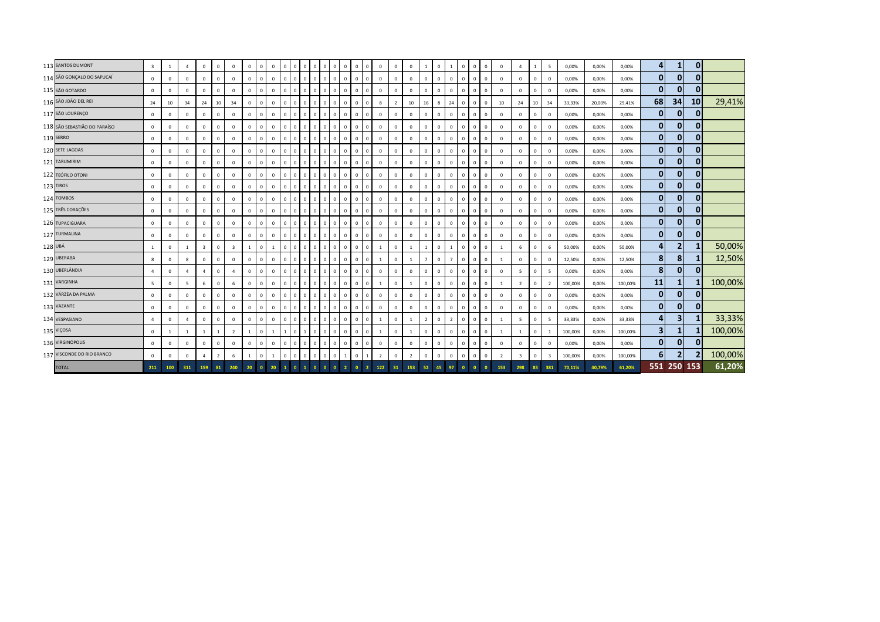| 113 SANTOS DUMONT            | $\overline{\mathbf{3}}$ | 1                | $\overline{4}$ | $\mathbf{0}$            | $\mathbf{0}$   | $\mathbf{0}$            | $\Omega$     | $\circ$      | $\overline{0}$ | $^{\circ}$   | $\mathbf{0}$<br>$\mathbf{0}$ | $^{\circ}$   | 0 <sub>0</sub>                           |                | $\mathbf 0$<br>$\overline{0}$  | $\mathbf{0}$                 | $\mathbf 0$    | $\mathbf{0}$   | $\mathbf{0}$   | 1              | $\mathbf{0}$   | $\overline{1}$ | $\mathbf{0}$ | $\circ$<br>$\overline{0}$          | $\Omega$       | $\overline{a}$ | 1            | 5                        | 0,00%   | 0,00%  | 0,00%   | 4            | 1            | $\mathbf 0$  |         |
|------------------------------|-------------------------|------------------|----------------|-------------------------|----------------|-------------------------|--------------|--------------|----------------|--------------|------------------------------|--------------|------------------------------------------|----------------|--------------------------------|------------------------------|----------------|----------------|----------------|----------------|----------------|----------------|--------------|------------------------------------|----------------|----------------|--------------|--------------------------|---------|--------|---------|--------------|--------------|--------------|---------|
| 114 SÃO GONÇALO DO SAPUCAÍ   | $\mathbf{0}$            | $\Omega$         | $\Omega$       | $\mathbf 0$             | $\mathbf{0}$   | $\circ$                 | $\Omega$     | $\Omega$     | $\mathbf{0}$   | $\Omega$     | $\mathbf{0}$<br>0            | $\mathbf 0$  | $\mathbf{0}$<br>$\overline{\phantom{0}}$ |                | 0<br>$\mathbf{0}$              | $\mathbf{0}$                 | $\mathsf 0$    | $\mathbf{0}$   | $\circ$        | $\Omega$       | $\mathbf 0$    | $\Omega$       | $\mathbf{0}$ | $\mathbf{0}$<br>$\overline{0}$     | $\Omega$       | $\Omega$       | $\circ$      | $\Omega$                 | 0,00%   | 0,00%  | 0,00%   | $\bf{0}$     | $\bf{0}$     | $\mathbf{0}$ |         |
| 115 SÃO GOTARDO              | $\mathbf{0}$            | $\mathbf 0$      | $\mathbf 0$    | $\mathbf{0}$            | $\mathbf{0}$   | $\mathbf 0$             | $\Omega$     | $\mathbf{0}$ | $\mathbf{0}$   | $\mathbf{0}$ | $\circ$<br>$\mathbf{0}$      | $\mathbf{0}$ | $0$ 0                                    |                | $\overline{0}$                 | $\mathbf{0}$<br>$\mathbf{0}$ | $\circ$        | $\mathbf{0}$   | $\mathbf{0}$   | $\mathbf{0}$   | $\mathbf{0}$   | $\mathbf{0}$   | $\mathbf{0}$ | $\mathbf{0}$<br>$\overline{0}$     | $\Omega$       | $\Omega$       | $\mathbf 0$  | $\Omega$                 | 0,00%   | 0,00%  | 0,00%   | 0            | 0            | $\bf{0}$     |         |
| 116 SÃO JOÃO DEL REI         | 24                      | 10 <sup>10</sup> | 34             | 24                      | 10             | 34                      | $\Omega$     | $\mathbf{0}$ | $\mathbf{0}$   | $\mathbf{0}$ | $\mathbf{0}$<br>$\mathbf{0}$ | $\mathbf{0}$ | $\overline{0}$                           | $\overline{0}$ | $\mathbf{0}$<br>$\overline{0}$ | $\mathbf{0}$                 | 8              | $\overline{2}$ | 10             | 16             | 8              | 24             | $\mathbf{0}$ | $\mathsf 0$<br>$\overline{0}$      | 10             | 24             | 10           | 34                       | 33,33%  | 20,00% | 29,41%  | 68           | 34           | 10           | 29,41%  |
| 117 SÃO LOURENÇO             | $\mathbf 0$             | $\mathbf 0$      | $\overline{0}$ | $\mathbf 0$             | $^{\circ}$     | $\mathbf 0$             | $\Omega$     | $\mathbf{0}$ | $\Omega$       |              | $\mathbf 0$<br>$\Omega$      | $\mathbf{0}$ | $\circ$<br>l o                           |                | $\overline{0}$<br>$\Omega$     | $\mathbf{0}$                 | $\mathsf 0$    | $\mathbf 0$    | $\mathbf 0$    | $\mathbf{0}$   | $\mathbf 0$    | $\Omega$       | $^{\circ}$   | $\mathbf{0}$<br>$\mathbf 0$        | $\Omega$       | $\Omega$       | $\mathbf 0$  | $\Omega$                 | 0,00%   | 0,00%  | 0,00%   | $\mathbf{0}$ | $\mathbf 0$  | $\bf{0}$     |         |
| 118 SÃO SEBASTIÃO DO PARAÍSO | $\mathbf{0}$            | $\mathbf{0}$     | $\mathbf 0$    | $\mathbf{0}$            | $\mathbf{0}$   | $\mathbf 0$             | $\Omega$     | $\Omega$     | $\Omega$       |              | $\mathbf{0}$<br>$\Omega$     | $\mathbf{0}$ | $\mathbf{0}$                             | $\overline{0}$ | $\mathbf{0}$<br>$\Omega$       | $\mathbf{0}$                 | $\mathbf 0$    | $\mathbf{0}$   | $\mathbf 0$    | $\Omega$       | $\overline{0}$ | $\mathbf 0$    | $\Omega$     | $\mathbf{0}$<br>$\overline{0}$     | $\Omega$       | $\Omega$       | $\mathbf{0}$ | 0                        | 0,00%   | 0,00%  | 0,00%   | $\mathbf{0}$ | $\mathbf{0}$ | $\mathbf 0$  |         |
| <b>119 SERRO</b>             | $\mathsf 0$             | $\mathbf 0$      | $\mathbf{0}$   | $\mathbf{0}$            | $\mathbf{0}$   | $\circ$                 | $\Omega$     | $\Omega$     | $\Omega$       | $\Omega$     | $\mathbf{0}$<br>$\mathbf{0}$ | $\mathbf 0$  | $\circ$                                  | $\overline{0}$ | $\mathbf{0}$<br>$\overline{0}$ | $\mathbf{0}$                 | $\mathbf 0$    | $\mathbf{0}$   | $\mathbf{0}$   | $\mathbf{0}$   | $\mathbf 0$    | $\Omega$       | $\mathbf{0}$ | $\mathsf 0$<br>$\overline{0}$      | $\Omega$       | $\Omega$       | $\mathbf 0$  | $\Omega$                 | 0,00%   | 0,00%  | 0,00%   | $\mathbf{0}$ | $\mathbf 0$  | $\mathbf 0$  |         |
| 120 SETE LAGOAS              | $\mathsf 0$             | $\mathbf 0$      | $\mathbf 0$    | $\circ$                 | $^{\circ}$     | $\mathbf 0$             | $\Omega$     | $\Omega$     | $\Omega$       | $\mathbf{0}$ | $\mathbf{0}$<br>$\mathbf 0$  | $\mathbf 0$  | $\mathbf{0}$                             | $\overline{0}$ | $\Omega$<br>$\overline{0}$     | $\mathbf{0}$                 | $\mathbf 0$    | $\mathbf{0}$   | $\mathbf{0}$   | $\mathbf{0}$   | $\mathbf 0$    | $\Omega$       | $^{\circ}$   | $\mathsf 0$<br>$\mathbf 0$         | $\Omega$       | $\mathbf{0}$   | $\mathbf 0$  | $\Omega$                 | 0,00%   | 0,00%  | 0,00%   | $\mathbf 0$  | $\mathbf{0}$ | $\bf{0}$     |         |
| 121 TARUMIRIM                | $\mathsf 0$             | $\mathbf 0$      | $\mathbf 0$    | $\mathbf 0$             | $\mathbf{0}$   | $\mathbf 0$             | $\Omega$     | $\mathbf{0}$ | $\Omega$       |              | $\mathbf{0}$<br>$\mathbf 0$  | $\mathbf 0$  | $\mathbf 0$                              | $\overline{0}$ | $\Omega$<br>$\mathbf{0}$       | $\Omega$                     | $\mathbf 0$    | $\mathbf{0}$   | $\circ$        | $\mathbf{0}$   | $\mathbf 0$    | $\Omega$       | $\circ$      | $\mathbf{0}$<br>$\mathbf 0$        | $\Omega$       | $\Omega$       | $\mathbf 0$  | $\Omega$                 | 0,00%   | 0,00%  | 0,00%   | $\mathbf 0$  | 0            | $\bf{0}$     |         |
| 122 TEÓFILO OTONI            | $\mathbf{0}$            | $\mathbf 0$      | $\mathbf 0$    | $\mathbf 0$             | $\mathbf{0}$   | $\mathbf 0$             | $\Omega$     | $\Omega$     | $\mathbf 0$    | $\Omega$     | $\circ$<br>0                 | $\mathbf 0$  | $0$ 0                                    |                | $\circ$<br>$\mathbf{0}$        | $\mathbf 0$                  | $\mathbf 0$    | $\mathbf 0$    | $\mathbf 0$    | $\mathbf{0}$   | $\mathbf 0$    | $\Omega$       | $\mathbf{0}$ | $\mathbf 0$<br>$\overline{0}$      | $\Omega$       | $\Omega$       | $\circ$      | $\Omega$                 | 0,00%   | 0,00%  | 0,00%   | $\mathbf{0}$ | 0            | $\mathbf 0$  |         |
| 123 TIROS                    | $\mathbf{0}$            | $\mathbf 0$      | $\mathbf 0$    | $\mathbf 0$             | $\mathbf{0}$   | $\mathbf 0$             | $\Omega$     | $\mathbf{0}$ | $\mathbf{0}$   | $\mathbf{0}$ | $\mathbf{0}$<br>0            | $\circ$      | $0$ 0                                    |                | $\overline{0}$<br>0            | $\mathbf 0$                  | $\mathbf{0}$   | $\mathbf{0}$   | $\mathbf{0}$   | $\mathbf{0}$   | $\mathbf{0}$   | $\Omega$       | $\mathbf{0}$ | $\mathsf 0$<br>$\mathbf 0$         | $\Omega$       | $\mathbf{0}$   | $\mathbf 0$  | $\Omega$                 | 0,00%   | 0,00%  | 0,00%   | $\mathbf{0}$ | $\mathbf 0$  | $\bf{0}$     |         |
| 124 TOMBOS                   | $\mathbf{0}$            | $\mathbf 0$      | $\overline{0}$ | $\mathbf 0$             | $\mathbf{0}$   | $\mathbb O$             | $\Omega$     | $\mathbf{0}$ | $\mathbf{0}$   | $\Omega$     | $\mathbf{0}$<br>$\mathbf{0}$ | $\mathbf{0}$ | 0 <sub>0</sub>                           |                | $\mathbf 0$<br>$\overline{0}$  | $\mathbf{0}$                 | $\mathbf 0$    | $\mathbf{0}$   | $\mathbf{0}$   | $\mathbf{0}$   | $\mathbf 0$    | $\mathbf 0$    | $\mathbf{0}$ | $\mathbf{0}$<br>$\overline{0}$     | $\Omega$       | $\Omega$       | $\mathbf 0$  | $\Omega$                 | 0,00%   | 0,00%  | 0,00%   | $\mathbf{0}$ | 0            | $\mathbf{0}$ |         |
| 125 TRÊS CORAÇÕES            | $\mathbf 0$             | $\mathbf 0$      | $^{\circ}$     | $\mathbf 0$             | $^{\circ}$     | $\mathbb O$             | $\Omega$     | $\Omega$     | $\Omega$       |              | $\Omega$<br>$\Omega$         | $\mathbf{0}$ | $\mathbf{0}$                             | $\overline{0}$ | $\Omega$<br>$\Omega$           | $\mathbf{0}$                 | $\mathbf 0$    | $\mathbf{0}$   | $\Omega$       | $\Omega$       | $\mathbf 0$    | $\Omega$       | $\Omega$     | $\mathbf{0}$<br>$\overline{0}$     | $\Omega$       | $\Omega$       | $\circ$      | $\Omega$                 | 0,00%   | 0,00%  | 0,00%   | $\mathbf{0}$ | $\mathbf{0}$ | $\mathbf 0$  |         |
| 126 TUPACIGUARA              | $\mathbf{0}$            | $\mathbf{0}$     | $\mathbf{0}$   | $\mathbf{0}$            | $\mathbf{0}$   | $\mathbb O$             |              | $\mathbf{0}$ | $\mathbf{0}$   | $\Omega$     | $\mathbf{0}$<br>$\mathbf{0}$ | $\circ$      | $\overline{0}$                           | $\overline{0}$ | $\mathbf{0}$<br>$\overline{0}$ | $\mathbf{0}$                 | $\mathbf 0$    | $\Omega$       | $\mathbf{0}$   | $\mathbf{0}$   | $\overline{0}$ | $\mathbf 0$    | $\mathbf{0}$ | $\mathbf{0}$<br>$\overline{0}$     | $\Omega$       | $\Omega$       | $\mathbf{0}$ | 0                        | 0,00%   | 0,00%  | 0,00%   | $\mathbf{0}$ | 0            | $\mathbf 0$  |         |
| 127 TURMALINA                | $\mathbf{0}$            | $\mathbf{0}$     | $\mathbf{0}$   | $\mathbf{0}$            | $\mathbf{0}$   | $\mathbf{0}$            | $\Omega$     | $\Omega$     | $\mathbf{0}$   | $\mathbf{0}$ | $\mathbf{0}$<br>$\mathbf{0}$ | $\mathbf{0}$ | $\mathbf{0}$                             | $\overline{0}$ | $\overline{0}$<br>$\mathbf{0}$ | $\mathbf{0}$                 | $\mathbf{0}$   | $\mathbf{0}$   | $\mathbf{0}$   | $\mathbf{0}$   | $\mathbf{0}$   | $\mathbf 0$    | $\mathbf{0}$ | $\circ$<br>$\overline{0}$          | $\Omega$       | $\mathbf{0}$   | $\mathbf{0}$ | $\overline{0}$           | 0,00%   | 0,00%  | 0,00%   | $\mathbf{0}$ | $\mathbf 0$  | $\mathbf 0$  |         |
| 128 UBÁ                      | $\mathbf{1}$            | $\mathbf 0$      | <sup>1</sup>   | $\overline{\mathbf{3}}$ | $\mathbf{0}$   | $\overline{\mathbf{3}}$ |              | $\mathbf{0}$ | $\mathbf{1}$   |              | $\mathbf{0}$<br>$\mathbf 0$  | $^{\circ}$   | $\mathbf 0$                              | $\overline{0}$ | $\mathbf 0$<br>$\mathbf{0}$    | $\mathbf{0}$                 |                | $\mathbf 0$    | $\mathbf{1}$   |                | $\mathbf 0$    | $\overline{1}$ | $^{\circ}$   | $\mathbf{0}$<br>$\overline{0}$     | $\mathbf{1}$   | 6              | $\mathbf 0$  | 6                        | 50,00%  | 0,00%  | 50,00%  | 4            | 2            |              | 50,00%  |
| 129 UBERABA                  | 8                       | $\mathbf 0$      | 8              | $\mathbf{0}$            | $\mathbf{0}$   | $\mathbb O$             | $\Omega$     | $\Omega$     | $\mathbf{0}$   | $\Omega$     | $\mathbf{0}$<br>$\mathbf{0}$ | $\mathbf{0}$ | $01$ 0                                   |                | $\mathbf{0}$<br>$\overline{0}$ | $\mathbf{0}$                 | $\mathbf{1}$   | $\mathbf{0}$   | $\mathbf{1}$   | $7^{\circ}$    | $\mathbf{0}$   | $\overline{7}$ | $\mathbf{0}$ | $\mathbf{0}$<br>$\overline{0}$     | $\overline{1}$ | $\Omega$       | $\mathbf 0$  | $\Omega$                 | 12,50%  | 0,00%  | 12,50%  | 8            | 8            |              | 12,50%  |
| 130 UBERLÂNDIA               | $\boldsymbol{\Lambda}$  | $\mathbf{0}$     | $\overline{a}$ | $\overline{4}$          | $\mathbf{0}$   | $\overline{4}$          | $\Omega$     | $\mathbf{0}$ | $\mathbf{0}$   | $\mathbf{0}$ | $\mathbf{0}$<br>$\mathbf{0}$ | $\mathbf{0}$ | 0 <sub>0</sub>                           |                | $\mathbf{0}$<br>$\overline{0}$ | $\mathbf{0}$                 | $\circ$        | $\mathbf{0}$   | $\mathbf{0}$   | $\mathbf{0}$   | $\mathbf{0}$   | $\mathbf 0$    | $\mathbf{0}$ | $\mathbf{0}$<br>$\overline{0}$     | $\Omega$       | 5              | $\mathbf{0}$ | 5                        | 0,00%   | 0,00%  | 0,00%   | 8            | $\mathbf 0$  | $\mathbf 0$  |         |
| 131 VARGINHA                 | 5                       | $\Omega$         | 5              | $6\phantom{.}$          | $\mathbf{0}$   | $6\phantom{1}$          | $\Omega$     | $\Omega$     | $\Omega$       | $\Omega$     | $\mathbf{0}$<br>$\mathbf{0}$ | $\circ$      | $0$ 0                                    |                | $\mathsf 0$<br>$\overline{0}$  | $\mathsf 0$                  | $\overline{1}$ | $\mathbf{0}$   | $\overline{1}$ | $\mathbf{0}$   | $\mathbf{0}$   | $\Omega$       | $^{\circ}$   | $\mathsf{O}\xspace$<br>$\mathbf 0$ | $\overline{1}$ | $\overline{2}$ | $\mathbf 0$  | $\overline{\phantom{0}}$ | 100,00% | 0,00%  | 100,00% | 11           | -1           |              | 100,00% |
| 132 VÁRZEA DA PALMA          | $\mathbf{0}$            | $\mathbf{0}$     | $\mathbf 0$    | $\mathbf 0$             | $\mathbf{0}$   | $\mathbf 0$             | $\Omega$     | $\Omega$     | $\Omega$       |              | $\Omega$<br>$\Omega$         | $\Omega$     | $\mathbf{0}$                             | $\overline{0}$ | $\mathbf{0}$<br>$\Omega$       | $\Omega$                     | $\mathbf 0$    | $\mathbf{0}$   | $\,0\,$        | $\Omega$       | $\mathbf 0$    | $\Omega$       | $\Omega$     | $\mathbf{0}$<br>$\overline{0}$     | $\Omega$       | $\Omega$       | $\mathbf 0$  | $\Omega$                 | 0,00%   | 0,00%  | 0,00%   | $\mathbf{0}$ | $\mathbf{0}$ | $\mathbf{0}$ |         |
| 133 VAZANTE                  | $\mathbf 0$             | $\mathbf 0$      | $^{\circ}$     | $\mathbf 0$             | $^{\circ}$     | $\mathbb O$             |              | $\Omega$     | $\Omega$       |              | $\mathbf{0}$<br>$\mathbf{0}$ | $\mathbf{0}$ | $\overline{0}$<br>$\overline{0}$         |                | $\mathbf{0}$<br>$\overline{0}$ | $\mathbf{0}$                 | 0              | $\Omega$       | $\Omega$       | $\Omega$       | $\mathbf 0$    | $\Omega$       | $\Omega$     | $\mathbf 0$<br>$\overline{0}$      | $\Omega$       | $\Omega$       | $\mathbf 0$  | $\Omega$                 | 0,00%   | 0,00%  | 0,00%   | $\mathbf{0}$ | $\mathbf 0$  | $\mathbf{0}$ |         |
| 134 VESPASIANO               | $\overline{a}$          | $\mathbf 0$      | $\overline{a}$ | $\mathbf{0}$            | $\mathbf{0}$   | $\mathbf 0$             | $\Omega$     | $\Omega$     | $\Omega$       | $\mathbf{0}$ | $\mathbf{0}$<br>$\mathbf 0$  | $\mathbf 0$  | $\mathbf{0}$                             | $\overline{0}$ | $\overline{0}$<br>$\mathbf{0}$ | $\Omega$                     | $\mathbf{1}$   | $\mathbf 0$    | $\overline{1}$ | $\overline{2}$ | $\mathbf 0$    | $\overline{z}$ | $\mathbf{0}$ | $\mathsf 0$<br>$\overline{0}$      | $\overline{1}$ | $5^{\circ}$    | $\mathbf 0$  | 5                        | 33,33%  | 0,00%  | 33,33%  | 4            | 3            |              | 33,33%  |
| 135 VIÇOSA                   | $\mathsf 0$             | 1                | <sup>1</sup>   | $\mathbf{1}$            | $\mathbf{1}$   | $\overline{2}$          |              | $\mathbf{0}$ |                |              | $\mathbf 0$                  | $\mathbf 0$  | $\mathbf 0$                              | $\overline{0}$ | $\mathbf{0}$<br>$\mathbf 0$    | $\mathbf{0}$                 | 1              | $\mathbf 0$    | -1             | $\mathbf{0}$   | $\mathbf 0$    | $\mathbf 0$    | $\mathbf{0}$ | $\mathsf 0$<br>$\mathbf 0$         |                | 1              | $\mathbf 0$  |                          | 100,00% | 0,00%  | 100,00% | 3            |              |              | 100,00% |
| 136 VIRGINÓPOLIS             | $^{\circ}$              | $\Omega$         | $\Omega$       | $\mathbf 0$             | $\Omega$       | $\mathbb O$             | $\Omega$     | $\Omega$     | $\Omega$       |              | $\mathbf{0}$<br>$\mathbf{0}$ | $\mathbf{0}$ | $\overline{0}$                           | $\overline{0}$ | $\mathbf{0}$<br>$\mathbf{0}$   | $\mathbf{0}$                 | $\mathbf 0$    | $\mathbf{0}$   | $\circ$        | $\Omega$       | $\mathbf 0$    | $\Omega$       | $^{\circ}$   | $\mathbf{0}$<br>$\overline{0}$     | $\Omega$       | $\Omega$       | $\mathbf 0$  | $\Omega$                 | 0,00%   | 0,00%  | 0,00%   | $\bf{0}$     | $\mathbf 0$  |              |         |
| 137 VISCONDE DO RIO BRANCO   | $\mathbf{0}$            | $\Omega$         | $\mathbf 0$    | $\overline{a}$          | $\overline{2}$ | $\sqrt{6}$              | $\mathbf{1}$ | $\mathbf{0}$ | $\overline{1}$ | $\Omega$     | 0<br>$\Omega$                | $\mathbf 0$  | $\mathbf 0$                              | $\overline{0}$ | $\mathbf 0$<br>$\mathbf{1}$    | $\overline{1}$               | $\overline{2}$ | $\Omega$       | $\overline{2}$ | $\mathbf{0}$   | $\mathbf 0$    | $\mathbf 0$    | $\circ$      | $\mathsf 0$<br>$\overline{0}$      | $\overline{2}$ | $\overline{3}$ | $\mathbf 0$  | $\overline{3}$           | 100,00% | 0,00%  | 100,00% | 6            | 2            |              | 100,00% |
| <b>TOTAL</b>                 | 211                     | 100              | 311            | 159                     | 81             | 240                     | 20           | $\bullet$    | 20             |              | $\bullet$                    | $\Omega$     |                                          | $\overline{2}$ | $\mathbf{0}$                   | $\overline{2}$               | 122            | 31             | 153            | 52             | 45             | 97             | $\bullet$    | $\mathbf{0}$<br>$\overline{0}$     | 153            | 298            | 83           | 381                      | 70,11%  | 40,79% | 61,20%  |              | 551 250 153  |              | 61,20%  |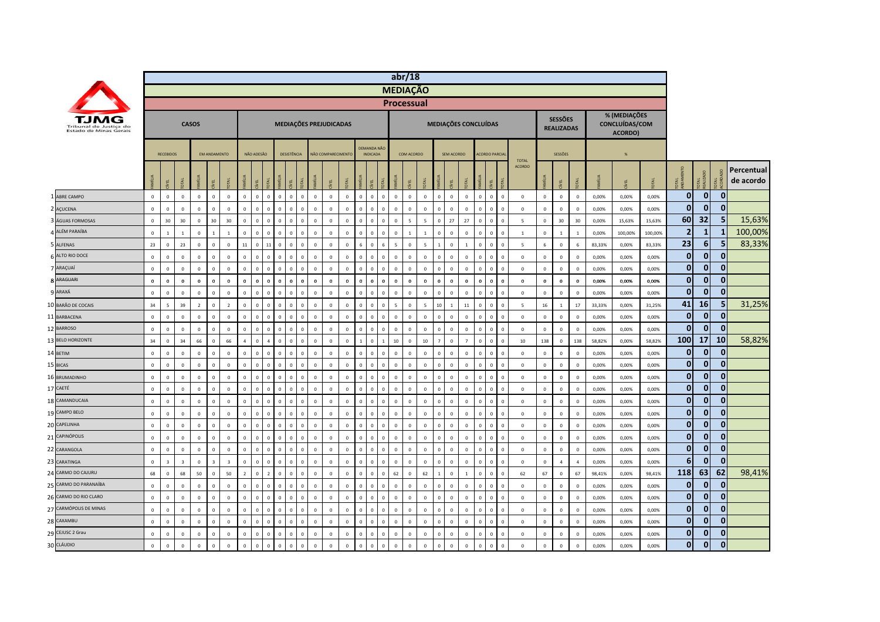|                                                  |              |                         |                         |                |                     |                         |                |                |                             |              |              |             |                         |                  |                |                                       |                             | abr/18                       |                |                  |                |                      |              |                                         |                               |                |                                     |                |        |                                           |         |                  |                 |              |                         |
|--------------------------------------------------|--------------|-------------------------|-------------------------|----------------|---------------------|-------------------------|----------------|----------------|-----------------------------|--------------|--------------|-------------|-------------------------|------------------|----------------|---------------------------------------|-----------------------------|------------------------------|----------------|------------------|----------------|----------------------|--------------|-----------------------------------------|-------------------------------|----------------|-------------------------------------|----------------|--------|-------------------------------------------|---------|------------------|-----------------|--------------|-------------------------|
|                                                  |              |                         |                         |                |                     |                         |                |                |                             |              |              |             |                         |                  |                |                                       |                             | <b>MEDIAÇÃO</b>              |                |                  |                |                      |              |                                         |                               |                |                                     |                |        |                                           |         |                  |                 |              |                         |
|                                                  |              |                         |                         |                |                     |                         |                |                |                             |              |              |             |                         |                  |                |                                       |                             | <b>Processual</b>            |                |                  |                |                      |              |                                         |                               |                |                                     |                |        |                                           |         |                  |                 |              |                         |
| Tribunal de Justica do<br>Estado de Minas Gerais |              |                         |                         | <b>CASOS</b>   |                     |                         |                |                |                             |              |              |             | MEDIAÇÕES PREJUDICADAS  |                  |                |                                       |                             |                              |                |                  |                | MEDIAÇÕES CONCLUÍDAS |              |                                         |                               |                | <b>SESSÕES</b><br><b>REALIZADAS</b> |                |        | % (MEDIAÇÕES<br>CONCLUÍDAS/COM<br>ACORDO) |         |                  |                 |              |                         |
|                                                  |              | <b>RECEBIDOS</b>        |                         |                | <b>FM ANDAMENTO</b> |                         |                | NÃO ADESÃO     |                             | DESISTÊNCIA  |              |             | NÃO COMPARECIMENTO      |                  |                | <b>DEMANDA NÃO</b><br><b>INDICADA</b> |                             | COM ACORDO                   |                |                  | SEM ACORDO     |                      |              | <b>ACORDO PARCIA</b>                    |                               |                | SESSÕES                             |                |        | %                                         |         |                  |                 |              |                         |
|                                                  |              | ğ                       | <b>E</b>                |                | 린                   | Ĕ                       | <b>MEV</b>     | EL             | ITAL                        |              |              |             |                         |                  | MÍN            | 린                                     | <b>E</b>                    | 린                            |                |                  | EL             |                      |              | Í                                       | <b>TOTAL</b><br><b>ACORDO</b> |                | E                                   | <b>R</b>       | MÍI IA |                                           |         | 菱                | <b>JTAL</b>     | JКI          | Percentual<br>de acordo |
| 1 ABRE CAMPO                                     | $\mathbf{0}$ | $\overline{0}$          | $\mathbf 0$             | $\mathbf{0}$   | $\mathbf{0}$        | $\overline{0}$          | $\mathbf{0}$   | $\mathbf{0}$   | $\mathbf{0}$<br>$\circ$     | $\mathbf{0}$ | $\mathbf{0}$ | $\Omega$    | $\mathbf{0}$            | $\mathbf{0}$     | $\mathbf{0}$   | $\mathbf{0}$                          | $\mathbf{0}$                | $\circ$<br>$\mathbf{0}$      | $\mathbb O$    | $\Omega$         | $\mathbf{0}$   | $\mathbf 0$          | $\mathbf{0}$ | $\overline{\mathbf{0}}$<br>$\mathbf{0}$ | $\mathbf 0$                   | $\mathbf{0}$   | $\mathbf 0$                         | $\mathbf{0}$   | 0,00%  | 0,00%                                     | 0,00%   | $\mathbf{0}$     | $\overline{0}$  | $\mathbf{0}$ |                         |
| 2 AÇUCENA                                        | $\mathsf 0$  | $\mathsf 0$             | $\mathsf 0$             | $\mathbb O$    | $\mathbb O$         | $\mathbf 0$             | $\Omega$       | $\mathbf 0$    | $\Omega$<br>$\Omega$        | $\mathbf{0}$ | $\mathbf 0$  | $\mathbf 0$ | $\mathbf 0$             | $\mathbb O$      | $\mathbf 0$    | $\mathbf 0$                           | $\Omega$                    | $\mathbf 0$<br>$\Omega$      | $\mathbb O$    | $\Omega$         | $\mathbb O$    | $\mathbf 0$          | $\mathbf 0$  | $\overline{\mathbf{0}}$<br>$\mathsf 0$  | $\mathbf 0$                   | $\mathbf 0$    | $\mathbb O$                         | $\mathbf 0$    | 0,00%  | 0,00%                                     | 0,00%   | $\mathbf{0}$     | $\mathbf{0}$    | $\mathbf{0}$ |                         |
| ÁGUAS FORMOSAS                                   | $\mathbf 0$  | 30                      | 30                      | $\mathbb O$    | 30                  | 30                      | $\mathbf 0$    | $\mathbb O$    | $\Omega$<br>$\Omega$        | $\Omega$     | $\mathbf 0$  | $\Omega$    | $\mathbf 0$             | $\mathbb O$      | $\overline{0}$ | $\mathbf 0$                           | $\Omega$                    | $\mathbf 0$<br>-5            | $\overline{5}$ |                  | 27             | 27                   | $\mathbf 0$  | $\overline{0}$<br>$\Omega$              | $\overline{5}$                | $\mathsf 0$    | 30                                  | 30             | 0,00%  | 15,63%                                    | 15,63%  | 60               | 32              | 5            | 15,63%                  |
| ALÉM PARAÍBA                                     | $\mathbf 0$  | 1                       | $\mathbf{1}$            | $\mathbb O$    | $\overline{1}$      | $\overline{1}$          | $\Omega$       | $\overline{0}$ | $\Omega$<br>$\Omega$        | $\Omega$     | $\mathbf 0$  | $\Omega$    | $\overline{0}$          | $\mathbb O$      | $\Omega$       | $\mathbf 0$                           | $\mathbf 0$<br>$\Omega$     | $\mathbf{1}$                 | $\mathbf{1}$   | $\Omega$         | $\mathbb O$    | $\mathbf 0$          | $\mathbf{0}$ | $\,$ 0<br>$\Omega$                      | 1                             | $\,$ 0         | $\mathbf{1}$                        | $\mathbf{1}$   | 0,00%  | 100,00%                                   | 100,00% | $\overline{2}$   | $\mathbf{1}$    | $\mathbf{1}$ | 100,00%                 |
| 5 ALFENAS                                        | 23           | $\mathsf 0$             | 23                      | $\mathbb O$    | $\mathbb O$         | $\mathbf 0$             | $11\,$         | $\mathbf 0$    | $11\,$<br>$\mathbf 0$       | $\mathbf{0}$ | $\mathbf 0$  | $\mathbf 0$ | $\mathbf 0$             | $\mathbb O$      | $6\phantom{1}$ | $\mathbf{0}$                          | 6                           | $\overline{5}$<br>$\circ$    | $\overline{5}$ |                  | $\mathbf 0$    | $\mathbf{1}$         | $\mathbf 0$  | $\,$ 0<br>$\mathsf 0$                   | $\overline{5}$                | 6              | $\mathbf 0$                         | 6              | 83,33% | 0,00%                                     | 83,33%  | 23               | $6\phantom{1}6$ | 5            | 83,33%                  |
| 6 ALTO RIO DOCE                                  | $\mathbf 0$  | $\,$ 0                  | $\,0\,$                 | $\mathbf 0$    | $\mathbb O$         | $\mathbf 0$             | $\Omega$       | $\mathbf 0$    | $\circ$<br>$\Omega$         | $\mathbf{0}$ | $\mathbf 0$  | $\mathbf 0$ | $\overline{0}$          | $\mathbb O$      | $\mathbf 0$    | $\mathbf 0$                           | $\mathbf 0$<br>$\mathbf{0}$ | $\Omega$                     | $\mathbf 0$    | $\Omega$         | $\mathbb O$    | $\mathbf 0$          | $\mathbf 0$  | $\,$ 0<br>$\Omega$                      | $\,0\,$                       | $\,$ 0         | $\,0\,$                             | $\Omega$       | 0,00%  | 0,00%                                     | 0,00%   | $\mathbf{0}$     | $\mathbf{0}$    | $\mathbf{0}$ |                         |
| 7 ARAÇUAÍ                                        | $\mathbf 0$  | $\mathbf{0}$            | $\mathsf 0$             | $\mathbb O$    | $\mathbb O$         | $\overline{0}$          | $\mathbf 0$    | $\mathbb O$    | $\Omega$<br>$\mathbf 0$     | $\Omega$     | $\mathbf 0$  | $\Omega$    | $\overline{0}$          | $\mathbb O$      | $\mathbf 0$    | $\mathbf 0$                           | $\Omega$                    | $\mathbf 0$<br>$\Omega$      | $\mathbb O$    |                  | $\Omega$       | $\mathbf 0$          | $\mathbf 0$  | $\overline{0}$<br>$\Omega$              | $\mathbf 0$                   | $\overline{0}$ | $\mathbf 0$                         | $\mathbf 0$    | 0,00%  | 0,00%                                     | 0,00%   | $\overline{0}$   | $\mathbf{0}$    | $\mathbf{0}$ |                         |
| <b>8 ARAGUARI</b>                                | $\bf{0}$     | $\mathbf 0$             | $\mathbf 0$             | $\mathbf 0$    | $\mathbf 0$         | $\bf{0}$                | $\Omega$       | $\mathbf 0$    | $\Omega$<br>$\Omega$        | $\Omega$     | $\bf{0}$     | $\Omega$    | $\overline{0}$          | $\boldsymbol{0}$ | $\Omega$       | $\bf{0}$                              | $\mathbf 0$<br>$\Omega$     | $\bf{0}$                     | $\mathbf 0$    | $\mathbf{0}$     | $\bf{0}$       | $\mathbf 0$          | $\mathbf 0$  | $\mathbf 0$<br>$\Omega$                 | $\mathbf 0$                   | $\mathbf 0$    | $\mathbf 0$                         | $\bf{0}$       | 0,00%  | 0,00%                                     | 0,00%   | $\overline{0}$   | $\mathbf{0}$    | $\mathbf{0}$ |                         |
| g ARAXÁ                                          | $\mathbf{0}$ | $\mathbf 0$             | $\mathbf 0$             | $\mathbb O$    | $\mathbb O$         | $\overline{0}$          | $\Omega$       | $\mathbf 0$    | $\Omega$<br>$\Omega$        | $\Omega$     | $\mathbf 0$  | $\Omega$    | $\overline{0}$          | $\mathbb O$      | $\mathbf 0$    | $\mathbf 0$                           | $\Omega$                    | $\Omega$<br>$\Omega$         | $\mathbf 0$    | $\Omega$         | $\overline{0}$ | $\mathbf 0$          | $\mathbf{0}$ | $\overline{\mathbf{0}}$<br>$\Omega$     | $\mathbf 0$                   | $\,$ 0         | $\mathbb O$                         | $\mathbf 0$    | 0,00%  | 0,00%                                     | 0,00%   | $\mathbf{0}$     | $\mathbf{0}$    | $\bf{0}$     |                         |
| 10 BARÃO DE COCAIS                               | 34           | $\overline{5}$          | 39                      | $\overline{2}$ | $\mathbf 0$         | $\overline{2}$          | $\Omega$       | $\mathbf 0$    | $\mathbf 0$<br>$\Omega$     | $\Omega$     | $\mathbf 0$  | $\mathbf 0$ | $\mathbf 0$             | $\mathbb O$      | $\mathbf 0$    | $\mathbf 0$                           | $\Omega$                    | $\overline{5}$<br>$^{\circ}$ | $\overline{5}$ | 10 <sub>10</sub> | $\overline{1}$ | $11\,$               | $\mathbf 0$  | $\,$ 0<br>$\overline{0}$                | $\overline{5}$                | ${\bf 16}$     | $\,$ 1 $\,$                         | $17\,$         | 33,33% | 0,00%                                     | 31,25%  | 41               | 16              | 5            | 31,25%                  |
| 11 BARBACENA                                     | $\mathbf 0$  | $\,$ 0                  | $\mathsf 0$             | $\mathbb O$    | $\mathbb O$         | $\mathbf 0$             | $\mathbf 0$    | $\mathbf 0$    | 0                           |              | $\mathbf 0$  | $\mathbf 0$ | $\mathbf 0$             | $\mathbb O$      | $\overline{0}$ | $\mathbf 0$                           |                             | $\mathbf 0$<br>$\mathbf 0$   | $\mathbf 0$    | $\Omega$         | $\overline{0}$ | $\mathbf 0$          | $\mathbf 0$  | $\mathbf 0$<br>$\mathbf 0$              | $\mathbf 0$                   | $\,$ 0         | $\mathbf 0$                         | $\mathbf 0$    | 0,00%  | 0,00%                                     | 0,00%   | $\mathbf{0}$     | $\mathbf{0}$    | $\mathbf{0}$ |                         |
| 12 BARROSO                                       | $\mathbf 0$  | $\mathsf 0$             | $\mathbf 0$             | $\mathbb O$    | $\mathbf 0$         | $\mathbf 0$             | $\Omega$       | $\mathbf 0$    | $\Omega$<br>$\Omega$        | $\Omega$     | $\Omega$     | $\Omega$    | $\overline{0}$          | $\mathbb O$      | $\Omega$       | $\mathbf{0}$                          | $\mathbf 0$<br>$\mathbf{0}$ | $\Omega$                     | $\mathbf 0$    | $\Omega$         | $\mathbf{0}$   | $\mathbf 0$          | $\mathbf 0$  | $\,$ 0<br>$\Omega$                      | $\mathbf 0$                   | $\,$ 0         | $\,0\,$                             | $\Omega$       | 0,00%  | 0,00%                                     | 0,00%   | $\mathbf{0}$     | $\mathbf{0}$    | $\mathbf{0}$ |                         |
| 13 BELO HORIZONTE                                | 34           | $\mathbf{0}$            | 34                      | 66             | $\mathbb O$         | 66                      |                | $\mathbb O$    | $\Omega$<br>$\overline{a}$  |              | $\mathbf 0$  | $\Omega$    | $\overline{0}$          | $\mathbf 0$      | $\overline{1}$ | $\mathbf 0$<br>$\overline{1}$         |                             | $10\,$<br>$\Omega$           | 10             |                  | $\mathbf 0$    | $\overline{7}$       | $\mathbf 0$  | $\overline{\mathbf{0}}$<br>$\Omega$     | 10                            | 138            | $\mathbf 0$                         | 138            | 58,82% | 0,00%                                     | 58,82%  | 100              | 17              | 10           | 58,82%                  |
| 14 BETIM                                         | $\mathbf 0$  | $\,0\,$                 | $\mathsf 0$             | $\mathbf 0$    | $\mathbf 0$         | $\overline{0}$          | $\Omega$       | $\overline{0}$ | $\Omega$<br>$\Omega$        | $\Omega$     | $\mathbf 0$  | $\Omega$    | $\mathbf{0}$            | $\mathbf 0$      | $\mathbf{0}$   | $\mathbf 0$                           | $\mathbf 0$<br>$\Omega$     | $\Omega$                     | $\mathbb O$    | $\Omega$         | $\Omega$       | $\mathbf 0$          | $\mathbf{0}$ | $\overline{\mathbf{0}}$<br>$\Omega$     | $\mathbf 0$                   | $\,0\,$        | $\mathbf 0$                         | $\Omega$       | 0,00%  | 0,00%                                     | 0,00%   | $\overline{0}$   | $\mathbf{0}$    | $\mathbf{0}$ |                         |
| 15 BICAS                                         | $\mathbf 0$  | $\,$ 0                  | $\mathbf 0$             | $\mathbb O$    | $\mathbb O$         | $\mathbf 0$             | $^{\circ}$     | $\mathbf 0$    | $\mathbf 0$<br>$\mathbf 0$  | $\mathbf{0}$ | $\mathbf 0$  | $\mathbf 0$ | $\overline{0}$          | $\mathbb O$      | $\mathbf 0$    | $\mathbf 0$                           | $\mathbf 0$<br>$\mathbf{0}$ | $\mathbf 0$                  | $\mathbb O$    |                  | $\overline{0}$ | $\mathbf 0$          | $\mathbf 0$  | $\overline{0}$<br>$\mathbf 0$           | $\mathbf 0$                   | $\,$ 0         | $\mathbf 0$                         | $\mathbf 0$    | 0,00%  | 0,00%                                     | 0,00%   | $\mathbf{0}$     | $\mathbf{0}$    | $\mathbf{0}$ |                         |
| 16 BRUMADINHO                                    | $\mathbf 0$  | $\mathsf 0$             | $\,0\,$                 | $\mathbb O$    | $\mathbf 0$         | $\mathbf 0$             | $\Omega$       | $\mathbf 0$    | $\Omega$<br>$\Omega$        | $\mathbf{0}$ | $\mathbf 0$  | $\Omega$    | $\mathbf 0$             | $\mathbf 0$      | $\mathbf{0}$   | $\mathbf{0}$                          | $\mathbf 0$<br>$\Omega$     | $\Omega$                     | $\mathbf 0$    | $\Omega$         | $\mathbf 0$    | $\mathbf 0$          | $\mathbf 0$  | $\,$ 0<br>$\Omega$                      | $\mathbf 0$                   | $\,$ 0         | $\,0\,$                             | $\Omega$       | 0,00%  | 0,00%                                     | 0,00%   | $\overline{0}$   | $\mathbf{0}$    | $\mathbf{0}$ |                         |
| 17 CAETÉ                                         | $\mathbf 0$  | $\mathbf 0$             | $\mathbf{0}$            | $\mathbf 0$    | $\mathbf 0$         | $\mathbf 0$             | $\mathbf 0$    | $\mathbf 0$    | $\mathbf 0$<br>$\mathbf 0$  | $\mathbf{0}$ | $\mathbf 0$  | $\mathbf 0$ | $\overline{0}$          | $\mathbb O$      | $\mathbf 0$    | $\mathbf 0$                           | $\mathbf{0}$                | $\mathbf 0$<br>$\mathbf 0$   | $\mathbb O$    | $\Omega$         | $\mathbb O$    | $\mathbf 0$          | $\mathbf 0$  | $\,$ 0<br>$\overline{0}$                | $\mathbf 0$                   | $\,$ 0         | $\,0\,$                             | $\mathbf 0$    | 0,00%  | 0,00%                                     | 0,00%   | $\bf{0}$         | $\mathbf{0}$    | $\mathbf{0}$ |                         |
| 18 CAMANDUCAIA                                   | $\mathbf{0}$ | $\,$ 0                  | $\mathbf 0$             | $\mathbf 0$    | $\mathbf 0$         | $\mathbf 0$             | $\Omega$       | $\overline{0}$ | $\Omega$<br>$\Omega$        | $\Omega$     | $\Omega$     | $\Omega$    | $\Omega$                | $\mathbf 0$      | $\Omega$       | $\Omega$                              | $\Omega$                    | $\Omega$<br>$\Omega$         | $\mathbf 0$    | $\Omega$         | $\Omega$       | $\mathbf 0$          | $\mathbf 0$  | $\overline{0}$<br>$\Omega$              | $\mathbf 0$                   | $\Omega$       | $\mathbf 0$                         | $\Omega$       | 0,00%  | 0,00%                                     | 0,00%   | $\mathbf{0}$     | $\bf{0}$        | $\mathbf{0}$ |                         |
| 19 CAMPO BELO                                    | $\mathbf 0$  | $\,0\,$                 | $\mathsf 0$             | $\mathbb O$    | $\mathbf 0$         | $\,$ 0                  | $\Omega$       | $\overline{0}$ | $\Omega$<br>n               | $\Omega$     | $\mathbf 0$  | $\Omega$    | $\overline{0}$          | $\mathbb O$      | $\mathbf 0$    | $\mathbf 0$                           | $\mathbf 0$<br>$\Omega$     | $\Omega$                     | $\mathbb O$    | $\Omega$         | $\mathbb O$    | $\mathbf 0$          | $\mathbb O$  | $\overline{0}$<br>$\Omega$              | $\mathbf 0$                   | $\,0\,$        | $\,0\,$                             | $\mathbf 0$    | 0,00%  | 0,00%                                     | 0,00%   | $\mathbf{0}$     | $\mathbf{0}$    | $\mathbf{0}$ |                         |
| 20 CAPELINHA                                     | $\mathbf{0}$ | $\overline{0}$          | $\mathbf 0$             | $\mathbf 0$    | $\overline{0}$      | $\overline{0}$          | $\Omega$       | $\overline{0}$ | $\Omega$<br>$\Omega$        | $\Omega$     | $\mathbf 0$  | $\Omega$    | $\mathbf 0$             | $\mathbb O$      | $\mathbf{0}$   | $\mathbf{0}$                          | $\mathbf 0$<br>$\Omega$     | $\Omega$                     | $\mathbb O$    | $\Omega$         | $\overline{0}$ | $\mathbf 0$          | $\mathbf{0}$ | $\overline{\mathbf{0}}$<br>$\Omega$     | $\mathbf 0$                   | $\,0\,$        | $\mathbf 0$                         | $\Omega$       | 0,00%  | 0,00%                                     | 0,00%   | $\overline{0}$   | $\mathbf{0}$    | $\mathbf{0}$ |                         |
| 21 CAPINÓPOLIS                                   | $\mathbf 0$  | $\mathsf 0$             | $\mathbf 0$             | $\mathbb O$    | $\mathbb O$         | $\mathbf 0$             | $^{\circ}$     | $\mathbf 0$    | $\mathbf{0}$<br>$\mathbf 0$ | $\mathbf{0}$ | $\mathbf{0}$ | $\mathbf 0$ | $\mathbf 0$             | $\mathbf 0$      | $\mathbf{0}$   | $\mathbf 0$                           | $\mathbf{0}$                | $\mathbb O$<br>$\mathbf 0$   | $\mathbf 0$    | $\Omega$         | $\mathbb O$    | $\mathbf 0$          | $\mathbf 0$  | $\,$ 0<br>$\mathbf 0$                   | $\mathbf 0$                   | $\,$ 0         | $\mathbb O$                         | $\mathbf 0$    | 0,00%  | 0,00%                                     | 0,00%   | $\mathbf{0}$     | $\overline{0}$  | $\mathbf{0}$ |                         |
| 22 CARANGOLA                                     | $\mathbf 0$  | $\mathsf 0$             | $\mathbf 0$             | $\mathbb O$    | $\mathbb O$         | $\mathbf 0$             | $\mathbf 0$    | $\mathbf 0$    | $\mathbf{0}$<br>$\mathbf 0$ | $\Omega$     | $\mathbf 0$  | $\mathbf 0$ | $\mathbf 0$             | $\mathbb O$      | $\mathbf 0$    | $\mathbf{0}$                          | $\overline{0}$              | $\mathbb O$<br>$\circ$       | $\mathbb O$    | $\Omega$         | $\overline{0}$ | $\mathbf 0$          | $\mathbf 0$  | $\overline{\mathbf{0}}$<br>$\mathbf 0$  | $\mathbf 0$                   | $\,0\,$        | $\mathbf 0$                         | $\mathbf 0$    | 0,00%  | 0,00%                                     | 0,00%   | $\mathbf{0}$     | $\mathbf{0}$    | $\mathbf{0}$ |                         |
| 23 CARATINGA                                     | $\mathbb O$  | $\overline{\mathbf{3}}$ | $\overline{\mathbf{3}}$ | $\mathbb O$    | $\overline{3}$      | $\overline{\mathbf{3}}$ | $\Omega$       | $\mathbf 0$    | $\Omega$<br>$\Omega$        | $\Omega$     | $\mathbf 0$  | $\Omega$    | $\mathbf 0$             | $\mathbb O$      | $\mathbf{0}$   | $\mathbf{0}$                          | $\Omega$                    | $\mathbf 0$<br>$\Omega$      | $\mathbb O$    | $\Omega$         | $\mathbf 0$    | $\mathbf 0$          | $\mathbf 0$  | $\overline{\mathbf{0}}$<br>$\mathbf{0}$ | $\mathbf 0$                   | $\,$ 0         | $\overline{4}$                      | $\overline{a}$ | 0,00%  | 0,00%                                     | 0,00%   | $6 \overline{6}$ | $\mathbf{0}$    | $\Omega$     |                         |
| CARMO DO CAJURU<br>-24                           | 68           | $\mathbf 0$             | 68                      | 50             | $\mathbf{0}$        | 50                      | $\overline{z}$ | $\overline{0}$ | $\overline{2}$<br>$\Omega$  | $\Omega$     | $\mathbf{0}$ | $\Omega$    | $\mathbf 0$             | $\mathbf 0$      | $\mathbf{0}$   | $\mathbf{0}$                          | $\Omega$                    | 62<br>$\mathbf{0}$           | 62             |                  | $\mathbf{0}$   | $\overline{1}$       | $\mathbf{0}$ | $\overline{0}$<br>$\Omega$              | 62                            | 67             | $\mathbf 0$                         | 67             | 98,41% | 0,00%                                     | 98,41%  | 118              | 63              | 62           | 98,41%                  |
| CARMO DO PARANAÍBA<br>25                         | $\mathbf 0$  | $\,0\,$                 | $\,0\,$                 | $\mathbb O$    | $\mathbf 0$         | $\overline{0}$          | $\mathbf 0$    | $\mathbf 0$    | $\mathbf 0$<br>$\mathbf 0$  | $\mathbf{0}$ | $\mathbf 0$  | $\mathbf 0$ | $\,0\,$                 | $\mathbb O$      | $\mathbf{0}$   | $\mathbf 0$                           | $\mathbf 0$<br>$\mathbf{0}$ | $\mathbf 0$                  | $\mathbb O$    | $\Omega$         | $\mathbf 0$    | $\mathbf 0$          | $\mathbf 0$  | $\,$ 0<br>$\Omega$                      | $\mathbf 0$                   | $\,$ 0         | $\,0\,$                             | $\mathbf 0$    | 0,00%  | 0,00%                                     | 0,00%   | $\mathbf{0}$     | $\mathbf{0}$    | $\bf{0}$     |                         |
| 26 CARMO DO RIO CLARO                            | $\mathbf 0$  | $\mathbf 0$             | $\mathsf 0$             | $\mathbb O$    | $\mathbb O$         | $\mathbb O$             | $\mathbf 0$    | $\mathbb O$    | $\Omega$<br>$\Omega$        | $\Omega$     | $\mathbf 0$  | $\Omega$    | $\mathbf 0$             | $\mathbf 0$      | $\overline{0}$ | $\mathbf 0$                           | $\Omega$                    | $\mathbf 0$<br>$\mathbf 0$   | $\mathbb O$    |                  | $\Omega$       | $\mathbf 0$          | $\mathbb O$  | $\overline{0}$<br>$\Omega$              | $\mathbf 0$                   | $\mathsf 0$    | $\mathbf 0$                         | $\mathbf 0$    | 0,00%  | 0,00%                                     | 0,00%   | $\mathbf{0}$     | $\mathbf{0}$    | $\mathbf{0}$ |                         |
| 27 CARMÓPOLIS DE MINAS                           | $\mathbf 0$  | $\,$ 0                  | $\mathbf 0$             | $\mathbf 0$    | $\mathbf 0$         | $\,$ 0                  | $\mathbf 0$    | $\mathbf 0$    | $\Omega$<br>$\Omega$        | $\Omega$     | $\mathbf 0$  | $\mathbf 0$ | $\overline{\mathbf{0}}$ | $\mathbf 0$      | $\mathbf 0$    | $\mathbf 0$                           | $\mathbf 0$<br>$\mathbf{0}$ | $\mathbf{0}$                 | $\mathbf 0$    | $\Omega$         | $\mathbf 0$    | $\mathbf 0$          | $\mathbf 0$  | $\,$ 0<br>$\mathsf 0$                   | $\,0\,$                       | $\,$ 0         | $\,0\,$                             | $\mathbf 0$    | 0,00%  | 0,00%                                     | 0,00%   | $\overline{0}$   | $\mathbf{0}$    | $\mathbf{0}$ |                         |
| 28 CAXAMBU                                       | $\mathbf 0$  | $\mathbf{0}$            | $\mathbf 0$             | $\mathbb O$    | $\mathbb O$         | $\mathbf 0$             | $\mathbf 0$    | $\mathbf 0$    | $\mathbf{0}$<br>$\mathbf 0$ | $\mathbf{0}$ | $\mathbf 0$  | $\mathbf 0$ | $\mathbf 0$             | $\mathbb O$      | $\mathbf 0$    | $\mathbf 0$                           | $\mathbf 0$<br>$\mathsf 0$  | $\circ$                      | $\mathbb O$    | $\Omega$         | $\mathbf 0$    | $\mathbf 0$          | $\mathbf 0$  | $\,$ 0<br>$\mathsf 0$                   | $\mathbf 0$                   | $\,$ 0         | $\mathbf 0$                         | $\mathbf 0$    | 0,00%  | 0,00%                                     | 0,00%   | $\mathbf{0}$     | $\mathbf{0}$    | $\mathbf{0}$ |                         |
| 29 CEJUSC 2 Grau                                 | $\mathbf 0$  | $\,0\,$                 | $\mathsf 0$             | $\mathbb O$    | $\mathbb O$         | $\overline{0}$          | $^{\circ}$     | $\mathbf 0$    | $\mathbf{0}$<br>$\mathbf 0$ | $\mathbf 0$  | $\circ$      | $\mathbf 0$ | $\mathbf 0$             | $\mathbb O$      | $\mathbf 0$    | $\mathbf 0$                           | $\,0\,$<br>$\mathbf 0$      | $^{\circ}$                   | $\mathbb O$    | $\Omega$         | $\mathbf 0$    | $\mathbf 0$          | $\mathbf 0$  | $\,$ 0<br>$\mathbf 0$                   | $\mathbf 0$                   | $\,$ 0         | $\mathbf 0$                         | $^{\circ}$     | 0,00%  | 0,00%                                     | 0,00%   | $\mathbf{0}$     | $\bf{0}$        | $\mathbf{0}$ |                         |
| 30 CLÁUDIO                                       | $\mathbf 0$  | $\,$ 0                  | $\mathbf 0$             | $\mathbb O$    | $\mathbb O$         | $\mathbf 0$             | $\mathsf 0$    | $\mathbf 0$    | $\mathbb O$<br>$\mathbf 0$  | $\mathbf{0}$ | $\mathbf 0$  | $\mathbf 0$ | $\mathbf 0$             | $\mathbb O$      | $\mathbf 0$    | $\mathbf{0}$                          | $\mathbf{0}$                | $\mathbf 0$<br>$\mathbf 0$   | $\mathbb O$    | $\mathbf{0}$     | $\overline{0}$ | $\mathbf 0$          | $\mathbf 0$  | $\overline{0}$<br>$\Omega$              | $\Omega$                      | $\overline{0}$ | $\mathbb O$                         | $\Omega$       | 0,00%  | 0,00%                                     | 0,00%   | $\overline{0}$   | $\mathbf{0}$    | $\mathbf{0}$ |                         |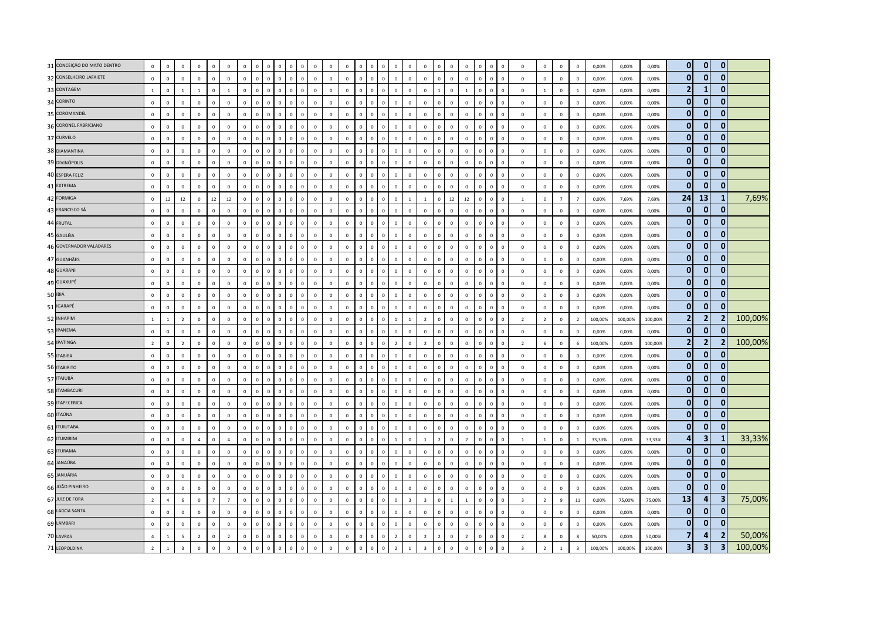| 31 CONCEIÇÃO DO MATO DENTRO | $\mathbf{0}$   | $\mathbf 0$    | $\mathbf 0$              | $\mathbf 0$    | $\Omega$       | $\mathbf 0$    | $\mathbf 0$    |              | $\mathbf 0$  | $\Omega$                   | $\mathbf 0$  | $\mathbf 0$  | $\overline{0}$ | $\mathbf 0$  | $\mathbf 0$  |                               | $\overline{0}$ | $\Omega$                | $\mathbf 0$              | $\Omega$       | $\overline{0}$ | $\mathbf 0$    |              | $\mathbf 0$<br>$\overline{0}$             | $\mathbf 0$             | $\mathbf 0$    | $\mathbf 0$    | $\mathbf 0$             | 0,00%   | 0,00%   | 0,00%   | $\mathbf{0}$   | $\mathbf 0$             | $\mathbf{0}$            |         |
|-----------------------------|----------------|----------------|--------------------------|----------------|----------------|----------------|----------------|--------------|--------------|----------------------------|--------------|--------------|----------------|--------------|--------------|-------------------------------|----------------|-------------------------|--------------------------|----------------|----------------|----------------|--------------|-------------------------------------------|-------------------------|----------------|----------------|-------------------------|---------|---------|---------|----------------|-------------------------|-------------------------|---------|
| 32 CONSELHEIRO LAFAIETE     | $\mathbf 0$    | $\mathbf 0$    | $\mathsf 0$              | $\mathbf 0$    | $\mathbf{0}$   | $\mathbb O$    | $\mathbf 0$    | $\circ$      | $\mathbf 0$  | $\mathbf 0$<br>$\mathbf 0$ | $\mathbf 0$  | $\mathbf 0$  | $\mathbf 0$    | $\mathbf 0$  | $\mathbf 0$  | $\overline{0}$<br>$\mathsf 0$ | $\mathbf 0$    | $\mathbf 0$             | $\mathbf 0$              | $\mathbb O$    | $\mathbf 0$    | $\mathbf 0$    | $\circ$      | $\mathbf 0$<br>$\overline{\mathbf{0}}$    | $\mathbf 0$             | $\mathbf 0$    | $\mathbf 0$    | $\mathbf 0$             | 0,00%   | 0,00%   | 0,00%   | $\mathbf{0}$   | $\mathbf{0}$            | $\mathbf{0}$            |         |
| 33 CONTAGEM                 | $\mathbf{1}$   | $\mathbf{0}$   | $\mathbf{1}$             | $\overline{1}$ | $\Omega$       | <sup>1</sup>   | $\mathbf 0$    | $\Omega$     | $\mathbf 0$  | $\,0\,$                    | $\mathbf 0$  | $\mathbf 0$  | $\mathbf 0$    | $\mathbb O$  | $\mathbf 0$  |                               | $\mathbf 0$    | $\Omega$                | $\mathbf 0$              |                | $\overline{0}$ | 1              |              | $\mathbf 0$<br>$\overline{0}$             | $\mathbf 0$             | $\overline{1}$ | $\mathbb O$    | 1                       | 0,00%   | 0,00%   | 0,00%   | 2              | 1                       | $\mathbf{0}$            |         |
| 34 CORINTO                  | $\mathbf 0$    | $\mathbf 0$    | $\mathsf 0$              | $\Omega$       | $\Omega$       | $\mathbf 0$    | $\mathbf{0}$   | $\Omega$     | $\mathbf{0}$ | $\overline{0}$<br>$\Omega$ | $\mathbf 0$  | $\mathbf 0$  | $\,0\,$        | $\mathbb O$  | $\mathbb O$  | $\Omega$<br>$\Omega$          | $\mathbf 0$    | $\Omega$                | $\mathbb O$              | $\Omega$       | $\overline{0}$ | $\mathbf 0$    | $\Omega$     | $\mathbf 0$<br>$\overline{\mathbf{0}}$    | $\circ$                 | $\Omega$       | $\circ$        | $\,0\,$                 | 0,00%   | 0,00%   | 0,00%   | $\mathbf{0}$   | $\mathbf 0$             | $\mathbf{0}$            |         |
| 35 COROMANDEL               | $\mathbf 0$    | $\mathsf 0$    | $\mathsf 0$              | $\mathbf 0$    | $\mathbf 0$    | $\mathbf 0$    | $\mathbf 0$    | $\mathbf{0}$ | $\mathbf 0$  | $\,$ 0<br>$\Omega$         | $\mathbf 0$  | $\mathbf 0$  | $\mathbf 0$    | $\mathbb O$  | $\mathbf 0$  | $\Omega$<br>$\Omega$          | $\mathbf 0$    | $\overline{0}$          | $\mathbf 0$              | $\mathbb O$    | $\mathbf 0$    | $\mathbf 0$    | $\Omega$     | $\mathbf 0$<br>$\overline{\mathbf{0}}$    | $\mathbb O$             | $\mathbf 0$    | $\mathbf 0$    | $\mathbf 0$             | 0,00%   | 0,00%   | 0,00%   | $\overline{0}$ | $\mathbf 0$             | $\mathbf 0$             |         |
| 36 CORONEL FABRICIANO       | $\mathbf 0$    | $\mathbf{0}$   | $\mathbf{0}$             | $\mathbf 0$    |                | $\mathbf 0$    | $\mathbf 0$    |              | $\mathbf 0$  | $\overline{0}$             | $\mathbf 0$  | $\mathbf 0$  | $\mathbf 0$    | $\mathbb O$  | $\mathbf 0$  | $\Omega$                      | $\mathbf 0$    | $\overline{0}$          | $\mathbf 0$              | $\overline{0}$ | $\mathbf 0$    | $\mathbf 0$    | $\Omega$     | $\mathbf 0$<br>$\mathbf 0$                | $\mathbf 0$             | $\mathbf 0$    | $\mathbb O$    | $\mathbf 0$             | 0,00%   | 0,00%   | 0,00%   | $\overline{0}$ | $\mathbf{0}$            | $\mathbf{0}$            |         |
| 37 CURVELO                  | $\mathbf{0}$   | $\overline{0}$ | $\mathbf{0}$             | $\mathbf{0}$   | $\mathbf{0}$   | $\mathbf 0$    | $\mathbf{0}$   | $\mathbf{0}$ | $\mathbf{0}$ | $\mathbf{0}$<br>$\Omega$   | $\mathbf{0}$ | $\mathbf{0}$ | $\mathbf{0}$   | $\mathbf 0$  | $\mathbf{0}$ | $\sqrt{2}$<br>$\Omega$        | $\overline{0}$ | $\Omega$                | $\mathbf 0$              | $\Omega$       | $\mathbf{0}$   | $\Omega$       | $\Omega$     | $\mathbf{0}$<br>$\overline{0}$            | $\mathbf 0$             | $\mathbf{0}$   | $\overline{0}$ | $\Omega$                | 0.00%   | 0.00%   | 0.00%   | $\mathbf{0}$   | $\mathbf{0}$            | $\mathbf{0}$            |         |
| 38 DIAMANTINA               | $\mathbf 0$    | $\mathbf 0$    | $\mathbf{0}$             | $\mathbf 0$    | $\Omega$       | $\mathbf 0$    | $\Omega$       | $\Omega$     | $\mathbf 0$  | $\overline{0}$<br>$\Omega$ | $\mathbf 0$  | $\mathbf 0$  | $\mathbf 0$    | $\mathbb O$  | $\mathbf 0$  | $\Omega$<br>$\Omega$          | $\,$ 0 $\,$    | $\Omega$                | $\mathbf 0$              | $\Omega$       | $\,$ 0         | $\Omega$       | $\Omega$     | $\mathbf 0$<br>$\overline{\mathbf{0}}$    | $\Omega$                | $\Omega$       | $\circ$        | $\mathbf 0$             | 0,00%   | 0,00%   | 0,00%   | $\mathbf{0}$   | $\mathbf 0$             | $\mathbf{0}$            |         |
| 39 DIVINÓPOLIS              | $\mathbf 0$    | $\mathbf 0$    | $\mathbf{0}$             | $\mathbf 0$    | $\mathbf 0$    | $\mathbf 0$    | $\mathbf 0$    |              | $\mathbf 0$  | $\overline{0}$             | $\mathbf 0$  | $\mathbf 0$  | $\mathbf 0$    | $\mathbb O$  | $\mathbf 0$  | $\mathbf 0$                   | $\mathbf 0$    | $\overline{0}$          | $\mathbf 0$              | $\overline{0}$ | $\mathbf 0$    | $\mathbf 0$    |              | $\mathsf{o}\,$<br>$\overline{0}$          | $\mathbf 0$             | $\mathbf 0$    | $\mathbb O$    | $\mathsf 0$             | 0,00%   | 0,00%   | 0,00%   | $\mathbf{0}$   | $\mathbf{0}$            | $\mathbf{0}$            |         |
| 40 ESPERA FELIZ             | $\mathbf 0$    | $\mathbf 0$    | $\mathbf{0}$             | $\mathbf 0$    | $\mathbf 0$    | $\mathbf 0$    | $\mathbf 0$    | $\mathbf{0}$ | $\mathbf 0$  | $\,0\,$<br>$\mathbf 0$     | $\mathbf 0$  | $\mathbf 0$  | $\mathbf 0$    | $\mathbb O$  | $\mathbf 0$  | $\overline{0}$<br>$\mathbf 0$ | $\,0\,$        | $\mathbb O$             | $\mathbf 0$              | $\mathbb O$    | $\mathbb O$    | $\mathbf 0$    | $\mathbf 0$  | $\mathbf 0$<br>$\,$ 0                     | $\mathbb O$             | $\mathbf 0$    | $\mathbb O$    | $\mathbf 0$             | 0,00%   | 0,00%   | 0,00%   | $\overline{0}$ | $\mathbf 0$             | $\mathbf{0}$            |         |
| 41 EXTREMA                  | $\Omega$       | $\Omega$       | $\mathbf{0}$             | $\Omega$       | $\Omega$       | $\mathbf 0$    | $\Omega$       | $\Omega$     | $\mathbf{0}$ | $\Omega$                   | $\mathbf{0}$ | $\Omega$     | $\Omega$       | $\mathbf 0$  | $\Omega$     | $\Omega$                      | $\overline{0}$ | $\Omega$                | $\Omega$                 | $\Omega$       | $\mathbf 0$    | $\Omega$       | $\Omega$     | $\mathbf{0}$<br>$\Omega$                  | $\circ$                 | $\Omega$       | $\mathbf 0$    | $\Omega$                | 0.00%   | 0.00%   | 0.00%   | $\mathbf{0}$   | $\mathbf{0}$            | $\mathbf{0}$            |         |
| 42 FORMIGA                  | $\mathbf 0$    | 12             | $12\,$                   | $\mathbf 0$    | $12\,$         | $12\,$         | $\Omega$       |              | $\mathbf{0}$ | $\sqrt{ }$                 | $\mathbf 0$  | $\mathbb O$  | $\mathbf 0$    | $\mathbb O$  | $\Omega$     | $\Omega$                      | $\,$ 0         |                         | $\overline{1}$           | $\Omega$       | $12\,$         | $12\,$         | $\Omega$     | $\mathsf 0$<br>$\Omega$                   | $\overline{1}$          | $\Omega$       | $\overline{7}$ | $\overline{7}$          | 0,00%   | 7,69%   | 7,69%   | 24             | 13                      | -1                      | 7,69%   |
| 43 FRANCISCO SÁ             | $\mathbf 0$    | $\mathbf 0$    | $\mathsf 0$              | $\mathbf 0$    | $\Omega$       | $\mathbf 0$    | $\mathbf 0$    | $\Omega$     | $\mathbf 0$  | $\,0\,$<br>$\Omega$        | $\mathbf 0$  | $\mathbf 0$  | $\,0\,$        | $\mathbb O$  | $\mathbf 0$  | $\sqrt{2}$<br>$\Omega$        | $\mathbf 0$    | $\overline{0}$          | $\mathbb O$              | $\overline{0}$ | $\mathbf 0$    | $\mathbf 0$    | $\Omega$     | $\mathbf 0$<br>$\,$ 0                     | $\mathbf 0$             | $\mathbf 0$    | $\mathbf 0$    | $\mathbf 0$             | 0,00%   | 0,00%   | 0,00%   | $\overline{0}$ | $\mathbf{0}$            | $\mathbf{0}$            |         |
| 44 FRUTAL                   | $\mathbf 0$    | $\mathbf{0}$   | $\Omega$                 | $\mathbf{0}$   | $\Omega$       | $\,0\,$        | $\Omega$       | $\Omega$     | $\mathbf 0$  | $\Omega$                   | $\mathbf 0$  | $\mathbf 0$  | $\mathbf 0$    | $\mathbf 0$  | $\Omega$     | $\Omega$                      | $\,$ 0         | $\Omega$                | $\Omega$                 | $\Omega$       | $\overline{0}$ | $\Omega$       |              | $\mathbf 0$<br>$\overline{0}$             | $\mathbf 0$             | $\mathbf 0$    | $\mathbb O$    | $\mathbf 0$             | 0,00%   | 0,00%   | 0,00%   | $\mathbf{0}$   | $\mathbf{0}$            | $\mathbf{0}$            |         |
| 45 GALILÉIA                 | $\Omega$       | $\overline{0}$ | $\mathbf{0}$             | $\mathbf{0}$   | $\Omega$       | $\mathbf 0$    | $\mathbf{0}$   | $\Omega$     | $\mathbf{0}$ | $\overline{0}$<br>$\Omega$ | $\mathbf{0}$ | $\mathbf{0}$ | $\mathbf 0$    | $\mathbf 0$  | $\mathbf{0}$ | $\Omega$<br>$\Omega$          | $\mathbf{0}$   | $\Omega$                | $\Omega$                 | $\mathbf 0$    | $\overline{0}$ | $\Omega$       | $\Omega$     | $\mathsf 0$<br>$\overline{0}$             | $\mathbf 0$             | $\Omega$       | $\overline{0}$ | $\mathbf 0$             | 0,00%   | 0,00%   | 0,00%   | $\mathbf{0}$   | $\mathbf 0$             | $\mathbf{0}$            |         |
| 46 GOVERNADOR VALADARES     | $\mathbf 0$    | $\mathbf 0$    | $\mathsf 0$              | $\mathbf 0$    | $\Omega$       | $\mathbf 0$    | $\mathbf 0$    | $\Omega$     | $\mathbf 0$  | $\Omega$                   | $\mathbf 0$  | $\mathbf 0$  | $\mathbf 0$    | $\mathbb O$  | $\mathbf 0$  | $\Omega$<br>$\Omega$          | $\mathbf 0$    | $\Omega$                | $\mathbf 0$              | $\overline{0}$ | $\mathbf 0$    | $\mathbf 0$    | $\Omega$     | $\mathbf 0$<br>$\overline{0}$             | $\mathbf 0$             | $\mathbf 0$    | $\mathbf 0$    | $\mathbf 0$             | 0,00%   | 0,00%   | 0,00%   | $\mathbf{0}$   | $\mathbf 0$             | $\mathbf{0}$            |         |
| 47 GUANHÃES                 | $\mathbf 0$    | $\,0\,$        | $\,0\,$                  | $\mathbf 0$    | $\mathbf{0}$   | $\,0\,$        | $\mathbf 0$    | $\Omega$     | $\mathbf 0$  | $\sqrt{2}$                 | $\mathbf 0$  | $\mathbf 0$  | $\,0\,$        | $\mathbf 0$  | $\mathbf 0$  | $\sqrt{2}$<br>$\Omega$        | $\,$ 0         | $\overline{0}$          | $\mathbf 0$              | $\overline{0}$ | $\,$ 0         | $\mathbf 0$    | $\Omega$     | $\mathbf 0$<br>$\overline{0}$             | $\mathbf 0$             | $\mathbf 0$    | $\,0\,$        | $\overline{0}$          | 0,00%   | 0,00%   | 0,00%   | $\overline{0}$ | $\mathbf 0$             | $\mathbf{0}$            |         |
| 48 GUARANI                  | $\mathbf 0$    | $\mathbf 0$    | $\Omega$                 | $\mathbf{0}$   | $\mathbf{0}$   | $\mathbf 0$    | $\mathbf 0$    | $\mathbf{0}$ | $\mathbf 0$  | $\overline{0}$<br>$\Omega$ | $\mathbf 0$  | $\mathbf{0}$ | $\mathbf 0$    | $\mathbb O$  | $\circ$      | $\Omega$<br>$\Omega$          | $\mathbf 0$    | $\mathbf 0$             | $\overline{0}$           | $\mathbf 0$    | $\mathbb O$    | $\mathbf 0$    | $\mathbf{0}$ | $\mathbf 0$<br>$\overline{\mathbf{0}}$    | $\mathbb O$             | $\mathbf 0$    | $\mathbf 0$    | $\mathbf 0$             | 0,00%   | 0,00%   | 0,00%   | $\mathbf{0}$   | $\mathbf 0$             | $\mathbf{0}$            |         |
| 49 GUAXUPÉ                  | $\Omega$       | $\mathbf{0}$   | $\mathbf{0}$             | $\Omega$       | $\Omega$       | $\Omega$       | $\Omega$       | $\Omega$     | $\mathbf{0}$ | $\mathbf{0}$<br>$\Omega$   | $\mathbf{0}$ | $\Omega$     | $\Omega$       | $\mathbf{0}$ | $\Omega$     | $\Omega$<br>$\Omega$          | $\overline{0}$ | $\Omega$                | $\Omega$                 | $\Omega$       | $\overline{0}$ | $\Omega$       | $\Omega$     | $\mathsf{O}\xspace$<br>$\Omega$           | $\mathbf{0}$            | $\Omega$       | $\mathbf{0}$   | $\Omega$                | 0.00%   | 0.00%   | 0,00%   | $\mathbf{0}$   | $\mathbf{0}$            | $\mathbf{0}$            |         |
| 50 IBIÁ                     | $\mathbf 0$    | $\,0\,$        | $\mathsf 0$              | $\mathbf 0$    | $\mathbf 0$    | $\mathbf 0$    | $\mathbf 0$    | $\Omega$     | $\mathbf 0$  | $\,0\,$<br>$\Omega$        | $\mathbf 0$  | $\,0\,$      | $\mathbf 0$    | $\mathbb O$  | $\mathbf 0$  | $\Omega$<br>$\Omega$          | $\,$ 0 $\,$    | $\overline{0}$          | $\overline{0}$           | $\overline{0}$ | $\,$ 0 $\,$    | $\mathbf 0$    | $\Omega$     | $\mathbf 0$<br>$\,$ 0                     | $\mathbf 0$             | $\mathbf 0$    | $\,0\,$        | $\,0\,$                 | 0,00%   | 0,00%   | 0,00%   | $\mathbf{0}$   | $\mathbf{0}$            | $\mathbf{0}$            |         |
| 51 IGARAPÉ                  | $\Omega$       | $\,0\,$        | $\,0\,$                  | $\Omega$       | $\Omega$       | $\,0\,$        | $\mathbf 0$    | $\circ$      | $\mathbf 0$  | $\overline{0}$<br>$\Omega$ | $\mathbf 0$  | $\mathbf 0$  | $\mathbf 0$    | $\mathbf 0$  | $\mathbf 0$  | $\sqrt{2}$<br>$\Omega$        | $\,$ 0 $\,$    | $\mathbb O$             | $\mathbb O$              | $\mathbb O$    | $\mathbf 0$    | $\mathbf 0$    | $\Omega$     | $\mathbf 0$<br>$\,$ 0                     | $\mathbf 0$             | $\mathbf 0$    | $\mathbf 0$    | $\mathbf 0$             | 0,00%   | 0,00%   | 0,00%   | $\mathbf{0}$   | $\mathbf 0$             | $\mathbf{0}$            |         |
| 52 INHAPIM                  | $\mathbf{1}$   | $\overline{1}$ | $\overline{2}$           | $\mathbf 0$    | $\Omega$       | $\mathbf 0$    | $\mathbf 0$    |              | $\mathbf 0$  | $\Omega$                   | $\mathbf 0$  | $\mathbf 0$  | $\mathbf 0$    | $\mathbb O$  | $\mathbf 0$  |                               | $\overline{1}$ |                         | $\overline{\phantom{a}}$ | $\Omega$       | $\overline{0}$ | $\mathbf 0$    |              | $\mathbf 0$<br>$\overline{0}$             | $\overline{2}$          | $\overline{2}$ | $\mathbb O$    | $\overline{2}$          | 100,00% | 100,00% | 100,00% | 2              | $\overline{2}$          |                         | 100,00% |
| 53 IPANEMA                  | $\Omega$       | $\overline{0}$ | $\mathbf{0}$             | $\Omega$       | $\Omega$       | $\mathbf 0$    | $\Omega$       | $\Omega$     | $\mathbf{0}$ | $\Omega$                   | $\mathbf{0}$ | $\Omega$     | $\mathbf 0$    | $\mathbf{0}$ | $\Omega$     | $\Omega$<br>$\Omega$          | $\mathbf 0$    | $\Omega$                | $\Omega$                 | $\Omega$       | $\overline{0}$ | $\Omega$       | $\Omega$     | $\mathbf{0}$<br>$\Omega$                  | $\Omega$                | $\Omega$       | $\mathbf 0$    | $\mathbf 0$             | 0,00%   | 0,00%   | 0,00%   | $\overline{0}$ | $\mathbf{0}$            | $\Omega$                |         |
| 54 IPATINGA                 | $\overline{2}$ | $\mathbf 0$    | $\overline{2}$           | $\mathbf{0}$   | $\Omega$       | $\mathbf 0$    | $\Omega$       | $\Omega$     | $\mathbf 0$  | $\,0\,$<br>$\Omega$        | $\mathbf 0$  | $\mathbf 0$  | $\mathbf 0$    | $\mathbf 0$  | $\mathbf 0$  | $\Omega$<br>$\Omega$          | $\overline{2}$ | $\Omega$                | $\overline{z}$           | $\Omega$       | $\overline{0}$ | $\mathbf 0$    | $\Omega$     | $\mathbf 0$<br>$\overline{0}$             | $\overline{2}$          | 6              | $\circ$        | 6                       | 100,00% | 0,00%   | 100,00% | 2              | $\overline{2}$          |                         | 100,00% |
| 55 ITABIRA                  | $\mathbf 0$    | $\mathsf 0$    | $\mathsf 0$              | $\mathbf 0$    | $\Omega$       | $\mathbf 0$    | $\mathbf 0$    | $\Omega$     | $\mathbf 0$  | $\overline{0}$<br>$\Omega$ | $\mathbf 0$  | $\mathbf 0$  | $\mathbf 0$    | $\mathbb O$  | $\mathbf 0$  | $\sqrt{2}$<br>$\Omega$        | $\mathbf 0$    | $\Omega$                | $\Omega$                 | $\Omega$       | $\mathbf 0$    | $\mathbf 0$    | $\Omega$     | $\mathsf{o}\,$<br>$\overline{0}$          | $\mathbb O$             | $\mathbf 0$    | $\mathbb O$    | $\overline{0}$          | 0,00%   | 0,00%   | 0,00%   | $\mathbf{0}$   | $\mathbf{0}$            | $\Omega$                |         |
| 56 ITABIRITO                | $\mathbf 0$    | $\mathsf 0$    | $\mathsf 0$              | $\mathbf 0$    | $\Omega$       | $\mathbf 0$    | $\mathbf 0$    | $\circ$      | $\mathbf 0$  | $\,$ 0<br>$\Omega$         | $\mathbf 0$  | $\mathbf 0$  | $\mathbf 0$    | $\mathbb O$  | $\mathbf 0$  | $\Omega$<br>$\mathbf{0}$      | $\mathbf 0$    | $\Omega$                | $\overline{0}$           | $\mathbb O$    | $\mathbb O$    | $\mathbf 0$    | $\Omega$     | $\mathsf 0$<br>$\overline{\mathbf{0}}$    | $\mathbf 0$             | $\mathbf 0$    | $\mathbf 0$    | $\mathsf 0$             | 0,00%   | 0,00%   | 0,00%   | $\overline{0}$ | $\mathbf 0$             | $\mathbf{0}$            |         |
| 57 ITAJUBÁ                  | $\Omega$       | $\mathbf 0$    | $\mathsf 0$              | $\Omega$       | $\mathbf{0}$   | $\mathbf 0$    | $\Omega$       | $\Omega$     | $\mathbf 0$  | $\Omega$                   | $\mathbf 0$  | $\mathbf 0$  | $\mathbf 0$    | $\mathbf 0$  | $\mathbf 0$  | $\Omega$<br>$\Omega$          | $\mathbf 0$    | $\Omega$                | $\Omega$                 | $\Omega$       | $\mathbb O$    | $\Omega$       | $\Omega$     | $\mathbf 0$<br>$\overline{0}$             | $\Omega$                | $\Omega$       | $\mathbb O$    | $\mathbf 0$             | 0,00%   | 0.00%   | 0.00%   | $\overline{0}$ | $\mathbf 0$             | 0                       |         |
| 58 ITAMBACURI               | $\mathbf 0$    | $\overline{0}$ | $\mathbf{0}$             | $\Omega$       | $\Omega$       | $\,0\,$        | $\Omega$       | $\Omega$     | $\Omega$     | $\Omega$                   | $\mathbf{0}$ | $\mathbf{0}$ | $\,0\,$        | $\mathbb O$  | $\Omega$     | $\Omega$<br>$\Omega$          | $\,$ 0         | $\Omega$                | $\Omega$                 | $\Omega$       | $\,0\,$        | $\Omega$       | $\Omega$     | $\mathbf{0}$<br>$\Omega$                  | $\mathbf 0$             | $\Omega$       | $\,0\,$        | $\,$ 0                  | 0,00%   | 0,00%   | 0,00%   | $\mathbf{0}$   | $\mathbf{0}$            | $\mathbf{0}$            |         |
| 59 ITAPECERICA              | $\mathbf 0$    | $\mathbf 0$    | $\mathsf 0$              | $\mathbf 0$    | $\Omega$       | $\mathbf 0$    | $\mathbf 0$    | $\Omega$     | $\mathbf 0$  | $\,0\,$<br>$\Omega$        | $\mathbf 0$  | $\mathbf 0$  | $\mathbf 0$    | $\mathbf 0$  | $\mathbb O$  | $\Omega$<br>$\Omega$          | $\mathbf 0$    | $\overline{0}$          | $\overline{0}$           | $\mathbb O$    | $\,$ 0         | $\mathbf 0$    | $\Omega$     | $\mathsf 0$<br>$\overline{\mathbf{0}}$    | $\circ$                 | $\mathbf 0$    | $\circ$        | $\mathbf 0$             | 0,00%   | 0,00%   | 0,00%   | $\mathbf{0}$   | $\mathbf 0$             | $\mathbf{0}$            |         |
| 60 ITAÚNA                   | $\mathbf 0$    | $\mathbf 0$    | $\mathsf 0$              | $\mathbf 0$    | $\mathbf 0$    | $\mathbf 0$    | $\mathbf 0$    | $\Omega$     | $\mathbf 0$  | $\,$ 0<br>$\Omega$         | $\mathbf 0$  | $\mathbf 0$  | $\mathbf 0$    | $\mathbb O$  | $\mathbf 0$  | $\Omega$<br>$\Omega$          | $\mathbf 0$    | $\Omega$                | $\mathbf 0$              | $\Omega$       | $\mathbb O$    | $\mathbf 0$    | $\Omega$     | $\mathsf{o}\,$<br>$\overline{0}$          | $\mathbf 0$             | $\mathbf 0$    | $\mathbf 0$    | $\mathbf 0$             | 0,00%   | 0,00%   | 0,00%   | $\overline{0}$ | $\mathbf 0$             | $\mathbf{0}$            |         |
| 61 <b>ITUIUTABA</b>         | $\mathbf{0}$   | $\mathsf 0$    | $\mathsf 0$              | $\Omega$       | $\Omega$       | $\,0\,$        | $\Omega$       | $\Omega$     | $\Omega$     | $\Omega$<br>$\Omega$       | $\mathbf 0$  | $\mathbf 0$  | $\mathbf 0$    | $\mathbb O$  | $\mathbb O$  | $\Omega$<br>$\Omega$          | $\mathbf 0$    | $\Omega$                | $\mathbb O$              | $\Omega$       | $\mathbf 0$    | $\mathbf 0$    | $\Omega$     | $\mathbf 0$<br>$\overline{\mathbf{0}}$    | $\mathbf 0$             | $\Omega$       | $\mathbf 0$    | $\,0\,$                 | 0,00%   | 0,00%   | 0,00%   | $\overline{0}$ | $\mathbf 0$             | $\mathbf{0}$            |         |
| 62 ITUMIRIM                 | $\Omega$       | $\mathbf 0$    | $\mathbf{0}$             | $\overline{a}$ | $\Omega$       | $\overline{4}$ | $\Omega$       | $\Omega$     | $\mathbf 0$  | $\overline{0}$<br>$\Omega$ | $\mathbf 0$  | $\mathbf 0$  | $\mathbf 0$    | $\mathbf 0$  | $\mathbf 0$  | $\Omega$<br>$\Omega$          | $\overline{1}$ | $\Omega$                | $\overline{1}$           | $\overline{2}$ | $\overline{0}$ | $\overline{z}$ | $\Omega$     | $\mathbf 0$<br>$\overline{\mathbf{0}}$    | $\overline{1}$          | $\overline{1}$ | $\circ$        | 1                       | 33,33%  | 0,00%   | 33,33%  | $\overline{a}$ | $\overline{\mathbf{3}}$ | 1                       | 33,33%  |
| 63 ITURAMA                  | $\mathbf 0$    | $\mathbf{0}$   | $\mathbf{0}$             | $\mathbf 0$    |                | $\mathbf 0$    | $\mathbf 0$    |              | $\mathbf 0$  | $\Omega$                   | $\mathbf 0$  | $\mathbf 0$  | $\overline{0}$ | $\mathbb O$  | $\mathbf 0$  |                               | $\mathbf 0$    | $\Omega$                | $\mathbf 0$              | $\Omega$       | $\overline{0}$ | $\overline{0}$ |              | $\mathbf 0$<br>$\overline{0}$             | $\mathbf 0$             | $\mathbf 0$    | $\mathbb O$    | $\mathbf 0$             | 0,00%   | 0,00%   | 0,00%   | $\mathbf{0}$   | $\mathbf{0}$            | $\bf{0}$                |         |
| 64 JANAÚBA                  | $\mathbf 0$    | $\mathbf 0$    | $\mathsf 0$              | $\Omega$       | $\Omega$       | $\mathbf 0$    | $\mathbf 0$    | $\Omega$     | $\mathbf 0$  | $\Omega$                   | $\mathbf 0$  | $\mathbf{0}$ | $\mathbf 0$    | $\mathbb O$  | $\mathbf 0$  | $\Omega$                      | $\mathbf 0$    | $\Omega$                | $\mathbf 0$              | $\Omega$       | $\mathbf 0$    | $\mathbf 0$    | $\Omega$     | $\mathbf 0$<br>$\overline{0}$             | $\mathbb O$             | $\mathbf 0$    | $\mathbf 0$    | $\mathbf 0$             | 0,00%   | 0,00%   | 0,00%   | $\overline{0}$ | $\mathbf{0}$            | $\mathbf{0}$            |         |
| 65 JANUÁRIA                 | $\mathbf{0}$   | $\mathbf{0}$   | $\mathbf{0}$             | $\mathbf{0}$   | $\Omega$       | $\mathbf 0$    | $\mathbf{0}$   | $\Omega$     | $\mathbf{0}$ | $\overline{0}$<br>$\Omega$ | $\mathbf{0}$ | $\mathbf{0}$ | $\Omega$       | $\mathbf 0$  | $\Omega$     | $\Omega$                      | $\overline{0}$ | $\Omega$                | $\mathbf 0$              | $\Omega$       | $\mathbf 0$    | $\Omega$       | $\Omega$     | $\mathbf{0}$<br>$\Omega$                  | $\circ$                 | $\Omega$       | $\mathbf{0}$   | $\Omega$                | 0.00%   | 0.00%   | 0.00%   | $\mathbf{0}$   | $\mathbf{0}$            | $\mathbf{0}$            |         |
| 66 JOÃO PINHEIRO            | $\mathbf 0$    | $\mathsf 0$    | $\mathsf 0$              | $\mathbf 0$    | $\mathbf{0}$   | $\mathbf 0$    | $\mathbf{0}$   | $\mathbf 0$  | $\mathbf{0}$ | $\overline{0}$<br>$\Omega$ | $\mathbf 0$  | $\mathbf 0$  | $\mathbf 0$    | $\mathbb O$  | $\mathbf 0$  | $\Omega$<br>$\Omega$          | $\mathbf 0$    | $\Omega$                | $\mathbb O$              | $\mathbf 0$    | $\mathbf 0$    | $\mathbf 0$    | $\Omega$     | $\mathsf{o}\,$<br>$\overline{\mathbf{0}}$ | $\circ$                 | $\Omega$       | $\mathbf 0$    | $\,$ 0                  | 0,00%   | 0,00%   | 0,00%   | $\overline{0}$ | $\mathbf{0}$            | $\mathbf{0}$            |         |
| 67 JUIZ DE FORA             | $\overline{2}$ | $\overline{4}$ | 6                        | $\mathbf 0$    | $\overline{7}$ | $\overline{7}$ | $\mathbf 0$    | $\mathbf{0}$ | $\mathbf 0$  | $\,$ 0<br>$\Omega$         | $\mathbf 0$  | $\mathbf 0$  | $\mathbf 0$    | $\mathbb O$  | $\mathbf 0$  | $\overline{0}$<br>$\mathsf 0$ | $\mathbf 0$    | $\overline{\mathbf{3}}$ | $\overline{3}$           | $\mathbb O$    | $\mathbf{1}$   | $\overline{1}$ | $\mathbf 0$  | $\mathbf 0$<br>$\overline{\mathbf{0}}$    | $\overline{\mathbf{3}}$ | $\overline{2}$ | $\,$ 9         | $11\,$                  | 0,00%   | 75,00%  | 75,00%  | 13             | $\overline{a}$          | 3                       | 75,00%  |
| 68 LAGOA SANTA              | $\mathbf{0}$   | $\mathbf 0$    | $\mathsf 0$              | $\mathbf 0$    | $\mathbf{0}$   | $\mathbf 0$    | $\mathbf 0$    | $\Omega$     | $\mathbf 0$  | $\Omega$                   | $\mathbf 0$  | $\mathbf 0$  | $\mathbf 0$    | $\mathbb O$  | $\mathbf 0$  | $\Omega$<br>$\Omega$          | $\mathbf 0$    | $\Omega$                | $\mathbf 0$              | $\Omega$       | $\mathbb O$    | $\mathbf 0$    | $\Omega$     | $\mathsf 0$<br>$\overline{0}$             | $\mathbf 0$             | $\mathbf 0$    | $\circ$        | $\mathbf 0$             | 0,00%   | 0,00%   | 0,00%   | $\overline{0}$ | $\mathbf 0$             | $\mathbf{0}$            |         |
| 69 LAMBARI                  | $\mathbf{0}$   | $\overline{0}$ | $\mathbf{0}$             | $\Omega$       | $\mathbf{0}$   | $\mathbf 0$    | $\mathbf{0}$   | $\circ$      | $\mathbf{0}$ | $\overline{0}$<br>$\Omega$ | $\mathbf{0}$ | $\mathbf{0}$ | $\mathbf{0}$   | $\mathbf 0$  | $\mathbf{0}$ | $\Omega$<br>$\Omega$          | $\overline{0}$ | $\Omega$                | $\mathbf 0$              | $\Omega$       | $\overline{0}$ | $\Omega$       | $\Omega$     | $\mathbf{0}$<br>$\Omega$                  | $\circ$                 | $\mathbf{0}$   | $\overline{0}$ | $\Omega$                | 0.00%   | 0.00%   | 0.00%   | $\mathbf{0}$   | $\mathbf{0}$            | $\mathbf{0}$            |         |
| 70 LAVRAS                   | $\overline{4}$ | $\mathbf{1}$   | $\overline{\phantom{a}}$ | $\overline{2}$ | $\Omega$       | $\overline{2}$ | $^{\circ}$     | $\Omega$     | $\mathbf 0$  | $\,0\,$<br>$^{\circ}$      | $\mathbf 0$  | $\,0\,$      | $\mathbf 0$    | $\mathbb O$  | $\mathbf 0$  | $\Omega$<br>$\Omega$          | $\overline{2}$ | $\mathbb O$             | $\overline{2}$           | $\overline{2}$ | $\mathbf 0$    | $\overline{2}$ | $\Omega$     | $\mathbf 0$<br>$\,$ 0                     | $\overline{2}$          | 8              | $\mathbb O$    | 8                       | 50,00%  | 0,00%   | 50,00%  | $\overline{7}$ | 4                       | $\overline{2}$          | 50,00%  |
| 71 LEOPOLDINA               | $\overline{2}$ | $\mathbf{1}$   | $\overline{\mathbf{3}}$  | $\mathbf 0$    |                | $\mathbf 0$    | $\overline{0}$ |              | $\mathbf{0}$ | $\Omega$                   | $\mathbf 0$  | $\mathbf 0$  | $\mathbf 0$    | $\mathbf{0}$ | $\mathbf 0$  |                               | $\overline{2}$ |                         | $\overline{\mathbf{3}}$  | $\Omega$       | $\mathbf 0$    | $\overline{0}$ |              | $\mathbf{0}$<br>$\overline{0}$            | $\overline{\mathbf{3}}$ | $\overline{2}$ |                | $\overline{\mathbf{3}}$ | 100,00% | 100,00% | 100,00% | 3 <sup>1</sup> | 3                       | $\overline{\mathbf{3}}$ | 100,00% |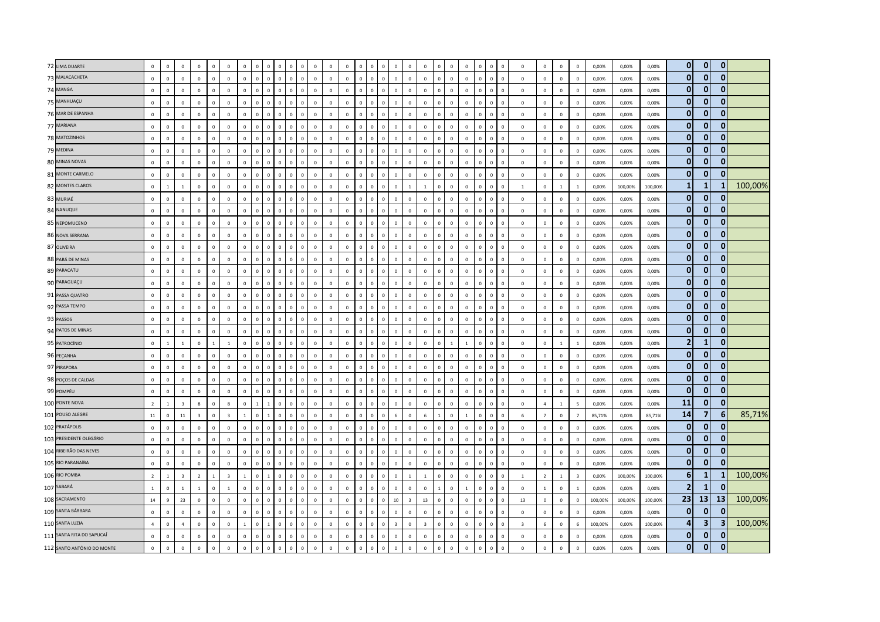| 72 LIMA DUARTE             | $\mathbf 0$    | $\mathsf 0$    | $\mathbf 0$             | $\mathbf 0$             | $\circ$        | $\mathbf 0$             | $\mathbf{0}$   | $\Omega$     | $\Omega$       | $\Omega$                       |              | $\mathbf 0$  | $\mathbf 0$  | $\mathbf 0$    |                |                | $\Omega$       | $\mathbf 0$                      | $\,$ 0                  | $\mathbf 0$    | $^{\circ}$     | $\mathbf 0$    | $\mathbf 0$  | $\mathbf 0$  | $\mathbf{0}$<br>$\mathbf{0}$     | $\mathbf 0$             | $\mathbf 0$    | $\mathbf{0}$   | $\mathbf 0$    | 0,00%   | 0,00%   | 0,00%   | $\mathbf{0}$     | $\mathbf{0}$            | $\mathbf 0$  |         |
|----------------------------|----------------|----------------|-------------------------|-------------------------|----------------|-------------------------|----------------|--------------|----------------|--------------------------------|--------------|--------------|--------------|----------------|----------------|----------------|----------------|----------------------------------|-------------------------|----------------|----------------|----------------|--------------|--------------|----------------------------------|-------------------------|----------------|----------------|----------------|---------|---------|---------|------------------|-------------------------|--------------|---------|
| 73 MALACACHETA             | $\mathbf 0$    | $\mathsf 0$    | $\mathsf 0$             | $\mathbb O$             | $\mathbf 0$    | $\mathbb O$             | $\mathbf 0$    | $\circ$      | $\mathbf 0$    | $\mathbf 0$<br>$\circ$         | $\mathbf{0}$ | $\mathbb O$  | $\mathbf 0$  | $\mathbf{0}$   | $\mathbb O$    | $\mathbf 0$    | $\mathbf 0$    | $\circ$                          | $\mathbf 0$             | $\mathbf 0$    | $\mathbf 0$    | $\mathbf 0$    | $\mathbf 0$  | $\mathbf{0}$ | $\mathbf 0$<br>$\,0\,$           | $\mathbf 0$             | $\mathbf 0$    | $\mathbb O$    | $\mathbf 0$    | 0,00%   | 0,00%   | 0,00%   | $\mathbf{0}$     | $\mathbf{0}$            | $\mathbf{0}$ |         |
| 74 MANGA                   | $\mathbf 0$    | $\mathsf 0$    | $\mathbf 0$             | $\mathbb O$             | $\mathbf 0$    | $\mathbf 0$             | $\mathbf{0}$   | $\mathbf 0$  | $\mathbf 0$    | $\mathbf 0$<br>$\Omega$        | $\mathbf 0$  | $\mathbf 0$  | $\mathbf 0$  | $\circ$        | $\Omega$       | $\overline{0}$ | $\mathsf 0$    | $\mathbf{0}$<br>$\overline{0}$   |                         | $\mathbf 0$    | $\overline{0}$ | $\mathbf 0$    | $\mathbf 0$  | $\mathbf 0$  | $\mathbf{0}$<br>$\mathsf 0$      | $\mathbf{0}$            | $\mathbf 0$    | $\circ$        | $\mathbf 0$    | 0,00%   | 0,00%   | 0,00%   | $\mathbf{0}$     | $\mathbf{0}$            | $\mathbf{0}$ |         |
| 75 MANHUAÇU                | $\Omega$       | $\mathbf 0$    | $\mathbf 0$             | $\mathbf 0$             | $\mathbf 0$    | $\mathbf 0$             | $\mathbf{0}$   | $\Omega$     | $\circ$        | $\overline{0}$<br>$\Omega$     | $\Omega$     | $\mathbf 0$  | $\mathbf 0$  | $\mathbf{0}$   | $\mathbf 0$    | $\Omega$       | $\circ$        | $\mathbf{0}$                     | $\mathbf 0$             | $\circ$        | $\overline{0}$ | $\mathbf 0$    | $\mathbf 0$  | $\mathbf{0}$ | $\mathsf 0$<br>$\mathbf 0$       | $\circ$                 | $\mathbf 0$    | $\mathbf 0$    | $^{\circ}$     | 0,00%   | 0,00%   | 0,00%   | $\overline{0}$   | $\mathbf{0}$            | $\mathbf{0}$ |         |
| 76 MAR DE ESPANHA          | $\mathsf 0$    | $\mathbf 0$    | $\,0\,$                 | $\mathbb O$             | $\mathbf 0$    | $\mathbf 0$             | $\mathbf 0$    | $\mathbf{0}$ | $\mathbb O$    | $\mathbf 0$<br>$\,0\,$         | $\mathbf 0$  | $\mathbf{0}$ | $\mathbf 0$  | $\mathbf 0$    | $\mathbb O$    | $\mathbf 0$    | $\mathbf 0$    | $\circ$                          | $\mathbf 0$             | $\mathbf 0$    | $\mathbf 0$    | $\mathbf 0$    | $\mathbf 0$  | $\mathbf 0$  | $\mathsf 0$<br>$\mathbf 0$       | $\mathbb O$             | $\mathbf 0$    | $\mathbf 0$    | $\mathsf 0$    | 0,00%   | 0,00%   | 0,00%   | $\mathbf{0}$     | $\mathbf{0}$            | $\mathbf{0}$ |         |
| 77 MARIANA                 | $\mathbf 0$    | $\mathbf 0$    | $\overline{0}$          | $\mathbb O$             | $\mathbf 0$    | $\mathbf 0$             | $\mathbf{0}$   | $\mathbf 0$  | $\mathbf 0$    | $\overline{0}$<br>$\Omega$     | $\mathbf 0$  | $\mathbf 0$  | $\mathbf 0$  | $\mathbf 0$    | $\overline{0}$ | $\overline{0}$ | $\mathbf{0}$   | $\mathbb O$                      | $\,$ 0 $\,$             | $\mathbf 0$    | $\overline{0}$ | $\mathbf 0$    | $\mathbf 0$  | $\mathbf 0$  | $\mathbf{0}$<br>$\overline{0}$   | $\mathbf 0$             | $\mathbf 0$    | $\mathbf 0$    | $\mathbf 0$    | 0,00%   | 0,00%   | 0,00%   | $\mathbf{0}$     | $\mathbf{0}$            | $\mathbf{0}$ |         |
| 78 MATOZINHOS              | $\Omega$       | $\mathbf{0}$   | $\overline{0}$          | $\mathbf 0$             | $\mathbf{0}$   | $\mathbf 0$             | $\mathbf{0}$   | $\Omega$     | $\circ$        | $\Omega$<br>$\mathbf{0}$       | $\Omega$     | $\mathbf{0}$ | $\mathbf{0}$ | $\mathbf{0}$   | $\Omega$       | $\mathbf{0}$   | $\mathbf{0}$   | $\overline{0}$                   | $\mathbf{0}$            | $\mathbf{0}$   | $\Omega$       | $\Omega$       | $\mathbf{0}$ | $\mathbf{0}$ | $\overline{0}$<br>$\mathbf{0}$   | $\circ$                 | $\mathbf{0}$   | $\mathbf{0}$   | $\Omega$       | 0.00%   | 0,00%   | 0.00%   | $\mathbf{0}$     | $\mathbf{0}$            | $\mathbf{0}$ |         |
| 79 MEDINA                  | $\mathbf 0$    | $\mathsf 0$    | $\mathbf{0}$            | $\mathbf 0$             | $\mathbf 0$    | $\mathbf 0$             | $\Omega$       | $\Omega$     | $\mathbf 0$    | $\Omega$<br>$\Omega$           | $\mathbf 0$  | $\mathbf 0$  | $\mathbf 0$  | $\Omega$       | $\mathbb O$    | $\mathbf{0}$   | $\mathbf{0}$   | $\mathbf{0}$                     | $\mathbf 0$             | $\mathbf{0}$   | $\mathbf 0$    | $\Omega$       | $^{\circ}$   | $\mathbf{0}$ | $\mathbf 0$<br>$\mathbf 0$       | $\circ$                 | $\mathbf 0$    | $\mathbf 0$    | $^{\circ}$     | 0,00%   | 0,00%   | 0,00%   | $\overline{0}$   | $\mathbf{0}$            | $\mathbf{0}$ |         |
| 80 MINAS NOVAS             | $\mathbf 0$    | $\mathsf{o}$   | $\overline{0}$          | $\mathbb O$             | $\mathbf 0$    | $\overline{0}$          | $\mathbf{0}$   | $\mathbf 0$  | $\mathbf{0}$   | $\mathbf 0$<br>$\overline{0}$  | $\mathbf 0$  | $\mathbf{0}$ | $\mathbf 0$  | $\mathbf 0$    | $\overline{0}$ | $\overline{0}$ | $\mathbf 0$    | $\overline{0}$                   | $\mathbf 0$             | $\mathbb O$    | $\overline{0}$ | $\mathbf 0$    | $\mathbf 0$  | $\mathbf{0}$ | $\mathbf{0}$<br>$\mathbf{0}$     | $\mathbb O$             | $\mathbf{0}$   | $\mathbf 0$    | $\mathbf 0$    | 0,00%   | 0,00%   | 0,00%   | $\mathbf{0}$     | $\mathbf{0}$            | $\mathbf{0}$ |         |
| 81 MONTE CARMELO           | $\mathbf 0$    | $\mathbf 0$    | $\mathsf 0$             | $\mathbb O$             | $\mathbf 0$    | $\mathbf 0$             | $\mathbf 0$    | $\mathbf 0$  | $\mathbf 0$    | $\,0\,$<br>$\mathbf 0$         | $\mathbf 0$  | $\mathbf 0$  | $\mathbf 0$  | $\mathbb O$    | $\mathbb O$    | $\mathbf 0$    | $\mathsf 0$    | $\mathbb O$                      | $\mathbf 0$             | $\mathbb O$    | $\mathbf 0$    | $\mathbf 0$    | $\mathbf 0$  | $\mathbf 0$  | $\,0\,$<br>$\mathbf 0$           | $\mathbf 0$             | $\mathbf 0$    | $\mathbf 0$    | $\mathbf 0$    | 0,00%   | 0,00%   | 0,00%   | $\mathbf{0}$     | $\mathbf{0}$            | $\mathbf{0}$ |         |
| 82 MONTES CLAROS           | $\mathbf{0}$   | $\blacksquare$ | $\overline{1}$          | $\mathbf 0$             | $\mathbf{0}$   | $\Omega$                | $\Omega$       | $\Omega$     | $\Omega$       | $\Omega$<br>$\Omega$           | $\Omega$     | $\Omega$     | $\mathbf{0}$ | $\mathbf{0}$   | $\Omega$       | $\Omega$       | $\circ$        | $\Omega$<br>$\overline{1}$       |                         | $\overline{1}$ | $\Omega$       | $\Omega$       | $\mathbf{0}$ | $\Omega$     | $\Omega$<br>$\mathbf{0}$         | $\overline{1}$          | $\mathbf{0}$   | $\overline{1}$ | $\mathbf{1}$   | 0.00%   | 100.00% | 100,00% | $\mathbf{1}$     | -1                      |              | 100,00% |
| 83 MURIAÉ                  | $\mathbf 0$    | $\mathsf 0$    | $\,0\,$                 | $\mathbb O$             | $\mathbf 0$    | $\mathbf 0$             | $\Omega$       | $\Omega$     | $\mathbf{0}$   | $\Omega$<br>$\Omega$           | $\Omega$     | $\,$ 0 $\,$  | $\mathbf 0$  | $\mathbb O$    | $\Omega$       | $\Omega$       | $\mathbf{0}$   | $\overline{0}$                   | $\,$ 0 $\,$             | $\circ$        | $\Omega$       | $\mathbf 0$    | $\mathbf 0$  | $\mathbf 0$  | $\mathsf 0$<br>$\mathsf 0$       | $\mathbb O$             | $\mathbf 0$    | $\mathbf 0$    | $\mathsf 0$    | 0,00%   | 0,00%   | 0,00%   | $\mathbf{0}$     | $\mathbf{0}$            | $\mathbf{0}$ |         |
| 84 NANUQUE                 | $\mathbf 0$    | $\mathbf 0$    | $\mathbf 0$             | $\mathbb O$             | $\mathbf 0$    | $\mathbf 0$             | $\mathbf{0}$   | $\mathbf 0$  | $\mathbf 0$    | $\,0\,$<br>$\mathbf{0}$        | $\mathbf 0$  | $\mathbf 0$  | $\mathbf 0$  | $\circ$        | $\mathbb O$    | $\mathbf 0$    | $\mathbf{0}$   | $\mathbf{0}$                     | $\,0\,$                 | $\circ$        | $\mathbb O$    | $\mathbf 0$    | $\mathbf 0$  | $\mathbf 0$  | $\,0\,$<br>$\mathbf 0$           | $\mathbf 0$             | $\mathbf 0$    | $\mathbb O$    | $\mathbf 0$    | 0,00%   | 0,00%   | 0,00%   | $\mathbf{0}$     | $\mathbf{0}$            | $\mathbf{0}$ |         |
| 85 NEPOMUCENO              | $\Omega$       | $\mathbf 0$    | $\mathbf{0}$            | $\mathbb O$             | $\mathbf 0$    | $\mathbf 0$             | $\Omega$       | $\mathbf{0}$ | $\Omega$       | $\Omega$<br>$\mathbf{0}$       | $\Omega$     | $\mathbf 0$  | $\mathbf 0$  | $\mathbf 0$    | $\Omega$       | $\mathbf 0$    | $\mathbf 0$    | $\mathbf 0$                      | $\mathbf{0}$            | $\Omega$       | $\Omega$       | $\mathbf 0$    | $\mathbf 0$  | $\mathbf 0$  | $\mathbf{0}$<br>$\mathbf{0}$     | $\circ$                 | $\mathbf 0$    | $\mathbf 0$    | $\mathbf 0$    | 0,00%   | 0,00%   | 0,00%   | $\overline{0}$   | $\mathbf{0}$            | $\mathbf{0}$ |         |
| 86 NOVA SERRANA            | $\Omega$       | $\mathbf 0$    | $\overline{0}$          | $\mathbf 0$             | $\mathbf{0}$   | $\overline{0}$          | $\mathbf{0}$   | $\mathbf{0}$ | $\mathbf{0}$   | $\mathbf{0}$<br>$\Omega$       | $\mathbf 0$  | $\mathbf 0$  | $\mathbf{0}$ | $\mathbf{0}$   | $\overline{0}$ | $\mathbf{0}$   | $\overline{0}$ | $\overline{0}$                   | $\mathbf{0}$            | $\mathbf 0$    | $\mathbf 0$    | $\mathbf 0$    | $\mathbf{0}$ | $\mathbf{0}$ | $\overline{0}$<br>$\overline{0}$ | $\circ$                 | $\mathbf{0}$   | $\mathbf{0}$   | $\Omega$       | 0,00%   | 0,00%   | 0,00%   | $\overline{0}$   | $\mathbf{0}$            | $\mathbf{0}$ |         |
| 87 OLIVEIRA                | $\mathbf 0$    | $\mathsf 0$    | $\mathbf 0$             | $\mathbb O$             | $\mathbb O$    | $\mathbf 0$             | $\Omega$       | $\Omega$     | $\mathbf 0$    | $\Omega$<br>$\mathbf{0}$       | $\mathbf 0$  | $\mathbf{0}$ | $\mathbf 0$  | $\mathbf 0$    | $\mathbb O$    | $\mathbf 0$    | $\mathbf 0$    | $\mathbf 0$                      | $\mathbf 0$             | $\mathbf 0$    | $\overline{0}$ | $\mathbf 0$    | $\mathbf 0$  | $\mathbf 0$  | $\mathsf 0$<br>$\mathsf 0$       | $\mathbb O$             | $\mathbf 0$    | $\mathbf 0$    | $\mathbf 0$    | 0,00%   | 0,00%   | 0,00%   | $\mathbf{0}$     | $\mathbf 0$             | $\mathbf{0}$ |         |
| 88 PARÁ DE MINAS           | $\mathbf 0$    | $\mathbf 0$    | $\mathbf 0$             | $\mathbf 0$             | $\mathbf 0$    | $\mathbf 0$             | $\mathsf 0$    | $\Omega$     | $\mathbf 0$    | $\Omega$<br>$\Omega$           | $\mathbf 0$  | $\,0\,$      | $\mathbf 0$  | $\mathbb O$    | $\overline{0}$ | $\mathbf 0$    | $\mathbf{0}$   | $\,0\,$                          | $\mathbf 0$             | $\circ$        | $\overline{0}$ | $\mathbf 0$    | $\mathbf 0$  | $\mathbf 0$  | $\,0\,$<br>$\,0\,$               | $\mathbf 0$             | $\mathbf 0$    | $\mathbf 0$    | $\mathbf{0}$   | 0,00%   | 0,00%   | 0,00%   | $\mathbf{0}$     | $\mathbf{0}$            | $\mathbf{0}$ |         |
| 89 PARACATU                | $\Omega$       | $\mathsf 0$    | $\mathsf 0$             | $\mathbb O$             | $\mathbf{0}$   | $\mathbf 0$             | $\mathbf{0}$   | $\mathbf{0}$ | $\mathbf 0$    | $\overline{0}$<br>$\mathbf{0}$ | $\mathbf 0$  | $\mathbf 0$  | $\mathbf 0$  | $\mathbb O$    | $\mathbb O$    | $\mathbf 0$    | $\circ$        | $\mathbf{0}$                     | $\mathbf 0$             | $\mathbb O$    | $\mathbb O$    | $\mathbf 0$    | $\mathbf 0$  | $\mathbf{0}$ | $\mathbf 0$<br>$\mathbf 0$       | $\mathbf 0$             | $\mathbf 0$    | $\circ$        | $\mathbf 0$    | 0,00%   | 0,00%   | 0,00%   | $\overline{0}$   | $\mathbf{0}$            | $\mathbf{0}$ |         |
| 90 PARAGUAÇU               | $\Omega$       | $\mathsf 0$    | $\mathbf{0}$            | $\mathbb O$             | $\Omega$       | $\Omega$                | $\Omega$       | $\Omega$     | $\Omega$       | $\Omega$<br>$\Omega$           | $\Omega$     | $\mathbf 0$  | $\mathbf 0$  | $\Omega$       | $\Omega$       | $\mathbf{0}$   | $\Omega$       | $\Omega$<br>$\Omega$             |                         | $\Omega$       | $\Omega$       | $\Omega$       | $\Omega$     | $\mathbf{0}$ | $\mathbf{0}$<br>$\mathbf{0}$     | $\Omega$                | $\Omega$       | $\circ$        | $^{\circ}$     | 0,00%   | 0,00%   | 0,00%   | $\mathbf 0$      | $\mathbf{0}$            | $\mathbf{0}$ |         |
| 91 PASSA QUATRO            | $\mathbf 0$    | $\mathsf 0$    | $\,0\,$                 | $\mathbb O$             | $\mathbf 0$    | $\,0\,$                 | $\mathsf 0$    | $\Omega$     | $\Omega$       | $\Omega$<br>$\Omega$           | $\Omega$     | $\mathbf 0$  | $\mathbf 0$  | $\mathbb O$    | $\overline{0}$ | $\overline{0}$ | $\mathbf{0}$   | $\overline{0}$                   | $\mathbf 0$             | $\mathbb O$    | $\overline{0}$ | $\mathbf 0$    | $\mathbf 0$  | $\mathbf 0$  | $\,$ 0<br>$\mathbf 0$            | $\mathbb O$             | $\mathbf 0$    | $\,0\,$        | $\mathbf{0}$   | 0,00%   | 0,00%   | 0,00%   | $\overline{0}$   | $\mathbf{0}$            | $\mathbf{0}$ |         |
| 92 PASSA TEMPO             | $\mathbf{0}$   | $\mathbf 0$    | $\mathbf{0}$            | $\mathbb O$             | $\mathbf 0$    | $\Omega$                | $\mathbf{0}$   | $\mathbf{0}$ | $\mathbf 0$    | $\overline{0}$<br>$\mathbf{0}$ | $\mathbf 0$  | $\mathbf{0}$ | $\mathbf 0$  | $\mathbf 0$    | $\mathbf 0$    | $\mathbf 0$    | $\mathbf 0$    | $\mathbf{0}$                     | $\mathbb O$             | $\mathbf 0$    | $\mathbf 0$    | $\mathbb O$    | $\mathbf 0$  | $\mathbf 0$  | $\,0\,$<br>$\mathbf 0$           | $\mathbf 0$             | $\mathbf 0$    | $\mathbf 0$    | $\mathbf 0$    | 0,00%   | 0,00%   | 0,00%   | $\mathbf{0}$     | $\mathbf{0}$            | $\mathbf{0}$ |         |
| 93 PASSOS                  | $\mathbf 0$    | $\mathsf 0$    | $\mathbf 0$             | $\mathbb O$             | $\mathbf 0$    | $\mathbf 0$             | $\Omega$       | $\Omega$     | $\Omega$       | $\Omega$<br>$\mathbf{C}$       | $\Omega$     | $\mathbf 0$  | $\mathbf 0$  | $\mathbf 0$    | $\Omega$       | $\overline{0}$ | $\Omega$       | $\mathbf 0$                      | $\mathbf 0$             | $\mathbf 0$    | $\overline{0}$ | $\mathbf 0$    | $\mathbf 0$  | $\mathbf 0$  | $\mathbf{0}$<br>$\mathbf 0$      | $\circ$                 | $\mathbf 0$    | $\circ$        | $\mathbf 0$    | 0,00%   | 0,00%   | 0,00%   | $\mathbf{0}$     | $\mathbf{0}$            | $\mathbf{0}$ |         |
| 94 PATOS DE MINAS          | $\Omega$       | $\mathsf 0$    | $\mathbf{0}$            | $\mathbb O$             | $\Omega$       | $\mathbf 0$             | $\Omega$       | $\Omega$     | $\circ$        | $\Omega$<br>$\Omega$           | $\Omega$     | $\,$ 0       | $\Omega$     | $\Omega$       | $\Omega$       | $\Omega$       | $\mathbf{0}$   | $\Omega$                         | $\,$ 0                  | $\mathbf{0}$   | $\Omega$       | $\Omega$       | $\Omega$     | $\mathbf{0}$ | $\overline{0}$<br>$\mathbf{0}$   | $\mathbf 0$             | $\Omega$       | $\mathbb O$    | $\mathbf 0$    | 0,00%   | 0,00%   | 0,00%   | $\mathbf{0}$     | $\mathbf{0}$            | $\mathbf{0}$ |         |
| 95 PATROCÍNIO              | $\mathbf 0$    | $\,$ 1 $\,$    | $\mathbf{1}$            | $\mathbb O$             | <sup>1</sup>   | 1                       | $\mathbf 0$    | $\mathbf{0}$ | $\mathbb O$    | $\overline{0}$<br>$\mathbf{0}$ | $\mathbf 0$  | $\,0\,$      | $\mathbf 0$  | $\overline{0}$ | $\mathbb O$    | $\mathbf 0$    | $\mathbf 0$    | $\overline{0}$                   | $\mathbf 0$             | $\circ$        | $\overline{0}$ | $\mathbf{1}$   | $\mathbf{1}$ | $\mathbf 0$  | $\,0\,$<br>$\mathbf 0$           | $\mathbf{0}$            | $\mathbf 0$    | $\mathbf{1}$   | $\mathbf{1}$   | 0,00%   | 0,00%   | 0,00%   | $\overline{2}$   | -1                      | $\mathbf{0}$ |         |
| 96 PEÇANHA                 | $\mathbf 0$    | $\mathsf 0$    | $\,0\,$                 | $\mathbf 0$             | $\mathbf 0$    | $\mathbf 0$             | $\mathbf{0}$   | $\mathbf{0}$ | $\mathbf{0}$   | $\mathbf{0}$<br>$\Omega$       | $\Omega$     | $\mathbf 0$  | $\mathbf 0$  | $\mathbb O$    | $\Omega$       | $\mathbf 0$    | $\mathbf{0}$   | $\overline{0}$                   | $\mathbf 0$             | $\circ$        | $\overline{0}$ | $\mathbf 0$    | $\mathbf 0$  | $\mathbf 0$  | $\mathsf 0$<br>$\mathbf 0$       | $\circ$                 | $\mathbf 0$    | $\circ$        | $\mathbf{0}$   | 0,00%   | 0,00%   | 0,00%   | $\overline{0}$   | $\mathbf{0}$            | $\mathbf{0}$ |         |
| 97 PIRAPORA                | $\mathbf{0}$   | $\mathbf 0$    | $\,0\,$                 | $\mathbb O$             | $\mathbf 0$    | $\mathbf 0$             | $\mathbf 0$    | $\mathbf{0}$ | $\mathbb O$    | $\,$ 0<br>$\circ$              | $\mathbb O$  | $\mathbf 0$  | $\mathbf 0$  | $\mathbf 0$    | $\mathbf 0$    | $\mathbf 0$    | $\mathbf{0}$   | $\mathbf 0$                      | $\mathbf 0$             | $\mathbb O$    | $\mathbf 0$    | $\mathbb O$    | $\mathbf 0$  | $\mathbf{0}$ | $\mathsf 0$<br>$\mathbf 0$       | $\mathbf 0$             | $\mathbf 0$    | $\mathbf 0$    | $\mathbf 0$    | 0,00%   | 0,00%   | 0,00%   | $\overline{0}$   | $\mathbf{0}$            | $\mathbf{0}$ |         |
| 98 POÇOS DE CALDAS         | $\Omega$       | $\mathbf 0$    | $\Omega$                | $\mathbf 0$             | $\mathbf 0$    | $\mathbf{0}$            | $\Omega$       | $\Omega$     | $\Omega$       | $\Omega$<br>$\Omega$           | $\Omega$     | $\mathbf 0$  | $\mathbf 0$  | $\Omega$       | $\Omega$       | $\Omega$       | $\mathbf{0}$   | $\mathbf{0}$                     | $\mathbf 0$             | $\Omega$       | $\Omega$       | $\Omega$       | $\Omega$     | $\mathbf 0$  | $\mathsf 0$<br>$\mathbf{0}$      | $\Omega$                | $\mathbf 0$    | $\circ$        | $\Omega$       | 0,00%   | 0,00%   | 0,00%   | $\mathbf{0}$     | $\mathbf 0$             | $\mathbf{0}$ |         |
| 99 POMPÉU                  | $\Omega$       | $\mathbf 0$    | $\overline{0}$          | $\mathbb O$             | $\mathbf{0}$   | $\mathbf 0$             | $\Omega$       | $\Omega$     | $\mathbf{0}$   | $\Omega$<br>$\Omega$           | $\Omega$     | $\,0\,$      | $\mathbf 0$  | $\Omega$       | $\Omega$       | $\Omega$       | $\mathbf{0}$   | $\overline{0}$                   | $\mathbf{0}$            | $\mathbf{0}$   | $\Omega$       | $\Omega$       | $\Omega$     | $\mathbf{0}$ | $\overline{0}$<br>$\mathbf{0}$   | $\Omega$                | $\mathbf 0$    | $\mathbf{0}$   | $\mathbf{0}$   | 0,00%   | 0,00%   | 0,00%   | $\mathbf{0}$     | $\mathbf{0}$            | $\mathbf{0}$ |         |
| 100 PONTE NOVA             | $\overline{2}$ | $\mathbf{1}$   | $\overline{\mathbf{3}}$ | 8                       | $\mathbf 0$    | 8                       | $\mathbf 0$    | $\mathbf{1}$ | $\mathbf{1}$   | $\,0\,$<br>$\mathbf{0}$        | $\mathbf 0$  | $\mathbf 0$  | $\mathbf 0$  | $\mathbb O$    | $\mathbb O$    | $\circ$        | $\mathsf 0$    | $\mathbf{0}$                     | $\mathbf 0$             | $\circ$        | $\mathbb O$    | $\mathbf 0$    | $\mathbf 0$  | $\mathbf 0$  | $\mathbf 0$<br>$\mathbf 0$       | $\mathbf 0$             | $\overline{4}$ | $\mathbf{1}$   | 5              | 0,00%   | 0,00%   | 0,00%   | 11               | $\mathbf{0}$            | $\mathbf{0}$ |         |
| 101 POUSO ALEGRE           | $11\,$         | $\mathsf 0$    | $11\,$                  | $\overline{\mathbf{3}}$ | $\mathbb O$    | $\overline{\mathbf{3}}$ | $\mathbf{1}$   | $\Omega$     |                | $\Omega$<br>$\mathbf 0$        | $\Omega$     | $\mathbf 0$  | $\mathbf 0$  | $\mathbb O$    | $\Omega$       | $\overline{0}$ | $\mathbf 0$    | $\overline{0}$<br>$\,$ 6 $\,$    |                         | 6              |                | $\mathbf 0$    | $\mathbf{1}$ | $\mathbf 0$  | $\Omega$<br>$\mathbf{0}$         | $6\phantom{1}$          | $\overline{7}$ | $\mathbf 0$    | $\overline{7}$ | 85,71%  | 0,00%   | 85,71%  | 14               | $\overline{7}$          | 6            | 85,71%  |
| 102 PRATÁPOLIS             | $\Omega$       | $\mathbf 0$    | $\mathbf 0$             | $\mathbb O$             | $\mathbf 0$    | $\mathbf 0$             | $\Omega$       | $\Omega$     | $\Omega$       | $\Omega$<br>$\Omega$           | $\Omega$     | $\mathbf 0$  | $\mathbf 0$  | $\mathbb O$    | $\Omega$       | $\Omega$       | $\Omega$       | $\overline{0}$                   | $\mathbf 0$             | $\mathbb O$    | $\overline{0}$ | $\mathbf 0$    | $\mathbf 0$  | $\mathbf{0}$ | $\mathbf 0$<br>$\mathbf 0$       | $\mathbf 0$             | $\mathbf 0$    | $\circ$        | $\mathbf 0$    | 0,00%   | 0,00%   | 0,00%   | $\mathbf{0}$     | $\mathbf{0}$            | $\mathbf{0}$ |         |
| 103 PRESIDENTE OLEGÁRIO    | $\mathbf{0}$   | $\mathbf 0$    | $\mathbf{0}$            | $\mathbb O$             | $\mathbf 0$    | $\mathbf 0$             | $\Omega$       | $\Omega$     | $\mathbf 0$    | $\Omega$<br>$\Omega$           | $\Omega$     | $\mathbf 0$  | $\mathbf 0$  | $\mathbf{0}$   | $\mathbb O$    | $\circ$        | $\mathbf{0}$   | $\mathbf{0}$                     | $\mathbf 0$             | $\mathbf{0}$   | $\mathbb O$    | $\mathbf 0$    | $\Omega$     | $\mathbf 0$  | $\mathsf 0$<br>$\mathsf 0$       | $\circ$                 | $\mathbf 0$    | $\mathbf{0}$   | $\mathbf 0$    | 0,00%   | 0,00%   | 0,00%   | $\mathbf{0}$     | $\mathbf{0}$            | $\bf{0}$     |         |
| 104 RIBEIRÃO DAS NEVES     | $\mathbf 0$    | $\mathsf 0$    | $\overline{0}$          | $\mathbb O$             | $\mathbb O$    | $\overline{0}$          | $\mathbf{0}$   | $\Omega$     | $\mathbf{0}$   | $\mathbf{c}$<br>$\Omega$       |              | $\mathbf{0}$ | $\mathbf 0$  | $\mathbf 0$    | $\Omega$       | $\overline{0}$ | $\mathbf{0}$   | $\mathbf 0$                      | $\mathbf 0$             | $\mathbb O$    | $\overline{0}$ | $\mathbf 0$    | $\mathbf 0$  | $\mathbf{0}$ | $\mathsf 0$<br>$\overline{0}$    | $\mathbb O$             | $\mathbf 0$    | $\mathbb O$    | $\mathbf 0$    | 0,00%   | 0,00%   | 0,00%   | $\mathbf{0}$     | $\mathbf{0}$            | $\bf{0}$     |         |
| 105 RIO PARANAÍBA          | $\Omega$       | $\mathsf 0$    | $\mathsf 0$             | $\mathbb O$             | $\Omega$       | $\overline{0}$          | $\Omega$       | $\Omega$     | $\Omega$       | $\Omega$<br>$\Omega$           | $\Omega$     | $\mathbf{0}$ | $\mathbf 0$  | $\mathbf 0$    | $\Omega$       | $\mathbf 0$    | $\mathbf{0}$   | $\mathbf 0$                      | $\mathbf 0$             | $\mathbb O$    | $\mathbb O$    | $\mathbf 0$    | $\mathbf 0$  | $\mathbf 0$  | $\mathsf 0$<br>$\mathsf 0$       | $\mathbf 0$             | $\mathbf 0$    | $\mathbb O$    | $\mathbf 0$    | 0,00%   | 0,00%   | 0,00%   | $\mathbf{0}$     | $\mathbf{0}$            | $\mathbf{0}$ |         |
| 106 RIO POMBA              | $\overline{2}$ | $\blacksquare$ | $\overline{\mathbf{3}}$ | $\overline{2}$          | $\overline{1}$ | $\overline{\mathbf{3}}$ | $\overline{1}$ | $\mathbf{0}$ | $\overline{1}$ | $\mathbf{0}$<br>$\Omega$       | $\Omega$     | $\mathbf{0}$ | $\mathbf{0}$ | $\mathbf{0}$   | $\Omega$       | $\Omega$       | $\circ$        | $\mathbf{0}$<br>$\overline{1}$   |                         | $\mathbf{1}$   | $\Omega$       | $\Omega$       | $\mathbf{0}$ | $\mathbf{0}$ | $\Omega$<br>$\mathbf{0}$         | $\mathbf{1}$            | $\overline{2}$ | $\mathbf{1}$   | $\overline{3}$ | 0.00%   | 100.00% | 100.00% | $6 \overline{6}$ | $\mathbf{1}$            | 1            | 100,00% |
| 107 SABARÁ                 | $\mathbf{1}$   | $\mathbf 0$    | $\mathbf{1}$            | $\mathbf{1}$            | $\mathbf 0$    | <sup>1</sup>            | $\mathbf{0}$   | $\Omega$     | $\circ$        | $\overline{0}$<br>$\Omega$     | $\mathbf 0$  | $\mathbf 0$  | $\mathbf 0$  | $\mathbf{0}$   | $\mathbb O$    | $\mathbf{0}$   | $\circ$        | $\mathbf{0}$                     | $\mathbf 0$             | $\circ$        | $\overline{1}$ | $\mathbb O$    | $\mathbf{1}$ | $\mathbf{0}$ | $\mathsf 0$<br>$\overline{0}$    | $\circ$                 | $\overline{1}$ | $\mathbf 0$    | $\mathbf{1}$   | 0,00%   | 0,00%   | 0,00%   | $\overline{2}$   | $\mathbf{1}$            | $\mathbf{0}$ |         |
| 108 SACRAMENTO             | 14             | $\mathsf g$    | 23                      | $\mathbb O$             | $\mathbf 0$    | $\mathbf 0$             | $\mathbf 0$    | $\mathbf{0}$ | $\mathbb O$    | $\,$ 0<br>$\circ$              | $\mathbf 0$  | $\mathbf{0}$ | $\mathbf 0$  | $\mathbf 0$    | $\mathbb O$    | $\mathbf 0$    | $\circ$        | 10                               | $\overline{\mathbf{3}}$ | 13             | $\mathbf 0$    | $\mathbb O$    | $\mathbf 0$  | $\mathbf 0$  | $\mathsf 0$<br>$\mathbf 0$       | 13                      | $\mathbf 0$    | $\mathbf 0$    | $\mathbf 0$    | 100,00% | 100,00% | 100,00% | 23               | 13 <sup>1</sup>         | 13           | 100,00% |
| 109 SANTA BÁRBARA          | $\mathbf 0$    | $\mathsf 0$    | $\mathbf 0$             | $\mathbb O$             | $\mathbf 0$    | $\mathbf 0$             | $\mathbf{0}$   | $\Omega$     | $\mathbf 0$    | $\Omega$<br>$\Omega$           | $\mathbf 0$  | $\mathbf 0$  | $\mathbf 0$  | $\mathbf{0}$   | $\Omega$       | $\mathbf 0$    | $\mathbf 0$    | $\mathbf 0$                      | $\mathbf 0$             | $\mathbf 0$    | $\overline{0}$ | $\mathbf 0$    | $\mathbf 0$  | $\mathbf 0$  | $\,$ 0<br>$\mathsf 0$            | $\mathbf 0$             | $\mathbf 0$    | $\circ$        | $\mathbf 0$    | 0,00%   | 0,00%   | 0,00%   | $\mathbf{0}$     | $\mathbf{0}$            | $\mathbf{0}$ |         |
| 110 SANTA LUZIA            | $\Delta$       | $\mathbf{0}$   | $\overline{4}$          | $\mathbf 0$             | $\mathbf{0}$   | $\mathbf 0$             | $\overline{1}$ | $\mathbf{0}$ | $\overline{1}$ | $\Omega$<br>$\mathbf{0}$       | $\Omega$     | $\mathbf{0}$ | $\mathbf{0}$ | $\mathbf{0}$   | $\Omega$       | $\mathbf{0}$   | $\circ$        | $\overline{3}$                   | $\mathbf{0}$            | $\overline{3}$ | $\Omega$       | $\Omega$       | $\mathbf{0}$ | $\mathbf{0}$ | $\overline{0}$<br>$\mathbf{0}$   | $\overline{\mathbf{3}}$ | 6              | $\mathbf{0}$   | 6              | 100,00% | 0,00%   | 100,00% | $\overline{4}$   | $\overline{\mathbf{3}}$ | 3            | 100,00% |
| 111 SANTA RITA DO SAPUCAÍ  | $\mathbf 0$    | $\mathbf 0$    | $\mathbf 0$             | $\mathbb O$             | $\mathbf 0$    | $\mathbf 0$             | $\mathsf 0$    | $\mathbf{0}$ | $\mathbf 0$    | $\,0\,$<br>$\mathbf{0}$        | $\mathbb O$  | $\,0\,$      | $\mathbf 0$  | $\circ$        | $\mathbf 0$    | $\mathbf 0$    | $\mathbf 0$    | $\circ$                          | $\mathbf 0$             | $\circ$        | $\mathbb O$    | $\mathbf 0$    | $^{\circ}$   | $\mathbf 0$  | $\,0\,$<br>$\mathbf 0$           | $\mathbf 0$             | $\mathbf 0$    | $\mathbb O$    | $^{\circ}$     | 0,00%   | 0,00%   | 0,00%   | $\overline{0}$   | $\mathbf{0}$            | $\mathbf{0}$ |         |
| 112 SANTO ANTÔNIO DO MONTE | $\mathbf 0$    | $\mathbf 0$    | $\overline{0}$          | $\mathbf 0$             | $\mathbf 0$    | $\mathbf 0$             | $\mathbf{0}$   | $\mathbf 0$  | $\mathbf{0}$   | $\mathbf{0}$<br>$\overline{0}$ |              | $\mathbf 0$  | $\mathbf 0$  | $\mathbf 0$    |                | $\overline{0}$ | $\mathbf{0}$   | $\overline{0}$<br>$\overline{0}$ |                         | $\overline{0}$ | $\overline{0}$ | $\overline{0}$ | $\mathbf 0$  | $\mathbf 0$  | $\mathbf{0}$<br>$\mathbf 0$      | $\mathbf 0$             | $\mathbf 0$    | $\mathbb O$    | $\mathbf 0$    | 0,00%   | 0,00%   | 0,00%   | $\mathbf{0}$     | $\mathbf{0}$            | $\mathbf{0}$ |         |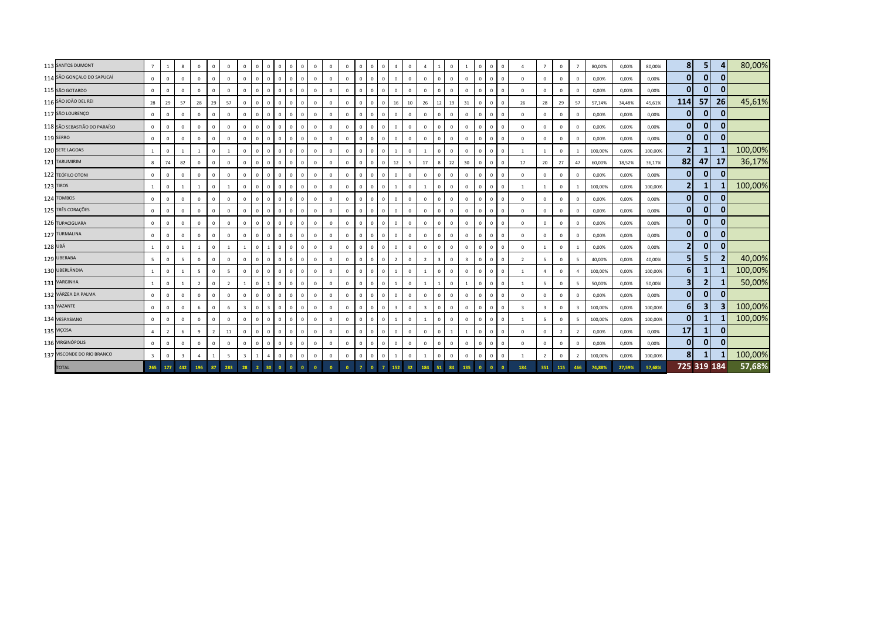|         | 113 SANTOS DUMONT            | $7^{\circ}$     | $\mathbf{1}$   | 8                       | $^{\circ}$     | $\Omega$       | $\Omega$       | $\overline{0}$          | $\mathbf{0}$   | $\Omega$ | $\Omega$     | $\mathbf{0}$<br>$\overline{0}$ | $\Omega$     | $\mathbf{0}$ | $\mathbf{0}$ | $\Omega$       |          | $\mathbf 0$    | $\overline{a}$ | $\Omega$       | $\overline{a}$          |                | $\mathbf{0}$ |                | $\Omega$ | $\mathbf{0}$                   | $\mathbf{0}$ |                         | $\overline{7}$          | $\circ$        | $\overline{7}$ | 80,00%  | 0,00%  | 80,00%  | 8 <sup>1</sup>          | 5 <sub>1</sub> | 4            | 80,00%  |
|---------|------------------------------|-----------------|----------------|-------------------------|----------------|----------------|----------------|-------------------------|----------------|----------|--------------|--------------------------------|--------------|--------------|--------------|----------------|----------|----------------|----------------|----------------|-------------------------|----------------|--------------|----------------|----------|--------------------------------|--------------|-------------------------|-------------------------|----------------|----------------|---------|--------|---------|-------------------------|----------------|--------------|---------|
|         | 114 SÃO GONÇALO DO SAPUCAÍ   | $\mathbf 0$     | $\Omega$       | $\mathbf{0}$            | $\mathbf{0}$   | $\Omega$       | $\mathbf{0}$   | $\mathbf{0}$            | $\mathbf{0}$   |          | $\mathbf{0}$ | $\overline{0}$                 | $\mathbf 0$  | $\Omega$     | $\mathbf{0}$ | $\overline{0}$ |          | $\mathbf{0}$   | $\mathbf{0}$   | $\Omega$       | $\mathbf{0}$            | $\overline{0}$ | $\mathbf{0}$ | $\mathbf{0}$   | $\Omega$ | $\mathbf{0}$<br>$\mathbf{0}$   |              | $\Omega$                | $\mathbf{0}$            | $\mathbf{0}$   | $\mathbf{0}$   | 0,00%   | 0,00%  | 0,00%   | $\mathbf{0}$            | $\overline{0}$ | 0            |         |
|         | 115 SÃO GOTARDO              | $\mathbf{0}$    | $\Omega$       | $\Omega$                | $\Omega$       | $\Omega$       | $\Omega$       | $\circ$                 | $\circ$        |          |              | $\mathbf{0}$<br>$\Omega$       | $\Omega$     | $\Omega$     | $\mathbf{0}$ | $\Omega$       |          | $\mathbf{0}$   | $\Omega$       | $\Omega$       | $\mathbf 0$             | $\Omega$       | $\Omega$     | $\Omega$       | $\Omega$ | $\Omega$<br>$\Omega$           |              | $\Omega$                | $\Omega$                | $\mathbf{0}$   | $\Omega$       | 0,00%   | 0,00%  | 0,00%   | $\mathbf{0}$            | $\mathbf{0}$   |              |         |
|         | 116 SÃO JOÃO DEL REI         | 28              | 29             | 57                      | 28             | 29             | 57             | $\mathbf{0}$            | $\mathbf{0}$   |          | $\Omega$     | $\mathbf{0}$<br>$\mathbf{0}$   | $\mathbf{0}$ | $\mathbf{0}$ | $\mathbf{0}$ | $\Omega$       | $\Omega$ | $\mathbf 0$    | 16             | 10             | 26                      | 12             | 19           | 31             | $\Omega$ | $\overline{0}$<br>$\mathbf{0}$ |              | 26                      | 28                      | 29             | 57             | 57,14%  | 34,48% | 45,61%  | 114                     | 57             | 26           | 45,61%  |
|         | 117 SÃO LOURENÇO             | $\mathbf{0}$    | $\mathbf{0}$   | $\mathbf{0}$            | $\Omega$       | $\Omega$       | $\mathbf{0}$   | $\mathbf{0}$            | $\mathbf 0$    |          | $\Omega$     | $\mathbf{0}$<br>$\,$ 0         | $\Omega$     | $\mathbf{0}$ | $\mathbf{0}$ | $\overline{0}$ |          | $\mathsf 0$    | $^{\circ}$     | $\Omega$       | $\mathbf 0$             | $\Omega$       | $\Omega$     | $\Omega$       |          | $\mathbf{0}$<br>$\mathbf 0$    |              | $\Omega$                | $\Omega$                | $\mathbf 0$    | $\Omega$       | 0,00%   | 0,00%  | 0,00%   | $\mathbf{0}$            | $\mathbf{0}$   | 0            |         |
|         | 118 SÃO SEBASTIÃO DO PARAÍSO | $\mathbf 0$     | $\mathbf{0}$   | $\mathbf{0}$            | $^{\circ}$     | $\Omega$       | $\mathbf{0}$   | $\mathbf{0}$            | $\mathbf 0$    |          | $\mathbf 0$  | $\overline{0}$                 | $\mathbf 0$  | $\mathbf{0}$ | $\mathbf{0}$ | $\overline{0}$ |          | $\mathbf{0}$   | $^{\circ}$     | $\overline{0}$ | $\mathbf{0}$            | $\overline{0}$ | $\mathbf{0}$ | $\mathbf{0}$   | $\Omega$ | $\mathbf{0}$<br>$\mathbf{0}$   |              | $\mathbf 0$             | $\mathbf{0}$            | $\mathbf 0$    | $^{\circ}$     | 0,00%   | 0,00%  | 0,00%   | $\mathbf{0}$            | $\mathbf{0}$   | $\Omega$     |         |
|         | 119 SERRO                    | $\mathbf{0}$    | $\Omega$       | $^{\circ}$              | $^{\circ}$     | $\Omega$       | $\Omega$       | $\Omega$                | $\mathbf 0$    |          | $\Omega$     | $\mathbf{0}$<br>$\overline{0}$ | $\mathbf 0$  | $\Omega$     | $\mathbf 0$  | $\Omega$       |          | $\mathbf{0}$   | $\mathbf{0}$   | $\Omega$       | $\mathbf 0$             | $\Omega$       | $\Omega$     | $\mathbf 0$    |          | $^{\circ}$<br>$\Omega$         |              | $\Omega$                | $\Omega$                | $\mathbf 0$    | $^{\circ}$     | 0,00%   | 0,00%  | 0,00%   | $\mathbf{0}$            | $\mathbf{0}$   | $\mathbf{0}$ |         |
|         | 120 SETE LAGOAS              | $\mathbf{1}$    | $\mathbf{0}$   | $\mathbf{1}$            | $\overline{1}$ | $\Omega$       | $\overline{1}$ | $\mathbf{0}$            | $\mathbf 0$    |          | $\Omega$     | $\mathbf{0}$<br>$\overline{0}$ | $\Omega$     | $\mathbf{0}$ | $\mathbf{0}$ | $\Omega$       | $\Omega$ | $\mathbf 0$    |                | $\Omega$       | -1                      | $\Omega$       | $\Omega$     | $\Omega$       | $\Omega$ | $\mathbf{0}$<br>$\mathbf{0}$   |              | 1                       |                         | $\mathbf 0$    | $\overline{1}$ | 100,00% | 0,00%  | 100,00% | $\overline{2}$          | 1              |              | 100,00% |
|         | 121 TARUMIRIM                | 8               | 74             | 82                      | $\mathbf 0$    | $\Omega$       | $\mathbf{0}$   | $\mathbf{0}$            | $\mathbf 0$    |          | $\mathbf 0$  | $\Omega$                       | $\Omega$     | $\mathbf{0}$ | $\circ$      | $\Omega$       |          | $\mathbf 0$    | 12             | -5             | 17                      | 8              | 22           | 30             |          | $\mathbf{0}$<br>$\mathbf 0$    |              | 17                      | 20                      | 27             | 47             | 60,00%  | 18,52% | 36,17%  | 82                      | 47             | 17           | 36,17%  |
|         | 122 TEÓFILO OTONI            | $\mathbf{0}$    | $\Omega$       | $\Omega$                | $\Omega$       | $\Omega$       | $\Omega$       | $\mathbf{0}$            | $\mathbf{0}$   |          | $\mathbf 0$  | $\Omega$                       | $\Omega$     | $\Omega$     | $\mathbf{0}$ | $\Omega$       |          | $\mathbf{0}$   | $\Omega$       | $\Omega$       | $\mathbf{0}$            | $\Omega$       | $\Omega$     | $\Omega$       |          | $\Omega$<br>$\Omega$           |              | $\Omega$                | $\Omega$                | $\mathbf 0$    | $\Omega$       | 0,00%   | 0,00%  | 0,00%   | $\mathbf{0}$            | $\mathbf{0}$   |              |         |
|         | 123 TIROS                    | $\mathbf{1}$    | $\mathbf{0}$   |                         |                | $\mathbf{0}$   | $\overline{1}$ | $\mathbf{0}$            | $\mathbf{0}$   |          | $\Omega$     | $\mathbf{0}$<br>$\overline{0}$ | $\mathbf 0$  | $\mathbf{0}$ | $\mathbf{0}$ | $\Omega$       |          | $\mathbf 0$    |                | $\Omega$       | $\overline{1}$          | $\Omega$       | $\mathbf{0}$ | $\Omega$       | $\Omega$ | $\overline{0}$<br>$\mathbf{0}$ |              | $\overline{1}$          |                         | $\mathbf 0$    |                | 100,00% | 0,00%  | 100,00% | $\overline{2}$          | $\mathbf{1}$   |              | 100,00% |
|         | 124 TOMBOS                   | $\mathbf{0}$    | $\mathbf{0}$   | $\mathbf{0}$            | $\Omega$       | $\Omega$       | $\Omega$       | $\mathbf{0}$            | $\mathbf 0$    |          | $\mathbf 0$  | $\,$ 0                         | $\Omega$     | $\Omega$     | $\circ$      | $\overline{0}$ |          | $\mathbf 0$    | $\mathbf{0}$   | $\Omega$       | $\mathbf 0$             | $\Omega$       | $\Omega$     | $\Omega$       |          | $\mathbf{0}$<br>$\mathbf 0$    |              | $\Omega$                | $\Omega$                | $\mathbf 0$    | $\Omega$       | 0,00%   | 0,00%  | 0,00%   | $\mathbf{0}$            | $\mathbf{0}$   |              |         |
|         | 125 TRÊS CORAÇÕES            | $\mathbf 0$     | $\Omega$       | $\mathbf{0}$            | $^{\circ}$     | $\Omega$       | $\Omega$       | $\Omega$                | $\mathbf{0}$   |          | $\mathbf 0$  | $\overline{0}$                 | $\Omega$     | $\Omega$     | $\mathbf{0}$ | $\Omega$       |          | $\mathbf{0}$   | $\mathbf{0}$   | $\Omega$       | $\mathbf{0}$            | $\Omega$       | $\mathbf{0}$ | $\Omega$       |          | $\mathbf{0}$<br>$\mathbf{0}$   |              | $\Omega$                | $\Omega$                | $\mathbf 0$    | $^{\circ}$     | 0,00%   | 0,00%  | 0,00%   | $\mathbf{0}$            | $\overline{0}$ | 0            |         |
|         | 126 TUPACIGUARA              | $\mathbf 0$     | $\Omega$       | $\Omega$                | $^{\circ}$     | $\Omega$       | $\Omega$       | $\Omega$                | $\mathbf 0$    |          | $\mathbf 0$  | $\Omega$                       | $\mathbf 0$  | $\Omega$     | $\mathbf{0}$ | $\Omega$       |          | $\mathbf 0$    | $\Omega$       | $\sqrt{2}$     | $\mathbf 0$             | $\Omega$       | $\Omega$     | $\Omega$       |          | $^{\circ}$<br>$\Omega$         |              | $\Omega$                | $\Omega$                | $\mathbf 0$    | $^{\circ}$     | 0,00%   | 0,00%  | 0,00%   | $\mathbf{0}$            | $\overline{0}$ | $\bf{0}$     |         |
|         | 127 TURMALINA                | $\mathsf 0$     | $\mathbf{0}$   | $\mathbf{0}$            | $\Omega$       | $\Omega$       | $\mathbf{0}$   | $\mathbf{0}$            | $\mathbf 0$    |          | $\Omega$     | $\mathbf{0}$<br>$\Omega$       | $\Omega$     | $\Omega$     | $\mathbf{0}$ | $\Omega$       | $\Omega$ | $\mathbf 0$    | $^{\circ}$     | $\Omega$       | $\circ$                 | $\Omega$       | $\Omega$     | $\Omega$       | $\Omega$ | $\mathbf{0}$<br>$\mathbf{0}$   |              | $\Omega$                | $\Omega$                | $\circ$        | $\mathbf 0$    | 0,00%   | 0,00%  | 0,00%   | $\mathbf{0}$            | $\mathbf{0}$   | $\mathbf{0}$ |         |
| 128 UBÁ |                              | $\mathbf{1}$    | $\mathbf{0}$   | $\mathbf{1}$            | $\overline{1}$ | $\Omega$       | $\overline{1}$ |                         | $\mathbf{0}$   |          | $\mathbf{0}$ | $\overline{0}$                 | $\mathbf 0$  | $\mathbf{0}$ | $\mathbf{0}$ | $\overline{0}$ |          | $\mathbf{0}$   | $^{\circ}$     | $\Omega$       | $\mathbf{0}$            | $\Omega$       | $\Omega$     | $\Omega$       |          | $\mathbf{0}$<br>$\mathbf{0}$   |              | $\Omega$                | $\mathbf{1}$            | $\mathbf 0$    | -1             | 0,00%   | 0,00%  | 0,00%   | 2                       | $\overline{0}$ | $\mathbf{0}$ |         |
|         | 129 UBERABA                  | $5\overline{5}$ | $\Omega$       | -5                      | $^{\circ}$     | $\Omega$       | $\Omega$       | $\mathbf{0}$            | $\mathbf{0}$   |          |              | $\mathbf{0}$<br>$\Omega$       | $\Omega$     | $\Omega$     | $\mathbf{0}$ | $\Omega$       |          | $\mathbf{0}$   | 2              | $\Omega$       | $\overline{2}$          | $\overline{3}$ | $\Omega$     | $\overline{3}$ | $\Omega$ | $\Omega$<br>$\Omega$           |              | $\overline{z}$          | -5                      | $\mathbf{0}$   | 5              | 40,00%  | 0,00%  | 40,00%  | 5 <sub>l</sub>          | 5              |              | 40,00%  |
|         | 130 UBERLÂNDIA               | $\mathbf{1}$    | $\mathbf{0}$   | $\overline{1}$          | -5             | $\Omega$       | 5              | $\mathbf{0}$            | $\mathbf{0}$   |          | $\Omega$     | $\mathbf{0}$<br>$\overline{0}$ | $\Omega$     | $\mathbf{0}$ | $\mathbf{0}$ | $\Omega$       |          | $\mathbf 0$    |                | $\Omega$       | $\overline{1}$          | $\Omega$       | $\mathbf{0}$ | $\Omega$       | $\Omega$ | $\overline{0}$<br>$\mathbf{0}$ |              | 1                       | $\Delta$                | $\mathbf 0$    | $\overline{4}$ | 100,00% | 0,00%  | 100,00% | 6 <sup>1</sup>          | $\mathbf{1}$   |              | 100,00% |
|         | 131 VARGINHA                 | $\mathbf{1}$    | $\mathbf{0}$   | $\overline{1}$          | $\overline{2}$ | $\Omega$       | $\overline{2}$ |                         | $\mathbf{0}$   |          | $\Omega$     | $\mathbf{0}$<br>$\mathbf{0}$   | $\Omega$     | $\mathbf{0}$ | $\mathbf{0}$ | $\Omega$       |          | $\mathbf{0}$   |                | $\Omega$       | $\overline{1}$          |                | $\Omega$     |                | n        | $\mathbf{0}$<br>$\mathbf{0}$   |              | $\overline{1}$          | $\overline{5}$          | $\mathbf{0}$   | 5              | 50,00%  | 0,00%  | 50,00%  | $\overline{\mathbf{3}}$ | $\overline{2}$ |              | 50,00%  |
|         | 132 VÁRZEA DA PALMA          | $\mathbf 0$     | $\mathbf{0}$   | $\mathbf{0}$            | $\mathbf 0$    | $\Omega$       | $\Omega$       | $\mathbf 0$             | $\mathbf 0$    |          | $\mathbf{0}$ | $\overline{0}$                 | $\Omega$     | $\Omega$     | $\mathbf{0}$ | $\overline{0}$ |          | $\mathbf{0}$   | $\mathbf{0}$   | $\Omega$       | $\mathbf{0}$            | $\Omega$       | $\Omega$     | $\Omega$       |          | $\mathbf{0}$<br>$\mathbf{0}$   |              | $\mathbf{0}$            | $\Omega$                | $\mathbf 0$    | $^{\circ}$     | 0,00%   | 0,00%  | 0,00%   | $\mathbf{0}$            | $\overline{0}$ | $\mathbf{0}$ |         |
|         | 133 VAZANTE                  | $\mathbf 0$     | $\Omega$       | $\mathbf 0$             | 6              | $\Omega$       | 6              | $\overline{\mathbf{3}}$ | $\mathbf 0$    |          | $\mathbf 0$  | $\Omega$                       | $\mathbf 0$  | $\mathbf{0}$ | $\mathbf 0$  | $\Omega$       |          | $\mathbf{0}$   | $\overline{3}$ | $\sqrt{2}$     | $\overline{\mathbf{3}}$ | $\Omega$       | $\mathbf 0$  | $\mathbf 0$    |          | $^{\circ}$<br>$\Omega$         |              | $\overline{\mathbf{3}}$ | $\overline{\mathbf{3}}$ | $\mathbf 0$    | 3              | 100,00% | 0,00%  | 100,00% | 6 <sup>1</sup>          | 3              |              | 100,00% |
|         | 134 VESPASIANO               | $\mathbf{0}$    | $\mathbf 0$    | $\mathbf 0$             | $\mathbf 0$    | $\Omega$       | $\mathbf{0}$   | $\mathbf{0}$            | $\mathbf 0$    |          | $\mathbf{0}$ | $\mathbf{0}$<br>$\overline{0}$ | $\mathbf 0$  | $\mathbf 0$  | $\circ$      | $\overline{0}$ | $\Omega$ | $\mathbf 0$    |                | $\Omega$       | $\overline{1}$          | $\Omega$       | $\mathbf 0$  | $\mathbf 0$    | $\Omega$ | $\mathbf 0$                    | $\circ$      | $\overline{1}$          | 5                       | $\circ$        | 5              | 100,00% | 0,00%  | 100,00% | $\mathbf{0}$            | 1              |              | 100,00% |
|         | 135 VIÇOSA                   | $\overline{4}$  | $\overline{2}$ | 6                       | 9              | $\overline{2}$ | 11             | $\mathbf{0}$            | $\mathbf 0$    |          | $\mathbf{0}$ | $\overline{0}$                 | $\mathbf 0$  | $\mathbf 0$  | $\mathbf{0}$ | $\overline{0}$ |          | $\mathbf{0}$   | $^{\circ}$     | $\Omega$       | $\circ$                 | $\Omega$       |              |                |          | $\mathbf{0}$<br>$\mathbf{0}$   |              | $\Omega$                | $\Omega$                | $\overline{2}$ | $\overline{2}$ | 0,00%   | 0,00%  | 0,00%   | 17                      | $\mathbf{1}$   | $\Omega$     |         |
|         | 136 VIRGINÓPOLIS             | $\mathbf 0$     | $\Omega$       | $^{\circ}$              | $^{\circ}$     | $\Omega$       | $\Omega$       | $\mathbf{0}$            | $\mathbf 0$    |          |              | $\mathbf{0}$<br>$\overline{0}$ | $\Omega$     | $\Omega$     | $\mathbf 0$  | $\Omega$       |          | $\mathbf 0$    | $\mathbf{0}$   | $\Omega$       | $\mathbf 0$             | $\Omega$       | $\Omega$     | $\Omega$       | $\Omega$ | $\mathbf{0}$<br>$\mathbf{0}$   |              | $\Omega$                | $\Omega$                | $\mathbf{0}$   | $\Omega$       | 0,00%   | 0,00%  | 0,00%   | $\mathbf{0}$            | $\mathbf{0}$   |              |         |
|         | 137 VISCONDE DO RIO BRANCO   | $\overline{3}$  | $\mathbf{0}$   | $\overline{\mathbf{3}}$ | $\overline{4}$ | $\overline{1}$ | 5              | $\overline{\mathbf{3}}$ |                |          |              | $\mathbf{0}$<br>$\overline{0}$ | $\Omega$     | $\Omega$     | $\mathbf 0$  | $\overline{0}$ |          | $\mathbf 0$    |                | $\Omega$       | <sup>1</sup>            | $\Omega$       | $\Omega$     | $\Omega$       | $\Omega$ | $\mathbf{0}$<br>$\mathbf{0}$   |              | $\mathbf{1}$            | $\overline{z}$          | $\mathbf 0$    | $\overline{2}$ | 100,00% | 0,00%  | 100,00% | 8 <sup>1</sup>          |                |              | 100,00% |
|         | <b>TOTAL</b>                 | 265 177         |                | 442                     | 196            | 87             | 283            | 28                      | $\overline{2}$ |          | $\mathbf{0}$ |                                |              |              | $\Omega$     |                |          | $\overline{7}$ | 152            | 32             | 184                     | 51             | 84           | 135            |          |                                |              | 184                     | 351                     | 115            | 466            | 74,88%  | 27,59% | 57,68%  |                         | 725 319 184    |              | 57,68%  |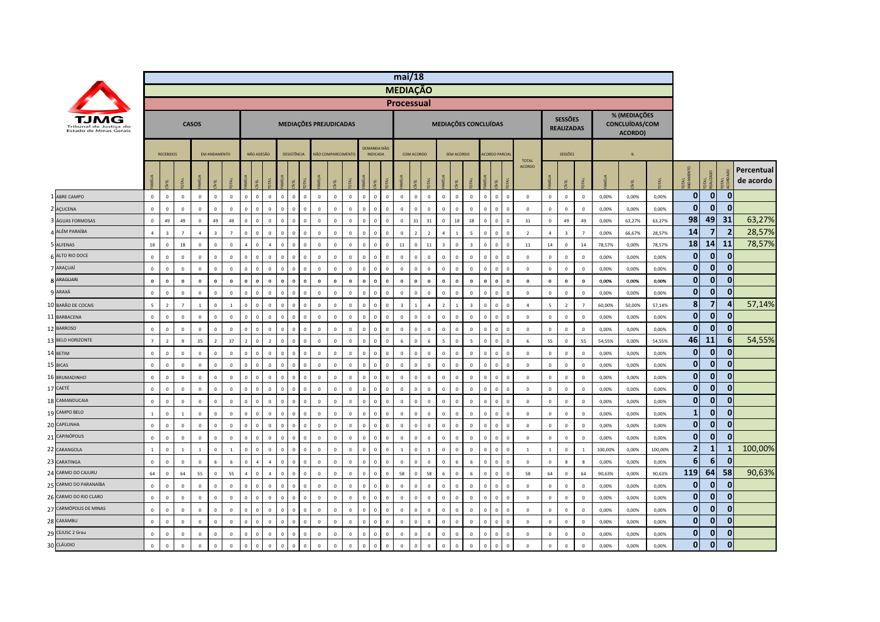|                                                  |                |                         |                |                |                         |                |                          |              |                               |                               |              |                        |              |              |              |                                |                | mi/18                   |                |                 |                         |                |                         |                               |                |                               |                |                                     |                  |         |                                           |         |                |                         |                |                         |
|--------------------------------------------------|----------------|-------------------------|----------------|----------------|-------------------------|----------------|--------------------------|--------------|-------------------------------|-------------------------------|--------------|------------------------|--------------|--------------|--------------|--------------------------------|----------------|-------------------------|----------------|-----------------|-------------------------|----------------|-------------------------|-------------------------------|----------------|-------------------------------|----------------|-------------------------------------|------------------|---------|-------------------------------------------|---------|----------------|-------------------------|----------------|-------------------------|
|                                                  |                |                         |                |                |                         |                |                          |              |                               |                               |              |                        |              |              |              |                                |                | <b>MEDIAÇÃO</b>         |                |                 |                         |                |                         |                               |                |                               |                |                                     |                  |         |                                           |         |                |                         |                |                         |
|                                                  |                |                         |                |                |                         |                |                          |              |                               |                               |              |                        |              |              |              |                                |                | <b>Processual</b>       |                |                 |                         |                |                         |                               |                |                               |                |                                     |                  |         |                                           |         |                |                         |                |                         |
| Tribunal de Justica do<br>Estado de Minas Gerais |                |                         |                | <b>CASOS</b>   |                         |                |                          |              |                               |                               |              | MEDIAÇÕES PREJUDICADAS |              |              |              |                                |                |                         |                |                 |                         |                | MEDIAÇÕES CONCLUÍDAS    |                               |                |                               |                | <b>SESSÕES</b><br><b>REALIZADAS</b> |                  |         | % (MEDIAÇÕES<br>CONCLUÍDAS/COM<br>ACORDO) |         |                |                         |                |                         |
|                                                  |                | <b>RECEBIDOS</b>        |                |                | <b>FM ANDAMENTO</b>     |                |                          | NÃO ADESÃO   |                               | DESISTÊNCIA                   |              | NÃO COMPARECIMENTO     |              |              |              | DEMANDA NÃO<br><b>INDICADA</b> |                |                         | COM ACORDO     |                 |                         | SEM ACORDO     |                         | <b>ACORDO PARCIA</b>          |                |                               |                | SESSÕES                             |                  |         | %                                         |         |                |                         |                |                         |
|                                                  |                | EL                      |                |                | ğ.                      |                | $\frac{1}{2}$            | EL           |                               | 린                             |              |                        |              |              |              | ΨĒ                             |                |                         |                |                 |                         | 핀              |                         |                               |                | <b>TOTAL</b><br><b>ACORDO</b> |                | ξĹ.                                 |                  |         | /EL                                       |         | ್ದ ಕ           |                         |                | Percentual<br>de acordo |
| 1 ABRE CAMPO                                     | $\overline{0}$ | $\mathbf{0}$            | $\mathbf{0}$   | $\mathbf{0}$   | $\mathbf{0}$            | $\mathbf{0}$   | $\mathbf{0}$             | $\mathbf{0}$ | $\overline{0}$                | $\mathbf{0}$<br>$\mathbf{0}$  | $\mathbf{0}$ | $\mathbf{0}$           | $\mathbf{0}$ | $\,0\,$      | $\mathbf{0}$ | $\mathbf{0}$                   | $\overline{0}$ | $\mathbf 0$             | $\mathbf{0}$   | $\mathbf{0}$    | $\circ$                 | $\mathbf{0}$   | $\overline{0}$          | $\mathbf{0}$<br>$\mathbf{0}$  | $\Omega$       | $\mathbf{0}$                  | $\circ$        | $\mathsf 0$                         | $\mathbf{0}$     | 0.00%   | 0.00%                                     | 0.00%   | $\overline{0}$ | $\overline{0}$          | $\mathbf{0}$   |                         |
| 2 AÇUCENA                                        | $\circ$        | $\overline{0}$          | $\mathsf 0$    | $\mathbf 0$    | $\mathbf 0$             | $\mathbf 0$    | $\mathbf{0}$             | $\Omega$     | $\overline{0}$                | $\mathbf 0$<br>$\mathbf 0$    | $\Omega$     | $\overline{0}$         | $\mathbf 0$  | $\,0\,$      | $\Omega$     | $\mathbf{0}$                   | $\,0\,$        | $\mathbf{0}$            | $\Omega$       | $\overline{0}$  | $\mathbf{0}$            | $\Omega$       | $\overline{0}$          | $\Omega$<br>$\Omega$          | $\mathbf 0$    | $\mathbf 0$                   | $\mathbf 0$    | $\,0\,$                             | $\mathbf 0$      | 0,00%   | 0,00%                                     | 0,00%   | $\mathbf{0}$   | $\mathbf{0}$            | $\mathbf{0}$   |                         |
| ÁGUAS FORMOSAS                                   | $\mathbf 0$    | 49                      | 49             | $\mathbf 0$    | 49                      | 49             | $\overline{0}$           | $\mathbf 0$  | $\mathbf 0$<br>$\mathbf 0$    | $\Omega$                      | $\Omega$     | $\mathbf 0$            | $\mathbb O$  | $\mathbf 0$  | $\Omega$     | $\mathbf 0$                    | $\mathbf{0}$   | $\mathbf 0$             | 31             | 31              | $\mathbf 0$             | 18             | 18                      | $\Omega$                      | $\mathbf 0$    | 31                            | $\mathbf 0$    | 49                                  | 49               | 0,00%   | 63,27%                                    | 63,27%  | 98             | 49                      | 31             | 63,27%                  |
| ALÉM PARAÍBA                                     | $\overline{4}$ | $\overline{\mathbf{3}}$ | $\overline{7}$ | $\overline{a}$ | $\overline{\mathbf{3}}$ | $\overline{7}$ | $\Omega$                 | $\mathbf 0$  | $\overline{0}$<br>$\mathbf 0$ | $\overline{0}$                | $\Omega$     | $\overline{0}$         | $\mathbb O$  | $\,0\,$      | $\Omega$     | $\mathbf 0$                    | $\mathbf 0$    | $\,0\,$                 | $\overline{z}$ | $\overline{2}$  | $\overline{4}$          |                | 5                       | $\Omega$<br>$\Omega$          | $\bf 0$        | $\overline{2}$                | $\overline{4}$ | $\overline{\mathbf{3}}$             | $\overline{7}$   | 0,00%   | 66,67%                                    | 28,57%  | 14             | $\overline{\mathbf{z}}$ | $\overline{2}$ | 28,57%                  |
| 5 ALFENAS                                        | 18             | $\overline{0}$          | $18\,$         | $\circ$        | $\mathbf 0$             | $\mathbf 0$    | $\overline{a}$           | $\mathbf{0}$ | $\overline{a}$                | $\mathbf 0$<br>$\mathbf 0$    | $\mathbf{0}$ | $\mathbf 0$            | $\mathbb O$  | $\,0\,$      | $\mathbf{0}$ | $\mathbf 0$                    | $\,0\,$        | 11                      | $\mathbf 0$    | $11\,$          | $\overline{\mathbf{3}}$ | $\mathbf 0$    | $\overline{\mathbf{3}}$ | $\mathbf 0$<br>$\Omega$       | $\mathbf 0$    | $11\,$                        | 14             | $\,0\,$                             | 14               | 78,57%  | 0,00%                                     | 78,57%  | 18             | 14                      | <b>11</b>      | 78,57%                  |
| 6 ALTO RIO DOCE                                  | $\mathbf 0$    | $\mathbf 0$             | $\,0\,$        | $\mathbf{0}$   | $\mathbf 0$             | $\mathbf 0$    | $\mathbf{0}$             | $\Omega$     | $\overline{0}$                | $\mathbf 0$<br>$\,0\,$        | $\Omega$     | $\mathbf 0$            | $\mathbb O$  | $\,0\,$      | $\Omega$     | $\mathbf 0$                    | $\,0\,$        | $\mathbf 0$             | $\mathbf 0$    | $\overline{0}$  | $\,0\,$                 | $\mathbf 0$    | $\overline{0}$          | $\,0\,$<br>$\Omega$           | $\mathbf 0$    | $\mathbf 0$                   | $\mathbf 0$    | $\,0\,$                             | $\mathbf 0$      | 0,00%   | 0,00%                                     | 0,00%   | $\mathbf{0}$   | $\mathbf{0}$            | $\mathbf{0}$   |                         |
| 7 ARAÇUAÍ                                        | $\mathbb O$    | $\overline{0}$          | $\mathbf 0$    | $\circ$        | $\,$ 0 $\,$             | $\mathbf 0$    | $\Omega$                 | $\Omega$     | $\overline{0}$<br>$\mathbf 0$ | $\mathbf{0}$                  | $\Omega$     | $\mathbb O$            | $\mathbb O$  | $\mathbf 0$  | $\Omega$     | $\mathbf 0$                    | $\,0\,$        | $\mathbf{0}$            | $\mathbf 0$    | $\overline{0}$  | $\mathbf 0$             | $\mathbf 0$    | $\overline{0}$          | $\Omega$<br>$\Omega$          | $\mathbf 0$    | $\overline{0}$                | $\mathbb O$    | $\mathbf 0$                         | $\mathbf 0$      | 0,00%   | 0,00%                                     | 0,00%   | $\mathbf{0}$   | $\mathbf{0}$            | $\mathbf{0}$   |                         |
| <b>8 ARAGUARI</b>                                | $\bf{0}$       | $\mathbf{0}$            | $\pmb{0}$      | $\mathbf 0$    | $\mathbf 0$             | $\bf{0}$       | $\Omega$                 | $\Omega$     | $\bf{0}$                      | $\bf{0}$<br>$\Omega$          | $\Omega$     | $\mathbf 0$            | $\mathbf 0$  | $\mathbf 0$  | $\Omega$     | $\mathbf 0$                    | $\mathbf 0$    | $\mathbf 0$             | $\bf{0}$       | $\mathbf 0$     | $\mathbf{0}$            | $\Omega$       | $\mathbf 0$             | $\mathbf{0}$<br>$\Omega$      | $\mathbf{0}$   | $\mathbf 0$                   | $\mathbf 0$    | $\mathbf 0$                         | $\mathbf 0$      | 0,00%   | 0,00%                                     | 0,00%   | $\mathbf{0}$   | $\overline{0}$          | $\mathbf{0}$   |                         |
| 9 ARAXÁ                                          | $\mathbb O$    | $\mathbf 0$             | $\mathsf 0$    | $\mathbf 0$    | $\mathbf 0$             | $\mathbf 0$    | $\mathbf{0}$             | $\Omega$     | $\overline{0}$                | $\mathbf 0$<br>$\overline{0}$ | $\Omega$     | $\overline{0}$         | $\Omega$     | $\mathbf 0$  | $\Omega$     | $\mathbf 0$                    | $\mathbf 0$    | $\mathbf 0$             | $\Omega$       | $\mathbf 0$     | $\Omega$                | $\mathbf 0$    | $\mathbf 0$             | $\Omega$<br>$\Omega$          | $\Omega$       | $\mathbf 0$                   | $\mathbf 0$    | $\mathbf 0$                         | $\mathbf 0$      | 0,00%   | 0,00%                                     | 0,00%   | $\mathbf{0}$   | $\overline{0}$          | $\mathbf{0}$   |                         |
| 10 BARÃO DE COCAIS                               | $\overline{5}$ | $\overline{2}$          | $\overline{7}$ | $\mathbf{1}$   | $\mathbf 0$             | 1              | $\mathbf 0$              | $\mathbf 0$  | $\overline{0}$<br>$\mathbf 0$ | $\mathbf 0$                   | $\Omega$     | $\overline{0}$         | $\mathbb O$  | $\,0\,$      | $\Omega$     | $\mathbf 0$                    | $\,0\,$        | $\overline{\mathbf{3}}$ | 1              | $\overline{4}$  | $\overline{2}$          | $\overline{1}$ | $\overline{\mathbf{3}}$ | $\overline{0}$<br>$\mathbf 0$ | $\mathbf 0$    | $\overline{4}$                | $\overline{5}$ | $\overline{2}$                      | $\overline{7}$   | 60,00%  | 50,00%                                    | 57,14%  | 8              | 7                       | Δ              | 57,14%                  |
| 11 BARBACENA                                     | $\mathbf 0$    | $\mathbf 0$             | $\,0\,$        | $\mathsf 0$    | $\mathbf 0$             | $\mathbf 0$    | $\mathbf 0$              | $\mathbf 0$  | $\mathbf 0$<br>$\mathbf 0$    | $\overline{0}$                | $\mathbf 0$  | $\overline{0}$         | $\mathbb O$  | $\,0\,$      | $\Omega$     | $\mathbf 0$                    | $\overline{0}$ | $\mathbf{0}$            | $\mathbf 0$    | $\mathbf 0$     | $\mathbf 0$             | $\mathbf 0$    | $\mathbf 0$             | $\mathbf 0$                   | $\mathbf 0$    | $\pmb{0}$                     | $\mathbf 0$    | $\,0\,$                             | $\mathbf 0$      | 0,00%   | 0,00%                                     | 0,00%   | $\mathbf 0$    | $\mathbf{0}$            | $\mathbf 0$    |                         |
| 12 BARROSO                                       | $\mathbf 0$    | $\overline{0}$          | $\mathsf 0$    | $\mathbf 0$    | $\,$ 0 $\,$             | $\circ$        | $\Omega$                 | $\Omega$     | $\Omega$<br>$\Omega$          | $\mathbf{0}$                  | $\circ$      | $\mathbf 0$            | $\mathbf 0$  | $\,0\,$      | $\Omega$     | $\mathbf 0$                    | $\mathbf{0}$   | $\mathbf 0$             | $\Omega$       | $\overline{0}$  | $\mathbf{0}$            | $\Omega$       | $\mathbf 0$             | $\mathbf 0$<br>$\Omega$       | $\overline{0}$ | $\overline{0}$                | $\mathbf 0$    | $\,0\,$                             | $\,$ 0 $\,$      | 0,00%   | 0,00%                                     | 0,00%   | $\mathbf{0}$   | $\mathbf{0}$            | $\mathbf{0}$   |                         |
| 13 BELO HORIZONTE                                | $\overline{7}$ | $\overline{2}$          | 9              | 35             | $\overline{2}$          | 37             | $\overline{\phantom{a}}$ | $\Omega$     | $\overline{z}$<br>$\Omega$    | $\overline{0}$                | $\Omega$     | $\overline{0}$         | $\Omega$     | $\mathbf 0$  | $\Omega$     | $\mathbf 0$                    | $\,0\,$        | 6                       | $\Omega$       | $6\overline{6}$ | $\overline{\mathbf{S}}$ | $\Omega$       | 5                       | $\Omega$<br>$\Omega$          | $\Omega$       | 6                             | 55             | $\mathbf 0$                         | 55               | 54,55%  | 0,00%                                     | 54,55%  | 46             | 11                      | 6              | 54,55%                  |
| 14 BETIM                                         | $\circ$        | $\Omega$                | $\mathbf{0}$   | $\Omega$       | $\mathbf{0}$            | $\circ$        | $\Omega$                 | $\Omega$     | $\Omega$<br>$\Omega$          | $\overline{0}$                | $\Omega$     | $\mathbf 0$            | $\Omega$     | $\mathbf 0$  | $\Omega$     | $\mathbf 0$                    | $\overline{0}$ | $\mathbf 0$             | $\Omega$       | $\overline{0}$  | $\overline{0}$          | $\Omega$       | $\Omega$                | $\Omega$<br>$\Omega$          | $\Omega$       | $\mathbf{0}$                  | $\mathbf{0}$   | $\mathbf 0$                         | $\mathbf 0$      | 0,00%   | 0,00%                                     | 0,00%   | $\mathbf{0}$   | $\overline{0}$          | $\mathbf{0}$   |                         |
| 15 BICAS                                         | $\mathbb O$    | $\overline{0}$          | $\mathsf 0$    | $\mathbf 0$    | $\mathbf 0$             | $\mathbf 0$    | $\mathbf 0$              | $\mathbf 0$  | $\overline{0}$                | $\mathbf 0$<br>$\mathbf 0$    | $\mathbf{0}$ | $\overline{0}$         | $\mathbb O$  | $\,0\,$      | $\Omega$     | $\mathbf{0}$                   | $\mathbf 0$    | $\mathbf 0$             | $\mathbf 0$    | $\overline{0}$  | $\mathbb O$             | $\mathbf 0$    | $\overline{0}$          | $\overline{0}$<br>$\Omega$    | $\mathbf 0$    | $\mathbf 0$                   | $\mathbb O$    | $\,0\,$                             | $\mathbf 0$      | 0,00%   | 0,00%                                     | 0,00%   | $\mathbf 0$    | $\mathbf{0}$            | $\mathbf{0}$   |                         |
| 16 BRUMADINHO                                    | $\mathbf 0$    | $\overline{0}$          | $\mathsf 0$    | $\mathbf 0$    | $\,$ 0                  | $\mathbf 0$    | $\Omega$                 | $\mathbf 0$  | $\mathbf 0$                   | $\mathbf 0$<br>$\mathbf{0}$   | $\Omega$     | $\mathbf 0$            | $\mathbb O$  | $\,0\,$      | $\Omega$     | $\mathbf 0$                    | $\,0\,$        | $\mathbf 0$             | $\mathbb O$    | $\mathbf 0$     | $\mathbb O$             | $\mathbf 0$    | $\overline{0}$          | $\Omega$<br>$\Omega$          | $\mathbf 0$    | $\,0\,$                       | $\mathbb O$    | $\,$ 0                              | $\mathbf 0$      | 0,00%   | 0,00%                                     | 0,00%   | $\mathbf{0}$   | $\overline{0}$          | $\mathbf{0}$   |                         |
| 17 CAETÉ                                         | $\mathbf 0$    | $\mathbf 0$             | $\mathsf 0$    | $\mathbf 0$    | $\,$ 0                  | $\mathbf 0$    | $\mathbf 0$              | $\mathbf 0$  | $\overline{0}$                | $\mathbf 0$<br>$\mathbf 0$    | $\mathbf 0$  | $\overline{0}$         | $\mathbf 0$  | $\mathbf{0}$ | $\Omega$     | $\mathbf 0$                    | $\,0\,$        | $\mathbf 0$             | $\mathbf 0$    | $\mathbf 0$     | $\mathbf{0}$            | $\mathbf 0$    | $\mathbf 0$             | $\mathbf 0$                   | $\mathbf 0$    | $\mathbf 0$                   | $\mathbf 0$    | $\,0\,$                             | $\mathbf{0}$     | 0,00%   | 0,00%                                     | 0,00%   | $\bf{0}$       | $\overline{0}$          | $\mathbf{0}$   |                         |
| 18 CAMANDUCAIA                                   | $\mathbf{0}$   | $\Omega$                | $\mathbf{0}$   | $\mathbf{0}$   | $\mathbf{0}$            | $\circ$        | $\Omega$                 | $\Omega$     | $\Omega$<br>$\Omega$          | $\mathbf{0}$                  | $\Omega$     | $\Omega$               | $\mathbf 0$  | $\,0\,$      | $\Omega$     | $\Omega$                       | $\Omega$       | $\Omega$                | $\Omega$       | $\Omega$        | $\Omega$                | $\Omega$       | $\Omega$                | $\Omega$                      | $\Omega$       | $\mathbf{0}$                  | $\mathbf{0}$   | $\,0\,$                             | $\mathbf{0}$     | 0,00%   | 0,00%                                     | 0.00%   | $\mathbf{0}$   | $\mathbf{0}$            | $\mathbf{0}$   |                         |
| 19 CAMPO BELO                                    | $\overline{1}$ | $\overline{0}$          | $\mathbf{1}$   | $\mathbf 0$    | $\mathbf 0$             | $\mathbf 0$    | $\Omega$                 | $\Omega$     | $\overline{0}$<br>$\mathbf 0$ | $\overline{0}$                | $\Omega$     | $\overline{0}$         | $\mathbb O$  | $\,0\,$      | $\Omega$     | $\mathbf 0$                    | $\mathbf 0$    | $\mathbf 0$             | $\Omega$       | $\overline{0}$  | $\mathbf 0$             | $\Omega$       | $\overline{0}$          | $\Omega$<br>$\Omega$          | $\mathbf 0$    | $\mathbf 0$                   | $\mathbf 0$    | $\,0\,$                             | $\mathbf 0$      | 0,00%   | 0,00%                                     | 0,00%   | $\mathbf{1}$   | $\mathbf{0}$            | $\mathbf{0}$   |                         |
| 20 CAPELINHA                                     | $\mathbf 0$    | $\overline{0}$          | $\mathbf{0}$   | $\Omega$       | $\mathbf 0$             | $\mathbf{0}$   | $\Omega$                 | $\Omega$     | $\Omega$<br>$\Omega$          | $\overline{0}$                | $\Omega$     | $\mathbf{0}$           | $\mathbf 0$  | $\mathbf 0$  | $\mathbf{0}$ | $\mathbf 0$                    | $\overline{0}$ | $\mathbf 0$             | $\Omega$       | $\overline{0}$  | $\mathbf{0}$            | $\Omega$       | $\Omega$                | $\Omega$<br>$\Omega$          | $\Omega$       | $\mathbf{0}$                  | $\mathbf 0$    | $\,0\,$                             | $\mathbf 0$      | 0,00%   | 0,00%                                     | 0,00%   | $\bf{0}$       | $\overline{0}$          | $\mathbf{0}$   |                         |
| 21 CAPINÓPOLIS                                   | $\mathbf 0$    | $\mathbf 0$             | $\mathbf 0$    | $\mathbf 0$    | $\mathbf 0$             | $\circ$        | $\mathbf 0$              | $\mathbf 0$  | $\overline{0}$                | $\mathbf 0$<br>$\mathbf 0$    | $\mathbf 0$  | $\mathbb O$            | $\mathbf 0$  | $\,0\,$      | $\mathbf 0$  | $\mathbf{0}$                   | $\,0\,$        | $\mathbf{0}$            | $\mathbf 0$    | $\overline{0}$  | $\mathbf 0$             | $\circ$        | $\overline{0}$          | $\overline{0}$<br>$\Omega$    | $\mathbf 0$    | $\circ$                       | $\mathbf 0$    | $\,0\,$                             | $\mathbf{0}$     | 0,00%   | 0,00%                                     | 0,00%   | $\bf{0}$       | $\mathbf{0}$            | $\mathbf{0}$   |                         |
| 22 CARANGOLA                                     | $\mathbf{1}$   | $\mathbf 0$             | $1$            | $\mathbf{1}$   | $\mathbf 0$             | $\mathbf{1}$   | $\mathbf 0$              | $\mathbf 0$  | $\mathbf 0$<br>$\mathbf 0$    | $\mathbf 0$                   | $\mathbf{0}$ | $\mathbb O$            | $\mathbb O$  | $\,0\,$      | $\mathbf{0}$ | $\mathbf 0$                    | $\,0\,$        | $\mathbf{1}$            | $\mathbf 0$    | $\overline{1}$  | $\mathbb O$             | $\mathbf 0$    | $\mathbf 0$             | $\mathbf 0$<br>$\Omega$       | $\mathbf 0$    | <sup>1</sup>                  | $1\,$          | $\,0\,$                             | $\mathbf{1}$     | 100,00% | 0,00%                                     | 100,00% | $\mathbf{2}$   | $\mathbf{1}$            |                | 100,00%                 |
| 23 CARATINGA                                     | $\circ$        | $\overline{0}$          | $\mathsf 0$    | $\mathbf 0$    | $6\phantom{a}$          | $6\phantom{a}$ | $\Omega$                 | $\Delta$     | $\overline{A}$                | $\mathbf 0$<br>$\mathbf{0}$   | $\Omega$     | $\mathbf 0$            | $\mathbb O$  | $\mathbf 0$  | $\mathbf{0}$ | $\mathbf 0$                    | $\,0\,$        | $\mathbf 0$             | $\Omega$       | $\overline{0}$  | $\mathbf{0}$            | 6              | $\overline{6}$          | $\mathbf{0}$<br>$\mathbf{0}$  | $\overline{0}$ | $\mathbf 0$                   | $\mathbb O$    | $\bf{8}$                            | $\boldsymbol{8}$ | 0,00%   | 0,00%                                     | 0,00%   | $6\phantom{1}$ | 6 <sup>1</sup>          | $\mathbf{0}$   |                         |
| 24 CARMO DO CAJURU                               | 64             | $\Omega$                | 64             | 55             | $\mathbf 0$             | 55             | $\overline{4}$           | $\mathbf{0}$ | $\overline{a}$                | $\mathbf{0}$<br>$\mathbf{0}$  | $\circ$      | $\mathbf{0}$           | $\mathbf 0$  | $\,0\,$      | $\mathbf{0}$ | $\mathbf{0}$                   | $\mathbf{0}$   | 58                      | $\mathbf 0$    | 58              | $6\overline{6}$         | $\mathbf{0}$   | 6                       | $\mathbf{0}$<br>$\Omega$      | $\Omega$       | 58                            | 64             | $\,0\,$                             | 64               | 90,63%  | 0,00%                                     | 90,63%  | 119            | 64                      | 58             | 90,63%                  |
| CARMO DO PARANAÍBA<br>25                         | $\mathbf 0$    | $\mathbf 0$             | $\mathbf 0$    | $\mathbf 0$    | $\mathbf 0$             | $\mathbf 0$    | $\mathbf{0}$             | $\mathbf 0$  | $\,$ 0                        | $\mathbf 0$<br>$\mathbf 0$    | $\Omega$     | $\mathbb O$            | $\mathbf 0$  | $\,0\,$      | $\Omega$     | $\mathbf 0$                    | $\,0\,$        | $\mathbf 0$             | $\mathbf 0$    | $\mathbf 0$     | $\mathbb O$             | $\mathbf 0$    | $\mathbf 0$             | $\mathbf 0$<br>$\Omega$       | $\mathbf 0$    | $\mathbf 0$                   | $\mathbf 0$    | $\,0\,$                             | $\mathbf 0$      | 0,00%   | 0,00%                                     | 0,00%   | $\bf{0}$       | $\overline{0}$          | $\bf{0}$       |                         |
| CARMO DO RIO CLARO<br>-26                        | $\circ$        | $\mathbf 0$             | $\mathbf 0$    | $\mathbf 0$    | $\mathbf 0$             | $\mathbf 0$    | $\overline{0}$           | $\mathbf 0$  | $\mathbf 0$<br>$\mathbf 0$    | $\overline{0}$                | $\Omega$     | $\overline{0}$         | $\mathbb O$  | $\mathbf 0$  | $\Omega$     | $\mathbf 0$                    | $\mathbf{0}$   | $\mathbf 0$             | $\Omega$       | $\mathbf 0$     | $\mathbf 0$             | $\mathbf 0$    | $\mathbf 0$             | $\Omega$                      | $\mathbf 0$    | $\mathbf 0$                   | $\mathbf 0$    | $\mathbf 0$                         | $\mathbf 0$      | 0,00%   | 0,00%                                     | 0,00%   | $\mathbf{0}$   | $\overline{0}$          | $\mathbf{0}$   |                         |
| 27 CARMÓPOLIS DE MINAS                           | $\mathbf 0$    | $\overline{0}$          | $\,0\,$        | $\mathbb O$    | $\mathbf 0$             | $\mathbf 0$    | $\Omega$                 | $\mathbf 0$  | $\overline{0}$<br>$\mathbf 0$ | $\mathbf{0}$                  | $\Omega$     | $\mathbf 0$            | $\mathbb O$  | $\,0\,$      | $\Omega$     | $\mathbf 0$                    | $\,0\,$        | $\mathbf 0$             | $\Omega$       | $\mathbf 0$     | $\mathbf 0$             | $\mathbf 0$    | $\mathbf 0$             | $\Omega$<br>$\Omega$          | $\mathbf 0$    | $\mathbf 0$                   | $\mathbf 0$    | $\,0\,$                             | $\mathbf 0$      | 0,00%   | 0,00%                                     | 0,00%   | $\bf{0}$       | $\mathbf{0}$            | $\mathbf{0}$   |                         |
| 28 CAXAMBU                                       | $\mathbf 0$    | $\overline{0}$          | $\mathsf 0$    | $\mathbf 0$    | $\mathbf 0$             | $\mathbf 0$    | $\mathbf 0$              | $\mathbf 0$  | $\overline{0}$                | $\mathbf 0$<br>$\mathbf 0$    | $\mathbf{0}$ | $\mathbf 0$            | $\mathbb O$  | $\,0\,$      | $\Omega$     | $\mathbf{0}$                   | $\,0\,$        | $\mathbf 0$             | $\mathbf 0$    | $\overline{0}$  | $\mathbf 0$             | $\mathbf 0$    | $\overline{0}$          | $\mathbf 0$<br>$\Omega$       | $\mathbf 0$    | $\overline{0}$                | $\mathbf 0$    | $\,0\,$                             | $\mathbf 0$      | 0,00%   | 0,00%                                     | 0,00%   | $\bf{0}$       | $\overline{0}$          | $\mathbf{0}$   |                         |
| 29 CEJUSC 2 Grau                                 | $\mathbf 0$    | $\overline{0}$          | $\mathbf 0$    | $\mathbf 0$    | $\mathbf 0$             | $\circ$        | $\Omega$                 | $\mathbf 0$  | $\mathbf 0$<br>$\mathbf 0$    | $\mathbf{0}$                  | $\Omega$     | $\mathbb O$            | $\mathbf 0$  | $\mathbf 0$  | $\Omega$     | $\mathbf 0$                    | $\,0\,$        | $\mathbf 0$             | $\mathbb O$    | $\overline{0}$  | $\mathbf 0$             | $\Omega$       | $\overline{0}$          | $\overline{0}$<br>$\Omega$    | $\mathbf 0$    | $\mathbf 0$                   | $\mathbf 0$    | $\,0\,$                             | $\mathbf 0$      | 0,00%   | 0,00%                                     | 0,00%   | $\mathbf{0}$   | $\mathbf{0}$            | $\mathbf{0}$   |                         |
| 30 CLÁUDIO                                       | $\mathbf 0$    | $\overline{0}$          | $\mathbf 0$    | $\mathbf 0$    | $\mathbf 0$             | $\mathbf 0$    | $\mathbf 0$              | $\mathbf{0}$ | $\overline{0}$                | $\mathbf 0$<br>$\mathbf 0$    | $\mathbf 0$  | $\overline{0}$         | $\mathbb O$  | $\,0\,$      | $\mathbf{0}$ | $\mathbf 0$                    | $\overline{0}$ | $\mathbf{0}$            | $\mathbf 0$    | $\mathbf 0$     | $\mathbb O$             | $\mathbf 0$    | $\mathbf 0$             | $\mathbf 0$<br>$\mathbf{0}$   | $\mathbf 0$    | $\mathbf 0$                   | $\mathbf 0$    | $\mathbf{0}$                        | $\mathbf 0$      | 0,00%   | 0,00%                                     | 0,00%   | $\mathbf{0}$   | $\mathbf{0}$            | $\mathbf{0}$   |                         |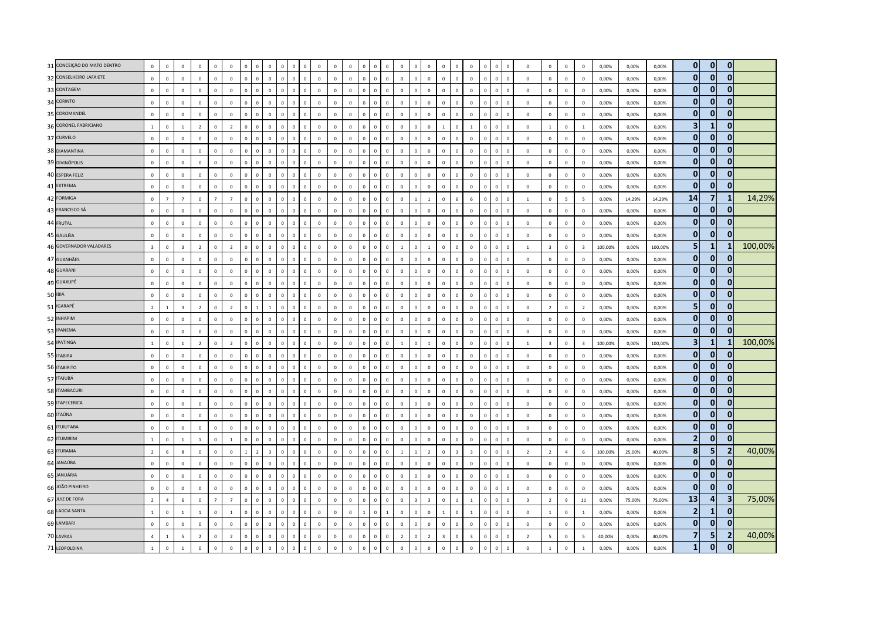| 31 CONCEIÇÃO DO MATO DENTRO | $\mathbb O$             | $\mathbf 0$    | $\mathbf 0$             | $\mathbf 0$    | $\mathbf 0$    | $\mathbf 0$    | $\mathbf 0$  | $\Omega$       | $\mathbf 0$  | $\Omega$<br>$\Omega$           | $^{\circ}$  | $\mathbf 0$  | $\mathbf 0$  | $\overline{0}$          | $\Omega$     | $^{\circ}$     | $\mathbf 0$  | $\overline{0}$ | $\Omega$       | $\mathbf 0$             | $\mathbf 0$             | $\mathbf 0$    | $\mathbf{0}$            | $\mathbf 0$  | $\overline{\mathbf{0}}$ |              | $\mathbf 0$             | $\mathbf 0$             | $\mathbf{0}$             | $\mathbf 0$             | 0,00%   | 0,00%  | 0,00%   | $\mathbf{0}$            | $\mathbf{0}$   | $\mathbf 0$    |         |
|-----------------------------|-------------------------|----------------|-------------------------|----------------|----------------|----------------|--------------|----------------|--------------|--------------------------------|-------------|--------------|--------------|-------------------------|--------------|----------------|--------------|----------------|----------------|-------------------------|-------------------------|----------------|-------------------------|--------------|-------------------------|--------------|-------------------------|-------------------------|--------------------------|-------------------------|---------|--------|---------|-------------------------|----------------|----------------|---------|
| 32 CONSELHEIRO LAFAIETE     | $\mathbb O$             | $\mathbf 0$    | $\mathbf 0$             | $\mathbf 0$    | $\mathbf{0}$   | $\mathbf 0$    | $\mathbf 0$  | $\mathbf 0$    | $\mathbf 0$  | $\mathbf 0$<br>$\circ$         | $\mathbb O$ | $\mathbf 0$  | $\mathbf 0$  | $\mathbf 0$             | $\mathbf 0$  | $\circ$        | $\mathbf 0$  | $\mathbb O$    | $\circ$        | $\mathbf 0$             | $\mathbf 0$             | $\mathbf 0$    | $\mathbf 0$             | $\mathbf 0$  | $\mathbf 0$             | $\mathbf{0}$ | $\mathbf 0$             | $\mathbf 0$             | $\mathbf 0$              | $\mathbf 0$             | 0,00%   | 0,00%  | 0,00%   | $\mathbf{0}$            | $\overline{0}$ | $\mathbf{0}$   |         |
| 33 CONTAGEM                 | $\mathbf 0$             | $\overline{0}$ | $\mathbf 0$             | $\mathbf 0$    | $\mathbb O$    | $\mathbf 0$    | $\mathbf 0$  | $\mathbf 0$    | $\Omega$     | $\Omega$<br>$\mathbf 0$        | $\Omega$    | $\mathbf 0$  | $\mathbf 0$  | $\mathbf 0$             | $\Omega$     | $\Omega$       | $\Omega$     | $\Omega$       | $\Omega$       | $\mathbf 0$             | $\Omega$                | $\Omega$       | $\Omega$                | $\mathbf 0$  | $\,$ 0                  | $\Omega$     | $\mathbb O$             | $\mathbf 0$             | $\mathbf 0$              | $\Omega$                | 0,00%   | 0,00%  | 0,00%   | $\bf{0}$                | $\mathbf{0}$   | $\mathbf{0}$   |         |
| 34 CORINTO                  | $\mathbf 0$             | $\,0\,$        | $\mathbf 0$             | $\mathbf 0$    | $\mathbf 0$    | $\mathbf 0$    | $\mathbf 0$  | $\mathbf 0$    | $\mathbf 0$  | $\mathbf{0}$<br>$\Omega$       | $\mathbb O$ | $\mathbf 0$  | $\mathbf 0$  | $\overline{0}$          | $\Omega$     | $\mathbf 0$    | $\mathbf 0$  | $\,$ 0         | $\mathbf{0}$   | $\mathbf 0$             | $\mathbf 0$             | $\mathbf 0$    | $\mathbf{0}$            | $\mathbf 0$  | $\,$ 0                  | $\Omega$     | $\circ$                 | $\,0\,$                 | $\mathbf 0$              | $\mathbf{0}$            | 0,00%   | 0,00%  | 0,00%   | $\mathbf{0}$            | $\mathbf{0}$   | $\mathbf{0}$   |         |
| 35 COROMANDEL               | $\mathbf 0$             | $\mathbb O$    | $\mathbf 0$             | $\mathbf 0$    | $\mathbb O$    | $\mathbf 0$    | $\mathbf 0$  | $\mathbf 0$    | $\mathbf 0$  | $\mathbf 0$<br>$\overline{0}$  | $\mathbf 0$ | $\mathbf 0$  | $\mathbf 0$  | $\mathsf 0$             | $\mathbf{0}$ | $\mathbf{0}$   | $\mathbf 0$  | $\mathbf 0$    | $\mathbf{0}$   | $\mathbf 0$             | $\mathbf 0$             | $\mathbf 0$    | $\mathbf{0}$            | $\mathbf 0$  | $\mathbf 0$             |              | $\mathbb O$             | $\mathbf 0$             | $\mathbf 0$              | $\mathbf 0$             | 0,00%   | 0,00%  | 0,00%   | $\mathbf{0}$            | $\mathbf{0}$   | $\mathbf{0}$   |         |
| 36 CORONEL FABRICIANO       | $\mathbf{1}$            | $\mathbf 0$    | $\mathbf{1}$            | $\overline{2}$ | $\mathbb O$    | $\overline{2}$ | $\mathbf 0$  | $\overline{0}$ | $\mathbf 0$  | $\mathbf 0$<br>$\mathbf{0}$    | $\mathbf 0$ | $\mathbf 0$  | $\mathbf 0$  | $\mathbf 0$             | $\mathbf{0}$ | $\overline{0}$ | $\mathbf 0$  | $\mathbf 0$    | $\mathbf 0$    | $\mathbf 0$             |                         | $\mathbf 0$    | $\mathbf{1}$            | $\mathbf 0$  | $\,$ 0                  |              | $\mathbb O$             | $\mathbf{1}$            | $\mathbf 0$              | $\mathbf{1}$            | 0,00%   | 0,00%  | 0,00%   | $\overline{\mathbf{3}}$ | $\mathbf{1}$   | $\mathbf{0}$   |         |
| 37 CURVELO                  | $\mathbf 0$             | $\overline{0}$ | $\mathbf{0}$            | $\mathbf{0}$   | $\overline{0}$ | $\mathbf{0}$   | $\mathbf{0}$ | $\mathbf{0}$   | $\mathbf{0}$ | $\Omega$<br>$\mathbf{0}$       | $\mathbf 0$ | $\mathbf{0}$ | $\mathbf{0}$ | $\overline{0}$          | $\Omega$     | $\Omega$       | $\Omega$     | $\mathbf 0$    | $\mathbf{0}$   | $\mathbf{0}$            | $\Omega$                | $\mathbf{0}$   | $\overline{0}$          | $\mathbf{0}$ | $\overline{0}$          | $\Omega$     | $\Omega$                | $\mathbf 0$             | $\mathbf{0}$             | $\Omega$                | 0.00%   | 0.00%  | 0.00%   | $\mathbf{0}$            | $\overline{0}$ | $\mathbf{0}$   |         |
| 38 DIAMANTINA               | $\mathbf 0$             | $\mathbf 0$    | $\mathbf 0$             | $\mathbf 0$    | $\mathbf{0}$   | $\mathbf 0$    | $\mathbf 0$  | $\mathbf 0$    | $\mathbf{0}$ | $\mathbb O$<br>$\mathbf 0$     | $\mathbb O$ | $\mathbf 0$  | $\mathbf 0$  | $\mathbf 0$             | $\mathbf{0}$ | $\mathbb O$    | $\mathbf 0$  | $\mathbf 0$    | $\mathbf{0}$   | $\mathbf 0$             | $\mathbf 0$             | $\mathbf 0$    | $\mathbf{0}$            | $\mathbf 0$  | $\mathbf 0$             | $\Omega$     | $\mathbf 0$             | $\mathbf 0$             | $\mathbf 0$              | $\mathbf{0}$            | 0,00%   | 0,00%  | 0,00%   | 0                       | $\mathbf{0}$   | $\mathbf{0}$   |         |
| 39 DIVINÓPOLIS              | $\mathbf 0$             | $\mathbf 0$    | $\mathbf 0$             | $\mathbf 0$    | $\mathbb O$    | $\mathbf 0$    | $\mathbf 0$  | $\overline{0}$ | $\mathbf 0$  | $\mathbf 0$<br>$\mathbf 0$     | $\mathbf 0$ | $\mathbf 0$  | $\mathbf 0$  | $\mathbf 0$             | $\mathbf{0}$ | $\overline{0}$ | $\mathbf 0$  | $\mathbf 0$    | $\mathbf 0$    | $\mathbf 0$             | $\mathbf 0$             | $\mathbf{0}$   | $\mathbf{0}$            | $\mathbf 0$  | $\mathbf 0$             |              | $\mathbb O$             | $\,0\,$                 | $\mathbf 0$              | $\mathbf 0$             | 0,00%   | 0,00%  | 0,00%   | $\bf{0}$                | $\overline{0}$ | $\mathbf{0}$   |         |
| 40 ESPERA FELIZ             | $\Omega$                | $\mathbb O$    | $\mathbf 0$             | $\mathbf 0$    | $\mathbb O$    | $\Omega$       | $\mathbf{0}$ | $\mathbf{0}$   | $\Omega$     | $\overline{0}$<br>$\mathbf{0}$ | $\mathbb O$ | $\mathbf 0$  | $\mathbf 0$  | $\mathsf 0$             | $\Omega$     | $\mathbf{0}$   | $\mathbf{0}$ | $\overline{0}$ | $\mathbf{0}$   | $\mathbf 0$             | $\mathbf 0$             | $\mathbf{0}$   | $\Omega$                | $\mathbf 0$  | $\overline{0}$          | $\Omega$     | $\mathbf 0$             | $\mathbf 0$             | $\mathbf 0$              | $\mathbf 0$             | 0,00%   | 0,00%  | 0,00%   | $\mathbf{0}$            | $\Omega$       | $\mathbf{0}$   |         |
| 41 EXTREMA                  | $\mathbf 0$             | $\mathbb O$    | $\Omega$                | $\Omega$       | $\mathbb O$    | $\mathbf{0}$   | $\mathbf{0}$ | $\mathbf{0}$   | $\Omega$     | $\Omega$<br>$\Omega$           | $\Omega$    | $\Omega$     | $\mathbf{0}$ | $\Omega$                | $\Omega$     | $\Omega$       | $\Omega$     | $\Omega$       | $\Omega$       | $\mathbf{0}$            | $\Omega$                | $\Omega$       | $\Omega$                | $\mathbf{0}$ | $\mathbf 0$             | $\Omega$     | $\Omega$                | $\mathbf{0}$            | $\mathbf 0$              | $\Omega$                | 0,00%   | 0,00%  | 0,00%   | $\mathbf{0}$            | $\mathbf{0}$   | $\bf{0}$       |         |
| 42 FORMIGA                  | $\mathbf 0$             | $\overline{7}$ | $\overline{7}$          | $\mathbf 0$    | $\overline{7}$ | $\overline{7}$ | $\mathbf 0$  | $\Omega$       | $\mathbf 0$  | $\Omega$<br>$\Omega$           | $\Omega$    | $\mathbf 0$  | $\mathbf 0$  | $\overline{0}$          | $\Omega$     | $\overline{0}$ | $\Omega$     | $\mathbf 0$    |                | $\overline{1}$          | $\overline{0}$          | 6              | 6                       | $\mathbf 0$  | $\mathbf 0$             |              | $\overline{1}$          | $\mathbf 0$             | $\overline{\phantom{a}}$ | $\overline{5}$          | 0,00%   | 14,29% | 14,29%  | 14                      | $\overline{7}$ | 1              | 14,29%  |
| 43 FRANCISCO SÁ             | $\mathbf 0$             | $\mathbf 0$    | $\mathbf{0}$            | $\mathbf 0$    | $\mathbb O$    | $\mathbf 0$    | $\mathbf 0$  | $\mathbf{0}$   | $\Omega$     | $\mathbf 0$<br>$\mathbf{0}$    | $\Omega$    | $\mathbf 0$  | $\mathbf 0$  | $\mathsf 0$             | $\Omega$     | $\mathbf{0}$   | $\mathbf 0$  | $\mathbf 0$    | $\Omega$       | $\mathbf 0$             | $\overline{0}$          | $\mathbf 0$    | $\Omega$                | $\mathbf 0$  | $\mathbf 0$             | $\Omega$     | $\mathbf 0$             | $\mathbf 0$             | $\mathbf 0$              | $\mathbf 0$             | 0,00%   | 0,00%  | 0,00%   | $\mathbf{0}$            | $\mathbf{0}$   | $\mathbf{0}$   |         |
| 44 FRUTAL                   | $\circ$                 | $\mathbf 0$    | $\mathbf 0$             | $\mathbf 0$    | $\mathbb O$    | $\mathbf 0$    | $\mathbf 0$  | $\Omega$       | $\mathbf 0$  | $\mathbf 0$<br>$\mathbf{0}$    | $\mathbf 0$ | $\mathbf 0$  | $\mathbf 0$  | $\mathbf 0$             | $\Omega$     | $\overline{0}$ | $\mathbf 0$  | $\mathbf 0$    | $\mathbf 0$    | $\mathbf 0$             | $\mathbf 0$             | $\mathbf 0$    | $\Omega$                | $\mathbf 0$  | $\mathbf 0$             |              | $\mathbf 0$             | $\mathbf 0$             | $\mathbf 0$              | $\mathbf 0$             | 0,00%   | 0,00%  | 0,00%   | $\mathbf{0}$            | $\overline{0}$ | $\mathbf{0}$   |         |
| 45 GALILÉIA                 | $\mathbf 0$             | $\mathbf 0$    | $\mathbf 0$             | $\mathbf 0$    | $\mathbb O$    | $\mathbf 0$    | $\mathbf 0$  | $\mathbf{0}$   | $\mathbf 0$  | $\circ$<br>$\Omega$            | $\mathbb O$ | $\mathbf 0$  | $\mathbf 0$  | $\,$ 0                  | $\Omega$     | $\Omega$       | $\mathbf 0$  | $\mathbf 0$    | $\Omega$       | $\Omega$                | $\Omega$                | $\mathbf{0}$   | $\Omega$                | $\mathbf 0$  | $\mathbf 0$             | $\Omega$     | $\mathbf 0$             | $\mathbf 0$             | $\mathbf 0$              | $\mathbf{0}$            | 0,00%   | 0,00%  | 0,00%   | $\mathbf{0}$            | $\mathbf{0}$   | $\mathbf{0}$   |         |
| 46 GOVERNADOR VALADARES     | $\overline{\mathbf{3}}$ | $\mathbf 0$    | $\overline{\mathbf{3}}$ | $\overline{2}$ | $\mathbb O$    | $\overline{2}$ | $\mathbf 0$  | $\mathbf 0$    | $\mathbf 0$  | $\overline{0}$<br>$\mathbf 0$  | $\mathbf 0$ | $\mathbf 0$  | $\mathbf 0$  | $\mathbf 0$             | $\mathbf{0}$ | $\mathbf{0}$   | $\mathbf 0$  | $\overline{1}$ | $\mathbf{0}$   | $\mathbf{1}$            | $\mathbf 0$             | $\,0\,$        | $\mathbf 0$             | $\mathbf 0$  | $\mathbf 0$             | $\Omega$     | $\mathbf{1}$            | $\overline{\mathbf{3}}$ | $\mathbf 0$              | $\overline{\mathbf{3}}$ | 100,00% | 0,00%  | 100,00% | 5                       | $\mathbf{1}$   |                | 100,00% |
| 47 GUANHÃES                 | $\mathbf 0$             | $\,$ 0         | $\mathbf 0$             | $\mathbf 0$    | $\mathbb O$    | $\mathbf 0$    | $\mathbf 0$  | $\mathbf 0$    | $\mathbf 0$  | $\Omega$<br>$\Omega$           | $\mathbf 0$ | $\mathbf 0$  | $\mathbf 0$  | $\overline{0}$          | $\Omega$     | $\mathbf 0$    | $\Omega$     | $\overline{0}$ | $\Omega$       | $\mathbf 0$             | $\overline{0}$          | $\Omega$       | $\mathbf{0}$            | $\mathbf 0$  | $\mathbf 0$             |              | $\mathbf 0$             | $\mathbf 0$             | $\mathbf 0$              | $\mathbf 0$             | 0,00%   | 0,00%  | 0,00%   | $\mathbf{0}$            | $\Omega$       | $\mathbf{0}$   |         |
| 48 GUARANI                  | $\mathbf 0$             | $\mathbf 0$    | $\mathbf 0$             | $\mathbf 0$    | $\mathbb O$    | $\mathbf 0$    | $\mathbf 0$  | $\mathbf 0$    | $\mathbf 0$  | $\overline{0}$<br>$\mathbf{0}$ | $\mathbb O$ | $\mathbf 0$  | $\mathbf 0$  | $\,$ 0                  | $\Omega$     | $\mathbb O$    | $\mathbf 0$  | $\mathbf 0$    | $\mathbf{0}$   | $\mathbf 0$             | $\overline{0}$          | $\mathbb O$    | $\mathbf{0}$            | $\mathbf 0$  | $\mathbf 0$             | $\Omega$     | $\mathbf 0$             | $\mathbf 0$             | $\mathbf 0$              | $\mathbb O$             | 0,00%   | 0,00%  | 0,00%   | $\mathbf{0}$            | $\overline{0}$ | $\mathbf{0}$   |         |
| 49 GUAXUPÉ                  | $\mathbf 0$             | $\mathbf 0$    | $\mathbf{0}$            | $^{\circ}$     | $\mathbb O$    | $\mathbf 0$    | $\mathbf 0$  | $\Omega$       | $\mathbf{0}$ | $\mathbf{0}$<br>$\Omega$       | $\mathbf 0$ | $\mathbf{0}$ | $\mathbf 0$  | $\mathsf 0$             | $\Omega$     | $\mathbf{0}$   | $\mathbf 0$  | $\mathbf 0$    | $\mathbf{0}$   | $\mathbf 0$             | $\mathbf{0}$            | $\mathbf{0}$   | $\mathbf{0}$            | $\mathbf 0$  | $\,$ 0                  | $\Omega$     | $\mathbf{0}$            | $\mathbf 0$             | $\mathbf 0$              | $^{\circ}$              | 0,00%   | 0,00%  | 0,00%   | $\mathbf{0}$            | $\overline{0}$ | $\mathbf{0}$   |         |
| 50 IBIÁ                     | $\mathbf 0$             | $\mathbf 0$    | $\mathbf 0$             | $\mathbf 0$    | $\mathbf 0$    | $\mathbf 0$    | $\mathbf 0$  | $\mathbf 0$    | $\mathbf 0$  | $\mathbf{0}$<br>$\overline{0}$ | $\Omega$    | $\mathbf 0$  | $\mathbf 0$  | $\mathsf 0$             | $\Omega$     | $\overline{0}$ | $\mathbf 0$  | $\mathbf 0$    | $\mathbf{0}$   | $\circ$                 | $\overline{0}$          | $\mathbf{0}$   | $\mathbf{0}$            | $\mathbf 0$  | $\mathbf 0$             |              | $\circ$                 | $\mathbf 0$             | $\mathbf 0$              | $\mathbf 0$             | 0,00%   | 0,00%  | 0,00%   | $\mathbf{0}$            | $\mathbf{0}$   | $\mathbf{0}$   |         |
| 51 IGARAPÉ                  | $\overline{2}$          | $\mathbf{1}$   | $\overline{\mathbf{3}}$ | $\overline{2}$ | $\mathbb O$    | $\overline{2}$ | $\mathbf 0$  | $\overline{1}$ | $\mathbf{1}$ | $\overline{0}$<br>$\mathbf 0$  | $\mathbf 0$ | $\mathbf 0$  | $\mathbf 0$  | $\mathsf 0$             | $\mathbf{0}$ | $\mathbf{0}$   | $\mathbf 0$  | $\mathbf 0$    | $\mathbb O$    | $\mathbf 0$             | $\mathbf 0$             | $\mathbf 0$    | $\mathbf{0}$            | $\mathbf 0$  | $\mathbf 0$             | $\Omega$     | $\mathbf 0$             | $\overline{2}$          | $\mathbf 0$              | $\overline{2}$          | 0,00%   | 0,00%  | 0,00%   | 5                       | $\mathbf{0}$   | $\mathbf{0}$   |         |
| 52 INHAPIM                  | $\mathbf 0$             | $\mathbb O$    | $\mathbf 0$             | $\mathbf 0$    | $\mathbb O$    | $\mathbf 0$    | $\mathbf 0$  | $\overline{0}$ | $\mathbf 0$  | $\mathbf 0$<br>$\Omega$        | $\mathbf 0$ | $\mathbf 0$  | $\mathbf 0$  | $\mathsf 0$             |              | $\overline{0}$ | $\mathbf 0$  | $\mathbf 0$    | $\mathbf 0$    | $\mathbf 0$             | $\mathbf 0$             | $\mathbf 0$    | $\mathbf{0}$            | $\mathbf 0$  | $\mathbf 0$             |              | $\mathbb O$             | $\mathbf 0$             | $\mathbf 0$              | $\mathbf{0}$            | 0,00%   | 0,00%  | 0,00%   | $\bf{0}$                | $\mathbf{0}$   | $\mathbf{0}$   |         |
| 53 IPANEMA                  | $\mathbf 0$             | $\Omega$       | $\Omega$                | $\Omega$       | $\mathbf 0$    | $\Omega$       | $\mathbf{0}$ | $\Omega$       | $\Omega$     | $\Omega$<br>$\Omega$           | $\Omega$    | $\Omega$     | $\mathbf 0$  | $\overline{0}$          | $\Omega$     | $\Omega$       | $\Omega$     | $\overline{0}$ | $\Omega$       | $\Omega$                | $\Omega$                | $\Omega$       | $\Omega$                | $\mathbf{0}$ | $\overline{0}$          |              | $\Omega$                | $\mathbf 0$             | $\Omega$                 | $\Omega$                | 0,00%   | 0,00%  | 0,00%   | $\mathbf{0}$            | $\overline{0}$ | $\mathbf{0}$   |         |
| 54 IPATINGA                 | 1                       | $\mathbf 0$    | $1\,$                   | $\overline{2}$ | $\mathbf{0}$   | $\overline{2}$ | $\mathbf 0$  | $\mathbf{0}$   | $\mathbf 0$  | $\mathbf 0$<br>$\mathbf 0$     | $\mathbb O$ | $\mathbf{0}$ | $\mathbf 0$  | $\mathbf 0$             | $\mathbf{0}$ | $\circ$        | $\mathbf 0$  | $\overline{1}$ | $\mathbf{0}$   | $\mathbf{1}$            | $\mathbf 0$             | $\mathbb O$    | $\mathbf{0}$            | $\mathbf 0$  | $\mathbf 0$             | $\Omega$     | $\mathbf{1}$            | $\overline{\mathbf{3}}$ | $\mathbf 0$              | $\overline{\mathbf{3}}$ | 100,00% | 0,00%  | 100,00% | 3                       | $\mathbf{1}$   | 1              | 100,00% |
| 55 ITABIRA                  | $\mathbf 0$             | $\mathbf 0$    | $\mathbf 0$             | $\mathbf 0$    | $\mathbb O$    | $\mathbf 0$    | $\mathbf 0$  | $\overline{0}$ | $\mathbf 0$  | $\mathbf 0$<br>$\mathbf 0$     | $\mathbf 0$ | $\mathbf 0$  | $\mathbf 0$  | $\mathsf 0$             | $\mathbf{0}$ | $\mathbf 0$    | $\mathbf 0$  | $\overline{0}$ | $\mathbf{0}$   | $\mathbf 0$             | $\mathbf 0$             | $\mathbf{0}$   | $\mathbf{0}$            | $\mathbf 0$  | $\,$ 0                  |              | $\mathbb O$             | $\mathbf 0$             | $\mathbf 0$              | $\mathbf 0$             | 0,00%   | 0,00%  | 0,00%   | $\mathbf{0}$            | $\overline{0}$ | $\mathbf{0}$   |         |
| 56 ITABIRITO                | $\mathbf 0$             | $\overline{0}$ | $\mathbf{0}$            | $\mathbf{0}$   | $\mathbf 0$    | $\mathbf{0}$   | $\mathbf{0}$ | $\mathbf{0}$   | $\mathbf{0}$ | $\Omega$<br>$\mathbf{0}$       | $\mathbf 0$ | $\mathbf{0}$ | $\mathbf{0}$ | $\overline{0}$          | $\Omega$     | $\mathbf{0}$   | $\mathbf{0}$ | $\mathbf 0$    | $\mathbf{0}$   | $\mathbf{0}$            | $\mathbf{0}$            | $\mathbf{0}$   | $\Omega$                | $\mathbf{0}$ | $\overline{0}$          | $\Omega$     | $\overline{0}$          | $\mathbf 0$             | $\mathbf{0}$             | $\Omega$                | 0.00%   | 0.00%  | 0.00%   | $\mathbf{0}$            | $\mathbf{0}$   | $\bf{0}$       |         |
| 57 ITAJUBÁ                  | $\overline{0}$          | $\overline{0}$ | $\Omega$                | $\Omega$       | $\mathbf 0$    | $\Omega$       | $\mathbf 0$  | $\mathbf 0$    | $\mathbf 0$  | $\Omega$<br>$\Omega$           | $^{\circ}$  | $\Omega$     | $\mathbf{0}$ | $\mathsf 0$             | $\Omega$     | $\overline{0}$ | $\Omega$     | $\Omega$       | $\Omega$       | $\mathbf 0$             | $\mathbf 0$             | $\mathbf{0}$   | $\Omega$                | $\mathbf 0$  | $\,$ 0                  | $\Omega$     | $\mathbf 0$             | $\mathbf 0$             | $\mathbf 0$              | $\mathbf{0}$            | 0.00%   | 0,00%  | 0,00%   | $\mathbf{0}$            | $\bf{0}$       | $\bf{0}$       |         |
| 58 ITAMBACURI               | $\mathbf 0$             | $\,$ 0         | $\mathbf 0$             | $\,0\,$        | $\mathbb O$    | $\mathbf 0$    | $\mathbf 0$  | $\mathbf{0}$   | $\pmb{0}$    | $\overline{0}$<br>$\Omega$     | $\mathbf 0$ | $\mathbf 0$  | $\mathbf 0$  | $\overline{\mathbf{0}}$ | $\Omega$     | $\overline{0}$ | $\mathbf 0$  | $\mathbf 0$    | $\mathbf 0$    | $\circ$                 | $\overline{0}$          | $\mathbb O$    | $\mathbf{0}$            | $\mathbf 0$  | $\,$ 0                  |              | $\,0\,$                 | $\mathbf 0$             | $\mathbf 0$              | $\mathbb O$             | 0,00%   | 0,00%  | 0,00%   | $\mathbf{0}$            | $\mathbf{0}$   | $\mathbf{0}$   |         |
| 59 ITAPECERICA              | $\overline{0}$          | $\overline{0}$ | $\mathbf 0$             | $\mathbf 0$    | $\mathbb O$    | $\mathbf 0$    | $\mathbf 0$  | $\mathbf 0$    | $\mathbf 0$  | $\mathbb O$<br>$\mathbf 0$     | $\mathbf 0$ | $\mathbf 0$  | $\mathbf 0$  | $\mathsf 0$             | $\mathbf{0}$ | $\mathbb O$    | $\mathbf 0$  | $\mathbf 0$    | $\mathbf{0}$   | $\mathbf 0$             | $\mathbf 0$             | $\mathbf 0$    | $\mathbf{0}$            | $\mathbf 0$  | $\mathbf 0$             |              | $\mathbb O$             | $\mathbf 0$             | $\mathbf 0$              | $\mathbf 0$             | 0,00%   | 0,00%  | 0,00%   | $\bf{0}$                | $\overline{0}$ | $\mathbf{0}$   |         |
| 60 ITAÚNA                   | $\overline{0}$          | $\overline{0}$ | $\Omega$                | $\Omega$       | $\mathbf 0$    | $\Omega$       | $\mathbf{0}$ | $\mathbf 0$    | $\Omega$     | $\Omega$<br>$\Omega$           | $\Omega$    | $\Omega$     | $\mathbf 0$  | $\mathbf{0}$            | $\Omega$     | $\Omega$       | $\Omega$     | $\Omega$       | $\Omega$       | $\mathbf{0}$            | $\Omega$                | $\Omega$       | $\Omega$                | $\mathbf 0$  | $\,$ 0                  | $\Omega$     | $\Omega$                | $\Omega$                | $\mathbf{0}$             | $\Omega$                | 0.00%   | 0,00%  | 0.00%   | 0                       | $\Omega$       | $\mathbf{0}$   |         |
| 61 <b>ITUIUTABA</b>         | $\mathbf 0$             | $\mathbf 0$    | $\mathbf 0$             | $\mathbf 0$    | $\mathbb O$    | $\mathbf 0$    | $\mathbf 0$  | $\Omega$       | $\mathbf 0$  | $\Omega$<br>$\Omega$           | $\mathbf 0$ | $\mathbf 0$  | $\mathbf 0$  | $\mathsf 0$             | $\Omega$     | $\overline{0}$ | $\mathbf 0$  | $\mathbf 0$    | $\Omega$       | $\mathbb O$             | $\overline{0}$          | $\mathbf{0}$   | $\mathbf{0}$            | $\mathbf 0$  | $\mathbf 0$             | $\Omega$     | $\mathbf 0$             | $\mathbf 0$             | $\mathbf 0$              | $\mathbf 0$             | 0,00%   | 0,00%  | 0,00%   | 0                       | $\Omega$       | $\bf{0}$       |         |
| 62 ITUMIRIM                 | $\mathbf{1}$            | $\mathbf 0$    | $\mathbf{1}$            | $\,$ 1         | $\mathbb O$    | $1\,$          | $\mathbf 0$  | $\mathbf 0$    | $\mathbf 0$  | $\,0\,$<br>$\mathbf 0$         | $\mathbb O$ | $\mathbf 0$  | $\mathbf 0$  | $\mathbf 0$             | $\mathbf{0}$ | $\mathbf 0$    | $\mathbf 0$  | $\mathbf 0$    | $\mathbf{0}$   | $\mathbf 0$             | $\mathbf 0$             | $\mathbf 0$    | $\mathbf{0}$            | $\mathbf 0$  | $\mathbf 0$             | $\Omega$     | $\mathbb O$             | $\mathbf 0$             | $\mathbf 0$              | $\mathbb O$             | 0,00%   | 0,00%  | 0,00%   | $\mathbf{2}$            | $\mathbf{0}$   | $\mathbf{0}$   |         |
| 63 ITURAMA                  | $\overline{2}$          | 6              | 8                       | $\mathbf 0$    | $\mathbb O$    | $\mathbf 0$    | $\mathbf{1}$ | $\overline{z}$ | 3            | $\Omega$<br>$\mathbf{0}$       | $\Omega$    | $\mathbf 0$  | $\mathbf 0$  | $\Omega$                | $\Omega$     | $\overline{0}$ | $\Omega$     | $\overline{1}$ |                | $\overline{z}$          | $\mathbf 0$             | $\overline{3}$ | $\overline{3}$          | $\mathbf 0$  | $\,$ 0                  |              | $\overline{z}$          | $\overline{2}$          | $\overline{4}$           | 6                       | 100,00% | 25,00% | 40,00%  | 8                       | 5              | $\overline{2}$ | 40,00%  |
| 64 JANAÚBA                  | $\mathbf 0$             | $\Omega$       | $\Omega$                | $\Omega$       | $\mathbf{0}$   | $\mathbf{0}$   | $\mathbf{0}$ | $\mathbf{0}$   | $\Omega$     | $\mathbf{0}$<br>$\Omega$       | $\Omega$    | $\Omega$     | $\mathbf{0}$ | $\overline{0}$          | $\Omega$     | $\mathbf{0}$   | $\Omega$     | $\Omega$       | $\Omega$       | $\Omega$                | $\Omega$                | $\mathbf{0}$   | $\Omega$                | $\mathbf{0}$ | $\overline{0}$          |              | $\Omega$                | $\mathbf{0}$            | $\Omega$                 | $\Omega$                | 0,00%   | 0.00%  | 0,00%   | $\mathbf{0}$            | $\overline{0}$ | $\mathbf{0}$   |         |
| 65 JANUÁRIA                 | $\overline{0}$          | $\,0\,$        | $\mathbf 0$             | $\mathbf 0$    | $\circ$        | $\mathbf 0$    | $\mathbf 0$  | $\Omega$       | $\mathbf 0$  | $\Omega$<br>$\Omega$           | $\mathbf 0$ | $\mathbf 0$  | $\mathbf 0$  | $\mathbf 0$             | $\Omega$     | $\mathbb O$    | $\mathbf 0$  | $\mathbf 0$    | $\mathbf{0}$   | $\circ$                 | $\Omega$                | $\mathbf 0$    | $\mathbf{0}$            | $\mathbf 0$  | $\,$ 0                  | $\Omega$     | $\overline{0}$          | $\mathbf 0$             | $\mathbf{0}$             | $^{\circ}$              | 0,00%   | 0,00%  | 0,00%   | $\mathbf{0}$            | $\overline{0}$ | 0              |         |
| 66 JOÃO PINHEIRO            | $\mathbf 0$             | $\mathbf 0$    | $\mathbf 0$             | $\mathbf 0$    | $\mathbb O$    | $\mathbf 0$    | $\mathbf 0$  | $\mathbf 0$    | $\mathbf 0$  | $\mathbf{0}$<br>$\Omega$       | $\Omega$    | $\mathbf 0$  | $\mathbf 0$  | $\overline{0}$          | $\Omega$     | $\overline{0}$ | $\mathbf 0$  | $\mathbf 0$    | $\mathbf{0}$   | $\mathbf 0$             | $\overline{0}$          | $\mathbf{0}$   | $\Omega$                | $\mathbf 0$  | $\mathbf 0$             |              | $\mathbf 0$             | $\mathbf 0$             | $\mathbf 0$              | $\mathbf 0$             | 0,00%   | 0,00%  | 0,00%   | $\mathbf{0}$            | $\Omega$       | $\Omega$       |         |
| 67 JUIZ DE FORA             | $\overline{2}$          | $\overline{4}$ | 6                       | $\mathbb O$    | $\overline{7}$ | $\overline{7}$ | $\mathbf 0$  | $\mathbf 0$    | $\mathbf 0$  | $\overline{0}$<br>$\mathbf 0$  | $\mathbf 0$ | $\mathbf 0$  | $\mathbf 0$  | $\mathsf 0$             | $\mathbf{0}$ | $\mathbf{0}$   | $\mathbf 0$  | $\mathbf 0$    | $\overline{3}$ | $\overline{\mathbf{3}}$ | $\mathbf 0$             | $\,$ 1 $\,$    | $\overline{1}$          | $\mathbf 0$  | $\mathbf 0$             | $\Omega$     | $\overline{\mathbf{3}}$ | $\overline{2}$          | 9                        | 11                      | 0,00%   | 75,00% | 75,00%  | 13                      | 4              | 3              | 75,00%  |
| 68 LAGOA SANTA              | $\overline{1}$          | $\mathbb O$    | $\mathbf{1}$            | $1\,$          | $\mathbb O$    | $\overline{1}$ | $\mathbf 0$  | $\Omega$       | $\Omega$     | $\Omega$<br>$\Omega$           | $\mathbf 0$ | $\Omega$     | $\mathbf{0}$ | $\mathbf{0}$            |              | $\mathbb O$    | $\mathbf{1}$ | $\Omega$       | $\Omega$       | $\Omega$                | $\mathbf{1}$            | $\Omega$       | $\overline{1}$          | $\mathbf 0$  | $\mathbf 0$             | $\Omega$     | $\Omega$                | $\overline{1}$          | $\mathbf{0}$             | $\mathbf{1}$            | 0.00%   | 0.00%  | 0,00%   | $\overline{2}$          | 1              | 0              |         |
| 69 LAMBARI                  | $\mathbf 0$             | $\,0\,$        | $\Omega$                | $\Omega$       | $\mathbf 0$    | $\mathbf 0$    | $\mathbf{0}$ | $\Omega$       | $\mathbf 0$  | $\Omega$<br>$\Omega$           | $\Omega$    | $\Omega$     | $\mathbf{0}$ | $\overline{0}$          | $\Omega$     | $\Omega$       | $\Omega$     | $\overline{0}$ | $\Omega$       | $\mathbf 0$             | $\Omega$                | $\mathbf{0}$   | $\Omega$                | $\mathbf{0}$ | $\,$ 0                  | $\Omega$     | $\mathbf 0$             | $\,0\,$                 | $\Omega$                 | $\Omega$                | 0,00%   | 0,00%  | 0,00%   | $\mathbf{0}$            | $\Omega$       | $\mathbf{0}$   |         |
| 70 LAVRAS                   | $\overline{4}$          | $\mathbf{1}$   | 5                       | $\overline{2}$ | $\mathbf 0$    | $\overline{2}$ | $\mathbf 0$  | $\mathbf 0$    | $\mathbf 0$  | $\mathbb O$<br>$\mathbf 0$     | $\mathbf 0$ | $\mathbf 0$  | $\mathbf 0$  | $\mathsf 0$             | $\Omega$     | $\mathbf 0$    | $\mathbf 0$  | $\overline{2}$ | $\mathbf{0}$   | $\overline{2}$          | $\overline{\mathbf{3}}$ | $\mathbf 0$    | $\overline{\mathbf{3}}$ | $\mathbf 0$  | $\overline{0}$          | $\Omega$     | $\overline{2}$          | $\overline{5}$          | $\mathbf 0$              | 5                       | 40,00%  | 0,00%  | 40,00%  | $\overline{z}$          | 5              | $\overline{2}$ | 40,00%  |
| 71 LEOPOLDINA               | $\mathbf{1}$            | $\mathbb O$    | $\mathbf{1}$            | $\mathbf 0$    | $\mathbf 0$    | $\mathbf 0$    | $\mathbf 0$  |                | $\mathbf 0$  |                                |             | $\mathbf 0$  | $\mathbf 0$  | $\mathbf 0$             |              | $\Omega$       | $\mathbf 0$  | $\mathbf 0$    | $\Omega$       | $\Omega$                |                         |                | $\Omega$                | $\mathbf 0$  | $\overline{0}$          |              | $\Omega$                |                         | $\Omega$                 |                         | 0,00%   | 0,00%  | 0,00%   | $\mathbf{1}$            | $\overline{0}$ | $\mathbf{0}$   |         |
|                             |                         |                |                         |                |                |                |              |                |              |                                |             |              |              |                         |              |                |              |                |                |                         |                         |                |                         |              |                         |              |                         |                         |                          |                         |         |        |         |                         |                |                |         |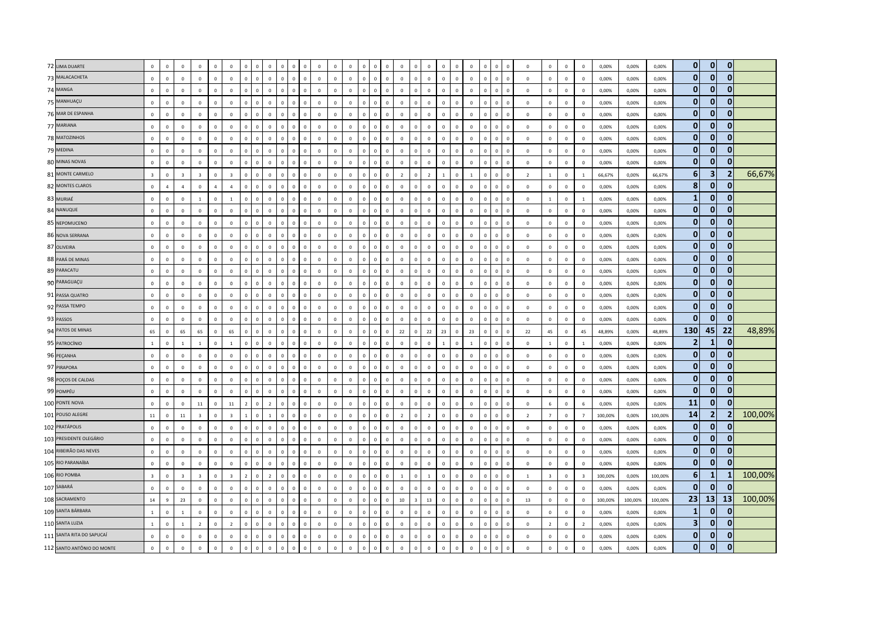| 72 LIMA DUARTE             | $\mathbf 0$             | $\overline{0}$ | $\mathbf 0$             | $\mathbf 0$             | $\mathbf 0$    | $\mathbf 0$             | $\mathbf 0$    | $\overline{0}$          | $\mathbf 0$    | $\circ$      | $\mathbf 0$                   | $\mathbf 0$  | $\mathbf 0$    | $\circ$        | $\,$ 0         | $\Omega$       | $\mathbf 0$  | $\mathbf 0$    | $\Omega$       | $\circ$        | $\mathbf 0$  | $\mathbf 0$    | $\mathbf 0$    | $\mathbf 0$  |                                | $\,$ 0         | $\mathbf 0$             | $\overline{0}$ | $\mathbf 0$    | 0,00%   | 0,00%   | 0,00%   | $\overline{0}$ | $\mathbf{0}$   | $\mathbf{0}$   |         |
|----------------------------|-------------------------|----------------|-------------------------|-------------------------|----------------|-------------------------|----------------|-------------------------|----------------|--------------|-------------------------------|--------------|----------------|----------------|----------------|----------------|--------------|----------------|----------------|----------------|--------------|----------------|----------------|--------------|--------------------------------|----------------|-------------------------|----------------|----------------|---------|---------|---------|----------------|----------------|----------------|---------|
| 73 MALACACHETA             | $\mathbf 0$             | $\mathbb O$    | $\mathbf 0$             | $\circ$                 | $\mathbf 0$    | $\mathbf 0$             | $\mathbf 0$    | $\mathbf 0$             | $\mathbf 0$    | $\mathbf{0}$ | $\mathbf 0$<br>$\mathbf 0$    | $\mathbf 0$  | $\mathbf 0$    | $\circ$        | $\mathbf 0$    | $\mathbf{0}$   | $\mathbf 0$  | $\mathbf 0$    | $\mathbf{0}$   | $\mathbf 0$    | $\mathbf{0}$ | $\mathbf 0$    | $\mathsf 0$    | $\mathbf 0$  | $\mathbf 0$<br>$\mathsf 0$     | $\mathbf 0$    | $\mathbf 0$             | $\mathbf 0$    | $\mathbf 0$    | 0,00%   | 0,00%   | 0,00%   | $\mathbf{0}$   | $\overline{0}$ | $\mathbf{0}$   |         |
| 74 MANGA                   | $\Omega$                | $\Omega$       | $\mathbf 0$             | $\Omega$                | $\circ$        | $\mathbf{0}$            | $\Omega$       | $\Omega$                | $\Omega$       | $\mathbf 0$  | $\Omega$<br>$\Omega$          | $\circ$      | $\overline{0}$ | $\overline{0}$ | $\mathsf 0$    | $\mathbf{0}$   | $\Omega$     | $\mathbf 0$    | $\Omega$       | $\circ$        | $\mathbf{0}$ | $\mathbb O$    | $\mathsf 0$    | $\Omega$     | $\Omega$<br>$\Omega$           | $\mathbf 0$    | $\overline{0}$          | $\Omega$       | $\Omega$       | 0,00%   | 0,00%   | 0,00%   | $\mathbf{0}$   | $\mathbf{0}$   | $\mathbf{0}$   |         |
| 75 MANHUAÇU                | $\mathbf 0$             | $\,0\,$        | $\mathbf 0$             | $\circ$                 | $\mathbf 0$    | $\mathbf{0}$            | $\mathbf 0$    | $\mathbf 0$             | $\mathbf{0}$   | $\Omega$     | $\mathbf 0$<br>$\mathbf 0$    | $\circ$      | $\mathbf 0$    | $\overline{0}$ | $\overline{0}$ | $\mathbf{0}$   | $\mathbf 0$  | $\mathbf 0$    | $\mathbf 0$    | $\Omega$       | $\Omega$     | $\mathbb O$    | $\mathsf 0$    | $\mathbf 0$  | $\mathbf 0$<br>$\overline{0}$  | $\mathbf 0$    | $\,0\,$                 | $\overline{0}$ | $\mathbf 0$    | 0,00%   | 0,00%   | 0,00%   | $\mathbf{0}$   | $\mathbf{0}$   | $\mathbf{0}$   |         |
| 76 MAR DE ESPANHA          | $\mathbf 0$             | $\mathbf 0$    | $\mathbf 0$             | $\circ$                 | $\mathbf 0$    | $\mathbf{0}$            | $\mathbf 0$    | $\mathbf 0$             | $\mathbf 0$    | $\mathbf 0$  | $\mathbf 0$<br>$\mathbf{0}$   | $\circ$      | $\mathbf 0$    | $\circ$        | $\mathbf 0$    | $\mathbf{0}$   | $\mathbf 0$  | $\mathbf 0$    | $\mathbf 0$    | $\mathbf 0$    | $\mathbf{0}$ | $\mathbb O$    | $\mathsf 0$    | $\mathbf 0$  | $\mathbf 0$<br>$\mathbf 0$     | $\mathbf 0$    | $\mathbf 0$             | $\mathbf 0$    | $\mathbf 0$    | 0,00%   | 0,00%   | 0,00%   | $\mathbf{0}$   | $\mathbf{0}$   | $\mathbf{0}$   |         |
| 77 MARIANA                 | $\mathbf 0$             | $\pmb{0}$      | $\mathbf 0$             | $\mathbf 0$             | $\mathbf 0$    | $\mathbb O$             | $\mathbf 0$    | $\overline{0}$          | $\mathbf 0$    | $\mathbf 0$  | $\mathbf 0$<br>$\overline{0}$ | $\mathbf 0$  | $\,0\,$        | $\mathsf 0$    | $\,$ 0         | $\circ$        | $\mathsf 0$  | $\mathbf 0$    | $\mathbf 0$    | $\mathbf 0$    | $\mathbf{0}$ | $\mathbf 0$    | $\mathsf 0$    | $\pmb{0}$    | $\mathbf 0$<br>$\mathbf 0$     | $\mathbf 0$    | $\mathbb O$             | $\,0\,$        | $\mathbf 0$    | 0,00%   | 0,00%   | 0,00%   | $\bf{0}$       | $\Omega$       | $\mathbf{0}$   |         |
| 78 MATOZINHOS              | $\Omega$                | $\Omega$       | $\Omega$                | $\Omega$                | $\mathbf{0}$   | $\circ$                 | $\mathbf{0}$   | $\overline{0}$          | $\circ$        | $\mathbf{0}$ | $\Omega$<br>$\overline{0}$    | $\mathbf{0}$ | $\overline{0}$ | $\mathbf{0}$   | $\overline{0}$ | $\mathbf{0}$   | $\mathbf{0}$ | $\mathbf{0}$   | $\mathbf{0}$   | $\mathbf{0}$   | $\mathbf{0}$ | $\mathbf 0$    | $\mathbf{0}$   | $\mathbf{0}$ | $\Omega$<br>$\Omega$           | $\mathbf{0}$   | $\overline{0}$          | $\Omega$       | $\Omega$       | 0.00%   | 0.00%   | 0,00%   | $\overline{0}$ | $\mathbf{0}$   | $\mathbf{0}$   |         |
| 79 MEDINA                  | $\mathbf 0$             | $\mathbb O$    | $\mathbf 0$             | $\circ$                 | $\,0\,$        | $\mathbf{0}$            | $\mathbf 0$    | $\mathbf 0$             | $\mathbb O$    | $\mathbf 0$  | $\mathbf 0$<br>$\mathbf{0}$   | $\circ$      | $\mathbf 0$    | $\circ$        | $\mathsf 0$    | $\mathbf{0}$   | $\mathbf 0$  | $\mathbf 0$    | $\mathbf 0$    | $\Omega$       | $\Omega$     | $\mathbb O$    | $\mathsf 0$    | $\mathbf 0$  | $\mathbf 0$<br>$\mathbf 0$     | $\mathbb O$    | $\,0\,$                 | $\,0\,$        | $\mathbf 0$    | 0,00%   | 0,00%   | 0,00%   | $\mathbf{0}$   | $\mathbf{0}$   | $\mathbf{0}$   |         |
| 80 MINAS NOVAS             | $\overline{0}$          | $\pmb{0}$      | $\mathbf 0$             | $\mathbf 0$             | $\mathbf 0$    | $\mathbb O$             | $\mathbf{0}$   | $\overline{0}$          | $\mathbf 0$    | $\mathbf 0$  | $\mathbf 0$<br>$\mathsf 0$    | $\mathbf 0$  | $\,$ 0         | $\mathbf{0}$   | $\mathbf 0$    | $\mathbf{0}$   | $\mathsf 0$  | $\mathbf 0$    | $\mathbf 0$    | $\mathbf 0$    | $\mathbf{0}$ | $\mathbf 0$    | $\mathsf 0$    | $\mathbf 0$  | $\mathbf 0$<br>$\mathbf 0$     | $\mathbf 0$    | $\,$ 0                  | $\mathbf 0$    | $\mathbf 0$    | 0,00%   | 0,00%   | 0,00%   | $\mathbf{0}$   | $\mathbf{0}$   | $\mathbf{0}$   |         |
| 81 MONTE CARMELO           | $\overline{3}$          | $\overline{0}$ | $\overline{\mathbf{3}}$ | $\overline{\mathbf{3}}$ | $\circ$        | $\overline{\mathbf{3}}$ | $\mathbf 0$    | $\mathbf 0$             | $\mathbb O$    | $\mathbf{0}$ | $\mathbf{0}$<br>$\mathbf 0$   | $\mathbf{0}$ | $\mathbf 0$    | $\overline{0}$ | $\,$ 0         | $\mathbf{0}$   | $\mathbf 0$  | $\overline{2}$ | $\Omega$       | $\overline{2}$ | $\mathbf{1}$ | $\mathbf 0$    | $\overline{1}$ | $\mathbf 0$  | $\mathbf 0$<br>$\mathbf{0}$    | $\overline{2}$ | $\overline{1}$          | $\mathbf 0$    | $\overline{1}$ | 66,67%  | 0,00%   | 66,67%  | $6\phantom{1}$ | 3 <sup>1</sup> | $\overline{2}$ | 66,67%  |
| 82 MONTES CLAROS           | $\Omega$                | $\overline{a}$ | $\overline{a}$          | $\Omega$                | $\overline{4}$ | $\overline{4}$          | $\Omega$       | $\overline{0}$          | $\Omega$       | $\Omega$     | $\Omega$<br>$\Omega$          | $\Omega$     | $\mathbf 0$    | $\mathbf{0}$   | $\overline{0}$ | $\mathbf{0}$   | $\Omega$     | $\Omega$       | $\Omega$       | $\mathbf{0}$   | $\Omega$     | $\mathbf{0}$   | $\mathbf{0}$   | $\Omega$     | $\Omega$<br>$\Omega$           | $\mathbf{0}$   | $\mathbf 0$             | $\mathbf 0$    | $\Omega$       | 0,00%   | 0,00%   | 0,00%   | 8              | $\bf{0}$       | $\mathbf{0}$   |         |
| 83 MURIAÉ                  | $\mathbf 0$             | $\overline{0}$ | $\mathbf{0}$            | $\blacksquare$          | $\,0\,$        | $\overline{1}$          | $\mathbf 0$    | $\mathbf 0$             | $\mathbb O$    | $\Omega$     | $\mathbf 0$<br>$\mathbf 0$    | $\mathbb O$  | $\,0\,$        | $\mathbf 0$    | $\,$ 0         | $\circ$        | $\mathsf 0$  | $\mathbf 0$    | $\Omega$       | $\mathbf 0$    | $\mathbf 0$  | $\mathbb O$    | $\mathsf 0$    | $\mathbf 0$  | $\Omega$<br>$\Omega$           | $\,0\,$        | $\mathbf{1}$            | $\,0\,$        |                | 0,00%   | 0,00%   | 0,00%   | $\mathbf{1}$   | $\mathbf{0}$   | $\mathbf{0}$   |         |
| 84 NANUQUE                 | $\mathbf{0}$            | $\mathbf 0$    | $\mathbf{0}$            | $\Omega$                | $\circ$        | $\circ$                 | $\mathbf 0$    | $\mathbf 0$             | $\mathbf{0}$   | $\mathbf{0}$ | $\mathbf 0$<br>$\mathbf{0}$   | $\circ$      | $\mathbf 0$    | $\overline{0}$ | $\,$ 0         | $\mathbf{0}$   | $\mathbf 0$  | $\mathbf 0$    | $\mathbf{0}$   | $\mathbf{0}$   | $\mathbf{0}$ | $\mathbb O$    | $\mathsf 0$    | $\mathbf 0$  | $\mathbf 0$<br>$\mathbf{0}$    | $\mathbf 0$    | $\,$ 0                  | $\mathbf 0$    | $\mathbf 0$    | 0,00%   | 0,00%   | 0,00%   | $\mathbf{0}$   | $\mathbf{0}$   | $\mathbf{0}$   |         |
| 85 NEPOMUCENO              | $\mathbf 0$             | $\mathbf 0$    | $\mathbf{0}$            | $\mathbf{0}$            | $\mathbf 0$    | $\mathbf{0}$            | $\mathbf{0}$   | $\overline{0}$          | $\mathbb O$    | $\mathbf{0}$ | $\mathbf 0$<br>$\mathbb O$    | $\mathbf 0$  | $\mathbf 0$    | $\mathbf 0$    | $\mathsf 0$    | $\circ$        | $\mathbf{0}$ | $\mathbf 0$    | $\mathbf{0}$   | $\mathbf 0$    | $\mathbf{0}$ | $\mathbb O$    | $\mathsf 0$    | $\mathbf 0$  | $\mathbf 0$<br>$\Omega$        | $\mathbf 0$    | $\mathbf 0$             | $\overline{0}$ | $\mathbf 0$    | 0,00%   | 0,00%   | 0,00%   | $\mathbf{0}$   | $\mathbf{0}$   | $\mathbf{0}$   |         |
| 86 NOVA SERRANA            | $\mathbf 0$             | $\overline{0}$ | $\Omega$                | $\mathbf{0}$            | $\mathbf 0$    | $\mathbf{0}$            | $\mathbf 0$    | $\mathbf 0$             | $\mathbb O$    | $\Omega$     | $\mathbb O$<br>$\mathbf{0}$   | $\circ$      | $\mathbf 0$    | $\Omega$       | $\,$ 0         | $\mathbf{0}$   | $\mathbf 0$  | $\mathbf 0$    | $\Omega$       | $\Omega$       | $\Omega$     | $\mathbb O$    | $\mathsf 0$    | $\mathbf 0$  | $\Omega$<br>$\Omega$           | $\mathbf 0$    | $\overline{0}$          | $\mathbf 0$    | $\mathbf 0$    | 0,00%   | 0,00%   | 0,00%   | $\mathbf{0}$   | $\mathbf{0}$   | $\mathbf 0$    |         |
| 87 OLIVEIRA                | $\mathbf 0$             | $\pmb{0}$      | $\mathbf{0}$            | $\circ$                 | $\mathbf 0$    | $\mathbf{0}$            | $\mathbf 0$    | $\mathbf 0$             | $\mathbf 0$    | $\mathbf 0$  | $\mathbf 0$<br>$\mathbf 0$    | $\circ$      | $\mathbf 0$    | $\overline{0}$ | $\,$ 0         | $\mathbf{0}$   | $\mathsf 0$  | $\mathbf 0$    | $\mathbf 0$    | $\mathbf 0$    | $\mathbf{0}$ | $\mathbb O$    | $\mathsf 0$    | $\mathbf 0$  | $\,$ 0<br>$\mathbf{0}$         | $\mathbf 0$    | $\mathbf 0$             | $\,0\,$        | $\mathbf 0$    | 0,00%   | 0,00%   | 0,00%   | $\bf{0}$       | $\Omega$       | $\bf{0}$       |         |
| 88 PARÁ DE MINAS           | $\mathbf 0$             | $\overline{0}$ | $\mathbf 0$             | $\mathbf{0}$            | $\circ$        | $\mathbf 0$             | $\mathbf 0$    | $\overline{\mathbf{0}}$ | $\mathbb O$    | $\Omega$     | $\mathbf 0$<br>$\Omega$       | $\mathbf 0$  | $\mathbf 0$    | $\mathbf 0$    | $\,$ 0         | $\Omega$       | $\mathbf 0$  | $\mathbf 0$    | $\Omega$       | $\mathbf 0$    | $\mathbf 0$  | $\mathbb O$    | $\mathsf 0$    | $\mathbf 0$  | $\overline{0}$<br>$\Omega$     | $\,$ 0         | $\overline{0}$          | $\overline{0}$ | $\mathbf 0$    | 0,00%   | 0,00%   | 0,00%   | $\mathbf{0}$   | $\Omega$       | $\mathbf{0}$   |         |
| 89 PARACATU                | $\mathbf 0$             | $\mathbf 0$    | $\mathsf 0$             | $\circ$                 | $\mathbf 0$    | $\mathbf{0}$            | $\mathbf 0$    | $\mathbf 0$             | $\mathbb O$    | $\mathbf{0}$ | $\mathbf{0}$<br>$\mathbf 0$   | $\mathbf 0$  | $\mathbf 0$    | $\mathbf 0$    | $\,$ 0         | $\circ$        | $\mathbf 0$  | $\mathbf 0$    | $\mathbf{0}$   | $\mathbf 0$    | $\mathbf{0}$ | $\mathbb O$    | $\mathsf 0$    | $\mathbf 0$  | $\mathbf 0$<br>$\Omega$        | $\mathbf 0$    | $\mathbf 0$             | $\mathbf 0$    | $\Omega$       | 0,00%   | 0,00%   | 0,00%   | $\bf{0}$       | $\mathbf{0}$   | $\mathbf{0}$   |         |
| 90 PARAGUAÇU               | $\mathbf 0$             | $\mathbf 0$    | $\mathbf{0}$            | $\mathbf{0}$            | $\circ$        | $\mathbf{0}$            | $\mathsf 0$    | $\mathbf 0$             | $\mathbf{0}$   | $\mathbf 0$  | $\mathbf 0$<br>$\mathbf 0$    | $\mathbf{0}$ | $\mathbf 0$    | $\overline{0}$ | $\mathsf 0$    | $\circ$        | $\mathbf 0$  | $\mathbf 0$    | $\mathbf 0$    | $\mathbf 0$    | $\mathbf{0}$ | $\mathbb O$    | $\mathsf 0$    | $\mathbf 0$  | $\overline{0}$<br>$\mathbf{0}$ | $\mathbf{0}$   | $\mathbf 0$             | $\mathbf{0}$   | $\mathbf 0$    | 0,00%   | 0,00%   | 0,00%   | $\mathbf{0}$   | $\mathbf{0}$   | $\mathbf{0}$   |         |
| 91 PASSA QUATRO            | $\mathbf 0$             | $\overline{0}$ | $\mathbf 0$             | $\mathbf{0}$            | $\circ$        | $\mathbf{0}$            | $\mathbf 0$    | $\mathbf 0$             | $\mathbb O$    | $\circ$      | $\mathbf 0$<br>$\overline{0}$ | $\mathbf 0$  | $\mathbf 0$    | $\mathbf 0$    | $\,$ 0         | $\mathbf{0}$   | $\mathsf 0$  | $\mathbf 0$    | $\mathbf 0$    | $\mathbf 0$    | $\mathbf{0}$ | $\mathbf 0$    | $\mathsf 0$    | $\mathbf 0$  | $\mathbf 0$<br>$\overline{0}$  | $\,$ 0         | $\overline{0}$          | $\mathbf 0$    | $\mathbf 0$    | 0,00%   | 0,00%   | 0,00%   | $\mathbf{0}$   | $\mathbf{0}$   | $\mathbf{0}$   |         |
| 92 PASSA TEMPO             | $\mathbf 0$             | $\mathbf 0$    | $\mathbf 0$             | $\circ$                 | $\mathbf 0$    | $\mathbf{0}$            | $\mathbf 0$    | $\mathbf 0$             | $\mathbf 0$    | $\mathbf 0$  | $\mathbf 0$<br>$\mathbf 0$    | $\circ$      | $\mathbf 0$    | $\circ$        | $\mathbf 0$    | $\mathbf{0}$   | $\mathbf 0$  | $\mathbf 0$    | $\Omega$       | $\mathbf 0$    | $\mathbf{0}$ | $\mathbb O$    | $\mathsf 0$    | $\mathbf 0$  | $\mathbf 0$<br>$\mathbf 0$     | $\mathbf 0$    | $\mathbf 0$             | $\mathbf 0$    | $\mathbf 0$    | 0,00%   | 0,00%   | 0,00%   | $\mathbf{0}$   | $\mathbf{0}$   | $\overline{0}$ |         |
| 93 PASSOS                  | $\mathbf 0$             | $\mathbf 0$    | $\mathbf 0$             | $\circ$                 | $\mathbf 0$    | $\mathbf{0}$            | $\mathbf 0$    | $\overline{0}$          | $\mathbb O$    | $\mathbf 0$  | $\mathbf 0$<br>$\overline{0}$ | $\circ$      | $\mathbf 0$    | $\mathbf{0}$   | $\mathsf 0$    | $\circ$        | $\mathbf 0$  | $\mathbf 0$    | $\mathbf 0$    | $\mathbf 0$    | $\mathbf{0}$ | $\mathbf 0$    | $\mathsf 0$    | $\mathbf 0$  | $\mathbf 0$<br>$\Omega$        | $\mathbf 0$    | $\overline{0}$          | $\mathbf 0$    | $\mathbf 0$    | 0,00%   | 0,00%   | 0,00%   | $\mathbf{0}$   | $\mathbf{0}$   | $\mathbf{0}$   |         |
| 94 PATOS DE MINAS          | 65                      | $\Omega$       | 65                      | 65                      | $\circ$        | 65                      | $\Omega$       | $\overline{0}$          | $\Omega$       | $\Omega$     | $\Omega$<br>$\Omega$          | $\Omega$     | $\overline{0}$ | $\Omega$       | $\mathbf{0}$   | $\mathbf{0}$   | $\Omega$     | 22             | $\Omega$       | 22             | 23           | $\Omega$       | 23             | $\Omega$     | $\Omega$<br>$\Omega$           | 22             | 45                      | $\overline{0}$ | 45             | 48,89%  | 0,00%   | 48,89%  | 130            | 45             | 22             | 48,89%  |
| 95 PATROCÍNIO              | $\overline{1}$          | $\mathbb O$    | $\overline{1}$          | $\mathbf{1}$            | $\mathbf 0$    | $\mathbf{1}$            | $\mathbf 0$    | $\mathbf 0$             | $\mathbf{0}$   | $\mathbf{0}$ | $\mathbf 0$<br>$\mathbf 0$    | $\circ$      | $\mathbf 0$    | $\circ$        | $\,$ 0         | $\mathbf{0}$   | $\mathbf 0$  | $\mathbf 0$    | $\mathbf 0$    | $\mathbf{0}$   | 1            | $\mathbf 0$    | $\mathbf{1}$   | $\mathbf 0$  | $\mathbf 0$<br>$\mathbf 0$     | $\mathbf 0$    | $\overline{1}$          | $\,0\,$        | 1              | 0,00%   | 0,00%   | 0,00%   | $\overline{2}$ | $\mathbf{1}$   | $\mathbf{0}$   |         |
| 96 PEÇANHA                 | $\mathbf 0$             | $\pmb{0}$      | $\mathbf 0$             | $\mathbf 0$             | $\mathbf 0$    | $\mathbf{0}$            | $\mathbf{0}$   | $\overline{0}$          | $\mathbb O$    | $\mathbf 0$  | $\mathbf 0$<br>$\mathbf 0$    | $\mathbb O$  | $\mathbf 0$    | $\mathbf 0$    | $\mathsf 0$    | $\circ$        | $\mathbf 0$  | $\mathbf 0$    | $\mathbf{0}$   | $\mathbf 0$    | $\mathbf{0}$ | $\overline{0}$ | $\mathsf 0$    | $\mathbf 0$  | $\mathbf 0$<br>$\mathbf 0$     | $\mathbf 0$    | $\,$ 0                  | $\mathbf 0$    | $\mathbf 0$    | 0,00%   | 0,00%   | 0,00%   | $\bf{0}$       | $\mathbf{0}$   | $\mathbf{0}$   |         |
| 97 PIRAPORA                | $\Omega$                | $\mathbf 0$    | $\mathbf{0}$            | $\mathbf{0}$            | $\mathbf{0}$   | $\circ$                 | $\mathbf 0$    | $\overline{0}$          | $\mathbf{0}$   | $\mathbf{0}$ | $\mathbf{0}$<br>$\mathbf{0}$  | $\mathbf{0}$ | $\overline{0}$ | $\overline{0}$ | $\overline{0}$ | $\mathbf{0}$   | $\mathbf{0}$ | $\mathbf{0}$   | $\mathbf{0}$   | $\mathbf{0}$   | $\mathbf{0}$ | $\mathbf 0$    | $\mathbf{0}$   | $\mathbf{0}$ | $\Omega$<br>$\mathbf{0}$       | $\mathbf{0}$   | $\overline{0}$          | $\overline{0}$ | $\Omega$       | 0,00%   | 0,00%   | 0,00%   | $\mathbf{0}$   | $\mathbf{0}$   | $\mathbf{0}$   |         |
| 98 POÇOS DE CALDAS         | $\mathbf 0$             | $\mathbf 0$    | $\Omega$                | $\mathbf 0$             | $\mathbf 0$    | $\Omega$                | $\mathbf 0$    | $\mathbf 0$             | $\mathbf 0$    | $\Omega$     | $\mathbf 0$<br>$\mathbf 0$    | $\Omega$     | $\mathbf 0$    | $\mathbf{0}$   | $\mathsf 0$    | $\Omega$       | $\mathbf 0$  | $\mathbf 0$    | $\Omega$       | $\Omega$       | $\Omega$     | $\mathbf 0$    | $\mathbf{0}$   | $\mathbf 0$  | $\overline{0}$<br>$\Omega$     | $\,$ 0         | $\mathbb O$             | $\overline{0}$ | $\mathbf 0$    | 0,00%   | 0,00%   | 0,00%   | $\mathbf{0}$   | $\mathbf{0}$   | $\mathbf{0}$   |         |
| 99 POMPÉU                  | $\mathbf 0$             | $\mathbf 0$    | $\mathbf{0}$            | $\mathbf 0$             | $\mathbf 0$    | $\mathbb O$             | $\mathsf{o}\,$ | $\mathbf 0$             | $\mathbf 0$    | $\Omega$     | $\mathbf{0}$<br>$\mathbf 0$   | $\mathbb O$  | $\mathbf 0$    | $\mathbf 0$    | $\,$ 0         | $\circ$        | $\mathbf 0$  | $\mathbf 0$    | $\mathbf 0$    | $\mathbf 0$    | $\mathbf{0}$ | $\mathbb O$    | $\mathbf 0$    | $\mathbb O$  | $\overline{0}$<br>$\mathbf 0$  | $\,0\,$        | $\mathbf 0$             | $\,0\,$        | $\mathbf 0$    | 0,00%   | 0,00%   | 0,00%   | $\mathbf{0}$   | $\mathbf{0}$   | $\mathbf{0}$   |         |
| 100 PONTE NOVA             | $\mathbf 0$             | $\mathbf 0$    | $\mathbf 0$             | $11\,$                  | $\mathbf 0$    | $11\,$                  | $\overline{2}$ | $\mathbf 0$             | $\overline{2}$ | $\mathbf{0}$ | $\mathbf 0$<br>$\mathbf 0$    | $\mathbb O$  | $\,0\,$        | $\mathbf 0$    | $\,$ 0         | $\mathbf{0}$   | $\mathbf 0$  | $\mathbf 0$    | $\mathbf 0$    | $\mathbf 0$    | $\mathbf{0}$ | $\mathbb O$    | $\mathsf 0$    | $\mathbf 0$  | $\overline{0}$<br>$\mathbf 0$  | $\mathbf 0$    | 6                       | $\mathbf 0$    | 6              | 0,00%   | 0,00%   | 0,00%   | 11             | $\mathbf{0}$   | $\mathbf{0}$   |         |
| 101 POUSO ALEGRE           | $11\,$                  | $\Omega$       | 11                      | $\overline{3}$          | $\mathbf{0}$   | $\overline{3}$          | $\mathbf{1}$   | $\Omega$                | $\mathbf{1}$   | $\mathbf{0}$ | $\Omega$<br>$\Omega$          | $\Omega$     | $\overline{0}$ | $\circ$        | $\mathbf{0}$   | $\mathbf{0}$   | $\Omega$     | $\overline{z}$ | $\Omega$       | $\overline{2}$ | $\Omega$     | $\mathbf 0$    | $\mathbf{0}$   | $\Omega$     | $\Omega$<br>$\Omega$           | $\overline{z}$ | $\overline{7}$          | $\Omega$       | $\overline{7}$ | 100,00% | 0,00%   | 100,00% | 14             | 2              | $\overline{2}$ | 100,00% |
| 102 PRATÁPOLIS             | $\mathbf 0$             | $\mathbf 0$    | $\mathbf{0}$            | $\mathbf 0$             | $\,0\,$        | $\mathbf{0}$            | $\mathbf 0$    | $\mathbf 0$             | $\mathbb O$    | $\mathbf 0$  | $\mathbf 0$<br>$\mathbf 0$    | $\mathbb O$  | $\mathbf 0$    | $\mathbf 0$    | $\mathsf 0$    | $\circ$        | $\mathbf 0$  | $\mathbf 0$    | $\Omega$       | $\mathbf 0$    | $\mathbf{0}$ | $\mathbb O$    | $\mathsf 0$    | $\mathbf 0$  | $\Omega$<br>$\Omega$           | $\,0\,$        | $\mathbf 0$             | $\,0\,$        | $\mathbf 0$    | 0,00%   | 0,00%   | 0,00%   | $\mathbf{0}$   | $\mathbf{0}$   | $\mathbf{0}$   |         |
| 103 PRESIDENTE OLEGÁRIO    | $\mathbf 0$             | $\pmb{0}$      | $\mathbf{0}$            | $\circ$                 | $\mathbf 0$    | $\mathbf{0}$            | $\mathbf 0$    | $\mathbf 0$             | $\mathbf 0$    | $\mathbf 0$  | $\mathbf 0$<br>$\mathbf 0$    | $\circ$      | $\mathbf 0$    | $\overline{0}$ | $\,$ 0         | $\overline{0}$ | $\mathbf 0$  | $\mathbf 0$    | $\mathbf 0$    | $\mathbf 0$    | $\mathbf{0}$ | $\mathbb O$    | $\mathsf 0$    | $\mathbf 0$  | $\mathbf 0$<br>$\mathbf 0$     | $\,0\,$        | $\mathbf 0$             | $\,0\,$        | $\mathbf 0$    | 0,00%   | 0,00%   | 0,00%   | $\bf{0}$       | $\mathbf{0}$   | $\mathbf 0$    |         |
| 104 RIBEIRÃO DAS NEVES     | $\mathbf 0$             | $\mathbf 0$    | $\Omega$                | $\mathbf 0$             | $\circ$        | $\mathbf 0$             | $\mathbf 0$    | $\Omega$                | $\mathbf 0$    | $\Omega$     | $\Omega$<br>$\Omega$          | $\mathbb O$  | $\overline{0}$ | $\mathbf{0}$   | $\mathsf 0$    | $\circ$        | $\mathbf 0$  | $\mathbf 0$    | $\Omega$       | $\mathbf{0}$   | $\mathbf{0}$ | $\Omega$       | $\mathbf{0}$   | $\Omega$     | $\Omega$                       | $\,$ 0         | $\mathbb O$             | $\overline{0}$ | $\Omega$       | 0,00%   | 0,00%   | 0,00%   | $\mathbf{0}$   | $\mathbf{0}$   | $\mathbf{0}$   |         |
| 105 RIO PARANAÍBA          | $\Omega$                | $\Omega$       | $\Omega$                | $\Omega$                | $\circ$        | $\Omega$                | $\mathbf{0}$   | $\overline{0}$          | $\Omega$       | $\mathbf{0}$ | $\Omega$<br>$\mathbf{0}$      | $\mathbf{0}$ | $\mathbf 0$    | $\Omega$       | $\overline{0}$ | $\mathbf{0}$   | $\Omega$     | $\mathbf{0}$   | $\Omega$       | $\Omega$       | $\Omega$     | $\mathbf{0}$   | $\mathbf{0}$   | $\mathbf{0}$ | $\Omega$<br>$\Omega$           | $\Omega$       | $\mathbf 0$             | $\Omega$       | $\Omega$       | 0,00%   | 0,00%   | 0,00%   | $\mathbf{0}$   | $\mathbf{0}$   | $\mathbf{0}$   |         |
| 106 RIO POMBA              | $\overline{\mathbf{3}}$ | $\pmb{0}$      | $\overline{3}$          | $\overline{\mathbf{3}}$ | $\circ$        | $\overline{3}$          | $\overline{2}$ | $\mathbf 0$             | $\overline{2}$ | $\Omega$     | $\mathbf 0$<br>$\mathbf 0$    | $\circ$      | $\mathbf 0$    | $\overline{0}$ | $\mathsf 0$    | $\mathbf{0}$   | $\mathsf 0$  | $\mathbf{1}$   | $\mathbf 0$    | $\overline{1}$ | $\Omega$     | $\mathbb O$    | $\mathsf 0$    | $\mathbf 0$  | $\overline{0}$<br>$\mathbf{0}$ | <sup>1</sup>   | $\overline{\mathbf{3}}$ | $\overline{0}$ | $\overline{3}$ | 100,00% | 0,00%   | 100,00% | 6              | $\mathbf{1}$   | -1             | 100,00% |
| 107 SABARÁ                 | $\mathbf 0$             | $\overline{0}$ | $\mathbf 0$             | $\mathbf 0$             | $\circ$        | $\mathbf{0}$            | $\mathbf 0$    | $\,$ 0                  | $\mathbb O$    | $\Omega$     | $\mathbf 0$<br>$\mathbf 0$    | $\mathbf 0$  | $\mathbf 0$    | $\mathbf{0}$   | $\,$ 0         | $\mathbf{0}$   | $\mathsf 0$  | $\mathbf 0$    | $\mathbf{0}$   | $\mathbf{0}$   | $\mathbf{0}$ | $\mathbb O$    | $\mathsf 0$    | $\Omega$     | $\mathbf{0}$<br>$\sqrt{2}$     | $\,$ 0         | $\,$ 0                  | $\overline{0}$ | $\mathbf 0$    | 0,00%   | 0,00%   | 0,00%   | $\mathbf{0}$   | $\Omega$       | $\mathbf{0}$   |         |
| 108 SACRAMENTO             | $14\,$                  | $\overline{9}$ | 23                      | $\mathbf 0$             | $\mathbf 0$    | $\mathbf{0}$            | $\mathbf 0$    | $\mathbf 0$             | $\mathbb O$    | $\mathbf{0}$ | $\mathbf 0$<br>$\mathbf 0$    | $\mathbf 0$  | $\mathbf 0$    | $\mathbf 0$    | $\mathbf 0$    | $\mathbf{0}$   | $\mathbf 0$  | $10\,$         | $\overline{3}$ | 13             | $\mathbf 0$  | $\mathbb O$    | $\mathsf 0$    | $\mathbf 0$  | $\mathbf 0$<br>$\overline{0}$  | 13             | $\mathbf 0$             | $\mathsf 0$    | $\Omega$       | 100,00% | 100,00% | 100,00% | 23             | 13             | 13             | 100,00% |
| 109 SANTA BÁRBARA          | $\overline{1}$          | $\mathbf 0$    | $\mathbf{1}$            | $\mathbf{0}$            | $\circ$        | $\Omega$                | $\mathbf 0$    | $\overline{0}$          | $\mathbb O$    | $\Omega$     | $\mathbf 0$<br>$\mathbf 0$    | $\circ$      | $\circ$        | $\Omega$       | $\,$ 0         | $\mathbf{0}$   | $\mathbf 0$  | $\mathbf 0$    | $\Omega$       | $\Omega$       | $\Omega$     | $\mathbf{0}$   | $\mathbf 0$    | $\mathbb O$  | $\Omega$<br>$\Omega$           | $\mathbf 0$    | $\mathbf{0}$            | $\overline{0}$ | $\Omega$       | 0,00%   | 0.00%   | 0,00%   | $\mathbf{1}$   | $\mathbf{0}$   | 0              |         |
| 110 SANTA LUZIA            | $\overline{1}$          | $\Omega$       | $\overline{1}$          | $\overline{z}$          | $\mathbf 0$    | $\overline{2}$          | $\mathbf 0$    | $\overline{0}$          | $\Omega$       | $\Omega$     | $\mathbf{0}$<br>$\mathbf 0$   | $\Omega$     | $\,0\,$        | $\Omega$       | $\mathbf{0}$   | $\Omega$       | $\Omega$     | $\mathbf 0$    | $\Omega$       | $\Omega$       | $\Omega$     | $\Omega$       | $\,0\,$        | $\Omega$     | $\Omega$<br>$\Omega$           | $\,0\,$        | $\overline{2}$          | $\overline{0}$ | $\overline{z}$ | 0,00%   | 0,00%   | 0,00%   | 3              | $\mathbf{0}$   | $\bf{0}$       |         |
| 111 SANTA RITA DO SAPUCAÍ  | $\mathbf 0$             | $\mathbf 0$    | $\mathbf 0$             | $\mathbf 0$             | $\mathbf 0$    | $\mathbf 0$             | $\circ$        | $\mathbf 0$             | $\mathbf{0}$   | $\mathbf{0}$ | $\mathbf 0$<br>$\mathbf 0$    | $\mathbf 0$  | $\overline{0}$ | $\mathbf 0$    | $\mathbf 0$    | $\mathbf{0}$   | $\mathbf 0$  | $\mathbf 0$    | $\mathbf 0$    | $\mathbf 0$    | $\mathbf{0}$ | $\mathbb O$    | $\mathsf 0$    | $\mathbf 0$  | $\overline{0}$<br>$\mathbf 0$  | $\mathbf 0$    | $\,$ 0                  | $\mathbf{0}$   | $\mathbf 0$    | 0,00%   | 0,00%   | 0,00%   | $\mathbf{0}$   | $\mathbf{0}$   | $\mathbf{0}$   |         |
| 112 SANTO ANTÔNIO DO MONTE | $\mathbf 0$             | $\mathbf 0$    | $\Omega$                | $\mathbf{0}$            | $\mathbf 0$    | $\Omega$                | $\mathbf 0$    | $\Omega$                | $\mathbf 0$    |              | $\mathbf 0$                   |              | $\mathbf 0$    | $\mathbf 0$    | $\Omega$       |                | $\mathbf 0$  | $\mathbf 0$    |                |                | $\Omega$     |                | $\Omega$       |              |                                | $\mathbf 0$    | $\mathbb O$             | $\mathbf 0$    | $\Omega$       | 0,00%   | 0,00%   | 0,00%   | $\mathbf{0}$   | $\mathbf{0}$   | $\mathbf{0}$   |         |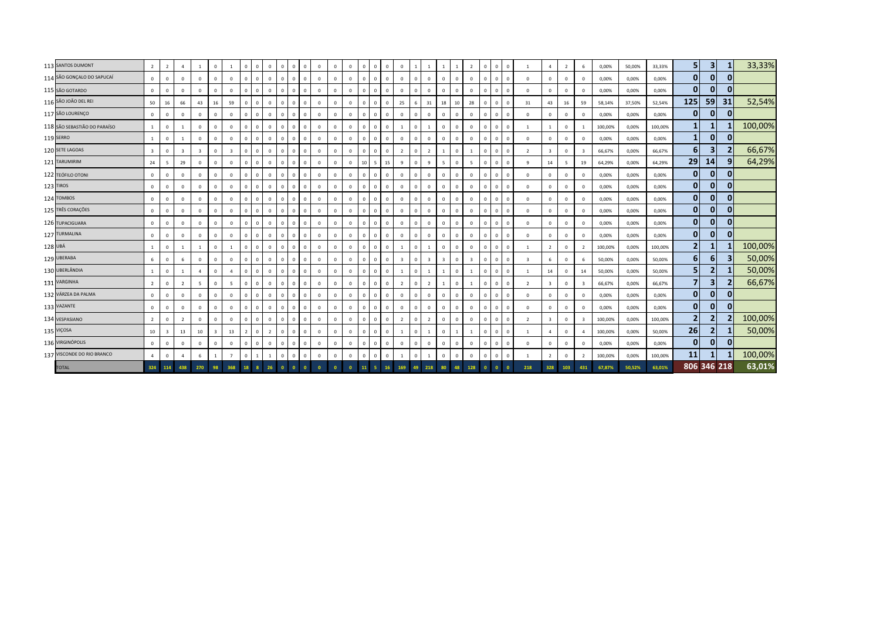| 113 SANTOS DUMONT            | $2^{\circ}$             | $\overline{2}$          | $\overline{a}$          |                         | $\Omega$     |                         | $\overline{0}$ | $\Omega$     | $\Omega$       | $\mathbf 0$<br>$\mathbf{0}$  | $\overline{0}$ | $\mathbf{0}$            | $^{\circ}$   | $\mathbf{0}$ | $\overline{0}$ | $\mathbf{0}$   | $\Omega$     | $\Omega$       |              |                |                 |                         | $\overline{z}$ | $\Omega$ | $\overline{0}$          | $^{\circ}$   |                         | $\overline{a}$          | $\overline{2}$ | 6              | 0,00%   | 50,00% | 33,33%  | 5 <sub>l</sub>   | $\vert$ 3      |              | 33,33%  |
|------------------------------|-------------------------|-------------------------|-------------------------|-------------------------|--------------|-------------------------|----------------|--------------|----------------|------------------------------|----------------|-------------------------|--------------|--------------|----------------|----------------|--------------|----------------|--------------|----------------|-----------------|-------------------------|----------------|----------|-------------------------|--------------|-------------------------|-------------------------|----------------|----------------|---------|--------|---------|------------------|----------------|--------------|---------|
| 114 SÃO GONÇALO DO SAPUCAÍ   | $\mathbf{0}$            | $\mathbf 0$             | $\mathbf{0}$            | $\mathbf 0$             | $\Omega$     | $\mathbf{0}$            | $\Omega$       |              | $\overline{0}$ | $\mathbf{0}$<br>$\mathbf{0}$ | $\overline{0}$ | $\mathbf{0}$            | $\Omega$     | $\mathbf 0$  | $\overline{0}$ | $\Omega$       | $\Omega$     | $\mathbf 0$    | $\mathbf{0}$ | $\Omega$       | $\Omega$        | $\overline{0}$          | $\overline{0}$ | $\Omega$ | $\overline{0}$          | $\mathbf{0}$ | $\overline{0}$          | $\overline{0}$          | $\mathbf{0}$   | $\mathbf 0$    | 0,00%   | 0,00%  | 0,00%   | $\mathbf{0}$     | $\mathbf{0}$   | 0            |         |
| 115 SÃO GOTARDO              | $\Omega$                | $\mathbf{0}$            | $\Omega$                | $\Omega$                | $\Omega$     | $\Omega$                | $\Omega$       |              | $\Omega$       | $\mathbf{0}$<br>$\Omega$     | $\Omega$       | $\Omega$                | $\Omega$     | $\Omega$     | $\Omega$       | $\Omega$       | $\Omega$     | $\Omega$       | $\Omega$     |                |                 | $\Omega$                | $\Omega$       | $\Omega$ | $\Omega$                | $\Omega$     | $\overline{0}$          | $\Omega$                | $\Omega$       | $\Omega$       | 0,00%   | 0,00%  | 0,00%   | $\mathbf{0}$     | $\mathbf{0}$   |              |         |
| 116 SÃO JOÃO DEL REI         | 50                      | 16                      | 66                      | 43                      | 16           | 59                      | $\Omega$       | $\Omega$     | $\mathbf 0$    | $\mathbf{0}$<br>$\mathbf{0}$ | $\overline{0}$ | $\mathbf{0}$            | $\mathbf{0}$ | $\mathbf{0}$ | $\Omega$       | $\Omega$       | $\Omega$     | 25             | 6            | 31             | 18              | 10                      | 28             | $\Omega$ | $\overline{0}$          | $^{\circ}$   | 31                      | 43                      | 16             | 59             | 58,14%  | 37,50% | 52,54%  | 125              | 59             | 31           | 52,54%  |
| 117 SÃO LOURENÇO             | $\mathbf{0}$            | $\mathbf 0$             | $\mathbf{0}$            | $\mathbf{0}$            | $\Omega$     | $\mathbf{0}$            | $\Omega$       |              | $\Omega$       | $\mathbb O$<br>$\mathbf{0}$  | $\overline{0}$ | $\mathbf{0}$            | $\mathbf{0}$ | $\mathbf{0}$ | $\Omega$       | $\Omega$       | $\Omega$     | $\Omega$       | $\Omega$     | $\mathbf{0}$   | $\Omega$        | $\overline{0}$          | $\mathbf{0}$   | $\Omega$ | $\overline{0}$          | $^{\circ}$   | $\overline{0}$          | $\mathbf{0}$            | $\Omega$       | $\Omega$       | 0,00%   | 0,00%  | 0,00%   | $\mathbf{0}$     | $\mathbf{0}$   | $\Omega$     |         |
| 118 SÃO SEBASTIÃO DO PARAÍSO | $\mathbf{1}$            | $\mathbf 0$             |                         | $\mathbf{0}$            | $^{\circ}$   | $\mathbf{0}$            | $\Omega$       |              | $\mathbf{0}$   | $\mathbf 0$<br>$\mathbf{0}$  | $\overline{0}$ | $\mathbf 0$             | $\mathbf 0$  | $^{\circ}$   | $\overline{0}$ | $\Omega$       | $\mathbf{0}$ | 1              | $\mathbf{0}$ |                |                 | $\overline{0}$          | $\mathbf{0}$   | $\Omega$ | $\overline{\mathbf{0}}$ | $\mathbf{0}$ | -1                      | 1                       | $^{\circ}$     |                | 100,00% | 0,00%  | 100,00% | $\mathbf{1}$     | 1              |              | 100,00% |
| 119 SERRO                    | $\mathbf{1}$            | $\mathbf 0$             |                         | $\mathbf{0}$            | $\Omega$     | $\mathbf{0}$            | $\Omega$       |              | $\mathbf 0$    | $\mathbf 0$<br>$\mathbf{0}$  | $\Omega$       | $\mathbf 0$             | $\Omega$     | $\Omega$     | $\Omega$       | $\Omega$       | $^{\circ}$   | $\mathbf 0$    | $\mathbf{0}$ |                | $\Omega$        | $\Omega$                | $\Omega$       | $\Omega$ | $\Omega$                | $\Omega$     | $\mathbf 0$             | $\overline{0}$          | $\Omega$       | $\Omega$       | 0,00%   | 0,00%  | 0,00%   | $\mathbf{1}$     | 0              | $\Omega$     |         |
| 120 SETE LAGOAS              | $\overline{\mathbf{3}}$ | $\mathbb O$             | $\overline{\mathbf{3}}$ | $\overline{\mathbf{3}}$ | $\Omega$     | $\overline{\mathbf{3}}$ | $\Omega$       | $\Omega$     | $\Omega$       | $\mathbf 0$<br>$\mathbf{0}$  | $\overline{0}$ | $\mathbf{0}$            | $\mathbf{0}$ | $\mathbf{0}$ | $\Omega$       | $\mathbf{0}$   | $\Omega$     | $\overline{2}$ | $\mathbf{0}$ | $\overline{2}$ | $\overline{1}$  | $\Omega$                | $\overline{1}$ | $\Omega$ | $\Omega$                | $^{\circ}$   | $\overline{2}$          | $\overline{\mathbf{3}}$ | $\mathbf{0}$   | $\overline{3}$ | 66,67%  | 0,00%  | 66,67%  | $6 \overline{6}$ | 31             |              | 66,67%  |
| 121 TARUMIRIM                | 24                      | 5                       | 29                      | $\mathbf 0$             | $\Omega$     | $\mathbb O$             | $\Omega$       | $\mathbf{0}$ | $\overline{0}$ | $\mathbf 0$<br>$\mathbf{0}$  | $\overline{0}$ | $\mathbf 0$             | $\mathbf{0}$ | $\mathbf 0$  | 10             | 5 <sup>7</sup> | 15           | 9              | $\mathbf 0$  | 9              | $5\overline{5}$ | $\overline{\mathbf{0}}$ | $\overline{5}$ | $\Omega$ | $\overline{0}$          | $\Omega$     | 9                       | 14                      | 5              | 19             | 64,29%  | 0,00%  | 64,29%  | 29               | 14             |              | 64,29%  |
| 122 TEÓFILO OTONI            | $\circ$                 | $\mathbf 0$             | $\mathbf{0}$            | $\Omega$                | $\Omega$     | $\mathbf{0}$            | $\Omega$       |              | $\mathbf 0$    | $\mathbf{0}$<br>$\Omega$     | $\Omega$       | $\Omega$                | $\Omega$     | $\Omega$     | $\Omega$       | $\Omega$       | $\Omega$     | $\Omega$       | $\Omega$     |                | $\Omega$        | $\Omega$                | $\Omega$       | $\Omega$ | $\Omega$                | $\Omega$     | $\,$ 0                  | $\Omega$                | $\Omega$       | $\Omega$       | 0,00%   | 0,00%  | 0,00%   | $\mathbf{0}$     | $\mathbf{0}$   |              |         |
| 123 TIROS                    | $\mathbf 0$             | $\mathbf 0$             | $\mathbf{0}$            | $\mathbf{0}$            | $\Omega$     | $\mathbf{0}$            | $\Omega$       | $\Omega$     | $\mathbf 0$    | $\circ$<br>$\mathbf{0}$      | $\overline{0}$ | $\mathbf 0$             | $\mathbf{0}$ | $\mathbf{0}$ | $\Omega$       | $\mathbf{0}$   | $\Omega$     | $\Omega$       | $\mathbf{0}$ | $\Omega$       | $\Omega$        | $\overline{0}$          | $\Omega$       | $\Omega$ | $\overline{0}$          | $^{\circ}$   | $\,$ 0                  | $\overline{0}$          | $\Omega$       | $\Omega$       | 0,00%   | 0,00%  | 0,00%   | $\mathbf{0}$     | $\mathbf{0}$   | 0            |         |
| 124 TOMBOS                   | $\circ$                 | $\Omega$                | $\mathbf 0$             | $\mathbf{0}$            | $\Omega$     | $\mathbf{0}$            | $\Omega$       |              | $\Omega$       | $\mathbb O$<br>$\mathbf{0}$  | $\Omega$       | $\mathbf 0$             | $\mathbf{0}$ | $\Omega$     | $\Omega$       | $\Omega$       | $\Omega$     | $\Omega$       | $\Omega$     | $\Omega$       | $\Omega$        | $\Omega$                | $\mathbf 0$    | $\Omega$ | $\overline{0}$          | $\Omega$     | $\overline{0}$          | $\mathbf{0}$            | $\Omega$       | $\Omega$       | 0,00%   | 0,00%  | 0,00%   | $\overline{0}$   | $\mathbf{0}$   | 0            |         |
| 125 TRÊS CORAÇÕES            | $\mathbf{0}$            | $\mathbf 0$             | $\Omega$                | $\mathbf 0$             | $\Omega$     | $\mathbf 0$             | $\Omega$       |              | $\Omega$       | $\mathbf 0$<br>$\Omega$      | $\overline{0}$ | $\mathbf 0$             | $\Omega$     | $\Omega$     | $\Omega$       | $\Omega$       | $\mathbf{0}$ | $\mathbf{0}$   | $\mathbf{0}$ | $\Omega$       |                 | $\overline{0}$          | $\mathbf{0}$   | $\Omega$ | $\overline{\mathbf{0}}$ | $\Omega$     | $\,$ 0                  | $\overline{0}$          | $^{\circ}$     | $\Omega$       | 0,00%   | 0,00%  | 0,00%   | $\mathbf{0}$     | $\mathbf{0}$   | $\mathbf{0}$ |         |
| 126 TUPACIGUARA              | $\mathbf{0}$            | $\Omega$                | $\Omega$                | $\mathbf 0$             | $\Omega$     | $\mathbf 0$             | $\Omega$       |              | $\Omega$       | $\mathbf 0$<br>$\Omega$      | $\Omega$       | $\mathbf 0$             | $\Omega$     | $\Omega$     | $\Omega$       | $\Omega$       | $\Omega$     | $\mathbf 0$    | $\mathbf{0}$ |                |                 | $\Omega$                | $\mathbf{0}$   | $\Omega$ | $\Omega$                | $\Omega$     | $\mathbf 0$             | $\overline{0}$          | $\Omega$       | $\Omega$       | 0,00%   | 0,00%  | 0,00%   | 0                | 0              | $\mathbf{0}$ |         |
| 127 TURMALINA                | $\mathbf{0}$            | $\mathbb O$             | $\mathbf{0}$            | $\mathbf{0}$            | $\Omega$     | $\mathbf 0$             | $\Omega$       | $\Omega$     | $\overline{0}$ | $\mathbf 0$<br>$\mathbf{0}$  | $\overline{0}$ | $\mathbf 0$             | $\mathbf{0}$ | $\mathbf{0}$ | $\Omega$       | $\mathbf{0}$   | $\Omega$     | $\mathbf 0$    | $\mathbf 0$  | $\Omega$       | $\mathbf{0}$    | $\overline{0}$          | $\mathbf 0$    | $\Omega$ | $\Omega$                | $^{\circ}$   | $\,$ 0                  | $\overline{0}$          | $\mathbf 0$    | $\Omega$       | 0,00%   | 0,00%  | 0,00%   | $\mathbf{0}$     | 0              | $\Omega$     |         |
| 128 UBÁ                      |                         | $\mathbf 0$             |                         |                         | $\Omega$     |                         | $\Omega$       |              | $\Omega$       | $\mathbf 0$<br>$^{\circ}$    | $\overline{0}$ | $\mathbf 0$             | $\mathbf{0}$ | $\mathbf{0}$ | $\Omega$       |                | $\Omega$     |                | $\Omega$     |                | $\Omega$        | $\Omega$                | $\mathbf{0}$   | $\Omega$ | $\overline{\mathbf{0}}$ | $^{\circ}$   |                         | $\overline{2}$          | $^{\circ}$     | $\overline{2}$ | 100,00% | 0,00%  | 100,00% | $\overline{2}$   | $\mathbf{1}$   |              | 100,00% |
| 129 UBERABA                  | 6                       | $\mathbf 0$             | 6                       | $\Omega$                | $\Omega$     | $\mathbf 0$             | $\Omega$       |              | $\mathbf 0$    | $\circ$<br>$\Omega$          | $\Omega$       | $\Omega$                | $\Omega$     | $\Omega$     | $\Omega$       | $\Omega$       | $\mathbf{0}$ | $\overline{3}$ | $\mathbf{0}$ |                |                 | $\overline{0}$          | $\overline{3}$ | $\Omega$ | $\Omega$                | $\Omega$     | $\overline{\mathbf{3}}$ | 6                       | $\Omega$       |                | 50,00%  | 0,00%  | 50,00%  | $6 \overline{6}$ | $6 \mid$       |              | 50,00%  |
| 130 UBERLÂNDIA               |                         | $\mathbf 0$             | $\mathbf{1}$            | $\overline{4}$          | $\Omega$     | $\overline{a}$          | $\mathbf{0}$   | $\Omega$     | $\mathbf 0$    | $\mathbf 0$<br>$\mathbf{0}$  | $\overline{0}$ | $\mathbf 0$             | $\mathbf{0}$ | $\mathbf{0}$ | $\Omega$       | $\mathbf{0}$   | $\Omega$     |                | $\mathbf{0}$ |                |                 | $\overline{0}$          |                | $\Omega$ | $\Omega$                | $^{\circ}$   | $\overline{1}$          | 14                      | $\Omega$       | 14             | 50,00%  | 0,00%  | 50,00%  | 5 <sub>l</sub>   | 2              |              | 50,00%  |
| 131 VARGINHA                 | $\overline{2}$          | $\Omega$                | $\overline{2}$          | $5 -$                   | $\Omega$     | 5                       | $\Omega$       |              | $\Omega$       | $\mathbf{0}$<br>$\mathbf{0}$ | $\Omega$       | $\mathbf{0}$            | $\Omega$     | $\Omega$     | $\Omega$       | $\Omega$       | $\Omega$     | $\overline{2}$ | $\mathbf{0}$ | $\overline{2}$ |                 | $\Omega$                |                | $\Omega$ | $\Omega$                | $\Omega$     | $\overline{2}$          | $\overline{\mathbf{3}}$ | $\Omega$       |                | 66,67%  | 0,00%  | 66,67%  | $\overline{7}$   | 3              |              | 66,67%  |
| 132 VÁRZEA DA PALMA          | $\mathbf{0}$            | $\mathbf 0$             | $\mathbf{0}$            | $\mathbf 0$             | $\Omega$     | $\mathbf{0}$            | $\Omega$       |              | $\overline{0}$ | $\mathbf{0}$<br>$\mathbf{0}$ | $\overline{0}$ | $\overline{0}$          | $\mathbf{0}$ | $\Omega$     | $\overline{0}$ | $\Omega$       | $\Omega$     | $\overline{0}$ | $\Omega$     | $\Omega$       | $\Omega$        | $\overline{0}$          | $\overline{0}$ | $\Omega$ | $\overline{0}$          | $\Omega$     | $\overline{0}$          | $\overline{0}$          | $\Omega$       | $\Omega$       | 0,00%   | 0,00%  | 0,00%   | $\overline{0}$   | $\mathbf{0}$   | 0            |         |
| 133 VAZANTE                  | $\mathbf{0}$            | $\mathbf 0$             | $\Omega$                | 0                       | $\mathbf 0$  | $\mathbf 0$             | $\Omega$       |              | $\mathbf{0}$   | $\mathbf 0$<br>$\mathbf{0}$  | $\Omega$       | $\mathbf 0$             | $\Omega$     | $\Omega$     | $\Omega$       | $\mathbf{0}$   | $\mathbf{0}$ | $\mathbf 0$    | $\mathbf 0$  |                |                 | $\Omega$                | $\mathbf{0}$   | $\Omega$ | $\Omega$                | $\Omega$     | $\mathbf 0$             | $\overline{0}$          | $\Omega$       | $\Omega$       | 0,00%   | 0,00%  | 0,00%   | 0                | 0              | $\Omega$     |         |
| 134 VESPASIANO               | $\overline{2}$          | $\mathbb O$             | $\overline{2}$          | $\mathbf 0$             | $\Omega$     | $\mathbf{0}$            | $\Omega$       | $\Omega$     | $\overline{0}$ | $\mathbf 0$<br>$\mathbf{0}$  | $\overline{0}$ | $\mathbf 0$             | $\mathbf{0}$ | $\mathbf{0}$ | $\Omega$       | $\mathbf{0}$   | $\Omega$     | $\overline{2}$ | $\mathbf 0$  | $\overline{2}$ | $\Omega$        | $\overline{0}$          | $\mathbf 0$    | $\Omega$ | $\Omega$                | $^{\circ}$   | $\overline{2}$          | $\overline{\mathbf{3}}$ | $\mathbf 0$    | $\mathbf{R}$   | 100,00% | 0,00%  | 100,00% | $\overline{2}$   | $\overline{2}$ |              | 100,00% |
| 135 VIÇOSA                   | 10                      | $\overline{\mathbf{3}}$ | 13                      | 10                      | $\mathbf{3}$ | 13                      | $\overline{z}$ | $\mathbf{0}$ | $\overline{2}$ | $\mathbf{0}$<br>$^{\circ}$   | $\overline{0}$ | $\mathbf 0$             | $\mathbf{0}$ | $\mathbf{0}$ | $\overline{0}$ | $^{\circ}$     | $\Omega$     | 1              | $\mathbf{0}$ | $\overline{1}$ | $\Omega$        |                         | $\overline{1}$ | $\Omega$ | $\overline{0}$          | $^{\circ}$   | $\overline{1}$          | $\overline{4}$          | $^{\circ}$     | $\overline{a}$ | 100,00% | 0,00%  | 50,00%  | 26               | $\mathbf{2}$   |              | 50,00%  |
| 136 VIRGINÓPOLIS             | $\mathbf{0}$            | $\mathbf{0}$            | $\Omega$                | $\Omega$                | $\Omega$     | $\mathbf{0}$            | $\Omega$       |              | $\Omega$       | $\mathbf 0$<br>$\Omega$      | $\Omega$       | $\Omega$                | $\Omega$     | $\Omega$     | $\Omega$       | $\Omega$       | $\Omega$     | $\Omega$       | $\Omega$     |                |                 | $\overline{0}$          | $\Omega$       | $\Omega$ | $\Omega$                | $\Omega$     | $\,$ 0                  | $\Omega$                |                | $\Omega$       | 0,00%   | 0,00%  | 0,00%   | $\mathbf{0}$     | $\mathbf{0}$   |              |         |
| 137 VISCONDE DO RIO BRANCO   | $\overline{a}$          | $\mathbf 0$             | $\overline{a}$          | 6                       |              | $\overline{7}$          | $\Omega$       |              |                | $\mathbf 0$<br>$\mathbf{0}$  | $\Omega$       | $\mathbf 0$             | $\mathbf{0}$ | $\Omega$     | $\Omega$       | $\Omega$       | $\Omega$     |                | $\mathbf 0$  |                | $\Omega$        | $\Omega$                | $\Omega$       | $\Omega$ | $\Omega$                | $\mathbf{0}$ | -1                      | $\overline{2}$          | $\Omega$       | $\overline{z}$ | 100,00% | 0,00%  | 100,00% | 11               |                |              | 100,00% |
| <b>TOTAL</b>                 |                         | 324 114                 | 438                     | 270                     | 98           | 368                     | 18             |              | 26             | $\Omega$                     |                | $\overline{\mathbf{0}}$ | $\Omega$     |              | 11             |                |              |                | 49           | 218            |                 |                         | 128            |          |                         |              | 218                     | 328                     | 103            | 431            | 67,87%  | 50,52% | 63,01%  |                  | 806 346 218    |              | 63,01%  |
|                              |                         |                         |                         |                         |              |                         |                |              |                |                              |                |                         |              |              |                |                |              |                |              |                |                 |                         |                |          |                         |              |                         |                         |                |                |         |        |         |                  |                |              |         |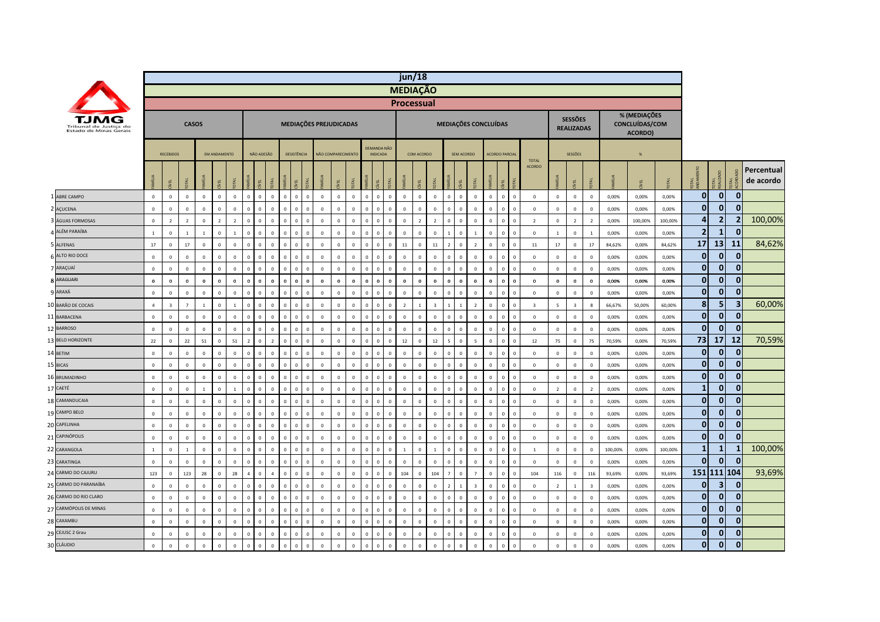|                                                  |                |                         |                |                |                |                |                |              |                               |             |                         |                         |              |                |                |                                |                | jun/18            |                |                         |                |                |                         |                      |                |              |                               |                |                                     |                         |         |                                           |         |                         |                |                |                         |
|--------------------------------------------------|----------------|-------------------------|----------------|----------------|----------------|----------------|----------------|--------------|-------------------------------|-------------|-------------------------|-------------------------|--------------|----------------|----------------|--------------------------------|----------------|-------------------|----------------|-------------------------|----------------|----------------|-------------------------|----------------------|----------------|--------------|-------------------------------|----------------|-------------------------------------|-------------------------|---------|-------------------------------------------|---------|-------------------------|----------------|----------------|-------------------------|
|                                                  |                |                         |                |                |                |                |                |              |                               |             |                         |                         |              |                |                |                                |                | <b>MEDIAÇÃO</b>   |                |                         |                |                |                         |                      |                |              |                               |                |                                     |                         |         |                                           |         |                         |                |                |                         |
|                                                  |                |                         |                |                |                |                |                |              |                               |             |                         |                         |              |                |                |                                |                | <b>Processual</b> |                |                         |                |                |                         |                      |                |              |                               |                |                                     |                         |         |                                           |         |                         |                |                |                         |
| Tribunal de Justica do<br>Estado de Minas Gerais |                |                         | <b>CASOS</b>   |                |                |                |                |              |                               |             |                         | MEDIAÇÕES PREJUDICADAS  |              |                |                |                                |                |                   |                |                         |                |                | MEDIAÇÕES CONCLUÍDAS    |                      |                |              |                               |                | <b>SESSÕES</b><br><b>REALIZADAS</b> |                         |         | % (MEDIAÇÕES<br>CONCLUÍDAS/COM<br>ACORDO) |         |                         |                |                |                         |
|                                                  |                | <b>RECEBIDOS</b>        |                |                | EM ANDAMENTO   |                |                | NÃO ADESÃO   |                               | DESISTÊNCIA |                         | NÃO COMPARECIMENTO      |              |                |                | <b>DEMANDA NÃO</b><br>INDICADA |                |                   | COM ACORDO     |                         |                | SEM ACORDO     |                         | <b>ACORDO PARCIA</b> |                |              |                               |                | SESSÕES                             |                         |         | %                                         |         |                         |                |                |                         |
|                                                  |                | ΨĖ                      |                | MÍLIA          | EL             |                |                | EL           |                               |             |                         |                         |              |                |                |                                | <b>JTAL</b>    | AMÍLIA            | EL             | <b>DTAL</b>             |                |                |                         | <b>MILIA</b>         | ξĹ.            | OTAL         | <b>TOTAL</b><br><b>ACORDO</b> |                | E                                   |                         |         |                                           |         | <b>TAL</b>              | TAL<br>AUZ     |                | Percentual<br>de acordo |
| ABRE CAMPO                                       | $\mathbb O$    | $\,0\,$                 | $\mathbb O$    | $\overline{0}$ | $\mathbf{0}$   | $\mathbf 0$    | $\Omega$       | $\circ$      | $\mathbf 0$<br>$\mathbf 0$    | $\mathbf 0$ | $\overline{\mathbf{0}}$ | $\mathbf 0$             | $\mathsf 0$  | $\mathsf 0$    | $\mathbf 0$    | $\mathbf{0}$                   | $\mathsf 0$    | $\mathbf 0$       | $\mathbf 0$    | $\mathbf 0$             | $\mathbf 0$    | $\mathbf 0$    | $\,0\,$                 | $\mathsf 0$          | $\circ$        | $\mathbf 0$  | $\mathbb O$                   | $\mathbf 0$    | $\mathbf 0$                         | $\mathbb O$             | 0,00%   | 0,00%                                     | 0,00%   | $\mathbf{0}$            | 0              | $\mathbf{0}$   |                         |
| AÇUCENA                                          | $\mathbf 0$    | $\mathbf 0$             | $\Omega$       | $\mathbf 0$    | $\Omega$       | $\Omega$       | $\Omega$       | $\Omega$     | $\Omega$<br>$\Omega$          | $\Omega$    | $\Omega$                | $\mathbf 0$             | $\mathbf 0$  | $\mathbf 0$    | $\Omega$       |                                | $\mathsf{o}$   | $\mathbf 0$       | $\Omega$       | $\Omega$                | $\Omega$       | $\,0\,$        | $\Omega$                | $\mathsf 0$          | $\mathbf 0$    | $\mathbf 0$  | $\mathbb O$                   | $\mathbf 0$    | $\mathbf 0$                         | $\mathbb O$             | 0,00%   | 0,00%                                     | 0,00%   | $\bf{0}$                | $\mathbf{0}$   | $\mathbf{0}$   |                         |
| ÁGUAS FORMOSAS                                   | $\mathbb O$    | $\overline{2}$          | $\overline{2}$ | $\circ$        | $\overline{z}$ | $\overline{2}$ | $\sqrt{ }$     | $\Omega$     | $\Omega$<br>$\Omega$          | $\Omega$    | $\Omega$                | $\Omega$                | $\mathbf{0}$ | $\mathbf{0}$   | $\Omega$       |                                | $\Omega$       | $\Omega$          | $\overline{z}$ | $\overline{2}$          | $\Omega$       | $\Omega$       | $\mathbf{0}$            | $\mathbf{0}$         | $\mathbf{0}$   | $\mathbf{0}$ | $\overline{2}$                | $\mathbf 0$    | $\overline{2}$                      | $\overline{2}$          | 0,00%   | 100,00%                                   | 100,00% | $\overline{\mathbf{4}}$ | 2 <sub>l</sub> | $\overline{2}$ | 100,00%                 |
| ALÉM PARAÍBA                                     | $\mathbf{1}$   | $\mathbf{0}$            | $\mathbf{1}$   | $\mathbf{1}$   | $\Omega$       | $\mathbf{1}$   | $\sqrt{ }$     | $\Omega$     | $\overline{0}$<br>$\Omega$    | $\Omega$    | $\Omega$                | $\overline{0}$          | $\mathbf 0$  | $\mathbf 0$    | $\Omega$       |                                | $\mathbf{0}$   | $\mathbf 0$       | $\mathbf 0$    | $\mathbf 0$             | $\mathbf{1}$   | $\mathbf 0$    | $\blacksquare$          | $\mathsf 0$          | $\mathbf{0}$   | $\mathbf 0$  | $\mathbf 0$                   | $\mathbf{1}$   | $\mathsf 0$                         | $\overline{1}$          | 0,00%   | 0,00%                                     | 0,00%   | $\overline{2}$          | $\mathbf{1}$   | $\mathbf{0}$   |                         |
| 5 ALFENAS                                        | 17             | $\mathbf 0$             | $17\,$         | $\mathbf{0}$   | $\Omega$       | $\mathbb O$    | $\Omega$       | $\mathbf{0}$ | $\overline{0}$<br>$\Omega$    | $\mathbf 0$ | $\Omega$                | $\overline{0}$          | $\mathbf{0}$ | $\overline{0}$ | $\mathbf{0}$   | $\Omega$                       | $\mathbf 0$    | $11\,$            | $\mathsf 0$    | $11\,$                  | $\overline{z}$ | $\overline{0}$ | $\overline{2}$          | $\mathsf 0$          | $\mathbf{0}$   | $\mathbf 0$  | 11                            | $17\,$         | $\mathsf 0$                         | 17                      | 84,62%  | 0,00%                                     | 84,62%  | 17                      | 13             | 11             | 84,62%                  |
| ALTO RIO DOCE                                    | $\mathbb O$    | $\mathbf 0$             | $\mathbf 0$    | $\mathbf 0$    | $\Omega$       | $\mathbb O$    | $\mathbf 0$    | $\mathbf 0$  | $\overline{0}$<br>$\mathbf 0$ | $\mathbf 0$ | $\overline{0}$          | $\mathbf 0$             | $\mathbf 0$  | $\mathbf 0$    | $\,0\,$        | $\Omega$                       | $\mathbf 0$    | $\mathbf 0$       | $\mathbf 0$    | $\mathbf 0$             | $\mathbf 0$    | $\mathbf 0$    | $\overline{0}$          | $\mathsf 0$          | $\mathbf{0}$   | $\mathbf 0$  | $\mathbf 0$                   | $\mathbf 0$    | $\,0\,$                             | $\mathbf 0$             | 0,00%   | 0,00%                                     | 0,00%   | $\mathbf{0}$            | $\overline{0}$ | $\mathbf 0$    |                         |
| ARAÇUAÍ                                          | $\mathbf 0$    | $\mathbf 0$             | $\mathbf 0$    | $\mathbf 0$    | $\mathbf{0}$   | $\mathbb O$    | $\Omega$       | $\mathbf{0}$ | $\overline{0}$<br>$\mathbf 0$ | $\mathbf 0$ | $\Omega$                | $\mathbf 0$             | $\mathbf 0$  | $\mathsf 0$    | $\overline{0}$ | $\Omega$                       | $\mathbf{0}$   | $\mathbf 0$       | $\mathbf 0$    | $\mathbf 0$             | $\mathbf 0$    | $\overline{0}$ | $\overline{0}$          | $\mathsf 0$          | $\mathbf{0}$   | $\mathbf 0$  | $\mathbb O$                   | $\mathbb O$    | $\mathsf 0$                         | $\mathbb O$             | 0,00%   | 0,00%                                     | 0,00%   | $\mathbf{0}$            | $\mathbf{0}$   | $\mathbf{0}$   |                         |
| ARAGUARI                                         | $\mathbf 0$    | $\mathbf 0$             | $\bf{0}$       | $\mathbf 0$    | $\Omega$       | $\mathbf 0$    | $\Omega$       | $\mathbf 0$  | $\mathbf 0$<br>$\bf{0}$       | $\theta$    | $\Omega$                | $\mathbf 0$             | $\mathbf 0$  | $\mathbf 0$    | $\mathbf{0}$   | $\Omega$                       | $\pmb{0}$      | $\mathbf 0$       | $\mathbf 0$    | $\mathbf 0$             | $\bf{0}$       | $\overline{0}$ | $\mathbf{0}$            | $\mathbf 0$          | $\mathbf{0}$   | $\mathbf 0$  | $\boldsymbol{0}$              | $\mathbf 0$    | $\mathbf 0$                         | $\mathbf 0$             | 0,00%   | 0,00%                                     | 0,00%   | $\bf{0}$                | $\overline{0}$ | $\mathbf{0}$   |                         |
| ARAXÁ                                            | $\mathbf{0}$   | $\mathbf 0$             | $\Omega$       | $\mathbf{0}$   | $\Omega$       | $\mathbf{0}$   | $\Omega$       | $\mathbf{0}$ | $\Omega$<br>$\Omega$          | $\circ$     | $\Omega$                | $\mathbf{0}$            | $\mathbf{0}$ | $\overline{0}$ | $\mathbf{0}$   | $\Omega$                       | $\Omega$       | $\Omega$          | $\mathbf{0}$   | $\mathbf{0}$            | $\mathbf{0}$   | $\mathbf{0}$   | $\Omega$                | $\mathbf{0}$         | $\mathbf{0}$   | $\mathbf{0}$ | $\mathbf 0$                   | $\mathbf{0}$   | $\mathbf{0}$                        | $\mathbf 0$             | 0,00%   | 0,00%                                     | 0,00%   | $\mathbf 0$             | $\mathbf{0}$   | $\mathbf{0}$   |                         |
| <b>BARÃO DE COCAIS</b><br>10                     | $\overline{4}$ | $\overline{\mathbf{3}}$ | $\overline{7}$ | $\mathbf{1}$   | $\Omega$       | $\mathbf{1}$   | $\Omega$       | $\Omega$     | $\mathbf 0$<br>$\mathbf 0$    | $\mathbb O$ | $\overline{0}$          | $\mathbf 0$             | $\mathbf 0$  | $\mathbf 0$    | $\overline{0}$ | $\Omega$                       | $\mathsf 0$    | $\overline{2}$    | $\mathbf{1}$   | $\overline{\mathbf{3}}$ | $\mathbf{1}$   | $\overline{1}$ | $\overline{2}$          | $\mathsf 0$          | $\mathbf 0$    | $\mathbf 0$  | $\overline{\mathbf{3}}$       | $\overline{5}$ | $\overline{\mathbf{3}}$             | $\mathbf{g}$            | 66,67%  | 50,00%                                    | 60,00%  | 8                       | 5 <sub>l</sub> | 3              | 60,00%                  |
| 11 BARBACENA                                     | $\mathbb O$    | $\mathbf 0$             | $\mathbf 0$    | $\mathsf 0$    | $\Omega$       | $\mathsf 0$    | $\Omega$       | $\Omega$     | $\mathbf 0$<br>$\Omega$       | $\Omega$    | $\Omega$                | $\mathbf 0$             | $\mathbf 0$  | $\mathbf 0$    | $\mathbf 0$    |                                | $\mathbf{0}$   | $\mathbf 0$       | $\mathbf 0$    | $\mathbf 0$             | $\mathbf 0$    | $\mathbf 0$    | $\mathbf 0$             | $\mathsf 0$          | $\mathbf 0$    | $\mathbf 0$  | $\mathbb O$                   | $\mathbb O$    | $\mathsf 0$                         | $\mathbb O$             | 0,00%   | 0,00%                                     | 0,00%   | $\mathbf{0}$            | $\mathbf{0}$   | $\mathbf{0}$   |                         |
| <b>BARROSO</b><br>12                             | $\mathbb O$    | $\mathbf 0$             | $\Omega$       | $\mathbf 0$    | $\Omega$       | $\mathbb O$    | $\sqrt{ }$     | $\Omega$     | $\overline{0}$<br>$\Omega$    | $\Omega$    | $\Omega$                | $\overline{\mathbf{0}}$ | $\mathbf 0$  | $\mathbf 0$    | $\Omega$       |                                | $\mathbf{0}$   | $\mathbf 0$       | $\mathbf 0$    | $\mathbf 0$             | $\mathbf 0$    | $\mathbf 0$    | $\mathbf 0$             | $\mathbf 0$          | $\mathbf{0}$   | $\mathbf 0$  | $\mathbf 0$                   | $\mathbb O$    | $\,0\,$                             | $\mathbf 0$             | 0,00%   | 0,00%                                     | 0,00%   | $\mathbf{0}$            | $\mathbf{0}$   | $\mathbf{0}$   |                         |
| 13 BELO HORIZONTE                                | $22\,$         | $\mathbf{0}$            | 22             | 51             | $\Omega$       | $51\,$         | $\overline{z}$ | $\mathbf 0$  | $\overline{2}$<br>$\mathbf 0$ | $\mathbf 0$ | $\Omega$                | $\overline{0}$          | $\Omega$     | $\mathsf 0$    | $\,$ 0         | $\Omega$                       | $\mathbf 0$    | $12\,$            | $\mathbf 0$    | $12\,$                  | $\overline{5}$ | $\,0\,$        | $\overline{5}$          | $\mathsf 0$          | $\circ$        | $\mathbf 0$  | 12                            | 75             | $\mathsf 0$                         | 75                      | 70,59%  | 0,00%                                     | 70,59%  | 73                      | 17             | 12             | 70,59%                  |
| 14 BETIM                                         | $\mathbf 0$    | $\mathbf 0$             | $\Omega$       | $\mathbf 0$    | $\mathbf{0}$   | $\mathbb O$    | $\Omega$       | $\mathbf{0}$ | $\mathbf 0$<br>$\Omega$       | $\mathbf 0$ | $\Omega$                | $\mathbf 0$             | $\mathbf{0}$ | $\mathbf 0$    | $\overline{0}$ | $\Omega$                       | $\mathbf 0$    | $\mathbf 0$       | $\mathbf 0$    | $^{\circ}$              | $\mathbf 0$    | $\mathbf 0$    | $\mathbf 0$             | $\mathsf 0$          | $\mathbf{0}$   | $\mathbf 0$  | $\mathbb O$                   | $\mathbb O$    | $\mathbf 0$                         | $\mathbb O$             | 0,00%   | 0,00%                                     | 0,00%   | $\mathbf{0}$            | $\overline{0}$ | $\mathbf 0$    |                         |
| 15 BICAS                                         | $\mathbf 0$    | $\mathbf 0$             | $\Omega$       | $\mathbf 0$    | $\Omega$       | $\mathbf 0$    | $\Omega$       | $\mathbf{0}$ | $\overline{0}$<br>$\Omega$    | $\Omega$    | $\Omega$                | $\mathbf 0$             | $\mathbf{0}$ | $\mathbf 0$    | $\Omega$       |                                | $\mathbf{0}$   | $\mathbf{0}$      | $\mathbf 0$    | $\mathbf 0$             | $\Omega$       | $\Omega$       | $\Omega$                | $\mathbf 0$          | $\mathbf 0$    | $\mathbf 0$  | $\mathbb O$                   | $\mathbb O$    | $\mathbf 0$                         | $\mathbb O$             | 0,00%   | 0,00%                                     | 0,00%   | $\bf{0}$                | $\mathbf{0}$   | $\mathbf{0}$   |                         |
| 16 BRUMADINHO                                    | $\,$ 0 $\,$    | $\,0\,$                 | $\mathbf 0$    | $\mathbf 0$    | $\Omega$       | $\mathsf 0$    | $\Omega$       | $\mathbf{0}$ | $\mathbf 0$<br>$\mathbf{0}$   | $\circ$     | $\Omega$                | $\mathbf 0$             | $\mathbf{0}$ | $\overline{0}$ | $\mathbf{0}$   | $\Omega$                       | $\mathbf{0}$   | $\mathbf 0$       | $\mathbf 0$    | $\mathbf 0$             | $\mathbf 0$    | $\overline{0}$ | $\mathbf 0$             | $\mathsf 0$          | $\mathbf{0}$   | $\mathbf 0$  | $\mathbb O$                   | $\mathbb O$    | $\mathbf 0$                         | $\mathbb O$             | 0,00%   | 0,00%                                     | 0,00%   | $\mathbf{0}$            | $\mathbf{0}$   | $\mathbf{0}$   |                         |
| 17 CAETÉ                                         | $\mathbb O$    | $\mathbf 0$             | $\Omega$       | $\mathbf{1}$   | $\Omega$       | $\overline{1}$ | $\Omega$       | $\Omega$     | $\overline{0}$<br>$\Omega$    | $\Omega$    | $\Omega$                | $\mathbf 0$             | $\mathbf{0}$ | $\mathbf{0}$   | $\overline{0}$ |                                | $\mathbf 0$    | $\mathbf{0}$      | $\mathbf 0$    | $\mathbf 0$             | $\Omega$       | $\mathbf 0$    | $\Omega$                | $\mathsf 0$          | $\mathbf{0}$   | $\mathbf 0$  | $\mathbb O$                   | $\overline{2}$ | $\mathsf 0$                         | $\overline{2}$          | 0,00%   | 0,00%                                     | 0,00%   | $\mathbf{1}$            | $\mathbf{0}$   | $\mathbf{0}$   |                         |
| CAMANDUCAIA<br>18                                | $\mathbb O$    | $\mathbf 0$             | $\Omega$       | $\mathsf 0$    | $\Omega$       | $\mathbb O$    | $\Omega$       | $\Omega$     | $\mathbf{0}$<br>$\Omega$      | $\Omega$    | $\Omega$                | $\mathbf 0$             | $\mathbf{0}$ | $\overline{0}$ | $\Omega$       | $\Omega$                       | $\overline{0}$ | $\mathbf 0$       | $\Omega$       | $\mathbf{0}$            | $\Omega$       | $\overline{0}$ | $\mathbf{0}$            | $\mathbf{0}$         | $\mathbf{0}$   | $\mathbf 0$  | $\Omega$                      | $\mathbb O$    | $\mathsf 0$                         | $\mathbf 0$             | 0,00%   | 0,00%                                     | 0,00%   | $\mathbf{0}$            | $\overline{0}$ | $\mathbf{0}$   |                         |
| 19 CAMPO BELO                                    | $\mathbf 0$    | $\mathbf{0}$            | $\mathbf 0$    | $\mathbf 0$    |                | $\mathbb O$    |                | $\mathbf 0$  | $\overline{0}$<br>$\mathbf 0$ |             | $\Omega$                | $\overline{0}$          | $\mathbf 0$  | $\mathbf 0$    | $\overline{0}$ |                                | $\mathbf{0}$   | $\mathbf 0$       | $\mathsf 0$    | $\mathbf 0$             | $\mathbf 0$    | $\overline{0}$ | $\mathbf 0$             | $\mathsf 0$          | $\circ$        | $\mathbf 0$  | $\mathbf 0$                   | $\mathbb O$    | $\,0\,$                             | $\mathbf 0$             | 0,00%   | 0,00%                                     | 0,00%   | $\mathbf{0}$            | $\mathbf{0}$   | $\mathbf{0}$   |                         |
| 20 CAPELINHA                                     | $\mathbb O$    | $\mathbf{0}$            | $\Omega$       | $\mathbf{0}$   |                | $\mathbb O$    | $\Omega$       | $\mathbf{0}$ | $\overline{0}$<br>$\Omega$    | $\Omega$    | $\Omega$                | $\overline{0}$          | $\Omega$     | $\overline{0}$ | $\mathbf{0}$   | $\Omega$                       | $\Omega$       | $\mathbf{0}$      | $\mathbf 0$    | $\mathbf 0$             | $\Omega$       | $\overline{0}$ | $\overline{0}$          | $\mathsf 0$          | $\circ$        | $\mathbf 0$  | $\Omega$                      | $\mathbb O$    | $\mathsf 0$                         | $\mathbb O$             | 0,00%   | 0,00%                                     | 0,00%   | $\mathbf 0$             | $\overline{0}$ | $\mathbf{0}$   |                         |
| 21 CAPINÓPOLIS                                   | $\mathbf 0$    | $\mathbf 0$             | $\mathbf 0$    | $\mathbf 0$    | $\Omega$       | $\mathbb O$    | $\mathbf 0$    | $\mathbf 0$  | $\overline{0}$<br>$\mathbf 0$ | $\mathbf 0$ | $\overline{0}$          | $\pmb{0}$               | $\mathbf 0$  | $\mathbf 0$    | $\overline{0}$ |                                | $\mathbf 0$    | $\mathbf 0$       | $\mathbf 0$    | $\mathbf 0$             | $\mathbf 0$    | $\,0\,$        | $\overline{0}$          | $\mathsf 0$          | $\mathbf{0}$   | $\mathsf 0$  | $\mathbb O$                   | $\mathbf 0$    | $\mathbf 0$                         | $\mathbf 0$             | 0,00%   | 0,00%                                     | 0,00%   | $\mathbf{0}$            | $\overline{0}$ | $\mathbf 0$    |                         |
| 22 CARANGOLA                                     | $\mathbf{1}$   | $\mathbf{0}$            | $\overline{1}$ | $\mathbf{0}$   | $\Omega$       | $\mathsf 0$    | $\Omega$       | $\circ$      | $\Omega$<br>$\Omega$          | $\Omega$    | $\Omega$                | $\circ$                 | $\mathbf{0}$ | $\overline{0}$ | $\Omega$       | $\Omega$                       | $\Omega$       | $\mathbf{1}$      | $\mathbf{0}$   | $\overline{1}$          | $\Omega$       | $\Omega$       | $\Omega$                | $\mathbf{0}$         | $\mathbf{0}$   | $\mathbf{0}$ | $\mathbf{1}$                  | $\mathbf 0$    | $\mathbf{0}$                        | $\mathbf 0$             | 100,00% | 0.00%                                     | 100.00% | $\mathbf{1}$            | $\mathbf{1}$   |                | 100,00%                 |
| 23 CARATINGA                                     | $\mathbf 0$    | $\mathbf 0$             | $\mathbf 0$    | $\mathbf 0$    |                | $\mathsf 0$    | $\Omega$       | $\mathbf{0}$ | $\overline{0}$<br>$\Omega$    | $\Omega$    | $\sqrt{ }$              | $\mathbf 0$             | $\mathbf{0}$ | $\mathsf 0$    | $\Omega$       |                                | $\mathbf{0}$   | $\mathbf 0$       | $\mathbf 0$    | $\mathbf 0$             | $\mathbf{0}$   | $\Omega$       | $\overline{0}$          | $\mathsf{o}$         | $\mathbf{0}$   | $\mathbf 0$  | $\mathbb O$                   | $\mathbb O$    | $\mathsf 0$                         | $\mathbb O$             | 0,00%   | 0,00%                                     | 0,00%   | $\mathbf 0$             | $\Omega$       | $\mathbf{0}$   |                         |
| 24 CARMO DO CAJURU                               | 123            | $\,0\,$                 | 123            | 28             | $\Omega$       | 28             | $\Delta$       | $\circ$      | $\overline{4}$<br>$\Omega$    | $\circ$     | $\Omega$                | $\mathbf 0$             | $\mathbf{0}$ | $\overline{0}$ | $\mathbf{0}$   | $\Omega$                       | $\mathbf{0}$   | 104               | $\mathbf{0}$   | 104                     | $\overline{7}$ | $\overline{0}$ | $\overline{7}$          | $\mathsf 0$          | $\overline{0}$ | $\mathbf{0}$ | 104                           | 116            | $\mathsf 0$                         | 116                     | 93,69%  | 0,00%                                     | 93,69%  | 151                     | 111 104        |                | 93,69%                  |
| 25 CARMO DO PARANAÍBA                            | $\mathbb O$    | $\mathbf 0$             | $\mathbf 0$    | $\mathbf 0$    | $\mathbf 0$    | $\mathbb O$    | $\Omega$       | $\mathbf{0}$ | $\mathbf 0$<br>$\mathbf 0$    | $\mathbf 0$ | $\overline{0}$          | $\,0\,$                 | $\mathbf 0$  | $\mathbf 0$    | $\,0\,$        | $\Omega$                       | $\mathbf 0$    | $\mathbf 0$       | $\mathbf 0$    | $\mathbf 0$             | $\overline{2}$ | $\mathbf{1}$   | $\overline{\mathbf{3}}$ | $\mathbf 0$          | $\mathbf 0$    | $\mathbf 0$  | $\mathbb O$                   | $\overline{2}$ | $\mathbf{1}$                        | $\overline{\mathbf{3}}$ | 0,00%   | 0,00%                                     | 0,00%   | $\mathbf{0}$            | 3 <sup>1</sup> | 0              |                         |
| 26 CARMO DO RIO CLARO                            | $\mathbb O$    | $\mathbf 0$             | $\mathbf 0$    | $\mathbf 0$    | $\mathbf{0}$   | $\mathbb O$    | $\Omega$       | $\Omega$     | $\mathbf{0}$<br>$\Omega$      | $\Omega$    |                         | $\mathbf 0$             | $\mathbf 0$  | $\mathbf 0$    | $\mathbf{0}$   |                                | $\mathbf{0}$   | $\mathbf{0}$      | $\mathbf 0$    | $\mathbf 0$             | $\mathbf 0$    | $\mathbf{0}$   | $\mathbf 0$             | $\mathsf 0$          | $\mathbf 0$    | $\mathsf 0$  | $\mathbf 0$                   | $\mathbb O$    | $\mathsf 0$                         | $\mathbf 0$             | 0,00%   | 0,00%                                     | 0,00%   | $\mathbf{0}$            | $\mathbf{0}$   | $\mathbf{0}$   |                         |
| 27 CARMÓPOLIS DE MINAS                           | $\mathbb O$    | $\mathbf 0$             | $\mathbf 0$    | $\mathbf 0$    | $\Omega$       | $\mathbf 0$    | $\sqrt{2}$     | $\Omega$     | $\overline{0}$<br>$\mathbf 0$ | $\Omega$    | $\Omega$                | $\overline{\mathbf{0}}$ | $\mathbf 0$  | $\mathsf 0$    | $\Omega$       |                                | $\mathbf 0$    | $\mathbf 0$       | $\mathbf 0$    | $\mathbf 0$             | $\mathbf 0$    | $\,0\,$        | $\mathbf 0$             | $\mathsf 0$          | $\mathbf{0}$   | $\mathbf 0$  | $\mathbb O$                   | $\mathbf 0$    | $\,0\,$                             | $\mathbb O$             | 0,00%   | 0,00%                                     | 0,00%   | $\mathbf{0}$            | $\mathbf{0}$   | $\mathbf{0}$   |                         |
| 28 CAXAMBU                                       | $\mathbf 0$    | $\Omega$                | $\mathbf 0$    | $\mathbf 0$    | $\Omega$       | $\mathbb O$    | $\mathbf{0}$   | $\mathbf{0}$ | $\Omega$<br>$\Omega$          | $\mathbb O$ | $\Omega$                | $\mathbf 0$             | $\mathbf 0$  | $\mathsf 0$    | $\,$ 0         | $\Omega$                       | $\mathbf 0$    | $\Omega$          | $\mathbf 0$    | $\mathbf 0$             | $\Omega$       | $\,0\,$        | $\mathbf 0$             | $\mathsf 0$          | $\circ$        | $\mathbf 0$  | $\mathbb O$                   | $\mathbb O$    | $\mathsf 0$                         | $\mathbb O$             | 0,00%   | 0,00%                                     | 0,00%   | $\mathbf{0}$            | $\mathbf{0}$   | $\mathbf{0}$   |                         |
| 29 CEJUSC 2 Grau                                 | $\mathbf 0$    | $\mathbf{0}$            | $\Omega$       | $\mathsf 0$    | $\Omega$       | $\mathbb O$    | $\Omega$       | $\Omega$     | $\mathbf 0$<br>$\mathbf 0$    | $\mathbf 0$ | $\Omega$                | $\mathbf 0$             | $\mathbf 0$  | $\mathbf 0$    | $\,0\,$        | $\Omega$                       | $\mathbf{0}$   | $\mathbf 0$       | $\mathbf 0$    | $\mathbf 0$             | $\mathbf 0$    | $\overline{0}$ | $\mathbf 0$             | $\mathsf 0$          | $\mathbf{0}$   | $\mathbf 0$  | $\mathbf 0$                   | $\mathbf 0$    | $\mathsf 0$                         | $\mathbf 0$             | 0,00%   | 0,00%                                     | 0,00%   | $\mathbf{0}$            | $\mathbf{0}$   | $\mathbf 0$    |                         |
| 30 CLÁUDIO                                       | $\mathbf{0}$   | $\mathbf 0$             | $\mathbf 0$    | $\mathsf 0$    | $\mathbf 0$    | $\mathbb O$    | $\Omega$       | $\mathbf 0$  | $\overline{0}$<br>$\mathbf 0$ | $\Omega$    | $\Omega$                | $\mathbf 0$             | $\mathbf 0$  | $\mathbf 0$    | $\overline{0}$ |                                | $\mathbf{0}$   | $\mathbf{0}$      | $\mathbf 0$    | $\mathbf 0$             | $\mathbf 0$    | $\Omega$       | $\overline{0}$          | $\mathsf 0$          | $\mathbf 0$    | $\mathbf 0$  | $\mathbf 0$                   | $\mathbf 0$    | $\mathbf 0$                         | $\Omega$                | 0,00%   | 0,00%                                     | 0,00%   | $\mathbf{0}$            | $\Omega$       | $\mathbf{0}$   |                         |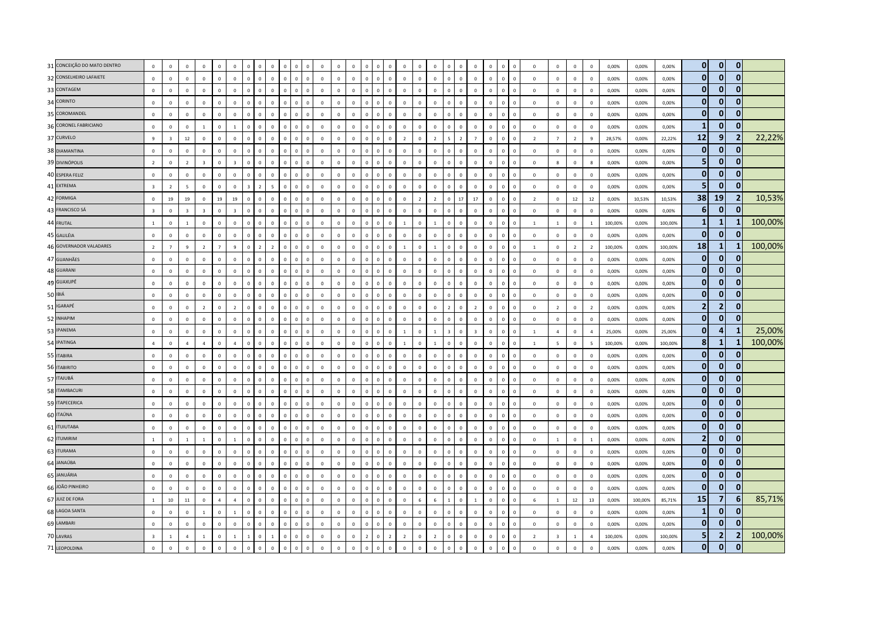| 31 CONCEIÇÃO DO MATO DENTRO | $\mathbf 0$             | $\mathsf 0$             | $\mathbf 0$             | $\circ$                 | $\Omega$       | $\mathbb O$             | $\mathbf 0$             | $\,0\,$                  | $\mathbf 0$    | $\overline{0}$             | $\mathbf 0$  | $\mathbf 0$  | $\mathsf 0$  | $\mathsf 0$  | $\mathbf 0$    | $\,$ 0<br>$\circ$              | $\mathbf 0$    | $\Omega$       | $\,0\,$        | $\Omega$                | $\mathbf 0$    | $\overline{0}$ | $\mathbf 0$  | $\mathbf 0$<br>$\mathbf{0}$    | $\,$ 0         | $\mathbf 0$             | $\circ$        | $\mathbf 0$             | 0,00%   | 0,00%   | 0,00%   | $\mathbf{0}$   | $\mathbf{0}$   | $\mathbf 0$             |         |
|-----------------------------|-------------------------|-------------------------|-------------------------|-------------------------|----------------|-------------------------|-------------------------|--------------------------|----------------|----------------------------|--------------|--------------|--------------|--------------|----------------|--------------------------------|----------------|----------------|----------------|-------------------------|----------------|----------------|--------------|--------------------------------|----------------|-------------------------|----------------|-------------------------|---------|---------|---------|----------------|----------------|-------------------------|---------|
| 32 CONSELHEIRO LAFAIETE     | $\mathbb O$             | $\mathsf 0$             | $\mathbf 0$             | $\mathsf 0$             | $\mathbf{0}$   | $\mathbf 0$             | $\mathbf 0$             | $\mathsf 0$              | $\mathbf 0$    | $\mathbf 0$<br>$\Omega$    | $\mathbf 0$  | $\mathbf 0$  | $\mathsf 0$  | $\mathbf 0$  | $\mathbf 0$    | $\mathbf 0$<br>$\mathsf 0$     | $\mathbf 0$    | $\mathsf 0$    | $\mathbf 0$    | $\mathbf{0}$            | $\mathbf 0$    | $\mathsf 0$    | $\mathbf 0$  | $\mathbf 0$<br>$\mathsf 0$     | $\mathbf 0$    | $\circ$                 | $\mathsf 0$    | $\mathbf 0$             | 0,00%   | 0,00%   | 0,00%   | $\mathbf{0}$   | $\mathbf{0}$   | $\mathbf{0}$            |         |
| 33 CONTAGEM                 | $\mathbf 0$             | $\mathsf 0$             | $\mathbf{0}$            | $\mathbf{0}$            | $\Omega$       | $\circ$                 | $\mathbf 0$             | $\,0\,$                  | $\mathbf 0$    | $\overline{0}$             | $\mathbf 0$  | $\mathbf 0$  | $\mathsf 0$  | $\mathsf 0$  | $\mathbf 0$    | $\mathbb O$<br>$\mathsf 0$     | $\mathbf{0}$   | $\Omega$       | $\mathsf 0$    | $\Omega$                | $\mathbf 0$    | $\mathbf 0$    | $\mathbf 0$  | $\mathbf 0$<br>$\mathbf 0$     | $\mathbf 0$    | $\mathbf{0}$            | $\mathbf{0}$   | $\mathbf 0$             | 0,00%   | 0,00%   | 0,00%   | $\mathbf{0}$   | $\overline{0}$ | $\mathbf 0$             |         |
| 34 CORINTO                  | $\,0\,$                 | $\,0\,$                 | $\mathbf{0}$            | $\circ$                 | $\Omega$       | $\mathbb O$             | $\Omega$                | $\,$ 0                   | $\mathbf 0$    | $\Omega$<br>$\Omega$       | $\mathbf 0$  | $\mathbb O$  | $\mathsf 0$  | $\mathsf 0$  | $\mathbf 0$    | $\mathbf 0$<br>$\mathbf{0}$    | $\mathbb O$    | $\Omega$       | $\,0\,$        | $\Omega$                | $\mathbf{0}$   | $\overline{0}$ | $\mathbf 0$  | $\mathbf{0}$<br>$\overline{0}$ | $\mathbf 0$    | $\mathbf 0$             | $\mathsf 0$    | $\overline{0}$          | 0,00%   | 0,00%   | 0,00%   | $\mathbf{0}$   | $\mathbf{0}$   | $\mathbf{0}$            |         |
| 35 COROMANDEL               | $\mathbf 0$             | $\mathsf 0$             | $\mathbf 0$             | $\mathsf 0$             | $\mathbf{0}$   | $\mathbb O$             | $\mathbf 0$             | $\mathsf 0$              | $\mathbf 0$    | $\overline{0}$<br>$\Omega$ | $\mathbf 0$  | $\mathbf 0$  | $\mathsf 0$  | $\mathsf 0$  | $\mathbf 0$    | $\mathbf 0$<br>$\mathbf 0$     | $\mathbf 0$    | $\Omega$       | $\mathsf 0$    | $\mathbf 0$             | $\mathbf 0$    | $\overline{0}$ | $\mathbf 0$  | $\mathbb O$<br>$\mathbf{0}$    | $\overline{0}$ | $\mathbf 0$             | $\mathsf 0$    | $\mathbf 0$             | 0,00%   | 0,00%   | 0,00%   | $\mathbf{0}$   | $\mathbf{0}$   | $\bf{0}$                |         |
| 36 CORONEL FABRICIANO       | $\,0\,$                 | $\mathbf{0}$            | $\mathbf 0$             | $\mathbf{1}$            | $\mathbf 0$    | $\mathbf{1}$            | $\mathbf 0$             | $\overline{0}$           | $\mathbf 0$    | $\mathbf 0$                | $\mathsf 0$  | $\mathbf 0$  | $\mathsf 0$  | $\mathsf 0$  | $\mathbf 0$    | $\overline{0}$<br>$\mathsf 0$  | $\mathbb O$    | $\mathbf{0}$   | $\mathbf 0$    | $\mathbf 0$             | $\mathbf{0}$   | $\mathbf 0$    | $\mathbf 0$  | $\overline{0}$<br>$\mathbf 0$  | $\overline{0}$ | $\mathbf 0$             | $\mathbf 0$    | $\mathbf 0$             | 0,00%   | 0,00%   | 0,00%   | $\mathbf{1}$   | $\mathbf{0}$   | $\Omega$                |         |
| 37 CURVELO                  | 9                       | $\overline{\mathbf{3}}$ | 12                      | $\circ$                 | $\Omega$       | $\mathbf 0$             | $\Omega$                | $\overline{0}$           | $\Omega$       | $\Omega$                   | $\Omega$     | $\Omega$     | $\mathbf{0}$ | $\mathbf{0}$ | $\Omega$       | $\overline{0}$<br>$\circ$      | $\overline{2}$ | $\Omega$       | $\overline{2}$ | $\sim$                  | $\overline{z}$ | $\overline{7}$ | $\Omega$     | $\mathbf{0}$<br>$\overline{0}$ | $\overline{2}$ | $\overline{7}$          | $\overline{2}$ | $\mathbf{q}$            | 28.57%  | 0.00%   | 22,22%  | 12             | $\overline{9}$ | 2                       | 22,22%  |
| 38 DIAMANTINA               | $\mathbf 0$             | $\mathsf 0$             | $\mathbf{0}$            | $\circ$                 | $\Omega$       | $\mathbf 0$             | $\mathbf 0$             | $\overline{0}$           | $\mathbf 0$    | $\overline{0}$<br>$\Omega$ | $\mathbf 0$  | $\mathbf 0$  | $\mathbf{0}$ | $\mathsf 0$  | $\,$ 0 $\,$    | $\mathbb O$<br>$\Omega$        | $\mathbf{0}$   | $\Omega$       | $\mathsf 0$    | $\Omega$                | $\mathbf 0$    | $\mathbf 0$    | $\mathbf 0$  | $\mathbf 0$<br>$\Omega$        | $\mathbf 0$    | $\circ$                 | $\circ$        | $\mathbf 0$             | 0,00%   | 0,00%   | 0,00%   | $\mathbf{0}$   | $\mathbf{0}$   | $\mathbf{0}$            |         |
| 39 DIVINÓPOLIS              | $\overline{2}$          | $\mathbf{0}$            | $\overline{2}$          | $\overline{\mathbf{3}}$ | $\mathbf 0$    | $\overline{\mathbf{3}}$ | $\mathbf 0$             | $\overline{0}$           | $\mathbf 0$    | $\mathbf 0$                | $\mathbf{0}$ | $\mathbf 0$  | $\mathsf 0$  | $\mathsf 0$  | $\mathbf{0}$   | $\overline{0}$<br>$\mathsf 0$  | $\mathbb O$    | $\mathbf{0}$   | $\mathbf 0$    | $\mathbf 0$             | $\mathbf{0}$   | $\overline{0}$ | $\mathbf 0$  | $\mathbf{0}$<br>$\overline{0}$ | $\overline{0}$ | 8                       | $\mathbf{0}$   | 8                       | 0,00%   | 0,00%   | 0,00%   | 5 <sub>5</sub> | $\mathbf{0}$   | $\mathbf{0}$            |         |
| 40 ESPERA FELIZ             | $\mathbf 0$             | $\mathbf 0$             | $\mathbf 0$             | $\mathbf 0$             | $\mathbf 0$    | $\mathbb O$             | $\mathbb O$             | $\,$ 0                   | $\mathsf 0$    | $\,0\,$<br>$\mathbf 0$     | $\mathbf 0$  | $\mathbf 0$  | $\mathsf 0$  | $\mathbf 0$  | $\mathbf 0$    | $\mathbf 0$<br>$\mathbf 0$     | $\mathbf{0}$   | $\mathsf 0$    | $\mathbf 0$    | $\mathbf{0}$            | $\mathbf 0$    | $\mathbf 0$    | $\mathbf 0$  | $\mathbf 0$<br>$\mathbf{0}$    | $\,0\,$        | $\mathbb O$             | $\mathbf 0$    | $\overline{\mathbf{0}}$ | 0,00%   | 0,00%   | 0,00%   | $\mathbf{0}$   | $\mathbf{0}$   | $\mathbf 0$             |         |
| 41 EXTREMA                  | $\overline{3}$          | $\overline{2}$          | $\overline{5}$          | $\Omega$                | $\Omega$       | $\mathbf 0$             | $\overline{\mathbf{z}}$ | $\overline{\phantom{a}}$ | 5              | $\mathbf{0}$               | $\Omega$     | $\Omega$     | $\mathbf{0}$ | $\mathbf{0}$ | $\Omega$       | $\mathbf 0$<br>$\circ$         | $\mathbf 0$    | $\Omega$       | $\mathbf{0}$   | $\Omega$                | $\Omega$       | $\Omega$       | $\Omega$     | $\Omega$<br>$\Omega$           | $\Omega$       | $\Omega$                | $\Omega$       | $\Omega$                | 0.00%   | 0.00%   | 0.00%   | 5              | $\mathbf{0}$   | 0                       |         |
| 42 FORMIGA                  | $\,0\,$                 | 19                      | 19                      | $\mathsf 0$             | 19             | 19                      | $\Omega$                | $\Omega$                 | $\mathbf 0$    | $\Omega$                   | $\mathbf{0}$ | $\mathbf{0}$ | $\mathsf 0$  | $\mathsf 0$  | $\Omega$       | $\mathbf{0}$<br>$\Omega$       | $\mathbf{0}$   | $\overline{z}$ | $\overline{2}$ | $\Omega$                | $17\,$         | $17\,$         | $\mathbf 0$  | $\Omega$<br>$\Omega$           | $\overline{2}$ | $\mathbb O$             | 12             | $12\,$                  | 0,00%   | 10,53%  | 10,53%  | 38             | 19             | $\mathbf{2}$            | 10,53%  |
| 43 FRANCISCO SÁ             | $\overline{\mathbf{3}}$ | $\mathbf 0$             | $\overline{\mathbf{3}}$ | $\overline{\mathbf{3}}$ | $\mathbf 0$    | $\overline{\mathbf{3}}$ | $\mathbf 0$             | $\mathsf 0$              | $\mathbf 0$    | $\mathbf 0$<br>$\Omega$    | $\mathbf 0$  | $\mathbf 0$  | $\mathsf 0$  | $\mathsf 0$  | $\mathbf 0$    | $\mathbb O$<br>$\mathbf 0$     | $\mathbb O$    | $\Omega$       | $\mathbf 0$    | $\mathbf{0}$            | $\mathbf 0$    | $\mathbf 0$    | $\mathbf 0$  | $\mathbf 0$<br>$\mathbf 0$     | $\mathbf 0$    | $\mathbf 0$             | $\mathbf 0$    | $\,0\,$                 | 0,00%   | 0,00%   | 0,00%   | $6\phantom{1}$ | $\overline{0}$ | $\mathbf{0}$            |         |
| 44 FRUTAL                   | $\mathbf{1}$            | $\Omega$                | $\overline{1}$          | $\mathbf 0$             | $\Omega$       | $\mathbf 0$             | $\Omega$                | $\overline{0}$           | $\mathbf 0$    | $\Omega$                   | $\mathbf 0$  | $\mathbf 0$  | $\mathbf{0}$ | $\mathbf{0}$ | $\mathbf{0}$   | $\overline{0}$<br>$\circ$      | $\mathbf{1}$   | $\Omega$       | $\,$ 1 $\,$    | $\mathbf{0}$            | $\mathbf 0$    | $\mathbf 0$    | $\mathbf 0$  | $\mathbf 0$<br>$\Omega$        | $\overline{1}$ | $\overline{1}$          | $\mathbf{0}$   | $\overline{1}$          | 100,00% | 0,00%   | 100,00% | $\mathbf{1}$   | $\mathbf{1}$   | -1                      | 100,00% |
| 45 GALILÉIA                 | $\overline{0}$          | $\mathsf 0$             | $\mathbf{0}$            | $\mathsf 0$             | $\Omega$       | $\mathbf 0$             | $\mathbf 0$             | $\mathbf{0}$             | $\mathbf{0}$   | $\Omega$<br>$\Omega$       | $\mathbf{0}$ | $\mathbf{0}$ | $\mathbf{0}$ | $\mathbf{0}$ | $\mathbf{0}$   | $\mathbf{0}$<br>$\mathbf{0}$   | $\circ$        | $\Omega$       | $\mathbf 0$    | $\mathbf{0}$            | $\Omega$       | $\mathbf{0}$   | $\mathbf{0}$ | $\mathbf{0}$<br>$\overline{0}$ | $\mathbf{0}$   | $\Omega$                | $\circ$        | $\Omega$                | 0.00%   | 0,00%   | 0,00%   | $\mathbf{0}$   | $\mathbf{0}$   | $\mathbf{0}$            |         |
| 46 GOVERNADOR VALADARES     | $\overline{2}$          | $\overline{7}$          | $\mathbf{q}$            | $\overline{2}$          | $\overline{7}$ | $\overline{9}$          | $\mathbf 0$             | $\overline{2}$           | $\overline{2}$ | $\overline{0}$             | $\mathbf 0$  | $\mathbf 0$  | $\mathsf 0$  | $\mathsf 0$  | $\mathbf 0$    | $\mathbf 0$<br>$\mathbf{0}$    | $\mathbf{1}$   | $\Omega$       | $\mathbf{1}$   | $\Omega$                | $\mathbf{0}$   | $\overline{0}$ | $\mathbf 0$  | $\mathbf{0}$<br>$\mathbf{0}$   | $\overline{1}$ | $\mathbf 0$             | $\overline{2}$ | $\overline{2}$          | 100,00% | 0,00%   | 100,00% | 18             | $\mathbf{1}$   |                         | 100,00% |
| 47 GUANHÃES                 | $\,0\,$                 | $\,0\,$                 | $\overline{0}$          | $\mathbf 0$             | $\mathbf 0$    | $\,0\,$                 | $\Omega$                | $\Omega$                 | $\mathbf 0$    | $\mathbf 0$                | $\mathbf 0$  | $\mathbf 0$  | $\mathsf 0$  | $\mathbf 0$  | $\mathbf 0$    | $\mathbb O$<br>$\mathbf{0}$    | $\mathbb O$    | $\mathbf{0}$   | $\,0\,$        | $\Omega$                | $\mathsf 0$    | $\,0\,$        | $\mathbf 0$  | $\overline{0}$<br>$\mathbf{0}$ | $\,0\,$        | $\mathbf{0}$            | $\mathbf 0$    | $\mathbf 0$             | 0,00%   | 0,00%   | 0,00%   | $\mathbf 0$    | $\overline{0}$ | $\mathbf 0$             |         |
| 48 GUARANI                  | $\mathbf 0$             | $\mathsf 0$             | $\mathbf{0}$            | $\mathsf 0$             | $\mathbf{0}$   | $\mathbb O$             | $\Omega$                | $\mathsf 0$              | $\mathbf 0$    | $\mathbf 0$<br>$\Omega$    | $\mathbf 0$  | $\mathbf 0$  | $\mathsf 0$  | $\mathsf 0$  | $\mathbf 0$    | $\mathbb O$<br>$\mathbf{0}$    | $\mathbf 0$    | $\Omega$       | $\mathsf 0$    | $\mathbf{0}$            | $\mathbf 0$    | $\mathbf{0}$   | $\mathbf 0$  | $\mathbf{0}$<br>$\mathbf{0}$   | $\overline{0}$ | $\mathbf 0$             | $\mathsf 0$    | $\mathbf 0$             | 0,00%   | 0,00%   | 0,00%   | $\mathbf{0}$   | $\mathbf{0}$   | $\mathbf{0}$            |         |
| 49 GUAXUPÉ                  | $\mathbf 0$             | $\mathbf{0}$            | $\Omega$                | $\Omega$                | $\Omega$       | $\mathbf{0}$            | $\Omega$                | $\mathbf{0}$             | $\Omega$       | $\Omega$                   | $\Omega$     | $\Omega$     | $\mathbf{0}$ | $\mathbf{0}$ | $\Omega$       | $\mathbf{0}$<br>$\Omega$       | $\mathbf{0}$   | $\Omega$       | $\mathsf 0$    | $\Omega$                | $\Omega$       | $\Omega$       | $\Omega$     | $\Omega$<br>$\mathbf{0}$       | $\mathbf{0}$   | $\Omega$                | $\Omega$       | $\mathbf 0$             | 0,00%   | 0,00%   | 0,00%   | $\mathbf{0}$   | $\mathbf{0}$   | $\bf{0}$                |         |
| 50 IBIÁ                     | $\,0\,$                 | $\mathbf 0$             | $\mathbf{0}$            | $\mathbf 0$             | $\mathbf 0$    | $\mathbb O$             | $\mathbf 0$             | $\,0\,$                  | $\mathbf 0$    | $\overline{0}$             | $\mathbf 0$  | $\mathbb O$  | $\mathsf 0$  | $\mathbf 0$  | $\mathbf 0$    | $\mathbf 0$<br>$\mathsf 0$     | $\mathbb O$    | $\Omega$       | $\,0\,$        | $\Omega$                | $\mathsf 0$    | $\overline{0}$ | $\mathbf 0$  | $\mathbf 0$<br>$\mathbf 0$     | $\,0\,$        | $\mathbb O$             | $\mathbf 0$    | $\,0\,$                 | 0,00%   | 0,00%   | 0,00%   | $\mathbf{0}$   | $\mathbf{0}$   | $\mathbf 0$             |         |
| 51 IGARAPÉ                  | $\,0\,$                 | $\mathbf 0$             | $\mathbf{0}$            | $\overline{2}$          | $\Omega$       | $\overline{2}$          | $\mathbb O$             | $\,0\,$                  | $\mathbf 0$    | $\overline{0}$<br>$\Omega$ | $\mathbf 0$  | $\mathbf 0$  | $\mathbf 0$  | $\mathbf 0$  | $\mathbf 0$    | $\mathbf 0$<br>$\mathbf{0}$    | $\mathbb O$    | $\Omega$       | $\mathbf 0$    | $\overline{2}$          | $\mathbf 0$    | $\overline{2}$ | $\mathbf 0$  | $\mathbf 0$<br>$\overline{0}$  | $\,0\,$        | $\overline{2}$          | $\mathbf 0$    | $\overline{2}$          | 0,00%   | 0,00%   | 0,00%   | $\mathbf 2$    | $\overline{2}$ | 0                       |         |
| 52 INHAPIM                  | $\mathbf 0$             | $\mathbf{0}$            | $\Omega$                | $\circ$                 | $\Omega$       | $\mathbf 0$             | $\Omega$                | $\Omega$                 | $\mathbf 0$    | $\Omega$                   | $\mathbf 0$  | $\mathbf 0$  | $\mathbf{0}$ | $\mathsf 0$  | $\mathbf 0$    | $\overline{0}$<br>$\Omega$     | $\mathbf{0}$   | $\Omega$       | $\mathsf 0$    | $\Omega$                | $\mathbf 0$    | $\mathbf 0$    | $\mathbf 0$  | $\mathbf 0$<br>$\Omega$        | $\overline{0}$ | $\mathbf 0$             | $\circ$        | $\mathbf 0$             | 0,00%   | 0,00%   | 0,00%   | $\mathbf{0}$   | $\overline{0}$ | $\mathbf{0}$            |         |
| 53 IPANEMA                  | $\mathbf 0$             | $\mathsf 0$             | $\Omega$                | $\Omega$                | $\Omega$       | $\mathbf{0}$            | $\Omega$                | $\mathbf{0}$             | $\mathbf 0$    | $\Omega$                   | $\Omega$     | $\Omega$     | $\mathsf 0$  | $\mathsf 0$  | $\Omega$       | $\overline{0}$<br>$\Omega$     | $\overline{1}$ | $\Omega$       | $\mathbf{1}$   | $\overline{\mathbf{z}}$ | $\Omega$       | $\overline{3}$ | $\Omega$     | $\Omega$<br>$\Omega$           | $\overline{1}$ | $\overline{4}$          | $\Omega$       | $\overline{a}$          | 25,00%  | 0,00%   | 25,00%  | $\mathbf{0}$   | 4              | -1                      | 25,00%  |
| 54 IPATINGA                 | $\overline{4}$          | $\mathbf 0$             | $\overline{a}$          | $\overline{a}$          | $\Omega$       | $\overline{4}$          | $\mathbf 0$             | $\mathsf 0$              | $\mathbf 0$    | $\overline{0}$             | $\mathbf 0$  | $\mathbf 0$  | $\mathsf 0$  | $\mathsf 0$  | $\mathbf 0$    | $\mathbf 0$<br>$\mathbf{0}$    | $1\,$          | $\Omega$       | $\mathbf{1}$   | $\Omega$                | $\mathbf 0$    | $\mathbf 0$    | $\mathbf 0$  | $\mathbf 0$<br>$\mathbf{0}$    | $\mathbf{1}$   | 5                       | $\mathbf 0$    | 5                       | 100,00% | 0,00%   | 100,00% | 8              | $\mathbf{1}$   |                         | 100,00% |
| 55 ITABIRA                  | $\mathbf 0$             | $\mathsf 0$             | $\mathbf 0$             | $\mathsf 0$             | $\Omega$       | $\mathbb O$             | $\mathbf 0$             | $\overline{0}$           | $\mathbf 0$    | $\Omega$<br>$\sqrt{2}$     | $\mathbf 0$  | $\mathbb O$  | $\mathsf 0$  | $\mathsf 0$  | $\mathbf 0$    | $\mathbf 0$<br>$\mathbf{0}$    | $\mathbf{0}$   | $\Omega$       | $\,0\,$        | $\Omega$                | $\mathbf{0}$   | $\overline{0}$ | $\mathbf 0$  | $\mathbf 0$<br>$\mathbf 0$     | $\,$ 0         | $\mathbf 0$             | $\circ$        | $\overline{0}$          | 0,00%   | 0,00%   | 0,00%   | $\mathbf{0}$   | $\mathbf{0}$   | $\mathbf{0}$            |         |
| 56 ITABIRITO                | $\mathbf 0$             | $\mathsf 0$             | $\mathbb O$             | $\mathbf 0$             | $\mathbf{0}$   | $\mathbb O$             | $\mathbf 0$             | $\mathsf 0$              | $\mathbf 0$    | $\mathbf 0$<br>$\Omega$    | $\mathbf 0$  | $\mathbf 0$  | $\mathsf 0$  | $\mathsf 0$  | $\mathbf 0$    | $\mathbf 0$<br>$\mathbf{0}$    | $\mathbf 0$    | $\Omega$       | $\mathsf 0$    | $\mathbf{0}$            | $\mathbf 0$    | $\mathbf{0}$   | $\mathbf 0$  | $\mathbf 0$<br>$\mathsf 0$     | $\mathbf 0$    | $\mathbb O$             | $\mathbf 0$    | $\mathbf 0$             | 0,00%   | 0,00%   | 0,00%   | $\mathbf{0}$   | $\mathbf{0}$   | $\bf{0}$                |         |
| 57 ITAJUBÁ                  | $\mathbf 0$             | $\mathsf 0$             | $\Omega$                | $\Omega$                | $\Omega$       | $\mathbf 0$             | $\Omega$                | $\mathbf{0}$             | $\mathbf 0$    | $\Omega$                   | $\mathbf 0$  | $\mathbf 0$  | $\mathbf{0}$ | $\mathsf 0$  | $\mathbf 0$    | $\mathbf 0$<br>$\Omega$        | $\Omega$       | $\Omega$       | $\mathsf 0$    | $\Omega$                | $\mathbf 0$    | $\Omega$       | $\Omega$     | $\Omega$<br>$\Omega$           | $\Omega$       | $\Omega$                | $\mathsf 0$    | $\mathbf 0$             | 0,00%   | 0,00%   | 0,00%   | $\mathbf{0}$   | $\mathbf{0}$   | 0                       |         |
| 58 ITAMBACURI               | $\,0\,$                 | $\,0\,$                 | $\Omega$                | $\Omega$                | $\Omega$       | $\mathbb O$             | $\Omega$                | $\Omega$                 | $\mathbf 0$    | $\Omega$                   | $\Omega$     | $\mathbf 0$  | $\mathbf{0}$ | $\mathbf 0$  | $\Omega$       | $\mathbf 0$<br>$\Omega$        | $\mathbf 0$    | $\Omega$       | $\,$ 0         | $\Omega$                | $\Omega$       | $\,0\,$        | $\Omega$     | $\Omega$<br>$\Omega$           | $\Omega$       | $\Omega$                | $\mathbf 0$    | $\overline{0}$          | 0,00%   | 0,00%   | 0,00%   | $\mathbf{0}$   | $\mathbf{0}$   | $\mathbf{0}$            |         |
| 59 ITAPECERICA              | $\mathbf 0$             | $\mathsf 0$             | $\mathbf{0}$            | $\circ$                 | $\mathbf 0$    | $\mathbf 0$             | $\mathbf 0$             | $\,0\,$                  | $\mathbf 0$    | $\mathbf 0$<br>$\Omega$    | $\mathbf 0$  | $\mathbf 0$  | $\mathsf 0$  | $\mathsf 0$  | $\mathbf 0$    | $\mathbf 0$<br>$\Omega$        | $\mathbb O$    | $\Omega$       | $\mathsf 0$    | $\mathbf 0$             | $\mathbf 0$    | $\mathbf{0}$   | $\mathbf 0$  | $\mathbf{0}$<br>$\mathbf 0$    | $\,$ 0         | $\mathbf 0$             | $\circ$        | $\mathbf 0$             | 0,00%   | 0,00%   | 0,00%   | $\mathbf{0}$   | $\mathbf{0}$   | $\mathbf{0}$            |         |
| 60 ITAÚNA                   | $\mathbf 0$             | $\mathbf{0}$            | $\mathbf 0$             | $\mathsf 0$             | $\Omega$       | $\mathbb O$             | $\mathbf 0$             | $\,$ 0                   | $\mathbf 0$    | $\mathbf 0$                | $\mathbf{0}$ | $\mathbf{0}$ | $\mathsf 0$  | $\mathsf 0$  | $\mathbf{0}$   | $\mathbb O$<br>$\mathsf 0$     | $\mathbf 0$    | $\Omega$       | $\mathsf 0$    | $\Omega$                | $\mathbf{0}$   | $\overline{0}$ | $\mathbf 0$  | $\overline{0}$<br>$\mathbf{0}$ | $\overline{0}$ | $\mathbf 0$             | $\mathsf 0$    | $\mathbf 0$             | 0,00%   | 0,00%   | 0,00%   | $\mathbf{0}$   | $\mathbf{0}$   | $\mathbf{0}$            |         |
| 61 <b>ITUIUTABA</b>         | $\,0\,$                 | $\,0\,$                 | $\Omega$                | $\mathbf{0}$            | $\Omega$       | $\mathbb O$             | $\Omega$                | $\,0\,$                  | $\mathbf 0$    | $\Omega$<br>$\Omega$       | $\mathbf 0$  | $\mathbf 0$  | $\mathbf 0$  | $\mathbf 0$  | $\mathbf 0$    | $\mathbf 0$<br>$\Omega$        | $\mathbb O$    | $\Omega$       | $\mathbf 0$    | $\Omega$                | $\mathbf 0$    | $\mathbf 0$    | $\mathbf 0$  | $\Omega$<br>$\Omega$           | $\mathbf 0$    | $\mathbf 0$             | $\mathsf 0$    | $\mathbf 0$             | 0,00%   | 0,00%   | 0,00%   | $\mathbf{0}$   | $\mathbf{0}$   | $\mathbf 0$             |         |
| 62 ITUMIRIM                 | $\mathbf{1}$            | $\mathsf 0$             | $\overline{1}$          | $\mathbf{1}$            | $\Omega$       | $\mathbf{1}$            | $\mathbf 0$             | $\mathbf 0$              | $\mathbf 0$    | $\overline{0}$<br>$\Omega$ | $\mathbf 0$  | $\mathbf 0$  | $\mathsf 0$  | $\mathsf 0$  | $\mathbf 0$    | $\mathbf 0$<br>$\mathbf{0}$    | $\mathbf{0}$   | $\Omega$       | $\,0\,$        | $\Omega$                | $\mathbf 0$    | $\mathsf 0$    | $\mathbf 0$  | $\mathbf 0$<br>$\mathbf 0$     | $\,$ 0         | $\mathbf{1}$            | $\circ$        | 1                       | 0,00%   | 0,00%   | 0,00%   | $\overline{2}$ | $\mathbf{0}$   | 0                       |         |
| 63 ITURAMA                  | $\mathbf 0$             | $\mathsf 0$             | $\mathbf 0$             | $\mathsf 0$             | $\Omega$       | $\mathbf 0$             | $\Omega$                | $\Omega$                 | $\mathbf 0$    | $\theta$                   | $\mathbf{0}$ | $\mathbf 0$  | $\mathsf 0$  | $\mathsf 0$  | $\mathbf{0}$   | $\overline{0}$<br>$\Omega$     | $\mathbb O$    | $\Omega$       | $\mathsf 0$    | $\Omega$                | $\mathbf{0}$   | $\overline{0}$ | $\mathbf{0}$ | $\overline{0}$<br>$\Omega$     | $\overline{0}$ | $\mathbf 0$             | $\mathsf 0$    | $\mathbf 0$             | 0,00%   | 0,00%   | 0,00%   | $\mathbf{0}$   | $\Omega$       | $\mathbf{0}$            |         |
| 64 JANAÚBA                  | $\mathbf 0$             | $\mathsf 0$             | $\mathbf{0}$            | $\mathbf{0}$            | $\Omega$       | $\mathbb O$             | $\mathbf 0$             | $\mathsf 0$              | $\mathbf 0$    | $\overline{0}$             | $\mathbf 0$  | $\mathbf{0}$ | $\mathsf 0$  | $\mathsf 0$  | $\mathbf 0$    | $\mathbb O$<br>$\Omega$        | $\mathbb O$    | $\Omega$       | $\mathsf 0$    | $\Omega$                | $\mathbf 0$    | $\mathbf{0}$   | $\mathbf{0}$ | $\mathbf 0$<br>$\mathsf 0$     | $\overline{0}$ | $\mathbb O$             | $\mathsf 0$    | $\mathbf 0$             | 0,00%   | 0,00%   | 0,00%   | $\mathbf{0}$   | $\overline{0}$ | $\mathbf 0$             |         |
| 65 JANUÁRIA                 | $\overline{0}$          | $\mathbf{0}$            | $\mathbf{0}$            | $\circ$                 | $\Omega$       | $\mathbf 0$             | $\Omega$                | $\overline{0}$           | $\Omega$       | $\Omega$                   | $\Omega$     | $\Omega$     | $\mathbf{0}$ | $\mathbf{0}$ | $\Omega$       | $\mathbf 0$<br>$\circ$         | $\circ$        | $\Omega$       | $\mathbf{0}$   | $\Omega$                | $\Omega$       | $\Omega$       | $\Omega$     | $\Omega$<br>$\overline{0}$     | $\Omega$       | $\Omega$                | $\Omega$       | $\overline{0}$          | 0.00%   | 0.00%   | 0.00%   | $\mathbf{0}$   | $\mathbf{0}$   | $\mathbf{0}$            |         |
| 66 JOÃO PINHEIRO            | $\circ$                 | $\mathsf 0$             | $\mathbf 0$             | $\circ$                 | $\Omega$       | $\mathbb O$             | $\mathbb O$             | $\overline{0}$           | $\mathbf 0$    | $\Omega$<br>$\Omega$       | $\mathbf 0$  | $\mathbb O$  | $\mathsf 0$  | $\mathsf 0$  | $\mathbf 0$    | $\mathbf 0$<br>$\mathbf{0}$    | $\circ$        | $\Omega$       | $\,0\,$        | $\Omega$                | $\mathbf 0$    | $\,0\,$        | $\mathbf 0$  | $\mathbf 0$<br>$\overline{0}$  | $\,$ 0         | $\mathbf 0$             | $\circ$        | $\mathbf 0$             | 0,00%   | 0,00%   | 0,00%   | $\mathbf{0}$   | $\mathbf{0}$   | $\mathbf{0}$            |         |
| 67 JUIZ DE FORA             | $\mathbf 1$             | $10\,$                  | $11\,$                  | $\mathbf 0$             | $\overline{4}$ | $\overline{4}$          | $\mathbb O$             | $\mathbf 0$              | $\mathbf 0$    | $\mathbf 0$<br>$\Omega$    | $\mathbf 0$  | $\mathbf 0$  | $\mathsf 0$  | $\mathsf{o}$ | $\mathbf 0$    | $\mathbf 0$<br>$\mathsf 0$     | $\mathbb O$    | 6              | $\,$ 6 $\,$    | 1                       | $\mathbf 0$    | $\overline{1}$ | $\mathbf 0$  | $\mathbb O$<br>$\,0\,$         | 6              | $\overline{1}$          | 12             | 13                      | 0,00%   | 100,00% | 85,71%  | 15             | $\overline{7}$ | 6                       | 85,71%  |
| 68 LAGOA SANTA              | $\mathbf 0$             | $\mathbf{0}$            | $\mathbf 0$             | $\mathbf{1}$            | $\Omega$       | $\overline{1}$          | $\mathbf 0$             | $\Omega$                 | $\mathbf 0$    | $\theta$                   | $\mathbf{0}$ | $\mathbf 0$  | $\mathsf 0$  | $\mathsf 0$  | $\mathbf 0$    | $\overline{0}$<br>$\Omega$     | $\mathbf 0$    | $\Omega$       | $\mathsf 0$    | $\Omega$                | $\mathbf{0}$   | $\mathbf 0$    | $\mathbf 0$  | $\overline{0}$<br>$\mathbf{0}$ | $\overline{0}$ | $\mathbf 0$             | $\mathsf 0$    | $\mathbf 0$             | 0,00%   | 0,00%   | 0,00%   | $\mathbf{1}$   | $\overline{0}$ | $\mathbf 0$             |         |
| 69 LAMBARI                  | $\overline{0}$          | $\mathbf{0}$            | $\mathbf{0}$            | $\circ$                 | $\Omega$       | $\mathbf 0$             | $\mathbf 0$             | $\mathbf{0}$             | $\mathbf{0}$   | $\Omega$                   | $\mathbf{0}$ | $\mathbf{0}$ | $\mathbf{0}$ | $\mathbf{0}$ | $\Omega$       | $\overline{0}$<br>$\mathbf{0}$ | $\circ$        | $\Omega$       | $\mathbf{0}$   | $\mathbf{0}$            | $\Omega$       | $\Omega$       | $\mathbf{0}$ | $\mathbf{0}$<br>$\Omega$       | $\mathbf{0}$   | $\mathbf{0}$            | $\circ$        | $\mathbf{0}$            | 0.00%   | 0.00%   | 0.00%   | $\mathbf{0}$   | $\mathbf{0}$   | $\mathbf{0}$            |         |
| 70 LAVRAS                   | $\overline{\mathbf{3}}$ | $\mathbf{1}$            | $\overline{a}$          | $\mathbf{1}$            | $\mathbf{0}$   | $\,$ 1 $\,$             | $1\,$                   | $\,0\,$                  | $\,$ 1 $\,$    | $\mathbf 0$<br>$\Omega$    | $\mathbf 0$  | $\mathbf 0$  | $\mathsf 0$  | $\mathsf 0$  | $\overline{2}$ | $\mathbb O$<br>$\overline{2}$  | $\overline{2}$ | $\mathbf 0$    | $\overline{2}$ | $\mathbf{0}$            | $\mathbf 0$    | $\mathsf 0$    | $\mathbf 0$  | $\mathbf 0$<br>$\mathbf 0$     | $\overline{2}$ | $\overline{\mathbf{3}}$ | -1             | $\overline{a}$          | 100,00% | 0,00%   | 100,00% | 5 <sub>l</sub> | $\overline{2}$ | $\overline{\mathbf{z}}$ | 100,00% |
| 71 LEOPOLDINA               | $\,0\,$                 | $\mathbf{0}$            | $\mathbf 0$             | $\mathsf 0$             | $\mathbf 0$    | $\mathbb O$             | $\mathbf 0$             | $\overline{0}$           | $\pmb{0}$      | $\mathbf 0$                | $\mathbf{0}$ | $\mathbf 0$  | $\mathsf 0$  | $\mathsf 0$  | $\mathbf 0$    | $\overline{0}$<br>$\mathbf{0}$ | $\mathbf 0$    | $\mathbf{0}$   | $\mathsf 0$    | $\Omega$                | $\mathbf{0}$   | $\mathbf 0$    | $\mathbf 0$  | $\mathbf{0}$<br>$\Omega$       | $\overline{0}$ | $\mathbf 0$             | $\mathbf{0}$   | $\mathbf 0$             | 0,00%   | 0,00%   | 0,00%   | $\overline{0}$ | $\mathbf{0}$   | $\mathbf{0}$            |         |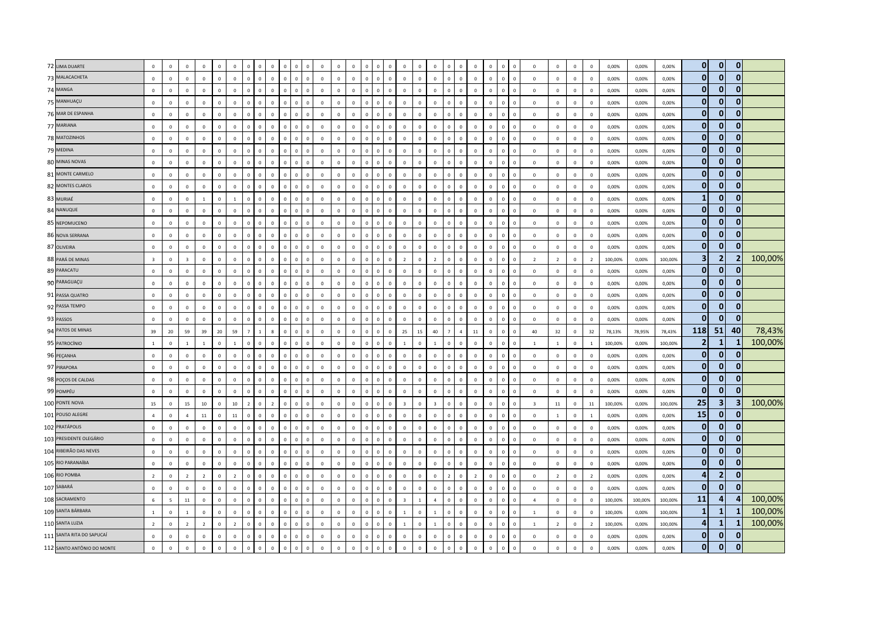| 72 LIMA DUARTE             | $\mathbb O$             | $\mathbf{0}$            | $\circ$        | $\mathbf 0$    | $\mathbf 0$  | $\mathbf 0$    | $\mathbb O$    | $\overline{0}$          | $\mathbf 0$    | $^{\circ}$<br>$\Omega$           | $\circ$      | $\circ$      | $\mathsf 0$  | $\mathsf 0$    | $\mathbf 0$  | $\overline{0}$<br>$\circ$      | $\mathbf{0}$            | $\mathbf{0}$   | $\,0\,$                 | $\Omega$       | $\mathbf 0$    | $\overline{0}$          | $\mathbf 0$  | $\overline{0}$<br>$\mathbf{0}$      | $\,$ 0                  | $\mathbf 0$    | $\mathbf{0}$   | $\mathbf 0$    | 0,00%   | 0,00%   | 0,00%   | $\mathbf{0}$            | $\mathbf{0}$   | $\mathbf{0}$   |         |
|----------------------------|-------------------------|-------------------------|----------------|----------------|--------------|----------------|----------------|-------------------------|----------------|----------------------------------|--------------|--------------|--------------|----------------|--------------|--------------------------------|-------------------------|----------------|-------------------------|----------------|----------------|-------------------------|--------------|-------------------------------------|-------------------------|----------------|----------------|----------------|---------|---------|---------|-------------------------|----------------|----------------|---------|
| 73 MALACACHETA             | $\mathbf 0$             | $\,$ 0                  | $\mathbf 0$    | $\mathbf 0$    | $\mathbf 0$  | $\mathbf 0$    | $\mathbf 0$    | $\mathbf 0$             | $\mathbf 0$    | $\mathbf 0$<br>$\circ$           | $\mathbf 0$  | $\mathbf{0}$ | $\mathbf 0$  | $\mathbf 0$    | $\mathbf 0$  | $\mathbf 0$<br>$\mathbf{0}$    | $\mathbf 0$             | $\mathbf 0$    | $\mathsf 0$             | $\overline{0}$ | $\mathbf 0$    | $\mathsf 0$             | $\mathbf 0$  | $\circ$<br>$\mathsf 0$              | $\mathbf 0$             | $\circ$        | $\mathbf 0$    | $\mathbf 0$    | 0,00%   | 0,00%   | 0,00%   | $\mathbf{0}$            | $\mathbf{0}$   | $\mathbf{0}$   |         |
| 74 MANGA                   | $\mathbf 0$             | $\mathbf 0$             | $\Omega$       | $\Omega$       | $\Omega$     | $\mathbf{0}$   | $\mathbb O$    | $\mathsf 0$             | $\Omega$       | $\Omega$<br>$\Omega$             | $\mathsf 0$  | $\mathbf 0$  | $\mathsf 0$  | $\mathbf 0$    | $\Omega$     | $\mathbb O$<br>$\mathbf{0}$    | $\mathbf{0}$            | $\Omega$       | $\mathbf 0$             | $\Omega$       | $\Omega$       | $\mathsf 0$             | $\Omega$     | $\mathbf 0$<br>$\Omega$             | $\mathbf 0$             | $\Omega$       | $\Omega$       | $\mathbb O$    | 0,00%   | 0.00%   | 0,00%   | $\mathbf{0}$            | $\mathbf{0}$   | $\mathbf{0}$   |         |
| 75 MANHUAÇU                | $\mathbf 0$             | $\,$ 0                  | $\mathbf{0}$   | $\mathbf 0$    | $\mathbf 0$  | $\mathbf 0$    | $\mathbf 0$    | $\,$ 0                  | $\mathbf 0$    | $\mathbf 0$<br>$\mathbf{0}$      | $\mathbf 0$  | $\mathbf 0$  | $\mathsf 0$  | $\mathsf 0$    | $\mathbf 0$  | $\mathbf 0$<br>$\mathbf{0}$    | $\mathbf{0}$            | $\Omega$       | $\,0\,$                 | $\Omega$       | $\mathbf 0$    | $\,$ 0                  | $\mathbf 0$  | $\mathbf 0$<br>$\overline{0}$       | $\,0\,$                 | $\mathbf 0$    | $\mathbf{0}$   | $\mathbf 0$    | 0,00%   | 0,00%   | 0,00%   | $\mathbf{0}$            | $\mathbf{0}$   | $\mathbf{0}$   |         |
| 76 MAR DE ESPANHA          | $\overline{0}$          | $\mathbf{0}$            | $\mathbf 0$    | $\mathbf{0}$   | $\mathbf 0$  | $\mathbb O$    | $\mathbf 0$    | $\overline{0}$          | $\mathbf 0$    | $\mathbf 0$<br>$\mathbf 0$       | $\mathbf 0$  | $\mathbf{0}$ | $\mathbf 0$  | $\mathbf 0$    | $\mathbf{0}$ | $\mathbf 0$<br>$\mathbf{0}$    | $\mathbf 0$             | $\mathsf 0$    | $\mathsf 0$             | $\mathbf{0}$   | $\mathbf 0$    | $\mathsf 0$             | $\mathsf 0$  | $\overline{0}$<br>$\mathbf{0}$      | $\mathbf 0$             | $\mathbf 0$    | $\mathbf 0$    | $\mathbf 0$    | 0,00%   | 0,00%   | 0,00%   | $\bf{0}$                | $\mathbf{0}$   | $\bf{0}$       |         |
| 77 MARIANA                 | $\mathbf 0$             | $\mathbf 0$             | $\mathbf{0}$   | $\mathbf 0$    | $\mathbf 0$  | $\mathbf 0$    | $\mathbf 0$    | $\overline{0}$          | $\mathbf 0$    | $\overline{0}$                   | $\mathbf 0$  | $\mathbf 0$  | $\mathsf 0$  | $\mathsf 0$    | $\mathbf 0$  | $\mathbb O$<br>$\mathsf 0$     | $\mathbf{0}$            | $\mathbf{0}$   | $\mathbf 0$             | $\mathbf 0$    | $\mathbf 0$    | $\mathbf 0$             | $\mathbf 0$  | $\overline{0}$<br>$\mathbf 0$       | $\mathbf 0$             | $\mathbf 0$    | $\mathbf 0$    | $\overline{0}$ | 0,00%   | 0,00%   | 0,00%   | $\mathbf{0}$            | $\bf{0}$       | $\mathbf{0}$   |         |
| 78 MATOZINHOS              | $\Omega$                | $\overline{0}$          | $\Omega$       | $\mathbf{0}$   | $\Omega$     | $\overline{0}$ | $\mathbf 0$    | $\overline{0}$          | $\Omega$       | $\Omega$<br>$\Omega$             | $\circ$      | $\mathbf{0}$ | $\mathbf{0}$ | $\mathbf{0}$   | $\mathbf{0}$ | $\overline{0}$<br>$\mathbf{0}$ | $\mathbf 0$             | $\Omega$       | $\overline{0}$          | $\mathbf{0}$   | $\Omega$       | $\mathbf{0}$            | $\Omega$     | $\circ$<br>$\Omega$                 | $\mathbf{0}$            | $\Omega$       | $\mathbf{0}$   | $\overline{0}$ | 0.00%   | 0,00%   | 0,00%   | $\mathbf{0}$            | $\mathbf{0}$   | $\bf{0}$       |         |
| 79 MEDINA                  | $\mathbf 0$             | $\,0\,$                 | $\mathbf{0}$   | $\mathbf 0$    | $\mathbf 0$  | $\mathbf 0$    | $\mathbb O$    | $\,$ 0                  | $\mathbf 0$    | $\mathbf 0$<br>$\Omega$          | $\mathbf 0$  | $\mathbf 0$  | $\mathsf 0$  | $\mathbf 0$    | $\mathsf 0$  | $\mathbb O$<br>$\mathbf{0}$    | $\mathbf{0}$            | $\Omega$       | $\mathbf 0$             | $\mathbf{0}$   | $\mathbf 0$    | $\mathsf 0$             | $\mathbf 0$  | $\overline{0}$<br>$\Omega$          | $\mathbf 0$             | $\circ$        | $\mathbf 0$    | $\mathbf 0$    | 0,00%   | 0,00%   | 0,00%   | $\mathbf{0}$            | $\mathbf{0}$   | $\mathbf{0}$   |         |
| 80 MINAS NOVAS             | $\mathbf 0$             | $\mathbf{0}$            | $\mathbf 0$    | $\mathbf 0$    | $\mathbf 0$  | $\mathbf 0$    | $\mathbf{0}$   | $\mathbf 0$             | $\mathbf 0$    | $\overline{0}$<br>$\mathbf 0$    | $\mathbf 0$  | $\mathbf 0$  | $\mathsf 0$  | $\mathsf 0$    | $\mathsf 0$  | $\overline{0}$<br>$\mathsf 0$  | $\mathbf{0}$            | $\mathbf{0}$   | $\mathbf 0$             | $\mathbf 0$    | $\mathbf 0$    | $\overline{0}$          | $\mathbf 0$  | $\overline{0}$<br>$\mathbf{0}$      | $\mathbf 0$             | $\mathbf 0$    | $\mathsf 0$    | $\overline{0}$ | 0,00%   | 0,00%   | 0,00%   | $\mathbf{0}$            | $\mathbf{0}$   | $\mathbf{0}$   |         |
| 81 MONTE CARMELO           | $\overline{0}$          | $\mathbf 0$             | $\mathbf{0}$   | $\mathbf{0}$   | $\mathbf 0$  | $\mathbf 0$    | $\mathbf{0}$   | $\overline{0}$          | $\mathbf 0$    | $\mathbf 0$<br>$\mathbf{0}$      | $\mathsf 0$  | $\mathbf 0$  | $\mathbf 0$  | $\mathbf 0$    | $\mathbf{0}$ | $\mathbf 0$<br>$\mathbf{0}$    | $\mathbf{0}$            | $\circ$        | $\mathbf 0$             | $\mathbf{0}$   | $\mathsf 0$    | $\mathsf 0$             | $\mathsf 0$  | $\overline{0}$<br>$\overline{0}$    | $\mathbf 0$             | $\mathbb O$    | $\mathbf 0$    | $\mathbf 0$    | 0,00%   | 0,00%   | 0,00%   | $\mathbf{0}$            | 0              | $\mathbf{0}$   |         |
| 82 MONTES CLAROS           | $\mathbf{0}$            | $\mathbf{0}$            | $\Omega$       | $\mathbf{0}$   | $\Omega$     | $\mathbf{0}$   | $\Omega$       | $\Omega$                | $\Omega$       | $\Omega$                         | $\mathbf{0}$ | $\Omega$     | $\mathbf{0}$ | $\mathbf{0}$   | $\Omega$     | $\mathbf{0}$<br>$\Omega$       | $\Omega$                | $\Omega$       | $\mathsf 0$             | $\Omega$       | $\Omega$       | $\Omega$                | $\Omega$     | $\Omega$<br>$\Omega$                | $\Omega$                | $\Omega$       | $\mathbf 0$    | $\Omega$       | 0,00%   | 0,00%   | 0,00%   | $\mathbf{0}$            | $\Omega$       | 0              |         |
| 83 MURIAÉ                  | $\,0\,$                 | $\mathbf{0}$            | $\overline{0}$ | $\mathbf{1}$   | $\mathbf 0$  | $\overline{1}$ | $\Omega$       | $\overline{0}$          | $\mathbf 0$    | $\overline{0}$<br>$\Omega$       | $\mathbf 0$  | $\mathbf 0$  | $\mathbf 0$  | $\mathsf 0$    | $\mathbf 0$  | $\mathbb O$<br>$\mathbf{0}$    | $\mathbb O$             | $\Omega$       | $\,0\,$                 | $\Omega$       | $\mathbf 0$    | $\mathbf 0$             | $\mathbf 0$  | $\mathbf 0$<br>$\Omega$             | $\,0\,$                 | $\mathbf 0$    | $\mathbf 0$    | $\mathbf 0$    | 0,00%   | 0,00%   | 0,00%   | $\mathbf{1}$            | $\bf{0}$       | $\bf{0}$       |         |
| 84 NANUQUE                 | $\mathbf 0$             | $\,0\,$                 | $\circ$        | $\mathbf 0$    | $\circ$      | $\mathbb O$    | $\mathbf{0}$   | $\overline{0}$          | $\mathbf 0$    | $\mathbf{0}$<br>$\mathbf{0}$     | $\mathsf 0$  | $\mathbf 0$  | $\mathsf 0$  | $\mathbf 0$    | $\mathbf 0$  | $\mathbf 0$<br>$\Omega$        | $\mathbf{0}$            | $\Omega$       | $\mathbf 0$             | $\Omega$       | $\mathbf 0$    | $\mathsf 0$             | $\mathbf 0$  | $\overline{0}$<br>$\Omega$          | $\mathbf 0$             | $\mathbf 0$    | $\mathbf{0}$   | $\mathbf 0$    | 0,00%   | 0,00%   | 0,00%   | $\mathbf{0}$            | $\mathbf{0}$   | $\mathbf{0}$   |         |
| 85 NEPOMUCENO              | $\mathbf 0$             | $\mathbf{0}$            | $\circ$        | $\mathbf 0$    | $\Omega$     | $\mathbb O$    | $\Omega$       | $\overline{0}$          | $\mathbf 0$    | $\overline{0}$<br>$\Omega$       | $\mathsf 0$  | $\mathbf 0$  | $\mathsf 0$  | $\mathsf 0$    | $\mathbf 0$  | $\mathbf 0$<br>$\mathbf{0}$    | $\mathbf 0$             | $\Omega$       | $\mathsf 0$             | $\Omega$       | $\mathbf 0$    | $\mathbf{0}$            | $\mathbf 0$  | $\mathbf 0$<br>$\overline{0}$       | $\mathbf 0$             | $\mathbf 0$    | $\mathbf 0$    | $\mathbf 0$    | 0,00%   | 0,00%   | 0,00%   | $\mathbf{0}$            | $\mathbf{0}$   | $\mathbf{0}$   |         |
| 86 NOVA SERRANA            | $\mathbf 0$             | $\,$ 0                  | $\mathbf 0$    | $\mathbf{0}$   | $\mathbf 0$  | $\mathsf 0$    | $\mathbf 0$    | $\mathbf 0$             | $\mathbf 0$    | $\mathbf{0}$<br>$\Omega$         | $\mathbf{0}$ | $\mathbf 0$  | $\mathsf 0$  | $\mathsf 0$    | $\mathbf 0$  | $\mathbf 0$<br>$\Omega$        | $\mathbf{0}$            | $\Omega$       | $\,0\,$                 | $\Omega$       | $\mathbf 0$    | $\,$ 0                  | $\mathbf 0$  | $\mathbf{0}$<br>$\Omega$            | $\,0\,$                 | $\mathbf{0}$   | $\mathbf 0$    | $\mathbf 0$    | 0,00%   | 0,00%   | 0,00%   | $\mathbf{0}$            | $\mathbf{0}$   | $\mathbf{0}$   |         |
| 87 OLIVEIRA                | $\,0\,$                 | $\,0\,$                 | $\mathbf{0}$   | $\mathbf 0$    | $\mathbf 0$  | $\mathbb O$    | $\mathbf 0$    | $\,$ 0 $\,$             | $\mathbf 0$    | $\,$ 0<br>$\overline{0}$         | $\mathbf 0$  | $\mathbf 0$  | $\mathbf 0$  | $\,$ 0 $\,$    | $\mathbf 0$  | $\mathbb O$<br>$\mathbf{0}$    | $\mathbf 0$             | $\mathbf 0$    | $\,0\,$                 | $\mathbf{0}$   | $\mathbf 0$    | $\,0\,$                 | $\mathbf 0$  | $\overline{0}$<br>$\overline{0}$    | $\,0\,$                 | $\mathbf 0$    | $\mathbf{0}$   | $\mathbf 0$    | 0,00%   | 0,00%   | 0,00%   | $\mathbf{0}$            | 0              |                |         |
| 88 PARÁ DE MINAS           | $\overline{\mathbf{3}}$ | $\mathbf{0}$            | $\overline{3}$ | $\mathbf 0$    | $\mathbf 0$  | $\mathbf 0$    | $\Omega$       | $\overline{0}$          | $\mathbf 0$    | $\Omega$<br>$\sqrt{2}$           | $\mathsf 0$  | $\circ$      | $\mathsf 0$  | $\mathsf 0$    | $\mathbf 0$  | $\mathbb O$<br>$\Omega$        | $\overline{2}$          | $\Omega$       | $\overline{2}$          | $\Omega$       | $\mathbf 0$    | $\overline{0}$          | $\mathbf 0$  | $\mathbf 0$<br>$\Omega$             | $\overline{2}$          | $\overline{2}$ | $\overline{0}$ | $\overline{2}$ | 100,00% | 0,00%   | 100,00% | $\overline{\mathbf{3}}$ | $\overline{2}$ | $\overline{2}$ | 100,00% |
| 89 PARACATU                | $\overline{0}$          | $\mathsf 0$             | $\mathbf 0$    | $\mathbf 0$    | $\mathbf 0$  | $\mathbf 0$    | $\mathbf 0$    | $\,$ 0                  | $\mathbf 0$    | $\mathbf{0}$<br>$\circ$          | $\mathbf 0$  | $\mathbf 0$  | $\mathsf 0$  | $\mathbf 0$    | $\mathbf 0$  | $\mathbf 0$<br>$\mathbf{0}$    | $\mathbf 0$             | $\Omega$       | $\mathsf 0$             | $\mathbf{0}$   | $\mathbf 0$    | $\mathsf 0$             | $\mathbf{0}$ | $\mathbf{0}$<br>$\Omega$            | $\mathbf 0$             | $\mathbb O$    | $\mathbf 0$    | $\mathbf 0$    | 0,00%   | 0,00%   | 0,00%   | $\mathbf{0}$            | $\mathbf{0}$   | $\mathbf{0}$   |         |
| 90 PARAGUAÇU               | $\mathbf 0$             | $\mathbf 0$             | $\mathbf{0}$   | $\mathbf{0}$   | $\mathbf{0}$ | $\mathbb O$    | $\mathbf 0$    | $\overline{\mathbf{0}}$ | $\mathbf 0$    | $\mathbf 0$<br>$\Omega$          | $\mathsf 0$  | $\mathbf 0$  | $\mathsf 0$  | $\mathsf 0$    | $\mathbf 0$  | $\mathbf{0}$<br>$\mathbf{0}$   | $\mathbf{0}$            | $\Omega$       | $\mathbb O$             | $\Omega$       | $\mathsf 0$    | $\mathbf{0}$            | $\mathbf 0$  | $\mathbf 0$<br>$\Omega$             | $\mathbf 0$             | $\mathbf{0}$   | $\mathbf{0}$   | $\mathbf 0$    | 0,00%   | 0,00%   | 0,00%   | $\mathbf{0}$            | $\mathbf{0}$   | 0              |         |
| 91 PASSA QUATRO            | $\overline{0}$          | $\,0\,$                 | $\mathbf{0}$   | $\mathbf 0$    | $\mathbf 0$  | $\mathbf 0$    | $\mathbb O$    | $\overline{0}$          | $\mathbf 0$    | $\,$ 0<br>$\mathbf{0}$           | $\mathbf 0$  | $\mathbf 0$  | $\mathsf 0$  | $\mathsf 0$    | $\mathbf 0$  | $\mathbf 0$<br>$\mathbf{0}$    | $\mathbf{0}$            | $\Omega$       | $\mathbf 0$             | $\Omega$       | $\mathbf{0}$   | $\overline{\mathbf{0}}$ | $\mathbf 0$  | $\mathbf 0$<br>$\overline{0}$       | $\mathbf 0$             | $\mathbf 0$    | $\mathbf{0}$   | $\mathbf 0$    | 0,00%   | 0,00%   | 0,00%   | $\mathbf{0}$            | $\mathbf{0}$   | $\mathbf{0}$   |         |
| 92 PASSA TEMPO             | $\overline{0}$          | $\mathsf 0$             | $\mathbf 0$    | $\mathbf{0}$   | $\mathbf 0$  | $\mathbb O$    | $\mathbf 0$    | $\overline{0}$          | $\mathbf 0$    | $\mathbf{0}$<br>$\mathbf 0$      | $\mathbf 0$  | $\mathbf 0$  | $\mathsf 0$  | $\mathbf 0$    | $\mathbf 0$  | $\mathbf 0$<br>$\mathbf{0}$    | $\mathbf 0$             | $\mathbf 0$    | $\mathsf 0$             | $\mathbf{0}$   | $\mathbf 0$    | $\mathsf 0$             | $\mathbf 0$  | $\overline{0}$<br>$\mathbf 0$       | $\mathbf 0$             | $\mathbf 0$    | $\mathbf 0$    | $\mathbf 0$    | 0,00%   | 0,00%   | 0,00%   | $\mathbf{0}$            | $\mathbf{0}$   | $\mathbf 0$    |         |
| 93 PASSOS                  | $\mathbf 0$             | $\mathbf 0$             | $\mathbf{0}$   | $\mathbf{0}$   | $\mathbf 0$  | $\mathbb O$    | $\Omega$       | $\overline{0}$          | $\mathbf 0$    | $\overline{0}$                   | $\mathbf 0$  | $\mathbf 0$  | $\mathsf 0$  | $\mathbf 0$    | $\mathbf 0$  | $\mathbb O$<br>$\mathbf{0}$    | $\mathbf{0}$            | $\mathsf 0$    | $\mathbf 0$             | $\mathbf 0$    | $\mathbf{0}$   | $\mathbf{0}$            | $\mathbf 0$  | $\overline{0}$<br>$\mathbf{0}$      | $\mathbf 0$             | $\circ$        | $\mathbf 0$    | $\mathbb O$    | 0,00%   | 0,00%   | 0,00%   | $\mathbf{0}$            | $\mathbf{0}$   | $\mathbf{0}$   |         |
| 94 PATOS DE MINAS          | 39                      | 20                      | 59             | 39             | $20\,$       | 59             | $\overline{7}$ | $\overline{1}$          | $\mathbf{R}$   | $\Omega$                         | $\circ$      | $\Omega$     | $\mathsf 0$  | $\mathbf{0}$   | $\Omega$     | $\mathbf 0$<br>$\Omega$        | 25                      | 15             | $40\,$                  | $\overline{7}$ | $\overline{4}$ | ${\bf 11}$              | $\Omega$     | $\Omega$<br>$\Omega$                | 40                      | 32             | $\mathbf 0$    | 32             | 78,13%  | 78,95%  | 78,43%  | 118                     | 51             | 40             | 78,43%  |
| 95 PATROCÍNIO              | <sup>1</sup>            | $\mathsf 0$             | $\mathbf{1}$   | $1\,$          | $\mathbf 0$  | $1\,$          | $\mathbf 0$    | $\overline{0}$          | $\mathbf 0$    | $\circ$<br>$\Omega$              | $\mathbf 0$  | $\circ$      | $\mathbf 0$  | $\mathbf 0$    | $\mathbf 0$  | $\mathbb O$<br>$\mathbf{0}$    | $\mathbf{1}$            | $\Omega$       | $\mathbf{1}$            | $\overline{0}$ | $\mathbf 0$    | $\overline{0}$          | $\mathbf 0$  | $\overline{0}$<br>$\Omega$          | $\mathbf{1}$            | $1\,$          | $\mathbf 0$    | $\overline{1}$ | 100,00% | 0,00%   | 100,00% | $\mathbf{2}$            | $\mathbf{1}$   | 1              | 100,00% |
| 96 PEÇANHA                 | $\mathbf 0$             | $\mathbf{0}$            | $\mathbf 0$    | $\mathbf 0$    | $\mathbf 0$  | $\mathsf 0$    | $\mathbf 0$    | $\overline{0}$          | $\mathbf 0$    | $\overline{0}$<br>$\mathbf 0$    | $\mathbf 0$  | $\mathbf 0$  | $\mathsf 0$  | $\mathsf 0$    | $\mathbf 0$  | $\mathbf 0$<br>$\mathsf 0$     | $\mathbf 0$             | $\mathbf{0}$   | $\mathbf 0$             | $\mathbf 0$    | $\mathsf 0$    | $\overline{0}$          | $\mathbf 0$  | $\mathbf 0$<br>$\,0\,$              | $\mathbf 0$             | $\mathbb O$    | $\mathbf 0$    | $\overline{0}$ | 0,00%   | 0,00%   | 0,00%   | $\mathbf{0}$            | $\mathbf{0}$   | $\mathbf{0}$   |         |
| 97 PIRAPORA                | $\Omega$                | $\overline{0}$          | $\mathbf{0}$   | $\mathbf{0}$   | $\mathbf{0}$ | $\overline{0}$ | $\mathbf 0$    | $\overline{0}$          | $\circ$        | $\mathbf{0}$<br>$\mathbf{0}$     | $\mathbf{0}$ | $\circ$      | $\mathbf 0$  | $\overline{0}$ | $\mathbf{0}$ | $\overline{0}$<br>$\mathbf{0}$ | $\mathbf{0}$            | $\Omega$       | $\overline{0}$          | $\mathbf{0}$   | $\mathbf{0}$   | $\overline{0}$          | $\mathbf{0}$ | $\overline{0}$<br>$\overline{0}$    | $\mathbf{0}$            | $\mathbf 0$    | $\mathbf 0$    | $\overline{0}$ | 0.00%   | 0,00%   | 0,00%   | $\mathbf{0}$            | $\mathbf{0}$   | 0              |         |
| 98 POÇOS DE CALDAS         | $\overline{0}$          | $\mathbf 0$             | $\mathbf{0}$   | $\mathbf{0}$   | $\circ$      | $\mathbf 0$    | $\mathbb O$    | $\overline{0}$          | $\Omega$       | $\overline{0}$<br>$\Omega$       | $\circ$      | $\mathbf{0}$ | $\mathsf 0$  | $\mathbf 0$    | $\mathbf 0$  | $\mathbf 0$<br>$\Omega$        | $\Omega$                | $\Omega$       | $\mathbf 0$             | $\Omega$       | $\mathbf 0$    | $\mathbf 0$             | $\Omega$     | $\overline{\mathbf{0}}$<br>$\Omega$ | $\,$ 0                  | $\mathbf 0$    | $\mathbf{0}$   | $\overline{0}$ | 0,00%   | 0,00%   | 0,00%   | $\mathbf{0}$            | $\bf{0}$       | 0              |         |
| 99 POMPÉU                  | $\,0\,$                 | $\mathbf 0$             | $\mathbf{0}$   | $\mathbf 0$    | $\mathbf 0$  | $\mathbf 0$    | $\mathbb O$    | $\overline{0}$          | $\mathbf 0$    | $\overline{0}$<br>$\Omega$       | $\mathbf 0$  | $\mathbf 0$  | $\mathbf 0$  | $\mathsf 0$    | $\mathbf 0$  | $\mathbf 0$<br>$\mathbf{0}$    | $\mathbf{0}$            | $\mathbf 0$    | $\,0\,$                 | $\Omega$       | $\mathbf 0$    | $\,$ 0                  | $\mathbf 0$  | $\mathbf 0$<br>$\Omega$             | $\,0\,$                 | $\mathbf 0$    | $\mathbf 0$    | $\mathbf 0$    | 0,00%   | 0,00%   | 0,00%   | $\mathbf{0}$            | $\mathbf{0}$   | $\Omega$       |         |
| 100 PONTE NOVA             | 15                      | $\,0\,$                 | 15             | $10\,$         | $\mathbf 0$  | $10\,$         | $\overline{2}$ | $\mathbf 0$             | $\overline{2}$ | $\mathbf{0}$<br>$\mathbf 0$      | $\mathbf 0$  | $\mathbf 0$  | $\mathsf 0$  | $\mathbf 0$    | $\mathbf 0$  | $\mathbb O$<br>$\mathbf{0}$    | $\overline{\mathbf{3}}$ | $\mathsf 0$    | $\overline{\mathbf{3}}$ | $\mathbf{0}$   | $\mathbf 0$    | $\mathsf 0$             | $\mathbf 0$  | $\overline{0}$<br>$\mathbf 0$       | $\overline{\mathbf{3}}$ | $11\,$         | $\mathbf 0$    | $11\,$         | 100,00% | 0,00%   | 100,00% | 25                      | 3              | 3              | 100,00% |
| 101 POUSO ALEGRE           | $\overline{4}$          | $\mathbf{0}$            | $\overline{a}$ | $11\,$         | $\Omega$     | 11             | $\mathbf 0$    | $\Omega$                | $\Omega$       | $\Omega$<br>$\Omega$             | $\circ$      | $\Omega$     | $\mathbf{0}$ | $\mathbf{0}$   | $\Omega$     | $\mathbf 0$<br>$\Omega$        | $\circ$                 | $\Omega$       | $\mathbf 0$             | $\Omega$       | $\Omega$       | $\mathbf{0}$            | $\Omega$     | $\mathbf 0$<br>$\Omega$             | $\mathbf{0}$            | $\mathbf{1}$   | $\mathbf 0$    | $\overline{1}$ | 0.00%   | 0,00%   | 0,00%   | 15                      | $\mathbf{0}$   | $\Omega$       |         |
| 102 PRATÁPOLIS             | $\mathbf 0$             | $\mathbf 0$             | $\mathbf{0}$   | $\mathbf 0$    | $\mathbf 0$  | $\mathbf 0$    | $\mathbb O$    | $\mathbf 0$             | $\mathbf 0$    | $\overline{0}$<br>$\Omega$       | $\mathbf 0$  | $\mathbf 0$  | $\mathsf 0$  | $\mathsf 0$    | $\mathbf 0$  | $\mathbf 0$<br>$\mathbf{0}$    | $\mathbf 0$             | $\Omega$       | $\,0\,$                 | $\Omega$       | $\mathbf 0$    | $\mathbf 0$             | $\mathbf 0$  | $\mathbf 0$<br>$\Omega$             | $\,0\,$                 | $\mathbb O$    | $\mathbf 0$    | $\mathbf 0$    | 0,00%   | 0,00%   | 0,00%   | $\mathbf{0}$            | $\mathbf{0}$   | $\bf{0}$       |         |
| 103 PRESIDENTE OLEGÁRIO    | $\mathbf 0$             | $\,0\,$                 | $\mathbf{0}$   | $\mathbf 0$    | $\mathbf 0$  | $\mathbb O$    | $\mathbf 0$    | $\overline{0}$          | $\mathbf 0$    | $\overline{0}$<br>$\overline{0}$ | $\mathbf 0$  | $\mathbf 0$  | $\mathbf 0$  | $\,$ 0 $\,$    | $\mathbf 0$  | $\,$ 0<br>$\mathsf 0$          | $\mathbf 0$             | $\mathbf 0$    | $\,0\,$                 | $\mathbf{0}$   | $\mathbf 0$    | $\,0\,$                 | $\mathbf 0$  | $\overline{0}$<br>$\overline{0}$    | $\,0\,$                 | $\mathbf 0$    | $\mathbf 0$    | $\mathbf 0$    | 0,00%   | 0,00%   | 0,00%   | $\bf{0}$                | $\mathbf{0}$   | 0              |         |
| 104 RIBEIRÃO DAS NEVES     | $\mathbf 0$             | $\mathbf{0}$            | $\Omega$       | $\mathbf 0$    | $\Omega$     | $\overline{0}$ | $\Omega$       | $\Omega$                | $\Omega$       | $\Omega$                         | $\mathbf 0$  | $\mathbf 0$  | $\mathbf{0}$ | $\mathsf 0$    | $\mathbf 0$  | $\mathbb O$<br>$\circ$         | $\circ$                 | $\Omega$       | $\mathbf 0$             | $\Omega$       | $\mathbf{0}$   | $\overline{0}$          | $\mathbf 0$  | $\Omega$<br>$\Omega$                | $\mathbf 0$             | $\mathbf 0$    | $\mathbf 0$    | $\overline{0}$ | 0,00%   | 0,00%   | 0,00%   | $\mathbf{0}$            | $\bf{0}$       | $\Omega$       |         |
| 105 RIO PARANAÍBA          | $\overline{0}$          | $\Omega$                | $\Omega$       | $\Omega$       | $\Omega$     | $\mathbf{0}$   | $\mathbf{0}$   | $\overline{0}$          | $\Omega$       | $\overline{0}$<br>$\Omega$       | $\mathbf{0}$ | $\mathbf{0}$ | $\mathsf 0$  | $\overline{0}$ | $\mathbf{0}$ | $\overline{0}$<br>$\Omega$     | $\mathbf{0}$            | $\Omega$       | $\mathsf 0$             | $\mathbf{0}$   | $\Omega$       | $\mathsf 0$             | $\Omega$     | $\mathbf{0}$<br>$\Omega$            | $\Omega$                | $\Omega$       | $\mathbf 0$    | $\mathbf 0$    | 0,00%   | 0,00%   | 0,00%   | $\mathbf{0}$            | $\mathbf{0}$   | $\mathbf{0}$   |         |
| 106 RIO POMBA              | $\overline{2}$          | $\,0\,$                 | $\overline{2}$ | $\overline{2}$ | $\mathbf 0$  | $\overline{2}$ | $\mathbf 0$    | $\overline{0}$          | $\mathbf 0$    | $\mathbf 0$<br>$\Omega$          | $\mathsf 0$  | $\mathbf 0$  | $\mathsf 0$  | $\mathbf 0$    | $\mathbf 0$  | $\mathbf 0$<br>$\mathbf{0}$    | $\mathbf{0}$            | $\Omega$       | $\,0\,$                 | $\overline{2}$ | $\mathbf 0$    | $\overline{2}$          | $\mathbf 0$  | $\overline{0}$<br>$\mathbf{0}$      | $\mathbf 0$             | $\overline{2}$ | $\mathbf 0$    | $\overline{2}$ | 0,00%   | 0,00%   | 0,00%   | 4                       | $\overline{2}$ | $\mathbf{0}$   |         |
| 107 SABARÁ                 | $\overline{0}$          | $\mathbf{0}$            | $\mathbf 0$    | $\mathbf 0$    | $\mathbf 0$  | $\mathbf 0$    | $\mathbf 0$    | $\,$ 0                  | $\mathbf 0$    | $\mathbf{0}$<br>$\mathbf{0}$     | $\mathsf 0$  | $\mathbf{0}$ | $\mathsf 0$  | $\mathsf 0$    | $\mathbf 0$  | $\mathbf 0$<br>$\mathbf{0}$    | $\mathbf 0$             | $\Omega$       | $\mathsf 0$             | $\Omega$       | $\mathbf 0$    | $\overline{\mathbf{0}}$ | $\mathbf 0$  | $\mathbb O$<br>$\overline{0}$       | $\mathbf 0$             | $\mathbb O$    | $\mathbf 0$    | $\mathbf 0$    | 0,00%   | 0,00%   | 0,00%   | $\mathbf{0}$            | $\mathbf{0}$   | $\mathbf{0}$   |         |
| 108 SACRAMENTO             | 6                       | $\overline{\mathbf{5}}$ | $11\,$         | $\mathsf 0$    | $\mathbf 0$  | $\mathbf 0$    | $\mathbf 0$    | $\overline{\mathbf{0}}$ | $\mathbf 0$    | $\circ$<br>$\mathbf{0}$          | $\mathbf 0$  | $\mathbf 0$  | $\mathsf 0$  | $\mathbf 0$    | $\mathbf 0$  | $\mathbf 0$<br>$\mathbf{0}$    | $\overline{\mathbf{3}}$ | $\overline{1}$ | $\overline{4}$          | $\mathbf{0}$   | $\mathbf 0$    | $\mathsf 0$             | $\mathbf 0$  | $\overline{0}$<br>$\mathsf 0$       | $\overline{4}$          | $\mathbb O$    | $\mathbf 0$    | $\mathbf 0$    | 100,00% | 100,00% | 100,00% | 11                      | 4              | 4              | 100,00% |
| 109 SANTA BÁRBARA          | $\mathbf{1}$            | $\mathbf 0$             | $\overline{1}$ | $\mathbf{0}$   | $\mathbf 0$  | $\circ$        | $\mathbf 0$    | $\,$ 0                  | $\Omega$       | $\Omega$<br>$\Omega$             | $\mathsf 0$  | $\mathbf 0$  | $\mathsf 0$  | $\mathbf 0$    | $\mathbf{0}$ | $\mathbf 0$<br>$\mathbf{0}$    | $\overline{1}$          | $\Omega$       | $\mathbf{1}$            | $\Omega$       | $\mathbf 0$    | $\Omega$                | $\Omega$     | $\mathbf 0$<br>$\Omega$             | 1                       | $\circ$        | $\mathbf{0}$   | $\overline{0}$ | 100,00% | 0.00%   | 100,00% | $\mathbf{1}$            | 1              |                | 100,00% |
| 110 SANTA LUZIA            | $\overline{2}$          | $\,$ 0                  | $\overline{z}$ | $\overline{2}$ | $\,0\,$      | $\overline{2}$ | $\mathbf 0$    | $\Omega$                | $\Omega$       | $\Omega$<br>$\Omega$             | $\Omega$     | $\mathbf 0$  | $\mathbf{0}$ | $\mathbf{0}$   | $\mathbf{0}$ | $\mathbf 0$<br>$\Omega$        | $\overline{1}$          | $\Omega$       | $\overline{1}$          | $\Omega$       | $\mathbf{0}$   | $\,$ 0                  | $\Omega$     | $\Omega$<br>$\Omega$                | $\overline{1}$          | $\overline{z}$ | $\mathbf{0}$   | $\overline{z}$ | 100,00% | 0,00%   | 100,00% | 4                       | $\mathbf{1}$   | -1             | 100,00% |
| 111 SANTA RITA DO SAPUCAÍ  | $\mathbf 0$             | $\mathbf 0$             | $\circ$        | $\mathbf 0$    | $\mathbf 0$  | $\mathbb O$    | $\mathbf 0$    | $\mathbf 0$             | $\mathbf 0$    | $\mathbf 0$<br>$\mathbf{0}$      | $\mathsf 0$  | $\mathbf 0$  | $\mathsf 0$  | $\mathsf{o}$   | $\mathbf 0$  | $\mathbf 0$<br>$\mathbf{0}$    | $\mathbf 0$             | $\Omega$       | $\mathfrak o$           | $\mathbf{0}$   | $\mathbf 0$    | $\mathsf 0$             | $\mathbf 0$  | $\mathbf 0$<br>$\mathbf 0$          | $\mathbf 0$             | $\mathbf 0$    | $\mathbf 0$    | $\mathbf 0$    | 0,00%   | 0,00%   | 0,00%   | $\mathbf{0}$            | $\overline{0}$ | $\mathbf{0}$   |         |
| 112 SANTO ANTÔNIO DO MONTE | $\mathbf 0$             | $\mathbf{0}$            | $\Omega$       | $\mathbf 0$    | $\Omega$     | $\mathbf{0}$   |                |                         | $\mathbf 0$    |                                  | $\mathbf 0$  | $\mathbf 0$  | $\mathbf{0}$ | $\mathbf{0}$   | $\mathbf{0}$ |                                |                         |                | $\mathbf{0}$            |                | $\mathbf 0$    | $\mathbf 0$             | $\mathbf 0$  |                                     | $\mathbf 0$             | $\mathbf 0$    | $\mathbf{0}$   | $\mathbf 0$    | 0,00%   | 0,00%   | 0,00%   | $\mathbf{0}$            | $\bf{0}$       | $\mathbf{0}$   |         |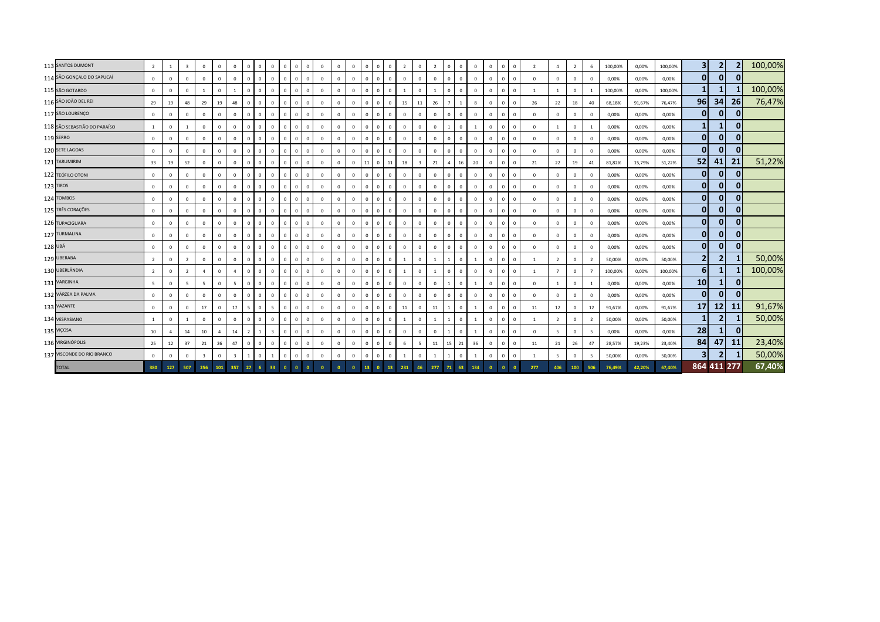|         | 113 SANTOS DUMONT            | $\overline{2}$ | -1             | $\overline{\mathbf{3}}$ | $\mathbf{0}$   | $\Omega$               | $\mathbf{0}$   | $\Omega$       | $\Omega$<br>$\Omega$    | $\mathbf{0}$<br>$\mathbf{0}$ | $\Omega$     | $\mathbf{0}$ | $\mathbf{0}$   | $^{\circ}$     | $\Omega$ | $\overline{0}$                 | $\mathbf{0}$<br>$\overline{2}$ | $\mathbf{0}$                  | $\overline{2}$ | $\mathbf{0}$   | $\Omega$<br>$^{\circ}$      | $\Omega$ | $\Omega$ | $\mathbf{0}$   | $\overline{2}$ | $\overline{a}$ | $\overline{2}$ | 6                        | 100,00% | 0,00%  | 100,00% | 3 <sup>1</sup>  | $\overline{2}$          |              | 100,00% |
|---------|------------------------------|----------------|----------------|-------------------------|----------------|------------------------|----------------|----------------|-------------------------|------------------------------|--------------|--------------|----------------|----------------|----------|--------------------------------|--------------------------------|-------------------------------|----------------|----------------|-----------------------------|----------|----------|----------------|----------------|----------------|----------------|--------------------------|---------|--------|---------|-----------------|-------------------------|--------------|---------|
|         | 114 SÃO GONÇALO DO SAPUCAÍ   | $\mathbf{0}$   | $\mathbf{0}$   | $\overline{0}$          | $\mathbf 0$    | $\Omega$               | $\mathbf{0}$   | $\Omega$       | $\Omega$                | $\mathbf{0}$<br>$\Omega$     | $\Omega$     | $\mathbf{0}$ | $\mathbf{0}$   | $\mathbf{0}$   | $\Omega$ | $\mathbf{0}$<br>$\overline{0}$ | $\mathbf{0}$                   | $\mathbf{0}$                  | $\overline{0}$ | $\mathbf{0}$   | $\Omega$<br>$\mathbf{0}$    | $\Omega$ |          | $\Omega$       | $\overline{0}$ | $^{\circ}$     | $\mathbf{0}$   | $\overline{0}$           | 0,00%   | 0,00%  | 0,00%   | $\mathbf{0}$    | $\mathbf{0}$            | $\mathbf 0$  |         |
|         | 115 SÃO GOTARDO              | $\mathbf{0}$   | $\Omega$       | $\Omega$                |                | $\Omega$               |                | $\Omega$       | $\Omega$                | $\mathbf{0}$<br>$\Omega$     | $\Omega$     | $\mathbf{0}$ | $\mathbf{0}$   | $\mathbf{0}$   | $\Omega$ | $\mathbf 0$<br>$\Omega$        | $\overline{1}$                 | $\Omega$                      | $\overline{1}$ | $\Omega$       | $\Omega$<br>$^{\circ}$      | $\Omega$ |          | $\Omega$       | $\overline{1}$ | $\overline{1}$ | $\Omega$       |                          | 100,00% | 0,00%  | 100,00% | $\mathbf{1}$    |                         |              | 100,00% |
|         | 116 SÃO JOÃO DEL REI         | 29             | 19             | 48                      | 29             | 19                     | 48             | $\Omega$       | $\Omega$                | $\mathbf{0}$<br>$\Omega$     | $\mathbf{0}$ | $\mathbf{0}$ | $\mathbf{0}$   | $\mathbf{0}$   | $\Omega$ | $\Omega$                       | $\mathbf{0}$                   | 15<br>11                      | 26             |                | 8<br>$\overline{1}$         | $\Omega$ | $\Omega$ | $\Omega$       | 26             | 22             | 18             | 40                       | 68,18%  | 91,67% | 76,47%  | 96              | 34                      | 26           | 76,47%  |
|         | 117 SÃO LOURENÇO             | $\mathbf{0}$   | $\circ$        | $\mathbf 0$             | $\mathbf 0$    | $\mathbf{0}$           | $\mathbf{0}$   | $\Omega$       | $\Omega$                | $\mathbf 0$<br>$\mathbf{0}$  | $\mathbf{0}$ | $\mathbf{0}$ | $^{\circ}$     | $\mathbf{0}$   | $\Omega$ | $\mathbf 0$<br>$\Omega$        | $\mathbf 0$                    | $\mathbf 0$                   | $\mathbf{0}$   | $\mathbf{0}$   | $\Omega$<br>$\mathbf 0$     | $\Omega$ |          | $\Omega$       | $\Omega$       | $\mathbf 0$    | $^{\circ}$     | $\Omega$                 | 0,00%   | 0,00%  | 0,00%   | $\overline{0}$  | $\mathbf{0}$            | $\mathbf{0}$ |         |
|         | 118 SÃO SEBASTIÃO DO PARAÍSO | 1              | $\mathbf{0}$   | $\mathbf{1}$            | $\mathbf 0$    | $\Omega$               | $\mathbf{0}$   | $\Omega$       | $\Omega$                | $\mathbf{0}$<br>$\Omega$     | $\Omega$     | $\mathbf{0}$ | $^{\circ}$     | $^{\circ}$     | $\Omega$ | $\mathbf 0$<br>$\mathbf{0}$    | $\mathbf 0$                    | $\mathbf 0$                   | $\overline{0}$ |                | $^{\circ}$<br>$\mathbf{1}$  | $\Omega$ |          | $\overline{0}$ | $\overline{0}$ | -1             | $\mathbf{0}$   |                          | 0,00%   | 0,00%  | 0,00%   | $\mathbf{1}$    | $\mathbf{1}$            | $\mathbf 0$  |         |
|         | 119 SERRO                    | $\mathbf 0$    | $\Omega$       | $\mathbf 0$             | $\Omega$       | $\Omega$               | $\mathbf 0$    | $\Omega$       | $\Omega$                | $\mathbf{0}$<br>$\Omega$     | $^{\circ}$   | $\mathbf 0$  | $\Omega$       | $\mathbf{0}$   | $\Omega$ | $\mathbf{0}$<br>$\Omega$       | $\mathbf 0$                    | $^{\circ}$                    | $\mathbf{0}$   | $\Omega$       | $^{\circ}$<br>$\mathbf 0$   | $\Omega$ |          | $\Omega$       | $\overline{0}$ | $\mathbf 0$    | $\mathbf 0$    | $\Omega$                 | 0,00%   | 0,00%  | 0,00%   | $\overline{0}$  | $\mathbf{0}$            | $\mathbf{0}$ |         |
|         | 120 SETE LAGOAS              | $\mathbf{0}$   | $\Omega$       | $\mathbf 0$             | $\Omega$       | $\Omega$               | $\mathbf{0}$   | $\Omega$       | $\Omega$                | $\mathbf{0}$<br>$\mathbf{0}$ | $\Omega$     | $\mathbf{0}$ | $\mathbf{0}$   | $\mathbf{0}$   | $\Omega$ | $\mathbf 0$<br>$\Omega$        | $\mathbf 0$                    | $\mathbf 0$                   | $\overline{0}$ | $\mathbf{0}$   | $\Omega$<br>$\mathbf 0$     | $\Omega$ | 0        | $\Omega$       | $\Omega$       | $^{\circ}$     | $\mathbf 0$    | $\overline{0}$           | 0,00%   | 0,00%  | 0,00%   | $\overline{0}$  | 0                       | 0            |         |
|         | 121 TARUMIRIM                | 33             | 19             | 52                      | $\mathbf 0$    | $\mathbf{0}$           | $\circ$        | $\Omega$       | $\Omega$                | $\mathbf 0$<br>$\Omega$      | $\Omega$     | $\mathbf{0}$ | $\overline{0}$ | $\mathbf{0}$   | 11       | $\overline{0}$                 | 11                             | 18<br>$\overline{\mathbf{3}}$ | 21             | $\overline{4}$ | 16<br>20                    | $\Omega$ | $\Omega$ | $\Omega$       | 21             | 22             | 19             | 41                       | 81,82%  | 15,79% | 51,22%  | 52              | 41                      | 21           | 51,22%  |
|         | 122 TEÓFILO OTONI            | $\Omega$       | $\Omega$       | $\Omega$                | $\Omega$       | $\Omega$               | $\mathbf{0}$   | $\Omega$       | $\Omega$                | $\mathbf{0}$<br>$\Omega$     | $\Omega$     | $\mathbf{0}$ | $\Omega$       | $\mathbf{0}$   | $\Omega$ | $\mathbf{0}$<br>$\Omega$       | $\mathbf 0$                    | $\mathbf{0}$                  | $\Omega$       | $\Omega$       | $\Omega$<br>$^{\circ}$      | $\Omega$ |          | $\Omega$       | $\Omega$       | $^{\circ}$     | $\Omega$       | $\Omega$                 | 0,00%   | 0,00%  | 0,00%   | $\mathbf{0}$    | $\mathbf{0}$            | 0            |         |
|         | 123 TIROS                    | $\mathbf{0}$   | $\Omega$       | $\mathbf 0$             | $\Omega$       | $\Omega$               | $\mathbf{0}$   | $\Omega$       | $\Omega$                | $\mathbf{0}$<br>$\Omega$     | $\mathbf{0}$ | $\mathbf{0}$ | $\mathbf{0}$   | $\mathbf{0}$   | $\Omega$ | $\mathbf 0$<br>$\Omega$        | $\mathbf 0$                    | $\mathbf 0$                   | $\overline{0}$ | $\mathbf{0}$   | $\mathbf{0}$<br>$\mathbf 0$ | $\Omega$ | $\Omega$ | $\Omega$       | $\Omega$       | $^{\circ}$     | $\Omega$       | $\Omega$                 | 0,00%   | 0,00%  | 0,00%   | $\overline{0}$  | $\mathbf{0}$            | 0            |         |
|         | 124 TOMBOS                   | $\mathbf{0}$   | $\Omega$       | $\mathbf 0$             | $\mathbf 0$    | $\Omega$               | $\mathbf{0}$   | $\Omega$       | $\Omega$                | $\mathbf 0$<br>$\Omega$      | $\Omega$     | $\mathbf 0$  | $\mathbf{0}$   | $\mathbf{0}$   | $\Omega$ | $\mathbf 0$<br>$\Omega$        | $\mathbf 0$                    | $\mathbf 0$                   | $\mathbf{0}$   | $\Omega$       | $\Omega$<br>$\mathbf 0$     | $\Omega$ |          | $\Omega$       | $\Omega$       | $\mathbf 0$    | $\Omega$       | $\Omega$                 | 0,00%   | 0,00%  | 0,00%   | $\overline{0}$  | $\mathbf{0}$            | 0            |         |
|         | 125 TRÊS CORAÇÕES            | $\mathbf{0}$   | $\Omega$       | $\mathbf 0$             | $\Omega$       | $\Omega$               | $\mathbf{0}$   | $\Omega$       | $\Omega$                | $\mathbf{0}$<br>$\Omega$     | $\Omega$     | $\mathbf 0$  | $\Omega$       | $^{\circ}$     | $\Omega$ | $\mathbf{0}$<br>$\Omega$       | $\mathbf 0$                    | $\Omega$                      | $\Omega$       | $\Omega$       | $\Omega$<br>$^{\circ}$      | $\Omega$ |          | $\Omega$       | $\Omega$       | $^{\circ}$     | $\mathbf{0}$   | $\Omega$                 | 0,00%   | 0,00%  | 0,00%   | $\overline{0}$  | $\mathbf{0}$            | $\mathbf{0}$ |         |
|         | 126 TUPACIGUARA              | $\mathbf 0$    | $\Omega$       | $\mathbf 0$             | $\Omega$       | $\Omega$               | $^{\circ}$     | $\Omega$       | $\Omega$                | $\mathbf{0}$<br>$\Omega$     | $^{\circ}$   | $\mathbf 0$  | $\Omega$       | $\mathbf 0$    | $\Omega$ | $\mathbf{0}$<br>$\Omega$       | $\mathbf 0$                    | $^{\circ}$                    | $\mathbf{0}$   | $\Omega$       | $\Omega$<br>$\mathbf 0$     | $\Omega$ | - 0      | $\Omega$       | $\overline{0}$ | $\mathbf 0$    | $\mathbf 0$    | $\Omega$                 | 0,00%   | 0,00%  | 0,00%   | $\overline{0}$  | $\mathbf{0}$            | 0            |         |
|         | 127 TURMALINA                | $\mathbf 0$    | $\mathbf{0}$   | $\mathbf 0$             | $\Omega$       | $\Omega$               | $\mathbf{0}$   | $\Omega$       | $\Omega$                | $\mathbf{0}$<br>$\mathbf{0}$ | $\Omega$     | $\mathbf 0$  | $\mathbf{0}$   | $\circ$        | $\Omega$ | $\mathbf 0$<br>$\Omega$        | $\mathbf 0$                    | $\mathbf 0$                   | $\mathbf 0$    | $\mathbf{0}$   | $\Omega$<br>$\mathbf 0$     | $\Omega$ |          | $\Omega$       | $\Omega$       | $\mathbf 0$    | $\mathbf 0$    | $\Omega$                 | 0,00%   | 0,00%  | 0,00%   | $\overline{0}$  | 0                       | $\mathbf{0}$ |         |
| 128 UBÁ |                              | $\mathbf{0}$   | $\mathbf{0}$   | $\mathbf 0$             | $\mathbf 0$    | $\mathbf{0}$           | $\mathbf{0}$   | $\Omega$       | $\Omega$                | $\mathbf{0}$<br>$\Omega$     | $^{\circ}$   | $\mathbf{0}$ | $\mathbf{0}$   | $\mathbf{0}$   | $\Omega$ | $\mathbf{0}$<br>$\overline{0}$ | $\mathbf 0$                    | $\mathbf{0}$                  | $\mathbf{0}$   | $\mathbf{0}$   | $\mathbf 0$<br>$^{\circ}$   | $\Omega$ |          | $\Omega$       | $\Omega$       | $^{\circ}$     | $^{\circ}$     | $\Omega$                 | 0,00%   | 0,00%  | 0,00%   | $\mathbf{0}$    | $\mathbf{0}$            | $\mathbf 0$  |         |
|         | 129 UBERABA                  | $\overline{2}$ | $\Omega$       | $\overline{2}$          | $\Omega$       | $\Omega$               | $\mathbf{0}$   | $\Omega$       | $\Omega$                | $\mathbf{0}$<br>$\Omega$     | $\Omega$     | $\mathbf{0}$ | $\mathbf{0}$   | $^{\circ}$     | $\Omega$ | $\mathbf 0$<br>$\Omega$        | -1                             | $\mathbf 0$                   | $\overline{1}$ |                | $\Omega$                    | $\Omega$ |          | $\Omega$       | $\overline{1}$ | $\overline{2}$ | $\Omega$       | $\overline{\phantom{a}}$ | 50,00%  | 0,00%  | 50,00%  | $\overline{2}$  | 2                       |              | 50,00%  |
|         | 130 UBERLÂNDIA               | $\overline{2}$ | $\mathbf{0}$   | $\overline{2}$          | $\overline{a}$ | $\mathbf{0}$           | $\overline{a}$ | $\Omega$       | $\Omega$                | $\mathbf{0}$<br>$\Omega$     | $\mathbf{0}$ | $\mathbf{0}$ | $\mathbf{0}$   | $\circ$        | $\Omega$ | $\mathbf 0$<br>$\Omega$        | <sup>1</sup>                   | $\mathbf 0$                   | <sup>1</sup>   | $\mathbf{0}$   | $\mathbf{0}$<br>$\mathbf 0$ | $\Omega$ |          | $\Omega$       | -1             | $\overline{7}$ | $^{\circ}$     |                          | 100,00% | 0,00%  | 100,00% | $6 \mid$        |                         |              | 100,00% |
|         | 131 VARGINHA                 | $5 -$          | $\Omega$       | 5                       | $\overline{5}$ | $\Omega$               | 5 <sup>1</sup> | $\Omega$       | $\Omega$                | $\mathbf{0}$<br>$\Omega$     | $\Omega$     | $\mathbf{0}$ | $\mathbf{0}$   | $\mathbf{0}$   | $\Omega$ | $\Omega$                       | $\mathbf{0}$<br>$\mathbf{0}$   | $\mathbf 0$                   | $\mathbf{0}$   |                | $\Omega$                    | $\Omega$ |          | $\Omega$       | $\Omega$       | $\mathbf{1}$   | $\mathbf 0$    |                          | 0,00%   | 0,00%  | 0,00%   | 10 <sup>1</sup> |                         | $\Omega$     |         |
|         | 132 VÁRZEA DA PALMA          | $\mathbf{0}$   | $\mathbf{0}$   | $\mathbf 0$             | $\mathbf 0$    | $\Omega$               | $\mathbf{0}$   | $\Omega$       | $\Omega$                | $\mathbf{0}$                 | $\Omega$     | $\mathbf{0}$ | $\mathbf{0}$   | $\circ$        | $\Omega$ | $\mathbf{0}$<br>$\mathbf 0$    | $\mathbf 0$                    | $\mathbf 0$                   | $\mathbf{0}$   |                | $\Omega$<br>$\mathbf{0}$    | $\Omega$ |          | $\Omega$       | $\overline{0}$ | $\mathbf{0}$   | $\mathbf{0}$   | $\Omega$                 | 0,00%   | 0,00%  | 0,00%   | $\overline{0}$  | $\mathbf{0}$            | $\mathbf 0$  |         |
|         | 133 VAZANTE                  | $\mathbf 0$    | $\mathbf{0}$   | $\mathbf 0$             | 17             | $\Omega$               | 17             | 5              | $\overline{5}$          | $\mathbf{0}$<br>$\Omega$     | $^{\circ}$   | $\mathbf 0$  | $\Omega$       | $\mathbf 0$    | $\Omega$ | $\Omega$                       | $\mathbf{0}$<br>11             | $^{\circ}$                    | 11             |                | $\Omega$<br>$\overline{1}$  | $\Omega$ |          | $\Omega$       | 11             | 12             | $\mathbf 0$    | 12                       | 91,67%  | 0,00%  | 91,67%  | 17              | 12                      | 11           | 91,67%  |
|         | 134 VESPASIANO               | 1              | $\circ$        | $\overline{1}$          | $\Omega$       | $\Omega$               | $\mathbf 0$    | $\Omega$       | $\Omega$                | $\mathbf{0}$<br>$\mathbf{0}$ | $\mathbf{0}$ | $\mathbf 0$  | $\mathbf{0}$   | $\circ$        | $\Omega$ | $\mathbf 0$<br>$\Omega$        | 1                              | $\mathbf 0$                   | $\overline{1}$ |                | $\Omega$                    | $\Omega$ | $\Omega$ | $\Omega$       | $\overline{1}$ | $\overline{2}$ | $\mathbf 0$    | $\overline{2}$           | 50,00%  | 0,00%  | 50,00%  | $\mathbf{1}$    | $\mathbf{2}$            |              | 50,00%  |
|         | 135 VIÇOSA                   | 10             | $\overline{a}$ | 14                      | 10             | $\boldsymbol{\Lambda}$ | 14             | $\overline{z}$ | $\overline{\mathbf{3}}$ | $\mathbf{0}$<br>$^{\circ}$   | $^{\circ}$   | $\mathbf{0}$ | $\mathbf{0}$   | $\mathbf{0}$   | $\Omega$ | $\mathbf{0}$<br>$\overline{0}$ | $\mathbf 0$                    | $\mathbf{0}$                  | $\overline{0}$ |                | $\Omega$<br>$\overline{1}$  | $\Omega$ | $\Omega$ | $\Omega$       | $\Omega$       | -5             | $\mathbf{0}$   | - 5                      | 0,00%   | 0,00%  | 0,00%   | 28              | 1                       | $\mathbf 0$  |         |
|         | 136 VIRGINÓPOLIS             | 25             | 12             | 37                      | 21             | 26                     | 47             | $\Omega$       | $\Omega$                | $\mathbf{0}$<br>$\Omega$     | $\mathbf{0}$ | $\mathbf{0}$ | $\mathbf{0}$   | $\circ$        | $\Omega$ | $\mathbf 0$<br>$\Omega$        | 6                              | -5                            | 11             | 15             | 21<br>36                    | $\Omega$ |          | $\overline{0}$ | 11             | 21             | 26             | 47                       | 28,57%  | 19,23% | 23,40%  | 84              | 47                      | <b>11</b>    | 23,40%  |
|         | 137 VISCONDE DO RIO BRANCO   | $\mathbf{0}$   | $\mathbf{0}$   | $\mathbf 0$             | $\overline{3}$ | $\Omega$               | $\overline{3}$ |                |                         | $\mathbf{0}$<br>$\Omega$     | $\Omega$     | $\mathbf 0$  | $\mathbf{0}$   | $\circ$        | $\Omega$ | $\mathbf 0$<br>$\Omega$        | 1                              | $\,0\,$                       | $\mathbf{1}$   |                | $\Omega$                    | $\Omega$ |          | $\Omega$       |                | 5              | $\Omega$       | -5                       | 50,00%  | 0,00%  | 50,00%  | 3 <sup>1</sup>  | $\overline{\mathbf{2}}$ |              | 50,00%  |
|         | <b>TOTAL</b>                 | 380            | 127            | 507                     | 256            | 101                    | 357            | 27             | 33                      | $\mathbf{0}$                 |              |              | $\Omega$       | $\overline{0}$ | 13       | $\mathbf{0}$                   | 13<br>231                      | 46                            | 277            | 71             | 63<br>134                   | $\Omega$ |          |                | 277            | 406            | 100            | 506                      | 76,49%  | 42,20% | 67,40%  |                 | 864 411 277             |              | 67,40%  |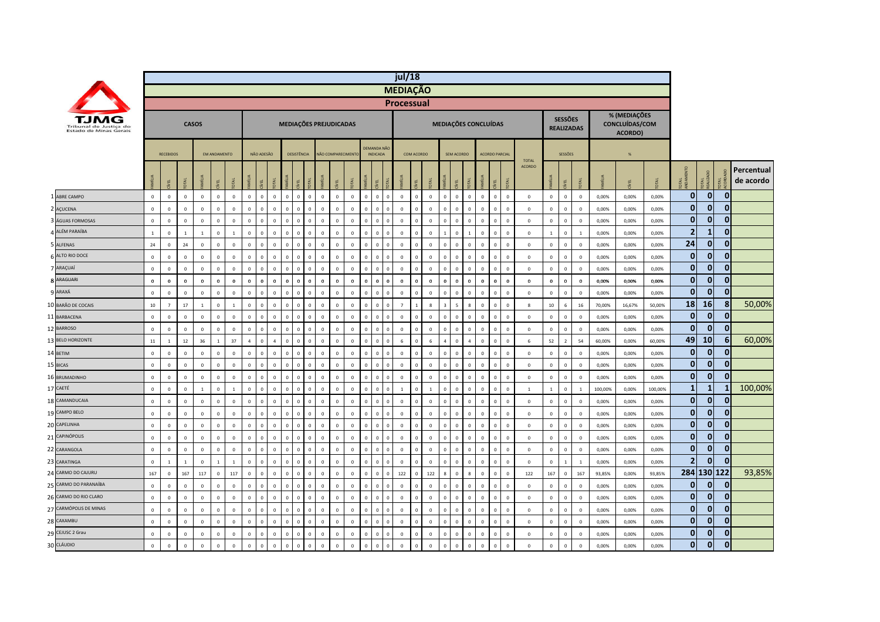|    |                                                  |                |                  |                |              |                     |                  |                |                |                                        |                    |                           |              |                   |                |                                |                              | jul/18      |                             |                          |              |                         |              |                       |                |                               |                   |                |                |         |                                           |         |                |                |              |                         |
|----|--------------------------------------------------|----------------|------------------|----------------|--------------|---------------------|------------------|----------------|----------------|----------------------------------------|--------------------|---------------------------|--------------|-------------------|----------------|--------------------------------|------------------------------|-------------|-----------------------------|--------------------------|--------------|-------------------------|--------------|-----------------------|----------------|-------------------------------|-------------------|----------------|----------------|---------|-------------------------------------------|---------|----------------|----------------|--------------|-------------------------|
|    |                                                  |                |                  |                |              |                     |                  |                |                |                                        |                    |                           |              |                   |                |                                | <b>MEDIAÇÃO</b>              |             |                             |                          |              |                         |              |                       |                |                               |                   |                |                |         |                                           |         |                |                |              |                         |
|    |                                                  |                |                  |                |              |                     |                  |                |                |                                        |                    |                           |              |                   |                |                                | <b>Processual</b>            |             |                             |                          |              |                         |              |                       |                |                               |                   |                |                |         |                                           |         |                |                |              |                         |
|    | Tribunal de Justica do<br>Estado de Minas Gerais |                |                  |                | <b>CASOS</b> |                     |                  |                |                |                                        |                    | MEDIAÇÕES PREJUDICADAS    |              |                   |                |                                |                              |             |                             | MEDIAÇÕES CONCLUÍDAS     |              |                         |              |                       |                |                               | <b>REALIZADAS</b> | <b>SESSÕES</b> |                |         | % (MEDIAÇÕES<br>CONCLUÍDAS/COM<br>ACORDO) |         |                |                |              |                         |
|    |                                                  |                | <b>RECEBIDOS</b> |                |              | <b>EM ANDAMENTO</b> |                  |                | NÃO ADESÃO     |                                        | <b>DESISTÊNCIA</b> |                           |              | NÃO COMPARECIMENT |                | DEMANDA NÃO<br><b>INDICADA</b> |                              | COM ACORDO  |                             |                          | SEM ACORDO   |                         |              | <b>ACORDO PARCIAI</b> |                |                               |                   | SESSÕES        |                |         | %                                         |         |                |                |              |                         |
|    |                                                  |                | EL               |                | ź            |                     |                  |                |                |                                        | 핀                  |                           |              |                   |                | 필                              | мí                           |             |                             |                          |              |                         | <b>MÍLU</b>  |                       | χ              | <b>TOTAL</b><br><b>ACORDO</b> |                   | 屯              |                |         | EL                                        |         | 룉              | 로              |              | Percentual<br>de acordo |
|    | <b>ABRE CAMPO</b>                                | $\mathbf{0}$   | $\circ$          | $\mathbf{0}$   | $\mathbf{0}$ | $\Omega$            | $\mathbf{0}$     | $\mathbf{0}$   | $\circ$        | $\overline{0}$<br>$\mathbf{0}$         | $\mathbf 0$        | $\mathbf 0$<br>$\Omega$   | $\mathbf 0$  | $\overline{0}$    | $\mathbf{0}$   | $\mathbf{0}$                   | $\mathbf{0}$<br>$\mathbf{0}$ |             | $\mathbf{0}$                | $\mathbf{0}$<br>$\Omega$ | $\mathbf{0}$ | $\overline{0}$          | $\mathbf{0}$ | $\mathbf{0}$          | $\overline{0}$ | $\mathbf 0$                   | $\mathbf{0}$      | $\mathbf 0$    | $\mathbf 0$    | 0,00%   | 0,00%                                     | 0.00%   | $\mathbf 0$    | $\overline{0}$ | $\mathbf 0$  |                         |
|    | 2 AÇUCENA                                        | $\mathbf 0$    | $\mathbf 0$      | $\mathbf 0$    | $\mathbf 0$  | $\mathbf 0$         | $\mathbb O$      | $\mathsf 0$    | $\mathbf 0$    | $\mathbb O$<br>$\mathbf 0$             | $\mathbf 0$        | $\mathbf 0$               | $\mathbf 0$  | $\mathbf 0$       | $\mathbf 0$    | $\mathbf 0$                    | $\Omega$                     | $\mathbb O$ | $\mathbf 0$                 | $\mathbf 0$<br>$\Omega$  | $\mathbf 0$  | $\mathbf 0$             | $\mathbf 0$  | $\mathbf 0$           | $\mathbf 0$    | $\mathbf 0$                   | $\mathbf 0$       | $\mathbf 0$    | $\mathbb O$    | 0,00%   | 0,00%                                     | 0,00%   | $\mathbf 0$    | $\overline{0}$ | $\mathbf{0}$ |                         |
|    | ÁGUAS FORMOSAS                                   | $\mathbf 0$    | $\mathbf 0$      | $\mathbf 0$    | $\mathbf{0}$ | $\mathbf 0$         | $\mathbb O$      | $\mathsf 0$    | $\mathbf 0$    | $\overline{0}$<br>$\mathbf 0$          | $\,$ 0             | $\mathbf 0$               | $\mathbf 0$  | $\overline{0}$    | $\Omega$       | $\overline{0}$                 |                              | $\mathbf 0$ | $\mathbf 0$                 | $\mathbf 0$              | $\mathbf 0$  | $\overline{0}$          | $\mathbf 0$  | 0                     | $\,$ 0 $\,$    | $\mathbf 0$                   | $\mathbf 0$       | $\mathsf 0$    | $\mathbf 0$    | 0,00%   | 0,00%                                     | 0,00%   | $\bf{0}$       | $\mathbf{0}$   | $\mathbf{0}$ |                         |
|    | ALÉM PARAÍBA                                     | $\overline{1}$ | $\mathbf 0$      | $\overline{1}$ | $\mathbf{1}$ | $\mathbf 0$         | $\mathbf{1}$     | $\mathsf 0$    | $\mathbf 0$    | $\mathbf 0$<br>$\overline{0}$          | $\,$ 0             | $\mathbf 0$               | $\,0\,$      | $\overline{0}$    | $\Omega$       | $\mathbf 0$                    | $\Omega$                     | $\mathbb O$ | $\overline{0}$<br>$\Omega$  |                          | $\mathbf 0$  | $\overline{1}$          | $\mathbf 0$  | $\Omega$              | $\,$ 0         | $\mathbf{0}$                  | $\overline{1}$    | $\,0\,$        |                | 0,00%   | 0,00%                                     | 0,00%   | $\overline{2}$ | $\mathbf{1}$   | $\mathbf{0}$ |                         |
|    | 5 ALFENAS                                        | 24             | $\mathbb O$      | 24             | $\mathbf 0$  | $\mathbf 0$         | $\mathbb O$      | $\mathsf 0$    | $\mathbf 0$    | $\mathbf 0$<br>$\mathbf 0$             | $\mathbf 0$        | $\mathbf 0$<br>$\Omega$   | $\mathbf 0$  | $\mathsf 0$       | $\mathsf 0$    | $\mathbf 0$                    | $\Omega$<br>$\mathbf 0$      |             | $\mathbf 0$                 | $\mathsf 0$<br>$\Omega$  | $\mathbf 0$  | $\overline{0}$          | $\mathbb O$  | $\mathbf{0}$          | $\mathbf 0$    | $\mathbb O$                   | $\mathbf 0$       | $\mathbf 0$    | $\mathbb O$    | 0,00%   | 0,00%                                     | 0,00%   | 24             | $\overline{0}$ | $\mathbf 0$  |                         |
|    | ALTO RIO DOCE                                    | $\mathbf 0$    | $\mathbf 0$      | $\Omega$       | $\mathbf 0$  | $\mathbf 0$         | $\mathbb O$      | $\mathbf 0$    | $\mathbf 0$    | $\mathbb O$<br>$\mathbf 0$             | $\,$ 0             | $\mathbf 0$<br>$\Omega$   | $\mathbf 0$  | $\mathbf 0$       | $\mathbf 0$    | $\mathbf{0}$                   | $\Omega$                     | $\mathbb O$ | $\mathbf 0$                 | $\,0\,$<br>$\Omega$      | $\mathbf 0$  | $\,0\,$                 | $\mathbf 0$  | $\mathbf{0}$          | $\mathbf 0$    | $\mathbb O$                   | $\mathbf 0$       | $\,0\,$        | $\mathbb O$    | 0,00%   | 0,00%                                     | 0,00%   | $\mathbf{0}$   | $\mathbf{0}$   | $\mathbf{0}$ |                         |
|    | 7 ARAÇUAÍ                                        | $\mathbf 0$    | $\mathbf 0$      | $\Omega$       | $\mathbf 0$  | $\mathbf 0$         | $\mathbb O$      | $\mathsf 0$    | $\mathbf{0}$   | $\mathbf 0$<br>$\overline{0}$          | $\mathbf 0$        | $\mathbf 0$               | $\mathbf 0$  | $\mathbf{0}$      | $\Omega$       | $\mathbf 0$                    | $\Omega$                     | $\mathbb O$ | $\mathbf{0}$                | $\mathsf 0$              | $\mathbf 0$  | $\overline{0}$          | $\mathbf 0$  | $\Omega$              | $\,$ 0 $\,$    | $\circ$                       | $\mathbf 0$       | $\mathbf 0$    | $\mathbf 0$    | 0,00%   | 0,00%                                     | 0,00%   | $\bf{0}$       | $\mathbf{0}$   | $\mathbf{0}$ |                         |
|    | <b>8 ARAGUARI</b>                                | $\bf{0}$       | $\mathbf 0$      | $\bf{0}$       | $\bf{0}$     | $\mathbf 0$         | $\boldsymbol{0}$ | $\mathbf 0$    | $\mathbf 0$    | $\mathbf 0$<br>$\overline{\mathbf{0}}$ | $\bf{0}$           | $\mathbf 0$<br>$\Omega$   | $\mathbf 0$  | $\mathbf{0}$      | $\mathbf{0}$   | $\bf{0}$                       | $\mathbf{0}$<br>$\bf{0}$     |             | $\bf{0}$<br>$\mathbf 0$     |                          | $\bf{0}$     | $\overline{\mathbf{0}}$ | $\bf{0}$     | $\mathbf{0}$          | $\mathbf 0$    | $\bf{0}$                      | $\bf{0}$          | $\mathbf 0$    | $\bf{0}$       | 0,00%   | 0,00%                                     | 0,00%   | $\bf{0}$       | $\mathbf{0}$   | $\mathbf{0}$ |                         |
|    | ARAXÁ                                            | $\mathbf 0$    | $\mathbb O$      | $\mathbf 0$    | $\mathbf 0$  | $\mathbf 0$         | $\mathbb O$      | $\mathsf 0$    | $\mathbf 0$    | $\overline{0}$<br>$\mathbf 0$          | $\,$ 0             | $\mathbf 0$               | $\mathbf 0$  | $\mathsf 0$       | $\Omega$       | $\mathbf 0$                    | $\Omega$                     | $\mathbb O$ | $\Omega$                    | $\mathsf 0$<br>$\Omega$  | $\mathbf 0$  | $\overline{0}$          | $\mathbf 0$  | $\Omega$              | $\,$ 0 $\,$    | $\mathbf 0$                   | $\mathbf 0$       | $\mathbf 0$    | $\overline{0}$ | 0,00%   | 0,00%                                     | 0,00%   | $\bf{0}$       | $\mathbf{0}$   | $\mathbf{0}$ |                         |
|    | 10 BARÃO DE COCAIS                               | $10\,$         | $\overline{7}$   | 17             | $\mathbf{1}$ | $\mathbf 0$         | $\overline{1}$   | $\mathsf 0$    | $\mathbf{0}$   | $\mathbf 0$<br>$\mathbf 0$             | $\,$ 0             | $\mathbf 0$<br>$\Omega$   | $\mathbf 0$  | $\mathbf 0$       | $\overline{0}$ | $\mathbf 0$                    | $\overline{7}$               |             | 8                           |                          | 5            | 8                       | $\mathbf 0$  | $^{\circ}$            | $\,$ 0         | 8                             | $10\,$            | $\,$ 6 $\,$    | 16             | 70,00%  | 16,67%                                    | 50,00%  | 18             | 16             | 8            | 50,00%                  |
|    | 11 BARBACENA                                     | $\,0\,$        | $\mathbf 0$      | $\mathbf 0$    | $\mathbf 0$  | $\mathbf 0$         | $\mathbb O$      | $\mathbf 0$    | $\mathbf{0}$   | $\mathbf 0$<br>$\overline{0}$          | $\mathbf 0$        | $\mathbf 0$               | $\mathbf 0$  | $\mathbf 0$       | $\overline{0}$ | $\overline{0}$                 |                              | $\mathbb O$ | $\mathbf 0$                 | $\mathsf 0$              | $\mathbf 0$  | $\overline{0}$          | $\mathbf 0$  | 0                     | $\,$ 0         | $\mathbf 0$                   | $\mathbf 0$       | $\mathbf 0$    | $\mathbb O$    | 0,00%   | 0,00%                                     | 0,00%   | $\bf{0}$       | $\overline{0}$ | $\mathbf 0$  |                         |
|    | 12 BARROSO                                       | $\mathbf 0$    | $\mathbb O$      | $\mathbf{0}$   | $\mathbf 0$  | $\mathbf 0$         | $\mathbb O$      | $\mathsf 0$    | $\mathbf{0}$   | $\mathbf{0}$<br>$\overline{0}$         | $\mathbf 0$        | $\mathbf 0$<br>$\sqrt{2}$ | $\mathbf 0$  | $\overline{0}$    | $\mathbf{0}$   | $\mathbf{0}$                   | $\Omega$<br>$\mathbf 0$      |             | $\mathbf{0}$                | $\mathsf 0$<br>$\Omega$  | $\Omega$     | $\Omega$                | $\Omega$     | $\Omega$              | $\mathbf 0$    | $\Omega$                      | $\circ$           | $\mathbf 0$    | $\mathbb O$    | 0,00%   | 0,00%                                     | 0,00%   | $\mathbf{0}$   | $\overline{0}$ | $\mathbf{0}$ |                         |
|    | 13 BELO HORIZONTE                                | $11\,$         | $\mathbf{1}$     | 12             | 36           | $\overline{1}$      | 37               | $\overline{4}$ | $\Omega$       | $\overline{a}$<br>$\mathbf 0$          | $\mathbf 0$        | $\mathbf 0$               | $\mathbf 0$  | $\mathsf 0$       | $\Omega$       | $\mathbf 0$                    | 6<br>$\Omega$                |             | 6<br>$\Omega$               |                          | $\Omega$     | $\overline{a}$          | $\Omega$     | $\Omega$              | $\mathbf 0$    | 6                             | 52                | $\overline{2}$ | 54             | 60,00%  | 0,00%                                     | 60,00%  | 49             | 10             | 6            | 60,00%                  |
|    | 14 BETIM                                         | $\mathbf{0}$   | $\mathbf 0$      | $\Omega$       | $\mathbf{0}$ | $\Omega$            | $\mathbf 0$      | $\mathbf{0}$   | $\Omega$       | $\mathbf{0}$<br>$\Omega$               | $\mathbf 0$        | $\mathbf 0$<br>$\Omega$   | $\mathbf 0$  | $\Omega$          | $\Omega$       | $\mathbf{0}$                   | $\Omega$                     | $\mathbf 0$ | $\mathbf{0}$                | $\Omega$                 | $\Omega$     | $\Omega$                | $\Omega$     | $\Omega$              | $\mathbf{0}$   | $\Omega$                      | $\circ$           | $\mathsf 0$    | $\mathbf 0$    | 0,00%   | 0,00%                                     | 0,00%   | $\bf{0}$       | $\overline{0}$ | $\mathbf{0}$ |                         |
|    | 15 BICAS                                         | $\mathsf 0$    | $\mathbb O$      | $\mathbf 0$    | $\mathbf 0$  | $\mathbf 0$         | $\mathbb O$      | $\mathsf 0$    | $\mathbf 0$    | $\mathbf 0$<br>$\overline{0}$          | $\overline{0}$     | $\mathbf 0$               | $\mathbf 0$  | $\overline{0}$    | $\overline{0}$ | $\mathbf 0$                    |                              | $\mathbb O$ | $\mathbf 0$                 | $\mathsf 0$              | $\mathbf{0}$ | $\overline{0}$          | $\mathbf 0$  | $\mathbf 0$           | $\mathbf 0$    | $\mathbf 0$                   | $\mathbf 0$       | $\mathbf 0$    | $\mathbf 0$    | 0,00%   | 0,00%                                     | 0,00%   | $\bf{0}$       | $\overline{0}$ | $\mathbf{0}$ |                         |
|    | 16 BRUMADINHO                                    | $\,$ 0         | $\mathbf 0$      | $\mathbf 0$    | $\mathbf 0$  | $\mathbf{0}$        | $\mathbf 0$      | $\mathsf 0$    | $\mathbf 0$    | $\mathbf 0$<br>$\mathbf 0$             | $\,$ 0             | $\mathbf 0$<br>$\Omega$   | $\mathbf 0$  | $\mathsf 0$       | $\mathbf{0}$   | $\mathbf{0}$                   | $\mathbf 0$<br>$\Omega$      |             | $\Omega$                    | $\mathsf 0$<br>$\Omega$  | $\mathbf 0$  | $\,$ 0                  | $\mathbb O$  | $\Omega$              | $\mathbf 0$    | $\mathbb O$                   | $\mathbf 0$       | $\mathbf 0$    | $\mathbb O$    | 0,00%   | 0,00%                                     | 0,00%   | $\bf{0}$       | $\overline{0}$ | $\mathbf{0}$ |                         |
|    | 17 CAETÉ                                         | $\mathsf 0$    | $\pmb{0}$        | $\mathbf 0$    | $\,$ 1 $\,$  | $\mathbf 0$         | $\mathbf{1}$     | $\mathbf 0$    | $\mathbf{0}$   | $\mathbf 0$<br>$\mathbf 0$             | $\,$ 0             | $\mathbf 0$               | $\mathbf 0$  | $\mathbf 0$       | $\overline{0}$ | $\mathbf 0$                    | $\overline{1}$               |             | $\mathbf 0$<br>$\mathbf{1}$ | $\Omega$                 | $\mathbf 0$  | $\overline{\mathbf{0}}$ | $\mathbf 0$  | $\mathbf 0$           | $\mathbf 0$    | $\overline{1}$                | $\mathbf{1}$      | $\mathbf 0$    | $\overline{1}$ | 100,00% | 0,00%                                     | 100,00% | $\mathbf{1}$   | 1              |              | 100,00%                 |
|    | 18 CAMANDUCAIA                                   | $\mathbf{0}$   | $\Omega$         | $\Omega$       | $\mathbf{0}$ | $\Omega$            | $\mathbf 0$      | $\mathbf{0}$   | $\Omega$       | $\mathbf{0}$<br>$\Omega$               | $\overline{0}$     | $\overline{0}$            | $\mathbf{0}$ | $\Omega$          | $\Omega$       | $\Omega$                       |                              | $\mathbf 0$ | $\Omega$                    | $\Omega$                 | $\theta$     | $\Omega$                | $\Omega$     | $\Omega$              | $\mathbf{0}$   | $\mathbf 0$                   | $\circ$           | $\mathbf{0}$   | $\mathbf 0$    | 0.00%   | 0.00%                                     | 0.00%   | $\mathbf{0}$   | $\mathbf{0}$   | $\mathbf{0}$ |                         |
|    | 19 CAMPO BELO                                    | $\mathbf 0$    | $\mathbb O$      | $\mathbf 0$    | $\mathbf 0$  | $\mathbf 0$         | $\mathbb O$      | $\mathsf 0$    | $\mathbf{0}$   | $\mathbf 0$<br>$\overline{0}$          | $\mathbf 0$        | $\mathbf 0$               | $\mathbf 0$  | $\overline{0}$    | $\Omega$       | $\mathbf 0$                    |                              | $\mathbb O$ | $\Omega$                    | $\mathsf 0$              | $\mathbf{0}$ | $\overline{0}$          | $\mathbf 0$  | $\Omega$              | $\mathbf 0$    | $\mathbf 0$                   | $\mathbf 0$       | $\mathsf 0$    | $\mathbf 0$    | 0,00%   | 0,00%                                     | 0,00%   | $\bf{0}$       | $\mathbf{0}$   | $\mathbf{0}$ |                         |
|    | 20 CAPELINHA                                     | $\mathbf 0$    | $\mathbb O$      | $\mathbf{0}$   | $\mathbf{0}$ | $\Omega$            | $\mathbf 0$      | $\mathbf{0}$   | $\mathbf{0}$   | $\mathbf{0}$<br>$\overline{0}$         | $\mathbf 0$        | $\mathbf 0$<br>$\Omega$   | $\mathbf 0$  | $\Omega$          | $\mathbf{0}$   | $\mathbf{0}$                   | $\mathbf 0$<br>$\Omega$      |             | $\Omega$                    | $\mathbf{0}$             | $\Omega$     | $\Omega$                | $\mathbf 0$  | $\Omega$              | $\mathbf 0$    | $\Omega$                      | $\circ$           | $\mathbf{0}$   | $\mathbf 0$    | 0,00%   | 0,00%                                     | 0,00%   | $\bf{0}$       | $\overline{0}$ | $\mathbf{0}$ |                         |
|    | 21 CAPINÓPOLIS                                   | $\mathbf 0$    | $\mathbf 0$      | $\mathbf 0$    | $\mathbf 0$  | $\mathbf 0$         | $\mathbf 0$      | $\mathsf 0$    | $\mathbf 0$    | $\mathbf 0$<br>$\mathbf 0$             | $\,$ 0             | $\mathbf 0$               | $\mathbf 0$  | $\mathbf{0}$      | $\mathbf 0$    | $\mathbf 0$                    | 0                            | $\mathbf 0$ | $\mathbf 0$                 | $\mathbf 0$              | $\mathbf 0$  | $\mathbf 0$             | $\mathbf 0$  | $\mathbf 0$           | $\mathbf 0$    | $\mathbf 0$                   | $\circ$           | $\,0\,$        | $\mathbf 0$    | 0,00%   | 0,00%                                     | 0,00%   | $\bf{0}$       | $\overline{0}$ | $\mathbf 0$  |                         |
|    | 22 CARANGOLA                                     | $\mathbf 0$    | $\mathbb O$      | $\mathbf 0$    | $\mathbf 0$  | $\mathbf 0$         | $\mathbb O$      | $\mathsf 0$    | $\mathbf{0}$   | $\mathbf 0$<br>$\mathbf 0$             | $\mathbf 0$        | $\mathbf 0$               | $\mathbf 0$  | $\mathsf 0$       | $\overline{0}$ | $\mathbf 0$                    | $\Omega$                     | $\mathbb O$ | $\mathbf 0$                 | $\mathbf{0}$             | $\mathbf{0}$ | $\overline{0}$          | $\mathbb O$  | $\Omega$              | $\mathbf 0$    | $\mathbb O$                   | $\mathbf 0$       | $\mathsf 0$    | $\mathbb O$    | 0,00%   | 0,00%                                     | 0,00%   | $\bf{0}$       | $\overline{0}$ | $\mathbf 0$  |                         |
|    | 23 CARATINGA                                     | $\circ$        | $\mathbf{1}$     | $\,$ 1 $\,$    | $\mathbf 0$  | $\overline{1}$      | $1\,$            | $\mathsf 0$    | 0 <sup>1</sup> | $\mathbf 0$<br>$\overline{0}$          | $\mathbf 0$        | $\mathbf 0$               | $\mathbf 0$  | $\mathsf 0$       | $\Omega$       | $\mathbf 0$                    | $\Omega$                     | $\mathbb O$ | $\Omega$                    | $\mathsf 0$              | $\mathbf 0$  | $\Omega$                | $\mathbf 0$  | $\mathbf 0$           | $\mathbf 0$    | $\mathbf 0$                   | $\mathbf 0$       | $\,$ 1 $\,$    | $\overline{1}$ | 0,00%   | 0,00%                                     | 0,00%   | $\overline{2}$ | $\Omega$       | $\mathbf{0}$ |                         |
| 24 | CARMO DO CAJURU                                  | 167            | $\circ$          | 167            | 117          | $\mathbf{0}$        | 117              | $\mathbf{0}$   | $\mathbf{0}$   | $\Omega$<br>$\mathbf{0}$               | $\overline{0}$     | $\mathbf 0$<br>$\Omega$   | $\mathbf 0$  | $\mathbf{0}$      | $\mathbf{0}$   | $\mathbf{0}$                   | 122<br>$\mathbf{0}$          |             | $\mathbf{0}$                | 122                      | $\Omega$     | $\mathbf{g}$            | $\mathbf 0$  | $\Omega$              | $\overline{0}$ | 122                           | 167               | $\mathbf{0}$   | 167            | 93,85%  | 0,00%                                     | 93,85%  | 284            |                | 130 122      | 93,85%                  |
| 25 | CARMO DO PARANAÍBA                               | $\mathbf 0$    | $\circ$          | $\mathbf 0$    | $\mathbf{0}$ | $\mathbf 0$         | $\mathbb O$      | $\mathsf 0$    | $\mathbf 0$    | $\circ$<br>$\mathbf 0$                 | $\,$ 0             | $\mathbf 0$<br>$\Omega$   | $\mathbf 0$  | $\mathbf 0$       | $\mathbf 0$    | $\mathbf 0$                    | $\Omega$                     | $\mathbf 0$ | $\Omega$                    | $\mathbf 0$<br>$\Omega$  | $\mathbf 0$  | $\mathbf 0$             | $\mathbb O$  | $\mathbf{0}$          | $\mathbf 0$    | $\mathbf{0}$                  | $\mathbf 0$       | $\mathbf{0}$   | $\mathbb O$    | 0,00%   | 0,00%                                     | 0,00%   | $\bf{0}$       | $\mathbf{0}$   | $\mathbf 0$  |                         |
|    | 26 CARMO DO RIO CLARO                            | $\mathbf 0$    | $\mathbf 0$      | $\mathbf 0$    | $\mathbf{0}$ | $\mathbf 0$         | $\mathbb O$      | $\mathsf 0$    | $\mathbf 0$    | $\overline{0}$<br>$\mathbf 0$          | $\overline{0}$     | $\overline{0}$            | $\mathbf 0$  | $\mathbf{0}$      | $\Omega$       | $\overline{0}$                 |                              | $\mathbf 0$ | $\mathbf 0$                 | $\mathbf 0$              | $\mathbf 0$  | $\overline{0}$          | $\mathbf 0$  |                       | $\mathbf 0$    | $\mathbf 0$                   | $\circ$           | $\mathsf 0$    | $\mathbf 0$    | 0,00%   | 0,00%                                     | 0,00%   | $\bf{0}$       | $\mathbf{0}$   | $\mathbf 0$  |                         |
|    | 27 CARMÓPOLIS DE MINAS                           | $\,0\,$        | $\mathbf 0$      | $\mathbf 0$    | $\mathbf 0$  | $\mathbf 0$         | $\mathbb O$      | $\mathsf 0$    | $\mathbf 0$    | $\overline{0}$<br>$\mathbf 0$          | $\mathbf 0$        | $\mathbf 0$               | $\mathbf 0$  | $\overline{0}$    | $\Omega$       | $\mathbf 0$                    | $\Omega$                     | $\mathbb O$ | $\Omega$                    | $\mathsf 0$              | $\mathbf{0}$ | $\overline{0}$          | $\mathbf 0$  | $\Omega$              | $\mathbf 0$    | $\mathbf 0$                   | $\mathbf 0$       | $\mathbf 0$    | $\mathbb O$    | 0,00%   | 0,00%                                     | 0,00%   | $\bf{0}$       | $\mathbf{0}$   | $\Omega$     |                         |
|    | 28 CAXAMBU                                       | $\mathsf 0$    | $\mathbf 0$      | $\mathbf{0}$   | $\mathbf 0$  | $\mathbf 0$         | $\mathbb O$      | $\mathsf 0$    | $\mathbf 0$    | $\overline{0}$<br>$\mathbf 0$          | $\mathbf 0$        | $\mathbf 0$<br>$\Omega$   | $\mathbf 0$  | $\mathsf 0$       | $\mathbf 0$    | $\mathbf 0$                    | $\mathbf 0$<br>$\Omega$      |             | $\mathbf 0$                 | $\mathsf 0$<br>$\Omega$  | $\mathbf 0$  | $\overline{0}$          | $\mathbb O$  | $\circ$               | $\,$ 0 $\,$    | $\mathbb O$                   | $\mathbf 0$       | $\mathbf 0$    | $\mathbb O$    | 0,00%   | 0,00%                                     | 0,00%   | $\bf{0}$       | $\overline{0}$ | $\mathbf 0$  |                         |
|    | 29 CEJUSC 2 Grau                                 | $\overline{0}$ | $\mathbf 0$      | $\Omega$       | $\mathbf{0}$ | $\mathbf 0$         | $\mathbf 0$      | $\mathsf 0$    | $\mathbf 0$    | $\mathbb O$<br>$\mathbf 0$             | $\,$ 0             | $\mathbf 0$<br>$\Omega$   | $\mathbf 0$  | $\mathbf 0$       | $\,0\,$        | $\mathbf{0}$                   | $\Omega$                     | $\mathbf 0$ | $\circ$                     | $\mathsf 0$<br>$\Omega$  | $\mathbf 0$  | $\overline{0}$          | $\mathbf 0$  | $\mathbf{0}$          | $\mathbf 0$    | $\Omega$                      | $\Omega$          | $\mathbf 0$    | $\mathbb O$    | 0,00%   | 0,00%                                     | 0,00%   | $\mathbf 0$    | $\Omega$       | $\mathbf 0$  |                         |
|    | 30 CLÁUDIO                                       | $\mathbf{0}$   | $\mathbf 0$      | $\mathbf 0$    | $\mathsf 0$  | $\mathbf 0$         | $\mathbf 0$      | $\mathsf 0$    | $\mathbf{0}$   | $\mathbf 0$<br>$\mathbf 0$             | $\mathbf 0$        | $\mathbf 0$               | $\mathbf 0$  | $\mathbf{0}$      | $\overline{0}$ | $\mathbf 0$                    | $\Omega$                     | $\mathbb O$ | $\Omega$                    | $\mathbf 0$<br>$\Omega$  | $\mathbf{0}$ | $\overline{0}$          | $\Omega$     | $\Omega$              | $\mathbf 0$    | $\Omega$                      | $\overline{0}$    | $\mathbf{0}$   | $\Omega$       | 0,00%   | 0,00%                                     | 0,00%   | $\mathbf{0}$   | $\bf{0}$       | $\Omega$     |                         |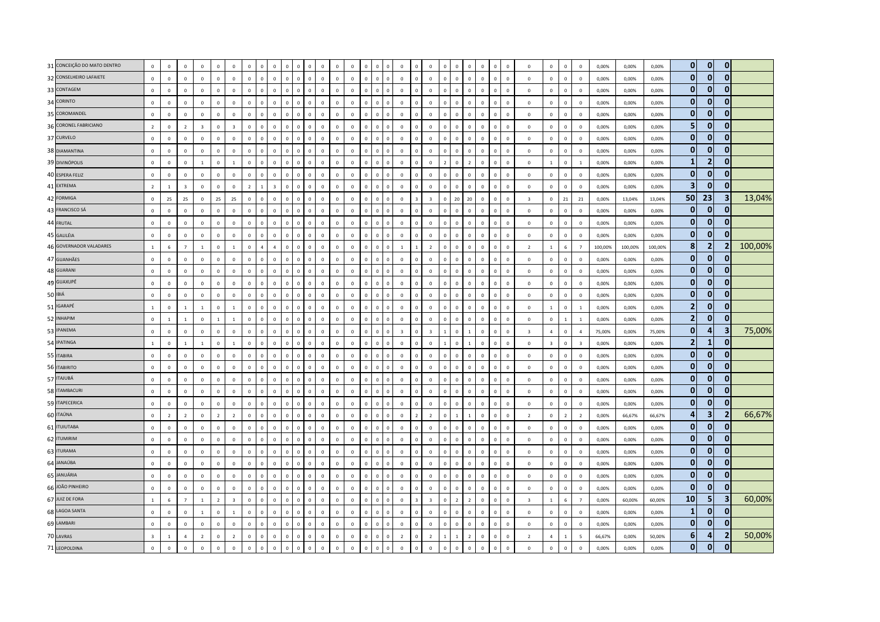| 31 CONCEIÇÃO DO MATO DENTRO | $\mathbf{0}$            | $\mathbf 0$    | $\mathbf 0$    | $\mathbf 0$    | $\circ$        | $\overline{0}$          | $\mathbf 0$    | $\Omega$       | $\mathbf 0$ | $\mathbf 0$                  | $\overline{0}$          | $\mathbf 0$  | $\mathbf 0$  | $\mathbf 0$  | $\mathbf 0$  | $\mathbb O$    | $\Omega$       | $\mathbf 0$    | $\,$ 0                  | $\mathbf{0}$   | $\Omega$       | $\Omega$       | $\mathbf 0$    | $\mathbf 0$  | $\mathbf 0$    | $\mathbf 0$  | $\overline{0}$          | $\mathbf 0$             | $\mathbf 0$     | $\mathbf 0$             | 0,00%   | 0,00%   | 0,00%   | $\mathbf{0}$            | $\mathbf{0}$            | $\mathbf{0}$            |         |
|-----------------------------|-------------------------|----------------|----------------|----------------|----------------|-------------------------|----------------|----------------|-------------|------------------------------|-------------------------|--------------|--------------|--------------|--------------|----------------|----------------|----------------|-------------------------|----------------|----------------|----------------|----------------|--------------|----------------|--------------|-------------------------|-------------------------|-----------------|-------------------------|---------|---------|---------|-------------------------|-------------------------|-------------------------|---------|
| 32 CONSELHEIRO LAFAIETE     | $\mathbf 0$             | $\mathbf 0$    | $\mathbb O$    | $\mathsf 0$    | $\mathbf{0}$   | $\mathbb O$             | $\mathbf 0$    | $\mathbf 0$    | $\mathbb O$ | $\mathbf 0$<br>$\circ$       | $\mathbf 0$             | $\mathbf 0$  | $\mathbf 0$  | $\mathbf 0$  | $\mathbf 0$  | $\mathbf 0$    | $\overline{0}$ | $\mathbf 0$    | $\mathbf 0$             | $\mathsf 0$    | $\mathbf 0$    | $\mathbb O$    | $\mathbb O$    | $\mathbf 0$  | $\circ$        | $\mathbf 0$  | $\mathbf 0$             | $\mathbf 0$             | $\mathbf 0$     | $\mathbf 0$             | 0,00%   | 0,00%   | 0,00%   | $\mathbf{0}$            | $\mathbf{0}$            | $\mathbf{0}$            |         |
| 33 CONTAGEM                 | $\mathsf 0$             | $\overline{0}$ | $\mathbb O$    | $\mathsf 0$    | $\mathbf{0}$   | $\mathbb O$             | $\mathbf 0$    | $\overline{0}$ | $\mathbb O$ | $\mathbf 0$<br>$\Omega$      | $\,$ 0                  | $\mathbf 0$  | $\mathbf 0$  | $\mathbf 0$  | $\mathbf 0$  | $\mathbf 0$    | $\Omega$       | $\mathbf 0$    | $\mathbf 0$             | $\mathbf 0$    | $\mathbf 0$    | $\mathbf 0$    | $\mathbf 0$    | $\mathbf 0$  | $\mathbf 0$    | $\mathbf 0$  | $\mathbf 0$             | $\mathbf{0}$            | $\mathbf 0$     | $\mathbf 0$             | 0,00%   | 0,00%   | 0,00%   | $\mathbf{0}$            | $\overline{0}$          | $\mathbf{0}$            |         |
| 34 CORINTO                  | $\circ$                 | $\overline{0}$ | $\mathbf 0$    | $\mathsf 0$    | $\mathbf{0}$   | $\overline{0}$          | $\mathbf 0$    | $\Omega$       | $\mathbf 0$ | $\mathbf 0$<br>$\Omega$      | $\,$ 0                  | $\mathbf 0$  | $\mathbf 0$  | $\mathbf{0}$ | $\mathbf 0$  | $\mathbf 0$    | $\Omega$       | $\mathbf 0$    | $\mathbf{0}$            | $\mathbf 0$    | $\mathbf{0}$   | $\mathbf 0$    | $\mathbf{0}$   | $\mathbf 0$  | $\mathbb O$    | $\Omega$     | $\overline{0}$          | $\mathbf 0$             | $\mathsf 0$     | $\mathbf 0$             | 0,00%   | 0,00%   | 0,00%   | $\mathbf{0}$            | $\mathbf{0}$            | $\mathbf{0}$            |         |
| 35 COROMANDEL               | $\mathbf 0$             | $\mathbf 0$    | $\mathbf 0$    | $\mathsf 0$    | $\mathbf 0$    | $\mathbb O$             | $\mathbf{0}$   | $\mathbf 0$    | $\mathbb O$ | $\mathbf 0$<br>$\mathbb O$   | $\mathbf 0$             | $\mathbf 0$  | $\mathbf 0$  | $\mathbf{0}$ | $\mathbf 0$  | $\mathbf 0$    | $\overline{0}$ | $\mathbf 0$    | $\mathbf 0$             | $\mathbf 0$    | $\mathbf 0$    | $\mathbb O$    | $\mathbf 0$    | $\mathbf 0$  | $\mathbf 0$    | $\mathbf 0$  | $\mathbf 0$             | $\mathbf 0$             | $\mathbf 0$     | $\mathbf 0$             | 0,00%   | 0,00%   | 0,00%   | $\mathbf{0}$            | $\bf{0}$                | $\mathbf{0}$            |         |
| 36 CORONEL FABRICIANO       | $\overline{2}$          | $\overline{0}$ | $\overline{2}$ |                | $\mathbf 0$    | $\overline{\mathbf{3}}$ | $\mathbf 0$    | $\overline{0}$ | $\mathbf 0$ | $\mathbf 0$                  | $\overline{0}$          | $\mathbf 0$  | $\mathbf 0$  | $\mathbf 0$  | $\mathbf 0$  | $\mathbb O$    | $\overline{0}$ | $\mathbf 0$    | $\,$ 0 $\,$             | $\mathbf 0$    | $\mathbf 0$    | $\mathbf 0$    | $\mathbf 0$    | $\mathbf 0$  | $\overline{0}$ | $\mathbf 0$  | $\overline{0}$          | $\mathbf 0$             | $\mathbf 0$     | $\mathbf 0$             | 0,00%   | 0,00%   | 0,00%   | 5 <sub>5</sub>          | $\bf{0}$                | $\mathbf{0}$            |         |
| 37 CURVELO                  | $\circ$                 | $\Omega$       | $\mathbf 0$    | $\mathbf{0}$   | $\mathbf{0}$   | $\mathbf 0$             | $\Omega$       | $\Omega$       | $\mathbf 0$ | $\mathbf{0}$<br>$\Omega$     | $\overline{0}$          | $\mathbf{0}$ | $\Omega$     | $\mathbf{0}$ | $\Omega$     | $\mathbf{0}$   | $\Omega$       | $\mathbf 0$    | $\mathbf{0}$            | $\Omega$       | $\Omega$       | $\mathbf 0$    | $\Omega$       | $\Omega$     | $\Omega$       | $\mathbf{0}$ | $\Omega$                | $\mathbf{0}$            | $\mathbf{0}$    | $\mathbf{0}$            | 0.00%   | 0.00%   | 0.00%   | $\mathbf{0}$            | $\mathbf{0}$            | $\mathbf{0}$            |         |
| 38 DIAMANTINA               | $\circ$                 | $\mathbf 0$    | $\mathbb O$    | $\mathsf 0$    | $\Omega$       | $\mathbb O$             | $\mathbf 0$    | $\Omega$       | $\Omega$    | $\mathbf 0$<br>$\Omega$      | $\overline{\mathbf{0}}$ | $\Omega$     | $\Omega$     | $\Omega$     | $\mathbf 0$  | $\mathbf 0$    | $\Omega$       | $\mathbf 0$    | $\mathbf{0}$            | $\mathbf 0$    | $\Omega$       | $\Omega$       | $\mathbf 0$    | $\mathbf 0$  | $\mathbf{0}$   | $\mathbf 0$  | $\,$ 0                  | $\mathbf 0$             | $\mathbf{0}$    | $\mathbf 0$             | 0,00%   | 0,00%   | 0,00%   | $\mathbf{0}$            | $\mathbf{0}$            | $\mathbf{0}$            |         |
| 39 DIVINÓPOLIS              | $\mathsf 0$             | $\mathbf 0$    | $\mathbf 0$    | $\mathbf{1}$   | $\mathbf 0$    | $1\,$                   | $\mathbf 0$    | $\overline{0}$ | $\mathbf 0$ | $\mathbf 0$                  | $\overline{0}$          | $\mathbf 0$  | $\mathbf 0$  | $\mathbf 0$  | $\mathbf 0$  | $\mathbf 0$    | $\overline{0}$ | $\mathbf 0$    | $\mathbf 0$             | $\mathbf 0$    | $\overline{2}$ | $\mathbf 0$    | $\overline{2}$ | $\mathbf 0$  | $\mathbf 0$    | $\mathbf 0$  | $\overline{0}$          | $\mathbf{1}$            | $\mathbf 0$     | $\mathbf{1}$            | 0,00%   | 0,00%   | 0,00%   | $\mathbf{1}$            | $\overline{2}$          | $\mathbf{0}$            |         |
| 40 ESPERA FELIZ             | $\mathsf 0$             | $\mathbf 0$    | $\mathbb O$    | $\mathbf 0$    | $\mathbf{0}$   | $\mathbb O$             | $\mathbf 0$    | $\mathbf 0$    | $\mathbf 0$ | $\mathbf 0$<br>$\mathbf 0$   | $\,$ 0                  | $\mathbf 0$  | $\mathbf 0$  | $\mathbf 0$  | $\mathbf 0$  | $\,0\,$        | $\mathbf 0$    | $\mathbf 0$    | $\mathbf 0$             | $\mathbf 0$    | $\mathbf 0$    | $\mathbb O$    | $\mathbf 0$    | $\mathbf 0$  | $\mathbf 0$    | $\mathbf 0$  | $\overline{0}$          | $\mathbf 0$             | $\mathbf 0$     | $\mathbf 0$             | 0,00%   | 0,00%   | 0,00%   | $\mathbf{0}$            | $\overline{0}$          | $\mathbf{0}$            |         |
| 41 EXTREMA                  | $\overline{z}$          | $\overline{1}$ | $\overline{3}$ | $\mathbf{0}$   | $\mathbf{0}$   | $\mathbf 0$             | $\overline{z}$ |                | -3          | $\mathbf{0}$                 | $\Omega$                | $\Omega$     | $\Omega$     | $\Omega$     | $\Omega$     | $\mathbf 0$    | $\Omega$       | $\mathbf 0$    | $\mathbf{0}$            | $\mathbf{0}$   | $\Omega$       | $\Omega$       | $\Omega$       | $\Omega$     | $\Omega$       | $\Omega$     | $\Omega$                | $\Omega$                | $\Omega$        | $\Omega$                | 0.00%   | 0.00%   | 0.00%   | $\overline{\mathbf{3}}$ | $\mathbf{0}$            | $\mathbf{0}$            |         |
| 42 FORMIGA                  | $\mathsf 0$             | 25             | 25             | $\mathsf 0$    | 25             | 25                      | $\mathbf{0}$   | $\Omega$       | $\Omega$    | $\mathbf 0$                  | $\Omega$                | $\mathbf 0$  | $\Omega$     | $\Omega$     | $\Omega$     | $\mathbf 0$    | $\Omega$       | $\mathbf 0$    | $\overline{z}$          | $\overline{z}$ | $\Omega$       | 20             | 20             | $\mathbf 0$  | $\mathbf 0$    | $\Omega$     | $\overline{3}$          | $\mathbf 0$             | 21              | 21                      | 0,00%   | 13,04%  | 13,04%  | 50                      | 23                      | 3                       | 13,04%  |
| 43 FRANCISCO SÁ             | $\mathsf 0$             | $\mathbf 0$    | $\mathbf 0$    | $\mathsf 0$    | $\mathbf{0}$   | $\mathbb O$             | $\mathbf 0$    | $\mathbb O$    | $\mathbb O$ | $\mathbf 0$<br>$\mathbf{0}$  | $\,0\,$                 | $\mathbf 0$  | $\mathbf 0$  | $\mathbf 0$  | $\mathbf 0$  | $\mathbf 0$    | $\overline{0}$ | $\mathbf 0$    | $\mathbb O$             | $\mathbf 0$    | $\mathbf 0$    | $\Omega$       | $\mathbf 0$    | $\mathbf 0$  | $\mathbb O$    | $\mathbf 0$  | $\mathbf 0$             | $\mathbf 0$             | $\mathbf 0$     | $\mathbf 0$             | 0,00%   | 0,00%   | 0,00%   | $\mathbf{0}$            | $\overline{0}$          | $\mathbf{0}$            |         |
| 44 FRUTAL                   | $\mathbf 0$             | $\overline{0}$ | $\mathbb O$    | $\mathbf{0}$   | $\mathbf{0}$   | $\mathbb O$             | $\Omega$       | $\Omega$       | $\Omega$    | $\mathbf 0$                  | $\overline{0}$          | $\mathbf 0$  | $\mathbf 0$  | $\Omega$     | $\mathbf 0$  | $\mathbf 0$    | $\Omega$       | $\mathbf 0$    | $\mathbf{0}$            | $\Omega$       | $\Omega$       | $\Omega$       | $\Omega$       | $\mathbf 0$  | $\mathbf 0$    | $\Omega$     | $\mathbf 0$             | $\mathbf 0$             | $\mathbf 0$     | $\mathbf 0$             | 0,00%   | 0,00%   | 0,00%   | $\mathbf{0}$            | $\mathbf{0}$            | $\mathbf{0}$            |         |
| 45 GALILÉIA                 | $\circ$                 | $\overline{0}$ | $\mathbf 0$    | $\mathbf{0}$   | $\mathbf{0}$   | $\overline{0}$          | $\mathbf{0}$   | $\Omega$       | $\mathbf 0$ | $\mathbf{0}$<br>$\Omega$     | $\overline{0}$          | $\mathbf{0}$ | $\mathbf{0}$ | $\mathbf{0}$ | $\mathbf{0}$ | $\mathbf{0}$   | $\Omega$       | $\mathbf{0}$   | $\mathbf{0}$            | $\mathbf{0}$   | $\Omega$       | $\mathbf 0$    | $\mathbf{0}$   | $\mathbf{0}$ | $\mathbf 0$    | $\mathbf{0}$ | $\Omega$                | $\mathbf{0}$            | $\mathbf{0}$    | $\mathbf{0}$            | 0,00%   | 0,00%   | 0,00%   | $\mathbf{0}$            | $\mathbf{0}$            | $\mathbf{0}$            |         |
| 46 GOVERNADOR VALADARES     | $\mathbf{1}$            | 6              | $\overline{7}$ | $\mathbf{1}$   | $\mathbf 0$    | $\overline{1}$          | $\mathbf 0$    | $\overline{a}$ | $\Delta$    | $\mathbf 0$<br>$\Omega$      | $\mathbf 0$             | $\mathbf 0$  | $\Omega$     | $\Omega$     | $\mathbf 0$  | $\mathbf 0$    | $\Omega$       | $\mathbf{1}$   | $\overline{1}$          | $\overline{z}$ | $\Omega$       | $\Omega$       | $\mathbf{0}$   | $\mathbf 0$  | $\mathbf 0$    | $\mathbf 0$  | $\overline{2}$          | $\mathbf{1}$            | $6\phantom{a}$  | $\overline{7}$          | 100,00% | 100,00% | 100,00% | 8                       | $\overline{2}$          | 2                       | 100,00% |
| 47 GUANHÃES                 | $\mathbf 0$             | $\,0\,$        | $\mathbf 0$    | $\mathsf 0$    | $\overline{0}$ | $\mathbf 0$             | $\mathbf 0$    | $\overline{0}$ | $\mathbf 0$ | $\mathbf 0$<br>$\Omega$      | $\,$ 0                  | $\mathbf 0$  | $\mathbf 0$  | $\mathbf 0$  | $\mathbf 0$  | $\,0\,$        | $\Omega$       | $\mathbf 0$    | $\mathbf{0}$            | $\mathbf 0$    | $\sqrt{2}$     | $\Omega$       | $\mathbf 0$    | $\mathbf 0$  | $\mathbf 0$    | $\mathbf 0$  | $\,0\,$                 | $\mathbf 0$             | $\mathbf 0$     | $\mathbf 0$             | 0,00%   | 0,00%   | 0,00%   | $\mathbf{0}$            | $\Omega$                | $\Omega$                |         |
| 48 GUARANI                  | $\mathsf 0$             | $\mathbf 0$    | $\mathbb O$    | $\mathbf{0}$   | $\mathbf{0}$   | $\mathbb O$             | $\mathbf 0$    | $\mathbf{0}$   | $\mathbb O$ | $\mathbf 0$<br>$\mathbf{0}$  | $\,$ 0                  | $\mathbf 0$  | $\mathbf 0$  | $\mathbf 0$  | $\mathbf 0$  | $\mathbf 0$    | $\Omega$       | $\mathbf 0$    | $\mathbb O$             | $\mathbf{0}$   | $\mathbf{0}$   | $\mathbf 0$    | $\Omega$       | $\mathbf 0$  | $\mathbf{0}$   | $\mathbf 0$  | $\overline{0}$          | $\mathbf 0$             | $\mathbf{0}$    | $\mathbf 0$             | 0,00%   | 0,00%   | 0,00%   | $\mathbf{0}$            | $\mathbf{0}$            | $\mathbf{0}$            |         |
| 49 GUAXUPÉ                  | $\Omega$                | $\Omega$       | $\mathbf{0}$   | $\Omega$       | $\Omega$       | $\mathbf{0}$            | $\Omega$       | $\Omega$       | $\Omega$    | $\mathbf 0$<br>$\Omega$      | $\overline{0}$          | $\Omega$     | $\Omega$     | $\Omega$     | $\Omega$     | $\mathbf{0}$   | $\Omega$       | $\mathbf{0}$   | $\mathbf{0}$            | $\Omega$       | $\Omega$       | $\Omega$       | $\Omega$       | $\mathbf 0$  | $\Omega$       | $\Omega$     | $\Omega$                | $\Omega$                | $\Omega$        | $\Omega$                | 0,00%   | 0.00%   | 0,00%   | $\mathbf{0}$            | $\mathbf{0}$            | $\bf{0}$                |         |
| 50 IBIÁ                     | $\mathbf 0$             | $\mathbf 0$    | $\mathbb O$    | $\mathsf 0$    | $\mathbf 0$    | $\mathbf 0$             | $\mathbf{0}$   | $\overline{0}$ | $\mathbb O$ | $\mathbf 0$<br>$\Omega$      | $\,$ 0                  | $\mathbf 0$  | $\mathbf 0$  | $\mathbf 0$  | $\mathbf 0$  | $\mathbf 0$    | $\Omega$       | $\mathbf 0$    | $\mathbf 0$             | $\mathbf 0$    | $\Omega$       | $\Omega$       | $\mathbf{0}$   | $\mathbf 0$  | $\mathbb O$    | $\mathbf 0$  | $\,0\,$                 | $\mathbf 0$             | $\mathbf 0$     | $\,0\,$                 | 0,00%   | 0,00%   | 0,00%   | $\mathbf{0}$            | $\mathbf{0}$            | $\mathbf{0}$            |         |
| 51 IGARAPÉ                  | $\overline{1}$          | $\mathbf 0$    | $\mathbf{1}$   | $\mathbf{1}$   | $\mathbf 0$    | $\overline{1}$          | $\Omega$       | $\mathbf 0$    | $\mathbb O$ | $\mathbf 0$<br>$\Omega$      | $\,$ 0                  | $\mathbf 0$  | $\mathbf{0}$ | $\mathbf{0}$ | $\mathbf 0$  | $\mathbf 0$    | $\Omega$       | $\mathbf 0$    | $\mathbf 0$             | $\mathbf 0$    | $\Omega$       | $\Omega$       | $\,0\,$        | $\mathbf 0$  | $\mathbf 0$    | $\mathbf 0$  | $\,0\,$                 | $\mathbf{1}$            | $\mathbf 0$     | $\mathbf{1}$            | 0,00%   | 0,00%   | 0,00%   | $\mathbf 2$             | $\bf{0}$                | $\mathbf{0}$            |         |
| 52 INHAPIM                  | $\circ$                 | $\overline{1}$ | $\mathbf{1}$   | $\mathbf 0$    | $\mathbf{1}$   | $\mathbf{1}$            | $\mathbf 0$    | $\Omega$       | $\Omega$    | $\mathbf 0$                  | $\overline{0}$          | $\mathbf 0$  | $\mathbf 0$  | $\Omega$     | $\mathbf 0$  | $\mathbb O$    | $\Omega$       | $\mathbf 0$    | $\Omega$                | $\mathbf 0$    | $\Omega$       | $\Omega$       | $\mathbf 0$    | $\mathbf 0$  | $\theta$       | $\mathbf 0$  | $\overline{0}$          | $\mathbf 0$             | $\mathbf{1}$    | $\mathbf{1}$            | 0,00%   | 0,00%   | 0,00%   | $\overline{2}$          | $\mathbf{0}$            | $\mathbf{0}$            |         |
| 53 IPANEMA                  | $\Omega$                | $\Omega$       | $\mathbb O$    | $\Omega$       | $\Omega$       | $\mathbb O$             | $\Omega$       | $\Omega$       | $\Omega$    | $\mathbf{0}$<br>$\Omega$     | $\overline{0}$          | $\Omega$     | $\Omega$     | $\Omega$     | $\Omega$     | $\mathbf{0}$   | $\Omega$       | $\overline{3}$ | $\mathbf{0}$            |                |                | $\Omega$       | $\overline{1}$ | $\mathbf 0$  | $\Omega$       | $\Omega$     | $\overline{3}$          | $\overline{a}$          | $\Omega$        | $\overline{a}$          | 75,00%  | 0.00%   | 75,00%  | $\mathbf{0}$            | 4                       | $\overline{\mathbf{3}}$ | 75,00%  |
| 54 IPATINGA                 | $\mathbf{1}$            | $\,0\,$        | 1              | $\mathbf{1}$   | $\mathbf{0}$   | $\overline{1}$          | $\mathbf 0$    | $\mathbf 0$    | $\mathbf 0$ | $\mathbf 0$<br>$\Omega$      | $\,$ 0                  | $\mathbf 0$  | $\mathbf 0$  | $\mathbf 0$  | $\mathbf 0$  | $\,0\,$        | $\Omega$       | $\mathbf 0$    | $\Omega$                | $\mathbf 0$    | $\overline{1}$ | $\Omega$       | $\mathbf{1}$   | $\mathbf 0$  | $\mathbf 0$    | $\mathbf 0$  | $\overline{0}$          | $\overline{\mathbf{3}}$ | $\mathbf 0$     | $\overline{\mathbf{3}}$ | 0,00%   | 0,00%   | 0,00%   | $\overline{\mathbf{2}}$ | $\mathbf{1}$            | $\mathbf 0$             |         |
| 55 ITABIRA                  | $\circ$                 | $\mathbf 0$    | $\mathbf 0$    | $\mathsf 0$    | $\mathbf{0}$   | $\mathbf 0$             | $\mathbf 0$    | $\overline{0}$ | $\mathbf 0$ | $\mathbf 0$<br>$\Omega$      | $\,$ 0                  | $\mathbf 0$  | $\mathbf 0$  | $\mathbf 0$  | $\mathbf 0$  | $\mathbf 0$    | $\Omega$       | $\mathbf 0$    | $\mathbf{0}$            | $\mathbf{0}$   | $\Omega$       | $\Omega$       | $\Omega$       | $\mathbf 0$  | $\overline{0}$ | $\mathbf 0$  | $\,$ 0                  | $\mathbf 0$             | $\mathbf{0}$    | $\mathbf 0$             | 0,00%   | 0,00%   | 0,00%   | $\mathbf{0}$            | $\Omega$                | $\mathbf{0}$            |         |
| 56 ITABIRITO                | $\mathsf 0$             | $\mathbf 0$    | $\mathbb O$    | $\mathbf{0}$   | $\mathbb O$    | $\mathbb O$             | $\mathbf 0$    | $\mathbf 0$    | $\mathbb O$ | $\mathbf 0$<br>$\Omega$      | $\mathbf 0$             | $\mathbf 0$  | $\mathbf 0$  | $\mathsf 0$  | $\mathbf 0$  | $\mathbf 0$    | $\Omega$       | $\mathbf 0$    | $\,$ 0 $\,$             | $\mathbf{0}$   | $\mathbf{0}$   | $\mathbf{0}$   | $\,$ 0 $\,$    | $\mathbf 0$  | $\mathbb O$    | $\mathbf 0$  | $\overline{0}$          | $\mathbf 0$             | $\mathsf 0$     | $\mathbf 0$             | 0,00%   | 0,00%   | 0,00%   | $\mathbf{0}$            | $\bf{0}$                | $\mathbf{0}$            |         |
| 57 ITAJUBÁ                  | $\mathsf 0$             | $\Omega$       | $\mathbb O$    | $\Omega$       | $\Omega$       | $\mathbb O$             | $\Omega$       | $\Omega$       | $\Omega$    | $\mathbf 0$<br>$\Omega$      | $\Omega$                | $\mathbf 0$  | $\Omega$     | $\Omega$     | $\mathbf 0$  | $\mathbf 0$    | $\Omega$       | $\mathbf 0$    | $\Omega$                | $\Omega$       | $\Omega$       | $\Omega$       | $\Omega$       | $\mathbf 0$  | $\mathbf 0$    | $\Omega$     | $\Omega$                | $\mathbf 0$             | $\Omega$        | $\Omega$                | 0,00%   | 0.00%   | 0,00%   | $\mathbf{0}$            | $\bf{0}$                | $\mathbf{0}$            |         |
| 58 ITAMBACURI               | $\circ$                 | $\Omega$       | $\mathbb O$    | $\mathbf{0}$   | $\Omega$       | $\,0\,$                 | $\Omega$       | $\Omega$       | $\Omega$    | $\mathbf{0}$<br>$\Omega$     | $\overline{0}$          | $\Omega$     | $\Omega$     | $\mathbf{0}$ | $\mathbf{0}$ | $\mathbf{0}$   | $\Omega$       | $\mathbf{0}$   | $\Omega$                | $\mathbf{0}$   | $\sqrt{2}$     | $\Omega$       | $\Omega$       | $\mathbf 0$  | $\Omega$       | $\Omega$     | $\Omega$                | $\mathbf 0$             | $\mathbf{0}$    | $\mathbf 0$             | 0,00%   | 0,00%   | 0,00%   | $\mathbf{0}$            | $\Omega$                | $\mathbf{0}$            |         |
| 59 ITAPECERICA              | $\mathsf 0$             | $\mathbf 0$    | $\mathbf 0$    | $\mathsf 0$    | $\mathbf{0}$   | $\mathbb O$             | $\mathbf 0$    | $\mathbf 0$    | $\mathbb O$ | $\mathbf 0$<br>$\mathbf 0$   | $\,$ 0                  | $\mathbf 0$  | $\mathbf 0$  | $\mathbf 0$  | $\mathbf 0$  | $\mathbf 0$    | $\Omega$       | $\mathbf 0$    | $\mathbf 0$             | $\mathbf 0$    | $\Omega$       | $\Omega$       | $\mathbf 0$    | $\mathbf 0$  | $\circ$        | $\mathbf 0$  | $\overline{0}$          | $\mathbf 0$             | $\mathbf 0$     | $\mathbf 0$             | 0,00%   | 0,00%   | 0,00%   | $\mathbf{0}$            | $\mathbf{0}$            | $\mathbf{0}$            |         |
| 60 ITAÚNA                   | $\mathsf 0$             | $\overline{2}$ | $\overline{2}$ | $\mathsf 0$    | $\overline{2}$ | $\overline{2}$          | $\mathbf 0$    | $\overline{0}$ | $\mathbb O$ | $\mathbf 0$<br>$\Omega$      | $\overline{0}$          | $\mathbf 0$  | $\mathbf 0$  | $\mathbf{0}$ | $\mathbf 0$  | $\mathbf 0$    | $\Omega$       | $\mathbf 0$    | $\overline{2}$          | $\overline{2}$ | $\Omega$       | $\mathbf{1}$   | $\mathbf{1}$   | $\mathbf 0$  | $\mathbf 0$    | $\mathbf 0$  | $\overline{2}$          | $\mathbf 0$             | $\overline{2}$  | $\overline{2}$          | 0,00%   | 66,67%  | 66,67%  | 4                       | $\overline{\mathbf{3}}$ | $\overline{2}$          | 66,67%  |
| 61 <b>ITUIUTABA</b>         | $\mathsf 0$             | $\mathbf 0$    | $\mathbf 0$    | $\mathsf 0$    | $\Omega$       | $\,0\,$                 | $\mathbf{0}$   | $\Omega$       | $\Omega$    | $\mathbf 0$<br>$\Omega$      | $\,$ 0                  | $\mathbf 0$  | $\mathbf 0$  | $\mathbf 0$  | $\mathbf 0$  | $\mathbf 0$    | $\Omega$       | $\mathbf 0$    | $\Omega$                | $\mathbf 0$    | $\Omega$       | $\Omega$       | $\mathbf 0$    | $\mathbf 0$  | $\overline{0}$ | $\Omega$     | $\overline{0}$          | $\mathbf 0$             | $\mathsf 0$     | $\mathbf 0$             | 0,00%   | 0,00%   | 0,00%   | $\mathbf{0}$            | $\overline{0}$          | $\mathbf 0$             |         |
| 62 ITUMIRIM                 | $\circ$                 | $\mathbf 0$    | $\mathbb O$    | $\mathbf{0}$   | $\Omega$       | $\mathbb O$             | $\mathbf{0}$   | $\Omega$       | $\Omega$    | $\mathbf 0$<br>$\Omega$      | $\,$ 0                  | $\mathbf 0$  | $\mathbf{0}$ | $\Omega$     | $\mathbf 0$  | $\,0\,$        | $\Omega$       | $\mathbf 0$    | $\mathbf{0}$            | $\mathbf 0$    | $\Omega$       | $\Omega$       | $\mathbf 0$    | $\mathbf 0$  | $\circ$        | $\Omega$     | $\,$ 0                  | $\mathbf 0$             | $\mathbf{0}$    | $\mathbf 0$             | 0,00%   | 0,00%   | 0,00%   | $\mathbf{0}$            | $\mathbf{0}$            | 0                       |         |
| 63 ITURAMA                  | $\mathsf 0$             | $\overline{0}$ | $\mathbb O$    | $\mathsf 0$    | $\mathbf 0$    | $\mathbb O$             | $\mathbf 0$    | $\overline{0}$ | $\mathbf 0$ | $\mathbf 0$                  | $\mathbf 0$             | $\mathbf 0$  | $\mathbf 0$  | $\mathbf 0$  | $\mathbf 0$  | $\mathbf 0$    | $\Omega$       | $\mathbf 0$    | $\Omega$                | $\mathbf{0}$   | $\Omega$       | $\Omega$       | $\mathbf{0}$   | $\mathbf 0$  | $\overline{0}$ | $\mathbf 0$  | $\overline{0}$          | $\mathbf 0$             | $\mathbf 0$     | $\mathbf 0$             | 0,00%   | 0,00%   | 0,00%   | $\mathbf{0}$            | $\Omega$                | $\mathbf{0}$            |         |
| 64 JANAÚBA                  | $\mathsf 0$             | $\overline{0}$ | $\mathbb O$    | $\mathbf{0}$   | $\mathbf 0$    | $\mathbb O$             | $\Omega$       | $\Omega$       | $\mathbb O$ | $\mathbf 0$<br>$\Omega$      | $\mathbf 0$             | $\mathbf 0$  | $\Omega$     | $\mathbf 0$  | $\mathbf 0$  | $\mathbf 0$    | $\Omega$       | $\mathbf 0$    | $\mathbf{0}$            | $\Omega$       | $\Omega$       | $\Omega$       | $\Omega$       | $\mathbf 0$  | $\mathbf 0$    | $\mathbf 0$  | $\overline{0}$          | $\mathbf 0$             | $\mathbf 0$     | $\mathbf 0$             | 0,00%   | 0,00%   | 0,00%   | $\mathbf{0}$            | $\overline{0}$          | $\mathbf{0}$            |         |
| 65 JANUÁRIA                 | $\Omega$                | $\Omega$       | $\mathbf 0$    | $\mathbf{0}$   | $\mathbf{0}$   | $\mathbf 0$             | $\Omega$       | $\Omega$       | $\Omega$    | $\mathbf{0}$<br>$\Omega$     | $\overline{0}$          | $\Omega$     | $\Omega$     | $\Omega$     | $\Omega$     | $\mathbf{0}$   | $\Omega$       | $\mathbf 0$    | $\mathbf{0}$            | $\Omega$       | $\Omega$       | $\Omega$       | $\Omega$       | $\Omega$     | $\Omega$       | $\Omega$     | $\Omega$                | $\Omega$                | $\Omega$        | $\Omega$                | 0.00%   | 0.00%   | 0.00%   | $\mathbf{0}$            | $\mathbf{0}$            | $\mathbf{0}$            |         |
| 66 JOÃO PINHEIRO            | $\circ$                 | $\,0\,$        | $\mathbf 0$    | $\mathsf 0$    | $\mathbf{0}$   | $\,0\,$                 | $\mathbf{0}$   | $\Omega$       | $\mathbb O$ | $\mathbf 0$<br>$\Omega$      | $\,$ 0                  | $\mathbf 0$  | $\mathbf 0$  | $\mathbf{0}$ | $\mathbf{0}$ | $\mathbf 0$    | $\Omega$       | $\mathbf 0$    | $\mathbf{0}$            | $\mathbf 0$    | $\Omega$       | $\Omega$       | $\mathbf{0}$   | $\mathbf 0$  | $\mathbb O$    | $\mathbf 0$  | $\overline{\mathbf{0}}$ | $\mathbf 0$             | $\mathbf{0}$    | $\mathbf 0$             | 0,00%   | 0,00%   | 0,00%   | $\mathbf{0}$            | $\mathbf{0}$            | $\mathbf{0}$            |         |
| 67 JUIZ DE FORA             | $\mathbf{1}$            | 6              | $\overline{7}$ | $\mathbf{1}$   | $\overline{2}$ | $\overline{\mathbf{3}}$ | $\mathbf 0$    | $\mathbf 0$    | $\mathbb O$ | $\mathbf 0$<br>$\Omega$      | $\mathbf 0$             | $\mathbf 0$  | $\mathbf 0$  | $\mathbf 0$  | $\mathbf 0$  | $\mathbf 0$    | $\mathbf 0$    | $\mathbf 0$    | $\overline{\mathbf{3}}$ | $\overline{3}$ | $\mathbf 0$    | $\overline{2}$ | $\overline{2}$ | $\mathbf 0$  | $\mathbf 0$    | $\mathbf 0$  | $\overline{\mathbf{3}}$ | $1\,$                   | $6\overline{6}$ | $\overline{7}$          | 0,00%   | 60,00%  | 60,00%  | 10                      | 5 <sub>1</sub>          | $\overline{\mathbf{3}}$ | 60,00%  |
| 68 LAGOA SANTA              | $\mathsf 0$             | $\overline{0}$ | $\mathbb O$    | $\mathbf{1}$   | $\mathbf{0}$   | $\mathbf{1}$            | $\mathbf 0$    | $\Omega$       | $\Omega$    | $\mathbf 0$                  | $\overline{0}$          | $\mathbf 0$  | $\mathbf 0$  | $\Omega$     | $\mathbf 0$  | $\mathbb O$    | $\Omega$       | $\mathbf 0$    | $\Omega$                | $\mathbf 0$    | $\Omega$       | $\Omega$       | $\mathbf 0$    | $\mathbf 0$  | $\overline{0}$ | $\mathbf 0$  | $\mathbf 0$             | $\mathbf 0$             | $\mathbf 0$     | $\mathbf 0$             | 0,00%   | 0,00%   | 0,00%   | $\mathbf{1}$            | $\overline{0}$          | $\mathbf{0}$            |         |
| 69 LAMBARI                  | $\circ$                 | $\Omega$       | $\mathbf 0$    | $\mathbf{0}$   | $\mathbf{0}$   | $\mathbf 0$             | $\Omega$       | $\Omega$       | $\mathbf 0$ | $\mathbf{0}$<br>$\mathbf{0}$ | $\overline{0}$          | $\mathbf{0}$ | $\mathbf{0}$ | $\mathbf{0}$ | $\Omega$     | $\mathbf{0}$   | $\Omega$       | $\mathbf 0$    | $\mathbf{0}$            | $\mathbf{0}$   | $\Omega$       | $\mathbf 0$    | $\mathbf{0}$   | $\mathbf{0}$ | $\mathbf 0$    | $\mathbf{0}$ | $\Omega$                | $\mathbf{0}$            | $\mathbf{0}$    | $\mathbf{0}$            | 0.00%   | 0.00%   | 0.00%   | $\mathbf{0}$            | $\mathbf{0}$            | $\mathbf{0}$            |         |
| 70 LAVRAS                   | $\overline{\mathbf{3}}$ | $\overline{1}$ | $\overline{4}$ | $\overline{2}$ | $\mathbf{0}$   | $\overline{2}$          | $\mathbf 0$    | $\mathbb O$    | $\mathbb O$ | $\mathbf 0$<br>$\circ$       | $\mathbf 0$             | $\mathbf 0$  | $\mathbf 0$  | $\mathbf 0$  | $\mathbf 0$  | $\mathbf 0$    | $\overline{0}$ | $\overline{2}$ | $\mathbb O$             | $\overline{2}$ | $\mathbf{1}$   | $\overline{1}$ | $\overline{2}$ | $\mathbf 0$  | $\,0\,$        | $\mathbf 0$  | $\overline{2}$          | $\overline{4}$          | $\mathbf{1}$    | 5                       | 66,67%  | 0,00%   | 50,00%  | $6\phantom{1}$          | 4                       | $\overline{2}$          | 50,00%  |
| 71 LEOPOLDINA               | $\mathsf 0$             | $\mathbf 0$    | $\mathbb O$    | $\mathbf 0$    | $\mathbf 0$    | $\mathbf 0$             | $\mathbf 0$    | $\Omega$       | $\mathbf 0$ | $\mathbf 0$                  | $\overline{0}$          | $\mathbf 0$  | $\mathbf 0$  | $\mathbf 0$  | $\mathbf 0$  | $\overline{0}$ |                | $\mathbf 0$    | $\Omega$                | $\mathbf 0$    | $\Omega$       | $\Omega$       | $\Omega$       | $\mathbf 0$  |                | $\mathbf 0$  | $\overline{0}$          | $\mathbf 0$             | $\mathbf 0$     | $\mathbf 0$             | 0,00%   | 0,00%   | 0,00%   | $\mathbf{0}$            | $\mathbf{0}$            | $\mathbf{0}$            |         |
|                             |                         |                |                |                |                |                         |                |                |             |                              |                         |              |              |              |              |                |                |                |                         |                |                |                |                |              |                |              |                         |                         |                 |                         |         |         |         |                         |                         |                         |         |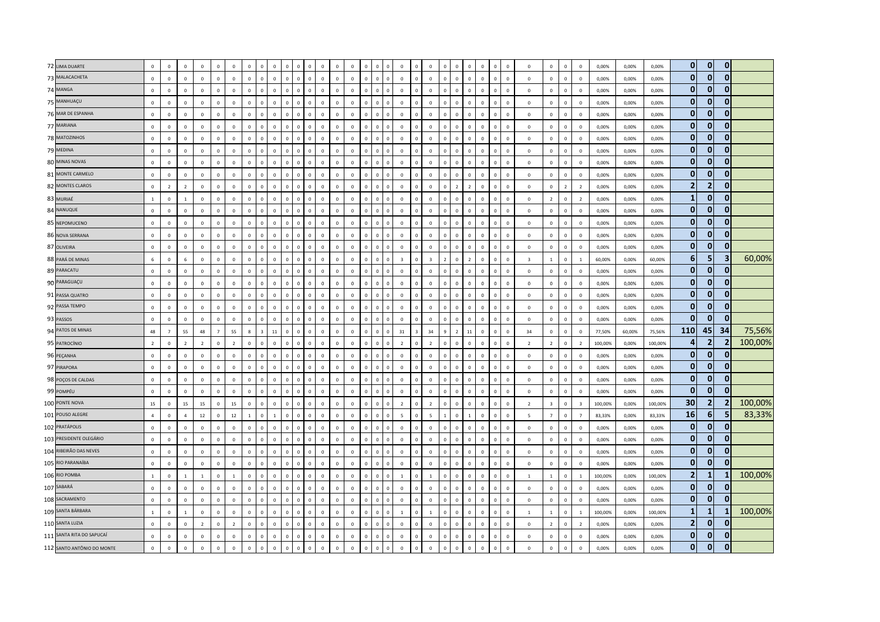| 72 LIMA DUARTE             | $\mathbf 0$     | $\mathbf 0$             | $\overline{0}$ | $\mathbf 0$    | $\overline{0}$ | $\overline{0}$ | $\mathbf 0$  | $\Omega$                | $^{\circ}$     |              | $\mathbf 0$<br>$\overline{0}$           | $\mathbf 0$  | $\mathbf 0$  | $\mathbf 0$  | $\mathbf 0$  | $\overline{0}$ |                | $\mathbf 0$             | $\,$ 0         | $\mathbf{0}$   |                | $\mathbf 0$<br>$\Omega$          |              | $\mathbf 0$<br>$\mathbf 0$    | $\mathbf 0$  | $\overline{0}$          | $\mathbf 0$             | $\mathbf 0$    | $\mathbf 0$             | 0,00%   | 0,00%  | 0,00%   | $\mathbf{0}$            | $\mathbf{0}$   | $\mathbf{0}$            |         |
|----------------------------|-----------------|-------------------------|----------------|----------------|----------------|----------------|--------------|-------------------------|----------------|--------------|-----------------------------------------|--------------|--------------|--------------|--------------|----------------|----------------|-------------------------|----------------|----------------|----------------|----------------------------------|--------------|-------------------------------|--------------|-------------------------|-------------------------|----------------|-------------------------|---------|--------|---------|-------------------------|----------------|-------------------------|---------|
| 73 MALACACHETA             | $\mathsf 0$     | $\mathbf 0$             | $\mathbb O$    | $\mathsf 0$    | $\mathbf{0}$   | $\mathbb O$    | $\mathsf 0$  | $\mathbf 0$             | $\mathbb O$    | $\mathbf{0}$ | $\mathbf 0$<br>$\mathbf 0$              | $\mathbf 0$  | $\mathbf 0$  | $\mathbf 0$  | $\mathsf 0$  | $\mathbf 0$    | $\overline{0}$ | $\mathbf 0$             | $\circ$        | $\mathsf 0$    | $\mathbf 0$    | $\mathbb O$                      | $\mathbf 0$  | $\mathbf 0$<br>$\circ$        | $\mathbf 0$  | $\mathbf 0$             | $\mathbf 0$             | $\mathsf 0$    | $\mathbf 0$             | 0,00%   | 0,00%  | 0,00%   | $\mathbf{0}$            | $\overline{0}$ | $\mathbf{0}$            |         |
| 74 MANGA                   | $\mathsf 0$     | $\mathbf 0$             | $\mathbb O$    | $\mathsf 0$    | $\mathbf{0}$   | $\overline{0}$ | $\Omega$     | $\Omega$                | $\Omega$       | $\Omega$     | $\mathbf 0$<br>$\,$ 0                   | $\Omega$     | $\mathbf 0$  | $\Omega$     | $\Omega$     | $\mathbf 0$    | $\Omega$       | $\mathbf 0$             | $\mathbf 0$    | $\Omega$       | $\Omega$       | $\Omega$<br>$\Omega$             |              | $\mathbf 0$<br>$\mathbb O$    | $\Omega$     | $\mathbf 0$             | $\Omega$                | $\mathbf 0$    | $\Omega$                | 0,00%   | 0,00%  | 0,00%   | $\mathbf{0}$            | $\mathbf{0}$   | $\mathbf{0}$            |         |
| 75 MANHUAÇU                | $\circ$         | $\overline{0}$          | $\mathbf 0$    | $\mathsf 0$    | $\Omega$       | $\overline{0}$ | $\mathbf 0$  | $\Omega$                | $\mathbb O$    | $\Omega$     | $\mathbf 0$<br>$\,$ 0                   | $\mathbf 0$  | $\mathbf 0$  | $\mathbf 0$  | $\mathsf 0$  | $\mathbf 0$    | $\Omega$       | $\mathbf 0$             | $\mathbf{0}$   | $\mathbf 0$    | $\mathbf{0}$   | $\mathbf{0}$<br>$\Omega$         |              | $\mathbf 0$<br>$\circ$        | $\mathbf 0$  | $\overline{\mathbf{0}}$ | $\mathbf 0$             | $\mathsf 0$    | $\mathbf 0$             | 0,00%   | 0,00%  | 0,00%   | $\mathbf{0}$            | $\mathbf{0}$   | $\mathbf{0}$            |         |
| 76 MAR DE ESPANHA          | $\mathsf 0$     | $\mathbf 0$             | $\mathbb O$    | $\mathbf 0$    | $\mathbb O$    | $\mathbb O$    | $\mathbf 0$  | $\mathbb O$             | $\mathbb O$    | $\circ$      | $\mathbf 0$<br>$\,$ 0                   | $\mathbf 0$  | $\mathbf 0$  | $\mathbf 0$  | $\mathbf 0$  | $\mathbf 0$    | $\overline{0}$ | $\mathbf 0$             | $\mathbb O$    | $\mathbf 0$    | $\mathbf 0$    | $\mathbb O$                      | $\mathbf 0$  | $\mathbf 0$<br>$\circ$        | $\mathbf 0$  | $\mathbf 0$             | $\mathbf 0$             | $\mathbf 0$    | $\mathbf 0$             | 0,00%   | 0,00%  | 0,00%   | $\mathbf{0}$            | $\mathbf{0}$   | $\mathbf{0}$            |         |
| 77 MARIANA                 | $\mathbf 0$     | $\mathbf 0$             | $\mathbb O$    | $\mathbf 0$    | $\mathbf{0}$   | $\mathbb O$    | $\mathbf 0$  | $\overline{0}$          | $\mathbf 0$    |              | $\mathbf 0$<br>$\overline{0}$           | $\mathbf 0$  | $\mathbf 0$  | $\mathbf 0$  | $\mathsf 0$  | $\mathbf 0$    | $\overline{0}$ | $\mathbf 0$             | $\mathbf 0$    | $\mathbf 0$    | $\mathbf 0$    | $\mathbf 0$<br>$\mathbf 0$       |              | $\mathbf 0$<br>$\overline{0}$ | $\mathbf 0$  | $\mathbf 0$             | $\mathbf 0$             | $\mathsf 0$    | $\mathbf 0$             | 0,00%   | 0,00%  | 0,00%   | $\mathbf{0}$            | $\Omega$       | $\mathbf{0}$            |         |
| 78 MATOZINHOS              | $\circ$         | $\Omega$                | $\overline{0}$ | $\mathbf{0}$   | $\Omega$       | $\mathbf 0$    | $\Omega$     | $\Omega$                | $\mathbf 0$    | $\Omega$     | $\mathbf{0}$<br>$\overline{0}$          | $\mathbf{0}$ | $\Omega$     | $\mathbf{0}$ | $\Omega$     | $\overline{0}$ | $\Omega$       | $\mathbf 0$             | $\mathbf{0}$   | $\Omega$       | $\Omega$       | $\Omega$<br>$\Omega$             |              | $\mathbf{0}$<br>$\mathbf 0$   | $\mathbf{0}$ | $\Omega$                | $\mathbf{0}$            | $\mathbf{0}$   | $\mathbf{0}$            | 0,00%   | 0,00%  | 0,00%   | $\mathbf{0}$            | $\overline{0}$ | $\mathbf{0}$            |         |
| 79 MEDINA                  | $\mathsf 0$     | $\mathbf 0$             | $\mathbb O$    | $\mathsf 0$    | $\Omega$       | $\mathbb O$    | $\mathbf 0$  | $\Omega$                | $\mathbf 0$    | $\mathbf{0}$ | $\mathbf 0$<br>$\,0\,$                  | $\mathbf 0$  | $\Omega$     | $\mathbf 0$  | $\mathbf{0}$ | $\,0\,$        | $\overline{0}$ | $\mathbf 0$             | $\mathbf 0$    | $\mathbf 0$    | $\Omega$       | $\Omega$<br>$\mathbf 0$          |              | $\mathbf 0$<br>$\mathbf{0}$   | $\mathbf 0$  | $\mathbf 0$             | $\mathbf{0}$            | $\mathbf 0$    | $\mathbf 0$             | 0,00%   | 0,00%  | 0,00%   | $\mathbf{0}$            | $\overline{0}$ | $\mathbf{0}$            |         |
| 80 MINAS NOVAS             | $\mathsf 0$     | $\mathbf 0$             | $\mathbb O$    | $\mathbf 0$    | $\mathbf{0}$   | $\mathbb O$    | $\mathbf 0$  | $\overline{0}$          | $\mathbf 0$    |              | $\mathbf 0$<br>$\overline{0}$           | $\mathbf 0$  | $\mathbf 0$  | $\mathbf 0$  | $\mathsf 0$  | $\mathbf 0$    | $\overline{0}$ | $\mathbf 0$             | $\mathbf 0$    | $\mathbf 0$    | $\mathbf 0$    | $\mathbf 0$<br>$\mathbf 0$       |              | $\pmb{0}$<br>$\mathbf 0$      | $\mathbf 0$  | $\mathbf 0$             | $\mathbf 0$             | $\mathbf 0$    | $\mathbf 0$             | 0,00%   | 0,00%  | 0,00%   | $\mathbf{0}$            | $\mathbf{0}$   | $\mathbf{0}$            |         |
| 81 MONTE CARMELO           | $\mathsf 0$     | $\overline{0}$          | $\mathbb O$    | $\mathbf{0}$   | $\mathbf{0}$   | $\mathbb O$    | $\mathbf{0}$ | $\Omega$                | $\mathbf 0$    | $\Omega$     | $\mathbf{0}$<br>$\overline{0}$          | $\mathbf 0$  | $\mathbf 0$  | $\Omega$     | $\mathbf{0}$ | $\mathbf 0$    | $\Omega$       | $\mathbf 0$             | $\mathbf{0}$   | $\mathbf{0}$   | $\mathbf{0}$   | $\mathbf 0$                      | $\mathbf{0}$ | $\mathbf 0$<br>$\circ$        | $\mathbf 0$  | $\,$ 0                  | $\mathbf 0$             | $\mathbf{0}$   | $\mathbf 0$             | 0,00%   | 0,00%  | 0,00%   | $\mathbf{0}$            | $\mathbf{0}$   | $\mathbf{0}$            |         |
| 82 MONTES CLAROS           | $\mathsf 0$     | $\overline{2}$          | $\overline{2}$ | $\Omega$       | $\Omega$       | $\Omega$       | $\Omega$     | $\Omega$                | $\Omega$       | $\Omega$     | $\mathbf 0$<br>$\Omega$                 | $\Omega$     | $\Omega$     | $\Omega$     | $\Omega$     | $\mathbf 0$    | $\Omega$       | $\mathbf 0$             | $\Omega$       | $\Omega$       | $\Omega$       | $\overline{z}$<br>$\overline{2}$ |              | $\mathbf 0$<br>$\Omega$       | $\Omega$     | $\Omega$                | $\mathbf 0$             | $\overline{z}$ | $\overline{2}$          | 0,00%   | 0,00%  | 0,00%   | $\overline{\mathbf{2}}$ | $\overline{2}$ | $\bf{0}$                |         |
| 83 MURIAÉ                  | $\mathbf{1}$    | $\,0\,$                 | $\mathbf{1}$   | $\mathsf 0$    | $\mathbf 0$    | $\,0\,$        | $\mathbf{0}$ | $\Omega$                | $\mathbf 0$    | $\Omega$     | $\mathbf 0$<br>$\overline{0}$           | $\mathbf 0$  | $\mathbf 0$  | $\mathbf 0$  | $\mathbf 0$  | $\mathbf 0$    | $\Omega$       | $\,0\,$                 | $\Omega$       | $\mathbf{0}$   | $\Omega$       | $\mathbf 0$<br>$\Omega$          |              | $\mathbf 0$<br>$\mathbf 0$    | $\mathbf 0$  | $\overline{0}$          | $\overline{2}$          | $\mathbf 0$    | $\overline{2}$          | 0,00%   | 0,00%  | 0,00%   | $\mathbf{1}$            | $\Omega$       | $\mathbf{0}$            |         |
| 84 NANUQUE                 | $\mathsf 0$     | $\mathbf 0$             | $\mathbb O$    | $\mathbf{0}$   | $\Omega$       | $\mathbb O$    | $\Omega$     | $\mathbf 0$             | $\mathbf 0$    | $\Omega$     | $\mathbf 0$<br>$\mathbf 0$              | $\mathbf 0$  | $\mathbf{0}$ | $\mathbf 0$  | $\mathbf{0}$ | $\mathbf 0$    | $\Omega$       | $\mathbf 0$             | $\circ$        | $\Omega$       | $\Omega$       | $\Omega$<br>$\mathbf 0$          |              | $\mathbf 0$<br>$\mathbf{0}$   | $\mathbf 0$  | $\mathbf 0$             | $\mathbf 0$             | $\mathbf{0}$   | $\mathbf 0$             | 0,00%   | 0,00%  | 0,00%   | $\mathbf{0}$            | $\mathbf{0}$   | $\mathbf{0}$            |         |
| 85 NEPOMUCENO              | $\circ$         | $\mathbf 0$             | $\mathbb O$    | $\mathbf 0$    | $\mathbf{0}$   | $\mathbf 0$    | $\mathbf 0$  | $\mathbf 0$             | $\mathbf 0$    | $\Omega$     | $\mathbf 0$<br>$\mathbf 0$              | $\mathbf 0$  | $\mathbf 0$  | $\mathbf 0$  | $\mathbf 0$  | $\mathbf 0$    | $\Omega$       | $\mathbf 0$             | $\mathbf{0}$   | $\Omega$       | $\Omega$       | $\Omega$<br>$\mathbf 0$          |              | $\mathbf 0$<br>$\mathbf 0$    | $\mathbf 0$  | $\mathbb O$             | $\mathbf 0$             | $\mathbf 0$    | $\mathbf 0$             | 0,00%   | 0,00%  | 0,00%   | $\mathbf{0}$            | $\overline{0}$ | $\mathbf{0}$            |         |
| 86 NOVA SERRANA            | $\mathsf 0$     | $\overline{\mathbf{0}}$ | $\mathbf 0$    | $\Omega$       | $\Omega$       | $\mathbf 0$    | $\Omega$     | $\Omega$                | $\Omega$       | $\Omega$     | $\mathbf 0$<br>$\mathbf 0$              | $\mathbf 0$  | $\mathbf 0$  | $\Omega$     | $\mathbf{0}$ | $\mathbf 0$    | $\Omega$       | $\mathbf 0$             | $\mathbf{0}$   | $\Omega$       | $\Omega$       | $\Omega$<br>$\Omega$             |              | $\mathbf 0$<br>$\mathbb O$    | $\Omega$     | $\,$ 0                  | $\mathbf 0$             | $\mathbf{0}$   | $\mathbf 0$             | 0,00%   | 0,00%  | 0,00%   | $\mathbf{0}$            | $\overline{0}$ | $\mathbf{0}$            |         |
| 87 OLIVEIRA                | $\mathbf 0$     | $\mathbf 0$             | $\mathbb O$    | $\mathsf 0$    | $\mathbf{0}$   | $\mathbb O$    | $\mathbf 0$  | $\mathbf 0$             | $\mathbb O$    | $\mathbf{0}$ | $\mathbf 0$<br>$\,$ 0                   | $\mathbf 0$  | $\mathbf 0$  | $\mathbf 0$  | $\mathbf 0$  | $\mathbf 0$    | $\overline{0}$ | $\mathbf 0$             | $\mathbb O$    | $\mathbf 0$    | $\mathbf 0$    | $\,0\,$<br>$\mathbf{0}$          |              | $\mathbf 0$<br>$\mathbf 0$    | $\mathbf 0$  | $\,0\,$                 | $\mathbf 0$             | $\mathbf 0$    | $\mathbf 0$             | 0,00%   | 0,00%  | 0,00%   | $\mathbf{0}$            | $\mathbf{0}$   | $\mathbf{0}$            |         |
| 88 PARÁ DE MINAS           | $6\overline{6}$ | $\mathbf 0$             | $\,$ 6 $\,$    | $\mathbf 0$    | $\mathbf 0$    | $\overline{0}$ | $\mathbf{0}$ | $\mathbf 0$             | $\mathbf 0$    | $\Omega$     | $\mathbf 0$<br>$\,$ 0                   | $\mathbf 0$  | $\mathbf 0$  | $\mathbf 0$  | $\mathbf 0$  | $\mathbf 0$    | $\Omega$       | $\overline{\mathbf{3}}$ | $\mathbf{0}$   | $\overline{3}$ | $\overline{z}$ | $\overline{2}$<br>$\Omega$       |              | $\mathbf 0$<br>$\mathbf 0$    | $\mathbf 0$  | $\overline{\mathbf{3}}$ | $\mathbf{1}$            | $\mathbf 0$    | $\mathbf{1}$            | 60,00%  | 0,00%  | 60,00%  | $6\phantom{1}$          | 5              | $\overline{\mathbf{3}}$ | 60,00%  |
| 89 PARACATU                | $\mathbf 0$     | $\mathbf 0$             | $\mathbb O$    | $\mathbf{0}$   | $\mathbf{0}$   | $\mathbb O$    | $\mathbf 0$  | $\mathbf 0$             | $\mathbb O$    | $\Omega$     | $\mathbf 0$<br>$\mathbf 0$              | $\mathbf 0$  | $\mathbf 0$  | $\mathbf 0$  | $\mathbf 0$  | $\mathbf 0$    | $\Omega$       | $\mathbf 0$             | $\mathbb O$    | $\mathbf 0$    | $\mathbf 0$    | $\mathbf 0$<br>$\mathbb O$       |              | $\mathbf 0$<br>$\circ$        | $\mathbf 0$  | $\mathbf 0$             | $\mathbf 0$             | $\mathsf 0$    | $\mathbf 0$             | 0,00%   | 0,00%  | 0,00%   | $\mathbf{0}$            | 0              | $\mathbf{0}$            |         |
| 90 PARAGUAÇU               | $\mathsf 0$     | $\mathbf 0$             | $\mathbb O$    | $\mathsf 0$    | $\Omega$       | $\overline{0}$ | $\mathbf 0$  | $\Omega$                | $\Omega$       | $\Omega$     | $\mathbf 0$<br>$\overline{0}$           | $\mathbf 0$  | $\Omega$     | $\Omega$     | $^{\circ}$   | $\mathbf 0$    | $\Omega$       | $\mathbf 0$             | $\Omega$       | $\mathbf 0$    | $\Omega$       | $\Omega$<br>$\Omega$             |              | $\mathbf 0$<br>$\circ$        | $^{\circ}$   | $\mathbf 0$             | $\mathbf{0}$            | $\mathbf 0$    | $^{\circ}$              | 0,00%   | 0,00%  | 0,00%   | $\mathbf{0}$            | $\overline{0}$ | $\mathbf 0$             |         |
| 91 PASSA QUATRO            | $\circ$         | $\mathbf 0$             | $\mathbf 0$    | $\mathsf 0$    | $\mathbf{0}$   | $\overline{0}$ | $\mathbf{0}$ | $\mathbf 0$             | $\mathbf 0$    | $\Omega$     | $\mathbf 0$<br>$\,$ 0                   | $\mathbf 0$  | $\mathbf 0$  | $\mathbf 0$  | $\mathbf 0$  | $\mathbf 0$    | $\Omega$       | $\mathbf 0$             | $\mathbf{0}$   | $\mathbf{0}$   | $\Omega$       | $\mathbf 0$<br>$\Omega$          |              | $\mathbf 0$<br>$\mathbb O$    | $\mathbf 0$  | $\mathbf 0$             | $\mathbf 0$             | $\mathsf 0$    | $\mathbf 0$             | 0,00%   | 0,00%  | 0,00%   | $\mathbf{0}$            | $\Omega$       | $\mathbf{0}$            |         |
| 92 PASSA TEMPO             | $\mathsf 0$     | $\mathbf 0$             | $\mathbb O$    | $\mathbf 0$    | $\circ$        | $\mathbb O$    | $\mathbf 0$  | $\mathbb O$             | $\mathbb O$    | $\circ$      | $\mathbf 0$<br>$\mathbf 0$              | $\mathbf 0$  | $\mathbf 0$  | $\mathbf 0$  | $\mathbf 0$  | $\mathbf 0$    | $\overline{0}$ | $\mathbf 0$             | $\mathbf 0$    | $\mathbf 0$    | $\mathbf 0$    | $\mathbb O$                      | $\mathbf 0$  | $\mathbf 0$<br>$\circ$        | $\mathbf 0$  | $\mathbf 0$             | $\mathbf 0$             | $\mathbf 0$    | $\mathbf 0$             | 0,00%   | 0,00%  | 0,00%   | $\mathbf{0}$            | $\overline{0}$ | $\mathbf{0}$            |         |
| 93 PASSOS                  | $\mathsf 0$     | $\overline{0}$          | $\mathbb O$    | $\mathsf 0$    | $\mathbf{0}$   | $\mathbb O$    | $\mathbf 0$  | $\overline{0}$          | $\mathbb O$    |              | $\mathbf 0$<br>$\overline{0}$           | $\mathbf 0$  | $\mathbf 0$  | $\mathbf 0$  | $\mathbf 0$  | $\mathbf 0$    | $\Omega$       | $\mathbf 0$             | $\mathbf 0$    | $\mathbf 0$    | $\Omega$       | $\Omega$<br>$\mathbf 0$          |              | $\mathbf 0$<br>$\mathbf 0$    | $\mathbf 0$  | $\mathbf 0$             | $\mathbf 0$             | $\mathbf 0$    | $\mathbf 0$             | 0,00%   | 0,00%  | 0,00%   | $\mathbf{0}$            | $\overline{0}$ | $\mathbf{0}$            |         |
| 94 PATOS DE MINAS          | 48              | $\overline{7}$          | 55             | 48             | $\overline{7}$ | 55             | $\mathbf{g}$ | $\overline{\mathbf{z}}$ | 11             | $\Omega$     | $\mathbf{0}$<br>$\Omega$                | $\Omega$     | $\Omega$     | $\mathbf{0}$ | $\Omega$     | $\overline{0}$ | $\Omega$       | 31                      | $\overline{z}$ | 34             | $\Omega$       | $\overline{\phantom{a}}$         | $11\,$       | $\mathbf 0$<br>$\Omega$       | $\Omega$     | 34                      | $\Omega$                | $\mathbf{0}$   | $\Omega$                | 77,50%  | 60,00% | 75,56%  | 110                     | 45             | 34                      | 75,56%  |
| 95 PATROCÍNIO              | $\overline{2}$  | $\mathbf 0$             | $\overline{2}$ | $\overline{2}$ | $\Omega$       | $\overline{2}$ | $\mathbf 0$  | $\mathbb O$             | $\mathbf{0}$   | $^{\circ}$   | $\mathbf 0$<br>$\,0\,$                  | $\mathbf 0$  | $\Omega$     | $^{\circ}$   | $\mathbf{0}$ | $\,0\,$        | $\mathbf 0$    | $\overline{2}$          | $\mathbb O$    | $\overline{2}$ | $\mathbf 0$    | $\mathbf 0$<br>$\Omega$          |              | $\circ$<br>$\mathbf 0$        | $^{\circ}$   | $\overline{2}$          | $\overline{2}$          | $\mathsf 0$    | $\overline{2}$          | 100,00% | 0,00%  | 100,00% | 4                       | 2 <sup>1</sup> | $\overline{2}$          | 100,00% |
| 96 PEÇANHA                 | $\mathsf 0$     | $\mathbf 0$             | $\mathbb O$    | $\mathsf 0$    | $\mathbf{0}$   | $\mathbf 0$    | $\mathbf 0$  | $\mathbf 0$             | $\mathbf 0$    |              | $\mathbf 0$<br>$\,$ 0                   | $\mathbf 0$  | $\mathbf 0$  | $\mathbf 0$  | $\mathsf 0$  | $\mathbf 0$    | $\overline{0}$ | $\mathbf 0$             | $\,$ 0 $\,$    | $\mathbf{0}$   | $\mathbf{0}$   | $\mathbf 0$<br>$\mathbf 0$       |              | $\mathbf 0$<br>$\mathbf 0$    | $\mathbf 0$  | $\mathbf 0$             | $\mathbf 0$             | $\mathbf 0$    | $\mathbf 0$             | 0,00%   | 0,00%  | 0,00%   | $\mathbf{0}$            | $\overline{0}$ | $\bf{0}$                |         |
| 97 PIRAPORA                | $\circ$         | $\overline{0}$          | $\overline{0}$ | $\mathbf{0}$   | $\overline{0}$ | $\overline{0}$ | $\mathbf{0}$ | $\mathbf{0}$            | $\mathbf 0$    | $\Omega$     | $\mathbf{0}$<br>$\overline{0}$          | $\mathbf{0}$ | $\mathbf{0}$ | $\mathbf{0}$ | $\mathbf{0}$ | $\mathbf{0}$   | $\Omega$       | $\mathbf{0}$            | $\mathbf{0}$   | $\mathbf{0}$   | $\mathbf{0}$   | $\mathbf{0}$<br>$\mathbf{0}$     |              | $\mathbf{0}$<br>$\mathbf{0}$  | $\mathbf{0}$ | $\overline{0}$          | $\mathbf{0}$            | $\mathbf{0}$   | $\mathbf{0}$            | 0.00%   | 0,00%  | 0.00%   | $\mathbf{0}$            | $\mathbf{0}$   | $\mathbf{0}$            |         |
| 98 POÇOS DE CALDAS         | $\Omega$        | $\overline{0}$          | $\mathbb O$    | $\mathbf{0}$   | $\Omega$       | $\mathbf 0$    | $\Omega$     | $\Omega$                | $\Omega$       | $\Omega$     | $\mathbf{0}$<br>$\overline{\mathbf{0}}$ | $\mathbf 0$  | $\Omega$     | $\Omega$     | $\mathbf 0$  | $\mathbf 0$    | $\Omega$       | $\mathbf 0$             | $\Omega$       | $\Omega$       | $\Omega$       | $\Omega$<br>$\Omega$             |              | $\mathbf 0$<br>$\overline{0}$ | $\Omega$     | $\,$ 0                  | $\mathbf 0$             | $\mathbf 0$    | $\mathbf 0$             | 0,00%   | 0,00%  | 0,00%   | $\mathbf{0}$            | $\bf{0}$       | 0                       |         |
| 99 POMPÉU                  | $\mathbf 0$     | $\,0\,$                 | $\mathbf 0$    | $\mathsf 0$    | $\mathbf{0}$   | $\,0\,$        | $\mathbf 0$  | $\mathbf 0$             | $\mathbb O$    | $\Omega$     | $\mathbf 0$<br>$\mathbf 0$              | $\mathbf 0$  | $\mathbf 0$  | $\mathbf 0$  | $\mathbf 0$  | $\mathbf 0$    | $\Omega$       | $\mathbf 0$             | $\,$ 0 $\,$    | $\mathbf 0$    | $\Omega$       | $\mathbf{0}$<br>$\Omega$         |              | $\mathbf 0$<br>$\mathbb O$    | $\mathbf 0$  | $\,0\,$                 | $\mathbf 0$             | $\mathbf 0$    | $\mathbf 0$             | 0,00%   | 0,00%  | 0,00%   | $\mathbf{0}$            | $\mathbf{0}$   | $\mathbf{0}$            |         |
| 100 PONTE NOVA             | 15              | $\,$ 0                  | 15             | 15             | $\mathbf{0}$   | 15             | $\mathbf 0$  | $\mathbf 0$             | $\mathbb O$    | $\mathbf{0}$ | $\mathbf 0$<br>$\,$ 0                   | $\mathbf 0$  | $\mathbf 0$  | $\mathbf 0$  | $\mathbf 0$  | $\mathbf 0$    | $\overline{0}$ | $\overline{2}$          | $\circ$        | $\overline{2}$ | $\mathbf 0$    | $\mathbb O$<br>$\mathbf 0$       |              | $\mathbf 0$<br>$\overline{0}$ | $\mathbf 0$  | $\overline{2}$          | $\overline{\mathbf{3}}$ | $\mathbf 0$    | $\overline{\mathbf{3}}$ | 100,00% | 0,00%  | 100,00% | 30                      | 2 <sub>1</sub> | $\overline{2}$          | 100,00% |
| 101 POUSO ALEGRE           | $\overline{a}$  | $\mathbf 0$             | $\overline{4}$ | 12             | $\Omega$       | 12             | $\mathbf{1}$ | $\Omega$                | $\overline{1}$ | $\Omega$     | $\mathbf{0}$<br>$\overline{0}$          | $\Omega$     | $\Omega$     | $\Omega$     | $\Omega$     | $\overline{0}$ | $\Omega$       | $\overline{5}$          | $\Omega$       | -5.            | $\overline{1}$ | $\Omega$<br>$\overline{1}$       |              | $\mathbf{0}$<br>$\mathbf 0$   | $\Omega$     | $\overline{5}$          | $\overline{7}$          | $\Omega$       | $\overline{7}$          | 83,33%  | 0.00%  | 83,33%  | 16                      | 6 <sup>1</sup> | 5                       | 83,33%  |
| 102 PRATÁPOLIS             | $\mathsf 0$     | $\mathbf 0$             | $\mathbb O$    | $\mathsf 0$    | $\Omega$       | $\mathbf 0$    | $\mathbf{0}$ | $\Omega$                | $\Omega$       | $\Omega$     | $\mathbf 0$<br>$\,$ 0                   | $\mathbf 0$  | $\mathbf 0$  | $\mathbf 0$  | $\mathbf 0$  | $\mathbf 0$    | $\Omega$       | $\mathbf 0$             | $\Omega$       | $\mathbf 0$    | $\Omega$       | $\Omega$<br>$\mathbf 0$          |              | $\mathbf 0$<br>$\mathbb O$    | $\mathbf 0$  | $\,$ 0                  | $\mathbf 0$             | $\mathsf 0$    | $\mathbf 0$             | 0,00%   | 0,00%  | 0,00%   | $\mathbf{0}$            | $\Omega$       | $\mathbf{0}$            |         |
| 103 PRESIDENTE OLEGÁRIO    | $\mathsf 0$     | $\mathbf 0$             | $\mathbb O$    | $\mathbf 0$    | $\mathbf{0}$   | $\mathbf 0$    | $\mathbf 0$  | $\mathbb O$             | $\mathbb O$    | $\circ$      | $\mathbf 0$<br>$\,0\,$                  | $\mathbf 0$  | $\mathbf 0$  | $\mathbf 0$  | $\mathbf 0$  | $\mathbf 0$    | $\overline{0}$ | $\mathbf 0$             | $\mathbb O$    | $\mathbf 0$    | $\mathbf 0$    | $\mathbb O$                      | $\mathbb O$  | $\mathbf 0$<br>$\mathbb O$    | $\mathbf 0$  | $\,0\,$                 | $\mathbf 0$             | $\mathbf 0$    | $\mathbf 0$             | 0,00%   | 0,00%  | 0,00%   | $\mathbf{0}$            | $\overline{0}$ | $\mathbf{0}$            |         |
| 104 RIBEIRÃO DAS NEVES     | $\mathsf 0$     | $\overline{0}$          | $\mathbb O$    | $\Omega$       | $\mathbf{0}$   | $\mathbb O$    | $\Omega$     | $\Omega$                | $\Omega$       |              | $\mathbf 0$<br>$\overline{0}$           | $\mathbf 0$  | $\mathbf 0$  | $\Omega$     | $\mathbf 0$  | $\mathbb O$    | $\Omega$       | $\mathbf 0$             | $\Omega$       | $\Omega$       | $\Omega$       | $\Omega$<br>$\Omega$             |              | $\mathbf 0$<br>$\Omega$       | $\Omega$     | $\Omega$                | $\mathbf 0$             | $\mathbf 0$    | $\mathbf 0$             | 0,00%   | 0,00%  | 0,00%   | $\mathbf{0}$            | $\mathbf{0}$   | $\mathbf{0}$            |         |
| 105 RIO PARANAÍBA          | $\mathbf{0}$    | $\overline{0}$          | $\overline{0}$ | $\mathbf{0}$   | $\Omega$       | $\mathbf 0$    | $\Omega$     | $\Omega$                | $\Omega$       | $\Omega$     | $\mathbf{0}$<br>$\overline{0}$          | $\mathbf{0}$ | $\Omega$     | $\Omega$     | $\mathbf{0}$ | $\mathbf{0}$   | $\Omega$       | $\mathbf 0$             | $\mathbf{0}$   | $\Omega$       | $\Omega$       | $\Omega$<br>$\Omega$             |              | $\mathbf 0$<br>$\mathbf{0}$   | $\Omega$     | $\Omega$                | $\Omega$                | $\mathbf{0}$   | $\mathbf{0}$            | 0,00%   | 0,00%  | 0,00%   | $\mathbf{0}$            | $\Omega$       | $\mathbf{0}$            |         |
| 106 RIO POMBA              | $\mathbf{1}$    | $\overline{0}$          | <sup>1</sup>   | $\overline{1}$ | $\Omega$       | 1              | $\mathbf 0$  | $\Omega$                | $\mathbf 0$    | $\Omega$     | $\mathbf 0$<br>$\overline{0}$           | $\mathbf 0$  | $\Omega$     | $\Omega$     | $\mathbf{0}$ | $\,0\,$        | $\Omega$       | <sup>1</sup>            | $\mathbf 0$    | $\overline{1}$ | $\mathbf 0$    | $\Omega$<br>$\overline{0}$       |              | $\mathbf{0}$<br>$\mathbf{0}$  | $\mathbf 0$  | $\overline{1}$          | $\overline{1}$          | $\mathbf{0}$   | <sup>1</sup>            | 100,00% | 0,00%  | 100,00% | $\overline{2}$          | $\mathbf{1}$   |                         | 100,00% |
| 107 SABARÁ                 | $\mathsf 0$     | $\overline{0}$          | $\mathbf 0$    | $\mathsf 0$    | $\mathbf{0}$   | $\mathbf 0$    | $\mathbf 0$  | $\mathbf 0$             | $\mathbb O$    | $\Omega$     | $\mathbf 0$<br>$\,$ 0                   | $\mathbf 0$  | $\mathbf 0$  | $\mathbf 0$  | $\mathbf 0$  | $\mathbf 0$    | $\Omega$       | $\mathbf 0$             | $\mathbf{0}$   | $\Omega$       | $\Omega$       | $\Omega$<br>$\Omega$             |              | $\mathbf 0$<br>$\mathbb O$    | $\mathbf 0$  | $\mathbf 0$             | $\mathbf 0$             | $\mathsf 0$    | $\mathbf 0$             | 0,00%   | 0,00%  | 0,00%   | $\mathbf{0}$            | $\Omega$       | $\Omega$                |         |
| 108 SACRAMENTO             | $\mathbf 0$     | $\,$ 0                  | $\mathbf 0$    | $\mathbf{0}$   | $\mathbb O$    | $\mathbb O$    | $\mathbf 0$  | $\mathbf 0$             | $\mathbb O$    | $\mathbf{0}$ | $\mathbf 0$<br>$\mathbf 0$              | $\mathbf 0$  | $\mathbf 0$  | $\mathsf 0$  | $\mathbf 0$  | $\mathbf 0$    | $\Omega$       | $\mathbf 0$             | $\mathbb O$    | $\mathbf 0$    | $\mathbf 0$    | $\mathbf 0$                      | $\mathbb O$  | $\mathbb O$<br>$\circ$        | $\mathbf 0$  | $\mathbf 0$             | $\mathbf 0$             | $\mathsf 0$    | $\mathbf 0$             | 0,00%   | 0,00%  | 0,00%   | $\mathbf{0}$            | $\overline{0}$ | $\mathbf{0}$            |         |
| 109 SANTA BÁRBARA          | $\mathbf{1}$    | $\Omega$                | 1              | $\Omega$       | $\Omega$       | $\mathbb O$    | $\Omega$     | $\Omega$                | $\Omega$       | $\Omega$     | $\mathbf 0$<br>$\mathbf 0$              | $\mathbf 0$  | $\Omega$     | $\Omega$     | $\mathbf 0$  | $\mathbf 0$    | $\Omega$       | $\mathbf{1}$            | $\Omega$       | $\overline{1}$ | $\Omega$       | $\Omega$<br>$\Omega$             |              | $\mathbf 0$<br>$\mathbb O$    | $\Omega$     | $\overline{1}$          | $\mathbf{1}$            | $\mathbf 0$    | $\overline{1}$          | 100,00% | 0,00%  | 100,00% | $\mathbf{1}$            | $\mathbf{1}$   |                         | 100,00% |
| 110 SANTA LUZIA            | $\mathbf 0$     | $\Omega$                | $\mathbf 0$    | $\overline{z}$ | $\Omega$       | $\overline{2}$ | $\Omega$     | $\Omega$                | $\Omega$       | $\Omega$     | $\mathbf{0}$<br>$\overline{0}$          | $\Omega$     | $\Omega$     | $\Omega$     | $\mathbf{0}$ | $\mathbf{0}$   | $\Omega$       | $\,0\,$                 | $\Omega$       | $\Omega$       | $\Omega$       | $\Omega$<br>$\Omega$             |              | $\mathbf 0$<br>$\Omega$       | $\Omega$     | $\,0\,$                 | $\overline{2}$          | $\mathbf{0}$   | $\overline{2}$          | 0,00%   | 0,00%  | 0,00%   | $\overline{2}$          | $\Omega$       | $\bf{0}$                |         |
| 111 SANTA RITA DO SAPUCAÍ  | $\circ$         | $\overline{0}$          | $\mathbf 0$    | $\mathbf 0$    | $\circ$        | $\mathbf 0$    | $\mathbf 0$  | $\mathbf 0$             | $\mathbf 0$    | $\mathbf 0$  | $\mathbf 0$<br>$\overline{0}$           | $\mathbf 0$  | $\mathbf 0$  | $\mathbf 0$  | $\mathbf{0}$ | $\mathbf 0$    | $\overline{0}$ | $\mathbf 0$             | $\mathbf{0}$   | $\mathbf 0$    | $\Omega$       | $\Omega$<br>$\mathbf 0$          |              | $\mathbf{0}$<br>$\mathbf 0$   | $\mathbf 0$  | $\,$ 0                  | $\mathbf 0$             | $\mathbf{0}$   | $\mathbf 0$             | 0,00%   | 0,00%  | 0,00%   | $\mathbf{0}$            | $\overline{0}$ | $\mathbf{0}$            |         |
| 112 SANTO ANTÔNIO DO MONTE | $\mathbf 0$     | $\mathbf 0$             | $\mathbf{0}$   | $\mathbf 0$    | $\mathbf{0}$   | $\mathbb O$    | $\mathbf 0$  |                         |                |              | $\mathbf 0$<br>$\mathbf 0$              | $\mathbf 0$  | $\Omega$     |              | $\mathbf 0$  | $\overline{0}$ |                | $\mathbf 0$             |                | $\Omega$       |                |                                  |              | $\mathbf 0$                   |              | $\mathbf 0$             | $\mathbf 0$             | $\mathbf 0$    | $\mathbf 0$             | 0,00%   | 0,00%  | 0,00%   | $\mathbf 0$             | $\overline{0}$ | $\mathbf{0}$            |         |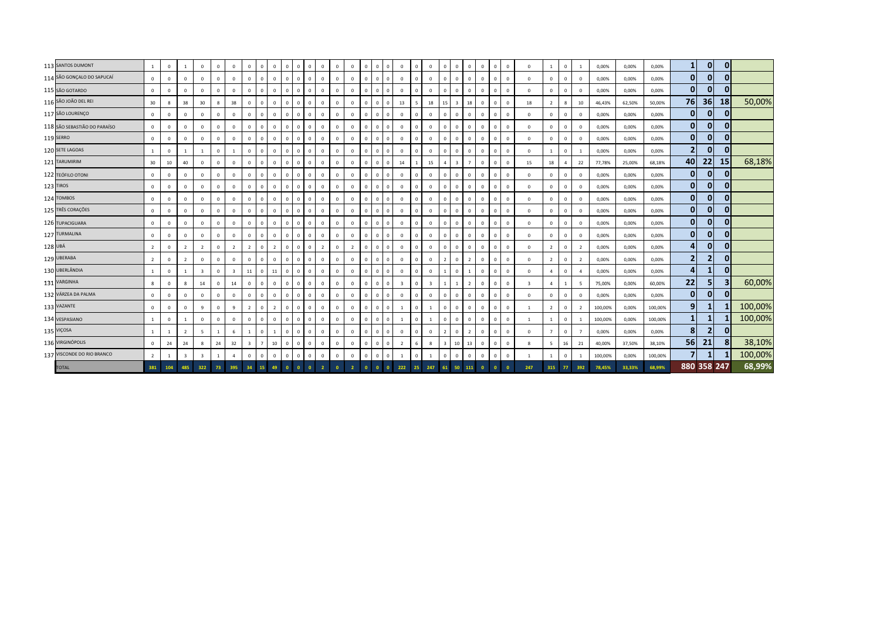|         | 113 SANTOS DUMONT            | $\mathbf{1}$   | $\overline{0}$ |                         | $^{\circ}$              | $\Omega$     | $\mathbf 0$             | $\mathbf{0}$            | $\mathbf{0}$   | $\Omega$                | $\mathbf{0}$ | $\Omega$       | $\mathbf 0$                    | $\Omega$       | $\,0\,$        | $\Omega$     | $\Omega$<br>$\Omega$       | $\Omega$       | $\Omega$       | $\Omega$                | $\Omega$       | $\mathbf{0}$            | $\overline{0}$ | $\mathbf{0}$ | $\Omega$     | $\Omega$       | $\Omega$       | $\mathbf{1}$   | $\overline{0}$ | $\mathbf{1}$   | 0,00%   | 0,00%  | 0,00%   | $\mathbf{1}$   | 0              | 0              |         |
|---------|------------------------------|----------------|----------------|-------------------------|-------------------------|--------------|-------------------------|-------------------------|----------------|-------------------------|--------------|----------------|--------------------------------|----------------|----------------|--------------|----------------------------|----------------|----------------|-------------------------|----------------|-------------------------|----------------|--------------|--------------|----------------|----------------|----------------|----------------|----------------|---------|--------|---------|----------------|----------------|----------------|---------|
|         | 114 SÃO GONÇALO DO SAPUCAÍ   | $\circ$        | $\overline{0}$ | $\Omega$                | $\mathbf{0}$            | $\Omega$     | $\mathbf{0}$            | $\mathbf{0}$            | $\mathbf 0$    | $\Omega$                | $\mathbf 0$  | $\mathbf{0}$   | $\mathbf 0$                    | $\mathbf{0}$   | $\overline{0}$ | $\Omega$     | $\Omega$                   | $\Omega$       | $\Omega$       | $\Omega$                | $\mathbf{0}$   | $\mathbf{0}$            | $\Omega$       | $\Omega$     | $\Omega$     | $\Omega$       | $\Omega$       | $\mathbf{0}$   | $\Omega$       | $^{\circ}$     | 0,00%   | 0,00%  | 0,00%   | $\mathbf{0}$   | 0              | $\mathbf{0}$   |         |
|         | 115 SÃO GOTARDO              | $\mathbf{0}$   | $\mathbf 0$    | $\Omega$                | $\mathbf{0}$            | $\mathbf 0$  | $\mathbf 0$             | $\mathsf 0$             | $\mathbf 0$    | $\,$ 0                  | $\mathbf 0$  | $\mathbf{0}$   | $\mathbf 0$<br>$\mathbf{0}$    | $\mathbb O$    | $\,0\,$        | $\mathbf{0}$ | $\overline{0}$<br>$\Omega$ | $\mathbf 0$    | $\mathbf 0$    | $\mathbf 0$             | $\mathbf 0$    | $\mathbf{0}$            | $\mathbf 0$    | $\mathbf 0$  | $^{\circ}$   | $\Omega$       | $\Omega$       | $\mathbf 0$    | $\mathbf 0$    | $^{\circ}$     | 0,00%   | 0,00%  | 0,00%   | $\mathbf{0}$   | $\overline{0}$ | $\overline{0}$ |         |
|         | 116 SÃO JOÃO DEL REI         | 30             | 8              | 38                      | 30                      | $\mathbf{g}$ | 38                      | $\mathbf 0$             | $\mathbf{0}$   | $\overline{\mathbf{0}}$ | $\mathbf 0$  | $\overline{0}$ | $\mathbf 0$                    | $\mathbb O$    | $\,0\,$        | $\Omega$     | $\Omega$<br>$\Omega$       | 13             | 5              | 18                      | 15             | $\overline{\mathbf{3}}$ | 18             | $\mathbf 0$  | $\Omega$     | $\Omega$       | 18             | $\overline{2}$ | 8              | 10             | 46,43%  | 62,50% | 50,00%  | 76             | 36             | 18             | 50,00%  |
|         | 117 SÃO LOURENÇO             | $\overline{0}$ | $\mathbf 0$    | $\Omega$                | $\mathbf{0}$            | $\circ$      | $\mathbf 0$             | $\mathbf 0$             | $\overline{0}$ | $\overline{0}$          | $\mathbf 0$  | $\overline{0}$ | $\mathbf 0$<br>$\Omega$        | $\mathbf 0$    | $\overline{0}$ | $\Omega$     | $\Omega$<br>$\Omega$       | $\mathbf{0}$   | $\mathbf{0}$   | $\mathbf{0}$            | $\overline{0}$ | $\mathbf{0}$            | $\mathbf{0}$   | $\mathbf 0$  | $\Omega$     | $\Omega$       | $\mathbf{0}$   | $\mathbf 0$    | $\mathbf 0$    | $\mathbf 0$    | 0,00%   | 0,00%  | 0,00%   | $\mathbf{0}$   | $\overline{0}$ | $\overline{0}$ |         |
|         | 118 SÃO SEBASTIÃO DO PARAÍSO | $\overline{0}$ | $\overline{0}$ | $\Omega$                | $\mathbf{0}$            | $\mathbf 0$  | $\mathbf{0}$            | $\mathbf 0$             | $\mathbf 0$    | $\overline{0}$          | $\mathbf{0}$ | $\overline{0}$ | $\mathbf 0$<br>$\mathbf{0}$    | $\mathbf 0$    | $\,0\,$        | $\mathbf{0}$ | $\overline{0}$<br>$\Omega$ | $\mathbf 0$    | $\mathbf 0$    | $\mathbf{0}$            | $\overline{0}$ | $\mathbf{0}$            | $\mathbf{0}$   | $\mathbf{0}$ | $\mathbf{0}$ | $\Omega$       | $\mathbf 0$    | $\mathbf{0}$   | $\overline{0}$ | $^{\circ}$     | 0,00%   | 0,00%  | 0,00%   | $\mathbf{0}$   | $\overline{0}$ | 0              |         |
|         | 119 SERRO                    | $\overline{0}$ | $\overline{0}$ | $\Omega$                | $^{\circ}$              | $\mathbf 0$  | $\mathbf{0}$            | $\mathbf{0}$            | $\mathbf 0$    | $\overline{0}$          | $\mathbf{0}$ | $\overline{0}$ | $\mathbf 0$                    | $\mathbf 0$    | $\overline{0}$ | $\mathbf{0}$ | $\overline{0}$<br>$\Omega$ | $\mathbf{0}$   | $\mathbf 0$    | $\overline{0}$          | $\overline{0}$ | $\mathbf{0}$            | $\mathbf{0}$   | $\mathbf{0}$ | $\mathbf{0}$ | $\Omega$       | $\mathbf 0$    | $\mathbf{0}$   | $\mathbf{0}$   | $^{\circ}$     | 0,00%   | 0,00%  | 0,00%   | $\mathbf{0}$   | 0              | 0              |         |
|         | 120 SETE LAGOAS              | $\mathbf{1}$   | $\mathbf 0$    |                         | 1                       | $\mathbf 0$  | 1                       | $\mathsf 0$             | $\circ$        | $\overline{0}$          | $\mathbf{0}$ | $\overline{0}$ | $\mathbf 0$<br>$\mathbf{0}$    | $\mathbf{0}$   | $\,0\,$        | $\mathbf{0}$ | $\overline{0}$<br>$\Omega$ | $\mathbf 0$    | $\Omega$       | $\overline{0}$          | $\overline{0}$ | $\mathbf{0}$            | $\overline{0}$ | $\mathbf 0$  | $\mathbf{0}$ | $\mathbf 0$    | $\mathbf 0$    |                | $\mathsf 0$    |                | 0,00%   | 0,00%  | 0,00%   | $\overline{2}$ | 0              | $\overline{0}$ |         |
|         | 121 TARUMIRIM                | 30             | 10             | 40                      | $\mathbf{0}$            | $\mathbf 0$  | $\mathbf 0$             | $\mathbf{0}$            | $\circ$        | $\overline{0}$          | $\mathbf 0$  | $\overline{0}$ | $\mathbf 0$                    | $\mathbf 0$    | $\overline{0}$ | $\Omega$     | $\overline{0}$<br>$\Omega$ | 14             |                | 15                      | $\overline{a}$ | $\overline{3}$          |                | $\mathbf{0}$ | $\mathbf{0}$ | $\Omega$       | 15             | 18             | $\overline{4}$ | 22             | 77,78%  | 25,00% | 68,18%  | 40             | 22             | 15             | 68,18%  |
|         | 122 TEÓFILO OTONI            | $\mathbf{0}$   | $\mathbf 0$    | $\Omega$                | $\mathbf{0}$            | $\mathbf 0$  | $\mathbf 0$             | $\mathsf 0$             | $\overline{0}$ | $\,$ 0                  | $\mathbb O$  | $\overline{0}$ | $\mathbf 0$                    | $\mathbb O$    | $\,0\,$        | $\Omega$     | $\Omega$<br>$\Omega$       | $\mathbf 0$    | $\mathbf 0$    | $\mathbf 0$             | $\overline{0}$ | $\circ$                 | $\mathbf 0$    | $\mathbf 0$  |              | $\Omega$       | $\Omega$       | $\mathbf 0$    | $\mathbf 0$    | $\mathbf 0$    | 0,00%   | 0,00%  | 0,00%   | $\mathbf{0}$   | 0              | $\mathbf{0}$   |         |
|         | 123 TIROS                    | $\overline{0}$ | $\mathbf 0$    | $\Omega$                | $\mathbf 0$             | $\mathbf 0$  | $\mathbf 0$             | $\mathsf 0$             | $\overline{0}$ | $\,$ 0                  | $\mathbf{0}$ | $\overline{0}$ | $\mathbf 0$<br>$\mathbf{0}$    | $\mathbb O$    | $\,0\,$        | $\Omega$     | $\Omega$<br>$^{\circ}$     | $\mathbf 0$    | $\Omega$       | $\mathbf{0}$            | $\mathbf 0$    | $\circ$                 | $\mathbf 0$    | $\mathbf 0$  | $\Omega$     | $\Omega$       | $\mathbf 0$    | $\mathbf{0}$   | $\mathbf 0$    | 0              | 0,00%   | 0,00%  | 0,00%   | $\mathbf{0}$   | 0              | $\overline{0}$ |         |
|         | 124 TOMBOS                   | $\mathbf{0}$   | $\overline{0}$ | $\Omega$                | $\mathbf{0}$            | $\mathbf 0$  | $\mathbf 0$             | $\mathsf 0$             | $\overline{0}$ | $\overline{0}$          | $\mathbf 0$  | $\overline{0}$ | $\mathbf 0$<br>$\Omega$        | $\mathbf 0$    | $\mathbf 0$    | $\Omega$     | $\Omega$<br>$\Omega$       | $\mathbf 0$    | $\mathbf{0}$   | $\mathbf{0}$            | $\overline{0}$ | $\mathbf{0}$            | $\mathbf 0$    | $\mathbf 0$  | $^{\circ}$   | $\Omega$       | $\mathbf{0}$   | $\mathbf 0$    | $\mathbf 0$    | $\mathbf 0$    | 0,00%   | 0,00%  | 0,00%   | $\mathbf{0}$   | 0              | $\mathbf{0}$   |         |
|         | 125 TRÊS CORAÇÕES            | $\mathbf{0}$   | $\overline{0}$ | $\Omega$                | $\mathbf{0}$            | $\mathbf{0}$ | $\mathbf{0}$            | $\mathbf{0}$            | $\mathbf{0}$   | $\overline{0}$          | $\mathbf{0}$ | $\overline{0}$ | $\mathbf 0$<br>$\mathbf{0}$    | $\mathbb O$    | $\,0\,$        | $\Omega$     | $\overline{0}$<br>$\Omega$ | $\mathbf{0}$   | $\overline{0}$ | $\mathbf{0}$            | $\overline{0}$ | $\mathbf 0$             | $\mathbf{0}$   | $\mathbf{0}$ | $\mathbf{0}$ | $\Omega$       | $\mathbf{0}$   | $\mathbf 0$    | $\mathbf{0}$   | $\mathbf 0$    | 0,00%   | 0,00%  | 0,00%   | $\mathbf{0}$   | 0              | 0              |         |
|         | 126 TUPACIGUARA              | $\mathbf{0}$   | $\overline{0}$ | $\mathbf 0$             | $\mathbf{0}$            | $\mathbf{0}$ | $\mathbf 0$             | $\mathbf{0}$            | $\mathbf 0$    | $\overline{0}$          | $\mathbf{0}$ | $\overline{0}$ | $\mathbf 0$                    | $\overline{0}$ | $\overline{0}$ | $\mathbf{0}$ | $\Omega$<br>$\Omega$       | $\mathbf 0$    | $\Omega$       | $\overline{0}$          | $\overline{0}$ | $\mathbf{0}$            | $\mathbf{0}$   | $\mathbf{0}$ | $^{\circ}$   | $\Omega$       | $^{\circ}$     | $\mathbf{0}$   | $\mathbf 0$    | $^{\circ}$     | 0,00%   | 0,00%  | 0,00%   | $\mathbf{0}$   | 0              | 0              |         |
|         | 127 TURMALINA                | $\mathbf{0}$   | $\mathbf 0$    | $\mathbf 0$             | $\mathbf{0}$            | $\mathbf{0}$ | $\mathbf 0$             | $\mathbf{0}$            | $\mathbf{0}$   | $\overline{0}$          | $\mathbf{0}$ | $\overline{0}$ | $\mathbf 0$<br>$\mathbf{0}$    | $\mathbf 0$    | $\,0\,$        | $\mathbf{0}$ | $\mathbf{0}$<br>$^{\circ}$ | $\circ$        | $\mathbf{0}$   | $\mathbf{0}$            | $\overline{0}$ | $\mathbf{0}$            | $\mathbf{0}$   | $\mathbf 0$  | $^{\circ}$   | $\Omega$       | $\mathbf 0$    | $\mathbf{0}$   | $\mathbf 0$    | $^{\circ}$     | 0,00%   | 0,00%  | 0,00%   | $\mathbf{0}$   | 0              | 0              |         |
| 128 UBÁ |                              | $\overline{2}$ | $\overline{0}$ | $\overline{2}$          | $\overline{2}$          | $\mathbf 0$  | $\overline{2}$          | $\overline{2}$          | $\mathbf{0}$   | $\overline{2}$          | $\mathbf 0$  | $\overline{0}$ | $\overline{2}$<br>$\mathbf{0}$ | $\mathbf{0}$   | $\overline{2}$ | $\mathbf{0}$ | $\overline{0}$<br>$\Omega$ | $\mathbf 0$    | $\mathbf{0}$   | $\mathbf{0}$            | $\overline{0}$ | $\mathbf{0}$            | $\overline{0}$ | $\mathbf{0}$ | $^{\circ}$   | $\Omega$       | $\Omega$       | $\overline{2}$ | $\overline{0}$ | $\overline{2}$ | 0,00%   | 0,00%  | 0,00%   | 4              | 0              | 0              |         |
|         | 129 UBERABA                  | $\overline{2}$ | $\overline{0}$ | $\overline{2}$          | $\mathbf{0}$            | $\mathbf{0}$ | $\mathbf 0$             | $\mathsf 0$             | $\overline{0}$ | $\,$ 0                  | $\mathbb O$  | $\Omega$       | $\mathbf{0}$                   | $\mathbf 0$    | $\overline{0}$ | $\Omega$     | $\Omega$<br>$\Omega$       | $\Omega$       | $\Omega$       | $\Omega$                | 2              | $\mathbf{0}$            | $\overline{2}$ | $\mathbf 0$  | $\Omega$     | $\Omega$       | $\Omega$       | $\overline{2}$ | $\overline{0}$ | $\overline{2}$ | 0,00%   | 0,00%  | 0,00%   | 2              | $\overline{2}$ | $\overline{0}$ |         |
|         | 130 UBERLÂNDIA               | $\mathbf{1}$   | $\mathbf 0$    |                         | $\overline{\mathbf{3}}$ | $\circ$      | $\overline{\mathbf{3}}$ | 11                      | $\overline{0}$ | 11                      | $\mathbf{0}$ | $\overline{0}$ | $\mathbf 0$<br>$\mathbf{0}$    | $\mathbb O$    | $\,0\,$        | $\Omega$     | $\Omega$<br>$\Omega$       | $\mathbf 0$    | $\mathbf{0}$   | $\mathbf{0}$            |                | $\mathbf{0}$            |                | $\mathbf{0}$ | $\mathbf{0}$ | $\Omega$       | $\mathbf{0}$   | $\overline{a}$ | $\mathbf 0$    | $\overline{a}$ | 0,00%   | 0,00%  | 0,00%   | $\overline{4}$ | $\mathbf{1}$   | 0              |         |
|         | 131 VARGINHA                 | 8              | $\mathbf{0}$   |                         | 14                      | $\Omega$     | 14                      | $\mathbf{0}$            | $\mathbf{0}$   | $\Omega$                | $\circ$      | $\mathbf{0}$   | $\mathbf{0}$<br>$\mathbf{0}$   | $\mathbf{0}$   | $\mathbf 0$    | $\Omega$     | $\Omega$<br>$\Omega$       | $\overline{3}$ | $\Omega$       | $\overline{\mathbf{3}}$ |                | 1                       | $\overline{2}$ | $\mathbf{0}$ | $\Omega$     | $\Omega$       | $\overline{3}$ | $\overline{a}$ | $\overline{1}$ | -5             | 75,00%  | 0,00%  | 60,00%  | 22             | 5 <sub>1</sub> | 3 <sup>1</sup> | 60,00%  |
|         | 132 VÁRZEA DA PALMA          | $\mathbf{0}$   | $\mathbf 0$    | $\Omega$                | $\mathbf{0}$            | $\Omega$     | $\mathbf 0$             | $\mathbf{0}$            | $\circ$        | $\overline{0}$          | $\mathbf{0}$ | $\overline{0}$ | $\mathbf 0$<br>$\Omega$        | $\mathbf{0}$   | $\,0\,$        | $\Omega$     | $\Omega$<br>$\Omega$       | $\mathbf{0}$   | $\Omega$       | $\Omega$                | $\overline{0}$ | $\mathbf{0}$            | $\overline{0}$ | $\mathbf{0}$ | $\Omega$     | $\Omega$       | $\Omega$       | $\mathbf{0}$   | $\Omega$       | $\Omega$       | 0,00%   | 0,00%  | 0,00%   | $\mathbf{0}$   | 0              | 0              |         |
|         | 133 VAZANTE                  | $\mathbf{0}$   | $\overline{0}$ | $\mathbf 0$             | 9                       | $\mathbf 0$  | 9                       | $\overline{2}$          | $\mathbf{0}$   | $\overline{2}$          | $\mathbf{0}$ | $\mathbf{0}$   | $\mathbf 0$                    | $\mathbf{0}$   | $\overline{0}$ | $^{\circ}$   | $\overline{0}$<br>$\Omega$ |                | $\Omega$       |                         | $\overline{0}$ | $\mathbf{0}$            | $\overline{0}$ | $\mathbf 0$  | $^{\circ}$   | $\Omega$       |                | $\overline{2}$ | $\mathbf 0$    | 2              | 100,00% | 0,00%  | 100,00% | 9 <sub>l</sub> | 1              |                | 100,00% |
|         | 134 VESPASIANO               | $\mathbf{1}$   | $\mathbf 0$    | $\overline{1}$          | $\mathbf{0}$            | $\mathbf 0$  | $\mathbf{0}$            | $\mathbf{0}$            | $\mathbf{0}$   | $\overline{0}$          | $\mathbf 0$  | $\overline{0}$ | $\mathbf 0$<br>$\mathbf{0}$    | $\mathbf{0}$   | $\overline{0}$ | $\Omega$     | $\overline{0}$<br>$\Omega$ |                | $\mathbf{0}$   | $\mathbf{1}$            | $\overline{0}$ | $\mathbf{0}$            | $\overline{0}$ | $\mathbf{0}$ | $^{\circ}$   | $\Omega$       |                |                | $\mathbf{0}$   |                | 100,00% | 0,00%  | 100,00% | $\mathbf{1}$   | 1              |                | 100,00% |
|         | 135 VIÇOSA                   | $\mathbf{1}$   | 1              | $\overline{2}$          | -5                      |              | 6                       |                         | $\circ$        | $\overline{1}$          | $\mathbf{0}$ | $\overline{0}$ | $\overline{0}$<br>$\mathbf{0}$ | $\mathbf{0}$   | $\overline{0}$ | $\mathbf{0}$ | $\Omega$<br>$\Omega$       | $\mathbf 0$    | $^{\circ}$     | $\mathbf{0}$            | 2              | $\mathbf{0}$            | $\overline{2}$ | $\mathbf{0}$ | $^{\circ}$   | $\Omega$       | $\mathbf 0$    | $\overline{7}$ | $\mathbf 0$    | 7              | 0,00%   | 0,00%  | 0,00%   | 8              | $\overline{2}$ | $\overline{0}$ |         |
|         | 136 VIRGINÓPOLIS             | $\overline{0}$ | 24             | 24                      | 8                       | 24           | 32                      | $\overline{\mathbf{3}}$ | $7^{\circ}$    | 10                      | $\mathbf{0}$ | $\overline{0}$ | $\mathbf 0$<br>$\mathbf{0}$    | $\mathbf 0$    | $\,0\,$        | $\mathbf{0}$ | $\Omega$<br>$^{\circ}$     | $\overline{2}$ | 6              | 8                       | $\mathbf{3}$   | 10 <sub>1</sub>         | 13             | $\mathbf 0$  | $\mathbf{0}$ | $\Omega$       | 8              | 5              | 16             | 21             | 40,00%  | 37,50% | 38,10%  | 56             | 21             | 8 <sup>1</sup> | 38,10%  |
|         | 137 VISCONDE DO RIO BRANCO   | 2              | $\overline{1}$ | $\overline{\mathbf{3}}$ | $\overline{\mathbf{3}}$ |              | $\overline{4}$          | $\mathsf 0$             | $\overline{0}$ | $\,$ 0                  | $\mathbf{0}$ | $\overline{0}$ | $\mathbf 0$<br>$\mathbf{0}$    | $\mathbb O$    | $\mathbf 0$    | $\Omega$     | $\Omega$<br>$\Omega$       |                | $\Omega$       | $\mathbf{1}$            | $\mathbf 0$    | $\circ$                 | $\mathbf 0$    | $\mathbf 0$  | $\mathbf{0}$ | $\Omega$       | $\overline{1}$ | $\overline{1}$ | $\mathsf 0$    |                | 100,00% | 0,00%  | 100,00% | $\overline{7}$ | $\mathbf{1}$   |                | 100,00% |
|         | <b>TOTAL</b>                 | 381            | 104            | 485                     | 322                     | 73           | 395                     | 34                      | 15             | 49                      | $\bullet$    | $\overline{0}$ | $\overline{2}$                 |                |                | $\bullet$    | $\overline{0}$             | 222            | 25             | 247                     | 61             | 50                      | 111            | $\Omega$     |              | $\overline{0}$ | 247            | 315            | 77             | 392            | 78,45%  | 33,33% | 68,99%  |                | 880 358 247    |                | 68,99%  |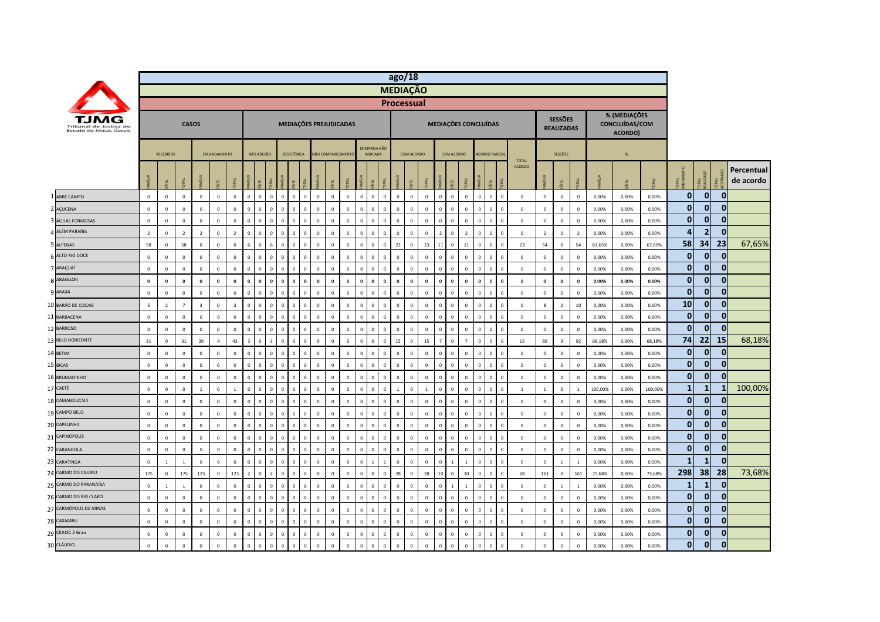|    |                                                  |                          |                         |                |                         |                     |                         |                         |              |                                  |             |              |                        |                   |              |                |                                |                | ago/18                       |                  |                      |                |                |              |                               |                               |                |                                     |                  |         |                                           |         |              |                |                |                         |
|----|--------------------------------------------------|--------------------------|-------------------------|----------------|-------------------------|---------------------|-------------------------|-------------------------|--------------|----------------------------------|-------------|--------------|------------------------|-------------------|--------------|----------------|--------------------------------|----------------|------------------------------|------------------|----------------------|----------------|----------------|--------------|-------------------------------|-------------------------------|----------------|-------------------------------------|------------------|---------|-------------------------------------------|---------|--------------|----------------|----------------|-------------------------|
|    |                                                  |                          |                         |                |                         |                     |                         |                         |              |                                  |             |              |                        |                   |              |                |                                |                | <b>MEDIAÇÃO</b>              |                  |                      |                |                |              |                               |                               |                |                                     |                  |         |                                           |         |              |                |                |                         |
|    |                                                  |                          |                         |                |                         |                     |                         |                         |              |                                  |             |              |                        |                   |              |                |                                |                | <b>Processual</b>            |                  |                      |                |                |              |                               |                               |                |                                     |                  |         |                                           |         |              |                |                |                         |
|    | Tribunal de Justica do<br>Estado de Minas Gerais |                          |                         |                | <b>CASOS</b>            |                     |                         |                         |              |                                  |             |              | MEDIAÇÕES PREJUDICADAS |                   |              |                |                                |                |                              |                  | MEDIAÇÕES CONCLUÍDAS |                |                |              |                               |                               |                | <b>SESSÕES</b><br><b>REALIZADAS</b> |                  |         | % (MEDIAÇÕES<br>CONCLUÍDAS/COM<br>ACORDO) |         |              |                |                |                         |
|    |                                                  |                          | <b>RECEBIDOS</b>        |                |                         | <b>FM ANDAMENTO</b> |                         |                         | NÃO ADESÃO   |                                  | DESISTÊNCIA |              |                        | NÃO COMPARECIMENT |              |                | DEMANDA NÃO<br><b>INDICADA</b> |                | COM ACORDO                   |                  |                      | SEM ACORDO     |                |              | <b>ACORDO PARCIA</b>          |                               |                | SESSÕES                             |                  |         | $\frac{96}{25}$                           |         |              |                |                |                         |
|    |                                                  |                          |                         | <b>JEAL</b>    | MÍLIA                   |                     |                         |                         |              |                                  |             |              | $\overline{5}$         | EL                |              |                | MΕL                            |                | EL                           | <b>JKI</b>       |                      | 린              |                |              | <b>OTAL</b><br>g              | <b>TOTAL</b><br><b>ACORDO</b> |                | ξL                                  |                  | MÍLIA   | E                                         |         | ್ಷ ಕ್ಷ       | ਵ ਤੋਂ          | ₹              | Percentual<br>de acordo |
|    | 1 ABRE CAMPO                                     | $\mathbf{0}$             | $\mathbf{0}$            | $\mathbf{0}$   | $\mathbf{0}$            | $\circ$             | $\circ$                 | $\overline{0}$          | $\mathbf{0}$ | $\mathbf{0}$<br>$\mathbf{0}$     | $\Omega$    | $\mathbf{0}$ | $\mathbf{0}$           | $\mathbf{0}$      | $\mathbf 0$  | $\mathbf{0}$   | $\Omega$                       | $\overline{0}$ | $\mathbf{0}$<br>$\mathbf{0}$ | $\mathbf{0}$     | $\mathbf{0}$         | $\mathbf{0}$   | $\mathbf{0}$   | $\mathbf{0}$ | $\mathbf{0}$<br>$\mathbf{0}$  | $\mathbf{0}$                  | $\overline{0}$ | $\mathbf 0$                         | $\mathbf 0$      | 0,00%   | 0.00%                                     | 0.00%   | $\mathbf{0}$ | $\overline{0}$ | $\mathbf{0}$   |                         |
|    | 2 AÇUCENA                                        | $\mathsf 0$              | $\mathbf 0$             | $\mathsf 0$    | $\mathbf 0$             | $\mathsf 0$         | $\mathbf 0$             | $\overline{0}$          | $\Omega$     | $\mathbf 0$<br>$\,0\,$           |             | $\mathbf 0$  | $\mathbf{0}$           | $\mathbf{0}$      | $\mathbb O$  | $\Omega$       | $\Omega$                       | $\overline{0}$ | $\Omega$<br>$\mathbf 0$      | $\mathbf 0$      | $\Omega$             | $\mathbf 0$    | $\Omega$       | $\mathbf{0}$ | $\mathbf 0$<br>$\mathbf 0$    | $\mathsf 0$                   | $\mathbf 0$    | $\mathbf 0$                         | $\mathbb O$      | 0,00%   | 0,00%                                     | 0,00%   | $\mathbf{0}$ | $\mathbf{0}$   | $\mathbf{0}$   |                         |
|    | ÁGUAS FORMOSAS                                   | $\mathsf 0$              | $\mathbf 0$             | $\mathbf 0$    | $\mathbf 0$             | $\circ$             | $\mathbf 0$             | $\mathbf 0$             |              | $\mathbf 0$<br>$\overline{0}$    |             | $\mathbf 0$  | $\Omega$               | $\mathbf 0$       | $\mathbb O$  | $\Omega$       | $\Omega$                       | $\mathbf 0$    | $\mathbf 0$<br>$\mathbf 0$   | $\mathbf 0$      | $\Omega$             | $\mathbf 0$    | $\Omega$       | $\mathbf 0$  | $\mathbf 0$<br>$\overline{0}$ | $\mathbf{0}$                  | $\mathbf 0$    | $\mathbf 0$                         | $\mathbf 0$      | 0,00%   | 0,00%                                     | 0,00%   | $\bf{0}$     | $\mathbf{0}$   | $\mathbf{0}$   |                         |
|    | ALÉM PARAÍBA                                     | $\overline{2}$           | $\overline{0}$          | $\overline{2}$ | $\overline{2}$          | $\mathbf 0$         | $\overline{2}$          | $\Omega$                |              | $\mathbf 0$<br>$\overline{0}$    |             | $\mathbf 0$  | $\Omega$               | $\Omega$          | $\mathbb O$  | $\Omega$       | $\Omega$                       | $\overline{0}$ | $\mathbf 0$<br>$\mathbf 0$   | $\mathbf 0$      | $\overline{z}$       | $\mathbf 0$    | $\overline{z}$ | $\mathbf 0$  | $\,0\,$<br>$\Omega$           | $\mathbf 0$                   | $\overline{2}$ | $\,0\,$                             | $\overline{2}$   | 0,00%   | 0,00%                                     | 0,00%   | 4            | $\overline{2}$ | $\mathbf{0}$   |                         |
|    | 5 ALFENAS                                        | 58                       | $\mathbf 0$             | 58             | $\mathbf 0$             | $\mathsf 0$         | $\mathbf 0$             | $\,$ 6 $\,$             | $\Omega$     | $6\phantom{a}$<br>$\,$ 0         |             | $\mathbf 0$  | $\mathbf 0$            | $\mathbf 0$       | $\mathbb O$  | $\overline{0}$ | $\mathbf 0$                    | $\mathbf 0$    | 23<br>$\mathbf 0$            | 23               | 11                   | $\mathbf 0$    | $11\,$         | $\mathbf{0}$ | $\mathbf 0$<br>$\mathbf 0$    | 23                            | 54             | $\mathbf 0$                         | 54               | 67,65%  | 0,00%                                     | 67,65%  | 58           | 34             | 23             | 67,65%                  |
|    | 6 ALTO RIO DOCE                                  | $\,0\,$                  | $\mathbf 0$             | $\,0\,$        | $\mathbf 0$             | $\mathbf 0$         | $\mathbf 0$             | $\,$ 0                  | $\Omega$     | $\mathbf 0$<br>$\,$ 0            |             | $\mathbf 0$  | $\mathbf{0}$           | $\Omega$          | $\mathbf 0$  | $\Omega$       | $\Omega$                       | $\mathbf 0$    | $\mathbf 0$<br>$\mathbb O$   | $\overline{0}$   | $\mathbf{0}$         | $\,0\,$        | $\mathbf 0$    | $\mathbf 0$  | $\mathbf 0$<br>$\mathbf 0$    | $\,0\,$                       | $\,0\,$        | $\mathbf 0$                         | $\mathbb O$      | 0,00%   | 0,00%                                     | 0,00%   | $\mathbf{0}$ | $\mathbf{0}$   | $\mathbf{0}$   |                         |
|    | 7 ARAÇUAÍ                                        | $\mathsf 0$              | $\mathbf 0$             | $\mathsf 0$    | $\mathbf 0$             | $\mathsf 0$         | $\mathbf 0$             | $\overline{0}$          | $\Omega$     | $\mathbf 0$<br>$\mathbf{0}$      |             | $\mathbf 0$  | $\mathbf 0$            | $\mathbf 0$       | $\mathbb O$  | $\Omega$       | $\Omega$                       | $\overline{0}$ | $\mathbf 0$<br>$\mathbb O$   | $\overline{0}$   | $\mathbf{0}$         | $\overline{0}$ | $\Omega$       | $\mathbf{0}$ | $\mathbf 0$<br>$\overline{0}$ | $\mathbf 0$                   | $\mathbf 0$    | $\mathbf 0$                         | $\mathbb O$      | 0,00%   | 0,00%                                     | 0,00%   | $\mathbf{0}$ | $\overline{0}$ | $\mathbf{0}$   |                         |
|    | <b>8 ARAGUARI</b>                                | $\mathbf 0$              | $\bf{0}$                | $\bf{0}$       | $\bf{0}$                | $\bf{0}$            | $\bf{0}$                | $\bf{0}$                | $\Omega$     | $\mathbf 0$<br>$\mathbf{0}$      | $\Omega$    | $\bf{0}$     | $\mathbf{0}$           | $\bf{0}$          | $\mathbf 0$  | $\Omega$       | $\Omega$                       | $\bf{0}$       | $\mathbf 0$<br>$\mathbf 0$   | $\boldsymbol{0}$ | $\mathbf{0}$         | $\Omega$       | $\bf{0}$       | $\mathbf 0$  | $\mathbf 0$<br>$\Omega$       | $\mathbf 0$                   | $\mathbf 0$    | $\mathbf 0$                         | $\boldsymbol{0}$ | 0,00%   | 0,00%                                     | 0,00%   | $\mathbf{0}$ | $\mathbf{0}$   | $\mathbf{0}$   |                         |
|    | ARAXÁ                                            | $\mathsf 0$              | $\overline{0}$          | $\mathsf 0$    | $\mathbf 0$             | $\mathsf 0$         | $\mathbf 0$             | $\overline{0}$          | $\Omega$     | $\mathbf 0$<br>$\,0\,$           |             | $\mathbf 0$  | $\mathbf{0}$           | $\Omega$          | $\mathbf{0}$ | $\Omega$       | $\Omega$                       | $\,$ 0         | $\mathbf 0$<br>$\mathbb O$   | $\mathbf 0$      | $\Omega$             | $\mathbf 0$    | $\mathbf 0$    | $\mathbf 0$  | $\mathbf 0$<br>$\mathbf 0$    | $\mathsf 0$                   | $\mathbf 0$    | $\mathbf 0$                         | $\overline{0}$   | 0,00%   | 0,00%                                     | 0,00%   | $\mathbf{0}$ | $\mathbf{0}$   | $\mathbf{0}$   |                         |
|    | 10 BARÃO DE COCAIS                               | $\overline{\phantom{a}}$ | $\overline{2}$          | $\overline{7}$ | $\overline{\mathbf{3}}$ | $\mathbf 0$         | $\overline{\mathbf{3}}$ | $\mathbf 0$             |              | $\mathbf 0$<br>$\,$ 0            | $\Omega$    | $\mathbf 0$  | $\mathbf 0$            | $\Omega$          | $\mathbf 0$  | $\Omega$       | $\mathbf 0$                    | $\mathbf 0$    | $\mathbf 0$<br>$\mathbf 0$   | $\mathbf 0$      | $\mathbf 0$          | $\mathbf 0$    | $\mathbf 0$    | $\mathbf 0$  | $\mathbf 0$<br>$\overline{0}$ | $\,0\,$                       | $\bf{8}$       | $\overline{2}$                      | $10\,$           | 0,00%   | 0,00%                                     | 0,00%   | 10           | $\mathbf{0}$   | $\mathbf{0}$   |                         |
|    | 11 BARBACENA                                     | $\,0\,$                  | $\pmb{0}$               | $\mathsf 0$    | $\mathbf 0$             | $\mathbf 0$         | $\,0\,$                 | $\mathbf 0$             |              | $\mathbf 0$<br>$\,$ 0            |             | $\mathbf 0$  | $\mathbf 0$            | $\mathbf{0}$      | $\mathbf 0$  |                |                                | $\mathbf 0$    | $\mathbf 0$<br>$\mathbf 0$   | $\mathbf 0$      | $\overline{0}$       | $\mathbf 0$    | $\mathbf 0$    | $\pmb{0}$    | $\mathbf 0$<br>$\mathbf 0$    | $\mathbf 0$                   | $\,$ 0         | $\mathbf 0$                         | $\mathbb O$      | 0,00%   | 0,00%                                     | 0,00%   | $\mathbf 0$  | $\overline{0}$ | $\pmb{0}$      |                         |
|    | 12 BARROSO                                       | $\mathsf 0$              | $\mathbf 0$             | $\mathbf 0$    | $\mathbf{0}$            | $\mathbf 0$         | $\mathbf 0$             | $\overline{0}$          | $\Omega$     | $\mathbf{0}$<br>$\mathbf{0}$     | $\Omega$    | $\mathbf{0}$ | $\Omega$               | $\Omega$          | $\mathbb O$  | $\Omega$       | $\Omega$                       | $\overline{0}$ | $\mathbf 0$<br>$\mathbf 0$   | $\overline{0}$   | $\Omega$             | $\mathbf 0$    | $\Omega$       | $\mathbf 0$  | $\mathbf 0$<br>$\Omega$       | $\mathbf{0}$                  | $\mathbf 0$    | $\mathbf 0$                         | $\mathbb O$      | 0,00%   | 0,00%                                     | 0,00%   | $\mathbf{0}$ | $\mathbf{0}$   | $\mathbf{0}$   |                         |
|    | 13 BELO HORIZONTE                                | 31                       | $\mathbf 0$             | 31             | 39                      | $\overline{4}$      | 43                      | $\overline{3}$          |              | $\overline{3}$<br>$\overline{0}$ |             | $\mathbf 0$  | $\Omega$               | $\Omega$          | $\mathbf{0}$ | $\Omega$       | $\Omega$                       | $\overline{0}$ | 15<br>$\Omega$               | 15               | $\overline{7}$       | $\mathbf{0}$   | $\overline{7}$ | $\mathbf 0$  | $\mathbf 0$<br>$\Omega$       | 15                            | 89             | $\overline{\mathbf{3}}$             | 92               | 68,18%  | 0,00%                                     | 68,18%  | 74           | 22             | 15             | 68,18%                  |
|    | 14 BETIM                                         | $\mathbf 0$              | $\Omega$                | $\mathbf{0}$   | $\mathbf{0}$            | $\circ$             | $\mathbf 0$             | $\Omega$                | $\Omega$     | $\mathbf 0$<br>$\overline{0}$    |             | $\mathbf 0$  | $\mathbf{0}$           | $\Omega$          | $\mathbb O$  | $\Omega$       | O                              | $\Omega$       | $\Omega$<br>$\Omega$         | $\Omega$         | $\Omega$             | $\mathbf 0$    | $\Omega$       | $\mathbf 0$  | $\mathbf 0$<br>$\Omega$       | $\mathbf{0}$                  | $\mathbf 0$    | $\mathbf 0$                         | $\mathbf 0$      | 0,00%   | 0,00%                                     | 0,00%   | $\mathbf{0}$ | $\overline{0}$ | $\mathbf{0}$   |                         |
|    | 15 BICAS                                         | $\,0\,$                  | $\mathbf 0$             | $\,0\,$        | $\mathbf 0$             | $\mathbf 0$         | $\mathbf 0$             | $\overline{0}$          |              | $\mathbf 0$<br>$\,0\,$           |             | $\mathbf 0$  | $\mathbf 0$            | $\mathbf 0$       | $\mathbb O$  |                | $\mathbf 0$                    | $\overline{0}$ | $\mathbf 0$<br>$\mathbf 0$   | $\overline{0}$   | $\mathbf 0$          | $\overline{0}$ | $\mathbf 0$    | $\mathbf 0$  | $\mathbf 0$<br>$\overline{0}$ | $\mathbf 0$                   | $\,0\,$        | $\,0\,$                             | $\overline{0}$   | 0,00%   | 0,00%                                     | 0,00%   | $\mathbf 0$  | $\mathbf{0}$   | $\mathbf{0}$   |                         |
|    | 16 BRUMADINHO                                    | $\,0\,$                  | $\overline{\mathbf{0}}$ | $\mathbf 0$    | $\mathbf 0$             | $\mathbf 0$         | $\mathbf 0$             | $\mathbf 0$             | $\Omega$     | $\mathbf 0$<br>$\,$ 0            | $\Omega$    | $\mathbf 0$  | $\mathbf{0}$           | $\Omega$          | $\mathbf 0$  | $\Omega$       | $\Omega$                       | $\mathbf 0$    | $\mathbb O$<br>$\mathbf 0$   | $\mathbf 0$      | $\mathbf{0}$         | $\mathbf 0$    | $\Omega$       | $\mathbf 0$  | $\mathbf 0$<br>$\Omega$       | $\mathsf 0$                   | $\,0\,$        | $\mathbf 0$                         | $\mathbb O$      | 0,00%   | 0,00%                                     | 0,00%   | $\mathbf{0}$ | $\mathbf{0}$   | $\mathbf{0}$   |                         |
|    | 17 CAETÉ                                         | $\mathsf 0$              | $\mathbf 0$             | $\mathsf 0$    | $\mathbf{1}$            | $\mathsf 0$         | $\mathbf{1}$            | $\overline{0}$          |              | $\mathbf 0$<br>$\,$ 0            |             | $\mathbf 0$  | $\mathbf 0$            | $\mathbf 0$       | $\mathbf{0}$ | $\mathbf 0$    | $\mathbf 0$                    | $\overline{0}$ | $\mathbf 0$                  | $\overline{1}$   | $\mathbf 0$          | $\overline{0}$ | $\mathbf 0$    | $\mathbf 0$  | $\mathbf 0$<br>$\overline{0}$ | $\,$ 1 $\,$                   | $\overline{1}$ | $\mathbf 0$                         |                  | 100,00% | 0,00%                                     | 100,00% | $\mathbf{1}$ | $\mathbf{1}$   | 1              | 100,00%                 |
|    | 18 CAMANDUCAIA                                   | $\mathbf{0}$             | $\Omega$                | $\mathbf{0}$   | $\mathbf{0}$            | $\circ$             | $\mathbf{0}$            | $\Omega$                |              | $\mathbf{0}$<br>$\mathbf{0}$     |             | $\Omega$     | $\mathbf{0}$           | $\Omega$          | $\mathbf 0$  | $\Omega$       | n                              | $\Omega$       | $\Omega$<br>$\Omega$         | $\Omega$         | $\Omega$             | $\mathbf 0$    | $\Omega$       | $\Omega$     | $\mathbf{0}$<br>$\Omega$      | $\mathbf{0}$                  | $\overline{0}$ | $\mathbf 0$                         | $\mathbf 0$      | 0.00%   | 0.00%                                     | 0.00%   | $\mathbf{0}$ | $\mathbf{0}$   | $\mathbf{0}$   |                         |
|    | 19 CAMPO BELO                                    | $\mathbf 0$              | $\mathbf 0$             | $\mathbf 0$    | $\mathbf 0$             | $\mathbf 0$         | $\mathbf 0$             | $\Omega$                |              | $\mathbf 0$<br>$\mathbf{0}$      |             | $\mathbf 0$  | $\Omega$               | $\Omega$          | $\mathbb O$  | $\Omega$       | $\Omega$                       | $\overline{0}$ | $\mathbb O$<br>$\mathbf 0$   | $\overline{0}$   | $\Omega$             | $\mathbf 0$    | $\mathbf 0$    | $\mathbf 0$  | $\mathbf 0$<br>$\overline{0}$ | $\mathbf 0$                   | $\mathbf 0$    | $\mathbf 0$                         | $\mathbb O$      | 0,00%   | 0,00%                                     | 0,00%   | $\bf{0}$     | $\mathbf{0}$   | $\overline{0}$ |                         |
|    | 20 CAPELINHA                                     | $\mathsf 0$              | $\Omega$                | $\mathbf 0$    | $\overline{0}$          | $\circ$             | $\mathbf 0$             | $\overline{0}$          | $\Omega$     | $\mathbf{0}$<br>$\overline{0}$   |             | $\mathbf{0}$ | $\Omega$               | $\Omega$          | $\mathbb O$  | $\Omega$       | $\Omega$                       | $\overline{0}$ | $\mathbf 0$<br>$\Omega$      | $\mathbf 0$      | $\Omega$             | $\mathbf 0$    | $\Omega$       | $\Omega$     | $\mathbf 0$<br>$\Omega$       | $\Omega$                      | $\mathbf 0$    | $\mathbf 0$                         | $\Omega$         | 0,00%   | 0,00%                                     | 0,00%   | $\mathbf{0}$ | $\mathbf{0}$   | $\mathbf{0}$   |                         |
|    | 21 CAPINÓPOLIS                                   | $\mathbf 0$              | $\mathbf 0$             | $\mathsf 0$    | $\mathbf 0$             | $\circ$             | $\mathbf{0}$            | $\overline{\mathbf{0}}$ | $\mathbf 0$  | $\mathbf 0$<br>$\,$ 0            |             | $\mathbf 0$  | $\mathbf 0$            | $\mathbf 0$       | $\mathbb O$  | $\mathbf 0$    | $\Omega$                       | $\mathbf 0$    | $\mathbf 0$<br>$\mathbf 0$   | $\mathbf 0$      | $\mathbf{0}$         | $\mathbf 0$    | $\mathbf 0$    | $\mathbf 0$  | $\mathbf 0$<br>$\mathbf 0$    | $\mathbf 0$                   | $\,0\,$        | $\mathbf 0$                         | $\mathbf 0$      | 0,00%   | 0,00%                                     | 0,00%   | $\bf{0}$     | $\mathbf{0}$   | $\mathbf 0$    |                         |
|    | 22 CARANGOLA                                     | $\mathsf 0$              | $\mathbf 0$             | $\mathbf 0$    | $\mathbf 0$             | $\mathsf 0$         | $\mathbf 0$             | $\overline{0}$          |              | $\mathbf 0$<br>$\,$ 0            |             | $\mathbf 0$  | $\mathbf 0$            | $\mathbf 0$       | $\mathbb O$  | $\Omega$       | $\Omega$                       | $\overline{0}$ | $\mathbf 0$<br>$\mathbb O$   | $\mathbf 0$      | $\mathbf 0$          | $\overline{0}$ | $\mathbf 0$    | $\mathbf 0$  | $\mathbf 0$<br>$\mathbf 0$    | $\mathsf 0$                   | $\mathsf 0$    | $\mathbf 0$                         | $\mathbb O$      | 0,00%   | 0,00%                                     | 0,00%   | $\bf{0}$     | $\overline{0}$ | $\mathbf{0}$   |                         |
|    | 23 CARATINGA                                     | $\mathsf 0$              | $\mathbf{1}$            | $\mathbf{1}$   | $\mathbf 0$             | $\mathsf 0$         | $\mathbf 0$             | $\Omega$                | $\Omega$     | $\mathbf 0$<br>$\mathbf{0}$      |             | $\mathbf 0$  | $\mathbf{0}$           | $\Omega$          | $\mathbb O$  | $\Omega$       |                                |                | $\Omega$<br>$\mathbb O$      | $\mathbb O$      | $\mathbf{0}$         |                | $\overline{1}$ | $\mathbf{0}$ | $\mathbf 0$<br>$\mathbf 0$    | $\mathsf 0$                   | $\,0\,$        | $\mathbf{1}$                        | $\overline{1}$   | 0,00%   | 0,00%                                     | 0,00%   | $\mathbf{1}$ | $\mathbf{1}$   | $\mathbf{0}$   |                         |
| 24 | CARMO DO CAJURU                                  | 175                      | $\Omega$                | 175            | 123                     | $\circ$             | 123                     | $\overline{2}$          | $\Omega$     | $\overline{2}$<br>$\mathbf{0}$   |             | $\mathbf{0}$ | $\mathbf{0}$           | $\Omega$          | $\mathbb O$  | $\Omega$       | $\Omega$                       | $\overline{0}$ | 28<br>$\Omega$               | 28               | 10 <sup>10</sup>     | $\mathbf 0$    | 10             | $\mathbf{0}$ | $\mathbf{0}$<br>$\Omega$      | 28                            | 161            | $\mathbf 0$                         | 161              | 73,68%  | 0,00%                                     | 73,68%  | 298          | 38             | 28             | 73,68%                  |
| 25 | CARMO DO PARANAÍBA                               | $\mathbf 0$              | $\mathbf{1}$            | $\mathbf{1}$   | $\mathbf 0$             | $\mathsf 0$         | $\mathbf 0$             | $\,$ 0                  | $\Omega$     | $\mathbf 0$<br>$\,$ 0            | $\Omega$    | $\mathbf 0$  | $\mathbf 0$            | $\Omega$          | $\mathbb O$  | $\Omega$       | $\mathbf 0$                    | $\mathbf 0$    | $\mathbf 0$<br>$\mathbf 0$   | $\overline{0}$   | $\mathbf{0}$         | $\overline{1}$ | $\overline{1}$ | $\mathbf 0$  | $\mathbf 0$<br>$\overline{0}$ | $\mathbf 0$                   | $\,0\,$        | $\mathbf{1}$                        | $\overline{1}$   | 0,00%   | 0,00%                                     | 0,00%   | $\mathbf{1}$ | 1              | $\mathbf{0}$   |                         |
| 26 | CARMO DO RIO CLARO                               | $\mathbf 0$              | $\mathbf 0$             | $\mathbf 0$    | $\mathbf 0$             | $\circ$             | $\mathbf 0$             | $\overline{0}$          |              | $\mathbf 0$<br>$\Omega$          |             | $\mathbf 0$  | $\mathbf 0$            | $\mathbf 0$       | $\mathbb O$  | $\Omega$       | $\Omega$                       | $\mathbf 0$    | $\mathbf 0$<br>$\mathbf 0$   | $\mathbf 0$      | $\mathbf 0$          | $\overline{0}$ | $\mathbf 0$    | $\mathbf 0$  | $\mathbf 0$<br>$\mathbf 0$    | $\mathbf{0}$                  | $\mathbf 0$    | $\mathbf 0$                         | $\mathbf 0$      | 0,00%   | 0,00%                                     | 0,00%   | $\mathbf{0}$ | $\overline{0}$ | $\mathbf{0}$   |                         |
|    | 27 CARMÓPOLIS DE MINAS                           | $\mathbf 0$              | $\mathbf 0$             | $\mathbf 0$    | $\mathbf 0$             | $\mathbf 0$         | $\,0\,$                 | $\overline{0}$          |              | $\mathbf 0$<br>$\,$ 0            | $\Omega$    | $\mathbf 0$  | $\mathbf{0}$           | $\mathbb O$       | $\mathbb O$  | $\Omega$       | $\mathbf 0$                    | $\overline{0}$ | $\mathbf 0$<br>$\mathbb O$   | $\mathbf 0$      | $\Omega$             | $\mathbf 0$    | $\mathbb O$    | $\mathbf 0$  | $\mathbf 0$<br>$\overline{0}$ | $\,0\,$                       | $\,0\,$        | $\mathbf 0$                         | $\mathbf 0$      | 0,00%   | 0,00%                                     | 0,00%   | $\bf{0}$     | $\overline{0}$ | $\mathbf{0}$   |                         |
|    | 28 CAXAMBU                                       | $\mathsf 0$              | $\overline{0}$          | $\mathbf 0$    | $\mathbf 0$             | $\mathsf 0$         | $\mathbf 0$             | $\mathbf 0$             | $\Omega$     | $\mathbf 0$<br>$\,$ 0            | $\Omega$    | $\mathbf 0$  | $\mathbf 0$            | $\mathbf 0$       | $\mathbb O$  | $\mathbf 0$    | $\Omega$                       | $\mathbf 0$    | $\mathbb O$<br>$\mathbf 0$   | $\mathbb O$      | $\mathbf 0$          | $\mathbf 0$    | $\mathbb O$    | $\mathbf{0}$ | $\mathbf 0$<br>$\mathbf 0$    | $\mathsf 0$                   | $\,0\,$        | $\mathbf 0$                         | $\mathbb O$      | 0,00%   | 0,00%                                     | 0,00%   | $\bf{0}$     | $\overline{0}$ | $\mathbf 0$    |                         |
|    | 29 CEJUSC 2 Grau                                 | $\mathbf 0$              | $\mathbf 0$             | $\mathbf 0$    | $\Omega$                | $^{\circ}$          | $\mathbf{0}$            | $\mathbf 0$             | $\Omega$     | $\mathbf 0$<br>$\,$ 0            | $\Omega$    | $\mathbf 0$  | $\circ$                | $\circ$           | $\mathbb O$  | $\Omega$       | $\Omega$                       | $\,$ 0         | $\mathbf 0$<br>$\mathbf 0$   | $\overline{0}$   | $\Omega$             | $\mathbf 0$    | $\mathbf 0$    | 0            | $\,0\,$<br>$\mathbf 0$        | $\mathbf 0$                   | $\,0\,$        | $\,0\,$                             | $\mathbf 0$      | 0,00%   | 0,00%                                     | 0,00%   | $\mathbf{0}$ | $\mathbf{0}$   | $\mathbf{0}$   |                         |
|    | 30 CLÁUDIO                                       | $\mathsf 0$              | $\mathbf 0$             | $\mathbf 0$    | $\mathbf 0$             | $\mathbf 0$         | $\mathsf 0$             | $\mathbf 0$             | $\Omega$     | $\mathbf{0}$<br>$\mathbf 0$      |             | $\mathbf 0$  | $\mathbf 0$            | $\mathbf 0$       | $\mathbf{0}$ | $\Omega$       | $\Omega$                       | $\overline{0}$ | $\mathbf{0}$<br>$\mathbf 0$  | $\mathbf 0$      | $\mathbf 0$          | $\overline{0}$ | $\Omega$       | $\mathbf 0$  | $\mathbf 0$<br>$\mathbf 0$    | $\Omega$                      | $\mathbf{0}$   | $\mathbf 0$                         | $\Omega$         | 0,00%   | 0,00%                                     | 0,00%   | $\mathbf{0}$ | $\Omega$       | $\mathbf{0}$   |                         |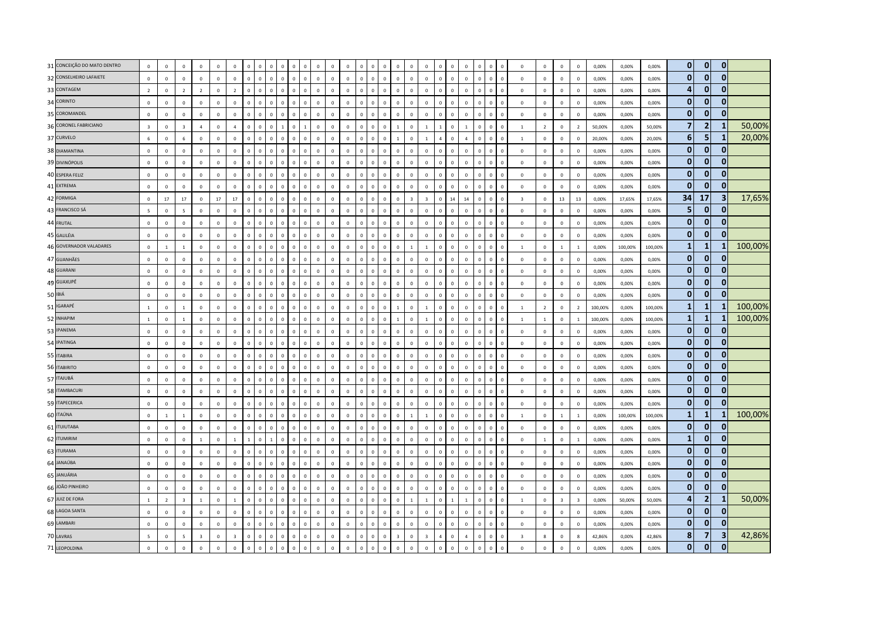| 31 CONCEIÇÃO DO MATO DENTRO | $\mathbf 0$             | $\overline{0}$ | $\mathbf{0}$             | $\mathbf 0$             | $\mathbf 0$    | $\mathbf 0$             |                      | $\Omega$                      | $\Omega$                    |                | $\overline{0}$ |              | $\mathbf 0$  | $\overline{0}$ | $\Omega$    | $\Omega$       | $\mathbf 0$  | $\mathbf 0$    | $^{\circ}$              | $\mathbf 0$             |                | $\mathbf 0$  | $\mathbb O$    | $\Omega$     | $\mathbf 0$                    | $\mathsf 0$             | $\mathbf 0$    | $\mathbf 0$             | $\mathbf 0$             | 0,00%   | 0,00%   | 0,00%   | $\mathbf{0}$   | $\mathbf{0}$   | $\mathbf{0}$ |         |
|-----------------------------|-------------------------|----------------|--------------------------|-------------------------|----------------|-------------------------|----------------------|-------------------------------|-----------------------------|----------------|----------------|--------------|--------------|----------------|-------------|----------------|--------------|----------------|-------------------------|-------------------------|----------------|--------------|----------------|--------------|--------------------------------|-------------------------|----------------|-------------------------|-------------------------|---------|---------|---------|----------------|----------------|--------------|---------|
| 32 CONSELHEIRO LAFAIETE     | $\mathbf 0$             | $\overline{0}$ | $\mathbf 0$              | $\mathbf 0$             | $\mathbf 0$    | $\mathbf 0$             | $\mathbf{0}$         | $\mathbf 0$<br>$\mathbb O$    | $\mathbf 0$                 | $\mathbf{0}$   | $\mathbb O$    | $\mathbf 0$  | $\mathbf 0$  | $\mathbf 0$    | $\mathbf 0$ | $\mathbf 0$    | $\mathbf 0$  | $\mathbb O$    | $\mathbf 0$             | $\mathbf 0$             | $\mathbf 0$    | $\mathbf 0$  | $\mathbb O$    | $\mathbf{0}$ | $\mathbf 0$<br>$\overline{0}$  | $\mathsf 0$             | $\mathbf 0$    | $\mathbb O$             | $\mathbf 0$             | 0,00%   | 0,00%   | 0,00%   | $\mathbf{0}$   | $\mathbf{0}$   | $\mathbf{0}$ |         |
| 33 CONTAGEM                 | $\overline{2}$          | $\overline{0}$ | $\overline{2}$           | $\overline{2}$          | $\mathsf 0$    | $\overline{2}$          | $\mathbf 0$          | $\mathbf 0$<br>$^{\circ}$     | $\mathbf 0$                 | $\Omega$       | $\mathbf 0$    | $\Omega$     | $\Omega$     | $\mathbb O$    | $\mathbf 0$ | $^{\circ}$     | $\mathbf 0$  | $\mathbf 0$    | $\overline{0}$          | $\mathbf{0}$            | O              | $\mathbf 0$  | $\mathbf 0$    | $\mathbf 0$  | $\mathbf 0$<br>$\Omega$        | $\mathbf 0$             | $\mathbf 0$    | $\overline{0}$          | $\mathbf 0$             | 0,00%   | 0.00%   | 0.00%   | $\overline{a}$ | $\overline{0}$ | ŋ            |         |
| 34 CORINTO                  | $\Omega$                | $\,$ 0         | $\Omega$                 | $\mathbf 0$             | $\overline{0}$ | $\mathbf 0$             | $\mathbf{0}$         | $\mathbf 0$<br>$\Omega$       | $\circ$                     | $\,0\,$        | $\circ$        | $\Omega$     | $\Omega$     | $\mathbf{0}$   | $\mathbf 0$ | $\Omega$       | $\mathbf{0}$ | $\mathbf 0$    | $\Omega$                | $\Omega$                | $\Omega$       | $\mathbf{0}$ | $\mathbf 0$    | $\Omega$     | $\mathbf 0$<br>$\Omega$        | $\mathsf 0$             | $\mathbf 0$    | $\mathbf 0$             | $\,0\,$                 | 0,00%   | 0,00%   | 0,00%   | $\mathbf{0}$   | $\mathbf{0}$   | $\mathbf{0}$ |         |
| 35 COROMANDEL               | $\mathbf 0$             | $\overline{0}$ | $\mathbf 0$              | $\mathbf 0$             | $\mathbf 0$    | $\mathbf{0}$            | $\mathbf 0$          | $\mathbf 0$<br>$\mathbf 0$    | $\mathbf 0$                 | $\mathbf{0}$   | $\mathbf 0$    | $\mathbf 0$  | $\mathbf 0$  | $\overline{0}$ | $\mathbf 0$ | $\mathbf 0$    | $\mathbf 0$  | $\mathbf 0$    | $\mathbb O$             | $\mathbf 0$             | $\mathbf 0$    | $\mathbf 0$  | $\mathbb O$    | $\mathbf{0}$ | $\mathbf 0$<br>$\overline{0}$  | $\mathsf 0$             | $\mathbf 0$    | $\mathbf 0$             | $\mathbf 0$             | 0,00%   | 0,00%   | 0,00%   | $\mathbf{0}$   | $\mathbf 0$    | $\bf{0}$     |         |
| 36 CORONEL FABRICIANO       | $\overline{\mathbf{3}}$ | $\pmb{0}$      | $\overline{\mathbf{3}}$  | $\overline{4}$          | $\mathbf 0$    | $\overline{4}$          | 0                    | $\mathbf 0$<br>$\overline{0}$ |                             | $\mathbf{0}$   |                | $\mathbf 0$  | $\mathbf 0$  | $\mathbf 0$    | $\mathbf 0$ | $\overline{0}$ | $\mathbf 0$  |                | $\overline{0}$          | $\overline{1}$          |                | $\mathbf 0$  | $\mathbf{1}$   | $\mathbf 0$  | $\mathbf 0$<br>$\overline{0}$  | $\mathbf{1}$            | $\overline{2}$ | $\mathbf 0$             | $\overline{2}$          | 50,00%  | 0,00%   | 50,00%  | $\overline{7}$ | $\overline{2}$ |              | 50,00%  |
| 37 CURVELO                  | 6                       | $\Omega$       | 6                        | $\mathbf{0}$            | $\mathbf{0}$   | $\mathbf{0}$            | $\mathbf{0}$         | $\mathbf 0$<br>$\Omega$       | $\Omega$                    | $\Omega$       | $\mathbf{0}$   | $\mathbf{0}$ | $\Omega$     | $\mathbf{0}$   | $\Omega$    | $\Omega$       | $\mathbf{0}$ | $\overline{1}$ | $\mathbf 0$             | $\mathbf{1}$            | $\overline{A}$ | $\mathbf{0}$ | $\overline{a}$ | $\mathbf{0}$ | $\mathbf{0}$<br>$\Omega$       | $\blacksquare$          | $\mathbf{0}$   | $\overline{0}$          | $\Omega$                | 20.00%  | 0.00%   | 20.00%  | 6              | 5              | -1           | 20,00%  |
| 38 DIAMANTINA               | $\mathbf 0$             | $\circ$        | $\mathbf{0}$             | $\mathbf 0$             | $\mathbf 0$    | $\mathbf 0$             | $\mathbf 0$          | $\mathbf 0$<br>$\Omega$       | $\Omega$                    | $\Omega$       | $\circ$        | $\Omega$     | $\Omega$     | $\Omega$       | $\Omega$    | $\overline{0}$ | $\mathbf 0$  | $\Omega$       | $\Omega$                | $\circ$                 | $\Omega$       | $\Omega$     | $\mathbf 0$    | $\Omega$     | $\mathbf 0$<br>$\mathbf 0$     | $\mathbf 0$             | $\mathbf 0$    | $\mathbf 0$             | $\mathbf 0$             | 0,00%   | 0,00%   | 0,00%   | $\mathbf{0}$   | $\mathbf{0}$   | $\bf{0}$     |         |
| 39 DIVINÓPOLIS              | $\mathbf{0}$            | $\mathbf 0$    | $\mathbf 0$              | $\mathbf 0$             | $\mathbf 0$    | $\mathbf 0$             | $\mathbf 0$          | $\mathbf 0$<br>$\overline{0}$ | $\mathbf 0$                 | $\mathbf{0}$   | $\mathbf 0$    | $\mathbf 0$  | $\mathbf 0$  | $\overline{0}$ | $\mathbf 0$ | $\overline{0}$ | $\mathbf 0$  | $\mathbf 0$    | $\overline{0}$          | $\mathbb O$             | $\mathbf 0$    | $\mathbf 0$  | $\mathbb O$    | $\mathbf 0$  | $\mathbf 0$<br>$\overline{0}$  | $\mathsf 0$             | $\mathbf 0$    | $\mathbf 0$             | $\mathbf 0$             | 0,00%   | 0,00%   | 0,00%   | $\mathbf{0}$   | $\mathbf 0$    | $\bf{0}$     |         |
| 40 ESPERA FELIZ             | $\mathbf 0$             | $\mathbf 0$    | $\mathbf 0$              | $\mathbf 0$             | $\mathbf 0$    | $\mathbf 0$             | $\mathbf 0$          | $\mathbf 0$<br>$\mathbf 0$    | $\mathbf 0$                 | $\mathbf{0}$   | $\mathbf 0$    | $\mathbf 0$  | $\mathbf 0$  | $\overline{0}$ | $\mathbf 0$ | $\,0\,$        | $\mathbf 0$  | $\mathbf 0$    | $\overline{0}$          | $\mathbf{0}$            | $\mathbf 0$    | $\mathbf 0$  | $\mathbb O$    | $\mathbf 0$  | $\mathbf 0$<br>$\overline{0}$  | $\mathsf 0$             | $\mathbf 0$    | $\,0\,$                 | $\mathbf 0$             | 0,00%   | 0,00%   | 0,00%   | $\mathbf{0}$   | $\mathbf 0$    | 0            |         |
| 41 EXTREMA                  | $\Omega$                | $\Omega$       | $\Omega$                 | $\Omega$                | $\circ$        | $\Omega$                | $\Omega$             | $\Omega$<br>$\Omega$          | $\Omega$                    | $\overline{0}$ | $\Omega$       | $\Omega$     | $\Omega$     | $\Omega$       | $\Omega$    | $\Omega$       | $\Omega$     | $\Omega$       | $\Omega$                | $\mathbf 0$             | O              | $\Omega$     | $\mathbf 0$    | $\Omega$     | $\Omega$<br>$\Omega$           | $\mathbf{0}$            | $\Omega$       | $\Omega$                | $\Omega$                | 0.00%   | 0.00%   | 0.00%   | $\mathbf{0}$   | $\bullet$      | 0            |         |
| 42 FORMIGA                  | $\mathsf 0$             | 17             | 17                       | $\mathbf 0$             | 17             | 17                      | $\Omega$             | $\Omega$<br>$\Omega$          | $\Omega$                    | $\Omega$       | $\Omega$       | $\Omega$     | $\Omega$     | $\overline{0}$ | $\Omega$    | $\Omega$       | $\Omega$     | $\mathbf{0}$   | $\overline{\mathbf{z}}$ | $\overline{3}$          | $\Omega$       | 14           | 14             | $\Omega$     | $\mathbf 0$<br>$\Omega$        | $\overline{\mathbf{3}}$ | $\mathsf 0$    | 13                      | 13                      | 0,00%   | 17,65%  | 17,65%  | 34             | 17             | 3            | 17,65%  |
| 43 FRANCISCO SÁ             | 5                       | $\,0\,$        | $\overline{\phantom{a}}$ | $\mathbf 0$             | $\mathbf 0$    | $\mathbf 0$             | $\mathbf 0$          | $\mathbf 0$<br>$\overline{0}$ | $\mathbf 0$                 | $\mathbf{0}$   | $\mathbf 0$    | $\mathbf 0$  | $\mathbf 0$  | $\overline{0}$ | $\mathbf 0$ | $\,$ 0         | $\mathbf 0$  | $\mathbf 0$    | $\Omega$                | $\mathbb O$             | $\mathbf 0$    | $\mathbf 0$  | $\mathbf 0$    | $\Omega$     | $\mathbf{0}$<br>$\overline{0}$ | $\mathbf 0$             | $\mathbf 0$    | $\mathbf 0$             | $\mathbf 0$             | 0,00%   | 0,00%   | 0,00%   | 5              | $\mathbf{0}$   | $\mathbf{0}$ |         |
| 44 FRUTAL                   | $\mathbf{0}$            | $\mathbb O$    | $\mathbf 0$              | $\mathbf 0$             | $\mathbf 0$    | $\mathbf 0$             | $\Omega$             | $\Omega$<br>$\Omega$          | $\Omega$                    | $\Omega$       | $\mathbf 0$    | $\Omega$     | $\Omega$     | $\Omega$       | $\Omega$    | $\Omega$       | $\mathbf 0$  | $\mathbf{0}$   | $\Omega$                | $\mathbf 0$             | $\Omega$       | $\Omega$     | $\mathbf 0$    | $\Omega$     | $\mathbf 0$<br>$\Omega$        | $\mathbf{0}$            | $\mathbf 0$    | $\mathbf 0$             | $\mathbf 0$             | 0,00%   | 0,00%   | 0,00%   | $\mathbf{0}$   | $\mathbf{0}$   |              |         |
| 45 GALILÉIA                 | $\Omega$                | $\mathbf 0$    | $\Omega$                 | $\mathbf{0}$            | $\overline{0}$ | $\mathbf{0}$            | $\mathbf{0}$         | $\mathbf 0$<br>$\Omega$       | $\circ$                     | $\Omega$       | $\overline{0}$ | $\Omega$     | $\Omega$     | $\Omega$       | $\mathbf 0$ | $\overline{0}$ | $\mathbf{0}$ | $\mathbf{0}$   | $\Omega$                | $\circ$                 | $\Omega$       | $\Omega$     | $\mathbf 0$    | $\Omega$     | $\mathbf{0}$<br>$\Omega$       | $\mathsf 0$             | $\Omega$       | $\mathbf 0$             | $\mathbf 0$             | 0,00%   | 0,00%   | 0,00%   | $\mathbf{0}$   | $\mathbf{0}$   | $\Omega$     |         |
| 46 GOVERNADOR VALADARES     | $\mathbf 0$             | $\overline{1}$ | $\overline{1}$           | $\mathbf 0$             | $\mathbf 0$    | $\mathbf 0$             | $\Omega$             | $\Omega$<br>$\Omega$          | $\Omega$                    | $\Omega$       | $\mathbf 0$    | $\Omega$     | $\Omega$     | $\overline{0}$ | $\mathbf 0$ | $\mathbf 0$    | $\mathbf 0$  | $\Omega$       | $\overline{1}$          | $\overline{1}$          | $\Omega$       | $\Omega$     | $\mathbf 0$    | $\Omega$     | $\mathbf 0$<br>$\overline{0}$  | $\mathbf{1}$            | $\mathbf 0$    | $\mathbf{1}$            | $\mathbf{1}$            | 0,00%   | 100,00% | 100,00% | $\mathbf{1}$   | 1              |              | 100,00% |
| 47 GUANHÃES                 | $\,0\,$                 | $\mathbf 0$    | $\mathbf 0$              | $\mathbf 0$             | $\,0\,$        | $\mathbf 0$             | $\mathbf 0$          | $\mathbf 0$<br>$\overline{0}$ | $\Omega$                    | $\mathbf{0}$   | $\mathbf 0$    | $\mathbf 0$  | $\mathbf{0}$ | $\overline{0}$ | $\mathbf 0$ | $\overline{0}$ | $\mathbf 0$  | $\mathbf 0$    | $\overline{0}$          | $\mathbb O$             | $\Omega$       | $\mathbf 0$  | $\mathbb O$    | $\mathbf 0$  | $\mathsf 0$<br>$\overline{0}$  | $\,0\,$                 | $\mathbf{0}$   | $\mathbf 0$             | $\mathbf 0$             | 0,00%   | 0,00%   | 0,00%   | $\mathbf{0}$   | $\mathbf 0$    | $\mathbf{0}$ |         |
| 48 GUARANI                  | $\mathbf 0$             | $\overline{0}$ | $\mathbf 0$              | $\mathbf 0$             | $\mathbf 0$    | $\mathsf 0$             | $\mathbf{0}$         | $\mathbf 0$                   | $\mathbf{0}$<br>$\Omega$    | $\Omega$       | $\mathbf 0$    | $\mathbf{0}$ | $\mathbf{0}$ | $\overline{0}$ | $\Omega$    | $\overline{0}$ | $\mathbf 0$  | $\mathbf{0}$   | $\mathbb O$             | $\mathbb O$             | $\mathbf{0}$   | $\mathbf{0}$ | $\mathbb O$    | $\mathbf{0}$ | $\mathbf 0$<br>$\Omega$        | $\mathsf 0$             | $\mathbf 0$    | $\mathbf 0$             | $\mathbf 0$             | 0,00%   | 0,00%   | 0,00%   | $\mathbf{0}$   | $\overline{0}$ | $\bf{0}$     |         |
| 49 GUAXUPÉ                  | $\Omega$                | $\Omega$       | $\Omega$                 | $\Omega$                | $\Omega$       | $\Omega$                | $\Omega$             | $\Omega$<br>$\Omega$          | $\Omega$                    | $\Omega$       | $\Omega$       | $\Omega$     | $\Omega$     | $\Omega$       | $\Omega$    | $\Omega$       | $\Omega$     | $\Omega$       | $\Omega$                | $\mathbf{0}$            | $\Omega$       | $\Omega$     | $\Omega$       | $\Omega$     | $\Omega$<br>$\Omega$           | $\mathbf{0}$            | $\Omega$       | $\circ$                 | $\Omega$                | 0.00%   | 0,00%   | 0,00%   | $\mathbf{0}$   | $\mathbf{0}$   | 0            |         |
| 50 IBIÁ                     | $\,0\,$                 | $\,0\,$        | $\mathbf 0$              | $\mathbf 0$             | $\mathbf 0$    | $\mathbf 0$             | $\mathbf 0$          | $\mathbf{0}$<br>$\Omega$      | $\mathbf 0$                 | $\mathbf{0}$   | $\mathbb O$    | $\mathbf 0$  | $\mathbf 0$  | $\overline{0}$ | $\mathbf 0$ | $\overline{0}$ | $\mathbf 0$  | $\mathbf 0$    | $\overline{0}$          | $\mathbb O$             | $\overline{0}$ | $\mathbf 0$  | $\mathbf 0$    | $\Omega$     | $\mathbf 0$<br>$\overline{0}$  | $\mathbf 0$             | $\mathbf 0$    | $\mathbb O$             | $\,0\,$                 | 0,00%   | 0,00%   | 0,00%   | $\mathbf{0}$   | $\mathbf 0$    | $\mathbf{0}$ |         |
| 51 IGARAPÉ                  | $\,$ 1 $\,$             | $\overline{0}$ | $\overline{1}$           | $\mathbf 0$             | $\mathbf 0$    | $\mathbf 0$             | $\Omega$             | $\mathbf{0}$<br>$\Omega$      | $\circ$                     | $\mathbf{0}$   | $\mathbf 0$    | $\mathbf{0}$ | $\Omega$     | $\mathbf{0}$   | $\,0\,$     | $\,$ 0         | $\mathbf 0$  | $\overline{1}$ | $\mathbf 0$             | $\mathbf{1}$            | $\mathbf{0}$   | $\Omega$     | $\mathbb O$    | $\Omega$     | $\mathbf 0$<br>$\overline{0}$  | $\mathbf{1}$            | $\overline{2}$ | $\mathbf 0$             | $\overline{2}$          | 100,00% | 0,00%   | 100,00% | $\mathbf{1}$   | 1              |              | 100,00% |
| 52 INHAPIM                  | $\mathbf{1}$            | $\mathbf 0$    | $\mathbf{1}$             | $\mathbf 0$             | $\circ$        | $\mathbf 0$             | $\Omega$             | $\Omega$<br>$\Omega$          | $\Omega$                    |                | $\mathbf 0$    | $\Omega$     | $\Omega$     | $\overline{0}$ | $\Omega$    | $\overline{0}$ | $\mathbf 0$  |                | $\overline{0}$          | $\overline{1}$          | $\Omega$       | $\Omega$     | $\mathbf 0$    | $\Omega$     | $\mathbf 0$<br>$\Omega$        | $\mathbf{1}$            | $\mathbf{1}$   | $\mathbf 0$             | $\mathbf{1}$            | 100,00% | 0,00%   | 100,00% | $\mathbf{1}$   | $\mathbf{1}$   |              | 100,00% |
| 53 IPANEMA                  | $\Omega$                | $\overline{0}$ | $\Omega$                 | $\Omega$                | $\Omega$       | $\Omega$                | $\Omega$<br>$\Omega$ | $\Omega$                      | $\Omega$                    | $\Omega$       | $\Omega$       | $\Omega$     | $\Omega$     | $\mathbf{0}$   | $\Omega$    | $\Omega$       | $\Omega$     | $\Omega$       | $\Omega$                | $\mathbf{0}$            | $\Omega$       | $\Omega$     | $\mathbb O$    | $\Omega$     | $\Omega$<br>$\Omega$           | $\mathsf 0$             | $\Omega$       | $\mathbf 0$             | $\overline{0}$          | 0,00%   | 0.00%   | 0,00%   | $\mathbf{0}$   | $\mathbf{0}$   | 0            |         |
| 54 IPATINGA                 | $\mathbf 0$             | $\mathbf 0$    | $\mathbf 0$              | $\mathbf 0$             | $\mathbf 0$    | $\mathbf 0$             | $\mathbf{0}$         | $\mathbf 0$<br>$\Omega$       | $\mathbf{0}$                | $\mathbf{0}$   | $\mathbf 0$    | $\Omega$     | $\Omega$     | $\mathbb O$    | $\mathbf 0$ | $\,$ 0         | $\mathbf 0$  | $\mathbf 0$    | $\Omega$                | $\mathbf{0}$            | $\Omega$       | $\mathbf 0$  | $\mathbf 0$    | $\Omega$     | $\mathbf{0}$<br>$\overline{0}$ | $\mathbf 0$             | $\mathbf 0$    | $\mathbf 0$             | $\mathbf 0$             | 0,00%   | 0,00%   | 0,00%   | $\mathbf{0}$   | $\mathbf 0$    |              |         |
| 55 ITABIRA                  | $\mathbf{0}$            | $\mathbf 0$    | $\mathbf 0$              | $\mathbf 0$             | $\mathbf 0$    | $\mathbf 0$             | $\mathbf 0$          | $\mathbf{0}$<br>$\mathbf 0$   | $\mathbf{0}$                | $\Omega$       | $\mathbf 0$    | $\Omega$     | $\mathbf{0}$ | $\overline{0}$ | $\mathbf 0$ | $\overline{0}$ | $\mathbf 0$  | $\mathbb O$    | $\overline{0}$          | $\mathbb O$             | $\Omega$       | $\mathbf 0$  | $\mathbb O$    | $\Omega$     | $\mathbf 0$<br>$\Omega$        | $\mathsf 0$             | $\mathbf 0$    | $\mathbf 0$             | $\mathbf 0$             | 0,00%   | 0,00%   | 0,00%   | $\mathbf{0}$   | $\mathbf{0}$   | $\mathbf{0}$ |         |
| 56 ITABIRITO                | $\mathsf 0$             | $\mathbf 0$    | $\mathbf 0$              | $\mathbf 0$             | $\mathsf 0$    | $\mathbf 0$             | $\mathbf{0}$         | $\mathbf 0$                   | $\mathbf 0$<br>$\mathbf{0}$ | $\mathbf{0}$   | $\circ$        | $\mathbf 0$  | $\Omega$     | $\overline{0}$ | $\mathbb O$ | $\mathbf 0$    | $\mathbf 0$  | $\mathbb O$    | $\mathbb O$             | $\mathbf 0$             | $\mathbf 0$    | $\mathbf 0$  | $\mathbb O$    | $\mathbf 0$  | $\mathbf 0$<br>$\mathbf 0$     | $\mathsf 0$             | $\mathbf 0$    | $\mathbb O$             | $\mathbf 0$             | 0,00%   | 0,00%   | 0,00%   | $\mathbf{0}$   | $\mathbf{0}$   | $\mathbf 0$  |         |
| 57 ITAJUBÁ                  | $\mathbf{0}$            | $\overline{0}$ | $\Omega$                 | $\Omega$                | $\Omega$       | $\Omega$                | $\Omega$             | $\Omega$<br>$\Omega$          | $\Omega$                    | $\Omega$       | $\mathbf 0$    | $\Omega$     | $\Omega$     | $\Omega$       | $\Omega$    | $\,$ 0         | $\Omega$     | $\Omega$       | $\Omega$                | $\Omega$                | $\Omega$       | $\Omega$     | $\Omega$       | $\Omega$     | $\mathbf 0$<br>$\overline{0}$  | $\mathsf 0$             | $\Omega$       | $\mathbf 0$             | $\mathbf 0$             | 0,00%   | 0.00%   | 0.00%   | $\mathbf{0}$   | $\mathbf 0$    | 0            |         |
| 58 ITAMBACURI               | $\,0\,$                 | $\overline{0}$ | $\Omega$                 | $\mathbf 0$             | $\Omega$       | $\mathbf 0$             | $\Omega$             | $\Omega$<br>$\Omega$          | $\Omega$                    | $\Omega$       | $\mathbf 0$    | $\Omega$     | $\Omega$     | $\Omega$       | $\Omega$    | $\Omega$       | $\Omega$     | $\Omega$       | $\Omega$                | $\mathbf 0$             | $\Omega$       | $\Omega$     | $\mathbb O$    | $\Omega$     | $\Omega$<br>$\Omega$           | $\,0\,$                 | $\mathbf 0$    | $\mathbf 0$             | $\mathbf 0$             | 0,00%   | 0,00%   | 0,00%   | $\mathbf{0}$   | $\mathbf{0}$   | 0            |         |
| 59 ITAPECERICA              | $\mathbf{0}$            | $\overline{0}$ | $\mathsf 0$              | $\mathbf 0$             | $\mathbf 0$    | $\mathsf 0$             | $\mathbf 0$          | $\mathbf 0$<br>$\mathbf 0$    | $\Omega$                    | $\mathbf{0}$   | $\circ$        | $\mathbf 0$  | $\mathbf 0$  | $\mathbf 0$    | $\mathbf 0$ | $\overline{0}$ | $\mathbf 0$  | $\Omega$       | $\mathbb O$             | $\mathbf{0}$            | $\mathbf 0$    | $\mathbf 0$  | $\mathbb O$    | $\mathbf{0}$ | $\mathbf 0$<br>$\overline{0}$  | $\mathsf 0$             | $\mathbf 0$    | $\mathbf 0$             | $\mathbf 0$             | 0,00%   | 0,00%   | 0,00%   | $\mathbf{0}$   | $\mathbf{0}$   | $\mathbf{0}$ |         |
| 60 ITAÚNA                   | $\mathbf 0$             | <sup>1</sup>   | $\mathbf{1}$             | $\mathbf 0$             | $\mathsf 0$    | $\mathbf 0$             | $\mathbf 0$          | $\Omega$<br>$\overline{0}$    | $\mathbf{0}$                | $\Omega$       | $\mathbf 0$    | $\Omega$     | $\Omega$     | $\mathbb O$    | $\Omega$    | $\overline{0}$ | $\mathbf 0$  | $\mathbf 0$    | $\overline{1}$          | $1\,$                   | $\theta$       | $\mathbf 0$  | $\mathbb O$    | $\Omega$     | $\mathbf 0$<br>$\Omega$        | $\mathbf{1}$            | $\mathsf 0$    | $\mathbf{1}$            | <sup>1</sup>            | 0,00%   | 100,00% | 100,00% | $\mathbf{1}$   | $\mathbf{1}$   |              | 100,00% |
| 61 ITUIUTABA                | $\Omega$                | $\mathbb O$    | $\Omega$                 | $\mathbf 0$             | $\mathbf 0$    | $\mathbf 0$             | $\Omega$<br>$\Omega$ | $\Omega$                      | $\Omega$                    | $\Omega$       | $\mathbb O$    | $\Omega$     | $\Omega$     | $\overline{0}$ | $\mathbf 0$ | $\Omega$       | $\Omega$     | $\Omega$       | $\Omega$                | $\mathbf{0}$            | $\Omega$       | $\Omega$     | $\mathbb O$    | $\Omega$     | $\mathbf 0$<br>$\Omega$        | $\,0\,$                 | $\mathsf 0$    | $\mathbf 0$             | $\mathbf 0$             | 0,00%   | 0,00%   | 0,00%   | $\mathbf{0}$   | $\mathbf 0$    | $\bf{0}$     |         |
| 62 ITUMIRIM                 | $\mathbf 0$             | $\circ$        | $\Omega$                 | 1                       | $\circ$        | $\overline{1}$          | $\mathbf{1}$         | $\Omega$<br>$\overline{1}$    | $\Omega$                    | $\Omega$       | $\circ$        | $\Omega$     | $\Omega$     | $\mathbf 0$    | $\mathbf 0$ | $\overline{0}$ | $\mathbf 0$  | $\Omega$       | $\circ$                 | $\Omega$                | $\Omega$       | $\Omega$     | $\Omega$       | $\Omega$     | $\mathbf{0}$<br>$\mathbf 0$    | $\mathbf 0$             | $\overline{1}$ | $\mathbf{0}$            | $\mathbf{1}$            | 0,00%   | 0,00%   | 0,00%   | $\mathbf{1}$   | $\mathbf{0}$   | 0            |         |
| 63 ITURAMA                  | $\mathbf{0}$            | $\overline{0}$ | $\mathbf 0$              | $\mathbf 0$             | $\mathbf 0$    | $\mathbf 0$             |                      | $\Omega$                      |                             |                | $\overline{0}$ | $\Omega$     | $\Omega$     | $\overline{0}$ | $\Omega$    | $\overline{0}$ | $\mathbf 0$  | $\Omega$       | $\overline{0}$          | $\mathbb O$             | $\mathfrak{g}$ | $\mathbf 0$  | $\mathbb O$    | $\Omega$     | $\mathbf 0$                    | $\mathsf 0$             | $\mathbf 0$    | $\mathbf 0$             | $\mathbf 0$             | 0,00%   | 0,00%   | 0,00%   | $\mathbf{0}$   | $\mathbf{0}$   | 0            |         |
| 64 JANAÚBA                  | $\mathbf{0}$            | $\mathbf 0$    | $\mathbf 0$              | $\mathbf 0$             | $\mathbf 0$    | $\mathbf 0$             | $\Omega$             | $\Omega$<br>$\Omega$          | $\Omega$                    |                | $\mathbf 0$    | $\Omega$     | $\Omega$     | $\overline{0}$ | $\mathbf 0$ | $\overline{0}$ | $\mathbf 0$  | $\Omega$       | $\Omega$                | $\mathbb O$             | $\theta$       | $\mathbf 0$  | $\mathbb O$    | $\Omega$     | $\mathbf 0$<br>$\Omega$        | $\mathsf 0$             | $\mathbf 0$    | $\mathbf 0$             | $\mathbf 0$             | 0,00%   | 0,00%   | 0,00%   | $\mathbf{0}$   | $\overline{0}$ | $\mathbf 0$  |         |
| 65 JANUÁRIA                 | $\Omega$                | $\mathbf 0$    | $\circ$                  | $\Omega$                | $\circ$        | $\mathbf{0}$            | $\Omega$             | $\Omega$<br>$\Omega$          | $\circ$                     | $\Omega$       | $\mathbf{0}$   | $\Omega$     | $\Omega$     | $\mathbf 0$    | $\Omega$    | $\Omega$       | $\Omega$     | $\mathbf{0}$   | $\Omega$                | $\circ$                 | $\Omega$       | $\Omega$     | $\mathbf 0$    | $\Omega$     | $\mathbf{0}$<br>$\Omega$       | $\mathbf{0}$            | $\Omega$       | $\mathbf{0}$            | $\Omega$                | 0.00%   | 0.00%   | 0.00%   | $\mathbf{0}$   | $\Omega$       | ŋ            |         |
| 66 JOÃO PINHEIRO            | $\mathbf 0$             | $\,0\,$        | $\mathbf 0$              | $\mathbf 0$             | $\mathbf 0$    | $\mathbf 0$             | $\mathbf 0$          | $\mathbf{0}$<br>$\Omega$      | $\circ$                     | $\overline{0}$ | $\mathbf 0$    | $\Omega$     | $\Omega$     | $\mathbf 0$    | $\mathbf 0$ | $\,$ 0         | $\mathbf 0$  | $\mathbf 0$    | $\Omega$                | $\mathbf{0}$            | $\Omega$       | $\mathbf{0}$ | $\mathbb O$    | $\Omega$     | $\circ$<br>$\Omega$            | $\mathsf 0$             | $\mathbf{0}$   | $\mathbf 0$             | $\,0\,$                 | 0,00%   | 0,00%   | 0,00%   | $\mathbf{0}$   | $\mathbf{0}$   | $\mathbf{0}$ |         |
| 67 JUIZ DE FORA             | $\mathbf{1}$            | $\overline{2}$ | $\overline{\mathbf{3}}$  | $1\,$                   | $\mathbf 0$    | $\mathbf{1}$            | $\mathbf 0$          | $\mathbf 0$<br>$\mathbf 0$    | $\mathbf 0$                 | $\mathbf 0$    | $\circ$        | $\mathbf 0$  | $\mathbf 0$  | $\mathbf 0$    | $\mathbf 0$ | $\mathbf 0$    | $\mathbf 0$  | $\mathbb O$    | $\overline{1}$          | $1\,$                   | $\mathbf 0$    | $\mathbf{1}$ | $\mathbf{1}$   | $\mathbf{0}$ | $\mathbf 0$<br>$\overline{0}$  | $\mathbf{1}$            | $\mathbf 0$    | $\overline{\mathbf{3}}$ | $\overline{\mathbf{3}}$ | 0,00%   | 50,00%  | 50,00%  | $\overline{a}$ | $\overline{2}$ | -1           | 50,00%  |
| 68 LAGOA SANTA              | $\mathbf 0$             | $\mathbb O$    | $\mathsf 0$              | $\mathbf 0$             | $\mathsf 0$    | $\mathbf 0$             | $\mathbf 0$          | $\mathbf 0$<br>$\Omega$       | $\Omega$                    | $\mathbf{0}$   | $\mathbb O$    | $\Omega$     | $\mathbf 0$  | $\mathbb O$    | $\Omega$    | $\overline{0}$ | $\mathbf 0$  | $\mathbf 0$    | $\mathbf 0$             | $\mathbf{0}$            | $\theta$       | $\mathbf 0$  | $\mathbb O$    | $\mathbf 0$  | $\mathbf 0$<br>$\overline{0}$  | $\mathsf 0$             | $\mathsf 0$    | $\mathbf 0$             | $\mathbf 0$             | 0,00%   | 0,00%   | 0,00%   | $\mathbf{0}$   | $\overline{0}$ | 0            |         |
| 69 LAMBARI                  | $\mathbf{0}$            | $\Omega$       | $\Omega$                 | $\mathbf{0}$            | $\mathbf{0}$   | $\mathbf{0}$            | $\Omega$             | $\mathbf 0$<br>$\Omega$       | $\Omega$                    | $\Omega$       | $\mathbf{0}$   | $\Omega$     | $\Omega$     | $\mathbf{0}$   | $\Omega$    | $\Omega$       | $\Omega$     | $\mathbf{0}$   | $\mathbf 0$             | $\circ$                 | $\Omega$       | $\mathbf{0}$ | $\mathbf 0$    | $\mathbf{0}$ | $\mathbf{0}$<br>$\Omega$       | $\mathbf{0}$            | $\Omega$       | $\mathbf{0}$            | $\Omega$                | 0.00%   | 0.00%   | 0,00%   | $\mathbf{0}$   | $\mathbf{0}$   | 0            |         |
| 70 LAVRAS                   | $\overline{5}$          | $\mathbf 0$    | 5                        | $\overline{\mathbf{3}}$ | $\mathbf 0$    | $\overline{\mathbf{3}}$ | $\mathbf 0$          | $\mathbf 0$<br>$\overline{0}$ | $\mathsf 0$                 | $\mathbf{0}$   | $\mathbf 0$    | $\mathbf 0$  | $\mathbf 0$  | $\overline{0}$ | $\mathbf 0$ | $\overline{0}$ | $\mathbf 0$  | $\mathbf{3}$   | $\mathbf 0$             | $\overline{\mathbf{3}}$ | $\overline{A}$ | $\mathbf 0$  | $\overline{4}$ | $\mathbf{0}$ | $\mathbf 0$<br>$\mathbf 0$     | $\overline{\mathbf{3}}$ | 8              | $\mathbf 0$             | 8                       | 42,86%  | 0,00%   | 42,86%  | 8              | 7              | 3            | 42,86%  |
| 71 LEOPOLDINA               | $\mathbf{0}$            | $\mathbf 0$    | $\overline{0}$           | $\mathbf 0$             | $\mathbf 0$    | $\mathbf{0}$            | $\mathbf 0$          |                               | $\mathbf{0}$                |                | $\overline{0}$ |              |              | $\mathbf 0$    | $\Omega$    |                | $\mathbf 0$  | $\mathbf 0$    | $\overline{0}$          | $\mathbb O$             |                | $\mathbf 0$  | $\mathbf{0}$   | $\mathbf 0$  | $\mathbf 0$                    | $\mathbf{0}$            | $\mathbf 0$    | $\mathbf 0$             | $\mathbf 0$             | 0,00%   | 0,00%   | 0,00%   | $\mathbf{0}$   | $\mathbf 0$    | $\mathbf{0}$ |         |
|                             |                         |                |                          |                         |                |                         |                      |                               |                             |                |                |              |              |                |             |                |              |                |                         |                         |                |              |                |              |                                |                         |                |                         |                         |         |         |         |                |                |              |         |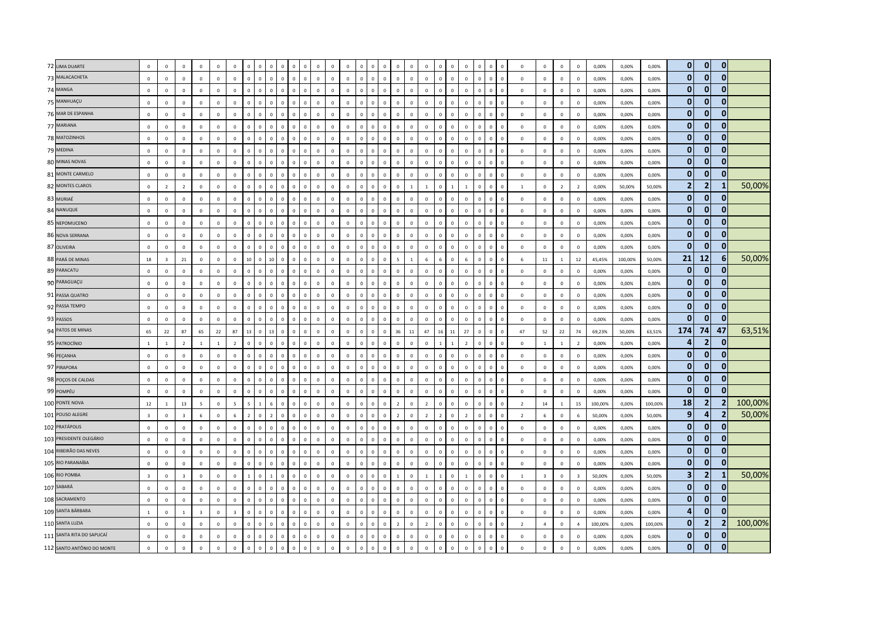|                            | 72 LIMA DUARTE<br>73 MALACACHETA<br>74 MANGA<br>75 MANHUAÇU<br>76 MAR DE ESPANHA<br>77 MARIANA<br>78 MATOZINHOS<br>79 MEDINA<br>80 MINAS NOVAS<br>81 MONTE CARMELO<br>82 MONTES CLAROS<br>83 MURIAÉ<br>84 NANUQUE<br>85 NEPOMUCENO<br>86 NOVA SERRANA<br>87 OLIVEIRA<br>88 PARÁ DE MINAS<br>89 PARACATU | $\,0\,$<br>$\,$ 0<br>$\,0\,$<br>$\,0\,$<br>$\mathbf 0$<br>$\,$ 0<br>$\overline{0}$<br>$\,0\,$<br>$\,0\,$<br>$\,0\,$<br>$\overline{0}$<br>$\,$ 0<br>$\,$ 0<br>$\,$ 0<br>$\overline{0}$<br>$\,$ 0<br>18 | $\circ$<br>$\mathbf 0$<br>$\mathbf{0}$<br>$\circ$<br>$\mathbf 0$<br>$\mathbf 0$<br>$\Omega$<br>$\circ$<br>$\mathbf 0$<br>$\mathbf 0$<br>$\overline{2}$<br>$\mathbf 0$<br>$\mathbf 0$<br>$\mathbf 0$<br>$\circ$<br>$\mathbf 0$ | $\mathbf{0}$<br>$\mathsf 0$<br>$\mathbf 0$<br>$\mathbf{0}$<br>$\mathsf 0$<br>$\mathbf 0$<br>$\Omega$<br>$\mathbf{0}$<br>$\mathbf 0$<br>$\,0\,$<br>$\overline{2}$<br>$\mathbf 0$<br>$\mathsf 0$<br>$\mathbf 0$<br>$\mathbf{0}$ | $\mathbf 0$<br>$\mathbf 0$<br>$\mathbf{0}$<br>$\Omega$<br>$\mathbf 0$<br>$\mathbf 0$<br>$\mathbf{0}$<br>$\circ$<br>$\mathbf 0$<br>$\mathbf 0$<br>$\mathbf{0}$<br>$\mathbf 0$<br>$\mathbf 0$<br>$\Omega$ | $\mathbf 0$<br>$\mathbf 0$<br>$\mathsf 0$<br>$\overline{0}$<br>$\mathsf 0$<br>$\mathsf 0$<br>$\overline{0}$<br>$\mathbf 0$<br>$\mathsf 0$<br>$\mathsf 0$<br>$\mathbf{0}$<br>$\,0\,$<br>$\mathbf 0$<br>$\mathbf 0$ | $\mathbf 0$<br>$\mathbf 0$<br>$\mathbf 0$<br>$\mathbf 0$<br>$\mathsf 0$<br>$\mathbf 0$<br>$\mathbf{0}$<br>$\mathbf 0$<br>$\mathbf 0$<br>$\mathbf 0$<br>$\mathbf{0}$<br>$\mathsf 0$<br>$\mathbf{0}$ | $\mathbf 0$<br>$\mathbf 0$<br>$\mathbf 0$<br>$\mathbf{0}$<br>$\mathbf 0$<br>$\mathbf 0$<br>$\mathbf{0}$<br>$\circ$<br>$\mathbf 0$<br>$\mathbf 0$<br>$\mathbf 0$<br>$\mathbf{0}$<br>$\mathbf{0}$<br>$\mathbf 0$<br>$\mathbf 0$<br>$\mathbf{0}$<br>$\mathbf 0$<br>$\mathbf{0}$<br>$\mathbf 0$<br>$\mathbf 0$<br>$\mathbf 0$ | $\mathbf 0$<br>$\circ$<br>$\Omega$<br>$\Omega$<br>$\mathbb O$<br>$\overline{0}$<br>$\Omega$<br>$\mathbf 0$<br>$\Omega$<br>$\mathbf 0$<br>$\mathbf{0}$ | $\mathbf 0$<br>$\mathbf 0$<br>$\mathsf 0$<br>$\mathsf 0$<br>$\mathsf 0$<br>$\mathsf 0$<br>$\mathbf{0}$<br>$\mathsf 0$<br>$\mathbf 0$<br>$\mathbf 0$<br>$\Omega$ | $\Omega$<br>$\mathfrak o$<br>$\,0\,$<br>$\mathbf 0$<br>$\mathsf 0$<br>$\overline{0}$<br>$\overline{0}$<br>$\mathbf 0$<br>$\,$ 0<br>$\mathsf 0$ | $\mathbf 0$<br>$\mathbf{0}$<br>$\Omega$<br>$\Omega$<br>$\Omega$<br>$\mathbf 0$<br>$\mathbf 0$ | $\mathbf 0$<br>$\mathbf 0$<br>$\mathbf 0$<br>$\mathbf 0$<br>$\mathbf 0$<br>$\,$ 0 $\,$<br>$\mathbf{0}$<br>$\mathbf 0$<br>$\,$ 0 $\,$ | $\mathbf 0$<br>$\mathbf 0$<br>$\mathbf 0$<br>$\mathbf 0$<br>$\mathbf 0$<br>$\,$ 0 $\,$<br>$\mathbf{0}$<br>$\mathbf 0$<br>$\,$ 0 $\,$ | $\mathbf 0$<br>$\circ$<br>$\mathbf 0$<br>$\overline{0}$<br>$\circ$<br>$\mathbf 0$<br>$\overline{0}$<br>$\overline{0}$<br>$\mathbf 0$ | $\Omega$<br>$\mathbf 0$<br>$\Omega$<br>$\Omega$<br>$\mathbf 0$<br>$\Omega$<br>$\mathbf{0}$<br>$\Omega$ | $\mathbf 0$<br>$\mathbb O$<br>$\mathbf 0$<br>$\Omega$<br>$\mathbf 0$<br>$\mathbf 0$<br>$\mathbb O$<br>$\mathbf 0$<br>$\Omega$<br>$\mathbf 0$<br>$\Omega$<br>$\Omega$ | $\overline{0}$<br>$\mathbf 0$<br>$\overline{0}$<br>$\mathbf 0$<br>$\mathbf 0$<br>$\mathbf 0$<br>$\mathbf{0}$ | $\mathbf 0$<br>$\Omega$<br>$\Omega$<br>$\Omega$<br>$\Omega$ | $\mathbf 0$<br>$\mathbf 0$<br>$\mathbf 0$<br>$\mathbb O$<br>$\mathbb O$<br>$\mathbb O$ | $\mathbf{0}$<br>$\mathbf{0}$<br>$\Omega$<br>$\mathbf{0}$ | $\mathbf 0$<br>$\mathbb O$<br>$\mathbf 0$<br>$\mathbf 0$<br>$\mathbf 0$<br>$\Omega$<br>$\mathbf 0$<br>$\mathbb O$<br>$\mathbf 0$<br>$\mathbf 0$<br>$\mathbf 0$ | $\mathbf 0$<br>$\Omega$<br>$\Omega$ | $\mathbf 0$<br>$\overline{0}$<br>$\mathbf 0$<br>$\mathbf 0$<br>$\mathbf 0$<br>$\,$ 0<br>$\mathbf 0$<br>$\,$ 0<br>$\mathbf 0$<br>$\mathbf 0$<br>$\mathbf 0$<br>$\,$ 0 | $\mathbf 0$<br>$\mathbf 0$<br>$\mathsf 0$<br>$\mathbf{0}$<br>$\mathsf 0$<br>$\mathsf 0$ | $\mathbf{0}$<br>$\mathbf{0}$<br>$\mathbf{0}$<br>$\Omega$<br>$\mathbf{0}$<br>$\mathbf{0}$ | $\mathbf{0}$<br>$\mathbf 0$<br>$\mathbf 0$<br>$\mathbf{0}$<br>$\mathbf 0$<br>$\mathbf 0$ | $\mathbf 0$<br>$\mathbb O$<br>$^{\circ}$<br>$\mathbf{0}$<br>$\mathbb O$<br>$\mathbf 0$ | 0,00%<br>0,00%<br>0.00%<br>0,00%<br>0,00%<br>0,00% | 0,00%<br>0,00%<br>0.00%<br>0,00%<br>0,00%<br>0,00% | 0,00%<br>0,00%<br>0.00%<br>0,00%<br>0,00%<br>0,00% | $\overline{0}$<br>$\mathbf{0}$<br>$\mathbf{0}$<br>$\mathbf{0}$<br>$\mathbf{0}$<br>$\mathbf{0}$<br>$\mathbf{0}$ | $\overline{0}$<br>$\mathbf{0}$<br>$\mathbf{0}$<br>$\mathbf{0}$<br>$\mathbf{0}$<br>$\mathbf{0}$ | $\mathbf{0}$<br>$\mathbf{0}$<br>$\mathbf{0}$<br>$\mathbf{0}$<br>$\mathbf 0$<br>$\mathbf 0$<br>$\mathbf{0}$ |         |
|----------------------------|---------------------------------------------------------------------------------------------------------------------------------------------------------------------------------------------------------------------------------------------------------------------------------------------------------|-------------------------------------------------------------------------------------------------------------------------------------------------------------------------------------------------------|-------------------------------------------------------------------------------------------------------------------------------------------------------------------------------------------------------------------------------|-------------------------------------------------------------------------------------------------------------------------------------------------------------------------------------------------------------------------------|---------------------------------------------------------------------------------------------------------------------------------------------------------------------------------------------------------|-------------------------------------------------------------------------------------------------------------------------------------------------------------------------------------------------------------------|----------------------------------------------------------------------------------------------------------------------------------------------------------------------------------------------------|---------------------------------------------------------------------------------------------------------------------------------------------------------------------------------------------------------------------------------------------------------------------------------------------------------------------------|-------------------------------------------------------------------------------------------------------------------------------------------------------|-----------------------------------------------------------------------------------------------------------------------------------------------------------------|------------------------------------------------------------------------------------------------------------------------------------------------|-----------------------------------------------------------------------------------------------|--------------------------------------------------------------------------------------------------------------------------------------|--------------------------------------------------------------------------------------------------------------------------------------|--------------------------------------------------------------------------------------------------------------------------------------|--------------------------------------------------------------------------------------------------------|----------------------------------------------------------------------------------------------------------------------------------------------------------------------|--------------------------------------------------------------------------------------------------------------|-------------------------------------------------------------|----------------------------------------------------------------------------------------|----------------------------------------------------------|----------------------------------------------------------------------------------------------------------------------------------------------------------------|-------------------------------------|----------------------------------------------------------------------------------------------------------------------------------------------------------------------|-----------------------------------------------------------------------------------------|------------------------------------------------------------------------------------------|------------------------------------------------------------------------------------------|----------------------------------------------------------------------------------------|----------------------------------------------------|----------------------------------------------------|----------------------------------------------------|----------------------------------------------------------------------------------------------------------------|------------------------------------------------------------------------------------------------|------------------------------------------------------------------------------------------------------------|---------|
|                            |                                                                                                                                                                                                                                                                                                         |                                                                                                                                                                                                       |                                                                                                                                                                                                                               |                                                                                                                                                                                                                               |                                                                                                                                                                                                         |                                                                                                                                                                                                                   |                                                                                                                                                                                                    |                                                                                                                                                                                                                                                                                                                           |                                                                                                                                                       |                                                                                                                                                                 |                                                                                                                                                |                                                                                               |                                                                                                                                      |                                                                                                                                      |                                                                                                                                      |                                                                                                        |                                                                                                                                                                      |                                                                                                              |                                                             |                                                                                        |                                                          |                                                                                                                                                                |                                     |                                                                                                                                                                      |                                                                                         |                                                                                          |                                                                                          |                                                                                        |                                                    |                                                    |                                                    |                                                                                                                |                                                                                                |                                                                                                            |         |
|                            |                                                                                                                                                                                                                                                                                                         |                                                                                                                                                                                                       |                                                                                                                                                                                                                               |                                                                                                                                                                                                                               |                                                                                                                                                                                                         |                                                                                                                                                                                                                   |                                                                                                                                                                                                    |                                                                                                                                                                                                                                                                                                                           |                                                                                                                                                       |                                                                                                                                                                 |                                                                                                                                                |                                                                                               |                                                                                                                                      |                                                                                                                                      |                                                                                                                                      |                                                                                                        |                                                                                                                                                                      |                                                                                                              |                                                             |                                                                                        |                                                          |                                                                                                                                                                |                                     |                                                                                                                                                                      |                                                                                         |                                                                                          |                                                                                          |                                                                                        |                                                    |                                                    |                                                    |                                                                                                                |                                                                                                |                                                                                                            |         |
|                            |                                                                                                                                                                                                                                                                                                         |                                                                                                                                                                                                       |                                                                                                                                                                                                                               |                                                                                                                                                                                                                               |                                                                                                                                                                                                         |                                                                                                                                                                                                                   |                                                                                                                                                                                                    |                                                                                                                                                                                                                                                                                                                           |                                                                                                                                                       |                                                                                                                                                                 |                                                                                                                                                |                                                                                               |                                                                                                                                      |                                                                                                                                      |                                                                                                                                      |                                                                                                        |                                                                                                                                                                      |                                                                                                              |                                                             |                                                                                        |                                                          |                                                                                                                                                                |                                     |                                                                                                                                                                      |                                                                                         |                                                                                          |                                                                                          |                                                                                        |                                                    |                                                    |                                                    |                                                                                                                |                                                                                                |                                                                                                            |         |
|                            |                                                                                                                                                                                                                                                                                                         |                                                                                                                                                                                                       |                                                                                                                                                                                                                               |                                                                                                                                                                                                                               |                                                                                                                                                                                                         |                                                                                                                                                                                                                   |                                                                                                                                                                                                    |                                                                                                                                                                                                                                                                                                                           |                                                                                                                                                       |                                                                                                                                                                 |                                                                                                                                                |                                                                                               |                                                                                                                                      |                                                                                                                                      |                                                                                                                                      |                                                                                                        |                                                                                                                                                                      |                                                                                                              |                                                             |                                                                                        |                                                          |                                                                                                                                                                |                                     |                                                                                                                                                                      |                                                                                         |                                                                                          |                                                                                          |                                                                                        |                                                    |                                                    |                                                    |                                                                                                                |                                                                                                |                                                                                                            |         |
|                            |                                                                                                                                                                                                                                                                                                         |                                                                                                                                                                                                       |                                                                                                                                                                                                                               |                                                                                                                                                                                                                               |                                                                                                                                                                                                         |                                                                                                                                                                                                                   |                                                                                                                                                                                                    |                                                                                                                                                                                                                                                                                                                           |                                                                                                                                                       |                                                                                                                                                                 |                                                                                                                                                |                                                                                               |                                                                                                                                      |                                                                                                                                      |                                                                                                                                      |                                                                                                        |                                                                                                                                                                      |                                                                                                              |                                                             |                                                                                        |                                                          |                                                                                                                                                                |                                     |                                                                                                                                                                      |                                                                                         |                                                                                          |                                                                                          |                                                                                        |                                                    |                                                    |                                                    |                                                                                                                |                                                                                                |                                                                                                            |         |
|                            |                                                                                                                                                                                                                                                                                                         |                                                                                                                                                                                                       |                                                                                                                                                                                                                               |                                                                                                                                                                                                                               |                                                                                                                                                                                                         |                                                                                                                                                                                                                   |                                                                                                                                                                                                    |                                                                                                                                                                                                                                                                                                                           |                                                                                                                                                       |                                                                                                                                                                 |                                                                                                                                                |                                                                                               |                                                                                                                                      |                                                                                                                                      |                                                                                                                                      |                                                                                                        |                                                                                                                                                                      |                                                                                                              |                                                             |                                                                                        |                                                          |                                                                                                                                                                |                                     |                                                                                                                                                                      |                                                                                         |                                                                                          |                                                                                          |                                                                                        |                                                    |                                                    |                                                    |                                                                                                                |                                                                                                |                                                                                                            |         |
|                            |                                                                                                                                                                                                                                                                                                         |                                                                                                                                                                                                       |                                                                                                                                                                                                                               |                                                                                                                                                                                                                               |                                                                                                                                                                                                         |                                                                                                                                                                                                                   |                                                                                                                                                                                                    |                                                                                                                                                                                                                                                                                                                           |                                                                                                                                                       |                                                                                                                                                                 |                                                                                                                                                |                                                                                               |                                                                                                                                      |                                                                                                                                      |                                                                                                                                      |                                                                                                        |                                                                                                                                                                      |                                                                                                              |                                                             | $\mathbf 0$                                                                            | $\mathbf{0}$                                             | $\mathbf 0$<br>$\mathbf{0}$                                                                                                                                    | $\Omega$                            | $\mathbf{0}$<br>$\overline{0}$                                                                                                                                       | $\circ$                                                                                 | $\Omega$                                                                                 | $\Omega$                                                                                 | $\Omega$                                                                               | 0.00%                                              | 0.00%                                              | 0,00%                                              |                                                                                                                | $\mathbf{0}$                                                                                   |                                                                                                            |         |
|                            |                                                                                                                                                                                                                                                                                                         |                                                                                                                                                                                                       |                                                                                                                                                                                                                               |                                                                                                                                                                                                                               |                                                                                                                                                                                                         |                                                                                                                                                                                                                   |                                                                                                                                                                                                    |                                                                                                                                                                                                                                                                                                                           |                                                                                                                                                       |                                                                                                                                                                 |                                                                                                                                                |                                                                                               |                                                                                                                                      |                                                                                                                                      |                                                                                                                                      |                                                                                                        |                                                                                                                                                                      | $\mathbf 0$                                                                                                  | $\Omega$                                                    | $\mathbf 0$                                                                            | $\mathbf{0}$                                             | $\Omega$<br>$\Omega$                                                                                                                                           | $\Omega$                            | $\mathbf 0$<br>$\,$ 0                                                                                                                                                | $\mathbf 0$                                                                             | $\mathbf{0}$                                                                             | $\mathbf{0}$                                                                             | $\mathbf{0}$                                                                           | 0,00%                                              | 0,00%                                              | 0,00%                                              | $\mathbf{0}$                                                                                                   | $\mathbf{0}$                                                                                   | $\mathbf{0}$                                                                                               |         |
|                            |                                                                                                                                                                                                                                                                                                         |                                                                                                                                                                                                       |                                                                                                                                                                                                                               |                                                                                                                                                                                                                               |                                                                                                                                                                                                         |                                                                                                                                                                                                                   |                                                                                                                                                                                                    |                                                                                                                                                                                                                                                                                                                           |                                                                                                                                                       |                                                                                                                                                                 |                                                                                                                                                |                                                                                               |                                                                                                                                      |                                                                                                                                      |                                                                                                                                      | $\overline{0}$                                                                                         | $\mathbf 0$                                                                                                                                                          | $\mathbf 0$                                                                                                  |                                                             | $\mathbb O$                                                                            | $\mathbf 0$                                              | $\mathbf 0$<br>$\mathbf 0$                                                                                                                                     |                                     | $\mathbf 0$<br>$\mathbf 0$                                                                                                                                           | $\mathsf 0$                                                                             | $\mathbf{0}$                                                                             | $\mathbf 0$                                                                              | $\mathbf 0$                                                                            | 0,00%                                              | 0,00%                                              | 0,00%                                              | $\mathbf{0}$                                                                                                   | $\mathbf{0}$                                                                                   | $\mathbf{0}$                                                                                               |         |
|                            |                                                                                                                                                                                                                                                                                                         |                                                                                                                                                                                                       |                                                                                                                                                                                                                               |                                                                                                                                                                                                                               |                                                                                                                                                                                                         |                                                                                                                                                                                                                   |                                                                                                                                                                                                    |                                                                                                                                                                                                                                                                                                                           |                                                                                                                                                       |                                                                                                                                                                 |                                                                                                                                                |                                                                                               | $\mathbf 0$                                                                                                                          | $\mathbf 0$                                                                                                                          | $\mathbf 0$                                                                                                                          | $\mathbf 0$                                                                                            | $\mathbf 0$<br>$\mathbb O$                                                                                                                                           | $\mathbb O$                                                                                                  | $\mathbf 0$                                                 | $\mathbb O$                                                                            | $\mathbf{0}$                                             | $\mathbb O$<br>$\mathbf 0$                                                                                                                                     | $\mathbf 0$                         | $\mathbf 0$<br>$\,$ 0                                                                                                                                                | $\mathbf 0$                                                                             | $\mathbf{0}$                                                                             | $\mathbf 0$                                                                              | $\mathbf{0}$                                                                           | 0,00%                                              | 0,00%                                              | 0,00%                                              | $\mathbf{0}$                                                                                                   | $\mathbf{0}$                                                                                   | $\mathbf{0}$                                                                                               |         |
|                            |                                                                                                                                                                                                                                                                                                         |                                                                                                                                                                                                       |                                                                                                                                                                                                                               |                                                                                                                                                                                                                               |                                                                                                                                                                                                         |                                                                                                                                                                                                                   |                                                                                                                                                                                                    |                                                                                                                                                                                                                                                                                                                           |                                                                                                                                                       |                                                                                                                                                                 | $\overline{0}$                                                                                                                                 | $\Omega$                                                                                      | $\mathbf{0}$                                                                                                                         | $\mathbf{0}$                                                                                                                         | $\mathbf{0}$                                                                                                                         | $\Omega$                                                                                               | $\Omega$                                                                                                                                                             | $\mathbf 0$                                                                                                  | $\mathbf{1}$                                                | $\overline{1}$                                                                         | $\Omega$                                                 | $\mathbf{1}$<br>$\mathbf{1}$                                                                                                                                   |                                     | $\mathbf{0}$<br>$\overline{0}$                                                                                                                                       | $\overline{1}$                                                                          | $\Omega$                                                                                 | $\overline{z}$                                                                           | $\overline{z}$                                                                         | 0.00%                                              | 50,00%                                             | 50.00%                                             | $\overline{2}$                                                                                                 | $\overline{2}$                                                                                 | -1                                                                                                         | 50,00%  |
|                            |                                                                                                                                                                                                                                                                                                         |                                                                                                                                                                                                       |                                                                                                                                                                                                                               |                                                                                                                                                                                                                               |                                                                                                                                                                                                         |                                                                                                                                                                                                                   |                                                                                                                                                                                                    |                                                                                                                                                                                                                                                                                                                           | $\sqrt{2}$                                                                                                                                            | $\mathbf{0}$                                                                                                                                                    | $\mathbf{0}$                                                                                                                                   | $\Omega$                                                                                      | $\mathbf 0$                                                                                                                          | $\,$ 0                                                                                                                               | $\mathbf 0$                                                                                                                          | $\Omega$                                                                                               | $\Omega$                                                                                                                                                             | $\mathbf 0$                                                                                                  |                                                             | $\mathbf 0$                                                                            | $\Omega$                                                 | $\Omega$<br>$\mathbf 0$                                                                                                                                        |                                     | $\mathbf 0$<br>$\,$ 0                                                                                                                                                | $\mathsf 0$                                                                             | $\mathbf{0}$                                                                             | $\mathbf 0$                                                                              | $\mathbf{0}$                                                                           | 0,00%                                              | 0,00%                                              | 0,00%                                              | $\mathbf{0}$                                                                                                   | $\mathbf{0}$                                                                                   | $\mathbf{0}$                                                                                               |         |
|                            |                                                                                                                                                                                                                                                                                                         |                                                                                                                                                                                                       |                                                                                                                                                                                                                               |                                                                                                                                                                                                                               |                                                                                                                                                                                                         |                                                                                                                                                                                                                   |                                                                                                                                                                                                    | $\mathbf 0$                                                                                                                                                                                                                                                                                                               | $\mathbf 0$<br>$\overline{0}$                                                                                                                         | $\mathbf 0$                                                                                                                                                     | $\mathsf 0$                                                                                                                                    | $\overline{0}$                                                                                | $\,0\,$                                                                                                                              | $\mathbf 0$                                                                                                                          | $\overline{0}$                                                                                                                       | $\Omega$                                                                                               | $\Omega$<br>$\mathbf{0}$                                                                                                                                             | $\mathbf 0$                                                                                                  | $\Omega$                                                    | $\mathbb O$                                                                            | $\Omega$                                                 | $\mathbf{0}$<br>$\mathbf 0$                                                                                                                                    | $\Omega$                            | $\mathbf 0$<br>$\,$ 0                                                                                                                                                | $\mathbf 0$                                                                             | $\mathbf{0}$                                                                             | $\overline{0}$                                                                           | $\mathbf{0}$                                                                           | 0,00%                                              | 0,00%                                              | 0,00%                                              | $\mathbf{0}$                                                                                                   | $\mathbf{0}$                                                                                   | $\overline{0}$                                                                                             |         |
|                            |                                                                                                                                                                                                                                                                                                         |                                                                                                                                                                                                       |                                                                                                                                                                                                                               |                                                                                                                                                                                                                               |                                                                                                                                                                                                         |                                                                                                                                                                                                                   | $\Omega$                                                                                                                                                                                           | $\mathbf 0$<br>$\,$ 0                                                                                                                                                                                                                                                                                                     |                                                                                                                                                       | $\mathbf 0$                                                                                                                                                     | $\mathbf{0}$                                                                                                                                   | $\mathbf{0}$                                                                                  | $\,0\,$                                                                                                                              | $\Omega$                                                                                                                             | $\mathbf{0}$                                                                                                                         | $\Omega$                                                                                               | $\Omega$                                                                                                                                                             | $\Omega$                                                                                                     |                                                             | $\mathbb O$                                                                            |                                                          | $\Omega$<br>$\Omega$                                                                                                                                           |                                     | $\mathbf 0$<br>$\,$ 0                                                                                                                                                | $\mathbf 0$                                                                             | $\Omega$                                                                                 | $\mathbf 0$                                                                              | $\mathbb O$                                                                            | 0,00%                                              | 0,00%                                              | 0,00%                                              | $\mathbf{0}$                                                                                                   | $\mathbf{0}$                                                                                   | $\mathbf{0}$                                                                                               |         |
|                            |                                                                                                                                                                                                                                                                                                         |                                                                                                                                                                                                       |                                                                                                                                                                                                                               |                                                                                                                                                                                                                               | $\Omega$                                                                                                                                                                                                | $\overline{0}$                                                                                                                                                                                                    | $\Omega$                                                                                                                                                                                           | $\overline{0}$<br>$\mathbf{0}$                                                                                                                                                                                                                                                                                            | $\Omega$                                                                                                                                              | $\mathbf{0}$                                                                                                                                                    | $\overline{0}$                                                                                                                                 | $\Omega$                                                                                      | $\mathbf{0}$                                                                                                                         | $\overline{0}$                                                                                                                       | $\overline{0}$                                                                                                                       | $\mathbf 0$                                                                                            | $\Omega$<br>$\mathbf 0$                                                                                                                                              | $\overline{0}$                                                                                               | $\Omega$                                                    | $\mathbf 0$                                                                            | $\mathbf{0}$                                             | $\mathbf 0$<br>$\mathbf{0}$                                                                                                                                    | $\Omega$                            | $\mathbf 0$<br>$\overline{0}$                                                                                                                                        | $\mathbf 0$                                                                             | $\Omega$                                                                                 | $\Omega$                                                                                 | $\Omega$                                                                               | 0,00%                                              | 0,00%                                              | 0,00%                                              | $\mathbf{0}$                                                                                                   | $\mathbf{0}$                                                                                   | $\overline{0}$                                                                                             |         |
|                            |                                                                                                                                                                                                                                                                                                         |                                                                                                                                                                                                       |                                                                                                                                                                                                                               | $\mathsf 0$                                                                                                                                                                                                                   | $\mathbf 0$                                                                                                                                                                                             | $\mathsf 0$                                                                                                                                                                                                       | $\mathbf 0$                                                                                                                                                                                        | $\mathbf 0$<br>$\mathbf 0$                                                                                                                                                                                                                                                                                                | $\Omega$                                                                                                                                              | $\mathbf 0$                                                                                                                                                     | $\,$ 0                                                                                                                                         | $\Omega$                                                                                      | $\mathbf 0$                                                                                                                          | $\mathbf 0$                                                                                                                          | $\mathbf 0$                                                                                                                          | $\mathbf{0}$                                                                                           | $\Omega$<br>$\mathbb O$                                                                                                                                              | $\mathbf 0$                                                                                                  | $\Omega$                                                    | $\mathbb O$                                                                            | $\Omega$                                                 | $\mathbb O$<br>$\mathbf 0$                                                                                                                                     | $\Omega$                            | $\mathbf 0$<br>$\,$ 0                                                                                                                                                | $\mathbf 0$                                                                             | $\mathbf 0$                                                                              | $\mathbf 0$                                                                              | $\mathbf{0}$                                                                           | 0,00%                                              | 0,00%                                              | 0,00%                                              | $\mathbf{0}$                                                                                                   | $\mathbf{0}$                                                                                   | $\mathbf{0}$                                                                                               |         |
|                            |                                                                                                                                                                                                                                                                                                         |                                                                                                                                                                                                       | $\overline{\mathbf{3}}$                                                                                                                                                                                                       | 21                                                                                                                                                                                                                            | $\mathbf 0$                                                                                                                                                                                             | $\,0\,$                                                                                                                                                                                                           | $\,0\,$                                                                                                                                                                                            | $10\,$                                                                                                                                                                                                                                                                                                                    | $\mathbf 0$<br>10                                                                                                                                     | $\mathbf 0$                                                                                                                                                     | $\,$ 0                                                                                                                                         | $\mathbf 0$                                                                                   | $\mathbf 0$                                                                                                                          | $\,$ 0                                                                                                                               | $\mathbf 0$                                                                                                                          | $\Omega$                                                                                               | $\mathbb O$<br>$\Omega$                                                                                                                                              | 5                                                                                                            |                                                             | $\,$ 6 $\,$                                                                            |                                                          | $\,6\,$<br>$\mathbf 0$                                                                                                                                         |                                     | $\mathbf 0$<br>$\,$ 0                                                                                                                                                | $\,$ 6 $\,$                                                                             | $11\,$                                                                                   | $\mathbf{1}$                                                                             | 12                                                                                     | 45,45%                                             | 100,00%                                            | 50,00%                                             | 21                                                                                                             | 12                                                                                             | $6 \overline{6}$                                                                                           | 50,00%  |
|                            |                                                                                                                                                                                                                                                                                                         | $\,0\,$                                                                                                                                                                                               | $\mathbf 0$                                                                                                                                                                                                                   | $\mathbf 0$                                                                                                                                                                                                                   | $\Omega$                                                                                                                                                                                                | $\mathsf 0$                                                                                                                                                                                                       | $\mathbf{0}$                                                                                                                                                                                       | $\mathbf{0}$                                                                                                                                                                                                                                                                                                              | $\mathbf{0}$<br>$\circ$                                                                                                                               | $\mathbf 0$                                                                                                                                                     | $\mathsf 0$                                                                                                                                    | $\mathbf{0}$                                                                                  | $\mathbf 0$                                                                                                                          | $\mathbf 0$                                                                                                                          | $\overline{0}$                                                                                                                       | $\mathbf 0$                                                                                            | $\mathbf{0}$<br>$\mathbf 0$                                                                                                                                          | $\mathbb O$                                                                                                  | $\mathbf{0}$                                                | $\mathbb O$                                                                            | $\Omega$                                                 | $\mathbb O$<br>$\mathbf 0$                                                                                                                                     | $\mathbf{0}$                        | $\mathbf 0$<br>$\,$ 0                                                                                                                                                | $\mathbf 0$                                                                             | $\Omega$                                                                                 | $\Omega$                                                                                 | $\mathbf 0$                                                                            | 0,00%                                              | 0,00%                                              | 0,00%                                              | $\mathbf{0}$                                                                                                   | $\mathbf{0}$                                                                                   | $\overline{0}$                                                                                             |         |
|                            | 90 PARAGUAÇU                                                                                                                                                                                                                                                                                            | $\mathbf{0}$                                                                                                                                                                                          | $\Omega$                                                                                                                                                                                                                      | $\Omega$                                                                                                                                                                                                                      | $\Omega$                                                                                                                                                                                                | $\Omega$                                                                                                                                                                                                          | $\Omega$                                                                                                                                                                                           | $\mathsf{O}$<br>$\mathbf 0$                                                                                                                                                                                                                                                                                               | $\Omega$                                                                                                                                              | $\Omega$                                                                                                                                                        | $\mathbf{0}$                                                                                                                                   | $\Omega$                                                                                      | $\mathbf{0}$                                                                                                                         | $\mathbf{0}$                                                                                                                         | $\circ$                                                                                                                              | $\Omega$                                                                                               | $\Omega$<br>$\Omega$                                                                                                                                                 | $\mathbf 0$                                                                                                  | $\Omega$                                                    | $\Omega$                                                                               | $\Omega$                                                 | $\Omega$<br>$\Omega$                                                                                                                                           | $\Omega$                            | $\mathbf 0$<br>$\overline{0}$                                                                                                                                        | $\circ$                                                                                 | $\Omega$                                                                                 | $\Omega$                                                                                 | $\Omega$                                                                               | 0,00%                                              | 0,00%                                              | 0,00%                                              | $\mathbf{0}$                                                                                                   | $\mathbf{0}$                                                                                   | $\mathbf{0}$                                                                                               |         |
|                            | 91 PASSA QUATRO                                                                                                                                                                                                                                                                                         | $\,$ 0                                                                                                                                                                                                | $\mathbf 0$                                                                                                                                                                                                                   | $\mathbf 0$                                                                                                                                                                                                                   | $\mathbf 0$                                                                                                                                                                                             | $\,0\,$                                                                                                                                                                                                           | $\mathsf 0$                                                                                                                                                                                        | $\mathbf 0$<br>$\mathbf 0$                                                                                                                                                                                                                                                                                                | $\Omega$                                                                                                                                              | $\mathbf 0$                                                                                                                                                     | $\,$ 0                                                                                                                                         | $\Omega$                                                                                      | $\mathbf 0$                                                                                                                          | $\,$ 0                                                                                                                               | $\mathbf 0$                                                                                                                          | $\mathbf 0$                                                                                            | $\mathbb O$<br>$\Omega$                                                                                                                                              | $\mathbf 0$                                                                                                  | $\Omega$                                                    | $\mathbf 0$                                                                            | $\Omega$                                                 | $\mathbb O$<br>$\mathbf 0$                                                                                                                                     | $\Omega$                            | $\mathbf 0$<br>$\,$ 0                                                                                                                                                | $\mathbf 0$                                                                             | $\mathbf{0}$                                                                             | $\mathbf 0$                                                                              | $\mathbb O$                                                                            | 0,00%                                              | 0,00%                                              | 0,00%                                              | $\mathbf{0}$                                                                                                   | $\mathbf{0}$                                                                                   | $\mathbf 0$                                                                                                |         |
|                            | 92 PASSA TEMPO                                                                                                                                                                                                                                                                                          | $\,$ 0                                                                                                                                                                                                | $\mathbf 0$                                                                                                                                                                                                                   | $\,0\,$                                                                                                                                                                                                                       | $\mathbf 0$                                                                                                                                                                                             | $\mathbf 0$                                                                                                                                                                                                       | $\Omega$                                                                                                                                                                                           | $\mathbf 0$<br>$\mathbf 0$                                                                                                                                                                                                                                                                                                | $\Omega$                                                                                                                                              | $\mathbf 0$                                                                                                                                                     | $\,0\,$                                                                                                                                        | $\Omega$                                                                                      | $\mathbf 0$                                                                                                                          | $\mathbf 0$                                                                                                                          | $\mathbf 0$                                                                                                                          | $\mathbf{0}$                                                                                           | $\mathbf{0}$<br>$\mathbb O$                                                                                                                                          | $\,0\,$                                                                                                      | $\Omega$                                                    | $\mathbb O$                                                                            | $\Omega$                                                 | $\mathbf 0$<br>$\mathbb O$                                                                                                                                     | $\Omega$                            | $\mathbf 0$<br>$\mathbf 0$                                                                                                                                           | $\mathbf 0$                                                                             | $\Omega$                                                                                 | $\mathbf{0}$                                                                             | $\mathbb O$                                                                            | 0,00%                                              | 0,00%                                              | 0,00%                                              | $\mathbf{0}$                                                                                                   | $\mathbf{0}$                                                                                   | $\overline{0}$                                                                                             |         |
|                            | 93 PASSOS                                                                                                                                                                                                                                                                                               | $\,0\,$                                                                                                                                                                                               | $\mathbf 0$                                                                                                                                                                                                                   | $\mathbf{0}$                                                                                                                                                                                                                  | $\mathbf 0$                                                                                                                                                                                             | $\mathbf 0$                                                                                                                                                                                                       | $\Omega$                                                                                                                                                                                           | $\mathbf 0$<br>$\mathbf 0$                                                                                                                                                                                                                                                                                                |                                                                                                                                                       | $\mathbf 0$                                                                                                                                                     | $\Omega$                                                                                                                                       |                                                                                               | $\mathbf 0$                                                                                                                          | $\mathbf 0$                                                                                                                          | $\mathbf 0$                                                                                                                          | $\Omega$                                                                                               | $\Omega$                                                                                                                                                             | $\overline{0}$                                                                                               | $\Omega$                                                    | $\mathbb O$                                                                            |                                                          | $\Omega$<br>$\mathbf 0$                                                                                                                                        |                                     | $\mathbf 0$<br>$\,$ 0                                                                                                                                                | $\mathsf 0$                                                                             | $\Omega$                                                                                 | $\mathbf{0}$                                                                             | $\mathbf 0$                                                                            | 0,00%                                              | 0,00%                                              | 0,00%                                              | $\mathbf{0}$                                                                                                   | $\mathbf{0}$                                                                                   | $\mathbf{0}$                                                                                               |         |
|                            | 94 PATOS DE MINAS                                                                                                                                                                                                                                                                                       | 65                                                                                                                                                                                                    | 22                                                                                                                                                                                                                            | 87                                                                                                                                                                                                                            | 65                                                                                                                                                                                                      | 22                                                                                                                                                                                                                | 87                                                                                                                                                                                                 | 13                                                                                                                                                                                                                                                                                                                        | $\mathbf 0$<br>13                                                                                                                                     | $\mathbf{0}$                                                                                                                                                    | $\overline{0}$                                                                                                                                 | $\Omega$                                                                                      | $\,$ 0                                                                                                                               | $\,$ 0                                                                                                                               | $\Omega$                                                                                                                             | $\Omega$                                                                                               | $\Omega$<br>$\Omega$                                                                                                                                                 | 36                                                                                                           | $11\,$                                                      | 47                                                                                     | 16                                                       | 11<br>27                                                                                                                                                       | $\Omega$                            | $\mathbf{0}$<br>$\mathbf 0$                                                                                                                                          | 47                                                                                      | 52                                                                                       | 22                                                                                       | 74                                                                                     | 69,23%                                             | 50.00%                                             | 63,51%                                             | 174                                                                                                            | 74                                                                                             | 47                                                                                                         | 63,51%  |
|                            | 95 PATROCÍNIO                                                                                                                                                                                                                                                                                           | <sup>1</sup>                                                                                                                                                                                          | <sup>1</sup>                                                                                                                                                                                                                  | $\overline{2}$                                                                                                                                                                                                                | <sup>1</sup>                                                                                                                                                                                            | $\mathbf{1}$                                                                                                                                                                                                      | $\overline{2}$                                                                                                                                                                                     | $\mathbf 0$<br>$\mathbf 0$                                                                                                                                                                                                                                                                                                | $\overline{0}$                                                                                                                                        | $\mathbf 0$                                                                                                                                                     | $\mathsf 0$                                                                                                                                    | $\Omega$                                                                                      | $\mathbf 0$                                                                                                                          | $\,0\,$                                                                                                                              | $\mathbf 0$                                                                                                                          | $\Omega$                                                                                               | $\Omega$<br>$\Omega$                                                                                                                                                 | $\mathbf 0$                                                                                                  | $\Omega$                                                    | $\mathbb O$                                                                            | $\mathbf{1}$                                             | $\overline{1}$<br>$\overline{z}$                                                                                                                               | $\Omega$                            | $\mathbf 0$<br>$\,$ 0                                                                                                                                                | $\mathbf 0$                                                                             | $\mathbf{1}$                                                                             | $\overline{1}$                                                                           | $\overline{2}$                                                                         | 0,00%                                              | 0,00%                                              | 0,00%                                              | 4                                                                                                              | $\overline{2}$                                                                                 | $\mathbf{0}$                                                                                               |         |
|                            | 96 PEÇANHA                                                                                                                                                                                                                                                                                              | $\,0\,$                                                                                                                                                                                               | $\circ$                                                                                                                                                                                                                       | $\mathbf 0$                                                                                                                                                                                                                   | $\circ$                                                                                                                                                                                                 | $\mathbf 0$                                                                                                                                                                                                       | $\mathbf 0$                                                                                                                                                                                        | $\mathbb O$                                                                                                                                                                                                                                                                                                               | $\mathbf 0$<br>$\mathbf 0$                                                                                                                            | $\mathsf 0$                                                                                                                                                     | $\mathsf 0$                                                                                                                                    | $\mathbf{0}$                                                                                  | $\mathbf 0$                                                                                                                          | $\,$ 0                                                                                                                               | $\mathbf 0$                                                                                                                          | $\mathbf{0}$                                                                                           | $\mathbf{0}$<br>$\Omega$                                                                                                                                             | $\mathbf 0$                                                                                                  | $\Omega$                                                    | $\mathbf 0$                                                                            | $\Omega$                                                 | $\mathbf 0$<br>$\mathbf 0$                                                                                                                                     | $\Omega$                            | $\mathbf 0$<br>$\mathbf 0$                                                                                                                                           | $\mathsf 0$                                                                             | $\mathbf{0}$                                                                             | $\mathbf{0}$                                                                             | $\mathbf 0$                                                                            | 0,00%                                              | 0,00%                                              | 0,00%                                              | $\mathbf{0}$                                                                                                   | $\mathbf{0}$                                                                                   | $\mathbf{0}$                                                                                               |         |
|                            | 97 PIRAPORA                                                                                                                                                                                                                                                                                             | $\,$ 0                                                                                                                                                                                                | $\mathbf 0$                                                                                                                                                                                                                   | $\mathbf 0$                                                                                                                                                                                                                   | $\mathbf 0$                                                                                                                                                                                             | $\mathsf 0$                                                                                                                                                                                                       | $\mathsf 0$                                                                                                                                                                                        | $\mathbf 0$                                                                                                                                                                                                                                                                                                               | $\overline{0}$<br>$\mathbf{0}$                                                                                                                        | $\mathsf 0$                                                                                                                                                     | $\mathsf 0$                                                                                                                                    | $\Omega$                                                                                      | $\mathbf 0$                                                                                                                          | $\,$ 0                                                                                                                               | $\mathbf 0$                                                                                                                          | $\mathbf 0$                                                                                            | $\circ$<br>$\mathbb O$                                                                                                                                               | $\mathbf 0$                                                                                                  | $\mathbf{0}$                                                | $\mathbb O$                                                                            | $\mathbf{0}$                                             | $\mathbb O$<br>$\mathbf 0$                                                                                                                                     | $\mathbf{0}$                        | $\mathbf 0$<br>$\mathbf 0$                                                                                                                                           | $\mathbf 0$                                                                             | $\Omega$                                                                                 | $\mathbf 0$                                                                              | $\mathbb O$                                                                            | 0,00%                                              | 0,00%                                              | 0,00%                                              | $\mathbf{0}$                                                                                                   | $\mathbf{0}$                                                                                   | $\overline{0}$                                                                                             |         |
|                            | 98 POÇOS DE CALDAS                                                                                                                                                                                                                                                                                      | $\mathsf 0$                                                                                                                                                                                           | $\mathbf 0$                                                                                                                                                                                                                   | $\mathbf{0}$                                                                                                                                                                                                                  | $\mathbf{0}$                                                                                                                                                                                            | $\mathbf 0$                                                                                                                                                                                                       | $\mathbf 0$                                                                                                                                                                                        | $\mathbf 0$<br>$\mathbf 0$                                                                                                                                                                                                                                                                                                | $\Omega$                                                                                                                                              | $\mathbf 0$                                                                                                                                                     | $\,$ 0                                                                                                                                         | $\Omega$                                                                                      | $\mathbf 0$                                                                                                                          | $\mathbf 0$                                                                                                                          | $\mathbf 0$                                                                                                                          | $\Omega$                                                                                               | $\Omega$<br>$\Omega$                                                                                                                                                 | $\mathbb O$                                                                                                  | $\Omega$                                                    | $\mathbb O$                                                                            | $\mathbf{0}$                                             | $\Omega$<br>$\Omega$                                                                                                                                           | $\Omega$                            | $\mathbf 0$<br>$\mathbf 0$                                                                                                                                           | $\mathsf 0$                                                                             | $\Omega$                                                                                 | $\mathbf{0}$                                                                             | $\Omega$                                                                               | 0,00%                                              | 0.00%                                              | 0,00%                                              | $\mathbf{0}$                                                                                                   | $\mathbf{0}$                                                                                   | $\mathbf 0$                                                                                                |         |
|                            | 99 POMPÉU                                                                                                                                                                                                                                                                                               | $\,$ 0                                                                                                                                                                                                | $\mathbf 0$                                                                                                                                                                                                                   | $\Omega$                                                                                                                                                                                                                      | $\Omega$                                                                                                                                                                                                | $\,$ 0                                                                                                                                                                                                            | $\,0\,$                                                                                                                                                                                            | $\mathbf{0}$<br>$\mathbf{0}$                                                                                                                                                                                                                                                                                              |                                                                                                                                                       | $\Omega$                                                                                                                                                        | $\overline{0}$                                                                                                                                 | $\Omega$                                                                                      | $\,0\,$                                                                                                                              | $\overline{0}$                                                                                                                       | $\Omega$                                                                                                                             | $\Omega$                                                                                               | $\Omega$                                                                                                                                                             | $\mathbf{0}$                                                                                                 |                                                             | $\mathbb O$                                                                            | $\Omega$                                                 | $\Omega$<br>$\Omega$                                                                                                                                           | $\Omega$                            | $\mathbf{0}$<br>$\,$ 0                                                                                                                                               | $\mathbf 0$                                                                             | $\Omega$                                                                                 | $\Omega$                                                                                 | $\mathbf{0}$                                                                           | 0,00%                                              | 0,00%                                              | 0,00%                                              | $\mathbf{0}$                                                                                                   | $\Omega$                                                                                       | $\mathbf{0}$                                                                                               |         |
|                            | 100 PONTE NOVA                                                                                                                                                                                                                                                                                          | 12                                                                                                                                                                                                    | $\mathbf{1}$                                                                                                                                                                                                                  | 13                                                                                                                                                                                                                            | 5                                                                                                                                                                                                       | $\mathbf 0$                                                                                                                                                                                                       | 5                                                                                                                                                                                                  | 5 <sup>1</sup><br>$\overline{1}$                                                                                                                                                                                                                                                                                          |                                                                                                                                                       | $\mathbf 0$                                                                                                                                                     | $\mathsf 0$                                                                                                                                    | $\Omega$                                                                                      | $\mathbf 0$                                                                                                                          | $\,0\,$                                                                                                                              | $\overline{0}$                                                                                                                       | $\mathbf 0$                                                                                            | $\Omega$<br>$\mathbf 0$                                                                                                                                              | $\overline{2}$                                                                                               | $\Omega$                                                    | $\overline{2}$                                                                         | $\mathbf{0}$                                             | $\mathbf 0$<br>$\mathbf 0$                                                                                                                                     | $\Omega$                            | $\mathbf 0$<br>$\,$ 0                                                                                                                                                | $\overline{2}$                                                                          | 14                                                                                       | 1                                                                                        | 15                                                                                     | 100,00%                                            | 0,00%                                              | 100,00%                                            | 18                                                                                                             | 2 <sup>1</sup>                                                                                 | $\overline{2}$                                                                                             | 100,00% |
|                            | 101 POUSO ALEGRE                                                                                                                                                                                                                                                                                        | $\overline{\mathbf{3}}$                                                                                                                                                                               | $\mathbf 0$                                                                                                                                                                                                                   | $\overline{\mathbf{3}}$                                                                                                                                                                                                       | $6\phantom{1}$                                                                                                                                                                                          | $\mathbf 0$                                                                                                                                                                                                       | $6\phantom{1}$                                                                                                                                                                                     | $\overline{2}$                                                                                                                                                                                                                                                                                                            | $\mathbf 0$<br>$\overline{z}$                                                                                                                         | $\mathbf 0$                                                                                                                                                     | $\,$ 0                                                                                                                                         | $\Omega$                                                                                      | $\mathbf 0$                                                                                                                          | $\mathbf 0$                                                                                                                          | $\mathbf 0$                                                                                                                          | $\Omega$                                                                                               | $\mathbf 0$<br>$\Omega$                                                                                                                                              | $\overline{2}$                                                                                               | $\Omega$                                                    | $\overline{2}$                                                                         | $\overline{2}$                                           | $\mathbb O$<br>$\overline{2}$                                                                                                                                  | $\Omega$                            | $\mathbf 0$<br>$\mathbf 0$                                                                                                                                           | $\overline{2}$                                                                          | $\,$ 6 $\,$                                                                              | $\mathbf 0$                                                                              | 6                                                                                      | 50,00%                                             | 0,00%                                              | 50,00%                                             | $\overline{9}$                                                                                                 | $\overline{4}$                                                                                 | $\overline{2}$                                                                                             | 50,00%  |
|                            | 102 PRATÁPOLIS                                                                                                                                                                                                                                                                                          | $\,0\,$                                                                                                                                                                                               | $\mathbf 0$                                                                                                                                                                                                                   | $\mathbf 0$                                                                                                                                                                                                                   | $\Omega$                                                                                                                                                                                                | $\,0\,$                                                                                                                                                                                                           | $\Omega$                                                                                                                                                                                           | $\mathbf 0$<br>$\mathbf{0}$                                                                                                                                                                                                                                                                                               | $\Omega$                                                                                                                                              | $\Omega$                                                                                                                                                        | $\,0\,$                                                                                                                                        | $\Omega$                                                                                      | $\,$ 0 $\,$                                                                                                                          | $\,$ 0 $\,$                                                                                                                          | $\overline{0}$                                                                                                                       | $\Omega$                                                                                               | $\Omega$<br>$\mathbb O$                                                                                                                                              | $\mathbf 0$                                                                                                  | $\Omega$                                                    | $\mathbb O$                                                                            | $\mathbf 0$                                              | $\Omega$<br>$\mathbf 0$                                                                                                                                        | $\Omega$                            | $\mathbf 0$<br>$\mathbf 0$                                                                                                                                           | $\mathbf 0$                                                                             | $\Omega$                                                                                 | $\mathbf 0$                                                                              | $\mathbf{0}$                                                                           | 0,00%                                              | 0,00%                                              | 0,00%                                              | $\mathbf{0}$                                                                                                   | $\mathbf{0}$                                                                                   | $\mathbf{0}$                                                                                               |         |
|                            | 103 PRESIDENTE OLEGÁRIO                                                                                                                                                                                                                                                                                 | $\mathbf 0$                                                                                                                                                                                           | $\mathbf 0$                                                                                                                                                                                                                   | $\mathbf{0}$                                                                                                                                                                                                                  | $\circ$                                                                                                                                                                                                 | $\mathbf{0}$                                                                                                                                                                                                      | $\Omega$                                                                                                                                                                                           | $\mathbf{0}$<br>$\overline{0}$                                                                                                                                                                                                                                                                                            | $\Omega$                                                                                                                                              | $\mathsf 0$                                                                                                                                                     | $\mathsf 0$                                                                                                                                    | $\Omega$                                                                                      | $\mathbf 0$                                                                                                                          | $\mathbf 0$                                                                                                                          | $\overline{0}$                                                                                                                       | $\mathbf 0$                                                                                            | $\Omega$<br>$\Omega$                                                                                                                                                 | $\mathbf 0$                                                                                                  | $\Omega$                                                    | $\mathbb O$                                                                            | $\mathbf{0}$                                             | $\Omega$<br>$\Omega$                                                                                                                                           | $\Omega$                            | $\mathbf 0$<br>$\,0\,$                                                                                                                                               | $\mathbf 0$                                                                             | $\mathbf 0$                                                                              | $\mathbf{0}$                                                                             | $\mathbf{0}$                                                                           | 0,00%                                              | 0,00%                                              | 0,00%                                              | $\mathbf{0}$                                                                                                   | $\mathbf{0}$                                                                                   | $\mathbf{0}$                                                                                               |         |
|                            | 104 RIBEIRÃO DAS NEVES                                                                                                                                                                                                                                                                                  | $\,$ 0                                                                                                                                                                                                | $\mathbf 0$                                                                                                                                                                                                                   | $\mathsf 0$                                                                                                                                                                                                                   | $\mathbf 0$                                                                                                                                                                                             | $\,0\,$                                                                                                                                                                                                           | $\mathbf 0$                                                                                                                                                                                        | $\mathbf 0$<br>$\Omega$                                                                                                                                                                                                                                                                                                   |                                                                                                                                                       | $\mathbf 0$                                                                                                                                                     | $\Omega$                                                                                                                                       |                                                                                               | $\mathbf 0$                                                                                                                          | $\mathbf 0$                                                                                                                          | $\mathbb O$                                                                                                                          | $\Omega$                                                                                               | $\mathbf 0$                                                                                                                                                          | $\mathbf 0$                                                                                                  |                                                             | $\mathbb O$                                                                            |                                                          | $\mathbf 0$<br>$\mathbf 0$                                                                                                                                     |                                     | $\mathbf 0$<br>$\mathbf 0$                                                                                                                                           | $\mathbf 0$                                                                             | $\mathbf{0}$                                                                             | $\mathbf 0$                                                                              | $\mathbf 0$                                                                            | 0,00%                                              | 0,00%                                              | 0,00%                                              | $\mathbf{0}$                                                                                                   | $\Omega$                                                                                       | $\mathbf{0}$                                                                                               |         |
|                            | 105 RIO PARANAÍBA                                                                                                                                                                                                                                                                                       | $\,$ 0                                                                                                                                                                                                | $\mathbf 0$                                                                                                                                                                                                                   | $\mathbf 0$                                                                                                                                                                                                                   | $\mathbf 0$                                                                                                                                                                                             | $\mathsf 0$                                                                                                                                                                                                       | $\mathsf 0$                                                                                                                                                                                        | $\mathbf 0$                                                                                                                                                                                                                                                                                                               | $\mathbf 0$<br>$\Omega$                                                                                                                               | $\mathbf 0$                                                                                                                                                     | $\mathsf 0$                                                                                                                                    | $\Omega$                                                                                      | $\mathbf 0$                                                                                                                          | $\mathbf 0$                                                                                                                          | $\mathbf 0$                                                                                                                          | $\mathbf{0}$                                                                                           | $\Omega$<br>$\Omega$                                                                                                                                                 | $\mathbf 0$                                                                                                  |                                                             | $\mathbb O$                                                                            | $\Omega$                                                 | $\mathbb O$<br>$\mathbf 0$                                                                                                                                     | $\Omega$                            | $\mathbf 0$<br>$\mathbf 0$                                                                                                                                           | $\mathsf 0$                                                                             | $\Omega$                                                                                 | $\mathbf 0$                                                                              | $\mathbb O$                                                                            | 0,00%                                              | 0,00%                                              | 0,00%                                              | $\mathbf{0}$                                                                                                   | $\overline{0}$                                                                                 | $\overline{0}$                                                                                             |         |
|                            | 106 RIO POMBA                                                                                                                                                                                                                                                                                           | $\overline{\mathbf{3}}$                                                                                                                                                                               | $\mathbf{0}$                                                                                                                                                                                                                  | $\overline{\mathbf{3}}$                                                                                                                                                                                                       | $\mathbf{0}$                                                                                                                                                                                            | $\mathbf{0}$                                                                                                                                                                                                      | $\mathbf{0}$                                                                                                                                                                                       | $\mathbf{1}$                                                                                                                                                                                                                                                                                                              | $\mathbf{0}$                                                                                                                                          | $\mathbf{0}$                                                                                                                                                    | $\mathbf{0}$                                                                                                                                   | $\Omega$                                                                                      | $\mathbf{0}$                                                                                                                         | $\mathbf{0}$                                                                                                                         | $\overline{0}$                                                                                                                       | $\Omega$                                                                                               | $\Omega$<br>$\Omega$                                                                                                                                                 | $\overline{1}$                                                                                               | $\Omega$                                                    | $\overline{1}$                                                                         |                                                          | $\mathbf 0$<br>$\overline{1}$                                                                                                                                  | $\Omega$                            | $\mathbf{0}$<br>$\overline{0}$                                                                                                                                       | $\overline{1}$                                                                          | $\overline{z}$                                                                           | $\Omega$                                                                                 | $\overline{3}$                                                                         | 50.00%                                             | 0.00%                                              | 50.00%                                             | 3 <sup>1</sup>                                                                                                 | 2 <sup>1</sup>                                                                                 | $\mathbf{1}$                                                                                               | 50,00%  |
|                            | 107 SABARÁ                                                                                                                                                                                                                                                                                              | $\,0\,$                                                                                                                                                                                               | $\circ$                                                                                                                                                                                                                       | $\mathbf 0$                                                                                                                                                                                                                   | $\circ$                                                                                                                                                                                                 | $\,$ 0                                                                                                                                                                                                            | $\mathbf 0$                                                                                                                                                                                        | $\mathbf 0$<br>$\mathbf{0}$                                                                                                                                                                                                                                                                                               | $\Omega$                                                                                                                                              | $\mathbf{0}$                                                                                                                                                    | $\mathsf 0$                                                                                                                                    | $\mathbf{0}$                                                                                  | $\mathbf 0$                                                                                                                          | $\,$ 0 $\,$                                                                                                                          | $\overline{0}$                                                                                                                       | $\mathbf 0$                                                                                            | $\Omega$<br>$\mathbf 0$                                                                                                                                              | $\mathbf 0$                                                                                                  | $\Omega$                                                    | $\,0\,$                                                                                | $\mathbf{0}$                                             | $\mathbf 0$<br>$\mathbf 0$                                                                                                                                     | $\Omega$                            | $\mathbf 0$<br>$\,$ 0                                                                                                                                                | $\mathbf 0$                                                                             | $\mathbf{0}$                                                                             | $\mathbf{0}$                                                                             | $\mathbf{0}$                                                                           | 0,00%                                              | 0,00%                                              | 0,00%                                              | $\mathbf{0}$                                                                                                   | $\mathbf{0}$                                                                                   | $\mathbf{0}$                                                                                               |         |
|                            |                                                                                                                                                                                                                                                                                                         | $\mathbf 0$                                                                                                                                                                                           | $\mathbf 0$                                                                                                                                                                                                                   | $\mathbf 0$                                                                                                                                                                                                                   | $\mathbf 0$                                                                                                                                                                                             | $\mathsf 0$                                                                                                                                                                                                       | $\mathbf 0$                                                                                                                                                                                        | $\mathbf 0$<br>$\mathbf 0$                                                                                                                                                                                                                                                                                                | $\circ$                                                                                                                                               | $\mathsf 0$                                                                                                                                                     | $\mathsf 0$                                                                                                                                    | $\mathbf 0$                                                                                   | $\mathbf 0$                                                                                                                          | $\mathbf 0$                                                                                                                          | $\circ$                                                                                                                              | $\mathbf 0$                                                                                            | $\circ$<br>$\mathbb O$                                                                                                                                               | $\mathbf 0$                                                                                                  | $\Omega$                                                    | $\mathbb O$                                                                            | $\mathbf{0}$                                             | $\mathbf 0$<br>$\mathbb O$                                                                                                                                     | $\mathbf 0$                         | $\mathbf 0$<br>$\overline{\mathbf{0}}$                                                                                                                               | $\mathbf 0$                                                                             | $\mathbf{0}$                                                                             | $\mathbf 0$                                                                              | $\mathbb O$                                                                            | 0,00%                                              | 0,00%                                              | 0,00%                                              | $\mathbf{0}$                                                                                                   | $\mathbf{0}$                                                                                   | $\mathbf{0}$                                                                                               |         |
|                            | 108 SACRAMENTO                                                                                                                                                                                                                                                                                          | $\mathbf{1}$                                                                                                                                                                                          | $\mathbf 0$                                                                                                                                                                                                                   | $\mathbf{1}$                                                                                                                                                                                                                  | $\overline{\mathbf{3}}$                                                                                                                                                                                 | $\mathsf 0$                                                                                                                                                                                                       | $\overline{\mathbf{3}}$                                                                                                                                                                            | $\mathbf 0$<br>$\mathbf 0$                                                                                                                                                                                                                                                                                                |                                                                                                                                                       | $\mathbf{0}$                                                                                                                                                    | $\overline{0}$                                                                                                                                 | $\Omega$                                                                                      | $\mathbf 0$                                                                                                                          | $\mathbf 0$                                                                                                                          | $\mathbf 0$                                                                                                                          | $\Omega$                                                                                               | $\Omega$<br>$\mathbf 0$                                                                                                                                              | $\mathbb O$                                                                                                  | $\Omega$                                                    | $\mathbb O$                                                                            | $\mathbf 0$                                              | $\mathbf 0$<br>$\mathbf 0$                                                                                                                                     | $\Omega$                            | $\mathbf 0$<br>$\mathbf 0$                                                                                                                                           | $\mathsf 0$                                                                             | $\mathbf 0$                                                                              | $\overline{0}$                                                                           | $\mathbb O$                                                                            | 0,00%                                              | 0,00%                                              | 0,00%                                              | 4                                                                                                              | $\mathbf{0}$                                                                                   | $\mathbf 0$                                                                                                |         |
|                            | 109 SANTA BÁRBARA                                                                                                                                                                                                                                                                                       |                                                                                                                                                                                                       | $\Omega$                                                                                                                                                                                                                      | $\Omega$                                                                                                                                                                                                                      | $\Omega$                                                                                                                                                                                                | $\Omega$                                                                                                                                                                                                          | $\mathbf{0}$                                                                                                                                                                                       | $\mathbf{0}$                                                                                                                                                                                                                                                                                                              | $\mathbf{0}$<br>$\Omega$                                                                                                                              | $\mathbf{0}$                                                                                                                                                    | $\overline{0}$                                                                                                                                 | $\Omega$                                                                                      | $\mathbf{0}$                                                                                                                         | $\mathbf{0}$                                                                                                                         | $\overline{0}$                                                                                                                       | $\mathbf 0$                                                                                            | $\Omega$<br>$\mathbf 0$                                                                                                                                              | $\overline{2}$                                                                                               | $\Omega$                                                    | $\overline{2}$                                                                         | $\mathbf{0}$                                             | $\mathbf 0$<br>$\Omega$                                                                                                                                        | $\Omega$                            | $\mathbf{0}$<br>$\overline{0}$                                                                                                                                       | $\overline{2}$                                                                          | $\Delta$                                                                                 | $\Omega$                                                                                 | $\Delta$                                                                               | 100.00%                                            | 0,00%                                              | 100,00%                                            | $\mathbf{0}$                                                                                                   | 2 <sup>1</sup>                                                                                 | $\mathbf{2}$                                                                                               |         |
|                            | 110 SANTA LUZIA                                                                                                                                                                                                                                                                                         | $\overline{0}$                                                                                                                                                                                        |                                                                                                                                                                                                                               |                                                                                                                                                                                                                               | $\mathbf 0$                                                                                                                                                                                             | $\,0\,$                                                                                                                                                                                                           |                                                                                                                                                                                                    |                                                                                                                                                                                                                                                                                                                           |                                                                                                                                                       |                                                                                                                                                                 |                                                                                                                                                |                                                                                               |                                                                                                                                      |                                                                                                                                      |                                                                                                                                      |                                                                                                        |                                                                                                                                                                      |                                                                                                              |                                                             |                                                                                        |                                                          |                                                                                                                                                                |                                     |                                                                                                                                                                      |                                                                                         |                                                                                          |                                                                                          |                                                                                        |                                                    |                                                    |                                                    |                                                                                                                |                                                                                                |                                                                                                            | 100,00% |
| 112 SANTO ANTÔNIO DO MONTE | 111 SANTA RITA DO SAPUCAÍ                                                                                                                                                                                                                                                                               | $\,0\,$                                                                                                                                                                                               | $\mathbf{0}$                                                                                                                                                                                                                  | $\mathsf 0$                                                                                                                                                                                                                   |                                                                                                                                                                                                         |                                                                                                                                                                                                                   | $^{\circ}$                                                                                                                                                                                         | $\mathbf 0$                                                                                                                                                                                                                                                                                                               | $\mathbf 0$<br>$\circ$                                                                                                                                | $\mathbf 0$                                                                                                                                                     | $\mathsf 0$                                                                                                                                    | $\mathbf 0$                                                                                   | $\,0\,$                                                                                                                              | $\mathbf 0$                                                                                                                          | $\mathbf 0$                                                                                                                          | $\Omega$                                                                                               | $\mathbf 0$<br>$\Omega$                                                                                                                                              | $\mathbf 0$                                                                                                  | $\Omega$                                                    | $\mathbb O$                                                                            | $\mathbf{0}$                                             | $\mathbf 0$<br>$\mathbf 0$                                                                                                                                     | $\Omega$                            | $\mathbf 0$<br>$\,$ 0                                                                                                                                                | $\mathsf 0$                                                                             | $\mathbf{0}$                                                                             | $^{\circ}$                                                                               | $^{\circ}$                                                                             | 0,00%                                              | 0,00%                                              | 0,00%                                              | $\mathbf{0}$                                                                                                   | $\mathbf{0}$                                                                                   | $\mathbf{0}$                                                                                               |         |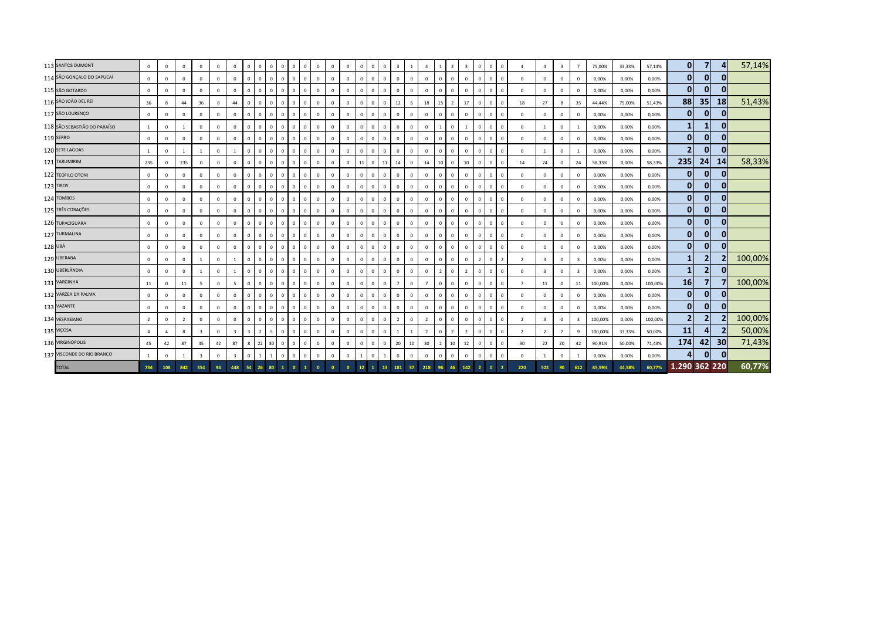| 113 SANTOS DUMONT            | $\mathbf 0$    | $\mathbf 0$               | $\mathbf{0}$   | $\mathbf{0}$            | $^{\circ}$   | $\overline{0}$          | $\overline{0}$          |            | $\mathbf{0}$   | $\mathbf{0}$                 | $\mathbf{0}$<br>$^{\circ}$  | $\mathbf{0}$ | $\mathbf{0}$ | $\mathbf{0}$   | $\mathbf{0}$    | $\mathbf{0}$ | $\overline{0}$<br>$\overline{3}$ | $\overline{1}$ | $\overline{4}$ | $\mathbf{1}$   | $\overline{z}$ | $\overline{\mathbf{3}}$ | $\mathbf{0}$   | $\overline{0}$<br>$\overline{0}$        | $\Delta$       | $\overline{4}$          | $\overline{\mathbf{3}}$ | $\overline{7}$ | 75,00%  | 33,33% | 57,14%  | $\mathbf{0}$   | $\overline{7}$ | 4               | 57,14%  |
|------------------------------|----------------|---------------------------|----------------|-------------------------|--------------|-------------------------|-------------------------|------------|----------------|------------------------------|-----------------------------|--------------|--------------|----------------|-----------------|--------------|----------------------------------|----------------|----------------|----------------|----------------|-------------------------|----------------|-----------------------------------------|----------------|-------------------------|-------------------------|----------------|---------|--------|---------|----------------|----------------|-----------------|---------|
| 114 SÃO GONÇALO DO SAPUCAÍ   | $\mathbf 0$    | $\Omega$                  | $\Omega$       | $\Omega$                | $\Omega$     | $\mathbf{0}$            | $\,$ 0                  |            | $\mathbf 0$    | $\mathbf 0$                  | $\mathbf 0$                 | $\mathbf{0}$ | $\mathbf{0}$ | $\mathbf 0$    | $\mathbf{0}$    | $\mathbf{0}$ | $\,$ 0<br>$\mathbf{0}$           | $\mathbf 0$    | $\overline{0}$ | $\mathbf{0}$   | $\mathbf{0}$   | $\Omega$                | $\mathbf{0}$   | $\mathbf 0$<br>$\overline{0}$           | $^{\circ}$     | $\Omega$                | $\mathbf 0$             | $\Omega$       | 0,00%   | 0,00%  | 0,00%   | $\mathbf{0}$   | $\mathbf{0}$   | $\overline{0}$  |         |
| 115 SÃO GOTARDO              | $\Omega$       | $\overline{0}$            | $\mathbf{0}$   | $\mathbf 0$             | $\circ$      | $\overline{0}$          | $\overline{0}$          |            | $\mathbf{0}$   | $\mathbf 0$                  | $\mathbf{0}$                | $\mathbf{0}$ | $\mathbf{0}$ | $\mathbf 0$    | $\overline{0}$  | $\mathbf{0}$ | $\mathbf 0$<br>$\mathbf 0$       | $\circ$        | $\overline{0}$ | $\mathbf{0}$   | $\Omega$       | $\Omega$                | $\mathbf{0}$   | $\Omega$<br>$\overline{0}$              | $\mathbf{0}$   | $\Omega$                | $\mathbf 0$             | $\Omega$       | 0,00%   | 0,00%  | 0,00%   | $\mathbf{0}$   | $\mathbf{0}$   | $\overline{0}$  |         |
| 116 SÃO JOÃO DEL REI         | 36             | $\boldsymbol{\mathsf{R}}$ | 44             | 36                      | 8            | 44                      | $\overline{0}$          |            | $\mathbf{0}$   | $\mathbf{0}$                 | $\mathbf{0}$                | $\mathbf{0}$ | $^{\circ}$   | $\mathbf 0$    | $^{\circ}$      | $\mathbf{0}$ | $\mathbf 0$<br>12                | 6              | 18             | 15             | $\overline{z}$ | 17                      | $^{\circ}$     | $\mathbf{0}$<br>$\Omega$                | 18             | 27                      | 8                       | 35             | 44,44%  | 75,00% | 51,43%  | 88             | 35             | <b>18</b>       | 51,43%  |
| 117 SÃO LOURENÇO             | $\Omega$       | $\Omega$                  | $\Omega$       | $\mathbf 0$             | $\circ$      | $^{\circ}$              | $\overline{0}$          |            | $\mathbf{0}$   | $\mathbf{0}$<br>$^{\circ}$   | $\mathbf 0$                 | $\mathbf{0}$ | $\mathbf{0}$ | $\mathbb O$    | $\mathbf{0}$    | $\mathbf{0}$ | $\mathbf{0}$<br>$\mathbf{0}$     | $\mathbf 0$    | $\overline{0}$ | $\mathbf{0}$   | $\Omega$       | $\Omega$                | $\mathbf{0}$   | $\Omega$<br>$\Omega$                    | $^{\circ}$     | $\Omega$                | $\mathbf 0$             | $\Omega$       | 0,00%   | 0,00%  | 0,00%   | $\mathbf{0}$   | $\mathbf{0}$   | $\mathbf{0}$    |         |
| 118 SÃO SEBASTIÃO DO PARAÍSO | 1              | $\mathbf{0}$              | 1              | $\mathbf{0}$            | $\mathbf{0}$ | $\overline{0}$          | $\overline{0}$          |            | $\mathbf 0$    | $\mathbf{0}$                 | $\mathbf{0}$                | $\mathbf{0}$ | $^{\circ}$   | $\mathbf 0$    | $\mathbf{0}$    | $\mathbf 0$  | $\overline{0}$<br>$\mathbf{0}$   | $\mathbf{0}$   | $\overline{0}$ |                | $\mathbf{0}$   |                         | $\mathbf 0$    | $\mathbf 0$<br>$\overline{0}$           | $\mathbf{0}$   | 1                       | $\mathbf 0$             | 1              | 0,00%   | 0,00%  | 0,00%   | 1              | $\mathbf{1}$   | $\mathbf{0}$    |         |
| 119 SERRO                    | $\mathbf 0$    | $\overline{0}$            | $\overline{0}$ | $\mathbf 0$             | $\mathbf 0$  | $\overline{0}$          | $\overline{0}$          |            | $\mathbf 0$    | $\mathbf{0}$                 | $\mathbf{0}$                | $^{\circ}$   | $^{\circ}$   | $\mathbf 0$    | $\mathbf{0}$    | $\mathbf{0}$ | $\overline{0}$<br>$\mathbf 0$    | $\mathbf 0$    | $\overline{0}$ | $\mathbf{0}$   | $\mathbf 0$    | $^{\circ}$              | $\mathbf 0$    | $\mathbf 0$<br>$\Omega$                 | $^{\circ}$     | $^{\circ}$              | $\mathbf 0$             | $^{\circ}$     | 0,00%   | 0,00%  | 0,00%   | $\mathbf{0}$   | $\overline{0}$ | $\mathbf{0}$    |         |
| 120 SETE LAGOAS              |                | $\overline{0}$            | 1              | $\overline{1}$          | $\mathbf{0}$ |                         | $\overline{0}$          |            | $\mathbf{0}$   | $\mathbf{0}$                 | $\mathbf 0$<br>$\mathbf{0}$ | $\mathbf{0}$ | $\mathbf{0}$ | $\mathbb O$    | $\mathbf{0}$    | $\mathbf{0}$ | $\mathbf{0}$<br>$\mathbf{0}$     | $\mathbf 0$    | $\overline{0}$ | $\mathbf{0}$   | $\mathbf 0$    | $\mathbf 0$             | $\mathbf{0}$   | $\overline{0}$<br>$\overline{0}$        | $\mathbf{0}$   | 1                       | $\mathbb O$             | -1             | 0,00%   | 0,00%  | 0,00%   | $\overline{2}$ | $\mathbf{0}$   | $\overline{0}$  |         |
| 121 TARUMIRIM                | 235            | $\overline{0}$            | 235            | $\mathbf{0}$            | $\mathbf{0}$ | $\mathbf{0}$            | $\mathbf{0}$            |            | $\mathbf 0$    | $\mathbf{0}$<br>$\mathbf{0}$ | $\mathbf{0}$                | $\mathbf{0}$ | $^{\circ}$   | $\mathbf 0$    | 11              | $\mathbf{0}$ | 14<br>11                         | $\circ$        | 14             | 10             | $\mathbf{0}$   | 10                      | $\mathbf{0}$   | $\overline{0}$<br>$\overline{0}$        | 14             | 24                      | $\mathbf 0$             | 24             | 58,33%  | 0,00%  | 58,33%  | 235            | 24             | 14              | 58,33%  |
| 122 TEÓFILO OTONI            | $\Omega$       | $\overline{0}$            | $\mathbf{0}$   | $\mathbf 0$             | $\circ$      | $\Omega$                | $\overline{0}$          |            | $\mathbf 0$    | $\mathbf 0$                  | $\mathbf 0$                 | $\mathbf{0}$ | $\mathbf{0}$ | $\mathbf 0$    | $\mathbf{0}$    | $\mathbf 0$  | $\mathbf 0$<br>$\mathbf 0$       | $\circ$        | $\overline{0}$ | $\mathbf{0}$   | $\Omega$       | $\Omega$                | $\mathbf{0}$   | $\Omega$<br>$\overline{0}$              | $\mathbf 0$    | $\Omega$                | $\mathbf 0$             | $\Omega$       | 0,00%   | 0,00%  | 0,00%   | $\mathbf{0}$   | $\mathbf{0}$   | $\mathbf{0}$    |         |
| 123 TIROS                    | $\Omega$       | $\Omega$                  | $\mathbf 0$    | $\mathbf{0}$            | $\mathbf{0}$ | $\mathbf{0}$            | $\overline{0}$          |            | $\mathbf{0}$   | $\mathbf{0}$<br>$\Omega$     | $\mathbf{0}$                | $\mathbf{0}$ | $\mathbf{0}$ | $\overline{0}$ | $\mathbf{0}$    | $\mathbf{0}$ | $\mathbf{0}$<br>$\mathbf{0}$     | $\mathbf{0}$   | $\mathbf{0}$   | $\mathbf{0}$   | $\Omega$       | $\mathbf 0$             | $\mathbf{0}$   | $\mathbf{0}$<br>$\Omega$                | $\mathbf{0}$   | $\Omega$                | $\mathbf 0$             | $\Omega$       | 0,00%   | 0,00%  | 0,00%   | $\mathbf{0}$   | $\mathbf{0}$   | $\overline{0}$  |         |
| 124 TOMBOS                   | $\mathbf{0}$   | $\Omega$                  | $\Omega$       | $\mathbf{0}$            | $\mathbf{0}$ | $\mathbf{0}$            | $\overline{0}$          |            | $\mathbf{0}$   | $\mathbf{0}$                 | $\mathbf{0}$                | $\mathbf{0}$ | $\mathbf{0}$ | $\overline{0}$ | $\mathbf{0}$    | $\mathbf{0}$ | $\mathbf{0}$<br>$\mathbf{0}$     | $\mathbf{0}$   | $\overline{0}$ | $\mathbf{0}$   | $\mathbf{0}$   | $\Omega$                | $\mathbf{0}$   | $\overline{0}$<br>$\overline{0}$        | $\mathbf{0}$   | $\Omega$                | $\mathbf{0}$            | $\Omega$       | 0,00%   | 0,00%  | 0,00%   | $\mathbf{0}$   | $\mathbf{0}$   | $\overline{0}$  |         |
| 125 TRÊS CORAÇÕES            | $^{\circ}$     | $\overline{0}$            | $\mathbf 0$    | $\mathbf 0$             | $\mathbf{0}$ | $\overline{0}$          | $\overline{0}$          |            | $\mathbf 0$    | $\mathbf{0}$                 | $\mathbf 0$                 | $\mathbf{0}$ | $^{\circ}$   | $\mathbf 0$    | $\mathbf{0}$    | $\mathbf{0}$ | $\,$ 0<br>$\mathbf{0}$           | $\mathbf 0$    | $\overline{0}$ | $\Omega$       | $\mathbf 0$    | $\Omega$                | $\Omega$       | $\Omega$<br>$\overline{0}$              | $^{\circ}$     | $\Omega$                | $\mathbf 0$             | $\Omega$       | 0,00%   | 0,00%  | 0,00%   | $\mathbf{0}$   | $\overline{0}$ | 0               |         |
| 126 TUPACIGUARA              | $^{\circ}$     | $\overline{0}$            | $\mathbf 0$    | $\mathbf{0}$            | $\mathbf 0$  | $\mathbf 0$             | $\overline{0}$          |            | $\mathbf{0}$   | $\mathbf 0$<br>$\Omega$      | $\mathbf 0$                 | $\mathbf 0$  | $\Omega$     | $\mathbf 0$    | $^{\circ}$      | $\mathbf{0}$ | $\mathbf 0$<br>$\mathbf 0$       | $\mathbf 0$    | $\overline{0}$ | $^{\circ}$     | $\Omega$       | $^{\circ}$              | $\mathbf{0}$   | $\Omega$<br>$\Omega$                    | $\mathbf 0$    | $\Omega$                | $\mathbf 0$             | $\Omega$       | 0,00%   | 0,00%  | 0,00%   | 0              | $\mathbf{0}$   | 0               |         |
| 127 TURMALINA                | $^{\circ}$     | $\mathbf 0$               | $\mathbf 0$    | $\mathbf{0}$            | $\mathbf{0}$ | $\overline{0}$          | $\overline{0}$          | $\Omega$   | $\mathbf{0}$   | $\mathbf{0}$                 | $\circ$<br>$\mathbf{0}$     | $\mathbf{0}$ | $^{\circ}$   | $\overline{0}$ | $\mathbf{0}$    | $\mathbf{0}$ | $\,$ 0<br>$\mathbf 0$            | $\mathbf{0}$   | $\overline{0}$ | $\mathbf{0}$   | $\Omega$       | $^{\circ}$              | $\mathbf{0}$   | $\overline{0}$<br>$\Omega$              | $^{\circ}$     | $^{\circ}$              | $\mathbf 0$             | $\Omega$       | 0,00%   | 0,00%  | 0,00%   | $\mathbf{0}$   | $\mathbf{0}$   | $\mathbf{0}$    |         |
| 128 UBÁ                      | $\Omega$       | $\overline{0}$            | $\mathbf 0$    | $\mathbf 0$             | $\mathbf 0$  | $\mathbf{0}$            | $\,$ 0                  |            | $\mathbf 0$    | $\mathbf 0$<br>$^{\circ}$    | $\mathbf 0$                 | $\mathbf 0$  | $\mathbf 0$  | $\overline{0}$ | $\mathbf{0}$    | $\mathbf{0}$ | $\,$ 0<br>$\mathbf 0$            | $\mathbf 0$    | $\mathbf 0$    | $\mathbf{0}$   | $\mathbf{0}$   | $^{\circ}$              | $\mathbf 0$    | $\mathbf 0$<br>$\overline{0}$           | $^{\circ}$     | $\Omega$                | $\mathbf 0$             | $\Omega$       | 0,00%   | 0,00%  | 0,00%   | $\mathbf{0}$   | $\mathbf{0}$   | $\mathbf{0}$    |         |
| 129 UBERABA                  | $\Omega$       | $\overline{0}$            | $\overline{0}$ | $\overline{1}$          | $\mathbf{0}$ |                         | $\overline{0}$          |            | $\mathbf{0}$   | $\mathbf{0}$<br>$^{\circ}$   | $\mathbf{0}$                | $\mathbf{0}$ | $\mathbf{0}$ | $\mathbf 0$    | $\mathbf{0}$    | $\mathbf 0$  | $\mathbf{0}$<br>$\mathbf{0}$     | $\mathbf 0$    | $\overline{0}$ | $\mathbf{0}$   | $\Omega$       | $\mathbf 0$             | $\overline{2}$ | $\overline{0}$<br>$\overline{2}$        | $\overline{2}$ | $\overline{\mathbf{3}}$ | $\mathbf 0$             | 3              | 0,00%   | 0,00%  | 0,00%   | 1              | $\overline{2}$ |                 | 100,00% |
| 130 UBERLÂNDIA               | $\mathbf 0$    | $\overline{0}$            | $\mathbf 0$    | $\overline{1}$          | $\mathbf{0}$ |                         | $\overline{0}$          | $\Omega$   | $\mathbf 0$    | $\mathbf{0}$<br>$^{\circ}$   | $\mathbf{0}$                | $\mathbf{0}$ | $\mathbf{0}$ | $\mathbf 0$    | $\mathbf{0}$    | $\mathbf{0}$ | $\overline{0}$<br>$\mathbf{0}$   | $\circ$        | $\mathbf 0$    | $\overline{2}$ | $\mathbf{0}$   | $\overline{2}$          | $\mathbf{0}$   | $\overline{0}$<br>$\overline{0}$        | $\mathbf{0}$   | $\overline{\mathbf{3}}$ | $\mathbf 0$             | $\mathbf{3}$   | 0,00%   | 0,00%  | 0,00%   | $\mathbf{1}$   | 2 <sup>1</sup> | $\overline{0}$  |         |
| 131 VARGINHA                 | 11             | $\mathbf{0}$              | 11             | $5^{\circ}$             | $\mathbf{0}$ | $\overline{5}$          | $\mathbf{0}$            | $^{\circ}$ | $\mathbf 0$    | $\mathbf{0}$                 | $\mathbf{0}$                | $\mathbf{0}$ | $^{\circ}$   | $\mathbb O$    | $\mathbf{0}$    | $\mathbf{0}$ | $\mathbf 0$<br>$\overline{7}$    | $\mathbf 0$    | $\overline{7}$ | $\mathbf{0}$   | $\mathbf{0}$   | $\mathbf 0$             | $\mathbf{0}$   | $\mathbf 0$<br>$\overline{\phantom{0}}$ | $\overline{7}$ | 11                      | $\mathbf{0}$            | 11             | 100,00% | 0,00%  | 100,00% | 16             | $\overline{7}$ |                 | 100,00% |
| 132 VÁRZEA DA PALMA          | $^{\circ}$     | $\overline{0}$            | $\mathbf{0}$   | $\mathbf 0$             | $\mathbf{0}$ | $\overline{0}$          | $\Omega$                |            | $\mathbf 0$    | $\mathbf{0}$                 | $\mathbf{0}$                | $\mathbf{0}$ | $^{\circ}$   | $\mathbf 0$    | $\mathbf{0}$    | $\mathbf 0$  | $\mathbf 0$<br>$\mathbf 0$       | $\mathbf{0}$   | $\overline{0}$ | $\mathbf{0}$   | $\overline{0}$ | $\mathbf 0$             | $\mathbf 0$    | $\mathbf 0$<br>$\overline{0}$           | $\mathbf{0}$   | $^{\circ}$              | $\mathbf 0$             | $\Omega$       | 0,00%   | 0,00%  | 0,00%   | $\mathbf{0}$   | $\mathbf{0}$   | $\mathbf{0}$    |         |
| 133 VAZANTE                  | $^{\circ}$     | $\Omega$                  | $\mathbf 0$    | $\mathbf{0}$            | $\mathbf 0$  | $\Omega$                | $\overline{0}$          |            | $\mathbf{0}$   | $\mathbf 0$<br>$^{\circ}$    | $\mathbf 0$                 | $\mathbf{0}$ | $\Omega$     | $\mathbf 0$    | $\mathbf{0}$    | $\mathbf{0}$ | $\,$ 0<br>$\mathbf 0$            | $\mathbf 0$    | $\mathbf 0$    | $\mathbf{0}$   | $\Omega$       | $^{\circ}$              | $\mathbf{0}$   | $\mathbf 0$<br>$\Omega$                 | $\mathbf{0}$   | $\Omega$                | $\mathbf 0$             |                | 0,00%   | 0,00%  | 0,00%   | $\mathbf{0}$   | $\mathbf{0}$   | $\mathbf{0}$    |         |
| 134 VESPASIANO               | $\overline{2}$ | $\mathbf 0$               | $\overline{2}$ | $\mathbf{0}$            | $\mathbf{0}$ | $\overline{0}$          | $\overline{0}$          | $\Omega$   | $\mathbf 0$    | $\mathbf{0}$<br>$^{\circ}$   | $\circ$                     | $\mathbf{0}$ | $\mathbf{0}$ | $\mathbf 0$    | $\mathbf{0}$    | $\mathbf 0$  | $\overline{2}$<br>$\,$ 0         | $\mathbf 0$    | $\overline{2}$ | $\mathbf{0}$   | $\Omega$       | $\Omega$                | $\mathbf 0$    | $\mathbf{0}$<br>$\overline{0}$          | $\overline{2}$ | $\overline{\mathbf{3}}$ | $\mathbb O$             | $\mathbf{R}$   | 100,00% | 0,00%  | 100,00% | $\overline{2}$ | $\overline{2}$ |                 | 100,00% |
| 135 VIÇOSA                   | $\Delta$       | $\overline{4}$            | 8              | $\overline{\mathbf{3}}$ | $\mathbf 0$  | $\overline{\mathbf{3}}$ | $\overline{\mathbf{3}}$ |            | $5^{\circ}$    | $\mathbf{0}$                 | $\mathbf{0}$                | $\mathbf{0}$ | $\mathbf{0}$ | $\overline{0}$ | $\mathbf{0}$    | $\mathbf 0$  | $\mathbf{0}$<br>$\overline{1}$   | $\mathbf{1}$   | $\overline{2}$ | $\mathbf{0}$   | $\overline{2}$ | $\overline{2}$          | $\mathbf{0}$   | $\mathbf 0$<br>$\overline{0}$           | $\overline{2}$ | $\overline{2}$          | $\overline{7}$          | -9             | 100,00% | 33,33% | 50,00%  | 11             | 4 <sup>1</sup> | $\overline{2}$  | 50,00%  |
| 136 VIRGINÓPOLIS             | 45             | 42                        | 87             | 45                      | 42           | 87                      | 8                       | 22         | 30             | $\mathbf{0}$<br>$\Omega$     | $\mathbf{0}$                | $\mathbf{0}$ | $^{\circ}$   | $\mathbf 0$    | $\mathbf{0}$    | $\mathbf{0}$ | $\mathbf 0$<br>20                | 10             | 30             | $\overline{2}$ | 10             | $12\,$                  | $\mathbf{0}$   | $\Omega$<br>$\Omega$                    | 30             | 22                      | 20                      | 42             | 90,91%  | 50,00% | 71,43%  | 174            | 42             | 30 <sup>1</sup> | 71,43%  |
| 137 VISCONDE DO RIO BRANCO   |                | $\mathbf{0}$              | $\overline{1}$ | $\overline{\mathbf{3}}$ | $\circ$      | $\overline{\mathbf{3}}$ | $\mathbf{0}$            |            | $\overline{1}$ | $\mathbf{0}$<br>$\Omega$     | $\mathbf 0$                 | $\mathbf{0}$ | $\mathbf{0}$ | $\mathbf 0$    | $\overline{1}$  | $\mathbf 0$  | $\mathbf 0$                      | $\mathbf 0$    | $\overline{0}$ | $\mathbf{0}$   | $\mathbf{0}$   | $\mathbf 0$             | $\mathbf 0$    | $\Omega$<br>$\Omega$                    | $\mathbf 0$    |                         | $\mathbb O$             |                | 0,00%   | 0,00%  | 0,00%   | 4              | $\overline{0}$ | $\mathbf{0}$    |         |
| <b>TOTAL</b>                 | 734            | 108                       | 842            | 354                     | 94           | 448                     | 54                      |            | 80             |                              |                             | $\Omega$     |              |                | 12 <sup>2</sup> |              | 181<br>13                        | 37             | 218            |                | 46             | 142                     |                |                                         | 220            | 522                     | 90                      | 612            | 65.59%  | 44.58% | 60,77%  | 1.290 362 220  |                |                 | 60,77%  |
|                              |                |                           |                |                         |              |                         |                         |            |                |                              |                             |              |              |                |                 |              |                                  |                |                |                |                |                         |                |                                         |                |                         |                         |                |         |        |         |                |                |                 |         |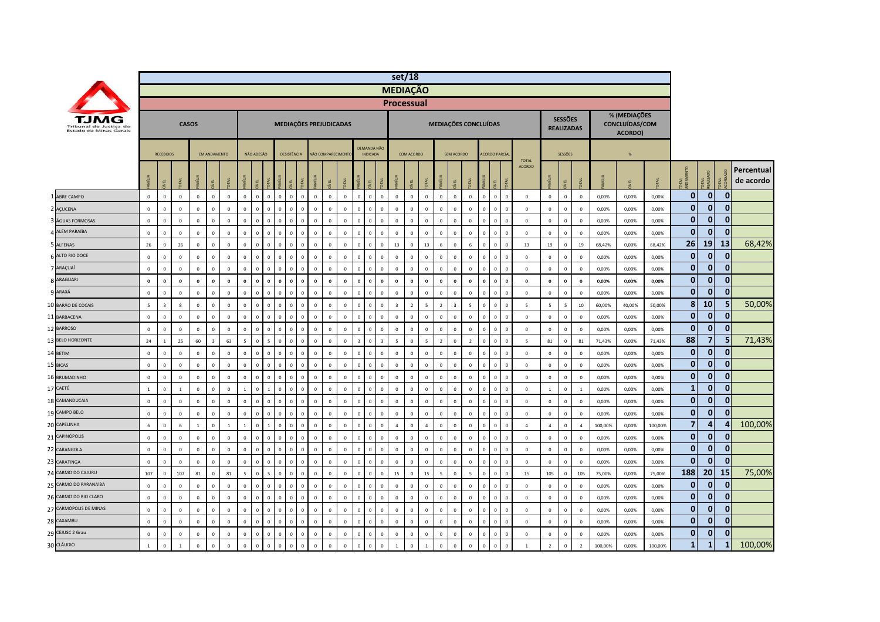|                                                  |                |                  |                  |              |                         |                |                |              |                         |                             |              |              |                          |              |                |                                        |                                | set/18            |                |                |                |                      |                |                      |              |                               |                         |                                     |                |         |                                           |         |                         |                |              |                         |
|--------------------------------------------------|----------------|------------------|------------------|--------------|-------------------------|----------------|----------------|--------------|-------------------------|-----------------------------|--------------|--------------|--------------------------|--------------|----------------|----------------------------------------|--------------------------------|-------------------|----------------|----------------|----------------|----------------------|----------------|----------------------|--------------|-------------------------------|-------------------------|-------------------------------------|----------------|---------|-------------------------------------------|---------|-------------------------|----------------|--------------|-------------------------|
|                                                  |                |                  |                  |              |                         |                |                |              |                         |                             |              |              |                          |              |                |                                        |                                | <b>MEDIAÇÃO</b>   |                |                |                |                      |                |                      |              |                               |                         |                                     |                |         |                                           |         |                         |                |              |                         |
|                                                  |                |                  |                  |              |                         |                |                |              |                         |                             |              |              |                          |              |                |                                        |                                | <b>Processual</b> |                |                |                |                      |                |                      |              |                               |                         |                                     |                |         |                                           |         |                         |                |              |                         |
| Tribunal de Justica do<br>Estado de Minas Gerais |                |                  |                  | <b>CASOS</b> |                         |                |                |              |                         | MEDIAÇÕES PREJUDICADAS      |              |              |                          |              |                |                                        |                                |                   |                |                |                | MEDIAÇÕES CONCLUÍDAS |                |                      |              |                               |                         | <b>SESSÕES</b><br><b>REALIZADAS</b> |                |         | % (MEDIAÇÕES<br>CONCLUÍDAS/COM<br>ACORDO) |         |                         |                |              |                         |
|                                                  |                | <b>RECEBIDOS</b> |                  |              | <b>EM ANDAMENTO</b>     |                |                | NÃO ADESÃO   |                         | DESISTÊNCIA                 |              |              | <b>VÃO COMPARECIMENT</b> |              |                | DEMANDA NÃC<br><b>INDICADA</b>         |                                | COM ACORDO        |                |                | SEM ACORDO     |                      |                | <b>ACORDO PARCIA</b> |              |                               |                         | <b>SESSÕES</b>                      |                |         | %                                         |         |                         |                |              |                         |
|                                                  |                | yEL              |                  | <b>MILIA</b> |                         |                | <b>SE</b>      | g            |                         |                             |              |              |                          |              |                | <b>DIAL</b><br>핒                       |                                |                   |                |                | g              | DTAL                 | <b>MILL</b>    |                      | <b>DTAL</b>  | <b>TOTAL</b><br><b>ACORDO</b> |                         | ξL.                                 |                |         | EL                                        |         | 로홀                      | DTAL<br>EALIZA |              | Percentual<br>de acordo |
| ABRE CAMPO                                       | $\mathbf 0$    | $\mathbf 0$      | $\mathbf 0$      | $\mathbf 0$  | $\mathbf 0$             | $\mathbf{0}$   | $\mathbf 0$    | $\mathbf 0$  | $\mathbf 0$             | $\mathbf 0$<br>$\mathbf{0}$ | $\mathsf 0$  | $\mathbf 0$  | $\mathbf 0$              | $\mathbf 0$  | $\mathbf 0$    | $\mathbf 0$                            | $\mathbf{0}$<br>$\mathbf 0$    | $\mathbf{0}$      | $\mathbf 0$    | $\mathbf 0$    | $\mathbf 0$    | $\mathbf 0$          | $\circ$        | $\mathbf 0$          | $\mathbf 0$  | $\mathbb O$                   | $\mathsf 0$             | $\mathbf 0$                         | $\mathbf 0$    | 0,00%   | 0,00%                                     | 0,00%   | $\bf{0}$                | $\mathbf{0}$   | $\mathbf 0$  |                         |
| 2 AÇUCENA                                        | $\,0\,$        | $\mathbf 0$      | $\mathbf 0$      | $\mathbf 0$  | $^{\circ}$              | $\mathbf 0$    | $\mathbb O$    | $\mathbf 0$  | $\overline{0}$          | $\mathbf 0$                 | $\mathsf 0$  | $\mathbf 0$  | $\overline{0}$           | $\mathbf 0$  | $\Omega$       | $\mathbf 0$<br>$\mathbf 0$             | $\mathbf 0$                    | $\Omega$          | $\mathbf 0$    | $\Omega$       | $\mathbf 0$    | $\mathbf 0$          | $\overline{0}$ | $\Omega$             | $\mathbf 0$  | $\mathbf 0$                   | $\mathbf 0$             | $\,0\,$                             | $\mathbf 0$    | 0,00%   | 0,00%                                     | 0,00%   | $\bf{0}$                | $\mathbf{0}$   | $\Omega$     |                         |
| ÁGUAS FORMOSAS                                   | $\,0\,$        | $\mathbf 0$      | $\,0\,$          | $\mathsf 0$  | $\mathbf 0$             | $\mathbf 0$    | $\overline{0}$ | $\mathbf 0$  | $\mathbf 0$             | $\mathbf 0$                 | $\mathsf 0$  | $\pmb{0}$    | $\mathbf 0$              | $\mathbf 0$  | $\mathbf 0$    | $\mathbf 0$<br>$\mathbf 0$             | $\mathbf 0$                    | $\Omega$          | $\mathbf 0$    | $\mathbf 0$    | $\mathbf 0$    | $\mathbf 0$          | $\mathbf 0$    |                      | $\mathbf 0$  | $\mathbf 0$                   | $\mathbf 0$             | $\mathbf 0$                         | $\mathbf 0$    | 0,00%   | 0,00%                                     | 0,00%   | $\bf{0}$                | $\mathbf 0$    | $\mathbf 0$  |                         |
| ALÉM PARAÍBA                                     | $\mathsf 0$    | $\mathbf{0}$     | $\mathbf 0$      | $\mathsf 0$  | $\Omega$                | $\Omega$       | $\Omega$       | $\mathbf{0}$ | $\overline{0}$          | $\mathbf{0}$<br>$\sqrt{2}$  | $\mathbf{0}$ | $\mathbf{0}$ | $\mathsf 0$              | $\mathbf{0}$ | $\Omega$       | $\mathbf{0}$<br>$\mathbf{0}$           | $\mathbf{0}$                   | $\Omega$          | $\mathbf{0}$   | $\Omega$       | $\Omega$       | $\mathbf 0$          | $\Omega$       | $\Omega$             | $\mathbf{0}$ | $\Omega$                      | $\,0\,$                 | $\mathbf{0}$                        | $\mathbf{0}$   | 0,00%   | 0,00%                                     | 0,00%   | $\mathbf{0}$            | $\mathbf{0}$   | $\Omega$     |                         |
| 5 ALFENAS                                        | 26             | $\mathbf 0$      | 26               | $\mathbf 0$  | $\mathbf 0$             | $\mathbf{0}$   | $\mathbf 0$    | $\mathbf{0}$ | $\,$ 0                  | $\mathbf{0}$<br>$\mathbf 0$ | $\mathsf 0$  | $\mathbf 0$  | $\mathbf{0}$             | $\mathbf 0$  | $\mathbf{0}$   | $\mathbf 0$                            | 13<br>$\mathbf{0}$             | $\Omega$          | 13             | 6              | $\mathsf 0$    | 6                    | $\circ$        | $\mathbf{0}$         | $\mathbf 0$  | 13                            | 19                      | $\mathbf 0$                         | 19             | 68,42%  | 0,00%                                     | 68,42%  | 26                      | 19             | 13           | 68,42%                  |
| ALTO RIO DOCE                                    | $\mathbf 0$    | $\mathbf 0$      | $\mathbf 0$      | $\mathbf 0$  | $\Omega$                | $\mathbf 0$    | $\overline{0}$ | $\mathbf 0$  | $\overline{\mathbf{0}}$ | $\mathbf 0$<br>$\Omega$     | $\mathbf 0$  | $\mathbf 0$  | $\mathbf{0}$             | $\mathbf 0$  | $\Omega$       | $\mathbf 0$<br>$\Omega$                | $\mathbf 0$                    | $\Omega$          | $\Omega$       | $\Omega$       | $\mathbf 0$    | $^{\circ}$           | $\mathbf 0$    | $\Omega$             | $\mathbf 0$  | $\mathbf 0$                   | $\mathbf{0}$            | $\mathsf 0$                         | $\mathbf 0$    | 0,00%   | 0,00%                                     | 0,00%   | $\bf{0}$                | $\mathbf{0}$   | $\Omega$     |                         |
| 7 ARAÇUAÍ                                        | $\,0\,$        | $\mathbf 0$      | $\mathbf 0$      | $\mathsf 0$  | $\mathbf 0$             | $\mathbf 0$    | $\overline{0}$ | $\mathbf 0$  | $\overline{0}$          | $\mathbf 0$                 | $\mathsf 0$  | $\mathbf 0$  | $\mathbf 0$              | $\mathbf 0$  | $\mathbf 0$    | $\mathbf 0$<br>$\mathbf 0$             | $\mathbf 0$                    |                   | $\mathbf 0$    | $\mathbf 0$    | $\mathbf 0$    | $\mathbf 0$          | $\mathbf 0$    | $\mathbf 0$          | $\mathbf 0$  | $\mathbf 0$                   | $\mathbf 0$             | $\mathbf 0$                         | $\mathbf 0$    | 0,00%   | 0,00%                                     | 0,00%   | $\bf{0}$                | $\mathbf{0}$   | $\mathbf 0$  |                         |
| 8 ARAGUARI                                       | $\mathbf 0$    | $\mathbf 0$      | $\mathbf 0$      | $\mathbf 0$  | $\mathbf{0}$            | $\Omega$       | $\mathbf{0}$   | $\mathbf 0$  | $\bf{0}$                | $\mathbf 0$<br>$\Omega$     | $\mathbf{0}$ | $\bf{0}$     | $\mathbf 0$              | $\mathbf 0$  | $\mathbf{0}$   | $\mathbf 0$<br>$\Omega$                | $\mathbf{0}$                   | $\Omega$          | $\bf{0}$       | $\Omega$       | $\mathbf 0$    | $\pmb{0}$            | $\bf{0}$       | $\bf{0}$             | $\mathbf 0$  | $\mathbf 0$                   | $\mathbf 0$             | $\mathbf 0$                         | $\mathbf 0$    | 0,00%   | 0,00%                                     | 0,00%   | $\bf{0}$                | $\mathbf{0}$   | $\mathbf{0}$ |                         |
| 9 ARAXÁ                                          | $\mathsf 0$    | $\mathbf 0$      | $\mathbf{0}$     | $\Omega$     | $\Omega$                | $\mathbf{0}$   | $\mathbf{0}$   | $\mathbf 0$  | $\Omega$                | $\mathbf 0$                 | $\mathbf{0}$ | $\Omega$     | $\Omega$                 | $\mathbf{0}$ | $\Omega$       | $\Omega$<br>$\Omega$                   | $\mathbf{0}$                   | $\Omega$          | $\mathbf{0}$   | $\Omega$       | $\Omega$       | $\Omega$             | $\Omega$       | $\Omega$             | $\mathbf{0}$ | $\mathbb O$                   | $\mathbf 0$             | $\mathbf 0$                         | $\Omega$       | 0,00%   | 0,00%                                     | 0,00%   | $\mathbf 0$             | $\mathbf{0}$   | $\mathbf{0}$ |                         |
| 10 BARÃO DE COCAIS                               | $\overline{5}$ | $\overline{3}$   | $\boldsymbol{8}$ | $\mathbf 0$  | $\Omega$                | $\mathbf{0}$   | $\Omega$       | $\mathbf 0$  | $\Omega$                | $\mathbf 0$                 | $\mathbf{0}$ | $\mathbf 0$  | $\mathbf 0$              | $\Omega$     | $\Omega$       | $\Omega$<br>$\Omega$                   | $\overline{\mathbf{3}}$        | $\overline{z}$    | $\overline{5}$ | $\overline{2}$ | $\overline{3}$ | $\overline{5}$       | $\Omega$       | $\Omega$             | $\mathbf 0$  | -5                            | $\overline{\mathbf{5}}$ | $\overline{5}$                      | 10             | 60,00%  | 40,00%                                    | 50,00%  | 8                       | 10             | 5            | 50,00%                  |
| 11 BARBACENA                                     | $\,0\,$        | $\mathbf 0$      | $\mathbf 0$      | $\mathbf 0$  | $\mathbf 0$             | $\mathbf 0$    | $\overline{0}$ | $\mathbf 0$  | $\Omega$                | $\mathbf 0$                 | $\mathsf 0$  | $\mathbf 0$  | $\mathbf 0$              | $\mathbf 0$  | $\Omega$       | $\Omega$<br>$\mathbf 0$                | $\mathbf 0$                    | $\Omega$          | $\mathbf 0$    | $\Omega$       | $\mathsf 0$    | $\mathbf{0}$         | $\mathbf 0$    | $\Omega$             | $\mathbb O$  | $\mathbf 0$                   | $\mathbf 0$             | $\mathsf 0$                         | $\mathbf 0$    | 0,00%   | 0,00%                                     | 0,00%   | $\bf{0}$                | $\mathbf{0}$   | $\mathbf{0}$ |                         |
| 12 BARROSO                                       | $\,0\,$        | $\mathbf 0$      | $\mathbf 0$      | $\mathbf 0$  | $\Omega$                | $\Omega$       | $\overline{0}$ | $\mathbf 0$  | $\,$ 0                  | $\mathbf 0$<br>$\Omega$     | $\mathbf{0}$ | $\mathbf 0$  | $\mathsf 0$              | $\mathbf 0$  | $\mathbf{0}$   | $\mathbb O$                            | $\mathbf{0}$<br>$\mathbf 0$    | $\Omega$          | $\mathbf{0}$   | $\Omega$       | $\mathsf 0$    | $\mathbf{0}$         | $\Omega$       | $\Omega$             | $\mathsf 0$  | $\Omega$                      | $\mathbf 0$             | $\mathbf{0}$                        | $\mathbf 0$    | 0,00%   | 0,00%                                     | 0,00%   | $\mathbf{0}$            | $\overline{0}$ | $\mathbf{0}$ |                         |
| 13 BELO HORIZONTE                                | 24             | $\mathbf{1}$     | 25               | 60           | $\overline{\mathbf{3}}$ | 63             | 5              | $\mathbf 0$  | 5                       | $\mathbf 0$<br>$\Omega$     | $\mathsf 0$  | $\mathbf 0$  | $\mathbf 0$              | $\mathbf 0$  | $\overline{3}$ | $\mathbf 0$<br>$\overline{\mathbf{3}}$ | $\overline{\mathbf{5}}$        | $\Omega$          | $\overline{5}$ | $\overline{2}$ | $\mathsf 0$    | $\overline{2}$       | $\mathbb O$    | $\mathbf 0$          | $\mathbf 0$  | $\overline{5}$                | 81                      | $\mathsf 0$                         | 81             | 71,43%  | 0,00%                                     | 71,43%  | 88                      | 7              | 5            | 71,43%                  |
| 14 BETIM                                         | $\mathsf 0$    | $\mathbf{0}$     | $\mathbf 0$      | $\Omega$     | $\Omega$                | $\mathbf{0}$   | $\Omega$       | $\mathbf 0$  | $\Omega$                | $\Omega$                    | $\mathbf{0}$ | $\Omega$     | $\Omega$                 | $\mathbf{0}$ | $\mathbf{0}$   | $\Omega$<br>$\Omega$                   | $\mathbf{0}$                   | $\Omega$          | $\mathbf{0}$   | $\Omega$       | $\mathbf{0}$   | $\mathbf{0}$         | $\Omega$       | $\Omega$             | $\mathbf{0}$ | $\mathbf 0$                   | $\Omega$                | $\mathbf{0}$                        | $\mathbf{0}$   | 0,00%   | 0,00%                                     | 0.00%   | $\mathbf 0$             | $\mathbf{0}$   | $\mathbf{0}$ |                         |
| 15 BICAS                                         | $\mathsf 0$    | $\mathbf 0$      | $\mathbf 0$      | $\mathbf 0$  | $\mathbf 0$             | $\mathbf 0$    | $\overline{0}$ | $\mathbf 0$  | $\Omega$                | $\mathbf 0$                 | $\mathsf 0$  | $\mathbf 0$  | $\mathsf 0$              | $\mathbf 0$  | $\circ$        | $\mathbb O$<br>$\Omega$                | $\mathbf 0$                    | $\Omega$          | $\mathbf 0$    | $\Omega$       | $\mathbf 0$    | $\mathbf 0$          | $\Omega$       | $\Omega$             | $\mathbf 0$  | $\mathbf 0$                   | $\mathsf 0$             | $\mathbf 0$                         | $\,$ 0 $\,$    | 0,00%   | 0,00%                                     | 0,00%   | $\bf{0}$                | $\mathbf{0}$   | $\Omega$     |                         |
| 16 BRUMADINHO                                    | $\mathsf 0$    | $\mathbf 0$      | $\mathbf 0$      | $\mathbf 0$  | $\Omega$                | $\mathbf{0}$   | $\Omega$       | $\mathbf{0}$ | $\overline{0}$          | $\mathbf 0$<br>$\Omega$     | $\mathbf{0}$ | $\mathbf{0}$ | $\mathsf 0$              | $\mathbf 0$  | $\mathbf{0}$   | $\mathbf 0$                            | $\mathbf{0}$<br>$\mathbf{0}$   | $\Omega$          | $\mathbf{0}$   | $\mathbf{0}$   | $\mathbf{0}$   | $\mathbf{0}$         | $\Omega$       | $\Omega$             | $\mathbf 0$  | $\Omega$                      | $\mathsf 0$             | $\mathbf 0$                         | $\mathbf 0$    | 0,00%   | 0,00%                                     | 0,00%   | $\bf{0}$                | $\mathbf{0}$   | $\mathbf{0}$ |                         |
| 17 CAETÉ                                         | $\mathbf{1}$   | $\mathbf 0$      | $\mathbf{1}$     | $\mathbf 0$  | $\mathbf 0$             | $\mathbf 0$    | $\mathbf{1}$   | $\mathbf{0}$ |                         | $\mathbf 0$<br>$\Omega$     | $\mathsf 0$  | $\mathbf 0$  | $\mathbf 0$              | $\mathbf 0$  | $\mathbf 0$    | $\mathbf 0$<br>$\mathbf 0$             | $\mathbf 0$                    | $\Omega$          | $\mathbf 0$    | $\Omega$       | $\mathbf 0$    | $\mathbf 0$          | $\mathbb O$    | $\mathbf 0$          | $\mathbf 0$  | $\mathbf 0$                   | $\mathbf{1}$            | $\mathbf 0$                         | $\overline{1}$ | 0,00%   | 0,00%                                     | 0,00%   | $\mathbf{1}$            | $\mathbf{0}$   | $\Omega$     |                         |
| 18 CAMANDUCAIA                                   | $\mathsf 0$    | $\mathbf 0$      | $\mathbf 0$      | $\mathbf 0$  | $\mathbf 0$             | $\mathbf 0$    | $\mathbf 0$    | $\mathbf 0$  | $\overline{0}$          | $\mathbf 0$                 | $\mathsf 0$  | $\mathbf 0$  | $\mathbf 0$              | $\mathbf 0$  | $\mathbf 0$    | $\mathbf 0$<br>$\mathbf 0$             | $\mathbf 0$                    | $\Omega$          | $\mathbf 0$    | $\Omega$       | $\mathbf 0$    | $\mathsf 0$          | $\mathbf 0$    | $\Omega$             | $\mathbf 0$  | $\mathbb O$                   | $\mathbf 0$             | $\mathsf 0$                         | $\mathbf 0$    | 0,00%   | 0,00%                                     | 0,00%   | $\mathbf{0}$            | $\mathbf{0}$   | $\mathbf 0$  |                         |
| 19 CAMPO BELO                                    | $\mathsf 0$    | $\mathbf 0$      | $\mathbf 0$      | $\mathbf 0$  | $\mathbf 0$             | $\mathbf{0}$   | $\overline{0}$ | $\mathbf 0$  | $\Omega$                | $\mathbf 0$                 | $\mathbf{0}$ | $\mathbf 0$  | $\mathbf{0}$             | $\mathbf 0$  | $\Omega$       | $\Omega$<br>$\Omega$                   | $\mathbf 0$                    | $\Omega$          | $\mathbf{0}$   | $\Omega$       | $\mathsf 0$    | $\mathbf 0$          | $\Omega$       | $\Omega$             | $\mathsf 0$  | $\Omega$                      | $\mathsf 0$             | $\mathsf 0$                         | $\,$ 0         | 0,00%   | 0,00%                                     | 0,00%   | $\mathbf 0$             | $\mathbf{0}$   | $\Omega$     |                         |
| 20 CAPELINHA                                     | $6\phantom{1}$ | $\mathbf{0}$     | 6                | $\mathbf{1}$ | $\Omega$                | $\overline{1}$ | $\overline{1}$ | $\mathbf{0}$ | $\overline{1}$          | $\mathbf{0}$<br>$\Omega$    | $\mathbf{0}$ | $\Omega$     | $\Omega$                 | $\mathbf{0}$ | $\mathbf{0}$   | $\mathbf 0$                            | $\overline{a}$<br>$\mathbf{0}$ | $\Omega$          | $\Delta$       | $\mathbf{0}$   | $\mathbf{0}$   | $\mathbf{0}$         | $\mathbf 0$    | $\mathbf{0}$         | $\mathbf{0}$ | $\overline{4}$                | $\overline{a}$          | $\mathbf{0}$                        | $\overline{a}$ | 100,00% | 0,00%                                     | 100,00% | $\overline{\mathbf{z}}$ | 4              |              | 100,00%                 |
| 21 CAPINÓPOLIS                                   | $\mathbf 0$    | $\mathbf 0$      | $\mathbf 0$      | $\mathbf 0$  | $\mathbf 0$             | $\mathbf 0$    | $\mathbf 0$    | $\mathbf 0$  | $\overline{\mathbf{0}}$ | $\mathbf 0$<br>$\Omega$     | $\mathsf 0$  | $\mathbf 0$  | $\mathbf{0}$             | $\mathbf 0$  | $\circ$        | $\mathbf 0$                            | $\mathbf 0$<br>$\mathbf{0}$    | $\Omega$          | $\mathbf 0$    | $\mathbf 0$    | $\mathbf 0$    | $\mathbf 0$          | $\mathbf{0}$   | $\mathbf 0$          | $\mathbf 0$  | $\mathbf 0$                   | $\mathbf 0$             | $\mathsf 0$                         | $\mathbf 0$    | 0,00%   | 0,00%                                     | 0,00%   | $\bf{0}$                | $\mathbf{0}$   | $\mathbf 0$  |                         |
| 22 CARANGOLA                                     | $\mathsf 0$    | $\mathbf 0$      | $\mathbf 0$      | $\mathbf 0$  | $\mathbf 0$             | $\mathbf 0$    | $\overline{0}$ | $\mathbf 0$  | $\overline{0}$          | $\mathbf 0$                 | $\mathsf 0$  | $\mathbf 0$  | $\overline{0}$           | $\mathbf 0$  | $\mathbf 0$    | $\mathbf 0$<br>$\mathbf 0$             | $\mathbf 0$                    | $\Omega$          | $\mathbf 0$    | $\mathbf 0$    | $\mathbf{0}$   | $\mathbf 0$          | $\mathbf 0$    | $\mathbf 0$          | $\mathbf 0$  | $\mathbf 0$                   | $\mathbf 0$             | $\mathsf 0$                         | $\mathbf 0$    | 0,00%   | 0,00%                                     | 0,00%   | $\mathbf{0}$            | $\mathbf{0}$   | $\mathbf 0$  |                         |
| 23 CARATINGA                                     | $\mathbf 0$    | $\mathbf 0$      | $\mathbf 0$      | $\,0\,$      | $\mathsf 0$             | $\mathbf 0$    | $\mathbf 0$    | $\mathsf{O}$ | $\,$ 0                  | $\mathbf 0$<br>$\Omega$     | $\mathsf 0$  | $\mathbf 0$  | $\mathbf 0$              | $\mathbf 0$  | $\mathbf 0$    | $\mathbb O$<br>$\mathbf 0$             | $\mathbf 0$                    | $\Omega$          | $\mathbf 0$    | $\Omega$       | $\,0\,$        | $\mathbf 0$          | $\mathbf 0$    | $\Omega$             | $\mathbf 0$  | $\mathbb O$                   | $\mathbf 0$             | $\mathbf 0$                         | $\mathbf 0$    | 0,00%   | 0,00%                                     | 0,00%   | $\mathbf{0}$            | $\mathbf{0}$   | $\mathbf{0}$ |                         |
| CARMO DO CAJURU<br>24                            | 107            | $\mathbf{0}$     | 107              | 81           | $\Omega$                | 81             | $\overline{5}$ | $\mathbf{0}$ | $\overline{5}$          | $\mathbf{0}$<br>$\Omega$    | $\mathbf{0}$ | $\Omega$     | $\Omega$                 | $\mathbf{0}$ | $\circ$        | $\mathbf{0}$                           | 15<br>$\mathbf{0}$             | $\mathbf{0}$      | 15             | $\overline{5}$ | $\mathbf{0}$   | $\overline{5}$       | $\mathbf{0}$   | $\mathbf{0}$         | $\mathbf{0}$ | 15                            | 105                     | $\mathbf{0}$                        | 105            | 75,00%  | 0,00%                                     | 75,00%  | 188                     | 20             | 15           | 75,00%                  |
| CARMO DO PARANAÍBA<br>25                         | $\mathbf 0$    | $\mathbf 0$      | $\mathbf 0$      | $\mathbf 0$  | $\mathbf 0$             | $\mathbf 0$    | $\mathbb O$    | $\mathbf{0}$ | $\,$ 0                  | $\mathbf 0$<br>$\Omega$     | $\mathsf 0$  | $\mathbf 0$  | $\mathbf{0}$             | $\mathbf 0$  | $\mathbf{0}$   | $\mathbb O$<br>$\Omega$                | $\mathbf 0$                    | $\Omega$          | $\mathbf 0$    | $\Omega$       | $\mathbf 0$    | $\mathbf{0}$         | $\mathbb O$    | $\Omega$             | $\mathbf 0$  | $\mathbf 0$                   | $\mathbf 0$             | $\mathsf 0$                         | $\mathbf 0$    | 0,00%   | 0,00%                                     | 0,00%   | $\bf{0}$                | $\mathbf{0}$   | $\mathbf 0$  |                         |
| 26 CARMO DO RIO CLARO                            | $\mathsf 0$    | $\mathbf 0$      | $\mathbf 0$      | $\mathbf 0$  | $\mathbf 0$             | $\mathbf 0$    | $\overline{0}$ | $\mathbf 0$  | $\overline{0}$          | $\mathbf 0$                 | $\mathsf 0$  | $\mathbf 0$  | $\mathbf 0$              | $\mathbf 0$  | $\Omega$       | $\mathbf 0$<br>$\mathbf 0$             | $\mathbf 0$                    | $\Omega$          | $\mathbf 0$    | $\Omega$       | $\mathbf 0$    | $\mathbf 0$          | $\mathbf 0$    |                      | $\mathbf 0$  | $\mathbf 0$                   | $\mathbf 0$             | $\mathsf 0$                         | $\mathbf 0$    | 0,00%   | 0,00%                                     | 0,00%   | $\bf{0}$                | 0              | $\mathbf{0}$ |                         |
| 27 CARMÓPOLIS DE MINAS                           | $\,0\,$        | $\mathbf 0$      | $\mathbf 0$      | $\mathsf 0$  | $^{\circ}$              | $\mathbf 0$    | $\overline{0}$ | $\mathbf 0$  | $\Omega$                | $\mathbf 0$                 | $\mathsf 0$  | $\mathbf 0$  | $\mathbf 0$              | $\mathbf 0$  | $\Omega$       | $\mathbf 0$<br>$\Omega$                | $\mathbf 0$                    | $\Omega$          | $\mathbf 0$    | $\Omega$       | $\mathsf 0$    | $\mathbf 0$          | $\mathbf 0$    | $\Omega$             | $\mathbf 0$  | $\mathbf{0}$                  | $\mathbf 0$             | $\mathbf 0$                         | $\,0\,$        | 0,00%   | 0,00%                                     | 0,00%   | $\mathbf{0}$            | $\mathbf{0}$   | $\Omega$     |                         |
| 28 CAXAMBU                                       | $\mathsf 0$    | $\mathbf 0$      | $\mathbf 0$      | $\mathbf 0$  | $\mathbf 0$             | $\Omega$       | $\mathbf 0$    | $\mathbf 0$  | $\mathbf 0$             | $\mathbf 0$<br>$\Omega$     | $\mathsf 0$  | $\mathbf 0$  | $\mathbf{0}$             | $\mathbf 0$  | $\mathbf 0$    | $\mathbb O$                            | $\mathbf 0$<br>$\mathbf{0}$    | $\Omega$          | $\mathbf 0$    | $\mathbf 0$    | $\mathsf 0$    | $\mathsf 0$          | $\mathbf{0}$   | $\mathbf 0$          | $\mathbf 0$  | $\mathbb O$                   | $\mathbf 0$             | $\mathbf 0$                         | $\,$ 0 $\,$    | 0,00%   | 0,00%                                     | 0,00%   | $\mathbf{0}$            | $\mathbf{0}$   | $\mathbf 0$  |                         |
| 29 CEJUSC 2 Grau                                 | $\mathbf 0$    | $\mathbf 0$      | $\mathbf 0$      | $\mathbf 0$  | $\Omega$                | $\mathbf 0$    | $\mathbf 0$    | $\mathbf{0}$ | $\,$ 0                  | $\mathbf 0$<br>$\Omega$     | $\mathsf 0$  | $\mathbf 0$  | $\mathbf{0}$             | $\mathbf 0$  | $\mathbf 0$    | $\mathbf 0$<br>$\Omega$                | $\mathbf 0$                    | $\Omega$          | $\mathbf{0}$   | $\mathbf{0}$   | $\mathbf 0$    | $\mathbf{0}$         | $\mathbf 0$    | $\Omega$             | $\mathbf 0$  | $\mathbf 0$                   | $\mathbf 0$             | $\mathbf 0$                         | $\mathbf 0$    | 0,00%   | 0,00%                                     | 0,00%   | $\bf{0}$                | $\mathbf{0}$   | $\Omega$     |                         |
| 30 CLÁUDIO                                       | $\mathbf{1}$   | $\mathbf{0}$     | $\mathbf{1}$     | $\mathbf 0$  | $\mathbf 0$             | $\mathbf 0$    | $\overline{0}$ | $\mathbf 0$  | $\overline{0}$          | $\mathbf 0$<br>$\Omega$     | $\mathsf 0$  | $\mathbf 0$  | $\overline{0}$           | $\mathbf 0$  | $\mathbf 0$    | $\mathbf 0$<br>$\mathbf 0$             | $\overline{1}$                 | $\Omega$          |                | $\mathbf 0$    | $\mathbf 0$    | $\mathbf 0$          | $\mathbf 0$    | $\Omega$             | $\mathbf{0}$ | $\overline{1}$                | $\overline{2}$          | $\Omega$                            | $\overline{2}$ | 100,00% | 0,00%                                     | 100,00% | $\mathbf{1}$            | 1              | $\mathbf{1}$ | 100,00%                 |
|                                                  |                |                  |                  |              |                         |                |                |              |                         |                             |              |              |                          |              |                |                                        |                                |                   |                |                |                |                      |                |                      |              |                               |                         |                                     |                |         |                                           |         |                         |                |              |                         |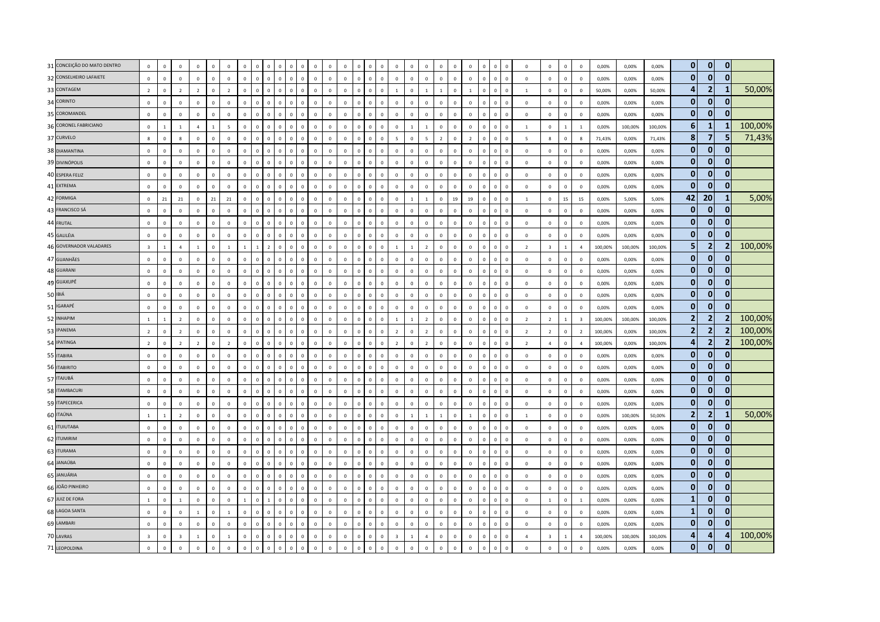| 31 CONCEIÇÃO DO MATO DENTRO | $\mathbf{0}$            | $\mathbf 0$    | $\mathbf 0$    | $\mathbf 0$    | $\mathbf 0$    | $\mathbf 0$    | $\mathbb O$  | $\sqrt{2}$     | $\Omega$       | $\mathbf 0$  |                          | $\overline{0}$                      | $\overline{0}$ | $\mathbf 0$    | $\,$ 0         |            | $\mathbf 0$  | $\mathbf 0$             | $\overline{0}$ | $\mathbf 0$    | $\mathbf 0$    | $^{\circ}$  | $\mathbf 0$    | $\Omega$     |                                          | $\,$ 0         | $\mathbf 0$             | $\mathbf 0$    | $\mathbf 0$             | 0,00%   | 0,00%   | 0,00%   | $\mathbf{0}$   | $\mathbf{0}$    | $\mathbf{0}$   |         |
|-----------------------------|-------------------------|----------------|----------------|----------------|----------------|----------------|--------------|----------------|----------------|--------------|--------------------------|-------------------------------------|----------------|----------------|----------------|------------|--------------|-------------------------|----------------|----------------|----------------|-------------|----------------|--------------|------------------------------------------|----------------|-------------------------|----------------|-------------------------|---------|---------|---------|----------------|-----------------|----------------|---------|
| 32 CONSELHEIRO LAFAIETE     | $\mathbf 0$             | $\mathbf 0$    | $\mathbb O$    | $\mathbf 0$    | $\mathbf 0$    | $\mathbf 0$    | $\mathbb O$  | $\mathbb O$    | $\circ$        | $\mathbf{0}$ | $\overline{0}$           | $\mathfrak o$<br>$\mathbf 0$        | $\mathbf 0$    | $\mathbf 0$    | $\mathbf 0$    | $\Omega$   | $\mathbf 0$  | $\mathbf 0$             | $\mathbf 0$    | $\mathbb O$    | $\mathbf 0$    | $\mathbf 0$ | $\mathsf 0$    | $\mathbf 0$  | $\mathbf 0$<br>$\mathsf 0$               | $\mathbf 0$    | $\mathbf 0$             | $\mathsf 0$    | $\mathbf 0$             | 0,00%   | 0,00%   | 0,00%   | $\mathbf{0}$   | $\mathbf{0}$    | $\mathbf{0}$   |         |
| 33 CONTAGEM                 | $\overline{2}$          | $\mathbf 0$    | $\overline{2}$ | $\overline{2}$ | $\mathsf 0$    | $\overline{2}$ | $\mathbf 0$  | $\Omega$       | $\mathbf{0}$   | $\mathbb O$  | $\sqrt{ }$               | $\mathsf 0$<br>$\Omega$             | $\overline{0}$ | $\mathbf 0$    | $\mathbf 0$    | $\Omega$   | $\mathbf 0$  | $\mathbf{1}$            | $\Omega$       | $\overline{1}$ | $\mathbf{1}$   | $\mathbf 0$ | $\overline{1}$ | $\mathbf 0$  | $\Omega$<br>$\Omega$                     | 1              | $\mathbf{0}$            | $\mathbf 0$    | $\mathbf{0}$            | 50,00%  | 0,00%   | 50,00%  | 4              | $\overline{2}$  | 1              | 50,00%  |
| 34 CORINTO                  | $\mathbf 0$             | $\mathbf 0$    | $\Omega$       | $\mathbf 0$    | $\overline{0}$ | $\overline{0}$ | $\mathbb O$  | $\mathbf{0}$   | $\Omega$       | $\mathbb O$  | $\Omega$<br>$\Omega$     | $\,$ 0                              | $\mathbf{0}$   | $\overline{0}$ | $\mathbf{0}$   | $\Omega$   | $\mathbf 0$  | $\mathbf{0}$            | $\mathbf 0$    | $\mathbb O$    | $\mathbf 0$    | $\Omega$    | $\mathsf 0$    | $\mathbf{0}$ | $\Omega$<br>$\Omega$                     | $\,$ 0         | $\mathbf 0$             | $\mathbf 0$    | $\mathbf 0$             | 0,00%   | 0,00%   | 0,00%   | $\mathbf{0}$   | $\overline{0}$  | $\mathbf{0}$   |         |
| 35 COROMANDEL               | $\mathsf 0$             | $\mathbf 0$    | $\mathbb O$    | $\mathsf 0$    | $\mathsf 0$    | $\mathbb O$    | $\mathbf 0$  | $\,$ 0         | $\circ$        | $\mathbf{0}$ | $\overline{0}$           | $\mathsf 0$<br>$\mathbf 0$          | $\mathsf 0$    | $\mathbf 0$    | $\mathbf 0$    | $\Omega$   | $\mathbf 0$  | $\mathbf 0$             | $\mathbf 0$    | $\mathbb O$    | $\mathbb O$    | $\mathbf 0$ | $\mathsf 0$    | $\mathbf 0$  | $\overline{0}$<br>$\mathsf 0$            | $\mathbf 0$    | $\mathbf 0$             | $\mathsf 0$    | $\mathbf 0$             | 0,00%   | 0,00%   | 0,00%   | $\mathbf{0}$   | $\mathbf{0}$    | $\mathbf{0}$   |         |
| 36 CORONEL FABRICIANO       | $\mathbf 0$             | $\mathbf{1}$   | $\mathbf{1}$   | $\overline{4}$ | $\mathbf{1}$   | $\overline{5}$ | $\mathbf 0$  | $\mathbf 0$    | $\mathbf 0$    | $\mathbf 0$  |                          | $\overline{0}$                      | $\overline{0}$ | $\mathbf 0$    | $\overline{0}$ |            | $\mathbf 0$  | $\mathbf 0$             |                | $\mathbf{1}$   | $\mathbb O$    | $\mathbf 0$ | $\mathsf 0$    | $\mathbf 0$  | $\mathbf 0$<br>$\mathbf 0$               | 1              | $\mathbf 0$             | $\mathbf{1}$   | $\mathbf{1}$            | 0,00%   | 100,00% | 100,00% | 6              | $\mathbf{1}$    | -1             | 100,00% |
| 37 CURVELO                  | 8                       | $\mathbf{0}$   | $\mathbf{g}$   | $\mathbf{0}$   | $\overline{0}$ | $\mathbf{0}$   | $\Omega$     | $\Omega$       | $\mathbf{0}$   | $\mathbf 0$  | $\Omega$                 | $\Omega$<br>$\Omega$                | $\overline{0}$ | $\mathbf{0}$   | $\mathbf{0}$   | $\Omega$   | $\mathbf{0}$ | $\overline{5}$          | $\mathbf{0}$   | $\overline{5}$ | $\overline{2}$ | $\Omega$    | $\overline{2}$ | $\mathbf{0}$ | $\Omega$<br>$\Omega$                     | $\overline{5}$ | $\mathbf{g}$            | $\mathbf{0}$   | $\mathbf{g}$            | 71,43%  | 0,00%   | 71,43%  | 8              | $\overline{7}$  | 5              | 71,43%  |
| 38 DIAMANTINA               | $\mathbf 0$             | $\mathbf 0$    | $\Omega$       | $\mathbf 0$    | $\mathbf 0$    | $\mathbf 0$    | $\mathbf 0$  | $\Omega$       | $\mathbf{0}$   | $\mathbf 0$  | $\Omega$<br>$\Omega$     | $\mathsf 0$                         | $\mathsf 0$    | $\mathbf 0$    | $\mathbf{0}$   | $\Omega$   | $\mathbf 0$  | $\circ$                 | $\mathbf 0$    | $\mathbb O$    | $\mathbb O$    | $^{\circ}$  | $\mathbf 0$    | $\mathbf 0$  | $\overline{0}$<br>$\Omega$               | $\,$ 0         | $\mathbf{0}$            | $\overline{0}$ | $\mathbf{0}$            | 0,00%   | 0,00%   | 0,00%   | $\mathbf{0}$   | $\mathbf{0}$    | $\bf{0}$       |         |
| 39 DIVINÓPOLIS              | $\mathbf 0$             | $\overline{0}$ | $\mathbb O$    | $\mathbf{0}$   | $\overline{0}$ | $\mathbf 0$    | $\mathbf 0$  | $\mathbf 0$    | $\mathbf 0$    | $\mathbf 0$  |                          | $\overline{0}$<br>$\mathbf 0$       | $\overline{0}$ | $\mathbf 0$    | $\,$ 0 $\,$    |            | $\mathbf{0}$ | $\mathbf 0$             | $\overline{0}$ | $\mathbb O$    | $\mathbb O$    | $\mathbf 0$ | $\overline{0}$ | $\mathbf 0$  | $\mathbf 0$<br>$\mathbf 0$               | $\mathbf 0$    | $\mathbf 0$             | $\,0\,$        | $\mathbf 0$             | 0,00%   | 0,00%   | 0,00%   | $\mathbf{0}$   | $\mathbf{0}$    | $\mathbf{0}$   |         |
| 40 ESPERA FELIZ             | $\mathbf 0$             | $\mathbf 0$    | $\mathbb O$    | $\mathbf 0$    | $\,0\,$        | $\mathbf 0$    | $\mathbf 0$  | $\,$ 0 $\,$    | $\mathbf{0}$   | $\mathbf{0}$ | $\overline{0}$           | $\mathbf 0$<br>$\mathbf 0$          | $\overline{0}$ | $\mathbf 0$    | $\mathbf 0$    |            | $\mathbf 0$  | $\mathbf 0$             | $\mathbf 0$    | $\mathbb O$    | $\mathbf 0$    | $\mathbf 0$ | $\mathsf 0$    | $\mathbf 0$  | $\mathbf 0$<br>$\mathsf 0$               | $\mathbf 0$    | $\mathbf 0$             | $\,0\,$        | $\mathbf 0$             | 0,00%   | 0,00%   | 0,00%   | $\mathbf{0}$   | $\mathbf{0}$    | $\mathbf{0}$   |         |
| 41 EXTREMA                  | $\mathbf{0}$            | $\Omega$       | $\Omega$       | $\mathbf{0}$   | $\mathbf{0}$   | $\mathbf{0}$   | $\Omega$     | $\Omega$       | $\Omega$       | $\Omega$     | $\sqrt{ }$               | $\Omega$<br>$\Omega$                | $\Omega$       | $\mathbf{0}$   | $\mathbf{0}$   |            | $\mathbf{0}$ | $\Omega$                | $\Omega$       | $\mathbf 0$    | $\mathbf 0$    | $\Omega$    | $\mathbf{0}$   | $\Omega$     | $\Omega$<br>$\Omega$                     | $\mathbf{0}$   | $\Omega$                | $\mathbf{0}$   | $\Omega$                | 0.00%   | 0.00%   | 0.00%   | $\mathbf{0}$   | $\Omega$        | $\mathbf{0}$   |         |
| 42 FORMIGA                  | $\mathsf 0$             | 21             | 21             | $\mathbf 0$    | 21             | 21             | $\mathbb O$  | $\Omega$       | $\Omega$       | $\Omega$     |                          | $\overline{\mathbf{0}}$<br>$\Omega$ | $\,$ 0         | $\mathbf 0$    | $\sqrt{2}$     |            | $\mathbf 0$  | $\mathbf 0$             | $\overline{1}$ | $\overline{1}$ | $\mathbb O$    | 19          | 19             | $\mathbf 0$  | $\Omega$<br>$\Omega$                     | $\overline{1}$ | $\mathbf 0$             | 15             | 15                      | 0,00%   | 5,00%   | 5,00%   | 42             | 20 <sub>2</sub> | 1              | 5,00%   |
| 43 FRANCISCO SÁ             | $\mathbf 0$             | $\mathbf 0$    | $\mathbf 0$    | $\mathbf 0$    | $\,0\,$        | $\mathbf 0$    | $\mathbb O$  | $\mathbf 0$    | $\mathbf{0}$   | $\mathbb O$  | $\Omega$                 | $\mathsf 0$<br>$\Omega$             | $\,0\,$        | $\mathbf 0$    | $\mathbb O$    | $\Omega$   | $\mathbf 0$  | $\mathsf 0$             | $\mathbf 0$    | $\mathbb O$    | $\mathbb O$    | $\mathbf 0$ | $\mathsf 0$    | $\mathbf 0$  | $\overline{0}$<br>$\Omega$               | $\,0\,$        | $\mathbf{0}$            | $\,0\,$        | $\mathbf 0$             | 0,00%   | 0,00%   | 0,00%   | $\mathbf{0}$   | $\overline{0}$  | $\mathbf{0}$   |         |
| 44 FRUTAL                   | $\mathbf 0$             | $\overline{0}$ | $\circ$        | $\Omega$       | $\mathbf{0}$   | $\mathbf 0$    | $\Omega$     | $\Omega$       | $\mathbf{0}$   | $\Omega$     | $\Omega$                 | $\Omega$<br>$\Omega$                | $\Omega$       | $\mathbf 0$    | $\mathbf{0}$   |            | $\mathbf 0$  | $\Omega$                | $\Omega$       | $\mathbf 0$    | $\mathbb O$    | $\Omega$    | $\Omega$       | $\mathbf 0$  | $\Omega$<br>$\Omega$                     | $\mathbf 0$    | $\mathbf 0$             | $\mathbf{0}$   | $\mathbf 0$             | 0,00%   | 0,00%   | 0,00%   | $\mathbf{0}$   | $\mathbf{0}$    | $\mathbf{0}$   |         |
| 45 GALILÉIA                 | $\mathbf{0}$            | $\mathbf 0$    | $\Omega$       | $\mathbf{0}$   | $\overline{0}$ | $\mathbf{0}$   | $\mathbf 0$  | $\Omega$       | $\mathbf{0}$   | $\mathbf 0$  | $\Omega$<br>$\Omega$     | $\overline{0}$                      | $\overline{0}$ | $\overline{0}$ | $\mathbf{0}$   | $\Omega$   | $\mathbf{0}$ | $\mathbf{0}$            | $\mathbf{0}$   | $\mathbf 0$    | $\overline{0}$ | $\Omega$    | $\mathbf{0}$   | $\mathbf{0}$ | $\Omega$<br>$\Omega$                     | $\mathbf{0}$   | $\Omega$                | $\overline{0}$ | $\Omega$                | 0,00%   | 0,00%   | 0,00%   | $\mathbf{0}$   | $\mathbf{0}$    | $\Omega$       |         |
| 46 GOVERNADOR VALADARES     | $\overline{\mathbf{3}}$ | $\overline{1}$ | $\overline{a}$ | $\overline{1}$ | $\mathsf 0$    | $\overline{1}$ | $\mathbf{1}$ | $\overline{1}$ | $\overline{z}$ | $\mathbf 0$  | $\Omega$                 | $\mathsf 0$<br>$\Omega$             | $\mathsf 0$    | $\mathbf 0$    | $\,$ 0         | $\Omega$   | $\mathbf 0$  | $\mathbf{1}$            | $\overline{1}$ | $\overline{z}$ | $\mathbf 0$    | $\Omega$    | $\mathsf 0$    | $\circ$      | $\overline{0}$<br>$\mathsf 0$            | $\overline{2}$ | $\overline{\mathbf{3}}$ | $\mathbf{1}$   | $\overline{4}$          | 100,00% | 100,00% | 100,00% | 5              | $\overline{2}$  | 2              | 100,00% |
| 47 GUANHÃES                 | $\mathbf 0$             | $\mathbb O$    | $\mathbb O$    | $\mathbf 0$    | $\,0\,$        | $\mathbf 0$    | $\mathbf 0$  | $\Omega$       | $\Omega$       | $\mathbf 0$  | $\sqrt{2}$               | $\overline{0}$<br>$\Omega$          | $\overline{0}$ | $\mathbf 0$    | $\Omega$       |            | $\mathbf 0$  | $\mathbf 0$             | $\mathbf 0$    | $\mathbb O$    | $\mathbb O$    | $\mathbf 0$ | $\,0\,$        | $\mathbf 0$  | $\Omega$<br>$\Omega$                     | $\,0\,$        | $\mathbf 0$             | $\,0\,$        | $\mathbf 0$             | 0,00%   | 0,00%   | 0,00%   | $\mathbf{0}$   | $\Omega$        | $\mathbf{0}$   |         |
| 48 GUARANI                  | $\mathbf 0$             | $\mathbf 0$    | $\Omega$       | $\mathbf{0}$   | $\mathbf 0$    | $\mathbf 0$    | $\Omega$     | $\mathbf{0}$   | $\mathbf{0}$   | $\mathbf{0}$ | $\Omega$                 | $\overline{0}$<br>$\Omega$          | $\,0\,$        | $\mathbf 0$    | $\mathbf 0$    |            | $\mathbf 0$  | $\mathbf 0$             | $\mathbf 0$    | $\mathbb O$    | $\mathbb O$    | $\mathbf 0$ | $\mathsf 0$    | $\circ$      | $\overline{0}$<br>$\Omega$               | $\mathbf 0$    | $\mathbf 0$             | $\mathbf 0$    | $\mathbf 0$             | 0,00%   | 0,00%   | 0,00%   | $\mathbf{0}$   | $\overline{0}$  | $\mathbf{0}$   |         |
| 49 GUAXUPÉ                  | $\Omega$                | $\mathbf 0$    | $\Omega$       | $\Omega$       | $\mathbf{0}$   | $\Omega$       | $\Omega$     | $\Omega$       | $\Omega$       | $\Omega$     | $\Omega$                 | $\mathbf{0}$<br>$\Omega$            | $\Omega$       | $\Omega$       | $\mathbf{0}$   | $\Omega$   | $\Omega$     | $\Omega$                | $\Omega$       | $\Omega$       | $\mathbb O$    | $\Omega$    | $\Omega$       | $\mathbf 0$  | $\Omega$<br>$\Omega$                     | $\Omega$       | $\Omega$                | $\mathbf 0$    | $\Omega$                | 0,00%   | 0,00%   | 0,00%   | $\mathbf{0}$   | $\mathbf{0}$    | $\mathbf{0}$   |         |
| 50 IBIÁ                     | $\mathbf 0$             | $\mathbf 0$    | $\mathbf 0$    | $\mathbf 0$    | $\,0\,$        | $\mathbf 0$    | $\mathbb O$  | $\Omega$       | $\Omega$       | $\mathbf 0$  | $\sqrt{2}$               | $\overline{0}$<br>$\Omega$          | $\,$ 0         | $\mathbf 0$    | $\mathbf 0$    | $\Omega$   | $\mathbf 0$  | $\mathbf 0$             | $\overline{0}$ | $\mathbb O$    | $\mathbf 0$    | $\mathbf 0$ | $\,0\,$        | $\Omega$     | $\Omega$<br>$\Omega$                     | $\,0\,$        | $\mathbf 0$             | $\,0\,$        | $\mathbf 0$             | 0,00%   | 0,00%   | 0,00%   | $\mathbf{0}$   | $\mathbf{0}$    | $\mathbf{0}$   |         |
| 51 IGARAPÉ                  | $\mathbf 0$             | $\mathbf 0$    | $\mathbf 0$    | $\mathbf 0$    | $\,0\,$        | $\mathbf{0}$   | $\mathbf 0$  | $\mathbf{0}$   | $\mathbf{0}$   | $\mathbb O$  | $\Omega$<br>$\Omega$     | $\,$ 0                              | $\,0\,$        | $\mathbf 0$    | $\mathbf 0$    | $\Omega$   | $\mathbf 0$  | $\mathbf 0$             | $\mathbf 0$    | $\mathbf 0$    | $\mathbf 0$    | $\mathbf 0$ | $\mathbf 0$    | $\mathbf 0$  | $\overline{\phantom{0}}$<br>$\mathbf{0}$ | $\mathbf{0}$   | $\mathbf 0$             | $\,0\,$        | $\mathbf 0$             | 0,00%   | 0,00%   | 0,00%   | $\mathbf{0}$   | $\mathbf{0}$    | $\mathbf{0}$   |         |
| 52 INHAPIM                  | $\mathbf{1}$            | $\overline{1}$ | $\overline{2}$ | $\mathbf 0$    | $\mathbf 0$    | $\mathbf 0$    | $\mathbf 0$  | $\mathbf{0}$   | $\Omega$       | $\mathbf 0$  | $\Omega$                 | $\overline{0}$                      | $\overline{0}$ | $\mathbf 0$    | $\Omega$       |            | $\mathbf 0$  | $\mathbf{1}$            | $\overline{1}$ | $\overline{z}$ | $\mathbb O$    | $\Omega$    | $\mathsf 0$    | $\mathbf 0$  | $\Omega$<br>$\Omega$                     | $\overline{2}$ | $\overline{2}$          | $\mathbf{1}$   | $\overline{\mathbf{3}}$ | 100,00% | 100,00% | 100,00% | $\overline{2}$ | $\overline{2}$  |                | 100,00% |
| 53 IPANEMA                  | $\overline{2}$          | $\mathbf 0$    | $\overline{z}$ | $\Omega$       | $\,0\,$        | $\Omega$       | $\mathbf{0}$ | $\Omega$       | $\Omega$       | $\mathbf{0}$ | $\sqrt{2}$               | $\overline{0}$<br>$\Omega$          | $\mathbf{0}$   | $\overline{0}$ | $\mathbf{0}$   | $\Omega$   | $\mathbf{0}$ | $\overline{2}$          | $\mathbf{0}$   | $\overline{2}$ | $\mathbf 0$    | $\Omega$    | $\mathsf 0$    | $\mathbf 0$  | $\Omega$<br>$\Omega$                     | $\overline{z}$ | $\overline{z}$          | $\mathsf 0$    | $\overline{z}$          | 100,00% | 0.00%   | 100,00% | $\mathbf{2}$   | $\overline{2}$  | $\overline{2}$ | 100,00% |
| 54 IPATINGA                 | $\overline{2}$          | $\mathbf 0$    | $\overline{2}$ | $\overline{2}$ | $\mathbf 0$    | $\overline{2}$ | $\mathbb O$  | $\overline{0}$ | $\mathbf{0}$   | $\mathbf 0$  | $\Omega$<br>$\mathbf{0}$ | $\overline{0}$                      | $\mathsf 0$    | $\mathbf 0$    | $\mathbf 0$    | $\Omega$   | $\mathbf{0}$ | $\overline{2}$          | $\mathbf{0}$   | $\overline{2}$ | $\mathbb O$    | $^{\circ}$  | $\mathsf 0$    | $\mathbf 0$  | $\overline{\mathbf{0}}$<br>$\mathbf{0}$  | $\overline{2}$ | $\overline{a}$          | $\mathbf 0$    | $\overline{4}$          | 100,00% | 0,00%   | 100,00% | 4              | $\overline{2}$  | 2              | 100,00% |
| 55 ITABIRA                  | $\mathbf 0$             | $\mathbf 0$    | $\mathbf 0$    | $\mathbf 0$    | $\,0\,$        | $\overline{0}$ | $\mathbf 0$  | $\Omega$       | $\mathbf{0}$   | $\mathbf 0$  | $\sqrt{2}$<br>$\Omega$   | $\overline{\mathbf{0}}$             | $\mathbf{0}$   | $\overline{0}$ | $\mathbf{0}$   | $\Omega$   | $\mathbf 0$  | $\mathbf 0$             | $\overline{0}$ | $\mathbb O$    | $\mathbb O$    | $\mathbf 0$ | $\mathsf 0$    | $\Omega$     | $\Omega$<br>$\mathbf{0}$                 | $\mathbf 0$    | $\mathbf 0$             | $\mathbf 0$    | $\mathbf 0$             | 0,00%   | 0,00%   | 0,00%   | $\mathbf{0}$   | $\Omega$        | $\Omega$       |         |
| 56 ITABIRITO                | $\mathbf 0$             | $\mathbf 0$    | $\mathbb O$    | $\mathbf 0$    | $\,0\,$        | $\mathbb O$    | $\mathbb O$  | $\mathbf{0}$   | $\mathbf{0}$   | $\mathbf 0$  | $\Omega$<br>$\Omega$     | $\mathbf 0$                         | $\,$ 0         | $\mathbf 0$    | $\mathbf 0$    | $\Omega$   | $\mathbf 0$  | $\mathbf 0$             | $\mathbf 0$    | $\mathbb O$    | $\mathbf 0$    | $\mathbf 0$ | $\mathsf 0$    | $\mathbf 0$  | $\overline{0}$<br>$\Omega$               | $\mathbf 0$    | $\mathbf 0$             | $\mathsf 0$    | $\mathbf 0$             | 0,00%   | 0,00%   | 0,00%   | $\mathbf{0}$   | $\overline{0}$  | $\mathbf{0}$   |         |
| 57 ITAJUBÁ                  | $\Omega$                | $\mathbb O$    | $\Omega$       | $\mathbf 0$    | $\mathsf 0$    | $\Omega$       | $\mathbf 0$  | $\Omega$       | $\Omega$       | $\mathbf 0$  | $\Omega$                 | $\mathsf 0$<br>$\Omega$             | $\Omega$       | $\Omega$       | $\mathbf{0}$   | $\Omega$   | $\mathbf 0$  | $\Omega$                | $\mathbf 0$    | $\Omega$       | $\mathbb O$    | $\Omega$    | $\mathsf 0$    | $\mathbf 0$  | $\Omega$<br>$\Omega$                     | $\Omega$       | $\Omega$                | $\mathbf 0$    | $\Omega$                | 0,00%   | 0.00%   | 0.00%   | $\bf{0}$       | $\mathbf{0}$    | 0              |         |
| 58 ITAMBACURI               | $\mathbf 0$             | $\,0\,$        | $\Omega$       | $\mathbf 0$    | $\overline{0}$ | $\Omega$       | $\mathbf 0$  | $\Omega$       | $\Omega$       | $\Omega$     | $\sqrt{ }$               | $\Omega$<br>$\Omega$                | $\Omega$       | $\overline{0}$ | $\Omega$       | $\sqrt{ }$ | $\mathbf{0}$ | $\Omega$                | $\Omega$       | $\mathbf 0$    | $\mathbf 0$    | $\Omega$    | $\,0\,$        | $\Omega$     | $\Omega$<br>$\Omega$                     | $\,0\,$        | $\Omega$                | $\,0\,$        | $\mathbf 0$             | 0,00%   | 0,00%   | 0,00%   | $\mathbf{0}$   | $\mathbf{0}$    | $\mathbf{0}$   |         |
| 59 ITAPECERICA              | $\mathbf 0$             | $\mathbf 0$    | $\Omega$       | $\mathbf 0$    | $\mathbf 0$    | $\mathbf 0$    | $\mathbb O$  | $\mathbf 0$    | $\mathbf{0}$   | $\mathbf 0$  | $\Omega$                 | $\mathsf 0$<br>$\Omega$             | $\mathbf 0$    | $\mathbf 0$    | $\mathbf 0$    | $\Omega$   | $\mathbf 0$  | $\mathbf 0$             | $\mathbf 0$    | $\mathbb O$    | $\mathbb O$    | $\mathbf 0$ | $\mathsf 0$    | $\circ$      | $\overline{0}$<br>$\Omega$               | $\,$ 0         | $\mathbf 0$             | $\mathbf 0$    | $\mathbf 0$             | 0,00%   | 0,00%   | 0,00%   | $\mathbf{0}$   | $\overline{0}$  | $\mathbf{0}$   |         |
| 60 ITAÚNA                   | $1\,$                   | $\overline{1}$ | $\overline{2}$ | $\mathbf 0$    | $\mathsf 0$    | $\mathbf 0$    | $\mathbf 0$  | $\Omega$       | $\mathbf 0$    | $\mathbb O$  | $\Omega$                 | $\mathsf 0$<br>$\Omega$             | $\overline{0}$ | $\mathbf 0$    | $\mathbf 0$    |            | $\mathbf 0$  | $\mathsf 0$             | $\overline{1}$ | $\overline{1}$ | $\mathbf{1}$   | $\mathbf 0$ | $\overline{1}$ | $\mathbf 0$  | $\Omega$<br>$\Omega$                     | $\mathbf{1}$   | $\mathbf 0$             | $\mathbf 0$    | $\mathbf 0$             | 0,00%   | 100,00% | 50,00%  | $\overline{2}$ | 2               | $\mathbf{1}$   | 50,00%  |
| 61 ITUIUTABA                | $\mathbf 0$             | $\,0\,$        | $\Omega$       | $\mathbf 0$    | $\mathbf 0$    | $\mathbf 0$    | $\mathbb O$  | $\Omega$       | $\Omega$       | $\Omega$     | $\Omega$<br>$\sqrt{ }$   | $\overline{0}$                      | $\,0\,$        | $\mathbf 0$    | $\Omega$       | $\Omega$   | $\mathbf 0$  | $\mathbf 0$             | $\mathbf 0$    | $\mathbb O$    | $\,0\,$        | $\Omega$    | $\mathsf 0$    | $\mathbf 0$  | $\Omega$<br>$\Omega$                     | $\mathbf 0$    | $\mathbf{0}$            | $\,0\,$        | $\mathbf{0}$            | 0,00%   | 0,00%   | 0,00%   | $\mathbf{0}$   | $\overline{0}$  | $\mathbf 0$    |         |
| 62 ITUMIRIM                 | $\mathbf{0}$            | $\mathbb O$    | $\Omega$       | $\mathbf{0}$   | $\mathbf 0$    | $\Omega$       | $\mathbb O$  | $\Omega$       | $\Omega$       | $\mathbf 0$  | $\Omega$<br>$\Omega$     | $\mathsf 0$                         | $\mathsf 0$    | $\mathbf{0}$   | $\mathbf{0}$   | $\Omega$   | $\mathbf 0$  | $\Omega$                | $\mathbf{0}$   | $\mathbb O$    | $\overline{0}$ | $\Omega$    | $\mathsf 0$    | $\circ$      | $\overline{0}$<br>$\Omega$               | $\Omega$       | $\mathbf 0$             | $\mathbf 0$    | $\mathbf 0$             | 0,00%   | 0.00%   | 0,00%   | $\mathbf{0}$   | $\mathbf{0}$    | $\mathbf{0}$   |         |
| 63 ITURAMA                  | $\mathbf 0$             | $\overline{0}$ | $\mathbb O$    | $\mathbf 0$    | $\overline{0}$ | $\mathbf 0$    | $\mathbf 0$  | $\sqrt{2}$     | $\mathbf{0}$   | $\mathbf 0$  |                          | $\overline{0}$                      | $\overline{0}$ | $\mathsf 0$    | $\Omega$       |            | $\mathbf 0$  | $\mathbf 0$             | $\overline{0}$ | $\mathbb O$    | $\mathbb O$    | $\mathbf 0$ | $\mathsf 0$    | $\mathbf 0$  | $\mathbf 0$<br>$\Omega$                  | $\mathbf 0$    | $\mathbf 0$             | $\mathsf 0$    | $\mathbf 0$             | 0,00%   | 0,00%   | 0,00%   | $\mathbf{0}$   | $\Omega$        | $\mathbf{0}$   |         |
| 64 JANAÚBA                  | $\mathbf 0$             | $\mathbf 0$    | $\mathbb O$    | $\Omega$       | $\,0\,$        | $\mathbf 0$    | $\mathbf 0$  | $\Omega$       | $\mathbf{0}$   | $\mathbb O$  | $\Omega$                 | $\overline{0}$<br>$\Omega$          | $\,$ 0         | $\mathsf 0$    | $\,$ 0 $\,$    | $\Omega$   | $\mathsf 0$  | $\mathbf 0$             | $\mathbf 0$    | $\mathbb O$    | $\mathbb O$    | $\mathbf 0$ | $\mathsf 0$    | $\mathbf 0$  | $\overline{0}$<br>$\Omega$               | $\mathbf 0$    | $\mathbf 0$             | $\mathsf 0$    | $\mathbf 0$             | 0,00%   | 0,00%   | 0,00%   | $\mathbf{0}$   | $\overline{0}$  | $\mathbf{0}$   |         |
| 65 JANUÁRIA                 | $\Omega$                | $\overline{0}$ | $\circ$        | $\Omega$       | $\mathbf{0}$   | $\mathbf{0}$   | $\Omega$     | $\Omega$       | $\mathbf{0}$   | $\mathbf 0$  | $\sqrt{ }$               | $\mathbf{0}$<br>$\Omega$            | $\mathbf{0}$   | $\mathbf{0}$   | $\mathbf{0}$   | $\Omega$   | $\mathbf{0}$ | $\Omega$                | $\Omega$       | $\mathbf 0$    | $\mathbf 0$    | $\Omega$    | $\Omega$       | $\Omega$     | $\Omega$<br>$\Omega$                     | $\mathbf{0}$   | $\Omega$                | $\mathbf{0}$   | $\Omega$                | 0.00%   | 0.00%   | 0.00%   | $\bf{0}$       | $\mathbf{0}$    | $\mathbf{0}$   |         |
| 66 JOÃO PINHEIRO            | $\mathbf 0$             | $\mathbf 0$    | $\mathbf 0$    | $\mathbf 0$    | $\mathbf 0$    | $\mathbf 0$    | $\mathbb O$  | $\Omega$       | $\Omega$       | $\mathbf 0$  | $\Omega$<br>$\Omega$     | $\overline{0}$                      | $\overline{0}$ | $\overline{0}$ | $\mathbf{0}$   | $\Omega$   | $\mathbf 0$  | $\mathbf 0$             | $\mathbf 0$    | $\mathbb O$    | $\mathbb O$    | $\Omega$    | $\mathsf 0$    | $\mathbf{0}$ | $\mathbf{0}$<br>$\Omega$                 | $\,$ 0         | $\mathbf 0$             | $\mathbf 0$    | $\mathbf 0$             | 0,00%   | 0,00%   | 0,00%   | $\mathbf{0}$   | $\mathbf{0}$    | $\mathbf{0}$   |         |
| 67 JUIZ DE FORA             | $1\,$                   | $\mathbf 0$    | $1\,$          | $\mathbf 0$    | $\,0\,$        | $\mathbb O$    | $\mathbf{1}$ | $\mathbf 0$    | $\mathbf{1}$   | $\mathbb O$  | $\overline{0}$           | $\mathsf 0$<br>$\mathbf 0$          | $\overline{0}$ | $\mathsf 0$    | $\mathbf 0$    | $\Omega$   | $\mathbf 0$  | $\mathsf 0$             | $\mathbf 0$    | $\mathbb O$    | $\mathbf 0$    | $\mathbf 0$ | $\mathsf 0$    | $\mathbf 0$  | $\overline{0}$<br>$\mathsf 0$            | $\mathbf 0$    | $1\,$                   | $\mathbf 0$    | $\mathbf{1}$            | 0,00%   | 0,00%   | 0,00%   | $\mathbf{1}$   | $\mathbf{0}$    | $\mathbf{0}$   |         |
| 68 LAGOA SANTA              | $\mathbf{0}$            | $\mathbb O$    | $\mathbb O$    | $\overline{1}$ | $\mathbf{0}$   | $1\,$          | $\mathbf 0$  | $\mathfrak{c}$ | $\Omega$       | $\mathbf 0$  | $\Omega$                 | $\overline{0}$                      | $\mathbf 0$    | $\mathbf 0$    | $\Omega$       |            | $\mathbf 0$  | $\mathbf 0$             | $\overline{0}$ | $\mathbb O$    | $\mathbb O$    | $\mathbf 0$ | $\mathsf 0$    | $\mathbf 0$  | $\Omega$<br>$\Omega$                     | $\mathbf 0$    | $\mathbf 0$             | $\mathbf 0$    | $\mathbf 0$             | 0,00%   | 0,00%   | 0,00%   | $\mathbf{1}$   | $\mathbf{0}$    | $\mathbf{0}$   |         |
| 69 LAMBARI                  | $\mathbf{0}$            | $\overline{0}$ | $\Omega$       | $\mathbf{0}$   | $\overline{0}$ | $\mathbf{0}$   | $\mathbf 0$  | $\Omega$       | $\mathbf{0}$   | $\circ$      | $\Omega$                 | $\mathbf{0}$<br>$\overline{0}$      | $\overline{0}$ | $\overline{0}$ | $\mathbf{0}$   | $\Omega$   | $\mathbf{0}$ | $\circ$                 | $\mathbf{0}$   | $\mathbf 0$    | $\mathbf 0$    | $\Omega$    | $\mathbf{0}$   | $\mathbf{0}$ | $\Omega$<br>$\Omega$                     | $\mathbf{0}$   | $\Omega$                | $\overline{0}$ | $\Omega$                | 0.00%   | 0.00%   | 0.00%   | $\mathbf{0}$   | $\overline{0}$  | $\mathbf{0}$   |         |
| 70 LAVRAS                   | $\overline{\mathbf{3}}$ | $\mathbf 0$    | $\overline{3}$ | -1             | $\mathbf 0$    | $\mathbf{1}$   | $\mathbf 0$  | $\,$ 0 $\,$    | $\circ$        | $\mathbf 0$  | $\overline{0}$           | $\mathbf 0$<br>$\mathbf 0$          | $\,0\,$        | $\mathbf 0$    | $\,$ 0 $\,$    | $\Omega$   | $\mathbf 0$  | $\overline{\mathbf{3}}$ | 1              | $\overline{4}$ | $\mathbf 0$    | $^{\circ}$  | $\mathbf 0$    | $\mathbf 0$  | $\overline{0}$<br>$\mathsf 0$            | $\overline{4}$ | $\overline{\mathbf{3}}$ | 1              | $\overline{4}$          | 100,00% | 100,00% | 100,00% | 4              | $\overline{4}$  | Δ              | 100,00% |
| 71 LEOPOLDINA               | $\mathbf 0$             | $\mathbf 0$    | $\mathbb O$    | $\mathbf 0$    | $\overline{0}$ | $\mathbf 0$    | $\mathbf 0$  |                | $\mathbf 0$    | $\mathbf 0$  |                          | $\overline{0}$                      | $\overline{0}$ | $\mathbf{0}$   | $\overline{0}$ |            | $\mathbf 0$  | $\mathbf 0$             | $\mathbf 0$    | $\mathbf 0$    | $\overline{0}$ |             | $\mathbf 0$    | $\mathbf 0$  |                                          | $\overline{0}$ | $\mathbf 0$             | $\mathbf{0}$   | $\mathbf 0$             | 0,00%   | 0,00%   | 0,00%   | $\mathbf{0}$   | $\overline{0}$  | $\mathbf{0}$   |         |
|                             |                         |                |                |                |                |                |              |                |                |              |                          |                                     |                |                |                |            |              |                         |                |                |                |             |                |              |                                          |                |                         |                |                         |         |         |         |                |                 |                |         |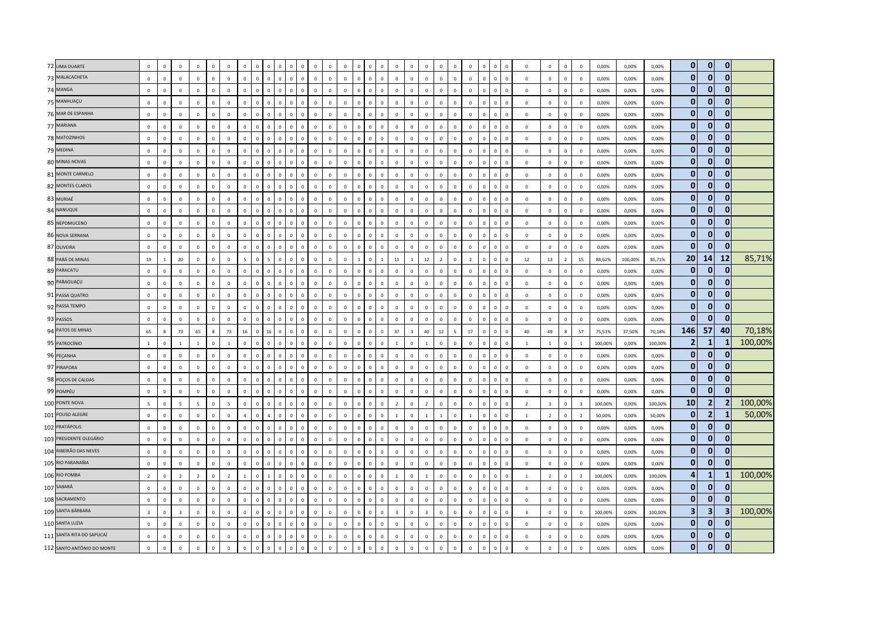| 72 LIMA DUARTE             | $\mathbf 0$     | $\circ$        | $\mathbf 0$             | $\overline{0}$  | $\overline{0}$ | $\,$ 0          | $\mathbf 0$    |              |                |                |              |              | $\Omega$     | $\mathbf 0$    | $\mathbf 0$  | $\overline{0}$          | $\mathbf 0$    | $\Omega$     |                | $\mathbf 0$             | $\mathbf 0$             | $\mathbf 0$    | $\Omega$       | $\mathbf{0}$   |              | $\overline{0}$          | $\mathbf{0}$   | $\mathbf 0$             | $\mathbf 0$             | $\mathsf 0$    | $\mathbf 0$             | 0,00%   | 0,00%   | 0,00%   | $\mathbf{0}$   | $\mathbf{0}$            | $\mathbf{0}$   |         |
|----------------------------|-----------------|----------------|-------------------------|-----------------|----------------|-----------------|----------------|--------------|----------------|----------------|--------------|--------------|--------------|----------------|--------------|-------------------------|----------------|--------------|----------------|-------------------------|-------------------------|----------------|----------------|----------------|--------------|-------------------------|----------------|-------------------------|-------------------------|----------------|-------------------------|---------|---------|---------|----------------|-------------------------|----------------|---------|
| 73 MALACACHETA             | $\mathbf 0$     | $\mathbf 0$    | $\mathbf 0$             | $\mathsf 0$     | $\circ$        | $\mathbf 0$     | $\mathbf 0$    | $\mathbf{0}$ | $\mathbf 0$    | $\mathbf 0$    | $\mathbf 0$  | $\mathbf 0$  | $\mathbf 0$  | $\circ$        | $\mathbf 0$  | $\mathbf 0$             | $\mathbf{0}$   | $\mathbf 0$  | $\mathbf 0$    | $\mathbf 0$             | $\mathbf 0$             | $\mathbf 0$    | $\mathbf 0$    | $\,0\,$        | $\mathbf 0$  | $\mathbf 0$             | $\mathbf{0}$   | $\mathbb O$             | $\mathbf 0$             | $\mathbf 0$    | $\mathbf 0$             | 0,00%   | 0,00%   | 0,00%   | $\mathbf{0}$   | $\mathbf{0}$            | $\mathbf{0}$   |         |
| 74 MANGA                   | $\mathbf 0$     | $\circ$        | $\mathbf 0$             | $\mathbf 0$     | $\Omega$       | $\Omega$        | $\Omega$       | $\mathbf 0$  | $\mathbf 0$    | $\Omega$       | $\Omega$     | $\Omega$     | $\mathbf 0$  | $\mathbf{0}$   | $\mathbf 0$  | $\Omega$                | $\Omega$       | $\Omega$     | $\Omega$       | $\mathbf 0$             | $\mathbf 0$             | $\mathbf 0$    | $\mathsf 0$    | $\Omega$       | $\Omega$     | $\Omega$                | $\mathbf 0$    | $\mathbb O$             | $\Omega$                | $\mathbf 0$    | $\Omega$                | 0,00%   | 0,00%   | 0,00%   | $\mathbf{0}$   | $\mathbf{0}$            | $\mathbf{0}$   |         |
| 75 MANHUAÇU                | $\mathbf 0$     | $\overline{0}$ | $\mathbf 0$             | $\mathbf 0$     | $\Omega$       | $\mathbf 0$     | $\mathbb O$    | $\mathbf{0}$ | $\mathbf{0}$   | $\mathbf 0$    | $\Omega$     | $\mathbf{0}$ | $\mathbf 0$  | $\mathbf 0$    | $\mathbf 0$  | $\,$ 0                  | $\mathbf{0}$   | $\mathbf 0$  | $\mathbf{0}$   | $\mathbf 0$             | $\mathbf 0$             | $\mathbf 0$    | $\mathbf{0}$   | $\mathbf 0$    | $\Omega$     | $\,$ 0                  | $\mathbf{0}$   | $\mathbf 0$             | $\mathbf 0$             | $\mathbf 0$    | $\mathbf 0$             | 0,00%   | 0,00%   | 0,00%   | $\mathbf{0}$   | $\mathbf{0}$            | $\mathbf{0}$   |         |
| 76 MAR DE ESPANHA          | $\mathbf 0$     | $\mathbf 0$    | $\mathbb O$             | $\mathsf 0$     | $\circ$        | $\mathbb O$     | $\mathbf 0$    | $\mathbf{0}$ | $\mathbf 0$    | $\mathbf 0$    | $\mathbf 0$  | $\mathbf 0$  | $\mathbf 0$  | $\mathbf 0$    | $\mathsf 0$  | $\mathbf 0$             | $\mathbf{0}$   | $\mathbf 0$  | $\mathbf 0$    | $\mathbf 0$             | $\mathbf 0$             | $\mathbf 0$    | $\mathsf 0$    | $\mathbf{0}$   | $\mathbf 0$  | $\mathbf 0$             | $\mathbf 0$    | $\mathbb O$             | $\mathbf 0$             | $\mathsf 0$    | $\mathbf 0$             | 0,00%   | 0,00%   | 0,00%   | $\mathbf{0}$   | $\mathbf{0}$            | $\mathbf{0}$   |         |
| 77 MARIANA                 | $\mathbf 0$     | $\pmb{0}$      | $\mathbf 0$             | $\mathbf 0$     | $\mathbf{0}$   | $\,0\,$         | $\pmb{0}$      | $\mathbf 0$  | $\mathsf 0$    | $\overline{0}$ | $\mathbf 0$  | $\mathbf 0$  | $\mathbf 0$  | $\mathbf 0$    | $\mathsf 0$  | $\overline{0}$          | $\mathbf 0$    | $\mathbf 0$  | $\mathbf{0}$   | $\mathbf 0$             | $\overline{0}$          | $\mathbf 0$    | $\mathbf{0}$   | $\mathbf{0}$   | $\mathbf 0$  | $\overline{0}$          | $\mathbf 0$    | $\mathbf 0$             | $\mathbf 0$             | $\mathbf 0$    | $\mathbf 0$             | 0,00%   | 0,00%   | 0,00%   | $\mathbf{0}$   | $\Omega$                | $\mathbf{0}$   |         |
| 78 MATOZINHOS              | $\mathbf{0}$    | $\overline{0}$ | $\mathbf{0}$            | $\overline{0}$  | $\Omega$       | $\mathbf{0}$    | $\Omega$       | $\mathbf{0}$ | $\mathbf{0}$   | $\mathbf 0$    | $\Omega$     | $\mathbf{0}$ | $\mathbf{0}$ | $\mathbf{0}$   | $\mathbf{0}$ | $\Omega$                | $\Omega$       | $\mathbf{0}$ | $\Omega$       | $\overline{0}$          | $\mathbf{0}$            | $\mathbf 0$    | $\mathbf{0}$   | $\overline{0}$ | $\Omega$     | $\overline{0}$          | $\Omega$       | $\Omega$                | $\Omega$                | $\mathbf{0}$   | $\mathbf{0}$            | 0,00%   | 0,00%   | 0,00%   | $\mathbf{0}$   | $\mathbf{0}$            | $\mathbf{0}$   |         |
| 79 MEDINA                  | $\mathbf 0$     | $\circ$        | $\mathbf 0$             | $\mathbf 0$     | $\Omega$       | $\mathbf 0$     | $\mathbf 0$    | $\mathbf{0}$ | $\mathbf{0}$   | $\mathbf 0$    | $\Omega$     | $\mathsf 0$  | $\mathbf 0$  | $\mathbf 0$    | $\mathbf 0$  | $\mathbf 0$             | $\mathbf{0}$   | $\mathbf 0$  | $\Omega$       | $\mathbf 0$             | $\mathbf 0$             | $\mathbb O$    | $\Omega$       | $\mathbf{0}$   | $\mathbf 0$  | $\,$ 0                  | $\mathbf 0$    | $\mathbb O$             | $\mathbf 0$             | $\mathbf 0$    | $\mathbf 0$             | 0,00%   | 0,00%   | 0,00%   | $\mathbf{0}$   | $\overline{0}$          | $\mathbf{0}$   |         |
| 80 MINAS NOVAS             | $\mathbf 0$     | $\overline{0}$ | $\mathbf 0$             | $\mathbf 0$     | $\mathbf 0$    | $\mathbf 0$     | $\mathbf 0$    | $\mathbf 0$  | $\mathsf 0$    | $\overline{0}$ | $\mathbf 0$  | $\mathbf 0$  | $\mathbf 0$  | $\mathbf 0$    | $\mathbf 0$  | $\overline{0}$          | $\mathbf{0}$   | $\mathbf 0$  | $\mathbf{0}$   | $\mathbf 0$             | $\mathbf 0$             | $\mathbf 0$    | $\mathbf{0}$   | $\mathbf{0}$   | $\mathbf 0$  | $\overline{0}$          | $\mathbf{0}$   | $\mathbf 0$             | $\mathbf 0$             | $\mathsf 0$    | $\mathbf 0$             | 0,00%   | 0,00%   | 0,00%   | $\mathbf{0}$   | $\mathbf{0}$            | $\mathbf{0}$   |         |
| 81 MONTE CARMELO           | $\mathbf{0}$    | $\circ$        | $\mathbf{0}$            | $\mathbf 0$     | $\overline{0}$ | $\mathbf{0}$    | $\mathbb O$    | $\mathbf{0}$ | $\mathbf{0}$   | $\mathbf{0}$   | $\Omega$     | $\mathbf{0}$ | $\mathsf 0$  | $\mathsf 0$    | $\mathbf{0}$ | $\,$ 0                  | $\overline{0}$ | $\mathbf{0}$ | $\Omega$       | $\mathbb O$             | $\mathbf 0$             | $\mathbb O$    | $\mathbf{0}$   | $\mathbf 0$    | $\mathbf{0}$ | $\,$ 0                  | $\mathbf{0}$   | $\mathbb O$             | $\mathbf 0$             | $\mathbf{0}$   | $\mathbf 0$             | 0,00%   | 0,00%   | 0,00%   | $\mathbf{0}$   | $\mathbf{0}$            | $\mathbf{0}$   |         |
| 82 MONTES CLAROS           | $\mathbf 0$     | $\circ$        | $\Omega$                | $\mathbf 0$     | $\Omega$       | $\Omega$        | $\Omega$       | $\mathbf{0}$ | $\mathbf 0$    | $\Omega$       | $\Omega$     | $\Omega$     | $\Omega$     | $\Omega$       | $\Omega$     | $\Omega$                | $\Omega$       | $\mathbf{0}$ | $\Omega$       | $\mathbf{0}$            | $\mathbf{0}$            | $\mathbf{0}$   | $\Omega$       | $\Omega$       | $\Omega$     | $\overline{0}$          | $\Omega$       | $\Omega$                | $\Omega$                | $\mathbf 0$    | $\Omega$                | 0,00%   | 0,00%   | 0,00%   | $\mathbf{0}$   | $\bf{0}$                | $\mathbf{0}$   |         |
| 83 MURIAÉ                  | $\mathbf 0$     | $\mathbb O$    | $\,0\,$                 | $\mathbf 0$     | $\overline{0}$ | $\mathbf 0$     | $\mathbf 0$    | $\mathbf 0$  | $\mathbf 0$    | $\Omega$       | $\sqrt{2}$   | $\Omega$     | $\mathsf 0$  | $\mathsf 0$    | $\mathbf 0$  | $\overline{0}$          | $\Omega$       | $\mathbf{0}$ | $\mathbf{0}$   | $\mathbf 0$             | $\mathbf 0$             | $\mathbf 0$    | $\mathbf{0}$   | $\mathbf 0$    | $\Omega$     | $\overline{0}$          | $\Omega$       | $\mathbf 0$             | $\mathsf 0$             | $\mathbf 0$    | $\mathbf 0$             | 0,00%   | 0,00%   | 0,00%   | $\mathbf{0}$   | $\mathbf{0}$            | $\mathbf{0}$   |         |
| 84 NANUQUE                 | $\mathbf 0$     | $\circ$        | $\mathbf 0$             | $\mathbf 0$     | $\overline{0}$ | $\mathbf 0$     | $\mathbb O$    | $\mathbf{0}$ | $\mathbf 0$    | $\overline{0}$ | $\Omega$     | $\mathbf{0}$ | $\mathbf 0$  | $\mathbf 0$    | $\Omega$     | $\mathbf 0$             | $\mathbf{0}$   | $\mathbf 0$  | $\mathbf{0}$   | $\mathbf 0$             | $\mathbf 0$             | $\mathbf 0$    | $\mathbf{0}$   | $\mathbf 0$    | $\mathbf 0$  | $\overline{0}$          | $\Omega$       | $\mathbb O$             | $\mathbf{0}$            | $\mathbf 0$    | $\mathbf 0$             | 0,00%   | 0,00%   | 0,00%   | $\mathbf{0}$   | $\mathbf{0}$            | $\mathbf{0}$   |         |
| 85 NEPOMUCENO              | $\mathbf 0$     | $\mathbf 0$    | $\mathbf{0}$            | $\mathsf 0$     | $\Omega$       | $\mathbf 0$     | $\mathbb O$    | $\mathbf{0}$ | $\mathbf 0$    | $\Omega$       | $\Omega$     | $\mathbf 0$  | $\mathbf 0$  | $\mathbf{0}$   | $\mathbf 0$  | $\overline{0}$          | $\mathbb O$    | $\mathbf{0}$ | $\Omega$       | $\,0\,$                 | $\mathbf 0$             | $\mathbf 0$    | $\Omega$       | $\mathbf{0}$   | $\Omega$     | $\overline{0}$          | $\mathbf 0$    | $\mathbb O$             | $\mathbf 0$             | $\mathbf 0$    | $\mathbf 0$             | 0,00%   | 0,00%   | 0,00%   | $\mathbf{0}$   | $\overline{0}$          | $\mathbf{0}$   |         |
| 86 NOVA SERRANA            | $\mathbf 0$     | $\mathbf 0$    | $\mathbf 0$             | $\mathsf 0$     | $\Omega$       | $\mathbf 0$     | $\Omega$       | $\Omega$     | $\mathbb O$    | $\mathbf{0}$   | $\Omega$     | $\mathbf{0}$ | $\mathbf 0$  | $\mathbf 0$    | $\mathbf 0$  | $\overline{0}$          | $\Omega$       | $\mathbf{0}$ | $\Omega$       | $\,0\,$                 | $\mathbf 0$             | $\mathbf 0$    | $\Omega$       | $\,0\,$        | $\Omega$     | $\overline{0}$          | $\Omega$       | $\mathbf 0$             | $\mathbf 0$             | $\mathbf 0$    | $\mathbf 0$             | 0,00%   | 0,00%   | 0,00%   | $\mathbf{0}$   | $\overline{0}$          | $\mathbf{0}$   |         |
| 87 OLIVEIRA                | $\mathbf 0$     | $\mathbf 0$    | $\,0\,$                 | $\,0\,$         | $\mathbf 0$    | $\mathbf 0$     | $\mathbf 0$    | $\mathbf{0}$ | $\mathbf 0$    | $\,0\,$        | $\mathbf 0$  | $\mathbf 0$  | $\mathbf 0$  | $\mathbf 0$    | $\mathbf 0$  | $\,$ 0                  | $\mathbf{0}$   | $\mathbf 0$  | $\mathbf 0$    | $\,0\,$                 | $\mathbf 0$             | $\mathbf 0$    | $\mathsf 0$    | $\,0\,$        | $\mathbf 0$  | $\mathbf 0$             | $\mathbf 0$    | $\mathbb O$             | $\mathbf 0$             | $\mathbf 0$    | $\mathbf 0$             | 0,00%   | 0,00%   | 0,00%   | $\mathbf{0}$   | $\Omega$                | $\mathbf{0}$   |         |
| 88 PARÁ DE MINAS           | 19              | $\overline{1}$ | 20                      | $\mathbf 0$     | $\overline{0}$ | $\mathbf 0$     | 5              | $\mathbf 0$  | $\overline{5}$ | $\overline{0}$ | $\Omega$     | $\Omega$     | $\mathsf 0$  | $\mathbf 0$    | $\mathbf 0$  | $\overline{1}$          | $\mathbf{0}$   | $\mathbf{1}$ | 11             | $\mathbf{1}$            | 12                      | $\overline{2}$ | $\mathbf{0}$   | $\overline{2}$ | $\Omega$     | $\overline{0}$          | $\Omega$       | 12                      | 13                      | $\overline{2}$ | 15                      | 84,62%  | 100,00% | 85,71%  | 20             | 14                      | 12             | 85,71%  |
| 89 PARACATU                | $\mathbf 0$     | $\mathbf 0$    | $\mathbf 0$             | $\mathsf 0$     | $\circ$        | $\mathbf 0$     | $\mathbb O$    | $\mathbf{0}$ | $\mathbf 0$    | $\mathbf 0$    | $\Omega$     | $\mathbf 0$  | $\mathsf 0$  | $\mathbf 0$    | $\mathbf 0$  | $\,$ 0                  | $\circ$        | $\mathbf 0$  | $\Omega$       | $\mathbf 0$             | $\mathbf 0$             | $\mathbf 0$    | $\mathbf 0$    | $\,0\,$        | $\mathbf 0$  | $\mathbf 0$             | $\mathbf 0$    | $\mathbb O$             | $\mathbf 0$             | $\mathsf 0$    | $\mathbf 0$             | 0,00%   | 0,00%   | 0,00%   | $\mathbf{0}$   | $\overline{0}$          | $\mathbf{0}$   |         |
| 90 PARAGUAÇU               | $\mathbf 0$     | $\circ$        | $\overline{0}$          | $\mathbf 0$     | $\Omega$       | $\mathbf 0$     | $\mathbb O$    | $\mathbf{0}$ | $\mathbf 0$    | $\mathbf 0$    | $\Omega$     | $\mathsf 0$  | $\mathsf 0$  | $\mathbf 0$    | $\mathbf 0$  | $\overline{\mathbf{0}}$ | $\mathbf{0}$   | $\mathbf 0$  | $\Omega$       | $\mathbf 0$             | $\mathbf 0$             | $\mathbf 0$    | $\Omega$       | $\mathbf{0}$   | $\mathbf 0$  | $\mathbf 0$             | $\mathsf 0$    | $\mathbb O$             | $\mathbf{0}$            | $\mathsf 0$    | $\mathbf 0$             | 0,00%   | 0,00%   | 0,00%   | $\mathbf{0}$   | $\overline{0}$          | $\mathbf{0}$   |         |
| 91 PASSA QUATRO            | $\mathbf 0$     | $\mathbf 0$    | $\mathbf 0$             | $\mathbf 0$     | $\mathbf{0}$   | $\mathbf 0$     | $\mathbb O$    | $\mathbf 0$  | $\mathbf 0$    | $\mathbf 0$    | $\Omega$     | $\mathsf 0$  | $\mathsf 0$  | $\mathsf 0$    | $\mathbf 0$  | $\overline{0}$          | $\mathbf{0}$   | $\mathbf 0$  | $\Omega$       | $\mathbf 0$             | $\mathbf 0$             | $\mathbf 0$    | $\Omega$       | $\mathbf 0$    | $\mathbf 0$  | $\,$ 0                  | $\mathbf 0$    | $\mathbb O$             | $\mathbf 0$             | $\mathbf 0$    | $\mathbf 0$             | 0,00%   | 0,00%   | 0,00%   | $\mathbf{0}$   | $\mathbf{0}$            | $\mathbf{0}$   |         |
| 92 PASSA TEMPO             | $\mathbf 0$     | $\mathbf 0$    | $\mathbb O$             | $\mathsf 0$     | $\circ$        | $\mathbb O$     | $\mathbf 0$    | $\circ$      | $\mathbf 0$    | $\mathbf 0$    | $\mathbf 0$  | $\mathbf 0$  | $\mathbf 0$  | $\mathbf 0$    | $\mathbf 0$  | $\,$ 0                  | $\mathbf{0}$   | $\mathbf 0$  | $\mathbf{0}$   | $\mathbf 0$             | $\mathbf 0$             | $\mathbf 0$    | $\mathbf 0$    | $\mathbf 0$    | $\mathbf 0$  | $\mathbf 0$             | $\mathbf 0$    | $\mathbb O$             | $\mathbf 0$             | $\mathbf 0$    | $\mathbf 0$             | 0,00%   | 0,00%   | 0,00%   | $\mathbf{0}$   | $\overline{0}$          | $\mathbf{0}$   |         |
| 93 PASSOS                  | $\mathbf 0$     | $\circ$        | $\mathbf 0$             | $\mathsf 0$     | $\mathbf 0$    | $\mathbf 0$     | $\mathbf 0$    | $\mathbf 0$  | $\mathbf 0$    | $\overline{0}$ | $\Omega$     | $\mathbf 0$  | $\mathbf 0$  | $\mathbf 0$    | $\mathbf 0$  | $\overline{0}$          | $\circ$        | $\mathbf{0}$ | $\Omega$       | $\mathbf 0$             | $\mathbf 0$             | $\mathbf 0$    | $\Omega$       | $\mathbf{0}$   | $\Omega$     | $\overline{0}$          | $\mathbf{0}$   | $\mathbb O$             | $\mathbf 0$             | $\mathbf 0$    | $\mathbf 0$             | 0,00%   | 0,00%   | 0,00%   | $\mathbf{0}$   | $\overline{0}$          | $\mathbf{0}$   |         |
| 94 PATOS DE MINAS          | 65              | $\mathbf{g}$   | 73                      | 65              | $\mathbf{R}$   | 73              | 16             | $\mathbf{0}$ | 16             | $\Omega$       | $\Omega$     | $\Omega$     | $\Omega$     | $\mathbf{0}$   | $\mathbf{0}$ | $\Omega$                | $\Omega$       | $\mathbf{0}$ | 37             | $\overline{\mathbf{3}}$ | 40                      | $12\,$         | $\overline{a}$ | 17             | $\Omega$     | $\Omega$                | $\Omega$       | 40                      | 49                      | 8              | 57                      | 75,51%  | 37,50%  | 70,18%  | 146            | 57                      | 40             | 70,18%  |
| 95 PATROCÍNIO              | $1\,$           | $\circ$        | $\mathbf{1}$            | $\mathbf{1}$    | $\Omega$       | $\mathbf{1}$    | $\mathbb O$    | $\mathbf{0}$ | $\mathbf 0$    | $\mathbf 0$    | $\Omega$     | $\mathsf 0$  | $\mathbf 0$  | $\mathbf{0}$   | $\mathsf 0$  | $\mathbf 0$             | $\mathbf{0}$   | $\mathbf 0$  | $\overline{1}$ | $\,0\,$                 | $\overline{1}$          | $\mathbf 0$    | $\mathbf 0$    | $\mathbf 0$    | $\mathbf 0$  | $\mathbf 0$             | $\mathbf 0$    | <sup>1</sup>            | $\mathbf{1}$            | $\mathbf 0$    | 1                       | 100,00% | 0,00%   | 100,00% | $\overline{2}$ | 1                       | -1             | 100,00% |
| 96 PEÇANHA                 | $\mathbf 0$     | $\mathbb O$    | $\,0\,$                 | $\mathbf 0$     | $\mathsf 0$    | $\,0\,$         | $\mathbf 0$    | $\mathbf 0$  | $\mathbf 0$    | $\mathbf 0$    | $\mathbf 0$  | $\mathbf 0$  | $\mathbf 0$  | $\mathbf 0$    | $\mathbf 0$  | $\overline{0}$          | $\mathbf{0}$   | $\mathbf 0$  | $\mathbf{0}$   | $\mathbf 0$             | $\mathbf 0$             | $\mathbf 0$    | $\mathbf{0}$   | $\mathbf{0}$   | $\mathbf{0}$ | $\overline{0}$          | $\mathbf 0$    | $\mathbf 0$             | $\mathbf 0$             | $\mathbf 0$    | $\mathbf 0$             | 0,00%   | 0,00%   | 0,00%   | $\mathbf{0}$   | $\overline{0}$          | $\mathbf{0}$   |         |
| 97 PIRAPORA                | $\mathbf{0}$    | $\overline{0}$ | $\overline{0}$          | $\overline{0}$  | $\overline{0}$ | $\mathbf{0}$    | $\mathbf 0$    | $\mathbf{0}$ | $\mathbf{0}$   | $\overline{0}$ | $\mathbf{0}$ | $\circ$      | $\mathbf{0}$ | $\mathbf{0}$   | $\mathbf{0}$ | $\overline{0}$          | $\overline{0}$ | $\mathbf{0}$ | $\Omega$       | $\overline{0}$          | $\overline{0}$          | $\mathbf{0}$   | $\mathbf{0}$   | $\overline{0}$ | $\Omega$     | $\overline{0}$          | $\overline{0}$ | $\overline{0}$          | $\mathbf{0}$            | $\mathbf{0}$   | $\mathbf{0}$            | 0.00%   | 0.00%   | 0,00%   | $\mathbf{0}$   | $\mathbf{0}$            | $\bf{0}$       |         |
| 98 POÇOS DE CALDAS         | $\mathbf 0$     | $\circ$        | $\mathbf 0$             | $\mathbf 0$     | $\Omega$       | $\mathbf 0$     | $\Omega$       | $\mathbf{0}$ | $\mathbf 0$    | $\overline{0}$ | $\Omega$     | $\Omega$     | $\Omega$     | $\mathbf{0}$   | $\Omega$     | $\Omega$                | $\mathbf{0}$   | $\mathbf{0}$ | $\Omega$       | $\mathbf 0$             | $\mathbf 0$             | $\mathbf 0$    | $\Omega$       | $\Omega$       | $\Omega$     | $\overline{0}$          | $\Omega$       | $\mathbf 0$             | $\mathbf 0$             | $\mathbf 0$    | $\mathbf 0$             | 0,00%   | 0,00%   | 0,00%   | $\mathbf{0}$   | $\bf{0}$                | 0              |         |
| 99 POMPÉU                  | $\mathbf 0$     | $\mathbf 0$    | $\,0\,$                 | $\,0\,$         | $\mathbf 0$    | $\mathbb O$     | $\mathbb O$    | $\mathbf 0$  | $\mathbf 0$    | $\mathbf 0$    | $\Omega$     | $\mathbf{0}$ | $\mathsf 0$  | $\mathbf 0$    | $\mathbf 0$  | $\overline{0}$          | $\mathbf{0}$   | $\mathbf 0$  | $\mathbf{0}$   | $\,$ 0 $\,$             | $\mathbf 0$             | $\mathbf 0$    | $\mathsf 0$    | $\,0\,$        | $\mathbf{0}$ | $\mathbf 0$             | $\mathbf 0$    | $\mathbb O$             | $\mathbf 0$             | $\mathbf 0$    | $\mathbf 0$             | 0,00%   | 0,00%   | 0,00%   | $\mathbf{0}$   | $\mathbf{0}$            | $\mathbf{0}$   |         |
| 100 PONTE NOVA             | $5\overline{5}$ | $\mathbf 0$    | $5\phantom{.0}$         | $5\overline{5}$ | $\mathbf 0$    | $5\overline{5}$ | $\mathbf 0$    | $\mathbf{0}$ | $\mathbf 0$    | $\mathbf 0$    | $\mathbf 0$  | $\mathsf 0$  | $\,0\,$      | $\mathbf 0$    | $\mathbf 0$  | $\mathbf 0$             | $\mathbf{0}$   | $\mathbf 0$  | $\overline{2}$ | $\mathbb O$             | $\overline{2}$          | $\mathbf 0$    | $\mathbf 0$    | $\mathbf 0$    | $\mathbf 0$  | $\mathbf 0$             | $\mathbf 0$    | $\overline{2}$          | $\overline{\mathbf{3}}$ | $\mathbf 0$    | $\overline{\mathbf{3}}$ | 100,00% | 0,00%   | 100,00% | 10             | 2 <sub>1</sub>          | $\overline{2}$ | 100,00% |
| 101 POUSO ALEGRE           | $\mathbf{0}$    | $\Omega$       | $\Omega$                | $\overline{0}$  | $\Omega$       | $\Omega$        | $\overline{a}$ | $\mathbf{0}$ | $\overline{a}$ | $\mathbf 0$    | $\Omega$     | $\Omega$     | $\Omega$     | $\mathbf{0}$   | $\Omega$     | $\Omega$                | $\Omega$       | $\mathbf{0}$ | $\overline{1}$ | $\overline{0}$          | $\overline{1}$          | $\overline{1}$ | $\Omega$       | $\overline{1}$ | $\Omega$     | $\Omega$                | $\Omega$       | $\overline{1}$          | $\overline{2}$          | $\mathbf{0}$   | $\overline{2}$          | 50.00%  | 0.00%   | 50,00%  | $\mathbf{0}$   | 2 <sup>1</sup>          | 1              | 50,00%  |
| 102 PRATÁPOLIS             | $\mathbf 0$     | $\mathbf 0$    | $\mathbf 0$             | $\mathsf 0$     | $\Omega$       | $\mathbf 0$     | $\mathbb O$    | $\Omega$     | $\mathbf 0$    | $\mathbf{0}$   | $\Omega$     | $\Omega$     | $\mathsf 0$  | $\mathsf 0$    | $\mathbf 0$  | $\Omega$                | $\circ$        | $\mathbf 0$  | $\Omega$       | $\mathbf 0$             | $\mathbf 0$             | $\mathbf 0$    | $\Omega$       | $\,0\,$        | $\Omega$     | $\,$ 0                  | $\Omega$       | $\mathbb O$             | $\mathbf 0$             | $\mathbf 0$    | $\mathbf 0$             | 0,00%   | 0,00%   | 0,00%   | $\mathbf{0}$   | $\mathbf{0}$            | $\mathbf{0}$   |         |
| 103 PRESIDENTE OLEGÁRIO    | $\mathbf 0$     | $\mathbf 0$    | $\mathbf 0$             | $\,0\,$         | $\circ$        | $\mathbf 0$     | $\mathbf 0$    | $\mathbf{0}$ | $\mathbf 0$    | $\mathbf 0$    | $\mathbf 0$  | $\mathbf 0$  | $\mathbf 0$  | $\mathbf 0$    | $\mathbf 0$  | $\,$ 0                  | $\mathbf{0}$   | $\mathsf 0$  | $\mathbf 0$    | $\mathbb O$             | $\mathbf 0$             | $\mathbf 0$    | $\mathbf 0$    | $\mathbf 0$    | $\mathbf 0$  | $\mathbf 0$             | $\mathbf 0$    | $\mathbb O$             | $\mathbf 0$             | $\mathbf 0$    | $\mathbf 0$             | 0,00%   | 0,00%   | 0,00%   | $\mathbf{0}$   | $\overline{0}$          | $\mathbf{0}$   |         |
| 104 RIBEIRÃO DAS NEVES     | $\mathbf 0$     | $\mathbb O$    | $\mathbf 0$             | $\mathbf 0$     | $\Omega$       | $\mathbf 0$     | $\mathbf 0$    | $\mathbf{0}$ | $\mathbf 0$    | $\Omega$       | $\Omega$     | $\Omega$     | $\mathbf 0$  | $\mathbf 0$    | $\mathbf{0}$ | $\Omega$                | $\mathbf{0}$   | $\Omega$     | $\Omega$       | $\mathbf 0$             | $\overline{0}$          | $\mathbf 0$    | $\Omega$       | $\Omega$       | $\Omega$     | $\overline{0}$          | $\Omega$       | $\Omega$                | $\mathbf 0$             | $\mathbf 0$    | $\mathbf 0$             | 0,00%   | 0,00%   | 0,00%   | $\mathbf{0}$   | $\mathbf{0}$            | $\mathbf{0}$   |         |
| 105 RIO PARANAÍBA          | $\overline{0}$  | $\Omega$       | $\Omega$                | $\overline{0}$  | $\Omega$       | $\Omega$        | $\Omega$       | $\Omega$     | $\mathbf{0}$   | $\mathbf{0}$   | $\Omega$     | $\mathbf{0}$ | $\Omega$     | $\overline{0}$ | $\mathbf{0}$ | $\overline{0}$          | $\Omega$       | $\mathbf{0}$ | $\Omega$       | $\mathbf 0$             | $\mathbf{0}$            | $\mathbf 0$    | $\mathbf{0}$   | $\overline{0}$ | $\Omega$     | $\overline{0}$          | $\Omega$       | $\Omega$                | $\Omega$                | $\mathsf 0$    | $\mathbf{0}$            | 0,00%   | 0,00%   | 0,00%   | $\mathbf{0}$   | $\mathbf{0}$            | $\mathbf{0}$   |         |
| 106 RIO POMBA              | $\overline{2}$  | $\mathbf{0}$   | $\overline{2}$          | $\overline{2}$  | $\Omega$       | $\overline{2}$  | $\mathbf{1}$   | $\mathbf{0}$ | $\mathbf{1}$   | $\mathbf 0$    | $\Omega$     | $\mathsf 0$  | $\mathbf 0$  | $\mathbf{0}$   | $\mathbf{0}$ | $\,$ 0                  | $\overline{0}$ | $\mathbf 0$  | $\overline{1}$ | $\mathbf 0$             | $\overline{1}$          | $\mathbf 0$    | $\Omega$       | $\mathbf 0$    | $\mathbf 0$  | $\,$ 0                  | $\mathbf{0}$   | $\overline{1}$          | $\overline{2}$          | $\mathbf 0$    | $\overline{2}$          | 100,00% | 0,00%   | 100,00% | 4              | 1                       |                | 100,00% |
| 107 SABARÁ                 | $\mathbf 0$     | $\mathbf 0$    | $\overline{0}$          | $\mathsf 0$     | $\mathbf{0}$   | $\mathbf 0$     | $\mathbb O$    | $\mathbf{0}$ | $\mathbb O$    | $\mathbf 0$    | $\Omega$     | $\mathbf{0}$ | $\mathbf 0$  | $\mathbf 0$    | $\mathbf 0$  | $\,$ 0                  | $\mathbf{0}$   | $\mathbf 0$  | $\Omega$       | $\mathbf 0$             | $\mathbf 0$             | $\mathbf 0$    | $\mathbf{0}$   | $\mathbf{0}$   | $\Omega$     | $\mathbf 0$             | $\mathbf{0}$   | $\overline{0}$          | $\mathbf 0$             | $\mathbf 0$    | $\mathbf 0$             | 0,00%   | 0,00%   | 0,00%   | $\mathbf{0}$   | $\mathbf{0}$            | $\Omega$       |         |
| 108 SACRAMENTO             | $\mathbf{0}$    | $\overline{0}$ | $\mathbb O$             | $\mathsf 0$     | $\circ$        | $\mathbb O$     | $\mathbf 0$    | $\circ$      | $\mathbb O$    | $\mathbf 0$    | $\mathbf 0$  | $\mathbf 0$  | $\mathbf 0$  | $\mathbf 0$    | $\mathsf 0$  | $\mathbf 0$             | $\circ$        | $\mathbf 0$  | $\Omega$       | $\mathbf 0$             | $\mathbf 0$             | $\mathbf 0$    | $\mathbf 0$    | $\,0\,$        | $\mathbf 0$  | $\overline{0}$          | $\mathbf 0$    | $\mathbb O$             | $\mathbf 0$             | $\mathsf 0$    | $\mathbf 0$             | 0,00%   | 0,00%   | 0,00%   | $\mathbf{0}$   | $\overline{0}$          | $\mathbf{0}$   |         |
| 109 SANTA BÁRBARA          | $\overline{3}$  | $\circ$        | $\overline{\mathbf{3}}$ | $\mathbf 0$     | $\Omega$       | $\mathbf 0$     | $\mathbf 0$    | $\mathbf{0}$ | $\mathbf 0$    | $\mathbf 0$    | $\Omega$     | $\Omega$     | $\Omega$     | $\mathbf 0$    | $\Omega$     | $\Omega$                | $\mathbf{0}$   | $\mathbf 0$  | $\overline{3}$ | $\mathbf 0$             | $\overline{\mathbf{3}}$ | $\mathbf 0$    | $\Omega$       | $\overline{0}$ | $\Omega$     | $\mathbf 0$             | $\mathbf 0$    | $\overline{\mathbf{3}}$ | $\mathbf 0$             | $\mathsf 0$    | $\Omega$                | 100,00% | 0,00%   | 100,00% | 3              | $\overline{\mathbf{3}}$ | 3              | 100,00% |
| 110 SANTA LUZIA            | $\,0\,$         | $\Omega$       | $\mathbf 0$             | $\Omega$        | $\Omega$       | $\Omega$        | $\Omega$       | $\Omega$     | $\mathbf{0}$   | $\mathbf 0$    | $\Omega$     | $\Omega$     | $\Omega$     | $\mathbf{0}$   | $\mathbf{0}$ | $\overline{\mathbf{0}}$ | $\Omega$       | $\mathbf{0}$ | $\Omega$       | $\overline{0}$          | $\overline{0}$          | $\mathbf 0$    | $\Omega$       | $\overline{0}$ | $\Omega$     | $\overline{0}$          | $\Omega$       | $\mathbb O$             | $\Omega$                | $\mathbf 0$    | $\mathbf 0$             | 0,00%   | 0,00%   | 0,00%   | $\mathbf{0}$   | $\mathbf{0}$            | $\mathbf{0}$   |         |
| 111 SANTA RITA DO SAPUCAÍ  | $\mathbf 0$     | $\mathbf 0$    | $\mathbf 0$             | $\,$ 0          | $\Omega$       | $\mathbf 0$     | $\mathbf 0$    | $\mathbf{0}$ | $\mathbf{0}$   | $\mathbf 0$    | $\circ$      | $\mathsf 0$  | $\mathbf 0$  | $\overline{0}$ | $\mathbf{0}$ | $\mathbf 0$             | $\circ$        | $\mathbf 0$  | $\Omega$       | $\mathbf 0$             | $\circ$                 | $\mathbf 0$    | $\mathbf 0$    | $\mathbf 0$    | $\mathbf 0$  | $\overline{\mathbf{0}}$ | $\mathbf 0$    | $\mathbf 0$             | $\mathbf 0$             | $\mathsf 0$    | $\mathbf 0$             | 0,00%   | 0,00%   | 0,00%   | $\mathbf{0}$   | $\mathbf{0}$            | $\mathbf{0}$   |         |
| 112 SANTO ANTÔNIO DO MONTE | $\mathbf 0$     | $\mathbf 0$    | $\mathbf 0$             | $\mathbf{0}$    | $\Omega$       | $\mathbf 0$     | $\mathbf 0$    |              | $\mathbf{0}$   |                |              | $\Omega$     | $\Omega$     | $\mathbf 0$    | $\mathbf 0$  | $\Omega$                | $\mathbf 0$    |              |                | $\mathbf{0}$            | $\mathbf 0$             | $\mathbf 0$    |                | $\mathbf 0$    |              | $\Omega$                |                | $\Omega$                | $\mathbf 0$             | $\mathbf 0$    | $\mathbf 0$             | 0,00%   | 0,00%   | 0,00%   | $\mathbf{0}$   | $\overline{0}$          | $\mathbf{0}$   |         |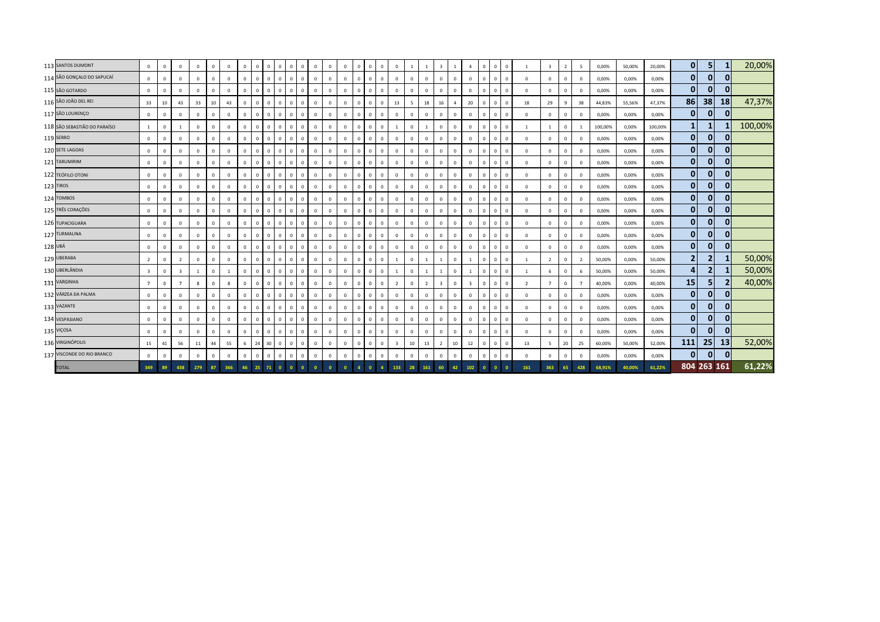| 113 SANTOS DUMONT            | $\mathbf{0}$            | $\mathbf{0}$   | $\Omega$                | $^{\circ}$   | $\mathbf{0}$   | $\mathbf{0}$   | $\overline{0}$ | $\overline{0}$ | $\mathbf{0}$   | $\circ$                        | $\overline{0}$<br>$\mathbf{0}$ | $\mathbf{0}$ | $\overline{0}$ | $\mathbf{0}$   | $\Omega$     | $\mathbf 0$  | $\overline{0}$ | $\mathbf{0}$            |              |                | $\overline{\mathbf{3}}$ |                | $\overline{4}$          | $\overline{0}$ | $\Omega$     | $\mathbf{0}$   |                | $\overline{\mathbf{3}}$ | $\overline{2}$ | -5             | 0,00%   | 50,00% | 20,00%  | $\mathbf{0}$   | 5 <sub>1</sub> | 1              | 20,00%  |
|------------------------------|-------------------------|----------------|-------------------------|--------------|----------------|----------------|----------------|----------------|----------------|--------------------------------|--------------------------------|--------------|----------------|----------------|--------------|--------------|----------------|-------------------------|--------------|----------------|-------------------------|----------------|-------------------------|----------------|--------------|----------------|----------------|-------------------------|----------------|----------------|---------|--------|---------|----------------|----------------|----------------|---------|
| 114 SÃO GONÇALO DO SAPUCAÍ   | $\mathbf 0$             | $\mathbf 0$    | $\mathbf 0$             | $\mathbf{0}$ | $\mathbf{0}$   | $\mathbf{0}$   | $\overline{0}$ | $\mathbf{0}$   | $\mathbf{0}$   | $\overline{0}$<br>$\mathbf{0}$ | $\mathbf 0$                    | $\mathbf{0}$ | $\overline{0}$ | $\mathbf 0$    |              | $\mathbf{0}$ | $\overline{0}$ | $\mathbf{0}$            | $\mathbf{0}$ | $\mathbf{0}$   | $\mathbf{0}$            | $\overline{0}$ | $\overline{0}$          | $\mathbf{0}$   | $^{\circ}$   | $\overline{0}$ | $\mathbf 0$    | $^{\circ}$              | $\mathbf{0}$   | $\mathbf 0$    | 0,00%   | 0,00%  | 0,00%   | $\mathbf{0}$   | $\mathbf{0}$   | $\overline{0}$ |         |
| 115 SÃO GOTARDO              | $\mathbf 0$             | $\mathbf 0$    | $\mathbf 0$             | $\Omega$     | $\overline{0}$ | $\mathbf{0}$   | $\mathbf{0}$   | $\mathbf{0}$   | $\mathbf{0}$   | $\overline{0}$                 | $\overline{0}$<br>$\mathbf{0}$ | $\mathbf{0}$ | $\mathbf 0$    | $\mathbf 0$    |              | $\mathbf{0}$ | $\overline{0}$ | $\mathbf{0}$            | $\Omega$     | $\mathbf 0$    | $\mathbf{0}$            | $\overline{0}$ | $\Omega$                | $\overline{0}$ | $^{\circ}$   | $\overline{0}$ | $\mathbf 0$    | $\circ$                 | $\overline{0}$ | $^{\circ}$     | 0,00%   | 0,00%  | 0,00%   | $\mathbf{0}$   | $\mathbf{0}$   | 0              |         |
| 116 SÃO JOÃO DEL REI         | 33                      | 10             | 43                      | 33           | $10\,$         | 43             | $\mathbf{0}$   | $\mathbf{0}$   | $\mathbf{0}$   | $\circ$                        | $\overline{0}$<br>$\mathbf{0}$ | $\mathbf{0}$ | $\mathbf 0$    | $\mathbf 0$    |              | $\mathbf 0$  | $\overline{0}$ | 13                      | 5            | 18             | 16                      | $\overline{4}$ | 20                      | $\mathbf{0}$   | $\mathbf{0}$ | $\overline{0}$ | 18             | 29                      | 9              | 38             | 44,83%  | 55,56% | 47,37%  | 86             | 38             | 18             | 47,37%  |
| 117 SÃO LOURENÇO             | $\mathbf{0}$            | $\mathbf 0$    | $\Omega$                | $\Omega$     | $\mathbf{0}$   | $\mathbf{0}$   | $\Omega$       | $\mathbf{0}$   | $\Omega$       | $\circ$                        | $\overline{0}$<br>$\mathbf{0}$ | $\mathbf{0}$ | $\mathbf 0$    | $\mathbf 0$    |              | $\mathbf{0}$ | $\overline{0}$ | $\mathbf{0}$            | $\mathbf{0}$ | $\mathbf{0}$   | $\mathbf{0}$            | $\mathbf 0$    | $\overline{0}$          | $\mathbf{0}$   | $\Omega$     | $\Omega$       | $\Omega$       | $\Omega$                | $\Omega$       | $\Omega$       | 0,00%   | 0,00%  | 0,00%   | $\mathbf{0}$   | $\overline{0}$ | $\overline{0}$ |         |
| 118 SÃO SEBASTIÃO DO PARAÍSO | $\mathbf{1}$            | $\mathbf 0$    |                         | $\mathbf{0}$ | $\mathbf{0}$   | $\mathbf{0}$   | $\overline{0}$ | $\mathbf 0$    | $\Omega$       | $\mathbf{0}$                   | $\mathbf{0}$<br>$\mathbf{0}$   | $\mathbf{0}$ | $\overline{0}$ | $\mathbf 0$    |              | $\mathbf{0}$ | $\overline{0}$ |                         | $\mathbf 0$  |                | $\overline{0}$          | $\,$ 0         | $\overline{0}$          | $\overline{0}$ | $^{\circ}$   | $\overline{0}$ |                |                         | $\mathbf{0}$   |                | 100,00% | 0,00%  | 100,00% | $\mathbf{1}$   | 1              |                | 100,00% |
| 119 SERRO                    | $\mathbf{0}$            | $\overline{0}$ | $\mathbf 0$             | $^{\circ}$   | $\overline{0}$ | $\mathbf 0$    | $\mathbf 0$    | $\mathbf{0}$   | $\mathbf{0}$   | $\overline{0}$                 | $\mathbf{0}$<br>$\mathbf 0$    | $\mathbf{0}$ | $\mathbf{0}$   | $\overline{0}$ |              | $\mathbf 0$  | $\overline{0}$ | $\mathbf 0$             | $\mathbf 0$  | $\mathbf 0$    | $\mathbf{0}$            | $\,$ 0         | $\overline{0}$          | $\overline{0}$ | $\mathbf{0}$ | $\overline{0}$ | $\mathbf 0$    | $^{\circ}$              | $\overline{0}$ | $^{\circ}$     | 0,00%   | 0,00%  | 0,00%   | $\mathbf{0}$   | $\overline{0}$ | $\overline{0}$ |         |
| 120 SETE LAGOAS              | $\mathbf 0$             | $\mathbf 0$    | $\mathbf 0$             | $^{\circ}$   | $\overline{0}$ | $\mathbf{0}$   | $\mathbf 0$    | $\mathbf 0$    | $\mathbf{0}$   | $\overline{0}$                 | $\mathbf{0}$<br>$\mathbf{0}$   | $\mathbf{0}$ | $\mathbf 0$    | $\mathbf 0$    | $\mathbf{0}$ | $\mathbf{0}$ | $\overline{0}$ | $\mathbf{0}$            | $\mathbf{0}$ | $\mathbf{0}$   | $\mathbf{0}$            | $\overline{0}$ | $\overline{0}$          | $\mathbf{0}$   | $\mathbf{0}$ | $\mathbf{0}$   | $\mathbf 0$    | $^{\circ}$              | $\overline{0}$ | $^{\circ}$     | 0,00%   | 0,00%  | 0,00%   | $\mathbf{0}$   | 0              | $\overline{0}$ |         |
| 121 TARUMIRIM                | $\mathbf{0}$            | $\mathbb O$    | $\mathbf 0$             | $^{\circ}$   | $\mathbf 0$    | $\mathbf{0}$   | $\mathbf 0$    | $\mathbf{0}$   | $\overline{0}$ | $\mathbf{0}$<br>$\overline{0}$ | $\mathbf 0$                    | $\mathbf 0$  | $\mathbf 0$    | $\mathsf 0$    | $^{\circ}$   | $\mathbf 0$  | $\overline{0}$ | $\mathbf 0$             | $\mathbf{0}$ | $\mathbf 0$    | $\overline{0}$          | $\mathbf 0$    | $\overline{0}$          | $\mathbf 0$    | $^{\circ}$   | $\overline{0}$ | $\mathbf 0$    | $^{\circ}$              | $\overline{0}$ | $\mathbf 0$    | 0,00%   | 0,00%  | 0,00%   | $\mathbf{0}$   | 0              | 0              |         |
| 122 TEÓFILO OTONI            | $\mathbf{0}$            | $\mathbf 0$    | $\mathbf 0$             | $\mathbf{0}$ | $\mathbf 0$    | $\mathbf{0}$   | $\mathbf 0$    | $\mathbf{0}$   | $\mathbf{0}$   | $\circ$                        | $\overline{0}$<br>$\mathbf{0}$ | $\mathbf{0}$ | $\mathbf 0$    | $\mathbf 0$    |              | $\mathbf{0}$ | $\overline{0}$ | $\mathbf{0}$            | $\mathbf{0}$ | $\mathbf 0$    | $\mathbf{0}$            | $\overline{0}$ | $\overline{0}$          | $\overline{0}$ | $\mathbf{0}$ | $\overline{0}$ | $\mathbf 0$    | $^{\circ}$              | $\overline{0}$ | $\mathbf 0$    | 0,00%   | 0,00%  | 0,00%   | $\mathbf{0}$   | $\mathbf{0}$   | $\overline{0}$ |         |
| 123 TIROS                    | $\mathbf{0}$            | $\mathbf 0$    | $\mathbf 0$             | $\mathbf{0}$ | $\overline{0}$ | $\mathbf{0}$   | $\overline{0}$ | $\mathbf{0}$   | $\mathbf{0}$   | $\circ$                        | $\overline{0}$<br>$\mathbf{0}$ | $\mathbf{0}$ | $\mathbf 0$    | $\overline{0}$ | $\Omega$     | $\mathbf{0}$ | $\overline{0}$ | $\mathbf{0}$            | $\mathbf{0}$ | $\mathbf{0}$   | $\overline{0}$          | $\overline{0}$ | $\overline{0}$          | $\mathbf{0}$   | $\mathbf{0}$ | $\mathbf{0}$   | $\mathbf 0$    | $\mathbf 0$             | $\mathbf{0}$   | $\Omega$       | 0,00%   | 0,00%  | 0,00%   | $\mathbf{0}$   | 0              | $\overline{0}$ |         |
| 124 TOMBOS                   | $\mathbf{0}$            | $\mathbf 0$    | $\mathbf 0$             | $^{\circ}$   | $\mathbf{0}$   | $\mathbf{0}$   | $\mathbf{0}$   | $\mathbf{0}$   | $\mathbf{0}$   | $\circ$                        | $\mathbf{0}$<br>$\overline{0}$ | $\mathbf{0}$ | $\mathbf 0$    | $\mathbf{0}$   | $^{\circ}$   | $\mathbf{0}$ | $\overline{0}$ | $\mathbf{0}$            | $\mathbf{0}$ | $\mathbf{0}$   | $\overline{0}$          | $\overline{0}$ | $\overline{0}$          | $\mathbf{0}$   | $\mathbf{0}$ | $\overline{0}$ | $\Omega$       | $^{\circ}$              | $\overline{0}$ | $\Omega$       | 0,00%   | 0,00%  | 0,00%   | $\mathbf{0}$   | $\overline{0}$ | $\overline{0}$ |         |
| 125 TRÊS CORAÇÕES            | $\mathbf 0$             | $\mathbf 0$    | $\mathbf 0$             | $\mathbf{0}$ | $\mathbf 0$    | $\mathbf 0$    | $\mathbf 0$    | $\mathbf 0$    | $\overline{0}$ | $\mathbf{0}$                   | $\mathbf{0}$<br>$\mathbf{0}$   | $\mathbf{0}$ | $\mathbf 0$    | $\mathbf 0$    |              | $\mathbf{0}$ | $\overline{0}$ | $\overline{0}$          | $\mathbf 0$  | $\overline{0}$ | $\overline{0}$          | $\,$ 0         | $\overline{\mathbf{0}}$ | $\overline{0}$ | $^{\circ}$   | $\overline{0}$ | $\mathbf 0$    | $^{\circ}$              | $\mathbf{0}$   | $\mathbf 0$    | 0,00%   | 0,00%  | 0,00%   | $\mathbf{0}$   | 0              | 0              |         |
| 126 TUPACIGUARA              | $\mathbf 0$             | $\mathbf 0$    | $\mathbf 0$             | $\mathbf{0}$ | $\overline{0}$ | $\mathbf 0$    | $\mathbf 0$    | $\mathbf 0$    | $\mathbf 0$    | $\circ$                        | $\mathbf{0}$<br>$\mathbf 0$    | $\mathbf{0}$ | $\mathbf 0$    | $\overline{0}$ | $\Omega$     | $\mathbf 0$  | $\overline{0}$ | $\mathbf 0$             | $\mathbf 0$  | $\mathbf 0$    | $\mathbf 0$             | $\,$ 0         | $\,$ 0                  | $\,$ 0         | $\mathbf{0}$ | $\overline{0}$ | $\mathbf 0$    | 0                       | $\overline{0}$ | $^{\circ}$     | 0,00%   | 0,00%  | 0,00%   | 0              | 0              | 0              |         |
| 127 TURMALINA                | $\mathbf{0}$            | $\mathbf{0}$   | $\Omega$                | $\mathbf{0}$ | $\mathbf{0}$   | $\mathbf{0}$   | $\mathbf 0$    | $\mathbf{0}$   | $\overline{0}$ | $\mathbf{0}$                   | $\mathbf{0}$<br>$\mathbf{0}$   | $\mathbf{0}$ | $\mathbf{0}$   | $\mathbf 0$    | $\mathbf{0}$ | $\mathbf{0}$ | $\overline{0}$ | $\mathbf{0}$            | $\mathbf{0}$ | $\mathbf{0}$   | $\mathbf{0}$            | $\overline{0}$ | $\overline{0}$          | $\mathbf{0}$   | $\mathbf{0}$ | $\mathbf{0}$   | $\Omega$       | $^{\circ}$              | $\overline{0}$ | $\mathbf 0$    | 0,00%   | 0,00%  | 0,00%   | $\mathbf{0}$   | $\overline{0}$ | 0              |         |
| 128 UBÁ                      | $\mathbf{0}$            | $\mathbf{0}$   | $\mathbf 0$             | $\Omega$     | $\mathbf 0$    | $\mathbf{0}$   | $\overline{0}$ | $\mathbf{0}$   | $\overline{0}$ | $\overline{0}$<br>$\mathbf{0}$ | $\mathbf 0$                    | $\mathbf{0}$ | $\mathbf 0$    | $\mathbf 0$    |              | $\mathbf 0$  | $\overline{0}$ | $\mathbf{0}$            | $\mathbf{0}$ | $\mathbf{0}$   | $\mathbf{0}$            | $\overline{0}$ | $\overline{0}$          | $\mathbf{0}$   | $^{\circ}$   | $\overline{0}$ | $\mathbf 0$    | $^{\circ}$              | $\overline{0}$ | $\Omega$       | 0,00%   | 0,00%  | 0,00%   | $\mathbf{0}$   | 0              | 0              |         |
| 129 UBERABA                  | $\overline{2}$          | $\mathbf 0$    | $\overline{2}$          | $\mathbf{0}$ | $\mathbf 0$    | $\mathbf 0$    | $\mathbf 0$    | $\mathbf{0}$   | $\mathbf 0$    | $\circ$<br>$\overline{0}$      | $\mathbf 0$                    | $\mathbf 0$  | $\mathbf 0$    | $\mathsf 0$    |              | $\mathbf 0$  | $\overline{0}$ |                         | $\mathbf 0$  |                |                         | $\,0\,$        |                         | $\mathbf 0$    | $\mathbf{0}$ | $\mathbf{0}$   |                | $\overline{2}$          | $\overline{0}$ | $\overline{2}$ | 50,00%  | 0,00%  | 50,00%  | $\overline{2}$ | $\mathbf{2}$   |                | 50,00%  |
| 130 UBERLÂNDIA               | $\overline{\mathbf{3}}$ | $\mathbb O$    | $\overline{\mathbf{3}}$ |              | $\mathbf 0$    | $\overline{1}$ | $\mathbf 0$    | $\overline{0}$ | $\mathbf{0}$   | $\overline{0}$                 | $\mathsf 0$<br>$\overline{0}$  | $\mathbf{0}$ | $\mathbf 0$    | $\mathbf 0$    | $\Omega$     | $\mathbf 0$  | $\overline{0}$ | $\overline{1}$          | $\mathbf{0}$ |                |                         | $\mathbf 0$    | $\overline{1}$          | $\mathbf{0}$   | $\mathbf{0}$ | $\mathbf{0}$   |                | 6                       | $\mathbf{0}$   | 6              | 50,00%  | 0,00%  | 50,00%  | $\overline{4}$ | 2 <sub>l</sub> |                | 50,00%  |
| 131 VARGINHA                 | $\overline{7}$          | $\mathbf 0$    | $\overline{7}$          | 8            | $\mathbf 0$    | 8              | $\mathbf 0$    | $\mathbf{0}$   | $\mathbf{0}$   | $\circ$                        | $\mathsf 0$<br>$\circ$         | $\mathbf{0}$ | $\mathbf{0}$   | $\mathbf 0$    |              | $\mathsf 0$  | $\overline{0}$ | $\overline{2}$          | $\mathbf 0$  | $\overline{2}$ | $\overline{\mathbf{3}}$ | $\overline{0}$ | $\overline{\mathbf{3}}$ | $\mathbf{0}$   | $\mathbf{0}$ | $\Omega$       | $\overline{2}$ | $\overline{7}$          | $\mathbf{0}$   |                | 40,00%  | 0,00%  | 40,00%  | 15             | 5 <sub>l</sub> | $\mathbf{2}$   | 40,00%  |
| 132 VÁRZEA DA PALMA          | $\mathbf{0}$            | $\mathbf 0$    | $\mathbf{0}$            | $\mathbf{0}$ | $\overline{0}$ | $\mathbf{0}$   | $\mathbf{0}$   | $\mathbf 0$    | $\overline{0}$ | $\overline{0}$                 | $\mathbf{0}$<br>$\mathbf{0}$   | $\mathbf{0}$ | $\overline{0}$ | $\mathbf{0}$   |              | $\mathbf{0}$ | $\overline{0}$ | $\mathbf{0}$            | $\mathbf{0}$ | $\mathbf 0$    | $\overline{0}$          | $\overline{0}$ | $\overline{0}$          | $\overline{0}$ | $\mathbf{0}$ | $\overline{0}$ | $\mathbf 0$    | $\mathbf{0}$            | $\mathbf{0}$   | $\Omega$       | 0,00%   | 0,00%  | 0,00%   | $\mathbf{0}$   | 0              | $\overline{0}$ |         |
| 133 VAZANTE                  | $\mathbf 0$             | $\mathbf 0$    | $\Omega$                | $\mathbf{0}$ | $\mathbf 0$    | $\mathbf 0$    | $\mathbf 0$    | $\mathbf 0$    | $\mathbf 0$    | $\overline{0}$                 | $\mathbf{0}$<br>$\mathbf 0$    | $\mathbf{0}$ | $\mathbf 0$    | $\mathbf 0$    | $\Omega$     | $\mathbf 0$  | $\overline{0}$ | $\mathbf{0}$            | $\mathbf 0$  | $\mathbf 0$    | $\mathbf{0}$            | $\overline{0}$ | $\overline{0}$          | $\overline{0}$ | $\mathbf{0}$ | $\Omega$       | $\mathbf 0$    | $^{\circ}$              | $\mathbf{0}$   | $\mathbf 0$    | 0,00%   | 0,00%  | 0,00%   | 0              | 0              | 0              |         |
| 134 VESPASIANO               | $\mathbf 0$             | $\mathbb O$    | $\Omega$                | $^{\circ}$   | $\mathbf 0$    | $\mathbf 0$    | $\overline{0}$ | $\mathbf 0$    | $\mathbf{0}$   | $\overline{0}$                 | $\mathbf{0}$<br>$\mathbf 0$    | $\mathbf{0}$ | $\overline{0}$ | $\mathsf 0$    | $\mathbf{0}$ | $\mathbf{0}$ | $\overline{0}$ | $\overline{0}$          | $\mathbf 0$  | $\mathbf{0}$   | $\mathbf{0}$            | $\overline{0}$ | $\overline{0}$          | $\,$ 0         | $\mathbf{0}$ | $\Omega$       | $\Omega$       | $^{\circ}$              | $\overline{0}$ | $\Omega$       | 0,00%   | 0,00%  | 0,00%   | $\mathbf{0}$   | 0              | $\overline{0}$ |         |
| 135 VIÇOSA                   | $\mathbf{0}$            | $\mathbb O$    | $\Omega$                | $\Omega$     | $\mathbf 0$    | $\mathbf{0}$   | $\overline{0}$ | $\mathbf{0}$   | $\overline{0}$ | $\mathbf{0}$<br>$\mathbf{0}$   | $\Omega$                       | $\mathsf 0$  | $\mathbf 0$    | $\mathsf 0$    |              | $\mathbf 0$  | $\overline{0}$ | $\mathbf{0}$            | $\mathbf 0$  | $\mathbf{0}$   | $\overline{0}$          | $\mathbf 0$    | $\overline{0}$          | $\overline{0}$ | $^{\circ}$   | $\Omega$       | $\mathbf 0$    | $\Omega$                | $\Omega$       | $\Omega$       | 0,00%   | 0,00%  | 0,00%   | $\mathbf{0}$   | $\overline{0}$ | 0              |         |
| 136 VIRGINÓPOLIS             | 15                      | 41             | 56                      | 11           | 44             | 55             | $\,$ 6         | 24             | 30             | $\overline{0}$<br>$\circ$      | $\mathsf 0$                    | $\mathbf 0$  | $\mathbf 0$    | $\mathbf 0$    |              | $\mathbf 0$  | $\overline{0}$ | $\overline{\mathbf{3}}$ | 10           | 13             | $\overline{2}$          | 10             | 12                      | $\overline{0}$ | $\mathbf{0}$ | $\overline{0}$ | 13             | - 5                     | 20             | 25             | 60,00%  | 50,00% | 52,00%  | 111            | 25             | 13             | 52,00%  |
| 137 VISCONDE DO RIO BRANCO   | $\mathbf{0}$            | $\mathbb O$    | $\mathbf 0$             | $\mathbf{0}$ | $\mathbf 0$    | $\mathbf{0}$   | $\mathbf 0$    | $\mathbf 0$    | $\Omega$       | $\mathbf{0}$                   | $\mathsf 0$<br>$\mathbf{0}$    | $\mathbf 0$  | $\mathbf 0$    | $\mathbf 0$    | $\Omega$     | $\mathbf{0}$ | $\overline{0}$ | $\mathbf{0}$            | $\mathbf 0$  | $\mathbf 0$    | $\circ$                 | $\mathbf 0$    | $\mathbf 0$             | $\mathbf 0$    | $\mathbf{0}$ | $\mathsf 0$    | $\mathbf 0$    | $^{\circ}$              | $\overline{0}$ | $\Omega$       | 0,00%   | 0,00%  | 0,00%   | $\mathbf{0}$   | $\overline{0}$ | $\overline{0}$ |         |
| <b>TOTAL</b>                 | 349                     | 89             | 438                     | 279          | 87             | 366            | 46             | 25             | 71             |                                | $\bullet$                      |              |                |                |              |              |                | 133                     | 28           |                |                         | 42             | 102                     |                |              | $\Omega$       | 161            | 363                     | 65             | 428            | 68,91%  | 40,00% | 61,22%  |                | 804 263 161    |                | 61,22%  |
|                              |                         |                |                         |              |                |                |                |                |                |                                |                                |              |                |                |              |              |                |                         |              |                |                         |                |                         |                |              |                |                |                         |                |                |         |        |         |                |                |                |         |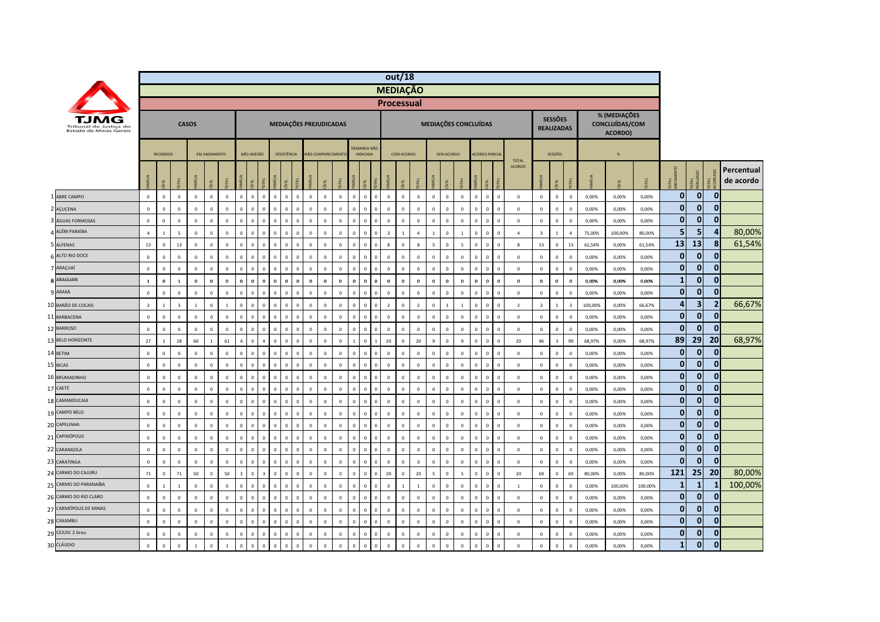|                                                  |                |                  |                          |              |                     |                |                |              |                      |                            |              |              |                    |                |             |                                       |                | out/18                  |                |                |                          |                |                          |              |                         |                |                |                         |                                     |                |          |                                           |         |                |                         |                |                         |
|--------------------------------------------------|----------------|------------------|--------------------------|--------------|---------------------|----------------|----------------|--------------|----------------------|----------------------------|--------------|--------------|--------------------|----------------|-------------|---------------------------------------|----------------|-------------------------|----------------|----------------|--------------------------|----------------|--------------------------|--------------|-------------------------|----------------|----------------|-------------------------|-------------------------------------|----------------|----------|-------------------------------------------|---------|----------------|-------------------------|----------------|-------------------------|
|                                                  |                |                  |                          |              |                     |                |                |              |                      |                            |              |              |                    |                |             |                                       |                | <b>MEDIAÇÃO</b>         |                |                |                          |                |                          |              |                         |                |                |                         |                                     |                |          |                                           |         |                |                         |                |                         |
|                                                  |                |                  |                          |              |                     |                |                |              |                      |                            |              |              |                    |                |             |                                       |                | <b>Processual</b>       |                |                |                          |                |                          |              |                         |                |                |                         |                                     |                |          |                                           |         |                |                         |                |                         |
| Tribunal de Justica do<br>Estado de Minas Gerais |                |                  |                          | <b>CASOS</b> |                     |                |                |              |                      | MEDIAÇÕES PREJUDICADAS     |              |              |                    |                |             |                                       |                |                         |                |                |                          |                | MEDIAÇÕES CONCLUÍDAS     |              |                         |                |                |                         | <b>SESSÕES</b><br><b>REALIZADAS</b> |                |          | % (MEDIAÇÕES<br>CONCLUÍDAS/COM<br>ACORDO) |         |                |                         |                |                         |
|                                                  |                | <b>RECEBIDOS</b> |                          |              | <b>FM ANDAMENTO</b> |                |                | NÃO ADESÃO   |                      | DESISTÊNCIA                |              |              | NÃO COMPARECIMENTO |                |             | <b>DEMANDA NÃO</b><br><b>INDICADA</b> |                |                         | COM ACORDO     |                |                          | SEM ACORDO     |                          |              | <b>ACORDO PARCIA</b>    |                | <b>TOTAL</b>   |                         | SESSÕES                             |                |          | %                                         |         |                |                         |                |                         |
|                                                  |                | g                |                          | <b>MILIA</b> |                     |                |                |              | <b>JEAL</b>          |                            |              |              |                    |                |             |                                       |                | $\overline{z}$          |                |                |                          | ₫,             |                          | <b>LI</b>    | íκ                      |                | <b>ACORDO</b>  | <b>IR</b>               | ğ                                   |                |          |                                           |         | <b>DEA</b>     | OTAL<br>EALIZADO        | <b>DTAL</b>    | Percentual<br>de acordo |
| ABRE CAMPO                                       | $\mathbf 0$    | $\mathbf 0$      | $\mathbb O$              | $\mathbf 0$  | $\mathbb O$         | $\,0\,$        | $\mathbf{0}$   | $\mathbf{0}$ | $\mathsf 0$          | $\,$ 0<br>$\mathbf{0}$     | $\mathbf 0$  | $\mathbb O$  | $\mathbb O$        | $\mathbf 0$    | $\mathbf 0$ | $\mathbf 0$                           | $\mathsf 0$    | $\mathbf 0$             | $\mathbf 0$    | $\mathbb O$    | $\mathbb O$              | $\mathbf 0$    | $\mathbb O$              | $\mathbf 0$  | $\mathbf 0$             | $\overline{0}$ | $\mathsf 0$    | $\mathbb O$             | $\mathbf 0$                         | $\mathbf 0$    | 0,00%    | 0,00%                                     | 0,00%   | $\mathbf{0}$   | $\mathbf 0$             | $\mathbf 0$    |                         |
| 2 AÇUCENA                                        | $\mathbf{0}$   | $\mathbb O$      | $\mathbb O$              | $\mathbf 0$  | $\mathbf 0$         | $\mathbf 0$    | $\Omega$       |              | $\mathbf 0$          | $\Omega$                   | $\mathbf 0$  | $\mathbf 0$  | $\mathbf 0$        | $\mathbf 0$    |             | $\mathbf 0$                           | $\mathsf 0$    | $\overline{0}$          | $\mathbf 0$    | $\mathbf 0$    | $\mathbb O$              | $\mathbf 0$    | $\overline{0}$           | $\mathbf 0$  | $\,$ 0                  | $\overline{0}$ | $\,0\,$        | $\mathbb O$             | $\,0\,$                             | $\mathbf 0$    | 0,00%    | 0,00%                                     | 0,00%   | $\mathbf{0}$   | $\bf{0}$                | $\mathbf 0$    |                         |
| ÁGUAS FORMOSAS                                   | $\mathbf 0$    | $\mathbf 0$      | $\mathbf 0$              | $\pmb{0}$    | $\mathbf 0$         | $\overline{0}$ |                |              | $\mathbf{0}$         | $\Omega$                   | $\mathbf 0$  | $\mathbb O$  | $\mathbb O$        | $\mathbf 0$    |             | $\mathbf 0$                           | $\mathbf 0$    | $\overline{0}$          | $\mathbf 0$    | $\mathbb O$    | $\mathbb O$              | $\mathbf 0$    | $\overline{0}$           | $\mathbf 0$  | $\overline{\mathbf{0}}$ | $\overline{0}$ | $\mathbf 0$    | $\mathbf 0$             | $\mathsf 0$                         | $\mathbb O$    | 0,00%    | 0,00%                                     | 0,00%   | $\overline{0}$ | $\mathbf 0$             | $\mathbf{0}$   |                         |
| ALÉM PARAÍBA                                     | $\overline{4}$ | $\overline{1}$   | $\overline{5}$           | $\mathbf 0$  | $\Omega$            | $\mathbf{0}$   | $\Omega$       |              | $\Omega$<br>$\Omega$ |                            | $\mathbf{0}$ | $\mathbf{0}$ | $\mathbf 0$        | $\mathbf 0$    | $\Omega$    | $\mathbf{0}$                          | $\mathbf{0}$   | $\overline{\mathbf{3}}$ | $\overline{1}$ | $\overline{a}$ | $\overline{1}$           | $\mathbf{0}$   | $\overline{1}$           | $\mathbf 0$  | $\,$ 0                  | $\sqrt{2}$     | $\overline{A}$ | $\overline{\mathbf{3}}$ | $\mathbf{1}$                        | $\overline{a}$ | 75,00%   | 100,00%                                   | 80,00%  | 5 <sub>1</sub> | 5                       | 4              | 80,00%                  |
| 5 ALFENAS                                        | 13             | $\mathbf 0$      | 13                       | $\mathbf 0$  | $\Omega$            | $\overline{0}$ | $\mathbf 0$    | $\Omega$     | $\mathbf 0$          | $\,$ 0<br>$\Omega$         | $\mathbf 0$  | $\mathbf 0$  | $\mathbb O$        | $\mathbf 0$    | $\Omega$    | $\mathbf{0}$                          | $\mathsf 0$    | 8                       | $\mathbf 0$    | $8\phantom{1}$ | $\overline{\phantom{a}}$ | $\mathbf 0$    | 5                        | $\mathbf 0$  | $\mathbf 0$             | $\mathbf 0$    | 8              | 13                      | $\mathbf 0$                         | 13             | 61,54%   | 0,00%                                     | 61,54%  | 13             | 13                      | 8              | 61,54%                  |
| ALTO RIO DOCE                                    | $\mathbf 0$    | $\mathbb O$      | $\mathbf 0$              | $\mathbf 0$  | $\Omega$            | $\overline{0}$ | $\Omega$       |              | $\mathbf 0$          | $\Omega$                   | $\mathbf 0$  | $\Omega$     | $\mathbf 0$        | $\overline{0}$ |             | $\mathbf 0$                           | $\mathbf 0$    | $\overline{0}$          | $\mathbf 0$    | $^{\circ}$     | $\mathbb O$              | $^{\circ}$     | $\overline{0}$           | $\mathbf 0$  | $\,$ 0<br>$\Omega$      |                | $\overline{0}$ | $\mathbf 0$             | $\,0\,$                             | $\mathbf{0}$   | 0,00%    | 0,00%                                     | 0,00%   | $\mathbf{0}$   | $\mathbf 0$             | $\mathbf{0}$   |                         |
| 7 ARAÇUAÍ                                        | $\mathbf 0$    | $\mathbf 0$      | $\mathbb O$              | $\mathbf 0$  | $\mathbb O$         | $\overline{0}$ | $\Omega$       |              | $\mathbf 0$          | $\,0\,$                    | $\mathbf 0$  | $\mathbb O$  | $\mathbb O$        | $\overline{0}$ |             | $\mathbf 0$                           | $\mathsf 0$    | $\overline{0}$          | $\overline{0}$ | $\mathbb O$    | $\mathbf 0$              | $\mathbf 0$    | $\overline{0}$           | $\mathbf 0$  | $\,$ 0                  | $\overline{0}$ | $\overline{0}$ | $\mathbb O$             | $\,0\,$                             | $\mathbf 0$    | 0,00%    | 0,00%                                     | 0,00%   | $\mathbf{0}$   | $\mathbf 0$             | $\mathbf{0}$   |                         |
| <b>8 ARAGUARI</b>                                | $\mathbf{1}$   | $\mathbf 0$      | $\overline{\phantom{a}}$ | $\mathbf 0$  | $\Omega$            | $\mathbf{0}$   | $\theta$       |              | $\mathbf{0}$         | $\mathbf{0}$<br>$\Omega$   | $\mathbf 0$  | $\bf{0}$     | $\mathbf 0$        | $\mathbf 0$    | $\Omega$    | $\mathbf 0$                           | $\mathbf 0$    | $\bf{0}$                | $\mathbf{0}$   | $\mathbf 0$    | $\mathbf 0$              | $\mathbf 0$    | $\mathbf{0}$             | $\mathbf 0$  | $\mathbf 0$             | $\Omega$       | $\mathbf 0$    | $\mathbf 0$             | $\mathbf 0$                         | $\bf{0}$       | 0,00%    | 0,00%                                     | 0,00%   | $\mathbf{1}$   | $\mathbf 0$             | $\mathbf{0}$   |                         |
| g ARAXÁ                                          | $\mathsf 0$    | $\mathbf 0$      | $\mathbf{0}$             | $\mathbf{0}$ | $\Omega$            | $\overline{0}$ | $\Omega$       |              | $\mathbf{0}$         | $\mathbf{0}$               | $\mathbf{0}$ | $\Omega$     | $\Omega$           | $\Omega$       |             | $\mathbf 0$                           | $\mathbf{0}$   | $\Omega$                | $\Omega$       | $\mathbb O$    | $\mathbf 0$              | $\mathbf 0$    | $\mathbf{0}$             | $\mathbf 0$  | $\,$ 0                  | $\mathbf 0$    | $\mathbf 0$    | $\mathbb O$             | $\mathsf 0$                         | $\mathbf 0$    | 0,00%    | 0,00%                                     | 0,00%   | $\mathbf{0}$   | $\mathbf 0$             | $\mathbf{0}$   |                         |
| 10 BARÃO DE COCAIS                               | $\overline{2}$ |                  | $\overline{3}$           | $\mathbf{1}$ | $\Omega$            | $\overline{1}$ |                |              | $\mathbf 0$          | $\Omega$                   | $\mathbf 0$  | $\Omega$     | $\mathbf 0$        | $\Omega$       |             | $\mathbf 0$                           | $\Omega$       | $\overline{z}$          | $\mathbf 0$    | $\overline{z}$ | $\mathbf{0}$             | $\overline{1}$ | $\overline{1}$           | $\mathbf 0$  | $\,$ 0                  | $\Omega$       | $\overline{2}$ | $\overline{2}$          | $\mathbf{1}$                        | $\overline{z}$ | 100,00%  | 0,00%                                     | 66,67%  | $\overline{4}$ | $\overline{\mathbf{3}}$ | $\overline{2}$ | 66,67%                  |
| 11 BARBACENA                                     | $\mathbf 0$    | $\mathbb O$      | $\mathbf 0$              | $\mathbf 0$  | $\mathbf 0$         | $\overline{0}$ |                |              | $\mathbf 0$          | $\Omega$                   | $\mathbf 0$  | $\mathbb O$  | $\mathbb O$        | $\overline{0}$ |             | $\mathbf 0$                           | $\mathsf 0$    | $\overline{0}$          | $\mathbf 0$    | $\mathbb O$    | $\mathbf 0$              | $\mathbf 0$    | $\overline{0}$           | $\mathbf 0$  | $\,$ 0                  | $\Omega$       | $\overline{0}$ | $\mathbb O$             | $\mathsf 0$                         | $\mathbf 0$    | 0,00%    | 0,00%                                     | 0,00%   | $\overline{0}$ | $\mathbf 0$             | $\overline{0}$ |                         |
| 12 BARROSO                                       | $\mathbf 0$    | $\mathbf 0$      | $\mathbb O$              | $\mathbf 0$  | $\Omega$            | $\,0\,$        | $\mathbf 0$    | $\Omega$     | $\mathbf{0}$         | $\overline{0}$<br>$\Omega$ | $\mathbf 0$  | $\mathbf{0}$ | $\mathbf 0$        | $\mathbf 0$    | $\Omega$    | $\mathbf 0$                           | $\mathbf{0}$   | $\mathbf 0$             | $\mathbf 0$    | $\mathbb O$    | $\mathbf 0$              | $\mathbf 0$    | $\mathbf 0$              | $\mathbf 0$  | $\,$ 0                  | $\Omega$       | $\mathsf 0$    | $\mathbb O$             | $\mathbf 0$                         | $\Omega$       | 0,00%    | 0,00%                                     | 0,00%   | $\mathbf{0}$   | $\mathbf{0}$            | $\mathbf{0}$   |                         |
| 13 BELO HORIZONTE                                | 27             | $\overline{1}$   | 28                       | 60           | $\mathbf{1}$        | 61             | $\overline{a}$ |              | $\overline{4}$       | $\,$ 0                     | $\mathbf 0$  | $\mathbf 0$  | $\mathbb O$        | $\mathbf 0$    |             | $\mathbf 0$                           | $\mathbf{1}$   | $20\,$                  | $\mathbf 0$    | $20\,$         | $\mathsf g$              | $\mathbf 0$    | $\overline{9}$           | $\mathbf 0$  | $\,$ 0                  | $\overline{0}$ | 20             | 96                      | $\overline{\mathbf{3}}$             | 99             | 68,97%   | 0,00%                                     | 68,97%  | 89             | 29                      | 20             | 68,97%                  |
| 14 BETIM                                         | $\mathbf{0}$   | $\mathbf{0}$     | $\mathbf{0}$             | $\mathbf{0}$ | $\Omega$            | $\mathbf{0}$   | $\Omega$       |              | $\mathbf{0}$         | $\mathbf{0}$               | $\mathbf{0}$ | $\mathbf 0$  | $\mathbf 0$        | $\Omega$       | $\Omega$    | $\mathbf{0}$                          | $\mathbf{0}$   | $\Omega$                | $\Omega$       | $\mathbf 0$    | $\mathbf{0}$             | $\mathbf{0}$   | $\Omega$                 | $\mathbf{0}$ | $\overline{0}$          | $\Omega$       | $\Omega$       | $\mathbf 0$             | $\overline{0}$                      | $\Omega$       | 0.00%    | 0.00%                                     | 0.00%   | $\mathbf{0}$   | $\mathbf{0}$            | $\mathbf{0}$   |                         |
| 15 BICAS                                         | $\mathbf 0$    | $\mathbf 0$      | $\mathbb O$              | $\mathbf 0$  | $\mathbb O$         | $\,$ 0         | $\Omega$       |              | $\mathbf 0$          | $\mathbf{0}$               | $\mathbf 0$  | $\mathbf 0$  | $\mathbf{0}$       | $\mathbf 0$    | $\Omega$    | $\mathbf 0$                           | $\mathbf{0}$   | $\mathbf 0$             | $\overline{0}$ | $\mathbb O$    | $\mathbf 0$              | $\mathbf 0$    | $\overline{0}$           | $\mathbf 0$  | $\,$ 0                  | $\overline{0}$ | $\overline{0}$ | $\mathbb O$             | $\mathsf 0$                         | $\mathbf 0$    | 0,00%    | 0,00%                                     | 0,00%   | $\overline{0}$ | $\mathbf 0$             | $\mathbf{0}$   |                         |
| 16 BRUMADINHO                                    | $\mathsf 0$    | $\mathbf 0$      | $\mathbf 0$              | $\mathbf 0$  | $\mathbf 0$         | $\mathbf 0$    | $\mathbf 0$    | $\Omega$     | $\mathbf{0}$         | $\overline{0}$<br>$\Omega$ | $\mathbf 0$  | $\mathbf 0$  | $\mathbf 0$        | $\mathbf 0$    | $\Omega$    | $\mathbf 0$                           | $\mathbf{0}$   | $\mathbf 0$             | $\mathbf 0$    | $\mathbb O$    | $\mathbf 0$              | $\mathbf 0$    | $\Omega$                 | $\mathbf 0$  | $\,$ 0                  | $\Omega$       | $\mathbf 0$    | $\mathbb O$             | $\mathsf 0$                         | $\mathbf 0$    | 0,00%    | 0,00%                                     | 0,00%   | $\overline{0}$ | $\mathbf 0$             | $\mathbf{0}$   |                         |
| 17 CAETÉ                                         | $\mathbf 0$    | $\mathbb O$      | $\mathbb O$              | $\mathbf 0$  | $\mathbf 0$         | $\,$ 0         | $\mathbf 0$    | $\Omega$     | $\mathbf 0$          | $\,0\,$                    | $\mathbf 0$  | $\mathbf 0$  | $\mathbf 0$        | $\mathbf 0$    |             | $\mathbf 0$                           | $\mathsf 0$    | $\overline{0}$          | $\mathbf 0$    | $\mathbf 0$    | $\mathbb O$              | $\mathbf 0$    | $\mathbb O$              | $\mathbf 0$  | $\,$ 0                  | $\overline{0}$ | $\overline{0}$ | $\mathbb O$             | $\,0\,$                             | $\mathbf 0$    | 0,00%    | 0,00%                                     | 0,00%   | $\mathbf{0}$   | $\bf{0}$                | $\mathbf{0}$   |                         |
| 18 CAMANDUCAIA                                   | $\mathbf 0$    | $\mathbb O$      | $\mathbf{0}$             | $\mathbf 0$  | $\mathbf 0$         | $\mathbf 0$    | $\Omega$       |              | $\mathbf{0}$         | $\Omega$                   | $\mathbf 0$  | $\mathbb O$  | $\mathbb O$        | $\mathbf 0$    |             | $\mathbf 0$                           | $\mathsf 0$    | $\mathbf 0$             | $\mathbf 0$    | $\mathbb O$    | $\mathbb O$              | $\mathbf 0$    | $\overline{0}$           | $\mathbf 0$  | $\,$ 0                  | $\Omega$       | $\mathbf 0$    | $\mathbf 0$             | $\mathbf 0$                         | $\mathbb O$    | 0,00%    | 0,00%                                     | 0,00%   | $\mathbf{0}$   | $\mathbf 0$             | $\mathbf{0}$   |                         |
| 19 CAMPO BELO                                    | $\mathsf 0$    | $\mathbb O$      | $\mathbb O$              | $\mathbf 0$  | $\mathbb O$         | $\,$ 0         | $\Omega$       |              | $\mathbf 0$          | $\Omega$                   | $\mathbf 0$  | $\mathbf 0$  | $\mathbf{0}$       | $\mathbf 0$    |             | $\mathbf 0$                           | $\Omega$       | $\mathbf 0$             | $\overline{0}$ | $\mathbb O$    | $\mathbf 0$              | $\mathbf 0$    | $\overline{0}$           | $\mathbf 0$  | $\,$ 0                  | $\Omega$       | $\overline{0}$ | $\mathbb O$             | $\mathsf 0$                         | $\mathbf 0$    | 0,00%    | 0,00%                                     | 0,00%   | $\mathbf{0}$   | $\mathbf{0}$            | $\mathbf{0}$   |                         |
| 20 CAPELINHA                                     | $\mathbf{0}$   | $\mathbf{0}$     | $\mathbf{0}$             | $\mathbf{0}$ | $\mathbf 0$         | $\mathbf{0}$   | $\mathbf 0$    | $\Omega$     | $\mathbf{0}$         | $\mathbf{0}$               | $\mathbf{0}$ | $\mathbf 0$  | $\mathbf 0$        | $\Omega$       | $\Omega$    | $\mathbf{0}$                          | $\mathbf{0}$   | $\mathbf 0$             | $\Omega$       | $\mathbf 0$    | $\overline{0}$           | $\mathbf{0}$   | $\mathbf 0$              | $\mathbf{0}$ | $\overline{0}$          | $\Omega$       | $\Omega$       | $\mathbf 0$             | $\overline{0}$                      | $\Omega$       | 0,00%    | 0,00%                                     | 0,00%   | $\mathbf{0}$   | $\mathbf 0$             | $\mathbf{0}$   |                         |
| 21 CAPINÓPOLIS                                   | $\mathbf 0$    | $\,0\,$          | $\mathbb O$              | $\mathbf 0$  | $\mathbf 0$         | $\mathbf 0$    | $\mathbf 0$    |              | $\mathbf 0$          | $\,0\,$                    | $\mathbf 0$  | $\mathbf 0$  | $\mathbb O$        | $\mathbf 0$    | $\Omega$    | $\mathbf 0$                           | $\mathsf 0$    | $\mathbf 0$             | $\overline{0}$ | $\mathbf 0$    | $\mathbb O$              | $\mathbf{0}$   | $\overline{0}$           | $\mathbf 0$  | $\,$ 0                  | $\overline{0}$ | $\overline{0}$ | $\mathbf 0$             | $\,0\,$                             | $\overline{0}$ | 0,00%    | 0,00%                                     | 0,00%   | $\overline{0}$ | $\mathbf 0$             | $\mathbf{0}$   |                         |
| 22 CARANGOLA                                     | $\mathbf 0$    | $\mathbb O$      | $\mathbf 0$              | $\mathbf 0$  | $\mathbf 0$         | $\mathbf 0$    | $\Omega$       |              | $\mathbf 0$          | $\,0\,$                    | $\mathbf 0$  | $\mathbb O$  | $\mathbb O$        | $\mathbf 0$    |             | $\mathbf 0$                           | $\mathsf 0$    | $\mathbf 0$             | $\mathbf 0$    | $\mathbf 0$    | $\mathbb O$              | $\mathbf 0$    | $\overline{0}$           | $\mathbf 0$  | $\,$ 0                  | $\overline{0}$ | $\mathsf 0$    | $\mathbf 0$             | $\mathbf 0$                         | $\mathbf 0$    | 0,00%    | 0,00%                                     | 0,00%   | $\mathbf{0}$   | $\mathbf 0$             | $\mathbf{0}$   |                         |
| 23 CARATINGA                                     | $\mathbf 0$    | $\mathbf 0$      | $\mathbf 0$              | $\mathbf 0$  | $\mathbf 0$         | $\overline{0}$ | $\Omega$       |              | $\mathsf 0$          | $\mathbf{0}$               | $\mathbf 0$  | $\mathbb O$  | $\mathbb O$        | $\mathbf 0$    | $\Omega$    | $\mathbf 0$                           | $\mathsf 0$    | $\mathbf 0$             | $\pmb{0}$      | $\mathbb O$    | $\mathbb O$              | $\mathbf 0$    | $\overline{0}$           | $\mathbf 0$  | $\,$ 0                  | $\overline{0}$ | $\overline{0}$ | $\mathbb O$             | $\mathbf 0$                         | $\,0\,$        | 0,00%    | 0,00%                                     | 0,00%   | $\mathbf{0}$   | $\mathbf 0$             | $\overline{0}$ |                         |
| CARMO DO CAJURU<br>24                            | 71             | $\mathbf{0}$     | 71                       | 50           | $\mathbf 0$         | 50             | $\overline{z}$ | $\Omega$     | $\overline{3}$       | $\mathbf{0}$               | $\mathbf{0}$ | $\mathbf{0}$ | $\mathbf{0}$       | $\Omega$       | $\Omega$    | $\mathbf{0}$                          | $\mathbf{0}$   | 20                      | $\mathbf{0}$   | 20             | $\overline{5}$           | $\mathbf{0}$   | $\overline{\phantom{a}}$ | $\mathbf{0}$ | $\overline{0}$          | $\overline{0}$ | 20             | 69                      | $\circ$                             | 69             | 80.00%   | 0.00%                                     | 80,00%  | 121            | 25                      | 20             | 80,00%                  |
| CARMO DO PARANAÍBA<br><b>25</b>                  | $\mathbf 0$    | $\overline{1}$   | $\mathbf{1}$             | $\mathbf 0$  | $\Omega$            | $\mathbf 0$    | $\Omega$       | $\Omega$     | $\mathbf 0$          | $\,0\,$                    | $\mathbf 0$  | $\mathbf 0$  | $\mathbb O$        | $\mathbf 0$    | $\Omega$    | $\mathbf 0$                           | $\mathsf 0$    | $\overline{0}$          | $\overline{1}$ | $\overline{1}$ | $\mathbb O$              | $\mathbf 0$    | $\mathbb O$              | $\mathbf 0$  | $\,$ 0                  | $\Omega$       | $\mathbf{1}$   | $\mathbb O$             | $\mathbf 0$                         | $\mathbf 0$    | $0,00\%$ | 100,00%                                   | 100,00% | $\mathbf{1}$   | $\mathbf{1}$            | 1              | 100,00%                 |
| 26 CARMO DO RIO CLARO                            | $\mathsf 0$    | $\mathbb O$      | $\mathbf 0$              | $\mathbf 0$  | $\mathbf 0$         | $\mathbf 0$    |                |              | $\mathsf 0$          | $\Omega$                   | $\mathbf 0$  | $\mathbb O$  | $\mathbb O$        | $\mathbf 0$    |             | $\mathbf 0$                           | $\overline{0}$ | $\mathbf 0$             | $\mathbf 0$    | $\mathbb O$    | $\mathbb O$              | $\mathbf 0$    | $\overline{0}$           | $\mathbf 0$  | $\overline{0}$          | $\Omega$       | $\mathbf 0$    | $\mathbf 0$             | $\mathbf 0$                         | $\mathbf 0$    | 0,00%    | 0,00%                                     | 0,00%   | $\overline{0}$ | $\mathbf 0$             | $\mathbf{0}$   |                         |
| 27 CARMÓPOLIS DE MINAS                           | $\mathbf 0$    | $\mathbb O$      | $\mathbf 0$              | $\mathbf 0$  | $\mathbf 0$         | $\,0\,$        | $\Omega$       |              | $\mathbf 0$          | $\Omega$                   | $\mathbf 0$  | $\mathbf 0$  | $\mathbb O$        | $\mathbf 0$    |             | $\mathbf 0$                           | $\mathsf 0$    | $\mathbf 0$             | $\mathbf 0$    | $\mathbb O$    | $\overline{0}$           | $\mathbf 0$    | $\overline{0}$           | $\mathbf 0$  | $\,$ 0                  | $\Omega$       | $\,0\,$        | $\mathbb O$             | $\,0\,$                             | $\overline{0}$ | 0,00%    | 0,00%                                     | 0,00%   | $\mathbf{0}$   | $\mathbf 0$             | $\mathbf{0}$   |                         |
| 28 CAXAMBU                                       | $\mathbf 0$    | $\mathbf 0$      | $\overline{0}$           | $\mathbf{0}$ | $\mathbb O$         | $\,$ 0         | $\mathbf 0$    | $\Omega$     | $\mathbf 0$          | $\,$ 0<br>$\Omega$         | $\mathbf 0$  | $\mathbb O$  | $\mathbb O$        | $\mathbf 0$    | $\Omega$    | $\mathbf 0$                           | $\mathsf 0$    | $\mathbf 0$             | $\mathbf 0$    | $\mathbb O$    | $\mathbf 0$              | $\mathbf 0$    | $\mathbf 0$              | $\mathbf 0$  | $\,$ 0                  | $\overline{0}$ | $\mathsf 0$    | $\mathbb O$             | $\mathsf 0$                         | $\mathbb O$    | 0,00%    | 0,00%                                     | 0,00%   | $\mathbf{0}$   | $\bf{0}$                | $\mathbf{0}$   |                         |
| 29 CEJUSC 2 Grau                                 | $\mathbf 0$    | $\mathbb O$      | $\mathbf 0$              | $\mathbf 0$  | $\Omega$            | $\mathsf 0$    | $\Omega$       | $\Omega$     | $\mathbf 0$          | $\,$ 0<br>$\Omega$         | $\mathbf 0$  | $\mathbf 0$  | $\mathbb O$        | $\mathbf 0$    | $\Omega$    | $\mathbf 0$                           | $\mathsf 0$    | $\mathbf 0$             | $\overline{0}$ | $\mathbf 0$    | $\mathbb O$              | $\Omega$       | $\overline{0}$           | $\mathbf 0$  | $\,$ 0                  | $\Omega$       | $\mathsf 0$    | $\mathbf 0$             | $\mathbf 0$                         | $\mathbf 0$    | 0,00%    | 0,00%                                     | 0,00%   | $\mathbf{0}$   | $\mathbf 0$             | $\mathbf{0}$   |                         |
| 30 CLÁUDIO                                       | $\mathbf 0$    | $\mathbb O$      | $\mathbf 0$              | $\mathbf{1}$ | $\mathbf 0$         | $\mathbf{1}$   | $\Omega$       |              | $\mathbf 0$          | $\,$ 0<br>$\Omega$         | $\mathbf 0$  | $\mathbb O$  | $\mathbb O$        | $\mathbf 0$    | $\Omega$    | $\mathbf 0$                           | $\mathsf 0$    | $\overline{0}$          | $\mathbf 0$    | $\mathbb O$    | $\mathbf 0$              | $\mathbf 0$    | $\overline{0}$           | $\mathbf 0$  | $\overline{0}$          | $\Omega$       | $\Omega$       | $\mathbf 0$             | $\mathbf{0}$                        | $\mathbb O$    | 0,00%    | 0,00%                                     | 0,00%   | $\mathbf{1}$   | $\mathbf 0$             | $\mathbf{0}$   |                         |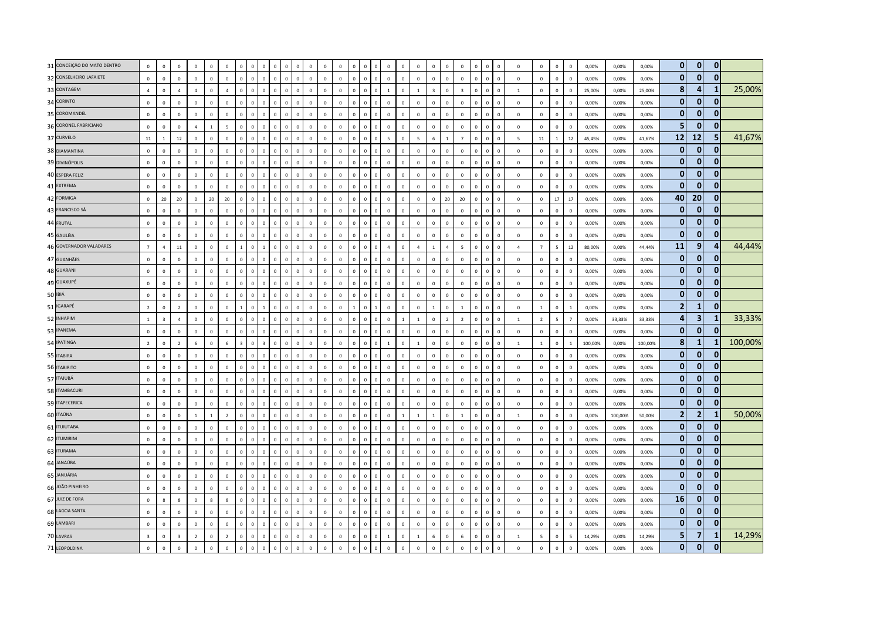| 31 CONCEIÇÃO DO MATO DENTRO | $\mathbf 0$             | $\mathbf 0$             | $\circ$        | $\mathbf 0$    | $\overline{0}$ | $\mathbf{0}$    |          | $\mathbf 0$  | $\Omega$       | $\mathbf 0$                |                | $\Omega$    |              | $\overline{0}$ |                | $\overline{0}$ | $\Omega$     | $\overline{0}$ | $\overline{0}$ | $\mathbf 0$    | $\mathbf 0$             | $\Omega$       | $\mathbf 0$             |              | $\mathbf 0$  | $\overline{0}$ | $\mathbf 0$    | $\mathbf 0$    | $\mathbf{0}$             | $\,$ 0                   | 0,00%   | 0,00%   | 0,00%   | $\overline{0}$ | $\mathbf{0}$            | $\mathbf{0}$ |         |
|-----------------------------|-------------------------|-------------------------|----------------|----------------|----------------|-----------------|----------|--------------|----------------|----------------------------|----------------|-------------|--------------|----------------|----------------|----------------|--------------|----------------|----------------|----------------|-------------------------|----------------|-------------------------|--------------|--------------|----------------|----------------|----------------|--------------------------|--------------------------|---------|---------|---------|----------------|-------------------------|--------------|---------|
| 32 CONSELHEIRO LAFAIETE     | $\mathsf 0$             | $\mathbf 0$             | $\mathbf 0$    | $\mathbb O$    | $\mathbf 0$    | $\mathbf 0$     | $\Omega$ | $\mathbf 0$  | $\overline{0}$ | $\mathbf 0$<br>$\mathsf 0$ | $\mathbf 0$    | $\mathbf 0$ | $\mathbf 0$  | $\mathbf 0$    | $\overline{0}$ | $\mathbf{0}$   | $\mathbf 0$  | $\overline{0}$ | $\mathbf 0$    | $\mathbb O$    | $\mathbf 0$             | $\mathbf 0$    | $\mathbb O$             | $\Omega$     | $\mathbf{0}$ | $\mathbf 0$    | $\mathsf 0$    | $\mathbb O$    | $\mathbf{0}$             | $\,$ 0                   | 0,00%   | 0,00%   | 0,00%   | $\mathbf{0}$   | $\mathbf{0}$            | $\mathbf{0}$ |         |
| 33 CONTAGEM                 | $\overline{4}$          | $\mathbf{0}$            | $\overline{4}$ | $\mathbf{A}$   | $\mathbf 0$    | $\overline{4}$  |          | $\mathbf 0$  | $\Omega$       | $\mathbf 0$<br>$\Omega$    | $\Omega$       | $\mathbf 0$ | $\mathbf 0$  | $\mathbb O$    | $\overline{0}$ | $\mathbf 0$    | $\Omega$     | $\overline{1}$ | $\Omega$       | $1\,$          | $\overline{\mathbf{3}}$ | $\Omega$       | $\overline{\mathbf{3}}$ |              | $\mathbf 0$  | $\mathbf 0$    | $\mathbf{1}$   | $\mathbb O$    | $\overline{0}$           | $\,$ 0                   | 25,00%  | 0,00%   | 25,00%  | 8              | 4                       |              | 25,00%  |
| 34 CORINTO                  | $\mathbf{0}$            | $\overline{0}$          | $\circ$        | $\mathbf 0$    | $\Omega$       | $\overline{0}$  | $\Omega$ | $\mathbf{0}$ | $\Omega$       | $\Omega$<br>$\Omega$       | $\Omega$       | $\Omega$    | $\Omega$     | $\mathbf 0$    | $\Omega$       | $\Omega$       | $\Omega$     | $\mathbf 0$    | $\mathbf 0$    | $\mathbf 0$    | $\mathbb O$             | $\Omega$       | $\overline{0}$          | $\Omega$     | $\mathbf{0}$ | $\mathbf 0$    | $\circ$        | $\mathbf 0$    | $\mathbf{0}$             | $\,$ 0                   | 0,00%   | 0,00%   | 0,00%   | $\mathbf{0}$   | $\mathbf{0}$            | $\Omega$     |         |
| 35 COROMANDEL               | $\mathsf 0$             | $\mathbf 0$             | $\mathbf 0$    | $\mathbb O$    | $\mathbf 0$    | $\mathbf 0$     |          | $\mathbf 0$  | $\Omega$       | $\Omega$<br>$\mathbf 0$    | $\Omega$       | $\mathbf 0$ | $\mathbf 0$  | $\mathbb O$    | $\overline{0}$ | $\mathbf 0$    | 0            | $\overline{0}$ | $\mathbf 0$    | $\mathbb O$    | $\mathbf 0$             | $\Omega$       | $\mathbb O$             | $\Omega$     | $\mathbf{0}$ | $\mathbf 0$    | $\mathbf 0$    | $\mathbb O$    | $\mathsf 0$              | $\,$ 0                   | 0,00%   | 0,00%   | 0,00%   | $\overline{0}$ | $\mathbf 0$             | n            |         |
| 36 CORONEL FABRICIANO       | $\mathsf 0$             | $\mathbf 0$             | $\mathbf 0$    | $\overline{4}$ | $\mathbf{1}$   | $5\overline{5}$ |          | $\mathbf 0$  | $\Omega$       | $\mathbf 0$<br>$\Omega$    | $\mathbf{0}$   | $\mathbf 0$ | $\mathbf 0$  | $\overline{0}$ | $\Omega$       | $\overline{0}$ | $\Omega$     | $\overline{0}$ | $\mathbf 0$    | $\mathbb O$    | $\mathbf 0$             | $\Omega$       | $\mathbb O$             |              | $\mathbf 0$  | $\overline{0}$ | $\mathbf 0$    | $\mathbf 0$    | $\mathbf 0$              | $\,$ 0                   | 0,00%   | 0,00%   | 0,00%   | 5 <sub>l</sub> | $\mathbf 0$             |              |         |
| 37 CURVELO                  | 11                      | $\overline{1}$          | $12\,$         | $\mathbf 0$    | $\mathbf{0}$   | $\mathbf{0}$    |          | $\mathbf{0}$ | $\Omega$       | $\mathbf{0}$<br>$\Omega$   | $\Omega$       | $\Omega$    | $\Omega$     | $\mathbf 0$    | $\Omega$       | $\mathbf{0}$   | <sup>n</sup> | $\overline{5}$ | $\Omega$       | $\overline{5}$ | $6\overline{6}$         |                | $\overline{7}$          | $\Omega$     | $\mathbf{0}$ | $\mathbf 0$    | $\overline{5}$ | 11             | $\mathbf{1}$             | 12                       | 45.45%  | 0.00%   | 41.67%  | 12             | 12                      |              | 41,67%  |
| 38 DIAMANTINA               | $\mathsf 0$             | $\overline{0}$          | $\circ$        | $\mathbf 0$    | $\mathbf{0}$   | $\mathbf 0$     | $\Omega$ | $\mathbf 0$  | $\Omega$       | $\mathbf 0$<br>$\Omega$    | $\Omega$       | $\Omega$    | $\Omega$     | $\mathbf 0$    | $\overline{0}$ | $\Omega$       | $\Omega$     | $\overline{0}$ | $\mathbf 0$    | $\mathbf 0$    | $\mathbf 0$             | $\Omega$       | $\mathbf 0$             | $\Omega$     | $\mathbf 0$  | $\mathbf 0$    | $\circ$        | $\mathbb O$    | $\overline{0}$           | $\,$ 0                   | 0,00%   | 0,00%   | 0,00%   | $\overline{0}$ | $\mathbf{0}$            |              |         |
| 39 DIVINÓPOLIS              | $\mathsf 0$             | $\mathbf 0$             | $\mathbf 0$    | $\mathbb O$    | $\mathbb O$    | $\mathbf 0$     |          | $\mathbf 0$  | $\Omega$       | $\mathbf 0$<br>$\Omega$    |                | $\mathbf 0$ | $\mathbf 0$  | $\overline{0}$ | $\Omega$       | $\overline{0}$ | 0            | $\overline{0}$ | $\overline{0}$ | $\mathbb O$    | $\mathbf 0$             | $\mathbf 0$    | $\mathbb O$             |              | $\mathbf 0$  | $\mathbf 0$    | $\mathsf 0$    | $\mathbb O$    | $\mathbf{0}$             | $\,$ 0                   | 0,00%   | 0,00%   | 0,00%   | $\overline{0}$ | $\mathbf{0}$            | $\Omega$     |         |
| 40 ESPERA FELIZ             | $\mathsf 0$             | $\mathbf 0$             | $\mathbf 0$    | $\mathbb O$    | $\mathbf 0$    | $\mathbf 0$     |          | $\mathbf 0$  | $\overline{0}$ | $\mathbf 0$<br>$\mathbf 0$ | $\overline{0}$ | $\mathbf 0$ | $\mathbf 0$  | $\overline{0}$ | $\overline{0}$ | $\mathbf 0$    | 0            | $\overline{0}$ | $\overline{0}$ | $\mathbb O$    | $\mathbf 0$             | $\mathsf 0$    | $\mathbb O$             | $\mathbf{0}$ | $\mathbf 0$  | $\mathbf 0$    | $\mathsf 0$    | $\mathbf 0$    | $\mathsf 0$              | $\,$ 0                   | 0,00%   | 0,00%   | 0,00%   | $\mathbf{0}$   | $\mathbf{0}$            | 0            |         |
| 41 EXTREMA                  | $\mathbf{0}$            | $\mathbf{0}$            | $\Omega$       | $\overline{0}$ | $\circ$        | $\mathbf{0}$    |          | $\mathbf{0}$ | $\Omega$       | $\Omega$                   | $\sqrt{2}$     | $\Omega$    | $\Omega$     | $\mathbf 0$    | $\Omega$       | $\Omega$       |              | $\Omega$       | $\Omega$       | $\mathbf 0$    | $\Omega$                | $\Omega$       | $\mathbf 0$             | $\Omega$     | $\mathbf{0}$ | $\mathbf 0$    | $\circ$        | $\Omega$       | $\Omega$                 | $\overline{0}$           | 0.00%   | 0.00%   | 0.00%   | $\mathbf{0}$   | $\bf{0}$                | $\Omega$     |         |
| 42 FORMIGA                  | $\mathsf 0$             | 20                      | 20             | $\mathbb O$    | 20             | 20              |          | $\mathbf{0}$ | $\sqrt{2}$     | $\Omega$<br>$\Omega$       | $\Omega$       | $\Omega$    | $\Omega$     | $\mathbf 0$    | $\Omega$       | $\Omega$       | <sup>n</sup> | $\overline{0}$ | $\Omega$       | $\mathbb O$    | $\mathbf 0$             | 20             | 20                      | $\Omega$     | $\mathbf 0$  | $\mathbf 0$    | $\Omega$       | $\mathbb O$    | 17                       | 17                       | 0,00%   | 0,00%   | 0,00%   | 40             | 20                      | $\mathbf{0}$ |         |
| 43 FRANCISCO SÁ             | $\mathsf 0$             | $\mathbf 0$             | $\mathbf 0$    | $\mathbb O$    | $\mathbf{0}$   | $\mathbf 0$     | $\Omega$ | $\mathbf 0$  | $\overline{0}$ | $\mathbb O$<br>$\mathbf 0$ | $\mathbf 0$    | $\mathbf 0$ | $\mathbf 0$  | $\mathbf 0$    | $\overline{0}$ | $\mathbf{0}$   | $\mathbf 0$  | $\overline{0}$ | $\mathbf 0$    | $\mathbb O$    | $\mathbf 0$             | $\Omega$       | $\mathbb O$             | $\Omega$     | $\mathbf 0$  | $\,$ 0         | $\mathbf{0}$   | $\mathbb O$    | $\mathbf{0}$             | $\,$ 0                   | 0,00%   | 0,00%   | 0,00%   | $\overline{0}$ | $\mathbf{0}$            |              |         |
| 44 FRUTAL                   | $\mathbf{0}$            | $\mathbf 0$             | $\mathbf 0$    | $\mathbf 0$    | $\mathbb O$    | $\mathbf 0$     |          | $\mathbf 0$  | $\Omega$       | $\Omega$                   | $\sqrt{2}$     | $\Omega$    | $\Omega$     | $\Omega$       | $\Omega$       | $\Omega$       | $\Omega$     | $\Omega$       | $\Omega$       | $\mathbf 0$    | $\Omega$                | $\Omega$       | $\mathbb O$             |              | $\mathbf 0$  | $\,$ 0         | $\mathbf 0$    | $\mathbb O$    | $\mathbf 0$              | $\,$ 0                   | 0,00%   | 0,00%   | 0,00%   | $\mathbf{0}$   | $\mathbf{0}$            | $\Omega$     |         |
| 45 GALILÉIA                 | $\mathbf{0}$            | $\overline{0}$          | $\Omega$       | $\mathbf 0$    | $\mathbf{0}$   | $\mathbf{0}$    | $\Omega$ | $\mathbf{0}$ | $\Omega$       | $\mathbf 0$<br>$\Omega$    | $\Omega$       | $\Omega$    | $\Omega$     | $\mathbf{0}$   | $\Omega$       | $\mathbf{0}$   | $\Omega$     | $\overline{0}$ | $\Omega$       | $\mathbf 0$    | $\mathbf{0}$            | $\mathbf{0}$   | $\overline{0}$          | $\Omega$     | $\mathbf{0}$ | $\mathbf 0$    | $\mathbf 0$    | $\mathbf 0$    | $\mathbf{0}$             | $\overline{0}$           | 0,00%   | 0,00%   | 0,00%   | $\mathbf{0}$   | $\mathbf{0}$            | $\Omega$     |         |
| 46 GOVERNADOR VALADARES     | $\overline{7}$          | $\overline{4}$          | $11\,$         | $\mathbb O$    | $\mathbf 0$    | $\mathbf 0$     |          | $\mathbf 0$  |                | $\mathbf 0$<br>$\Omega$    | $\Omega$       | $\Omega$    | $\Omega$     | $\mathbf 0$    | $\Omega$       | $\mathbf 0$    | <sup>n</sup> | $\overline{a}$ | $\overline{0}$ | $\overline{4}$ | $\overline{1}$          | $\Delta$       | $\overline{5}$          | $\Omega$     | $\mathbf 0$  | $\mathbf 0$    | $\overline{4}$ | $\overline{7}$ | $\overline{\phantom{a}}$ | 12                       | 80,00%  | 0,00%   | 44,44%  | 11             | 9                       |              | 44,44%  |
| 47 GUANHÃES                 | $\,$ 0                  | $\mathbf 0$             | $\mathbf 0$    | $\mathbb O$    | $\mathbb O$    | $\,0\,$         |          | $\mathbf 0$  | $\sqrt{2}$     | $\mathbb O$<br>$\Omega$    | $\Omega$       | $\Omega$    | $\mathbf 0$  | $\mathbf 0$    | $\Omega$       | $\mathbf{0}$   | $\Omega$     | $\overline{0}$ | $\overline{0}$ | $\mathbb O$    | $\mathbf 0$             | $\Omega$       | $\mathbb O$             |              | $\mathbf 0$  | $\mathbf 0$    | $\mathbf 0$    | $\mathbb O$    | $\mathbf 0$              | $\,$ 0                   | 0,00%   | 0,00%   | 0,00%   | $\mathbf{0}$   | $\mathbf{0}$            | $\Omega$     |         |
| 48 GUARANI                  | $\mathsf 0$             | $\mathbf 0$             | $\mathbf 0$    | $\mathbb O$    | $\circ$        | $\mathbf{0}$    | $\Omega$ | $\mathbf 0$  | $\Omega$       | $\mathbf 0$<br>$\Omega$    | $\Omega$       | $\Omega$    | $\mathbf{0}$ | $\overline{0}$ | $\Omega$       | $\mathbf{0}$   | $\Omega$     | $\overline{0}$ | $\overline{0}$ | $\mathbb O$    | $\mathbf{0}$            | $\Omega$       | $\mathbb O$             | $\Omega$     | $\mathbf 0$  | $\mathbf 0$    | $\mathsf 0$    | $\mathbb O$    | $\mathbf{0}$             | $\,$ 0                   | 0,00%   | 0,00%   | 0,00%   | $\mathbf{0}$   | $\mathbf{0}$            | $\Omega$     |         |
| 49 GUAXUPÉ                  | $\mathbf{0}$            | $\Omega$                | $\Omega$       | $\Omega$       | $\Omega$       | $\Omega$        |          | $\mathbf 0$  | $\Omega$       | $\Omega$<br>$\Omega$       | $\Omega$       | $\Omega$    | $\Omega$     | $\Omega$       | $\Omega$       | $\Omega$       | 0            | $\Omega$       | $\Omega$       | $\Omega$       | $\Omega$                | $\Omega$       | $\Omega$                | $\Omega$     | $\mathbf 0$  | $\mathbf 0$    | $\Omega$       | $\mathbb O$    | $\mathbf{0}$             | $\mathbf 0$              | 0,00%   | 0.00%   | 0.00%   | $\overline{0}$ | $\mathbf{0}$            |              |         |
| 50 IBIÁ                     | $\mathsf 0$             | $\mathbf 0$             | $\,0\,$        | $\mathbb O$    | $\mathbf 0$    | $\,0\,$         |          | $\mathbf 0$  | $\Omega$       | $\mathbf 0$<br>$\Omega$    | $\Omega$       | $\Omega$    | $\mathbf 0$  | $\mathbf 0$    | $\Omega$       | $\mathbf{0}$   | $\Omega$     | $\overline{0}$ | $\overline{0}$ | $\mathbb O$    | $\mathbf 0$             | $\Omega$       | $\,0\,$                 | $\Omega$     | $\mathbf 0$  | $\mathbf 0$    | $\mathbf 0$    | $\mathbb O$    | $\mathbf{0}$             | $\,$ 0                   | 0,00%   | 0,00%   | 0,00%   | $\mathbf{0}$   | $\mathbf{0}$            | $\bf{0}$     |         |
| 51 IGARAPÉ                  | $\overline{2}$          | $\mathbf 0$             | $\overline{2}$ | $\mathbb O$    | $\mathbf 0$    | $\mathbf 0$     |          | $\mathbf 0$  |                | $\mathbf 0$<br>$\Omega$    | $\Omega$       | $\Omega$    | $\mathbf{0}$ | $\mathbf 0$    | $\overline{1}$ | $\overline{0}$ |              | $\mathbf 0$    | $\mathbf 0$    | $\mathbb O$    | $\overline{1}$          | $\Omega$       | $\mathbf{1}$            | $\Omega$     | $\mathbf 0$  | $\,$ 0         | $\mathbf 0$    | $\overline{1}$ | $\mathsf 0$              | $\,$ 1                   | 0,00%   | 0,00%   | 0,00%   | $\overline{2}$ | 1                       |              |         |
| 52 INHAPIM                  | $\mathbf{1}$            | $\overline{\mathbf{3}}$ | $\overline{a}$ | $\mathbb O$    | $\mathbf{0}$   | $\mathbf 0$     |          | $\mathbf 0$  | $\Omega$       | $\mathbf 0$                | $\Omega$       | $\Omega$    | $\Omega$     | $\overline{0}$ | $\Omega$       | $\mathbf{0}$   |              | $\overline{0}$ | $\overline{1}$ | $1\,$          | $\mathbf 0$             | $\overline{z}$ | $\overline{2}$          |              | $\mathbf 0$  | $\overline{0}$ | $\mathbf{1}$   | $\overline{2}$ | 5                        | $\overline{7}$           | 0,00%   | 33,33%  | 33,33%  | $\overline{4}$ | $\overline{\mathbf{3}}$ |              | 33,33%  |
| 53 IPANEMA                  | $\mathbf{0}$            | $\overline{0}$          | $\Omega$       | $\Omega$       | $\mathbf 0$    | $\Omega$        |          | $\mathbf{0}$ | $\Omega$       | $\mathbf{0}$<br>$\Omega$   | $\Omega$       | $\Omega$    | $\Omega$     | $\mathbf{0}$   | $\Omega$       | $\mathbf{0}$   | $\Omega$     | $\overline{0}$ | $\Omega$       | $\mathbf{0}$   | $\mathbf{0}$            | $\Omega$       | $\mathbb O$             | $\Omega$     | $\mathbf{0}$ | $\Omega$       | $\Omega$       | $\Omega$       | $\Omega$                 | $\,$ 0                   | 0,00%   | 0,00%   | 0,00%   | $\overline{0}$ | $\mathbf{0}$            | 0            |         |
| 54 IPATINGA                 | $\overline{2}$          | $\mathbf 0$             | $\overline{2}$ | 6              | $\circ$        | 6               |          | $\mathbf 0$  | $\overline{3}$ | $\mathbb O$<br>$\Omega$    | $\Omega$       | $\Omega$    | $\Omega$     | $\mathbf 0$    | $\overline{0}$ | $\mathbf{0}$   | $\Omega$     | $\overline{1}$ | $\Omega$       | $\mathbf{1}$   | $\mathbf 0$             | $\Omega$       | $\mathbf 0$             | $\Omega$     | $\mathbf 0$  | $\,$ 0         | $\mathbf{1}$   | $\mathbf{1}$   | $\mathbf{0}$             | $\overline{1}$           | 100,00% | 0,00%   | 100,00% | 8              | $\mathbf{1}$            |              | 100,00% |
| 55 ITABIRA                  | $\mathsf 0$             | $\overline{0}$          | $\circ$        | $\mathbf 0$    | $\mathbf 0$    | $\mathbf 0$     |          | $\mathbf 0$  | $\Omega$       | $\mathbf 0$<br>$\Omega$    | $\Omega$       | $\Omega$    | $\Omega$     | $\mathbf 0$    | $\Omega$       | $\mathbf 0$    | $\Omega$     | $\overline{0}$ | $\Omega$       | $\mathbb O$    | $\mathbf 0$             | $\Omega$       | $\mathbb O$             |              | $\mathbf 0$  | $\mathbf 0$    | $\circ$        | $\mathbf 0$    | $\mathbf{0}$             | $\,$ 0                   | 0,00%   | 0,00%   | 0,00%   | $\mathbf{0}$   | $\mathbf{0}$            |              |         |
| 56 ITABIRITO                | $\mathsf 0$             | $\mathbf 0$             | $\mathbf 0$    | $\mathbb O$    | $\mathbf 0$    | $\mathbf 0$     | $\Omega$ | $\mathbf 0$  | $\Omega$       | $\mathbf 0$<br>$\Omega$    | $\Omega$       | $\Omega$    | $\Omega$     | $\mathbf 0$    | $\Omega$       | $\mathsf 0$    | $\Omega$     | $\overline{0}$ | $\overline{0}$ | $\mathbb O$    | $\mathbb O$             | $\mathbf{0}$   | $\mathbb O$             | $\Omega$     | $\mathbf{0}$ | $\mathbf 0$    | $\mathsf 0$    | $\mathbb O$    | $\mathsf 0$              | $\mathbf 0$              | 0,00%   | 0,00%   | 0,00%   | $\overline{0}$ | $\mathbf{0}$            | 0            |         |
| 57 ITAJUBÁ                  | $\mathbf{0}$            | $\Omega$                | $\mathbf 0$    | $\mathbb O$    | $\Omega$       | $\mathbf 0$     |          | $\mathbf 0$  | $\Omega$       | $\mathbf 0$<br>$\Omega$    | $\Omega$       | $\Omega$    | $\Omega$     | $\mathbb O$    | $\Omega$       | $\Omega$       |              | $\Omega$       | $\Omega$       | $\Omega$       | $\mathbf 0$             | $\Omega$       | $\mathbb O$             | $\Omega$     | $\mathbf 0$  | $\Omega$       | $\Omega$       | $\mathbf 0$    | $\mathbf{0}$             | $\mathbf 0$              | 0.00%   | 0.00%   | 0.00%   | $\mathbf{0}$   | $\bf{0}$                | 0            |         |
| 58 ITAMBACURI               | $\mathbf{0}$            | $\mathbf{0}$            | $\Omega$       | $\Omega$       | $\overline{0}$ | $\overline{0}$  |          | $\Omega$     | $\Omega$       | $\Omega$<br>$\Omega$       | $\Omega$       | $\Omega$    | $\Omega$     | $\,$ 0         | $\Omega$       | $\Omega$       | $\Omega$     | $\Omega$       | $\sqrt{2}$     | $\mathbf 0$    | $\mathbf{0}$            | $\Omega$       | $\mathbb O$             | $\Omega$     | $\mathbf{0}$ | $\mathbf 0$    | $\circ$        | $\mathbb O$    | $\mathbf{0}$             | $\,$ 0                   | 0,00%   | 0,00%   | 0,00%   | $\mathbf{0}$   | $\bf{0}$                | $\bf{0}$     |         |
| 59 ITAPECERICA              | $\mathsf 0$             | $\overline{0}$          | $\,0\,$        | $\mathbb O$    | $\mathbf 0$    | $\mathbf 0$     | $\Omega$ | $\mathbf 0$  | $\Omega$       | $\Omega$<br>$\mathbf 0$    | $\Omega$       | $\mathbf 0$ | $\mathbf 0$  | $\mathbf 0$    | $\overline{0}$ | $\mathbf{0}$   | $\mathbf 0$  | $\overline{0}$ | $\mathbf 0$    | $\mathbb O$    | $\mathbf 0$             | $\Omega$       | $\mathbb O$             | $\Omega$     | $\mathbf 0$  | $\mathbf 0$    | $\circ$        | $\mathbf 0$    | $\mathbf{0}$             | $\,$ 0                   | 0,00%   | 0,00%   | 0,00%   | $\mathbf{0}$   | $\mathbf{0}$            | $\Omega$     |         |
| 60 ITAÚNA                   | $\mathsf 0$             | $\mathbf 0$             | $\mathbf 0$    | $\overline{1}$ | $\mathbf{1}$   | $\overline{2}$  |          | $\mathbf 0$  | $\Omega$       | $\mathbf 0$<br>$\Omega$    | $\mathbf{0}$   | $\Omega$    | $\Omega$     | $\overline{0}$ | $\Omega$       | $\mathbf{0}$   | $\Omega$     | $\overline{0}$ | $\overline{1}$ | $1\,$          | $1\,$                   | $\Omega$       | $1\,$                   |              | $\mathbf 0$  | $\mathbf 0$    | $\mathbf{1}$   | $\mathbb O$    | $\mathbf{0}$             | $\mathbf 0$              | 0,00%   | 100,00% | 50,00%  | $\overline{2}$ | $\overline{2}$          |              | 50,00%  |
| 61 ITUIUTABA                | $\mathsf 0$             | $\overline{0}$          | $\overline{0}$ | $\mathbb O$    | $\mathbf 0$    | $\mathbf 0$     |          | $\Omega$     | $\Omega$       | $\Omega$<br>$\Omega$       | $\Omega$       | $\Omega$    | $\Omega$     | $\overline{0}$ | $\Omega$       | $\Omega$       | $\Omega$     | $\overline{0}$ | $\Omega$       | $\mathbb O$    | $\mathbf 0$             | $\Omega$       | $\mathbb O$             | $\Omega$     | $\mathbf 0$  | $\mathbf 0$    | $\mathsf 0$    | $\mathbb O$    | $\mathbf{0}$             | $\,$ 0                   | 0,00%   | 0,00%   | 0,00%   | $\mathbf{0}$   | $\mathbf 0$             | $\mathbf{0}$ |         |
| 62 ITUMIRIM                 | $\mathbf{0}$            | $\mathbf{0}$            | $\circ$        | $\mathbb O$    | $\circ$        | $\mathbf 0$     | $\Omega$ | $\mathbf 0$  | $\overline{0}$ | $\mathbb O$<br>$\Omega$    | $\Omega$       | $\Omega$    | $\Omega$     | $\mathbf 0$    | $\Omega$       | $\Omega$       | $\Omega$     | $\mathbf 0$    | $\mathbf 0$    | $\mathbf 0$    | $\mathbf 0$             | $\Omega$       | $\mathbb O$             | $\Omega$     | $\mathbf 0$  | $\mathbf 0$    | $\circ$        | $\circ$        | $\mathbf{0}$             | $\mathbf 0$              | 0,00%   | 0,00%   | 0.00%   | $\mathbf{0}$   | $\mathbf 0$             |              |         |
| 63 ITURAMA                  | $\mathsf 0$             | $\mathbb O$             | $\mathbf 0$    | $\mathbb O$    | $\overline{0}$ | $\mathbf 0$     |          | $\mathbf 0$  |                | $\mathbf 0$                | $\mathfrak{g}$ | $\Omega$    | $\Omega$     | $\mathbf 0$    | $\Omega$       | $\overline{0}$ | <sup>n</sup> | $\overline{0}$ | $\overline{0}$ | $\mathbb O$    | $\mathbf 0$             | $\Omega$       | $\mathbb O$             |              | $\mathbf 0$  | $\overline{0}$ | $\mathbf 0$    | $\mathbb O$    | $\mathsf 0$              | $\mathbf 0$              | 0,00%   | 0,00%   | 0,00%   | $\mathbf{0}$   | $\mathbf{0}$            | $\Omega$     |         |
| 64 JANAÚBA                  | $\mathsf 0$             | $\mathbf 0$             | $\mathbf 0$    | $\mathbb O$    | $\mathbf 0$    | $\Omega$        |          | $\mathbf 0$  | $\Omega$       | $\mathbf 0$<br>$\Omega$    | $\Omega$       | $\Omega$    | $\Omega$     | $\mathbf 0$    | $\overline{0}$ | $\mathsf 0$    | $\Omega$     | $\mathbf 0$    | $\overline{0}$ | $\mathbb O$    | $\mathbf 0$             | $\Omega$       | $\mathbb O$             | $\Omega$     | $\mathbf{0}$ | $\mathbf 0$    | $\mathsf 0$    | $\mathbb O$    | $\mathsf 0$              | $\mathbf 0$              | 0,00%   | 0,00%   | 0,00%   | $\overline{0}$ | $\mathbf{0}$            | $\bf{0}$     |         |
| 65 JANUÁRIA                 | $\mathbf{0}$            | $\mathbf{0}$            | $\overline{0}$ | $\mathbf 0$    | $\circ$        | $\mathbf{0}$    |          | $\mathbf{0}$ | $\Omega$       | $\Omega$<br>$\Omega$       | $\Omega$       | $\Omega$    | $\Omega$     | $\mathbf 0$    | $\Omega$       | $\Omega$       | $\Omega$     | $\mathbf 0$    | $\Omega$       | $\mathbf 0$    | $\mathbf 0$             | $\Omega$       | $\mathbf 0$             |              | $\mathbf{0}$ | $\mathbf 0$    | $\circ$        | $\mathbf 0$    | $\mathbf{0}$             | $\overline{0}$           | 0.00%   | 0.00%   | 0.00%   | $\mathbf{0}$   | $\mathbf{0}$            | $\Omega$     |         |
| 66 JOÃO PINHEIRO            | $\mathsf 0$             | $\overline{0}$          | $\circ$        | $\mathbf 0$    | $\mathbf 0$    | $\overline{0}$  | $\Omega$ | $\mathbf{0}$ | $\Omega$       | $\mathbf 0$<br>$\Omega$    | $\Omega$       | $\Omega$    | $\Omega$     | $\mathbf 0$    | $\Omega$       | $\Omega$       | $\Omega$     | $\,$ 0         | $\overline{0}$ | $\mathbb O$    | $\mathbb O$             | $\Omega$       | $\overline{0}$          | $\Omega$     | $\mathbf{0}$ | $\mathbf 0$    | $\mathbf{0}$   | $\mathbf 0$    | $\mathbf{0}$             | $\,$ 0                   | 0,00%   | 0,00%   | 0,00%   | $\mathbf{0}$   | $\mathbf{0}$            | $\Omega$     |         |
| 67 JUIZ DE FORA             | $\mathsf 0$             | $\bf8$                  | $\mathbf{g}$   | $\mathbb O$    | 8              | 8               |          | $\mathbf 0$  | $\Omega$       | $\Omega$<br>$\circ$        | $\overline{0}$ | $\mathbf 0$ | $\mathbf 0$  | $\mathbf 0$    | $\overline{0}$ | $\mathbf{0}$   | 0            | $\overline{0}$ | $\mathbf 0$    | $\mathbf 0$    | $\mathbf 0$             | $\Omega$       | $\mathbb O$             | $\Omega$     | $\mathbf{0}$ | $\mathbf 0$    | $\mathsf 0$    | $\mathbb O$    | $\mathsf 0$              | $\mathbf 0$              | 0,00%   | 0,00%   | 0,00%   | 16             | $\mathbf{0}$            | $\bf{0}$     |         |
| 68 LAGOA SANTA              | $\mathsf 0$             | $\mathbf 0$             | $\mathbf 0$    | $\mathbb O$    | $\mathbf 0$    | $\mathbf 0$     |          | $\mathbf 0$  | $\Omega$       | $\mathbf 0$<br>$\Omega$    |                | $\Omega$    | $\Omega$     | $\mathbb O$    | $\Omega$       | $\mathbf{0}$   |              | $\overline{0}$ | $\mathbf 0$    | $\mathbf 0$    | $\mathbf 0$             | $\Omega$       | $\mathbb O$             |              | $\mathbf 0$  | $\overline{0}$ | $\mathsf 0$    | $\mathbb O$    | $\mathbf{0}$             | $\mathbf 0$              | 0,00%   | 0,00%   | 0,00%   | $\overline{0}$ | $\mathbf 0$             | 0            |         |
| 69 LAMBARI                  | $\overline{0}$          | $\overline{0}$          | $\Omega$       | $\mathbf 0$    | $\mathbf{0}$   | $\mathbf{0}$    | $\Omega$ | $\mathbf{0}$ | $\overline{0}$ | $\mathbf{0}$<br>$\Omega$   | $\Omega$       | $\mathbf 0$ | $\Omega$     | $\mathbf{0}$   | $\Omega$       | $\mathbf{0}$   | $\Omega$     | $\Omega$       | $\Omega$       | $\mathbf 0$    | $\circ$                 | $\mathbf{0}$   | $\mathbf 0$             | $\Omega$     | $\mathbf{0}$ | $\mathbf 0$    | $\circ$        | $\mathbf 0$    | $\mathbf{0}$             | $\overline{0}$           | 0.00%   | 0.00%   | 0.00%   | $\mathbf{0}$   | $\mathbf{0}$            | 0            |         |
| 70 LAVRAS                   | $\overline{\mathbf{3}}$ | $\mathbf 0$             | $\mathbf{R}$   | $\overline{2}$ | $\mathbf 0$    | $\overline{2}$  | $\Omega$ | $\mathbf 0$  | $\Omega$       | $\circ$<br>$\Omega$        | $\Omega$       | $\Omega$    | $\Omega$     | $\mathbf 0$    | $\mathbf 0$    | $\mathbf 0$    | $\mathbf 0$  | $\overline{1}$ | $\mathbf 0$    | $1\,$          | 6                       | $\Omega$       | $\,$ 6 $\,$             | $\Omega$     | $\mathbf 0$  | $\mathbf 0$    | $\mathbf{1}$   | $\overline{5}$ | $\mathbf{0}$             | $\overline{\phantom{a}}$ | 14,29%  | 0,00%   | 14,29%  | 5 <sub>1</sub> | $\overline{7}$          |              | 14,29%  |
| 71 LEOPOLDINA               | $\mathsf 0$             | $\mathbf 0$             | $\mathbf 0$    | $\overline{0}$ | $\overline{0}$ | $\mathbf 0$     |          | $\mathbf 0$  |                |                            |                |             |              | $\mathbf 0$    |                |                |              | $\mathbf 0$    | $\Omega$       | $\mathbb O$    | $\mathbf 0$             | $\Omega$       | $\mathbf 0$             |              | $\mathbf 0$  | $\mathbf 0$    | $\mathbf 0$    | $\mathbf 0$    | $\overline{0}$           | $\overline{0}$           | 0,00%   | 0,00%   | 0,00%   | $\mathbf{0}$   | $\mathbf 0$             |              |         |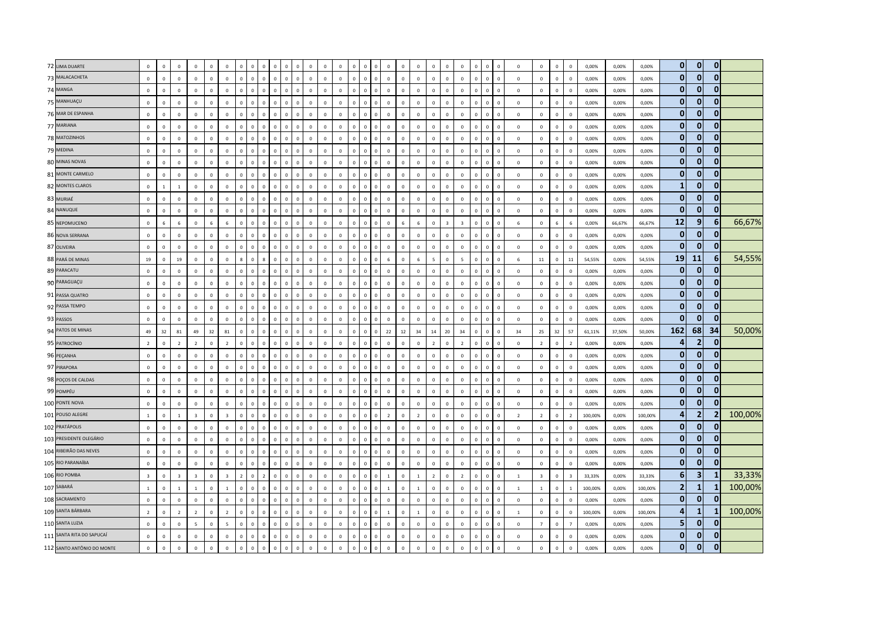| 72 LIMA DUARTE             | $\mathbf 0$             | $\mathbf 0$    | $\overline{0}$ | $\Omega$                |              | $\mathbf 0$             |                |                |                | $\overline{0}$              |              | $\overline{0}$ | $\overline{0}$ | $\mathbf 0$    | $^{\circ}$     |                               | $\Omega$                       |              | $\overline{0}$ | $\mathbf 0$    | $\mathbf 0$             | $\overline{0}$          |              | $\mathbf 0$<br>$^{\circ}$              | $\mathbf 0$    | $\mathbf 0$    | $\mathbf{0}$   | $\mathbf{0}$   | 0,00%   | 0,00%  | 0,00%   | $\overline{0}$ | $\overline{0}$          | $\overline{0}$ |         |
|----------------------------|-------------------------|----------------|----------------|-------------------------|--------------|-------------------------|----------------|----------------|----------------|-----------------------------|--------------|----------------|----------------|----------------|----------------|-------------------------------|--------------------------------|--------------|----------------|----------------|-------------------------|-------------------------|--------------|----------------------------------------|----------------|----------------|----------------|----------------|---------|--------|---------|----------------|-------------------------|----------------|---------|
| 73 MALACACHETA             | $\mathbf 0$             | $\mathbf 0$    | $\mathbb O$    | $\mathbb O$             | $\Omega$     | $\mathbf 0$             | $\mathbf 0$    | $\overline{0}$ | $\mathbf{0}$   | $\mathbb O$<br>$\mathbf 0$  | $\Omega$     | $\mathbf 0$    | $\mathbf 0$    | $\mathbf 0$    | $\mathbf 0$    | $\Omega$<br>0                 | $\mathbf 0$                    | $\Omega$     | $\mathbf 0$    | $\mathbf 0$    | $\mathbf 0$             | $\mathbf 0$             | $\circ$      | $\,$ 0<br>$\mathbf 0$                  | $\mathbf 0$    | $\mathbf 0$    | $\mathbf{0}$   | $\mathbf{0}$   | 0,00%   | 0,00%  | 0,00%   | $\mathbf{0}$   | $\mathbf{0}$            | $\mathbf{0}$   |         |
| 74 MANGA                   | $\mathsf 0$             | $\mathbf 0$    | $\mathbb O$    | $\mathbb O$             | $\Omega$     | $\mathsf 0$             | $\mathbf 0$    | $\Omega$       | $\mathbf{0}$   | $\mathbb O$<br>$\mathbf 0$  | $\Omega$     | $\mathbf 0$    | $\mathbf 0$    | $\mathbf 0$    | $\,$ 0         |                               | $\mathbf 0$                    | $\Omega$     | $\mathbf 0$    | $\mathbf 0$    | $\mathbf 0$             | $\mathbf 0$             | $\mathbf 0$  | $\mathbf 0$<br>$\overline{0}$          | $\mathbf 0$    | $\mathbf 0$    | $\mathbf{0}$   | $\circ$        | 0,00%   | 0,00%  | 0,00%   | $\overline{0}$ | $\overline{0}$          | $\Omega$       |         |
| 75 MANHUAÇU                | $\mathbf 0$             | $\mathbf{0}$   | $\mathbf 0$    | $\mathbf 0$             | $\Omega$     | $\mathbf 0$             | $\Omega$       | $\mathbf 0$    | $\Omega$       | $\mathbf 0$<br>$\mathbf 0$  | $\Omega$     | $\mathbf 0$    | $\mathbf 0$    | $\mathbf 0$    | $\mathbf 0$    | $\Omega$                      | $\mathbf{0}$<br>$\Omega$       | $\Omega$     | $\mathbf 0$    | $\mathbb O$    | $\mathbf{0}$            | $\mathbf 0$             | $\mathbf{0}$ | $\mathbf 0$<br>$\,$ 0                  | $\mathbf 0$    | $\mathbf 0$    | $\mathbf 0$    | $\mathbf 0$    | 0,00%   | 0,00%  | 0,00%   | $\mathbf{0}$   | $\mathbf{0}$            | $\mathbf{0}$   |         |
| 76 MAR DE ESPANHA          | $\mathsf 0$             | $\mathbb O$    | $\mathbb O$    | $\mathbb O$             | $\mathbf 0$  | $\mathbf 0$             | $\mathbf 0$    | $\mathbb O$    | $\mathbf{0}$   | $\mathbf 0$<br>$\mathbf 0$  | $\Omega$     | $\mathbf 0$    | $\mathbf 0$    | $\circ$        | $\mathbf 0$    | $\mathbf 0$                   | $\mathbf 0$<br>$\mathbf 0$     | $\mathbf{0}$ | $\mathbf 0$    | $\mathbf 0$    | $\mathbf 0$             | $\mathbf 0$             | $\mathbf{0}$ | $\mathbf 0$<br>$\mathbf 0$             | $\mathbf 0$    | $\mathbf 0$    | $\mathsf 0$    | $\mathbf 0$    | 0,00%   | 0,00%  | 0,00%   | $\overline{0}$ | $\mathbf{0}$            | $\bf{0}$       |         |
| 77 MARIANA                 | $\mathbf 0$             | $\mathbf 0$    | $\mathbf 0$    | $\mathbf 0$             | $\mathbf 0$  | $\mathbf 0$             |                | $\Omega$       | $\mathbf 0$    | $\mathbb O$<br>$\mathbf 0$  |              | $\mathbf 0$    | $\mathbf 0$    | $\mathbf 0$    | $\overline{0}$ | 0                             | $\mathbf 0$                    |              | $\mathbf 0$    | $\mathbf 0$    | $\mathbf 0$             | $\mathbf 0$             | $\mathbf 0$  | $\mathbf 0$<br>$\overline{0}$          | $\mathbf 0$    | $\mathbf 0$    | $\mathbf 0$    | $\mathbf 0$    | 0,00%   | 0,00%  | 0,00%   | $\mathbf{0}$   | $\mathbf{0}$            | $\mathbf{0}$   |         |
| 78 MATOZINHOS              | $\mathbf{0}$            | $\Omega$       | $\mathbf 0$    | $\mathbf 0$             | $\Omega$     | $\overline{0}$          | $\Omega$       | $\mathbf 0$    | $\mathbf{0}$   | $\overline{0}$<br>$\Omega$  | $\Omega$     | $\mathbf 0$    | $\mathbf{0}$   | $\overline{0}$ | $\overline{0}$ | $\Omega$<br><sup>n</sup>      | $\overline{0}$                 | $\Omega$     | $\mathbf 0$    | $\Omega$       | $\mathbf{0}$            | $\mathbf{0}$            | $\mathbf{0}$ | $\mathbf{0}$<br>$\overline{0}$         | $\mathbf{0}$   | $\Omega$       | $\mathbf{0}$   | $\mathbf{0}$   | 0.00%   | 0,00%  | 0,00%   | $\Omega$       | $\mathbf{0}$            | $\Omega$       |         |
| 79 MEDINA                  | $\mathbf 0$             | $\mathbf 0$    | $\mathbf 0$    | $\mathbf 0$             | $\Omega$     | $\overline{0}$          | $\Omega$       | $\overline{0}$ | $^{\circ}$     | $\mathbb O$<br>$^{\circ}$   | $\Omega$     | $\mathbf 0$    | $\mathbf 0$    | $\circ$        | $\overline{0}$ | $\Omega$<br>$\Omega$          | $\mathbf 0$                    | $\Omega$     | $\mathbf 0$    | $\mathbf 0$    | $\mathbf 0$             | $\overline{0}$          | $\Omega$     | $\circ$<br>$\overline{\mathbf{0}}$     | $\mathbf 0$    | $\mathbf{0}$   | $\overline{0}$ | $\mathbf{0}$   | 0,00%   | 0,00%  | 0,00%   | $\mathbf{0}$   | $\mathbf{0}$            | $\mathbf{0}$   |         |
| 80 MINAS NOVAS             | $\mathbf{0}$            | $\mathbf 0$    | $\overline{0}$ | $\mathbb O$             | $\mathbf 0$  | $\mathbf 0$             | $\mathbf 0$    | $\overline{0}$ | $\mathbf{0}$   | $\mathbb O$<br>$\mathbf 0$  |              | $\mathbf 0$    | $\mathbf 0$    | $\mathbf 0$    | $\mathbf 0$    | $\mathbf{0}$<br>0             | $\mathbf 0$                    |              | $\mathbf 0$    | $\mathbf 0$    | $\mathbf 0$             | $\mathbf 0$             | $\mathbf 0$  | $\mathbf{0}$<br>$\overline{0}$         | $\mathbf 0$    | $\mathbf 0$    | $\mathbf 0$    | $\mathbf 0$    | 0,00%   | 0,00%  | 0,00%   | $\mathbf{0}$   | $\mathbf{0}$            | $\Omega$       |         |
| 81 MONTE CARMELO           | $\mathbf 0$             | $\mathbf 0$    | $\mathbb O$    | $\mathbb O$             | $\mathbf{0}$ | $\mathsf 0$             | $\mathbb O$    | $\mathbf 0$    | $\mathbf{0}$   | $\mathbf 0$<br>$\mathbf 0$  | $\mathbf 0$  | $\mathbf 0$    | $\mathbf 0$    | $\mathbf 0$    | $\mathbf 0$    | $\mathbf 0$                   | $\mathbf 0$<br>$\mathbf 0$     | $\mathbf 0$  | $\mathbf 0$    | $\mathbf 0$    | $\mathbf 0$             | $\mathbf 0$             | $\mathbf{0}$ | $\mathbf 0$<br>$\,$ 0                  | $\mathbf 0$    | $\mathbf 0$    | $\mathsf 0$    | $\mathbf 0$    | 0,00%   | 0,00%  | 0,00%   | $\mathbf{0}$   | $\mathbf{0}$            | $\mathbf{0}$   |         |
| 82 MONTES CLAROS           | $\mathbf{0}$            | $\overline{1}$ | $\mathbf{1}$   | $\mathbf 0$             | $\Omega$     | $\overline{0}$          | $\Omega$       | $\Omega$       | $\Omega$       | $\mathbf 0$<br>$\Omega$     | $\Omega$     | $\mathbf 0$    | $\mathbf{0}$   | $\circ$        | $\overline{0}$ | $\Omega$                      | $\mathbf{0}$                   | $\Omega$     | $\mathbf 0$    | $\Omega$       | $\mathbf{0}$            | $\Omega$                | $\Omega$     | $\mathbf 0$<br>$\Omega$                | $\mathbf{0}$   | $\mathbf{0}$   | $\Omega$       | $\mathbf{0}$   | 0.00%   | 0.00%  | 0.00%   | $\mathbf{1}$   | $\mathbf{0}$            | $\mathbf{0}$   |         |
| 83 MURIAÉ                  | $\mathbf 0$             | $\Omega$       | $\mathbf 0$    | $\mathbb O$             | $\Omega$     | $\,0\,$                 | $\Omega$       | $\Omega$       | $\Omega$       | $\mathbf{0}$<br>$\Omega$    | $\Omega$     | $\mathbf 0$    | $\mathbf 0$    | $\mathbf 0$    | $\mathbf 0$    | $\Omega$<br>$\Omega$          | $\Omega$                       | $\Omega$     | $\mathbf 0$    | $\mathbf 0$    | $\mathbf 0$             | $\mathbf 0$             | $\Omega$     | $\mathbf 0$<br>$\overline{0}$          | $\mathbf 0$    | $\mathbf 0$    | $\mathbf 0$    | $\mathbf 0$    | 0,00%   | 0,00%  | 0,00%   | $\overline{0}$ | $\mathbf{0}$            | $\Omega$       |         |
| 84 NANUQUE                 | $\mathbf 0$             | $\overline{0}$ | $\mathbb O$    | $\mathbb O$             | $\Omega$     | $\,0\,$                 | $\mathbf{0}$   | $\mathbf 0$    | $\overline{0}$ | $\mathbb O$<br>$\mathbf 0$  | $\mathbf 0$  | $\mathbf 0$    | $\,0\,$        | $\mathbf 0$    | $\mathbf 0$    | $\overline{0}$<br>$\mathbf 0$ | $\mathbf 0$                    | $\Omega$     | $\mathbf 0$    | $\mathbf 0$    | $\mathbf 0$             | $\mathbf 0$             | $\mathbf 0$  | $\mathbf 0$<br>$\,$ 0                  | $\mathbf{0}$   | $\mathbf 0$    | $\mathsf 0$    | $\mathbf 0$    | 0,00%   | 0,00%  | 0,00%   | $\mathbf{0}$   | $\overline{0}$          | $\mathbf{0}$   |         |
| 85 NEPOMUCENO              | $\Omega$                | 6              | 6              | $\mathbf 0$             | 6            | $\,$ 6 $\,$             | $\Omega$       | $\Omega$       | $\Omega$       | $\mathbf 0$<br>$\mathbf 0$  | $\Omega$     | $\mathbf{0}$   | $\,0\,$        | $\mathbf 0$    | $\overline{0}$ | $\Omega$<br>$\Omega$          | $\mathbf{0}$                   |              | 6              | $\mathbf 0$    | $\overline{\mathbf{3}}$ | $\overline{\mathbf{3}}$ | $\mathbf{0}$ | $\,$ 0<br>$\overline{0}$               | 6              | $\mathbf 0$    | 6              | 6              | 0,00%   | 66,67% | 66,67%  | 12             | 9                       | 6              | 66,67%  |
| 86 NOVA SERRANA            | $\mathbf{0}$            | $\mathbf{0}$   | $\overline{0}$ | $\overline{0}$          | $\Omega$     | $\mathbf 0$             | $\Omega$       | $\mathbf 0$    | $\overline{0}$ | $\overline{0}$<br>$\Omega$  | $\Omega$     | $\mathbf{0}$   | $\mathbf{0}$   | $\overline{0}$ | $\overline{0}$ | $\Omega$                      | $\mathbf{0}$<br>$\overline{0}$ | $\Omega$     | $\mathbf 0$    | $\mathbf 0$    | $\mathbf{0}$            | $\mathbf{0}$            | $\mathbf{0}$ | $\mathbf{0}$<br>$\overline{0}$         | $\mathbf{0}$   | $\mathbf 0$    | $\mathbf{0}$   | $\overline{0}$ | 0,00%   | 0,00%  | 0,00%   | $\overline{0}$ | $\overline{0}$          | $\Omega$       |         |
| 87 OLIVEIRA                | $\mathsf 0$             | $\mathbf 0$    | $\mathbf 0$    | $\mathbb O$             | $\Omega$     | $\mathsf 0$             | $\Omega$       | $\overline{0}$ | $\mathbf 0$    | $\mathbf 0$<br>$\mathbf 0$  | $\Omega$     | $\mathbf 0$    | $\mathbf 0$    | $\mathbf 0$    | $\mathbf 0$    | $\mathbf 0$<br>$\Omega$       | $\mathbf 0$                    | $\Omega$     | $\mathbf 0$    | $\mathbf 0$    | $\mathbf 0$             | $\mathbf 0$             | $\Omega$     | $\mathbf 0$<br>$\,$ 0                  | $\mathsf 0$    | $\mathbf 0$    | $\mathbf{0}$   | $\mathbb O$    | 0,00%   | 0,00%  | 0,00%   | $\mathbf{0}$   | $\mathbf 0$             | $\mathbf{0}$   |         |
| 88 PARÁ DE MINAS           | 19                      | $\mathbf 0$    | 19             | $\mathbb O$             | $\mathbf 0$  | $\,0\,$                 |                | $\Omega$       | 8              | $\mathbb O$<br>$\mathbf 0$  | $\sqrt{2}$   | $\mathbf 0$    | $\mathbf 0$    | $\mathbb O$    | $\overline{0}$ | $\mathbf 0$<br>$\Omega$       | $\,$ 6 $\,$                    | $\Omega$     | $\,$ 6         | 5              | $\mathsf 0$             | 5                       | $\Omega$     | $\mathbf 0$<br>$\overline{0}$          | $\,$ 6 $\,$    | $11\,$         | $\mathsf 0$    | 11             | 54,55%  | 0,00%  | 54,55%  | 19             | 11                      | $6 \mid$       | 54,55%  |
| 89 PARACATU                | $\mathbf 0$             | $\mathbf{0}$   | $\mathbb O$    | $\mathbb O$             | $\Omega$     | $\mathbf 0$             | $\Omega$       | $\Omega$       | $\mathbf 0$    | $\Omega$<br>$\mathbb O$     | $\Omega$     | $\mathbf 0$    | $\mathbf 0$    | $\mathbf 0$    | $\mathbf 0$    | $\Omega$<br>$\Omega$          | $\mathbf 0$                    | $\Omega$     | $\mathbf 0$    | $\mathbf 0$    | $\mathbf{0}$            | $\mathbf 0$             | $\mathbf{0}$ | $\mathbf 0$<br>$\,$ 0                  | $\mathbf{0}$   | $\mathbf 0$    | $\mathbf{0}$   | $\mathbf 0$    | 0,00%   | 0,00%  | 0,00%   | $\overline{0}$ | $\overline{0}$          | $\Omega$       |         |
| 90 PARAGUAÇU               | $\Omega$                | $\Omega$       | $\Omega$       | $\Omega$                | $\Omega$     | $\mathbf 0$             | $\Omega$       | $\Omega$       | $\Omega$       | $\Omega$<br>$\Omega$        | $\Omega$     | $\mathbf{0}$   | $\mathbf{0}$   | $\Omega$       | $\overline{0}$ | $\Omega$<br>0                 | $\Omega$                       | $\Omega$     | $\mathbf 0$    | $\Omega$       | $\mathsf 0$             | $\Omega$                | $\Omega$     | $\mathbf 0$<br>$\Omega$                | $\Omega$       | $\Omega$       | $\mathbf{0}$   | $\Omega$       | 0,00%   | 0,00%  | 0,00%   | $\mathbf{0}$   | $\mathbf{0}$            | $\mathbf{0}$   |         |
| 91 PASSA QUATRO            | $\mathbf 0$             | $\mathbf 0$    | $\,0\,$        | $\mathbf 0$             | $\mathbf 0$  | $\,0\,$                 | $\mathbb O$    | $\overline{0}$ | $\mathbf{0}$   | $\mathbf 0$<br>$\mathbf 0$  | $\Omega$     | $\mathbf 0$    | $\mathbf 0$    | $\mathbf 0$    | $\mathbf 0$    | $\overline{0}$                | $\mathbf 0$<br>$\mathbf 0$     | $\Omega$     | $\mathbf 0$    | $\mathbf 0$    | $\mathbf 0$             | $\,0\,$                 | $\Omega$     | $\mathbf 0$<br>$\,$ 0                  | $\mathbf 0$    | $\mathbf 0$    | $\mathbf 0$    | $\mathbf 0$    | 0,00%   | 0,00%  | 0,00%   | $\mathbf{0}$   | $\mathbf{0}$            | $\overline{0}$ |         |
| 92 PASSA TEMPO             | $\mathbf 0$             | $\mathbf{0}$   | $\mathbb O$    | $\mathbf 0$             | $\Omega$     | $\mathbf 0$             | $\mathbf 0$    | $\,0\,$        | $\overline{0}$ | $\mathbb O$<br>$\mathbf 0$  | $\Omega$     | $\mathbf 0$    | $\,0\,$        | $\mathbf 0$    | $\mathbf 0$    | $\mathbf 0$<br>$\Omega$       | $\overline{0}$                 | $\Omega$     | $\mathbf 0$    | $\mathbf 0$    | $\mathbf{0}$            | $\mathbf 0$             | $\mathbf{0}$ | $\mathbf 0$<br>$\,$ 0                  | $\mathbf 0$    | $\mathbf 0$    | $\mathsf 0$    | $\mathbf 0$    | 0,00%   | 0,00%  | 0,00%   | $\bf{0}$       | $\mathbf{0}$            | $\mathbf{0}$   |         |
| 93 PASSOS                  | $\mathbf 0$             | $\Omega$       | $\mathbf 0$    | $\mathbf 0$             | $\mathbf 0$  | $\mathbf 0$             | $\Omega$       | $\Omega$       | $\mathbf{0}$   | $\mathbf 0$<br>$\mathbb O$  |              | $\mathbf 0$    | $\mathbf 0$    | $\mathbf 0$    | $\overline{0}$ | $\Omega$                      | $\mathbf 0$                    | $\Omega$     | $\mathbf 0$    | $\mathbf 0$    | $\mathbf 0$             | $\mathbf 0$             | $\mathbf{0}$ | $\mathbf 0$<br>$\overline{0}$          | $\Omega$       | $\mathbf 0$    | $\mathbf{0}$   | $\mathbf 0$    | 0,00%   | 0,00%  | 0,00%   | $\mathbf{0}$   | $\mathbf{0}$            | $\Omega$       |         |
| 94 PATOS DE MINAS          | 49                      | 32             | 81             | 49                      | 32           | 81                      | $\Omega$       | $\Omega$       | $\mathbf{0}$   | $\overline{0}$<br>$\Omega$  | $\Omega$     | $\,$ 0 $\,$    | $\mathbf 0$    | $\mathbf 0$    | $\mathbf 0$    | $\Omega$<br>$\Omega$          | 22                             | 12           | 34             | 14             | 20                      | 34                      | $\Omega$     | $\mathbf 0$<br>$\Omega$                | 34             | 25             | 32             | 57             | 61,11%  | 37,50% | 50,00%  | 162            | 68                      | 34             | 50,00%  |
| 95 PATROCÍNIO              | $\overline{2}$          | $\overline{0}$ | $\overline{2}$ | $\overline{2}$          | $\Omega$     | $\overline{2}$          | $\Omega$       | $\overline{0}$ | $\mathbf{0}$   | $\mathbb O$<br>$\mathbf 0$  | $^{\circ}$   | $\,0\,$        | $\,0\,$        | $\mathbf 0$    | $\mathbf 0$    | $\Omega$<br>$^{\circ}$        | $\mathbf 0$                    | $\Omega$     | $\mathbf 0$    | $\overline{2}$ | $\mathbf{0}$            | $\overline{2}$          | $\mathbf{0}$ | $\mathbf 0$<br>$\,$ 0                  | $\mathbf{0}$   | $\overline{2}$ | $\overline{0}$ | $\overline{2}$ | 0,00%   | 0,00%  | 0,00%   | д              | $\overline{2}$          | 0              |         |
| 96 PEÇANHA                 | $\mathbf 0$             | $\mathbf 0$    | $\mathbf 0$    | $\mathbf 0$             | $\circ$      | $\mathbf 0$             | $\Omega$       | $\Omega$       | $\mathbf 0$    | $\mathbf 0$<br>$\mathbf 0$  | $\Omega$     | $\mathbf 0$    | $\,$ 0 $\,$    | $\mathbf 0$    | $\mathbf 0$    | $\Omega$<br>$\Omega$          | $\mathbf{0}$                   | $\Omega$     | $\mathbf 0$    | $\overline{0}$ | $\mathbf 0$             | $\mathbf 0$             | $\mathbf{0}$ | $\mathbf 0$<br>$\,$ 0                  | $\mathbf 0$    | $\mathbf 0$    | $\mathbf{0}$   | $\mathbf 0$    | 0,00%   | 0,00%  | 0,00%   | $\Omega$       | $\mathbf{0}$            | $\Omega$       |         |
| 97 PIRAPORA                | $\mathsf 0$             | $\mathbb O$    | $\mathbb O$    | $\mathbb O$             | $\Omega$     | $\,0\,$                 | $\Omega$       | $\mathbf 0$    | $\mathsf 0$    | $\mathbf 0$<br>$\mathbf 0$  | $\Omega$     | $\,$ 0 $\,$    | $\,$ 0 $\,$    | $\mathbf 0$    | $\mathbf 0$    | $\Omega$                      | $\mathbf 0$<br>$\mathbf 0$     | $\Omega$     | $\mathbf 0$    | $\mathbb O$    | $\mathbf 0$             | $\mathbb O$             | $\mathbf{0}$ | $\mathbf 0$<br>$\overline{\mathbf{0}}$ | $\mathbf 0$    | $\mathbf 0$    | $\mathsf 0$    | $\mathbf 0$    | 0,00%   | 0,00%  | 0,00%   | $\overline{0}$ | $\mathbf{0}$            | $\mathbf{0}$   |         |
| 98 POÇOS DE CALDAS         | $\mathbf{0}$            | $\Omega$       | $\mathbf 0$    | $\Omega$                | $\Omega$     | $\mathbf 0$             | $\Omega$       | $\Omega$       | $\Omega$       | $\mathbb O$<br>$\mathbf 0$  | $\Omega$     | $\mathbf 0$    | $\mathbf 0$    | $\mathbf{0}$   | $\overline{0}$ | $\Omega$<br>$\Omega$          | $\Omega$                       | $\Omega$     | $\mathbf 0$    | $\mathbf 0$    | $\mathbf 0$             | $\Omega$                | $\Omega$     | $\mathbf 0$<br>$\overline{0}$          | $\Omega$       | $\mathbf 0$    | $\mathbf{0}$   | $\circ$        | 0,00%   | 0.00%  | 0.00%   | $\mathbf{0}$   | $\mathbf{0}$            | 0              |         |
| 99 POMPÉU                  | $\mathbf{0}$            | $\Omega$       | $\,0\,$        | $\Omega$                | $\Omega$     | $\,0\,$                 | $\Omega$       | $\Omega$       | $\Omega$       | $\mathbf 0$<br>$\Omega$     | $\Omega$     | $\mathbf{0}$   | $\mathbf{0}$   | $\overline{0}$ | $\overline{0}$ | <sup>n</sup><br>$\Omega$      | $\Omega$                       | $\Omega$     | $\mathbf 0$    | $\Omega$       | $\mathbf{0}$            | $\mathbf 0$             | $\Omega$     | $\mathbf{0}$<br>$\Omega$               | $\mathbf{0}$   | $\Omega$       | $\mathbf{0}$   | $\mathbf{0}$   | 0,00%   | 0,00%  | 0,00%   | $\mathbf{0}$   | $\mathbf{0}$            | $\Omega$       |         |
| 100 PONTE NOVA             | $\mathbf 0$             | $\mathbf{0}$   | $\mathbb O$    | $\mathbb O$             | $\Omega$     | $\mathbf 0$             | $\Omega$       | $\overline{0}$ | $\mathbf{0}$   | $\mathbf 0$<br>$\mathbf 0$  | $\Omega$     | $\mathbf 0$    | $\mathbf 0$    | $\mathbf 0$    | $\overline{0}$ | $\Omega$<br>$\Omega$          | $\mathbf 0$                    | $\Omega$     | $\mathbf 0$    | $\mathbf 0$    | $\mathbf 0$             | $\mathbf 0$             | $\mathbf{0}$ | $\mathbf 0$<br>$\overline{\mathbf{0}}$ | $\mathbf 0$    | $\mathbf 0$    | $\mathbf 0$    | $\mathbf 0$    | 0,00%   | 0,00%  | 0,00%   | $\mathbf 0$    | $\mathbf{0}$            | $\mathbf{0}$   |         |
| 101 POUSO ALEGRE           | $\mathbf{1}$            | $\mathbf 0$    | 1              | $\overline{\mathbf{3}}$ | $\mathbf 0$  | $\overline{\mathbf{3}}$ | $\Omega$       | $\Omega$       | $\mathbf 0$    | $\mathbb O$<br>$\mathbf 0$  | $\Omega$     | $\mathbf 0$    | $\mathbf 0$    | $\mathbf 0$    | $\mathbf 0$    | $\Omega$<br>$\Omega$          | $\overline{2}$                 | $\Omega$     | $\overline{2}$ | $\mathbf 0$    | $\mathbf 0$             | $\mathbf 0$             | $\mathbf 0$  | $\mathbf 0$<br>$\overline{0}$          | $\overline{2}$ | $\overline{2}$ | $\mathbf{0}$   | $\overline{2}$ | 100,00% | 0,00%  | 100,00% | 4              | 2                       | $\overline{2}$ | 100,00% |
| 102 PRATÁPOLIS             | $\mathbf{0}$            | $\Omega$       | $\mathbb O$    | $\mathbb O$             | $\Omega$     | $\,0\,$                 | $\Omega$       | $\Omega$       | $\Omega$       | $\mathbf 0$<br>$\Omega$     | $\Omega$     | $\mathbf 0$    | $\mathbf 0$    | $\mathbf 0$    | $\overline{0}$ | $\Omega$<br>$\Omega$          | $\Omega$                       | $\Omega$     | $\mathbf 0$    | $\mathbf 0$    | $\mathbf 0$             | $\mathbf 0$             | $\Omega$     | $\mathbf 0$<br>$\,$ 0                  | $\mathbf 0$    | $\mathbf 0$    | $\mathbf{0}$   | $\mathbf{0}$   | 0,00%   | 0,00%  | 0,00%   | $\mathbf{0}$   | $\mathbf{0}$            | $\mathbf{0}$   |         |
| 103 PRESIDENTE OLEGÁRIO    | $\mathsf 0$             | $\Omega$       | $\mathbb O$    | $\mathbf{0}$            | $\Omega$     | $\mathbf 0$             | $\Omega$       | $\overline{0}$ | $\Omega$       | $\mathbb O$<br>$\mathbf 0$  | $\Omega$     | $\mathbf 0$    | $\mathbf 0$    | $\circ$        | $\overline{0}$ | $\Omega$<br>$\Omega$          | $\Omega$                       | $\Omega$     | $\mathbf 0$    | $\Omega$       | $\mathbf 0$             | $\Omega$                | $\mathbf{0}$ | $\mathbf 0$<br>$\,$ 0                  | $\Omega$       | $\mathbf 0$    | $\overline{0}$ | $\mathbf{0}$   | 0,00%   | 0.00%  | 0.00%   | $\mathbf{0}$   | $\mathbf{0}$            | 0              |         |
| 104 RIBEIRÃO DAS NEVES     | $\mathbf 0$             | $\Omega$       | $\overline{0}$ | $\mathbb O$             |              | $\,$ 0                  |                |                | $\Omega$       | $\Omega$<br>$\Omega$        |              | $\mathbf 0$    | $\mathbf 0$    | $\mathbf 0$    | $\mathbf 0$    |                               | $\mathbf 0$                    |              | $\mathbf 0$    | $\mathbf 0$    | $\mathbf 0$             | $\overline{0}$          | $\mathbf{0}$ | $\mathbf{0}$<br>$\overline{0}$         | $\mathsf 0$    | $\mathbf 0$    | $\mathsf 0$    | $\mathbf 0$    | 0,00%   | 0,00%  | 0,00%   | $\mathbf{0}$   | $\mathbf{0}$            | $\bf{0}$       |         |
| 105 RIO PARANAÍBA          | $\mathbf 0$             | $\Omega$       | $\mathbb O$    | $\mathbf 0$             | $\Omega$     | $\,0\,$                 | $\Omega$       | $\Omega$       | $\mathbf 0$    | $\mathbb O$<br>$\Omega$     | $\Omega$     | $\mathbf 0$    | $\mathbf 0$    | $\mathbf 0$    | $\mathbf 0$    | $\Omega$                      | $\mathbf 0$                    | $\Omega$     | $\mathbf 0$    | $\mathbf 0$    | $\mathbf 0$             | $\mathbf 0$             | $\mathbf{0}$ | $\mathbf 0$<br>$\mathbf 0$             | $\mathsf 0$    | $\mathbf 0$    | $\mathbf{0}$   | $\mathbf 0$    | 0,00%   | 0,00%  | 0,00%   | $\mathbf{0}$   | $\mathbf{0}$            | $\Omega$       |         |
| 106 RIO POMBA              | $\overline{\mathbf{3}}$ | $\Omega$       | $\overline{3}$ | $\overline{\mathbf{3}}$ | $\Omega$     | $\overline{3}$          | $\overline{ }$ | $\Omega$       | $\overline{z}$ | $\mathbf 0$<br>$\Omega$     | $\Omega$     | $\mathbf 0$    | $\overline{0}$ | $\circ$        | $\overline{0}$ | $\Omega$<br><sub>n</sub>      | $\mathbf{1}$                   | $\Omega$     | $\overline{1}$ | $\overline{z}$ | $\mathbf{0}$            | $\overline{z}$          | $\Omega$     | $\mathbf 0$<br>$\Omega$                | $\overline{1}$ | $\overline{3}$ | $\Omega$       | $\mathbf{3}$   | 33.33%  | 0.00%  | 33.33%  | $6\phantom{1}$ | $\overline{\mathbf{3}}$ |                | 33,33%  |
| 107 SABARÁ                 | $\mathbf 1$             | $\mathbf 0$    | $\mathbf{1}$   | $\overline{1}$          | $\Omega$     | $\mathbf{1}$            | $\Omega$       | $\mathbf 0$    | $\Omega$       | $\mathbf 0$<br>$\mathbf{0}$ | $\Omega$     | $\mathbf 0$    | $\mathbf 0$    | $\mathbf 0$    | $\overline{0}$ | $\Omega$                      | $\mathbf{0}$<br>$\overline{1}$ | $\Omega$     | $\mathbf{1}$   | $\mathbb O$    | $\mathbf 0$             | $\mathbf 0$             | $\mathbf{0}$ | $\mathbf 0$<br>$\mathbf 0$             | $\mathbf{1}$   | $\overline{1}$ | $\mathbf{0}$   | $\mathbf{1}$   | 100,00% | 0,00%  | 100,00% | $\overline{2}$ | $\mathbf{1}$            | 1              | 100,00% |
| 108 SACRAMENTO             | $\mathsf 0$             | $\mathbf 0$    | $\mathbb O$    | $\mathbb O$             | $\Omega$     | $\mathsf 0$             | $\Omega$       | $\mathbb O$    | $\mathbf{0}$   | $\mathbf 0$<br>$\mathbf 0$  | $\Omega$     | $\mathbf 0$    | $\mathbf 0$    | $\circ$        | $\mathbf 0$    | $\mathbf 0$<br>$\mathbf 0$    | $\mathbf 0$                    | $\mathbf{0}$ | $\mathbf 0$    | $\mathbf 0$    | $\mathbf 0$             | $\mathbf 0$             | $\mathbf{0}$ | $\mathbf 0$<br>$\mathbf 0$             | $\mathbf 0$    | $\mathbf 0$    | $\mathbf{0}$   | $\mathbb O$    | 0,00%   | 0,00%  | 0,00%   | $\overline{0}$ | $\mathbf{0}$            | $\mathbf{0}$   |         |
| 109 SANTA BÁRBARA          | $\overline{2}$          | $\mathbf 0$    | $\overline{2}$ | $\overline{2}$          | $\Omega$     | $\overline{2}$          | $\Omega$       |                | $\mathbf 0$    | $\mathbb O$<br>$\mathbf 0$  |              | $\mathbf 0$    | $\,$ 0 $\,$    | $\mathbf 0$    | $\mathbf 0$    | $\Omega$                      | $\overline{1}$                 | $\Omega$     | $\mathbf{1}$   | $\mathbf 0$    | $\mathbf 0$             | $\mathbf 0$             | $\Omega$     | $\mathbf 0$<br>$\overline{0}$          | $\mathbf{1}$   | $\mathbf 0$    | $\mathbf{0}$   | $\mathbf 0$    | 100,00% | 0,00%  | 100,00% | 4              | $\mathbf{1}$            |                | 100,00% |
| 110 SANTA LUZIA            | $\mathbf{0}$            | $\mathbf{0}$   | $\mathbf 0$    | $\overline{5}$          | $\Omega$     | $\overline{5}$          | $\Omega$       | $\mathbf 0$    | $\mathbf{0}$   | $\overline{0}$<br>$\Omega$  | $\Omega$     | $\mathbf 0$    | $\mathbf{0}$   | $\overline{0}$ | $\overline{0}$ | $\Omega$<br>$\Omega$          | $\mathbf{0}$                   | $\Omega$     | $\mathbf 0$    | $\Omega$       | $\mathbf{0}$            | $\mathbf{0}$            | $\mathbf{0}$ | $\mathbf{0}$<br>$\overline{0}$         | $\mathbf{0}$   | $\overline{7}$ | $\mathbf{0}$   | $\overline{z}$ | 0.00%   | 0.00%  | 0,00%   | 5              | $\mathbf{0}$            | $\Omega$       |         |
| 111 SANTA RITA DO SAPUCAÍ  | $\mathbf 0$             | $\Omega$       | $\mathbb O$    | $\mathbb O$             | $\Omega$     | $\mathbf 0$             | $\mathbf{0}$   | $\mathbf 0$    | $^{\circ}$     | $\mathbf 0$<br>$\mathbf 0$  | $\mathbf{0}$ | $\mathbf 0$    | $\mathbf 0$    | $\mathbf 0$    | $\overline{0}$ | $\mathbf 0$<br>$\Omega$       | $\mathbf 0$                    | $\Omega$     | $\mathbf 0$    | $\mathbf 0$    | $\mathbf{0}$            | $\mathbf{0}$            | $\mathbf 0$  | $\mathbf 0$<br>$\mathbf 0$             | $\mathbf 0$    | $\mathbf 0$    | $^{\circ}$     | $\mathbf 0$    | 0,00%   | 0,00%  | 0,00%   | $\mathbf{0}$   | $\mathbf{0}$            | $\bf{0}$       |         |
| 112 SANTO ANTÔNIO DO MONTE | $\mathbf 0$             | $\mathbf 0$    | $\mathbf 0$    | $\overline{0}$          |              | $\mathbf 0$             | $\mathbf 0$    |                |                | $\mathbf 0$                 |              | $\overline{0}$ | $\overline{0}$ | $\mathbf 0$    | $\mathbf 0$    |                               | $\mathbf 0$                    |              | $\mathbf 0$    | $\mathbf 0$    | $\mathbf{0}$            | $\mathbf 0$             | $\mathbf{0}$ | $\mathbf 0$                            |                | $\mathbf 0$    |                | $\mathbf 0$    | 0,00%   | 0,00%  | 0,00%   | $\mathbf{0}$   | $\mathbf 0$             | $\mathbf{0}$   |         |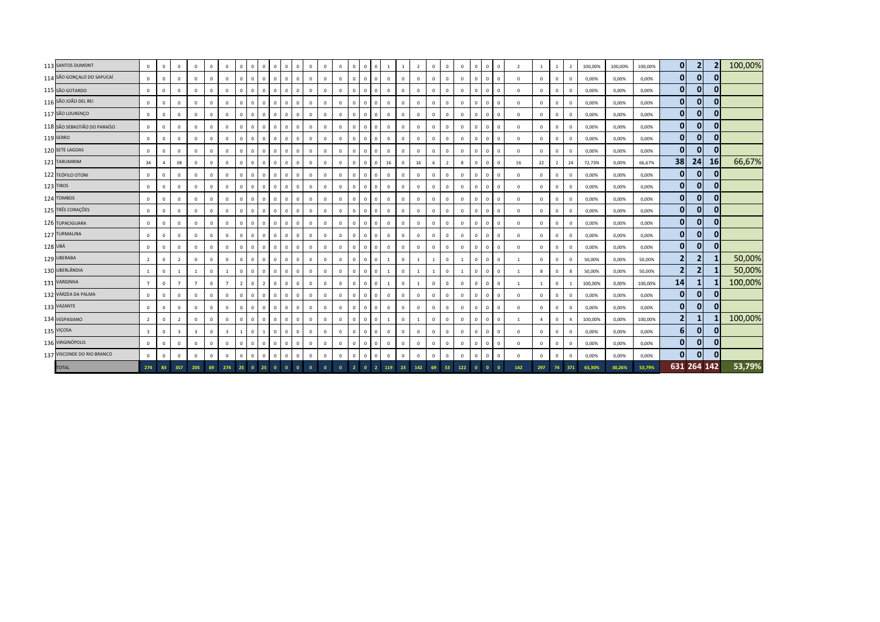|         | 113 SANTOS DUMONT            | $\mathbf 0$             | $\mathbf{0}$ | $^{\circ}$     | $\mathbf{0}$   | $\mathbf{0}$   | $\Omega$       | $\overline{0}$           | $\overline{0}$ | $\mathbf{0}$   | $\mathbf 0$  | $\circ$<br>$\Omega$           | $\mathbf{0}$ | $\mathbf{0}$ | $\circ$        | $\mathbf{0}$   | $^{\circ}$   | $\circ$        | $\overline{1}$ | 1              | $\overline{2}$ | $\mathbf{0}$   | $\Omega$       | $\mathbf 0$  | $\mathbf{0}$ | $\overline{0}$ | $\mathbf{0}$ | $\overline{z}$ |                |                | $\overline{2}$ | 100,00% | 100,00% | 100,00% | $\mathbf{0}$   | $\overline{2}$ |                | 100,00% |
|---------|------------------------------|-------------------------|--------------|----------------|----------------|----------------|----------------|--------------------------|----------------|----------------|--------------|-------------------------------|--------------|--------------|----------------|----------------|--------------|----------------|----------------|----------------|----------------|----------------|----------------|--------------|--------------|----------------|--------------|----------------|----------------|----------------|----------------|---------|---------|---------|----------------|----------------|----------------|---------|
|         | 114 SÃO GONÇALO DO SAPUCAÍ   | $\mathbf 0$             | $\mathbf{0}$ | $\mathbf{0}$   | $\mathbf{0}$   | $\overline{0}$ | $\mathbf{0}$   | $\Omega$                 | $\overline{0}$ | $\mathbf{0}$   | $\mathbf{0}$ | $\mathbf 0$<br>$\overline{0}$ | $\mathbf{0}$ | $\mathbf{0}$ | $\mathbf{0}$   | $^{\circ}$     | $\mathbf 0$  | $\mathbf{0}$   | $\overline{0}$ | $\overline{0}$ | $\mathbf 0$    | $\mathbf{0}$   | $\mathbf 0$    | $\mathbf{0}$ | $\mathbf{0}$ | $\overline{0}$ | $\mathbf{0}$ | $\mathbf{0}$   | $\mathbf 0$    | $\Omega$       | $^{\circ}$     | 0,00%   | 0,00%   | 0,00%   | $\mathbf{0}$   | $\mathbf{0}$   |                |         |
|         | 115 SÃO GOTARDO              | $\mathbf 0$             | $\mathbf{0}$ | $\mathbf{0}$   | $^{\circ}$     | $\mathbf{0}$   | $^{\circ}$     | $\Omega$                 | $\overline{0}$ | $\mathbf{0}$   | $\mathbf{0}$ | $\mathbf{0}$<br>$\mathbf{0}$  | $\mathbf{0}$ | $\mathbf{0}$ | $\mathbf{0}$   | $\mathbf{0}$   | $\mathbf{0}$ | $\circ$        | $\overline{0}$ | $\mathbf 0$    | $\mathbf 0$    | $\mathbf{0}$   | $\mathbf 0$    | $\mathbf{0}$ | $\mathbf{0}$ | $\overline{0}$ | $\Omega$     | $^{\circ}$     | $\Omega$       |                | $\Omega$       | 0,00%   | 0,00%   | 0,00%   | $\mathbf{0}$   | $\mathbf{0}$   |                |         |
|         | 116 SÃO JOÃO DEL REI         | $\mathbf{0}$            | $\mathbf{0}$ | $\mathbf{0}$   | $\mathbf{0}$   | $\mathbf{0}$   | $\mathbf{0}$   | $\Omega$                 | $\mathbf{0}$   | $\mathbf{0}$   | $\mathbf{0}$ | $\mathbf 0$<br>$\mathbf{0}$   | $\mathbf{0}$ | $\mathbf{0}$ | $\overline{0}$ | $\overline{0}$ | $\mathbf{0}$ | $\circ$        | $\overline{0}$ | $\mathbf 0$    | $\mathbf 0$    | $\mathbf{0}$   | $\mathbf{0}$   | $\mathbf 0$  | $\mathbf{0}$ | $\overline{0}$ | $\mathbf{0}$ | $\mathbf{0}$   | $\mathbf 0$    | $\Omega$       | $^{\circ}$     | 0,00%   | 0,00%   | 0,00%   | $\mathbf{0}$   | $\mathbf{0}$   | $\Omega$       |         |
|         | 117 SÃO LOURENÇO             | $\mathbf 0$             | $\Omega$     | $\mathbf{0}$   | $\mathbf{0}$   | $\Omega$       | $\Omega$       | $\Omega$                 | $\Omega$       | $\overline{0}$ | $\mathbf{0}$ | $\mathbf 0$<br>$\mathbf{0}$   | $\mathbf{0}$ | $\mathbf{0}$ | $\mathbf 0$    | $\mathbf{0}$   | $\mathbf 0$  | $\mathbf 0$    | $\mathbf 0$    | $\overline{0}$ | $\mathbf 0$    | $\mathbf{0}$   | $\Omega$       | $\mathbf 0$  | $\mathbf 0$  | $\overline{0}$ | $\mathbf{0}$ | $\mathbf{0}$   | $\Omega$       | $\Omega$       | $^{\circ}$     | 0,00%   | 0,00%   | 0,00%   | $\mathbf{0}$   | $\mathbf{0}$   | <sup>0</sup>   |         |
|         | 118 SÃO SEBASTIÃO DO PARAÍSO | $\mathbf 0$             | $\mathbf{0}$ | $\mathbf{0}$   | $\mathbf{0}$   | $\overline{0}$ | $\mathbf{0}$   | $\Omega$                 | $\Omega$       | $\mathbf{0}$   | $\mathbf{0}$ | $\overline{0}$<br>$\mathbf 0$ | $\mathbf{0}$ | $\mathbf{0}$ | $\mathbf{0}$   | $\mathbf{0}$   | $\Omega$     | $\circ$        | $\overline{0}$ | $\overline{0}$ | $\mathbf{0}$   | $\mathbf{0}$   | $\mathbf 0$    | $\mathbf{0}$ | $\mathbf 0$  | $\overline{0}$ | $\mathbf{0}$ | $\mathbf{0}$   | $\mathbf 0$    | $\Omega$       | $^{\circ}$     | 0,00%   | 0,00%   | 0,00%   | $\mathbf{0}$   | $\bf{0}$       | $\Omega$       |         |
|         | 119 SERRO                    | $\overline{0}$          | $\mathbf 0$  | $^{\circ}$     | $\mathbf 0$    | $\mathbf 0$    | $^{\circ}$     | $\mathbf 0$              | $\overline{0}$ | $\mathbf{0}$   | $\mathbf{0}$ | $\mathbf{0}$<br>$\mathbf 0$   | $\mathbf 0$  | $\mathbf{0}$ | $\mathbf 0$    | $\mathbf{0}$   | $^{\circ}$   | $\circ$        | $\overline{0}$ | $\mathbf 0$    | $\mathbf 0$    | $\mathbf 0$    | $\mathbf{0}$   | $\mathbf 0$  | $\mathbf{0}$ | $\overline{0}$ | $^{\circ}$   | $^{\circ}$     | $\Omega$       | $\Omega$       | $^{\circ}$     | 0,00%   | 0,00%   | 0,00%   | $\mathbf{0}$   | $\bf{0}$       | $\mathbf{0}$   |         |
|         | 120 SETE LAGOAS              | $\mathbf 0$             | $\mathbf{0}$ | $\mathbf{0}$   | $\mathbf{0}$   | $\overline{0}$ | $^{\circ}$     | $\mathbf 0$              | $\mathbf{0}$   | $\mathbf{0}$   | $\mathbf{0}$ | $\mathbf{0}$<br>$\mathbf 0$   | $\mathbf{0}$ | $\mathbf{0}$ | $\mathbf 0$    | $\overline{0}$ | $\mathbf 0$  | $\circ$        | $\overline{0}$ | $\mathbf 0$    | $\mathbf 0$    | $\mathbf{0}$   | $\mathbf 0$    | $\mathbf 0$  | $\mathbf 0$  | $\overline{0}$ | $\mathbf{0}$ | $\mathbf{0}$   | $\mathbf 0$    | $^{\circ}$     | $\mathbf{0}$   | 0,00%   | 0,00%   | 0,00%   | $\mathbf{0}$   | $\bf{0}$       | $\Omega$       |         |
|         | 121 TARUMIRIM                | 34                      |              | 38             | $\mathbf 0$    | $\overline{0}$ | $\mathbf{0}$   | $\mathbf 0$              | $\overline{0}$ | $\overline{0}$ | $\,0\,$      | $\mathbf 0$<br>$\mathbf{0}$   | $\mathbf 0$  | $\,0\,$      | $\mathbf 0$    | $\mathbf{0}$   | $\mathbf 0$  | $\mathbf 0$    | 16             | $\overline{0}$ | 16             | 6              | $\overline{2}$ | 8            | $\mathbf 0$  | $\overline{0}$ | $\mathbf 0$  | 16             | 22             | $\overline{2}$ | 24             | 72,73%  | 0,00%   | 66,67%  | 38             | 24             | <b>16</b>      | 66,67%  |
|         | 122 TEÓFILO OTONI            | $\mathbf{0}$            | $\mathbf{0}$ | $\mathbf{0}$   | $\mathbf{0}$   | $\mathbf{0}$   | $\mathbf{0}$   | $\Omega$                 | $\mathbf{0}$   | $\mathbf{0}$   | $\mathbf{0}$ | $\mathbf{0}$<br>$\Omega$      | $\mathbf{0}$ | $\mathbf{0}$ | $\overline{0}$ | $\overline{0}$ | $\mathbf{0}$ | $\mathbf{0}$   | $\overline{0}$ | $\overline{0}$ | $\mathbf 0$    | $\mathbf{0}$   | $\mathbf 0$    | $\mathbf{0}$ | $\mathbf{0}$ | $\overline{0}$ | $\Omega$     | $\mathbf{0}$   | $\Omega$       | $\Omega$       | $\Omega$       | 0,00%   | 0,00%   | 0,00%   | $\mathbf{0}$   | $\mathbf{0}$   | $\Omega$       |         |
|         | 123 TIROS                    | $\mathbf 0$             | $\mathbf{0}$ | $\mathbf{0}$   | $\mathbf{0}$   | $\mathbf{0}$   | $\mathbf{0}$   | $\Omega$                 | $\mathbf{0}$   | $\mathbf{0}$   | $\mathbf{0}$ | $\mathbf{0}$<br>$\mathbf{0}$  | $\mathbf{0}$ | $\mathbf{0}$ | $\overline{0}$ | $\overline{0}$ | $\mathbf{0}$ | $\mathbf{0}$   | $\overline{0}$ | $\overline{0}$ | $\mathbf{0}$   | $\mathbf{0}$   | $\mathbf{0}$   | $\mathbf{0}$ | $\mathbf{0}$ | $\overline{0}$ | $\mathbf{0}$ | $\mathbf{0}$   | $\Omega$       | $\Omega$       | $\mathbf{0}$   | 0,00%   | 0,00%   | 0,00%   | $\mathbf{0}$   | $\mathbf{0}$   | $\Omega$       |         |
|         | 124 TOMBOS                   | $\mathbf{0}$            | $\mathbf 0$  | $\mathbf{0}$   | $\mathbf{0}$   | $\mathbf 0$    | $\Omega$       | $\Omega$                 | $\overline{0}$ | $\mathbf{0}$   | $\mathbf{0}$ | $\mathbf 0$<br>$\mathbf{0}$   | $\mathbf{0}$ | $\mathbf{0}$ | $\mathbf{0}$   | $\mathbf{0}$   | $^{\circ}$   | $\mathbf 0$    | $\mathbf{0}$   | $\overline{0}$ | $\mathbf{0}$   | $\mathbf{0}$   | $\mathbf 0$    | $\mathbf 0$  | $\mathbf 0$  | $\overline{0}$ | $\mathbf{0}$ | $^{\circ}$     | $\mathbf 0$    | $^{\circ}$     | $^{\circ}$     | 0,00%   | 0,00%   | 0,00%   | $\mathbf{0}$   | $\mathbf{0}$   | $\Omega$       |         |
|         | 125 TRÊS CORAÇÕES            | $\mathbf{0}$            | $\Omega$     | $^{\circ}$     | $\mathbf 0$    | $\Omega$       | $\Omega$       | $\Omega$                 | $\Omega$       | $\mathbf{0}$   | $\mathbf 0$  | $\mathbf{0}$<br>$\Omega$      | $\mathbf 0$  | $\mathbf{0}$ | $\mathbf 0$    | $^{\circ}$     | $\Omega$     | $\mathbf{0}$   | $\mathbf 0$    | $\overline{0}$ | $\mathbf 0$    | $\mathbf 0$    | $\Omega$       | $\mathbf 0$  | $\mathbf 0$  | $\overline{0}$ | $\mathbf{0}$ | $^{\circ}$     | $\Omega$       | $\Omega$       | $^{\circ}$     | 0,00%   | 0,00%   | 0,00%   | $\mathbf{0}$   | $\mathbf{0}$   | $\Omega$       |         |
|         | 126 TUPACIGUARA              | $\mathbf 0$             | $\mathbf 0$  | $\Omega$       | $\mathbf 0$    | $\overline{0}$ | $\Omega$       | $\mathbf 0$              | $\Omega$       | $\mathbf{0}$   | $\mathbf 0$  | $\mathbf 0$<br>$\mathbf{0}$   | $\mathbf 0$  | $\,0\,$      | $\mathbf 0$    | $\mathbf{0}$   | $\mathbf 0$  | $\circ$        | $\overline{0}$ | $\mathbf 0$    | 0              | $\mathbf 0$    | $\mathbf 0$    | $\mathbf 0$  | $\mathbf 0$  | $\overline{0}$ | $^{\circ}$   | $\mathbf 0$    | $\Omega$       | $\Omega$       | $\Omega$       | 0,00%   | 0,00%   | 0,00%   | $\mathbf{0}$   | $\mathbf{0}$   | $\mathbf{0}$   |         |
|         | 127 TURMALINA                | $\mathbf 0$             | $\mathbf{0}$ | $\mathbf{0}$   | $\mathbf{0}$   | $\Omega$       | $\Omega$       | $\Omega$                 | $\Omega$       | $\mathbf{0}$   | $\mathbf{0}$ | $\mathbf 0$<br>$\mathbf{0}$   | $\mathbf{0}$ | $\mathbf{0}$ | $\mathbf 0$    | $\mathbf{0}$   | $\mathbf 0$  | $\circ$        | $\overline{0}$ | $\overline{0}$ | $\mathbf{0}$   | $\mathbf{0}$   | $\mathbf 0$    | $\mathbf{0}$ | $\mathbf 0$  | $\overline{0}$ | $\mathbf{0}$ | $\mathbf{0}$   | $\Omega$       | $\mathbf{0}$   | $\mathbf{0}$   | 0,00%   | 0,00%   | 0,00%   | $\mathbf{0}$   | $\mathbf{0}$   | $\Omega$       |         |
| 128 UBÁ |                              | $\mathbf{0}$            | $\mathbf 0$  | $\mathbf{0}$   | $\overline{0}$ | $\mathbf 0$    | $\mathbf{0}$   | $\mathbf 0$              | $\overline{0}$ | $\mathbf{0}$   | $\,0\,$      | $\mathbf{0}$<br>$\mathbf 0$   | $\mathbf 0$  | $\,0\,$      | $\overline{0}$ | $\mathbf{0}$   | $\mathbf 0$  | $\mathbf 0$    | $\mathbf 0$    | $\overline{0}$ | $\mathbf 0$    | $\mathbf{0}$   | $\mathbf 0$    | $\mathbf 0$  | $\mathbf 0$  | $\overline{0}$ | $\mathbf{0}$ | $\mathbf{0}$   | $\mathbf 0$    | $\Omega$       | $^{\circ}$     | 0,00%   | 0,00%   | 0,00%   | $\mathbf{0}$   | $\mathbf{0}$   | $\overline{0}$ |         |
|         | 129 UBERABA                  | $\overline{2}$          | $\mathbf 0$  | $\overline{2}$ | $\overline{0}$ | $\mathbf{0}$   | $\Omega$       | $\Omega$                 | $\mathbf{0}$   | $\overline{0}$ | $\mathbf{0}$ | $\Omega$<br>$\mathbf{0}$      | $\mathbf{0}$ | $\mathbf{0}$ | $\overline{0}$ | $\circ$        | $\mathbf{0}$ | $\mathsf 0$    | <sup>1</sup>   | $\mathbf 0$    | 1              | $\overline{1}$ | $\mathbf 0$    | $\mathbf{1}$ | $\mathbf{0}$ | $\mathbf 0$    | $\Omega$     | -1             | $\Omega$       | $\Omega$       | $\Omega$       | 50,00%  | 0,00%   | 50,00%  | $\overline{2}$ | $\overline{2}$ |                | 50,00%  |
|         | 130 UBERLÂNDIA               | <sup>1</sup>            | $\mathbf{0}$ | $\overline{1}$ | -1             | $\mathbf 0$    | $\overline{1}$ | $\Omega$                 | $\mathbf{0}$   | $\mathbf{0}$   | $\mathbf{0}$ | $\mathbf{0}$<br>$\mathbf 0$   | $\circ$      | $\circ$      | $\overline{0}$ | $\circ$        | $\mathbf{0}$ | $\circ$        | <sup>1</sup>   | $\mathbf 0$    | 1              | $\overline{1}$ | $\mathsf 0$    | -1           | $\mathbf{0}$ | $\overline{0}$ | $\mathbf{0}$ | $\mathbf{1}$   | $\mathbf{g}$   | $\Omega$       | 8              | 50,00%  | 0,00%   | 50,00%  | 2 <sub>1</sub> | $\overline{2}$ |                | 50,00%  |
|         | 131 VARGINHA                 | $\overline{7}$          | $\mathbf 0$  | $\overline{7}$ | $\overline{7}$ | $\Omega$       | $\overline{7}$ | $\overline{\phantom{a}}$ | $\Omega$       | $\overline{2}$ | $\mathbf 0$  | $\mathbf 0$<br>$\overline{0}$ | $\mathbf 0$  | $\mathbf 0$  | $\mathbf 0$    | $\mathbf{0}$   | $\mathbf 0$  | $\mathbf 0$    | 1              | $\overline{0}$ | $\overline{1}$ | $\mathbf 0$    | $\Omega$       | $\mathbf 0$  | $\mathbf 0$  | $\overline{0}$ | $^{\circ}$   |                |                | $\Omega$       |                | 100,00% | 0,00%   | 100,00% | 14             | 1              |                | 100,00% |
|         | 132 VÁRZEA DA PALMA          | $\mathbf 0$             | $\Omega$     | $\mathbf{0}$   | $\mathbf{0}$   | $\Omega$       | $\mathbf{0}$   | $\Omega$                 | $\overline{0}$ | $\mathbf{0}$   | $\mathbf{0}$ | $\mathbf 0$<br>$\overline{0}$ | $\mathbf{0}$ | $\mathbf{0}$ | $\mathbf{0}$   | $\mathbf{0}$   | $\mathbf 0$  | $\mathbf 0$    | $\mathbf{0}$   | $\overline{0}$ | $\mathbf 0$    | $\mathbf{0}$   | $\Omega$       | $\mathbf{0}$ | $\mathbf 0$  | $\overline{0}$ | $\mathbf{0}$ | $\Omega$       | $\Omega$       | $\Omega$       | $\mathbf 0$    | 0,00%   | 0,00%   | 0,00%   | $\mathbf{0}$   | $\mathbf{0}$   | $\mathbf{0}$   |         |
|         | 133 VAZANTE                  | $\mathbf 0$             | $\Omega$     | $\Omega$       | $^{\circ}$     | $\Omega$       | $\Omega$       | $\Omega$                 | $\Omega$       | $\mathbf{0}$   | $\mathbf{0}$ | $\mathbf{0}$<br>$\Omega$      | $\mathbf{0}$ | $\mathbf{0}$ | $\mathbf 0$    | $\mathbf{0}$   | $\Omega$     | $\circ$        | $\mathbf 0$    | $\mathbf 0$    | $\mathbf 0$    | $\mathbf 0$    | $\Omega$       | $\mathbf 0$  | $\mathbf{0}$ | $\overline{0}$ | $\mathbf{0}$ | $^{\circ}$     | $\Omega$       | $\Omega$       | $\Omega$       | 0,00%   | 0,00%   | 0,00%   | $\mathbf{0}$   | $\mathbf{0}$   | $\mathbf{0}$   |         |
|         | 134 VESPASIANO               | $\overline{2}$          | $\mathbf{0}$ | $\overline{2}$ | $^{\circ}$     | $\Omega$       | $\Omega$       | $\Omega$                 | $\overline{0}$ | $\mathbf{0}$   | $\,0\,$      | $\overline{0}$<br>$\Omega$    | $\mathbf 0$  | $\circ$      | $\mathbf 0$    | $\mathbf{0}$   | $\Omega$     | $\circ$        | <sup>1</sup>   | $\mathbf 0$    | $\overline{1}$ | $\mathbf{0}$   | $\Omega$       | $\mathbf 0$  | $\mathbf 0$  | $\overline{0}$ | $\mathbf{0}$ | $\overline{1}$ | $\overline{a}$ | $\Omega$       | $\overline{a}$ | 100,00% | 0,00%   | 100,00% | 2 <sup>1</sup> | 1              |                | 100,00% |
|         | 135 VIÇOSA                   | $\overline{\mathbf{3}}$ | $\Omega$     | $\mathbf{R}$   | $\mathbf{R}$   | $\Omega$       |                |                          | $\Omega$       |                | $\mathbf{0}$ | $\mathbf 0$<br>$\overline{0}$ | $\mathbf 0$  | $\,0\,$      | $\overline{0}$ | $\mathbf{0}$   | $\mathbf 0$  | $\mathbf 0$    | $\mathbf 0$    | $\overline{0}$ | $\mathbf 0$    | $\mathbf{0}$   | $\Omega$       | $\mathbf 0$  | $\mathbf 0$  | $\mathbf 0$    | $\mathbf 0$  | $\Omega$       | $\Omega$       |                | $^{\circ}$     | 0,00%   | 0,00%   | 0,00%   | 6 <sup>1</sup> | $\bf{0}$       | $\mathbf{0}$   |         |
|         | 136 VIRGINÓPOLIS             | $\mathbf{0}$            | $\mathbf 0$  | $\mathbf{0}$   | $\overline{0}$ | $\mathbf{0}$   | $\mathbf{0}$   | $\mathbf 0$              | $\mathbf{0}$   | $\overline{0}$ | $\mathbf{0}$ | $\mathbf 0$<br>$\mathbf{0}$   | $\mathbf{0}$ | $\mathbf{0}$ | $\overline{0}$ | $\overline{0}$ | $\mathbf{0}$ | $\mathbf 0$    | $\overline{0}$ | $\mathbf 0$    | $\mathbf 0$    | $\mathbf 0$    | $\mathbf 0$    | $\mathbf 0$  | $\mathbf 0$  | $\overline{0}$ | $\mathbf{0}$ | $\mathbf{0}$   | $\Omega$       |                | $\Omega$       | 0,00%   | 0,00%   | 0,00%   | $\mathbf{0}$   | $\mathbf{0}$   | $\mathbf{0}$   |         |
|         | 137 VISCONDE DO RIO BRANCO   | $\mathbf 0$             | $\Omega$     | $\mathbf 0$    | $\mathbb O$    | $\Omega$       | $\mathbf{0}$   | $\Omega$                 | $\Omega$       | $\overline{0}$ | $\mathbf{0}$ | $\mathbf 0$<br>$\mathbf{0}$   | $\mathbf 0$  | $\mathbf 0$  | $\overline{0}$ | $\mathbf{0}$   | $\mathbf 0$  | $\mathbf 0$    | $\mathbb O$    | $\mathbf 0$    | $\circ$        | $\mathbf 0$    | $\mathbf 0$    | $\mathbf 0$  | $\mathbf 0$  | $\mathbf 0$    | $\mathbf{0}$ | $\mathbf{0}$   | $\Omega$       | $\mathbf{0}$   | $\mathbf{0}$   | 0,00%   | 0,00%   | 0,00%   | $\mathbf{0}$   | $\mathbf{0}$   | $\Omega$       |         |
|         | <b>TOTAL</b>                 | 274                     | 83           | 357            | 205            | 69             | 274            | 25                       |                | 25             | $\Omega$     |                               | $\Omega$     | $\bullet$    |                |                | $\mathbf{0}$ | $\overline{2}$ | 119            | 23             | 142            | 69             | 53             | 122          |              |                |              | 142            | 297            | 74             | 371            | 63.30%  | 30.26%  | 53,79%  | 631 264 142    |                |                | 53,79%  |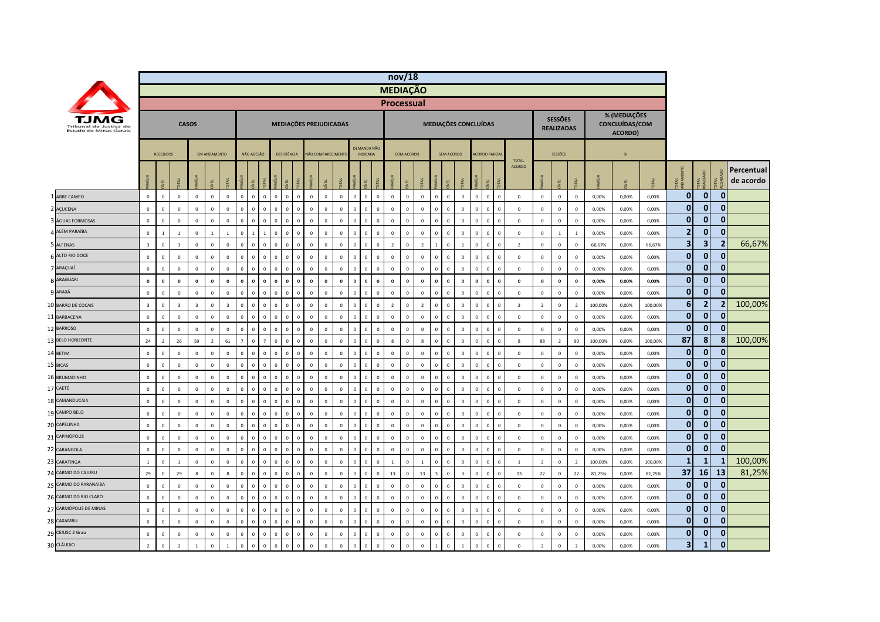|                                                  |                         |                  |                         |                         |                     |                |                |              |              |                                        |              |                |                   |                        |                |                                       |                | nov/18            |             |                |                |              |                |                                |              |                  |                |                                     |                |         |                                           |         |                         |                |                |                         |
|--------------------------------------------------|-------------------------|------------------|-------------------------|-------------------------|---------------------|----------------|----------------|--------------|--------------|----------------------------------------|--------------|----------------|-------------------|------------------------|----------------|---------------------------------------|----------------|-------------------|-------------|----------------|----------------|--------------|----------------|--------------------------------|--------------|------------------|----------------|-------------------------------------|----------------|---------|-------------------------------------------|---------|-------------------------|----------------|----------------|-------------------------|
|                                                  |                         |                  |                         |                         |                     |                |                |              |              |                                        |              |                |                   |                        |                |                                       |                | <b>MEDIAÇÃO</b>   |             |                |                |              |                |                                |              |                  |                |                                     |                |         |                                           |         |                         |                |                |                         |
|                                                  |                         |                  |                         |                         |                     |                |                |              |              |                                        |              |                |                   |                        |                |                                       |                | <b>Processual</b> |             |                |                |              |                |                                |              |                  |                |                                     |                |         |                                           |         |                         |                |                |                         |
| Tribunal de Justica do<br>Estado de Minas Gerais |                         |                  |                         | <b>CASOS</b>            |                     |                |                |              |              |                                        |              |                |                   | MEDIAÇÕES PREJUDICADAS |                |                                       |                |                   |             |                |                |              |                | MEDIAÇÕES CONCLUÍDAS           |              |                  |                | <b>SESSÕES</b><br><b>REALIZADAS</b> |                |         | % (MEDIAÇÕES<br>CONCLUÍDAS/COM<br>ACORDO) |         |                         |                |                |                         |
|                                                  |                         | <b>RECEBIDOS</b> |                         |                         | <b>FM ANDAMENTO</b> |                |                | NÃO ADESÃO   |              | <b>DESISTÊNCIA</b>                     |              |                | NÃO COMPARECIMENT |                        |                | <b>DEMANDA NÃO</b><br><b>INDICADA</b> |                |                   | COM ACORDO  |                |                | SEM ACORDO   |                | <b>ACORDO PARCIA</b>           |              | <b>TOTAL</b>     |                | SESSÕES                             |                |         | %                                         |         |                         |                |                |                         |
|                                                  |                         | g                |                         |                         | EL                  |                |                | EL           |              | Ĭ<br>린                                 |              |                |                   |                        |                |                                       |                |                   | 린           |                | İ              | Ψ            | лÃ             | Ĕ                              |              | <b>ACORDO</b>    |                | EL                                  |                | MÍLIA   |                                           |         | <b>DEA</b>              | <b>DTAL</b>    | OTAL           | Percentual<br>de acordo |
| 1 ABRE CAMPO                                     | $\mathbb O$             | $\mathsf 0$      | $\mathbb O$             | $\mathbb O$             | $\mathbb O$         | $\Omega$       | $\mathbf{0}$   | $\Omega$     | $\mathbf{0}$ | $\mathbf 0$<br>$\,$ 0                  | $\circ$      | $\mathbf 0$    | $\mathbf 0$       | $\mathbf 0$            | $\,$ 0         | $\overline{0}$                        | $\mathbf 0$    | $\mathbf 0$       | $\mathbb O$ | $\mathbf{0}$   | $\mathbf 0$    | $\mathbf 0$  | $\mathbb O$    | $\mathbf 0$<br>$\mathbf{0}$    | $\mathbf 0$  | $\mathbb O$      | $\mathbb O$    | $\mathbf 0$                         | $\mathbf{0}$   | 0,00%   | 0,00%                                     | 0,00%   | $\mathbf{0}$            | $\mathbf{0}$   | $\mathbf 0$    |                         |
| 2 AÇUCENA                                        | $\mathbb O$             | $\overline{0}$   | $\circ$                 | $\mathbf 0$             | $\mathbf 0$         | $\mathbf 0$    | $\mathbf 0$    | $\Omega$     | $\Omega$     | $\mathbf 0$<br>$\,$ 0                  | $\Omega$     | $\,$ 0         | $\mathbf 0$       | $\mathbf 0$            | $\mathbf 0$    | $\Omega$                              | $\overline{0}$ | $\mathbf 0$       | $\mathbf 0$ | $\mathbf 0$    | $\mathbb O$    | $\mathbf 0$  | $\mathbb O$    | $\mathbf 0$<br>$\Omega$        | $\mathbf 0$  | $\mathbf{0}$     | $\mathbf 0$    | $\mathbf 0$                         | $\bf 0$        | 0,00%   | 0,00%                                     | 0,00%   | $\mathbf{0}$            | $\mathbf 0$    | $\bf{0}$       |                         |
| ÁGUAS FORMOSAS                                   | $\mathbf 0$             | $\mathbf 0$      | $\mathbf 0$             | $\mathbb O$             | $\pmb{0}$           | $\mathbf{0}$   | $\mathbf 0$    |              |              | $\mathbf 0$<br>$\mathbf 0$             |              | $\,$ 0         | $\mathbf 0$       | $\mathbf 0$            | $\mathbf 0$    | $\mathbf 0$                           | $\mathbf 0$    | $\mathbf 0$       | $\mathbf 0$ | $\mathbf 0$    | $\mathbf 0$    | $\mathbf 0$  | $\mathbb O$    | $\mathbf 0$                    | $\mathsf 0$  | $\mathbb O$      | $\mathbf 0$    | $\pmb{0}$                           | $\mathbf 0$    | 0,00%   | 0,00%                                     | 0,00%   | $\mathbf{0}$            | $\bf{0}$       | $\bf{0}$       |                         |
| ALÉM PARAÍBA                                     | $\mathbf 0$             | $\overline{1}$   | $\overline{1}$          | $\mathbb O$             | $\overline{1}$      | $\overline{1}$ | $\mathbf 0$    |              |              | $\mathbf{0}$<br>$\overline{0}$         | $\Omega$     | $\mathbf 0$    | $\,$ 0 $\,$       | $\overline{0}$         | $\mathbf{0}$   | $\Omega$                              | $\Omega$       | $\mathbf 0$       | $\mathbf 0$ | $\mathbf{0}$   | $\mathbf{0}$   | $\Omega$     | $\mathbf 0$    | $\Omega$<br>$\Omega$           | $\Omega$     | $\mathbb O$      | $\mathbf 0$    | $\overline{1}$                      | $\overline{1}$ | 0,00%   | 0,00%                                     | 0,00%   | $\overline{2}$          | $\mathbf{0}$   | $\Omega$       |                         |
| 5 ALFENAS                                        | $\overline{\mathbf{3}}$ | $\overline{0}$   | $\overline{\mathbf{3}}$ | $\mathbb O$             | $\mathbf 0$         | $\Omega$       | $\mathbb O$    | $\Omega$     | $\mathbf{0}$ | $\mathbf 0$<br>$\,$ 0                  | $\Omega$     | $\mathbf 0$    | $\,$ 0 $\,$       | $\overline{0}$         | $\mathbf 0$    | $\mathbf{0}$                          | $\overline{0}$ | $\overline{2}$    | $\mathbb O$ | $\overline{2}$ | $1\,$          | $\mathbf 0$  | $\mathbf{1}$   | $\overline{0}$<br>$\Omega$     | $\mathsf 0$  | $\overline{2}$   | $\mathbf 0$    | $\mathbf{0}$                        | $\overline{0}$ | 66,67%  | 0,00%                                     | 66,67%  | 3                       | 3              | $\overline{2}$ | 66,67%                  |
| ALTO RIO DOCE                                    | $\mathbb O$             | $\overline{0}$   | $\circ$                 | $\mathbf 0$             | $\mathbf 0$         | $\mathbf 0$    | $\mathbf 0$    | $\sqrt{ }$   | $\Omega$     | $\mathbf 0$<br>$\overline{\mathbf{0}}$ | $\Omega$     | $\,$ 0         | $\mathbf 0$       | $\mathbf 0$            | $\,0\,$        | $\Omega$                              | $\overline{0}$ | $\mathbf 0$       | $\mathbf 0$ | $\mathbf 0$    | $\mathbb O$    | $\mathbf 0$  | $\mathbf 0$    | $\overline{0}$<br>$\Omega$     | $\mathsf 0$  | $\mathbf 0$      | $\mathbf 0$    | $\mathbf{0}$                        | $\mathbf 0$    | 0,00%   | 0,00%                                     | 0,00%   | $\mathbf{0}$            | $\mathbf 0$    | $\bf{0}$       |                         |
| 7 ARAÇUAÍ                                        | $\mathbb O$             | $\overline{0}$   | $\mathbf 0$             | $\mathbb O$             | $\overline{0}$      | $\mathbf{0}$   | $\mathbf 0$    |              | $\Omega$     | $\mathbf 0$<br>$\overline{0}$          |              | $\mathbf 0$    | $\mathbf 0$       | $\mathbb O$            | $\mathbf 0$    | $\mathbf 0$                           | $\overline{0}$ | $\mathbf 0$       | $\mathbf 0$ | $\mathbf 0$    | $\mathbb O$    | $\mathbf 0$  | $\mathbb O$    | $\mathbf 0$                    | $\mathbf 0$  | $\mathbf 0$      | $\mathbf 0$    | $\mathbf 0$                         | $\mathbb O$    | 0,00%   | 0,00%                                     | 0,00%   | $\mathbf{0}$            | $\mathbf{0}$   | $\mathbf{0}$   |                         |
| 8 ARAGUARI                                       | $\mathbf 0$             | $\mathbf 0$      | $\mathbf 0$             | $\mathbf 0$             | $\bf{0}$            | $\mathbf{0}$   | $\mathbf 0$    | $\mathbf{0}$ | $\Omega$     | $\mathbf 0$<br>$\bf{0}$                | $\Omega$     | $\mathbf 0$    | $\mathbf 0$       | $\mathbf 0$            | $\bf{0}$       | $\mathbf{0}$                          | $\mathbf{0}$   | $\mathbf 0$       | $\mathbf 0$ | $\bf{0}$       | $\mathbf 0$    | $\Omega$     | $\mathbf 0$    | $\mathbf{0}$<br>$\Omega$       | $\mathbf 0$  | $\boldsymbol{0}$ | $\mathbf 0$    | $\bf{0}$                            | $\mathbf 0$    | 0,00%   | 0,00%                                     | 0,00%   | $\mathbf{0}$            | $\mathbf{0}$   | $\mathbf{0}$   |                         |
| 9 ARAXÁ                                          | $\mathbf{0}$            | $\overline{0}$   | $\Omega$                | $\Omega$                | $\mathbf 0$         | $\Omega$       | $\mathbf 0$    | $\Omega$     | $\Omega$     | $\mathbf 0$<br>$\overline{0}$          |              | $\mathbf 0$    | $\mathbf 0$       | $\mathbb O$            | $\mathbf 0$    | $\Omega$                              | $\Omega$       | $\mathbf 0$       | $\Omega$    | $\mathbf{0}$   | $\mathbb O$    | $\Omega$     | $\Omega$       | $\mathbf 0$                    | $\mathsf 0$  | $\circ$          | $\overline{0}$ | $\mathbf 0$                         | $\mathbf 0$    | 0,00%   | 0,00%                                     | 0,00%   | $\mathbf{0}$            | $\mathbf{0}$   | $\mathbf{0}$   |                         |
| 10 BARÃO DE COCAIS                               | $\overline{\mathbf{3}}$ | $\mathbf 0$      | $\overline{z}$          | $\overline{\mathbf{z}}$ | $\overline{0}$      | $\overline{z}$ | $\Omega$       | $\sqrt{ }$   |              | $\mathbf 0$<br>$\overline{0}$          |              | $\mathbf 0$    | $\overline{0}$    | $\mathbf 0$            | $\mathbf{0}$   | $\Omega$                              | $\Omega$       | $\overline{z}$    | $\Omega$    | $\overline{z}$ | $\mathbb O$    | $\Omega$     | $\Omega$       | $\Omega$                       | $\,$ 0 $\,$  | $\overline{2}$   | $\overline{2}$ | $\mathbf 0$                         | $\overline{2}$ | 100,00% | 0,00%                                     | 100,00% | 6                       | $\overline{2}$ | 2              | 100,00%                 |
| 11 BARBACENA                                     | $\mathbf 0$             | $\overline{0}$   | $\mathbf 0$             | $\mathbb O$             | $\overline{0}$      | $\mathbf{0}$   | $\mathbf 0$    |              | $\Omega$     | $\mathbf 0$<br>$\overline{0}$          |              | $\mathbf 0$    | $\,$ 0 $\,$       | $\mathbb O$            | $\mathbf 0$    | $\Omega$                              | $\overline{0}$ | $\mathbf 0$       | $\mathbb O$ | $\mathbf 0$    | $\mathbb O$    | $\mathbf 0$  | $\mathbb O$    | $\mathbf 0$                    | $\mathbf 0$  | $\mathbb O$      | $\mathbf 0$    | $\mathbf 0$                         | $\overline{0}$ | 0,00%   | 0,00%                                     | 0,00%   | $\overline{0}$          | $\mathbf{0}$   | $\overline{0}$ |                         |
| 12 BARROSO                                       | $\mathbb O$             | $\mathbf 0$      | $\Omega$                | $\mathbf 0$             | $\Omega$            | $\Omega$       | $\mathbf 0$    | $\sqrt{ }$   | $\Omega$     | $\mathbf 0$<br>$\,$ 0                  | $\Omega$     | $\mathbf 0$    | $\mathbf 0$       | $\overline{0}$         | $\mathbf 0$    | $\mathbf{0}$                          | $\mathbf 0$    | $\mathbf 0$       | $\mathbf 0$ | $\mathbf{0}$   | $\mathbb O$    | $\Omega$     | $\mathbf{0}$   | $\overline{0}$<br>$\Omega$     | $\mathbf 0$  | $\mathbb O$      | $\overline{0}$ | $\Omega$                            | $\mathbb O$    | 0,00%   | 0,00%                                     | 0,00%   | $\overline{0}$          | $\mathbf{0}$   | $\mathbf{0}$   |                         |
| 13 BELO HORIZONTE                                | $\mathbf{24}$           | $\overline{2}$   | 26                      | 59                      | $\overline{2}$      | 61             | $\overline{7}$ |              |              | $\mathbf 0$<br>$\overline{0}$          |              | $\,$ 0         | $\overline{0}$    | $\mathbf 0$            | $\mathbf 0$    | $\mathbf 0$                           | $\overline{0}$ | 8                 | $\mathbf 0$ | 8              | $\mathbf 0$    | $\mathbf 0$  | $\mathbb O$    | $\mathbf 0$                    | $\mathbf 0$  | 8                | 88             | $\overline{2}$                      | 90             | 100,00% | 0,00%                                     | 100,00% | 87                      | 8              | 8              | 100,00%                 |
| 14 BETIM                                         | $\mathbb O$             | $\Omega$         | $\mathbf{0}$            | $\mathbf 0$             | $\Omega$            | $\Omega$       | $\mathbf 0$    |              | <sup>n</sup> | $\mathbf 0$<br>$\overline{\mathbf{0}}$ | $\Omega$     | $\overline{0}$ | $\mathbf{0}$      | $\mathbf 0$            | $\mathbf{0}$   | $\Omega$                              | $\Omega$       | $\mathbf{0}$      | $\Omega$    | $\mathbf{0}$   | $\mathbb O$    | $\Omega$     | $\Omega$       | $\Omega$                       | $\Omega$     | $\mathbf{0}$     | $\Omega$       | $\mathbf{0}$                        | $\Omega$       | 0.00%   | 0,00%                                     | 0.00%   | $\overline{0}$          | $\mathbf{0}$   | $\mathbf{0}$   |                         |
| 15 BICAS                                         | $\mathbb O$             | $\,$ 0           | $\mathbb O$             | $\mathbb O$             | $\overline{0}$      | $\mathbf 0$    | $\mathbf 0$    |              | $\Omega$     | $\mathbf 0$<br>$\overline{0}$          | $\Omega$     | $\mathbf 0$    | $\mathbf 0$       | $\mathbb O$            | $\mathbf 0$    | $\Omega$                              | $\mathbf 0$    | $\mathbf 0$       | $\mathbb O$ | $\mathbf 0$    | $\mathbb O$    | $\mathbf 0$  | $\mathbf 0$    | $\overline{0}$                 | $\mathbf 0$  | $\mathbb O$      | $\overline{0}$ | $\mathbf 0$                         | $\mathbb O$    | 0,00%   | 0,00%                                     | 0,00%   | $\overline{0}$          | $\mathbf{0}$   | $\mathbf{0}$   |                         |
| 16 BRUMADINHO                                    | $\mathbb O$             | $\mathbf 0$      | $\Omega$                | $\mathbb O$             | $\Omega$            | $\Omega$       | $\mathbf{0}$   | $\sqrt{ }$   | $\Omega$     | $\mathbf 0$<br>$\overline{\mathbf{0}}$ | $\Omega$     | $\mathbf 0$    | $\mathbf 0$       | $\mathbf 0$            | $\mathbf{0}$   | $\mathbf{0}$                          | $\circ$        | $\mathbf 0$       | $\mathbf 0$ | $\mathbf{0}$   | $\mathbb O$    | $\Omega$     | $\overline{0}$ | $\Omega$<br>$\Omega$           | $\mathbf 0$  | $\mathbb O$      | $\mathbb O$    | $\Omega$                            | $\mathbb O$    | 0,00%   | 0,00%                                     | 0,00%   | $\mathbf{0}$            | $\mathbf{0}$   | $\mathbf{0}$   |                         |
| 17 CAETÉ                                         | $\mathbb O$             | $\mathbf 0$      | $\mathbf 0$             | $\mathbb O$             | $\mathbf 0$         | $\mathbf 0$    | $\mathbf 0$    | $\Omega$     | $\mathbf 0$  | $\mathbf{0}$<br>$\,$ 0                 | $\mathbf 0$  | $\mathbf 0$    | $\mathbf 0$       | $\mathbf 0$            | $\mathbf 0$    | $\mathbf 0$                           | $\overline{0}$ | $\mathbf 0$       | $\mathbf 0$ | $\mathbf 0$    | $\mathbf{0}$   | $\circ$      | $\mathbb O$    | $\overline{0}$<br>$\mathbf{0}$ | $\mathbf 0$  | $\mathbf 0$      | $\mathbf 0$    | $\mathbf 0$                         | $\mathbf 0$    | 0,00%   | 0,00%                                     | 0,00%   | $\mathbf{0}$            | $\mathbf{0}$   | $\mathbf{0}$   |                         |
| 18 CAMANDUCAIA                                   | $\mathbb O$             | $\mathbf 0$      | $\mathbf 0$             | $\mathbb O$             | $\mathbf 0$         | $\mathbf 0$    | $\mathbb O$    |              |              | $\mathbf 0$<br>$\overline{0}$          |              | $\mathbf 0$    | $\overline{0}$    | $\mathbf 0$            | $\mathbf 0$    | $\Omega$                              | $\overline{0}$ | $\mathbf 0$       | $\mathbf 0$ | $\mathbf 0$    | $\mathbb O$    | $\mathbf 0$  | $\mathbf 0$    | $\mathbf{0}$                   | $\mathbf 0$  | $\circ$          | $\mathbb O$    | $\mathbf 0$                         | $\mathbf 0$    | 0,00%   | 0,00%                                     | 0,00%   | $\mathbf{0}$            | $\mathbf 0$    | 0              |                         |
| 19 CAMPO BELO                                    | $\mathbb O$             | $\overline{0}$   | $\mathbf 0$             | $\mathbb O$             | $\mathbb O$         | $\Omega$       | $\Omega$       |              | $\Omega$     | $\mathbf 0$<br>$\Omega$                |              | $\mathbf 0$    | $\mathbf 0$       | $\mathbb O$            | $\mathbf{0}$   | $\Omega$                              | $\overline{0}$ | $\mathbf 0$       | $\mathbb O$ | $\mathbf 0$    | $\mathbb O$    | $\Omega$     | $\mathbf 0$    | $\Omega$                       | $\mathbf 0$  | $\mathbb O$      | $\overline{0}$ | $\mathbf 0$                         | $\mathbb O$    | 0,00%   | 0,00%                                     | 0,00%   | $\overline{0}$          | $\bf{0}$       | $\mathbf{0}$   |                         |
| 20 CAPELINHA                                     | $\mathbb O$             | $\Omega$         | $\mathbf 0$             | $\mathbb O$             | $\Omega$            | $\Omega$       | $\mathbf 0$    | $\sqrt{ }$   | $\Omega$     | $\mathbf{0}$<br>$\overline{0}$         | $\Omega$     | $\overline{0}$ | $\mathbf{0}$      | $\overline{0}$         | $\overline{0}$ | $\mathbf{0}$                          | $\circ$        | $\mathbf{0}$      | $\mathbf 0$ | $\mathbf{0}$   | $\mathbf{0}$   | $\mathbf{0}$ | $\overline{0}$ | $\Omega$<br>$\Omega$           | $\Omega$     | $\mathbf 0$      | $\mathbf 0$    | $\Omega$                            | $\mathbb O$    | 0.00%   | 0,00%                                     | 0,00%   | $\mathbf{0}$            | $\mathbf{0}$   | $\mathbf{0}$   |                         |
| 21 CAPINÓPOLIS                                   | $\mathbf 0$             | $\overline{0}$   | $\mathbf 0$             | $\mathbf 0$             | $\mathbf 0$         | $\mathbf 0$    | $\mathbf 0$    | $\Omega$     | $\mathbf 0$  | $\mathbf 0$<br>$\,$ 0                  | $\Omega$     | $\mathbf 0$    | $\mathbf 0$       | $\mathbf 0$            | $\,$ 0         | $\mathbf{0}$                          | $\circ$        | $\mathbf 0$       | $\mathbf 0$ | $\mathbf 0$    | $\mathbf 0$    | $\circ$      | $\circ$        | $\overline{0}$<br>$\Omega$     | $\mathbf 0$  | $\mathbf 0$      | $\overline{0}$ | $\mathbf 0$                         | $\mathbf 0$    | 0,00%   | 0,00%                                     | 0,00%   | $\mathbf{0}$            | $\mathbf{0}$   | $\mathbf{0}$   |                         |
| 22 CARANGOLA                                     | $\mathbb O$             | $\mathbf 0$      | $\circ$                 | $\mathbb O$             | $\mathbf 0$         | $\mathbf 0$    | $\mathbb O$    |              | $\Omega$     | $\mathbf 0$<br>$\,$ 0                  | $\Omega$     | $\mathbf 0$    | $\mathbf 0$       | $\mathbf 0$            | $\mathbf 0$    | $\mathbf{0}$                          | $\overline{0}$ | $\mathbf 0$       | $\mathbf 0$ | $\mathbf 0$    | $\mathbb O$    | $\mathbf 0$  | $\circ$        | $\mathbf 0$                    | $\mathbf 0$  | $\circ$          | $\mathbf 0$    | $\mathbf 0$                         | $\mathbf 0$    | 0,00%   | 0,00%                                     | 0,00%   | $\overline{0}$          | $\mathbf{0}$   | $\mathbf{0}$   |                         |
| 23 CARATINGA                                     | $\,$ 1 $\,$             | $\,0\,$          | $\,$ 1 $\,$             | $\mathbf 0$             | $\mathbf 0$         | $\mathbf{0}$   | $\mathbb O$    | $\sqrt{2}$   | $\Omega$     | $\mathbf 0$<br>$\,$ 0                  | $\mathbf{0}$ | $\,$ 0         | $\,$ 0            | $\mathbb O$            | $\mathbf 0$    | $\mathbf 0$                           | $\mathbf 0$    | $\,$ 1            | $\mathbb O$ | $1\,$          | $\mathbf 0$    | $\mathbf 0$  | $\mathbf 0$    | $\overline{0}$<br>$\Omega$     | $\mathbf 0$  | $\mathbf{1}$     | $\overline{2}$ | $\mathbf 0$                         | $\overline{2}$ | 100,00% | 0,00%                                     | 100,00% | $\mathbf{1}$            | $\mathbf{1}$   | 1              | 100,00%                 |
| CARMO DO CAJURU<br>24                            | 29                      | $\mathsf 0$      | 29                      | $8\phantom{1}$          | $\Omega$            | $\mathbf{g}$   | $\mathbf{0}$   | $\Omega$     | $\mathbf{0}$ | $\mathbf{0}$<br>$\overline{0}$         | $\Omega$     | $\mathbf 0$    | $\mathbf 0$       | $\mathbf 0$            | $\overline{0}$ | $\mathbf{0}$                          | $\mathbf{0}$   | 13                | $\mathbf 0$ | 13             | $\overline{3}$ | $\mathbf 0$  | $\overline{3}$ | $\overline{0}$<br>$\Omega$     | $\mathbf{0}$ | 13               | 22             | $\mathbf{0}$                        | 22             | 81,25%  | 0,00%                                     | 81,25%  | 37                      | <b>16</b>      | 13             | 81,25%                  |
| CARMO DO PARANAÍBA<br>25                         | $\mathbb O$             | $\overline{0}$   | $\circ$                 | $\mathbb O$             | $\mathbf 0$         | $\mathbf{0}$   | $\mathbb O$    | $\Omega$     | $\Omega$     | $\mathbf 0$<br>$\,$ 0                  | $\Omega$     | $\,$ 0         | $\mathbf 0$       | $\mathbf 0$            | $\mathbf 0$    | $\Omega$                              | $\overline{0}$ | $\mathbf 0$       | $\mathbf 0$ | $\mathbf 0$    | $\mathbb O$    | $\Omega$     | $\circ$        | $\mathbf 0$<br>$\Omega$        | $\mathbf 0$  | $\circ$          | $\mathbf 0$    | $\mathbf 0$                         | $\mathbf 0$    | 0,00%   | 0,00%                                     | 0,00%   | $\mathbf{0}$            | 0              | $\bf{0}$       |                         |
| 26 CARMO DO RIO CLARO                            | $\mathbb O$             | $\overline{0}$   | $\circ$                 | $\mathbb O$             | $\mathbf 0$         | $\mathbf{0}$   | $\mathbf 0$    |              |              | $\mathbf 0$<br>$\overline{0}$          |              | $\,$ 0         | $\overline{0}$    | $\mathbb O$            | $\mathbf 0$    | $\Omega$                              | $\overline{0}$ | $\mathbf 0$       | $\mathbf 0$ | $\mathbf 0$    | $\mathbb O$    | $\mathbf 0$  | $\mathbf 0$    | $\mathbf 0$                    | $\mathbf 0$  | $\mathbf 0$      | $\mathbf 0$    | $\mathbf 0$                         | $\mathbf 0$    | 0,00%   | 0,00%                                     | 0,00%   | $\mathbf{0}$            | $\mathbf 0$    | 0              |                         |
| 27 CARMÓPOLIS DE MINAS                           | $\mathbb O$             | $\overline{0}$   | $\mathbf 0$             | $\mathbb O$             | $\overline{0}$      | $\mathbf{0}$   | $\mathbf 0$    |              | $\Omega$     | $\mathsf{O}$<br>$\,$ 0                 | $\Omega$     | $\,$ 0         | $\,0\,$           | $\,0\,$                | $\mathbf 0$    | $\Omega$                              | $\overline{0}$ | $\mathbf 0$       | $\mathbf 0$ | $\mathbf 0$    | $\mathbb O$    | $\mathbf 0$  | $\mathbf 0$    | $\overline{0}$<br>$\Omega$     | $\mathsf 0$  | $\mathbb O$      | $\mathbf 0$    | $\mathbf 0$                         | $\mathbb O$    | 0,00%   | 0,00%                                     | 0,00%   | $\overline{0}$          | $\mathbf 0$    | $\mathbf{0}$   |                         |
| 28 CAXAMBU                                       | $\mathbb O$             | $\overline{0}$   | $\mathbb O$             | $\mathbb O$             | $\mathbf 0$         | $\mathbf{0}$   | $\mathbf 0$    | $\Omega$     | $\Omega$     | $\mathbf 0$<br>$\,$ 0                  | $\mathbb O$  | $\mathbf 0$    | $\,$ 0 $\,$       | $\mathbf 0$            | $\,$ 0         | $\mathbf{0}$                          | $\mathbf 0$    | $\mathbf 0$       | $\mathbb O$ | $\mathbf 0$    | $\mathbf 0$    | $\mathbf 0$  | $\mathbf 0$    | $\mathbf 0$<br>$\Omega$        | $\mathbf 0$  | $\mathbb O$      | $\mathbf 0$    | $\mathbf{0}$                        | $\mathbf 0$    | 0,00%   | 0,00%                                     | 0,00%   | $\mathbf{0}$            | $\mathbf{0}$   | $\mathbf{0}$   |                         |
| 29 CEJUSC 2 Grau                                 | $\mathbf 0$             | $\overline{0}$   | $\mathbf 0$             | $\mathbf 0$             | $\mathbf 0$         | $\mathbf 0$    | $\mathbb O$    | $\Omega$     | $\Omega$     | $\mathbf 0$<br>$\,$ 0                  | $\Omega$     | $\mathbf 0$    | $\mathbf 0$       | $\mathbf 0$            | $\mathbf 0$    | $\mathbf{0}$                          | $\overline{0}$ | $\mathbf 0$       | $\Omega$    | $\mathbf 0$    | $\mathbb O$    | $\mathbf 0$  | $\circ$        | $\,$ 0<br>$\Omega$             | $\mathbf 0$  | $\mathbf 0$      | $\mathbf 0$    | $\mathbf{0}$                        | $\mathbf 0$    | 0,00%   | 0,00%                                     | 0,00%   | $\mathbf{0}$            | $\Omega$       | $\mathbf{0}$   |                         |
| 30 CLÁUDIO                                       | $\overline{2}$          | $\mathbf 0$      | $\overline{2}$          | $\mathbf{1}$            | $\mathbf 0$         | $\mathbf{1}$   | $\mathbb O$    |              | $\Omega$     | $\mathbf 0$<br>$\overline{0}$          | $\Omega$     | $\mathbf 0$    | $\mathbf 0$       | $\mathbf 0$            | $\mathbf 0$    | $\Omega$                              | $\mathbf 0$    | $\mathbf 0$       | $\mathbf 0$ | $\mathbf 0$    | $\mathbf{1}$   | $\mathbf 0$  | $\mathbf{1}$   | $\mathbf{0}$                   | $\mathbf 0$  | $\mathbf 0$      | $\overline{2}$ | $\mathbf 0$                         | $\overline{2}$ | 0,00%   | 0,00%                                     | 0,00%   | $\overline{\mathbf{3}}$ | $\mathbf{1}$   | $\mathbf{0}$   |                         |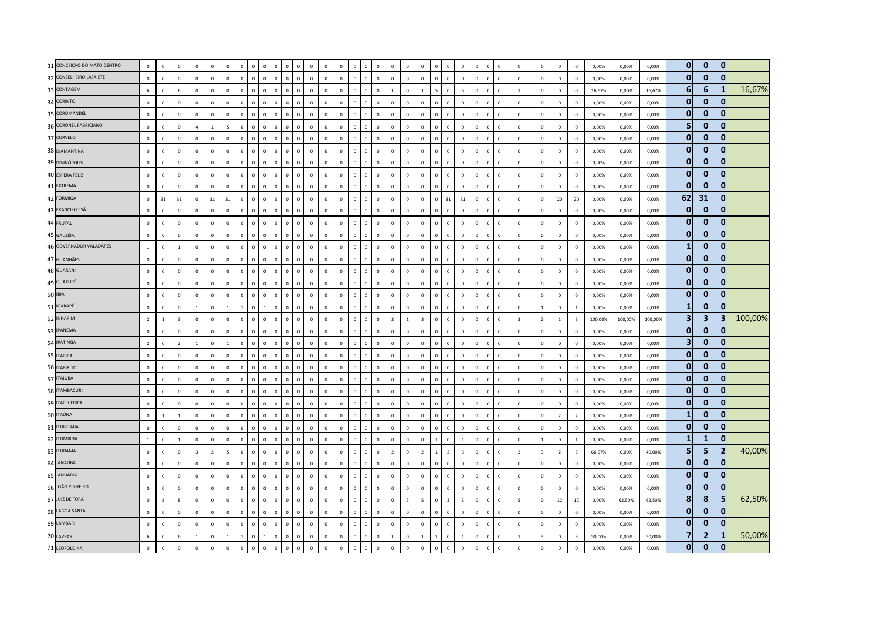| 31 CONCEIÇÃO DO MATO DENTRO | $\circ$        | $\mathsf 0$      | $\circ$                 | $\mathbf 0$             | $\overline{0}$ | $\mathbf 0$             | $\mathbf 0$    | $\mathbf 0$  | $\mathbf 0$<br>$\Omega$     | 0                            |                | $\overline{0}$ | $\mathbf 0$    | $\mathbf 0$  | $\Omega$       | $\Omega$     |              | $\Omega$       |                         | $\mathbf 0$             |             | $\Omega$                | $\Omega$                | $\mathbf 0$<br>$\Omega$ |                              | $\mathbf 0$             | $\mathbf 0$             | $\mathbf{0}$   | $\mathbf 0$             | 0,00%   | 0,00%   | 0,00%   | $\overline{0}$   | $\mathbf 0$             | $\mathbf{0}$   |         |
|-----------------------------|----------------|------------------|-------------------------|-------------------------|----------------|-------------------------|----------------|--------------|-----------------------------|------------------------------|----------------|----------------|----------------|--------------|----------------|--------------|--------------|----------------|-------------------------|-------------------------|-------------|-------------------------|-------------------------|-------------------------|------------------------------|-------------------------|-------------------------|----------------|-------------------------|---------|---------|---------|------------------|-------------------------|----------------|---------|
| 32 CONSELHEIRO LAFAIETE     | $\mathbf 0$    | $\mathsf 0$      | $\mathbf 0$             | $\mathbf 0$             | $\mathbf 0$    | $\mathbf 0$             | $\mathbf{0}$   | $\mathbf{0}$ | $\mathsf 0$                 | $\mathbb O$<br>$\mathbf 0$   | $\mathbf 0$    | $\mathbf 0$    | $\mathbb O$    | $\mathbb O$  | $\circ$        | $\mathbf 0$  | $\mathbf 0$  | $\mathbf 0$    | $\mathbb O$             | $\mathbb O$             | $\mathbb O$ | $\mathbb O$             | $\mathbf 0$             | $\mathbf 0$             | $\mathsf 0$<br>$\Omega$      | $\mathbf 0$             | $\mathbf 0$             | $\mathbf 0$    | $\mathbb O$             | 0,00%   | 0,00%   | 0,00%   | $\mathbf{0}$     | $\mathbf 0$             | $\mathbf{0}$   |         |
| 33 CONTAGEM                 | 6              | $\mathsf 0$      | 6                       | $\mathbf 0$             | $\mathbf 0$    | $\mathbf 0$             | $\mathbf 0$    | $\mathbf 0$  | $\Omega$<br>$\mathbf 0$     | $\mathbf 0$                  | $\Omega$       | $\mathbf 0$    | $\mathbf 0$    | $\mathbf 0$  | $\mathbf 0$    | $\mathbf{0}$ | $\Omega$     | $\overline{1}$ | $\Omega$                | 1                       |             | $\mathbf 0$             | $\sim$                  | $\mathbf 0$             | $\,0\,$                      | <sup>1</sup>            | $\mathbf 0$             | $\mathbf{0}$   | $\mathbf{0}$            | 16,67%  | 0.00%   | 16.67%  | $6 \overline{6}$ | 6                       |                | 16,67%  |
| 34 CORINTO                  | $\mathbb O$    | $\mathsf 0$      | $\circ$                 | $\,$ 0                  | $\overline{0}$ | $\mathbf 0$             | $\Omega$       | $\mathbf{0}$ | $\overline{0}$              | $\mathbf 0$<br>$\Omega$      | $\Omega$       | $\overline{0}$ | $\mathbb O$    | $\mathbf 0$  | $\overline{0}$ | $\mathbf{0}$ | $\Omega$     | $\Omega$       | $\mathbf 0$             | $\mathbf 0$             |             | $\Omega$                | $\Omega$                | $\mathbf{0}$            | $\overline{0}$<br>$\sqrt{2}$ | $\,0\,$                 | $\Omega$                | $\Omega$       | $\mathbf 0$             | 0,00%   | 0,00%   | 0,00%   | $\mathbf{0}$     | $\mathbf 0$             | $\mathbf{0}$   |         |
| 35 COROMANDEL               | $\mathbf 0$    | $\mathsf 0$      | $\mathbf 0$             | $\mathbf 0$             | $\mathbf 0$    | $\mathbf 0$             | $\mathbf 0$    | $\mathbf 0$  | $\mathbf{0}$                | $\mathbf{0}$<br>$\mathbf 0$  | $\overline{0}$ | $\mathbf 0$    | $\mathbf{0}$   | $\mathbf 0$  | $\mathbf{0}$   | $\mathbf{0}$ | $\mathbf 0$  | $\mathbf 0$    | $\mathbb O$             | $\,$ 0 $\,$             |             | $\mathbf 0$             | $\Omega$                | $\mathbf 0$             | $\mathsf 0$                  | $\mathbf 0$             | $\mathbf 0$             | $\mathbf 0$    | $\mathbb O$             | 0,00%   | 0,00%   | 0,00%   | $\overline{0}$   | $\mathbf 0$             | $\mathbf 0$    |         |
| 36 CORONEL FABRICIANO       | $\mathbb O$    | $\mathsf 0$      | $\mathbf 0$             | $\overline{4}$          | $\mathbf{1}$   | $\overline{\mathbf{5}}$ | $\mathbf 0$    | $\mathbf 0$  | $\mathbf{0}$<br>$\mathbf 0$ | $\mathbf 0$                  | $\Omega$       | $\mathbf 0$    | $\mathbf 0$    | $\mathbf 0$  | $\mathbf 0$    | $\mathbf{0}$ | $\Omega$     | $\mathbf 0$    | $\mathbf 0$             | $\mathbf 0$             |             | $\mathbf 0$             | $\mathbf 0$             | $\mathbf 0$             | $\,$ 0                       | $\mathbf 0$             | $\mathbf 0$             | $\mathbf{0}$   | $\mathbb O$             | 0,00%   | 0,00%   | 0,00%   | 5 <sub>5</sub>   | $\mathbf 0$             | $\overline{0}$ |         |
| 37 CURVELO                  | $\circ$        | $\mathbf{0}$     | $\Omega$                | $\mathbf{0}$            | $\overline{0}$ | $\overline{0}$          | $\mathbf{0}$   | $\mathbf{0}$ | $\Omega$                    | $\mathbf{0}$<br>$\Omega$     | $\mathbf 0$    | $\Omega$       | $\Omega$       | $\mathbf{0}$ | $\circ$        | $\mathbf{0}$ | $\Omega$     | $\Omega$       | $\mathbf 0$             | $\mathbf{0}$            |             | $\mathbf 0$             | $\Omega$                | $\mathbf{0}$            | $\mathbf{0}$                 | $\Omega$                | $\mathbf{0}$            | $\Omega$       | $\Omega$                | 0.00%   | 0.00%   | 0.00%   | $\mathbf{0}$     | $\mathbf{0}$            | $\mathbf{0}$   |         |
| 38 DIAMANTINA               | $\mathbf 0$    | $\mathsf 0$      | $\Omega$                | $\mathbf 0$             | $\mathbf 0$    | $\mathbf 0$             | $\mathbf{0}$   | $\mathbf 0$  | $\Omega$                    | $\Omega$<br>$\mathbf 0$      | $\Omega$       | $\overline{0}$ | $\mathbf 0$    | $\mathbf 0$  | $\Omega$       | $\mathbf 0$  | $\Omega$     | $\Omega$       | $\mathbf 0$             | $\mathbf 0$             | $\Omega$    | $\Omega$                | $\Omega$                | $\mathbf 0$             | $\overline{0}$               | $\,$ 0                  | $\mathbf 0$             | $\mathbf 0$    | $\mathbf 0$             | 0.00%   | 0,00%   | 0,00%   | $\overline{0}$   | $\mathbf 0$             | $\overline{0}$ |         |
| 39 DIVINÓPOLIS              | $\mathbf 0$    | $\mathsf 0$      | $\mathbf 0$             | $\mathbf 0$             | $\overline{0}$ | $\mathbf 0$             | $\mathbf 0$    | $\mathbf 0$  | $\mathbf{0}$<br>$\mathbf 0$ | $\mathbf 0$                  | $\Omega$       | $\mathbf 0$    | $\mathbf 0$    | $\mathbf 0$  | $\mathbf 0$    | $\mathbf{0}$ | $\Omega$     | $\mathbf 0$    | $\mathbf 0$             | $\mathbf 0$             |             | $\mathbf 0$             | $\mathbf 0$             | $\mathbf 0$             | $\,$ 0                       | $\mathbf 0$             | $\mathbf 0$             | $\mathbf{0}$   | $\mathbb O$             | 0,00%   | 0,00%   | 0,00%   | $\mathbf{0}$     | $\mathbf 0$             | $\overline{0}$ |         |
| 40 ESPERA FELIZ             | $\mathbf 0$    | $\mathsf 0$      | $\mathbf 0$             | $\mathbf 0$             | $\mathbf 0$    | $\mathbf 0$             | $\mathbf 0$    | $\mathbf 0$  | $\mathbf 0$                 | $\mathbf 0$<br>$\mathbf 0$   | $\overline{0}$ | $\mathbf 0$    | $\mathbf 0$    | $\mathbf 0$  | $\mathsf 0$    | $\mathbf 0$  | $\mathbf{0}$ | $\mathbf 0$    | $\mathbb O$             | $\mathbf 0$             | $\mathbf 0$ | $\mathbf 0$             | $\mathbf 0$             | $\mathbf 0$             | $\mathsf 0$                  | $\mathbf 0$             | $\mathbf 0$             | $\mathbf 0$    | $\mathbb O$             | 0,00%   | 0,00%   | 0,00%   | $\overline{0}$   | $\mathbf 0$             | $\overline{0}$ |         |
| 41 EXTREMA                  | $\circ$        | $\Omega$         | $\Omega$                | $\Omega$                | $\mathbf 0$    | $\circ$                 | $\mathbf{0}$   | $\Omega$     | $\Omega$                    | $\Omega$<br>$\Omega$         | $\Omega$       | $\Omega$       | $\Omega$       | $\mathbf{0}$ | $\mathbf{0}$   | $\Omega$     | $\Omega$     | $\Omega$       | $\Omega$                | $\mathbf{0}$            |             | $\Omega$                | $\Omega$                | $\Omega$                | $\overline{0}$               | $\Omega$                | $\Omega$                | $\Omega$       | $\Omega$                | 0.00%   | 0.00%   | 0.00%   | $\mathbf{0}$     | $\mathbf{0}$            | $\mathbf{0}$   |         |
| 42 FORMIGA                  | $\mathbb O$    | 31               | 31                      | $\mathbf 0$             | 31             | 31                      | $\Omega$       | $\Omega$     | $\Omega$                    | $\Omega$<br>$\Omega$         | $\Omega$       | $\mathbf 0$    | $\mathbf 0$    | $\mathbb O$  | $\Omega$       | $\Omega$     | $\Omega$     | $\Omega$       | $\Omega$                | $\mathbf 0$             |             | 31                      | 31                      | $\Omega$                | $\mathbf{0}$                 | $\mathbf 0$             | $\mathbf 0$             | 20             | 20                      | 0,00%   | 0,00%   | 0,00%   | 62               | 31                      | $\overline{0}$ |         |
| 43 FRANCISCO SÁ             | $\mathbb O$    | $\mathbf 0$      | $\mathbf 0$             | $\mathbf 0$             | $\mathbf 0$    | $\mathbf 0$             | $\mathbf 0$    | $\mathbf 0$  | $\mathbf{0}$                | $\mathbf 0$<br>$\mathbf 0$   | $\overline{0}$ | $\overline{0}$ | $\mathbf 0$    | $\mathbf 0$  | $\circ$        | $\mathsf 0$  | $\Omega$     | $\mathbf 0$    | $\mathbf{0}$            | $\mathbf 0$             |             | $\mathbf 0$             | $\Omega$                | $\mathbf 0$             | $\mathsf 0$                  | $\mathbf 0$             | $\mathbf 0$             | $\mathbf 0$    | $\mathbb O$             | 0,00%   | 0,00%   | 0,00%   | $\overline{0}$   | $\mathbf 0$             | $\overline{0}$ |         |
| 44 FRUTAL                   | $\mathbf 0$    | $\,0\,$          | $\mathbf 0$             | $\Omega$                | $\overline{0}$ | $\mathbf 0$             | $\mathbf{0}$   | $\Omega$     | $\Omega$                    | $\Omega$<br>$\mathbf 0$      | $\Omega$       | $\mathbf 0$    | $\Omega$       | $\mathbf 0$  | $\circ$        | $\Omega$     | $\Omega$     | $\Omega$       | $\Omega$                | $\mathbf 0$             |             | $\Omega$                | $\Omega$                | $\mathbf 0$             | $\overline{0}$               | $\Omega$                | $\mathbf 0$             | $\Omega$       | $\mathbb O$             | 0,00%   | 0,00%   | 0,00%   | $\mathbf{0}$     | $\mathbf 0$             | $\mathbf{0}$   |         |
| 45 GALILÉIA                 | $\mathbf 0$    | $\mathbf{0}$     | $\mathbf{0}$            | $\Omega$                | $\overline{0}$ | $\overline{0}$          | $\mathbf{0}$   | $\mathbf{0}$ | $\Omega$                    | $\mathbf{0}$<br>$\mathbf{0}$ | $\Omega$       | $\Omega$       | $\mathbf 0$    | $\mathbf{0}$ | $\overline{0}$ | $\mathbf{0}$ | $\Omega$     | $\Omega$       | $\Omega$                | $\mathbf 0$             |             | $\Omega$                | $\Omega$                | $\mathbf{0}$            | $\overline{0}$<br>$\Omega$   | $\,$ 0                  | $\mathbf{0}$            | $\Omega$       | $\Omega$                | 0,00%   | 0,00%   | 0,00%   | $\overline{0}$   | $\mathbf 0$             | $\overline{0}$ |         |
| 46 GOVERNADOR VALADARES     | $1\,$          | $\mathsf 0$      | $\overline{1}$          | $\mathbf 0$             | $\mathbf 0$    | $\mathbf 0$             | $\Omega$       | $\mathbf{0}$ | $\Omega$                    | $\mathbf 0$<br>$\mathbf 0$   | $\overline{0}$ | $\mathbf 0$    | $\mathbf 0$    | $\mathbf 0$  | $\mathbf 0$    | $\mathbf{0}$ | $\Omega$     | $\Omega$       | $\mathbf{0}$            | $\,$ 0 $\,$             |             | $\mathbf 0$             | $\Omega$                | $\mathbf 0$             | $\,$ 0                       | $\mathbf 0$             | $\mathbf 0$             | $\mathbf 0$    | $\mathbb O$             | 0,00%   | 0,00%   | 0,00%   | $\mathbf{1}$     | $\mathbf 0$             | $\overline{0}$ |         |
| 47 GUANHÃES                 | $\mathbf 0$    | $\,0\,$          | $\mathbf 0$             | $\,0\,$                 | $\,$ 0         | $\,0\,$                 | $\mathbf 0$    | $\mathbf 0$  | $\mathbf{0}$                | $\mathbf 0$<br>$\mathbf 0$   | $\Omega$       | $\mathbf 0$    | $\mathbf 0$    | $\mathbf 0$  | $\mathbf 0$    | $\mathbf{0}$ | $\Omega$     | $\mathbf 0$    | $\mathbb O$             | $\mathbf 0$             |             | $\mathbf 0$             | $\mathbf 0$             | $\mathbf 0$             | $\,$ 0                       | $\,0\,$                 | $\,0\,$                 | $\mathbf 0$    | $\mathbb O$             | 0,00%   | 0,00%   | 0,00%   | $\mathbf{0}$     | $\mathbf 0$             | $\overline{0}$ |         |
| 48 GUARANI                  | $\mathbf 0$    | $\mathsf 0$      | $\mathbf 0$             | $\Omega$                | $\mathbf 0$    | $\mathbf 0$             | $\mathbf{0}$   | $\mathbf{0}$ | $\Omega$                    | $\mathbf{0}$<br>$\mathbf 0$  | $\Omega$       | $\mathbf 0$    | $\Omega$       | $\mathbf 0$  | $\circ$        | $\mathbf 0$  | $\Omega$     | $\mathbf{0}$   | $\mathbf 0$             | $\mathbf 0$             | $\Omega$    | $\Omega$                | $\Omega$                | $\mathbf 0$             | $\,0\,$                      | $\Omega$                | $\mathbf 0$             | $\Omega$       | $\mathbf 0$             | 0,00%   | 0,00%   | 0,00%   | $\mathbf{0}$     | $\mathbf 0$             | $\overline{0}$ |         |
| 49 GUAXUPÉ                  | $\mathbf{0}$   | $\mathbf{0}$     | $\Omega$                | $\Omega$                | $\mathbf 0$    | $\mathbf{0}$            | $\mathbf{0}$   | $\Omega$     | $\Omega$<br>$\Omega$        | $\Omega$                     | $\Omega$       | $\Omega$       | $\Omega$       | $\Omega$     | $\Omega$       | $\Omega$     | $\Omega$     | $\Omega$       | $\Omega$                | $\mathbf{0}$            |             | $\Omega$                | $\Omega$                | $\Omega$                | $\mathbf{0}$                 | $\mathbf{0}$            | $\mathbf 0$             | $\Omega$       | $\Omega$                | 0.00%   | 0,00%   | 0,00%   | $\overline{0}$   | $\mathbf{0}$            | $\overline{0}$ |         |
| 50 IBIÁ                     | $\mathbb O$    | $\mathbf 0$      | $\mathbf 0$             | $\mathbf 0$             | $\mathbf 0$    | $\mathbf 0$             | $\mathbf 0$    | $\mathbf 0$  | $\mathbf{0}$                | $\mathbb O$<br>$\mathbf 0$   | $\Omega$       | $\mathbf 0$    | $\mathbb O$    | $\mathbf 0$  | $\mathbf 0$    | $\mathsf 0$  | $\Omega$     | $\mathbb O$    | $\mathbb O$             | $\mathbf 0$             |             | $\mathbb O$             | $\mathbf 0$             | $\mathbf 0$             | $\,$ 0<br>$\Omega$           | $\,0\,$                 | $\mathbf 0$             | $\mathbf 0$    | $\mathbb O$             | 0,00%   | 0,00%   | 0,00%   | $\overline{0}$   | $\bf{0}$                | $\mathbf{0}$   |         |
| 51 IGARAPÉ                  | $\mathbf 0$    | $\,0\,$          | $\mathbf 0$             | $\mathbf{1}$            | $\mathbf 0$    | $\,$ 1 $\,$             | $\overline{1}$ | $\mathbf 0$  | $\overline{1}$              | $\mathbf{0}$<br>$\mathbf 0$  | $\,0\,$        | $\overline{0}$ | $\mathbf 0$    | $\mathbf 0$  | $\mathbf{0}$   | $\mathbf 0$  | $\Omega$     | $\mathbf{0}$   | $\mathbb O$             | $\,0\,$                 |             | $\mathbb O$             | $\Omega$                | $\mathbf 0$             | $\,0\,$<br>$\Omega$          | $\,0\,$                 | $\mathbf{1}$            | $\mathbf 0$    | $\,$ 1 $\,$             | 0,00%   | 0,00%   | 0,00%   | $\mathbf{1}$     | $\mathbf{0}$            | $\mathbf{0}$   |         |
| 52 INHAPIM                  | $\overline{2}$ | $\overline{1}$   | $\overline{\mathbf{3}}$ | $\mathbf 0$             | $\mathbf 0$    | $\mathsf 0$             | $\Omega$       | $\Omega$     | $\Omega$<br>$\mathbf 0$     | $\mathbf 0$                  | $\Omega$       | $\mathbf 0$    | $\mathbf 0$    | $\mathbf 0$  | $\Omega$       | $\Omega$     | $\Omega$     | $\overline{z}$ |                         | $\overline{\mathbf{3}}$ |             | $\Omega$                | $\Omega$                | $\mathbf 0$             | $\Omega$                     | $\overline{\mathbf{3}}$ | $\overline{2}$          | 1              | $\overline{\mathbf{3}}$ | 100,00% | 100,00% | 100,00% | 3 <sup>1</sup>   | $\overline{\mathbf{3}}$ | 3              | 100,00% |
| 53 IPANEMA                  | $\mathbf{0}$   | $\Omega$         | $\Omega$                | $\Omega$                | $\overline{0}$ | $\Omega$                | $\Omega$       | $\Omega$     | $\Omega$                    | $\mathbf{0}$<br>$\Omega$     | $\Omega$       | $\mathbf 0$    | $\Omega$       | $\mathbf{0}$ | $\Omega$       | $\Omega$     | $\Omega$     | $\Omega$       | $\Omega$                | $\,$ 0                  |             | $\Omega$                | $\Omega$                | $\mathbf{0}$            | $\mathbf{0}$<br>$\Omega$     | $\mathbf 0$             | $\Omega$                | $\Omega$       | $\Omega$                | 0,00%   | 0,00%   | 0,00%   | $\mathbf{0}$     | $\mathbf 0$             | 0              |         |
| 54 IPATINGA                 | $\overline{2}$ | $\mathsf 0$      | $\overline{2}$          | 1                       | $\mathbf 0$    | $\mathbf{1}$            | $\mathbf{0}$   | $\mathbf 0$  | $\mathbf{0}$                | $\mathbf 0$<br>$\mathbf 0$   | $\mathbf 0$    | $\overline{0}$ | $\mathbb O$    | $\mathbf 0$  | $\circ$        | $\mathsf 0$  | $\Omega$     | $\mathbf{0}$   | $\mathbf{0}$            | $\,0\,$                 | $\Omega$    | $\Omega$                | $\Omega$                | $\mathbf 0$             | $\,0\,$<br>$\sqrt{ }$        | $\mathbf 0$             | $\mathbf 0$             | $\mathbf{0}$   | $\mathbf{0}$            | 0,00%   | 0,00%   | 0,00%   | 3                | $\mathbf 0$             | 0              |         |
| 55 ITABIRA                  | $\mathbb O$    | $\mathsf 0$      | $\overline{0}$          | $\,$ 0                  | $\mathbf 0$    | $\mathsf 0$             | $\mathbf{0}$   | $\mathbf 0$  | $\Omega$                    | $\mathbb O$<br>$\mathbf 0$   | $\Omega$       | $\overline{0}$ | $\overline{0}$ | $\mathbb O$  | $\mathbf{0}$   | $\Omega$     | $\Omega$     | $\mathbf 0$    | $\mathbf 0$             | $\mathbf 0$             |             | $\mathbf 0$             | $\Omega$                | $\mathbf 0$             | $\mathbf 0$                  | $\mathbf 0$             | $\mathbf 0$             | $\mathbf{0}$   | $\mathbb O$             | 0,00%   | 0,00%   | 0,00%   | $\mathbf{0}$     | $\mathbf{0}$            | $\overline{0}$ |         |
| 56 ITABIRITO                | $\mathbf 0$    | $\mathsf 0$      | $\mathbb O$             | $\mathbf{0}$            | $\mathbf 0$    | $\mathbf 0$             | $\mathbf{0}$   | $\mathbf 0$  | $\mathbf 0$                 | $\mathbf 0$<br>$\mathbf{0}$  | $\mathbf 0$    | $\mathbf 0$    | $\mathbf{0}$   | $\mathbf 0$  | $\mathbf{0}$   | $\mathsf 0$  | $\Omega$     | $\mathbf{0}$   | $\mathbb O$             | $\mathbb O$             | $\Omega$    | $\mathbb O$             | $\Omega$                | $\mathbf 0$             | $\mathsf 0$<br>$\Omega$      | $\mathbf 0$             | $\mathbf 0$             | $\Omega$       | $\mathbb O$             | 0,00%   | 0,00%   | 0,00%   | $\overline{0}$   | $\mathbf 0$             | $\overline{0}$ |         |
| 57 ITAJUBÁ                  | $\mathbf 0$    | $\mathsf 0$      | $\Omega$                | $\Omega$                | $\mathbf 0$    | $\mathbf{0}$            | $\Omega$       | $\mathbf{0}$ | $\Omega$                    | $\Omega$<br>$\mathbf 0$      | $\Omega$       | $\mathbf 0$    | $\mathbf 0$    | $\Omega$     | $\Omega$       | $\mathsf 0$  | $\Omega$     | $\Omega$       | $\mathbf{0}$            | $\mathbf 0$             |             | $\Omega$                | $\Omega$                | $\mathbf 0$             | $\mathbf{0}$<br>$\Omega$     | $\Omega$                | $\Omega$                | $\mathbf{0}$   | $\mathbf{0}$            | 0.00%   | 0.00%   | 0.00%   | $\overline{0}$   | $\mathbf 0$             | 0              |         |
| 58 ITAMBACURI               | $\mathbb O$    | $\mathbf{0}$     | $\Omega$                | $\Omega$                | $\overline{0}$ | $\,0\,$                 | $\Omega$       | $\mathbf{0}$ | $\Omega$                    | $\Omega$<br>$\Omega$         | $\Omega$       | $\overline{0}$ | $\mathbf 0$    | $\mathbf{0}$ | $\Omega$       | $\Omega$     | $\Omega$     | $\Omega$       | $\Omega$                | $\,0\,$                 |             | $\Omega$                | $\Omega$                | $\Omega$                | $\Omega$<br>$\Omega$         | $\,0\,$                 | $\Omega$                | $\Omega$       | $\mathbb O$             | 0,00%   | 0,00%   | 0,00%   | $\mathbf{0}$     | $\mathbf{0}$            | $\mathbf{0}$   |         |
| 59 ITAPECERICA              | $\mathbb O$    | $\mathsf 0$      | $\circ$                 | $\mathbf 0$             | $\mathbf 0$    | $\mathbf 0$             | $\mathbf 0$    | $\mathbf 0$  | $\mathbf{0}$                | $\mathbf 0$<br>$\mathbf 0$   | $\overline{0}$ | $\overline{0}$ | $\mathbf 0$    | $\mathbf 0$  | $\mathbf 0$    | $\mathbf{0}$ | $\Omega$     | $\Omega$       | $\Omega$                | $\mathbf 0$             |             | $\mathbf 0$             | $\Omega$                | $\mathbf 0$             | $\,0\,$                      | $\mathbf 0$             | $\mathbf 0$             | $\mathbf 0$    | $\mathbf 0$             | 0,00%   | 0,00%   | 0,00%   | $\mathbf{0}$     | $\mathbf{0}$            | $\overline{0}$ |         |
| 60 ITAÚNA                   | $\mathbf 0$    | $\mathbf{1}$     | $\mathbf{1}$            | $\mathbf 0$             | $\mathbf 0$    | $\mathbf 0$             | $\mathbf 0$    | $\mathbf 0$  | $\Omega$                    | $\mathbf{0}$<br>$\mathbf 0$  | $\Omega$       | $\mathbf 0$    | $\mathbf 0$    | $\mathbf 0$  | $\mathbf 0$    | $\mathbf{0}$ | $\Omega$     | $\mathbf 0$    | $\mathbb O$             | $\mathbf 0$             |             | $\mathbf 0$             | $\mathbf 0$             | $\mathbf 0$             | $\,$ 0                       | $\mathbf 0$             | $\mathbf 0$             | $\overline{2}$ | $\overline{2}$          | 0,00%   | 0,00%   | 0,00%   | $\mathbf{1}$     | $\mathbf 0$             | $\overline{0}$ |         |
| 61 ITUIUTABA                | $\mathbb O$    | $\mathsf 0$      | $\mathbf 0$             | $\Omega$                | $\mathbf 0$    | $\mathbf 0$             | $\Omega$       | $\mathbf 0$  | $\Omega$<br>$\Omega$        | $\mathbf 0$                  | $\Omega$       | $\mathbf 0$    | $\mathbf 0$    | $\mathbf 0$  | $\Omega$       | $\Omega$     | $\Omega$     | $\Omega$       | $\mathbf{0}$            | $\,0\,$                 |             | $\Omega$                | $\Omega$                | $\Omega$                | $\Omega$<br>$\Omega$         | $\,0\,$                 | $\Omega$                | $\Omega$       | $\mathbf{0}$            | 0,00%   | 0,00%   | 0,00%   | $\overline{0}$   | $\bf{0}$                | $\overline{0}$ |         |
| 62 ITUMIRIM                 | $\overline{1}$ | $\mathsf 0$      | $\overline{1}$          | $\mathbf 0$             | $\mathbf 0$    | $\mathsf 0$             | $\mathbf{0}$   | $\mathbf 0$  | $\Omega$                    | $\mathbf 0$<br>$\mathbf 0$   | $\mathbf{0}$   | $\overline{0}$ | $\mathbb O$    | $\mathbf 0$  | $\mathbf{0}$   | $\mathsf 0$  | $\Omega$     | $\circ$        | $\mathbf 0$             | $\mathbf 0$             |             | $\mathbf 0$             | $\overline{1}$          | $\mathbf 0$             | $\,$ 0<br>$\Omega$           | $\,$ 0                  | $\mathbf{1}$            | $\mathbf 0$    | $\mathbf{1}$            | 0,00%   | 0,00%   | 0,00%   | $\mathbf{1}$     | 1                       | 0              |         |
| 63 ITURAMA                  | $\mathbb O$    | $\mathsf 0$      | $\mathbf 0$             | $\overline{\mathbf{3}}$ | $\overline{2}$ | $\overline{\mathbf{5}}$ | $\mathbf 0$    | $\Omega$     | $\Omega$<br>$\mathbf 0$     | $\Omega$                     | $\Omega$       | $\mathbf 0$    | $\mathbf 0$    | $\mathbf 0$  | $\Omega$       | $\Omega$     | $\Omega$     | $\overline{2}$ |                         | $\overline{2}$          |             | $\overline{2}$          | $\overline{3}$          | $\mathbf 0$             | $\mathbf{0}$                 | $\overline{2}$          | $\overline{\mathbf{3}}$ | $\overline{2}$ | $\overline{5}$          | 66,67%  | 0,00%   | 40,00%  | $5\overline{a}$  | 5                       | $\overline{2}$ | 40,00%  |
| 64 JANAÚBA                  | $\mathbb O$    | $\mathsf 0$      | $\mathbb O$             | $\mathbf 0$             | $\mathbf 0$    | $\mathbf 0$             | $\Omega$       | $\Omega$     | $\Omega$                    | $\mathbf 0$<br>$\Omega$      | $\Omega$       | $\mathbf 0$    | $\mathbf 0$    | $\mathbf 0$  | $\Omega$       | $\mathbf{0}$ | $\Omega$     | $\Omega$       |                         | $\mathbf 0$             |             | $\Omega$                | $\Omega$                | $\mathbf 0$             | $\,$ 0                       | $\mathbf 0$             | $\mathbf 0$             | $\Omega$       | $\mathbb O$             | 0,00%   | 0,00%   | 0,00%   | $\overline{0}$   | $\mathbf{0}$            | $\mathbf 0$    |         |
| 65 JANUÁRIA                 | $\mathbf 0$    | $\mathbf{0}$     | $\mathbf{0}$            | $\mathbf{0}$            | $\mathbf 0$    | $\mathbf{0}$            | $\mathbf{0}$   | $\mathbf{0}$ | $\Omega$                    | $\mathbf{0}$<br>$\Omega$     | $\Omega$       | $\Omega$       | $\Omega$       | $\mathbf{0}$ | $\circ$        | $\mathbf{0}$ | $\Omega$     | $\mathbf{0}$   | $\Omega$                | $\mathbf{0}$            |             | $\Omega$                | $\Omega$                | $\mathbf{0}$            | $\overline{0}$               | $\mathbf{0}$            | $\mathbf{0}$            | $\Omega$       | $\Omega$                | 0.00%   | 0.00%   | 0.00%   | $\mathbf{0}$     | $\mathbf{0}$            | $\bf{0}$       |         |
| 66 JOÃO PINHEIRO            | $\mathbf 0$    | $\mathsf 0$      | $\circ$                 | $\,$ 0                  | $\mathbf 0$    | $\mathbf 0$             | $\mathbf{0}$   | $\mathbf{0}$ | $\overline{0}$              | $\mathbf 0$<br>$\Omega$      | $\Omega$       | $\,$ 0         | $\mathbb O$    | $\mathbf 0$  | $\overline{0}$ | $\mathbf{0}$ | $\Omega$     | $\mathbf 0$    | $\mathbf 0$             | $\,0\,$                 |             | $\mathbf 0$             | $\Omega$                | $\mathbf{0}$            | $\,$ 0<br>$\Omega$           | $\,0\,$                 | $\mathbf 0$             | $\mathbf{0}$   | $\mathbf 0$             | 0,00%   | 0,00%   | 0,00%   | $\mathbf{0}$     | $\mathbf 0$             | $\Omega$       |         |
| 67 JUIZ DE FORA             | $\mathbf 0$    | $\boldsymbol{8}$ | 8                       | $\mathbf 0$             | $\mathbf 0$    | $\mathbf 0$             | $\mathbf 0$    | $\mathbf 0$  | $\mathbf 0$                 | $\mathbb O$<br>$\mathbf 0$   | $\overline{0}$ | $\mathbf 0$    | $\mathbf{0}$   | $\mathbf 0$  | $\mathbf{0}$   | $\mathsf 0$  | $\mathbf 0$  | $\mathbf 0$    | $\overline{\mathbf{5}}$ | 5 <sup>1</sup>          |             | $\overline{\mathbf{3}}$ | $\overline{\mathbf{3}}$ | $\mathbf 0$             | $\mathsf 0$                  | $\overline{5}$          | $\mathbf 0$             | $12\,$         | 12                      | 0,00%   | 62,50%  | 62,50%  | 8                | 8                       | 5              | 62,50%  |
| 68 LAGOA SANTA              | $\mathbf 0$    | $\mathsf 0$      | $\mathbf 0$             | $\mathbf 0$             | $\mathbf 0$    | $\mathsf 0$             | $\mathbf 0$    | $\mathbf 0$  | $\Omega$                    | $\mathbf 0$<br>$\mathbf 0$   | $\overline{0}$ | $\mathbf 0$    | $\mathbf 0$    | $\mathbf 0$  | $\mathbf 0$    | $\mathbf{0}$ | $\Omega$     | $\mathbf 0$    | $\mathbf 0$             | $\mathbb O$             |             | $\mathbf 0$             | $\mathbf 0$             | $\mathbf 0$             | $\,$ 0                       | $\mathbf 0$             | $\mathbf 0$             | $\mathbf 0$    | $\mathbb O$             | 0,00%   | 0,00%   | 0,00%   | $\overline{0}$   | $\mathbf 0$             | $\mathbf{0}$   |         |
| 69 LAMBARI                  | $\circ$        | $\mathbf{0}$     | $\Omega$                | $\mathbf{0}$            | $\overline{0}$ | $\mathbf{0}$            | $\mathbf{0}$   | $\mathbf{0}$ | $\overline{0}$              | $\mathbf{0}$<br>$\Omega$     | $\mathbf 0$    | $\Omega$       | $\Omega$       | $\mathbf{0}$ | $\circ$        | $\mathbf{0}$ | $\mathbf{0}$ | $\mathbf{0}$   | $\mathbf 0$             | $\mathbf 0$             |             | $\Omega$                | $\Omega$                | $\mathbf{0}$            | $\mathbf{0}$<br>$\Omega$     | $\Omega$                | $\mathbf{0}$            | $\Omega$       | $\Omega$                | 0.00%   | 0,00%   | 0,00%   | $\mathbf{0}$     | $\mathbf 0$             | $\Omega$       |         |
| 70 LAVRAS                   | $\,$ 6 $\,$    | $\mathsf 0$      | 6                       | <sup>1</sup>            | $\mathbf 0$    | $1\,$                   | $\overline{1}$ | $\mathbf 0$  | $\mathbf{1}$                | $\mathbf 0$<br>$\mathbf 0$   | $\mathbf 0$    | $\overline{0}$ | $\mathbb O$    | $\mathbf 0$  | $\mathbf 0$    | $\mathsf 0$  | $\Omega$     | $\mathbf{1}$   | $\mathbb O$             | <sup>1</sup>            |             | $\mathbf 0$             | $\overline{1}$          | $\mathbf 0$             | $\,0\,$                      | <sup>1</sup>            | $\overline{\mathbf{3}}$ | $\mathbf{0}$   | $\overline{\mathbf{3}}$ | 50,00%  | 0,00%   | 50,00%  | $\overline{7}$   | $\overline{2}$          |                | 50,00%  |
| 71 LEOPOLDINA               | $\mathbf 0$    | $\overline{0}$   | $\mathbf 0$             | $\mathbf 0$             | $\overline{0}$ | $\mathbf 0$             | $\mathbf 0$    | $\mathbf 0$  | $\mathbf{0}$<br>$\mathbf 0$ | $\mathbf 0$                  |                | $\mathbf 0$    | $\mathbf 0$    | $\mathbf 0$  | $\mathbf 0$    |              |              |                |                         | $\mathbf 0$             |             |                         |                         | $\mathbf 0$             | $\Omega$                     | $\mathbf 0$             | $\mathbf 0$             |                | $\mathbf 0$             | 0,00%   | 0,00%   | 0,00%   | $\mathbf{0}$     | $\mathbf 0$             | $\overline{0}$ |         |
|                             |                |                  |                         |                         |                |                         |                |              |                             |                              |                |                |                |              |                |              |              |                |                         |                         |             |                         |                         |                         |                              |                         |                         |                |                         |         |         |         |                  |                         |                |         |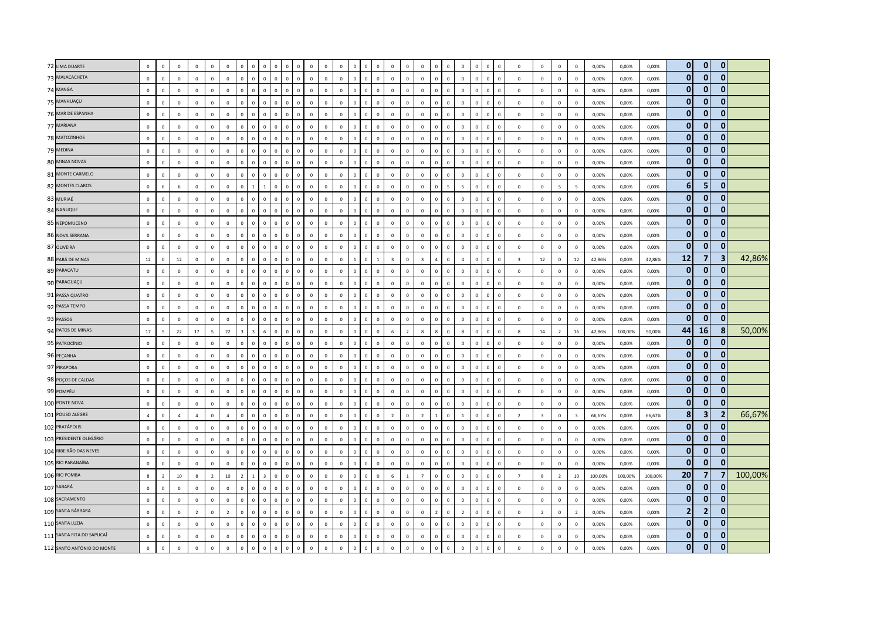| 72 LIMA DUARTE             | $\mathbf 0$    | $\,$ 0         | $\mathbf 0$    | $\mathbf 0$    | $\overline{0}$ | $\mathbf{0}$   |              | $\mathbf 0$             | $\overline{0}$                          |              | $\Omega$       | $\mathbf 0$ | $\mathbf 0$ | $\mathbf 0$  |              | $\Omega$       |              |                | $\mathbf 0$    | $\mathbf 0$             |              | $\overline{0}$ | $\Omega$       | $\mathbf 0$<br>$\overline{0}$          |                | $\mathbf 0$             | $\mathbf 0$    | $\mathbf 0$     | $\,$ 0         | 0,00%   | 0,00%   | 0,00%   | $\mathbf{0}$   | $\overline{0}$          | $\mathbf{0}$            |         |
|----------------------------|----------------|----------------|----------------|----------------|----------------|----------------|--------------|-------------------------|-----------------------------------------|--------------|----------------|-------------|-------------|--------------|--------------|----------------|--------------|----------------|----------------|-------------------------|--------------|----------------|----------------|----------------------------------------|----------------|-------------------------|----------------|-----------------|----------------|---------|---------|---------|----------------|-------------------------|-------------------------|---------|
| 73 MALACACHETA             | $\mathbf 0$    | $\mathsf 0$    | $\mathbb O$    | $\mathbb O$    | $\mathbf{0}$   | $\mathbf 0$    | $\circ$      | $\mathbf 0$             | $\mathbf 0$<br>$\mathbf 0$              | $\mathbf 0$  | $\mathbf 0$    | $\mathbf 0$ | $\mathbf 0$ | $\mathbf 0$  | $\mathbf 0$  | $\,0\,$        | $\mathbf 0$  | $\mathbb O$    | $\mathbf 0$    | $\mathbf 0$             | $\circ$      | $\mathbf 0$    | $\mathbb O$    | $\mathbf 0$<br>$\,$ 0                  | $\mathbf 0$    | $\mathbb O$             | $\mathbf 0$    | $\mathsf 0$     | $\mathbf 0$    | 0,00%   | 0,00%   | 0,00%   | $\mathbf{0}$   | $\mathbf{0}$            | $\mathbf{0}$            |         |
| 74 MANGA                   | $\Omega$       | $\mathbf 0$    | $\Omega$       | $\mathbb O$    | $\Omega$       | $\Omega$       | $\Omega$     | $\Omega$                | $\mathsf 0$<br>$\Omega$                 | $\Omega$     | $\mathbf 0$    | $\Omega$    | $\Omega$    | $\mathbb O$  | $\Omega$     | $\Omega$       | $\Omega$     | $\Omega$       | $\Omega$       | $\Omega$                | $\Omega$     | $\mathbb O$    | $\Omega$       | $\Omega$<br>$\Omega$                   | $\Omega$       | $\Omega$                | $\Omega$       | $\mathsf 0$     | $\Omega$       | 0,00%   | 0.00%   | 0.00%   | $\mathbf{0}$   | $\Omega$                | ŋ                       |         |
| 75 MANHUAÇU                | $\mathbf 0$    | $\mathsf 0$    | $\mathbf 0$    | $\mathbf 0$    | $\overline{0}$ | $\mathbf 0$    | $\Omega$     | $\mathbf 0$             | $\overline{\mathbf{0}}$<br>$\Omega$     | $\mathbf{0}$ | $\mathbf 0$    | $\mathbb O$ | $\mathbf 0$ | $\mathbb O$  | $\mathbf 0$  | $\mathbf 0$    | $\circ$      | $\circ$        | $\mathbf{0}$   | $\mathbf 0$             | $\Omega$     | $\mathbf 0$    | $\Omega$       | $\mathbf 0$<br>$\overline{\mathbf{0}}$ | $\Omega$       | $\mathbb O$             | $\mathbf 0$    | $\mathbf 0$     | $\overline{0}$ | 0,00%   | 0,00%   | 0,00%   | $\mathbf{0}$   | $\mathbf{0}$            | $\mathbf{0}$            |         |
| 76 MAR DE ESPANHA          | $\mathbf 0$    | $\mathsf 0$    | $\mathbb O$    | $\mathbb O$    | $\circ$        | $\mathsf 0$    | $\mathbf{0}$ | $\mathbf 0$             | $\,$ 0<br>$\mathbf 0$                   | $\mathbf 0$  | $\mathbf 0$    | $\mathbf 0$ | $\mathbf 0$ | $\mathbb O$  | $\mathbf 0$  | $\,0\,$        | $\mathbb O$  | $\mathbb O$    | $\mathbb O$    | $\mathbf 0$             | $\mathbf 0$  | $\mathbb O$    | $\mathbb O$    | $\mathbf 0$<br>$\,$ 0                  | $\mathbf 0$    | $\mathbf 0$             | $\mathbf 0$    | $\mathbf 0$     | $\mathbf 0$    | 0,00%   | 0,00%   | 0,00%   | $\mathbf{0}$   | $\mathbf{0}$            | 0                       |         |
| 77 MARIANA                 | $\mathbb O$    | $\,$ 0         | $\mathbf 0$    | $\mathbb O$    | $\mathbb O$    | $\mathbf 0$    |              | $\mathbf 0$             | $\overline{0}$                          | $\mathbf 0$  | $\overline{0}$ | $\mathbf 0$ | $\mathbf 0$ | $\mathbb O$  | $\mathbf 0$  | $\overline{0}$ | $\mathbb O$  | $\mathbb O$    | $\mathbf 0$    | $\mathbf 0$             |              | $\overline{0}$ | $\mathbb O$    | $\mathbf 0$<br>$\overline{0}$          | $\mathbf 0$    | $\mathbf 0$             | $\mathbf 0$    | $\mathsf 0$     | $\mathbf 0$    | 0,00%   | 0,00%   | 0,00%   | $\mathbf{0}$   | $\mathbf{0}$            | $\mathbf 0$             |         |
| 78 MATOZINHOS              | $\mathbf 0$    | $\overline{0}$ | $\Omega$       | $\Omega$       | $\overline{0}$ | $\mathbf{0}$   | $\Omega$     | $\mathbf{0}$            | $\overline{0}$<br>$\mathbf{0}$          | $\mathbf{0}$ | $\mathbf 0$    | $\Omega$    | $\Omega$    | $\mathbf 0$  | $\Omega$     | $\overline{0}$ | $\mathbf 0$  | $\Omega$       | $\mathbf{0}$   | $\mathbf{0}$            | $\Omega$     | $\overline{0}$ | $\mathbf 0$    | $\circ$<br>$\overline{0}$              | $\Omega$       | $\mathbf 0$             | $\Omega$       | $\mathbf{0}$    | $\Omega$       | 0.00%   | 0,00%   | 0,00%   | $\mathbf{0}$   | $\Omega$                | $\mathbf{0}$            |         |
| 79 MEDINA                  | $\mathbf 0$    | $\mathbf 0$    | $\mathbb O$    | $\mathbb O$    | $\mathbf{0}$   | $\mathbf 0$    | $\Omega$     | $\mathbf 0$             | $\,$ 0<br>$\mathbf{0}$                  | $\mathbf 0$  | $\mathbf 0$    | $\mathbf 0$ | $\mathbf 0$ | $\mathbb O$  | $\mathbf 0$  | $\,0\,$        | $\mathbb O$  | $\mathbb O$    | $\mathbf 0$    | $\mathbf 0$             | $\Omega$     | $\mathbb O$    | $\mathbb O$    | $\overline{\mathbf{0}}$<br>$\mathbf 0$ | $\Omega$       | $\mathbf 0$             | $\mathbf 0$    | $\mathbf 0$     | $\mathbf 0$    | 0,00%   | 0,00%   | 0,00%   | $\mathbf{0}$   | $\mathbf{0}$            | $\mathbf{0}$            |         |
| 80 MINAS NOVAS             | $\overline{0}$ | $\,$ 0         | $\circ$        | $\mathbb O$    | $\mathbb O$    | $\mathbf 0$    |              | $\mathbf 0$             | $\mathsf 0$                             | $\mathbf 0$  | $\overline{0}$ | $\mathbf 0$ | $\mathbf 0$ | $\mathbb O$  | $\mathbf 0$  | $\overline{0}$ | $\mathbb O$  | $\mathbb O$    | $\mathbf 0$    | $\mathbf 0$             |              | $\overline{0}$ | $\mathbb O$    | $\mathbf 0$<br>$\overline{0}$          | $\mathbf 0$    | $\mathbf 0$             | $\mathbf 0$    | $\mathsf 0$     | $\mathbf 0$    | 0,00%   | 0,00%   | 0,00%   | $\mathbf{0}$   | $\mathbf{0}$            | $\mathbf{0}$            |         |
| 81 MONTE CARMELO           | $\mathbf 0$    | $\mathbf 0$    | $\mathbb O$    | $\mathbf 0$    | $\overline{0}$ | $\mathbf{0}$   | $\Omega$     | $\mathbf 0$             | $\mathbf 0$<br>$\mathbf{0}$             | $\mathbf{0}$ | $\mathbf 0$    | $\mathbf 0$ | $\mathbf 0$ | $\mathbb O$  | $\mathbf 0$  | $\mathbf 0$    | $\circ$      | $\mathbf 0$    | $\mathbf{0}$   | $\mathbf 0$             | $\Omega$     | $\mathbb O$    | $\mathbf 0$    | $\mathbf 0$<br>$\overline{0}$          | $\Omega$       | $\mathbf 0$             | $\mathbf 0$    | $\mathsf 0$     | $\mathbf 0$    | 0,00%   | 0,00%   | 0,00%   | $\mathbf{0}$   | $\mathbf{0}$            | 0                       |         |
| 82 MONTES CLAROS           | $\mathbf{0}$   | $6\phantom{a}$ | 6              | $\Omega$       | $\Omega$       | $\Omega$       | $\Omega$     | $\mathbf{1}$            | $\Omega$                                | $\Omega$     | $\Omega$       | $\Omega$    | $\Omega$    | $\Omega$     | $\Omega$     | $\mathbf{0}$   | $\Omega$     | $\Omega$       | $\Omega$       | $\Omega$                |              | $\overline{5}$ | $\overline{5}$ | $\Omega$<br>$\Omega$                   | $\Omega$       | $\mathbf 0$             | $\Omega$       | $5\overline{5}$ | 5 <sub>5</sub> | 0,00%   | 0,00%   | 0,00%   | 6              | 5                       | 0                       |         |
| 83 MURIAÉ                  | $\mathbf 0$    | $\,$ 0         | $\mathbf{0}$   | $\mathbb O$    | $\mathbf 0$    | $\mathbf 0$    |              | $\mathbf 0$             | $\overline{0}$<br>$\Omega$              | $\Omega$     | $\Omega$       | $\pmb{0}$   | $\mathbf 0$ | $\mathbb O$  | $\Omega$     | $\Omega$       | $\mathbb O$  | $\mathbb O$    | $\mathbf 0$    | $\mathbb O$             | $\Omega$     | $\mathbf 0$    | $\mathbb O$    | $\mathbf 0$<br>$\overline{0}$          | $\Omega$       | $\mathbf 0$             | $\mathbb O$    | $\,0\,$         | $\overline{0}$ | 0,00%   | 0,00%   | 0,00%   | $\mathbf{0}$   | $\mathbf{0}$            | $\bf{0}$                |         |
| 84 NANUQUE                 | $\mathbf 0$    | $\mathsf 0$    | $\mathbf 0$    | $\mathbb O$    | $\mathbf{0}$   | $\mathbf{0}$   | $\Omega$     | $\mathbf 0$             | $\mathsf 0$<br>$\Omega$                 | $\mathbf 0$  | $\mathbf 0$    | $\mathbf 0$ | $\mathbf 0$ | $\mathbb O$  | $\Omega$     | $\mathbf 0$    | $\mathbf 0$  | $\mathbf 0$    | $\mathbf{0}$   | $\mathbf{0}$            | $\Omega$     | $\mathbf 0$    | $\mathbf 0$    | $\overline{\mathbf{0}}$<br>$\mathbf 0$ | $\Omega$       | $\mathbb O$             | $\mathbf 0$    | $\mathsf 0$     | $\Omega$       | 0,00%   | 0,00%   | 0,00%   | $\mathbf{0}$   | $\mathbf{0}$            | $\mathbf{0}$            |         |
| 85 NEPOMUCENO              | $\Omega$       | $\,$ 0         | $\mathbf 0$    | $\mathbf 0$    | $\mathbf 0$    | $\mathbf 0$    |              | $\mathbf 0$             | $\mathsf 0$<br>$\Omega$                 | $\mathbf{0}$ | $\mathbf{0}$   | $\mathbf 0$ | $\mathbf 0$ | $\mathbb O$  | $\mathbf 0$  | $\Omega$       | $\mathbf 0$  | $\mathbf 0$    | $\mathbf 0$    | $\mathbf 0$             |              | $\mathbf{0}$   | $\Omega$       | $\Omega$<br>$\overline{0}$             | $\Omega$       | $\mathbf{0}$            | $\circ$        | $\mathbf 0$     | $\mathbf 0$    | 0,00%   | 0,00%   | 0,00%   | $\mathbf{0}$   | $\mathbf{0}$            | $\mathbf{0}$            |         |
| 86 NOVA SERRANA            | $\Omega$       | $\mathsf 0$    | $\mathbb O$    | $\mathbb O$    | $\Omega$       | $\mathbf 0$    | $\Omega$     | $\mathbf{0}$            | $\,$ 0<br>$\mathbf{0}$                  | $\mathbf{0}$ | $\mathbf{0}$   | $\mathbb O$ | $\mathbf 0$ | $\mathbf 0$  | $\Omega$     | $\overline{0}$ | $\mathbf{0}$ | $\mathbf 0$    | $\mathbf{0}$   | $\mathbf 0$             | $\Omega$     | $\mathbf{0}$   | $\Omega$       | $\mathbf 0$<br>$\overline{\mathbf{0}}$ | $\Omega$       | $\mathbf 0$             | $\mathbf 0$    | $\mathsf 0$     | $\overline{0}$ | 0,00%   | 0,00%   | 0,00%   | $\mathbf{0}$   | $\mathbf{0}$            | $\mathbf{0}$            |         |
| 87 OLIVEIRA                | $\mathbf 0$    | $\mathbf 0$    | $\mathbb O$    | $\mathbb O$    | $\circ$        | $\mathbf 0$    | $\mathbf 0$  | $\mathbf 0$             | $\,$ 0<br>$\mathbf{0}$                  | $\mathbf 0$  | $\mathbf 0$    | $\mathbf 0$ | $\mathbf 0$ | $\mathbb O$  | $\mathbf 0$  | $\,$ 0         | $\mathbb O$  | $\mathbb O$    | $\mathbb O$    | $\mathbf 0$             | $\Omega$     | $\mathbf 0$    | $\mathbb O$    | $\,$ 0<br>$\mathbf 0$                  | $\overline{0}$ | $\mathbb O$             | $\mathbf 0$    | $\mathbf 0$     | $\mathbf 0$    | 0,00%   | 0,00%   | 0,00%   | $\mathbf{0}$   | $\mathbf{0}$            | $\Omega$                |         |
| 88 PARÁ DE MINAS           | 12             | $\,0\,$        | 12             | $\mathbf 0$    | $\mathbf 0$    | $\mathbf 0$    |              | $\mathbf 0$             | $\mathsf 0$                             | $\mathbf 0$  | $\mathbf 0$    | $\mathbf 0$ | $\mathbf 0$ | $\mathbb O$  |              | $\mathbf{0}$   |              | $\overline{3}$ | $\mathbf 0$    | $\overline{\mathbf{3}}$ |              | $\mathbb O$    | $\mathbf{A}$   | $\Omega$<br>$\overline{0}$             | $\Omega$       | $\overline{\mathbf{3}}$ | 12             | $\mathbf 0$     | 12             | 42,86%  | 0,00%   | 42,86%  | 12             | $\overline{7}$          | 3                       | 42,86%  |
| 89 PARACATU                | $\mathbf 0$    | $\mathsf 0$    | $\mathbb O$    | $\mathbb O$    | $\mathbf{0}$   | $\mathbf 0$    | $\Omega$     | $\mathbf 0$             | $\,$ 0<br>$\mathbf{0}$                  | $\mathbf 0$  | $\mathbf 0$    | $\mathbf 0$ | $\mathbf 0$ | $\mathbf 0$  | $\mathbf 0$  | $\,0\,$        | $\mathbf{0}$ | $\mathbb O$    | $\mathbb O$    | $\mathbf 0$             | $\Omega$     | $\mathbf 0$    | $\Omega$       | $\mathbf 0$<br>$\overline{\mathbf{0}}$ | $\Omega$       | $\mathbb O$             | $\mathbf 0$    | $\mathsf 0$     | $\mathbf 0$    | 0,00%   | 0,00%   | 0,00%   | $\mathbf{0}$   | $\overline{0}$          | $\mathbf{0}$            |         |
| 90 PARAGUAÇU               | $\mathbf 0$    | $\mathbf 0$    | $\mathbf{0}$   | $\mathbb O$    | $\overline{0}$ | $\mathbf{0}$   | $\Omega$     | $\mathbf 0$             | $\mathsf 0$<br>$\mathbf{0}$             | $\circ$      | $\Omega$       | $\mathbf 0$ | $\mathbf 0$ | $\mathbf 0$  | $\mathbf 0$  | $\mathsf 0$    | $\mathbf{0}$ | $\mathbf{0}$   | $\mathbf{0}$   | $\mathbf 0$             | $\Omega$     | $\mathbb O$    | $\mathbb O$    | $\mathbf 0$<br>$\overline{\mathbf{0}}$ | $\Omega$       | $\mathbf 0$             | $\mathbf{0}$   | $\mathbf 0$     | $\mathbf{0}$   | 0,00%   | 0,00%   | 0,00%   | $\mathbf{0}$   | $\mathbf{0}$            | $\bf{0}$                |         |
| 91 PASSA QUATRO            | $\overline{0}$ | $\,$ 0         | $\mathbf 0$    | $\mathbf 0$    | $\circ$        | $\mathbf 0$    | $\Omega$     | $\mathbf 0$             | $\,$ 0<br>$\Omega$                      | $\mathbf 0$  | $\mathbf 0$    | $\mathbf 0$ | $\mathbf 0$ | $\mathbb O$  | $\mathbf 0$  | $\mathsf 0$    | $\mathbb O$  | $\mathbf 0$    | $\mathbf 0$    | $\mathbb O$             | $\Omega$     | $\mathbb O$    | $\mathbf 0$    | $\mathbf 0$<br>$\overline{0}$          | $\mathbf 0$    | $\mathbf 0$             | $\mathbf 0$    | $\mathsf 0$     | $\mathbf{0}$   | 0,00%   | 0,00%   | 0,00%   | $\mathbf{0}$   | $\mathbf{0}$            | $\bf{0}$                |         |
| 92 PASSA TEMPO             | $\mathbb O$    | $\mathsf 0$    | $\mathbb O$    | $\mathbb O$    | $\circ$        | $\mathbf 0$    | $\mathbf 0$  | $\mathbf{0}$            | $\mathbf 0$<br>$\mathbf{0}$             | $\mathbf{0}$ | $\mathbf 0$    | $\mathbf 0$ | $\mathbf 0$ | $\mathbb O$  | $\mathbf 0$  | $\,0\,$        | $\mathbf 0$  | $\mathbb O$    | $\mathbb O$    | $\mathbf 0$             | $\mathbf 0$  | $\mathbf 0$    | $\mathbb O$    | $\mathbf 0$<br>$\,$ 0                  | $\mathbf 0$    | $\mathbf 0$             | $\mathbf 0$    | $\mathbf 0$     | $\mathbf 0$    | 0,00%   | 0,00%   | 0,00%   | $\mathbf{0}$   | $\mathbf{0}$            | 0                       |         |
| 93 PASSOS                  | $\mathbb O$    | $\mathsf 0$    | $\circ$        | $\mathbf 0$    | $\circ$        | $\mathbf 0$    |              | $\mathbf 0$             | $\mathsf 0$<br>$\Omega$                 | $\mathbf 0$  | $\Omega$       | $\mathbf 0$ | $\mathbf 0$ | $\mathbb O$  | $\mathbf 0$  | $\overline{0}$ | $\mathbb O$  | $\mathbb O$    | $\mathbf 0$    | $\mathbf 0$             |              | $\mathbb O$    | $\mathbb O$    | $\mathbf 0$<br>$\overline{0}$          | $\mathbf 0$    | $\mathbf 0$             | $\mathbf 0$    | $\mathbf 0$     | $\mathbf 0$    | 0,00%   | 0,00%   | 0,00%   | $\mathbf{0}$   | $\mathbf{0}$            | 0                       |         |
| 94 PATOS DE MINAS          | 17             | $\overline{5}$ | 22             | 17             | 5 <sup>5</sup> | 22             |              | $\overline{\mathbf{z}}$ | 6<br>$\Omega$                           | $\Omega$     | $\Omega$       | $\Omega$    | $\Omega$    | $\mathbf 0$  | $\Omega$     | $\Omega$       | $\Omega$     | 6              | $\overline{z}$ | $\mathbf{g}$            |              | $\mathbf 0$    | $\mathbf{R}$   | $\Omega$<br>$\Omega$                   | $\Omega$       | $\mathbf{g}$            | 14             | $\overline{z}$  | 16             | 42,86%  | 100,00% | 50,00%  | 44             | <b>16</b>               | -8                      | 50,00%  |
| 95 PATROCÍNIO              | $\mathbf 0$    | $\mathbf 0$    | $\mathbb O$    | $\mathbb O$    | $\mathbf{0}$   | $\mathbf 0$    | $\Omega$     | $\mathbf 0$             | $\,$ 0<br>$\mathbf{0}$                  | $\mathbf 0$  | $\mathbf 0$    | $\mathbb O$ | $\mathbf 0$ | $\mathbf 0$  | $\mathbf 0$  | $\,0\,$        | $\mathbf 0$  | $\mathbb O$    | $\mathbb O$    | $\mathbf{0}$            | $\Omega$     | $\mathbf 0$    | $\mathbb O$    | $\overline{\mathbf{0}}$<br>$\mathbf 0$ | $\mathbf 0$    | $\,0\,$                 | $\mathbf 0$    | $\mathbf 0$     | $\overline{0}$ | 0,00%   | 0,00%   | 0,00%   | $\mathbf{0}$   | $\mathbf{0}$            | $\bf{0}$                |         |
| 96 PEÇANHA                 | $\overline{0}$ | $\,$ 0         | $\circ$        | $\mathbb O$    | $\circ$        | $\mathbf 0$    |              | $\mathbf 0$             | $\,$ 0                                  | $\mathbf 0$  | $\mathbf 0$    | $\mathbf 0$ | $\mathbf 0$ | $\mathbb O$  | $\mathbf 0$  | $\overline{0}$ | $\mathbb O$  | $\mathbb O$    | $\mathbf 0$    | $\mathbf 0$             | $\Omega$     | $\overline{0}$ | $\mathbb O$    | $\mathbf 0$<br>$\overline{0}$          | $\mathbf 0$    | $\mathbf 0$             | $\mathbf 0$    | $\mathsf 0$     | $\mathbf 0$    | 0,00%   | 0,00%   | 0,00%   | $\mathbf{0}$   | $\overline{0}$          | $\mathbf{0}$            |         |
| 97 PIRAPORA                | $\mathbf{0}$   | $\mathbf{0}$   | $\mathbf 0$    | $\mathbf 0$    | $\overline{0}$ | $\mathbf{0}$   | $\Omega$     | $\mathbf{0}$            | $\overline{0}$<br>$\mathbf{0}$          | $\mathbf{0}$ | $\mathbf 0$    | $\mathbf 0$ | $\Omega$    | $\mathbf 0$  | $\mathbf{0}$ | $\overline{0}$ | $\circ$      | $\mathbf 0$    | $\mathbf{0}$   | $\mathbf{0}$            | $\mathbf{0}$ | $\mathbf{0}$   | $\mathbf 0$    | $\mathbf{0}$<br>$\overline{0}$         | $\overline{0}$ | $\mathbf{0}$            | $\mathbf{0}$   | $\mathbf{0}$    | $\Omega$       | 0.00%   | 0.00%   | 0.00%   | $\mathbf{0}$   | $\mathbf{0}$            | 0                       |         |
| 98 POÇOS DE CALDAS         | $\mathbf{0}$   | $\mathsf 0$    | $\Omega$       | $\mathbf 0$    | $\mathbf{0}$   | $\mathbf 0$    | $\Omega$     | $\mathbf 0$             | $\mathbf{0}$<br>$\Omega$                | $\mathbf 0$  | $\Omega$       | $\mathbf 0$ | $\Omega$    | $\Omega$     | $\mathbf 0$  | $\mathsf 0$    | $\mathbf 0$  | $\mathbf 0$    | $\mathbf 0$    | $\mathbf 0$             | $\Omega$     | $\mathbf 0$    | $\mathbf 0$    | $\mathbf 0$<br>$\overline{\mathbf{0}}$ | $\Omega$       | $\mathbf 0$             | $\circ$        | $\mathbf 0$     | $\mathbf 0$    | 0,00%   | 0,00%   | 0,00%   | $\mathbf{0}$   | $\mathbf{0}$            | 0                       |         |
| 99 POMPÉU                  | $\mathbf 0$    | $\,$ 0         | $\mathbf{0}$   | $\mathbb O$    | $\mathbf 0$    | $\mathbf 0$    |              | $\mathbf 0$             | $\mathsf 0$<br>$\Omega$                 | $\mathbf 0$  | $\mathbf{0}$   | $\pmb{0}$   | $\mathbf 0$ | $\mathbb O$  | $\mathbf 0$  | $\mathsf 0$    | $\mathbb O$  | $\mathbb O$    | $\mathbf 0$    | $\mathbf 0$             | $\Omega$     | $\mathbf 0$    | $\mathbb O$    | $\mathbf 0$<br>$\overline{0}$          | $\mathbf{0}$   | $\mathbb O$             | $\mathbf 0$    | $\,0\,$         | $\mathbf{0}$   | 0,00%   | 0,00%   | 0,00%   | $\mathbf{0}$   | $\mathbf{0}$            | $\bf{0}$                |         |
| 100 PONTE NOVA             | $\mathbb O$    | $\,0\,$        | $\mathbb O$    | $\mathbb O$    | $\circ$        | $\mathbf 0$    | $\mathbf{0}$ | $\mathbf 0$             | $\mathsf 0$<br>$\mathbf{0}$             | $\mathbf 0$  | $\mathbb O$    | $\mathbf 0$ | $\mathbf 0$ | $\mathbb O$  | $\mathbf 0$  | $\,0\,$        | $\mathbf{0}$ | $\mathbb O$    | $\mathbf 0$    | $\mathbf 0$             | $\circ$      | $\mathbb O$    | $\mathbb O$    | $\mathbf 0$<br>$\,$ 0                  | $\mathbf 0$    | $\mathbb O$             | $\mathbb O$    | $\mathsf 0$     | $\overline{0}$ | 0,00%   | 0,00%   | 0,00%   | $\mathbf{0}$   | $\mathbf{0}$            | $\Omega$                |         |
| 101 POUSO ALEGRE           | $\overline{4}$ | $\overline{0}$ | $\overline{a}$ | $\overline{4}$ | $\Omega$       | $\overline{a}$ | $\Omega$     | $\Omega$                | $\mathbf{0}$<br>$\Omega$                | $\Omega$     | $\mathbf 0$    | $\Omega$    | $\Omega$    | $\Omega$     | $\Omega$     | $\mathbf{0}$   | $\Omega$     | $\overline{z}$ | $\Omega$       | $\overline{z}$          |              | $\Omega$       | $\overline{1}$ | $\Omega$<br>$\Omega$                   | $\Omega$       | $\overline{z}$          | $\overline{3}$ | $\mathbf{0}$    | $\overline{3}$ | 66,67%  | 0,00%   | 66,67%  | 8 <sup>1</sup> | $\overline{\mathbf{3}}$ | $\overline{\mathbf{2}}$ | 66,67%  |
| 102 PRATÁPOLIS             | $\Omega$       | $\,$ 0         | $\mathbb O$    | $\mathbb O$    | $\mathbf 0$    | $\mathbf 0$    | $\Omega$     | $\mathbf 0$             | $\,$ 0<br>$\Omega$                      | $\mathbf{0}$ | $\Omega$       | $\mathbf 0$ | $\mathbf 0$ | $\mathbb O$  | $\Omega$     | $\Omega$       | $\mathbb O$  | $\mathbb O$    | $\mathbf 0$    | $\mathbf 0$             | $\Omega$     | $\mathbb O$    | $\mathbb O$    | $\mathbf 0$<br>$\overline{0}$          | $\Omega$       | $\mathbf 0$             | $\mathbf 0$    | $\,0\,$         | $\overline{0}$ | 0,00%   | 0,00%   | 0,00%   | $\mathbf{0}$   | $\mathbf{0}$            | $\mathbf{0}$            |         |
| 103 PRESIDENTE OLEGÁRIO    | $\mathbf 0$    | $\mathbf 0$    | $\mathbb O$    | $\mathbb O$    | $\mathbf 0$    | $\mathsf 0$    | $\mathbf 0$  | $\mathbf 0$             | $\,$ 0<br>$\mathbf{0}$                  | $\mathbf 0$  | $\mathbf 0$    | $\mathbf 0$ | $\mathbf 0$ | $\mathbb O$  | $\mathbf 0$  | $\,$ 0         | $\mathbb O$  | $\mathbb O$    | $\mathbb O$    | $\mathbf 0$             | $\Omega$     | $\,0\,$        | $\mathbb O$    | $\,$ 0<br>$\mathbf 0$                  | $\mathbf 0$    | $\mathbf 0$             | $\mathbf 0$    | $\mathbf 0$     | $\mathbf{0}$   | 0,00%   | 0,00%   | 0,00%   | $\mathbf{0}$   | $\mathbf{0}$            | 0                       |         |
| 104 RIBEIRÃO DAS NEVES     | $\Omega$       | $\,0\,$        | $\mathbf 0$    | $\mathbb O$    | $\mathbb O$    | $\mathbf 0$    |              | $\mathbf 0$             | $\Omega$                                | $\Omega$     | $\Omega$       | $\mathbf 0$ | $\mathbf 0$ | $\mathbb O$  | $\Omega$     | $\Omega$       | $\mathbf 0$  | $\mathbb O$    | $\mathbf 0$    | $\mathbf 0$             |              | $\Omega$       | $\Omega$       | $\Omega$<br>$\overline{0}$             | $\Omega$       | $\mathbf 0$             | $\circ$        | $\mathsf 0$     | $\mathbf 0$    | 0,00%   | 0,00%   | 0,00%   | $\mathbf{0}$   | $\mathbf{0}$            | 0                       |         |
| 105 RIO PARANAÍBA          | $\Omega$       | $\overline{0}$ | $\Omega$       | $\Omega$       | $\Omega$       | $\Omega$       | $\Omega$     | $\mathbf{0}$            | $\overline{0}$<br>$\Omega$              | $\Omega$     | $\mathbf{0}$   | $\Omega$    | $\Omega$    | $\mathbf{0}$ | $\Omega$     | $\overline{0}$ | $\Omega$     | $\Omega$       | $\Omega$       | $\mathbf{0}$            | $\Omega$     | $\mathbf{0}$   | $\Omega$       | $\mathbf{0}$<br>$\overline{0}$         | $\Omega$       | $\mathbf{0}$            | $\Omega$       | $\Omega$        | $\Omega$       | 0,00%   | 0,00%   | 0,00%   | $\mathbf{0}$   | $\bullet$               | n                       |         |
| 106 RIO POMBA              | 8              | $\overline{2}$ | 10             | 8              | 2              | 10             | 2            | $\mathbf{1}$            | $\overline{\mathbf{3}}$<br>$\mathbf{0}$ | $\mathbf{0}$ | $\Omega$       | $\mathbf 0$ | $\mathbf 0$ | $\mathbf 0$  | $\mathbf 0$  | $\mathsf 0$    | $\mathbf{0}$ | 6              | <sup>1</sup>   | $\overline{7}$          | $\Omega$     | $\mathbb O$    | $\mathbb O$    | $\mathbf 0$<br>$\overline{0}$          | $\Omega$       | $\overline{7}$          | 8              | $\overline{2}$  | 10             | 100,00% | 100,00% | 100,00% | 20             | $\overline{7}$          |                         | 100,00% |
| 107 SABARÁ                 | $\overline{0}$ | $\,$ 0         | $\mathbf 0$    | $\mathbf 0$    | $\mathbf{0}$   | $\mathbf 0$    | $\Omega$     | $\mathbf 0$             | $\,$ 0<br>$\Omega$                      | $\mathbf 0$  | $\mathbf 0$    | $\mathbf 0$ | $\mathbf 0$ | $\mathbb O$  | $\mathbf 0$  | $\mathbf{0}$   | $\mathbb O$  | $\circ$        | $\mathbf 0$    | $\mathbf 0$             | $\Omega$     | $\mathbf{0}$   | $\Omega$       | $\Omega$<br>$\overline{0}$             | $\Omega$       | $\mathbf 0$             | $\circ$        | $\mathsf 0$     | $\mathbf 0$    | 0,00%   | 0,00%   | 0,00%   | $\mathbf{0}$   | $\mathbf{0}$            | $\Omega$                |         |
| 108 SACRAMENTO             | $\mathbf{0}$   | $\mathsf 0$    | $\mathbb O$    | $\mathbb O$    | $\mathbf{0}$   | $\mathsf 0$    | $\Omega$     | $\mathbf{0}$            | $\mathbf 0$<br>$\mathbf{0}$             | $\mathbf{0}$ | $\mathbf 0$    | $\mathbb O$ | $\mathbf 0$ | $\mathbb O$  | $\mathbf 0$  | $\,0\,$        | $\mathbf 0$  | $\mathbb O$    | $\mathbb O$    | $\mathbf 0$             | $\Omega$     | $\mathbb O$    | $\mathbf{0}$   | $\mathbf 0$<br>$\,$ 0                  | $\mathbf{0}$   | $\mathbf 0$             | $\circ$        | $\mathsf 0$     | $\mathbf 0$    | 0,00%   | 0,00%   | 0,00%   | $\mathbf{0}$   | $\mathbf{0}$            | $\mathbf{0}$            |         |
| 109 SANTA BÁRBARA          | $\mathbf{0}$   | $\mathsf 0$    | $\circ$        | $\overline{z}$ | $\Omega$       | $\overline{2}$ |              | $\mathbf 0$             | $\mathbf{0}$<br>$\Omega$                | $\Omega$     | $\mathbf{0}$   | $\Omega$    | $\Omega$    | $\Omega$     | $\Omega$     | $\mathbf{0}$   | $\Omega$     | $\Omega$       | $\mathbf 0$    | $\mathbf 0$             |              | $\Omega$       | $\overline{z}$ | $\mathbf 0$<br>$\Omega$                | $\Omega$       | $\mathbf 0$             | $\overline{2}$ | $\mathbf 0$     | $\overline{2}$ | 0,00%   | 0,00%   | 0,00%   | $\overline{2}$ | $\overline{2}$          | 0                       |         |
| 110 SANTA LUZIA            | $\mathbf{0}$   | $\mathbf{0}$   | $\mathbf{0}$   | $\mathbb O$    | $\Omega$       | $\mathbf{0}$   | $\Omega$     | $\mathbf{0}$            | $\mathbf{0}$<br>$\Omega$                | $\Omega$     | $\Omega$       | $\mathbf 0$ | $\Omega$    | $\mathbf 0$  | $\Omega$     | $\overline{0}$ | $\mathbf 0$  | $\Omega$       | $\Omega$       | $\mathbf{0}$            | $\Omega$     | $\overline{0}$ | $\mathbf 0$    | $\mathbf{0}$<br>$\Omega$               | $\Omega$       | $\mathbf 0$             | $\Omega$       | $\,0\,$         | $\mathbf{0}$   | 0,00%   | 0,00%   | 0,00%   | $\mathbf{0}$   | $\Omega$                | 0                       |         |
| 111 SANTA RITA DO SAPUCAÍ  | $\mathbf 0$    | $\mathsf 0$    | $\mathbf 0$    | $\mathbf 0$    | $\mathbf{0}$   | $\mathbf 0$    | $\Omega$     | $\mathbf 0$             | $\mathbf 0$<br>$\mathbf{0}$             | $\mathbf 0$  | $\mathbf 0$    | $\mathbf 0$ | $\mathbf 0$ | $\mathbb O$  | $\mathbf 0$  | $\mathbf 0$    | $\mathbf{0}$ | $\mathbf 0$    | $\mathbf 0$    | $\mathbf 0$             | $\Omega$     | $\mathbb O$    | $\mathbb O$    | $\mathbf 0$<br>$\overline{\mathbf{0}}$ | $\mathbf{0}$   | $\mathbf 0$             | $\mathbf 0$    | $\mathsf 0$     | $\mathbf 0$    | 0,00%   | 0,00%   | 0,00%   | $\mathbf{0}$   | $\mathbf{0}$            | $\mathbf{0}$            |         |
| 112 SANTO ANTÔNIO DO MONTE | $\mathbb O$    | $\,$ 0         | $\mathbb O$    | $\mathbf 0$    | $\Omega$       | $\mathbf 0$    |              | $\mathbf 0$             | $\Omega$                                | $\Omega$     |                | $\Omega$    | $\mathbf 0$ | $\mathbf 0$  | 0            |                |              |                | $\Omega$       | $\mathbf 0$             |              |                |                |                                        |                | $\mathbf 0$             | $\mathbf 0$    | $\mathbf 0$     | $\mathbf 0$    | 0,00%   | 0,00%   | 0,00%   | $\mathbf{0}$   | $\mathbf 0$             | $\mathbf{0}$            |         |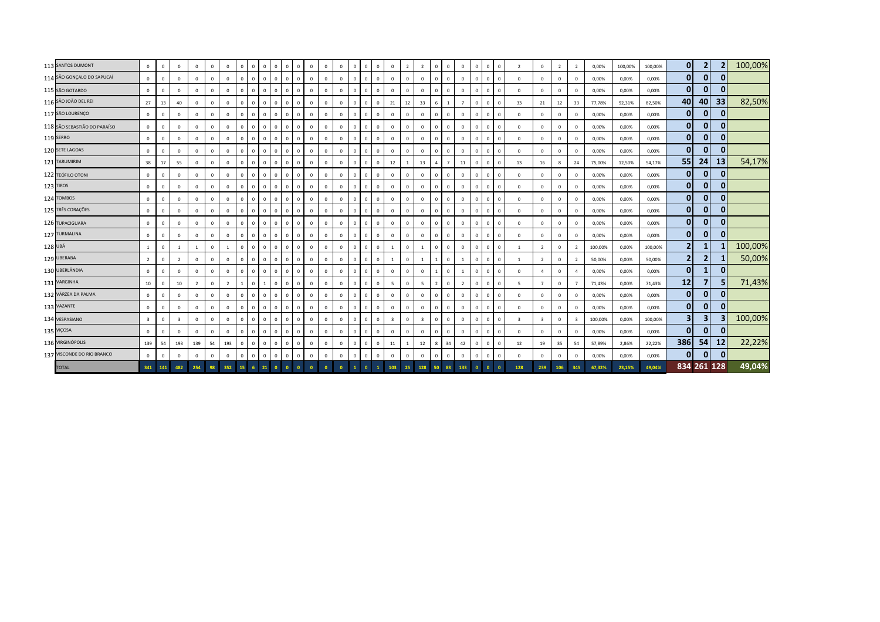|         | 113 SANTOS DUMONT            | $\mathbf{0}$            | $\mathbf 0$  | $\mathbf{0}$   | $\Omega$       | $\mathbf 0$    | $^{\circ}$     | $\circ$        | $\overline{0}$ | $\circ$      | $\mathbf{0}$<br>$\mathbf{0}$ | $\mathbf{0}$ | $\mathbf{0}$ | $\mathbf{0}$ | $\overline{0}$          | $\Omega$    | $\Omega$     | $\overline{0}$ | $\mathbf{0}$            | $\overline{z}$ | $\overline{2}$          | $\Omega$       | $\overline{0}$ | $\mathbf{0}$   | $\Omega$       | $\circ$      | $\mathbf{0}$ | $\overline{\phantom{a}}$ | $^{\circ}$              | $\overline{2}$ | $\overline{2}$          | 0,00%   | 100,00% | 100,00% | $\mathbf{0}$   | $\overline{2}$          |              | 100,00% |
|---------|------------------------------|-------------------------|--------------|----------------|----------------|----------------|----------------|----------------|----------------|--------------|------------------------------|--------------|--------------|--------------|-------------------------|-------------|--------------|----------------|-------------------------|----------------|-------------------------|----------------|----------------|----------------|----------------|--------------|--------------|--------------------------|-------------------------|----------------|-------------------------|---------|---------|---------|----------------|-------------------------|--------------|---------|
|         | 114 SÃO GONÇALO DO SAPUCAÍ   | $\Omega$                | $\mathbf 0$  | $\mathbf{0}$   |                | $\overline{0}$ | $\mathbf{0}$   | $\mathbf{0}$   | $\mathbf{0}$   |              | $\mathbf 0$<br>$\mathbf{0}$  | $\Omega$     | $\mathbf{0}$ | $\mathbf{0}$ | $\overline{0}$          | $\Omega$    | $\Omega$     | $\mathbf{0}$   | $\mathbf{0}$            | $\mathbf 0$    | $\mathbf{0}$            |                | $\overline{0}$ | $\mathbf{0}$   | $\overline{0}$ | $\mathbf{0}$ | $\mathbf 0$  | $\Omega$                 | $\mathbf{0}$            | $\mathbf{0}$   | $^{\circ}$              | 0,00%   | 0,00%   | 0,00%   | $\mathbf{0}$   | $\mathbf{0}$            | 0            |         |
|         | 115 SÃO GOTARDO              | $\Omega$                | $\mathbf 0$  | $\mathbf 0$    |                | $\overline{0}$ | $^{\circ}$     | $\mathbf{0}$   | $\overline{0}$ |              | $\mathbf{0}$<br>$\mathbf 0$  | $\mathbf{0}$ | $\mathbf{0}$ | $\mathbf 0$  | $\overline{0}$          | $\Omega$    | $\mathbf{0}$ | $\overline{0}$ | $\mathbf 0$             | $\mathbf 0$    | $\mathbf 0$             | $\Omega$       | $\overline{0}$ | $\mathbf 0$    | $\mathbf{0}$   | $^{\circ}$   | $\Omega$     | $\mathbf 0$              | $\mathbf{0}$            | $\mathbf{0}$   | $\Omega$                | 0,00%   | 0,00%   | 0,00%   | $\overline{0}$ | $\mathbf{0}$            | $\mathbf{0}$ |         |
|         | 116 SÃO JOÃO DEL REI         | 27                      | 13           | 40             | $\Omega$       | $\overline{0}$ | $\mathbf{0}$   | $\mathbf{0}$   | $\overline{0}$ | $^{\circ}$   | $\mathbf{0}$<br>$\mathbf 0$  | $^{\circ}$   | $\mathbf 0$  | $\mathbf 0$  | $\overline{0}$          | $\Omega$    | $\mathbf{0}$ | $\circ$        | 21                      | 12             | 33                      | 6              | $\overline{1}$ | $\overline{7}$ | $\mathbf{0}$   | $^{\circ}$   | $^{\circ}$   | 33                       | 21                      | 12             | 33                      | 77,78%  | 92,31%  | 82,50%  | 40             | 40                      | 33           | 82,50%  |
|         | 117 SÃO LOURENÇO             | $\mathbf{0}$            | $\mathsf 0$  | $\Omega$       | $\Omega$       | $\overline{0}$ | $^{\circ}$     | $\mathbf{0}$   | $\overline{0}$ | $\Omega$     | $\mathbf{0}$<br>$\mathbf 0$  | $^{\circ}$   | $\mathbf 0$  | $\mathbf 0$  | $\overline{0}$          | $\Omega$    | $\mathbf{0}$ | $\mathbf{0}$   | $\mathbf{0}$            | $\Omega$       | $\mathbf{0}$            | $\Omega$       | $\Omega$       | $\mathbf{0}$   | $\Omega$       | $^{\circ}$   | $\Omega$     | $\Omega$                 | $\mathbf{0}$            | $\Omega$       | $\Omega$                | 0,00%   | 0,00%   | 0,00%   | 0              | $\mathbf{0}$            | 0            |         |
|         | 118 SÃO SEBASTIÃO DO PARAÍSO | $\mathbf{0}$            | $\mathbf{0}$ | $\mathbf{0}$   | $\Omega$       | $\overline{0}$ | $^{\circ}$     | $\mathbf{0}$   | $\overline{0}$ |              | $\mathbf{0}$<br>$\mathbf{0}$ | $^{\circ}$   | $\mathbf{0}$ | $\mathbf{0}$ | $\overline{0}$          | $\Omega$    | $\Omega$     | $\overline{0}$ | $\mathbf 0$             | $\Omega$       | $\mathbf{0}$            | $\Omega$       | $\overline{0}$ | $\overline{0}$ | $\Omega$       | $\Omega$     | $^{\circ}$   | $\mathbf 0$              | $\mathbf{0}$            | $\mathbf{0}$   | $^{\circ}$              | 0,00%   | 0,00%   | 0,00%   | $\overline{0}$ | $\mathbf{0}$            | 0            |         |
|         | 119 SERRO                    | $\mathbf{0}$            | $\mathbf{0}$ | $\mathbf{0}$   | $\Omega$       | $\overline{0}$ | $^{\circ}$     | $\mathbf{0}$   | $\mathbf{0}$   | $^{\circ}$   | $\mathbf{0}$<br>$\mathbf{0}$ | $^{\circ}$   | $\mathbf{0}$ | $\mathbf{0}$ | $\overline{0}$          | $\Omega$    | $\Omega$     | $\mathbf{0}$   | $\mathbf 0$             | $\Omega$       | $\mathbf 0$             | $\Omega$       | $\Omega$       | $\mathbf 0$    | $\Omega$       | $^{\circ}$   | $\Omega$     | $^{\circ}$               | $^{\circ}$              | $\mathbf{0}$   | $\Omega$                | 0,00%   | 0,00%   | 0,00%   | 0              | $\mathbf{0}$            | 0            |         |
|         | 120 SETE LAGOAS              | $\mathbf{0}$            | $\mathbf{0}$ | $\mathbf{0}$   | $\Omega$       | $\overline{0}$ | $\mathbf{0}$   | $\mathbf{0}$   | $\overline{0}$ | $^{\circ}$   | $\mathbf{0}$<br>$\mathbf{0}$ | $^{\circ}$   | $\mathbf{0}$ | $\mathbf{0}$ | $\overline{0}$          | $\Omega$    | $\mathbf{0}$ | $\overline{0}$ | $\mathbf 0$             | $\Omega$       | $\mathbf{0}$            | $\Omega$       | $\overline{0}$ | $\mathbf 0$    | $\mathbf 0$    | $^{\circ}$   | $\circ$      | $\Omega$                 | $\mathbf{0}$            | $\mathbf{0}$   | $\mathbf{0}$            | 0,00%   | 0,00%   | 0,00%   | $\overline{0}$ | $\mathbf{0}$            | 0            |         |
|         | 121 TARUMIRIM                | 38                      | $17\,$       | 55             | $\mathbf 0$    | $\overline{0}$ | $^{\circ}$     | $\mathbf{0}$   | $\overline{0}$ |              | $\mathbf 0$<br>$\mathbf{0}$  | $\mathbf{0}$ | $\mathbf 0$  | $\mathbf 0$  | $\overline{0}$          | $\mathbf 0$ | $\mathbf{0}$ | $\overline{0}$ | 12                      | 1              | 13                      | 4              |                | 11             | $\mathbf{0}$   | $^{\circ}$   | $^{\circ}$   | 13                       | 16                      | 8              | 24                      | 75,00%  | 12,50%  | 54,17%  | 55             | 24                      | 13           | 54,17%  |
|         | 122 TEÓFILO OTONI            | $\Omega$                | $\mathbf{0}$ | $\mathbf{0}$   | $\Omega$       | $\overline{0}$ | $^{\circ}$     | $\mathbf{0}$   | $\overline{0}$ | $\Omega$     | $\mathbf{0}$<br>$\mathbf{0}$ | $\Omega$     | $\mathbf{0}$ | $\mathbf 0$  | $\overline{0}$          | $\Omega$    | $\Omega$     | $\overline{0}$ | $\mathbf{0}$            | $\Omega$       | $\mathbf{0}$            | $\Omega$       | $\overline{0}$ | $\Omega$       | $\Omega$       | $^{\circ}$   | $\Omega$     | $\Omega$                 | $\mathbf{0}$            | $\Omega$       | $\Omega$                | 0,00%   | 0,00%   | 0,00%   | 0              | $\mathbf{0}$            | 0            |         |
|         | 123 TIROS                    | $\mathbf{0}$            | $\mathbf{0}$ | $\mathbf{0}$   | $\mathbf{0}$   | $\overline{0}$ | $\mathbf{0}$   | $\mathbf{0}$   | $\overline{0}$ | $^{\circ}$   | $\mathbf{0}$<br>$\mathbf{0}$ | $^{\circ}$   | $\mathbf{0}$ | $\mathbf 0$  | $\overline{0}$          | $\Omega$    | $\mathbf{0}$ | $\overline{0}$ | $\overline{0}$          | $\mathbf 0$    | $\mathbf{0}$            | $\Omega$       | $\overline{0}$ | $\mathbf{0}$   | $\mathbf{0}$   | $\circ$      | $\Omega$     | $\mathbf{0}$             | $\mathbf{0}$            | $\mathbf{0}$   | $\mathbf{0}$            | 0,00%   | 0,00%   | 0,00%   | 0              | $\mathbf{0}$            | 0            |         |
|         | 124 TOMBOS                   | $\Omega$                | $\mathbf{0}$ | $\mathbf 0$    | $\Omega$       | $\mathbf{0}$   | $\Omega$       | $\mathbf{0}$   | $\overline{0}$ | $^{\circ}$   | $\mathbf{0}$<br>$\mathbf{0}$ | $^{\circ}$   | $\mathbf{0}$ | $\mathbf{0}$ | $\overline{0}$          | $\Omega$    | $\mathbf{0}$ | $\mathbf{0}$   | $\mathbf 0$             | $\Omega$       | $\mathbf{0}$            |                | $\Omega$       | $\mathbf{0}$   | $\Omega$       | $^{\circ}$   | $\Omega$     | $\Omega$                 | $\mathbf{0}$            | $\mathbf{0}$   | $^{\circ}$              | 0,00%   | 0,00%   | 0,00%   | 0              | $\mathbf{0}$            | 0            |         |
|         | 125 TRÊS CORAÇÕES            | $\Omega$                | $\mathsf 0$  | $\mathbf 0$    | $\Omega$       | $\overline{0}$ | $\mathbf 0$    | $\mathbf{0}$   | $\overline{0}$ |              | $\mathbf 0$<br>$\mathbf{0}$  | $\Omega$     | $\mathbf{0}$ | $\mathbf{0}$ | $\overline{\mathbf{0}}$ | $\Omega$    | $\Omega$     | $\mathbf{0}$   | $\mathbf 0$             | $\Omega$       | $\mathbf 0$             | $\Omega$       | $\overline{0}$ | $\overline{0}$ | $\Omega$       | $\Omega$     | $\Omega$     | $\Omega$                 | $\mathbf 0$             | $\mathbf{0}$   | $^{\circ}$              | 0,00%   | 0,00%   | 0,00%   | $\overline{0}$ | $\mathbf{0}$            | 0            |         |
|         | 126 TUPACIGUARA              | $\mathbf 0$             | $\mathbf 0$  | $\mathbf 0$    | $\Omega$       | $\overline{0}$ | $^{\circ}$     | $\mathbf{0}$   | $\mathbf 0$    | $^{\circ}$   | $\mathbf{0}$<br>$\mathbf 0$  | $^{\circ}$   | $\mathbf 0$  | $\mathbf 0$  | $\overline{\mathbf{0}}$ |             | $\mathbf{0}$ | $\mathbf{0}$   | $\mathbf 0$             | $^{\circ}$     | $\mathbf 0$             |                | $\Omega$       | $\mathbf 0$    | $\Omega$       | $^{\circ}$   | $\Omega$     | $^{\circ}$               | $\mathbf 0$             | $\mathbf{0}$   | $\mathbf 0$             | 0,00%   | 0,00%   | 0,00%   | 0              | $\mathbf{0}$            | $\mathbf{0}$ |         |
|         | 127 TURMALINA                | $\mathbf{0}$            | $\mathbf{0}$ | $\Omega$       | $\Omega$       | $\overline{0}$ | $\mathbf{0}$   | $\mathbf{0}$   | $\overline{0}$ | $^{\circ}$   | $\mathbf{0}$<br>$\mathbf{0}$ | $^{\circ}$   | $\mathbf{0}$ | $\mathbf 0$  | $\overline{0}$          | $\Omega$    | $\mathbf{0}$ | $\overline{0}$ | $\mathbf 0$             | $\Omega$       | $\mathbf{0}$            | $\Omega$       | $\Omega$       | $\mathbf{0}$   | $\Omega$       | $^{\circ}$   | $^{\circ}$   | $\Omega$                 | $\mathbf{0}$            | $\mathbf{0}$   | $\mathbf{0}$            | 0,00%   | 0,00%   | 0,00%   | $\overline{0}$ | $\mathbf{0}$            | $\Omega$     |         |
| 128 UBÁ |                              |                         | $\mathbf{0}$ |                |                | $\overline{0}$ |                | $\mathbf{0}$   | $\overline{0}$ |              | $\mathbf 0$<br>$\mathbf{0}$  | $\Omega$     | $\mathbf{0}$ | $\mathbf{0}$ | $\overline{0}$          |             | $\Omega$     | $\overline{0}$ |                         | $\mathbf 0$    |                         |                | $\Omega$       | $\mathbf 0$    |                | $^{\circ}$   | $\mathbf{0}$ |                          | $\overline{2}$          | $\mathbf{0}$   | $\overline{2}$          | 100,00% | 0,00%   | 100,00% | $\overline{2}$ |                         |              | 100,00% |
|         | 129 UBERABA                  | $\overline{2}$          | $\mathsf 0$  | $\overline{2}$ | $\Omega$       | $\overline{0}$ | $\mathbf 0$    | $\mathbf{0}$   | $\overline{0}$ |              | $\mathbf{0}$<br>$\mathbf 0$  | $\Omega$     | $\mathbf 0$  | $\mathbf 0$  | $\overline{0}$          | $\Omega$    | $\Omega$     | $\mathbf 0$    | $\overline{1}$          | $\Omega$       | $\overline{1}$          |                | $\Omega$       |                | $\mathbf{0}$   | $^{\circ}$   | $\Omega$     | $\overline{1}$           | $\overline{2}$          | $\Omega$       | $\overline{2}$          | 50,00%  | 0,00%   | 50,00%  | $\overline{2}$ | $\overline{2}$          |              | 50,00%  |
|         | 130 UBERLÂNDIA               | $\mathbf{0}$            | $\mathsf 0$  | $\mathbf{0}$   | $\Omega$       | $\overline{0}$ | $\mathbf 0$    | $\mathbf 0$    | $\overline{0}$ | $^{\circ}$   | $\mathbf 0$<br>$\mathbf{0}$  | $^{\circ}$   | $\mathbf{0}$ | $\mathbf 0$  | $\overline{0}$          | $\Omega$    | $\mathbf{0}$ | $\mathbf 0$    | $\mathbf 0$             | $\Omega$       | $\mathbf 0$             |                | $\Omega$       | $\overline{1}$ | $\mathbf{0}$   | $^{\circ}$   | $\Omega$     | $\Omega$                 | $\overline{4}$          | $\mathbf{0}$   | $\overline{a}$          | 0,00%   | 0,00%   | 0,00%   | $\mathbf{0}$   | $\mathbf{1}$            | 0            |         |
|         | 131 VARGINHA                 | 10                      | $\mathbf 0$  | 10             | $\overline{2}$ | $\mathbf{0}$   | $\overline{2}$ | $\overline{1}$ | $\mathbf 0$    |              | $\circ$<br>$\mathbf{0}$      | $^{\circ}$   | $\mathbf{0}$ | $\mathbf 0$  | $\mathbf{0}$            | $\Omega$    | $\Omega$     | $\mathbf{0}$   | 5                       | $\Omega$       | $5^{\circ}$             | $\overline{z}$ | $\Omega$       | $\overline{2}$ | $\Omega$       | $\Omega$     | $\Omega$     | 5                        | $\overline{7}$          | $\mathbf{0}$   | $\overline{7}$          | 71,43%  | 0,00%   | 71,43%  | 12             |                         |              | 71,43%  |
|         | 132 VÁRZEA DA PALMA          | $\mathbf{0}$            | $\mathbf{0}$ | $\mathbf{0}$   | $\Omega$       | $\overline{0}$ | $\mathbf{0}$   | $\mathbf{0}$   | $\overline{0}$ |              | $\mathbf{0}$<br>$\mathbf{0}$ | $\mathbf{0}$ | $\mathbf{0}$ | $\mathbf{0}$ | $\overline{0}$          | $\Omega$    | $\Omega$     | $\overline{0}$ | $\mathbf 0$             | $\Omega$       | $\mathbf{0}$            | $\Omega$       | $\Omega$       | $\mathbf{0}$   | $\Omega$       | $\Omega$     | $\Omega$     | $\Omega$                 | $\mathbf{0}$            | $\mathbf{0}$   | $\mathbf{0}$            | 0,00%   | 0,00%   | 0,00%   | $\overline{0}$ | $\mathbf{0}$            | $\bf{0}$     |         |
|         | 133 VAZANTE                  | $\Omega$                | $\mathsf 0$  | $\mathbf{0}$   | $\Omega$       | $\overline{0}$ | $\Omega$       | $\mathbf 0$    | $\mathbf{0}$   | $^{\circ}$   | $\mathbf 0$<br>$\mathbf{0}$  | $^{\circ}$   | $\mathbf{0}$ | $\mathbf{0}$ | $\overline{0}$          | $\Omega$    | $\mathbf{0}$ | $\mathbf{0}$   | $\mathbf 0$             | $\Omega$       | $\mathbf 0$             | $\Omega$       | $\Omega$       | $\Omega$       | $\Omega$       | $^{\circ}$   | $\Omega$     | $\Omega$                 | $^{\circ}$              | $\Omega$       | $\Omega$                | 0,00%   | 0,00%   | 0,00%   | 0              | $\mathbf{0}$            | $\Omega$     |         |
|         | 134 VESPASIANO               | $\overline{\mathbf{3}}$ | $\mathsf 0$  | $\overline{3}$ | $\Omega$       | $\overline{0}$ | $^{\circ}$     | $\mathbf{0}$   | $\overline{0}$ | $^{\circ}$   | $\mathbf 0$<br>$\mathbf{0}$  | $\Omega$     | $\mathbf 0$  | $\mathbf 0$  | $\overline{0}$          | $\Omega$    | $^{\circ}$   | $\overline{0}$ | $\overline{\mathbf{3}}$ | $\Omega$       | $\overline{\mathbf{3}}$ | $\Omega$       | $\Omega$       | $\mathbf{0}$   | $\Omega$       | $^{\circ}$   | $\Omega$     | $\overline{3}$           | $\overline{\mathbf{3}}$ | $\Omega$       | $\overline{\mathbf{3}}$ | 100,00% | 0,00%   | 100,00% | 3 <sup>1</sup> | $\overline{\mathbf{3}}$ |              | 100,00% |
|         | 135 VIÇOSA                   | $\Omega$                | $\mathsf 0$  | $\mathbf{0}$   | $\Omega$       | $\overline{0}$ | $\mathbf{0}$   | $\mathbf{0}$   | $\overline{0}$ |              | $\Omega$<br>$\mathbf{0}$     | $^{\circ}$   | $\mathbf{0}$ | $\mathbf 0$  | $\overline{0}$          | $\Omega$    | $\Omega$     | $\overline{0}$ | $\mathbf 0$             | $\Omega$       | $\mathbf 0$             |                | $\overline{0}$ | $\mathbf 0$    | $\Omega$       | $\mathbf 0$  | $\Omega$     | $\Omega$                 | $\mathbf{0}$            | $\mathbf{0}$   | $\Omega$                | 0,00%   | 0,00%   | 0,00%   | $\mathbf{0}$   | $\mathbf{0}$            |              |         |
|         | 136 VIRGINÓPOLIS             | 139                     | 54           | 193            | 139            | 54             | 193            | $\mathbf{0}$   | $\overline{0}$ | $\mathbf{0}$ | $\mathbf{0}$<br>$\mathbf{0}$ | $\mathbf{0}$ | $\mathbf 0$  | $\mathbf 0$  | $\overline{0}$          | $\Omega$    | $\Omega$     | $\mathbf 0$    | 11                      |                | 12                      | 8              | 34             | 42             | $\mathbf 0$    | $^{\circ}$   | $\mathbf 0$  | 12                       | 19                      | 35             | 54                      | 57,89%  | 2,86%   | 22,22%  | 386            | 54                      | 12           | 22,22%  |
|         | 137 VISCONDE DO RIO BRANCO   | $\mathbf{0}$            | $\mathsf 0$  | $\mathbf{0}$   | $\Omega$       | $\mathbf 0$    | $\mathbf 0$    | $\mathbf 0$    | $\overline{0}$ | $\Omega$     | $\mathbf 0$<br>$\mathbf{0}$  | $\mathbf{0}$ | $\mathbf{0}$ | $\mathbf 0$  | $\mathbf 0$             | $\Omega$    | $\Omega$     | $\mathbf 0$    | $\mathbf{0}$            | $\Omega$       | $\circ$                 | $\Omega$       | $\Omega$       | $\mathbf{0}$   | $\Omega$       | $^{\circ}$   | $\Omega$     | $\mathbf 0$              | $\mathbf 0$             | $\mathbf 0$    | $^{\circ}$              | 0,00%   | 0,00%   | 0,00%   | $\mathbf{0}$   | $\mathbf{0}$            | $\Omega$     |         |
|         | <b>TOTAL</b>                 | 341                     | 141          | 482            | 254            | 98             | 352            | 15             |                |              |                              |              |              |              |                         |             |              |                | 103                     | 25             | 128                     | 50             |                | 133            |                |              |              | 128                      | 239                     |                |                         | 67.32%  | 23.15%  | 49.04%  |                | 834 261 128             |              | 49,04%  |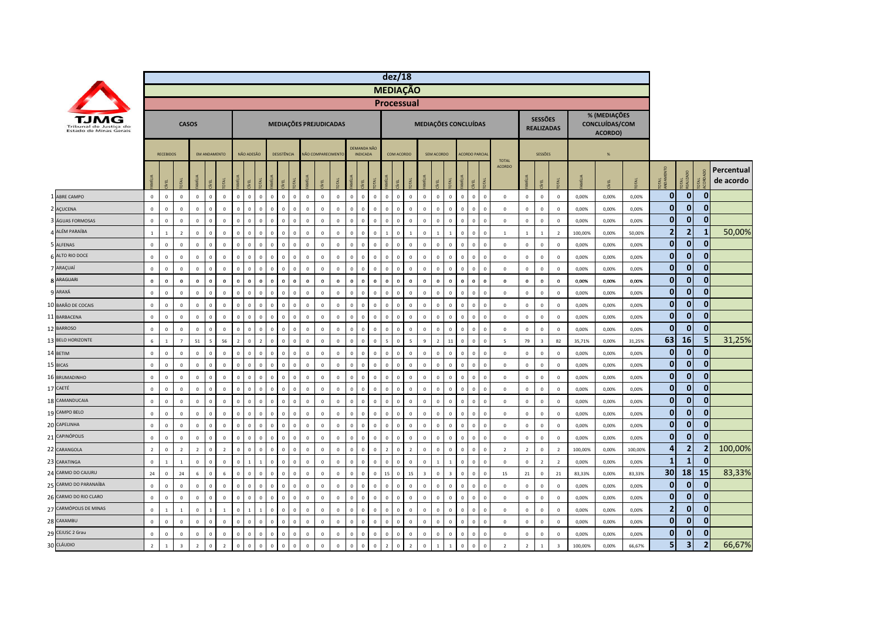|     |                                                  |                |                  |                         |                 |                     |                |                |                |                |                         |                |              |                    |              |                         |                                |              | dez/18                                   |                |                         |                |                |             |                                        |                |                |                                     |                         |         |                                           |         |                |                         |                |                         |
|-----|--------------------------------------------------|----------------|------------------|-------------------------|-----------------|---------------------|----------------|----------------|----------------|----------------|-------------------------|----------------|--------------|--------------------|--------------|-------------------------|--------------------------------|--------------|------------------------------------------|----------------|-------------------------|----------------|----------------|-------------|----------------------------------------|----------------|----------------|-------------------------------------|-------------------------|---------|-------------------------------------------|---------|----------------|-------------------------|----------------|-------------------------|
|     |                                                  |                |                  |                         |                 |                     |                |                |                |                |                         |                |              |                    |              |                         |                                |              | <b>MEDIAÇÃO</b>                          |                |                         |                |                |             |                                        |                |                |                                     |                         |         |                                           |         |                |                         |                |                         |
|     |                                                  |                |                  |                         |                 |                     |                |                |                |                |                         |                |              |                    |              |                         |                                |              | <b>Processual</b>                        |                |                         |                |                |             |                                        |                |                |                                     |                         |         |                                           |         |                |                         |                |                         |
|     | Tribunal de Justica do<br>Estado de Minas Gerais |                |                  |                         | <b>CASOS</b>    |                     |                |                |                |                | MEDIAÇÕES PREJUDICADAS  |                |              |                    |              |                         |                                |              |                                          |                |                         |                |                |             | MEDIAÇÕES CONCLUÍDAS                   |                |                | <b>SESSÕES</b><br><b>REALIZADAS</b> |                         |         | % (MEDIAÇÕES<br>CONCLUÍDAS/COM<br>ACORDO) |         |                |                         |                |                         |
|     |                                                  |                | <b>RECEBIDOS</b> |                         |                 | <b>FM ANDAMENTO</b> |                |                | NÃO ADESÃO     |                | <b>DESISTÊNCIA</b>      |                |              | NÃO COMPARECIMENTO |              |                         | DEMANDA NÃO<br><b>INDICADA</b> |              | COM ACORDO                               |                |                         | SEM ACORDO     |                |             | <b>ACORDO PARCIA</b>                   | <b>TOTAL</b>   |                | <b>SESSÕES</b>                      |                         |         | $\frac{Q}{2}$                             |         |                |                         |                |                         |
|     |                                                  |                | ξL.              | <b>DIAL</b>             | MÍLIA           |                     | DTAL           |                | EL             |                | g                       |                |              |                    |              |                         | 립                              |              |                                          | <b>DTAL</b>    |                         | g              |                |             | ĺΕL<br>OTAL                            | <b>ACORDO</b>  |                | EL                                  | БÃ                      |         |                                           | OTAL    | <b>OTAL</b>    | OTAL<br>EALIZADO        | <b>DTAL</b>    | Percentual<br>de acordo |
|     | ABRE CAMPO                                       | $\circ$        | $\circ$          | $\circ$                 | $\mathbf 0$     | $\Omega$            | $\mathbf 0$    | $\mathbf 0$    | $\mathbf 0$    | $\mathbf 0$    | $\mathbf 0$<br>$\Omega$ | $\mathbf 0$    | $\mathbb O$  | $\mathsf 0$        | $\mathbf 0$  | $\mathbf 0$             | $\mathbf 0$                    | $\mathbf 0$  | $\mathbf 0$<br>$\mathsf 0$               | $\,$ 0         | $\mathbf 0$             | $\mathbf 0$    | $\mathbb O$    | $\circ$     | $\mathbf 0$<br>$\mathbf 0$             | $\mathbf 0$    | $\mathbf 0$    | $\mathbf 0$                         | $\overline{0}$          | 0,00%   | 0,00%                                     | 0,00%   | $\mathbf{0}$   | $\mathbf 0$             | $\mathbf 0$    |                         |
|     | AÇUCENA                                          | $\mathbf 0$    | $\mathbf{0}$     | $\mathbf{0}$            | $\mathbb O$     | $\Omega$            | $\mathbf 0$    | $\Omega$       | $\mathbf 0$    | $\Omega$       | $\mathbf 0$             | $\overline{0}$ | $\Omega$     | $\mathbf{0}$       | $\mathbf 0$  | $\overline{0}$          | $\Omega$                       | $\mathbf 0$  | $\Omega$<br>$\mathbf{0}$                 | $\mathbf 0$    | $\mathbf 0$             | $\Omega$       | $\overline{0}$ | $\Omega$    | $\mathbf 0$<br>$\mathbf 0$             | $\mathbf{0}$   | $\mathbf 0$    | $\mathbf 0$                         | $\mathbf 0$             | 0,00%   | 0,00%                                     | 0,00%   | 0              | $\mathbf 0$             | 0              |                         |
|     | ÁGUAS FORMOSAS                                   | $\mathbf 0$    | $\pmb{0}$        | $\mathbb O$             | $\pmb{0}$       | $\Omega$            | $\mathbf 0$    | $\mathbf 0$    | $\mathbf 0$    | $\Omega$       | $\mathbf 0$             | $\overline{0}$ | $\mathbf 0$  | $\mathsf 0$        | $\mathbf 0$  | $\overline{0}$          | $\mathbf 0$                    | $\mathbf 0$  | $\mathbf{0}$<br>$\mathbf{0}$             | $\,$ 0         | $\mathbf 0$             | $\mathbf 0$    | $\mathbb O$    |             | $\mathbf 0$<br>$\overline{0}$          | $\mathbf 0$    | $\,$ 0         | $\mathbf 0$                         | $\,0\,$                 | 0,00%   | 0,00%                                     | 0,00%   | $\mathbf{0}$   | $\mathbf 0$             | $\mathbf{0}$   |                         |
|     | ALÉM PARAÍBA                                     | $\overline{1}$ | $\overline{1}$   | $\overline{2}$          | $\mathbf 0$     | $\Omega$            | $\mathbf 0$    | $\Omega$       | $\Omega$       | $\sqrt{2}$     | $\mathbf{0}$            | $\Omega$       | $\mathbf 0$  | $\mathbf{0}$       | $\mathbf 0$  | $\Omega$                | $\Omega$                       | $\mathbf 0$  | $\mathbf{0}$                             | $\overline{1}$ | $\mathbf 0$             | $\overline{1}$ | $\overline{1}$ | $\Omega$    | $\mathbf 0$<br>$\Omega$                | $\overline{1}$ | $\mathbf 1$    | $\overline{1}$                      | $\overline{2}$          | 100,00% | 0,00%                                     | 50,00%  | $\overline{2}$ | $\overline{2}$          | 1              | 50,00%                  |
|     | <b>ALFENAS</b>                                   | $\mathbf 0$    | $\mathbb O$      | $\circ$                 | $\mathbb O$     | $\mathbf{0}$        | $\mathbf 0$    | $\mathbf{0}$   | $\mathbf 0$    | $\mathbf 0$    | $\mathbf 0$             | $\overline{0}$ | $\mathbb O$  | $\mathsf 0$        | $\mathbf 0$  | $\mathbf 0$             | $\mathbf{0}$                   | $\mathbf 0$  | $\circ$<br>$\mathbf 0$                   | $\,0\,$        | $\mathbf 0$             | $\mathbf 0$    | $\mathbb O$    | $\Omega$    | $\mathbf 0$<br>$\overline{\mathbf{0}}$ | $\mathbf{0}$   | $\mathbf 0$    | $\overline{0}$                      | $\overline{0}$          | 0,00%   | 0,00%                                     | 0,00%   | $\overline{0}$ | $\mathbf 0$             | $\mathbf{0}$   |                         |
|     | ALTO RIO DOCE                                    | $\mathbf 0$    | $\mathbf 0$      | $\Omega$                | $\mathbb O$     | $\Omega$            | $\Omega$       | $\Omega$       | $\mathbf 0$    | $\Omega$       | $\mathbf 0$             | $\overline{0}$ | $\Omega$     | $\mathsf 0$        | $\mathbf 0$  | $\overline{0}$          | $\Omega$                       | $\,$ 0       | $\Omega$<br>$\Omega$                     | $\,$ 0         | $\mathbf 0$             | $\Omega$       | $\Omega$       | $\Omega$    | $\mathbf 0$<br>$\overline{0}$          | $\mathbf{0}$   | $\mathbf 0$    | $\overline{0}$                      | $\,$ 0                  | 0,00%   | 0,00%                                     | 0,00%   | $\mathbf{0}$   | $\mathbf 0$             | 0              |                         |
|     | 7 ARAÇUAÍ                                        | $\,$ 0         | $\mathbb O$      | $\mathbf 0$             | $\mathbf 0$     | $\Omega$            | $\mathbf 0$    | $\mathbf 0$    | $\mathbf 0$    | $\Omega$       | $\mathbf 0$             | $\overline{0}$ | $\mathbb O$  | $\mathsf 0$        | $\mathbf 0$  | $\overline{0}$          | $\mathbf 0$                    | $\mathbf 0$  | $\mathbf 0$<br>$\mathbf{0}$              | $\,0\,$        | $\mathbf 0$             | $\mathbf 0$    | $\mathbf 0$    | $\mathbf 0$ | $\mathbf 0$<br>$\overline{0}$          | $\mathbf 0$    | $\mathbf 0$    | $\overline{0}$                      | $\,$ 0                  | 0,00%   | 0,00%                                     | 0,00%   | $\mathbf{0}$   | $\mathbf{0}$            | $\mathbf{0}$   |                         |
|     | ARAGUARI                                         | $\bf{0}$       | $\mathbf{0}$     | $\mathbf 0$             | $\mathbf 0$     | $\Omega$            | $\Omega$       | $\Omega$       | $\bf{0}$       | $\Omega$       | $\mathbf 0$             | $\overline{0}$ | $\mathbf 0$  | $\mathbf 0$        | $\mathbf{0}$ | $\Omega$                | $\mathbf{0}$                   | $\mathbf 0$  | $\mathbf{0}$<br>$\bf{0}$                 | $\mathbf 0$    | $\mathbf 0$             | $\Omega$       | $\Omega$       | $\Omega$    | $\mathbf 0$<br>$\Omega$                | $\mathbf 0$    | $\mathbf 0$    | $\mathbf{0}$                        | $\mathbf 0$             | 0,00%   | 0,00%                                     | 0,00%   | $\mathbf{0}$   | $\mathbf 0$             | $\bf{0}$       |                         |
|     | 9 ARAXÁ                                          | $\mathbf 0$    | $\mathbb O$      | $\mathbf 0$             | $\mathbf 0$     | $\Omega$            | $\Omega$       | $\Omega$       | $\mathbf{0}$   | $\sqrt{2}$     | $\mathbf 0$             | $\Omega$       | $\Omega$     | $\Omega$           | $\mathbf{0}$ | $\mathbf{0}$            | $\mathbf{0}$                   | $\mathbf{0}$ | $\Omega$<br>$\Omega$                     | $\Omega$       | $\mathbf 0$             | $\Omega$       | $\mathbf{0}$   |             | $\mathbf 0$<br>$\mathbf 0$             | $\mathsf 0$    | $\mathbf{0}$   | $\overline{0}$                      | $\mathsf 0$             | 0,00%   | 0,00%                                     | 0,00%   | $\mathbf{0}$   | $\mathbf 0$             | $\bf{0}$       |                         |
|     | 10 BARÃO DE COCAIS                               | $\mathbf 0$    | $\mathbf 0$      | $\mathbf 0$             | $\mathbf 0$     | $\Omega$            | $\Omega$       | $\Omega$       | $\Omega$       |                | $\mathbf 0$             | $\Omega$       | $\Omega$     | $\Omega$           | $\Omega$     | $\Omega$                | $\Omega$                       | $\Omega$     | $\Omega$<br>$\Omega$                     | $\Omega$       | $\mathbf 0$             | $\Omega$       | $\Omega$       |             | $\mathbf 0$<br>$\Omega$                | $\Omega$       | $\mathbf 0$    | $\Omega$                            | $\,$ 0                  | 0,00%   | 0,00%                                     | 0,00%   | $\mathbf{0}$   | $\mathbf 0$             | 0              |                         |
| 11  | <b>BARBACENA</b>                                 | $\,0\,$        | $\mathbf 0$      | $\mathbf 0$             | $\mathbf 0$     | $\Omega$            | $\mathbf 0$    | $\Omega$       | $\mathbf 0$    | $\Omega$       | $\mathbf 0$             | $\overline{0}$ | $\mathbb O$  | $\mathsf 0$        | $\mathbf 0$  | $\Omega$                | $\mathbf{0}$                   | $\mathbf 0$  | $\Omega$<br>$\Omega$                     | $\,0\,$        | $\mathbf 0$             | $\mathbf 0$    | $\mathbb O$    |             | $\mathbf 0$<br>$\overline{0}$          | $\mathbf 0$    | $\mathbf 0$    | $\overline{0}$                      | $\,$ 0                  | 0,00%   | 0,00%                                     | 0,00%   | $\mathbf 0$    | $\mathbf 0$             | $\overline{0}$ |                         |
|     | 12 BARROSO                                       | $\,$ 0         | $\mathbf 0$      | $\mathbf 0$             | $\mathbb O$     | $\Omega$            | $\Omega$       | $\Omega$       | $\mathbf 0$    | $\mathbf 0$    | $\mathbf 0$             | $\Omega$       | $\mathbf 0$  | $\mathsf 0$        | $\mathbf{0}$ | $\Omega$                | $\mathbf{0}$                   | $\mathbf 0$  | $\mathbf{0}$<br>$\overline{0}$           | $\mathbf 0$    | $\mathbf 0$             | $\mathbf{0}$   | $\mathbf{0}$   | $\Omega$    | $\mathbf 0$<br>$\Omega$                | $\mathbf 0$    | $\mathbf 0$    | $\overline{0}$                      | $\,$ 0                  | 0,00%   | 0,00%                                     | 0,00%   | $\overline{0}$ | $\mathbf 0$             | $\mathbf{0}$   |                         |
|     | 13 BELO HORIZONTE                                | $6\phantom{a}$ | $\mathbf{1}$     | $\overline{7}$          | 51              |                     | 56             | $\overline{2}$ | $\mathbf 0$    | $\overline{2}$ | $\mathbf 0$             | $\overline{0}$ | $\mathbf 0$  | $\mathsf 0$        | $\mathbf 0$  | $\mathbf 0$             | $\mathbf 0$                    | $\mathbf 0$  | $\overline{\phantom{a}}$<br>$\mathbf{0}$ | 5              | $\mathsf g$             | $\overline{2}$ | $11\,$         | $\mathbf 0$ | $\mathbf 0$<br>$\mathbf 0$             | 5              | 79             | $\overline{\mathbf{3}}$             | 82                      | 35,71%  | 0,00%                                     | 31,25%  | 63             | 16                      | 5              | 31,25%                  |
|     | 14 BETIM                                         | $\mathbf{0}$   | $\mathbf{0}$     | $\mathbf 0$             | $\mathbf 0$     | $\Omega$            | $\circ$        | $\Omega$       | $\Omega$       | $\Omega$       | $\mathbf{0}$            | $\Omega$       | $\mathbf{0}$ | $\mathbf{0}$       | $\mathbf{0}$ | $\Omega$                | $\mathbf{0}$                   | $\mathbf{0}$ | $\mathbf{0}$<br>$\Omega$                 | $\Omega$       | $\mathbf 0$             | $\Omega$       | $\Omega$       |             | $\mathbf{0}$<br>$\Omega$               | $\mathbf{0}$   | $\mathbf{0}$   | $\Omega$                            | $\mathbf{0}$            | 0.00%   | 0.00%                                     | 0.00%   | $\mathbf{0}$   | $\mathbf{0}$            | $\bf{0}$       |                         |
|     | 15 BICAS                                         | $\mathbf 0$    | $\circ$          | $\mathbb O$             | $\mathbb O$     | $\Omega$            | $\mathbf 0$    | $\Omega$       | $\mathbf 0$    | $\sqrt{2}$     | $\mathbf 0$             | $\Omega$       | $\mathbb O$  | $\mathsf 0$        | $\mathbf 0$  | $\Omega$                | $\mathbf{0}$                   | $\mathbf 0$  | $\mathbf{0}$<br>$\Omega$                 | $\,0\,$        | $\mathbf 0$             | $\Omega$       | $\Omega$       | $\Omega$    | $\mathbf 0$<br>$\Omega$                | $\mathsf 0$    | $\mathbf 0$    | $\overline{0}$                      | $\overline{0}$          | 0,00%   | 0,00%                                     | 0,00%   | $\mathbf{0}$   | $\mathbf{0}$            | $\mathbf{0}$   |                         |
|     | 16 BRUMADINHO                                    | $\overline{0}$ | $\mathbf 0$      | $\mathbf{0}$            | $\mathbf 0$     | $\Omega$            | $\mathbf 0$    | $\mathbf{0}$   | $\mathbf{0}$   | $\mathbf 0$    | $\mathbf 0$<br>$\Omega$ | $\Omega$       | $\mathbf 0$  | $\mathsf 0$        | $\mathbf{0}$ | $\Omega$                | $\mathbf{0}$                   | $\mathbf{0}$ | $\mathbf{0}$<br>$\overline{0}$           | $\,0\,$        | $\overline{0}$          | $\mathbf{0}$   | $\mathbf{0}$   | $\Omega$    | $\mathbf 0$<br>$\Omega$                | $\Omega$       | $\mathbf 0$    | $\overline{\mathbf{0}}$             | $\overline{0}$          | 0,00%   | 0,00%                                     | 0,00%   | $\overline{0}$ | $\mathbf 0$             | $\bf{0}$       |                         |
|     | 17 CAETÉ                                         | $\circ$        | $\circ$          | $\mathbb O$             | $\mathbf 0$     | $\Omega$            | $\mathbf 0$    | $\mathbf 0$    | $\mathbf 0$    | $\Omega$       | $\mathbf 0$             | $\mathbf 0$    | $\mathbf 0$  | $\mathbf{0}$       | $\mathbf 0$  | $\mathbf 0$             | $\mathbf 0$                    | $\mathbf 0$  | $\mathbf{0}$<br>$\mathbf 0$              | $\mathbf 0$    | $\mathbf 0$             | $\mathbf 0$    | $\mathbb O$    | $\Omega$    | $\mathbf 0$<br>$\mathbf 0$             | $\mathbf 0$    | $\mathbf 0$    | $\mathbf 0$                         | $\,$ 0                  | 0,00%   | 0,00%                                     | 0,00%   | $\mathbf{0}$   | $\mathbf 0$             | $\bf{0}$       |                         |
|     | 18 CAMANDUCAIA                                   | $\mathbf 0$    | $\mathbf 0$      | $\circ$                 | $\mathbf 0$     | $\Omega$            | $\mathbf 0$    | $\mathbf 0$    | $\mathbf 0$    | $\Omega$       | $\mathbf 0$             | $\overline{0}$ | $\mathbf 0$  | $\mathsf 0$        | $\mathbf 0$  | $\overline{0}$          | $\mathbf 0$                    | $\,$ 0 $\,$  | $\mathbf{0}$<br>$\mathbf{0}$             | $\overline{0}$ | $\mathbf 0$             | $\mathbf 0$    | $\mathbf 0$    |             | $\mathbf 0$<br>$\mathbf 0$             | $\mathsf 0$    | $\mathbf 0$    | $\overline{0}$                      | $\,$ 0                  | 0,00%   | 0,00%                                     | 0,00%   | $\mathbf{0}$   | $\mathbf{0}$            | $\mathbf{0}$   |                         |
|     | 19 CAMPO BELO                                    | $\mathbf 0$    | $\mathbf 0$      | $\mathbb O$             | $\mathbf 0$     | $\Omega$            | $\mathbf 0$    | $\Omega$       | $\Omega$       | $\sqrt{2}$     | $\mathbf 0$             | $\Omega$       | $\Omega$     | $\mathsf 0$        | $\mathbf 0$  | $\Omega$                | $\mathbf{0}$                   | $\mathbf{0}$ | $\mathbf{0}$<br>$\Omega$                 | $\,$ 0         | $\mathbf 0$             | $\Omega$       | $\Omega$       |             | $\mathbf 0$<br>$\Omega$                | $\mathbf 0$    | $\mathbf 0$    | $\overline{0}$                      | $\overline{0}$          | 0,00%   | 0,00%                                     | 0,00%   | $\mathbf{0}$   | $\mathbf{0}$            | $\mathbf{0}$   |                         |
|     | 20 CAPELINHA                                     | $\overline{0}$ | $\Omega$         | $\mathbf{0}$            | $\mathbf{0}$    | $\circ$             | $\mathbf 0$    | $\mathbf{0}$   | $\Omega$       | $\mathbf{0}$   | $\mathbf{0}$            | $\Omega$       | $\mathbf{0}$ | $\mathbf{0}$       | $\mathbf{0}$ | $\Omega$                | $\mathbf{0}$                   | $\,$ 0 $\,$  | $\mathbf{0}$<br>$\overline{0}$           | $\overline{0}$ | $\overline{0}$          | $\mathbf{0}$   | $\mathbf{0}$   | $\Omega$    | $\mathbf{0}$<br>$\Omega$               | $\mathbf{0}$   | $\mathbf{0}$   | $\Omega$                            | $\overline{0}$          | 0,00%   | 0,00%                                     | 0,00%   | $\overline{0}$ | $\mathbf 0$             | $\mathbf{0}$   |                         |
|     | 21 CAPINÓPOLIS                                   | $\mathbf 0$    | $\circ$          | $\mathbf 0$             | $\mathbf{0}$    | $\mathbf 0$         | $\mathbf 0$    | $\mathbf 0$    | $\mathbf 0$    | $\mathbf 0$    | $\mathbf 0$             | $\mathbf 0$    | $\mathbf 0$  | $\mathsf 0$        | $\mathbf 0$  | $\mathbf 0$             | $\mathbf{0}$                   | $\mathbf 0$  | $\mathbf 0$<br>$\mathbf{0}$              | $\mathbf 0$    | $\mathbf 0$             | $\mathbf 0$    | $\mathbb O$    | $^{\circ}$  | $\mathbf 0$<br>$\mathbf 0$             | $\mathbf 0$    | $\mathbf 0$    | $\mathbf 0$                         | $\mathbf 0$             | 0,00%   | 0,00%                                     | 0,00%   | $\mathbf{0}$   | $\mathbf 0$             | $\mathbf{0}$   |                         |
|     | 22 CARANGOLA                                     | $\overline{2}$ | $\mathbf 0$      | $\overline{2}$          | $\overline{2}$  | $\Omega$            | $\overline{2}$ | $\Omega$       | $\mathbf 0$    | $\Omega$       | $\mathbf 0$             | $\overline{0}$ | $\mathbb O$  | $\mathsf 0$        | $\mathbf 0$  | $\overline{0}$          | $\mathbf 0$                    | $\mathbf 0$  | $\overline{2}$<br>$\mathbf{0}$           | $\overline{2}$ | $\mathbf 0$             | $\mathbf 0$    | $\overline{0}$ | $\Omega$    | $\mathbf 0$<br>$\mathbf 0$             | $\overline{2}$ | $\overline{2}$ | $\overline{0}$                      | $\overline{2}$          | 100,00% | 0,00%                                     | 100,00% | $\overline{4}$ | $\overline{\mathbf{2}}$ | $\overline{2}$ | 100,00%                 |
|     | 23 CARATINGA                                     | $\mathbf 0$    | $\mathbf{1}$     | $\overline{1}$          | $\mathbb O$     | $\Omega$            | $\mathbf 0$    | $\Omega$       | $\overline{1}$ |                | $\mathbf 0$             | $\overline{0}$ | $\mathbb O$  | $\mathbf 0$        | $\mathbf 0$  | $\overline{0}$          | $\mathbf 0$                    | $\,$ 0 $\,$  | $\mathbf 0$<br>$\mathbf{0}$              | $\,$ 0         | $\mathbf 0$             | $\overline{1}$ | $\overline{1}$ | $\Omega$    | $\mathbf 0$<br>$\overline{0}$          | $\,0\,$        | $\,$ 0         | $\overline{2}$                      | $\overline{2}$          | 0,00%   | 0,00%                                     | 0,00%   | $\mathbf{1}$   | $\mathbf{1}$            | $\mathbf{0}$   |                         |
|     | 24 CARMO DO CAJURU                               | 24             | $\mathbf 0$      | 24                      | $6\overline{6}$ | $\Omega$            | $\mathbf{6}$   | $\mathbf{0}$   | $\Omega$       | $\mathbf 0$    | $\mathbf{0}$            | $\Omega$       | $\mathbf{0}$ | $\mathsf 0$        | $\mathbf{0}$ | $\Omega$                | $\mathbf{0}$                   | $\mathbf{0}$ | 15<br>$\overline{0}$                     | 15             | $\overline{\mathbf{3}}$ | $\mathbf{0}$   | $\overline{3}$ | $\Omega$    | $\mathbf{0}$<br>$\Omega$               | 15             | 21             | $\overline{0}$                      | 21                      | 83,33%  | 0,00%                                     | 83,33%  | 30             | 18                      | <b>15</b>      | 83,33%                  |
| 25  | CARMO DO PARANAÍBA                               | $\mathbf 0$    | $\mathbf{0}$     | $\circ$                 | $\mathbb O$     | $\Omega$            | $\circ$        | $\mathbf{0}$   | $\mathbf 0$    | $\Omega$       | $\mathbf 0$             | $\overline{0}$ | $\mathbf{0}$ | $\mathsf 0$        | $\mathbf 0$  | $\overline{\mathbf{0}}$ | $\mathbf{0}$                   | $\mathbf 0$  | $\mathbf{0}$<br>$\,0\,$                  | $\,0\,$        | $\mathbf 0$             | $\Omega$       | $\mathbf 0$    | $\Omega$    | $\mathbf 0$<br>$\overline{\mathbf{0}}$ | $\mathbf{0}$   | $\mathbf 0$    | $\mathbf 0$                         | $\mathbf 0$             | 0,00%   | 0,00%                                     | 0,00%   | $\mathbf 0$    | $\mathbf 0$             | $\mathbf{0}$   |                         |
| -26 | CARMO DO RIO CLARO                               | $\mathbf{0}$   | $\mathbf 0$      | $\circ$                 | $\mathbf 0$     | $\Omega$            | $\mathbf 0$    | $\Omega$       | $\mathbf 0$    | $\Omega$       | $\mathbf 0$             | $\overline{0}$ | $\mathbf 0$  | $\mathbf{0}$       | $\mathbf 0$  | $\Omega$                | $\Omega$                       | $\mathbf 0$  | $\Omega$<br>$\Omega$                     | $\overline{0}$ | $\mathbf 0$             | $\overline{0}$ | $\Omega$       |             | $\mathbf 0$<br>$\overline{0}$          | $\mathbf 0$    | $\mathbf 0$    | $\overline{0}$                      | $\overline{\mathbf{0}}$ | 0,00%   | 0,00%                                     | 0,00%   | $\mathbf{0}$   | $\mathbf{0}$            | 0              |                         |
|     | 27 CARMÓPOLIS DE MINAS                           | $\,$ 0         |                  | $\overline{1}$          | $\mathbf 0$     |                     | 1              | $\Omega$       | $\overline{1}$ |                | $\mathbf 0$             | $\overline{0}$ | $\mathbf 0$  | $\,0\,$            | $\,0\,$      | $\Omega$                | $\mathbf{0}$                   | $\,0\,$      | $\mathbf 0$<br>$\mathbf{0}$              | $\,$ 0         | $\mathbf 0$             | $\Omega$       | $\overline{0}$ | $\Omega$    | $\mathbf 0$<br>$\Omega$                | $\,0\,$        | $\,0\,$        | $\overline{0}$                      | $\overline{0}$          | 0,00%   | 0,00%                                     | 0,00%   | $\overline{2}$ | $\mathbf{0}$            | $\mathbf{0}$   |                         |
|     | 28 CAXAMBU                                       | $\mathbf 0$    | $\overline{0}$   | $\mathbb O$             | $\mathbb O$     | $\Omega$            | $\mathbf 0$    | $\mathbf 0$    | $\mathbf 0$    | $\mathbf 0$    | $\mathbf 0$<br>$\Omega$ | $\overline{0}$ | $\mathbf 0$  | $\mathsf 0$        | $\mathbf 0$  | $\mathbf 0$             | $\circ$                        | $\,$ 0 $\,$  | $\mathbf 0$<br>$\mathbf{0}$              | $\mathsf 0$    | $\mathbf 0$             | $\mathbf 0$    | $\mathbf 0$    | $\Omega$    | $\mathbf 0$<br>$\mathbf 0$             | $\mathsf 0$    | $\mathbf 0$    | $\overline{0}$                      | $\,$ 0                  | 0,00%   | 0,00%                                     | 0,00%   | $\mathbf{0}$   | $\bf{0}$                | $\mathbf{0}$   |                         |
|     | 29 CEJUSC 2 Grau                                 | $\mathbf 0$    | $\circ$          | $\Omega$                | $\mathbf 0$     | $\Omega$            | $\mathbf 0$    | $\Omega$       | $\mathbf 0$    | $\mathbf 0$    | $\mathbf 0$<br>$\Omega$ | $\overline{0}$ | $\Omega$     | $\mathsf 0$        | $\mathbf 0$  | $\overline{\mathbf{0}}$ | $\mathbf{0}$                   | $\mathbf 0$  | $\mathbf 0$<br>$\,0\,$                   | $\,0\,$        | $\mathbf 0$             | $\Omega$       | $\mathbf 0$    | $\Omega$    | $\mathbf 0$<br>$\overline{0}$          | $\mathbf 0$    | $\mathbf 0$    | $\overline{0}$                      | $\overline{0}$          | 0,00%   | 0,00%                                     | 0,00%   | $\mathbf{0}$   | $\mathbf 0$             | $\mathbf{0}$   |                         |
|     | 30 CLÁUDIO                                       | $\overline{2}$ | $\overline{1}$   | $\overline{\mathbf{3}}$ | $\overline{2}$  | $\Omega$            | $\overline{2}$ | $\Omega$       | $\mathbf 0$    | $\Omega$       | $\mathbf 0$             | $\overline{0}$ | $\Omega$     | $\mathbf{0}$       | $\mathbf 0$  | $\overline{0}$          | $\mathbf 0$                    | $\mathbf 0$  | $\mathbf{0}$<br>$\overline{2}$           | $\overline{2}$ | $\mathbf 0$             | $\overline{1}$ | $\overline{1}$ |             | $\mathbf 0$<br>$\Omega$                | $\overline{z}$ | $\overline{2}$ | $\mathbf{1}$                        | $\overline{\mathbf{3}}$ | 100,00% | 0,00%                                     | 66,67%  | 5              | $\overline{\mathbf{3}}$ | $\overline{2}$ | 66,67%                  |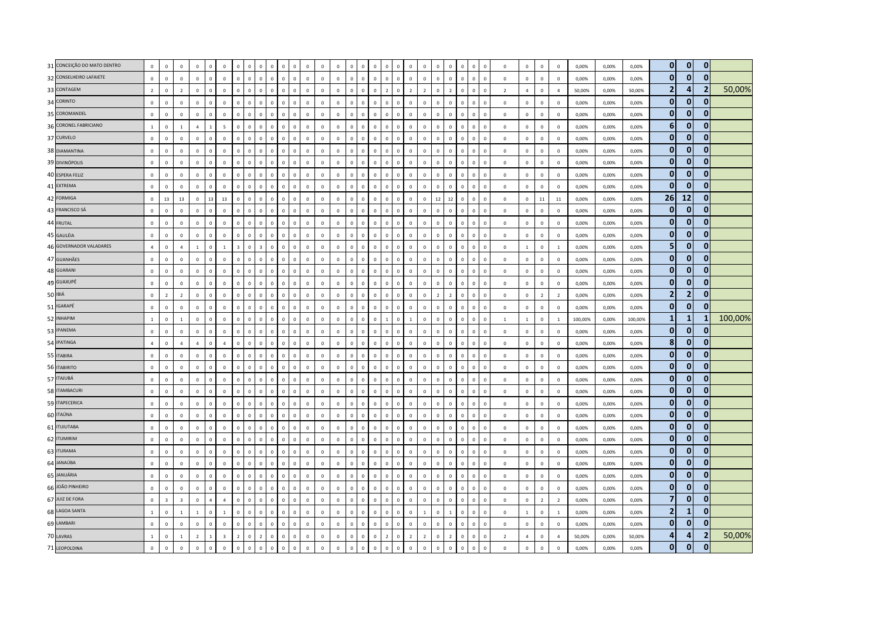| 31 CONCEIÇÃO DO MATO DENTRO | $\,0\,$        | $\mathbb O$             | $\mathbf 0$             | $\mathbf 0$    | $\mathbf 0$    | $\mathbf 0$             |                | $\mathbf 0$  | $\Omega$<br>$\Omega$             | $\sqrt{2}$                    |              | $\overline{0}$ | $\Omega$     | $\mathbf 0$  | $\Omega$     |                               | $\Omega$                     | $\Omega$       | $\Omega$       | $\Omega$       | $\Omega$       | $\Omega$       | $\Omega$     | $\Omega$<br>$\Omega$        | $\Omega$       | $\mathbf 0$    | $\mathbf 0$    | $\mathbf 0$    | 0,00%   | 0,00% | 0,00%   | 0                       | $\mathbf{0}$   | $\overline{0}$ |         |
|-----------------------------|----------------|-------------------------|-------------------------|----------------|----------------|-------------------------|----------------|--------------|----------------------------------|-------------------------------|--------------|----------------|--------------|--------------|--------------|-------------------------------|------------------------------|----------------|----------------|----------------|----------------|----------------|--------------|-----------------------------|----------------|----------------|----------------|----------------|---------|-------|---------|-------------------------|----------------|----------------|---------|
| 32 CONSELHEIRO LAFAIETE     | $\mathbf 0$    | $\mathbf 0$             | $\mathbf 0$             | $\mathbf 0$    | $\mathbf 0$    | $\mathbf 0$             | $\mathbf 0$    | $\mathbf 0$  | $\circ$                          | $\mathbf 0$<br>$\mathbf 0$    | $\mathbf{0}$ | $\mathbf 0$    | $\mathbf 0$  | $\mathbf 0$  | $\circ$      | $\mathbf 0$<br>$\mathbf{0}$   | $\mathbf{0}$                 | $^{\circ}$     | $\mathsf 0$    | $\mathbf 0$    | $\mathbf 0$    | $\mathbf 0$    | $\mathbf 0$  | $\pmb{0}$<br>$\mathbf 0$    | $\mathsf 0$    | $\mathbf 0$    | $\mathbf 0$    | $\mathbf 0$    | 0,00%   | 0,00% | 0,00%   | $\overline{0}$          | $\mathbf{0}$   | $\mathbf{0}$   |         |
| 33 CONTAGEM                 | $\overline{2}$ | $\mathbf 0$             | $\overline{2}$          | $\mathbf 0$    | $\mathbf 0$    | $\mathbf 0$             |                | $\mathbf 0$  | $\mathbf 0$<br>$\Omega$          | $\mathbf{0}$                  |              | $\overline{0}$ | $\mathbf{0}$ | $\mathbf 0$  | $\circ$      | $\Omega$<br>$\Omega$          | $\overline{z}$               | $\Omega$       | $\overline{z}$ | $\overline{2}$ | $\Omega$       | $\overline{z}$ | $\Omega$     | $\Omega$<br>$\Omega$        | $\overline{2}$ | $\overline{4}$ | $\mathbf 0$    | $\overline{a}$ | 50,00%  | 0,00% | 50,00%  | $\overline{2}$          | 4              |                | 50,00%  |
| 34 CORINTO                  | $\overline{0}$ | $\mathbf 0$             | $\mathbf{0}$            | $\Omega$       | $\circ$        | $\overline{0}$          | $\Omega$       | $\mathbf 0$  | $\Omega$                         | $\mathbf{0}$<br>$\Omega$      | $\Omega$     | $\mathbf 0$    | $\mathbf{0}$ | $\mathbf 0$  | $\Omega$     | $\mathbf 0$<br>$\Omega$       | $\Omega$                     | $\Omega$       | $\mathbf 0$    | $\Omega$       | $\Omega$       | $\Omega$       | $\Omega$     | $\Omega$<br>$\Omega$        | $\Omega$       | $\mathbf 0$    | $\mathbf 0$    | $\overline{0}$ | 0,00%   | 0,00% | 0,00%   | $\overline{0}$          | $\mathbf{0}$   | $\mathbf{0}$   |         |
| 35 COROMANDEL               | $\mathbf 0$    | $\mathbf 0$             | $\mathbf 0$             | $\Omega$       | $\mathbf 0$    | $\mathbf 0$             |                | $\mathbf 0$  | $\mathbb O$                      | $\mathsf 0$<br>$\mathbf 0$    |              | $\mathbf 0$    | $\mathbf 0$  | $\mathbf 0$  | $\mathbf 0$  | $\mathbf 0$<br>$\Omega$       | $\mathbf{0}$                 | $\Omega$       | $\mathbf{0}$   | $\Omega$       | $\Omega$       | $\mathbf 0$    | $\mathbf{0}$ | $\pmb{0}$<br>$\mathbf 0$    | $\mathbf 0$    | $\mathbf 0$    | $\mathbf 0$    | $\mathbf 0$    | 0,00%   | 0,00% | 0,00%   | $\overline{0}$          | $\mathbf{0}$   | 0              |         |
| 36 CORONEL FABRICIANO       | $\overline{1}$ | $\mathbb O$             | $\overline{1}$          | $\overline{a}$ | $\mathbf{1}$   | $\sqrt{5}$              |                | $\mathbb O$  | $\Omega$<br>$\Omega$             | $\Omega$                      |              | $\,$ 0         | $\mathbf 0$  | $\mathbb O$  | $\Omega$     | $\Omega$<br>$\Omega$          | $\Omega$                     | $\Omega$       | $\mathsf 0$    | $\Omega$       | $\Omega$       | $\Omega$       | $\Omega$     | $\Omega$<br>$\Omega$        | $\Omega$       | $\mathbf 0$    | $\mathbf 0$    | $\overline{0}$ | 0,00%   | 0,00% | 0,00%   | $\boldsymbol{6}$        | $\mathbf{0}$   | $\mathbf{0}$   |         |
| 37 CURVELO                  | $\overline{0}$ | $\mathbf 0$             | $\mathbf 0$             | $\mathbf 0$    | $\mathbf 0$    | $\mathbf 0$             | $\Omega$       | $\circ$      | $\mathbf 0$                      | $\mathbf 0$<br>$\mathsf 0$    | $\Omega$     | $\mathbf 0$    | $\mathbf 0$  | $\mathbf 0$  | $\mathbf{0}$ | $\mathbf 0$<br>$\mathbf{0}$   | $\mathbf 0$                  | $\mathsf 0$    | $\mathsf 0$    | $\mathbf{0}$   | $\mathbf 0$    | $\mathbf{0}$   | $\mathbf 0$  | $\mathbf 0$<br>$\mathbf 0$  | $\mathbf 0$    | $\mathbf 0$    | $\mathbf 0$    | $\mathbf 0$    | 0,00%   | 0,00% | 0,00%   | $\overline{0}$          | $\mathbf{0}$   | $\mathbf{0}$   |         |
| 38 DIAMANTINA               | $\mathbf 0$    | $\mathbf 0$             | $\Omega$                | $\Omega$       | $\Omega$       | $\mathbf 0$             | $\Omega$       | $\mathbb O$  | $\Omega$                         | $\Omega$<br>$\Omega$          | $\Omega$     | $\mathsf 0$    | $\mathbf{0}$ | $\mathbf 0$  | $\Omega$     | $\Omega$<br>$\Omega$          | $\Omega$                     | $\Omega$       | $\Omega$       | $\Omega$       | $\Omega$       | $\Omega$       | $\mathbf{0}$ | $\Omega$<br>$\Omega$        | $\Omega$       | $\mathbf 0$    | $\mathbf 0$    | $\Omega$       | 0,00%   | 0.00% | 0.00%   | $\overline{0}$          | $\mathbf{0}$   | $\bf{0}$       |         |
| 39 DIVINÓPOLIS              | $\mathbf 0$    | $\mathbf 0$             | $\mathbf 0$             | $\mathbf 0$    | $\mathbf 0$    | $\mathbf 0$             | $\Omega$       | $\mathbb O$  | $\mathbf 0$                      | $\mathsf 0$<br>$\mathbf 0$    | $\mathbf 0$  | $\mathbf 0$    | $\mathbf 0$  | $\,0\,$      | $\circ$      | $\mathbf 0$<br>$\mathbf 0$    | $\mathbf{0}$                 | $\mathbf 0$    | $\mathsf 0$    | $\Omega$       | $\overline{0}$ | $\mathbf 0$    | $\mathbf 0$  | $\mathbf 0$<br>$\mathbf 0$  | $\,0\,$        | $\mathbb O$    | $\mathbf 0$    | $\overline{0}$ | 0,00%   | 0,00% | 0,00%   | $\mathbf 0$             | $\bf{0}$       | $\mathbf{0}$   |         |
| 40 ESPERA FELIZ             | $\mathbf{0}$   | $\mathbf 0$             | $\mathbf 0$             | $\mathbf{0}$   | $\mathbf 0$    | $\mathbf 0$             | $\Omega$       | $\circ$      | $\mathbf{0}$                     | $\mathbf 0$<br>$\mathbf 0$    | $\Omega$     | $\mathbf 0$    | $\mathbf 0$  | $\mathbf 0$  | $\circ$      | $\mathbf 0$<br>$\Omega$       | $\mathbf{0}$                 | $\mathbf 0$    | $\mathsf 0$    | $\mathbf{0}$   | $\mathbf 0$    | $\mathbf{0}$   | $\mathbf 0$  | $\mathbb O$<br>$\circ$      | $\mathbf 0$    | $\mathbf 0$    | $\mathbf 0$    | $\mathbf 0$    | 0,00%   | 0,00% | 0,00%   | $\overline{0}$          | $\mathbf{0}$   | $\bf{0}$       |         |
| 41 EXTREMA                  | $\mathbf 0$    | $\mathbf 0$             | $\mathbf 0$             | $\mathbf 0$    | $\mathbf{0}$   | $\mathbf 0$             |                | $\mathbf 0$  | $\Omega$<br>$\mathbf 0$          | $\Omega$                      |              | $\mathbb O$    | $\mathbf 0$  | $\mathbf 0$  | $\Omega$     | $\Omega$<br>$\Omega$          | $\Omega$                     | $\Omega$       | $\Omega$       | $\Omega$       | $\Omega$       | $\Omega$       | $\Omega$     | $\mathbf 0$<br>$\mathbf 0$  | $\mathbf 0$    | $\mathbf 0$    | $\mathbf 0$    | $\mathbf 0$    | 0,00%   | 0,00% | 0,00%   | $\overline{0}$          | $\mathbf{0}$   | $\bf{0}$       |         |
| 42 FORMIGA                  | $\,$ 0         | 13                      | 13                      | $\mathbf 0$    | 13             | $13\,$                  |                | $\mathbb O$  | $\Omega$<br>$\Omega$             | $\Omega$                      |              | $\mathbf 0$    | $\Omega$     | $\mathbf 0$  | $\Omega$     | $\Omega$<br>$\Omega$          | $\Omega$                     | $\Omega$       | $\mathsf 0$    | $\Omega$       | 12             | 12             | $\mathbf{0}$ | $\Omega$<br>$\Omega$        | $\Omega$       | $\pmb{0}$      | $11\,$         | $11\,$         | 0.00%   | 0,00% | 0.00%   | 26                      | 12             | $\overline{0}$ |         |
| 43 FRANCISCO SÁ             | $\circ$        | $\mathbf 0$             | $\mathbf 0$             | $\Omega$       | $\mathbf 0$    | $\mathbf 0$             | $\Omega$       | $\circ$      | $\circ$                          | $\mathsf 0$<br>$\circ$        | $\Omega$     | $\mathbf 0$    | $\mathsf 0$  | $\mathbf{0}$ | $\mathbf{0}$ | $\mathbf 0$<br>$\Omega$       | $\mathbf{0}$                 | $\Omega$       | $\mathbf 0$    | $\mathbf{0}$   | $\Omega$       | $\circ$        | $\mathbf 0$  | $\Omega$<br>$\mathbf 0$     | $\mathbf 0$    | $\mathbf 0$    | $\mathbf 0$    | $\overline{0}$ | 0,00%   | 0,00% | 0,00%   | $\overline{0}$          | $\mathbf{0}$   | $\mathbf{0}$   |         |
| 44 FRUTAL                   | $\mathbf 0$    | $\mathbf 0$             | $\mathbf 0$             | $\mathbf 0$    | $\mathbf 0$    | $\mathbf 0$             |                | $\mathbf 0$  | $\mathbf 0$<br>$\mathbf 0$       | $\mathsf 0$                   |              | $\mathbf 0$    | $\mathbf 0$  | $\mathbb O$  | $\mathbf 0$  | $\Omega$<br>$\Omega$          | $\Omega$                     | $\mathbf{0}$   | $\mathsf 0$    | $\Omega$       | $\overline{0}$ | $\Omega$       | $\mathbf{0}$ | $\mathbf 0$<br>$\Omega$     | $\mathbf 0$    | $\pmb{0}$      | $\mathbf 0$    | $\mathbf 0$    | 0,00%   | 0,00% | 0,00%   | $\overline{0}$          | $\mathbf{0}$   | $\Omega$       |         |
| 45 GALILÉIA                 | $\mathbf{0}$   | $\mathbf 0$             | $\mathbf 0$             | $\mathbf 0$    | $\mathbf 0$    | $\mathbf 0$             | $\Omega$       | $\mathbf 0$  | $\mathbb O$                      | $\mathbf 0$<br>$\mathsf 0$    | $\Omega$     | $\mathbf 0$    | $\mathbf 0$  | $\mathbf 0$  | $\circ$      | $\mathbf 0$                   | $\mathbf 0$<br>$\mathbf{0}$  | $\mathsf 0$    | $\mathsf 0$    | $\mathbf 0$    | $\mathbf 0$    | $\mathbf 0$    | $\mathbf 0$  | $\mathbb O$<br>$\mathbf{0}$ | $\mathsf 0$    | $\mathbf 0$    | $\mathbf 0$    | $\mathbf 0$    | 0,00%   | 0,00% | 0,00%   | $\overline{0}$          | $\mathbf{0}$   | $\mathbf{0}$   |         |
| 46 GOVERNADOR VALADARES     | $\overline{4}$ | $\mathbf 0$             | $\Delta$                | $\mathbf{1}$   | $\Omega$       | $\mathbf{1}$            |                | $\mathbf 0$  | $\overline{3}$                   | $\mathsf 0$<br>$\Omega$       |              | $\,0\,$        | $\Omega$     | $\mathbf 0$  | $\Omega$     | $\Omega$<br>$\Omega$          | $\Omega$                     | $\Omega$       | $\Omega$       | $\Omega$       | $\Omega$       | $\Omega$       | $\Omega$     | $\mathbf 0$<br>$\Omega$     | $\Omega$       | $\mathbf{1}$   | $\mathbf 0$    | $\mathbf{1}$   | 0,00%   | 0,00% | 0,00%   | 5                       | $\mathbf{0}$   | ŋ              |         |
| 47 GUANHÃES                 | $\overline{0}$ | $\circ$                 | $\mathbb O$             | $\mathbf 0$    | $\mathbf 0$    | $\mathbf 0$             | $\Omega$       | $\mathbf 0$  | $\Omega$                         | $\Omega$<br>$\mathbf{0}$      | $\Omega$     | $\mathbf 0$    | $\mathbf{0}$ | $\mathbf 0$  | $\mathbf{0}$ | $\Omega$<br>$\mathbf{0}$      | $\Omega$                     | $\Omega$       | $\mathsf 0$    | $\Omega$       | $\Omega$       | $\Omega$       | $\mathbf{0}$ | $\Omega$<br>$\Omega$        | $\Omega$       | $\pmb{0}$      | $\mathbf 0$    | $\overline{0}$ | 0,00%   | 0,00% | 0,00%   | $\overline{0}$          | $\mathbf{0}$   | $\mathbf{0}$   |         |
| 48 GUARANI                  | $\mathbf 0$    | $\mathbf 0$             | $\mathbf 0$             | $\mathbf 0$    | $\mathbf 0$    | $\mathbf 0$             | $\mathbf 0$    | $\mathbf 0$  | $\mathbf 0$                      | $\mathsf 0$<br>$\mathbf 0$    | $\Omega$     | $\,0\,$        | $\mathbf 0$  | $\mathbf 0$  | $\mathbf{0}$ | $\mathbf 0$<br>$\mathbf 0$    | $\mathbf{0}$                 | $\mathbf 0$    | $\mathsf 0$    | $\mathbf 0$    | $\mathbf 0$    | $\mathbf 0$    | $\mathbf 0$  | $\mathbf 0$<br>$\mathbf 0$  | $\mathbf 0$    | $\mathbf 0$    | $\mathbf 0$    | $\mathbf 0$    | 0,00%   | 0,00% | 0,00%   | $\overline{0}$          | $\mathbf{0}$   | $\mathbf{0}$   |         |
| 49 GUAXUPÉ                  | $\circ$        | $\mathbf 0$             | $\mathbf 0$             | $\mathbf 0$    | $\mathbf{0}$   | $\mathbf 0$             |                | $\mathbb O$  | $\mathbf 0$<br>$\mathbf 0$       | $\mathsf 0$                   | $\Omega$     | $\mathbf 0$    | $\mathbf 0$  | $\mathbf 0$  | $\circ$      | $\mathbf 0$<br>$\mathbf{0}$   | $\mathbf{0}$                 | $\mathbf 0$    | $\mathbf{0}$   | $\Omega$       | $\mathbf 0$    | $\mathbf 0$    | $\mathbf{0}$ | $\mathbf 0$<br>$^{\circ}$   | $\mathsf 0$    | $\mathbf 0$    | $\mathbf 0$    | $\mathsf 0$    | 0,00%   | 0,00% | 0,00%   | $\overline{0}$          | $\mathbf{0}$   | $\mathbf{0}$   |         |
| 50 IBIÁ                     | $\overline{0}$ | $\overline{z}$          | $\overline{2}$          | $\Omega$       | $\mathbf{0}$   | $\mathbf 0$             | $\Omega$       | $\mathbf 0$  | $\Omega$                         | $\mathbf{0}$<br>$\Omega$      | $\Omega$     | $\mathbf 0$    | $\mathbf{0}$ | $\mathbf 0$  | $\Omega$     | $\Omega$<br>$\Omega$          | $\Omega$                     | $\Omega$       | $\mathbf 0$    | $\Omega$       | $\overline{z}$ | $\overline{2}$ | $\Omega$     | $\Omega$<br>$\Omega$        | $\Omega$       | $\mathbf 0$    | $\overline{2}$ | $\overline{2}$ | 0,00%   | 0,00% | 0,00%   | $\overline{2}$          | $\overline{2}$ | $\overline{0}$ |         |
| 51 IGARAPÉ                  | $\mathbf 0$    | $\mathbf 0$             | $\mathbf 0$             | $\Omega$       | $\mathbf 0$    | $\mathbf 0$             | $\Omega$       | $\mathbf 0$  | $\mathbf{0}$                     | $\mathsf 0$<br>$\mathbf 0$    | $\Omega$     | $\mathbf 0$    | $\mathbf 0$  | $\mathbf 0$  | $\circ$      | $\mathbf 0$                   | $\mathbf{0}$<br>$\mathbf{0}$ | $\mathbf 0$    | $\mathsf 0$    | $\Omega$       | $\mathbf 0$    | $\circ$        | $\mathbf 0$  | $\mathbf 0$<br>$\mathbf 0$  | $\mathsf 0$    | $\mathbf 0$    | $\mathbf 0$    | $\,0\,$        | 0,00%   | 0,00% | 0,00%   | $\overline{0}$          | $\mathbf{0}$   | $\bf{0}$       |         |
| 52 INHAPIM                  | $\mathbf 1$    | $\pmb{0}$               | $\mathbf{1}$            | $\mathbf 0$    | $\mathbf{0}$   | $\mathbf 0$             |                | $\mathbf 0$  | $\overline{0}$<br>$\overline{0}$ | $\overline{0}$                |              | $\mathbf 0$    | $\mathbf 0$  | $\pmb{0}$    | $\mathbf 0$  | $\overline{0}$<br>$\mathbf 0$ |                              | $\overline{0}$ | $\overline{1}$ | $\mathbf 0$    | $\overline{0}$ | $\mathbf 0$    | $\mathbf{0}$ | $\mathbf 0$<br>$\mathbf 0$  | $\mathbf{1}$   | $\,1\,$        | $\mathbf 0$    | $\,$ 1 $\,$    | 100,00% | 0,00% | 100,00% | $\mathbf{1}$            | $\mathbf{1}$   |                | 100,00% |
| 53 IPANEMA                  | $\overline{0}$ | $\mathbf 0$             | $\mathbf{0}$            | $\mathbf{0}$   | $\mathbf{0}$   | $\overline{0}$          |                | $\mathbf 0$  | $\Omega$<br>$\Omega$             | $\mathbf{0}$                  |              | $\overline{0}$ | $\mathbf{0}$ | $\mathbf{0}$ | $\circ$      | $\Omega$<br>$\Omega$          | $\Omega$                     | $\Omega$       | $\mathbf 0$    | $\Omega$       | $\Omega$       | $\mathbf{0}$   | $\Omega$     | $\Omega$<br>$\Omega$        | $\mathbf{0}$   | $\mathbf{0}$   | $\mathbf{0}$   | $\overline{0}$ | 0.00%   | 0,00% | 0.00%   | $\overline{0}$          | $\mathbf{0}$   | $\mathbf{0}$   |         |
| 54 IPATINGA                 | $\overline{4}$ | $\mathbf 0$             | $\overline{a}$          | $\overline{a}$ | $\mathbf{0}$   | $\overline{4}$          | $\Omega$       | $\mathbb O$  | $\Omega$                         | $\mathbf{0}$<br>$\Omega$      | $\Omega$     | $\mathbf 0$    | $\mathbf{0}$ | $\mathbf 0$  | $\Omega$     | $\Omega$<br>$\Omega$          | $\Omega$                     | $\Omega$       | $\mathbf{0}$   | $\Omega$       | $\Omega$       | $\Omega$       | $\Omega$     | $\Omega$<br>$\Omega$        | $\Omega$       | $\mathbf 0$    | $\mathbf 0$    | $\Omega$       | 0,00%   | 0,00% | 0,00%   | 8                       | $\mathbf{0}$   | $\Omega$       |         |
| 55 ITABIRA                  | $\mathbf 0$    | $\mathbf 0$             | $\mathbf 0$             | $\mathbf 0$    | $\overline{0}$ | $\mathbf 0$             | $\Omega$       | $\mathbf 0$  | $\mathbb O$                      | $\mathsf 0$<br>$\mathbf 0$    | $\mathbf{0}$ | $\,0\,$        | $\mathbf 0$  | $\,$ 0 $\,$  | $\mathbf{0}$ | $\mathbf 0$<br>$\mathbf 0$    | $\mathbf{0}$                 | $\mathbf 0$    | $\mathsf 0$    | $\mathbf 0$    | $\mathbf 0$    | $\mathbf 0$    | $\mathbf{0}$ | $\mathbf 0$<br>$\mathbf 0$  | $\,0\,$        | $\mathbb O$    | $\mathbf 0$    | $\,0\,$        | 0,00%   | 0,00% | 0,00%   | $\mathbf{0}$            | $\mathbf{0}$   | $\mathbf{0}$   |         |
| 56 ITABIRITO                | $\circ$        | $\mathbf 0$             | $\mathbf{0}$            | $\mathbf{0}$   | $\mathbf 0$    | $\mathbf 0$             | $\Omega$       | $\circ$      | $\mathbf{0}$                     | $\Omega$<br>$\mathbf{0}$      | $\Omega$     | $\mathbf 0$    | $\mathbf 0$  | $\mathbf 0$  | $\mathbf{0}$ | $\circ$                       | $\mathbf{0}$<br>$\mathbf{0}$ | $\mathbf{0}$   | $\mathbf{0}$   | $\mathbf{0}$   | $\Omega$       | $\mathbf{0}$   | $\mathbf{0}$ | $\mathbf{0}$<br>$\mathbb O$ | $\Omega$       | $\mathbf 0$    | $\mathbf 0$    | $\mathbf 0$    | 0,00%   | 0,00% | 0,00%   | $\overline{0}$          | $\mathbf{0}$   | $\bf{0}$       |         |
| 57 ITAJUBÁ                  | $\mathbf{0}$   | $\mathbf{0}$            | $\Omega$                | $\Omega$       | $\Omega$       | $\mathbf 0$             |                | $\Omega$     | $\Omega$                         | $\mathbf{0}$<br>$\Omega$      | $\Omega$     | $\mathbf{0}$   | $\Omega$     | $\mathbf{0}$ | $\Omega$     | $\Omega$<br>$\Omega$          | $\Omega$                     | $\Omega$       | $\mathbf{0}$   | $\Omega$       | $\Omega$       | $\Omega$       | $\Omega$     | $\Omega$<br>$\Omega$        | $\Omega$       | $\mathbf 0$    | $\mathbf 0$    | $\mathbf{0}$   | 0.00%   | 0.00% | 0.00%   | $\overline{0}$          | $\mathbf{0}$   | 0              |         |
| 58 ITAMBACURI               | $\Omega$       | $\mathbb O$             | $\Omega$                | $\Omega$       | $\mathbf{0}$   | $\mathbf 0$             |                | $\mathbf{0}$ | $\Omega$<br>$\Omega$             | $\mathbf{0}$                  | $\Omega$     | $\mathbf 0$    | $\mathbf{0}$ | $\mathbb O$  | $\Omega$     | $\Omega$<br>$\Omega$          | $\Omega$                     | $\Omega$       | $\mathbf{0}$   | $\Omega$       | $\Omega$       | $\Omega$       | $\Omega$     | $\Omega$<br>$\Omega$        | $\Omega$       | $\pmb{0}$      | $\mathbf 0$    | $\Omega$       | 0,00%   | 0,00% | 0,00%   | $\overline{0}$          | $\mathbf{0}$   | $\overline{0}$ |         |
| 59 ITAPECERICA              | $\mathbf 0$    | $\mathbf 0$             | $\mathbf 0$             | $\mathbf 0$    | $\mathbf 0$    | $\mathbf 0$             | $\Omega$       | $\mathbb O$  | $\mathbf 0$                      | $\,0\,$<br>$\Omega$           | $\Omega$     | $\mathbf 0$    | $\mathbf 0$  | $\mathbf 0$  | $\mathbf 0$  | $\Omega$<br>$\Omega$          | $\mathbf 0$                  | $\Omega$       | $\mathbf 0$    | $\mathbf 0$    | $\mathbf 0$    | $\Omega$       | $\mathbf 0$  | $\mathbf 0$<br>$\mathbf 0$  | $\mathsf 0$    | $\mathbf 0$    | $\mathbf 0$    | $\mathbf 0$    | 0,00%   | 0,00% | 0,00%   | $\mathbf{0}$            | $\mathbf{0}$   | $\mathbf{0}$   |         |
| 60 ITAÚNA                   | $\mathbf 0$    | $\mathbf 0$             | $\mathbf 0$             | $\mathbf 0$    | $\mathbf 0$    | $\mathbf 0$             |                | $\mathbf 0$  | $\Omega$                         | $\mathbf 0$<br>$\mathsf 0$    | $\Omega$     | $\overline{0}$ | $\mathbf 0$  | $\mathbf 0$  | $\mathbf{0}$ | $\Omega$<br>$\Omega$          | $\Omega$                     | $\Omega$       | $\Omega$       | $\Omega$       | $\Omega$       | $\Omega$       | $\Omega$     | $\mathbf 0$<br>$\Omega$     | $\mathbf 0$    | $\mathbf 0$    | $\mathbf 0$    | $\mathbf 0$    | 0,00%   | 0,00% | 0,00%   | $\overline{0}$          | $\mathbf{0}$   | $\mathbf{0}$   |         |
| 61 <b>ITUIUTABA</b>         | $\Omega$       | $\mathbb O$             | $\Omega$                | $\Omega$       | $\mathbf{0}$   | $\mathbf 0$             | $\Omega$       | $\mathbf{0}$ | $\Omega$                         | $\mathbf{0}$<br>$\Omega$      | $\Omega$     | $\mathbf 0$    | $\mathbf{0}$ | $\mathbf 0$  | $\Omega$     | $\mathbf 0$<br>$\Omega$       | $\Omega$                     | $\Omega$       | $\mathsf 0$    | $\Omega$       | $\Omega$       | $\Omega$       | $\Omega$     | $\Omega$<br>$\Omega$        | $\Omega$       | $\mathbf 0$    | $\mathbf 0$    | $\Omega$       | 0,00%   | 0,00% | 0,00%   | $\overline{0}$          | $\mathbf{0}$   | $\mathbf{0}$   |         |
| 62 ITUMIRIM                 | $\mathbf 0$    | $\mathbf 0$             | $\mathbf 0$             | $\Omega$       | $\mathbf 0$    | $\mathbf 0$             | $\Omega$       | $\mathbb O$  | $\mathbb O$                      | $\mathsf 0$<br>0              | $\Omega$     | $\mathbf 0$    | $\mathbf 0$  | $\mathbf 0$  | $\circ$      | $\mathbf 0$<br>$\circ$        | $\mathbf{0}$                 | $\mathbf 0$    | $\mathsf 0$    | $\Omega$       | $\overline{0}$ | $\mathbf 0$    | $\mathbf{0}$ | $\mathbf 0$<br>$\mathbf 0$  | $\mathbf 0$    | $\mathbf 0$    | $\mathbf 0$    | $\mathbf 0$    | 0,00%   | 0,00% | 0,00%   | $\mathbf{0}$            | $\mathbf 0$    | 0              |         |
| 63 ITURAMA                  | $\mathbf 0$    | $\mathbf 0$             | $\circ$                 | $\mathbf 0$    | $\mathbf 0$    | $\mathbf 0$             |                | $\mathbf 0$  | $\Omega$<br>$\Omega$             | $\Omega$                      |              | $\mathbf 0$    | $\mathbf 0$  | $\mathbb O$  | $\mathbf 0$  | $\Omega$<br>$\Omega$          | $\Omega$                     | $\Omega$       | $\mathbf 0$    | $\Omega$       | $\overline{0}$ | $\Omega$       | $\Omega$     | $\mathbf 0$<br>$\Omega$     | $\Omega$       | $\mathbf 0$    | $\mathbf 0$    | $\overline{0}$ | 0,00%   | 0,00% | 0,00%   | $\mathbf{0}$            | $\mathbf{0}$   | $\Omega$       |         |
| 64 JANAÚBA                  | $\mathbf 0$    | $\mathbb O$             | $\mathbf 0$             | $\mathbf 0$    | $\mathbf 0$    | $\mathbf 0$             |                | $\mathbb O$  | $\Omega$                         | $\mathbf{0}$<br>$\Omega$      |              | $\mathbf 0$    | $\mathbf 0$  | $\mathbf 0$  | $\mathbf{0}$ | $\Omega$<br>$\Omega$          | $\Omega$                     | $\Omega$       | $\mathbf{0}$   | $\mathbf{0}$   | $\Omega$       | $\Omega$       | $\Omega$     | $\mathbf 0$<br>$\Omega$     | $\mathsf 0$    | $\mathbf 0$    | $\mathbf 0$    | $\mathbf 0$    | 0,00%   | 0,00% | 0,00%   | $\overline{0}$          | $\mathbf{0}$   | $\mathbf{0}$   |         |
| 65 JANUÁRIA                 | $\circ$        | $\mathbf 0$             | $\mathbf 0$             | $\mathbf 0$    | $\mathbf 0$    | $\mathbf 0$             |                | $\mathbf 0$  | $\mathbf 0$<br>$\mathbf 0$       | $\mathsf 0$                   | $\Omega$     | $\mathbf 0$    | $\mathbf 0$  | $\mathbf 0$  | $\circ$      | $\mathbf 0$<br>$\mathbf{0}$   | $\Omega$                     | $\mathbf 0$    | $\overline{0}$ | $\Omega$       | $\overline{0}$ | $\mathbf 0$    | $\mathbf{0}$ | $\mathbf 0$<br>$\mathbf 0$  | $\mathsf 0$    | $\mathbf 0$    | $\mathbf 0$    | $\mathbf 0$    | 0,00%   | 0,00% | 0,00%   | $\overline{0}$          | $\mathbf{0}$   | $\bf{0}$       |         |
| 66 JOÃO PINHEIRO            | $\overline{0}$ | $\mathbf 0$             | $\mathbf 0$             | $\Omega$       | $\circ$        | $\mathbf 0$             | $\Omega$       | $\mathbf 0$  | $\Omega$                         | $\mathbf{0}$<br>$\Omega$      | $\Omega$     | $\mathbf 0$    | $\mathbf{0}$ | $\mathbf 0$  | $\mathbf{0}$ | $\mathbf 0$<br>$\mathbf{0}$   | $\mathbf{0}$                 | $\Omega$       | $\mathbf{0}$   | $\Omega$       | $\Omega$       | $\Omega$       | $\Omega$     | $\mathbf 0$<br>$\Omega$     | $\mathbf 0$    | $\mathbf 0$    | $\mathbf 0$    | $\Omega$       | 0,00%   | 0,00% | 0,00%   | $\mathbf{0}$            | $\mathbf{0}$   | $\mathbf{0}$   |         |
| 67 JUIZ DE FORA             | $\mathbf 0$    | $\overline{\mathbf{3}}$ | $\overline{\mathbf{3}}$ | $\mathbf 0$    | $\overline{a}$ | $\overline{4}$          | $\Omega$       | $\mathbf 0$  | $\circ$                          | $\mathsf 0$<br>$\mathbf 0$    | $\Omega$     | $\mathbf 0$    | $\mathbf 0$  | $\mathbf 0$  | $\mathbf{0}$ | $\mathbf 0$                   | $\mathbf{0}$<br>$\mathbf{0}$ | $\mathbf 0$    | $\mathsf 0$    | $\mathbf 0$    | $\mathbf 0$    | $\mathbf 0$    | $\mathbf 0$  | $\mathbb O$<br>$\mathbf 0$  | $\mathbf 0$    | $\mathbf 0$    | $\overline{2}$ | $\overline{2}$ | 0,00%   | 0,00% | 0,00%   | $\overline{\mathbf{z}}$ | $\mathbf{0}$   | $\bf{0}$       |         |
| 68 LAGOA SANTA              | $\mathbf{1}$   | $\mathbf 0$             | $\overline{1}$          | $\overline{1}$ | $\mathbf 0$    | $\mathbf 1$             |                | $\mathbf 0$  | $\Omega$                         | $\Omega$<br>$\mathbf 0$       |              | $\mathbb O$    | $\mathbf 0$  | $\mathbf 0$  | $\Omega$     | $\Omega$<br>$\Omega$          | $\Omega$                     | $\Omega$       | $\Omega$       | $\overline{1}$ | $\overline{0}$ |                | $\Omega$     | $\mathbf 0$<br>$\mathbf 0$  | $\mathbf 0$    | $\mathbf{1}$   | $\mathbf 0$    | $\mathbf{1}$   | 0,00%   | 0,00% | 0,00%   | 2                       | $\mathbf{1}$   | $\bf{0}$       |         |
| 69 LAMBARI                  | $\overline{0}$ | $\mathbf{0}$            | $\mathbf{0}$            | $\mathbf{0}$   | $\mathbf{0}$   | $\mathbf 0$             | $\Omega$       | $\mathbf{0}$ | $\mathbf 0$                      | $\Omega$<br>$\mathbf{0}$      | $\Omega$     | $\mathbf{0}$   | $\mathbf{0}$ | $\mathbf{0}$ | $\mathbf{0}$ | $\mathbf 0$<br>$\mathbf{0}$   | $\Omega$                     | $\circ$        | $\mathbf{0}$   | $\Omega$       | $\Omega$       | $\mathbf{0}$   | $\Omega$     | $\mathbf{0}$<br>$\Omega$    | $\mathbf{0}$   | $\mathbf 0$    | $\mathbf{0}$   | $\overline{0}$ | 0.00%   | 0.00% | 0.00%   | $\overline{0}$          | $\mathbf{0}$   | $\mathbf{0}$   |         |
| 70 LAVRAS                   | $\mathbf 1$    | $\mathbf 0$             | $\overline{1}$          | $\overline{2}$ | $\mathbf{1}$   | $\overline{\mathbf{3}}$ | $\overline{z}$ | $\mathbf 0$  | $\overline{2}$                   | $\mathsf 0$<br>0              | $^{\circ}$   | $\mathbb O$    | $\mathbf 0$  | $\mathbf 0$  | $\mathbf{0}$ | $\mathbf 0$                   | $\circ$<br>$\overline{2}$    | $\circ$        | $\overline{2}$ | $\overline{2}$ | $\mathbf 0$    | $\overline{2}$ | $\mathbf 0$  | $\mathbf 0$<br>$\circ$      | $\overline{2}$ | $\overline{4}$ | $\mathbf 0$    | $\overline{4}$ | 50,00%  | 0,00% | 50,00%  | $\overline{4}$          | $\overline{4}$ | $\overline{2}$ | 50,00%  |
| 71 LEOPOLDINA               | $\mathbf 0$    | $\mathbf 0$             | $\mathbf 0$             | $\mathbf 0$    | $\mathbf 0$    | $\mathbf 0$             |                | $\mathbf 0$  | $\mathbf 0$                      | $\mathbf 0$<br>$\overline{0}$ |              | $\overline{0}$ | $\mathbf 0$  | $\pmb{0}$    | $\mathbf 0$  | $\Omega$<br>$\mathbf 0$       |                              | $\mathbf 0$    | $\overline{0}$ | $\Omega$       | $\overline{0}$ |                |              | $\mathbf 0$                 | $\mathbf 0$    | $\mathbf 0$    | $\mathbf{0}$   | $\mathbf 0$    | 0,00%   | 0,00% | 0,00%   | 0                       | $\bf{0}$       | $\Omega$       |         |
|                             |                |                         |                         |                |                |                         |                |              |                                  |                               |              |                |              |              |              |                               |                              |                |                |                |                |                |              |                             |                |                |                |                |         |       |         |                         |                |                |         |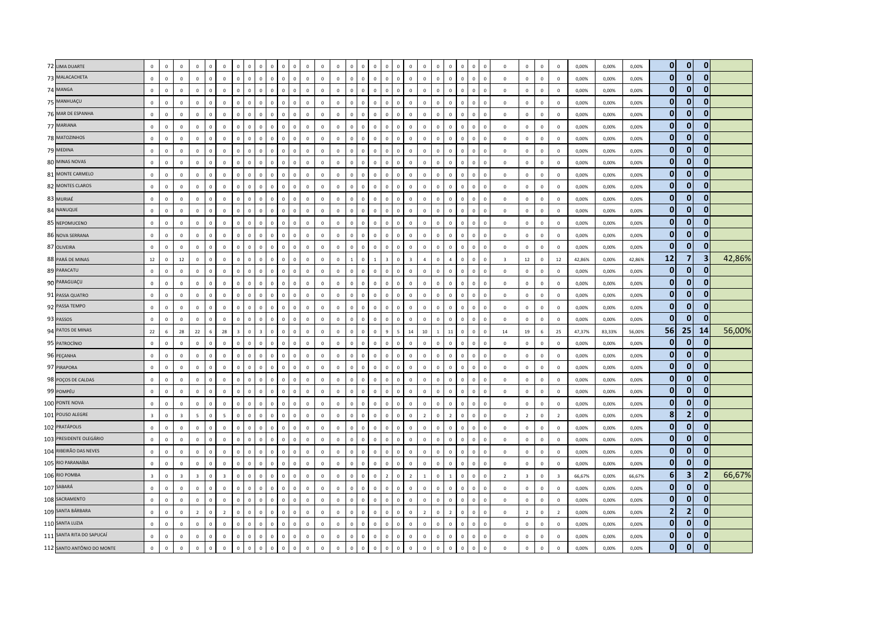| 72 LIMA DUARTE             | $\mathbf 0$             | $\Omega$     | $\,$ 0                  | $\Omega$       | $\Omega$     | $\mathbf 0$             |                | $\Omega$       |                         |                          |                | $\Omega$                 |              | $\Omega$     | $\mathbf 0$    |              |                                | $\Omega$       |                          | $\mathbf 0$             | $\mathbf 0$    | $\Omega$       | $\Omega$<br>$\Omega$           | $\Omega$     | $\mathbf 0$  | $\mathbf 0$             | $\mathbf 0$             | $\mathbf 0$     | $\,0\,$                 | 0,00%  | 0,00%  | 0,00%  | $\overline{0}$ | $\mathbf{0}$   | $\mathbf{0}$   |        |
|----------------------------|-------------------------|--------------|-------------------------|----------------|--------------|-------------------------|----------------|----------------|-------------------------|--------------------------|----------------|--------------------------|--------------|--------------|----------------|--------------|--------------------------------|----------------|--------------------------|-------------------------|----------------|----------------|--------------------------------|--------------|--------------|-------------------------|-------------------------|-----------------|-------------------------|--------|--------|--------|----------------|----------------|----------------|--------|
| 73 MALACACHETA             | $\mathbf 0$             | $\mathbf 0$  | $\mathbf 0$             | $\Omega$       | $\mathbf 0$  | $\mathbf 0$             | $\Omega$       | $\mathbf 0$    | $\mathbf{0}$            | $\mathbf 0$              | $\,0\,$        | $\mathsf 0$              | $\mathbf 0$  | $\mathsf 0$  | $\mathbf 0$    | $\mathbf 0$  | $\mathbf 0$<br>$\mathbf 0$     | $\mathsf 0$    | $\Omega$                 | $\mathbf 0$             | $\mathbf 0$    | $\mathbb O$    | $\mathbf 0$<br>$\mathbf 0$     | $\mathbf 0$  | $\mathbf 0$  | $\,0\,$                 | $\mathbf 0$             | $\mathbf 0$     | $\mathsf 0$             | 0,00%  | 0,00%  | 0,00%  | $\overline{0}$ | $\mathbf{0}$   | $\mathbf{0}$   |        |
| 74 MANGA                   | $\mathbf 0$             | $\mathbf 0$  | $\,0\,$                 | $\Omega$       | $\mathbf 0$  | $\mathbf 0$             | $\Omega$       | $\Omega$       | $\Omega$                | $\mathbf{0}$             | $\Omega$       | $\mathbf{0}$             | $\mathbf 0$  | $\mathbf{0}$ | $\mathbf 0$    | $\mathbf 0$  | $\Omega$<br>$\mathbf 0$        | $\mathbf{0}$   |                          | $\,0\,$                 | $\mathbf 0$    | $\Omega$       | $\mathbf 0$<br>$\mathbf{0}$    | $\Omega$     | $\mathbf 0$  | $\mathbf 0$             | $\mathbf 0$             | $\mathbf 0$     | $\mathbf 0$             | 0,00%  | 0,00%  | 0,00%  | $\overline{0}$ | $\mathbf{0}$   | $\mathbf{0}$   |        |
| 75 MANHUAÇU                | $\mathbf{0}$            | $\Omega$     | $\,$ 0                  | $\Omega$       | $\mathbf{0}$ | $\mathbf 0$             | $\mathbf{0}$   | $\overline{0}$ | $\Omega$                | $\mathbf{0}$             | $\overline{0}$ | $\mathbf{0}$<br>$\Omega$ |              | $\mathbf{0}$ | $\overline{0}$ | $\mathbf{0}$ | $\overline{0}$<br>$\mathbf{0}$ | $\mathbf{0}$   | $\Omega$                 | $\mathbf 0$             | $\mathbf 0$    | $\mathbf 0$    | $\mathbf{0}$<br>$\mathbf{0}$   | $\Omega$     | $\mathbf{0}$ | $\mathsf 0$             | $\mathbf 0$             | $\mathbf 0$     | $\overline{0}$          | 0,00%  | 0,00%  | 0,00%  | $\overline{0}$ | $\mathbf{0}$   | $\mathbf{0}$   |        |
| 76 MAR DE ESPANHA          | $\mathbf 0$             | $\mathbf 0$  | $\mathbf 0$             | $\Omega$       | $\mathbf 0$  | $\mathbf 0$             | $\Omega$       | $\mathbf 0$    | $\mathbf 0$             | $\mathbf 0$              | $\,$ 0         | $\mathsf 0$              | $\mathbf 0$  | $\mathsf 0$  | $\mathbf 0$    | $\mathbb O$  | $\mathbb O$<br>$\mathbb O$     | $\mathsf 0$    |                          | $\,0\,$                 | $\mathbf 0$    | $\mathbb O$    | $\mathbf{0}$<br>$\mathsf 0$    | $\Omega$     | $\mathbf 0$  | $\mathsf 0$             | $\mathbf 0$             | $\mathbf 0$     | $\mathsf 0$             | 0,00%  | 0,00%  | 0,00%  | $\overline{0}$ | $\mathbf{0}$   | 0              |        |
| 77 MARIANA                 | $\mathbf 0$             | $\Omega$     | $\,$ 0                  | $\Omega$       | $\mathbf 0$  | $\mathbf 0$             | $\mathbf 0$    | $\Omega$       | $\Omega$                | $\mathbf 0$<br>$\Omega$  |                | $\mathbf 0$              | $\Omega$     | $\mathsf 0$  | $\mathbf 0$    | $\mathbb O$  | $\Omega$<br>$\mathbb O$        | $\Omega$       |                          | $\,$ 0                  | $\mathbf 0$    | $\Omega$       | $\mathbb O$<br>$\Omega$        | $\sqrt{2}$   | $\mathbf 0$  | $\mathbf 0$             | $\mathbf 0$             | $\mathbf 0$     | $\,0\,$                 | 0,00%  | 0,00%  | 0,00%  | $\mathbf{0}$   | $\mathbf{0}$   | $\mathbf{0}$   |        |
| 78 MATOZINHOS              | $\mathbf 0$             | $\Omega$     | $\mathbf 0$             | $\mathbf{0}$   | $\mathbf 0$  | $\mathbf 0$             | $\mathbf{0}$   | $\mathbf{0}$   | $\Omega$                | $\mathbf 0$              | $\mathbf 0$    | $\mathbf{0}$             | $\mathbf 0$  | $\mathsf 0$  | $\mathbf 0$    | $\mathbf{0}$ | $\mathbf 0$<br>$\mathbf{0}$    | $\mathsf 0$    | $\Omega$                 | $\mathbf 0$             | $\mathbf 0$    | $\mathbb O$    | $\circ$<br>$\mathsf 0$         | $\Omega$     | $\mathbf 0$  | $\mathsf 0$             | $\mathbf 0$             | $\mathbf 0$     | $\mathbf 0$             | 0,00%  | 0,00%  | 0,00%  | $\overline{0}$ | $\mathbf{0}$   | $\mathbf{0}$   |        |
| 79 MEDINA                  | $\Omega$                | $\mathbf 0$  | $\,$ 0                  | $\Omega$       | $\mathbf 0$  | $\mathbf 0$             | $\Omega$       | $\mathbf 0$    | $\Omega$                | $\mathbf 0$<br>$\Omega$  |                | $\mathbf{0}$             | $\Omega$     | $\Omega$     | $\Omega$       | $\Omega$     | $\Omega$<br>$\mathbf 0$        | $\Omega$       | $\Omega$                 | $\mathbf 0$             | $\Omega$       | $\Omega$       | $\Omega$<br>$\mathbf{0}$       | $\Omega$     | $\mathbf 0$  | $\mathbf 0$             | $\Omega$                | $\mathbf 0$     | $\Omega$                | 0,00%  | 0,00%  | 0,00%  | $\overline{0}$ | $\mathbf{0}$   | $\bf{0}$       |        |
| 80 MINAS NOVAS             | $\mathbf 0$             | $\mathbf 0$  | $\,$ 0                  | $\mathbf 0$    | $\mathbf 0$  | $\mathbf 0$             | $\mathbb O$    | $\,0\,$        | $\mathbf 0$             | $\mathbf 0$              | $\,0\,$        | $\mathbf 0$              | $\mathbb O$  | $\mathbf 0$  | $\,0\,$        | $\mathbf 0$  | $\mathbf 0$<br>$\mathbf 0$     | $\mathsf 0$    |                          | $\,$ 0                  | $\mathbf 0$    | $\overline{0}$ | $\mathsf 0$<br>$\mathbb O$     | $\Omega$     | $\mathbf 0$  | $\,0\,$                 | $\mathbf 0$             | $\mathbf 0$     | $\,0\,$                 | 0,00%  | 0,00%  | 0,00%  | $\overline{0}$ | $\bf{0}$       | $\mathbf{0}$   |        |
| 81 MONTE CARMELO           | $\mathbf 0$             | $\Omega$     | $\mathbf 0$             | $\mathbf{0}$   | $\mathbf 0$  | $\mathbf 0$             | $\mathbf{0}$   | $\mathbf 0$    | $\circ$                 | $\mathbf 0$              | $\,0\,$        | $\mathbf{0}$             | $\mathbf 0$  | $\mathsf 0$  | $\mathbf 0$    | $\mathbf 0$  | $\mathbf 0$<br>$\mathbf{0}$    | $\mathbf 0$    | $\Omega$                 | $\mathbf 0$             | $\mathbf 0$    | $\mathbb O$    | $\mathbf 0$<br>$\mathbf 0$     | $\Omega$     | $\mathbf 0$  | $\overline{0}$          | $\mathbf 0$             | $\mathbf 0$     | $\mathbf 0$             | 0,00%  | 0,00%  | 0,00%  | $\overline{0}$ | $\mathbf 0$    | $\mathbf{0}$   |        |
| 82 MONTES CLAROS           | $\mathbf 0$             | $\mathbf 0$  | $\mathbf 0$             | $\Omega$       | $\mathbf 0$  | $\mathbf 0$             | $\Omega$       | $\mathbf 0$    | $\Omega$                | $\mathbf 0$              | $\overline{0}$ | $\Omega$                 | $\mathbf 0$  | $\mathbf 0$  | $\mathbf 0$    | $\Omega$     | $\mathbf 0$<br>$\mathbf 0$     | $\mathsf 0$    |                          | $\mathbf 0$             | $\mathbf 0$    | $\overline{0}$ | $\Omega$<br>$\mathbb O$        |              | $\mathbf 0$  | $\mathsf 0$             | $\mathbf 0$             | $\mathbf 0$     | $\mathbf 0$             | 0,00%  | 0,00%  | 0,00%  | $\overline{0}$ | $\mathbf 0$    | $\bf{0}$       |        |
| 83 MURIAÉ                  | $\mathbf 0$             | $\Omega$     | $\,0\,$                 | $\Omega$       | $\Omega$     | $\mathbf 0$             | $\Omega$       | $\Omega$       | $\Omega$                | $\Omega$                 | $\Omega$       | $\Omega$                 | $\mathbf 0$  | $\Omega$     | $\mathbf 0$    | $\Omega$     | $\Omega$<br>$\Omega$           | $\Omega$       |                          | $\mathbf 0$             | $\mathbf 0$    | $\Omega$       | $\Omega$<br>$\Omega$           | $\Omega$     | $\mathbf 0$  | $\mathbf 0$             | $\mathbf 0$             | $\mathbf 0$     | $\mathbf 0$             | 0,00%  | 0,00%  | 0,00%  | $\overline{0}$ | $\mathbf{0}$   | $\mathbf{0}$   |        |
| 84 NANUQUE                 | $\mathbf 0$             | $\mathbf 0$  | $\mathbf 0$             | $\Omega$       | $\mathbf 0$  | $\mathbf 0$             | $\Omega$       | $\mathbf 0$    | $\Omega$                | $\mathbf 0$              | $\,$ 0         | $\mathbf{0}$             | $\mathbf 0$  | $\Omega$     | $\mathbf 0$    | $\circ$      | $\mathbf 0$<br>$\mathbf{0}$    | $\mathsf 0$    | $\Omega$                 | $\mathbf 0$             | $\mathbf 0$    | $\Omega$       | $\mathsf 0$<br>$\mathbf{0}$    | $\Omega$     | $\mathbf 0$  | $\overline{0}$          | $\mathbf 0$             | $\,0\,$         | $\overline{0}$          | 0,00%  | 0,00%  | 0,00%  | $\overline{0}$ | $\mathbf{0}$   | 0              |        |
| 85 NEPOMUCENO              | $\mathbf 0$             | $\mathbf 0$  | $\,$ 0                  | $\mathbf 0$    | $\mathbf 0$  | $\mathbf 0$             | $\mathbf 0$    | $\mathbf 0$    | $\Omega$                | $\mathbf 0$              | $\,$ 0         | $\mathsf 0$              | $\mathbb O$  | $\mathbf 0$  | $\circ$        | $\mathbf 0$  | $\mathbf 0$<br>$\mathbf 0$     | $\mathsf 0$    |                          | $\mathbf 0$             | $\mathbf 0$    | $\mathbb O$    | $\mathsf 0$<br>$\mathbb O$     |              | $\mathbf 0$  | $\mathsf 0$             | $\mathbf 0$             | $\mathbf 0$     | $\mathbf 0$             | 0,00%  | 0,00%  | 0,00%  | $\overline{0}$ | $\mathbf{0}$   | $\mathbf{0}$   |        |
| 86 NOVA SERRANA            | $\mathbf 0$             | $\mathbf 0$  | $\mathbf 0$             | $\mathbf 0$    | $\mathbf{0}$ | $\mathbf 0$             | $\circ$        | $\mathbf 0$    | $\circ$                 | $\mathbf 0$              | $\,0\,$        | $\mathsf 0$              | $\mathbf 0$  | $\mathbf 0$  | $\mathbf 0$    | $\circ$      | $\mathbf 0$<br>$\mathbb O$     | $\,0\,$        | $\Omega$                 | $\mathbf 0$             | $\mathbf 0$    | $\mathbb O$    | $\mathsf 0$<br>$\circ$         | $\Omega$     | $\mathbf 0$  | $\mathbf 0$             | $\mathbf 0$             | $\mathbf 0$     | $\mathbf 0$             | 0,00%  | 0,00%  | 0,00%  | $\overline{0}$ | $\bf{0}$       | $\mathbf{0}$   |        |
| 87 OLIVEIRA                | $\mathbf 0$             | $\Omega$     | $\mathbf 0$             | $\Omega$       | $\mathbf 0$  | $\mathbf 0$             | $\Omega$       | $\mathbf 0$    | $\Omega$                | $\mathbf 0$              | $\,0\,$        | $\mathbf 0$              | $\mathbf 0$  | $\mathsf 0$  | $\mathbf 0$    | $\Omega$     | $\mathbb O$<br>$\mathbf{0}$    | $\mathsf 0$    | $\Omega$                 | $\mathbf 0$             | $\mathbf 0$    | $\Omega$       | $\mathbf 0$<br>$\mathbb O$     |              | $\Omega$     | $\Omega$                | $\Omega$                | $\Omega$        | $\mathbf 0$             | 0,00%  | 0,00%  | 0,00%  | $\mathbf{0}$   | $\bf{0}$       |                |        |
| 88 PARÁ DE MINAS           | 12                      | $\circ$      | 12                      | $\Omega$       | $\mathbf{0}$ | $\mathbf 0$             | $\mathbf{0}$   | $\mathbf{0}$   | $\Omega$                | $\mathbf{0}$             | $\overline{0}$ | $\mathbf{0}$             | $\mathbf 0$  | $\mathsf 0$  | $\mathbf 0$    | $\mathbf{1}$ | $\mathbf{0}$<br>$\overline{1}$ | $\overline{z}$ | $\Omega$                 | $\overline{\mathbf{3}}$ | $\overline{a}$ | $\Omega$       | $\mathbf{0}$<br>$\overline{a}$ | $\Omega$     | $\mathbf 0$  | $\overline{\mathbf{3}}$ | 12                      | $\mathbf 0$     | 12                      | 42,86% | 0,00%  | 42,86% | 12             | $\overline{7}$ | 3              | 42,86% |
| 89 PARACATU                | $\mathbf 0$             | $\mathbf 0$  | $\mathbf 0$             | $\mathbf 0$    | $\mathbf 0$  | $\mathbf 0$             | $\mathbf 0$    | $\mathbf 0$    | $\mathbf 0$             | $\mathbf 0$              | $\,$ 0         | $\mathsf 0$              | $\mathbf 0$  | $\mathsf 0$  | $\mathbf 0$    | $\mathbb O$  | $\mathbf 0$<br>$\mathbf 0$     | $\mathsf 0$    | $\Omega$                 | $\mathbf 0$             | $\mathbf 0$    | $\mathbb O$    | $\mathsf 0$<br>$\mathbf 0$     | $\Omega$     | $\mathbf 0$  | $\mathsf 0$             | $\mathbf 0$             | $\mathbf 0$     | $\mathbf 0$             | 0,00%  | 0,00%  | 0,00%  | 0              | $\mathbf{0}$   | $\mathbf{0}$   |        |
| 90 PARAGUAÇU               | $\mathbf 0$             | $\mathbf 0$  | $\circ$                 | $\mathbf 0$    | $\mathsf 0$  | $\mathbf 0$             | $\mathbf 0$    | $\mathbf{0}$   | $\mathbf 0$             | $\mathbf 0$              | $\mathbf 0$    | $\mathbf 0$              | $\mathbf 0$  | $\mathsf 0$  | $\mathbf 0$    | $\mathbb O$  | $\mathbf{0}$<br>$\mathbf 0$    | $\mathsf 0$    | $\Omega$                 | $\mathbf 0$             | $\mathbf 0$    | $\mathbf{0}$   | $\mathbf 0$<br>$\mathsf 0$     | $\Omega$     | $\mathbf 0$  | $\mathbf 0$             | $\mathbf 0$             | $\mathbf 0$     | $\mathbf{0}$            | 0,00%  | 0,00%  | 0,00%  | $\mathbf{0}$   | $\bf{0}$       | $\mathbf{0}$   |        |
| 91 PASSA QUATRO            | $\mathbf 0$             | $\Omega$     | $\,$ 0                  | $\Omega$       | $\mathbf 0$  | $\mathbf 0$             | $\mathbf{0}$   | $\overline{0}$ | $\Omega$                | $\mathbf{0}$<br>$\Omega$ |                | $\mathbf{0}$             | $\Omega$     | $\mathbf{0}$ | $\mathbf 0$    | $\Omega$     | $\mathbf 0$<br>$\Omega$        | $\mathbf{0}$   | $\Omega$                 | $\mathbf 0$             | $\mathbf 0$    | $\Omega$       | $\Omega$<br>$\Omega$           | $\Omega$     | $\mathbf 0$  | $\overline{0}$          | $\mathbf 0$             | $\mathbf 0$     | $\mathbf 0$             | 0,00%  | 0,00%  | 0,00%  | $\mathbf{0}$   | $\mathbf 0$    | $\mathbf{0}$   |        |
| 92 PASSA TEMPO             | $\mathbf 0$             | $\mathbf 0$  | $\,$ 0                  | $\mathbf{0}$   | $\mathbf 0$  | $\mathbf 0$             | $\mathbf 0$    | $\mathbf 0$    | $\mathbf{0}$            | $\mathbf 0$              | $\,$ 0         | $\mathbf 0$              | $\mathbf 0$  | $\mathsf 0$  | $\mathbf 0$    | $\mathbf 0$  | $\mathbf 0$<br>$\mathbb O$     | $\mathsf 0$    | $\Omega$                 | $\mathbf 0$             | $\mathbf 0$    | $\mathbb O$    | $\mathbf{0}$<br>$\mathsf 0$    | $\mathbf 0$  | $\mathbf 0$  | $\mathbf 0$             | $\mathbf 0$             | $\mathbf 0$     | $\,0\,$                 | 0,00%  | 0,00%  | 0,00%  | $\mathbf{0}$   | 0              | 0              |        |
| 93 PASSOS                  | $\mathbf 0$             | $\mathbf 0$  | $\,0\,$                 | $\mathbf 0$    | $\mathbf 0$  | $\mathbf 0$             | $\mathbf 0$    | $\mathbf 0$    | $\mathbf 0$             | $\mathbf 0$              | $\overline{0}$ | $\mathbf 0$              | $\mathbf 0$  | $\mathsf 0$  | $\mathbf 0$    | $\mathbf 0$  | $\overline{0}$<br>$\mathbb O$  | $\overline{0}$ |                          | $\,$ 0                  | $\mathbf 0$    | $\overline{0}$ | $\mathbb O$<br>$\overline{0}$  |              | $\mathbf 0$  | $\mathbf 0$             | $\mathbf 0$             | $\mathbf 0$     | $\mathbf 0$             | 0,00%  | 0,00%  | 0,00%  | $\overline{0}$ | $\mathbf 0$    | $\Omega$       |        |
| 94 PATOS DE MINAS          | 22                      | 6            | 28                      | 22             | 6            | 28                      | $\overline{z}$ | $\overline{0}$ | $\overline{\mathbf{z}}$ | $\mathbf{0}$             | $\overline{0}$ | $\mathbf{0}$             | $\mathbf 0$  | $\mathbf{0}$ | $\mathbf{0}$   | $\mathbf 0$  | $\mathbf{0}$<br>$\mathbf{0}$   | $\overline{9}$ | $\overline{\phantom{a}}$ | 14                      | 10             | $\overline{1}$ | 11<br>$\mathbf{0}$             | $\Omega$     | $\mathbf{0}$ | 14                      | 19                      | $6\overline{6}$ | 25                      | 47,37% | 83,33% | 56,00% | 56             | 25             | 14             | 56,00% |
| 95 PATROCÍNIO              | $\mathbf 0$             | $\Omega$     | $\mathbf 0$             | $\Omega$       | $\mathbf 0$  | $\mathbf 0$             | $\Omega$       | $\mathbf 0$    | $\Omega$                | $\Omega$<br>$\Omega$     |                | $\Omega$                 | $\Omega$     | $\Omega$     | $\Omega$       | $\Omega$     | $\Omega$<br>$\mathbf 0$        | $\mathbf{0}$   | $\Omega$                 | $\mathbf 0$             | $\Omega$       | $\Omega$       | $\Omega$<br>$\Omega$           | $\Omega$     | $\mathbf 0$  | $\mathbf 0$             | $\Omega$                | $\Omega$        | $\Omega$                | 0,00%  | 0,00%  | 0,00%  | $\overline{0}$ | $\mathbf{0}$   | 0              |        |
| 96 PEÇANHA                 | $\mathbf 0$             | $\mathbf 0$  | $\mathbf 0$             | $\mathbf 0$    | $\mathbf 0$  | $\mathbf 0$             | $\mathbf 0$    | $\mathbf 0$    | $\mathbf{0}$            | $\mathbf 0$              | $\,$ 0         | $\mathsf 0$              | $\mathbb O$  | $\mathsf 0$  | $\mathbf 0$    | $\mathbb O$  | $\mathbf 0$<br>$\mathbf 0$     | $\,0\,$        | $\Omega$                 | $\mathbf 0$             | $\mathbf 0$    | $\mathbb O$    | $\mathsf 0$<br>$\mathbf 0$     | $\Omega$     | $\mathbf 0$  | $\mathbf 0$             | $\mathbf 0$             | $\mathbf 0$     | $\,0\,$                 | 0,00%  | 0,00%  | 0,00%  | $\overline{0}$ | $\bf{0}$       | $\mathbf{0}$   |        |
| 97 PIRAPORA                | $\mathbf{0}$            | $\mathbf{0}$ | $\,$ 0                  | $\mathbf{0}$   | $\mathbf 0$  | $\mathbf 0$             | $\mathbf{0}$   | $\mathbf 0$    | $\mathbf{0}$            | $\mathbf 0$              | $\overline{0}$ | $\mathbf{0}$             | $\mathbf 0$  | $\mathbf{0}$ | $\mathbf 0$    | $\mathbf{0}$ | $\mathbf 0$<br>$\mathbf{0}$    | $\mathbf{0}$   | $\Omega$                 | $\mathbf 0$             | $\mathbf 0$    | $\mathbf 0$    | $\mathbf{0}$<br>$\mathbf{0}$   | $\Omega$     | $\mathbf 0$  | $\mathbf 0$             | $\mathbf 0$             | $\mathbf 0$     | $\mathbf 0$             | 0,00%  | 0,00%  | 0,00%  | $\overline{0}$ | $\bf{0}$       | $\mathbf{0}$   |        |
| 98 POÇOS DE CALDAS         | $\mathbf{0}$            | $\Omega$     | $\mathbf 0$             | $\Omega$       | $\mathbf{0}$ | $\mathbf{0}$            | $\Omega$       | $\mathbf{0}$   | $\Omega$                | $\Omega$                 | $\mathbf{0}$   | $\mathbf{0}$             | $\Omega$     | $\Omega$     | $\mathbf{0}$   | $\Omega$     | $\mathbf{0}$<br>$\mathbf{0}$   | $\mathbf{0}$   |                          | $\mathbf{0}$            | $\mathbf 0$    | $\Omega$       | $\Omega$<br>$\Omega$           |              | $\Omega$     | $\Omega$                | $\Omega$                | $\Omega$        | $\mathbf{0}$            | 0,00%  | 0,00%  | 0,00%  | $\overline{0}$ | $\mathbf{0}$   | 0              |        |
| 99 POMPÉU                  | $\mathbf 0$             | $\Omega$     | $\mathbf 0$             | $\Omega$       | $\mathbf{0}$ | $\mathbf 0$             | $\Omega$       | $\mathbf{0}$   | $\Omega$                | $\Omega$                 | $\mathbf{0}$   | $\Omega$<br>$\Omega$     |              | $\Omega$     | $\mathbf 0$    | $\Omega$     | $\mathbf{0}$<br>$\mathbf 0$    | $\Omega$       | $\Omega$                 | $\mathbf 0$             | $\mathbf 0$    | $\Omega$       | $\Omega$<br>$\Omega$           | $\Omega$     | $\mathbf 0$  | $\overline{0}$          | $\circ$                 | $\mathbf 0$     | $\overline{0}$          | 0,00%  | 0,00%  | 0,00%  | $\overline{0}$ | $\mathbf{0}$   | $\mathbf{0}$   |        |
| 100 PONTE NOVA             | $\mathbf 0$             | $\Omega$     | $\mathbf 0$             | $\mathbf 0$    | $\mathbf 0$  | $\mathbf 0$             | $\circ$        | $\,0\,$        | $\Omega$                | $\mathbf 0$              | $\,0\,$        | $\mathsf 0$              | $\mathbf 0$  | $\mathsf 0$  | $\mathbf 0$    | $\mathbf 0$  | $\mathbf 0$<br>$\mathbf 0$     | $\,0\,$        | $\Omega$                 | $\,$ 0                  | $\mathbf 0$    | $\mathbb O$    | $\mathbf 0$<br>$\,0\,$         | $\Omega$     | $\mathbf 0$  | $\mathbf 0$             | $\mathbf 0$             | $\mathbf 0$     | $\,0\,$                 | 0,00%  | 0,00%  | 0,00%  | $\overline{0}$ | $\mathbf{0}$   | $\mathbf{0}$   |        |
| 101 POUSO ALEGRE           | $\overline{\mathbf{3}}$ | $\mathbf 0$  | $\overline{\mathbf{3}}$ | $\overline{5}$ | $\mathbf 0$  | $\overline{5}$          | $\Omega$       | $\Omega$       | $\Omega$                | $\mathbf 0$              | $\,0\,$        | $\mathbf 0$              | $\mathbf 0$  | $\mathsf 0$  | $\mathbf 0$    | $\mathbb O$  | $\overline{0}$<br>$\mathbf 0$  | $\mathbf{0}$   | $\Omega$                 | $\mathbf 0$             | $\overline{2}$ | $\Omega$       | $\mathbf{0}$<br>$\overline{2}$ | $\Omega$     | $\mathbf 0$  | $\mathsf 0$             | $\overline{2}$          | $\mathbf 0$     | $\overline{2}$          | 0,00%  | 0,00%  | 0,00%  | 8 <sup>1</sup> | $\overline{2}$ | $\mathbf{0}$   |        |
| 102 PRATÁPOLIS             | $\Omega$                | $\Omega$     | $\mathbf 0$             | $\Omega$       | $\mathbf{0}$ | $\mathbf 0$             | $\Omega$       | $\mathbf 0$    | $\Omega$                | $\Omega$                 | $\mathbf{0}$   | $\Omega$<br>$\Omega$     |              | $\Omega$     | $\mathbf 0$    | $\mathbf 0$  | $\mathbf 0$<br>$\Omega$        | $\overline{0}$ | $\Omega$                 | $\mathbf 0$             | $\mathbf 0$    | $\Omega$       | $\Omega$<br>$\Omega$           | $\Omega$     | $\mathbf 0$  | $\mathbf 0$             | $\circ$                 | $\mathbf 0$     | $\mathsf 0$             | 0,00%  | 0,00%  | 0,00%  | $\overline{0}$ | $\mathbf{0}$   | $\overline{0}$ |        |
| 103 PRESIDENTE OLEGÁRIO    | $\mathbf 0$             | $\mathbf 0$  | $\,0\,$                 | $\mathbf 0$    | $\mathbf 0$  | $\mathbf 0$             | $\mathbf{0}$   | $\,0\,$        | $\mathbf{0}$            | $\mathbf 0$              | $\,$ 0         | $\mathbf 0$              | $\mathbf 0$  | $\mathsf 0$  | $\mathbf 0$    | $\mathbf 0$  | $\,0\,$<br>$\mathbf 0$         | $\mathsf 0$    | $\Omega$                 | $\,$ 0                  | $\mathbf 0$    | $\mathbf{0}$   | $\mathbf 0$<br>$\mathsf 0$     | $\Omega$     | $\mathbf 0$  | $\,$ 0                  | $\mathbf 0$             | $\mathbf 0$     | $\,0\,$                 | 0,00%  | 0,00%  | 0,00%  | $\mathbf{0}$   | $\bf{0}$       | 0              |        |
| 104 RIBEIRÃO DAS NEVES     | $\mathbf 0$             | $\Omega$     | $\,$ 0                  | $\Omega$       | $\mathbf 0$  | $\mathbf 0$             | $\Omega$       | $\Omega$       | $\Omega$                | $\mathbf 0$              | $\Omega$       | $\Omega$<br>$\mathbf 0$  |              | $\mathsf 0$  | $\mathbf 0$    | $\Omega$     | $\Omega$<br>$\mathbb O$        | $\Omega$       |                          | $\mathbf 0$             | $\mathbf 0$    | $\mathbb O$    | $\Omega$<br>$\mathbf 0$        |              | $\mathbf 0$  | $\overline{0}$          | $\mathbf 0$             | $\mathbf 0$     | $\overline{0}$          | 0,00%  | 0,00%  | 0,00%  | $\overline{0}$ | $\mathbf{0}$   | $\mathbf{0}$   |        |
| 105 RIO PARANAÍBA          | $\mathbf 0$             | $\Omega$     | $\mathbf 0$             | $\Omega$       | $\mathbf 0$  | $\mathbf 0$             | $\mathbf{0}$   | $\mathbf{0}$   | $\Omega$                | $\mathbf 0$              | $\mathbf{0}$   | $\mathbf{0}$             | $\mathbf 0$  | $\mathbf{0}$ | $\mathbf 0$    | $\mathbf{0}$ | $\mathbf{0}$<br>$\mathbf{0}$   | $\mathsf 0$    |                          | $\mathbf 0$             | $\mathbf 0$    | $\mathbb O$    | $\mathbf{0}$<br>$\mathsf 0$    | $\Omega$     | $\mathbf 0$  | $\mathbf 0$             | $\mathbf 0$             | $\mathbf 0$     | $\mathbf 0$             | 0,00%  | 0,00%  | 0,00%  | $\overline{0}$ | $\mathbf{0}$   | $\mathbf{0}$   |        |
| 106 RIO POMBA              | $\overline{\mathbf{3}}$ | $\mathbf 0$  | $\overline{\mathbf{3}}$ | $\overline{3}$ | $\mathbf 0$  | $\overline{\mathbf{3}}$ | $\mathbf 0$    | $\overline{0}$ | $\mathbf{0}$            | $\mathbf 0$              | $\,0\,$        | $\mathsf 0$              | $\mathbf 0$  | $\mathsf 0$  | $\mathbf 0$    | $\mathbf 0$  | $\overline{0}$<br>$\mathbf 0$  | $\overline{2}$ | $\Omega$                 | $\overline{2}$          | $\mathbf{1}$   | $\mathbb O$    | $\mathsf 0$<br>$\overline{1}$  | $\Omega$     | $\mathbf 0$  | $\overline{2}$          | $\overline{\mathbf{3}}$ | $\mathbf 0$     | $\overline{\mathbf{3}}$ | 66,67% | 0,00%  | 66,67% | 6 <sup>1</sup> | 3              | $\overline{2}$ | 66,67% |
| 107 SABARÁ                 | $\mathbf{0}$            | $\mathbf 0$  | $\,$ 0                  | $\Omega$       | $\mathbf{0}$ | $\mathbf 0$             | $\mathbf{0}$   | $\mathbf{0}$   | $\Omega$                | $\mathbf{0}$             | $\overline{0}$ | $\mathbf{0}$             | $\mathbf 0$  | $\mathbf{0}$ | $\circ$        | $\mathbf{0}$ | $\mathbf 0$<br>$\mathbf{0}$    | $\overline{0}$ | $\Omega$                 | $\mathbf 0$             | $\mathbf 0$    | $\Omega$       | $\circ$<br>$\overline{0}$      | $\Omega$     | $\mathbf 0$  | $\,$ 0                  | $\mathbf 0$             | $\mathbf 0$     | $\mathbf 0$             | 0,00%  | 0,00%  | 0,00%  | $\mathbf{0}$   | $\mathbf{0}$   | $\mathbf{0}$   |        |
| 108 SACRAMENTO             | $\mathbf 0$             | $\mathbf 0$  | $\mathbf 0$             | $\mathbf{0}$   | $\mathbf 0$  | $\mathbf 0$             | $\mathbf 0$    | $\mathbf 0$    | $\mathbf 0$             | $\mathbf 0$              | $\,$ 0         | $\mathsf 0$              | $\mathbf 0$  | $\mathbf 0$  | $\mathbf 0$    | $\mathbb O$  | $\mathbf 0$<br>$\mathbb O$     | $\,0\,$        | $\Omega$                 | $\mathbf 0$             | $\mathbf 0$    | $\mathbb O$    | $\mathbf{0}$<br>$\,0\,$        | $\Omega$     | $\mathbf 0$  | $\mathsf 0$             | $\mathbf 0$             | $\mathbf 0$     | $\mathsf 0$             | 0,00%  | 0,00%  | 0,00%  | $\overline{0}$ | $\mathbf 0$    | $\mathbf{0}$   |        |
| 109 SANTA BÁRBARA          | $\mathbf 0$             | $\mathbf 0$  | $\mathbf 0$             | $\overline{z}$ | $\mathbf 0$  | $\overline{2}$          | $\Omega$       | $\Omega$       | $\Omega$                | $\mathbf 0$              | $\overline{0}$ | $\Omega$                 | $\mathbf 0$  | $\mathsf 0$  | $\mathbf 0$    | $\Omega$     | $\Omega$<br>$\mathbf 0$        | $\overline{0}$ |                          | $\mathbf 0$             | $\overline{z}$ | $\overline{0}$ | $\overline{2}$<br>$\Omega$     |              | $\mathbf 0$  | $\mathsf 0$             | $\overline{2}$          | $\mathbf 0$     | $\overline{2}$          | 0,00%  | 0,00%  | 0,00%  | 2              | $\overline{2}$ | $\bf{0}$       |        |
| 110 SANTA LUZIA            | $\mathbf{0}$            | $\Omega$     | $\overline{0}$          | $\mathbf{0}$   | $\mathbf{0}$ | $\circ$                 | $\mathbf{0}$   | $\overline{0}$ | $\circ$                 | $\mathbf{0}$             | $\overline{0}$ | $\mathbf{0}$             | $\mathbf{0}$ | $\mathbf{0}$ | $\mathbf{0}$   | $\circ$      | $\mathbf{0}$<br>$\mathbf{0}$   | $\mathbf{0}$   | $\Omega$                 | $\mathbf{0}$            | $\mathbf 0$    | $\mathbf 0$    | $\circ$<br>$\mathbf{0}$        | $\Omega$     | $\mathbf{0}$ | $\mathbf 0$             | $\mathbf{0}$            | $\mathbf{0}$    | $\mathbf{0}$            | 0,00%  | 0,00%  | 0,00%  | $\overline{0}$ | $\mathbf{0}$   | $\mathbf{0}$   |        |
| 111 SANTA RITA DO SAPUCAÍ  | $\circ$                 | $\circ$      | $\mathbb O$             | $\Omega$       | $\mathbf 0$  | $\mathbf 0$             | $\circ$        | $\mathbf 0$    | $\circ$                 | $\mathbf 0$              | $\,0\,$        | $\mathsf 0$              | $\mathbf 0$  | $\mathsf 0$  | $\mathbf 0$    | $\circ$      | $\mathbf 0$<br>$\mathbf 0$     | $\mathsf 0$    | $^{\circ}$               | $\,0\,$                 | $\mathbf 0$    | $\mathbf 0$    | $\mathbf 0$<br>$\mathbf 0$     | $\mathbf{0}$ | $\mathbf 0$  | $\,$ 0                  | $\mathbf 0$             | $^{\circ}$      | $\overline{0}$          | 0,00%  | 0,00%  | 0,00%  | $\mathbf{0}$   | $\mathbf{0}$   | $\bf{0}$       |        |
| 112 SANTO ANTÔNIO DO MONTE | $\mathbf 0$             | $\mathbf 0$  | $\,$ 0                  |                | $\mathbf{0}$ | $\overline{0}$          | $\mathbf 0$    |                |                         | $\mathbf{0}$             | $\Omega$       | 0<br>$\mathbf 0$         |              |              | $\mathbf 0$    | $\mathbf 0$  | $\mathbf 0$                    |                |                          | $\mathbf{0}$            | $\overline{0}$ | $\mathbf 0$    | $\mathbf 0$                    |              | $\mathbf 0$  | $\overline{0}$          | $\mathbf 0$             | $\mathbf 0$     | $\mathbf 0$             | 0,00%  | 0,00%  | 0,00%  | $\overline{0}$ | $\mathbf 0$    | $\Omega$       |        |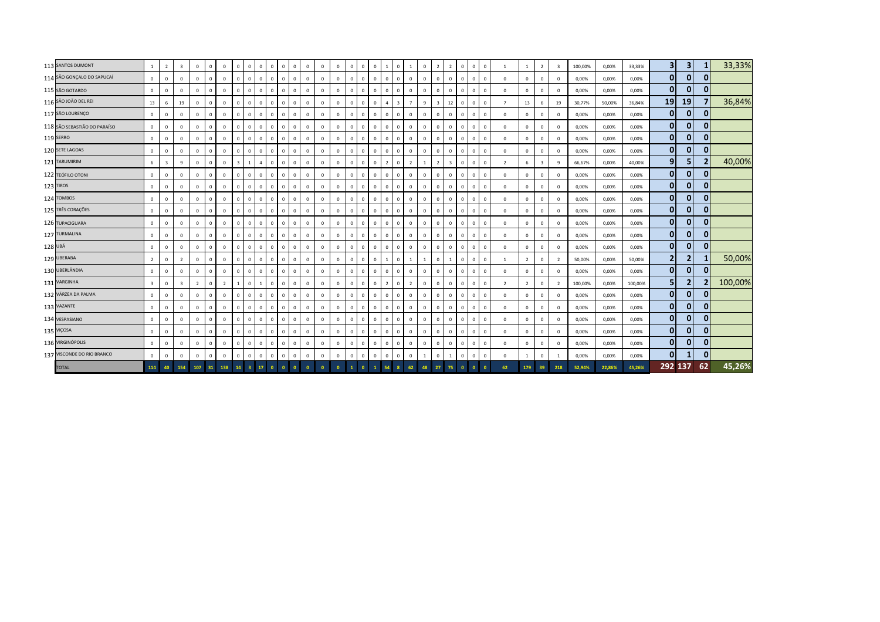|         | 113 SANTOS DUMONT            | <sup>1</sup>            | $\overline{2}$ | $\overline{\mathbf{3}}$ | $\mathbf{0}$   | $\overline{0}$ | $\Omega$       | $\mathbf 0$             | $\circ$                 | $\overline{0}$ | $\overline{0}$ | $\mathbf{0}$   | $\mathbf{0}$ | $\overline{0}$ | $\overline{0}$          | $\Omega$    | $\mathbf{0}$ | $\Omega$       | $\mathbf{0}$<br>$\overline{1}$ | $\mathbf{0}$   | $\mathbf{1}$   | $\mathbf{0}$   | $\overline{2}$          | $\overline{2}$          | $\mathbf 0$    | $\Omega$     | $\mathbf{0}$ |                          | $\overline{1}$ | $\overline{2}$          | $\overline{\mathbf{3}}$ | 100,00% | 0,00%  | 33,33%  | $\vert$ 3      | 3 <sup>1</sup> |                | 33,33%  |
|---------|------------------------------|-------------------------|----------------|-------------------------|----------------|----------------|----------------|-------------------------|-------------------------|----------------|----------------|----------------|--------------|----------------|-------------------------|-------------|--------------|----------------|--------------------------------|----------------|----------------|----------------|-------------------------|-------------------------|----------------|--------------|--------------|--------------------------|----------------|-------------------------|-------------------------|---------|--------|---------|----------------|----------------|----------------|---------|
|         | 114 SÃO GONÇALO DO SAPUCAÍ   | $\overline{0}$          | $\mathbf 0$    | $\mathbf{0}$            | $\mathbf 0$    | $\overline{0}$ | $\mathbf 0$    | $\mathbf 0$             | $\overline{0}$          | $\mathbf{0}$   | $\mathbf 0$    | $\mathbf{0}$   | $\mathbf{0}$ | $\,0\,$        | $\overline{0}$          | $\circ$     | $\mathbf{0}$ | $\overline{0}$ | $\mathbf{0}$<br>$\overline{0}$ | $\mathbf{0}$   | 0              | $\mathbf{0}$   | $\mathbf 0$             | $\mathbf{0}$            | $\overline{0}$ |              | $\mathbf{0}$ | $^{\circ}$               | $\mathbf 0$    | $\mathbf 0$             | $\mathbf{0}$            | 0,00%   | 0,00%  | 0,00%   | $\mathbf{0}$   | $\mathbf{0}$   | $\mathbf 0$    |         |
|         | 115 SÃO GOTARDO              | $\mathbf{0}$            | $\mathbf 0$    | $\Omega$                | $\circ$        | $\overline{0}$ | $\mathbf{0}$   | $\mathbf{0}$            | $\Omega$                | $\circ$        | $\overline{0}$ | $^{\circ}$     | $\mathbf{0}$ | $\mathbf{0}$   | $\overline{\mathbf{0}}$ | $\Omega$    | $\mathbf{0}$ | $\Omega$       | $\mathbf{0}$<br>$\overline{0}$ | $\mathbf{0}$   | $\mathbf{0}$   | $\mathbf 0$    | $\Omega$                | $\mathbf{0}$            | $\mathbf{0}$   |              | $\mathbf{0}$ | $\Omega$                 | $\Omega$       | $\Omega$                | $\Omega$                | 0,00%   | 0,00%  | 0,00%   | $\overline{0}$ | $\mathbf{0}$   |                |         |
|         | 116 SÃO JOÃO DEL REI         | 13                      | 6              | 19                      | $\circ$        | $\overline{0}$ | $\mathbf 0$    | $\mathbf 0$             | $\circ$                 | $\mathbf{0}$   | $\overline{0}$ | $\mathbf{0}$   | $\mathbf 0$  | $\circ$        | $\overline{\mathbf{0}}$ | $\mathbf 0$ | $\mathbf 0$  | $\Omega$       | $\mathbf{0}$<br>$\overline{a}$ | $\overline{3}$ | $\overline{7}$ | 9              | $\overline{\mathbf{3}}$ | 12                      | $\overline{0}$ | $\Omega$     | $\mathbf 0$  | $\overline{7}$           | 13             | 6                       | 19                      | 30,77%  | 50,00% | 36,84%  | 19             | 19             |                | 36,84%  |
|         | 117 SÃO LOURENÇO             | $\mathbf 0$             | $\mathbf 0$    | $\Omega$                | $\circ$        | $\overline{0}$ | $^{\circ}$     | $\mathbf 0$             | $\overline{0}$          | $\mathbf{0}$   | $\overline{0}$ | $\mathbf{0}$   | $\mathbf{0}$ | $\mathbf{0}$   | $\overline{\mathbf{0}}$ | $\Omega$    | $\mathbf 0$  | $\Omega$       | $\mathbf{0}$<br>$\overline{0}$ | $\mathbf{0}$   | $\mathbf{0}$   | $\mathbf 0$    | $\Omega$                | $^{\circ}$              | $\mathbf 0$    |              | $\Omega$     | $\Omega$                 | $\circ$        | $\mathbf{0}$            | $\mathbf{0}$            | 0,00%   | 0,00%  | 0,00%   | $\mathbf{0}$   | $\mathbf{0}$   |                |         |
|         | 118 SÃO SEBASTIÃO DO PARAÍSO | $\mathbf{0}$            | $\mathbf 0$    | $\mathbf{0}$            | $\mathbf{0}$   | $\overline{0}$ | $\mathbf{0}$   | $\mathbf{0}$            | $\mathbf{0}$            | $\mathbf 0$    | $\overline{0}$ | $\mathbf{0}$   | $\mathbf 0$  | $\mathbf{0}$   | $\mathbf 0$             | $\mathbf 0$ | $\mathbf 0$  | $\overline{0}$ | $\mathbf{0}$<br>$\overline{0}$ | $\mathbf{0}$   | $\mathbf{0}$   | $\mathbf 0$    | $\mathbf 0$             | $^{\circ}$              | $\mathbf{0}$   |              | $\mathbf{0}$ | $^{\circ}$               | $\mathbf 0$    | $\mathbf{0}$            | $\mathbf{0}$            | 0,00%   | 0,00%  | 0,00%   | $\mathbf{0}$   | $\mathbf{0}$   | $\mathbf{0}$   |         |
|         | 119 SERRO                    | $\overline{0}$          | $\mathbf 0$    | $\mathbf 0$             | $\mathbf 0$    | $\mathbf 0$    | $\mathbf 0$    | $\mathbf 0$             | $\mathbf{0}$            | $^{\circ}$     | $\overline{0}$ | $^{\circ}$     | $\mathbf 0$  | $\mathbf 0$    | $\overline{\mathbf{0}}$ | $\mathbf 0$ | $\mathbf 0$  | $\Omega$       | $\mathbf{0}$<br>$\overline{0}$ | $\mathbf{0}$   | $\Omega$       | $\mathbf 0$    | $\Omega$                | $\mathbf{0}$            | $\mathbf 0$    |              | $\mathbf 0$  | $^{\circ}$               | $\mathbf 0$    | $\mathbf 0$             | $^{\circ}$              | 0,00%   | 0,00%  | 0,00%   | $\mathbf{0}$   | $\mathbf{0}$   | $\mathbf{0}$   |         |
|         | 120 SETE LAGOAS              | $\circ$                 | $\mathbf 0$    | $\mathbf 0$             | $\mathbf{0}$   | $\overline{0}$ | $^{\circ}$     | $\mathbf 0$             | $\overline{0}$          | $\mathbf{0}$   | $\mathbf 0$    | $\mathbf{0}$   | $\mathbf{0}$ | $\mathbf 0$    | $\overline{\mathbf{0}}$ | $\Omega$    | $\mathbf 0$  | $\Omega$       | $\mathbf{0}$<br>$\overline{0}$ | $\mathbf{0}$   | $\mathbf{0}$   | $\mathbf 0$    | $\Omega$                | $\circ$                 | $\mathbf 0$    |              | $\mathbf 0$  | $\Omega$                 | $\mathbf 0$    | $\mathbf 0$             | $\mathbf{0}$            | 0,00%   | 0,00%  | 0,00%   | $\mathbf{0}$   | 01             | $\overline{0}$ |         |
|         | 121 TARUMIRIM                | 6                       | 3              | 9                       | $\circ$        | $\mathbf 0$    | $\mathbf 0$    | $\overline{\mathbf{3}}$ | $\mathbf{1}$            | 4              | $\mathbf 0$    | $\mathbf 0$    | $\mathbf{0}$ | $\,0\,$        | $\overline{\mathbf{0}}$ | $\mathbf 0$ | $\mathbf 0$  | $\Omega$       | $\mathbf 0$<br>$\overline{2}$  | $\mathbf{0}$   | $\overline{2}$ | 1              | $\overline{2}$          | $\overline{\mathbf{3}}$ | $\mathbf 0$    |              | $\mathbf 0$  | $\overline{\phantom{a}}$ | 6              | $\overline{\mathbf{3}}$ | 9                       | 66,67%  | 0,00%  | 40,00%  | 9              | 5              |                | 40,00%  |
|         | 122 TEÓFILO OTONI            | $\mathbf{0}$            | $\mathbf 0$    | $\Omega$                | $\circ$        | $\overline{0}$ | $^{\circ}$     | $\circ$                 | $\overline{0}$          | $\overline{0}$ | $\overline{0}$ | $^{\circ}$     | $\mathbf{0}$ | $\mathbf{0}$   | $\overline{\mathbf{0}}$ | $\Omega$    | $\mathbf{0}$ | $\Omega$       | $\mathbf{0}$<br>$\overline{0}$ | $\mathbf{0}$   | $\mathbf{0}$   | $\mathbf 0$    | $\Omega$                | $\mathbf{0}$            | $\mathbf{0}$   |              | $\mathbf{0}$ | $\Omega$                 | $\Omega$       | $\mathbf{0}$            | $\Omega$                | 0,00%   | 0,00%  | 0,00%   | $\mathbf{0}$   | $\mathbf{0}$   |                |         |
|         | 123 TIROS                    | $\mathbf 0$             | $\mathbf 0$    | $\Omega$                | $\mathbf{0}$   | $\overline{0}$ | $\mathbf 0$    | $\mathbf 0$             | $\circ$                 | $\mathbf{0}$   | $\overline{0}$ | $\mathbf{0}$   | $\mathbf 0$  | $\circ$        | $\overline{\mathbf{0}}$ | $\mathbf 0$ | $\mathbf 0$  | $\Omega$       | $\mathbf{0}$<br>$\overline{0}$ | $\mathbf{0}$   | $\overline{0}$ | $\mathbf 0$    | $\Omega$                | $\mathbf{0}$            | $\mathbf{0}$   | $\Omega$     | $\mathbf 0$  | $\Omega$                 | $\mathbf 0$    | $\mathbf 0$             | $\mathbf{0}$            | 0,00%   | 0,00%  | 0,00%   | $\mathbf{0}$   | $\mathbf{0}$   |                |         |
|         | 124 TOMBOS                   | $\circ$                 | $\mathbf 0$    | $\Omega$                | $\circ$        | $\overline{0}$ | $\mathbf{0}$   | $\mathbf 0$             | $\circ$                 | $\mathbf{0}$   | $\overline{0}$ | $\overline{0}$ | $\mathsf 0$  | $\mathbf 0$    | $\overline{\mathbf{0}}$ | $\Omega$    | $\mathbf 0$  | $\Omega$       | $\mathbf{0}$<br>$\overline{0}$ | $\mathbf{0}$   | $\overline{0}$ | $\mathbf 0$    | $\Omega$                | $\mathbf{0}$            | $\mathbf 0$    |              | $\Omega$     | $\Omega$                 | $\circ$        | $\mathbf{0}$            | $\mathbf{0}$            | 0,00%   | 0,00%  | 0,00%   | $\mathbf{0}$   | $\mathbf{0}$   | $\Omega$       |         |
|         | 125 TRÊS CORAÇÕES            | $\circ$                 | $\mathbf 0$    | $\mathbf{0}$            | $\mathbf 0$    | $\overline{0}$ | $\mathbf{0}$   | $\mathbf 0$             | $\mathbf{0}$            | $\mathbf 0$    | $\overline{0}$ | $\mathbf{0}$   | $\mathbf{0}$ | $\mathbf{0}$   | $\mathbf 0$             | $\Omega$    | $\mathbf 0$  | $\Omega$       | $\mathbf{0}$<br>$\overline{0}$ | $\mathbf{0}$   | $\mathbf{0}$   | $\mathbf 0$    | $\Omega$                | $\mathbf 0$             | $\mathbf 0$    |              | $\mathbf{0}$ | $\Omega$                 | $\mathbf 0$    | $\mathbf{0}$            | $\mathbf{0}$            | 0,00%   | 0,00%  | 0,00%   | $\mathbf{0}$   | $\mathbf{0}$   | $\mathbf{0}$   |         |
|         | 126 TUPACIGUARA              | $\mathbf 0$             | $\mathbf 0$    | $\mathbf 0$             | $\mathbf 0$    | $\mathbf 0$    | $\mathbf 0$    | $\mathbf 0$             | $\mathbf{0}$            | $\mathbf{0}$   | $\overline{0}$ | $^{\circ}$     | $\mathbf 0$  | $\mathbf 0$    | $\overline{\mathbf{0}}$ | $\mathbf 0$ | $\mathbf 0$  | $\Omega$       | $\mathbf{0}$<br>$\overline{0}$ | $\mathbf{0}$   | $\mathbf{0}$   | $\overline{0}$ | $\Omega$                | $\mathbf{0}$            | $\mathbf 0$    |              | $\mathbf 0$  | $^{\circ}$               | $\mathbf 0$    | $\mathbf 0$             | $\mathbf 0$             | 0,00%   | 0,00%  | 0,00%   | $\mathbf{0}$   | $\mathbf{0}$   | $\mathbf{0}$   |         |
|         | 127 TURMALINA                | $\circ$                 | $\mathbf 0$    | $\mathbf 0$             | $\mathbf{0}$   | $\overline{0}$ | $\mathbf 0$    | $\mathbf 0$             | $\overline{0}$          | $\mathbf{0}$   | $\mathbf 0$    | $\mathbf{0}$   | $\mathbf{0}$ | $\mathbf 0$    | $\overline{\mathbf{0}}$ | $\mathbf 0$ | $\mathbf 0$  | $\Omega$       | $\mathbf{0}$<br>$\overline{0}$ | $\mathbf{0}$   | $\circ$        | $\circ$        | $\Omega$                | $\circ$                 | $\mathbf 0$    | $\Omega$     | $\mathbf 0$  | $\Omega$                 | $\mathbf 0$    | $\mathbf 0$             | $\mathbf 0$             | 0,00%   | 0,00%  | 0,00%   | $\mathbf{0}$   | 01             | $\mathbf{0}$   |         |
| 128 UBÁ |                              | $\overline{0}$          | $\mathbf{0}$   | $\mathbf 0$             | $\mathbf{0}$   | $\overline{0}$ | $^{\circ}$     | $\mathbf 0$             | $\overline{0}$          | $\mathbf{0}$   | $\overline{0}$ | $^{\circ}$     | $\mathbf{0}$ | $\overline{0}$ | $\overline{\mathbf{0}}$ | $\mathbf 0$ | $\mathbf 0$  | $\overline{0}$ | $\mathbf{0}$<br>$\overline{0}$ | $\mathbf{0}$   | $\overline{0}$ | $\mathbf{0}$   | $\Omega$                | $\mathbf{0}$            | $\mathbf{0}$   |              | $\mathbf 0$  | $\Omega$                 | $\mathbf 0$    | $\mathbf 0$             | $\mathbf{0}$            | 0,00%   | 0,00%  | 0,00%   | $\mathbf{0}$   | 0              | $\mathbf{0}$   |         |
|         | 129 UBERABA                  | $\overline{2}$          | $\mathbf 0$    | $\overline{2}$          | $\mathbf 0$    | $\overline{0}$ | $\mathbf{0}$   | $\circ$                 | $\circ$                 | $\overline{0}$ | $\overline{0}$ | $^{\circ}$     | $\mathbf 0$  | $\mathbf{0}$   | $\overline{\mathbf{0}}$ | $\Omega$    | $\mathbf{0}$ | $\Omega$       | $\mathbf{0}$<br>$\overline{1}$ | $\mathbf{0}$   | <sup>1</sup>   | 1              | $\overline{0}$          | 1                       | $\mathbf 0$    |              | $\mathbf 0$  |                          | $\overline{2}$ | $\Omega$                | $\overline{2}$          | 50,00%  | 0,00%  | 50,00%  | $\overline{2}$ | 2              |                | 50,00%  |
|         | 130 UBERLÂNDIA               | $\mathbf 0$             | $\mathbf 0$    | $\mathbf 0$             | $\circ$        | $\mathbf 0$    | $\mathbf 0$    | $\mathbf 0$             | $\circ$                 | $\mathbf{0}$   | $\overline{0}$ | $^{\circ}$     | $\mathbf 0$  | $\circ$        | $\overline{\mathbf{0}}$ | $\mathbf 0$ | $\circ$      | $\Omega$       | $\mathbf{0}$<br>$\overline{0}$ | $\mathbf{0}$   | $\mathbf{0}$   | $\mathbf 0$    | $\Omega$                | $\mathbf 0$             | $\mathbf 0$    |              | $\mathbf 0$  | $\Omega$                 | $\mathbf 0$    | $\mathbf 0$             | $\mathbf{0}$            | 0,00%   | 0,00%  | 0,00%   | $\mathbf{0}$   | $\mathbf{0}$   |                |         |
|         | 131 VARGINHA                 | $\overline{\mathbf{3}}$ | $\mathbf{0}$   | $\overline{\mathbf{3}}$ | $\overline{2}$ | $\mathbf{0}$   | $\overline{2}$ | $\overline{1}$          | $\circ$                 | $\mathbf{1}$   | $\overline{0}$ | $^{\circ}$     | $\mathbf{0}$ | $\mathbf{0}$   | $\overline{0}$          | $\Omega$    | $\mathbf{0}$ | $\Omega$       | $\mathbf{0}$<br>$\overline{2}$ | $\mathbf{0}$   | $\overline{2}$ | $\circ$        | $\Omega$                | $\mathbf{0}$            | $\mathbf{0}$   |              | $\mathbf{0}$ | $\overline{\phantom{a}}$ | $\overline{2}$ | $\Omega$                | $\overline{2}$          | 100,00% | 0,00%  | 100,00% | 5 <sub>l</sub> | 2 <sup>1</sup> |                | 100,00% |
|         | 132 VÁRZEA DA PALMA          | $\circ$                 | $\mathbf{0}$   | $\mathbf{0}$            | $\circ$        | $\overline{0}$ | $\mathbf{0}$   | $\mathbf{0}$            | $\mathbf{0}$            | $\mathbf{0}$   | $\mathbf{0}$   | $^{\circ}$     | $\mathbf{0}$ | $\mathbf{0}$   | $\overline{0}$          | $\Omega$    | $\mathbf 0$  | $\Omega$       | $\mathbf{0}$<br>$\overline{0}$ | $\mathbf{0}$   | $\mathbf{0}$   | $\mathbf 0$    | $\Omega$                | $\mathbf{0}$            | $\mathbf 0$    |              | $\mathbf 0$  | $\Omega$                 | $\mathbf 0$    | $\mathbf 0$             | $\mathbf{0}$            | 0,00%   | 0,00%  | 0,00%   | $\overline{0}$ | $\mathbf{0}$   | $\Omega$       |         |
|         | 133 VAZANTE                  | $\mathbf 0$             | $\mathbf 0$    | $\mathbf 0$             | $\circ$        | $\mathbf 0$    | $\mathbf 0$    | $\mathbf 0$             | $\mathbf{0}$            | $\mathbf{0}$   | $\mathbf 0$    | $^{\circ}$     | $\mathsf 0$  | $\mathbf 0$    | $\,$ 0                  | $\mathbf 0$ | $\mathbf 0$  | $\Omega$       | $\mathbf{0}$<br>$\overline{0}$ | $\mathbf{0}$   | $\mathbf{0}$   | $\mathbf 0$    | $\Omega$                | $\mathbf 0$             | $\mathbf 0$    | $\Omega$     | $\mathbf 0$  | $^{\circ}$               | $\mathbf 0$    | $\mathbf 0$             | $\mathbf 0$             | 0,00%   | 0,00%  | 0,00%   | $\mathbf{0}$   | $\mathbf{0}$   | $\mathbf{0}$   |         |
|         | 134 VESPASIANO               | $\mathbf 0$             | $\mathbf 0$    | $\mathbf 0$             | $\mathbf{0}$   | $\mathbf 0$    | $\mathbf 0$    | $\mathbf 0$             | $\circ$                 | $\mathbf{0}$   | $\mathbf 0$    | $\overline{0}$ | $\mathbf{0}$ | $\,0\,$        | $\overline{\mathbf{0}}$ | $\mathbf 0$ | $\mathbf 0$  | $\Omega$       | $\mathbf{0}$<br>$\overline{0}$ | $\mathbf{0}$   | $\circ$        | $\mathbf 0$    | $\Omega$                | $\mathbf{0}$            | $\mathbb O$    | $\mathbf{0}$ | $\mathbf 0$  | $\Omega$                 | $\circ$        | $\mathbf 0$             | $\mathbf 0$             | 0,00%   | 0,00%  | 0,00%   | $\mathbf{0}$   | 01             | $\Omega$       |         |
|         | 135 VIÇOSA                   | $\overline{0}$          | $\mathbf{0}$   | $\mathbf 0$             | $\mathbf{0}$   | $\overline{0}$ | $^{\circ}$     | $^{\circ}$              | $\overline{0}$          | $\mathbf{0}$   | $\overline{0}$ | $^{\circ}$     | $\mathbf{0}$ | $\mathbf{0}$   | $\overline{\mathbf{0}}$ | $\mathbf 0$ | $\mathbf 0$  | $\overline{0}$ | $\mathbf{0}$<br>$\overline{0}$ | $\mathbf{0}$   | $\mathbf{0}$   | $\mathbf{0}$   | $\Omega$                | $^{\circ}$              | $\mathbf{0}$   |              | $\mathbf 0$  | $\Omega$                 | $\mathbf 0$    | $\mathbf{0}$            | $\mathbf{0}$            | 0,00%   | 0,00%  | 0,00%   | $\mathbf{0}$   | 0              | 0              |         |
|         | 136 VIRGINÓPOLIS             | $\overline{0}$          | $\mathbf 0$    | $\Omega$                | $\mathbf{0}$   | $\overline{0}$ | $^{\circ}$     | $\mathbf 0$             | $\overline{0}$          | $\mathbf{0}$   | $\mathbf 0$    | $^{\circ}$     | $\mathsf 0$  | $\mathbf{0}$   | $\overline{\mathbf{0}}$ | $\mathbf 0$ | $\mathbf{0}$ | $\Omega$       | $\mathbf{0}$<br>$\overline{0}$ | $\mathbf{0}$   | $\overline{0}$ | $\mathbf 0$    | $\Omega$                | $\overline{0}$          | $\,0\,$        |              | $\mathbf 0$  | $\Omega$                 | $\Omega$       | $\Omega$                | $\Omega$                | 0,00%   | 0,00%  | 0,00%   | $\mathbf{0}$   | $\mathbf{0}$   |                |         |
|         | 137 VISCONDE DO RIO BRANCO   | $\overline{0}$          | $\mathbf 0$    | $\Omega$                | $\circ$        | $\mathbf 0$    | $\mathbf 0$    | $\mathbf 0$             | $\mathbf{0}$            | $\mathbf 0$    | $\overline{0}$ | $\mathbf{0}$   | $\mathsf 0$  | $\mathbf 0$    | $\,$ 0                  | $\mathbf 0$ | $\mathbf 0$  | $\Omega$       | $\mathbf 0$<br>$\overline{0}$  | $\mathbf{0}$   | $\mathbf{0}$   |                | $\Omega$                |                         | $\,0\,$        |              | $\mathbf 0$  | $^{\circ}$               |                | $\mathbf{0}$            | $\overline{1}$          | 0,00%   | 0,00%  | 0,00%   | $\mathbf{0}$   |                |                |         |
|         | <b>TOTAL</b>                 | 114                     | 40             | 154                     | 107            | 31.            | 138            | 14                      | $\overline{\mathbf{3}}$ | 17             | $\bullet$      |                | $\mathbf{0}$ |                |                         |             | $\mathbf{1}$ |                |                                |                |                | 48             | 27                      | 75                      |                |              |              | 62                       | 179            | 39                      | 218                     | 52,94%  | 22,86% | 45,26%  | 292 137        |                | 62             | 45,26%  |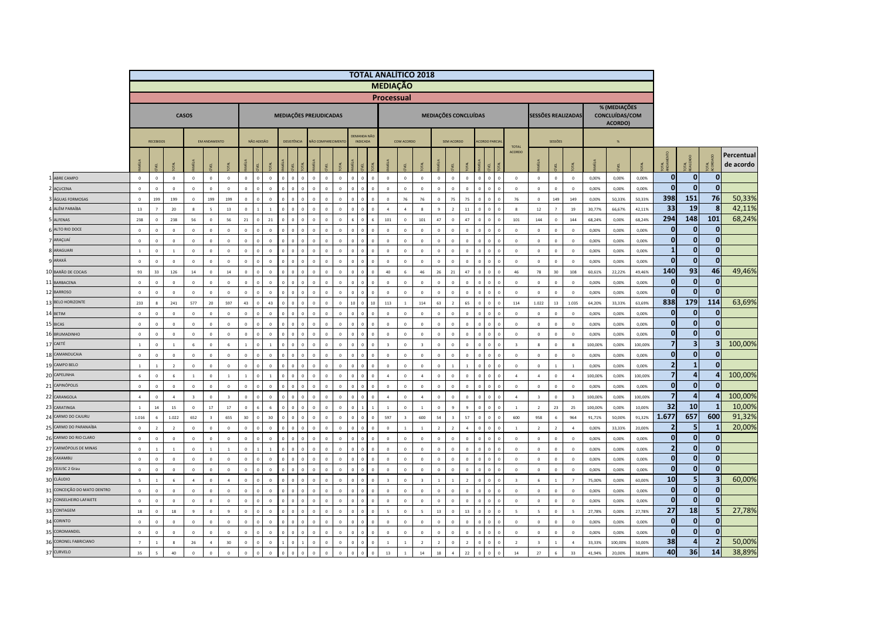|    |                             |                           |                             |                           |                            |                            |                            |                        |                |                            |             |                        |                      |                            |                |                                       |                | <b>TOTAL ANALÍTICO 2018</b> |                         |                          |                            |                              |                            |             |                                |                         |                               |                             |                            |                |                                           |                |                              |                                         |                             |                         |
|----|-----------------------------|---------------------------|-----------------------------|---------------------------|----------------------------|----------------------------|----------------------------|------------------------|----------------|----------------------------|-------------|------------------------|----------------------|----------------------------|----------------|---------------------------------------|----------------|-----------------------------|-------------------------|--------------------------|----------------------------|------------------------------|----------------------------|-------------|--------------------------------|-------------------------|-------------------------------|-----------------------------|----------------------------|----------------|-------------------------------------------|----------------|------------------------------|-----------------------------------------|-----------------------------|-------------------------|
|    |                             |                           |                             |                           |                            |                            |                            |                        |                |                            |             |                        |                      |                            |                |                                       |                | <b>MEDIAÇÃO</b>             |                         |                          |                            |                              |                            |             |                                |                         |                               |                             |                            |                |                                           |                |                              |                                         |                             |                         |
|    |                             |                           |                             |                           |                            |                            |                            |                        |                |                            |             |                        |                      |                            |                |                                       |                | <b>Processual</b>           |                         |                          |                            |                              |                            |             |                                |                         |                               |                             |                            |                |                                           |                |                              |                                         |                             |                         |
|    |                             |                           |                             |                           | <b>CASOS</b>               |                            |                            |                        |                |                            |             | MEDIAÇÕES PREJUDICADAS |                      |                            |                |                                       |                |                             |                         |                          |                            |                              | MEDIAÇÕES CONCLUÍDAS       |             |                                |                         | <b>SESSÕES REALIZADAS</b>     |                             |                            |                | % (MEDIAÇÕES<br>CONCLUÍDAS/COM<br>ACORDO) |                |                              |                                         |                             |                         |
|    |                             |                           | <b>RECEBIDOS</b>            |                           |                            | <b>EM ANDAMENTO</b>        |                            |                        | NÃO ADESÃO     |                            | DESISTÊNCIA |                        |                      | NÃO COMPARECIMENT          |                | <b>JEMANDA NÃO</b><br><b>INDICADA</b> |                |                             | COM ACORDO              |                          |                            | SEM ACORDO                   |                            |             | <b>CORDO PARCIA</b>            | <b>TOTAL</b>            |                               | SESSÕES                     |                            |                |                                           |                |                              |                                         |                             |                         |
|    |                             |                           |                             |                           |                            | 긊                          |                            |                        |                |                            |             |                        |                      |                            |                |                                       |                |                             |                         |                          |                            |                              |                            |             |                                | ACORDO                  |                               | ਜ਼                          |                            |                |                                           |                |                              | TAL<br>AUZADO                           | $\leq$                      | Percentual<br>de acordo |
|    | ABRE CAMPO                  | $\,0\,$                   | $\mathbf 0$                 | $\mathbf 0$               | $\mathbb O$                | $\circ$                    | $\mathbf 0$                | $\mathbf 0$            | $\sqrt{2}$     | $\mathfrak o$              |             |                        | $\mathbf{0}$         | $\,$ 0 $\,$<br>$\mathbf 0$ | $\overline{0}$ | $\Omega$                              | $\overline{0}$ | $\,$ 0 $\,$                 | $\mathbf{0}$            | $\mathbb O$              | $\mathbb O$                | $\mathbf{0}$                 | $\mathbf{0}$               |             | $\mathbf 0$<br>$\mathbf{0}$    | $\mathbf 0$             | $\overline{0}$                | $\,$ 0                      | $\,$ 0 $\,$                | 0,00%          | 0,00%                                     | 0,00%          | $\mathbf 0$                  | $\mathbf{0}$                            | $\mathbf{0}$                |                         |
|    | <b>ACUCENA</b>              | $\overline{0}$            | $\mathbf 0$                 | $\mathbf 0$               | $\mathbb O$                | $\mathbf 0$                | $\mathbf 0$                | $\mathbf{0}$           |                | $\mathbf 0$                |             |                        | $\Omega$             | $\Omega$                   |                |                                       |                | $\mathbf 0$                 | $\mathbf{0}$            | $\mathbb O$              | $\mathbb O$                | $\Omega$                     | $\Omega$                   |             | $\mathbf{0}$                   | $\mathbf 0$             | $\mathbb O$                   | $\,$ 0                      | $\mathbf 0$                | 0,00%          | 0,00%                                     | 0,00%          | $\mathbf{0}$                 | $\mathbf{0}$                            | $\mathbf{0}$                |                         |
|    | 3 ÁGUAS FORMOSAS            | $\circ$                   | 199                         | 199                       | $\Omega$                   | 199                        | 199                        | $\Omega$               | $\Omega$       | $\Omega$                   | $\sqrt{2}$  |                        | $\Omega$             | $\Omega$<br>$\Omega$       | $\Omega$       | $\Omega$                              | $\Omega$       | $\Omega$                    | 76                      | 76                       | $\Omega$                   | 75                           | 75                         |             | $\Omega$<br>$\Omega$           | 76                      | $\Omega$                      | 149                         | 149                        | 0.00%          | 50.33%                                    | 50,33%         | 398                          | 151                                     | 76                          | 50,33%                  |
|    | A ALÉM PARAÍBA              | 13                        | $\overline{7}$              | 20                        | $\boldsymbol{8}$           | $\overline{\phantom{0}}$   | 13                         | $\circ$                | $\overline{1}$ | $\mathbf{1}$               |             |                        | $\mathbf 0$          | $\mathbb O$<br>$\Omega$    | $\Omega$       | $\,0\,$                               | $\overline{0}$ | $\ddot{a}$                  | $\mathfrak{a}$          | $\mathbf{R}$             | 9                          | $\overline{2}$               | $11\,$                     | $\mathbf 0$ | $\mathbf{0}$<br>$\mathbf{0}$   | 8                       | 12                            | $\overline{7}$              | 19                         | 30,77%         | 66,67%                                    | 42,11%         | 33                           | 19                                      | 8                           | 42,11%                  |
|    | 5 ALFENAS                   | 238                       | $\Omega$                    | 238                       | 56                         | $\mathbf 0$                | 56                         | 21                     |                | $21\,$                     |             |                        | $\sqrt{2}$           | $\Omega$                   |                |                                       |                | 101                         | $\Omega$                | 101                      | 47                         | $\sqrt{2}$                   | 47                         |             | $\Omega$                       | 101                     | 144                           | $\,$ 0                      | 144                        | 68,24%         | 0.00%                                     | 68,24%         | 294                          | 148                                     | 101                         | 68,24%                  |
|    | 6 ALTO RIO DOCE             | $\,$ 0                    | $\Omega$                    | $\mathbf 0$               | $\circ$                    | $\,$ 0 $\,$                | $\mathbf 0$                | $\Omega$               |                | $\Omega$                   |             |                        | $\Omega$             | $\Omega$<br>$\Omega$       | $\overline{a}$ |                                       | $\sqrt{2}$     | $\mathbf 0$                 | $\Omega$                | $\mathbb O$              | $\mathbb O$                | $\Omega$                     | $\Omega$                   |             | $\Omega$                       | $\mathbf 0$             | $\circ$                       | $\overline{0}$              | $\mathbf 0$                | 0.00%          | 0,00%                                     | 0,00%          | $\mathbf 0$                  | $\mathbf{0}$                            | $\mathbf{0}$                |                         |
|    | 7 ARAÇUAÍ                   | $\,$ 0                    | $\mathbf 0$                 | $\mathbf 0$               | $\mathbf 0$                | $\,0\,$                    | $\mathbf 0$                | $\mathbf 0$            |                | $\mathbf{0}$               |             |                        | $\mathbf{0}$         | $\mathbf 0$                |                |                                       |                | $\,0\,$                     | $\overline{0}$          | $\mathbb O$              | $\mathbb O$                | $\mathbf 0$                  | $\overline{0}$             |             | $\mathbf 0$                    | $\mathbf 0$             | $\mathbb O$                   | $\mathbf 0$                 | $\pmb{0}$                  | 0,00%          | 0,00%                                     | 0,00%          | $\mathbf 0$                  | $\mathbf 0$                             | $\mathbf{0}$                |                         |
|    | <b>R</b> ARAGUARI           | $\,1\,$                   | $\mathbf{0}$                | $\,$ 1 $\,$               | $\circ$                    | $\,$ 0 $\,$                | $\mathbf 0$                | $\mathbf 0$            |                | $\mathbf{0}$               |             |                        | $\mathbf{0}$         | $\Omega$                   | $\Omega$       |                                       |                | $\,$ 0 $\,$                 | $\Omega$                | $\mathbb O$              | $\mathbb O$                | $\mathbf 0$                  | $\Omega$                   |             | $\theta$                       | $\mathbf 0$             | $\mathbb O$                   | $\,$ 0 $\,$                 | $\mathbb O$                | 0,00%          | 0,00%                                     | 0,00%          | $\overline{\mathbf{1}}$      | $\mathbf{0}$                            | $\mathbf{0}$                |                         |
|    | <b>9 ARAXÁ</b>              | $\circ$                   | $\mathbf 0$                 | $\overline{0}$            | $\circ$                    | $\circ$                    | $\circ$                    | $\Omega$               |                | $\Omega$                   |             |                        | $\Omega$             | $\Omega$<br>$\Omega$       | $\Omega$       |                                       | $\Omega$       | $\mathbb O$                 | $\Omega$                | $\,0\,$                  | $\mathbf 0$                | $\mathbf{0}$                 | $\Omega$                   |             | $\mathbf 0$<br>0               | $\circ$                 | $\circ$                       | $\,$ 0                      | $\circ$                    | 0.00%          | 0,00%                                     | 0.00%          | $\mathbf{0}$                 | $\mathbf{0}$                            | $\mathbf{0}$                |                         |
|    | 10 BARÃO DE COCAIS          | 93                        | 33                          | 126                       | 14                         | $\overline{0}$             | $14\,$                     | $\circ$                | $\,$ 0 $\,$    | $\circ$                    |             |                        | $\mathbf{0}$         | $\overline{0}$<br>$\Omega$ | $\Omega$       | $\Omega$                              | $\overline{0}$ | 40                          | 6                       | 46                       | 26                         | 21                           | 47                         |             | $\Omega$<br>$\mathbf 0$        | 46                      | 78                            | 30                          | 108                        | 60,61%         | 22,22%                                    | 49,46%         | 140                          | 93                                      | 46                          | 49,46%                  |
|    | 11 BARBACENA                | $\mathbf{0}$              | $\Omega$                    | $\Omega$                  | $\overline{0}$             | $\overline{0}$             | $\circ$                    | $\circ$                | $\sqrt{2}$     | $\Omega$                   |             |                        | $\Omega$             | $\mathbf{0}$<br>$\Omega$   | $\Omega$       | $\sqrt{2}$                            | $\Omega$       | $\overline{0}$              | $\circ$                 | $\overline{0}$           | $\mathbf{0}$               | $\mathbf{0}$                 | $\circ$                    |             | $\Omega$<br>$\Omega$           | $\overline{0}$          | $\overline{0}$                | $\mathbf{0}$                | $\overline{0}$             | 0.00%          | 0.00%                                     | 0.00%          | $\mathbf{0}$                 | $\mathbf{0}$                            | $\mathbf{0}$                |                         |
|    | 12 BARROSO                  | $\,$ 0                    | $\mathbf 0$                 | $\mathbf 0$               | $\mathbb O$                | $\,$ 0                     | $\Omega$                   | $\Omega$               |                | $\Omega$                   |             |                        |                      | $\sqrt{2}$                 |                |                                       |                | $\mathbf 0$                 | $\Omega$                | $\,$ 0 $\,$              | $\Omega$                   | $\sqrt{2}$                   | $\Omega$                   |             | $\mathbf 0$                    | $\mathbf 0$             | $\Omega$                      | $\mathbf 0$                 | $\mathbf 0$                | 0,00%          | 0,00%                                     | 0,00%          | $\Omega$                     | $\Omega$                                | $\Omega$                    |                         |
| 13 | <b>BELO HORIZONTE</b>       | 233                       | 8                           | 241                       | 577                        | 20                         | 597                        | 43                     |                | 43                         |             |                        | $\overline{0}$       | $\mathbf 0$                | 10             |                                       | 10             | 113                         |                         | 114                      | 63                         | $\overline{2}$               | 65                         |             | $\mathbf{0}$<br>$\overline{0}$ | 114                     | 1.022                         | $13\,$                      | 1.035                      | 64,20%         | 33,33%                                    | 63,69%         | 838                          | 179                                     | 114                         | 63,69%                  |
|    | 14 BETIM                    | $\mathbf{0}$              | $\mathbf 0$                 | $\circ$                   | $\circ$                    | $\mathsf{o}$               | $\Omega$                   | $\circ$                |                | $\Omega$                   |             |                        | $\Omega$             | $\Omega$                   | $\Omega$       |                                       | $\Omega$       | $\,$ 0 $\,$                 | $\Omega$                | $\mathsf{o}$             | $\mathbf{0}$               | $\mathbf{0}$                 | $\mathbf{0}$               |             | $\mathbf{0}$<br>$\Omega$       | $\Omega$                | $\mathbb O$                   | $\mathbf 0$                 | $\mathbf 0$                | 0.00%          | 0.00%                                     | 0,00%          | $\mathbf{0}$<br>$\mathbf{0}$ | $\mathbf 0$<br>$\mathbf{0}$             | $\mathbf 0$<br>$\mathbf{0}$ |                         |
|    | 15 BICAS                    | $\mathbf 0$               | $\circ$                     | $\mathbf 0$               | $\overline{0}$             | $\,0\,$                    | $\mathbf 0$                | $\mathbf 0$            | $\overline{0}$ | $\mathbf 0$                |             |                        | $\overline{0}$       | $\Omega$                   | $\Omega$       | $\Omega$                              | $\overline{0}$ | $\mathbf 0$                 | $\mathbf{0}$            | $\mathbf 0$              | $\mathbb O$                | $\mathbf 0$                  | $\mathbf 0$                |             | $\mathbf 0$<br>0               | $\mathbf 0$             | $\,0\,$                       | $\,$ 0                      | $\mathbf 0$                | 0,00%          | 0,00%                                     | 0,00%          |                              |                                         |                             |                         |
|    | 16 BRUMADINHO<br>17 CAETÉ   | $\mathbf 0$               | $\overline{0}$              | $\,0\,$                   | $\circ$                    | $\,$ 0 $\,$                | $\mathbf{0}$               | $\mathbf{0}$           |                | $\Omega$                   |             |                        | $\Omega$             | $\Omega$                   | $\Omega$       | $\sqrt{2}$                            |                | $\mathbf 0$                 | $\Omega$                | $\mathbb O$              | $\mathbb O$                | $\Omega$                     | $\Omega$                   |             | $\Omega$                       | $\,0\,$                 | $\mathbf 0$                   | $\,$ 0                      | $\mathbf 0$                | 0,00%          | 0,00%                                     | 0,00%          | $\mathbf 0$<br>7             | $\mathbf{0}$<br>$\overline{\mathbf{3}}$ | $\mathbf{0}$<br>$\vert$ 3   | 100,00%                 |
|    | 18 CAMANDUCAIA              | $\overline{1}$            | $\Omega$                    | $\mathbf{1}$              | $6\overline{6}$            | $\circ$                    | $\mathbf{6}$               | $\mathbf{1}$           | $\sqrt{2}$     | $\mathbf{1}$               |             |                        | $\Omega$             | $\Omega$<br>$\Omega$       |                |                                       | $\sqrt{2}$     | $\overline{\mathbf{3}}$     | $\circ$                 | $\overline{3}$           | $\mathbf{0}$               | $\overline{0}$               | $\Omega$                   |             | $\Omega$<br>n                  | $\overline{\mathbf{3}}$ | $\mathbf{R}$                  | $\,$ 0                      | $\mathbf{R}$               | 100.00%        | 0,00%                                     | 100.00%        | $\mathbf{0}$                 | $\mathbf{0}$                            | $\mathbf{0}$                |                         |
|    | 19 CAMPO BELO               | $\overline{0}$<br>$\,1\,$ | $\mathbf 0$<br>$\mathbf{1}$ | $\,0\,$<br>$\overline{2}$ | $\mathbb O$<br>$\,$ 0 $\,$ | $\,$ 0 $\,$<br>$\,$ 0 $\,$ | $\mathbf 0$<br>$\mathbf 0$ | $\mathbf 0$<br>$\circ$ |                | $\mathbf 0$<br>$\mathbf 0$ |             |                        | $\Omega$<br>$\Omega$ | $\Omega$<br>$\Omega$       | $\Omega$       |                                       |                | $\mathbb O$<br>$\,0\,$      | $\Omega$<br>$\circ$     | $\,0\,$<br>$\,$ 0        | $\mathbf 0$<br>$\mathbb O$ | $\sqrt{2}$<br>$\overline{1}$ | $\Omega$<br>$\overline{1}$ |             | $\theta$<br>$\Omega$           | $\circ$<br>$\mathbf 0$  | $\overline{0}$<br>$\,$ 0 $\,$ | $\overline{0}$<br>$\,$ $\,$ | $\mathbf 0$<br>$\,$ 1 $\,$ | 0,00%<br>0,00% | 0,00%<br>0,00%                            | 0,00%<br>0,00% | $\overline{2}$               | $\mathbf{1}$                            | $\mathbf{0}$                |                         |
|    | 20 CAPELINHA                | 6                         | $\mathbf 0$                 | 6                         | $\overline{1}$             | $\,$ 0 $\,$                | $\overline{1}$             | $\overline{1}$         |                | $\mathbf{1}$               |             |                        | $\Omega$             | $\Omega$<br>$\Omega$       | $\Omega$       | $\sqrt{2}$                            | $\Omega$       | $\overline{a}$              | $\Omega$                | $\mathfrak{a}$           | $\mathbb O$                | $\Omega$                     | $\Omega$                   |             | $\Omega$<br>$\Omega$           | $\overline{a}$          | $\mathfrak{a}$                | $\,$ 0                      | $\overline{4}$             | 100,00%        | 0.00%                                     | 100,00%        | 7                            | $\overline{a}$                          |                             | 100,00%                 |
|    | 21 CAPINÓPOLIS              | $\mathbf 0$               | $\mathbf 0$                 | $\mathbf 0$               | $\circ$                    | $\mathbf 0$                | $\mathbf 0$                | $\mathbf 0$            | $\circ$        | $\mathbf 0$                |             |                        | $\overline{0}$       | $\mathbf{0}$               |                | $\Omega$                              | $\overline{0}$ | $\mathbf 0$                 | $\mathbf 0$             | $\mathbb O$              | $\mathbb O$                | $\mathbf 0$                  | $\mathbf 0$                |             | $\mathbf{0}$<br>$\mathbf 0$    | $\mathbf 0$             | $\mathbb O$                   | $\mathbf 0$                 | $\,0\,$                    | 0,00%          | 0,00%                                     | 0,00%          | $\mathbf 0$                  | $\mathbf{0}$                            | $\mathbf{0}$                |                         |
|    | 22 CARANGOLA                | $\overline{4}$            | $\mathbf 0$                 | $\overline{4}$            | $\overline{\mathbf{3}}$    | $\,$ 0 $\,$                | $\overline{\mathbf{3}}$    | $\mathbf 0$            | $\Omega$       | $\Omega$                   |             |                        | $\Omega$             | $\Omega$                   | $\Omega$       | $\Omega$                              | $\Omega$       | $\overline{a}$              | $\mathbf{0}$            | $\overline{4}$           | $\mathbb O$                | $\mathbf 0$                  | $\Omega$                   |             | $\mathbf{0}$<br>$\Omega$       | $\sqrt{4}$              | $\overline{\mathbf{3}}$       | $\,$ 0                      | $\overline{\mathbf{3}}$    | 100,00%        | 0,00%                                     | 100,00%        | 7                            | $\overline{4}$                          | $\overline{a}$              | 100,00%                 |
|    | 23 CARATINGA                | $\overline{1}$            | 14                          | 15                        | $\overline{0}$             | 17                         | $17\,$                     | $\Omega$               |                | 6                          |             |                        | $\Omega$             | $\sqrt{2}$                 | $\sqrt{2}$     |                                       |                | $\overline{1}$              | $\Omega$                | $\overline{1}$           | $\mathbf 0$                |                              | $\alpha$                   |             | $\Omega$                       | $1\,$                   | $\overline{z}$                | 23                          | 25                         | 100,00%        | 0,00%                                     | 10.00%         | 32                           | 10                                      | $\mathbf{1}$                | 10,00%                  |
|    | 24 CARMO DO CAJURU          | 1.016                     | 6                           | 1.022                     | 652                        | $\overline{\mathbf{3}}$    | 655                        | 30 <sub>o</sub>        | $\Omega$       | 30 <sub>o</sub>            |             |                        | $\overline{0}$       | $\mathbf{0}$<br>$\Omega$   | $\Omega$       | $\sqrt{2}$                            | $\Omega$       | 597                         | $\overline{\mathbf{3}}$ | 600                      | 54                         | $\overline{3}$               | 57                         |             | $\mathbf{0}$                   | 600                     | 958                           | 6                           | 964                        | 91,71%         | 50,00%                                    | 91,32%         | 1.677                        | 657                                     | 600                         | 91,32%                  |
|    | 25 CARMO DO PARANAÍBA       | $\Omega$                  | $\overline{z}$              | $\overline{2}$            | $\Omega$                   | $\circ$                    | $\Omega$                   | $\mathbf{0}$           |                | $\Omega$                   |             |                        | $\Omega$             | $\Omega$                   | $\Omega$       |                                       | $\sqrt{2}$     | $\circ$                     | $\overline{1}$          | $\overline{1}$           | $\overline{2}$             | $\overline{2}$               | $\Lambda$                  |             | $\Omega$                       | $\overline{1}$          | $\overline{z}$                | $\overline{2}$              | $\overline{a}$             | 0.00%          | 33.33%                                    | 20,00%         |                              | 5                                       | $\mathbf{1}$                | 20,00%                  |
|    | 26 CARMO DO RIO CLARO       | $\mathbf 0$               | $\mathbf 0$                 | $\Omega$                  | $\mathbb O$                | $\circ$                    | $\Omega$                   | $\mathbf{0}$           |                | $\Omega$                   |             |                        | $\sqrt{2}$           | $\Omega$                   | $\sqrt{2}$     |                                       | $\sqrt{2}$     | $\Omega$                    | $\Omega$                | $\mathbf{0}$             | $\mathbf{0}$               | $\mathbf{0}$                 | $\circ$                    |             | $\mathbf 0$                    | $\mathbf 0$             | $\,$ 0 $\,$                   | $\overline{0}$              | $\mathbf 0$                | 0,00%          | 0.00%                                     | 0,00%          | $\mathbf{0}$                 | $\mathbf{0}$                            | $\mathbf{0}$                |                         |
|    | 27 CARMÓPOLIS DE MINAS      | $\,0\,$                   | $\mathbf{1}$                | $\,$ 1 $\,$               | $\mathbf 0$                | $\,$ 1 $\,$                | $\mathbf{1}$               | $\mathbf 0$            |                | $\mathbf{1}$               |             |                        | $\mathbf{0}$         | $\mathbf 0$                |                |                                       |                | $\,0\,$                     | $\overline{0}$          | $\mathbb O$              | $\mathbb O$                | $\mathbf 0$                  | $\mathbf 0$                |             | $\mathbf{0}$                   | $\,$ 0 $\,$             | $\overline{0}$                | $\,$ 0                      | $\pmb{0}$                  | 0,00%          | 0,00%                                     | 0,00%          | $\overline{\mathbf{z}}$      | $\mathbf 0$                             | $\mathbf{0}$                |                         |
|    | 28 CAXAMBU                  | $\mathbf{0}$              | $\Omega$                    | $\Omega$                  | $\Omega$                   | $\circ$                    | $\circ$                    | $\circ$                |                | $\Omega$                   |             |                        | $\Omega$             | $\Omega$<br>$\Omega$       | $\Omega$       | $\sqrt{2}$                            | $\sqrt{2}$     | $\,$ 0 $\,$                 | $\Omega$                | $\circ$                  | $\mathbf{0}$               | $\mathbf{0}$                 | $\Omega$                   |             | $\overline{0}$<br>n.           | $\mathbf{0}$            | $\overline{0}$                | $\,$ 0 $\,$                 | $\mathbf 0$                | 0,00%          | 0,00%                                     | 0,00%          | $\mathbf 0$                  | $\mathbf{0}$                            | $\mathbf{0}$                |                         |
|    | 29 CEJUSC 2 Grau            | $\,$ 0                    | $\mathbf 0$                 | $\overline{0}$            | $\overline{0}$             | $\mathbf 0$                | $\mathbf 0$                | $\mathbf 0$            |                | $\circ$                    |             |                        | $\Omega$             | $\Omega$                   | $\overline{a}$ |                                       |                | $\,0\,$                     | $\overline{0}$          | $\,$ 0 $\,$              | $\mathbb O$                | $\Omega$                     | $\Omega$                   |             | $\mathbf{0}$                   | $\,0\,$                 | $\overline{0}$                | $\,$ 0                      | $\,$ 0 $\,$                | 0,00%          | 0,00%                                     | 0,00%          | $\mathbf{0}$                 | $\mathbf 0$                             | $\mathbf{0}$                |                         |
|    | 30 CLÁUDIO                  | $\bar{\mathbf{S}}$        | $\mathbf{1}$                | $\,$ 6                    | $\ddot{4}$                 | $\overline{0}$             | $\mathbf{A}$               | $\Omega$               |                | $\Omega$                   |             |                        | $\Omega$             | $\Omega$                   |                |                                       |                | $\overline{\mathbf{3}}$     | $\Omega$                | $\overline{3}$           | $\overline{1}$             | $\overline{1}$               | $\overline{z}$             |             | $\theta$                       | $\overline{\mathbf{3}}$ | 6                             | $\mathbf{1}$                | $\overline{7}$             | 75,00%         | 0,00%                                     | 60,00%         | 10                           | 5 <sub>5</sub>                          | $\overline{\mathbf{3}}$     | 60,00%                  |
|    | 31 CONCEIÇÃO DO MATO DENTRO | $\circ$                   | $\mathbf{0}$                | $\Omega$                  | $\mathbf{0}$               | $\circ$                    | $\circ$                    | $\mathbf{0}$           |                | $\Omega$                   |             |                        | $\Omega$             | $\Omega$<br>$\Omega$       | $\Omega$       |                                       | $\Omega$       | $\circ$                     | $\circ$                 | $\mathbf{0}$             | $\mathbf{0}$               | $\overline{0}$               | $\circ$                    |             | $\Omega$<br>n                  | $\circ$                 | $\overline{0}$                | $\mathbf 0$                 | $\mathbf{0}$               | 0.00%          | 0.00%                                     | 0.00%          | $\mathbf{0}$                 | $\mathbf{0}$                            | $\mathbf 0$                 |                         |
|    | 32 CONSELHEIRO LAFAIETE     | $\mathbb O$               | $\mathbf 0$                 | $\,0\,$                   | $\mathbb O$                | $\mathbf{0}$               | $\Omega$                   | $\Omega$               |                | $\Omega$                   |             |                        | $\Omega$             | $\sqrt{2}$                 |                |                                       |                | $\mathbf{0}$                | $\Omega$                | $\,0\,$                  | $\Omega$                   | $\Omega$                     | $\Omega$                   |             | $\Omega$                       | $\circ$                 | $\overline{0}$                | $\overline{0}$              | $\mathbf 0$                | 0,00%          | 0,00%                                     | 0,00%          | $\Omega$                     | $\Omega$                                | $\Omega$                    |                         |
|    | 33 CONTAGEM                 | 18                        | $\Omega$                    | $18\,$                    | $_{9}$                     | $\,0\,$                    | $\overline{9}$             | $\mathbf 0$            |                | $\Omega$                   |             |                        | $\theta$             | $\mathbf 0$                | $\Omega$       | $\mathbb O$                           | $\Omega$       | $\overline{\phantom{a}}$    | $\mathbf 0$             | $\overline{\phantom{a}}$ | $13\,$                     | $\,$ 0 $\,$                  | $13\,$                     | $\Omega$    | $\mathbf 0$<br>$\Omega$        | $\mathsf S$             | $\overline{\phantom{a}}$      | $\,$ 0                      | $\sqrt{5}$                 | 27,78%         | 0,00%                                     | 27,78%         | 27                           | 18                                      | 5                           | 27,78%                  |
|    | 34 CORINTO                  | $\,$ 0 $\,$               | $\Omega$                    | $\circ$                   | $\circ$                    | $\mathbf 0$                | $\mathbf 0$                | $\circ$                |                | $\Omega$                   |             |                        | $\Omega$             | $\Omega$<br>$\Omega$       | $\Omega$       | $\sqrt{2}$                            | $\Omega$       | $\mathbf 0$                 | $\Omega$                | $\,$ 0 $\,$              | $\mathbb O$                | $\Omega$                     | $\Omega$                   |             | $\Omega$                       | $\circ$                 | $\mathbf 0$                   | $\,$ 0                      | $\,$ 0 $\,$                | 0.00%          | 0,00%                                     | 0.00%          | $\mathbf 0$                  | $\mathbf 0$                             | $\mathbf{0}$                |                         |
|    | 35 COROMANDEL               | $\overline{0}$            | $\mathbf 0$                 | $\mathbf 0$               | $\mathbf 0$                | $\overline{0}$             | $\mathbf 0$                | $\mathbf{0}$           |                | $\mathbf 0$                |             |                        | $\overline{0}$       |                            |                |                                       |                | $\,0\,$                     | $\circ$                 | $\mathbb O$              | $\mathbf{0}$               |                              | $\circ$                    |             | $\mathbf 0$                    | $\mathbf{0}$            | $\overline{0}$                | $\pmb{0}$                   | $\overline{0}$             | 0,00%          | 0,00%                                     | 0,00%          | $\mathbf{0}$                 | $\mathbf 0$                             | $\mathbf{0}$                |                         |
|    | 36 CORONEL FABRICIANO       | $\overline{7}$            | $\mathbf 1$                 | $\boldsymbol{8}$          | 26                         | $\overline{a}$             | 30                         | $\mathbf 0$            |                | $\mathbf{0}$               |             |                        | $\overline{0}$       | $\Omega$<br>$\mathbf 0$    | $\Omega$       |                                       | $\Omega$       | $\,$ 1 $\,$                 | $\overline{1}$          | $\overline{2}$           | $\overline{2}$             | $\mathbf{0}$                 | $\overline{2}$             |             | $\mathbf{0}$<br>$\Omega$       | $\overline{2}$          | $\overline{\mathbf{3}}$       | $\mathbf{1}$                | $\overline{4}$             | 33,33%         | 100,00%                                   | 50,00%         | 38                           | $\overline{4}$                          | $\overline{2}$              | 50,00%                  |
|    | 37 CURVELO                  | 35                        | 5                           | 40                        | $\mathbb O$                | $\mathbf{0}$               | $\mathbf 0$                | $\mathbf 0$            |                | $\Omega$                   |             |                        | $\Omega$             | $\Omega$                   |                |                                       |                | $13\,$                      |                         | $14\,$                   | $18\,$                     | $\overline{a}$               | $\bf 22$                   |             | $\Omega$                       | $14\,$                  | $\mathbf{27}$                 | 6                           | 33                         | 41,94%         | 20.00%                                    | 38,89%         | 40                           | 36                                      | 14                          | 38,89%                  |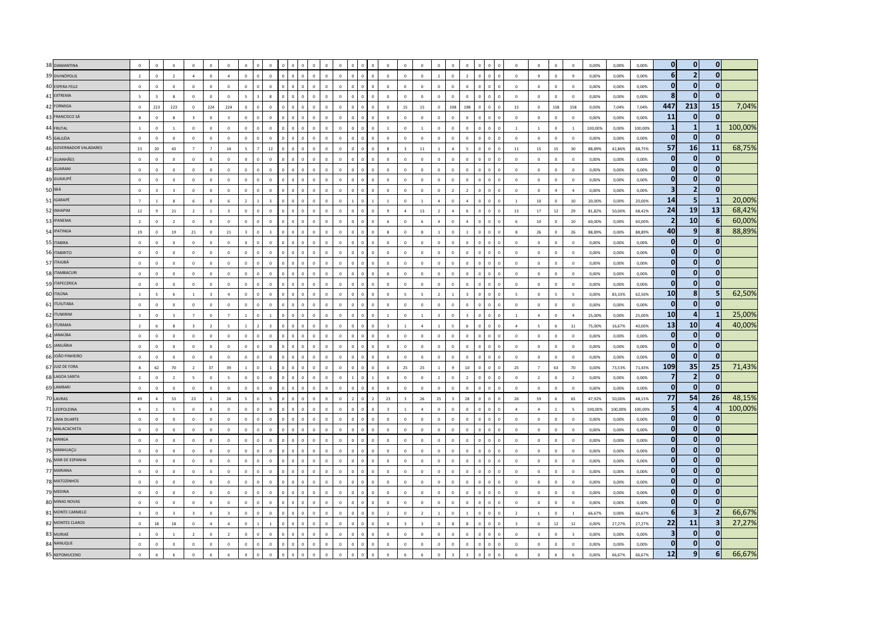| 38 DIAMANTINA                    | $\,$ 0 $\,$                   | $\,$ 0 $\,$                 | $\overline{0}$          | $\Omega$                 | $\Omega$                | $\overline{0}$             | $\Omega$           | $\Omega$       |          | $\Omega$                       | $\Omega$       | $\Omega$             | $\mathbf 0$             | $\Omega$                 | $\Omega$       | $\,$ 0 $\,$                | $\,$ 0 $\,$                        | $\overline{0}$          |                          | $\,$ 0 $\,$             | $\overline{0}$ | $\overline{0}$               | $\Omega$     | $\Omega$                         | $\Omega$                | $\mathbf 0$              | $\mathbf 0$              | $\mathbf 0$             | 0,00%   | 0,00%   | 0,00%   | $\mathbf 0$                  | $\mathbf{0}$             | $\overline{0}$               |         |
|----------------------------------|-------------------------------|-----------------------------|-------------------------|--------------------------|-------------------------|----------------------------|--------------------|----------------|----------|--------------------------------|----------------|----------------------|-------------------------|--------------------------|----------------|----------------------------|------------------------------------|-------------------------|--------------------------|-------------------------|----------------|------------------------------|--------------|----------------------------------|-------------------------|--------------------------|--------------------------|-------------------------|---------|---------|---------|------------------------------|--------------------------|------------------------------|---------|
| 39 DIVINÓPOLIS                   | $\overline{2}$                | $\,$ 0 $\,$                 | $\overline{2}$          | $\overline{4}$           | $\mathbf 0$             | $\overline{a}$             | $\Omega$           | $\Omega$       |          | $\Omega$<br>$\Omega$           |                | $\theta$             | $\Omega$                | $\Omega$                 | $\Omega$       | $\mathbf{0}$               | $\,$ 0 $\,$                        |                         | $\circ$                  | $\overline{2}$          | $\overline{0}$ | $\overline{2}$               | $\Omega$     | $\overline{0}$                   | $\,$ 0 $\,$             | $\ddot{q}$               | $\overline{0}$           | $\overline{9}$          | 0,00%   | 0,00%   | 0,00%   | 6                            | $\overline{2}$           | $\overline{0}$               |         |
| 40 ESPERA FELIZ                  | $\Omega$                      | $\Omega$                    | $\Omega$                | $\Omega$                 | $\Omega$                | $\Omega$                   | $\Omega$           | $\Omega$       |          | $\Omega$<br>$\sqrt{2}$         | $\Omega$       | $\Omega$             | $\Omega$                | $\Omega$                 | $\Omega$       | $\Omega$                   | $\Omega$                           |                         | $\Omega$                 | $\Omega$                | $\Omega$       | $\Omega$                     | $\Omega$     | $\Omega$                         | $\Omega$                | $\Omega$                 | $\Omega$                 | $\Omega$                | 0.00%   | 0.00%   | 0.00%   | $\mathbf 0$                  | $\mathbf{0}$             | $\mathbf{0}$                 |         |
| 41 EXTREMA                       | 5                             | $\overline{z}$              | $\mathbf{R}$            | $\Omega$                 | $\Omega$                | $\Omega$                   | $\mathbf{r}$       | $\mathbf{R}$   | $\Omega$ | $\mathbf 0$<br>$\Omega$        | $\sqrt{2}$     | $\Omega$             | $\Omega$                | $\Omega$                 | $\Omega$       | $\,0\,$                    | $\Omega$                           |                         | $\Omega$                 | $\Omega$                | $\Omega$       | $\Omega$                     | $\Omega$     | $\sqrt{2}$                       | $\Omega$                | $\Omega$                 | $\Omega$                 | $\Omega$                | 0.00%   | 0,00%   | 0.00%   | 8                            | $\mathbf{0}$             | $\mathbf{0}$                 |         |
| 42 FORMIGA                       | $\,$ 0 $\,$                   | 223                         | 223                     | $\circ$                  | 224                     | 224                        | $\mathbf 0$        | $\Omega$       |          | $\mathbf{0}$<br>$\Omega$       | $\Omega$       | $\Omega$             | $\mathbf 0$             | $\Omega$                 |                | $\mathbf{0}$               | 15                                 |                         | 15                       | $\mathbf 0$             | 198            | 198                          |              | $\Omega$                         | 15                      | $\mathbf{0}$             | 158                      | 158                     | 0,00%   | 7,04%   | 7,04%   | 447                          | 213                      | 15                           | 7,04%   |
| 43 FRANCISCO SÁ                  | $\boldsymbol{8}$              | $\mathbf 0$                 | 8                       | $\overline{\mathbf{3}}$  | $\mathbf 0$             | $\overline{\mathbf{3}}$    | $\mathbf{0}$       | $\mathbf{0}$   |          | $\overline{0}$                 | $\mathbf 0$    | $\mathbf{0}$         | $\mathbf 0$             |                          |                | $\,$ 0 $\,$                | $\overline{0}$                     |                         | $\mathbf{0}$             | $\overline{0}$          | $\overline{0}$ | $\overline{0}$               | $\mathbf{0}$ | $\overline{0}$                   | $\overline{\mathbf{0}}$ | $\mathbf 0$              | $\mathbf 0$              | $\mathbf 0$             | 0,00%   | 0,00%   | 0,00%   | 11                           | $\mathbf{0}$             | $\mathbf{0}$                 |         |
| 44 FRUTAL                        | $\mathbf{1}$                  | $\mathbf 0$                 | $\overline{1}$          | $\mathbf 0$              | $\overline{0}$          | $\mathbf 0$                | $\mathbf 0$        | $\mathbf{0}$   |          | $\mathbf{0}$<br>$\mathbf{0}$   | $\Omega$       | $\mathbf{0}$         | $\mathbf 0$             | $\Omega$                 |                | $\overline{1}$             | $\overline{0}$                     |                         | $\mathbf{1}$             | $\overline{0}$          | $\mathbf 0$    | $\overline{0}$               | $\Omega$     | $\overline{0}$                   | $\overline{1}$          | $\overline{1}$           | $\mathbf{0}$             | $\,$ 1 $\,$             | 100.00% | 0.00%   | 100.00% | $\mathbf{1}$                 | $\mathbf{1}$             | $\mathbf{1}$                 | 100,00% |
| 45 GALILÉIA                      | $\sqrt{2}$                    | $\overline{\mathbf{0}}$     | $\sqrt{2}$              | $\circ$                  | $\circ$                 | $\Omega$                   | $\Omega$           | $\Omega$       |          | n.<br>$\Omega$                 | $\Omega$       | $\Omega$             | $\mathbf 0$             | $\sqrt{2}$               | $\sqrt{2}$     | $\mathbf{0}$               | $\circ$                            |                         | $\Omega$                 | $\Omega$                | $\Omega$       | $\Omega$                     | $\Omega$     | $\Omega$<br>$\sqrt{2}$           | $\sqrt{2}$              | $\mathbf{0}$             | $\mathbf{0}$             | $\sqrt{2}$              | 0.00%   | 0.00%   | 0.00%   | $\Omega$                     | $\Omega$                 | $\mathbf{0}$                 |         |
| 46 GOVERNADOR VALADARES          | 23                            | 20                          | 43                      | $7^{\circ}$              | $\overline{7}$          | 14                         | $\bar{\mathbf{z}}$ | $12\,$         |          | $\sqrt{2}$<br>$\Omega$         |                | $\Omega$             | $\Omega$                | $\Omega$                 |                | $\mathbf{R}$               | $\overline{\mathbf{3}}$            |                         | $11\,$                   | $\mathbf{1}$            | $\Lambda$      | $\overline{\phantom{a}}$     | $\Omega$     | $\overline{0}$<br>$\overline{0}$ | $11\,$                  | 15                       | 15                       | 30                      | 88.89%  | 42.86%  | 68.75%  | 57                           | 16                       | 11                           | 68,75%  |
| 47 GUANHÃES                      | $\mathbf 0$                   | $\mathbf 0$                 | $\overline{0}$          | $\mathbf 0$              | $\mathbf{0}$            | $\mathbf{0}$               | $\mathbf 0$        |                |          |                                |                | $\Omega$             | $\mathbf 0$             | $\circ$                  |                | $\mathbf 0$                | $\overline{0}$                     |                         | $\mathbf 0$              | $\overline{0}$          | $\overline{0}$ | $\mathbf{0}$                 |              |                                  | $\mathbf 0$             | $\overline{0}$           | $\mathbf 0$              | $\mathbf 0$             | 0.00%   | 0,00%   | 0.00%   | n                            | 0                        | $\mathbf{0}$                 |         |
| 48 GUARANI                       | $\mathbf 0$                   | $\,$ 0 $\,$                 | $\overline{\mathbf{0}}$ | $\mathbf 0$              | $\,0\,$                 | $\mathbf 0$                | $\mathbf{0}$       | $\mathbf{0}$   |          | $\mathbf{0}$<br>$\mathbf{0}$   | $\mathbf 0$    | $\mathbf{0}$         | $\mathbf 0$             | $\mathbf 0$              | $\overline{0}$ | $\mathbf{0}$               | $\,$ 0                             |                         | $\,$ 0                   | $\mathbb O$             | $\overline{0}$ | $\overline{0}$               | $\mathbf{0}$ | $\mathbf 0$                      | $\overline{\mathbf{0}}$ | $\overline{0}$           | $\mathbf 0$              | $\mathbf 0$             | 0,00%   | 0,00%   | 0,00%   | $\bf{0}$                     | $\bf{0}$                 | $\overline{0}$               |         |
| 49 GUAXUPÉ                       | $\mathbf 0$                   | $\mathbf 0$                 | $\overline{\mathbf{0}}$ | $\mathbf 0$              | $\overline{0}$          | $\mathbf 0$                | $\sqrt{2}$         |                |          | $\overline{0}$<br>$\Omega$     | $\sqrt{2}$     | $\Omega$             | $\mathbf 0$             | $\overline{0}$           |                | $\overline{0}$             | $\,$ 0 $\,$                        |                         | $\overline{0}$           | $\overline{0}$          | $\overline{0}$ | $\overline{0}$               |              | $\sqrt{2}$                       | $\overline{\mathbf{0}}$ | $\overline{0}$           | $\mathbf 0$              | $\circ$                 | 0.00%   | 0.00%   | 0.00%   | $\bf{0}$                     | $\bf{0}$                 | $\mathbf{0}$                 |         |
| 50 IBIÁ                          | $\Omega$                      | $\overline{3}$              | $\overline{3}$          | $\Omega$                 | $\Omega$                | $\Omega$                   | $\Omega$           | $\Omega$       |          | $\mathbf{0}$<br>$\Omega$       | $\Omega$       | $\Omega$             | $\Omega$                | $\Omega$                 | $\sqrt{2}$     | $\Omega$                   | $\Omega$                           |                         | $\overline{0}$           | $\Omega$                | $\overline{z}$ | $\overline{z}$               | $\Omega$     | $\mathbf{0}$<br>$\Omega$         | $\Omega$                | $\Omega$                 | $\overline{a}$           | $\mathbf{A}$            | 0.00%   | 0.00%   | 0.00%   | $\overline{\mathbf{3}}$      | $\overline{2}$           | $\overline{0}$               |         |
| 51 IGARAPÉ                       | $\overline{7}$                | $\overline{1}$              | $\mathbf{R}$            | 6                        | $\mathbf{0}$            | 6                          | $\overline{ }$     |                |          | $\sqrt{2}$<br>$\Omega$         | $\Omega$       | $\Omega$             | $\mathbf 0$             |                          |                |                            | $\circ$                            |                         | $\overline{1}$           | $\overline{A}$          | $\Omega$       | $\Lambda$                    |              | $\Omega$                         | $\overline{1}$          | $10\,$                   | $\mathbf 0$              | 10                      | 20.00%  | 0,00%   | 20.00%  | 14                           | 5                        | $\mathbf{1}$                 | 20,00%  |
| 52 INHAPIM                       | $12\,$                        | $\overline{9}$              | 21                      | $\overline{2}$           | $\mathbf{1}$            | $\overline{\mathbf{3}}$    | $\mathbf 0$        | $\mathbf 0$    |          | 0<br>$\Omega$                  | $\mathbf{0}$   | $\mathbf 0$          | $\mathbf 0$             | $\Omega$                 |                | $\overline{9}$             | $\overline{a}$                     |                         | 13                       | $\overline{2}$          |                | 6                            | $\mathbf 0$  | $\overline{0}$                   | $13\,$                  | $17\,$                   | 12                       | 29                      | 81,82%  | 50,00%  | 68,42%  | 24                           | 19                       | 13                           | 68,42%  |
| 53 IPANEMA                       | $\overline{2}$                | $\,$ 0 $\,$                 | $\overline{\mathbf{2}}$ | $\mathbf 0$              | $\mathbf 0$             | $\mathbf 0$                | $\mathbf{0}$       | $\mathbf{0}$   |          | $\overline{0}$                 | $\mathbf{0}$   | $\mathbf 0$          | $\mathbf{0}$            |                          |                | 6                          | $\mathbf 0$                        |                         | 6                        | $\overline{4}$          | $\overline{0}$ | $\overline{4}$               |              | $\overline{0}$                   | 6                       | $10\,$                   | $\mathbf 0$              | $10\,$                  | 60,00%  | 0,00%   | 60,00%  | -2                           | 10                       | 6 <sup>1</sup>               | 60,00%  |
| 54 IPATINGA                      | 19                            | $\Omega$                    | 19                      | 21                       | $\Omega$                | 21                         | $\overline{a}$     |                |          | $\Omega$<br>$\Omega$           |                | $\Omega$             | $\Omega$                | $\Omega$                 |                | $\mathbf{R}$               | $\Omega$                           | $\mathbf{R}$            |                          | $\overline{1}$          | $\Omega$       | $\overline{1}$               | $\Omega$     | $\Omega$<br>$\Omega$             | $\mathbf{R}$            | 26                       | $\Omega$                 | 26                      | 88.89%  | 0.00%   | 88.89%  | 40                           | 9                        | 8                            | 88,89%  |
| 55 ITABIRA                       | $\Omega$                      | $\mathbf{0}$                | $\Omega$                | $\Omega$                 | $\Omega$                | $\theta$                   | $\Omega$           | $\Omega$       |          | $\Omega$<br>$\Omega$           | $\Omega$       | $\Omega$             | $\Omega$                | $\Omega$                 | $\Omega$       | $\Omega$                   | $\mathbf{0}$                       |                         | $\mathbf{0}$             | $\mathbf{0}$            | $\Omega$       | $\mathbf{0}$                 | $\Omega$     | $\Omega$                         | $\Omega$                | $\Omega$                 | $\Omega$                 | $\Omega$                | 0.00%   | 0.00%   | 0.00%   | $\mathbf{0}$                 | $\mathbf 0$              | $\overline{0}$               |         |
| 56 ITABIRITO                     | $\overline{0}$                | $\overline{\mathbf{0}}$     | $\overline{0}$          | $\mathbf 0$              | $\mathbf 0$             | $\mathbf 0$                | $\Omega$           | $\Omega$       |          | $\Omega$                       |                | $\Omega$             | $\Omega$                | $\Omega$                 |                | $\Omega$                   | $\circ$                            |                         | $\mathbf{0}$             | $\mathbf 0$             | $\Omega$       | $\circ$                      |              | $\sqrt{2}$                       | $\Omega$                | $\mathbf 0$              | $\mathbf 0$              | $\circ$                 | 0,00%   | 0,00%   | 0,00%   | $\mathbf{0}$                 | $\mathbf{0}$             | $\mathbf{0}$                 |         |
| 57 ITAJUBÁ                       | $\mathbf 0$                   | $\mathbf 0$                 | $\mathbf 0$             | $\mathbf 0$              | $\,$ 0 $\,$             | $\circ$                    | $\mathbf 0$        | $\mathbf{0}$   |          | $\mathbf 0$<br>$\mathbf{0}$    | $\mathbf 0$    | $\mathbf 0$          | $\mathbf 0$             | $\mathbf 0$              | $\circ$        | $\overline{0}$             | $\,0\,$                            |                         | $\,$ 0                   | $\mathbf 0$             | $\,$ 0         | $\mathbf 0$                  |              | $\mathbf 0$<br>$\overline{0}$    | $\,$ 0 $\,$             | $\mathbb O$              | $\mathbf 0$              | $\mathbb O$             | 0,00%   | 0,00%   | 0,00%   | $\Omega$                     | $\bf{0}$                 | 0                            |         |
| 58 ITAMBACURI                    | $\,$ 0 $\,$                   | $\mathbf 0$                 | $\overline{0}$          | $\mathbf 0$              | $\Omega$                | $\overline{0}$             | $\Omega$           |                |          | $\Omega$<br>$\Omega$           | $\Omega$       | $\Omega$             | $\Omega$                | $\Omega$                 | $\Omega$       | $\Omega$                   | $\overline{\mathbf{0}}$            |                         | $\,$ 0                   | $\mathbf{0}$            | $\,$ 0         | $\overline{0}$               |              | $\Omega$                         | $\Omega$                | $\overline{0}$           | $\mathbf 0$              | $\mathbb O$             | 0,00%   | 0,00%   | 0,00%   | $\Omega$                     | $\mathbf{0}$             | $\overline{0}$               |         |
| 59 ITAPECERICA                   | $\mathbf 0$                   | $\mathbf 0$                 | $\overline{0}$          | $\mathbf 0$              | $\mathbf 0$             | $\mathbf 0$                | $\mathbf{0}$       | $\Omega$       |          | $\Omega$<br>$\mathbf{0}$       | $\Omega$       | $\mathbf 0$          | $\Omega$                | $\overline{0}$           | $\Omega$       | $\mathbf{0}$               | $\overline{\mathbf{0}}$            |                         | $\mathbf 0$              | $\mathbf{0}$            | $\overline{0}$ | $\overline{0}$               | $\Omega$     | $\Omega$                         | $\mathbf 0$             | $\mathbb O$              | $\mathbf{0}$             | $\mathbf 0$             | 0,00%   | 0,00%   | 0,00%   | $\mathbf 0$                  | $\mathbf 0$              | $\overline{0}$               |         |
| 60 ITAÚNA                        | $\overline{1}$                | $\overline{5}$              | -6                      | $\overline{1}$           | $\overline{\mathbf{z}}$ | $\overline{a}$             | $\Omega$           | $\Omega$       |          | $\Omega$<br>$\Omega$           | $\Omega$       | $\Omega$             | $\mathbf 0$             | $\Omega$                 | $\sqrt{2}$     | $\Omega$                   | $\overline{\phantom{a}}$           |                         | $\overline{\phantom{a}}$ | $\overline{z}$          | $\overline{1}$ | $\overline{3}$               | $\Omega$     | $\Omega$                         | $\overline{5}$          | $\overline{0}$           | $\overline{\phantom{a}}$ | $\mathbf{5}$            | 0.00%   | 83.33%  | 62.50%  | 10                           | 8                        | 5 <sub>5</sub>               | 62,50%  |
| 61 ITUIUTABA                     | $\mathbf 0$                   | $\overline{0}$              | $\circ$                 | $\mathbf 0$              |                         | $\pmb{0}$                  | $\mathbf 0$        |                |          | $\mathbf{0}$                   |                | $\Omega$             | $\mathbf{0}$            |                          |                | $\mathbf{0}$               | $\mathbf 0$                        |                         | $\circ$                  | $\overline{0}$          |                | $\mathbf 0$                  |              |                                  | $\mathbf 0$             | $\mathbf 0$              | $\bf 0$                  | $\mathbb O$             | 0,00%   | 0,00%   | 0,00%   | $\mathbf 0$                  | $\bf{0}$                 | $\overline{0}$               |         |
| 62 <b>ITUMIRIM</b>               | $\overline{\mathbf{3}}$       | $\,$ 0 $\,$                 | $\overline{\mathbf{3}}$ | $\overline{7}$           | $\overline{0}$          | $\overline{7}$             | $\mathbf{1}$       |                |          | $\Omega$<br>$\mathbf 0$        | $\mathbf 0$    | $\mathbf 0$          | $\mathbf 0$             | $\Omega$                 |                | $\mathbf{1}$               | $\circ$                            |                         | $\mathbf{1}$             | $\overline{\mathbf{3}}$ | $\Omega$       | $\overline{\mathbf{3}}$      | $\Omega$     | $\mathbf 0$                      | $\overline{1}$          | $\overline{4}$           | $\mathbf 0$              | $\overline{a}$          | 25,00%  | 0,00%   | 25,00%  | 10                           | $\overline{a}$           | $\mathbf{1}$                 | 25,00%  |
| 63 ITURAMA                       | $\overline{2}$                | 6                           | 8                       | $\overline{3}$           | $\overline{2}$          | $\overline{\phantom{a}}$   | $\mathbf{1}$       |                |          | $\overline{a}$                 | $\Omega$       | $\Omega$             | $\mathbf 0$             | $\Omega$                 |                | $\overline{3}$             | $\overline{1}$                     |                         | $\overline{a}$           | $\overline{1}$          |                | $\overline{6}$               | $\Omega$     | $\theta$                         | $\overline{a}$          | $\overline{\phantom{a}}$ | $6\phantom{1}6$          | $11\,$                  | 75,00%  | 16,67%  | 40,00%  | 13                           | 10                       | $\overline{a}$               | 40,00%  |
| 64 JANAÚBA                       | $\mathbf 0$                   | $\mathbf 0$                 | $\mathbf 0$             | $\mathbf 0$              | $\mathbf 0$             | $\mathbf 0$                | $\mathbf{0}$       | $\Omega$       |          | $\overline{0}$<br>$\Omega$     |                | $\Omega$             | $\mathbf{0}$            | $\Omega$                 |                | $\mathbf{0}$               | $\overline{0}$                     |                         | $\mathbf{0}$             | $\mathbf{0}$            | $\mathbf 0$    | $\,$ 0 $\,$                  |              | $\overline{0}$                   | $\overline{0}$          | $\mathbf 0$              | $\mathbf{0}$             | $\mathbf 0$             | 0,00%   | 0.00%   | 0.00%   | $\mathbf 0$                  | $\bf{0}$                 | 0                            |         |
| 65 JANUÁRIA                      | $\overline{0}$                | $\overline{\mathbf{0}}$     | $\Omega$                | $\Omega$                 | $\circ$                 | $\Omega$                   | $\Omega$           | $\Omega$       |          | $\Omega$<br>$\Omega$           | $\Omega$       | $\Omega$             | $\Omega$                | $\Omega$                 | $\sqrt{2}$     | $\Omega$                   | $\Omega$                           |                         | $\Omega$                 | $\Omega$                | $\Omega$       | $\Omega$                     | $\Omega$     | $\Omega$<br>$\Omega$             | $\Omega$                | $\Omega$                 | $\mathbf{0}$             | $\Omega$                | 0.00%   | 0.00%   | 0.00%   | $\mathbf 0$                  | $\mathbf{0}$             | $\mathbf{0}$                 |         |
| 66 JOÃO PINHEIRO                 | $\Omega$                      | $\Omega$                    | $\Omega$                | $\circ$                  | $\Omega$                | $\Omega$                   | $\Omega$           | $\Omega$       |          | $\Omega$<br>$\Omega$           | $\Omega$       | $\Omega$             | $\Omega$                | $\Omega$                 | $\Omega$       | $\Omega$                   | $\Omega$                           |                         | $\Omega$                 | $\Omega$                | $\Omega$       | $\Omega$                     | $\Omega$     | $\mathbf{0}$<br>$\Omega$         | $\Omega$                | $\mathbf 0$              | $\mathbf{0}$             | $\Omega$                | 0.00%   | 0.00%   | 0.00%   | $\mathbf{0}$                 | $\mathbf{0}$             | $\mathbf{0}$                 |         |
| 67 JUIZ DE FORA                  | 8                             | 62                          | 70                      | $\overline{2}$           | 37                      | 39                         | $\mathbf{1}$       |                |          | $\overline{0}$<br>$\mathbf{0}$ | $\overline{0}$ | $\mathbf 0$          | $\mathbf 0$             | $\overline{0}$           | $\overline{0}$ | $\mathbf{0}$               | 25                                 |                         | 25                       | $1$ $\,$                | $\overline{9}$ | $10\,$                       | $\Omega$     | $\circ$                          | 25                      | $\overline{7}$           | 63                       | 70                      | 0,00%   | 73,53%  | 71,43%  | 109                          | 35                       | 25                           | 71,43%  |
| 68 LAGOA SANTA                   | $\overline{2}$                | $\,$ 0 $\,$                 | $\overline{2}$          | $\overline{\phantom{a}}$ | $\mathbf 0$             | $\overline{\phantom{a}}$   | $\mathbf{0}$       |                |          | $\overline{0}$                 |                | $\theta$             | $\mathbf 0$             |                          | $\Omega$       | $\,$ 0 $\,$                | $\overline{0}$                     |                         | $\overline{0}$           | $\overline{2}$          | $\overline{0}$ | $\overline{2}$               | $\Omega$     | $\Omega$                         | $\mathbf 0$             | $\overline{2}$           | $\overline{0}$           | $\overline{2}$          | 0,00%   | 0,00%   | 0,00%   | 7                            | $\overline{2}$           | $\mathbf{0}$                 |         |
| 69 LAMBARI                       | $\mathbf 0$                   | $\mathbf 0$                 | $\mathbf 0$             | $\mathbf 0$              | $\overline{0}$          | $\mathbf 0$                | $\mathbf 0$        | $\Omega$       |          | $\mathbf{0}$<br>$\Omega$       | $\Omega$       | $\mathbf{0}$         | $\mathbf 0$             | $\Omega$                 | $\Omega$       | $\overline{0}$             | $\overline{\mathbf{0}}$            |                         | $\mathbf 0$              | $\,$ 0                  | $\overline{0}$ | $\overline{0}$               | $\Omega$     | $\overline{0}$                   | $\overline{\mathbf{0}}$ | $\mathbb O$              | $\mathbf{0}$             | $\,$ 0 $\,$             | 0.00%   | 0.00%   | 0.00%   | $\mathbf 0$                  | $\mathbf{0}$             | $\overline{0}$               |         |
| 70 LAVRAS                        | 49                            | $\overline{A}$              | 53                      | $23\,$                   | $\overline{1}$          | 24                         | $\bar{\mathbf{z}}$ |                |          | n.                             | $\Omega$       | $\Omega$             | $\Omega$                | $\overline{\phantom{a}}$ |                | 23                         | $\overline{\mathbf{z}}$            |                         | 26                       | 25                      |                | 28                           | $\Omega$     | $\sqrt{2}$                       | 26                      | 59                       | $\mathbf{a}$             | 65                      | 47.92%  | 50,00%  | 48.15%  | 77                           | 54                       | 26                           | 48,15%  |
| 71 LEOPOLDINA                    | $\mathfrak{a}$                | $\overline{1}$              | $\overline{5}$          | $\mathbf 0$              | $\Omega$                | $\Omega$                   | $\Omega$           | $\Omega$       |          | $\sqrt{2}$<br>$\Omega$         | $\Omega$       | $\Omega$             | $\mathbf 0$             | $\Omega$                 |                |                            | $\mathbf{1}$                       |                         | $\mathbf{A}$             | $\mathbf{0}$            | $\Omega$       | $\Omega$                     |              | $\Omega$                         | $\Lambda$               | $\overline{a}$           |                          | $\overline{5}$          | 100.00% | 100,00% | 100.00% | 5                            | $\overline{a}$           | $\overline{a}$               | 100,00% |
| 72 LIMA DUARTE                   | $\mathbf 0$                   | $\overline{0}$              | $\overline{0}$          | $\mathbf 0$              | $\overline{0}$          | $\overline{0}$             | $\mathbf{0}$       |                |          | $\overline{0}$                 |                | $\mathbf{0}$         | $\mathbf 0$             |                          |                | $\mathbf{0}$               | $\mathbf{0}$                       | $\overline{0}$          |                          | $\overline{0}$          |                | $\overline{0}$               |              | $\overline{0}$                   | $\mathbf 0$             | $\overline{0}$           | $\mathbf{0}$             | $\mathbf 0$             | 0,00%   | 0,00%   | 0,00%   | $\mathbf{0}$                 | $\mathbf{0}$             | $\mathbf{0}$                 |         |
| 73 MALACACHETA                   | $\,$ 0 $\,$                   | $\,$ 0 $\,$                 | $\overline{\mathbf{0}}$ | $\mathbf 0$              | $\mathbf 0$             | $\mathbf 0$                | $\mathbf{0}$       | $\overline{0}$ |          | $\overline{0}$<br>$\mathbf{0}$ | $\mathbf 0$    | $\mathbf{0}$         | $\mathbf 0$             | $\circ$                  |                | $\,$ 0 $\,$                | $\mathfrak o$                      |                         | $\,$ 0                   | $\overline{0}$          | $\mathbf{0}$   | $\,$ 0                       |              | $\overline{0}$                   | $\mathbf 0$             | $\mathbf 0$              | $\mathbf 0$              | $\mathbf 0$             | 0,00%   | 0,00%   | 0,00%   | $\mathbf{0}$                 | $\bf{0}$                 | $\overline{0}$               |         |
| 74 MANGA                         | $\Omega$                      | $\Omega$                    | $\Omega$                | $\Omega$                 | $\Omega$                | $\Omega$                   | $\Omega$           | $\Omega$       |          | $\Omega$<br>$\Omega$           |                | $\Omega$             | $\Omega$                | $\Omega$                 |                | $\Omega$                   | $\Omega$                           |                         | $\Omega$                 | $\Omega$                | $\Omega$       | $\,$ 0 $\,$                  | $\Omega$     | $\Omega$                         | $\Omega$                | $\Omega$                 | $\Omega$                 | $\Omega$                | 0.00%   | 0.00%   | 0.00%   | $\mathbf{0}$<br>$\mathbf{0}$ | $\bf{0}$                 | $\mathbf{0}$<br>$\mathbf{0}$ |         |
| 75 MANHUAÇU<br>76 MAR DE ESPANHA | $\mathbf{0}$                  | $\mathbf{0}$                | $\Omega$                | $\Omega$                 | $\Omega$                | $\Omega$                   | $\Omega$           | $\Omega$       | n        | $\Omega$<br>$\Omega$           | $\Omega$       | $\Omega$             | $\Omega$                | $\Omega$                 | $\Omega$       | $\Omega$                   | $\Omega$                           |                         | $\Omega$                 | $\mathbf{0}$            | $\Omega$       | $\circ$                      | $\Omega$     | $\Omega$                         | $\Omega$                | $\Omega$                 | $\Omega$                 | $\Omega$                | 0.00%   | 0.00%   | 0.00%   | $\mathbf{0}$                 | $\mathbf 0$<br>$\bf{0}$  | $\mathbf{0}$                 |         |
| 77 MARIANA                       | $\overline{0}$                | $\mathbf 0$                 | $\overline{\mathbf{0}}$ | $\mathbf 0$              | $\Omega$                | $\mathbf 0$                | $\Omega$           | $\Omega$       |          | $\Omega$<br>$\mathbf{0}$       | $\Omega$       | $\Omega$             | $\mathbf 0$             | $\circ$                  | $\Omega$       | $\overline{0}$             | $\,$ 0                             |                         | $\overline{0}$           | $\circ$                 | $\mathbf 0$    | $\overline{0}$               | $\Omega$     | $\mathbf 0$<br>$\Omega$          | $\Omega$                | $\overline{0}$           | $\mathbf 0$              | $\circ$                 | 0,00%   | 0,00%   | 0,00%   |                              |                          |                              |         |
| 78 MATOZINHOS                    | $\mathbf 0$                   | $\,$ 0 $\,$                 | $\overline{\mathbf{0}}$ | $\mathbf 0$              | $\overline{0}$          | $\mathbf 0$                | $\mathbf 0$        |                |          | $\mathbf{0}$                   |                | $\mathbf{0}$         | $\mathbf 0$             | $\overline{0}$           | $\overline{0}$ | $\mathbf{0}$               | $\,$ 0                             |                         | $\mathbf{0}$             | $\mathbf 0$             | $\overline{0}$ | $\,$ 0                       |              | $\overline{0}$                   | $\mathbf 0$             | $\mathbf{0}$             | $\mathbf 0$              | $\mathbf 0$             | 0,00%   | 0,00%   | 0,00%   | $\Omega$<br>O                | $\bf{0}$                 | $\mathbf{0}$<br>$\mathbf{0}$ |         |
|                                  | $\Omega$                      | $\,$ 0 $\,$                 | $\overline{\mathbf{0}}$ | $\mathbf 0$              | $\Omega$                | $\circ$                    | $\Omega$           |                |          | $\Omega$                       | $\Omega$       | $\Omega$             | $\Omega$                | $\Omega$                 |                | $\Omega$                   | $\,$ 0                             | $\overline{0}$          |                          | $\mathbf 0$             | $\,$ 0         | $\,$ 0                       |              | $\Omega$                         | $\Omega$                | $\mathbb O$              | $\mathbf 0$              | $\mathbb O$             | 0,00%   | 0,00%   | 0,00%   | $\Omega$                     | $\bf{0}$<br>$\mathbf{0}$ | $\mathbf{0}$                 |         |
| 79 MEDINA<br>80 MINAS NOVAS      | $\mathbf{0}$                  | $\mathbf{0}$                | $\Omega$                | $\Omega$                 | $\Omega$                | $\Omega$                   | $\Omega$           |                |          | $\Omega$                       |                | $\Omega$             | $\sqrt{2}$              | $\Omega$                 |                | $\Omega$                   | $\Omega$                           |                         | $\Omega$                 | $\Omega$                | $\Omega$       | $\Omega$                     |              | $\Omega$                         | $\Omega$                | $\Omega$                 | $\Omega$                 | $\Omega$                | 0.00%   | 0.00%   | 0.00%   | $\mathbf 0$                  | $\mathbf{0}$             | $\overline{0}$               |         |
| 81 MONTE CARMELO                 | $\mathbf 0$                   | $\Omega$                    | $\Omega$                | $\Omega$                 | $\Omega$                | $\Omega$                   | $\Omega$           | $\Omega$       |          | $\overline{0}$<br>$\Omega$     | $\Omega$       | $\Omega$             | $\Omega$                | $\Omega$                 | $\Omega$       | $\Omega$                   | $\Omega$                           |                         | $\Omega$                 | $\Omega$                | $\Omega$       | $\Omega$                     | $\Omega$     | $\Omega$                         | $\Omega$                | $\Omega$                 | $\Omega$                 | $\Omega$                | 0.00%   | 0.00%   | 0.00%   |                              | 3                        | $\overline{2}$               | 66,67%  |
| 82 MONTES CLAROS                 | $\overline{3}$                | $\overline{0}$              | $\overline{\mathbf{3}}$ | $\overline{3}$           | $\overline{0}$          | $\overline{\mathbf{3}}$    | $\mathbf 0$        |                |          | $\mathbf{0}$<br>$\sqrt{2}$     | $\Omega$       | $\Omega$<br>$\Omega$ | $\mathbf 0$             | $\Omega$<br>$\Omega$     |                | $\overline{2}$             | $\circ$<br>$\overline{\mathbf{3}}$ |                         | $\overline{2}$           | $\overline{1}$          | $\Omega$<br>R  | $\mathbf{1}$<br>$\mathbf{R}$ | $\Omega$     | $\Omega$                         | $\overline{2}$          | $\overline{1}$           | $\mathbf 0$              | $\overline{1}$          | 66,67%  | 0,00%   | 66,67%  | 6<br>22                      | 11                       | $\overline{\mathbf{3}}$      | 27,27%  |
|                                  | $\mathbf 0$<br>$\overline{1}$ | 18                          | 18                      | $\mathbf 0$              | $\overline{a}$          | $\overline{a}$             | $\mathbf 0$        |                |          | $\mathbf 0$<br>$\Omega$        |                | $\Omega$             | $\mathbf 0$<br>$\Omega$ |                          |                | $\,$ 0                     | $\Omega$                           | $\overline{\mathbf{3}}$ |                          | $\mathbf 0$<br>$\Omega$ |                | $\overline{0}$               |              | $\mathbf 0$                      | $\overline{3}$          | $\mathbf 0$              | 12                       | 12                      | 0,00%   | 27,27%  | 27,27%  | 3                            | $\Omega$                 | $\mathbf{0}$                 |         |
| 83 MURIAÉ<br>84 NANUQUE          | $\Omega$                      | $\,$ 0 $\,$<br>$\mathbf{0}$ | $\overline{1}$          | $\overline{2}$           | $\Omega$                | $\overline{2}$<br>$\Omega$ | $\mathbf 0$        | $\Omega$       |          | $\Omega$                       | $\Omega$       | $\Omega$             | $\Omega$                | $\Omega$<br>$\Omega$     |                | $\overline{0}$<br>$\Omega$ | $\Omega$                           |                         | $\circ$<br>$\Omega$      | $\Omega$                | $\Omega$       | $\Omega$                     | $\Omega$     |                                  | $\circ$                 | $\overline{\mathbf{3}}$  | $\mathbf 0$              | $\overline{\mathbf{3}}$ | 0,00%   | 0,00%   | 0,00%   | $\mathbf{0}$                 | $\bf{0}$                 | $\mathbf{0}$                 |         |
|                                  |                               |                             | $\Omega$                | $\Omega$                 | $\Omega$                |                            | $\Omega$           | $\Omega$       |          | $\Omega$                       | $\Omega$       |                      |                         |                          |                |                            |                                    |                         |                          |                         | $\Omega$       |                              |              | $\Omega$                         | $\Omega$                | $\mathbf 0$              | $\Omega$                 | $\Omega$                | 0.00%   | 0.00%   | 0.00%   | 12                           | 9                        | 6 <sup>1</sup>               | 66,67%  |
| 85 NEPOMUCENO                    | $\,$ 0 $\,$                   | $\,$ 6                      | 6                       | $\mathbf{0}$             |                         | 6                          | $\Omega$           |                |          |                                |                |                      | $\Omega$                |                          |                | $\Omega$                   |                                    |                         | 6                        | $\Omega$                |                | $\overline{\mathbf{z}}$      |              |                                  |                         | $\mathbf 0$              | 6                        | 6                       | 0.00%   | 66.67%  | 66.67%  |                              |                          |                              |         |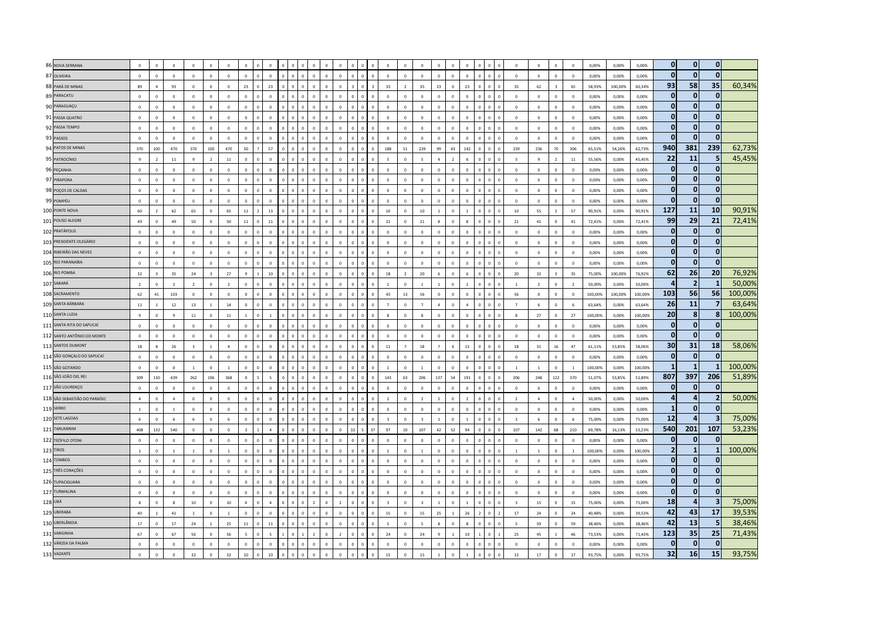|         | 86 NOVA SERRANA              | $\mathbf{0}$   | $\Omega$                | $\Omega$                | $\Omega$                | $\Omega$       | $\Omega$       | $\overline{0}$          | $\Omega$           |            |          |                |                | $\Omega$       |                | $\Omega$                | $\Omega$                 | $\Omega$                |                | $\Omega$       |                  |            |                      | $\Omega$                 | $\Omega$       | $\mathbf 0$    | $\mathbf{0}$   | 0,00%   | 0,00%   | 0,00%   | $\mathbf 0$             | $\mathbf{0}$   | $\overline{0}$          |         |
|---------|------------------------------|----------------|-------------------------|-------------------------|-------------------------|----------------|----------------|-------------------------|--------------------|------------|----------|----------------|----------------|----------------|----------------|-------------------------|--------------------------|-------------------------|----------------|----------------|------------------|------------|----------------------|--------------------------|----------------|----------------|----------------|---------|---------|---------|-------------------------|----------------|-------------------------|---------|
|         | 87 OLIVEIRA                  | $\Omega$       | $\Omega$                | $\Omega$                | $\mathbf 0$             | $\mathbf 0$    | $\Omega$       | $\,$ 0 $\,$             | $\overline{0}$     | $\Omega$   |          | $\theta$       | $\Omega$       | $\Omega$       | $\Omega$       | $\Omega$                | $\Omega$                 | $\Omega$                | $\Omega$       | $\Omega$       | $\Omega$         |            |                      | $\mathbf 0$              | $\overline{0}$ | $\mathbf 0$    | $\mathbf 0$    | 0,00%   | 0,00%   | 0,00%   | $\mathbf 0$             | $\mathbf{0}$   | $\mathbf{0}$            |         |
|         | 88 PARÁ DE MINAS             | 89             | $\overline{a}$          | 93                      | $\Omega$                | $\Omega$       | $\Omega$       | 23                      | 23                 | $\sqrt{2}$ |          |                | $\Omega$       | $\Omega$       |                | 33                      | $\overline{\phantom{a}}$ | 35                      | 73             | $\Omega$       | 23               |            |                      | 35                       | 62             | $\overline{z}$ | 65             | 58,93%  | 100.00% | 60.34%  | 93                      | 58             | 35                      | 60,34%  |
|         | 89 PARACATU                  | $\Omega$       | $\Omega$                | $\Omega$                | $\Omega$                | $\Omega$       | $\Omega$       | $\sqrt{2}$              | $\sqrt{2}$         | $\sqrt{2}$ |          | $\Omega$       | $\Omega$       | $\Omega$       | $\Omega$       | $\Omega$                | $\Omega$                 | $\Omega$                | $\Omega$       | $\sqrt{2}$     | $\Omega$         |            |                      | $\Omega$                 | $\Omega$       | $\Omega$       | $\Omega$       | 0.00%   | 0,00%   | 0,00%   | $\mathbf{0}$            | $\bf{0}$       | $\mathbf{0}$            |         |
|         | 90 PARAGUAÇU                 | $\,0\,$        | $\mathbf{0}$            | $\mathbf 0$             | $\mathbf 0$             | $\circ$        | $\mathbb O$    | $\mathbf 0$             | $\Omega$           |            |          |                |                | $\Omega$       |                | $\circ$                 |                          | $\Omega$                |                |                |                  |            |                      | $\,$ 0 $\,$              | $\overline{0}$ | $\mathbf{0}$   | $\mathbf 0$    | 0,00%   | 0,00%   | 0.00%   | $\Omega$                | $\mathbf{0}$   | $\mathbf{0}$            |         |
|         | 91 PASSA QUATRO              | $\mathbf 0$    | $\mathbf{0}$            | $\mathbf 0$             | $\overline{0}$          | $\mathbf 0$    | $\mathbf 0$    | $\overline{0}$          | $\overline{0}$     |            |          |                |                | $\mathbf 0$    | $\overline{0}$ | $\mathbf{0}$            |                          | $\mathbf 0$             |                |                |                  |            |                      | $\mathbf 0$              | $\overline{0}$ | $\mathbf{0}$   | $\mathbf 0$    | 0,00%   | 0,00%   | 0,00%   | $\mathbf{0}$            | $\bf{0}$       | $\mathbf{0}$            |         |
|         | 92 PASSA TEMPO               | $\,$ 0 $\,$    | $\Omega$                | $\mathbf 0$             | $\mathbf 0$             | $\mathbf 0$    | $\mathbf 0$    | $\circ$                 | $\overline{0}$     |            |          | $\Omega$       | $\Omega$       | $\mathbf 0$    | $\Omega$       | $\circ$                 | $\Omega$                 | $\overline{0}$          | $\Omega$       | $\Omega$       | $\Omega$         |            |                      | $\mathbf 0$              | $\mathbb O$    | $\mathbf 0$    | $\overline{0}$ | 0,00%   | 0.00%   | 0.00%   | $\mathbf 0$             | $\mathbf 0$    | 0                       |         |
|         | 93 PASSOS                    | $\Omega$       | $\sqrt{2}$              | $\sqrt{2}$              | $\sqrt{2}$              | $\Omega$       | $\circ$        | $\sqrt{2}$              | $\Omega$           |            |          | $\Omega$       | $\Omega$       | $\Omega$       | $\Omega$       | $\Omega$                | $\Omega$                 | $\sqrt{2}$              | $\Omega$       | $\Omega$       | $\Omega$         |            | $\sqrt{2}$           | $\sqrt{2}$               | $\sqrt{2}$     | $\circ$        | $\overline{0}$ | 0.00%   | 0.00%   | 0.00%   | $\Omega$                | $\Omega$       | $\mathbf{0}$            |         |
|         | 94 PATOS DE MINAS            | 370            | 100                     | 470                     | 370                     | 100            | 470            | 50                      | 57                 |            |          | $\Omega$       | $\Omega$       | $\Omega$       | $\Omega$       | 188                     | 51                       | 239                     | $q\bar{q}$     | 43             | 142              |            | $\Omega$             | 239                      | 236            | 70             | 306            | 65,51%  | 54,26%  | 62.73%  | 940                     | 381            | 239                     | 62,73%  |
|         | 95 PATROCÍNIO                | $\mathbf{q}$   |                         | $11\,$                  | q                       | $\overline{2}$ | $11\,$         | $\mathbf 0$             |                    |            |          |                |                |                |                |                         |                          |                         |                |                |                  |            |                      | $\overline{\phantom{a}}$ | $\overline{9}$ | $\overline{2}$ | $11\,$         | 55,56%  | 0,00%   | 45,45%  | 22                      | 11             | 5                       | 45,45%  |
|         | 96 PEÇANHA                   | $\mathbf 0$    | $\circ$                 | $\mathbf 0$             | $\mathbf 0$             | $\mathbf 0$    | $\mathbf 0$    | $\,$ 0 $\,$             | $\overline{0}$     |            |          |                |                | $\mathbf 0$    | $\mathbf 0$    | $\mathbf{0}$            | $\mathbf 0$              | $\mathbf 0$             | $\mathbf{0}$   | $\mathbf 0$    | $\circ$          |            |                      | $\overline{0}$           | $\mathbb O$    | $\mathbf 0$    | $\overline{0}$ | 0,00%   | 0,00%   | 0,00%   | 0                       | $\bf{0}$       | $\bf{0}$                |         |
|         | 97 PIRAPORA                  | $\mathbf 0$    | $\sqrt{2}$              | $\mathbf 0$             | $\mathbf 0$             | $\overline{0}$ | $\mathbf 0$    | $\overline{0}$          | $\Omega$           |            |          |                |                | $\Omega$       |                | $\Omega$                | $\mathbf 0$              | $\mathbf 0$             | $\Omega$       | $\sqrt{2}$     | $\Omega$         |            |                      | $\overline{0}$           | $\overline{0}$ | $\mathbf{0}$   | $\overline{0}$ | 0.00%   | 0.00%   | 0.00%   | $\mathbf{0}$            | $\mathbf{0}$   | $\mathbf{0}$            |         |
|         | 98 POÇOS DE CALDAS           | $\mathbf{0}$   | $\Omega$                | $\mathbf{0}$            | $\Omega$                | $\Omega$       | $\Omega$       | $\overline{0}$          | $\Omega$           |            |          | $\Omega$       | $\Omega$       | $\Omega$       | $\Omega$       | $\Omega$                | $\Omega$                 | $\Omega$                | $\Omega$       | $\Omega$       | $\Omega$         | $\Omega$   | $\sqrt{2}$           | $\Omega$                 | $\Omega$       | $\Omega$       | $\Omega$       | 0.00%   | 0.00%   | 0.00%   | $\mathbf{0}$            | $\mathbf{0}$   | $\mathbf{0}$            |         |
|         | 99 POMPÉU                    | $\Omega$       | $\Omega$                | $\overline{\mathbf{0}}$ | $\overline{0}$          | $\Omega$       | $\Omega$       | $\Omega$                | $\Omega$           |            |          |                |                | $\Omega$       |                | $\Omega$                | $\Omega$                 | $\Omega$                |                | $\Omega$       |                  |            |                      | $\overline{0}$           | $\mathbf 0$    | $\overline{0}$ | $\overline{0}$ | 0.00%   | 0,00%   | 0.00%   | $\Omega$                | $\Omega$       | $\mathbf{0}$            |         |
|         | 100 PONTE NOVA               | 60             | <sup>2</sup>            | 62                      | 65                      | $\circ$        | 65             | $11\,$                  | 13                 |            |          |                | $\Omega$       | $\mathbf 0$    | $\mathbf 0$    | $10\,$                  | $\Omega$                 | $10\,$                  |                | $\Omega$       |                  |            |                      | $10\,$                   | 55             | $\overline{2}$ | 57             | 90,91%  | 0,00%   | 90,91%  | 127                     | 11             | 10                      | 90,91%  |
|         | 101 POUSO ALEGRE             | 49             | $\mathbf 0$             | 49                      | 50                      | $\mathbf 0$    | $50\,$         | $11\,$                  | $11\,$             |            |          |                |                | $\mathbf 0$    | $\overline{0}$ | ${\bf 21}$              | $\mathbf 0$              | ${\bf 21}$              |                | $\mathbf 0$    |                  |            |                      | 21                       | 41             | $\mathbf 0$    | $41\,$         | 72,41%  | 0,00%   | 72,41%  | 99                      | 29             | 21                      | 72,41%  |
|         | 102 PRATÁPOLIS               | $\Omega$       | $\Omega$                | $\Omega$                | $\Omega$                | $\Omega$       | $\Omega$       | $\overline{0}$          | $\sqrt{2}$         |            |          |                | $\Omega$       | $\Omega$       |                | $\Omega$                | $\Omega$                 | $\Omega$                | $\Omega$       |                | $\Omega$         | $\sqrt{2}$ |                      | $\Omega$                 | $\Omega$       | $\Omega$       | $\Omega$       | 0.00%   | 0.00%   | 0.00%   | $\mathbf{0}$            | $\mathbf{0}$   | $\mathbf{0}$            |         |
|         | 103 PRESIDENTE OLEGÁRIO      | $\Omega$       | $\Omega$                | $\Omega$                | $\Omega$                | $\Omega$       | $\Omega$       | $\overline{0}$          | $\Omega$           |            |          | $\Omega$       | $\Omega$       | $\Omega$       | $\Omega$       | $\Omega$                | $\Omega$                 | $\Omega$                | $\Omega$       | $\Omega$       | $\Omega$         |            | $\sqrt{2}$           | $\Omega$                 | $\Omega$       | $\Omega$       | $\Omega$       | 0.00%   | 0.00%   | 0.00%   | $\mathbf{0}$            | $\mathbf{0}$   | $\mathbf{0}$            |         |
|         | 104 RIBEIRÃO DAS NEVES       | $\mathbf 0$    | $\Omega$                | $\overline{\mathbf{0}}$ | $\overline{0}$          | $\overline{0}$ | $\mathbf 0$    | $\overline{0}$          | $\Omega$           |            |          |                |                | $\Omega$       |                | $\Omega$                | $\Omega$                 | $\Omega$                |                |                | $\Omega$         |            |                      | $\overline{0}$           | $\mathbf{0}$   | $\,$ 0 $\,$    | $\overline{0}$ | 0,00%   | 0,00%   | 0,00%   | $\mathbf{0}$            | $\bf{0}$       | $\mathbf{0}$            |         |
|         | 105 RIO PARANAÍBA            | $\mathbf 0$    | $\circ$                 | $\mathbf 0$             | $\mathbf 0$             | $\mathbf 0$    | $\mathbb O$    | $\overline{0}$          | $\,$ 0             |            |          | $\overline{0}$ | $\overline{0}$ | $\mathbf 0$    | $\mathbf 0$    | $\mathbf 0$             | $\circ$                  | $\mathbf 0$             | $\mathbf{0}$   | $\mathbf 0$    | $\mathbf 0$      |            |                      | $\mathbf 0$              | $\mathbf 0$    | $\mathbf 0$    | $\mathbf 0$    | 0,00%   | 0,00%   | 0,00%   | $\Omega$                | $\bf{0}$       | $\mathbf{0}$            |         |
|         | 106 RIO POMBA                | 32             | $\overline{\mathbf{3}}$ | 35                      | 24                      | $\overline{3}$ | 27             | $\ddot{q}$              | 10                 |            |          | $\Omega$       |                | $\Omega$       |                | 18                      | $\overline{z}$           | 20                      |                | $\Omega$       |                  |            |                      | 20                       | 32             | $\overline{3}$ | 35             | 75,00%  | 100,00% | 76,92%  | 62                      | 26             | 20                      | 76,92%  |
|         | 107 SABARÁ                   | $\overline{z}$ | $\Omega$                | $\overline{z}$          | $\overline{z}$          | $\mathbf{0}$   | $\overline{z}$ | $\,$ 0 $\,$             | $\Omega$           |            |          | $\theta$       | $\Omega$       | $\Omega$       | $\Omega$       |                         | $\Omega$                 | $\mathbf{1}$            |                | $\Omega$       | $\overline{1}$   |            |                      | $\overline{1}$           | $\overline{2}$ | $\overline{0}$ | $\overline{2}$ | 50,00%  | 0,00%   | 50,00%  | $\overline{\mathbf{r}}$ | $\overline{2}$ | 1                       | 50,00%  |
|         | 108 SACRAMENTO               | 62             | 41                      | 103                     | $\Omega$                | $\Omega$       | $\Omega$       | $\overline{0}$          | $\Omega$           | $\sqrt{2}$ |          | $\Omega$       | $\Omega$       | $\Omega$       | $\Omega$       | 43                      | 13                       | 56                      | $\Omega$       | $\Omega$       | $\Omega$         |            | $\sqrt{2}$           | 56                       | $\mathbf 0$    | $\Omega$       | $\Omega$       | 100,00% | 100.00% | 100,00% | 103                     | 56             | 56                      | 100,00% |
|         | 109 SANTA BÁRBARA            | $11\,$         |                         | 12                      | 13                      |                | $14\,$         | $\overline{0}$          | $\Omega$           |            |          |                |                | $\mathbf 0$    |                | $\overline{7}$          | $\Omega$                 | $\overline{7}$          |                |                |                  |            |                      | $\overline{7}$           | 6              | $\mathbf{0}$   | 6              | 63,64%  | 0,00%   | 63,64%  | 26                      | <b>11</b>      | $\overline{7}$          | 63,64%  |
|         | 110 SANTA LUZIA              | $\mathbf{q}$   | $\mathbb O$             | $\overline{9}$          | $11\,$                  | $\mathbb O$    | $11\,$         | $\mathbf{1}$            |                    |            |          | $\Omega$       | $\Omega$       | $\mathbf{0}$   | $\Omega$       | 8                       | $\Omega$                 | 8                       |                | $\Omega$       | $\Omega$         |            |                      | 8                        | 27             | $\mathbf 0$    | 27             | 100,00% | 0,00%   | 100,00% | 20                      | 8              | 8 <sup>1</sup>          | 100,00% |
|         | 111 SANTA RITA DO SAPUCAÍ    | $\mathbf 0$    | $\mathbf 0$             | $\mathbf 0$             | $\overline{0}$          | $\overline{0}$ | $\mathbf 0$    | $\Omega$                | $\Omega$           |            |          |                |                | $\Omega$       | $\overline{a}$ | $\overline{0}$          | $\Omega$                 | $\circ$                 |                |                | $\Omega$         |            |                      | $\mathbf 0$              | $\mathbf{0}$   | $\mathbf 0$    | $\circ$        | 0,00%   | 0.00%   | 0.00%   | $\mathbf{0}$            | $\mathbf{0}$   | $\mathbf{0}$            |         |
|         | 112 SANTO ANTÔNIO DO MONTE   | $\,$ 0 $\,$    | $\Omega$                | $\mathbf 0$             | $\mathbf 0$             | $\mathbf 0$    | $\mathbf 0$    | $\,$ 0 $\,$             | $\Omega$           |            |          | $\Omega$       | $\Omega$       | $\mathbf{0}$   | $\Omega$       | $\circ$                 | $\mathbf 0$              | $\,$ 0 $\,$             | $\Omega$       | $\Omega$       | $\Omega$         | $\theta$   |                      | $\mathbf 0$              | $\mathbb O$    | $\mathbf 0$    | $\mathbf 0$    | 0,00%   | 0.00%   | 0.00%   | $\mathbf 0$             | $\mathbf{0}$   | $\mathbf{0}$            |         |
|         | 113 SANTOS DUMONT            | $18\,$         |                         | 26                      | $\overline{\mathbf{z}}$ | $\overline{1}$ | $\mathbf{A}$   | $\Omega$                | $\Omega$           |            |          | $\Omega$       |                | $\Omega$       |                | 11                      |                          | 18                      |                |                | 13               |            | $\sqrt{2}$           | 18                       | 31             | 16             | 47             | 61,11%  | 53.85%  | 58.06%  | 30                      | 31             | 18                      | 58,06%  |
|         | 114 SÃO GONÇALO DO SAPUCAÍ   | $\mathbf{0}$   | $\sqrt{2}$              | $\Omega$                | $\Omega$                | $\Omega$       | $\Omega$       | $\overline{0}$          | $\Omega$           |            |          | $\Omega$       | $\Omega$       | $\Omega$       |                | $\Omega$                | $\Omega$                 | $\Omega$                | $\Omega$       | $\Omega$       | $\Omega$         |            |                      | $\Omega$                 | $\Omega$       | $\circ$        | $\Omega$       | 0.00%   | 0.00%   | 0.00%   | $\Omega$                | $\mathbf{0}$   | $\mathbf{0}$            |         |
|         | 115 SÃO GOTARDO              | $\mathbf 0$    | $\mathbf 0$             | $\mathbf 0$             | $\overline{1}$          | $\mathbf 0$    | $\,$ 1 $\,$    | $\circ$                 | $\overline{0}$     |            | $\Omega$ | $\overline{0}$ | $\overline{0}$ | $\mathbf{0}$   | $\Omega$       | $\mathbf{1}$            | $\circ$                  | $1\,$                   | $\circ$        | $\circ$        | $\mathbf 0$      |            | $\Omega$<br>$\Omega$ | <sup>1</sup>             | $\mathbf{1}$   | $\mathbf 0$    | $\,$ 1 $\,$    | 100,00% | 0,00%   | 100,00% | -1                      | -1             | $\mathbf{1}$            | 100,00% |
|         | 116 SÃO JOÃO DEL REI         | 309            | 130                     | 439                     | 262                     | 106            | 368            | $\,$ 0 $\,$             | $\bar{\mathbf{s}}$ |            |          |                |                | $\Omega$       | $\Omega$       | 143                     | 63                       | 206                     | 137            | 54             | 191              |            |                      | 206                      | 248            | 122            | 370            | 51,07%  | 53.85%  | 51,89%  | 807                     | 397            | 206                     | 51,89%  |
|         | 117 SÃO LOURENÇO             | $\,$ 0 $\,$    | $\circ$                 | $\mathbf 0$             | $\overline{0}$          | $\circ$        | $\circ$        | $\,$ 0 $\,$             | $\overline{0}$     |            |          |                | $\Omega$       | $\Omega$       | $\Omega$       | $\circ$                 | $\mathbf 0$              | $\mathbf 0$             | $\Omega$       | $\Omega$       | $\Omega$         |            |                      | $\mathbf 0$              | $\overline{0}$ | $\mathbf{0}$   | $\overline{0}$ | 0.00%   | 0.00%   | 0.00%   | $\mathbf{0}$            | $\bf{0}$       | $\mathbf 0$             |         |
|         | 118 SÃO SEBASTIÃO DO PARAÍSO | $\Lambda$      | $\Omega$                | $\Lambda$               | $\Omega$                | $\Omega$       | $\Omega$       | $\sqrt{2}$              | $\Omega$           |            |          |                |                | $\Omega$       | n.             | $\overline{z}$          | $\Omega$                 | $\overline{z}$          |                | $\Omega$       |                  |            |                      | $\overline{z}$           | $\Lambda$      | $\Omega$       | $\Lambda$      | 50.00%  | 0,00%   | 50,00%  | 4                       | 4              | $\mathbf{2}$            | 50,00%  |
|         | <b>119 SERRO</b>             | $\overline{1}$ | $\Omega$                | $\overline{1}$          | $\Omega$                | $\Omega$       | $\Omega$       | $\Omega$                | $\Omega$           |            |          |                | $\Omega$       | $\Omega$       | <sub>n</sub>   | $\Omega$                | $\Omega$                 | $\Omega$                |                | $\sqrt{2}$     | $\Omega$         |            |                      | $\overline{0}$           | $\mathbf 0$    | $\Omega$       | $\Omega$       | 0.00%   | 0,00%   | 0.00%   | -1                      | $\mathbf{0}$   | $\mathbf{0}$            |         |
|         | 120 SETE LAGOAS              | $\,$ 6 $\,$    | $\mathbf 0$             | 6                       | 6                       | $\mathbf{0}$   | $\,$ 6 $\,$    | $\overline{0}$          | $\Omega$           |            |          |                |                | $\mathbf 0$    | $\mathbf{0}$   | $\overline{\mathbf{3}}$ |                          | $\overline{\mathbf{3}}$ |                |                |                  |            |                      | $\overline{\mathbf{3}}$  | 6              | $\overline{0}$ | 6              | 75,00%  | 0,00%   | 75,00%  | 12                      | $\Delta$       | $\overline{\mathbf{3}}$ | 75,00%  |
|         | 121 TARUMIRIM                | 408            | 132                     | 540                     | $\mathbf 0$             | $\,0\,$        | $\mathbf 0$    | $\overline{\mathbf{3}}$ | $\overline{4}$     |            |          | $\overline{0}$ | $\mathbf{0}$   | $\mathbf{0}$   | 37             | 97                      | $10\,$                   | 107                     | 42             | 52             | 94               |            |                      | 107                      | 142            | 68             | 210            | 69,78%  | 16,13%  | 53,23%  | 540                     | 201            | 107                     | 53,23%  |
|         | 122 TEÓFILO OTONI            | $\Omega$       | $\Omega$                | $\Omega$                | $\Omega$                | $\Omega$       | $\Omega$       | $\Omega$                | $\sqrt{2}$         |            |          |                |                | $\Omega$       |                | $\Omega$                | $\Omega$                 | $\Omega$                |                |                |                  |            |                      | $\Omega$                 | $\Omega$       | $\Omega$       | $\Omega$       | 0.00%   | 0.00%   | 0.00%   | $\mathbf{0}$            | $\Omega$       | $\Omega$                |         |
|         | 123 TIROS                    | $\overline{1}$ | $\Omega$                | $\overline{1}$          | $\overline{1}$          | $\Omega$       | $\overline{1}$ | $\overline{0}$          | $\Omega$           | $\sqrt{2}$ |          | $\Omega$       | $\Omega$       | $\Omega$       | $\Omega$       | $\mathbf{1}$            | $\Omega$                 | $\overline{1}$          | $\Omega$       | $\Omega$       | $\Omega$         | $\Omega$   | $\sqrt{2}$           | $\overline{1}$           | $\overline{1}$ | $\circ$        | $\overline{1}$ | 100.00% | 0.00%   | 100,00% | $\overline{2}$          | $\mathbf{1}$   | 1                       | 100,00% |
|         | 124 TOMBOS                   | $\Omega$       | $\Omega$                | $\overline{\mathbf{0}}$ | $\mathbf 0$             | $\Omega$       | $\Omega$       | $\overline{0}$          | $\Omega$           |            |          | $\Omega$       |                | $\Omega$       |                | $\Omega$                |                          | $\Omega$                |                |                | $\Omega$         |            |                      | $\Omega$                 | $\mathbf 0$    | $\mathbf 0$    | $\Omega$       | 0,00%   | 0,00%   | 0,00%   | $\mathbf{0}$            | $\mathbf{0}$   | $\Omega$                |         |
|         | 125 TRÊS CORAÇÕES            | $\mathbf 0$    | $\mathbf 0$             | $\mathbf 0$             | $\mathbf{0}$            | $\overline{0}$ | $\mathbf 0$    | $\overline{0}$          | $\overline{0}$     |            |          |                |                | $\mathbf 0$    |                | $\circ$                 | $\mathbf 0$              | $\mathbf 0$             |                | $\overline{0}$ | $\circ$          |            |                      | $\mathbf 0$              | $\mathbf 0$    | $\mathbf 0$    | $\mathbf 0$    | 0,00%   | 0,00%   | 0,00%   | 0                       | $\bf{0}$       | 0                       |         |
|         | 126 TUPACIGUARA              | $\mathbf 0$    | $\Omega$                | $\mathbf 0$             | $\overline{0}$          | $\Omega$       | $\mathbf 0$    | $\Omega$                | $\Omega$           |            |          |                |                | $\Omega$       |                | $\Omega$                | $\Omega$                 | $\Omega$                |                | $\Omega$       | $\Omega$         |            |                      | $\Omega$                 | $\overline{0}$ | $\mathbf 0$    | $\Omega$       | 0,00%   | 0,00%   | 0,00%   | $\mathbf{0}$            | $\mathbf 0$    | $\mathbf{0}$            |         |
|         | 127 TURMALINA                | $\mathbf{0}$   | $\sqrt{2}$              | $\mathbf{0}$            | $\Omega$                | $\Omega$       | $\Omega$       | $\overline{0}$          | $\Omega$           |            |          |                |                | $\Omega$       | $\Omega$       | $\Omega$                | $\Omega$                 | $\Omega$                | $\Omega$       | $\Omega$       | $\Omega$         |            |                      | $\Omega$                 | $\Omega$       | $\Omega$       | $\Omega$       | 0.00%   | 0.00%   | 0.00%   | $\mathbf{0}$            | $\mathbf{0}$   | $\mathbf{0}$            |         |
| 128 UBÁ |                              | $\mathbf{R}$   | $\Omega$                | $\mathbf{R}$            | $10\,$                  | $\Omega$       | $10\,$         | $\overline{4}$          | $\overline{a}$     | $\sqrt{2}$ | $\Omega$ | $\overline{z}$ | $\Omega$       | $\overline{z}$ | $\Omega$       | $\overline{\mathbf{3}}$ | $\Omega$                 | $\overline{\mathbf{z}}$ | $\overline{1}$ | $\Omega$       | $\overline{1}$   | $\sqrt{2}$ | $\sqrt{2}$           | $\overline{z}$           | 15             | $\Omega$       | 15             | 75.00%  | 0,00%   | 75.00%  | 18                      | $\overline{a}$ | $\overline{\mathbf{3}}$ | 75,00%  |
|         | 129 UBERABA                  | 40             |                         | $41\,$                  |                         | $\mathbf 0$    | $\overline{1}$ | $\Omega$                | $\mathbf{0}$       |            |          |                |                |                |                | $15\,$                  |                          | 15                      | 25             |                | 26               |            |                      | $17\,$                   | 24             | $\mathbf{0}$   | 24             | 40,48%  | 0,00%   | 39,53%  | 42                      | 43             | 17                      | 39,53%  |
|         | 130 UBERLÂNDIA               | $17\,$         | $\mathbf 0$             | 17                      | 24                      | $\,1\,$        | 25             | $11\,$                  | $11\,$             |            |          |                | $\Omega$       | $\Omega$       | $\Omega$       | 5                       |                          | 5                       |                |                |                  |            |                      | 5                        | 59             | $\mathbf 0$    | 59             | 38,46%  | 0,00%   | 38,46%  | 42                      | 13             | 5                       | 38,46%  |
|         | 131 VARGINHA                 | 67             | $\Omega$                | 67                      | 56                      | $\Omega$       | 56             | $\overline{5}$          |                    |            |          |                |                | $\overline{z}$ |                | $\bf{24}$               |                          | 24                      |                |                | 10 <sub>10</sub> |            |                      | 25                       | 45             | $\overline{1}$ | 46             | 73,53%  | 0,00%   | 71,43%  | 123                     | 35             | 25                      | 71,43%  |
|         | 132 VÁRZEA DA PALMA          | $\circ$        | $\Omega$                | $\Omega$                | $\Omega$                | $\Omega$       | $\Omega$       | $\Omega$                | $\Omega$           |            |          |                | $\Omega$       | $\Omega$       | $\sqrt{2}$     | $\Omega$                |                          | $\Omega$                |                | $\Omega$       | $\Omega$         |            |                      | $\Omega$                 | $\Omega$       | $\Omega$       | $\Omega$       | 0.00%   | 0.00%   | 0.00%   | $\Omega$                | $\bf{0}$       | $\mathbf 0$             |         |
|         | 133 VAZANTE                  | $\mathbf 0$    | $\circ$                 | $\,$ 0 $\,$             | 32                      | $\circ$        | $32\,$         | $10\,$                  | $10\,$             |            |          |                |                | $\Omega$       |                | 15                      |                          | $15\,$                  |                |                |                  |            |                      | $15\,$                   | $17\,$         | $\mathbf 0$    | $17\,$         | 93,75%  | 0.00%   | 93.75%  | 32                      | 16             | 15                      | 93,75%  |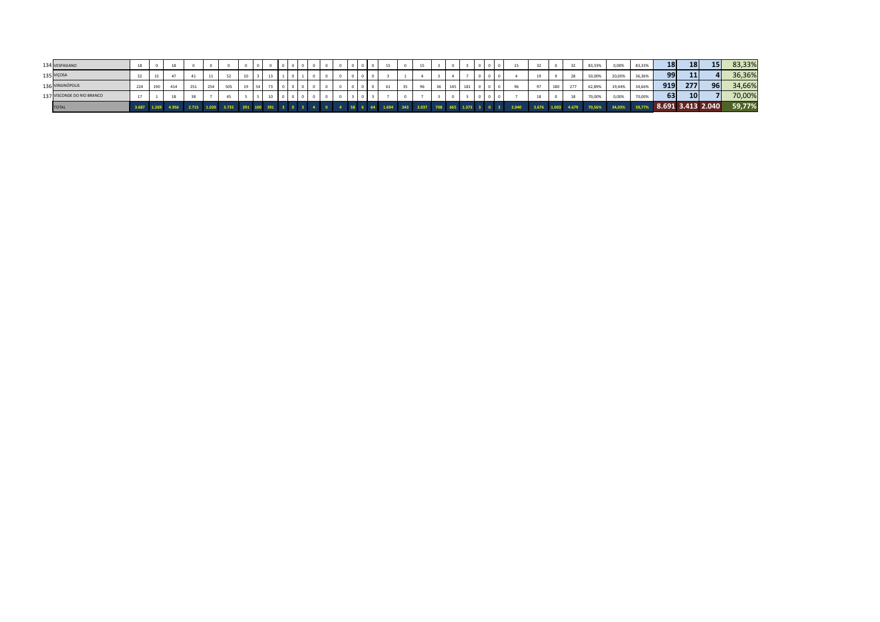| 134 VESPASIANO             |  |             |       |     |             |    |  |  |  |  | 15 |          |                               |    |     |     |  |                |  |                   | 83,33% | 0,00%  | 83,33% | <b>18</b>         | <b>18</b>       | 15 <sup>1</sup> | 83,33% |
|----------------------------|--|-------------|-------|-----|-------------|----|--|--|--|--|----|----------|-------------------------------|----|-----|-----|--|----------------|--|-------------------|--------|--------|--------|-------------------|-----------------|-----------------|--------|
| 135 VIÇOSA                 |  |             |       |     |             |    |  |  |  |  |    |          |                               |    |     |     |  |                |  | 28                | 50,00% | 20,00% | 36,36% | 99                | 11              |                 | 36,36% |
| 136 VIRGINÓPOLIS           |  |             | 2.74  | 254 |             | 19 |  |  |  |  |    | $-$<br>- |                               | 36 | 145 | 181 |  | 0 <sup>o</sup> |  | 277               | 62,89% | 19,44% | 34,66% | 919               | <b>277</b>      | 96              | 34,66% |
| 137 VISCONDE DO RIO BRANCO |  |             |       |     |             |    |  |  |  |  |    |          |                               |    |     |     |  |                |  | 18                | 70,00% | 0,00%  | 70,00% | 63                | 10 <sup>1</sup> |                 | 70,00% |
| <b>TOTAL</b>               |  | 1.269 4.956 | 2.715 |     | 1.020 3.735 |    |  |  |  |  |    |          | 343 2.037 708 665 1.373 3 0 3 |    |     |     |  | 2.040          |  | 3.676 1.003 4.679 | 70,56% | 34,03% | 59,77% | 8.691 3.413 2.040 |                 |                 | 59,77% |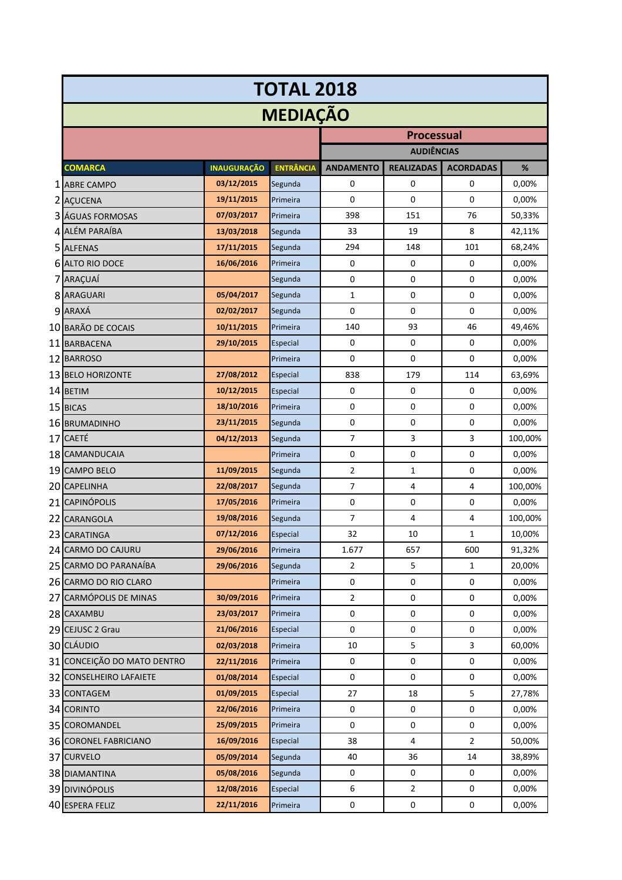|                             |                    | <b>TOTAL 2018</b> |                  |                   |                  |         |
|-----------------------------|--------------------|-------------------|------------------|-------------------|------------------|---------|
|                             |                    | <b>MEDIAÇÃO</b>   |                  |                   |                  |         |
|                             |                    |                   |                  | <b>Processual</b> |                  |         |
|                             |                    |                   |                  | <b>AUDIÊNCIAS</b> |                  |         |
| <b>COMARCA</b>              | <b>INAUGURAÇÃO</b> | <b>ENTRÂNCIA</b>  | <b>ANDAMENTO</b> | <b>REALIZADAS</b> | <b>ACORDADAS</b> | %       |
| 1 ABRE CAMPO                | 03/12/2015         | Segunda           | $\mathbf 0$      | $\mathbf 0$       | 0                | 0,00%   |
| 2 AÇUCENA                   | 19/11/2015         | Primeira          | 0                | 0                 | 0                | 0,00%   |
| 3 ÁGUAS FORMOSAS            | 07/03/2017         | Primeira          | 398              | 151               | 76               | 50,33%  |
| 4 ALÉM PARAÍBA              | 13/03/2018         | Segunda           | 33               | 19                | 8                | 42,11%  |
| 5 ALFENAS                   | 17/11/2015         | Segunda           | 294              | 148               | 101              | 68,24%  |
| <b>6 ALTO RIO DOCE</b>      | 16/06/2016         | Primeira          | 0                | 0                 | $\boldsymbol{0}$ | 0,00%   |
| 7 ARAÇUAÍ                   |                    | Segunda           | 0                | 0                 | 0                | 0,00%   |
| 8 ARAGUARI                  | 05/04/2017         | Segunda           | 1                | 0                 | 0                | 0,00%   |
| 9 ARAXÁ                     | 02/02/2017         | Segunda           | 0                | 0                 | 0                | 0,00%   |
| 10 BARÃO DE COCAIS          | 10/11/2015         | Primeira          | 140              | 93                | 46               | 49,46%  |
| 11 BARBACENA                | 29/10/2015         | Especial          | $\mathbf 0$      | 0                 | $\mathbf 0$      | 0,00%   |
| 12 BARROSO                  |                    | Primeira          | $\pmb{0}$        | $\mathbf 0$       | $\pmb{0}$        | 0,00%   |
| 13 BELO HORIZONTE           | 27/08/2012         | Especial          | 838              | 179               | 114              | 63,69%  |
| 14 BETIM                    | 10/12/2015         | Especial          | $\mathbf 0$      | $\mathbf 0$       | $\mathbf 0$      | 0,00%   |
| 15 BICAS                    | 18/10/2016         | Primeira          | 0                | 0                 | 0                | 0,00%   |
| 16 BRUMADINHO               | 23/11/2015         | Segunda           | $\pmb{0}$        | 0                 | 0                | 0,00%   |
| 17 CAETÉ                    | 04/12/2013         | Segunda           | 7                | 3                 | 3                | 100,00% |
| 18 CAMANDUCAIA              |                    | Primeira          | 0                | 0                 | 0                | 0,00%   |
| 19 CAMPO BELO               | 11/09/2015         | Segunda           | 2                | 1                 | 0                | 0,00%   |
| 20 CAPELINHA                | 22/08/2017         | Segunda           | 7                | 4                 | 4                | 100,00% |
| 21 CAPINÓPOLIS              | 17/05/2016         | Primeira          | $\pmb{0}$        | 0                 | 0                | 0,00%   |
| 22 CARANGOLA                | 19/08/2016         | Segunda           | 7                | 4                 | 4                | 100,00% |
| 23 CARATINGA                | 07/12/2016         | Especial          | 32               | 10                | $\mathbf 1$      | 10,00%  |
| 24 CARMO DO CAJURU          | 29/06/2016         | Primeira          | 1.677            | 657               | 600              | 91,32%  |
| 25 CARMO DO PARANAÍBA       | 29/06/2016         | Segunda           | 2                | 5                 | $\mathbf{1}$     | 20,00%  |
| 26 CARMO DO RIO CLARO       |                    | Primeira          | 0                | 0                 | $\pmb{0}$        | 0,00%   |
| 27 CARMÓPOLIS DE MINAS      | 30/09/2016         | Primeira          | 2                | 0                 | $\pmb{0}$        | 0,00%   |
| 28 CAXAMBU                  | 23/03/2017         | Primeira          | 0                | 0                 | 0                | 0,00%   |
| 29 CEJUSC 2 Grau            | 21/06/2016         | Especial          | $\mathbf 0$      | 0                 | 0                | 0,00%   |
| 30 CLÁUDIO                  | 02/03/2018         | Primeira          | 10               | 5                 | 3                | 60,00%  |
| 31 CONCEIÇÃO DO MATO DENTRO | 22/11/2016         | Primeira          | 0                | 0                 | 0                | 0,00%   |
| 32 CONSELHEIRO LAFAIETE     | 01/08/2014         | Especial          | 0                | 0                 | 0                | 0,00%   |
| 33 CONTAGEM                 | 01/09/2015         | Especial          | 27               | 18                | 5                | 27,78%  |
| 34 CORINTO                  | 22/06/2016         | Primeira          | 0                | 0                 | 0                | 0,00%   |
| 35 COROMANDEL               | 25/09/2015         | Primeira          | 0                | 0                 | $\mathbf 0$      | 0,00%   |
| 36 CORONEL FABRICIANO       | 16/09/2016         | Especial          | 38               | 4                 | 2                | 50,00%  |
| 37 CURVELO                  | 05/09/2014         | Segunda           | 40               | 36                | 14               | 38,89%  |
| 38 DIAMANTINA               | 05/08/2016         | Segunda           | 0                | $\pmb{0}$         | $\pmb{0}$        | 0,00%   |
| 39 DIVINÓPOLIS              | 12/08/2016         | Especial          | 6                | $\overline{2}$    | $\pmb{0}$        | 0,00%   |
| 40 ESPERA FELIZ             | 22/11/2016         | Primeira          | $\pmb{0}$        | 0                 | $\pmb{0}$        | 0,00%   |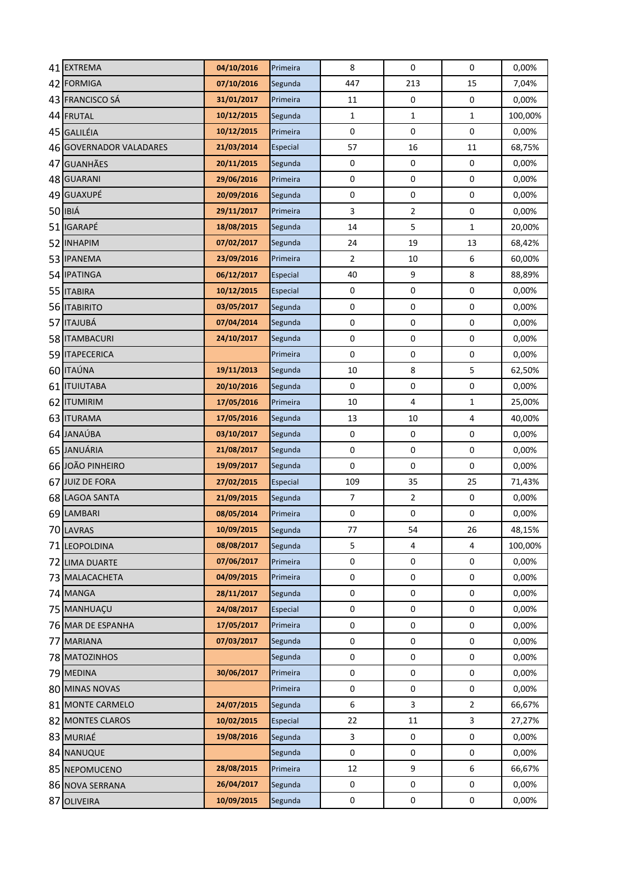| 41 EXTREMA                       | 04/10/2016               | Primeira           | 8              | $\mathbf 0$      | $\pmb{0}$               | 0,00%             |
|----------------------------------|--------------------------|--------------------|----------------|------------------|-------------------------|-------------------|
| 42 FORMIGA                       | 07/10/2016               | Segunda            | 447            | 213              | 15                      | 7,04%             |
| 43 FRANCISCO SÁ                  | 31/01/2017               | Primeira           | 11             | $\pmb{0}$        | $\pmb{0}$               | 0,00%             |
| 44 FRUTAL                        | 10/12/2015               | Segunda            | $\mathbf{1}$   | $\mathbf{1}$     | $\mathbf{1}$            | 100,00%           |
| 45 GALILÉIA                      | 10/12/2015               | Primeira           | $\pmb{0}$      | $\pmb{0}$        | $\pmb{0}$               | 0,00%             |
| 46 GOVERNADOR VALADARES          | 21/03/2014               | Especial           | 57             | 16               | 11                      | 68,75%            |
| 47 GUANHÃES                      | 20/11/2015               | Segunda            | $\mathbf 0$    | $\mathbf 0$      | $\pmb{0}$               | 0,00%             |
| 48 GUARANI                       | 29/06/2016               | Primeira           | $\mathbf 0$    | $\pmb{0}$        | 0                       | 0,00%             |
| 49 GUAXUPÉ                       | 20/09/2016               | Segunda            | $\mathbf 0$    | $\pmb{0}$        | $\mathbf 0$             | 0,00%             |
| 50 IBIÁ                          | 29/11/2017               | Primeira           | 3              | $\overline{2}$   | $\pmb{0}$               | 0,00%             |
| 51 IGARAPÉ                       | 18/08/2015               | Segunda            | 14             | 5                | $\mathbf{1}$            | 20,00%            |
| 52 INHAPIM                       | 07/02/2017               | Segunda            | 24             | 19               | 13                      | 68,42%            |
| 53 IPANEMA                       | 23/09/2016               | Primeira           | $\mathbf 2$    | 10               | 6                       | 60,00%            |
| 54 IPATINGA                      | 06/12/2017               | Especial           | 40             | 9                | 8                       | 88,89%            |
| 55 ITABIRA                       | 10/12/2015               | Especial           | $\pmb{0}$      | $\pmb{0}$        | $\pmb{0}$               | 0,00%             |
| 56 <b>ITABIRITO</b>              | 03/05/2017               | Segunda            | $\pmb{0}$      | $\pmb{0}$        | $\pmb{0}$               | 0,00%             |
| 57 ITAJUBÁ                       | 07/04/2014               | Segunda            | $\pmb{0}$      | $\pmb{0}$        | $\boldsymbol{0}$        | 0,00%             |
| 58   ITAMBACURI                  | 24/10/2017               | Segunda            | $\pmb{0}$      | $\mathbf 0$      | $\pmb{0}$               | 0,00%             |
| 59 ITAPECERICA                   |                          | Primeira           | $\mathbf 0$    | $\pmb{0}$        | $\pmb{0}$               | 0,00%             |
| 60 ITAÚNA                        | 19/11/2013               | Segunda            | 10             | 8                | 5                       | 62,50%            |
| 61 ITUIUTABA                     | 20/10/2016               | Segunda            | $\mathbf 0$    | $\pmb{0}$        | $\boldsymbol{0}$        | 0,00%             |
| 62 ITUMIRIM                      | 17/05/2016               | Primeira           | 10             | 4                | $\mathbf{1}$            | 25,00%            |
| 63 ITURAMA                       | 17/05/2016               | Segunda            | 13             | 10               | $\overline{\mathbf{4}}$ | 40,00%            |
| 64 JANAÚBA                       | 03/10/2017               | Segunda            | $\pmb{0}$      | $\pmb{0}$        | $\pmb{0}$               | 0,00%             |
| 65 JANUÁRIA                      | 21/08/2017               | Segunda            | $\pmb{0}$      | $\boldsymbol{0}$ | $\pmb{0}$               | 0,00%             |
| 66 JOÃO PINHEIRO                 | 19/09/2017               | Segunda            | $\pmb{0}$      | $\mathbf 0$      | $\pmb{0}$               | 0,00%             |
| 67 JUIZ DE FORA                  | 27/02/2015               | Especial           | 109            | 35               | 25                      | 71,43%            |
| 68 LAGOA SANTA                   | 21/09/2015               | Segunda            | $\overline{7}$ | $\overline{2}$   | $\boldsymbol{0}$        | 0,00%             |
| 69 LAMBARI                       | 08/05/2014               | Primeira           | $\pmb{0}$      | $\pmb{0}$        | $\pmb{0}$               | 0,00%             |
| 70 LAVRAS                        | 10/09/2015<br>08/08/2017 | Segunda<br>Segunda | 77<br>5        | 54<br>4          | 26<br>4                 | 48,15%<br>100,00% |
| 71 LEOPOLDINA                    | 07/06/2017               | Primeira           | $\mathbf 0$    | $\mathbf 0$      | 0                       | 0,00%             |
| 72 LIMA DUARTE<br>73 MALACACHETA | 04/09/2015               | Primeira           | $\mathbf 0$    | $\pmb{0}$        | 0                       | 0,00%             |
| 74 MANGA                         | 28/11/2017               | Segunda            | $\pmb{0}$      | 0                | 0                       | 0,00%             |
| 75 MANHUACU                      | 24/08/2017               | Especial           | $\mathbf 0$    | $\pmb{0}$        | 0                       | 0,00%             |
| 76 MAR DE ESPANHA                | 17/05/2017               | Primeira           | $\mathbf 0$    | $\pmb{0}$        | $\pmb{0}$               | 0,00%             |
| 77 MARIANA                       | 07/03/2017               | Segunda            | $\pmb{0}$      | $\pmb{0}$        | $\pmb{0}$               | 0,00%             |
| 78 MATOZINHOS                    |                          | Segunda            | $\mathbf 0$    | $\pmb{0}$        | 0                       | 0,00%             |
| 79 MEDINA                        | 30/06/2017               | Primeira           | $\mathbf 0$    | $\pmb{0}$        | 0                       | 0,00%             |
| 80 MINAS NOVAS                   |                          | Primeira           | $\mathbf 0$    | $\pmb{0}$        | 0                       | 0,00%             |
| 81 MONTE CARMELO                 | 24/07/2015               | Segunda            | 6              | 3                | 2                       | 66,67%            |
| 82 MONTES CLAROS                 | 10/02/2015               | Especial           | 22             | 11               | 3                       | 27,27%            |
| 83 MURIAÉ                        | 19/08/2016               | Segunda            | 3              | 0                | 0                       | 0,00%             |
| 84 NANUQUE                       |                          | Segunda            | $\mathbf 0$    | 0                | 0                       | 0,00%             |
| 85 NEPOMUCENO                    | 28/08/2015               | Primeira           | 12             | 9                | 6                       | 66,67%            |
| 86 NOVA SERRANA                  | 26/04/2017               | Segunda            | $\pmb{0}$      | $\pmb{0}$        | $\mathbf 0$             | 0,00%             |
| 87 OLIVEIRA                      | 10/09/2015               | Segunda            | 0              | $\pmb{0}$        | $\pmb{0}$               | 0,00%             |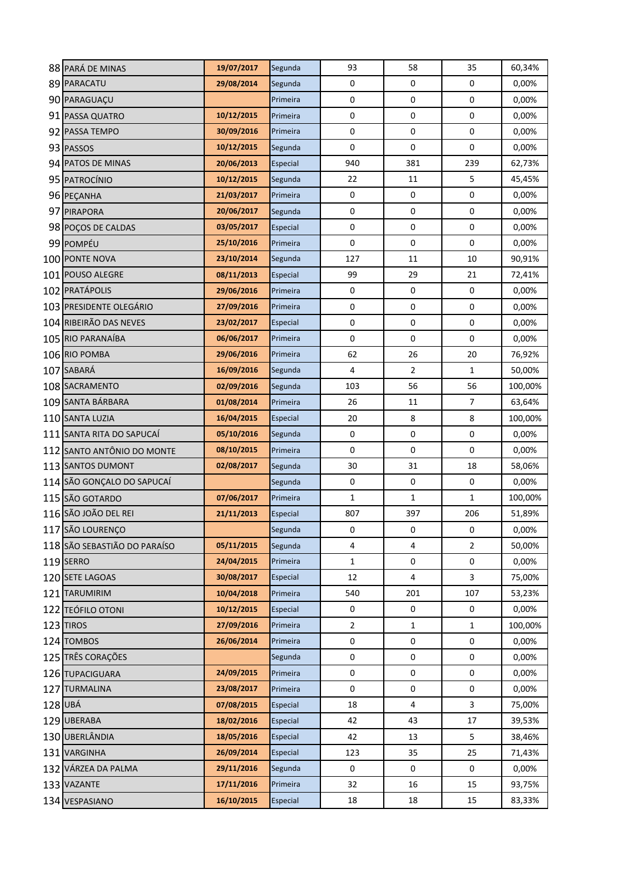|     | 88 PARÁ DE MINAS             | 19/07/2017 | Segunda  | 93             | 58               | 35                      | 60,34%  |
|-----|------------------------------|------------|----------|----------------|------------------|-------------------------|---------|
|     | 89 PARACATU                  | 29/08/2014 | Segunda  | 0              | $\pmb{0}$        | $\pmb{0}$               | 0,00%   |
|     | 90 PARAGUAÇU                 |            | Primeira | 0              | $\boldsymbol{0}$ | $\pmb{0}$               | 0,00%   |
|     | 91 PASSA QUATRO              | 10/12/2015 | Primeira | 0              | $\pmb{0}$        | 0                       | 0,00%   |
|     | 92 PASSA TEMPO               | 30/09/2016 | Primeira | 0              | $\boldsymbol{0}$ | 0                       | 0,00%   |
|     | 93 PASSOS                    | 10/12/2015 | Segunda  | 0              | $\pmb{0}$        | 0                       | 0,00%   |
|     | 94 PATOS DE MINAS            | 20/06/2013 | Especial | 940            | 381              | 239                     | 62,73%  |
|     | 95 PATROCÍNIO                | 10/12/2015 | Segunda  | 22             | 11               | 5                       | 45,45%  |
|     | 96 PEÇANHA                   | 21/03/2017 | Primeira | 0              | $\mathbf 0$      | 0                       | 0,00%   |
|     | 97 PIRAPORA                  | 20/06/2017 | Segunda  | 0              | 0                | 0                       | 0,00%   |
|     | 98 POÇOS DE CALDAS           | 03/05/2017 | Especial | 0              | $\mathbf 0$      | 0                       | 0,00%   |
|     | 99 POMPÉU                    | 25/10/2016 | Primeira | 0              | $\pmb{0}$        | 0                       | 0,00%   |
|     | 100 PONTE NOVA               | 23/10/2014 | Segunda  | 127            | 11               | 10                      | 90,91%  |
| 101 | <b>POUSO ALEGRE</b>          | 08/11/2013 | Especial | 99             | 29               | 21                      | 72,41%  |
|     | 102 PRATÁPOLIS               | 29/06/2016 | Primeira | 0              | $\pmb{0}$        | $\pmb{0}$               | 0,00%   |
|     | 103 PRESIDENTE OLEGÁRIO      | 27/09/2016 | Primeira | 0              | $\boldsymbol{0}$ | $\pmb{0}$               | 0,00%   |
|     | 104 RIBEIRÃO DAS NEVES       | 23/02/2017 | Especial | 0              | $\pmb{0}$        | 0                       | 0,00%   |
|     | 105 RIO PARANAÍBA            | 06/06/2017 | Primeira | 0              | $\pmb{0}$        | 0                       | 0,00%   |
|     | 106 RIO POMBA                | 29/06/2016 | Primeira | 62             | 26               | 20                      | 76,92%  |
|     | 107 SABARÁ                   | 16/09/2016 | Segunda  | $\overline{4}$ | $\mathbf 2$      | $\mathbf{1}$            | 50,00%  |
|     | 108 SACRAMENTO               | 02/09/2016 | Segunda  | 103            | 56               | 56                      | 100,00% |
|     | 109 SANTA BÁRBARA            | 01/08/2014 | Primeira | 26             | 11               | 7                       | 63,64%  |
|     | 110 SANTA LUZIA              | 16/04/2015 | Especial | 20             | 8                | 8                       | 100,00% |
|     | 111 SANTA RITA DO SAPUCAÍ    | 05/10/2016 | Segunda  | 0              | 0                | 0                       | 0,00%   |
|     | 112 SANTO ANTÔNIO DO MONTE   | 08/10/2015 | Primeira | 0              | $\pmb{0}$        | 0                       | 0,00%   |
|     | 113 SANTOS DUMONT            | 02/08/2017 | Segunda  | 30             | 31               | 18                      | 58,06%  |
|     | 114 SÃO GONÇALO DO SAPUCAÍ   |            | Segunda  | $\pmb{0}$      | $\pmb{0}$        | $\pmb{0}$               | 0,00%   |
|     | 115 SÃO GOTARDO              | 07/06/2017 | Primeira | $\mathbf{1}$   | $\mathbf{1}$     | $\mathbf{1}$            | 100,00% |
|     | 116 SÃO JOÃO DEL REI         | 21/11/2013 | Especial | 807            | 397              | 206                     | 51,89%  |
|     | 117 SÃO LOURENÇO             |            | Segunda  | 0              | 0                | 0                       | 0,00%   |
|     | 118 SÃO SEBASTIÃO DO PARAÍSO | 05/11/2015 | Segunda  | 4              | 4                | $\overline{2}$          | 50,00%  |
|     | 119 SERRO                    | 24/04/2015 | Primeira | $\mathbf{1}$   | $\mathbf 0$      | 0                       | 0,00%   |
|     | 120 SETE LAGOAS              | 30/08/2017 | Especial | 12             | 4                | $\overline{3}$          | 75,00%  |
|     | 121 TARUMIRIM                | 10/04/2018 | Primeira | 540            | 201              | 107                     | 53,23%  |
|     | 122 TEÓFILO OTONI            | 10/12/2015 | Especial | 0              | 0                | 0                       | 0,00%   |
|     | 123 TIROS                    | 27/09/2016 | Primeira | $\overline{2}$ | $\mathbf{1}$     | $\mathbf{1}$            | 100,00% |
|     | 124 TOMBOS                   | 26/06/2014 | Primeira | $\pmb{0}$      | 0                | 0                       | 0,00%   |
|     | 125 TRÊS CORAÇÕES            |            | Segunda  | $\pmb{0}$      | $\pmb{0}$        | 0                       | 0,00%   |
|     | 126 TUPACIGUARA              | 24/09/2015 | Primeira | $\pmb{0}$      | $\pmb{0}$        | $\pmb{0}$               | 0,00%   |
|     | 127 TURMALINA                | 23/08/2017 | Primeira | $\pmb{0}$      | $\pmb{0}$        | $\pmb{0}$               | 0,00%   |
|     | 128 UBÁ                      | 07/08/2015 | Especial | 18             | 4                | $\overline{\mathbf{3}}$ | 75,00%  |
|     | 129 UBERABA                  | 18/02/2016 | Especial | 42             | 43               | 17                      | 39,53%  |
|     | 130 UBERLÂNDIA               | 18/05/2016 | Especial | 42             | 13               | 5                       | 38,46%  |
|     | 131 VARGINHA                 | 26/09/2014 | Especial | 123            | 35               | 25                      | 71,43%  |
|     | 132 VÁRZEA DA PALMA          | 29/11/2016 | Segunda  | 0              | 0                | 0                       | 0,00%   |
|     | 133 VAZANTE                  | 17/11/2016 | Primeira | 32             | 16               | 15                      | 93,75%  |
|     | 134 VESPASIANO               | 16/10/2015 | Especial | 18             | 18               | 15                      | 83,33%  |